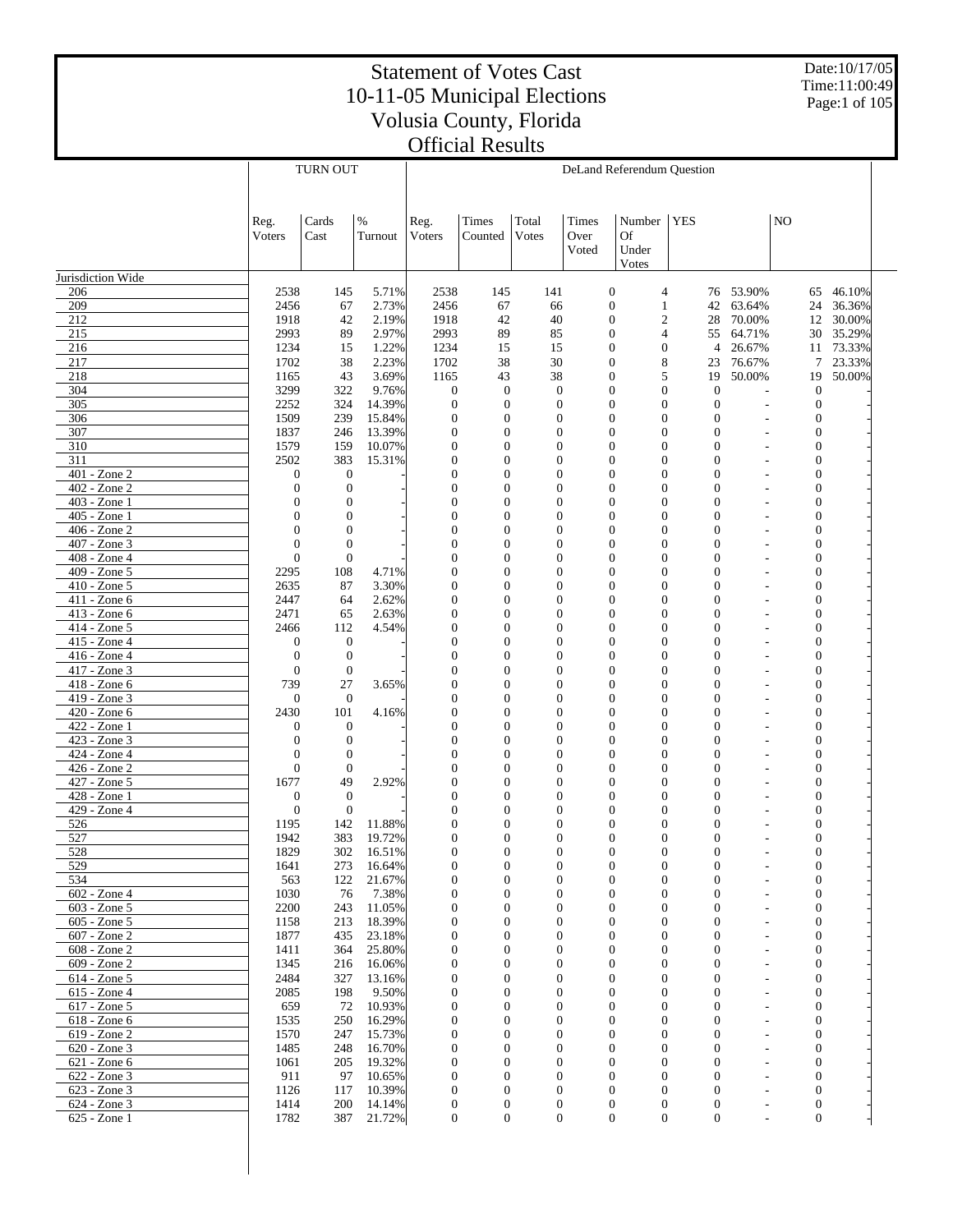Date:10/17/05 Time:11:00:49 Page:1 of 105

|                              |                                      | TURN OUT                     |                  | DeLand Referendum Question           |                                  |                                      |                        |                                                                      |                                                                          |                                  |                                      |                  |  |
|------------------------------|--------------------------------------|------------------------------|------------------|--------------------------------------|----------------------------------|--------------------------------------|------------------------|----------------------------------------------------------------------|--------------------------------------------------------------------------|----------------------------------|--------------------------------------|------------------|--|
|                              | Reg.<br>Voters                       | Cards<br>Cast                | $\%$<br>Turnout  | Reg.<br>Voters                       | Times<br>Counted                 | Total<br>Votes                       | Times<br>Over<br>Voted | Number<br>Of<br>Under<br>Votes                                       | <b>YES</b>                                                               |                                  | N <sub>O</sub>                       |                  |  |
| Jurisdiction Wide            |                                      |                              |                  |                                      |                                  |                                      |                        |                                                                      |                                                                          |                                  |                                      |                  |  |
| 206                          | 2538                                 | 145                          | 5.71%            | 2538                                 | 145                              | 141                                  |                        | $\boldsymbol{0}$                                                     | 4                                                                        | 76 53.90%                        | 65                                   | 46.10%           |  |
| 209                          | 2456                                 | 67                           | 2.73%            | 2456                                 | 67                               | 66                                   |                        | $\boldsymbol{0}$<br>1                                                | 42                                                                       | 63.64%                           | 24                                   | 36.36%           |  |
| 212                          | 1918                                 | 42                           | 2.19%            | 1918                                 | 42                               | 40                                   |                        | $\boldsymbol{0}$                                                     | $\boldsymbol{2}$<br>28                                                   | 70.00%                           | 12                                   | 30.00%           |  |
| 215                          | 2993                                 | 89                           | 2.97%            | 2993                                 | 89                               | 85                                   |                        | $\boldsymbol{0}$                                                     | 55<br>4                                                                  | 64.71%                           | 30                                   | 35.29%           |  |
| 216<br>217                   | 1234<br>1702                         | 15<br>38                     | 1.22%<br>2.23%   | 1234<br>1702                         | 15<br>38                         | 15<br>30                             |                        | $\boldsymbol{0}$<br>$\boldsymbol{0}$<br>$\boldsymbol{0}$<br>8        | $\overline{4}$<br>23                                                     | 26.67%<br>76.67%                 | 11<br>7                              | 73.33%<br>23.33% |  |
| 218                          | 1165                                 | 43                           | 3.69%            | 1165                                 | 43                               | 38                                   |                        | $\boldsymbol{0}$                                                     | 5<br>19                                                                  | 50.00%                           | 19                                   | 50.00%           |  |
| 304                          | 3299                                 | 322                          | 9.76%            | $\boldsymbol{0}$                     | $\mathbf{0}$                     | $\boldsymbol{0}$                     |                        | $\boldsymbol{0}$                                                     | $\mathbf{0}$<br>$\mathbf{0}$                                             |                                  | $\mathbf{0}$                         |                  |  |
| 305                          | 2252                                 | 324                          | 14.39%           | $\boldsymbol{0}$                     | $\mathbf{0}$                     | $\boldsymbol{0}$                     |                        | $\boldsymbol{0}$<br>$\boldsymbol{0}$                                 | $\overline{0}$                                                           | L,                               | $\mathbf{0}$                         |                  |  |
| 306                          | 1509                                 | 239                          | 15.84%           | $\boldsymbol{0}$                     | $\mathbf{0}$                     | $\mathbf{0}$                         |                        | $\boldsymbol{0}$<br>$\boldsymbol{0}$                                 | $\overline{0}$                                                           | $\overline{a}$                   | $\boldsymbol{0}$                     |                  |  |
| 307                          | 1837                                 | 246                          | 13.39%           | $\boldsymbol{0}$                     | $\mathbf{0}$                     | $\boldsymbol{0}$                     |                        | $\boldsymbol{0}$<br>$\mathbf{0}$                                     | $\overline{0}$                                                           | ÷,                               | $\boldsymbol{0}$                     |                  |  |
| 310                          | 1579                                 | 159                          | 10.07%           | $\overline{0}$                       | $\mathbf{0}$                     | $\mathbf{0}$                         |                        | $\boldsymbol{0}$<br>$\mathbf{0}$                                     | 0                                                                        | $\overline{a}$                   | $\boldsymbol{0}$                     |                  |  |
| 311                          | 2502                                 | 383                          | 15.31%           | $\overline{0}$                       | $\overline{0}$                   | $\boldsymbol{0}$                     |                        | $\boldsymbol{0}$<br>$\mathbf{0}$                                     | 0                                                                        | ä,                               | $\boldsymbol{0}$                     |                  |  |
| 401 - Zone 2<br>402 - Zone 2 | $\boldsymbol{0}$<br>$\boldsymbol{0}$ | $\mathbf{0}$<br>$\theta$     |                  | $\overline{0}$<br>$\overline{0}$     | $\mathbf{0}$<br>$\overline{0}$   | $\mathbf{0}$<br>$\boldsymbol{0}$     |                        | $\boldsymbol{0}$<br>$\mathbf{0}$<br>$\boldsymbol{0}$<br>$\mathbf{0}$ | 0<br>$\overline{0}$                                                      | $\overline{a}$<br>ä,             | $\boldsymbol{0}$<br>$\boldsymbol{0}$ |                  |  |
| 403 - Zone 1                 | $\overline{0}$                       | $\mathbf{0}$                 |                  | $\overline{0}$                       | $\mathbf{0}$                     | $\mathbf{0}$                         |                        | $\mathbf{0}$<br>$\mathbf{0}$                                         | 0                                                                        | $\overline{a}$                   | $\boldsymbol{0}$                     |                  |  |
| 405 - Zone 1                 | $\overline{0}$                       | $\mathbf{0}$                 |                  | $\overline{0}$                       | $\overline{0}$                   | $\boldsymbol{0}$                     |                        | $\boldsymbol{0}$<br>$\mathbf{0}$                                     | $\overline{0}$                                                           | ä,                               | $\boldsymbol{0}$                     |                  |  |
| 406 - Zone 2                 | $\overline{0}$                       | $\theta$                     |                  | $\overline{0}$                       | $\mathbf{0}$                     | $\mathbf{0}$                         |                        | $\boldsymbol{0}$<br>$\mathbf{0}$                                     | 0                                                                        | $\overline{a}$                   | $\boldsymbol{0}$                     |                  |  |
| 407 - Zone 3                 | $\overline{0}$                       | $\mathbf{0}$                 |                  | $\overline{0}$                       | $\overline{0}$                   | $\boldsymbol{0}$                     |                        | $\boldsymbol{0}$<br>$\mathbf{0}$                                     | $\overline{0}$                                                           | ä,                               | $\boldsymbol{0}$                     |                  |  |
| 408 - Zone 4                 | $\overline{0}$                       | $\mathbf{0}$                 |                  | $\overline{0}$                       | $\overline{0}$                   | $\mathbf{0}$                         |                        | $\mathbf{0}$<br>$\mathbf{0}$                                         | 0                                                                        | $\overline{a}$                   | $\boldsymbol{0}$                     |                  |  |
| 409 - Zone 5                 | 2295                                 | 108                          | 4.71%            | $\overline{0}$                       | $\overline{0}$                   | $\mathbf{0}$                         |                        | $\boldsymbol{0}$<br>$\mathbf{0}$                                     | $\overline{0}$                                                           | L,                               | $\boldsymbol{0}$                     |                  |  |
| 410 - Zone 5                 | 2635                                 | 87                           | 3.30%            | $\boldsymbol{0}$                     | $\mathbf{0}$                     | $\mathbf{0}$                         |                        | $\mathbf{0}$<br>$\mathbf{0}$                                         | 0                                                                        | $\overline{a}$                   | $\boldsymbol{0}$                     |                  |  |
| 411 - Zone 6                 | 2447                                 | 64                           | 2.62%            | $\boldsymbol{0}$                     | $\overline{0}$                   | $\boldsymbol{0}$                     |                        | $\mathbf{0}$<br>$\mathbf{0}$                                         | $\overline{0}$                                                           | L,                               | $\boldsymbol{0}$                     |                  |  |
| 413 - Zone 6<br>414 - Zone 5 | 2471                                 | 65<br>112                    | 2.63%            | $\overline{0}$<br>$\overline{0}$     | $\overline{0}$<br>$\overline{0}$ | $\mathbf{0}$<br>$\mathbf{0}$         |                        | $\mathbf{0}$<br>$\mathbf{0}$<br>$\boldsymbol{0}$<br>$\mathbf{0}$     | 0<br>$\overline{0}$                                                      | $\overline{a}$                   | $\boldsymbol{0}$<br>$\boldsymbol{0}$ |                  |  |
| 415 - Zone 4                 | 2466<br>$\boldsymbol{0}$             | $\mathbf{0}$                 | 4.54%            | $\overline{0}$                       | $\mathbf{0}$                     | $\mathbf{0}$                         |                        | $\mathbf{0}$<br>$\mathbf{0}$                                         | 0                                                                        | Ĭ.<br>$\overline{a}$             | $\boldsymbol{0}$                     |                  |  |
| 416 - Zone 4                 | $\boldsymbol{0}$                     | $\mathbf{0}$                 |                  | $\overline{0}$                       | $\overline{0}$                   | $\mathbf{0}$                         |                        | $\mathbf{0}$<br>$\mathbf{0}$                                         | $\overline{0}$                                                           | Ĭ.                               | $\boldsymbol{0}$                     |                  |  |
| 417 - Zone 3                 | $\mathbf{0}$                         | $\mathbf{0}$                 |                  | $\overline{0}$                       | $\overline{0}$                   | $\mathbf{0}$                         |                        | $\mathbf{0}$<br>$\mathbf{0}$                                         | 0                                                                        | Ĭ.                               | $\boldsymbol{0}$                     |                  |  |
| 418 - Zone 6                 | 739                                  | 27                           | 3.65%            | $\overline{0}$                       | $\overline{0}$                   | $\mathbf{0}$                         |                        | $\boldsymbol{0}$<br>$\mathbf{0}$                                     | $\overline{0}$                                                           | Ĭ.                               | $\boldsymbol{0}$                     |                  |  |
| 419 - Zone 3                 | $\mathbf{0}$                         | $\mathbf{0}$                 |                  | $\overline{0}$                       | $\mathbf{0}$                     | $\mathbf{0}$                         |                        | $\mathbf{0}$<br>$\mathbf{0}$                                         | 0                                                                        | Ĭ.                               | $\boldsymbol{0}$                     |                  |  |
| 420 - Zone 6                 | 2430                                 | 101                          | 4.16%            | $\overline{0}$                       | $\overline{0}$                   | $\mathbf{0}$                         |                        | $\mathbf{0}$<br>$\mathbf{0}$                                         | $\overline{0}$                                                           | Ĭ.                               | $\boldsymbol{0}$                     |                  |  |
| 422 - Zone 1                 | 0                                    | $\mathbf{0}$                 |                  | $\mathbf{0}$                         | $\overline{0}$                   | $\mathbf{0}$                         |                        | $\mathbf{0}$<br>$\mathbf{0}$                                         | $\boldsymbol{0}$                                                         | Ĭ.                               | $\boldsymbol{0}$                     |                  |  |
| 423 - Zone 3                 | $\boldsymbol{0}$                     | $\mathbf{0}$                 |                  | $\overline{0}$                       | $\overline{0}$                   | $\mathbf{0}$                         |                        | $\boldsymbol{0}$<br>$\mathbf{0}$                                     | $\overline{0}$                                                           | Ĭ.                               | $\boldsymbol{0}$                     |                  |  |
| 424 - Zone 4<br>426 - Zone 2 | $\mathbf{0}$<br>$\mathbf{0}$         | $\mathbf{0}$<br>$\mathbf{0}$ |                  | $\mathbf{0}$<br>$\overline{0}$       | $\mathbf{0}$<br>$\overline{0}$   | $\mathbf{0}$<br>$\boldsymbol{0}$     |                        | $\mathbf{0}$<br>$\mathbf{0}$<br>$\mathbf{0}$<br>$\mathbf{0}$         | $\boldsymbol{0}$<br>$\overline{0}$                                       | Ĭ.<br>Ĭ.                         | $\boldsymbol{0}$<br>$\boldsymbol{0}$ |                  |  |
| 427 - Zone 5                 | 1677                                 | 49                           | 2.92%            | $\mathbf{0}$                         | $\mathbf{0}$                     | $\mathbf{0}$                         |                        | $\mathbf{0}$<br>$\mathbf{0}$                                         | $\boldsymbol{0}$                                                         | ۰                                | $\boldsymbol{0}$                     |                  |  |
| 428 - Zone 1                 | $\mathbf{0}$                         | $\theta$                     |                  | $\overline{0}$                       | $\overline{0}$                   | $\mathbf{0}$                         |                        | $\mathbf{0}$<br>$\mathbf{0}$                                         | $\boldsymbol{0}$                                                         |                                  | $\boldsymbol{0}$                     |                  |  |
| 429 - Zone 4                 | $\mathbf{0}$                         | $\mathbf{0}$                 |                  | $\mathbf{0}$                         | $\mathbf{0}$                     | $\mathbf{0}$                         |                        | $\mathbf{0}$<br>$\mathbf{0}$                                         | $\boldsymbol{0}$                                                         | ۰                                | $\boldsymbol{0}$                     |                  |  |
| 526                          | 1195                                 | 142                          | 11.88%           | $\overline{0}$                       | $\overline{0}$                   | $\mathbf{0}$                         |                        | $\boldsymbol{0}$<br>$\mathbf{0}$                                     | $\overline{0}$                                                           |                                  | $\boldsymbol{0}$                     |                  |  |
| 527                          | 1942                                 | 383                          | 19.72%           | $\boldsymbol{0}$                     | 0                                | $\mathbf{0}$                         |                        | $\boldsymbol{0}$<br>$\mathbf{0}$                                     | $\overline{0}$                                                           |                                  | $\boldsymbol{0}$                     |                  |  |
| 528                          | 1829                                 | 302                          | 16.51%           | $\mathbf{0}$                         | $\boldsymbol{0}$                 | $\mathbf{0}$                         |                        | $\mathbf{0}$                                                         | $\boldsymbol{0}$<br>$\boldsymbol{0}$                                     | $\overline{a}$                   | $\boldsymbol{0}$                     |                  |  |
| 529                          | 1641                                 | 273                          | 16.64%           | 0                                    | $\theta$                         | $\mathbf 0$                          |                        | $\mathbf{0}$                                                         | 0<br>0                                                                   |                                  |                                      |                  |  |
| 534<br>602 - Zone 4          | 563<br>1030                          | 122<br>76                    | 21.67%<br>7.38%  | $\boldsymbol{0}$<br>$\boldsymbol{0}$ | $\mathbf{0}$<br>$\mathbf{0}$     | $\boldsymbol{0}$<br>$\boldsymbol{0}$ |                        | $\boldsymbol{0}$<br>$\mathbf{0}$                                     | $\boldsymbol{0}$<br>$\boldsymbol{0}$<br>$\boldsymbol{0}$<br>$\mathbf{0}$ |                                  | 0<br>$\boldsymbol{0}$                |                  |  |
| $603 - Z$ one 5              | 2200                                 | 243                          | 11.05%           | $\boldsymbol{0}$                     | $\mathbf{0}$                     | $\boldsymbol{0}$                     |                        | $\mathbf{0}$                                                         | $\boldsymbol{0}$<br>$\mathbf{0}$                                         | $\overline{a}$<br>$\overline{a}$ | $\mathbf{0}$                         |                  |  |
| 605 - Zone 5                 | 1158                                 | 213                          | 18.39%           | $\mathbf{0}$                         | $\mathbf{0}$                     | $\mathbf{0}$                         |                        | $\mathbf{0}$                                                         | $\mathbf{0}$<br>$\boldsymbol{0}$                                         | $\overline{a}$                   | $\mathbf{0}$                         |                  |  |
| $607 - Z$ one 2              | 1877                                 | 435                          | 23.18%           | $\mathbf{0}$                         | $\mathbf{0}$                     | $\mathbf{0}$                         |                        | $\mathbf{0}$                                                         | $\boldsymbol{0}$<br>$\overline{0}$                                       | $\overline{a}$                   | $\mathbf{0}$                         |                  |  |
| 608 - Zone 2                 | 1411                                 | 364                          | 25.80%           | $\mathbf{0}$                         | $\mathbf{0}$                     | $\mathbf{0}$                         |                        | $\mathbf{0}$                                                         | $\boldsymbol{0}$<br>$\boldsymbol{0}$                                     | $\overline{a}$                   | $\mathbf{0}$                         |                  |  |
| 609 - Zone 2                 | 1345                                 | 216                          | 16.06%           | $\boldsymbol{0}$                     | $\mathbf{0}$                     | $\boldsymbol{0}$                     |                        | $\mathbf{0}$                                                         | $\boldsymbol{0}$<br>$\boldsymbol{0}$                                     | $\overline{a}$                   | $\mathbf{0}$                         |                  |  |
| $614 - Z$ one 5              | 2484                                 | 327                          | 13.16%           | $\mathbf{0}$                         | $\mathbf{0}$                     | $\mathbf{0}$                         |                        | $\mathbf{0}$                                                         | $\mathbf{0}$<br>$\boldsymbol{0}$                                         | $\overline{a}$                   | $\mathbf{0}$                         |                  |  |
| 615 - Zone 4                 | 2085                                 | 198                          | 9.50%            | $\boldsymbol{0}$                     | $\mathbf{0}$                     | $\mathbf{0}$                         |                        | $\mathbf{0}$                                                         | $\boldsymbol{0}$<br>$\overline{0}$                                       | $\overline{a}$                   | $\mathbf{0}$                         |                  |  |
| $617 - Z$ one 5              | 659                                  | 72                           | 10.93%           | $\mathbf{0}$                         | $\mathbf{0}$                     | $\mathbf{0}$                         |                        | $\mathbf{0}$                                                         | $\boldsymbol{0}$<br>$\boldsymbol{0}$                                     | $\overline{a}$                   | $\mathbf{0}$                         |                  |  |
| 618 - Zone 6<br>619 - Zone 2 | 1535<br>1570                         | 250<br>247                   | 16.29%<br>15.73% | $\boldsymbol{0}$<br>$\mathbf{0}$     | $\mathbf{0}$<br>$\mathbf{0}$     | $\boldsymbol{0}$<br>$\mathbf{0}$     |                        | $\mathbf{0}$<br>$\mathbf{0}$                                         | $\boldsymbol{0}$<br>$\overline{0}$<br>$\mathbf{0}$<br>$\boldsymbol{0}$   | ä,<br>$\overline{a}$             | $\mathbf{0}$<br>$\mathbf{0}$         |                  |  |
| 620 - Zone 3                 | 1485                                 | 248                          | 16.70%           | $\mathbf{0}$                         | $\mathbf{0}$                     | $\mathbf{0}$                         |                        | $\mathbf{0}$                                                         | $\boldsymbol{0}$<br>$\overline{0}$                                       | ä,                               | $\mathbf{0}$                         |                  |  |
| 621 - Zone 6                 | 1061                                 | 205                          | 19.32%           | $\mathbf{0}$                         | $\mathbf{0}$                     | $\mathbf{0}$                         |                        | $\mathbf{0}$                                                         | $\boldsymbol{0}$<br>$\boldsymbol{0}$                                     | $\overline{a}$                   | $\mathbf{0}$                         |                  |  |
| 622 - Zone 3                 | 911                                  | 97                           | 10.65%           | $\mathbf{0}$                         | $\mathbf{0}$                     | $\mathbf{0}$                         |                        | $\mathbf{0}$                                                         | $\boldsymbol{0}$<br>$\boldsymbol{0}$                                     | ä,                               | $\mathbf{0}$                         |                  |  |
| 623 - Zone 3                 | 1126                                 | 117                          | 10.39%           | $\mathbf{0}$                         | $\mathbf{0}$                     | $\mathbf{0}$                         |                        | $\mathbf{0}$                                                         | $\mathbf{0}$<br>$\mathbf{0}$                                             | ä,                               | $\mathbf{0}$                         |                  |  |
| 624 - Zone 3                 | 1414                                 | 200                          | 14.14%           | $\boldsymbol{0}$                     | $\boldsymbol{0}$                 | $\boldsymbol{0}$                     |                        | $\boldsymbol{0}$                                                     | $\boldsymbol{0}$<br>$\boldsymbol{0}$                                     |                                  | $\boldsymbol{0}$                     |                  |  |
| 625 - Zone 1                 | 1782                                 | 387                          | 21.72%           | $\mathbf{0}$                         | $\mathbf{0}$                     | $\mathbf{0}$                         |                        | $\mathbf{0}$                                                         | $\mathbf{0}$<br>$\mathbf{0}$                                             |                                  | $\mathbf{0}$                         |                  |  |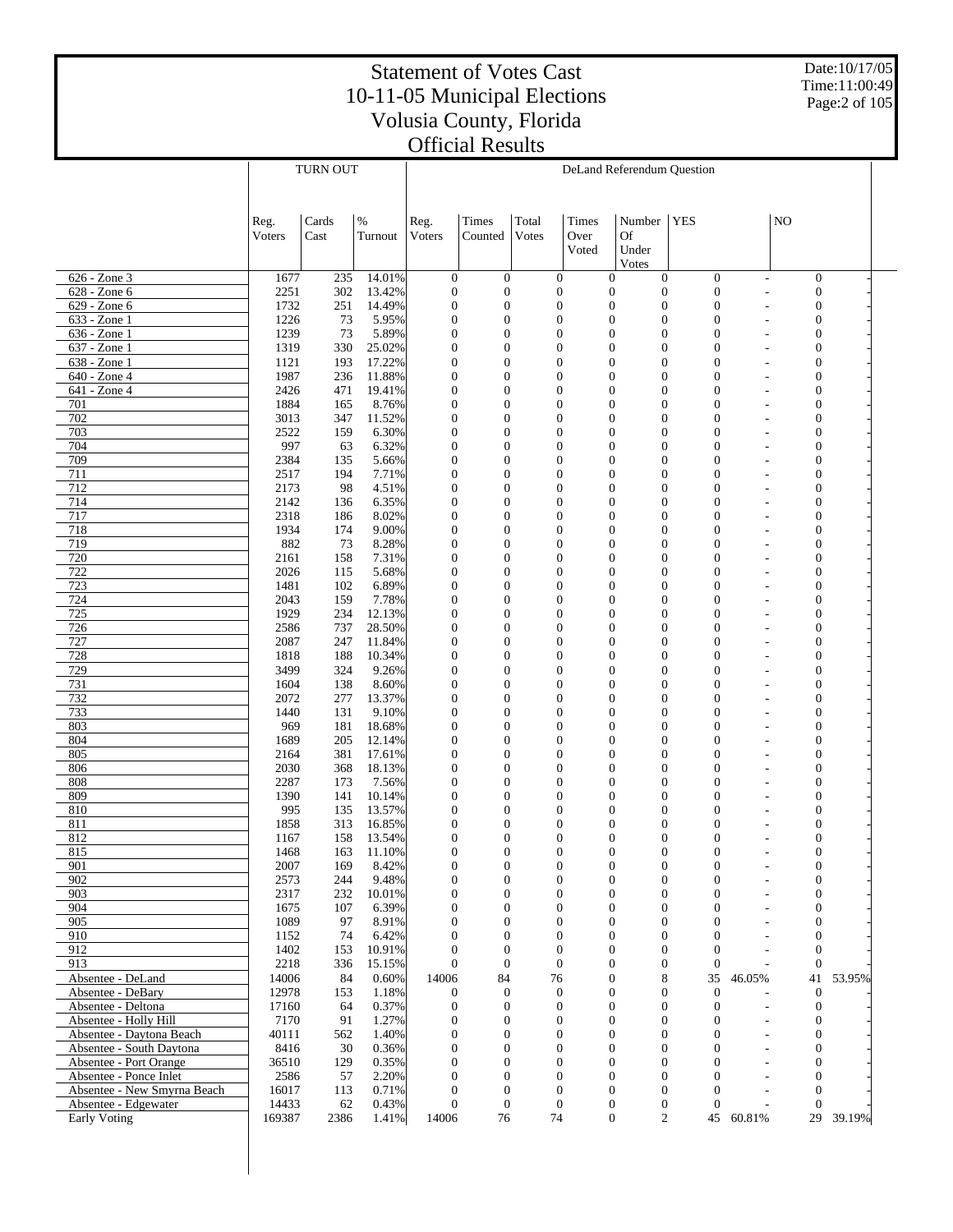Date:10/17/05 Time:11:00:49 Page:2 of 105

|                                                     |                | TURN OUT   |                  | DeLand Referendum Question           |                                      |                                      |                |                                                                            |                                  |                          |                                      |           |  |
|-----------------------------------------------------|----------------|------------|------------------|--------------------------------------|--------------------------------------|--------------------------------------|----------------|----------------------------------------------------------------------------|----------------------------------|--------------------------|--------------------------------------|-----------|--|
|                                                     |                |            |                  |                                      |                                      |                                      |                |                                                                            |                                  |                          |                                      |           |  |
|                                                     |                |            |                  |                                      |                                      |                                      |                |                                                                            |                                  |                          |                                      |           |  |
|                                                     | Reg.           | Cards      | $\%$             | Reg.                                 | Times                                | Total                                | Times          | Number                                                                     | <b>YES</b>                       |                          | N <sub>O</sub>                       |           |  |
|                                                     | Voters         | Cast       | Turnout          | Voters                               | Counted                              | <b>Votes</b>                         | Over           | Of                                                                         |                                  |                          |                                      |           |  |
|                                                     |                |            |                  |                                      |                                      |                                      | Voted          | Under                                                                      |                                  |                          |                                      |           |  |
|                                                     | 1677           | 235        |                  |                                      |                                      |                                      |                | Votes                                                                      |                                  |                          |                                      |           |  |
| 626 - Zone 3<br>628 - Zone 6                        | 2251           | 302        | 14.01%<br>13.42% | $\boldsymbol{0}$<br>$\boldsymbol{0}$ | $\mathbf{0}$<br>$\boldsymbol{0}$     | $\boldsymbol{0}$<br>$\boldsymbol{0}$ |                | $\boldsymbol{0}$<br>$\overline{0}$<br>$\mathbf{0}$<br>$\boldsymbol{0}$     | $\boldsymbol{0}$<br>$\mathbf{0}$ |                          | $\boldsymbol{0}$<br>$\boldsymbol{0}$ |           |  |
| 629 - Zone 6                                        | 1732           | 251        | 14.49%           | $\boldsymbol{0}$                     | $\boldsymbol{0}$                     | $\overline{0}$                       |                | $\mathbf{0}$<br>$\mathbf{0}$                                               | $\mathbf{0}$                     |                          | $\boldsymbol{0}$                     |           |  |
| 633 - Zone 1                                        | 1226           | 73         | 5.95%            | $\boldsymbol{0}$                     | $\boldsymbol{0}$                     | $\overline{0}$                       |                | $\mathbf{0}$<br>$\mathbf{0}$                                               | $\mathbf{0}$                     |                          | $\boldsymbol{0}$                     |           |  |
| 636 - Zone 1                                        | 1239           | 73         | 5.89%            | $\boldsymbol{0}$                     | $\boldsymbol{0}$                     | $\mathbf{0}$                         |                | $\mathbf{0}$<br>$\boldsymbol{0}$                                           | $\theta$                         |                          | $\boldsymbol{0}$                     |           |  |
| 637 - Zone 1                                        | 1319           | 330        | 25.02%           | $\boldsymbol{0}$                     | $\boldsymbol{0}$                     | $\mathbf{0}$                         |                | $\mathbf{0}$<br>$\mathbf{0}$                                               | $\Omega$                         |                          | $\boldsymbol{0}$                     |           |  |
| 638 - Zone 1                                        | 1121           | 193        | 17.22%           | $\boldsymbol{0}$                     | $\mathbf{0}$                         | $\mathbf{0}$                         |                | $\mathbf{0}$<br>$\boldsymbol{0}$                                           | $\theta$                         |                          | $\boldsymbol{0}$                     |           |  |
| 640 - Zone 4                                        | 1987           | 236        | 11.88%           | $\boldsymbol{0}$                     | $\boldsymbol{0}$                     | $\mathbf{0}$                         |                | $\mathbf{0}$<br>$\boldsymbol{0}$                                           | $\Omega$                         |                          | $\boldsymbol{0}$                     |           |  |
| 641 - Zone 4                                        | 2426           | 471        | 19.41%           | $\boldsymbol{0}$                     | $\boldsymbol{0}$                     | $\mathbf{0}$                         |                | $\mathbf{0}$<br>$\boldsymbol{0}$                                           | $\theta$                         |                          | $\boldsymbol{0}$                     |           |  |
| 701<br>702                                          | 1884<br>3013   | 165<br>347 | 8.76%<br>11.52%  | $\boldsymbol{0}$<br>$\boldsymbol{0}$ | $\boldsymbol{0}$<br>$\boldsymbol{0}$ | $\mathbf{0}$<br>$\mathbf{0}$         |                | $\mathbf{0}$<br>$\mathbf{0}$<br>$\mathbf{0}$<br>$\boldsymbol{0}$           | $\Omega$<br>$\theta$             |                          | $\boldsymbol{0}$<br>$\boldsymbol{0}$ |           |  |
| 703                                                 | 2522           | 159        | 6.30%            | $\boldsymbol{0}$                     | $\boldsymbol{0}$                     | $\mathbf{0}$                         |                | $\mathbf{0}$<br>$\mathbf{0}$                                               | $\Omega$                         |                          | $\boldsymbol{0}$                     |           |  |
| 704                                                 | 997            | 63         | 6.32%            | $\boldsymbol{0}$                     | $\boldsymbol{0}$                     | $\mathbf{0}$                         |                | $\mathbf{0}$<br>$\boldsymbol{0}$                                           | $\theta$                         |                          | $\boldsymbol{0}$                     |           |  |
| 709                                                 | 2384           | 135        | 5.66%            | $\boldsymbol{0}$                     | $\boldsymbol{0}$                     | $\mathbf{0}$                         |                | $\mathbf{0}$<br>$\mathbf{0}$                                               | $\theta$                         |                          | $\boldsymbol{0}$                     |           |  |
| 711                                                 | 2517           | 194        | 7.71%            | $\boldsymbol{0}$                     | $\boldsymbol{0}$                     | $\mathbf{0}$                         |                | $\mathbf{0}$<br>$\boldsymbol{0}$                                           | $\theta$                         |                          | $\boldsymbol{0}$                     |           |  |
| 712                                                 | 2173           | 98         | 4.51%            | $\boldsymbol{0}$                     | $\boldsymbol{0}$                     | $\mathbf{0}$                         |                | $\mathbf{0}$<br>$\mathbf{0}$                                               | $\Omega$                         |                          | $\boldsymbol{0}$                     |           |  |
| 714                                                 | 2142           | 136        | 6.35%            | $\boldsymbol{0}$                     | $\boldsymbol{0}$                     | $\overline{0}$                       |                | $\boldsymbol{0}$<br>$\mathbf{0}$                                           | $\theta$                         |                          | $\boldsymbol{0}$                     |           |  |
| 717                                                 | 2318           | 186        | 8.02%            | $\boldsymbol{0}$                     | $\boldsymbol{0}$                     | $\overline{0}$                       |                | $\mathbf{0}$<br>$\mathbf{0}$                                               | $\Omega$                         |                          | $\boldsymbol{0}$                     |           |  |
| 718                                                 | 1934           | 174        | 9.00%            | $\boldsymbol{0}$                     | $\boldsymbol{0}$                     | $\overline{0}$                       |                | $\mathbf{0}$<br>$\boldsymbol{0}$                                           | $\theta$                         |                          | $\boldsymbol{0}$                     |           |  |
| 719<br>720                                          | 882<br>2161    | 73<br>158  | 8.28%<br>7.31%   | $\boldsymbol{0}$<br>$\boldsymbol{0}$ | $\boldsymbol{0}$<br>$\boldsymbol{0}$ | $\overline{0}$<br>$\overline{0}$     |                | $\mathbf{0}$<br>$\boldsymbol{0}$<br>$\mathbf{0}$<br>$\boldsymbol{0}$       | $\Omega$<br>$\theta$             |                          | $\boldsymbol{0}$<br>$\boldsymbol{0}$ |           |  |
| 722                                                 | 2026           | 115        | 5.68%            | $\boldsymbol{0}$                     | $\boldsymbol{0}$                     | $\overline{0}$                       |                | $\mathbf{0}$<br>$\mathbf{0}$                                               | $\Omega$                         |                          | $\boldsymbol{0}$                     |           |  |
| 723                                                 | 1481           | 102        | 6.89%            | $\boldsymbol{0}$                     | $\boldsymbol{0}$                     | $\overline{0}$                       |                | $\mathbf{0}$<br>$\boldsymbol{0}$                                           | $\theta$                         |                          | $\boldsymbol{0}$                     |           |  |
| 724                                                 | 2043           | 159        | 7.78%            | $\boldsymbol{0}$                     | $\boldsymbol{0}$                     | $\overline{0}$                       |                | $\mathbf{0}$<br>$\mathbf{0}$                                               | $\Omega$                         |                          | $\boldsymbol{0}$                     |           |  |
| 725                                                 | 1929           | 234        | 12.13%           | $\boldsymbol{0}$                     | $\mathbf{0}$                         | $\overline{0}$                       |                | $\mathbf{0}$<br>$\boldsymbol{0}$                                           | $\theta$                         |                          | $\boldsymbol{0}$                     |           |  |
| 726                                                 | 2586           | 737        | 28.50%           | $\boldsymbol{0}$                     | $\boldsymbol{0}$                     | $\overline{0}$                       |                | $\mathbf{0}$<br>$\mathbf{0}$                                               | $\theta$                         |                          | $\boldsymbol{0}$                     |           |  |
| 727                                                 | 2087           | 247        | 11.84%           | $\boldsymbol{0}$                     | $\boldsymbol{0}$                     | $\overline{0}$                       |                | $\mathbf{0}$<br>$\boldsymbol{0}$                                           | $\theta$                         |                          | $\boldsymbol{0}$                     |           |  |
| 728                                                 | 1818           | 188        | 10.34%           | $\boldsymbol{0}$                     | $\boldsymbol{0}$                     | $\overline{0}$                       |                | $\mathbf{0}$<br>$\mathbf{0}$                                               | $\Omega$                         |                          | $\boldsymbol{0}$                     |           |  |
| 729                                                 | 3499           | 324        | 9.26%            | $\boldsymbol{0}$                     | $\boldsymbol{0}$                     | $\overline{0}$                       |                | $\boldsymbol{0}$<br>$\mathbf{0}$                                           | $\theta$                         |                          | $\boldsymbol{0}$                     |           |  |
| 731<br>732                                          | 1604<br>2072   | 138<br>277 | 8.60%<br>13.37%  | $\boldsymbol{0}$<br>$\boldsymbol{0}$ | $\boldsymbol{0}$<br>$\boldsymbol{0}$ | $\overline{0}$<br>$\overline{0}$     |                | $\mathbf{0}$<br>$\mathbf{0}$<br>$\mathbf{0}$<br>$\boldsymbol{0}$           | $\Omega$<br>$\theta$             |                          | $\boldsymbol{0}$<br>$\boldsymbol{0}$ |           |  |
| 733                                                 | 1440           | 131        | 9.10%            | $\boldsymbol{0}$                     | $\boldsymbol{0}$                     | $\overline{0}$                       |                | $\mathbf{0}$<br>$\boldsymbol{0}$                                           | $\Omega$                         |                          | $\boldsymbol{0}$                     |           |  |
| 803                                                 | 969            | 181        | 18.68%           | $\boldsymbol{0}$                     | $\boldsymbol{0}$                     | $\overline{0}$                       |                | $\mathbf{0}$<br>$\boldsymbol{0}$                                           | $\theta$                         |                          | $\boldsymbol{0}$                     |           |  |
| 804                                                 | 1689           | 205        | 12.14%           | $\boldsymbol{0}$                     | $\boldsymbol{0}$                     | $\overline{0}$                       |                | $\mathbf{0}$<br>$\mathbf{0}$                                               | $\theta$                         |                          | $\boldsymbol{0}$                     |           |  |
| 805                                                 | 2164           | 381        | 17.61%           | $\boldsymbol{0}$                     | $\boldsymbol{0}$                     | $\overline{0}$                       |                | $\mathbf{0}$<br>$\boldsymbol{0}$                                           | $\theta$                         |                          | $\boldsymbol{0}$                     |           |  |
| 806                                                 | 2030           | 368        | 18.13%           | $\boldsymbol{0}$                     | $\boldsymbol{0}$                     | $\overline{0}$                       |                | $\mathbf{0}$<br>$\mathbf{0}$                                               | $\Omega$                         |                          | $\boldsymbol{0}$                     |           |  |
| 808                                                 | 2287           | 173        | 7.56%            | $\boldsymbol{0}$                     | $\mathbf{0}$                         | $\overline{0}$                       |                | $\boldsymbol{0}$<br>$\mathbf{0}$                                           | $\theta$                         |                          | $\boldsymbol{0}$                     |           |  |
| 809                                                 | 1390           | 141        | 10.14%           | $\boldsymbol{0}$                     | $\boldsymbol{0}$                     | $\overline{0}$                       |                | $\mathbf{0}$<br>$\mathbf{0}$                                               | $\theta$                         |                          | $\boldsymbol{0}$                     |           |  |
| 810<br>811                                          | 995<br>1858    | 135<br>313 | 13.57%<br>16.85% | $\overline{0}$<br>$\boldsymbol{0}$   | $\mathbf{0}$<br>$\boldsymbol{0}$     | $\overline{0}$<br>$\overline{0}$     | $\theta$       | $\boldsymbol{0}$<br>$\mathbf{0}$<br>$\boldsymbol{0}$                       | $\theta$<br>$\theta$             |                          | $\boldsymbol{0}$<br>$\boldsymbol{0}$ |           |  |
| 812                                                 | 1167           | 158        | 13.54%           | $\boldsymbol{0}$                     | $\boldsymbol{0}$                     | $\overline{0}$                       | $\overline{0}$ | $\boldsymbol{0}$                                                           | $\overline{0}$                   |                          | $\boldsymbol{0}$                     |           |  |
| 815                                                 | 1468           | 163        | 11.10%           | $\mathbf{0}$                         | $\mathbf{0}$                         | $\Omega$                             |                | $\overline{0}$<br>$\Omega$                                                 | $\mathbf{0}$                     |                          | $\mathbf{0}$                         |           |  |
| 901                                                 | 2007           | 169        | 8.42%            | $\mathbf{0}$                         | $\mathbf{0}$                         | $\boldsymbol{0}$                     |                | $\boldsymbol{0}$<br>$\mathbf{0}$                                           | $\theta$                         |                          | $\mathbf{0}$                         |           |  |
| 902                                                 | 2573           | 244        | 9.48%            | $\mathbf{0}$                         | $\boldsymbol{0}$                     | $\mathbf{0}$                         |                | $\boldsymbol{0}$<br>$\overline{0}$                                         | $\mathbf{0}$                     |                          | $\boldsymbol{0}$                     |           |  |
| 903                                                 | 2317           | 232        | 10.01%           | $\mathbf{0}$                         | $\boldsymbol{0}$                     | $\mathbf{0}$                         |                | $\overline{0}$<br>$\boldsymbol{0}$                                         | $\Omega$                         |                          | $\boldsymbol{0}$                     |           |  |
| 904                                                 | 1675           | 107        | 6.39%            | $\mathbf{0}$                         | $\boldsymbol{0}$                     | $\Omega$                             |                | $\overline{0}$<br>$\boldsymbol{0}$                                         | $\Omega$                         |                          | $\boldsymbol{0}$                     |           |  |
| 905                                                 | 1089           | 97         | 8.91%            | $\mathbf{0}$                         | $\boldsymbol{0}$                     | $\mathbf{0}$                         |                | $\overline{0}$<br>$\boldsymbol{0}$                                         | $\Omega$                         |                          | $\boldsymbol{0}$                     |           |  |
| 910<br>912                                          | 1152<br>1402   | 74<br>153  | 6.42%<br>10.91%  | $\mathbf{0}$<br>$\mathbf{0}$         | $\boldsymbol{0}$<br>$\mathbf{0}$     | $\Omega$<br>$\Omega$                 |                | $\overline{0}$<br>$\boldsymbol{0}$<br>$\overline{0}$<br>$\boldsymbol{0}$   | $\Omega$<br>$\Omega$             |                          | $\boldsymbol{0}$<br>$\mathbf{0}$     |           |  |
| 913                                                 | 2218           | 336        | 15.15%           | $\mathbf{0}$                         | $\mathbf{0}$                         | $\mathbf{0}$                         |                | $\overline{0}$<br>$\boldsymbol{0}$                                         | $\overline{0}$                   |                          | $\mathbf{0}$                         |           |  |
| Absentee - DeLand                                   | 14006          | 84         | 0.60%            | 14006                                | 84                                   | 76                                   |                | $\overline{0}$<br>8                                                        | 35                               | 46.05%                   | 41                                   | 53.95%    |  |
| Absentee - DeBary                                   | 12978          | 153        | 1.18%            | $\mathbf{0}$                         | $\mathbf{0}$                         | $\mathbf{0}$                         |                | $\overline{0}$<br>$\boldsymbol{0}$                                         | $\mathbf{0}$                     |                          | $\boldsymbol{0}$                     |           |  |
| Absentee - Deltona                                  | 17160          | 64         | 0.37%            | $\mathbf{0}$                         | $\boldsymbol{0}$                     | $\mathbf{0}$                         |                | $\overline{0}$<br>$\boldsymbol{0}$                                         | $\mathbf{0}$                     | $\overline{a}$           | $\mathbf{0}$                         |           |  |
| Absentee - Holly Hill                               | 7170           | 91         | 1.27%            | $\mathbf{0}$                         | $\boldsymbol{0}$                     | $\mathbf{0}$                         |                | $\overline{0}$<br>$\boldsymbol{0}$                                         | $\overline{0}$                   |                          | $\boldsymbol{0}$                     |           |  |
| Absentee - Daytona Beach                            | 40111          | 562        | 1.40%            | $\mathbf{0}$                         | $\mathbf{0}$                         | $\mathbf{0}$                         |                | $\overline{0}$<br>$\boldsymbol{0}$                                         | $\Omega$                         | $\overline{\phantom{a}}$ | $\boldsymbol{0}$                     |           |  |
| Absentee - South Daytona                            | 8416           | 30         | 0.36%            | $\mathbf{0}$                         | $\boldsymbol{0}$                     | $\Omega$                             |                | $\overline{0}$<br>$\boldsymbol{0}$                                         | $\Omega$                         |                          | $\boldsymbol{0}$                     |           |  |
| Absentee - Port Orange                              | 36510          | 129        | 0.35%            | $\mathbf{0}$                         | $\mathbf{0}$                         | $\Omega$                             |                | $\overline{0}$<br>$\overline{0}$                                           | $\Omega$                         |                          | $\boldsymbol{0}$                     |           |  |
| Absentee - Ponce Inlet                              | 2586           | 57         | 2.20%            | $\mathbf{0}$                         | $\boldsymbol{0}$                     | $\Omega$                             |                | $\overline{0}$<br>$\boldsymbol{0}$                                         | $\Omega$<br>$\Omega$             |                          | $\boldsymbol{0}$                     |           |  |
| Absentee - New Smyrna Beach<br>Absentee - Edgewater | 16017<br>14433 | 113<br>62  | 0.71%<br>0.43%   | $\mathbf{0}$<br>$\mathbf{0}$         | $\boldsymbol{0}$<br>$\mathbf{0}$     | $\mathbf{0}$<br>$\mathbf{0}$         |                | $\overline{0}$<br>$\boldsymbol{0}$<br>$\boldsymbol{0}$<br>$\boldsymbol{0}$ | $\Omega$                         |                          | $\boldsymbol{0}$<br>$\mathbf{0}$     |           |  |
| Early Voting                                        | 169387         | 2386       | 1.41%            | 14006                                | 76                                   | 74                                   |                | $\boldsymbol{0}$                                                           | $\overline{2}$                   | 45 60.81%                |                                      | 29 39.19% |  |
|                                                     |                |            |                  |                                      |                                      |                                      |                |                                                                            |                                  |                          |                                      |           |  |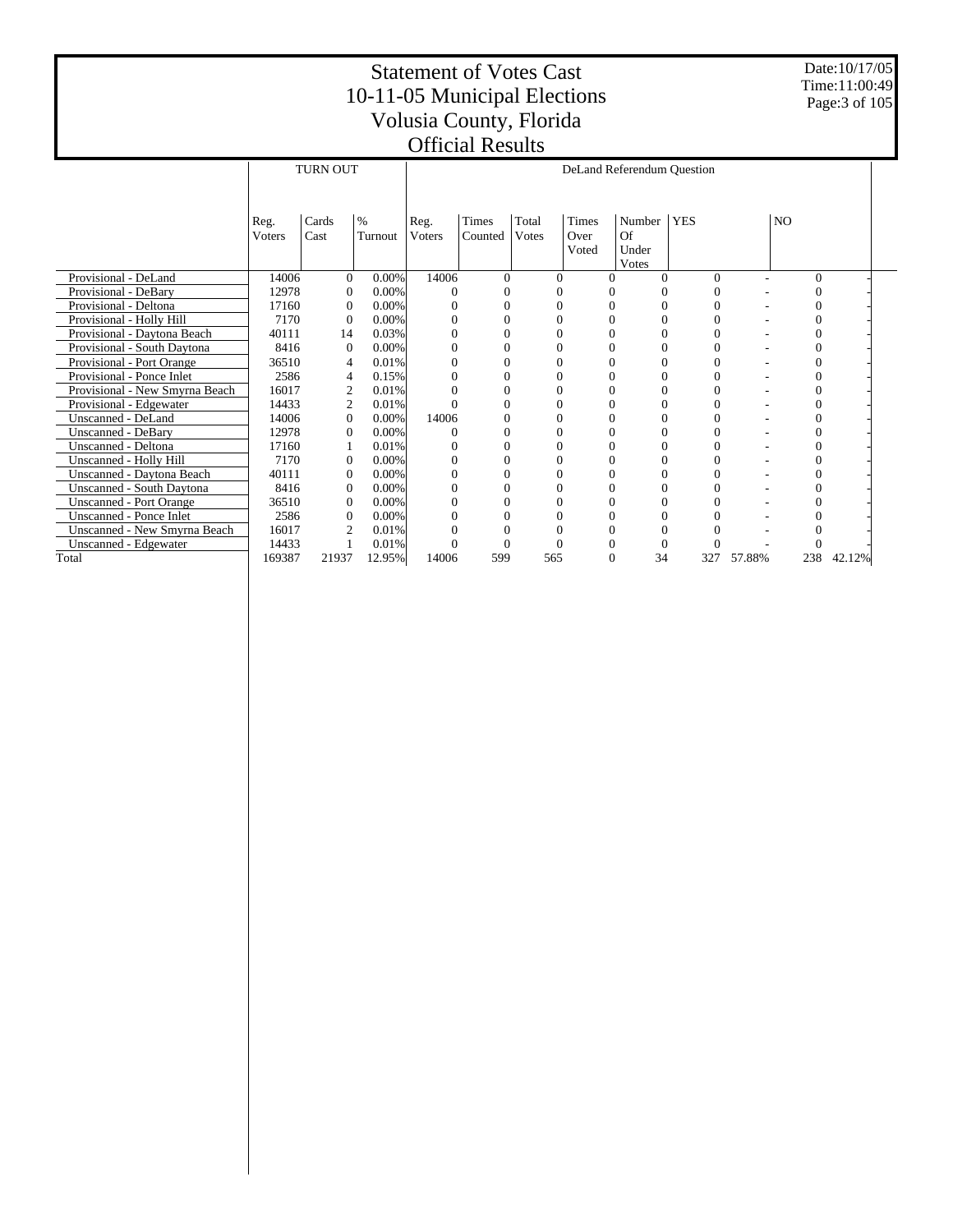Date:10/17/05 Time:11:00:49 Page:3 of 105

|                                  | <b>TURN OUT</b><br>DeLand Referendum Question |                |          |                |          |               |       |          |            |        |          |        |
|----------------------------------|-----------------------------------------------|----------------|----------|----------------|----------|---------------|-------|----------|------------|--------|----------|--------|
|                                  |                                               |                |          |                |          |               |       |          |            |        |          |        |
|                                  |                                               |                |          |                |          |               |       |          |            |        |          |        |
|                                  | Reg.                                          | Cards          | $\%$     | Reg.           | Times    | Total         | Times | Number   | <b>YES</b> |        | NO.      |        |
|                                  | Voters                                        | Cast           | Turnout  | <b>V</b> oters | Counted  | <b>V</b> otes | Over  | Of       |            |        |          |        |
|                                  |                                               |                |          |                |          |               | Voted | Under    |            |        |          |        |
|                                  |                                               |                |          |                |          |               |       | Votes    |            |        |          |        |
| Provisional - DeLand             | 14006                                         | $\Omega$       | $0.00\%$ | 14006          | $\Omega$ | $\Omega$      |       | $\Omega$ | $\Omega$   |        | $\Omega$ |        |
| Provisional - DeBary             | 12978                                         | $\overline{0}$ | 0.00%    |                |          |               |       |          | $\Omega$   |        |          |        |
| Provisional - Deltona            | 17160                                         | $\overline{0}$ | $0.00\%$ |                | 0        |               |       |          |            |        |          |        |
| Provisional - Holly Hill         | 7170                                          | $\mathbf{0}$   | 0.00%    |                |          |               |       |          |            |        |          |        |
| Provisional - Daytona Beach      | 40111                                         | 14             | 0.03%    |                |          |               |       |          |            |        |          |        |
| Provisional - South Daytona      | 8416                                          | $\mathbf{0}$   | 0.00%    |                | 0        |               |       |          |            |        |          |        |
| Provisional - Port Orange        | 36510                                         | 4              | 0.01%    |                | 0        |               |       |          |            |        |          |        |
| Provisional - Ponce Inlet        | 2586                                          | 4              | 0.15%    |                | 0        |               |       |          |            |        |          |        |
| Provisional - New Smyrna Beach   | 16017                                         | 2              | 0.01%    |                | $\Omega$ | 0             |       |          | 0          |        | 0        |        |
| Provisional - Edgewater          | 14433                                         | $\overline{2}$ | 0.01%    |                | $\Omega$ |               |       |          | 0          |        |          |        |
| Unscanned - DeLand               | 14006                                         | $\Omega$       | $0.00\%$ | 14006          | 0        | 0             |       | 0        | 0          |        |          |        |
| <b>Unscanned - DeBary</b>        | 12978                                         | $\mathbf{0}$   | $0.00\%$ |                | 0        |               |       |          | 0          |        |          |        |
| Unscanned - Deltona              | 17160                                         |                | 0.01%    | 0              | $\Omega$ | 0             |       | 0        | $\Omega$   |        | 0        |        |
| Unscanned - Holly Hill           | 7170                                          | $\overline{0}$ | $0.00\%$ |                | 0        |               |       |          |            |        |          |        |
| Unscanned - Daytona Beach        | 40111                                         | 0              | 0.00%    |                | 0        |               |       |          | 0          |        |          |        |
| <b>Unscanned - South Daytona</b> | 8416                                          | $\overline{0}$ | $0.00\%$ |                |          |               |       |          |            |        |          |        |
| <b>Unscanned - Port Orange</b>   | 36510                                         | $\Omega$       | 0.00%    |                | 0        |               |       |          |            |        |          |        |
| <b>Unscanned - Ponce Inlet</b>   | 2586                                          | $\overline{0}$ | 0.00%    |                |          |               |       |          |            |        |          |        |
| Unscanned - New Smyrna Beach     | 16017                                         | $\overline{2}$ | 0.01%    |                | 0        |               |       |          |            |        |          |        |
| Unscanned - Edgewater            | 14433                                         |                | 0.01%    |                | $\theta$ |               |       |          |            |        |          |        |
| Total                            | 169387                                        | 21937          | 12.95%   | 14006          | 599      | 565           |       | 34       | 327        | 57.88% | 238      | 42.12% |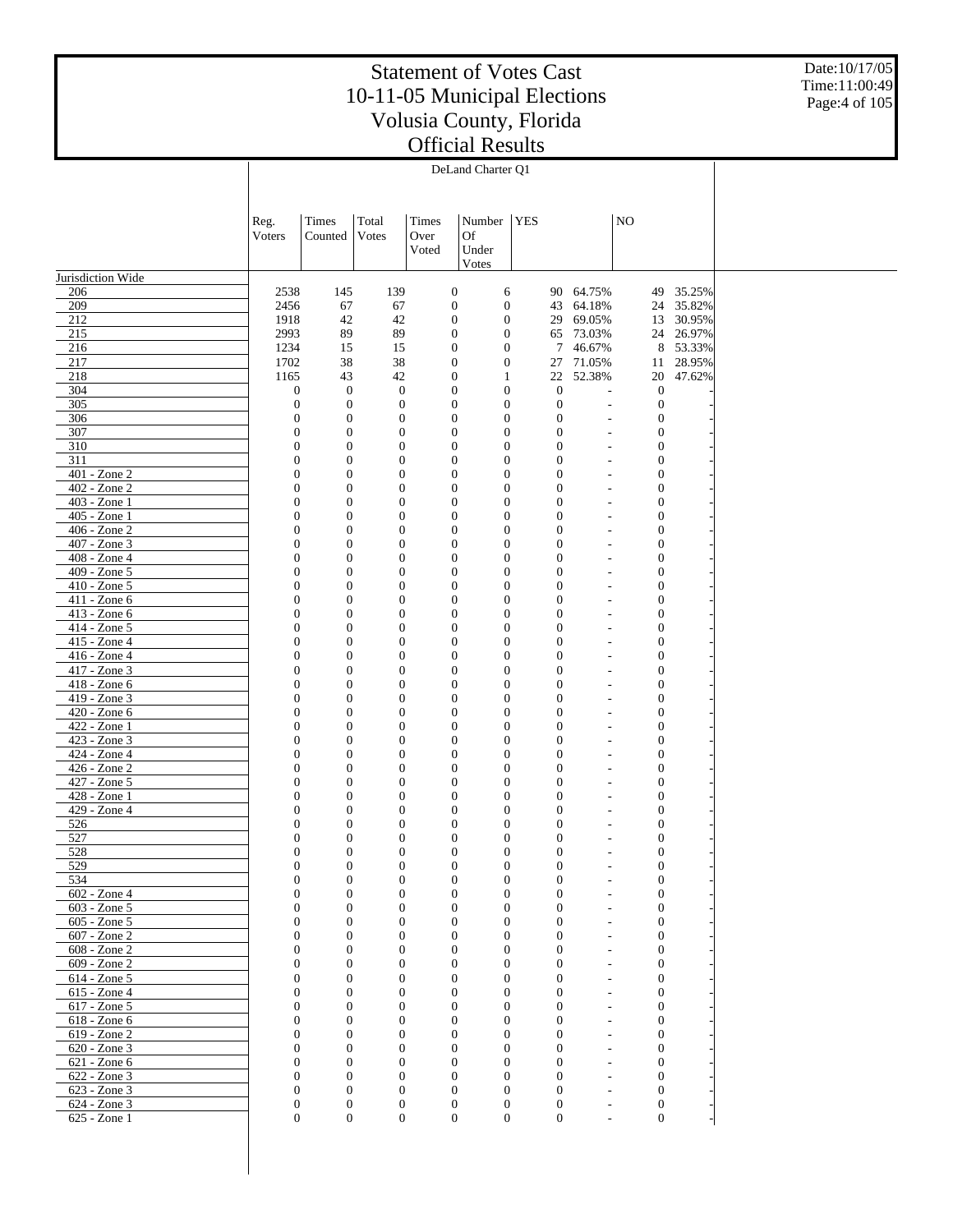Date:10/17/05 Time:11:00:49 Page:4 of 105

|                                 |                                |                                    |                                  |       | DeLand Charter Q1                                                        |            |                                    |                |                                      |           |
|---------------------------------|--------------------------------|------------------------------------|----------------------------------|-------|--------------------------------------------------------------------------|------------|------------------------------------|----------------|--------------------------------------|-----------|
|                                 |                                |                                    |                                  |       |                                                                          |            |                                    |                |                                      |           |
|                                 |                                |                                    |                                  |       |                                                                          |            |                                    |                |                                      |           |
|                                 | Reg.                           | Times                              | Total                            | Times | Number                                                                   | <b>YES</b> |                                    |                | NO                                   |           |
|                                 | Voters                         | Counted                            | Votes                            | Over  | <b>Of</b>                                                                |            |                                    |                |                                      |           |
|                                 |                                |                                    |                                  | Voted | Under                                                                    |            |                                    |                |                                      |           |
|                                 |                                |                                    |                                  |       | Votes                                                                    |            |                                    |                |                                      |           |
| Jurisdiction Wide               |                                |                                    |                                  |       |                                                                          |            |                                    |                |                                      |           |
| 206                             | 2538                           | 145                                | 139                              |       | $\boldsymbol{0}$<br>6                                                    |            | 90                                 | 64.75%         | 49                                   | 35.25%    |
| 209                             | 2456                           | 67                                 | 67                               |       | $\boldsymbol{0}$<br>$\mathbf{0}$                                         |            | 43                                 | 64.18%         |                                      | 24 35.82% |
| 212                             | 1918                           | 42                                 | 42                               |       | $\boldsymbol{0}$<br>$\boldsymbol{0}$                                     |            | 29                                 | 69.05%         | 13                                   | 30.95%    |
| 215                             | 2993                           | 89                                 | 89                               |       | $\boldsymbol{0}$<br>$\boldsymbol{0}$                                     |            | 65                                 | 73.03%         |                                      | 24 26.97% |
| 216                             | 1234                           | 15                                 | 15                               |       | $\boldsymbol{0}$<br>$\boldsymbol{0}$                                     |            | 7                                  | 46.67%         | 8                                    | 53.33%    |
| 217                             | 1702                           | 38                                 | 38                               |       | $\boldsymbol{0}$<br>$\boldsymbol{0}$                                     |            | 27                                 | 71.05%         | 11                                   | 28.95%    |
| 218                             | 1165                           | 43                                 | 42                               |       | $\boldsymbol{0}$<br>$\mathbf{1}$                                         |            | 22                                 | 52.38%         | 20                                   | 47.62%    |
| 304                             | $\boldsymbol{0}$               | $\mathbf{0}$                       | $\mathbf{0}$                     |       | $\boldsymbol{0}$<br>$\boldsymbol{0}$                                     |            | $\boldsymbol{0}$                   | $\overline{a}$ | $\boldsymbol{0}$                     |           |
| 305                             | $\mathbf{0}$                   | $\mathbf{0}$                       | $\boldsymbol{0}$                 |       | $\boldsymbol{0}$<br>$\boldsymbol{0}$                                     |            | $\mathbf{0}$                       | ٠              | $\boldsymbol{0}$                     |           |
| 306                             | $\theta$                       | $\mathbf{0}$                       | $\mathbf{0}$                     |       | $\boldsymbol{0}$<br>$\boldsymbol{0}$                                     |            | $\mathbf{0}$                       |                | $\boldsymbol{0}$                     |           |
| 307                             | $\mathbf{0}$                   | $\boldsymbol{0}$                   | $\boldsymbol{0}$                 |       | $\boldsymbol{0}$<br>$\boldsymbol{0}$                                     |            | $\boldsymbol{0}$                   |                | $\boldsymbol{0}$                     |           |
| 310<br>311                      | $\overline{0}$                 | $\overline{0}$                     | $\mathbf{0}$                     |       | $\boldsymbol{0}$<br>$\boldsymbol{0}$                                     |            | $\overline{0}$                     |                | $\boldsymbol{0}$                     |           |
|                                 | $\mathbf{0}$                   | $\boldsymbol{0}$                   | $\boldsymbol{0}$                 |       | $\boldsymbol{0}$<br>$\boldsymbol{0}$                                     |            | $\boldsymbol{0}$                   |                | $\boldsymbol{0}$                     |           |
| 401 - Zone 2<br>402 - Zone 2    | $\overline{0}$<br>$\mathbf{0}$ | $\overline{0}$<br>$\boldsymbol{0}$ | $\mathbf{0}$<br>$\boldsymbol{0}$ |       | $\mathbf{0}$<br>$\boldsymbol{0}$<br>$\boldsymbol{0}$<br>$\boldsymbol{0}$ |            | $\overline{0}$<br>$\boldsymbol{0}$ |                | $\boldsymbol{0}$<br>$\boldsymbol{0}$ |           |
| 403 - Zone 1                    | $\overline{0}$                 | $\overline{0}$                     | $\mathbf{0}$                     |       | $\mathbf{0}$<br>$\boldsymbol{0}$                                         |            | $\overline{0}$                     |                | $\boldsymbol{0}$                     |           |
| 405 - Zone 1                    | $\mathbf{0}$                   | $\boldsymbol{0}$                   | $\boldsymbol{0}$                 |       | $\boldsymbol{0}$<br>$\boldsymbol{0}$                                     |            | $\boldsymbol{0}$                   |                | $\boldsymbol{0}$                     |           |
| 406 - Zone 2                    | $\overline{0}$                 | $\overline{0}$                     | $\mathbf{0}$                     |       | $\mathbf{0}$<br>$\boldsymbol{0}$                                         |            | $\overline{0}$                     |                | $\boldsymbol{0}$                     |           |
| $407 - Z$ one 3                 | $\mathbf{0}$                   | $\boldsymbol{0}$                   | $\boldsymbol{0}$                 |       | $\boldsymbol{0}$<br>$\boldsymbol{0}$                                     |            | $\boldsymbol{0}$                   |                | $\boldsymbol{0}$                     |           |
| 408 - Zone 4                    | $\overline{0}$                 | $\overline{0}$                     | $\mathbf{0}$                     |       | $\boldsymbol{0}$<br>$\boldsymbol{0}$                                     |            | $\boldsymbol{0}$                   |                | $\boldsymbol{0}$                     |           |
| 409 - Zone 5                    | $\mathbf{0}$                   | $\boldsymbol{0}$                   | $\boldsymbol{0}$                 |       | $\boldsymbol{0}$<br>$\boldsymbol{0}$                                     |            | $\boldsymbol{0}$                   |                | $\boldsymbol{0}$                     |           |
| $410 - Z$ one 5                 | $\overline{0}$                 | $\overline{0}$                     | $\mathbf{0}$                     |       | $\mathbf{0}$<br>$\boldsymbol{0}$                                         |            | $\boldsymbol{0}$                   |                | $\boldsymbol{0}$                     |           |
| 411 - Zone 6                    | $\mathbf{0}$                   | $\boldsymbol{0}$                   | $\boldsymbol{0}$                 |       | $\boldsymbol{0}$<br>$\boldsymbol{0}$                                     |            | $\boldsymbol{0}$                   |                | $\boldsymbol{0}$                     |           |
| 413 - Zone 6                    | $\overline{0}$                 | $\overline{0}$                     | $\mathbf{0}$                     |       | $\mathbf{0}$<br>$\boldsymbol{0}$                                         |            | $\overline{0}$                     |                | $\boldsymbol{0}$                     |           |
| 414 - Zone 5                    | $\mathbf{0}$                   | $\boldsymbol{0}$                   | $\boldsymbol{0}$                 |       | $\boldsymbol{0}$<br>$\boldsymbol{0}$                                     |            | $\boldsymbol{0}$                   |                | $\boldsymbol{0}$                     |           |
| 415 - Zone 4                    | $\overline{0}$                 | $\overline{0}$                     | $\mathbf{0}$                     |       | $\mathbf{0}$<br>$\boldsymbol{0}$                                         |            | $\overline{0}$                     |                | $\boldsymbol{0}$                     |           |
| 416 - Zone 4                    | $\mathbf{0}$                   | $\boldsymbol{0}$                   | $\boldsymbol{0}$                 |       | $\boldsymbol{0}$<br>$\boldsymbol{0}$                                     |            | $\boldsymbol{0}$                   |                | $\boldsymbol{0}$                     |           |
| 417 - Zone 3                    | $\overline{0}$                 | $\mathbf{0}$                       | $\mathbf{0}$                     |       | $\boldsymbol{0}$<br>$\boldsymbol{0}$                                     |            | $\boldsymbol{0}$                   |                | $\boldsymbol{0}$                     |           |
| 418 - Zone 6                    | $\mathbf{0}$                   | $\boldsymbol{0}$                   | $\boldsymbol{0}$                 |       | $\boldsymbol{0}$<br>$\boldsymbol{0}$                                     |            | $\boldsymbol{0}$                   |                | $\boldsymbol{0}$                     |           |
| 419 - Zone 3                    | $\overline{0}$                 | $\mathbf{0}$                       | $\mathbf{0}$                     |       | $\boldsymbol{0}$<br>$\boldsymbol{0}$                                     |            | $\boldsymbol{0}$                   |                | $\boldsymbol{0}$                     |           |
| 420 - Zone 6                    | $\mathbf{0}$                   | $\boldsymbol{0}$                   | $\boldsymbol{0}$                 |       | $\boldsymbol{0}$<br>$\boldsymbol{0}$                                     |            | $\boldsymbol{0}$                   |                | $\boldsymbol{0}$                     |           |
| 422 - Zone 1                    | $\overline{0}$                 | $\mathbf{0}$                       | $\mathbf{0}$                     |       | $\mathbf{0}$<br>$\boldsymbol{0}$                                         |            | $\mathbf{0}$                       |                | $\boldsymbol{0}$                     |           |
| 423 - Zone 3                    | $\mathbf{0}$                   | $\boldsymbol{0}$                   | $\boldsymbol{0}$                 |       | $\boldsymbol{0}$<br>$\boldsymbol{0}$                                     |            | $\boldsymbol{0}$                   |                | $\boldsymbol{0}$                     |           |
| 424 - Zone 4                    | $\overline{0}$                 | $\overline{0}$                     | $\mathbf{0}$                     |       | $\mathbf{0}$<br>$\boldsymbol{0}$                                         |            | $\overline{0}$                     |                | $\boldsymbol{0}$                     |           |
| 426 - Zone 2                    | $\mathbf{0}$                   | $\boldsymbol{0}$                   | $\boldsymbol{0}$                 |       | $\boldsymbol{0}$<br>$\boldsymbol{0}$                                     |            | $\boldsymbol{0}$                   |                | $\boldsymbol{0}$                     |           |
| 427 - Zone 5                    | $\overline{0}$                 | $\overline{0}$                     | $\mathbf{0}$                     |       | $\boldsymbol{0}$<br>$\boldsymbol{0}$                                     |            | $\boldsymbol{0}$                   |                | $\boldsymbol{0}$                     |           |
| 428 - Zone 1                    | $\overline{0}$                 | $\boldsymbol{0}$                   | $\boldsymbol{0}$                 |       | $\boldsymbol{0}$<br>$\boldsymbol{0}$                                     |            | $\boldsymbol{0}$                   |                | $\boldsymbol{0}$                     |           |
| 429 - Zone 4                    | $\overline{0}$                 | $\overline{0}$                     | $\mathbf{0}$                     |       | $\mathbf{0}$<br>$\boldsymbol{0}$                                         |            | $\mathbf{0}$                       |                | $\boldsymbol{0}$                     |           |
| 526                             | $\overline{0}$                 | $\boldsymbol{0}$                   | $\boldsymbol{0}$                 |       | $\mathbf{0}$<br>$\boldsymbol{0}$                                         |            | $\boldsymbol{0}$                   |                | $\boldsymbol{0}$                     |           |
| 527                             | $\overline{0}$<br>$\Omega$     | $\mathbf{0}$                       | $\overline{0}$                   |       | $\mathbf{0}$<br>$\mathbf{0}$                                             |            | $\boldsymbol{0}$                   | ٠              | $\boldsymbol{0}$                     |           |
| 528                             |                                | $\mathbf{0}$                       | $\overline{0}$                   |       | $\boldsymbol{0}$<br>$\Omega$                                             |            | $\mathbf{0}$                       |                | $\overline{0}$                       |           |
| 529                             | $\overline{0}$                 | $\boldsymbol{0}$                   | 0                                |       | $\boldsymbol{0}$<br>$\boldsymbol{0}$                                     |            | $\mathbf{0}$                       |                | $\boldsymbol{0}$                     |           |
| 534                             | $\theta$                       | $\mathbf{0}$                       | $\boldsymbol{0}$                 |       | $\boldsymbol{0}$<br>$\boldsymbol{0}$                                     |            | $\mathbf{0}$                       |                | $\boldsymbol{0}$                     |           |
| 602 - Zone 4                    | $\theta$                       | $\Omega$                           | $\overline{0}$                   |       | $\mathbf{0}$<br>$\mathbf{0}$<br>$\overline{0}$                           |            | $\mathbf{0}$                       |                | $\boldsymbol{0}$                     |           |
| 603 - Zone 5                    | $\theta$<br>$\Omega$           | $\mathbf{0}$                       | $\overline{0}$                   |       | $\boldsymbol{0}$                                                         |            | $\mathbf{0}$                       |                | $\boldsymbol{0}$                     |           |
| 605 - Zone 5                    | $\mathbf{0}$                   | $\Omega$<br>$\mathbf{0}$           | $\overline{0}$<br>$\overline{0}$ |       | $\mathbf{0}$<br>$\mathbf{0}$<br>$\boldsymbol{0}$                         |            | $\mathbf{0}$<br>$\mathbf{0}$       |                | $\boldsymbol{0}$                     |           |
| 607 - Zone 2<br>$608 - Z$ one 2 | $\Omega$                       | $\Omega$                           | $\Omega$                         |       | $\boldsymbol{0}$<br>$\mathbf{0}$<br>$\mathbf{0}$                         |            | $\Omega$                           |                | $\boldsymbol{0}$                     |           |
| 609 - Zone 2                    | $\mathbf{0}$                   | $\mathbf{0}$                       | $\overline{0}$                   |       | $\boldsymbol{0}$<br>$\mathbf{0}$                                         |            | $\mathbf{0}$                       |                | $\boldsymbol{0}$<br>$\boldsymbol{0}$ |           |
| 614 - Zone 5                    | $\Omega$                       | $\Omega$                           | $\Omega$                         |       | $\mathbf{0}$<br>$\mathbf{0}$                                             |            | $\Omega$                           |                | $\boldsymbol{0}$                     |           |
| 615 - Zone 4                    | $\mathbf{0}$                   | $\boldsymbol{0}$                   | $\boldsymbol{0}$                 |       | $\boldsymbol{0}$<br>$\boldsymbol{0}$                                     |            | $\mathbf{0}$                       |                | $\boldsymbol{0}$                     |           |
| 617 - Zone 5                    | $\Omega$                       | $\Omega$                           | $\overline{0}$                   |       | $\mathbf{0}$<br>$\mathbf{0}$                                             |            | $\mathbf{0}$                       |                | $\boldsymbol{0}$                     |           |
| $618 - Zone6$                   | $\mathbf{0}$                   | $\mathbf{0}$                       | $\overline{0}$                   |       | $\overline{0}$<br>$\boldsymbol{0}$                                       |            | $\mathbf{0}$                       |                | $\boldsymbol{0}$                     |           |
| 619 - Zone 2                    | $\Omega$                       | $\Omega$                           | $\Omega$                         |       | $\mathbf{0}$<br>$\mathbf{0}$                                             |            | $\Omega$                           |                | $\boldsymbol{0}$                     |           |
| 620 - Zone 3                    | $\mathbf{0}$                   | $\boldsymbol{0}$                   | $\overline{0}$                   |       | $\mathbf{0}$<br>$\boldsymbol{0}$                                         |            | $\mathbf{0}$                       |                | $\boldsymbol{0}$                     |           |
| 621 - Zone 6                    | $\Omega$                       | $\Omega$                           | $\Omega$                         |       | $\mathbf{0}$<br>$\mathbf{0}$                                             |            | $\Omega$                           |                | $\boldsymbol{0}$                     |           |
| 622 - Zone 3                    | $\mathbf{0}$                   | $\mathbf{0}$                       | $\overline{0}$                   |       | $\mathbf{0}$<br>$\mathbf{0}$                                             |            | $\mathbf{0}$                       |                | $\boldsymbol{0}$                     |           |
| 623 - Zone 3                    | $\Omega$                       | $\mathbf{0}$                       | $\overline{0}$                   |       | $\mathbf{0}$<br>$\mathbf{0}$                                             |            | $\theta$                           | ٠              | $\boldsymbol{0}$                     |           |
| 624 - Zone 3                    | $\boldsymbol{0}$               | $\boldsymbol{0}$                   | $\boldsymbol{0}$                 |       | $\boldsymbol{0}$<br>$\mathbf{0}$                                         |            | $\boldsymbol{0}$                   | ٠              | $\boldsymbol{0}$                     |           |
| 625 - Zone 1                    | $\boldsymbol{0}$               | $\boldsymbol{0}$                   | $\boldsymbol{0}$                 |       | $\boldsymbol{0}$<br>$\boldsymbol{0}$                                     |            | $\boldsymbol{0}$                   | $\overline{a}$ | $\boldsymbol{0}$                     |           |
|                                 |                                |                                    |                                  |       |                                                                          |            |                                    |                |                                      |           |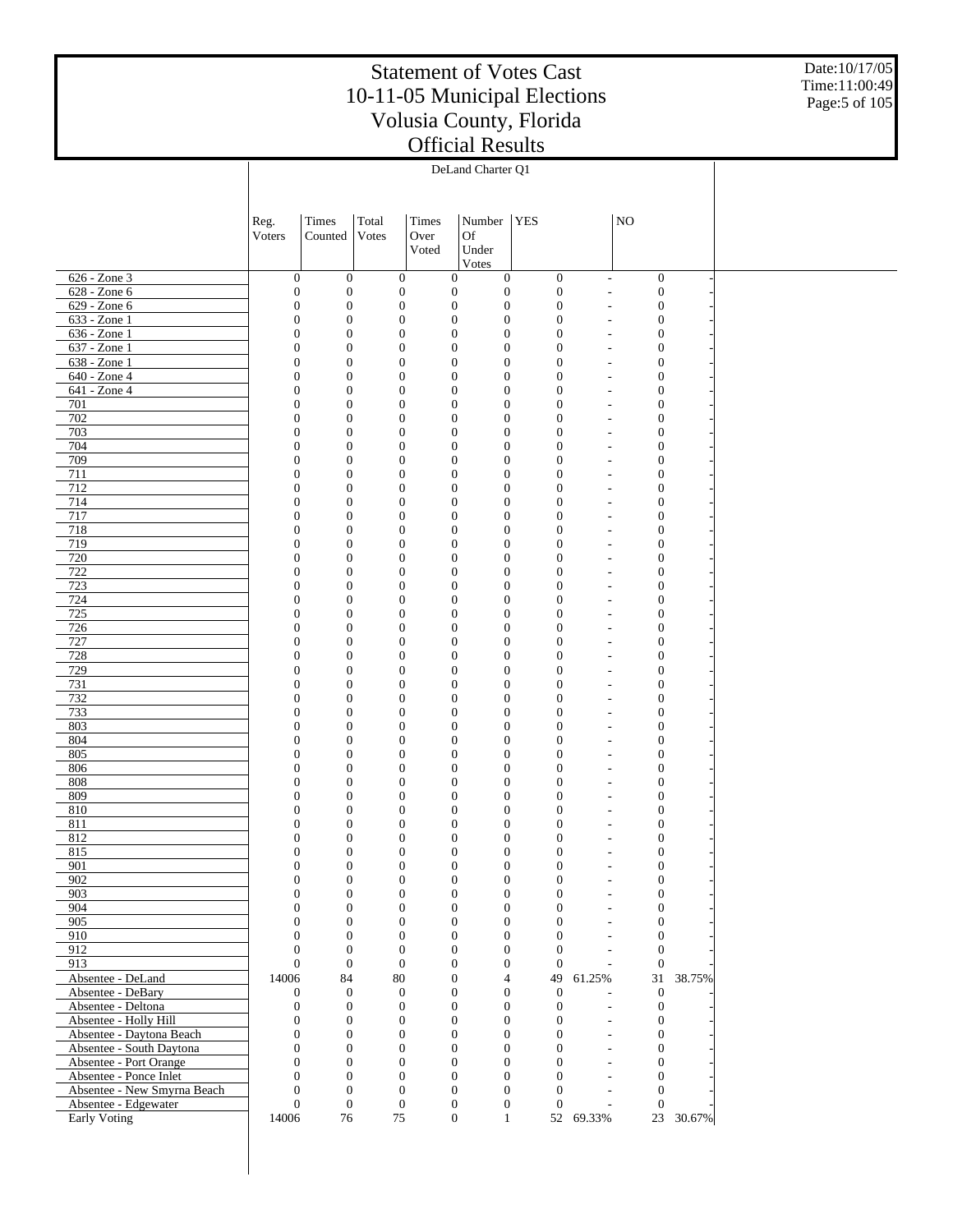Date:10/17/05 Time:11:00:49 Page:5 of 105

|                                             | Reg.                                 | Times                                | Total                            | Times | Number                                                                       | <b>YES</b>                           |                                                      | NO <sub>1</sub>                      |        |  |
|---------------------------------------------|--------------------------------------|--------------------------------------|----------------------------------|-------|------------------------------------------------------------------------------|--------------------------------------|------------------------------------------------------|--------------------------------------|--------|--|
|                                             | Voters                               | Counted                              | Votes                            | Over  | <b>Of</b>                                                                    |                                      |                                                      |                                      |        |  |
|                                             |                                      |                                      |                                  | Voted | Under                                                                        |                                      |                                                      |                                      |        |  |
|                                             |                                      |                                      |                                  |       | Votes                                                                        |                                      |                                                      |                                      |        |  |
| 626 - Zone 3                                | $\mathbf{0}$                         | $\boldsymbol{0}$                     | $\boldsymbol{0}$                 |       | $\mathbf{0}$<br>$\mathbf{0}$                                                 | $\mathbf{0}$                         | $\overline{\phantom{a}}$                             | $\mathbf{0}$                         |        |  |
| 628 - Zone 6                                | $\boldsymbol{0}$                     | $\mathbf{0}$                         | $\boldsymbol{0}$                 |       | $\boldsymbol{0}$<br>$\boldsymbol{0}$                                         | $\mathbf{0}$                         | $\overline{\phantom{a}}$                             | $\boldsymbol{0}$                     |        |  |
| 629 - Zone 6                                | $\boldsymbol{0}$                     | $\mathbf{0}$                         | $\boldsymbol{0}$                 |       | $\boldsymbol{0}$<br>$\boldsymbol{0}$                                         | $\boldsymbol{0}$                     | L,                                                   | $\boldsymbol{0}$                     |        |  |
| $633 - Zone1$                               | $\boldsymbol{0}$                     | $\boldsymbol{0}$                     | $\mathbf{0}$                     |       | $\mathbf{0}$<br>$\boldsymbol{0}$                                             | $\boldsymbol{0}$                     | $\overline{\phantom{a}}$                             | $\boldsymbol{0}$                     |        |  |
| 636 - Zone 1<br>637 - Zone 1                | $\boldsymbol{0}$<br>$\mathbf{0}$     | $\mathbf{0}$<br>$\boldsymbol{0}$     | $\boldsymbol{0}$<br>$\mathbf{0}$ |       | $\boldsymbol{0}$<br>$\boldsymbol{0}$<br>$\boldsymbol{0}$<br>$\boldsymbol{0}$ | $\boldsymbol{0}$<br>$\mathbf{0}$     | $\overline{\phantom{a}}$<br>$\overline{\phantom{a}}$ | $\boldsymbol{0}$<br>$\boldsymbol{0}$ |        |  |
| 638 - Zone 1                                | $\boldsymbol{0}$                     | $\mathbf{0}$                         | $\boldsymbol{0}$                 |       | $\boldsymbol{0}$<br>$\boldsymbol{0}$                                         | $\overline{0}$                       | $\overline{\phantom{a}}$                             | $\boldsymbol{0}$                     |        |  |
| 640 - Zone 4                                | $\boldsymbol{0}$                     | $\boldsymbol{0}$                     | $\mathbf{0}$                     |       | $\boldsymbol{0}$<br>$\boldsymbol{0}$                                         | $\boldsymbol{0}$                     | $\overline{\phantom{a}}$                             | $\boldsymbol{0}$                     |        |  |
| 641 - Zone 4                                | $\boldsymbol{0}$                     | $\mathbf{0}$                         | $\boldsymbol{0}$                 |       | $\boldsymbol{0}$<br>$\boldsymbol{0}$                                         | $\boldsymbol{0}$                     | $\overline{\phantom{a}}$                             | $\boldsymbol{0}$                     |        |  |
| 701                                         | $\mathbf{0}$                         | $\boldsymbol{0}$                     | $\mathbf{0}$                     |       | $\boldsymbol{0}$<br>$\boldsymbol{0}$                                         | $\mathbf{0}$                         | $\overline{\phantom{a}}$                             | $\boldsymbol{0}$                     |        |  |
| 702                                         | $\boldsymbol{0}$                     | $\mathbf{0}$                         | $\boldsymbol{0}$                 |       | $\boldsymbol{0}$<br>$\boldsymbol{0}$                                         | $\boldsymbol{0}$                     | ٠                                                    | $\boldsymbol{0}$                     |        |  |
| 703                                         | $\boldsymbol{0}$                     | $\boldsymbol{0}$                     | $\mathbf{0}$                     |       | $\boldsymbol{0}$<br>$\boldsymbol{0}$                                         | $\boldsymbol{0}$                     | $\overline{\phantom{a}}$                             | $\boldsymbol{0}$                     |        |  |
| 704                                         | $\boldsymbol{0}$                     | $\mathbf{0}$                         | $\boldsymbol{0}$                 |       | $\boldsymbol{0}$<br>$\boldsymbol{0}$                                         | $\boldsymbol{0}$                     | $\overline{a}$                                       | $\boldsymbol{0}$                     |        |  |
| 709<br>711                                  | $\mathbf{0}$<br>$\boldsymbol{0}$     | $\boldsymbol{0}$<br>$\mathbf{0}$     | $\mathbf{0}$<br>$\boldsymbol{0}$ |       | $\boldsymbol{0}$<br>$\boldsymbol{0}$<br>$\boldsymbol{0}$<br>$\boldsymbol{0}$ | $\mathbf{0}$<br>$\boldsymbol{0}$     | $\overline{\phantom{a}}$<br>$\overline{a}$           | $\boldsymbol{0}$<br>$\boldsymbol{0}$ |        |  |
| 712                                         | $\boldsymbol{0}$                     | $\boldsymbol{0}$                     | $\mathbf{0}$                     |       | $\boldsymbol{0}$<br>$\boldsymbol{0}$                                         | $\boldsymbol{0}$                     | $\overline{\phantom{a}}$                             | $\boldsymbol{0}$                     |        |  |
| 714                                         | $\boldsymbol{0}$                     | $\mathbf{0}$                         | $\boldsymbol{0}$                 |       | $\boldsymbol{0}$<br>$\boldsymbol{0}$                                         | $\boldsymbol{0}$                     | $\overline{a}$                                       | $\boldsymbol{0}$                     |        |  |
| 717                                         | $\mathbf{0}$                         | $\boldsymbol{0}$                     | $\mathbf{0}$                     |       | $\boldsymbol{0}$<br>$\boldsymbol{0}$                                         | $\mathbf{0}$                         | $\overline{\phantom{a}}$                             | $\boldsymbol{0}$                     |        |  |
| 718                                         | $\boldsymbol{0}$                     | $\mathbf{0}$                         | $\mathbf{0}$                     |       | $\boldsymbol{0}$<br>$\boldsymbol{0}$                                         | $\overline{0}$                       | ٠                                                    | $\boldsymbol{0}$                     |        |  |
| 719                                         | $\boldsymbol{0}$                     | $\boldsymbol{0}$                     | $\mathbf{0}$                     |       | $\boldsymbol{0}$<br>$\boldsymbol{0}$                                         | $\boldsymbol{0}$                     | $\overline{\phantom{a}}$                             | $\boldsymbol{0}$                     |        |  |
| 720                                         | $\boldsymbol{0}$                     | $\mathbf{0}$                         | $\boldsymbol{0}$                 |       | $\boldsymbol{0}$<br>$\boldsymbol{0}$                                         | $\boldsymbol{0}$                     | $\overline{\phantom{a}}$                             | $\boldsymbol{0}$                     |        |  |
| 722                                         | $\mathbf{0}$                         | $\boldsymbol{0}$                     | $\mathbf{0}$                     |       | $\boldsymbol{0}$<br>$\boldsymbol{0}$                                         | $\mathbf{0}$                         | $\overline{\phantom{a}}$                             | $\boldsymbol{0}$                     |        |  |
| 723                                         | $\boldsymbol{0}$                     | $\mathbf{0}$                         | $\boldsymbol{0}$                 |       | $\boldsymbol{0}$<br>$\boldsymbol{0}$                                         | $\overline{0}$                       | $\overline{\phantom{a}}$                             | $\boldsymbol{0}$                     |        |  |
| 724<br>725                                  | $\boldsymbol{0}$<br>$\boldsymbol{0}$ | $\boldsymbol{0}$<br>$\mathbf{0}$     | $\mathbf{0}$<br>$\boldsymbol{0}$ |       | $\boldsymbol{0}$<br>$\boldsymbol{0}$<br>$\boldsymbol{0}$<br>$\boldsymbol{0}$ | $\boldsymbol{0}$<br>$\boldsymbol{0}$ | $\overline{\phantom{a}}$<br>$\overline{\phantom{a}}$ | $\boldsymbol{0}$<br>$\boldsymbol{0}$ |        |  |
| 726                                         | $\mathbf{0}$                         | $\boldsymbol{0}$                     | $\mathbf{0}$                     |       | $\boldsymbol{0}$<br>$\boldsymbol{0}$                                         | $\mathbf{0}$                         | $\overline{\phantom{a}}$                             | $\boldsymbol{0}$                     |        |  |
| 727                                         | $\boldsymbol{0}$                     | $\mathbf{0}$                         | $\boldsymbol{0}$                 |       | $\boldsymbol{0}$<br>$\boldsymbol{0}$                                         | $\boldsymbol{0}$                     | ٠                                                    | $\boldsymbol{0}$                     |        |  |
| 728                                         | $\boldsymbol{0}$                     | $\boldsymbol{0}$                     | $\mathbf{0}$                     |       | $\boldsymbol{0}$<br>$\boldsymbol{0}$                                         | $\boldsymbol{0}$                     | $\overline{\phantom{a}}$                             | $\boldsymbol{0}$                     |        |  |
| 729                                         | $\boldsymbol{0}$                     | $\mathbf{0}$                         | $\boldsymbol{0}$                 |       | $\boldsymbol{0}$<br>$\boldsymbol{0}$                                         | $\boldsymbol{0}$                     | ٠                                                    | $\boldsymbol{0}$                     |        |  |
| 731                                         | $\mathbf{0}$                         | $\boldsymbol{0}$                     | $\mathbf{0}$                     |       | $\boldsymbol{0}$<br>$\boldsymbol{0}$                                         | $\mathbf{0}$                         | $\overline{\phantom{a}}$                             | $\boldsymbol{0}$                     |        |  |
| 732                                         | $\boldsymbol{0}$                     | $\mathbf{0}$                         | $\mathbf{0}$                     |       | $\boldsymbol{0}$<br>$\boldsymbol{0}$                                         | $\boldsymbol{0}$                     | $\overline{a}$                                       | $\boldsymbol{0}$                     |        |  |
| 733                                         | $\boldsymbol{0}$                     | $\boldsymbol{0}$                     | $\mathbf{0}$                     |       | $\boldsymbol{0}$<br>$\boldsymbol{0}$                                         | $\boldsymbol{0}$                     | $\overline{\phantom{a}}$                             | $\boldsymbol{0}$                     |        |  |
| 803<br>804                                  | $\boldsymbol{0}$<br>$\mathbf{0}$     | $\mathbf{0}$<br>$\boldsymbol{0}$     | $\boldsymbol{0}$<br>$\mathbf{0}$ |       | $\boldsymbol{0}$<br>$\boldsymbol{0}$<br>$\boldsymbol{0}$<br>$\boldsymbol{0}$ | $\boldsymbol{0}$<br>$\mathbf{0}$     | $\overline{a}$<br>$\overline{\phantom{a}}$           | $\boldsymbol{0}$<br>$\boldsymbol{0}$ |        |  |
| 805                                         | $\boldsymbol{0}$                     | $\mathbf{0}$                         | $\mathbf{0}$                     |       | $\boldsymbol{0}$<br>$\boldsymbol{0}$                                         | $\mathbf{0}$                         | ٠                                                    | $\boldsymbol{0}$                     |        |  |
| 806                                         | $\mathbf{0}$                         | $\boldsymbol{0}$                     | $\mathbf{0}$                     |       | $\boldsymbol{0}$<br>$\boldsymbol{0}$                                         | $\boldsymbol{0}$                     | $\overline{\phantom{a}}$                             | $\boldsymbol{0}$                     |        |  |
| 808                                         | $\boldsymbol{0}$                     | $\mathbf{0}$                         | $\boldsymbol{0}$                 |       | $\boldsymbol{0}$<br>$\boldsymbol{0}$                                         | $\mathbf{0}$                         | $\overline{\phantom{a}}$                             | $\boldsymbol{0}$                     |        |  |
| 809                                         | $\mathbf{0}$                         | $\boldsymbol{0}$                     | $\mathbf{0}$                     |       | $\boldsymbol{0}$<br>$\boldsymbol{0}$                                         | $\mathbf{0}$                         | $\overline{\phantom{a}}$                             | $\boldsymbol{0}$                     |        |  |
| 810                                         | $\boldsymbol{0}$                     | $\mathbf{0}$                         | $\boldsymbol{0}$                 |       | $\boldsymbol{0}$<br>$\boldsymbol{0}$                                         | $\mathbf{0}$                         | $\overline{\phantom{a}}$                             | $\boldsymbol{0}$                     |        |  |
| 811                                         | $\mathbf{0}$                         | $\mathbf{0}$                         | $\boldsymbol{0}$                 |       | $\boldsymbol{0}$<br>$\boldsymbol{0}$                                         | $\mathbf{0}$                         | $\overline{\phantom{a}}$                             | $\boldsymbol{0}$                     |        |  |
| 812                                         | $\boldsymbol{0}$                     | $\mathbf{0}$                         | $\mathbf{0}$                     |       | $\boldsymbol{0}$<br>$\mathbf{0}$                                             | $\boldsymbol{0}$                     | ÷.                                                   | $\boldsymbol{0}$                     |        |  |
| 815<br>901                                  | $\Omega$                             | $\mathbf{0}$<br>$\boldsymbol{0}$     | $\Omega$<br>$\mathbf{0}$         |       | $\mathbf{0}$<br>$\Omega$<br>$\boldsymbol{0}$<br>$\mathbf{0}$                 | $\Omega$<br>$\mathbf{0}$             | ۰                                                    | $\mathbf{0}$<br>$\mathbf{0}$         |        |  |
| 902                                         | $\boldsymbol{0}$<br>$\boldsymbol{0}$ | $\boldsymbol{0}$                     | $\boldsymbol{0}$                 |       | $\boldsymbol{0}$<br>$\boldsymbol{0}$                                         | $\boldsymbol{0}$                     | $\overline{\phantom{a}}$<br>$\overline{a}$           | $\boldsymbol{0}$                     |        |  |
| 903                                         | $\boldsymbol{0}$                     | $\boldsymbol{0}$                     | $\boldsymbol{0}$                 |       | $\boldsymbol{0}$<br>$\boldsymbol{0}$                                         | $\boldsymbol{0}$                     | $\overline{a}$                                       | $\boldsymbol{0}$                     |        |  |
| 904                                         | $\mathbf{0}$                         | $\boldsymbol{0}$                     | $\boldsymbol{0}$                 |       | $\boldsymbol{0}$<br>$\theta$                                                 | $\boldsymbol{0}$                     | $\overline{a}$                                       | $\boldsymbol{0}$                     |        |  |
| 905                                         | $\boldsymbol{0}$                     | $\boldsymbol{0}$                     | $\boldsymbol{0}$                 |       | $\boldsymbol{0}$<br>$\mathbf{0}$                                             | $\boldsymbol{0}$                     | $\overline{a}$                                       | $\boldsymbol{0}$                     |        |  |
| 910                                         | $\mathbf{0}$                         | $\boldsymbol{0}$                     | $\mathbf{0}$                     |       | $\boldsymbol{0}$<br>$\mathbf{0}$                                             | $\overline{0}$                       | $\overline{\phantom{a}}$                             | $\mathbf{0}$                         |        |  |
| 912                                         | $\mathbf{0}$                         | $\boldsymbol{0}$                     | $\boldsymbol{0}$                 |       | $\boldsymbol{0}$<br>$\mathbf{0}$                                             | $\mathbf{0}$                         | $\overline{a}$                                       | $\mathbf{0}$                         |        |  |
| 913                                         | $\overline{0}$                       | $\boldsymbol{0}$                     | $\mathbf{0}$                     |       | $\boldsymbol{0}$<br>$\mathbf{0}$                                             | $\mathbf{0}$                         | $\sim$                                               | $\boldsymbol{0}$                     |        |  |
| Absentee - DeLand                           | 14006                                | 84                                   | 80                               |       | $\overline{4}$<br>$\mathbf{0}$                                               | 49                                   | 61.25%                                               | 31                                   | 38.75% |  |
| Absentee - DeBary                           | 0                                    | $\mathbf{0}$                         | $\boldsymbol{0}$                 |       | $\boldsymbol{0}$<br>$\mathbf{0}$                                             | $\mathbf{0}$                         | ٠                                                    | $\mathbf{0}$                         |        |  |
| Absentee - Deltona<br>Absentee - Holly Hill | $\boldsymbol{0}$<br>$\overline{0}$   | $\boldsymbol{0}$<br>$\boldsymbol{0}$ | $\mathbf{0}$<br>$\boldsymbol{0}$ |       | $\boldsymbol{0}$<br>$\mathbf{0}$<br>$\boldsymbol{0}$<br>$\mathbf{0}$         | $\boldsymbol{0}$<br>$\boldsymbol{0}$ | $\sim$<br>$\overline{a}$                             | $\boldsymbol{0}$<br>$\boldsymbol{0}$ |        |  |
| Absentee - Daytona Beach                    | $\boldsymbol{0}$                     | $\boldsymbol{0}$                     | $\boldsymbol{0}$                 |       | $\boldsymbol{0}$<br>$\mathbf{0}$                                             | $\boldsymbol{0}$                     | $\sim$                                               | $\boldsymbol{0}$                     |        |  |
| Absentee - South Daytona                    | $\overline{0}$                       | $\boldsymbol{0}$                     | $\boldsymbol{0}$                 |       | $\boldsymbol{0}$<br>$\mathbf{0}$                                             | $\mathbf{0}$                         | $\sim$                                               | $\boldsymbol{0}$                     |        |  |
| Absentee - Port Orange                      | $\mathbf{0}$                         | $\boldsymbol{0}$                     | $\boldsymbol{0}$                 |       | $\mathbf{0}$<br>$\mathbf{0}$                                                 | $\overline{0}$                       | ÷.                                                   | $\boldsymbol{0}$                     |        |  |
| Absentee - Ponce Inlet                      | $\mathbf{0}$                         | $\boldsymbol{0}$                     | $\mathbf{0}$                     |       | $\mathbf{0}$<br>$\mathbf{0}$                                                 | $\mathbf{0}$                         | $\sim$                                               | $\mathbf{0}$                         |        |  |
| Absentee - New Smyrna Beach                 | $\mathbf{0}$                         | $\boldsymbol{0}$                     | $\boldsymbol{0}$                 |       | $\boldsymbol{0}$<br>$\mathbf{0}$                                             | $\mathbf{0}$                         | ÷.                                                   | $\mathbf{0}$                         |        |  |
| Absentee - Edgewater                        | $\overline{0}$                       | $\boldsymbol{0}$                     | $\mathbf{0}$                     |       | $\boldsymbol{0}$<br>$\mathbf{0}$                                             | $\mathbf{0}$                         | $\sim$                                               | $\boldsymbol{0}$                     |        |  |
| Early Voting                                | 14006                                | 76                                   | $75\,$                           |       | $\boldsymbol{0}$<br>$\mathbf{1}$                                             |                                      | 52 69.33%                                            | 23                                   | 30.67% |  |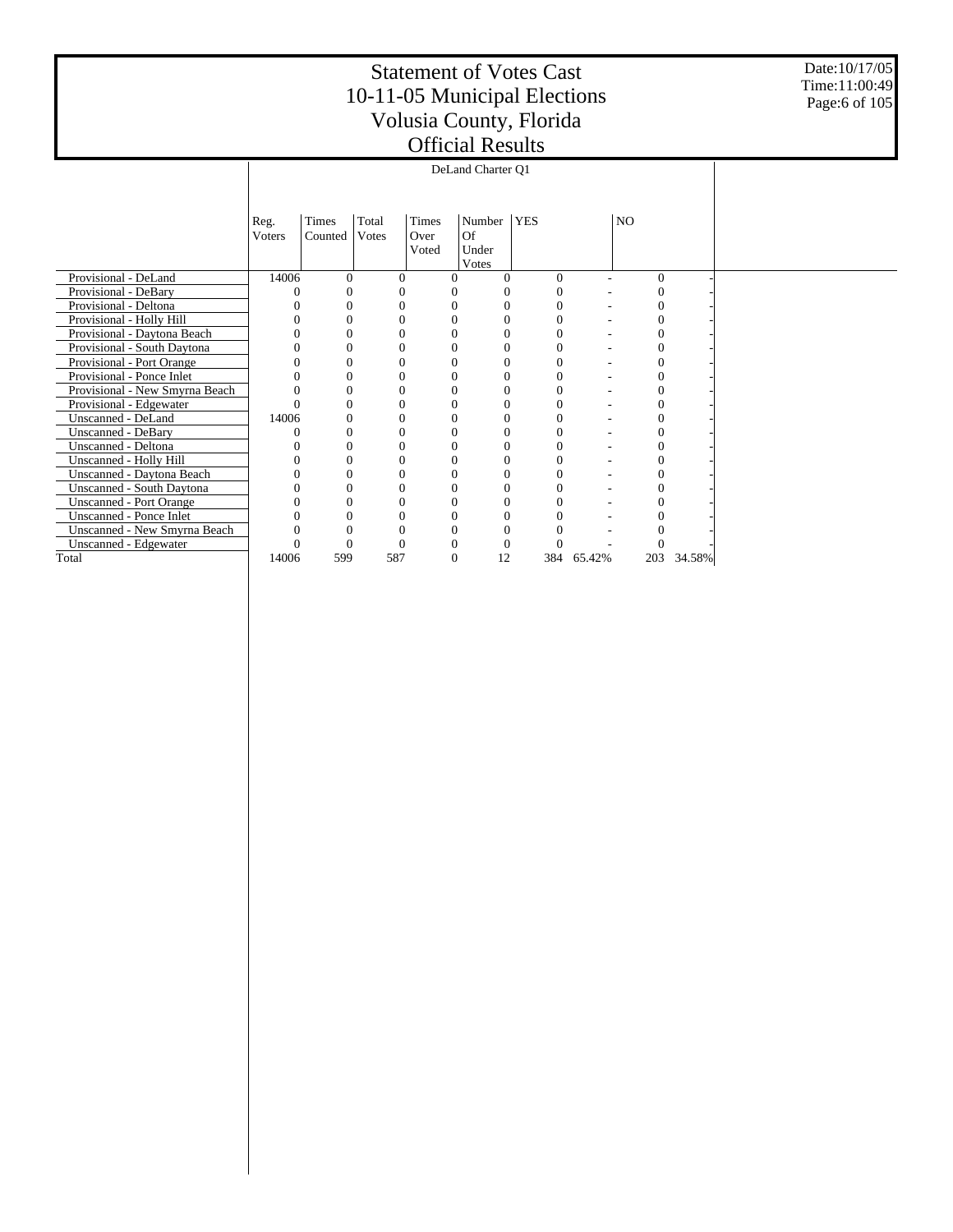Date:10/17/05 Time:11:00:49 Page:6 of 105

|                                | Reg.   | Times    | Total    | Times    | Number    | <b>YES</b> |        | NO       |        |  |
|--------------------------------|--------|----------|----------|----------|-----------|------------|--------|----------|--------|--|
|                                | Voters | Counted  | Votes    | Over     | <b>Of</b> |            |        |          |        |  |
|                                |        |          |          | Voted    | Under     |            |        |          |        |  |
|                                |        |          |          |          | Votes     |            |        |          |        |  |
| Provisional - DeLand           | 14006  | $\Omega$ | $\Omega$ | 0        |           | $\Omega$   |        | $\Omega$ |        |  |
| Provisional - DeBary           |        |          |          |          |           |            |        |          |        |  |
| Provisional - Deltona          |        |          |          |          |           |            |        |          |        |  |
| Provisional - Holly Hill       |        |          |          |          |           |            |        |          |        |  |
| Provisional - Daytona Beach    |        |          |          |          |           |            |        |          |        |  |
| Provisional - South Daytona    |        |          |          |          |           |            |        |          |        |  |
| Provisional - Port Orange      |        | $\Omega$ | 0        | 0        |           |            |        |          |        |  |
| Provisional - Ponce Inlet      |        |          |          |          |           |            |        |          |        |  |
| Provisional - New Smyrna Beach |        | 0        |          |          |           |            |        |          |        |  |
| Provisional - Edgewater        |        |          |          |          |           |            |        |          |        |  |
| Unscanned - DeLand             | 14006  |          |          |          |           |            |        |          |        |  |
| Unscanned - DeBary             |        |          |          |          |           |            |        |          |        |  |
| Unscanned - Deltona            |        |          |          |          |           |            |        |          |        |  |
| Unscanned - Holly Hill         |        | $\Omega$ |          | 0        |           |            |        |          |        |  |
| Unscanned - Daytona Beach      |        |          |          |          |           |            |        |          |        |  |
| Unscanned - South Daytona      |        |          |          |          |           |            |        |          |        |  |
| <b>Unscanned - Port Orange</b> |        |          |          |          |           |            |        |          |        |  |
| Unscanned - Ponce Inlet        |        |          |          |          |           |            |        |          |        |  |
| Unscanned - New Smyrna Beach   |        |          |          |          |           |            |        |          |        |  |
| Unscanned - Edgewater          |        |          |          |          |           |            |        |          |        |  |
| Total                          | 14006  | 599      | 587      | $\theta$ | 12        | 384        | 65.42% | 203      | 34.58% |  |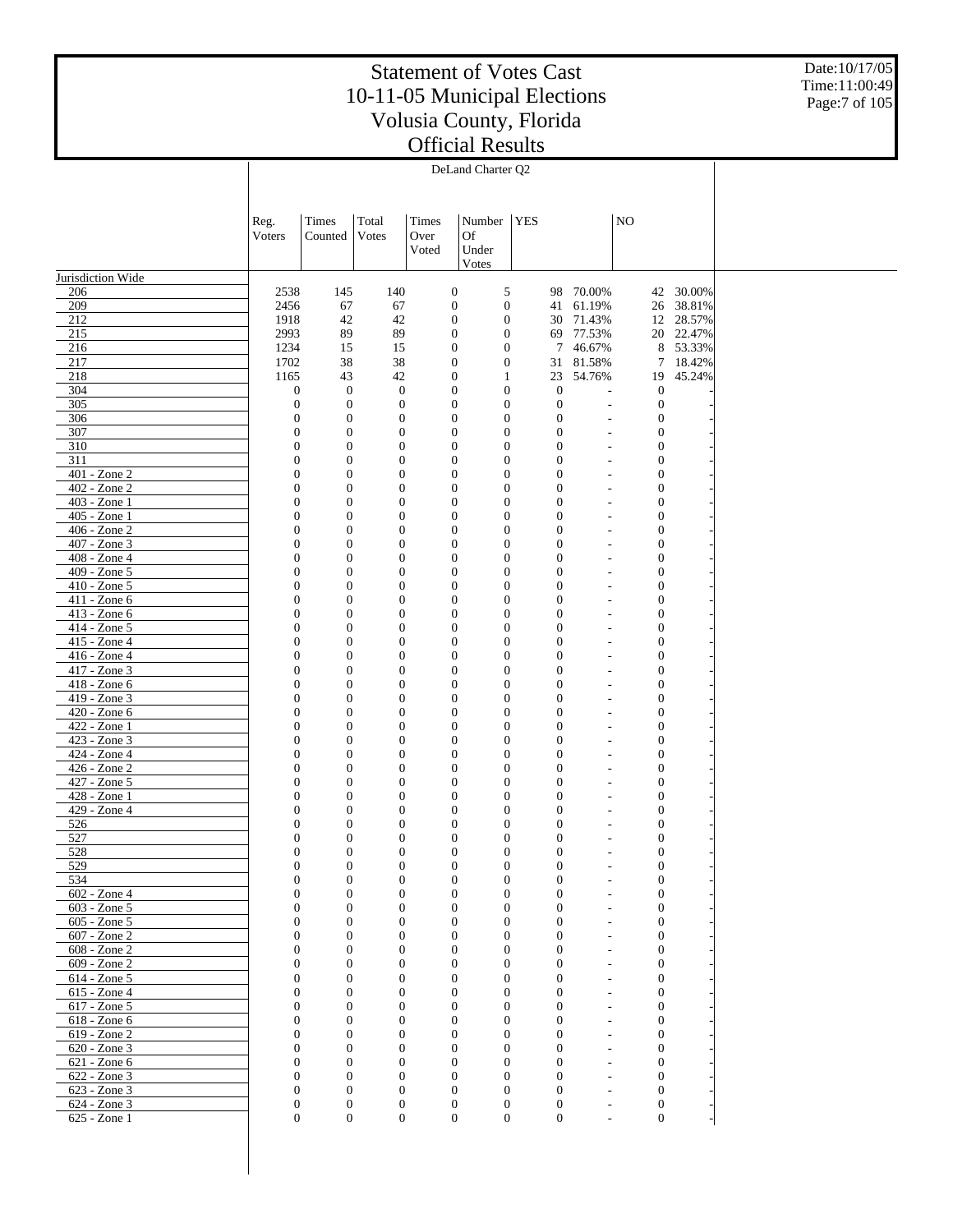Date:10/17/05 Time:11:00:49 Page:7 of 105

|                              |                              |                                      |                                      |       | DeLand Charter Q2                                                    |            |                              |                          |                                  |           |
|------------------------------|------------------------------|--------------------------------------|--------------------------------------|-------|----------------------------------------------------------------------|------------|------------------------------|--------------------------|----------------------------------|-----------|
|                              |                              |                                      |                                      |       |                                                                      |            |                              |                          |                                  |           |
|                              |                              |                                      |                                      |       |                                                                      |            |                              |                          |                                  |           |
|                              | Reg.                         | Times                                | Total                                | Times | Number                                                               | <b>YES</b> |                              |                          | N <sub>O</sub>                   |           |
|                              | Voters                       | Counted                              | Votes                                | Over  | <b>Of</b>                                                            |            |                              |                          |                                  |           |
|                              |                              |                                      |                                      | Voted | Under                                                                |            |                              |                          |                                  |           |
|                              |                              |                                      |                                      |       | Votes                                                                |            |                              |                          |                                  |           |
| Jurisdiction Wide            |                              |                                      |                                      |       |                                                                      |            |                              |                          |                                  |           |
| 206                          | 2538                         | 145                                  | 140                                  |       | 5<br>$\boldsymbol{0}$                                                |            | 98                           | 70.00%                   | 42                               | 30.00%    |
| 209                          | 2456                         | 67                                   | 67                                   |       | $\mathbf{0}$<br>$\boldsymbol{0}$                                     |            | 41                           | 61.19%                   | 26                               | 38.81%    |
| 212                          | 1918                         | 42                                   | 42                                   |       | $\boldsymbol{0}$<br>$\mathbf{0}$                                     |            | 30                           | 71.43%                   | 12                               | 28.57%    |
| 215                          | 2993                         | 89                                   | 89                                   |       | $\boldsymbol{0}$<br>$\mathbf{0}$                                     |            |                              | 69 77.53%                |                                  | 20 22.47% |
| 216                          | 1234                         | 15                                   | 15                                   |       | $\mathbf{0}$<br>$\boldsymbol{0}$                                     |            | 7                            | 46.67%                   | $8\,$                            | 53.33%    |
| 217                          | 1702                         | 38                                   | 38                                   |       | $\boldsymbol{0}$<br>$\mathbf{0}$                                     |            |                              | 31 81.58%                | $\tau$                           | 18.42%    |
| 218                          | 1165                         | 43                                   | 42                                   |       | $\boldsymbol{0}$<br>$\mathbf{1}$                                     |            | 23                           | 54.76%                   | 19                               | 45.24%    |
| 304                          | $\boldsymbol{0}$             | $\mathbf{0}$                         | $\mathbf{0}$                         |       | $\boldsymbol{0}$<br>$\mathbf{0}$                                     |            | $\mathbf{0}$                 | $\overline{a}$           | $\mathbf{0}$                     |           |
| 305                          | $\boldsymbol{0}$             | $\boldsymbol{0}$                     | $\boldsymbol{0}$                     |       | $\mathbf{0}$<br>$\boldsymbol{0}$                                     |            | $\mathbf{0}$                 |                          | $\boldsymbol{0}$                 |           |
| 306                          | $\mathbf{0}$                 | $\mathbf{0}$                         | $\boldsymbol{0}$                     |       | $\boldsymbol{0}$<br>$\mathbf{0}$                                     |            | $\theta$                     |                          | $\mathbf{0}$                     |           |
| 307                          | $\mathbf{0}$                 | $\boldsymbol{0}$                     | $\boldsymbol{0}$                     |       | $\mathbf{0}$<br>$\boldsymbol{0}$                                     |            | $\mathbf{0}$                 |                          | $\mathbf{0}$                     |           |
| 310<br>311                   | $\mathbf{0}$                 | $\mathbf{0}$                         | $\boldsymbol{0}$                     |       | $\boldsymbol{0}$<br>$\mathbf{0}$                                     |            | $\mathbf{0}$                 |                          | $\mathbf{0}$                     |           |
| 401 - Zone 2                 | $\mathbf{0}$<br>$\mathbf{0}$ | $\boldsymbol{0}$<br>$\boldsymbol{0}$ | $\boldsymbol{0}$<br>$\boldsymbol{0}$ |       | $\mathbf{0}$<br>$\boldsymbol{0}$<br>$\boldsymbol{0}$<br>$\mathbf{0}$ |            | $\mathbf{0}$<br>$\mathbf{0}$ |                          | $\mathbf{0}$<br>$\mathbf{0}$     |           |
| 402 - Zone 2                 | $\mathbf{0}$                 | $\boldsymbol{0}$                     | $\boldsymbol{0}$                     |       | $\mathbf{0}$<br>$\boldsymbol{0}$                                     |            | $\mathbf{0}$                 |                          | $\mathbf{0}$                     |           |
| 403 - Zone 1                 | $\mathbf{0}$                 | $\boldsymbol{0}$                     | $\boldsymbol{0}$                     |       | $\boldsymbol{0}$<br>$\mathbf{0}$                                     |            | $\mathbf{0}$                 |                          | $\mathbf{0}$                     |           |
| 405 - Zone 1                 | $\mathbf{0}$                 | $\boldsymbol{0}$                     | $\boldsymbol{0}$                     |       | $\mathbf{0}$<br>$\boldsymbol{0}$                                     |            | $\mathbf{0}$                 |                          | $\mathbf{0}$                     |           |
| 406 - Zone 2                 | $\mathbf{0}$                 | $\boldsymbol{0}$                     | $\boldsymbol{0}$                     |       | $\boldsymbol{0}$<br>$\mathbf{0}$                                     |            | $\mathbf{0}$                 |                          | $\mathbf{0}$                     |           |
| 407 - Zone 3                 | $\mathbf{0}$                 | $\boldsymbol{0}$                     | $\boldsymbol{0}$                     |       | $\mathbf{0}$<br>$\boldsymbol{0}$                                     |            | $\mathbf{0}$                 |                          | $\mathbf{0}$                     |           |
| 408 - Zone 4                 | $\mathbf{0}$                 | $\boldsymbol{0}$                     | $\boldsymbol{0}$                     |       | $\boldsymbol{0}$<br>$\mathbf{0}$                                     |            | $\mathbf{0}$                 |                          | $\mathbf{0}$                     |           |
| 409 - Zone 5                 | $\mathbf{0}$                 | $\boldsymbol{0}$                     | $\boldsymbol{0}$                     |       | $\mathbf{0}$<br>$\boldsymbol{0}$                                     |            | $\mathbf{0}$                 |                          | $\mathbf{0}$                     |           |
| 410 - Zone 5                 | $\mathbf{0}$                 | $\boldsymbol{0}$                     | $\boldsymbol{0}$                     |       | $\boldsymbol{0}$<br>$\mathbf{0}$                                     |            | $\mathbf{0}$                 |                          | $\mathbf{0}$                     |           |
| 411 - Zone 6                 | $\mathbf{0}$                 | $\boldsymbol{0}$                     | $\boldsymbol{0}$                     |       | $\mathbf{0}$<br>$\boldsymbol{0}$                                     |            | $\mathbf{0}$                 |                          | $\mathbf{0}$                     |           |
| 413 - Zone 6                 | $\mathbf{0}$                 | $\boldsymbol{0}$                     | $\boldsymbol{0}$                     |       | $\boldsymbol{0}$<br>$\mathbf{0}$                                     |            | $\mathbf{0}$                 |                          | $\mathbf{0}$                     |           |
| 414 - Zone 5                 | $\mathbf{0}$                 | $\boldsymbol{0}$                     | $\boldsymbol{0}$                     |       | $\mathbf{0}$<br>$\boldsymbol{0}$                                     |            | $\mathbf{0}$                 |                          | $\mathbf{0}$                     |           |
| 415 - Zone 4                 | $\mathbf{0}$                 | $\boldsymbol{0}$                     | $\boldsymbol{0}$                     |       | $\boldsymbol{0}$<br>$\mathbf{0}$                                     |            | $\mathbf{0}$                 |                          | $\mathbf{0}$                     |           |
| 416 - Zone 4                 | $\mathbf{0}$                 | $\boldsymbol{0}$                     | $\boldsymbol{0}$                     |       | $\mathbf{0}$<br>$\boldsymbol{0}$                                     |            | $\mathbf{0}$                 |                          | $\mathbf{0}$                     |           |
| 417 - Zone 3                 | $\mathbf{0}$                 | $\boldsymbol{0}$                     | $\boldsymbol{0}$                     |       | $\boldsymbol{0}$<br>$\mathbf{0}$                                     |            | $\mathbf{0}$                 |                          | $\mathbf{0}$                     |           |
| 418 - Zone 6                 | $\mathbf{0}$                 | $\boldsymbol{0}$                     | $\boldsymbol{0}$                     |       | $\mathbf{0}$<br>$\boldsymbol{0}$                                     |            | $\mathbf{0}$                 |                          | $\mathbf{0}$                     |           |
| 419 - Zone 3                 | $\mathbf{0}$                 | $\boldsymbol{0}$                     | $\boldsymbol{0}$                     |       | $\boldsymbol{0}$<br>$\mathbf{0}$                                     |            | $\mathbf{0}$                 |                          | $\mathbf{0}$                     |           |
| 420 - Zone 6                 | $\mathbf{0}$                 | $\boldsymbol{0}$                     | $\boldsymbol{0}$                     |       | $\mathbf{0}$<br>$\boldsymbol{0}$                                     |            | $\mathbf{0}$                 |                          | $\mathbf{0}$                     |           |
| 422 - Zone 1                 | $\mathbf{0}$                 | $\boldsymbol{0}$                     | $\boldsymbol{0}$                     |       | $\boldsymbol{0}$<br>$\mathbf{0}$                                     |            | $\mathbf{0}$                 |                          | $\mathbf{0}$                     |           |
| 423 - Zone 3<br>424 - Zone 4 | $\mathbf{0}$<br>$\mathbf{0}$ | $\boldsymbol{0}$<br>$\boldsymbol{0}$ | $\boldsymbol{0}$<br>$\boldsymbol{0}$ |       | $\mathbf{0}$<br>$\boldsymbol{0}$<br>$\boldsymbol{0}$<br>$\mathbf{0}$ |            | $\mathbf{0}$<br>$\mathbf{0}$ |                          | $\mathbf{0}$<br>$\mathbf{0}$     |           |
| 426 - Zone 2                 | $\mathbf{0}$                 | $\boldsymbol{0}$                     | $\boldsymbol{0}$                     |       | $\mathbf{0}$<br>$\boldsymbol{0}$                                     |            | $\mathbf{0}$                 |                          | $\mathbf{0}$                     |           |
| 427 - Zone 5                 | $\mathbf{0}$                 | $\boldsymbol{0}$                     | $\boldsymbol{0}$                     |       | $\boldsymbol{0}$<br>$\mathbf{0}$                                     |            | $\mathbf{0}$                 |                          | $\boldsymbol{0}$                 |           |
| 428 - Zone 1                 | $\mathbf{0}$                 | $\boldsymbol{0}$                     | $\boldsymbol{0}$                     |       | $\boldsymbol{0}$<br>$\mathbf{0}$                                     |            | $\mathbf{0}$                 |                          | $\mathbf{0}$                     |           |
| 429 - Zone 4                 | $\theta$                     | $\boldsymbol{0}$                     | $\boldsymbol{0}$                     |       | $\boldsymbol{0}$<br>$\mathbf{0}$                                     |            | $\theta$                     |                          | $\mathbf{0}$                     |           |
| 526                          | $\overline{0}$               | $\boldsymbol{0}$                     | $\boldsymbol{0}$                     |       | $\mathbf{0}$<br>$\boldsymbol{0}$                                     |            | $\boldsymbol{0}$             |                          | $\mathbf{0}$                     |           |
| 527                          | $\theta$                     | $\boldsymbol{0}$                     | $\boldsymbol{0}$                     |       | $\boldsymbol{0}$<br>$\overline{0}$                                   |            | $\mathbf{0}$                 |                          | $\mathbf{0}$                     |           |
| 528                          | $\Omega$                     | $\boldsymbol{0}$                     | $\boldsymbol{0}$                     |       | $\boldsymbol{0}$<br>$\mathbf{0}$                                     |            | $\Omega$                     |                          | $\Omega$                         |           |
| 529                          | $\mathbf{0}$                 | $\mathbf{0}$                         | $\boldsymbol{0}$                     |       | $\boldsymbol{0}$<br>$\mathbf{0}$                                     |            | $\theta$                     |                          | $\boldsymbol{0}$                 |           |
| 534                          | $\mathbf{0}$                 | $\mathbf{0}$                         | $\boldsymbol{0}$                     |       | $\boldsymbol{0}$<br>$\boldsymbol{0}$                                 |            | $\mathbf{0}$                 |                          | $\boldsymbol{0}$                 |           |
| 602 - Zone 4                 | $\Omega$                     | $\mathbf{0}$                         | $\mathbf{0}$                         |       | $\mathbf{0}$<br>$\overline{0}$                                       |            | $\overline{0}$               |                          | $\boldsymbol{0}$                 |           |
| 603 - Zone 5                 | $\mathbf{0}$                 | $\mathbf{0}$                         | $\boldsymbol{0}$                     |       | $\boldsymbol{0}$<br>$\mathbf{0}$                                     |            | $\overline{0}$               |                          | $\boldsymbol{0}$                 |           |
| 605 - Zone 5                 | $\mathbf{0}$                 | $\mathbf{0}$                         | $\mathbf{0}$                         |       | $\mathbf{0}$<br>$\overline{0}$                                       |            | $\overline{0}$               |                          | $\boldsymbol{0}$                 |           |
| 607 - Zone 2                 | $\mathbf{0}$                 | $\boldsymbol{0}$                     | $\boldsymbol{0}$                     |       | $\boldsymbol{0}$<br>$\mathbf{0}$                                     |            | $\overline{0}$               |                          | $\boldsymbol{0}$                 |           |
| 608 - Zone 2                 | $\mathbf{0}$                 | $\mathbf{0}$                         | $\mathbf{0}$                         |       | $\mathbf{0}$<br>$\overline{0}$                                       |            | $\overline{0}$               |                          | $\boldsymbol{0}$                 |           |
| 609 - Zone 2                 | $\mathbf{0}$                 | $\boldsymbol{0}$                     | $\boldsymbol{0}$                     |       | $\overline{0}$<br>$\boldsymbol{0}$                                   |            | $\overline{0}$               |                          | $\boldsymbol{0}$                 |           |
| 614 - Zone 5                 | $\mathbf{0}$                 | $\mathbf{0}$                         | $\mathbf{0}$                         |       | $\mathbf{0}$<br>$\overline{0}$                                       |            | $\overline{0}$               |                          | $\boldsymbol{0}$                 |           |
| 615 - Zone 4                 | $\mathbf{0}$                 | $\boldsymbol{0}$                     | $\boldsymbol{0}$                     |       | $\mathbf{0}$<br>$\boldsymbol{0}$                                     |            | $\overline{0}$               |                          | $\boldsymbol{0}$                 |           |
| $617 - Zone$ 5               | $\mathbf{0}$<br>$\mathbf{0}$ | $\mathbf{0}$<br>$\mathbf{0}$         | $\mathbf{0}$                         |       | $\mathbf{0}$<br>$\overline{0}$<br>$\overline{0}$                     |            | $\Omega$<br>$\overline{0}$   |                          | $\boldsymbol{0}$                 |           |
| 618 - Zone 6<br>619 - Zone 2 | $\mathbf{0}$                 | $\mathbf{0}$                         | $\boldsymbol{0}$<br>$\mathbf{0}$     |       | $\boldsymbol{0}$<br>$\mathbf{0}$<br>$\overline{0}$                   |            | $\Omega$                     |                          | $\boldsymbol{0}$<br>$\mathbf{0}$ |           |
| 620 - Zone 3                 | $\mathbf{0}$                 | $\mathbf{0}$                         | $\boldsymbol{0}$                     |       | $\boldsymbol{0}$<br>$\mathbf{0}$                                     |            | $\overline{0}$               |                          | $\boldsymbol{0}$                 |           |
| 621 - Zone 6                 | $\mathbf{0}$                 | $\mathbf{0}$                         | $\mathbf{0}$                         |       | $\mathbf{0}$<br>$\overline{0}$                                       |            | $\Omega$                     |                          | $\boldsymbol{0}$                 |           |
| 622 - Zone 3                 | $\mathbf{0}$                 | $\boldsymbol{0}$                     | $\boldsymbol{0}$                     |       | $\overline{0}$<br>$\mathbf{0}$                                       |            | $\overline{0}$               |                          | $\boldsymbol{0}$                 |           |
| 623 - Zone 3                 | $\mathbf{0}$                 | $\mathbf{0}$                         | $\mathbf{0}$                         |       | $\mathbf{0}$<br>$\theta$                                             |            | $\theta$                     | $\overline{\phantom{a}}$ | $\boldsymbol{0}$                 |           |
| 624 - Zone 3                 | $\boldsymbol{0}$             | $\boldsymbol{0}$                     | $\boldsymbol{0}$                     |       | $\boldsymbol{0}$<br>$\boldsymbol{0}$                                 |            | $\mathbf{0}$                 |                          | $\boldsymbol{0}$                 |           |
| 625 - Zone 1                 | $\mathbf{0}$                 | $\boldsymbol{0}$                     | $\boldsymbol{0}$                     |       | $\boldsymbol{0}$<br>$\boldsymbol{0}$                                 |            | $\boldsymbol{0}$             | $\overline{\phantom{a}}$ | $\boldsymbol{0}$                 |           |
|                              |                              |                                      |                                      |       |                                                                      |            |                              |                          |                                  |           |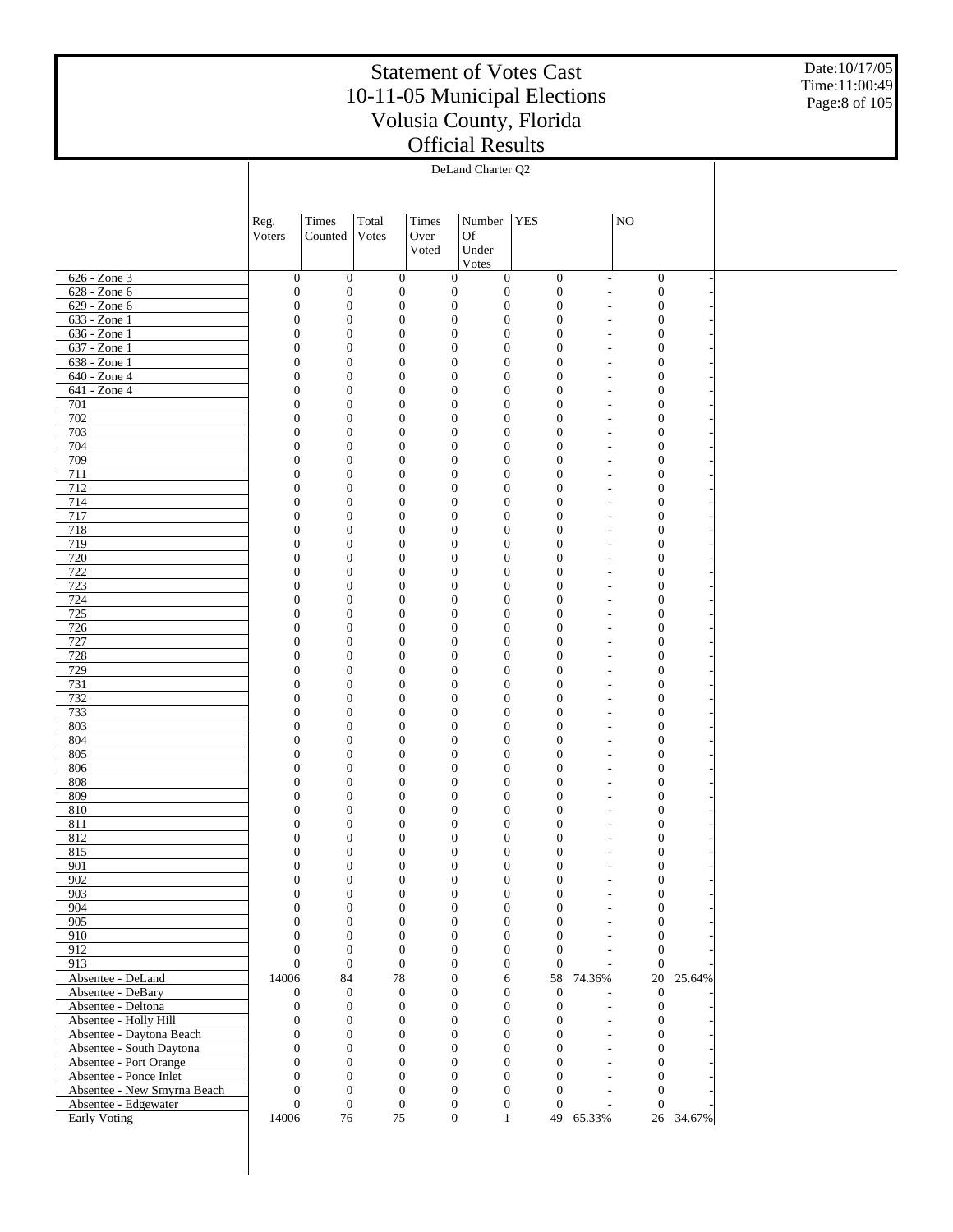Date:10/17/05 Time:11:00:49 Page:8 of 105

|                                                      |                                      |                                      |                                      |                                      | DeLand Charter Q2                    |                                      |                                            |                                      |           |  |
|------------------------------------------------------|--------------------------------------|--------------------------------------|--------------------------------------|--------------------------------------|--------------------------------------|--------------------------------------|--------------------------------------------|--------------------------------------|-----------|--|
|                                                      |                                      |                                      |                                      |                                      |                                      |                                      |                                            |                                      |           |  |
|                                                      |                                      |                                      |                                      |                                      |                                      |                                      |                                            |                                      |           |  |
|                                                      | Reg.                                 | Times                                | Total                                | Times                                | Number                               | <b>YES</b>                           |                                            | NO                                   |           |  |
|                                                      | Voters                               | Counted                              | Votes                                | Over                                 | Of                                   |                                      |                                            |                                      |           |  |
|                                                      |                                      |                                      |                                      | Voted                                | Under                                |                                      |                                            |                                      |           |  |
|                                                      |                                      |                                      |                                      |                                      | Votes                                |                                      |                                            |                                      |           |  |
| $626 - Zone$ 3                                       | $\boldsymbol{0}$                     | $\boldsymbol{0}$                     | $\boldsymbol{0}$                     | $\boldsymbol{0}$                     | $\boldsymbol{0}$                     | $\boldsymbol{0}$                     | $\overline{\phantom{a}}$                   | $\boldsymbol{0}$                     |           |  |
| $628 - Zone 6$                                       | $\boldsymbol{0}$                     | $\boldsymbol{0}$                     | $\boldsymbol{0}$                     | $\boldsymbol{0}$                     | $\boldsymbol{0}$                     | $\mathbf{0}$                         | ÷,                                         | $\boldsymbol{0}$                     |           |  |
| $629 - Zone 6$<br>$633 - Z$ one 1                    | $\boldsymbol{0}$                     | $\boldsymbol{0}$                     | $\boldsymbol{0}$                     | $\boldsymbol{0}$                     | $\boldsymbol{0}$                     | $\mathbf{0}$                         |                                            | $\boldsymbol{0}$                     |           |  |
| $636 - Zone1$                                        | $\boldsymbol{0}$<br>$\boldsymbol{0}$ | $\boldsymbol{0}$<br>$\boldsymbol{0}$ | $\boldsymbol{0}$<br>$\boldsymbol{0}$ | $\boldsymbol{0}$<br>$\boldsymbol{0}$ | $\mathbf{0}$<br>$\boldsymbol{0}$     | $\boldsymbol{0}$<br>$\mathbf{0}$     | $\overline{\phantom{a}}$<br>÷              | $\boldsymbol{0}$<br>$\boldsymbol{0}$ |           |  |
| $637 - Z$ one 1                                      | $\mathbf{0}$                         | $\boldsymbol{0}$                     | $\boldsymbol{0}$                     | $\mathbf{0}$                         | $\mathbf{0}$                         | $\boldsymbol{0}$                     | ÷                                          | $\boldsymbol{0}$                     |           |  |
| $638 - Z$ one 1                                      | $\boldsymbol{0}$                     | $\boldsymbol{0}$                     | $\boldsymbol{0}$                     | $\boldsymbol{0}$                     | $\boldsymbol{0}$                     | $\mathbf{0}$                         |                                            | $\boldsymbol{0}$                     |           |  |
| $640 - Z$ one 4                                      | $\boldsymbol{0}$                     | $\boldsymbol{0}$                     | $\boldsymbol{0}$                     | $\boldsymbol{0}$                     | $\mathbf{0}$                         | $\boldsymbol{0}$                     | ÷,                                         | $\boldsymbol{0}$                     |           |  |
| 641 - Zone 4                                         | $\boldsymbol{0}$                     | $\boldsymbol{0}$                     | $\boldsymbol{0}$                     | $\boldsymbol{0}$                     | $\boldsymbol{0}$                     | $\mathbf{0}$                         |                                            | $\boldsymbol{0}$                     |           |  |
| 701                                                  | $\mathbf{0}$                         | $\boldsymbol{0}$                     | $\boldsymbol{0}$                     | $\mathbf{0}$                         | $\mathbf{0}$                         | $\boldsymbol{0}$                     | ٠                                          | $\boldsymbol{0}$                     |           |  |
| 702                                                  | $\boldsymbol{0}$                     | $\boldsymbol{0}$                     | $\boldsymbol{0}$                     | $\boldsymbol{0}$                     | $\boldsymbol{0}$                     | $\boldsymbol{0}$                     |                                            | $\boldsymbol{0}$                     |           |  |
| 703                                                  | $\boldsymbol{0}$                     | $\boldsymbol{0}$                     | $\boldsymbol{0}$                     | $\boldsymbol{0}$                     | $\mathbf{0}$                         | $\boldsymbol{0}$                     | $\overline{\phantom{a}}$                   | $\boldsymbol{0}$                     |           |  |
| 704                                                  | $\boldsymbol{0}$                     | $\boldsymbol{0}$<br>$\boldsymbol{0}$ | $\boldsymbol{0}$                     | $\mathbf{0}$                         | $\boldsymbol{0}$<br>$\mathbf{0}$     | $\boldsymbol{0}$                     | ÷                                          | $\boldsymbol{0}$                     |           |  |
| 709<br>711                                           | $\boldsymbol{0}$<br>$\boldsymbol{0}$ | $\boldsymbol{0}$                     | $\boldsymbol{0}$<br>$\boldsymbol{0}$ | $\mathbf{0}$<br>$\boldsymbol{0}$     | $\boldsymbol{0}$                     | $\boldsymbol{0}$<br>$\boldsymbol{0}$ | ÷                                          | $\boldsymbol{0}$<br>$\boldsymbol{0}$ |           |  |
| 712                                                  | $\boldsymbol{0}$                     | $\boldsymbol{0}$                     | $\boldsymbol{0}$                     | $\boldsymbol{0}$                     | $\mathbf{0}$                         | $\boldsymbol{0}$                     | ÷,                                         | $\boldsymbol{0}$                     |           |  |
| 714                                                  | $\boldsymbol{0}$                     | $\boldsymbol{0}$                     | $\boldsymbol{0}$                     | $\boldsymbol{0}$                     | $\boldsymbol{0}$                     | $\boldsymbol{0}$                     |                                            | $\boldsymbol{0}$                     |           |  |
| 717                                                  | $\boldsymbol{0}$                     | $\boldsymbol{0}$                     | $\boldsymbol{0}$                     | $\mathbf{0}$                         | $\mathbf{0}$                         | $\boldsymbol{0}$                     | ٠                                          | $\boldsymbol{0}$                     |           |  |
| 718                                                  | $\boldsymbol{0}$                     | $\boldsymbol{0}$                     | $\boldsymbol{0}$                     | $\boldsymbol{0}$                     | $\boldsymbol{0}$                     | $\boldsymbol{0}$                     |                                            | $\boldsymbol{0}$                     |           |  |
| 719                                                  | $\boldsymbol{0}$                     | $\boldsymbol{0}$                     | $\boldsymbol{0}$                     | $\mathbf{0}$                         | $\mathbf{0}$                         | $\boldsymbol{0}$                     | $\overline{\phantom{a}}$                   | $\boldsymbol{0}$                     |           |  |
| 720                                                  | $\boldsymbol{0}$                     | $\boldsymbol{0}$                     | $\boldsymbol{0}$                     | $\mathbf{0}$                         | $\boldsymbol{0}$                     | $\boldsymbol{0}$                     | ÷                                          | $\boldsymbol{0}$                     |           |  |
| 722                                                  | $\boldsymbol{0}$                     | $\boldsymbol{0}$                     | $\boldsymbol{0}$                     | $\mathbf{0}$                         | $\mathbf{0}$                         | $\boldsymbol{0}$                     | $\overline{a}$                             | $\boldsymbol{0}$                     |           |  |
| 723                                                  | $\boldsymbol{0}$                     | $\boldsymbol{0}$                     | $\boldsymbol{0}$                     | $\boldsymbol{0}$                     | $\boldsymbol{0}$                     | $\mathbf{0}$                         | ÷                                          | $\boldsymbol{0}$                     |           |  |
| 724<br>725                                           | $\boldsymbol{0}$<br>$\boldsymbol{0}$ | $\boldsymbol{0}$<br>$\boldsymbol{0}$ | $\boldsymbol{0}$<br>$\boldsymbol{0}$ | $\boldsymbol{0}$<br>$\boldsymbol{0}$ | $\mathbf{0}$<br>$\boldsymbol{0}$     | $\boldsymbol{0}$<br>$\mathbf{0}$     | $\overline{\phantom{a}}$                   | $\boldsymbol{0}$<br>$\boldsymbol{0}$ |           |  |
| 726                                                  | $\boldsymbol{0}$                     | $\boldsymbol{0}$                     | $\boldsymbol{0}$                     | $\mathbf{0}$                         | $\mathbf{0}$                         | $\boldsymbol{0}$                     | $\overline{a}$                             | $\boldsymbol{0}$                     |           |  |
| 727                                                  | $\boldsymbol{0}$                     | $\boldsymbol{0}$                     | $\boldsymbol{0}$                     | $\boldsymbol{0}$                     | $\boldsymbol{0}$                     | $\mathbf{0}$                         |                                            | $\boldsymbol{0}$                     |           |  |
| 728                                                  | $\boldsymbol{0}$                     | $\boldsymbol{0}$                     | $\boldsymbol{0}$                     | $\mathbf{0}$                         | $\mathbf{0}$                         | $\boldsymbol{0}$                     | $\overline{\phantom{a}}$                   | $\boldsymbol{0}$                     |           |  |
| 729                                                  | $\boldsymbol{0}$                     | $\boldsymbol{0}$                     | $\boldsymbol{0}$                     | $\mathbf{0}$                         | $\boldsymbol{0}$                     | $\mathbf{0}$                         | ÷                                          | $\boldsymbol{0}$                     |           |  |
| 731                                                  | $\boldsymbol{0}$                     | $\boldsymbol{0}$                     | $\boldsymbol{0}$                     | $\mathbf{0}$                         | $\mathbf{0}$                         | $\boldsymbol{0}$                     | $\overline{a}$                             | $\boldsymbol{0}$                     |           |  |
| 732                                                  | $\boldsymbol{0}$                     | $\boldsymbol{0}$                     | $\boldsymbol{0}$                     | $\boldsymbol{0}$                     | $\boldsymbol{0}$                     | $\mathbf{0}$                         | ÷                                          | $\boldsymbol{0}$                     |           |  |
| 733                                                  | $\boldsymbol{0}$                     | $\boldsymbol{0}$                     | $\boldsymbol{0}$                     | $\boldsymbol{0}$                     | $\mathbf{0}$                         | $\boldsymbol{0}$                     | $\overline{\phantom{a}}$                   | $\boldsymbol{0}$                     |           |  |
| 803                                                  | $\boldsymbol{0}$                     | $\boldsymbol{0}$                     | $\boldsymbol{0}$                     | $\boldsymbol{0}$                     | $\boldsymbol{0}$                     | $\mathbf{0}$                         |                                            | $\boldsymbol{0}$                     |           |  |
| 804<br>805                                           | $\boldsymbol{0}$<br>$\boldsymbol{0}$ | $\boldsymbol{0}$<br>$\boldsymbol{0}$ | $\boldsymbol{0}$<br>$\boldsymbol{0}$ | $\mathbf{0}$<br>$\boldsymbol{0}$     | $\mathbf{0}$<br>$\boldsymbol{0}$     | $\boldsymbol{0}$<br>$\mathbf{0}$     | ٠                                          | $\boldsymbol{0}$<br>$\boldsymbol{0}$ |           |  |
| 806                                                  | $\boldsymbol{0}$                     | $\boldsymbol{0}$                     | $\boldsymbol{0}$                     | $\boldsymbol{0}$                     | $\mathbf{0}$                         | $\boldsymbol{0}$                     | $\overline{\phantom{a}}$                   | $\boldsymbol{0}$                     |           |  |
| 808                                                  | $\boldsymbol{0}$                     | $\boldsymbol{0}$                     | $\boldsymbol{0}$                     | $\boldsymbol{0}$                     | $\boldsymbol{0}$                     | $\mathbf{0}$                         |                                            | $\boldsymbol{0}$                     |           |  |
| 809                                                  | $\boldsymbol{0}$                     | $\boldsymbol{0}$                     | $\boldsymbol{0}$                     | $\boldsymbol{0}$                     | $\mathbf{0}$                         | $\mathbf{0}$                         | $\overline{a}$                             | $\boldsymbol{0}$                     |           |  |
| 810                                                  | $\boldsymbol{0}$                     | $\boldsymbol{0}$                     | $\boldsymbol{0}$                     | $\boldsymbol{0}$                     | $\boldsymbol{0}$                     | $\mathbf{0}$                         |                                            | $\boldsymbol{0}$                     |           |  |
| 811                                                  | $\boldsymbol{0}$                     | $\mathbf{0}$                         | $\boldsymbol{0}$                     | $\mathbf{0}$                         | $\mathbf{0}$                         | $\boldsymbol{0}$                     |                                            | $\mathbf{0}$                         |           |  |
| 812                                                  | $\boldsymbol{0}$                     | $\boldsymbol{0}$                     | $\boldsymbol{0}$                     | $\boldsymbol{0}$                     | $\mathbf{0}$                         | $\mathbf{0}$                         |                                            | $\boldsymbol{0}$                     |           |  |
| 815                                                  | $\mathbf{0}$                         | $\Omega$                             | $\Omega$                             | $\Omega$                             | $\Omega$                             | $\overline{0}$                       |                                            | $\Omega$                             |           |  |
| 901                                                  | $\mathbf{0}$                         | $\boldsymbol{0}$                     | $\boldsymbol{0}$                     | $\mathbf{0}$                         | $\boldsymbol{0}$                     | $\boldsymbol{0}$                     |                                            | $\boldsymbol{0}$                     |           |  |
| 902<br>903                                           | $\overline{0}$<br>$\boldsymbol{0}$   | $\boldsymbol{0}$<br>$\boldsymbol{0}$ | $\boldsymbol{0}$<br>$\boldsymbol{0}$ | $\mathbf{0}$<br>$\boldsymbol{0}$     | $\boldsymbol{0}$<br>$\boldsymbol{0}$ | $\mathbf{0}$<br>$\overline{0}$       | $\overline{a}$<br>$\overline{\phantom{a}}$ | $\boldsymbol{0}$<br>$\boldsymbol{0}$ |           |  |
| 904                                                  | $\overline{0}$                       | $\overline{0}$                       | $\mathbf{0}$                         | $\mathbf{0}$                         | $\overline{0}$                       | $\overline{0}$                       | ÷,                                         | $\overline{0}$                       |           |  |
| 905                                                  | $\mathbf{0}$                         | $\boldsymbol{0}$                     | $\boldsymbol{0}$                     | $\boldsymbol{0}$                     | $\boldsymbol{0}$                     | $\overline{0}$                       | $\overline{a}$                             | $\boldsymbol{0}$                     |           |  |
| 910                                                  | $\overline{0}$                       | $\mathbf{0}$                         | $\boldsymbol{0}$                     | $\mathbf{0}$                         | $\overline{0}$                       | $\overline{0}$                       | $\overline{a}$                             | $\overline{0}$                       |           |  |
| 912                                                  | $\overline{0}$                       | $\boldsymbol{0}$                     | $\mathbf{0}$                         | $\mathbf{0}$                         | $\boldsymbol{0}$                     | $\overline{0}$                       | $\overline{\phantom{a}}$                   | $\mathbf{0}$                         |           |  |
| 913                                                  | $\mathbf{0}$                         | $\boldsymbol{0}$                     | $\boldsymbol{0}$                     | $\mathbf{0}$                         | $\overline{0}$                       | $\overline{0}$                       | $\overline{\phantom{a}}$                   | $\mathbf{0}$                         |           |  |
| Absentee - DeLand                                    | 14006                                | 84                                   | $78\,$                               | $\boldsymbol{0}$                     | 6                                    |                                      | 58 74.36%                                  | 20                                   | 25.64%    |  |
| Absentee - DeBary                                    | $\overline{0}$                       | $\mathbf{0}$                         | $\mathbf{0}$                         | $\mathbf{0}$                         | $\overline{0}$                       | $\boldsymbol{0}$                     |                                            | $\mathbf{0}$                         |           |  |
| Absentee - Deltona                                   | $\mathbf{0}$                         | $\boldsymbol{0}$                     | $\boldsymbol{0}$                     | $\boldsymbol{0}$                     | $\boldsymbol{0}$                     | $\boldsymbol{0}$                     | $\overline{a}$                             | $\mathbf{0}$                         |           |  |
| Absentee - Holly Hill                                | $\overline{0}$                       | $\overline{0}$                       | $\mathbf{0}$                         | $\mathbf{0}$                         | $\overline{0}$                       | $\overline{0}$<br>$\overline{0}$     | ÷,                                         | $\overline{0}$                       |           |  |
| Absentee - Daytona Beach<br>Absentee - South Daytona | $\mathbf{0}$<br>$\overline{0}$       | $\boldsymbol{0}$<br>$\mathbf{0}$     | $\boldsymbol{0}$<br>$\boldsymbol{0}$ | $\boldsymbol{0}$<br>$\mathbf{0}$     | $\boldsymbol{0}$<br>$\overline{0}$   | $\overline{0}$                       | ÷<br>÷,                                    | $\boldsymbol{0}$<br>$\overline{0}$   |           |  |
| Absentee - Port Orange                               | $\overline{0}$                       | $\boldsymbol{0}$                     | $\boldsymbol{0}$                     | $\mathbf{0}$                         | $\boldsymbol{0}$                     | $\overline{0}$                       | $\overline{\phantom{a}}$                   | $\boldsymbol{0}$                     |           |  |
| Absentee - Ponce Inlet                               | $\overline{0}$                       | $\mathbf{0}$                         | $\mathbf{0}$                         | $\mathbf{0}$                         | $\overline{0}$                       | $\overline{0}$                       | $\overline{\phantom{a}}$                   | $\overline{0}$                       |           |  |
| Absentee - New Smyrna Beach                          | $\theta$                             | $\boldsymbol{0}$                     | $\mathbf{0}$                         | $\boldsymbol{0}$                     | $\boldsymbol{0}$                     | $\overline{0}$                       |                                            | $\mathbf{0}$                         |           |  |
| Absentee - Edgewater                                 | $\theta$                             | $\boldsymbol{0}$                     | $\boldsymbol{0}$                     | $\mathbf{0}$                         | $\boldsymbol{0}$                     | $\mathbf{0}$                         | $\overline{\phantom{a}}$                   | $\overline{0}$                       |           |  |
| Early Voting                                         | 14006                                | 76                                   | 75                                   | $\boldsymbol{0}$                     | $\mathbf{1}$                         |                                      | 49 65.33%                                  |                                      | 26 34.67% |  |
|                                                      |                                      |                                      |                                      |                                      |                                      |                                      |                                            |                                      |           |  |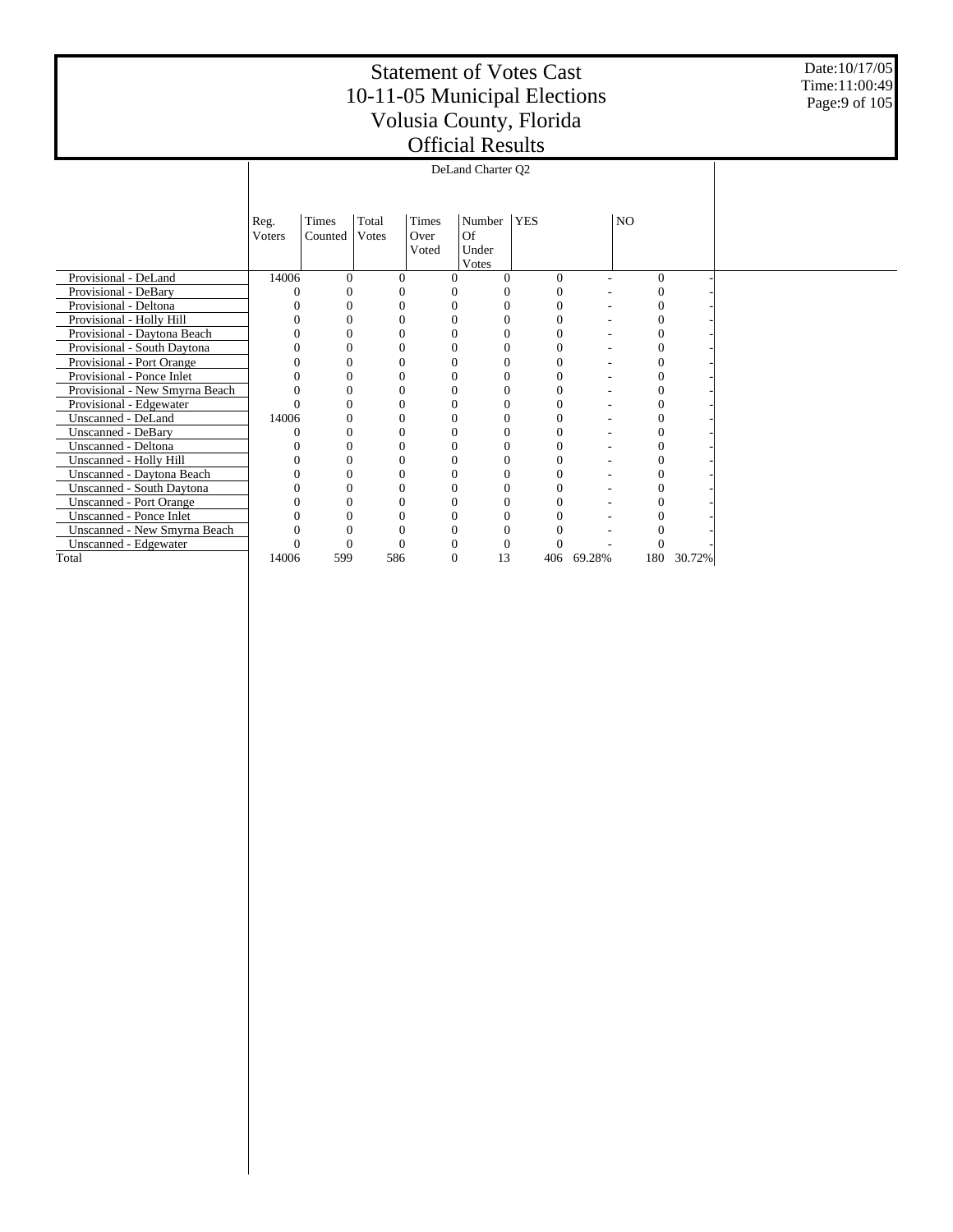Date:10/17/05 Time:11:00:49 Page:9 of 105

|                                | Reg.   | Times    | Total | Times    | Number   | <b>YES</b> |        | NO       |        |  |
|--------------------------------|--------|----------|-------|----------|----------|------------|--------|----------|--------|--|
|                                | Voters | Counted  | Votes | Over     | Of       |            |        |          |        |  |
|                                |        |          |       | Voted    | Under    |            |        |          |        |  |
|                                |        |          |       |          | Votes    |            |        |          |        |  |
| Provisional - DeLand           | 14006  | $\Omega$ | 0     |          | 0        | $\Omega$   |        | $\Omega$ |        |  |
| Provisional - DeBary           |        | $\Omega$ |       |          |          |            |        |          |        |  |
| Provisional - Deltona          |        |          |       |          |          |            |        |          |        |  |
| Provisional - Holly Hill       |        | O        |       |          | 0        |            |        |          |        |  |
| Provisional - Daytona Beach    |        |          |       |          |          |            |        |          |        |  |
| Provisional - South Daytona    |        |          |       |          |          |            |        |          |        |  |
| Provisional - Port Orange      |        | $\Omega$ | 0     |          | $\Omega$ |            |        |          |        |  |
| Provisional - Ponce Inlet      |        |          |       |          | 0        |            |        |          |        |  |
| Provisional - New Smyrna Beach |        | $\Omega$ |       |          | $\Omega$ |            |        |          |        |  |
| Provisional - Edgewater        |        |          |       |          |          |            |        |          |        |  |
| Unscanned - DeLand             | 14006  | $\Omega$ |       |          | 0        |            |        |          |        |  |
| Unscanned - DeBary             |        |          |       |          |          |            |        |          |        |  |
| Unscanned - Deltona            |        |          |       |          | $\Omega$ |            |        |          |        |  |
| Unscanned - Holly Hill         |        | $\Omega$ | 0     |          | $\Omega$ |            |        |          |        |  |
| Unscanned - Daytona Beach      |        |          |       |          |          |            |        |          |        |  |
| Unscanned - South Daytona      |        |          |       |          | $\Omega$ |            |        |          |        |  |
| <b>Unscanned - Port Orange</b> |        |          |       |          |          |            |        |          |        |  |
| Unscanned - Ponce Inlet        |        |          |       |          | 0        |            |        |          |        |  |
| Unscanned - New Smyrna Beach   |        |          |       |          |          |            |        |          |        |  |
| Unscanned - Edgewater          |        |          |       |          |          |            |        |          |        |  |
| Total                          | 14006  | 599      | 586   | $\theta$ | 13       | 406        | 69.28% | 180      | 30.72% |  |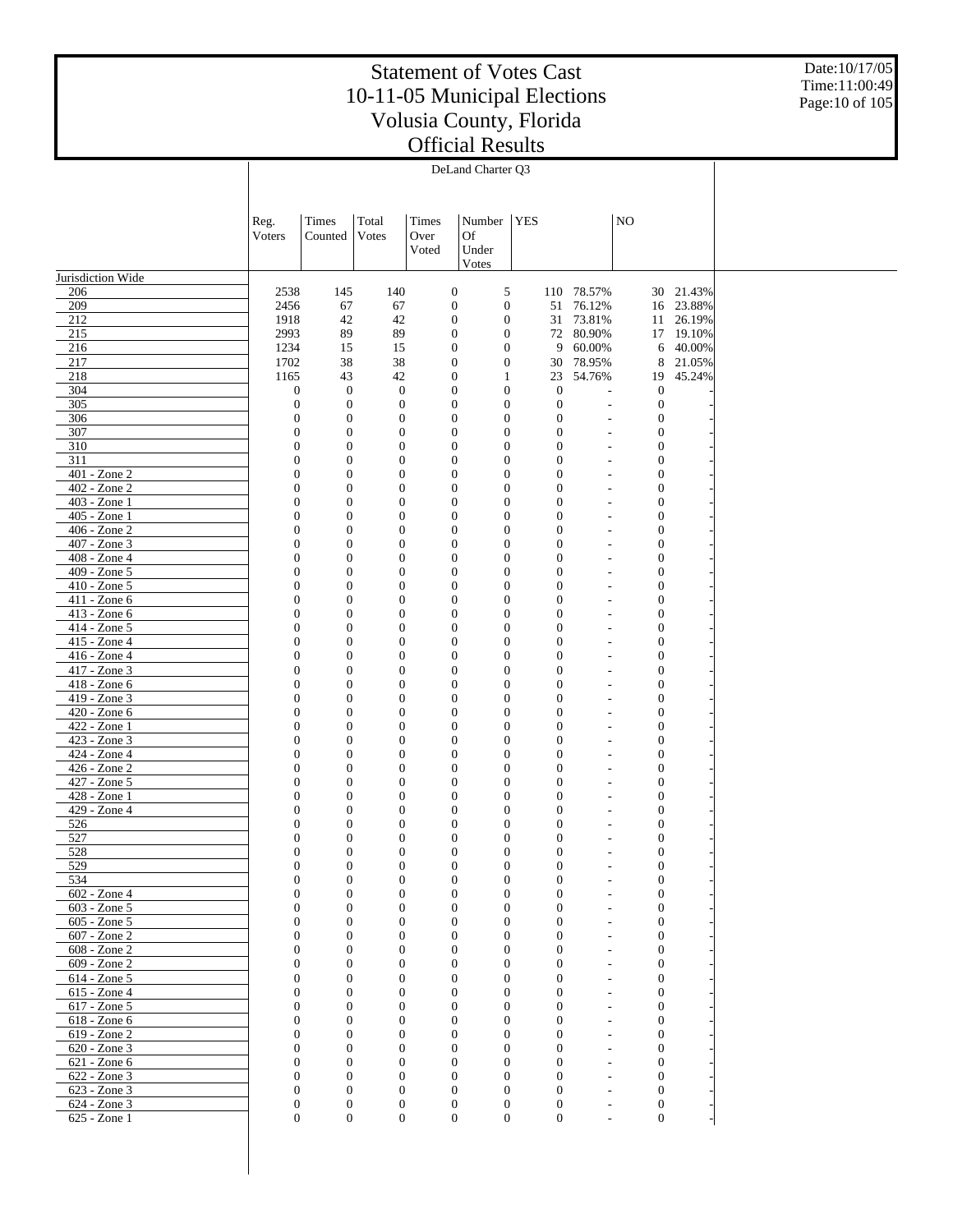Date:10/17/05 Time:11:00:49 Page:10 of 105

|                                 | DeLand Charter Q3                |                                      |                                      |                                      |                                      |            |                                      |                                                      |                                      |                  |  |
|---------------------------------|----------------------------------|--------------------------------------|--------------------------------------|--------------------------------------|--------------------------------------|------------|--------------------------------------|------------------------------------------------------|--------------------------------------|------------------|--|
|                                 |                                  |                                      |                                      |                                      |                                      |            |                                      |                                                      |                                      |                  |  |
|                                 |                                  |                                      |                                      |                                      |                                      |            |                                      |                                                      |                                      |                  |  |
|                                 | Reg.                             | Times                                | Total                                | Times                                | Number                               | <b>YES</b> |                                      |                                                      | N <sub>O</sub>                       |                  |  |
|                                 | Voters                           | Counted                              | Votes                                | Over                                 | <b>Of</b>                            |            |                                      |                                                      |                                      |                  |  |
|                                 |                                  |                                      |                                      | Voted                                | Under                                |            |                                      |                                                      |                                      |                  |  |
| Jurisdiction Wide               |                                  |                                      |                                      |                                      | Votes                                |            |                                      |                                                      |                                      |                  |  |
| 206                             | 2538                             | 145                                  | 140                                  | $\boldsymbol{0}$                     | 5                                    |            |                                      | 110 78.57%                                           |                                      | 30 21.43%        |  |
| 209                             | 2456                             | 67                                   | 67                                   | $\boldsymbol{0}$                     | $\boldsymbol{0}$                     |            | 51                                   | 76.12%                                               |                                      | 16 23.88%        |  |
| 212                             | 1918                             | 42                                   | 42                                   | $\boldsymbol{0}$                     | $\boldsymbol{0}$                     |            |                                      | 31 73.81%                                            |                                      | 11 26.19%        |  |
| 215                             | 2993                             | 89                                   | 89                                   | $\boldsymbol{0}$                     | $\boldsymbol{0}$                     |            |                                      | 72 80.90%                                            |                                      | 17 19.10%        |  |
| 216                             | 1234                             | 15                                   | 15                                   | $\boldsymbol{0}$                     | $\boldsymbol{0}$                     |            | 9                                    | 60.00%                                               |                                      | 6 40.00%         |  |
| 217<br>218                      | 1702<br>1165                     | 38<br>43                             | 38<br>42                             | $\boldsymbol{0}$<br>$\boldsymbol{0}$ | $\boldsymbol{0}$<br>$\mathbf{1}$     |            | 30<br>23                             | 78.95%<br>54.76%                                     | 8<br>19                              | 21.05%<br>45.24% |  |
| 304                             | $\boldsymbol{0}$                 | $\boldsymbol{0}$                     | $\boldsymbol{0}$                     | $\boldsymbol{0}$                     | $\boldsymbol{0}$                     |            | $\boldsymbol{0}$                     | ÷,                                                   | $\mathbf{0}$                         |                  |  |
| 305                             | $\mathbf{0}$                     | $\boldsymbol{0}$                     | $\mathbf{0}$                         | $\boldsymbol{0}$                     | $\boldsymbol{0}$                     |            | $\boldsymbol{0}$                     | ÷,                                                   | $\boldsymbol{0}$                     |                  |  |
| 306                             | $\mathbf{0}$                     | $\mathbf{0}$                         | $\boldsymbol{0}$                     | $\boldsymbol{0}$                     | $\mathbf{0}$                         |            | $\boldsymbol{0}$                     | ÷,                                                   | $\mathbf{0}$                         |                  |  |
| 307                             | $\boldsymbol{0}$                 | $\boldsymbol{0}$                     | $\boldsymbol{0}$                     | $\boldsymbol{0}$                     | $\boldsymbol{0}$                     |            | $\boldsymbol{0}$                     | $\overline{a}$                                       | $\boldsymbol{0}$                     |                  |  |
| 310<br>311                      | $\mathbf{0}$<br>$\mathbf{0}$     | $\mathbf{0}$<br>$\boldsymbol{0}$     | $\boldsymbol{0}$<br>$\boldsymbol{0}$ | $\boldsymbol{0}$<br>$\boldsymbol{0}$ | $\mathbf{0}$<br>$\boldsymbol{0}$     |            | $\boldsymbol{0}$<br>$\boldsymbol{0}$ | $\overline{a}$<br>$\overline{\phantom{a}}$           | $\boldsymbol{0}$<br>$\boldsymbol{0}$ |                  |  |
| $401 - Z$ one 2                 | 0                                | $\mathbf{0}$                         | $\boldsymbol{0}$                     | $\boldsymbol{0}$                     | $\mathbf{0}$                         |            | $\boldsymbol{0}$                     | $\overline{\phantom{a}}$                             | $\boldsymbol{0}$                     |                  |  |
| $402 - Z$ one $2$               | $\mathbf{0}$                     | $\boldsymbol{0}$                     | $\boldsymbol{0}$                     | $\boldsymbol{0}$                     | $\boldsymbol{0}$                     |            | $\boldsymbol{0}$                     | $\overline{\phantom{a}}$                             | 0                                    |                  |  |
| 403 - Zone 1                    | $\mathbf{0}$                     | $\mathbf{0}$                         | $\boldsymbol{0}$                     | $\boldsymbol{0}$                     | $\mathbf{0}$                         |            | $\boldsymbol{0}$                     | $\overline{\phantom{a}}$                             | $\boldsymbol{0}$                     |                  |  |
| 405 - Zone 1                    | $\mathbf{0}$                     | $\boldsymbol{0}$                     | $\boldsymbol{0}$                     | $\boldsymbol{0}$                     | $\boldsymbol{0}$                     |            | $\boldsymbol{0}$                     | $\overline{\phantom{a}}$                             | $\mathbf{0}$                         |                  |  |
| 406 - Zone 2<br>407 - Zone 3    | $\mathbf{0}$                     | $\mathbf{0}$<br>$\boldsymbol{0}$     | $\boldsymbol{0}$                     | $\boldsymbol{0}$                     | $\mathbf{0}$<br>$\boldsymbol{0}$     |            | $\boldsymbol{0}$                     | $\overline{\phantom{a}}$                             | 0                                    |                  |  |
| 408 - Zone 4                    | $\mathbf{0}$<br>$\mathbf{0}$     | $\mathbf{0}$                         | $\boldsymbol{0}$<br>$\boldsymbol{0}$ | $\boldsymbol{0}$<br>$\boldsymbol{0}$ | $\mathbf{0}$                         |            | $\boldsymbol{0}$<br>$\boldsymbol{0}$ | $\overline{a}$<br>$\overline{a}$                     | $\mathbf{0}$<br>$\boldsymbol{0}$     |                  |  |
| 409 - Zone 5                    | $\mathbf{0}$                     | $\boldsymbol{0}$                     | $\boldsymbol{0}$                     | $\boldsymbol{0}$                     | $\boldsymbol{0}$                     |            | $\boldsymbol{0}$                     | $\overline{a}$                                       | $\boldsymbol{0}$                     |                  |  |
| $410 - Z$ one 5                 | $\mathbf{0}$                     | $\mathbf{0}$                         | $\boldsymbol{0}$                     | $\boldsymbol{0}$                     | $\mathbf{0}$                         |            | $\boldsymbol{0}$                     | $\overline{a}$                                       | $\boldsymbol{0}$                     |                  |  |
| 411 - Zone 6                    | $\mathbf{0}$                     | $\boldsymbol{0}$                     | $\boldsymbol{0}$                     | $\boldsymbol{0}$                     | $\boldsymbol{0}$                     |            | $\boldsymbol{0}$                     | $\overline{a}$                                       | $\boldsymbol{0}$                     |                  |  |
| 413 - Zone 6                    | $\mathbf{0}$                     | $\mathbf{0}$                         | $\boldsymbol{0}$                     | $\boldsymbol{0}$                     | $\mathbf{0}$                         |            | $\boldsymbol{0}$                     | $\overline{a}$                                       | $\boldsymbol{0}$                     |                  |  |
| 414 - Zone 5<br>415 - Zone 4    | $\mathbf{0}$<br>0                | $\boldsymbol{0}$<br>$\mathbf{0}$     | $\boldsymbol{0}$<br>$\boldsymbol{0}$ | $\boldsymbol{0}$<br>$\boldsymbol{0}$ | $\boldsymbol{0}$<br>$\mathbf{0}$     |            | $\boldsymbol{0}$<br>$\boldsymbol{0}$ | $\overline{a}$<br>$\overline{a}$                     | $\boldsymbol{0}$<br>$\boldsymbol{0}$ |                  |  |
| 416 - Zone 4                    | $\mathbf{0}$                     | $\boldsymbol{0}$                     | $\boldsymbol{0}$                     | $\boldsymbol{0}$                     | $\boldsymbol{0}$                     |            | $\boldsymbol{0}$                     | $\overline{a}$                                       | $\boldsymbol{0}$                     |                  |  |
| 417 - Zone 3                    | 0                                | $\mathbf{0}$                         | $\boldsymbol{0}$                     | $\boldsymbol{0}$                     | $\mathbf{0}$                         |            | $\boldsymbol{0}$                     | $\overline{a}$                                       | $\boldsymbol{0}$                     |                  |  |
| 418 - Zone 6                    | $\mathbf{0}$                     | $\boldsymbol{0}$                     | $\boldsymbol{0}$                     | $\boldsymbol{0}$                     | $\boldsymbol{0}$                     |            | $\boldsymbol{0}$                     | $\overline{a}$                                       | $\boldsymbol{0}$                     |                  |  |
| 419 - Zone 3                    | 0                                | $\mathbf{0}$                         | $\boldsymbol{0}$                     | $\boldsymbol{0}$                     | $\mathbf{0}$                         |            | $\boldsymbol{0}$                     | $\overline{a}$                                       | $\boldsymbol{0}$                     |                  |  |
| 420 - Zone 6<br>422 - Zone 1    | $\mathbf{0}$<br>0                | $\boldsymbol{0}$<br>$\mathbf{0}$     | $\boldsymbol{0}$<br>$\boldsymbol{0}$ | $\boldsymbol{0}$<br>$\boldsymbol{0}$ | $\boldsymbol{0}$<br>$\mathbf{0}$     |            | $\boldsymbol{0}$<br>$\boldsymbol{0}$ | $\overline{a}$<br>$\overline{\phantom{a}}$           | $\boldsymbol{0}$<br>$\boldsymbol{0}$ |                  |  |
| 423 - Zone 3                    | $\mathbf{0}$                     | $\boldsymbol{0}$                     | $\boldsymbol{0}$                     | $\boldsymbol{0}$                     | $\boldsymbol{0}$                     |            | $\boldsymbol{0}$                     | $\overline{a}$                                       | $\boldsymbol{0}$                     |                  |  |
| 424 - Zone 4                    | 0                                | $\mathbf{0}$                         | $\boldsymbol{0}$                     | $\boldsymbol{0}$                     | $\mathbf{0}$                         |            | $\boldsymbol{0}$                     | $\overline{\phantom{a}}$                             | $\boldsymbol{0}$                     |                  |  |
| 426 - Zone 2                    | $\mathbf{0}$                     | $\boldsymbol{0}$                     | $\boldsymbol{0}$                     | $\boldsymbol{0}$                     | $\boldsymbol{0}$                     |            | $\boldsymbol{0}$                     | $\overline{a}$                                       | $\boldsymbol{0}$                     |                  |  |
| 427 - Zone 5                    | 0                                | $\mathbf{0}$                         | $\boldsymbol{0}$                     | $\boldsymbol{0}$                     | $\mathbf{0}$                         |            | $\boldsymbol{0}$                     | $\overline{\phantom{a}}$                             | $\boldsymbol{0}$                     |                  |  |
| 428 - Zone 1                    | $\mathbf{0}$                     | $\boldsymbol{0}$                     | $\boldsymbol{0}$                     | $\boldsymbol{0}$                     | $\boldsymbol{0}$                     |            | $\boldsymbol{0}$                     | $\overline{\phantom{a}}$                             | $\boldsymbol{0}$                     |                  |  |
| 429 - Zone 4<br>526             | 0<br>$\mathbf{0}$                | $\mathbf{0}$<br>$\mathbf{0}$         | $\boldsymbol{0}$<br>$\boldsymbol{0}$ | $\boldsymbol{0}$<br>$\boldsymbol{0}$ | $\boldsymbol{0}$<br>$\boldsymbol{0}$ |            | $\boldsymbol{0}$<br>$\boldsymbol{0}$ | $\overline{\phantom{a}}$<br>$\overline{\phantom{a}}$ | $\boldsymbol{0}$<br>0                |                  |  |
| 527                             | 0                                | $\mathbf{0}$                         | $\boldsymbol{0}$                     | $\boldsymbol{0}$                     | $\mathbf{0}$                         |            | $\boldsymbol{0}$                     | $\overline{\phantom{a}}$                             | $\boldsymbol{0}$                     |                  |  |
| 528                             | $\Omega$                         | $\mathbf{0}$                         | $\mathbf{0}$                         | $\mathbf{0}$                         | $\mathbf{0}$                         |            | $\mathbf{0}$                         | ÷                                                    | $\overline{0}$                       |                  |  |
| 529                             | $\boldsymbol{0}$                 | $\mathbf{0}$                         | $\mathbf{0}$                         | $\mathbf{0}$                         | $\boldsymbol{0}$                     |            | $\boldsymbol{0}$                     |                                                      | $\mathbf{0}$                         |                  |  |
| 534                             | $\boldsymbol{0}$                 | $\boldsymbol{0}$                     | $\boldsymbol{0}$                     | $\mathbf{0}$                         | $\mathbf{0}$                         |            | $\boldsymbol{0}$                     | $\overline{\phantom{a}}$                             | $\boldsymbol{0}$                     |                  |  |
| 602 - Zone 4<br>$603 - Z$ one 5 | $\boldsymbol{0}$<br>$\mathbf{0}$ | $\boldsymbol{0}$<br>$\boldsymbol{0}$ | $\boldsymbol{0}$<br>$\boldsymbol{0}$ | $\boldsymbol{0}$<br>$\mathbf{0}$     | $\mathbf{0}$<br>$\mathbf{0}$         |            | $\boldsymbol{0}$<br>$\boldsymbol{0}$ | $\overline{\phantom{a}}$<br>$\overline{\phantom{a}}$ | $\boldsymbol{0}$<br>$\boldsymbol{0}$ |                  |  |
| $605 - Z$ one 5                 | $\boldsymbol{0}$                 | $\boldsymbol{0}$                     | $\boldsymbol{0}$                     | $\boldsymbol{0}$                     | $\mathbf{0}$                         |            | $\boldsymbol{0}$                     | $\overline{a}$                                       | $\boldsymbol{0}$                     |                  |  |
| 607 - Zone 2                    | $\mathbf{0}$                     | $\boldsymbol{0}$                     | $\boldsymbol{0}$                     | $\mathbf{0}$                         | $\mathbf{0}$                         |            | $\mathbf{0}$                         | $\overline{\phantom{a}}$                             | $\boldsymbol{0}$                     |                  |  |
| $608 - Z$ one $2$               | $\boldsymbol{0}$                 | $\boldsymbol{0}$                     | $\boldsymbol{0}$                     | $\mathbf{0}$                         | $\mathbf{0}$                         |            | $\boldsymbol{0}$                     | $\overline{\phantom{a}}$                             | $\boldsymbol{0}$                     |                  |  |
| 609 - Zone 2                    | $\mathbf{0}$                     | $\boldsymbol{0}$                     | $\boldsymbol{0}$                     | $\mathbf{0}$                         | $\mathbf{0}$                         |            | $\mathbf{0}$                         | $\overline{a}$                                       | $\boldsymbol{0}$                     |                  |  |
| 614 - Zone 5<br>$615 - Zone4$   | $\boldsymbol{0}$<br>$\mathbf{0}$ | $\boldsymbol{0}$<br>$\boldsymbol{0}$ | $\boldsymbol{0}$                     | $\boldsymbol{0}$<br>$\mathbf{0}$     | $\mathbf{0}$<br>$\mathbf{0}$         |            | $\boldsymbol{0}$<br>$\mathbf{0}$     | $\overline{\phantom{a}}$                             | $\boldsymbol{0}$                     |                  |  |
| 617 - Zone 5                    | $\boldsymbol{0}$                 | $\boldsymbol{0}$                     | $\boldsymbol{0}$<br>$\boldsymbol{0}$ | $\mathbf{0}$                         | $\mathbf{0}$                         |            | $\boldsymbol{0}$                     | $\overline{a}$<br>$\overline{\phantom{a}}$           | $\boldsymbol{0}$<br>$\boldsymbol{0}$ |                  |  |
| $618 - Zone 6$                  | $\mathbf{0}$                     | $\boldsymbol{0}$                     | $\boldsymbol{0}$                     | $\mathbf{0}$                         | $\mathbf{0}$                         |            | $\mathbf{0}$                         | $\overline{a}$                                       | $\boldsymbol{0}$                     |                  |  |
| 619 - Zone 2                    | $\boldsymbol{0}$                 | $\boldsymbol{0}$                     | $\boldsymbol{0}$                     | $\mathbf{0}$                         | $\mathbf{0}$                         |            | $\boldsymbol{0}$                     | $\overline{\phantom{a}}$                             | $\boldsymbol{0}$                     |                  |  |
| $620 - Z$ one 3                 | $\mathbf{0}$                     | $\mathbf{0}$                         | $\boldsymbol{0}$                     | $\mathbf{0}$                         | $\mathbf{0}$                         |            | $\mathbf{0}$                         | $\overline{a}$                                       | $\boldsymbol{0}$                     |                  |  |
| 621 - Zone 6                    | $\boldsymbol{0}$                 | $\boldsymbol{0}$                     | $\mathbf{0}$                         | $\mathbf{0}$                         | $\mathbf{0}$                         |            | $\mathbf{0}$                         | $\overline{\phantom{a}}$                             | $\boldsymbol{0}$                     |                  |  |
| 622 - Zone 3<br>623 - Zone 3    | $\mathbf{0}$<br>$\mathbf{0}$     | $\mathbf{0}$<br>$\boldsymbol{0}$     | $\mathbf{0}$<br>$\mathbf{0}$         | $\mathbf{0}$<br>$\mathbf{0}$         | $\mathbf{0}$<br>$\mathbf{0}$         |            | $\mathbf{0}$<br>$\boldsymbol{0}$     | $\overline{\phantom{a}}$<br>÷,                       | $\mathbf{0}$<br>$\mathbf{0}$         |                  |  |
| 624 - Zone 3                    | $\mathbf{0}$                     | $\boldsymbol{0}$                     | $\mathbf{0}$                         | $\boldsymbol{0}$                     | $\mathbf{0}$                         |            | $\boldsymbol{0}$                     | $\overline{a}$                                       | $\mathbf{0}$                         |                  |  |
| 625 - Zone 1                    | $\overline{0}$                   | $\boldsymbol{0}$                     | $\boldsymbol{0}$                     | $\overline{0}$                       | $\boldsymbol{0}$                     |            | $\boldsymbol{0}$                     | L,                                                   | $\boldsymbol{0}$                     |                  |  |
|                                 |                                  |                                      |                                      |                                      |                                      |            |                                      |                                                      |                                      |                  |  |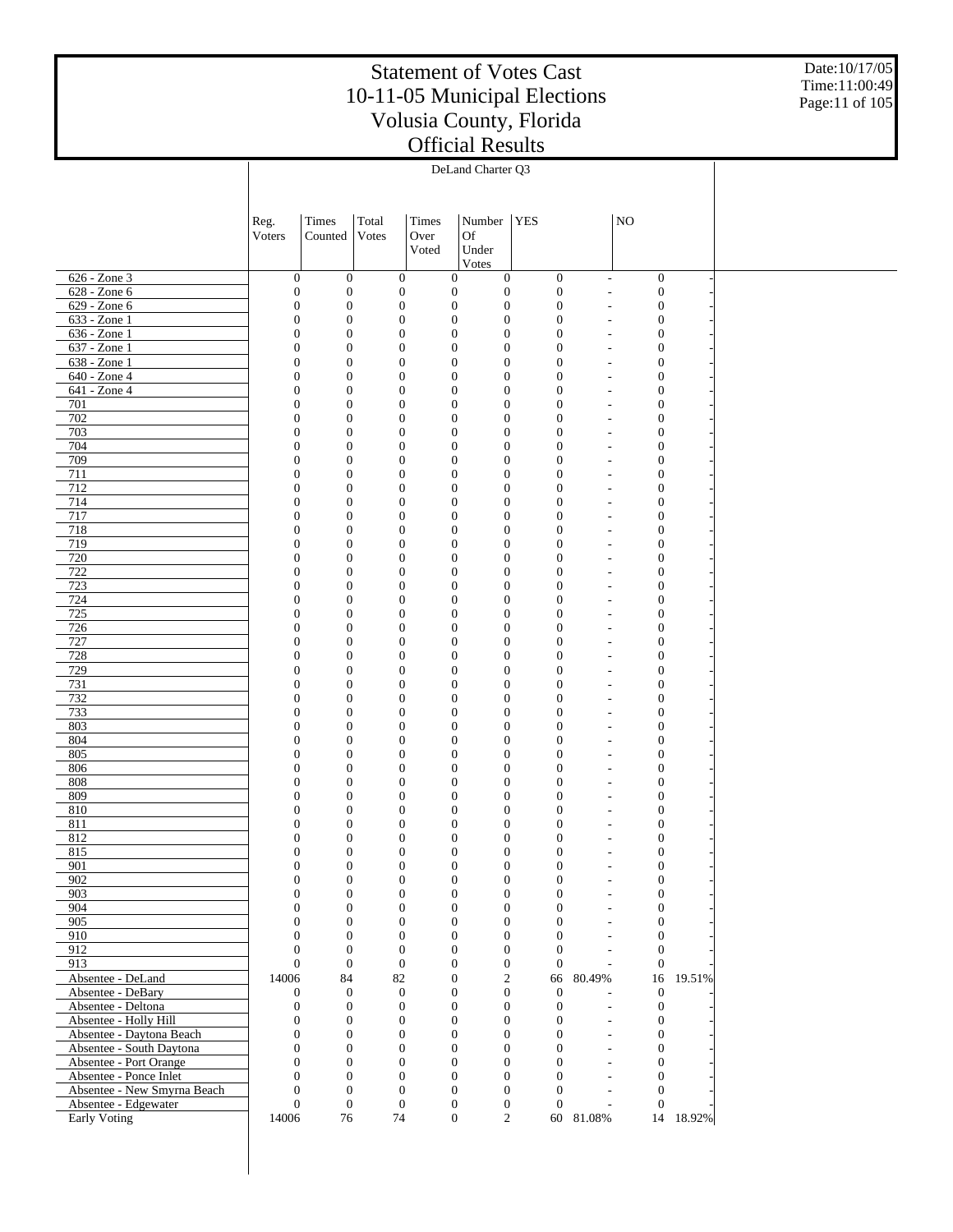Date:10/17/05 Time:11:00:49 Page:11 of 105

|                                                      |                                      |                                      |                                      |               | DeLand Charter Q3                                                            |                                      |                                            |                                      |           |  |
|------------------------------------------------------|--------------------------------------|--------------------------------------|--------------------------------------|---------------|------------------------------------------------------------------------------|--------------------------------------|--------------------------------------------|--------------------------------------|-----------|--|
|                                                      |                                      |                                      |                                      |               |                                                                              |                                      |                                            |                                      |           |  |
|                                                      | Reg.                                 | Times                                | Total                                | Times         | Number   YES                                                                 |                                      |                                            | $\rm NO$                             |           |  |
|                                                      | Voters                               | Counted                              | Votes                                | Over<br>Voted | Of<br>Under                                                                  |                                      |                                            |                                      |           |  |
|                                                      |                                      |                                      |                                      |               | Votes                                                                        |                                      |                                            |                                      |           |  |
| 626 - Zone 3<br>$628 - Zone 6$                       | $\mathbf{0}$<br>$\boldsymbol{0}$     | $\mathbf{0}$<br>$\boldsymbol{0}$     | $\mathbf{0}$<br>$\mathbf{0}$         |               | $\boldsymbol{0}$<br>0<br>$\boldsymbol{0}$<br>$\boldsymbol{0}$                | $\mathbf{0}$<br>$\mathbf{0}$         | $\overline{\phantom{a}}$<br>$\overline{a}$ | $\boldsymbol{0}$<br>$\boldsymbol{0}$ |           |  |
| $629 - Zone 6$                                       | $\mathbf{0}$                         | $\boldsymbol{0}$                     | $\mathbf{0}$                         |               | $\boldsymbol{0}$<br>$\boldsymbol{0}$                                         | $\mathbf{0}$                         | $\overline{\phantom{a}}$                   | $\mathbf{0}$                         |           |  |
| 633 - Zone 1                                         | $\mathbf{0}$                         | $\boldsymbol{0}$                     | $\boldsymbol{0}$                     |               | $\mathbf{0}$<br>$\boldsymbol{0}$                                             | $\boldsymbol{0}$                     | $\overline{a}$                             | $\mathbf{0}$                         |           |  |
| 636 - Zone 1<br>637 - Zone 1                         | $\mathbf{0}$<br>$\boldsymbol{0}$     | $\boldsymbol{0}$<br>$\boldsymbol{0}$ | $\mathbf{0}$<br>$\boldsymbol{0}$     |               | $\boldsymbol{0}$<br>$\boldsymbol{0}$<br>$\boldsymbol{0}$<br>$\boldsymbol{0}$ | $\boldsymbol{0}$<br>$\mathbf{0}$     | $\overline{\phantom{a}}$<br>$\overline{a}$ | $\mathbf{0}$<br>$\mathbf{0}$         |           |  |
| 638 - Zone 1                                         | $\mathbf{0}$                         | $\boldsymbol{0}$                     | $\mathbf{0}$                         |               | $\boldsymbol{0}$<br>$\boldsymbol{0}$                                         | $\mathbf{0}$                         | $\overline{\phantom{a}}$                   | $\mathbf{0}$                         |           |  |
| 640 - Zone 4<br>641 - Zone 4                         | $\mathbf{0}$<br>$\mathbf{0}$         | $\boldsymbol{0}$<br>$\boldsymbol{0}$ | $\boldsymbol{0}$<br>$\mathbf{0}$     |               | $\boldsymbol{0}$<br>$\boldsymbol{0}$<br>$\boldsymbol{0}$<br>$\boldsymbol{0}$ | $\mathbf{0}$<br>$\mathbf{0}$         | $\overline{a}$<br>$\overline{\phantom{a}}$ | $\mathbf{0}$<br>$\mathbf{0}$         |           |  |
| 701                                                  | $\boldsymbol{0}$                     | $\boldsymbol{0}$                     | $\boldsymbol{0}$                     |               | $\boldsymbol{0}$<br>$\boldsymbol{0}$                                         | $\mathbf{0}$                         | $\overline{a}$                             | $\mathbf{0}$                         |           |  |
| 702                                                  | $\mathbf{0}$                         | $\boldsymbol{0}$                     | $\mathbf{0}$                         |               | $\boldsymbol{0}$<br>$\boldsymbol{0}$                                         | $\mathbf{0}$                         | $\overline{\phantom{a}}$                   | $\mathbf{0}$                         |           |  |
| 703<br>704                                           | $\mathbf{0}$<br>$\mathbf{0}$         | $\boldsymbol{0}$<br>$\boldsymbol{0}$ | $\boldsymbol{0}$<br>$\mathbf{0}$     |               | $\mathbf{0}$<br>$\boldsymbol{0}$<br>$\boldsymbol{0}$<br>$\boldsymbol{0}$     | $\mathbf{0}$<br>$\mathbf{0}$         | $\overline{a}$<br>$\overline{\phantom{a}}$ | $\mathbf{0}$<br>$\mathbf{0}$         |           |  |
| 709                                                  | $\boldsymbol{0}$                     | $\boldsymbol{0}$                     | $\boldsymbol{0}$                     |               | $\boldsymbol{0}$<br>$\boldsymbol{0}$                                         | $\mathbf{0}$                         | $\overline{a}$                             | $\mathbf{0}$                         |           |  |
| 711<br>712                                           | $\mathbf{0}$<br>$\mathbf{0}$         | $\boldsymbol{0}$<br>$\boldsymbol{0}$ | $\mathbf{0}$<br>$\boldsymbol{0}$     |               | $\boldsymbol{0}$<br>$\boldsymbol{0}$<br>$\mathbf{0}$<br>$\boldsymbol{0}$     | $\mathbf{0}$<br>$\mathbf{0}$         | $\overline{\phantom{a}}$<br>$\overline{a}$ | $\mathbf{0}$<br>$\mathbf{0}$         |           |  |
| 714                                                  | $\mathbf{0}$                         | $\boldsymbol{0}$                     | $\mathbf{0}$                         |               | $\boldsymbol{0}$<br>$\boldsymbol{0}$                                         | $\mathbf{0}$                         | $\overline{a}$                             | $\mathbf{0}$                         |           |  |
| 717                                                  | $\boldsymbol{0}$                     | $\boldsymbol{0}$                     | $\boldsymbol{0}$                     |               | $\boldsymbol{0}$<br>$\boldsymbol{0}$                                         | $\mathbf{0}$                         |                                            | $\mathbf{0}$                         |           |  |
| 718<br>719                                           | $\mathbf{0}$<br>$\mathbf{0}$         | $\boldsymbol{0}$<br>$\boldsymbol{0}$ | $\mathbf{0}$<br>$\boldsymbol{0}$     |               | $\boldsymbol{0}$<br>$\boldsymbol{0}$<br>$\mathbf{0}$<br>$\boldsymbol{0}$     | $\mathbf{0}$<br>$\mathbf{0}$         | $\overline{\phantom{m}}$                   | $\mathbf{0}$<br>$\mathbf{0}$         |           |  |
| 720                                                  | $\mathbf{0}$                         | $\boldsymbol{0}$                     | $\mathbf{0}$                         |               | $\boldsymbol{0}$<br>$\boldsymbol{0}$                                         | $\mathbf{0}$                         | $\overline{\phantom{m}}$                   | $\mathbf{0}$                         |           |  |
| 722                                                  | $\boldsymbol{0}$                     | $\boldsymbol{0}$                     | $\boldsymbol{0}$                     |               | $\boldsymbol{0}$<br>$\boldsymbol{0}$                                         | $\mathbf{0}$                         |                                            | $\mathbf{0}$                         |           |  |
| 723<br>724                                           | $\mathbf{0}$<br>$\mathbf{0}$         | $\boldsymbol{0}$<br>$\boldsymbol{0}$ | $\mathbf{0}$<br>$\boldsymbol{0}$     |               | $\boldsymbol{0}$<br>$\boldsymbol{0}$<br>$\mathbf{0}$<br>$\boldsymbol{0}$     | $\mathbf{0}$<br>$\mathbf{0}$         | $\overline{\phantom{m}}$                   | $\mathbf{0}$<br>$\mathbf{0}$         |           |  |
| 725                                                  | $\mathbf{0}$                         | $\boldsymbol{0}$                     | $\mathbf{0}$                         |               | $\boldsymbol{0}$<br>$\boldsymbol{0}$                                         | $\mathbf{0}$                         | $\overline{\phantom{m}}$                   | $\mathbf{0}$                         |           |  |
| 726<br>727                                           | $\mathbf{0}$<br>$\mathbf{0}$         | $\boldsymbol{0}$<br>$\boldsymbol{0}$ | $\boldsymbol{0}$<br>$\mathbf{0}$     |               | $\boldsymbol{0}$<br>$\boldsymbol{0}$<br>$\boldsymbol{0}$<br>$\boldsymbol{0}$ | $\mathbf{0}$<br>$\mathbf{0}$         | $\overline{\phantom{m}}$                   | $\mathbf{0}$<br>$\mathbf{0}$         |           |  |
| 728                                                  | $\mathbf{0}$                         | $\boldsymbol{0}$                     | $\boldsymbol{0}$                     |               | $\mathbf{0}$<br>$\boldsymbol{0}$                                             | $\mathbf{0}$                         |                                            | $\mathbf{0}$                         |           |  |
| 729                                                  | $\mathbf{0}$                         | $\boldsymbol{0}$                     | $\mathbf{0}$                         |               | $\boldsymbol{0}$<br>$\boldsymbol{0}$                                         | $\mathbf{0}$                         | $\overline{\phantom{m}}$                   | $\mathbf{0}$                         |           |  |
| 731<br>732                                           | $\mathbf{0}$<br>$\mathbf{0}$         | $\boldsymbol{0}$<br>$\boldsymbol{0}$ | $\boldsymbol{0}$<br>$\mathbf{0}$     |               | $\boldsymbol{0}$<br>$\boldsymbol{0}$<br>$\boldsymbol{0}$<br>$\boldsymbol{0}$ | $\mathbf{0}$<br>$\mathbf{0}$         | $\overline{\phantom{m}}$                   | $\mathbf{0}$<br>$\mathbf{0}$         |           |  |
| 733                                                  | $\mathbf{0}$                         | $\boldsymbol{0}$                     | $\boldsymbol{0}$                     |               | $\mathbf{0}$<br>$\boldsymbol{0}$                                             | $\overline{0}$                       |                                            | $\mathbf{0}$                         |           |  |
| 803<br>804                                           | $\mathbf{0}$<br>$\mathbf{0}$         | $\boldsymbol{0}$<br>$\boldsymbol{0}$ | $\mathbf{0}$<br>$\boldsymbol{0}$     |               | $\boldsymbol{0}$<br>$\boldsymbol{0}$<br>$\mathbf{0}$<br>$\boldsymbol{0}$     | $\mathbf{0}$<br>$\overline{0}$       | $\overline{\phantom{m}}$                   | $\mathbf{0}$<br>$\mathbf{0}$         |           |  |
| 805                                                  | $\mathbf{0}$                         | $\boldsymbol{0}$                     | $\mathbf{0}$                         |               | $\boldsymbol{0}$<br>$\boldsymbol{0}$                                         | $\mathbf{0}$                         | $\overline{\phantom{m}}$                   | $\mathbf{0}$                         |           |  |
| 806                                                  | $\overline{0}$                       | $\boldsymbol{0}$                     | $\boldsymbol{0}$                     |               | $\mathbf{0}$<br>$\boldsymbol{0}$                                             | $\overline{0}$                       |                                            | $\mathbf{0}$                         |           |  |
| 808<br>809                                           | $\mathbf{0}$<br>$\overline{0}$       | $\boldsymbol{0}$<br>$\boldsymbol{0}$ | $\mathbf{0}$<br>$\mathbf{0}$         |               | $\boldsymbol{0}$<br>$\boldsymbol{0}$<br>$\mathbf{0}$<br>$\boldsymbol{0}$     | $\mathbf{0}$<br>$\mathbf{0}$         | $\overline{a}$<br>$\overline{\phantom{a}}$ | $\mathbf{0}$<br>$\mathbf{0}$         |           |  |
| 810                                                  | $\overline{0}$                       | $\boldsymbol{0}$                     | $\theta$                             |               | $\boldsymbol{0}$<br>$\boldsymbol{0}$                                         | $\mathbf{0}$                         | ٠                                          | $\theta$                             |           |  |
| 811<br>812                                           | $\overline{0}$<br>$\mathbf{0}$       | $\boldsymbol{0}$<br>$\boldsymbol{0}$ | $\boldsymbol{0}$<br>$\theta$         |               | $\boldsymbol{0}$<br>$\mathbf{0}$<br>$\overline{0}$<br>$\boldsymbol{0}$       | $\mathbf{0}$<br>$\overline{0}$       | $\overline{a}$<br>$\overline{a}$           | 0<br>$\boldsymbol{0}$                |           |  |
| 815                                                  | $\Omega$                             | $\Omega$                             | $\mathbf{0}$                         |               | $\boldsymbol{0}$<br>$\theta$                                                 | $\overline{0}$                       |                                            |                                      |           |  |
| 901                                                  | $\boldsymbol{0}$                     | $\boldsymbol{0}$                     | $\boldsymbol{0}$                     |               | $\boldsymbol{0}$<br>$\boldsymbol{0}$                                         | $\boldsymbol{0}$                     | $\overline{\phantom{m}}$                   | $\boldsymbol{0}$                     |           |  |
| 902<br>903                                           | $\boldsymbol{0}$<br>$\overline{0}$   | $\boldsymbol{0}$<br>$\boldsymbol{0}$ | $\boldsymbol{0}$<br>$\boldsymbol{0}$ |               | $\boldsymbol{0}$<br>$\boldsymbol{0}$<br>$\boldsymbol{0}$<br>$\boldsymbol{0}$ | $\boldsymbol{0}$<br>$\boldsymbol{0}$ | $\sim$<br>$\overline{\phantom{a}}$         | $\boldsymbol{0}$<br>$\boldsymbol{0}$ |           |  |
| 904                                                  | 0                                    | $\boldsymbol{0}$                     | $\boldsymbol{0}$                     |               | $\boldsymbol{0}$<br>$\boldsymbol{0}$                                         | $\boldsymbol{0}$                     | ÷                                          | $\boldsymbol{0}$                     |           |  |
| 905                                                  | $\overline{0}$                       | $\boldsymbol{0}$                     | $\boldsymbol{0}$                     |               | $\boldsymbol{0}$<br>$\boldsymbol{0}$                                         | $\overline{0}$                       | $\sim$                                     | $\boldsymbol{0}$                     |           |  |
| 910<br>912                                           | $\boldsymbol{0}$<br>$\overline{0}$   | $\boldsymbol{0}$<br>$\mathbf{0}$     | $\boldsymbol{0}$<br>$\boldsymbol{0}$ |               | $\boldsymbol{0}$<br>$\boldsymbol{0}$<br>$\boldsymbol{0}$<br>$\boldsymbol{0}$ | $\overline{0}$<br>$\boldsymbol{0}$   | ÷<br>$\sim$                                | $\boldsymbol{0}$<br>$\boldsymbol{0}$ |           |  |
| 913                                                  | $\overline{0}$                       | $\boldsymbol{0}$                     | $\boldsymbol{0}$                     |               | $\boldsymbol{0}$<br>$\boldsymbol{0}$                                         | $\boldsymbol{0}$                     | ÷                                          | $\mathbf{0}$                         |           |  |
| Absentee - DeLand<br>Absentee - DeBary               | 14006                                | 84<br>$\mathbf{0}$                   | 82<br>$\mathbf{0}$                   |               | $\overline{c}$<br>$\boldsymbol{0}$<br>$\boldsymbol{0}$<br>$\boldsymbol{0}$   | 66<br>$\boldsymbol{0}$               | 80.49%                                     | 16                                   | 19.51%    |  |
| Absentee - Deltona                                   | 0<br>$\boldsymbol{0}$                | $\boldsymbol{0}$                     | $\mathbf{0}$                         |               | $\boldsymbol{0}$<br>$\boldsymbol{0}$                                         | $\boldsymbol{0}$                     | $\overline{a}$                             | $\boldsymbol{0}$<br>$\boldsymbol{0}$ |           |  |
| Absentee - Holly Hill                                | 0                                    | $\boldsymbol{0}$                     | $\boldsymbol{0}$                     |               | $\boldsymbol{0}$<br>$\boldsymbol{0}$                                         | $\boldsymbol{0}$                     | $\sim$                                     | $\boldsymbol{0}$                     |           |  |
| Absentee - Daytona Beach<br>Absentee - South Daytona | $\boldsymbol{0}$<br>$\boldsymbol{0}$ | $\boldsymbol{0}$<br>$\boldsymbol{0}$ | $\boldsymbol{0}$<br>$\boldsymbol{0}$ |               | $\boldsymbol{0}$<br>$\boldsymbol{0}$<br>$\boldsymbol{0}$<br>$\boldsymbol{0}$ | $\boldsymbol{0}$<br>$\boldsymbol{0}$ | $\sim$<br>$\sim$                           | $\boldsymbol{0}$<br>$\boldsymbol{0}$ |           |  |
| Absentee - Port Orange                               | $\overline{0}$                       | $\boldsymbol{0}$                     | $\mathbf{0}$                         |               | $\boldsymbol{0}$<br>$\boldsymbol{0}$                                         | $\overline{0}$                       | $\sim$                                     | $\boldsymbol{0}$                     |           |  |
| Absentee - Ponce Inlet                               | $\mathbf{0}$                         | $\boldsymbol{0}$                     | $\boldsymbol{0}$                     |               | $\boldsymbol{0}$<br>$\boldsymbol{0}$                                         | $\overline{0}$                       | ÷.                                         | $\boldsymbol{0}$                     |           |  |
| Absentee - New Smyrna Beach<br>Absentee - Edgewater  | $\overline{0}$<br>$\boldsymbol{0}$   | $\mathbf{0}$<br>$\boldsymbol{0}$     | $\mathbf{0}$<br>$\mathbf{0}$         |               | $\boldsymbol{0}$<br>$\boldsymbol{0}$<br>$\boldsymbol{0}$<br>$\boldsymbol{0}$ | $\theta$<br>$\boldsymbol{0}$         | $\sim$<br>$\overline{\phantom{a}}$         | $\boldsymbol{0}$<br>$\boldsymbol{0}$ |           |  |
| Early Voting                                         | 14006                                | 76                                   | 74                                   |               | $\overline{c}$<br>$\boldsymbol{0}$                                           |                                      | 60 81.08%                                  |                                      | 14 18.92% |  |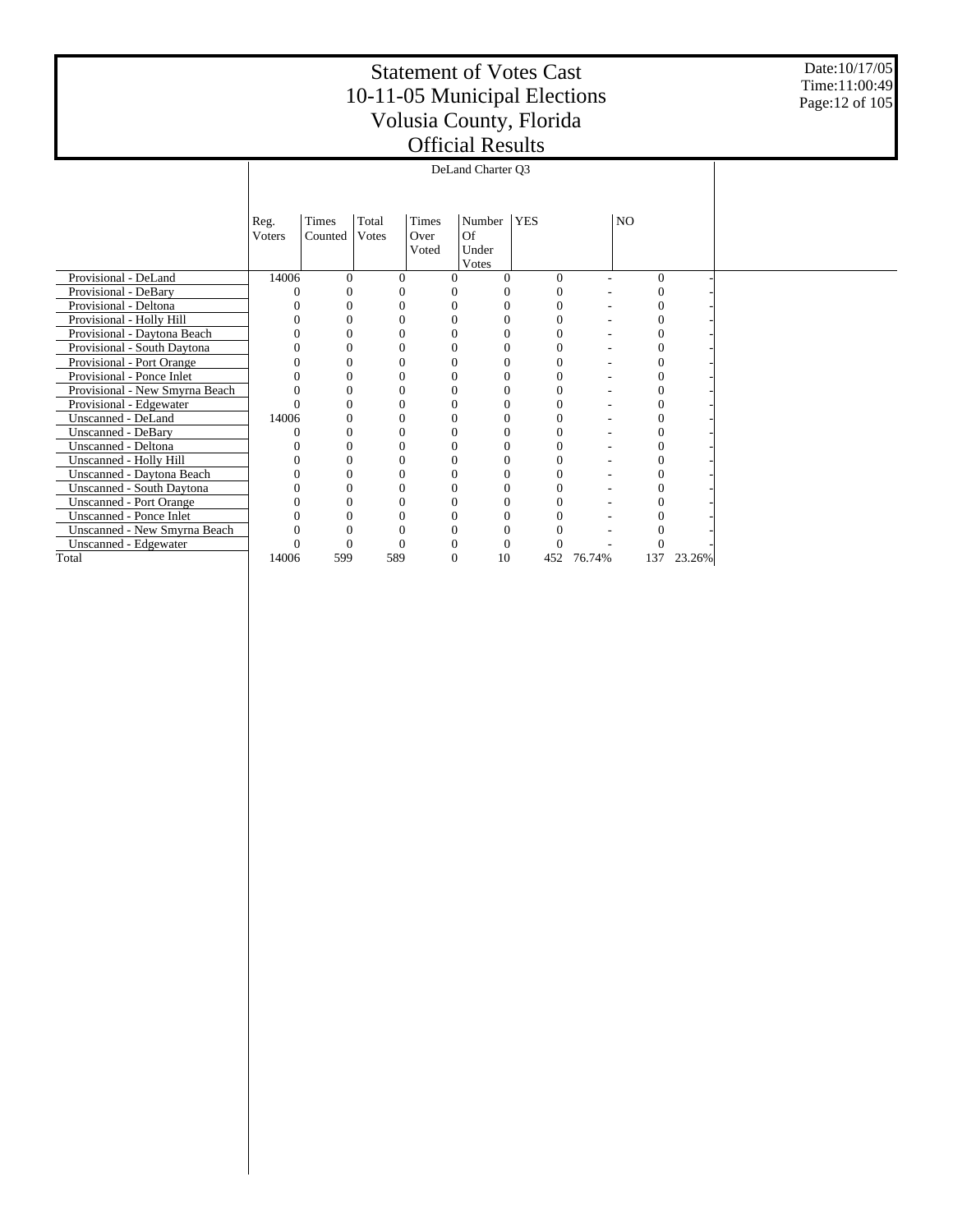Date:10/17/05 Time:11:00:49 Page:12 of 105

|                                | Reg.<br><b>V</b> oters | Times    | Total<br>Votes | Times<br>Over | Number<br>Of | <b>YES</b> |        | NO.      |        |  |
|--------------------------------|------------------------|----------|----------------|---------------|--------------|------------|--------|----------|--------|--|
|                                |                        | Counted  |                | Voted         | Under        |            |        |          |        |  |
|                                |                        |          |                |               | Votes        |            |        |          |        |  |
| Provisional - DeLand           | 14006                  | $\Omega$ | $\Omega$       | 0             | 0            | $\Omega$   |        | $\theta$ |        |  |
| Provisional - DeBary           |                        | 0        | 0              |               | 0            | $\Omega$   |        |          |        |  |
| Provisional - Deltona          |                        | 0        | 0              |               | 0            | 0          |        | 0        |        |  |
| Provisional - Holly Hill       |                        | $\theta$ | 0              |               | $\theta$     | $\Omega$   |        | 0        |        |  |
| Provisional - Daytona Beach    |                        | 0        | 0              |               | 0            | 0          |        |          |        |  |
| Provisional - South Daytona    |                        | 0        |                |               | 0            |            |        |          |        |  |
| Provisional - Port Orange      |                        | 0        | $\Omega$       |               | $\theta$     | 0          |        |          |        |  |
| Provisional - Ponce Inlet      |                        | $\theta$ | 0              |               | $\Omega$     | 0          |        |          |        |  |
| Provisional - New Smyrna Beach |                        | 0        | 0              |               | $\theta$     | $\Omega$   |        |          |        |  |
| Provisional - Edgewater        |                        | 0        | 0              |               | 0            | 0          |        |          |        |  |
| Unscanned - DeLand             | 14006                  | $\theta$ | 0              |               | $\Omega$     | $\Omega$   |        |          |        |  |
| Unscanned - DeBary             |                        | 0        | $\theta$       |               | 0            | $\Omega$   |        |          |        |  |
| Unscanned - Deltona            |                        | 0        |                |               | $\Omega$     |            |        |          |        |  |
| Unscanned - Holly Hill         |                        | $\theta$ | 0              | $\theta$      | $\theta$     | $\Omega$   |        | 0        |        |  |
| Unscanned - Daytona Beach      |                        | 0        | 0              |               | 0            | 0          |        |          |        |  |
| Unscanned - South Daytona      |                        | 0        | $\Omega$       |               | $\Omega$     |            |        |          |        |  |
| <b>Unscanned - Port Orange</b> |                        | 0        | 0              |               | 0            |            |        |          |        |  |
| Unscanned - Ponce Inlet        |                        | 0        | 0              |               | $\Omega$     |            |        |          |        |  |
| Unscanned - New Smyrna Beach   |                        | 0        | 0              |               | 0            |            |        |          |        |  |
| Unscanned - Edgewater          |                        | 0        | 0              |               | 0            | $\Omega$   |        |          |        |  |
| Total                          | 14006                  | 599      | 589            | $\Omega$      | 10           | 452        | 76.74% | 137      | 23.26% |  |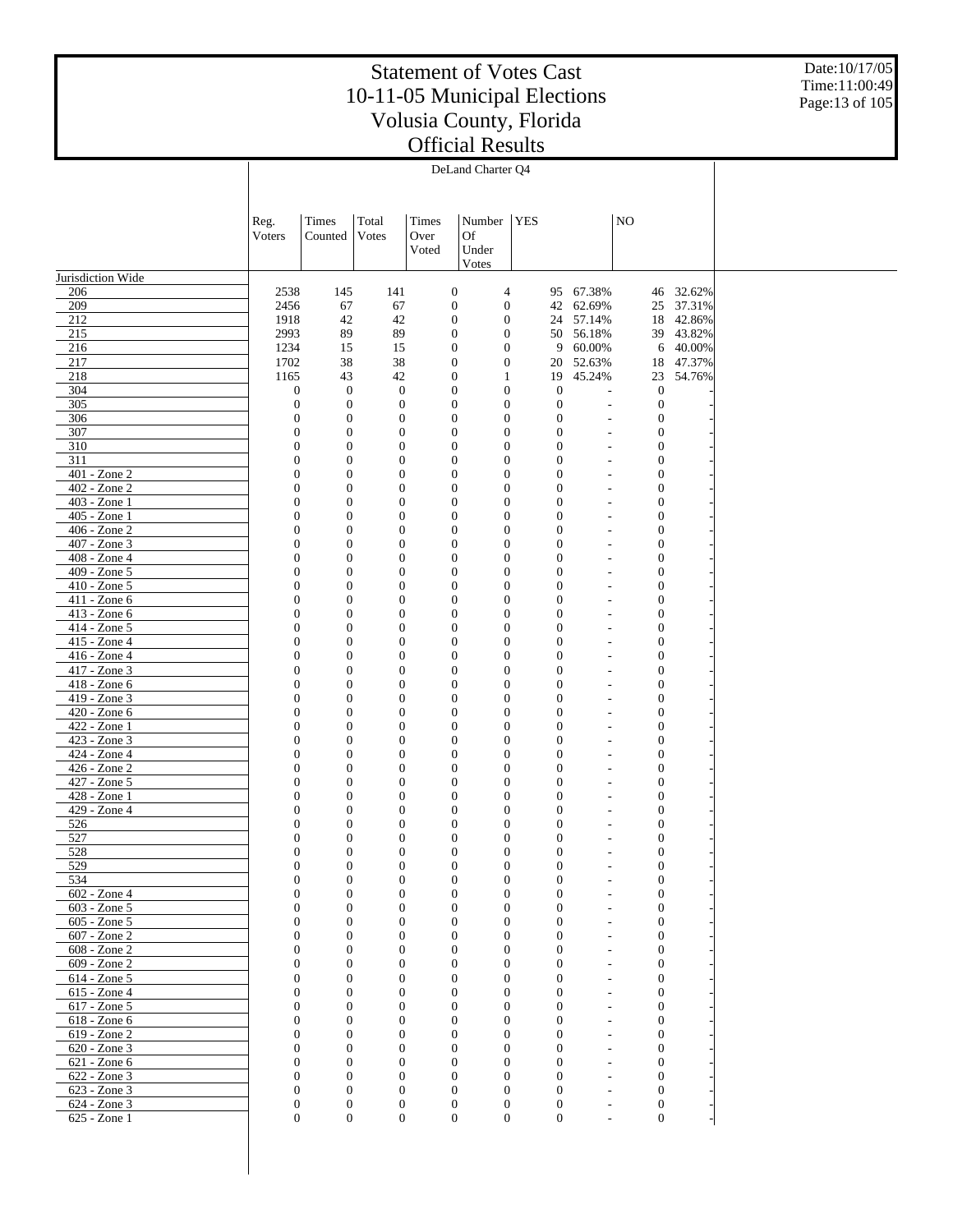Date:10/17/05 Time:11:00:49 Page:13 of 105

|                              |                                      |                                      |                                      |                                  | DeLand Charter Q4                                                            |            |                                      |                                |                                      |                        |  |
|------------------------------|--------------------------------------|--------------------------------------|--------------------------------------|----------------------------------|------------------------------------------------------------------------------|------------|--------------------------------------|--------------------------------|--------------------------------------|------------------------|--|
|                              |                                      |                                      |                                      |                                  |                                                                              |            |                                      |                                |                                      |                        |  |
|                              |                                      |                                      |                                      |                                  |                                                                              |            |                                      |                                |                                      |                        |  |
|                              | Reg.                                 | Times                                | Total                                | Times                            | Number                                                                       | <b>YES</b> |                                      |                                | NO                                   |                        |  |
|                              | Voters                               | Counted                              | Votes                                | Over                             | <b>Of</b>                                                                    |            |                                      |                                |                                      |                        |  |
|                              |                                      |                                      |                                      | Voted                            | Under                                                                        |            |                                      |                                |                                      |                        |  |
|                              |                                      |                                      |                                      |                                  | Votes                                                                        |            |                                      |                                |                                      |                        |  |
| Jurisdiction Wide            |                                      |                                      |                                      |                                  |                                                                              |            |                                      |                                |                                      |                        |  |
| 206                          | 2538                                 | 145                                  | 141                                  | $\boldsymbol{0}$                 | 4                                                                            |            |                                      | 95 67.38%                      |                                      | 46 32.62%              |  |
| 209<br>212                   | 2456<br>1918                         | 67<br>42                             | 67<br>42                             | $\mathbf{0}$<br>$\boldsymbol{0}$ | $\boldsymbol{0}$<br>$\boldsymbol{0}$                                         |            | 42                                   | 62.69%<br>24 57.14%            |                                      | 25 37.31%<br>18 42.86% |  |
| 215                          | 2993                                 | 89                                   | 89                                   |                                  | $\boldsymbol{0}$<br>$\boldsymbol{0}$                                         |            |                                      | 50 56.18%                      |                                      | 39 43.82%              |  |
| 216                          | 1234                                 | 15                                   | 15                                   | $\mathbf{0}$                     | $\boldsymbol{0}$                                                             |            | 9                                    | 60.00%                         |                                      | 6 40.00%               |  |
| 217                          | 1702                                 | 38                                   | 38                                   |                                  | $\boldsymbol{0}$<br>$\boldsymbol{0}$                                         |            | 20                                   | 52.63%                         | 18                                   | 47.37%                 |  |
| 218                          | 1165                                 | 43                                   | 42                                   | $\mathbf{0}$                     | 1                                                                            |            | 19                                   | 45.24%                         |                                      | 23 54.76%              |  |
| 304                          | $\boldsymbol{0}$                     | $\mathbf{0}$                         | $\mathbf{0}$                         |                                  | $\boldsymbol{0}$<br>$\boldsymbol{0}$                                         |            | $\boldsymbol{0}$                     |                                | $\boldsymbol{0}$                     |                        |  |
| 305                          | $\boldsymbol{0}$                     | $\boldsymbol{0}$<br>$\boldsymbol{0}$ | $\boldsymbol{0}$                     |                                  | $\boldsymbol{0}$<br>$\boldsymbol{0}$<br>$\boldsymbol{0}$                     |            | $\mathbf{0}$                         | ÷,                             | $\boldsymbol{0}$                     |                        |  |
| 306<br>307                   | $\boldsymbol{0}$<br>$\boldsymbol{0}$ | $\boldsymbol{0}$                     | $\boldsymbol{0}$<br>$\boldsymbol{0}$ |                                  | $\boldsymbol{0}$<br>$\boldsymbol{0}$<br>$\boldsymbol{0}$                     |            | $\boldsymbol{0}$<br>$\boldsymbol{0}$ | ÷,<br>$\overline{\phantom{a}}$ | $\boldsymbol{0}$<br>$\boldsymbol{0}$ |                        |  |
| 310                          | $\boldsymbol{0}$                     | $\boldsymbol{0}$                     | $\boldsymbol{0}$                     |                                  | $\boldsymbol{0}$<br>$\boldsymbol{0}$                                         |            | $\boldsymbol{0}$                     | ÷,                             | $\boldsymbol{0}$                     |                        |  |
| 311                          | $\boldsymbol{0}$                     | $\mathbf{0}$                         | $\boldsymbol{0}$                     |                                  | $\boldsymbol{0}$<br>$\boldsymbol{0}$                                         |            | $\mathbf{0}$                         | ٠                              | $\boldsymbol{0}$                     |                        |  |
| 401 - Zone 2                 | $\boldsymbol{0}$                     | $\mathbf{0}$                         | $\mathbf{0}$                         |                                  | $\boldsymbol{0}$<br>$\boldsymbol{0}$                                         |            | $\mathbf{0}$                         | ÷,                             | $\boldsymbol{0}$                     |                        |  |
| 402 - Zone 2                 | $\boldsymbol{0}$                     | $\mathbf{0}$                         | $\boldsymbol{0}$                     |                                  | $\boldsymbol{0}$<br>$\boldsymbol{0}$                                         |            | $\mathbf{0}$                         | ٠                              | $\boldsymbol{0}$                     |                        |  |
| 403 - Zone 1                 | $\boldsymbol{0}$                     | $\mathbf{0}$                         | $\boldsymbol{0}$                     |                                  | $\boldsymbol{0}$<br>$\boldsymbol{0}$                                         |            | $\mathbf{0}$                         | ÷,                             | $\boldsymbol{0}$                     |                        |  |
| 405 - Zone 1<br>406 - Zone 2 | $\boldsymbol{0}$<br>$\boldsymbol{0}$ | $\mathbf{0}$<br>$\mathbf{0}$         | $\boldsymbol{0}$<br>$\mathbf{0}$     |                                  | $\boldsymbol{0}$<br>$\boldsymbol{0}$<br>$\boldsymbol{0}$<br>$\boldsymbol{0}$ |            | $\mathbf{0}$<br>$\mathbf{0}$         | ٠<br>÷,                        | $\boldsymbol{0}$<br>$\boldsymbol{0}$ |                        |  |
| 407 - Zone 3                 | $\boldsymbol{0}$                     | $\mathbf{0}$                         | $\boldsymbol{0}$                     |                                  | $\boldsymbol{0}$<br>$\boldsymbol{0}$                                         |            | $\overline{0}$                       | ٠                              | $\boldsymbol{0}$                     |                        |  |
| 408 - Zone 4                 | $\boldsymbol{0}$                     | $\boldsymbol{0}$                     | $\boldsymbol{0}$                     |                                  | $\boldsymbol{0}$<br>$\boldsymbol{0}$                                         |            | $\overline{0}$                       | ÷,                             | $\boldsymbol{0}$                     |                        |  |
| 409 - Zone 5                 | $\boldsymbol{0}$                     | $\boldsymbol{0}$                     | $\boldsymbol{0}$                     |                                  | $\boldsymbol{0}$<br>$\boldsymbol{0}$                                         |            | $\overline{0}$                       | ٠                              | $\boldsymbol{0}$                     |                        |  |
| $410 - Z$ one 5              | $\boldsymbol{0}$                     | $\boldsymbol{0}$                     | $\mathbf{0}$                         |                                  | $\boldsymbol{0}$<br>$\boldsymbol{0}$                                         |            | $\overline{0}$                       | ÷,                             | $\boldsymbol{0}$                     |                        |  |
| 411 - Zone 6                 | $\boldsymbol{0}$                     | $\boldsymbol{0}$                     | $\boldsymbol{0}$                     |                                  | $\boldsymbol{0}$<br>$\boldsymbol{0}$                                         |            | $\overline{0}$                       | $\overline{\phantom{a}}$       | $\boldsymbol{0}$                     |                        |  |
| 413 - Zone 6<br>414 - Zone 5 | $\boldsymbol{0}$<br>$\boldsymbol{0}$ | $\boldsymbol{0}$<br>$\boldsymbol{0}$ | $\boldsymbol{0}$<br>$\boldsymbol{0}$ |                                  | $\boldsymbol{0}$<br>$\boldsymbol{0}$<br>$\boldsymbol{0}$<br>$\boldsymbol{0}$ |            | $\overline{0}$<br>$\overline{0}$     | ÷,<br>÷,                       | $\boldsymbol{0}$<br>$\boldsymbol{0}$ |                        |  |
| 415 - Zone 4                 | $\boldsymbol{0}$                     | $\boldsymbol{0}$                     | $\mathbf{0}$                         |                                  | $\boldsymbol{0}$<br>$\boldsymbol{0}$                                         |            | $\overline{0}$                       | ÷,                             | $\boldsymbol{0}$                     |                        |  |
| 416 - Zone 4                 | $\boldsymbol{0}$                     | $\boldsymbol{0}$                     | $\boldsymbol{0}$                     |                                  | $\boldsymbol{0}$<br>$\boldsymbol{0}$                                         |            | $\overline{0}$                       | $\overline{\phantom{a}}$       | $\boldsymbol{0}$                     |                        |  |
| 417 - Zone 3                 | $\boldsymbol{0}$                     | $\boldsymbol{0}$                     | $\boldsymbol{0}$                     |                                  | $\boldsymbol{0}$<br>$\boldsymbol{0}$                                         |            | $\overline{0}$                       | ÷,                             | $\boldsymbol{0}$                     |                        |  |
| 418 - Zone 6                 | $\boldsymbol{0}$                     | $\boldsymbol{0}$                     | $\boldsymbol{0}$                     |                                  | $\boldsymbol{0}$<br>$\boldsymbol{0}$                                         |            | $\overline{0}$                       | ÷,                             | $\boldsymbol{0}$                     |                        |  |
| 419 - Zone 3                 | $\boldsymbol{0}$                     | $\boldsymbol{0}$                     | $\mathbf{0}$                         |                                  | $\boldsymbol{0}$<br>$\boldsymbol{0}$                                         |            | $\overline{0}$                       | ÷,                             | $\boldsymbol{0}$                     |                        |  |
| 420 - Zone 6<br>422 - Zone 1 | $\boldsymbol{0}$<br>$\boldsymbol{0}$ | $\boldsymbol{0}$<br>$\boldsymbol{0}$ | $\boldsymbol{0}$<br>$\boldsymbol{0}$ |                                  | $\boldsymbol{0}$<br>$\boldsymbol{0}$<br>$\boldsymbol{0}$<br>$\boldsymbol{0}$ |            | $\boldsymbol{0}$<br>$\overline{0}$   | $\overline{\phantom{a}}$<br>÷, | $\boldsymbol{0}$<br>$\boldsymbol{0}$ |                        |  |
| 423 - Zone 3                 | $\boldsymbol{0}$                     | $\boldsymbol{0}$                     | $\boldsymbol{0}$                     |                                  | $\boldsymbol{0}$<br>$\boldsymbol{0}$                                         |            | $\overline{0}$                       | ÷,                             | $\boldsymbol{0}$                     |                        |  |
| 424 - Zone 4                 | $\boldsymbol{0}$                     | $\boldsymbol{0}$                     | $\mathbf{0}$                         |                                  | $\boldsymbol{0}$<br>$\boldsymbol{0}$                                         |            | $\boldsymbol{0}$                     | ÷,                             | $\boldsymbol{0}$                     |                        |  |
| 426 - Zone 2                 | $\boldsymbol{0}$                     | $\boldsymbol{0}$                     | $\boldsymbol{0}$                     |                                  | $\boldsymbol{0}$<br>$\boldsymbol{0}$                                         |            | $\boldsymbol{0}$                     | $\overline{\phantom{a}}$       | $\boldsymbol{0}$                     |                        |  |
| 427 - Zone 5                 | $\boldsymbol{0}$                     | $\boldsymbol{0}$                     | $\boldsymbol{0}$                     |                                  | $\boldsymbol{0}$<br>$\boldsymbol{0}$                                         |            | $\boldsymbol{0}$                     | ÷,                             | $\boldsymbol{0}$                     |                        |  |
| 428 - Zone 1                 | $\boldsymbol{0}$                     | $\boldsymbol{0}$                     | $\boldsymbol{0}$                     |                                  | $\boldsymbol{0}$<br>$\boldsymbol{0}$                                         |            | $\overline{0}$                       | ٠                              | $\boldsymbol{0}$                     |                        |  |
| 429 - Zone 4<br>526          | $\boldsymbol{0}$<br>$\boldsymbol{0}$ | $\boldsymbol{0}$<br>$\boldsymbol{0}$ | $\mathbf{0}$<br>$\boldsymbol{0}$     |                                  | $\boldsymbol{0}$<br>$\boldsymbol{0}$<br>$\boldsymbol{0}$<br>$\boldsymbol{0}$ |            | $\overline{0}$<br>$\mathbf{0}$       | ÷,<br>٠                        | $\boldsymbol{0}$<br>$\boldsymbol{0}$ |                        |  |
| 527                          | $\boldsymbol{0}$                     | $\boldsymbol{0}$                     | $\mathbf{0}$                         |                                  | $\boldsymbol{0}$<br>$\boldsymbol{0}$                                         |            | $\boldsymbol{0}$                     |                                | $\boldsymbol{0}$                     |                        |  |
| 528                          | $\Omega$                             | $\theta$                             | $\Omega$                             |                                  | $\overline{0}$<br>$\mathbf{0}$                                               |            | $\Omega$                             |                                | $\mathbf{0}$                         |                        |  |
| 529                          | $\boldsymbol{0}$                     | $\boldsymbol{0}$                     | $\mathbf{0}$                         |                                  | $\mathbf{0}$<br>$\boldsymbol{0}$                                             |            | $\mathbf{0}$                         |                                | $\boldsymbol{0}$                     |                        |  |
| 534                          | $\boldsymbol{0}$                     | $\boldsymbol{0}$                     | $\boldsymbol{0}$                     | $\boldsymbol{0}$                 | $\boldsymbol{0}$                                                             |            | $\boldsymbol{0}$                     |                                | $\boldsymbol{0}$                     |                        |  |
| $602 - Z$ one 4              | $\boldsymbol{0}$                     | $\boldsymbol{0}$<br>$\boldsymbol{0}$ | $\mathbf{0}$                         |                                  | $\boldsymbol{0}$<br>$\boldsymbol{0}$<br>$\boldsymbol{0}$                     |            | $\boldsymbol{0}$                     |                                | $\boldsymbol{0}$                     |                        |  |
| 603 - Zone 5<br>605 - Zone 5 | $\boldsymbol{0}$<br>$\boldsymbol{0}$ | $\boldsymbol{0}$                     | $\mathbf{0}$<br>$\mathbf{0}$         | $\mathbf{0}$                     | $\boldsymbol{0}$<br>$\boldsymbol{0}$                                         |            | $\boldsymbol{0}$<br>$\boldsymbol{0}$ |                                | $\mathbf{0}$<br>$\boldsymbol{0}$     |                        |  |
| 607 - Zone 2                 | $\overline{0}$                       | $\boldsymbol{0}$                     | $\mathbf{0}$                         | $\mathbf{0}$                     | $\mathbf{0}$                                                                 |            | $\mathbf{0}$                         |                                | $\mathbf{0}$                         |                        |  |
| 608 - Zone 2                 | $\boldsymbol{0}$                     | $\boldsymbol{0}$                     | $\mathbf{0}$                         |                                  | $\boldsymbol{0}$<br>$\mathbf{0}$                                             |            | $\boldsymbol{0}$                     |                                | $\boldsymbol{0}$                     |                        |  |
| 609 - Zone 2                 | $\overline{0}$                       | $\boldsymbol{0}$                     | $\mathbf{0}$                         | $\mathbf{0}$                     | $\mathbf{0}$                                                                 |            | $\mathbf{0}$                         | ٠                              | $\mathbf{0}$                         |                        |  |
| 614 - Zone 5                 | $\boldsymbol{0}$                     | $\boldsymbol{0}$                     | $\mathbf{0}$                         |                                  | $\boldsymbol{0}$<br>$\boldsymbol{0}$                                         |            | $\boldsymbol{0}$                     |                                | $\boldsymbol{0}$                     |                        |  |
| 615 - Zone 4                 | $\overline{0}$                       | $\boldsymbol{0}$                     | $\mathbf{0}$                         | $\mathbf{0}$                     | $\mathbf{0}$                                                                 |            | $\mathbf{0}$                         |                                | $\mathbf{0}$                         |                        |  |
| 617 - Zone 5<br>618 - Zone 6 | $\boldsymbol{0}$<br>$\overline{0}$   | $\boldsymbol{0}$<br>$\boldsymbol{0}$ | $\mathbf{0}$<br>$\mathbf{0}$         | $\mathbf{0}$                     | $\boldsymbol{0}$<br>$\mathbf{0}$<br>$\mathbf{0}$                             |            | $\boldsymbol{0}$<br>$\mathbf{0}$     | ٠                              | $\boldsymbol{0}$<br>$\boldsymbol{0}$ |                        |  |
| 619 - Zone 2                 | $\boldsymbol{0}$                     | $\boldsymbol{0}$                     | $\mathbf{0}$                         |                                  | $\boldsymbol{0}$<br>$\boldsymbol{0}$                                         |            | $\boldsymbol{0}$                     |                                | $\boldsymbol{0}$                     |                        |  |
| 620 - Zone 3                 | $\overline{0}$                       | $\boldsymbol{0}$                     | $\mathbf{0}$                         | $\mathbf{0}$                     | $\mathbf{0}$                                                                 |            | $\mathbf{0}$                         |                                | $\boldsymbol{0}$                     |                        |  |
| 621 - Zone 6                 | $\boldsymbol{0}$                     | $\overline{0}$                       | $\mathbf{0}$                         |                                  | $\boldsymbol{0}$<br>$\mathbf{0}$                                             |            | $\boldsymbol{0}$                     |                                | $\boldsymbol{0}$                     |                        |  |
| 622 - Zone 3                 | $\overline{0}$                       | $\overline{0}$                       | $\theta$                             | $\theta$                         | $\mathbf{0}$                                                                 |            | $\mathbf{0}$                         | ٠                              | $\boldsymbol{0}$                     |                        |  |
| 623 - Zone 3                 | $\boldsymbol{0}$                     | $\boldsymbol{0}$<br>$\boldsymbol{0}$ | $\mathbf{0}$                         |                                  | $\boldsymbol{0}$<br>$\mathbf{0}$<br>$\boldsymbol{0}$                         |            | $\boldsymbol{0}$                     | $\overline{\phantom{a}}$       | $\boldsymbol{0}$                     |                        |  |
| 624 - Zone 3<br>625 - Zone 1 | $\boldsymbol{0}$<br>$\overline{0}$   | $\boldsymbol{0}$                     | $\mathbf{0}$<br>$\boldsymbol{0}$     |                                  | $\mathbf{0}$<br>$\mathbf{0}$<br>$\boldsymbol{0}$                             |            | $\mathbf{0}$<br>$\boldsymbol{0}$     | ٠<br>$\overline{\phantom{a}}$  | $\boldsymbol{0}$<br>$\boldsymbol{0}$ |                        |  |
|                              |                                      |                                      |                                      |                                  |                                                                              |            |                                      |                                |                                      |                        |  |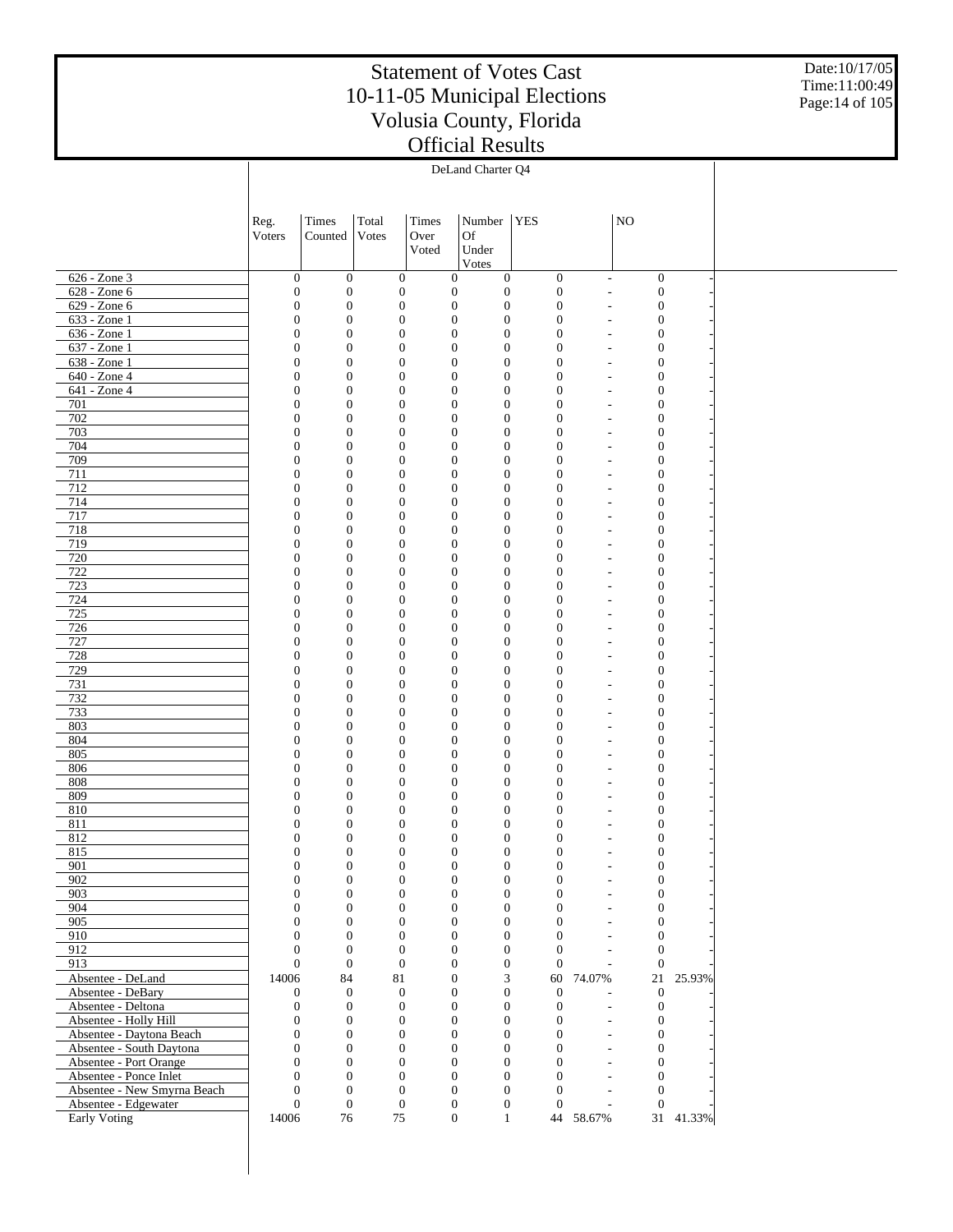Date:10/17/05 Time:11:00:49 Page:14 of 105

|                                                  |                                  |                                      |                                  |               | DeLand Charter Q4                                                            |                                  |                                                          |                                      |           |  |
|--------------------------------------------------|----------------------------------|--------------------------------------|----------------------------------|---------------|------------------------------------------------------------------------------|----------------------------------|----------------------------------------------------------|--------------------------------------|-----------|--|
|                                                  |                                  |                                      |                                  |               |                                                                              |                                  |                                                          |                                      |           |  |
|                                                  |                                  |                                      |                                  |               |                                                                              |                                  |                                                          |                                      |           |  |
|                                                  | Reg.<br>Voters                   | Times<br>Counted                     | Total<br>Votes                   | Times<br>Over | Number   YES<br><b>Of</b>                                                    |                                  |                                                          | NO                                   |           |  |
|                                                  |                                  |                                      |                                  | Voted         | Under                                                                        |                                  |                                                          |                                      |           |  |
|                                                  |                                  |                                      |                                  |               | Votes                                                                        |                                  |                                                          |                                      |           |  |
| 626 - Zone 3<br>628 - Zone 6                     | $\mathbf{0}$<br>$\boldsymbol{0}$ | $\mathbf{0}$<br>$\boldsymbol{0}$     | $\mathbf{0}$<br>$\mathbf{0}$     |               | $\mathbf{0}$<br>$\boldsymbol{0}$<br>$\boldsymbol{0}$<br>$\boldsymbol{0}$     | $\mathbf{0}$<br>$\mathbf{0}$     | ÷,<br>$\overline{a}$                                     | $\mathbf{0}$<br>$\mathbf{0}$         |           |  |
| $629 - Zone 6$                                   | $\mathbf{0}$                     | $\boldsymbol{0}$                     | $\mathbf{0}$                     |               | $\boldsymbol{0}$<br>$\boldsymbol{0}$                                         | $\mathbf{0}$                     | $\overline{a}$                                           | $\mathbf{0}$                         |           |  |
| 633 - Zone 1                                     | $\boldsymbol{0}$                 | $\boldsymbol{0}$                     | $\mathbf{0}$                     |               | $\boldsymbol{0}$<br>$\mathbf{0}$                                             | $\overline{0}$                   |                                                          | $\mathbf{0}$                         |           |  |
| 636 - Zone 1<br>637 - Zone 1                     | $\mathbf{0}$                     | $\boldsymbol{0}$<br>$\boldsymbol{0}$ | $\mathbf{0}$<br>$\mathbf{0}$     |               | $\boldsymbol{0}$<br>$\boldsymbol{0}$<br>$\boldsymbol{0}$<br>$\boldsymbol{0}$ | $\overline{0}$<br>$\mathbf{0}$   | $\overline{\phantom{a}}$                                 | $\mathbf{0}$                         |           |  |
| 638 - Zone 1                                     | $\boldsymbol{0}$<br>$\mathbf{0}$ | $\boldsymbol{0}$                     | $\mathbf{0}$                     |               | $\boldsymbol{0}$<br>$\boldsymbol{0}$                                         | $\mathbf{0}$                     | $\overline{a}$<br>$\overline{a}$                         | $\mathbf{0}$<br>$\mathbf{0}$         |           |  |
| 640 - Zone 4                                     | $\mathbf{0}$                     | $\boldsymbol{0}$                     | $\mathbf{0}$                     |               | $\boldsymbol{0}$<br>$\boldsymbol{0}$                                         | $\mathbf{0}$                     |                                                          | $\mathbf{0}$                         |           |  |
| 641 - Zone 4                                     | $\mathbf{0}$                     | $\boldsymbol{0}$                     | $\mathbf{0}$                     |               | $\boldsymbol{0}$<br>$\boldsymbol{0}$                                         | $\mathbf{0}$                     | $\overline{\phantom{a}}$                                 | $\mathbf{0}$                         |           |  |
| 701<br>702                                       | $\boldsymbol{0}$<br>$\mathbf{0}$ | $\boldsymbol{0}$<br>$\boldsymbol{0}$ | $\mathbf{0}$<br>$\mathbf{0}$     |               | $\boldsymbol{0}$<br>$\boldsymbol{0}$<br>$\boldsymbol{0}$<br>$\boldsymbol{0}$ | $\mathbf{0}$<br>$\mathbf{0}$     | $\overline{a}$<br>$\overline{a}$                         | $\mathbf{0}$<br>$\mathbf{0}$         |           |  |
| 703                                              | $\boldsymbol{0}$                 | $\boldsymbol{0}$                     | $\mathbf{0}$                     |               | $\boldsymbol{0}$<br>$\boldsymbol{0}$                                         | $\mathbf{0}$                     | $\overline{a}$                                           | $\mathbf{0}$                         |           |  |
| 704                                              | $\mathbf{0}$                     | $\boldsymbol{0}$                     | $\mathbf{0}$                     |               | $\boldsymbol{0}$<br>$\boldsymbol{0}$                                         | $\overline{0}$                   | $\overline{\phantom{a}}$                                 | $\mathbf{0}$                         |           |  |
| 709<br>711                                       | $\boldsymbol{0}$<br>$\mathbf{0}$ | $\boldsymbol{0}$<br>$\boldsymbol{0}$ | $\mathbf{0}$<br>$\mathbf{0}$     |               | $\boldsymbol{0}$<br>$\boldsymbol{0}$<br>$\boldsymbol{0}$<br>$\boldsymbol{0}$ | $\overline{0}$<br>$\overline{0}$ | $\overline{a}$<br>$\overline{a}$                         | $\mathbf{0}$<br>$\mathbf{0}$         |           |  |
| 712                                              | $\boldsymbol{0}$                 | $\boldsymbol{0}$                     | $\mathbf{0}$                     |               | $\boldsymbol{0}$<br>$\boldsymbol{0}$                                         | $\overline{0}$                   | $\overline{a}$                                           | $\mathbf{0}$                         |           |  |
| 714                                              | $\mathbf{0}$                     | $\boldsymbol{0}$                     | $\mathbf{0}$                     |               | $\boldsymbol{0}$<br>$\boldsymbol{0}$                                         | $\overline{0}$                   | $\overline{\phantom{a}}$                                 | $\mathbf{0}$                         |           |  |
| 717                                              | $\boldsymbol{0}$                 | $\boldsymbol{0}$                     | $\mathbf{0}$                     |               | $\boldsymbol{0}$<br>$\boldsymbol{0}$                                         | $\overline{0}$                   | $\overline{a}$                                           | $\mathbf{0}$                         |           |  |
| 718<br>719                                       | $\mathbf{0}$<br>$\boldsymbol{0}$ | $\boldsymbol{0}$<br>$\boldsymbol{0}$ | $\mathbf{0}$<br>$\mathbf{0}$     |               | $\boldsymbol{0}$<br>$\boldsymbol{0}$<br>$\boldsymbol{0}$<br>$\boldsymbol{0}$ | $\overline{0}$<br>$\overline{0}$ | $\overline{a}$<br>$\overline{a}$                         | $\mathbf{0}$<br>$\mathbf{0}$         |           |  |
| 720                                              | $\mathbf{0}$                     | $\boldsymbol{0}$                     | $\mathbf{0}$                     |               | $\boldsymbol{0}$<br>$\boldsymbol{0}$                                         | $\overline{0}$                   | $\overline{\phantom{a}}$                                 | $\mathbf{0}$                         |           |  |
| 722                                              | $\boldsymbol{0}$                 | $\boldsymbol{0}$                     | $\mathbf{0}$                     |               | $\boldsymbol{0}$<br>$\boldsymbol{0}$                                         | $\overline{0}$                   | $\overline{a}$                                           | $\mathbf{0}$                         |           |  |
| 723                                              | $\mathbf{0}$                     | $\boldsymbol{0}$                     | $\mathbf{0}$                     |               | $\boldsymbol{0}$<br>$\boldsymbol{0}$                                         | $\overline{0}$                   | $\overline{a}$                                           | $\mathbf{0}$                         |           |  |
| 724<br>725                                       | $\boldsymbol{0}$<br>$\mathbf{0}$ | $\boldsymbol{0}$<br>$\boldsymbol{0}$ | $\mathbf{0}$<br>$\mathbf{0}$     |               | $\boldsymbol{0}$<br>$\boldsymbol{0}$<br>$\boldsymbol{0}$<br>$\boldsymbol{0}$ | $\overline{0}$<br>$\overline{0}$ | $\overline{a}$<br>$\qquad \qquad \blacksquare$           | $\mathbf{0}$<br>$\mathbf{0}$         |           |  |
| 726                                              | $\boldsymbol{0}$                 | $\boldsymbol{0}$                     | $\mathbf{0}$                     |               | $\boldsymbol{0}$<br>$\boldsymbol{0}$                                         | $\overline{0}$                   | $\overline{a}$                                           | $\mathbf{0}$                         |           |  |
| 727                                              | $\mathbf{0}$                     | $\boldsymbol{0}$                     | $\mathbf{0}$                     |               | $\boldsymbol{0}$<br>$\boldsymbol{0}$                                         | $\overline{0}$                   | $\overline{a}$                                           | $\mathbf{0}$                         |           |  |
| 728                                              | $\boldsymbol{0}$<br>$\mathbf{0}$ | $\boldsymbol{0}$<br>$\boldsymbol{0}$ | $\mathbf{0}$<br>$\mathbf{0}$     |               | $\boldsymbol{0}$<br>$\mathbf{0}$<br>$\boldsymbol{0}$<br>$\boldsymbol{0}$     | $\overline{0}$<br>$\overline{0}$ | $\overline{a}$                                           | $\mathbf{0}$                         |           |  |
| 729<br>731                                       | $\boldsymbol{0}$                 | $\boldsymbol{0}$                     | $\mathbf{0}$                     |               | $\boldsymbol{0}$<br>$\boldsymbol{0}$                                         | $\overline{0}$                   | $\qquad \qquad \blacksquare$<br>$\overline{\phantom{m}}$ | $\mathbf{0}$<br>$\mathbf{0}$         |           |  |
| 732                                              | $\mathbf{0}$                     | $\boldsymbol{0}$                     | $\mathbf{0}$                     |               | $\boldsymbol{0}$<br>$\boldsymbol{0}$                                         | $\overline{0}$                   | $\overline{a}$                                           | $\mathbf{0}$                         |           |  |
| 733                                              | $\boldsymbol{0}$                 | $\boldsymbol{0}$                     | $\mathbf{0}$                     |               | $\boldsymbol{0}$<br>$\mathbf{0}$                                             | $\overline{0}$                   | $\overline{\phantom{m}}$                                 | $\mathbf{0}$                         |           |  |
| 803<br>804                                       | $\mathbf{0}$<br>$\boldsymbol{0}$ | $\boldsymbol{0}$<br>$\boldsymbol{0}$ | $\mathbf{0}$<br>$\mathbf{0}$     |               | $\boldsymbol{0}$<br>$\boldsymbol{0}$<br>$\boldsymbol{0}$<br>$\boldsymbol{0}$ | $\overline{0}$<br>$\overline{0}$ | $\qquad \qquad \blacksquare$<br>$\overline{\phantom{m}}$ | $\mathbf{0}$<br>$\mathbf{0}$         |           |  |
| 805                                              | $\mathbf{0}$                     | $\boldsymbol{0}$                     | $\mathbf{0}$                     |               | $\boldsymbol{0}$<br>$\boldsymbol{0}$                                         | $\overline{0}$                   | $\overline{\phantom{a}}$                                 | $\mathbf{0}$                         |           |  |
| 806                                              | $\boldsymbol{0}$                 | $\boldsymbol{0}$                     | $\mathbf{0}$                     |               | $\boldsymbol{0}$<br>$\mathbf{0}$                                             | $\mathbf{0}$                     | $\overline{\phantom{m}}$                                 | $\mathbf{0}$                         |           |  |
| 808                                              | $\mathbf{0}$                     | $\boldsymbol{0}$                     | $\mathbf{0}$                     |               | $\boldsymbol{0}$<br>$\boldsymbol{0}$                                         | $\mathbf{0}$                     | $\overline{\phantom{a}}$                                 | $\mathbf{0}$                         |           |  |
| 809<br>810                                       | $\boldsymbol{0}$<br>$\mathbf{0}$ | $\boldsymbol{0}$<br>$\mathbf{0}$     | $\mathbf{0}$<br>$\theta$         |               | $\boldsymbol{0}$<br>$\mathbf{0}$<br>$\mathbf{0}$<br>$\boldsymbol{0}$         | $\overline{0}$<br>$\mathbf{0}$   | $\overline{\phantom{m}}$<br>$\overline{a}$               | $\mathbf{0}$<br>$\theta$             |           |  |
| 811                                              | $\boldsymbol{0}$                 | $\boldsymbol{0}$                     | $\mathbf{0}$                     |               | $\boldsymbol{0}$<br>$\mathbf{0}$                                             | $\overline{0}$                   |                                                          | $\mathbf{0}$                         |           |  |
| 812                                              | $\overline{0}$                   | $\mathbf{0}$                         | $\theta$                         | $\mathbf{0}$  | $\mathbf{0}$                                                                 | $\mathbf{0}$                     |                                                          | $\mathbf{0}$                         |           |  |
| 815<br>901                                       | $\overline{0}$<br>0              | $\boldsymbol{0}$<br>$\boldsymbol{0}$ | $\boldsymbol{0}$<br>$\mathbf{0}$ |               | $\boldsymbol{0}$<br>$\overline{0}$<br>$\boldsymbol{0}$<br>$\boldsymbol{0}$   | $\overline{0}$<br>$\mathbf{0}$   |                                                          | $\Omega$<br>$\boldsymbol{0}$         |           |  |
| 902                                              | $\boldsymbol{0}$                 | $\boldsymbol{0}$                     | $\boldsymbol{0}$                 |               | $\boldsymbol{0}$<br>$\boldsymbol{0}$                                         | $\boldsymbol{0}$                 | $\overline{\phantom{a}}$                                 | $\boldsymbol{0}$                     |           |  |
| 903                                              | $\mathbf{0}$                     | $\overline{0}$                       | $\mathbf{0}$                     |               | $\overline{0}$<br>$\mathbf{0}$                                               | $\theta$                         | $\qquad \qquad \blacksquare$                             | $\boldsymbol{0}$                     |           |  |
| 904                                              | $\mathbf{0}$                     | $\boldsymbol{0}$                     | $\mathbf{0}$                     |               | $\boldsymbol{0}$<br>$\boldsymbol{0}$                                         | $\boldsymbol{0}$                 |                                                          | $\boldsymbol{0}$                     |           |  |
| 905<br>910                                       | $\overline{0}$<br>$\mathbf{0}$   | $\overline{0}$<br>$\boldsymbol{0}$   | $\mathbf{0}$<br>$\mathbf{0}$     |               | $\overline{0}$<br>$\mathbf{0}$<br>$\boldsymbol{0}$<br>$\boldsymbol{0}$       | $\mathbf{0}$<br>$\mathbf{0}$     | $\overline{\phantom{a}}$                                 | $\boldsymbol{0}$<br>$\boldsymbol{0}$ |           |  |
| 912                                              | $\overline{0}$                   | $\mathbf{0}$                         | $\mathbf{0}$                     |               | $\boldsymbol{0}$<br>$\mathbf{0}$                                             | $\theta$                         | $\overline{a}$                                           | $\mathbf{0}$                         |           |  |
| 913                                              | $\overline{0}$                   | $\mathbf{0}$                         | $\mathbf{0}$                     |               | $\boldsymbol{0}$<br>$\mathbf{0}$                                             | $\mathbf{0}$                     | $\overline{a}$                                           | $\theta$                             |           |  |
| Absentee - DeLand                                | 14006                            | 84                                   | 81                               |               | 3<br>$\boldsymbol{0}$                                                        | 60                               | 74.07%                                                   |                                      | 21 25.93% |  |
| Absentee - DeBary<br>Absentee - Deltona          | 0<br>$\boldsymbol{0}$            | $\mathbf{0}$<br>$\boldsymbol{0}$     | $\mathbf{0}$<br>$\mathbf{0}$     |               | $\boldsymbol{0}$<br>$\boldsymbol{0}$<br>$\boldsymbol{0}$<br>$\mathbf{0}$     | $\mathbf{0}$<br>$\mathbf{0}$     | ÷,<br>$\overline{a}$                                     | $\boldsymbol{0}$<br>$\boldsymbol{0}$ |           |  |
| Absentee - Holly Hill                            | 0                                | $\boldsymbol{0}$                     | $\mathbf{0}$                     |               | $\boldsymbol{0}$<br>$\boldsymbol{0}$                                         | $\boldsymbol{0}$                 | $\overline{a}$                                           | $\boldsymbol{0}$                     |           |  |
| Absentee - Daytona Beach                         | $\overline{0}$                   | $\overline{0}$                       | $\mathbf{0}$                     |               | $\boldsymbol{0}$<br>$\mathbf{0}$                                             | $\mathbf{0}$                     | $\overline{a}$                                           | $\boldsymbol{0}$                     |           |  |
| Absentee - South Daytona                         | $\overline{0}$                   | $\boldsymbol{0}$                     | $\mathbf{0}$                     |               | $\boldsymbol{0}$<br>$\boldsymbol{0}$                                         | $\mathbf{0}$                     | $\overline{a}$                                           | $\boldsymbol{0}$                     |           |  |
| Absentee - Port Orange<br>Absentee - Ponce Inlet | $\overline{0}$<br>$\mathbf{0}$   | $\overline{0}$<br>$\boldsymbol{0}$   | $\mathbf{0}$<br>$\mathbf{0}$     |               | $\overline{0}$<br>$\mathbf{0}$<br>$\mathbf{0}$<br>$\mathbf{0}$               | $\mathbf{0}$<br>$\mathbf{0}$     | $\overline{a}$<br>$\overline{a}$                         | $\mathbf{0}$<br>$\boldsymbol{0}$     |           |  |
| Absentee - New Smyrna Beach                      | $\overline{0}$                   | $\mathbf{0}$                         | $\theta$                         |               | $\mathbf{0}$<br>$\boldsymbol{0}$                                             | $\theta$                         | $\overline{a}$                                           | $\mathbf{0}$                         |           |  |
| Absentee - Edgewater                             | $\boldsymbol{0}$                 | $\boldsymbol{0}$                     | $\boldsymbol{0}$                 |               | $\boldsymbol{0}$<br>$\boldsymbol{0}$                                         | $\mathbf{0}$                     | $\overline{a}$                                           | $\mathbf{0}$                         |           |  |
| Early Voting                                     | 14006                            | 76                                   | $75\,$                           |               | $\mathbf{0}$<br>$\mathbf{1}$                                                 |                                  | 44 58.67%                                                |                                      | 31 41.33% |  |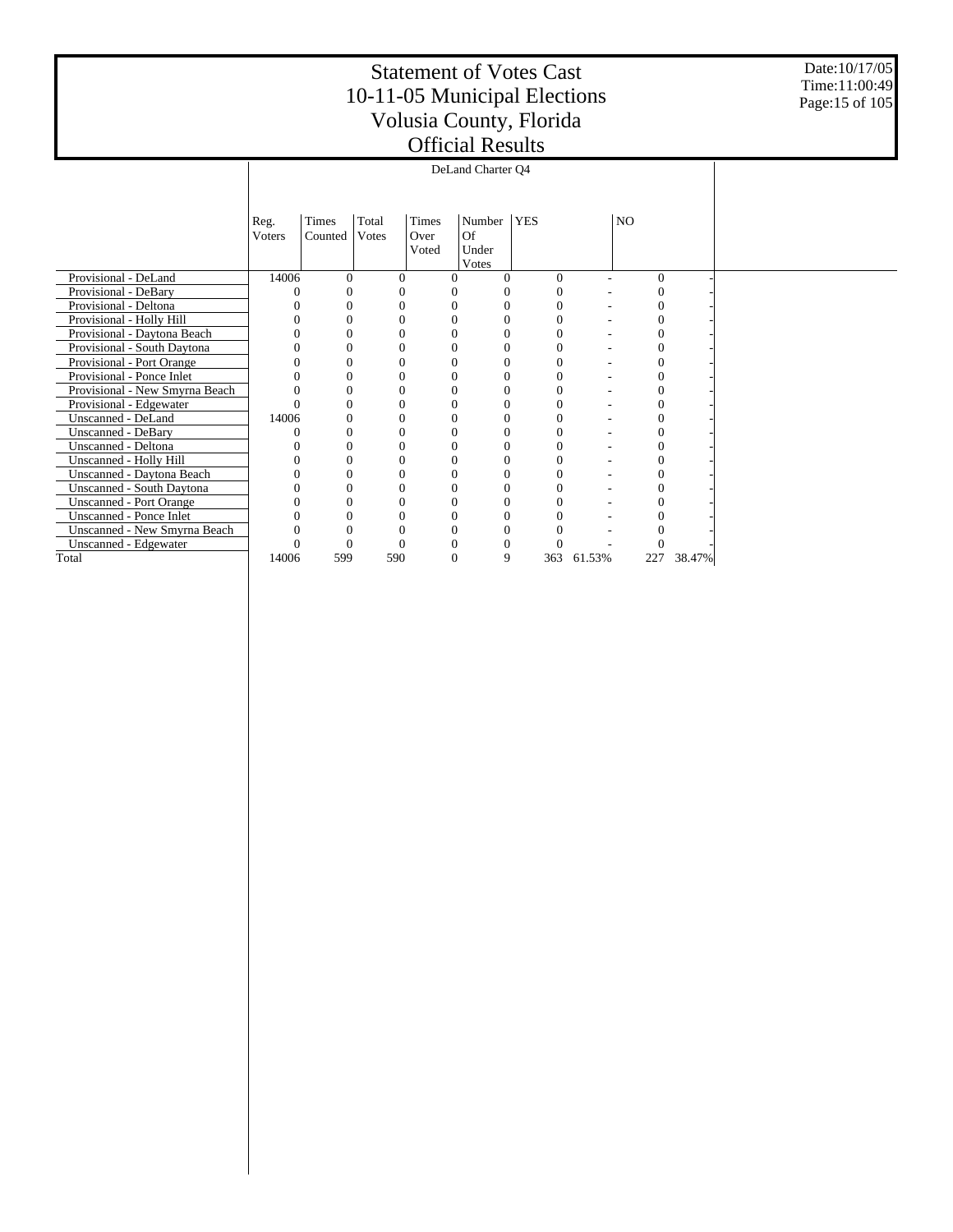Date:10/17/05 Time:11:00:49 Page:15 of 105

|                                |        |          |                |              | DeLand Charter Q4 |            |        |                |        |  |
|--------------------------------|--------|----------|----------------|--------------|-------------------|------------|--------|----------------|--------|--|
|                                | Reg.   | Times    | Total          | Times        | Number            | <b>YES</b> |        | NO             |        |  |
|                                | Voters | Counted  | Votes          | Over         | Of                |            |        |                |        |  |
|                                |        |          |                | Voted        | Under             |            |        |                |        |  |
|                                |        |          |                |              | Votes             |            |        |                |        |  |
| Provisional - DeLand           | 14006  | $\Omega$ | $\Omega$       |              | 0                 | $\Omega$   |        | $\Omega$       |        |  |
| Provisional - DeBary           |        | 0        | 0              |              | 0                 | 0          |        | 0              |        |  |
| Provisional - Deltona          |        | 0        | 0              |              | 0                 | 0          |        | 0              |        |  |
| Provisional - Holly Hill       |        | $\theta$ | 0              |              | $\Omega$          | $\Omega$   |        | $\theta$       |        |  |
| Provisional - Daytona Beach    |        | 0        | 0              |              | 0                 | 0          |        |                |        |  |
| Provisional - South Daytona    |        | 0        |                |              | 0                 |            |        |                |        |  |
| Provisional - Port Orange      |        | 0        | 0              |              | $\Omega$          | 0          |        | 0              |        |  |
| Provisional - Ponce Inlet      |        | 0        | 0              |              | 0                 | 0          |        | 0              |        |  |
| Provisional - New Smyrna Beach |        | 0        | $\Omega$       | $\Omega$     | $\theta$          | $\Omega$   |        | 0              |        |  |
| Provisional - Edgewater        |        | 0        | $\Omega$       |              | $\overline{0}$    | 0          |        | $\overline{0}$ |        |  |
| Unscanned - DeLand             | 14006  | 0        | 0              |              | 0                 | 0          |        | 0              |        |  |
| <b>Unscanned - DeBary</b>      |        | 0        | $\Omega$       |              | 0                 | $\theta$   |        |                |        |  |
| Unscanned - Deltona            |        | 0        |                |              | $\Omega$          |            |        |                |        |  |
| Unscanned - Holly Hill         |        | 0        | 0              | $\theta$     | $\Omega$          | $\Omega$   |        | 0              |        |  |
| Unscanned - Daytona Beach      |        | $\theta$ | 0              |              | 0                 | 0          |        |                |        |  |
| Unscanned - South Daytona      |        | 0        | 0              |              | $\Omega$          | 0          |        | 0              |        |  |
| <b>Unscanned - Port Orange</b> |        | 0        | $\overline{0}$ |              | $\overline{0}$    |            |        |                |        |  |
| Unscanned - Ponce Inlet        |        | 0        | 0              |              | $\overline{0}$    |            |        |                |        |  |
| Unscanned - New Smyrna Beach   |        | 0        | 0              |              | 0                 |            |        |                |        |  |
| Unscanned - Edgewater          |        | 0        | 0              |              | 0                 | 0          |        |                |        |  |
| Total                          | 14006  | 599      | 590            | $\mathbf{0}$ | 9                 | 363        | 61.53% | 227            | 38.47% |  |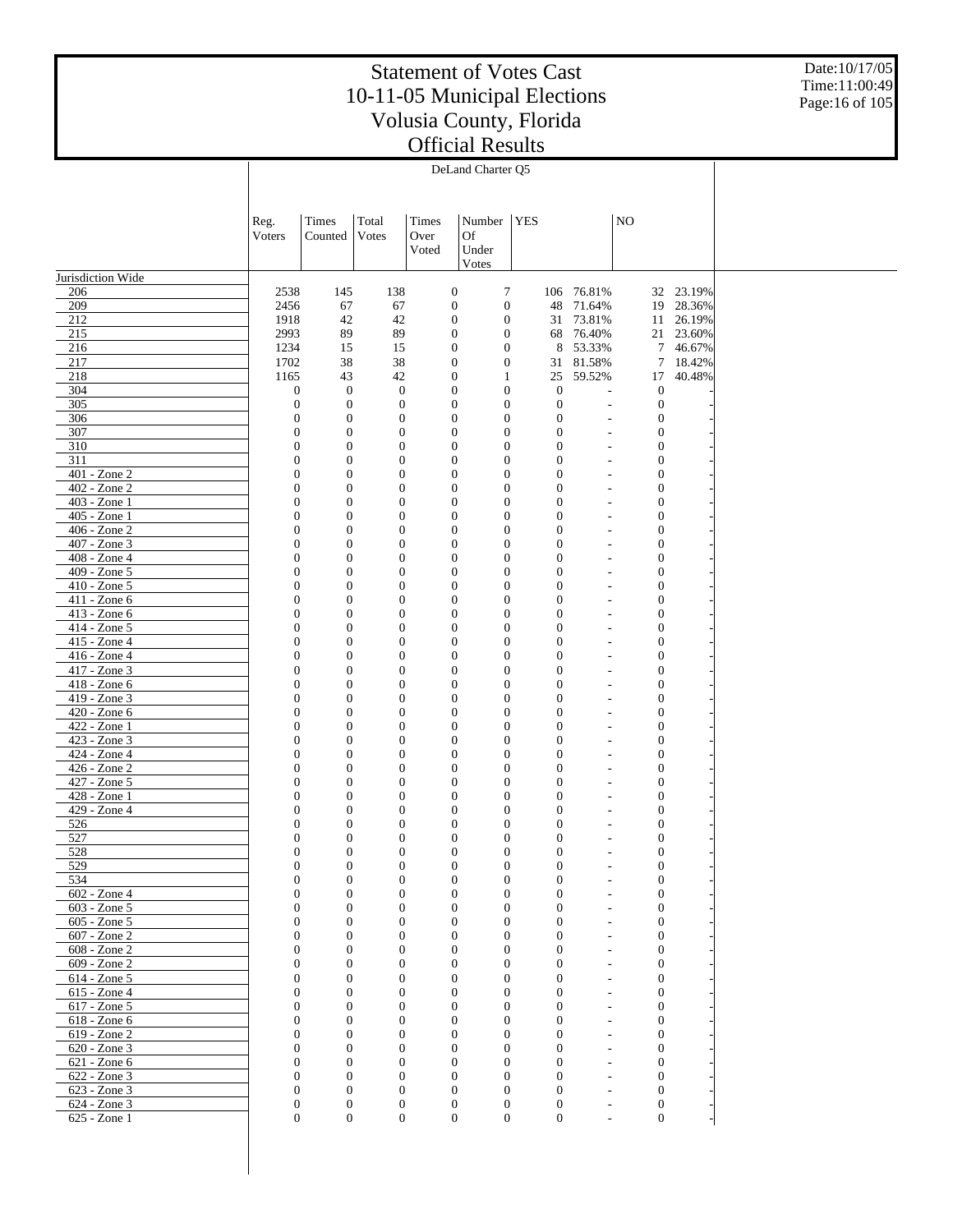Date:10/17/05 Time:11:00:49 Page:16 of 105

|                              |                                      |                                      |                                      |               | stillerat Illband                                                            |     |                                    |                          |                                      |                       |  |
|------------------------------|--------------------------------------|--------------------------------------|--------------------------------------|---------------|------------------------------------------------------------------------------|-----|------------------------------------|--------------------------|--------------------------------------|-----------------------|--|
|                              |                                      |                                      |                                      |               | DeLand Charter O5                                                            |     |                                    |                          |                                      |                       |  |
|                              |                                      |                                      |                                      |               |                                                                              |     |                                    |                          |                                      |                       |  |
|                              | Reg.                                 | Times                                | Total                                | Times         | Number                                                                       | YES |                                    |                          | $_{\rm NO}$                          |                       |  |
|                              | Voters                               | Counted                              | Votes                                | Over<br>Voted | Of<br>Under                                                                  |     |                                    |                          |                                      |                       |  |
|                              |                                      |                                      |                                      |               | Votes                                                                        |     |                                    |                          |                                      |                       |  |
| Jurisdiction Wide<br>206     | 2538                                 | 145                                  | 138                                  |               | $\tau$<br>$\boldsymbol{0}$                                                   |     |                                    | 106 76.81%               |                                      | 32 23.19%             |  |
| 209                          | 2456                                 | 67                                   | 67                                   |               | $\boldsymbol{0}$<br>$\boldsymbol{0}$                                         |     | 48                                 | 71.64%                   |                                      | 19 28.36%             |  |
| 212                          | 1918                                 | 42                                   | 42                                   |               | $\boldsymbol{0}$<br>$\boldsymbol{0}$                                         |     | 31                                 | 73.81%                   | 11                                   | 26.19%                |  |
| 215<br>216                   | 2993<br>1234                         | 89<br>15                             | 89<br>15                             |               | $\boldsymbol{0}$<br>$\boldsymbol{0}$<br>$\boldsymbol{0}$<br>$\boldsymbol{0}$ |     | 68<br>8                            | 76.40%<br>53.33%         |                                      | 21 23.60%<br>7 46.67% |  |
| 217                          | 1702                                 | 38                                   | 38                                   |               | $\boldsymbol{0}$<br>$\boldsymbol{0}$                                         |     | 31                                 | 81.58%                   |                                      | 7 18.42%              |  |
| 218                          | 1165                                 | 43                                   | 42                                   |               | $\boldsymbol{0}$<br>1                                                        |     | 25                                 | 59.52%                   | 17                                   | 40.48%                |  |
| 304<br>305                   | $\mathbf{0}$<br>$\boldsymbol{0}$     | $\mathbf{0}$<br>$\boldsymbol{0}$     | $\boldsymbol{0}$<br>$\boldsymbol{0}$ |               | $\boldsymbol{0}$<br>$\boldsymbol{0}$<br>$\boldsymbol{0}$<br>$\boldsymbol{0}$ |     | $\mathbf{0}$<br>$\boldsymbol{0}$   |                          | $\boldsymbol{0}$<br>$\boldsymbol{0}$ |                       |  |
| 306                          | $\boldsymbol{0}$                     | $\boldsymbol{0}$                     | $\boldsymbol{0}$                     |               | $\mathbf{0}$<br>$\boldsymbol{0}$                                             |     | $\boldsymbol{0}$                   |                          | $\mathbf{0}$                         |                       |  |
| 307                          | $\boldsymbol{0}$                     | $\boldsymbol{0}$                     | $\boldsymbol{0}$                     |               | $\boldsymbol{0}$<br>$\boldsymbol{0}$                                         |     | $\mathbf{0}$                       | $\overline{\phantom{a}}$ | $\mathbf{0}$                         |                       |  |
| $\overline{310}$<br>311      | $\boldsymbol{0}$<br>$\boldsymbol{0}$ | $\mathbf{0}$<br>$\boldsymbol{0}$     | $\boldsymbol{0}$<br>$\boldsymbol{0}$ |               | $\mathbf{0}$<br>$\boldsymbol{0}$<br>$\boldsymbol{0}$<br>$\boldsymbol{0}$     |     | $\overline{0}$<br>$\mathbf{0}$     |                          | $\mathbf{0}$<br>$\mathbf{0}$         |                       |  |
| 401 - Zone 2                 | $\boldsymbol{0}$                     | $\boldsymbol{0}$                     | $\boldsymbol{0}$                     |               | $\mathbf{0}$<br>$\boldsymbol{0}$                                             |     | 0                                  |                          | $\mathbf{0}$                         |                       |  |
| 402 - Zone 2                 | $\boldsymbol{0}$                     | $\mathbf{0}$                         | $\boldsymbol{0}$                     |               | $\boldsymbol{0}$<br>$\boldsymbol{0}$                                         |     | $\mathbf{0}$                       |                          | $\mathbf{0}$                         |                       |  |
| 403 - Zone 1<br>405 - Zone 1 | $\boldsymbol{0}$<br>$\boldsymbol{0}$ | $\mathbf{0}$<br>$\boldsymbol{0}$     | $\boldsymbol{0}$<br>$\boldsymbol{0}$ |               | $\mathbf{0}$<br>$\boldsymbol{0}$<br>$\boldsymbol{0}$<br>$\boldsymbol{0}$     |     | $\overline{0}$<br>$\boldsymbol{0}$ |                          | $\mathbf{0}$<br>$\mathbf{0}$         |                       |  |
| 406 - Zone 2                 | $\boldsymbol{0}$                     | $\boldsymbol{0}$                     | $\boldsymbol{0}$                     |               | $\mathbf{0}$<br>$\boldsymbol{0}$                                             |     | 0                                  |                          | $\mathbf{0}$                         |                       |  |
| 407 - Zone 3                 | $\boldsymbol{0}$                     | $\boldsymbol{0}$                     | $\boldsymbol{0}$                     |               | $\boldsymbol{0}$<br>$\boldsymbol{0}$                                         |     | $\mathbf{0}$                       |                          | $\mathbf{0}$                         |                       |  |
| 408 - Zone 4<br>409 - Zone 5 | $\boldsymbol{0}$<br>$\boldsymbol{0}$ | $\mathbf{0}$<br>$\boldsymbol{0}$     | $\boldsymbol{0}$<br>$\boldsymbol{0}$ |               | $\mathbf{0}$<br>$\boldsymbol{0}$<br>$\boldsymbol{0}$<br>$\boldsymbol{0}$     |     | $\overline{0}$<br>$\boldsymbol{0}$ |                          | $\mathbf{0}$<br>$\mathbf{0}$         |                       |  |
| 410 - Zone 5                 | $\boldsymbol{0}$                     | $\boldsymbol{0}$                     | $\boldsymbol{0}$                     |               | $\mathbf{0}$<br>$\boldsymbol{0}$                                             |     | 0                                  |                          | $\mathbf{0}$                         |                       |  |
| 411 - Zone 6                 | $\boldsymbol{0}$                     | $\boldsymbol{0}$                     | $\boldsymbol{0}$                     |               | $\boldsymbol{0}$<br>$\boldsymbol{0}$                                         |     | $\mathbf{0}$                       |                          | $\mathbf{0}$                         |                       |  |
| 413 - Zone 6                 | $\boldsymbol{0}$                     | $\mathbf{0}$                         | $\boldsymbol{0}$                     |               | $\mathbf{0}$<br>$\boldsymbol{0}$                                             |     | $\overline{0}$                     |                          | $\mathbf{0}$                         |                       |  |
| 414 - Zone 5<br>415 - Zone 4 | $\boldsymbol{0}$<br>$\boldsymbol{0}$ | $\boldsymbol{0}$<br>$\boldsymbol{0}$ | $\boldsymbol{0}$<br>$\boldsymbol{0}$ |               | $\boldsymbol{0}$<br>$\boldsymbol{0}$<br>$\mathbf{0}$<br>$\boldsymbol{0}$     |     | $\boldsymbol{0}$<br>0              |                          | $\mathbf{0}$<br>$\mathbf{0}$         |                       |  |
| 416 - Zone 4                 | $\boldsymbol{0}$                     | $\boldsymbol{0}$                     | $\boldsymbol{0}$                     |               | $\boldsymbol{0}$<br>$\boldsymbol{0}$                                         |     | $\mathbf{0}$                       |                          | $\mathbf{0}$                         |                       |  |
| 417 - Zone 3                 | $\boldsymbol{0}$                     | $\mathbf{0}$                         | $\boldsymbol{0}$                     |               | $\mathbf{0}$<br>$\boldsymbol{0}$                                             |     | $\overline{0}$                     |                          | $\mathbf{0}$                         |                       |  |
| 418 - Zone 6<br>419 - Zone 3 | $\boldsymbol{0}$<br>$\boldsymbol{0}$ | $\boldsymbol{0}$<br>$\boldsymbol{0}$ | $\boldsymbol{0}$<br>$\boldsymbol{0}$ |               | $\boldsymbol{0}$<br>$\boldsymbol{0}$<br>$\mathbf{0}$<br>$\boldsymbol{0}$     |     | $\boldsymbol{0}$<br>0              |                          | $\mathbf{0}$<br>$\mathbf{0}$         |                       |  |
| 420 - Zone 6                 | $\boldsymbol{0}$                     | $\boldsymbol{0}$                     | $\boldsymbol{0}$                     |               | $\boldsymbol{0}$<br>$\boldsymbol{0}$                                         |     | $\mathbf{0}$                       |                          | $\mathbf{0}$                         |                       |  |
| 422 - Zone 1                 | $\boldsymbol{0}$                     | $\mathbf{0}$                         | $\boldsymbol{0}$                     |               | $\mathbf{0}$<br>$\boldsymbol{0}$                                             |     | $\overline{0}$                     |                          | $\mathbf{0}$                         |                       |  |
| 423 - Zone 3<br>424 - Zone 4 | $\boldsymbol{0}$<br>$\boldsymbol{0}$ | $\boldsymbol{0}$<br>$\boldsymbol{0}$ | $\boldsymbol{0}$<br>$\boldsymbol{0}$ |               | $\boldsymbol{0}$<br>$\boldsymbol{0}$<br>$\mathbf{0}$<br>$\boldsymbol{0}$     |     | $\boldsymbol{0}$<br>$\overline{0}$ |                          | $\mathbf{0}$<br>$\mathbf{0}$         |                       |  |
| 426 - Zone 2                 | $\boldsymbol{0}$                     | $\boldsymbol{0}$                     | $\boldsymbol{0}$                     |               | $\boldsymbol{0}$<br>$\boldsymbol{0}$                                         |     | $\mathbf{0}$                       |                          | $\mathbf{0}$                         |                       |  |
| 427 - Zone 5                 | $\boldsymbol{0}$                     | $\boldsymbol{0}$                     | $\boldsymbol{0}$                     |               | $\mathbf{0}$<br>$\boldsymbol{0}$                                             |     | $\mathbf{0}$                       |                          | $\mathbf{0}$                         |                       |  |
| 428 - Zone 1<br>429 - Zone 4 | $\boldsymbol{0}$<br>$\boldsymbol{0}$ | $\boldsymbol{0}$<br>$\mathbf{0}$     | $\boldsymbol{0}$<br>$\boldsymbol{0}$ |               | $\boldsymbol{0}$<br>$\boldsymbol{0}$<br>$\boldsymbol{0}$<br>$\boldsymbol{0}$ |     | $\mathbf{0}$<br>0                  |                          | $\mathbf{0}$<br>$\boldsymbol{0}$     |                       |  |
| 526                          | $\boldsymbol{0}$                     | $\boldsymbol{0}$                     | $\boldsymbol{0}$                     |               | $\boldsymbol{0}$<br>$\boldsymbol{0}$                                         |     | $\boldsymbol{0}$                   |                          | $\boldsymbol{0}$                     |                       |  |
| 527                          | $\overline{0}$                       | $\boldsymbol{0}$                     | $\boldsymbol{0}$                     |               | $\boldsymbol{0}$<br>$\boldsymbol{0}$                                         |     | $\boldsymbol{0}$                   | ٠                        | $\mathbf{0}$                         |                       |  |
| 528<br>529                   | $\bf{0}$<br>$\boldsymbol{0}$         | $\bf{0}$<br>$\mathbf{0}$             | $\bf{0}$<br>$\boldsymbol{0}$         |               | $\boldsymbol{0}$<br>$\boldsymbol{0}$<br>$\boldsymbol{0}$<br>$\boldsymbol{0}$ |     | $\bf{0}$<br>$\mathbf{0}$           |                          | 0<br>$\boldsymbol{0}$                |                       |  |
| 534                          | $\mathbf{0}$                         | $\mathbf{0}$                         | $\boldsymbol{0}$                     |               | $\boldsymbol{0}$<br>$\boldsymbol{0}$                                         |     | $\mathbf{0}$                       |                          | $\boldsymbol{0}$                     |                       |  |
| 602 - Zone 4                 | $\mathbf{0}$                         | $\mathbf{0}$                         | $\boldsymbol{0}$                     |               | $\boldsymbol{0}$<br>$\boldsymbol{0}$                                         |     | $\mathbf{0}$                       |                          | $\boldsymbol{0}$                     |                       |  |
| 603 - Zone 5<br>605 - Zone 5 | $\mathbf{0}$<br>$\overline{0}$       | $\mathbf{0}$<br>$\mathbf{0}$         | $\boldsymbol{0}$<br>$\boldsymbol{0}$ |               | $\boldsymbol{0}$<br>$\boldsymbol{0}$<br>$\boldsymbol{0}$<br>$\boldsymbol{0}$ |     | $\mathbf{0}$<br>$\overline{0}$     |                          | $\boldsymbol{0}$<br>$\boldsymbol{0}$ |                       |  |
| 607 - Zone 2                 | $\mathbf{0}$                         | $\mathbf{0}$                         | $\boldsymbol{0}$                     |               | $\boldsymbol{0}$<br>$\boldsymbol{0}$                                         |     | $\mathbf{0}$                       |                          | $\boldsymbol{0}$                     |                       |  |
| 608 - Zone 2                 | $\mathbf{0}$                         | $\mathbf{0}$                         | $\boldsymbol{0}$                     |               | $\boldsymbol{0}$<br>$\boldsymbol{0}$                                         |     | $\mathbf{0}$                       |                          | $\boldsymbol{0}$                     |                       |  |
| 609 - Zone 2                 | $\mathbf{0}$                         | $\mathbf{0}$                         | $\boldsymbol{0}$                     |               | $\boldsymbol{0}$<br>$\mathbf{0}$                                             |     | $\mathbf{0}$                       |                          | $\boldsymbol{0}$                     |                       |  |
| 614 - Zone 5<br>615 - Zone 4 | $\overline{0}$<br>$\mathbf{0}$       | $\mathbf{0}$<br>$\mathbf{0}$         | $\boldsymbol{0}$<br>$\boldsymbol{0}$ |               | $\boldsymbol{0}$<br>$\boldsymbol{0}$<br>$\boldsymbol{0}$<br>$\boldsymbol{0}$ |     | $\overline{0}$<br>$\mathbf{0}$     |                          | $\boldsymbol{0}$<br>$\boldsymbol{0}$ |                       |  |
| 617 - Zone 5                 | $\mathbf{0}$                         | $\mathbf{0}$                         | $\boldsymbol{0}$                     |               | $\boldsymbol{0}$<br>$\mathbf{0}$                                             |     | $\overline{0}$                     |                          | $\boldsymbol{0}$                     |                       |  |
| 618 - Zone 6                 | $\mathbf{0}$                         | $\mathbf{0}$                         | $\mathbf{0}$                         |               | $\boldsymbol{0}$<br>$\mathbf{0}$                                             |     | $\mathbf{0}$                       |                          | $\mathbf{0}$                         |                       |  |
| 619 - Zone 2<br>620 - Zone 3 | $\overline{0}$<br>$\mathbf{0}$       | $\mathbf{0}$<br>$\mathbf{0}$         | $\boldsymbol{0}$<br>$\boldsymbol{0}$ |               | $\boldsymbol{0}$<br>$\boldsymbol{0}$<br>$\boldsymbol{0}$<br>$\mathbf{0}$     |     | $\overline{0}$<br>$\mathbf{0}$     |                          | $\boldsymbol{0}$<br>$\boldsymbol{0}$ |                       |  |
| 621 - Zone 6                 | $\mathbf{0}$                         | $\mathbf{0}$                         | $\boldsymbol{0}$                     |               | $\boldsymbol{0}$<br>$\mathbf{0}$                                             |     | $\mathbf{0}$                       |                          | $\boldsymbol{0}$                     |                       |  |
| 622 - Zone 3                 | $\mathbf{0}$                         | $\mathbf{0}$                         | $\mathbf{0}$                         |               | $\mathbf{0}$<br>$\mathbf{0}$                                                 |     | $\mathbf{0}$                       | $\overline{\phantom{a}}$ | $\mathbf{0}$                         |                       |  |
| 623 - Zone 3<br>624 - Zone 3 | $\mathbf{0}$<br>$\boldsymbol{0}$     | $\mathbf{0}$<br>$\boldsymbol{0}$     | $\boldsymbol{0}$<br>$\boldsymbol{0}$ |               | $\boldsymbol{0}$<br>$\mathbf{0}$<br>$\mathbf{0}$<br>$\mathbf{0}$             |     | $\mathbf{0}$<br>$\boldsymbol{0}$   |                          | $\boldsymbol{0}$<br>$\boldsymbol{0}$ |                       |  |
| 625 - Zone 1                 | $\mathbf{0}$                         | $\overline{0}$                       | $\boldsymbol{0}$                     |               | $\boldsymbol{0}$<br>$\mathbf{0}$                                             |     | $\mathbf{0}$                       |                          | $\overline{0}$                       |                       |  |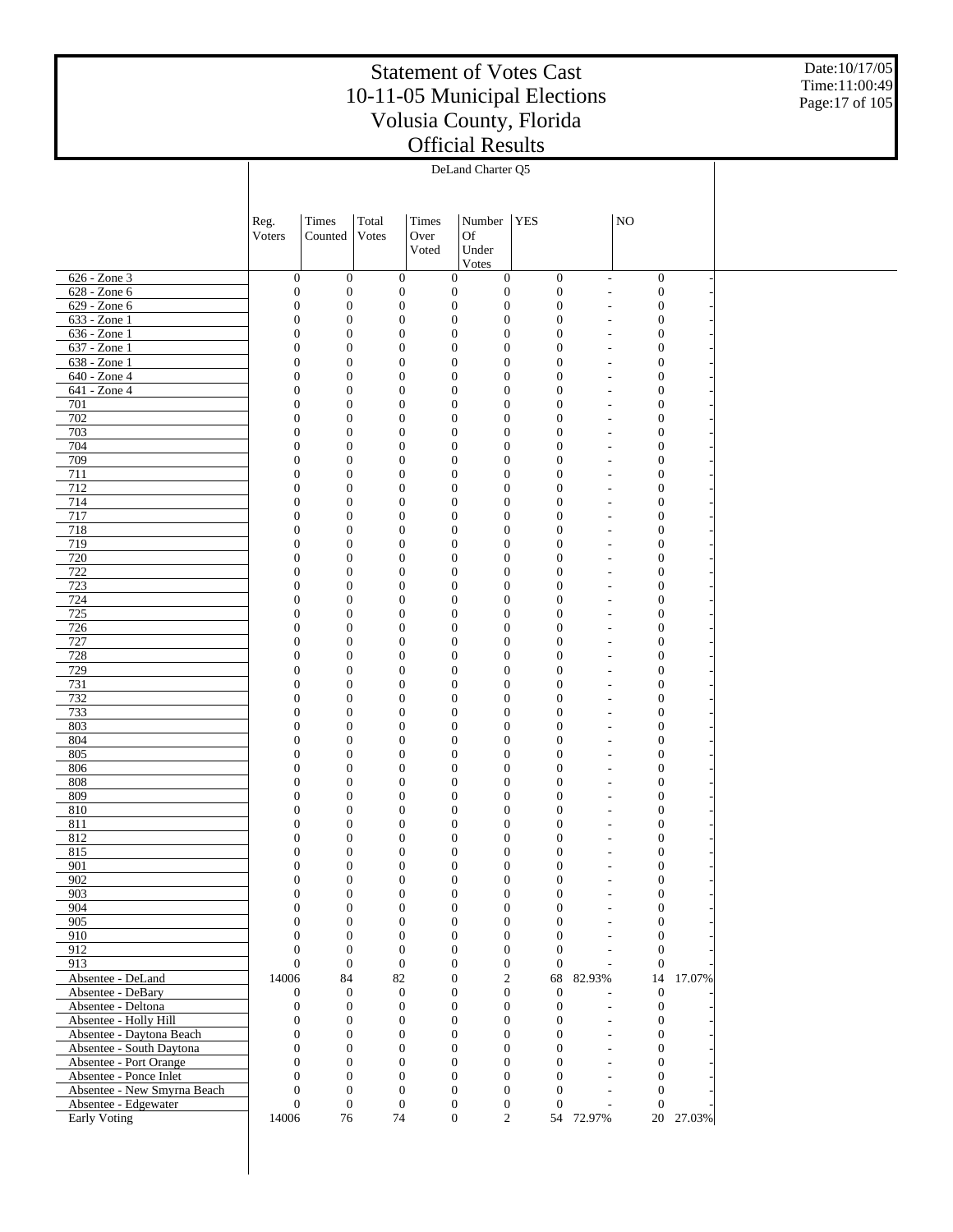Date:10/17/05 Time:11:00:49 Page:17 of 105

|                                                    |                                  |                                      |                                      |                                      | DeLand Charter Q5                                                        |                                  |                                  |                                      |           |  |
|----------------------------------------------------|----------------------------------|--------------------------------------|--------------------------------------|--------------------------------------|--------------------------------------------------------------------------|----------------------------------|----------------------------------|--------------------------------------|-----------|--|
|                                                    |                                  |                                      |                                      |                                      |                                                                          |                                  |                                  |                                      |           |  |
|                                                    | Reg.                             | Times                                | Total                                | Times                                | Number   YES                                                             |                                  |                                  | $\rm NO$                             |           |  |
|                                                    | Voters                           | Counted                              | Votes                                | Over                                 | <b>Of</b>                                                                |                                  |                                  |                                      |           |  |
|                                                    |                                  |                                      |                                      | Voted                                | Under<br>Votes                                                           |                                  |                                  |                                      |           |  |
| 626 - Zone 3                                       | $\boldsymbol{0}$                 | $\mathbf{0}$                         | $\mathbf{0}$                         | $\boldsymbol{0}$                     | $\boldsymbol{0}$                                                         | $\boldsymbol{0}$                 | ÷,                               | $\boldsymbol{0}$                     |           |  |
| 628 - Zone 6                                       | $\boldsymbol{0}$                 | $\mathbf{0}$                         | $\mathbf{0}$                         | $\boldsymbol{0}$                     | $\boldsymbol{0}$                                                         | $\boldsymbol{0}$                 |                                  | $\boldsymbol{0}$                     |           |  |
| 629 - Zone 6<br>633 - Zone 1                       | $\mathbf{0}$<br>$\overline{0}$   | $\mathbf{0}$<br>$\boldsymbol{0}$     | $\mathbf{0}$<br>$\mathbf{0}$         | $\boldsymbol{0}$<br>$\boldsymbol{0}$ | $\boldsymbol{0}$<br>$\mathbf{0}$                                         | $\mathbf{0}$<br>$\mathbf{0}$     |                                  | $\boldsymbol{0}$<br>$\boldsymbol{0}$ |           |  |
| 636 - Zone 1                                       | $\mathbf{0}$                     | $\boldsymbol{0}$                     | $\mathbf{0}$                         | $\boldsymbol{0}$                     | $\boldsymbol{0}$                                                         | $\mathbf{0}$                     | ٠                                | $\boldsymbol{0}$                     |           |  |
| 637 - Zone 1                                       | $\mathbf{0}$                     | $\boldsymbol{0}$                     | $\mathbf{0}$                         | $\boldsymbol{0}$                     | $\boldsymbol{0}$                                                         | $\overline{0}$                   |                                  | $\boldsymbol{0}$                     |           |  |
| 638 - Zone 1<br>640 - Zone 4                       | $\mathbf{0}$<br>$\overline{0}$   | $\boldsymbol{0}$<br>$\boldsymbol{0}$ | $\mathbf{0}$<br>$\mathbf{0}$         | $\boldsymbol{0}$<br>$\boldsymbol{0}$ | $\boldsymbol{0}$<br>$\mathbf{0}$                                         | $\overline{0}$<br>$\overline{0}$ | ٠                                | $\boldsymbol{0}$<br>$\boldsymbol{0}$ |           |  |
| 641 - Zone 4                                       | $\mathbf{0}$                     | $\boldsymbol{0}$                     | $\mathbf{0}$                         | $\boldsymbol{0}$                     | $\boldsymbol{0}$                                                         | $\mathbf{0}$                     | ٠                                | $\boldsymbol{0}$                     |           |  |
| 701                                                | $\mathbf{0}$                     | $\boldsymbol{0}$                     | $\mathbf{0}$                         | $\boldsymbol{0}$                     | $\boldsymbol{0}$                                                         | $\overline{0}$                   |                                  | $\boldsymbol{0}$                     |           |  |
| 702                                                | $\mathbf{0}$                     | $\boldsymbol{0}$                     | $\mathbf{0}$                         | $\boldsymbol{0}$                     | $\boldsymbol{0}$                                                         | $\overline{0}$                   | ٠                                | $\boldsymbol{0}$                     |           |  |
| 703<br>704                                         | $\overline{0}$<br>$\mathbf{0}$   | $\boldsymbol{0}$<br>$\boldsymbol{0}$ | $\mathbf{0}$<br>$\mathbf{0}$         | $\boldsymbol{0}$<br>$\boldsymbol{0}$ | $\mathbf{0}$<br>$\boldsymbol{0}$                                         | $\overline{0}$<br>$\mathbf{0}$   | ٠                                | $\boldsymbol{0}$<br>$\boldsymbol{0}$ |           |  |
| 709                                                | $\mathbf{0}$                     | $\boldsymbol{0}$                     | $\mathbf{0}$                         | $\boldsymbol{0}$                     | $\mathbf{0}$                                                             | $\overline{0}$                   |                                  | $\boldsymbol{0}$                     |           |  |
| 711                                                | $\mathbf{0}$                     | $\boldsymbol{0}$                     | $\mathbf{0}$                         | $\boldsymbol{0}$                     | $\boldsymbol{0}$                                                         | $\overline{0}$                   | ٠                                | $\boldsymbol{0}$                     |           |  |
| 712                                                | $\overline{0}$                   | $\boldsymbol{0}$                     | $\mathbf{0}$                         | $\boldsymbol{0}$                     | $\mathbf{0}$                                                             | $\overline{0}$                   |                                  | $\boldsymbol{0}$                     |           |  |
| 714<br>717                                         | $\mathbf{0}$<br>$\mathbf{0}$     | $\boldsymbol{0}$<br>$\boldsymbol{0}$ | $\mathbf{0}$<br>$\mathbf{0}$         | $\boldsymbol{0}$<br>$\boldsymbol{0}$ | $\boldsymbol{0}$<br>$\mathbf{0}$                                         | $\mathbf{0}$<br>$\overline{0}$   | ٠                                | $\boldsymbol{0}$<br>$\boldsymbol{0}$ |           |  |
| 718                                                | $\mathbf{0}$                     | $\boldsymbol{0}$                     | $\mathbf{0}$                         | $\boldsymbol{0}$                     | $\boldsymbol{0}$                                                         | $\overline{0}$                   |                                  | $\boldsymbol{0}$                     |           |  |
| 719                                                | $\overline{0}$                   | $\boldsymbol{0}$                     | $\mathbf{0}$                         | $\boldsymbol{0}$                     | $\mathbf{0}$                                                             | $\overline{0}$                   |                                  | $\boldsymbol{0}$                     |           |  |
| 720                                                | $\mathbf{0}$                     | $\boldsymbol{0}$                     | $\mathbf{0}$                         | $\boldsymbol{0}$                     | $\boldsymbol{0}$                                                         | $\mathbf{0}$                     |                                  | $\boldsymbol{0}$                     |           |  |
| 722<br>723                                         | $\overline{0}$<br>$\mathbf{0}$   | $\boldsymbol{0}$<br>$\boldsymbol{0}$ | $\mathbf{0}$<br>$\mathbf{0}$         | $\boldsymbol{0}$<br>$\boldsymbol{0}$ | $\mathbf{0}$<br>$\boldsymbol{0}$                                         | $\overline{0}$<br>$\overline{0}$ |                                  | $\boldsymbol{0}$<br>$\boldsymbol{0}$ |           |  |
| 724                                                | $\overline{0}$                   | $\boldsymbol{0}$                     | $\mathbf{0}$                         | $\boldsymbol{0}$                     | $\mathbf{0}$                                                             | $\overline{0}$                   |                                  | $\boldsymbol{0}$                     |           |  |
| 725                                                | $\mathbf{0}$                     | $\boldsymbol{0}$                     | $\mathbf{0}$                         | $\boldsymbol{0}$                     | $\boldsymbol{0}$                                                         | $\overline{0}$                   |                                  | $\boldsymbol{0}$                     |           |  |
| 726                                                | $\overline{0}$                   | $\boldsymbol{0}$                     | $\mathbf{0}$                         | $\boldsymbol{0}$                     | $\mathbf{0}$                                                             | $\overline{0}$                   |                                  | $\boldsymbol{0}$                     |           |  |
| 727<br>728                                         | $\mathbf{0}$<br>$\overline{0}$   | $\boldsymbol{0}$<br>$\boldsymbol{0}$ | $\mathbf{0}$<br>$\mathbf{0}$         | $\boldsymbol{0}$<br>$\boldsymbol{0}$ | $\boldsymbol{0}$<br>$\mathbf{0}$                                         | $\overline{0}$<br>$\overline{0}$ | ÷,                               | $\boldsymbol{0}$<br>$\boldsymbol{0}$ |           |  |
| 729                                                | $\mathbf{0}$                     | $\boldsymbol{0}$                     | $\mathbf{0}$                         | $\boldsymbol{0}$                     | $\boldsymbol{0}$                                                         | $\overline{0}$                   |                                  | $\boldsymbol{0}$                     |           |  |
| 731                                                | $\overline{0}$                   | $\boldsymbol{0}$                     | $\mathbf{0}$                         | $\boldsymbol{0}$                     | $\mathbf{0}$                                                             | $\overline{0}$                   |                                  | $\boldsymbol{0}$                     |           |  |
| 732                                                | $\mathbf{0}$                     | $\boldsymbol{0}$                     | $\mathbf{0}$                         | $\boldsymbol{0}$                     | $\boldsymbol{0}$<br>$\mathbf{0}$                                         | $\overline{0}$<br>$\overline{0}$ | ÷,                               | $\boldsymbol{0}$                     |           |  |
| 733<br>803                                         | $\overline{0}$<br>$\mathbf{0}$   | $\boldsymbol{0}$<br>$\boldsymbol{0}$ | $\mathbf{0}$<br>$\mathbf{0}$         | $\boldsymbol{0}$<br>$\boldsymbol{0}$ | $\boldsymbol{0}$                                                         | $\overline{0}$                   | ÷,                               | $\boldsymbol{0}$<br>$\boldsymbol{0}$ |           |  |
| 804                                                | $\overline{0}$                   | $\boldsymbol{0}$                     | $\mathbf{0}$                         | $\boldsymbol{0}$                     | $\mathbf{0}$                                                             | $\overline{0}$                   | ÷,                               | $\boldsymbol{0}$                     |           |  |
| 805                                                | $\mathbf{0}$                     | $\boldsymbol{0}$                     | $\mathbf{0}$                         | $\boldsymbol{0}$                     | $\boldsymbol{0}$                                                         | $\overline{0}$                   | ÷,                               | $\boldsymbol{0}$                     |           |  |
| 806<br>808                                         | $\overline{0}$<br>$\mathbf{0}$   | $\boldsymbol{0}$<br>$\boldsymbol{0}$ | $\mathbf{0}$<br>$\mathbf{0}$         | $\boldsymbol{0}$<br>$\boldsymbol{0}$ | $\mathbf{0}$<br>$\boldsymbol{0}$                                         | $\overline{0}$<br>$\overline{0}$ | ÷,<br>$\overline{\phantom{a}}$   | $\boldsymbol{0}$<br>$\boldsymbol{0}$ |           |  |
| 809                                                | $\overline{0}$                   | $\boldsymbol{0}$                     | $\mathbf{0}$                         | $\boldsymbol{0}$                     | $\mathbf{0}$                                                             | $\overline{0}$                   | ÷,                               | $\boldsymbol{0}$                     |           |  |
| 810                                                | $\overline{0}$                   | $\boldsymbol{0}$                     | $\mathbf{0}$                         | $\boldsymbol{0}$                     | $\mathbf{0}$                                                             | $\overline{0}$                   |                                  | $\mathbf{0}$                         |           |  |
| 811                                                | $\overline{0}$                   | $\boldsymbol{0}$                     | $\mathbf{0}$                         | $\boldsymbol{0}$                     | $\mathbf{0}$                                                             | $\boldsymbol{0}$                 |                                  | $\mathbf{0}$                         |           |  |
| 812<br>815                                         | $\overline{0}$<br>$\Omega$       | $\boldsymbol{0}$<br>$\Omega$         | $\mathbf{0}$<br>$\Omega$             | $\mathbf{0}$<br>$\boldsymbol{0}$     | $\mathbf{0}$<br>$\Omega$                                                 | $\mathbf{0}$<br>$\Omega$         |                                  | $\boldsymbol{0}$<br>$\Omega$         |           |  |
| 901                                                | $\boldsymbol{0}$                 | $\boldsymbol{0}$                     | $\boldsymbol{0}$                     |                                      | $\boldsymbol{0}$<br>$\boldsymbol{0}$                                     | $\boldsymbol{0}$                 |                                  | $\boldsymbol{0}$                     |           |  |
| 902                                                | $\overline{0}$                   | $\boldsymbol{0}$                     | $\boldsymbol{0}$                     |                                      | $\boldsymbol{0}$<br>$\boldsymbol{0}$                                     | $\boldsymbol{0}$                 | ÷,                               | $\boldsymbol{0}$                     |           |  |
| 903                                                | $\overline{0}$                   | $\boldsymbol{0}$                     | $\boldsymbol{0}$                     |                                      | $\overline{0}$<br>$\boldsymbol{0}$                                       | $\mathbf{0}$                     | $\overline{a}$                   | $\boldsymbol{0}$                     |           |  |
| 904<br>905                                         | $\Omega$<br>$\overline{0}$       | $\boldsymbol{0}$<br>$\boldsymbol{0}$ | $\boldsymbol{0}$<br>$\boldsymbol{0}$ | $\mathbf{0}$                         | $\overline{0}$<br>$\overline{0}$<br>$\boldsymbol{0}$                     | $\mathbf{0}$<br>$\mathbf{0}$     | $\overline{a}$<br>$\overline{a}$ | $\boldsymbol{0}$<br>$\boldsymbol{0}$ |           |  |
| 910                                                | $\Omega$                         | $\boldsymbol{0}$                     | $\boldsymbol{0}$                     | $\mathbf{0}$                         | $\boldsymbol{0}$                                                         | $\overline{0}$                   | $\overline{a}$                   | $\mathbf{0}$                         |           |  |
| 912                                                | $\overline{0}$                   | $\boldsymbol{0}$                     | $\mathbf{0}$                         |                                      | $\boldsymbol{0}$<br>$\overline{0}$                                       | $\mathbf{0}$                     | $\overline{a}$                   | $\boldsymbol{0}$                     |           |  |
| $\overline{913}$                                   | $\Omega$                         | $\boldsymbol{0}$                     | $\mathbf{0}$                         |                                      | $\boldsymbol{0}$<br>$\overline{0}$                                       | $\mathbf{0}$                     | $\overline{\phantom{a}}$         | $\mathbf{0}$                         |           |  |
| Absentee - DeLand<br>Absentee - DeBary             | 14006<br>$\overline{0}$          | 84<br>$\mathbf{0}$                   | 82<br>$\mathbf{0}$                   |                                      | $\overline{c}$<br>$\boldsymbol{0}$<br>$\boldsymbol{0}$<br>$\overline{0}$ | $\mathbf{0}$                     | 68 82.93%                        | $\boldsymbol{0}$                     | 14 17.07% |  |
| Absentee - Deltona                                 | $\overline{0}$                   | $\boldsymbol{0}$                     | $\boldsymbol{0}$                     |                                      | $\overline{0}$<br>$\boldsymbol{0}$                                       | $\mathbf{0}$                     | $\overline{a}$                   | $\boldsymbol{0}$                     |           |  |
| Absentee - Holly Hill                              | $\overline{0}$                   | $\boldsymbol{0}$                     | $\boldsymbol{0}$                     |                                      | $\boldsymbol{0}$<br>$\overline{0}$                                       | $\boldsymbol{0}$                 | $\overline{a}$                   | $\boldsymbol{0}$                     |           |  |
| Absentee - Daytona Beach                           | $\overline{0}$                   | $\boldsymbol{0}$                     | $\boldsymbol{0}$                     |                                      | $\overline{0}$<br>$\overline{0}$                                         | $\mathbf{0}$                     | $\overline{a}$                   | $\boldsymbol{0}$                     |           |  |
| Absentee - South Daytona<br>Absentee - Port Orange | $\overline{0}$<br>$\overline{0}$ | $\overline{0}$<br>$\mathbf{0}$       | $\boldsymbol{0}$<br>$\mathbf{0}$     |                                      | $\boldsymbol{0}$<br>$\overline{0}$<br>$\overline{0}$<br>$\overline{0}$   | $\mathbf{0}$<br>$\mathbf{0}$     | $\overline{a}$<br>$\overline{a}$ | $\boldsymbol{0}$<br>$\boldsymbol{0}$ |           |  |
| Absentee - Ponce Inlet                             | $\Omega$                         | $\mathbf{0}$                         | $\boldsymbol{0}$                     |                                      | $\overline{0}$<br>$\overline{0}$                                         | $\overline{0}$                   | $\sim$                           | $\boldsymbol{0}$                     |           |  |
| Absentee - New Smyrna Beach                        | $\overline{0}$                   | $\boldsymbol{0}$                     | $\mathbf{0}$                         |                                      | $\overline{0}$<br>$\overline{0}$                                         | $\mathbf{0}$                     | $\overline{a}$                   | $\mathbf{0}$                         |           |  |
| Absentee - Edgewater                               | $\overline{0}$                   | $\boldsymbol{0}$                     | $\boldsymbol{0}$                     |                                      | $\boldsymbol{0}$<br>$\boldsymbol{0}$                                     | $\theta$                         | $\sim$                           | $\theta$                             |           |  |
| Early Voting                                       | 14006                            | 76                                   | 74                                   |                                      | $\boldsymbol{0}$<br>$\overline{c}$                                       |                                  | 54 72.97%                        |                                      | 20 27.03% |  |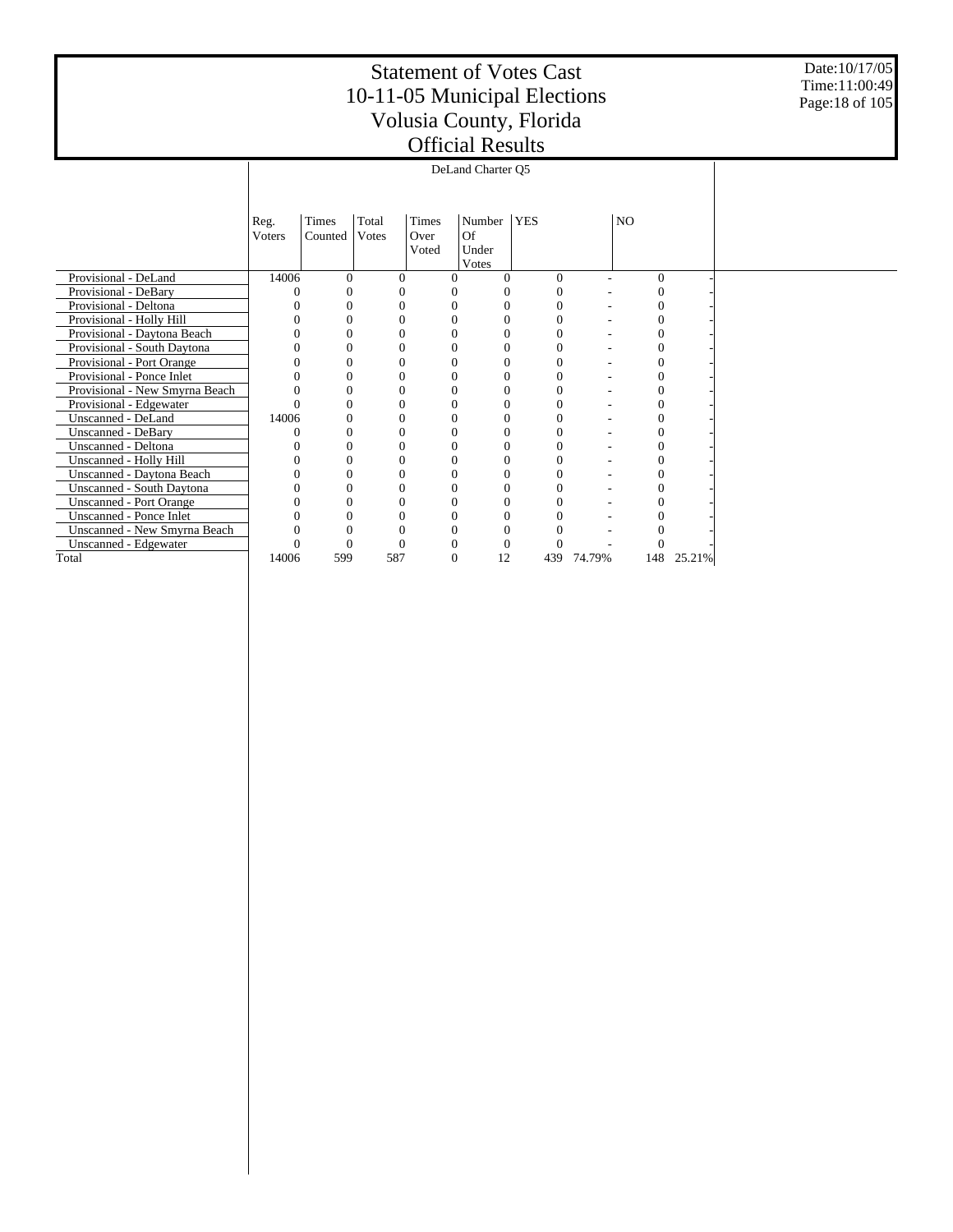Date:10/17/05 Time:11:00:49 Page:18 of 105

|                                |                |          |          |          | DeLand Charter Q5 |            |        |          |        |  |
|--------------------------------|----------------|----------|----------|----------|-------------------|------------|--------|----------|--------|--|
|                                |                |          |          |          |                   |            |        |          |        |  |
|                                | Reg.           | Times    | Total    | Times    | Number            | <b>YES</b> |        | NO.      |        |  |
|                                | <b>V</b> oters | Counted  | Votes    | Over     | Of                |            |        |          |        |  |
|                                |                |          |          | Voted    | Under             |            |        |          |        |  |
|                                |                |          |          |          | Votes             |            |        |          |        |  |
| Provisional - DeLand           | 14006          | $\Omega$ | $\Omega$ |          | 0                 | $\Omega$   |        | $\Omega$ |        |  |
| Provisional - DeBary           |                | 0        | 0        |          | 0                 | 0          |        |          |        |  |
| Provisional - Deltona          |                | 0        | 0        |          | 0                 | 0          |        |          |        |  |
| Provisional - Holly Hill       |                | $\theta$ | 0        |          | $\theta$          | $\Omega$   |        | 0        |        |  |
| Provisional - Daytona Beach    |                | 0        | 0        |          | 0                 |            |        |          |        |  |
| Provisional - South Daytona    |                | 0        |          |          | 0                 |            |        |          |        |  |
| Provisional - Port Orange      |                | 0        | 0        |          | $\Omega$          | 0          |        |          |        |  |
| Provisional - Ponce Inlet      |                | 0        | 0        |          | 0                 | 0          |        |          |        |  |
| Provisional - New Smyrna Beach |                | 0        | $\Omega$ |          | $\theta$          | $\Omega$   |        |          |        |  |
| Provisional - Edgewater        |                | $\theta$ | 0        |          | $\overline{0}$    | 0          |        |          |        |  |
| Unscanned - DeLand             | 14006          | 0        | 0        |          | 0                 | $\Omega$   |        |          |        |  |
| Unscanned - DeBary             |                | 0        | $\Omega$ |          | 0                 |            |        |          |        |  |
| Unscanned - Deltona            |                | 0        |          |          | $\Omega$          |            |        |          |        |  |
| Unscanned - Holly Hill         |                | 0        | 0        | $\Omega$ | $\Omega$          | $\Omega$   |        | 0        |        |  |
| Unscanned - Daytona Beach      |                | $\theta$ | 0        |          | 0                 | 0          |        |          |        |  |
| Unscanned - South Daytona      |                | 0        | 0        |          | $\Omega$          | 0          |        |          |        |  |
| <b>Unscanned - Port Orange</b> |                | 0        | 0        |          | 0                 |            |        |          |        |  |
| Unscanned - Ponce Inlet        |                | 0        | 0        |          | $\Omega$          |            |        |          |        |  |
| Unscanned - New Smyrna Beach   |                | 0        | 0        |          | 0                 |            |        |          |        |  |
| Unscanned - Edgewater          |                | 0        |          |          | $\Omega$          | $\Omega$   |        |          |        |  |
| Total                          | 14006          | 599      | 587      | $\Omega$ | 12                | 439        | 74.79% | 148      | 25.21% |  |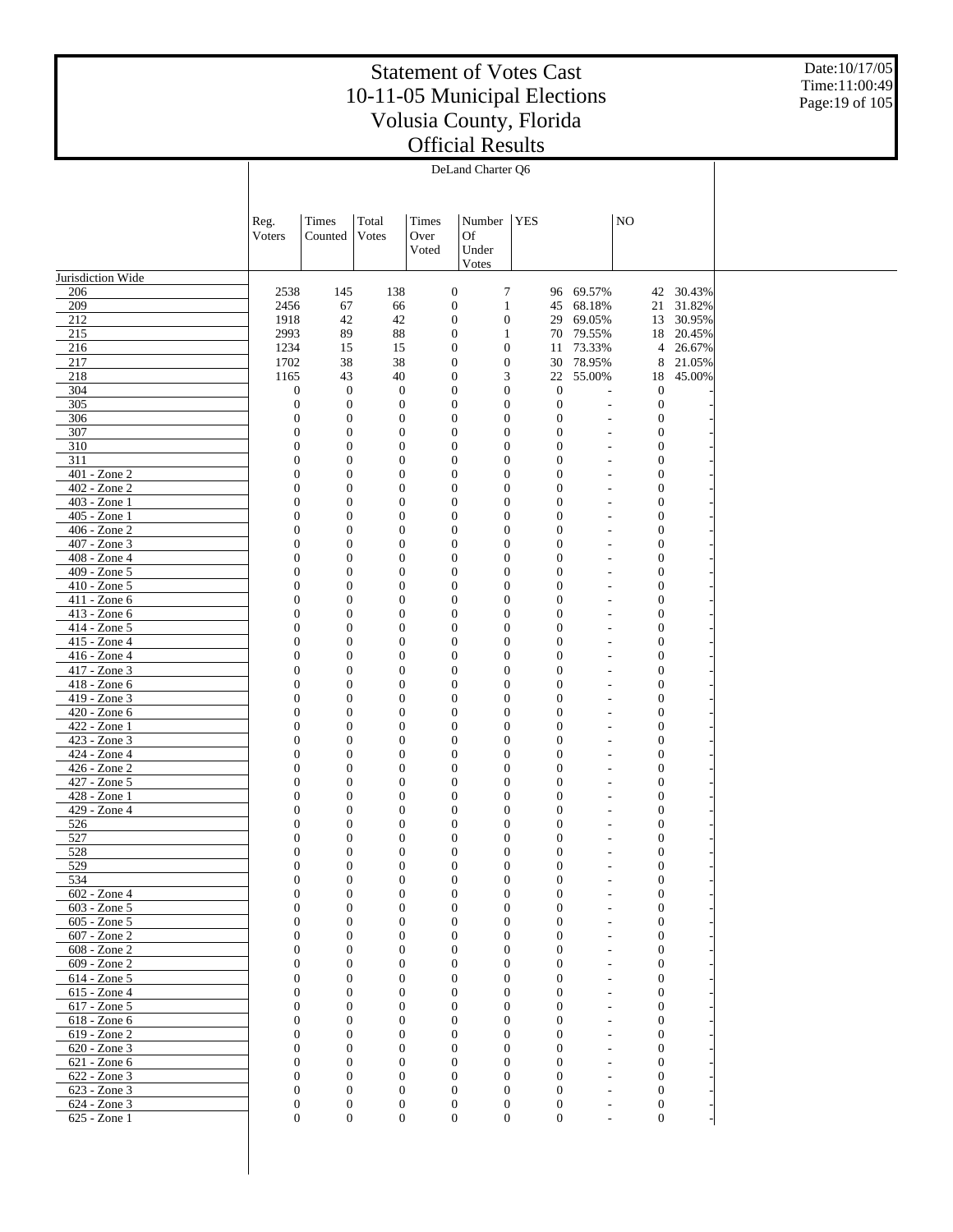Date:10/17/05 Time:11:00:49 Page:19 of 105

|                              | DeLand Charter Q6                    |                                      |                                      |                                      |                                  |            |                                      |                          |                                  |                        |  |
|------------------------------|--------------------------------------|--------------------------------------|--------------------------------------|--------------------------------------|----------------------------------|------------|--------------------------------------|--------------------------|----------------------------------|------------------------|--|
|                              |                                      |                                      |                                      |                                      |                                  |            |                                      |                          |                                  |                        |  |
|                              |                                      |                                      |                                      |                                      |                                  |            |                                      |                          |                                  |                        |  |
|                              | Reg.                                 | Times                                | Total                                | Times                                | Number                           | <b>YES</b> |                                      |                          | NO                               |                        |  |
|                              | Voters                               | Counted                              | Votes                                | Over                                 | Of                               |            |                                      |                          |                                  |                        |  |
|                              |                                      |                                      |                                      | Voted                                | Under                            |            |                                      |                          |                                  |                        |  |
|                              |                                      |                                      |                                      |                                      | Votes                            |            |                                      |                          |                                  |                        |  |
| Jurisdiction Wide            |                                      |                                      |                                      |                                      |                                  |            |                                      |                          |                                  |                        |  |
| 206<br>209                   | 2538<br>2456                         | 145<br>67                            | 138                                  | $\boldsymbol{0}$<br>$\mathbf{0}$     | $\boldsymbol{7}$<br>$\mathbf{1}$ |            |                                      | 96 69.57%<br>68.18%      |                                  | 42 30.43%<br>21 31.82% |  |
| 212                          | 1918                                 | 42                                   | 66<br>42                             | $\boldsymbol{0}$                     | $\boldsymbol{0}$                 |            | 45<br>29                             | 69.05%                   |                                  | 13 30.95%              |  |
| 215                          | 2993                                 | 89                                   | 88                                   | $\boldsymbol{0}$                     | $\mathbf{1}$                     |            |                                      | 70 79.55%                |                                  | 18 20.45%              |  |
| 216                          | 1234                                 | 15                                   | 15                                   | $\mathbf{0}$                         | $\mathbf{0}$                     |            | 11                                   | 73.33%                   | $\overline{4}$                   | 26.67%                 |  |
| 217                          | 1702                                 | 38                                   | 38                                   | $\boldsymbol{0}$                     | $\mathbf{0}$                     |            | 30                                   | 78.95%                   | 8                                | 21.05%                 |  |
| 218                          | 1165                                 | 43                                   | 40                                   | $\boldsymbol{0}$                     | 3                                |            | 22                                   | 55.00%                   | 18                               | 45.00%                 |  |
| 304                          | $\boldsymbol{0}$                     | $\boldsymbol{0}$                     | $\boldsymbol{0}$                     | $\boldsymbol{0}$                     | $\mathbf{0}$                     |            | $\boldsymbol{0}$                     | L,                       | $\boldsymbol{0}$                 |                        |  |
| 305<br>306                   | $\boldsymbol{0}$<br>$\boldsymbol{0}$ | $\boldsymbol{0}$<br>$\boldsymbol{0}$ | $\boldsymbol{0}$                     | $\boldsymbol{0}$<br>$\boldsymbol{0}$ | $\mathbf{0}$<br>$\mathbf{0}$     |            | $\boldsymbol{0}$<br>$\boldsymbol{0}$ | L,                       | $\boldsymbol{0}$<br>$\mathbf{0}$ |                        |  |
| 307                          | $\boldsymbol{0}$                     | $\boldsymbol{0}$                     | $\boldsymbol{0}$<br>$\boldsymbol{0}$ | $\boldsymbol{0}$                     | $\mathbf{0}$                     |            | $\boldsymbol{0}$                     | L,<br>$\overline{a}$     | $\boldsymbol{0}$                 |                        |  |
| 310                          | $\boldsymbol{0}$                     | $\boldsymbol{0}$                     | $\mathbf{0}$                         | $\boldsymbol{0}$                     | $\boldsymbol{0}$                 |            | $\boldsymbol{0}$                     | $\overline{a}$           | $\mathbf{0}$                     |                        |  |
| 311                          | $\boldsymbol{0}$                     | $\boldsymbol{0}$                     | $\boldsymbol{0}$                     | $\boldsymbol{0}$                     | $\mathbf{0}$                     |            | $\boldsymbol{0}$                     | $\overline{a}$           | $\mathbf{0}$                     |                        |  |
| 401 - Zone 2                 | $\boldsymbol{0}$                     | $\boldsymbol{0}$                     | $\boldsymbol{0}$                     | $\boldsymbol{0}$                     | $\boldsymbol{0}$                 |            | $\boldsymbol{0}$                     | $\overline{a}$           | $\mathbf{0}$                     |                        |  |
| 402 - Zone 2                 | $\boldsymbol{0}$                     | $\boldsymbol{0}$                     | $\boldsymbol{0}$                     | $\boldsymbol{0}$                     | $\mathbf{0}$                     |            | $\boldsymbol{0}$                     | $\overline{a}$           | $\mathbf{0}$                     |                        |  |
| 403 - Zone 1                 | $\boldsymbol{0}$                     | $\boldsymbol{0}$                     | $\boldsymbol{0}$                     | $\boldsymbol{0}$                     | $\boldsymbol{0}$                 |            | $\boldsymbol{0}$                     | L,                       | $\mathbf{0}$                     |                        |  |
| 405 - Zone 1<br>406 - Zone 2 | $\boldsymbol{0}$<br>$\boldsymbol{0}$ | $\boldsymbol{0}$<br>$\boldsymbol{0}$ | $\boldsymbol{0}$                     | $\boldsymbol{0}$<br>$\boldsymbol{0}$ | $\mathbf{0}$<br>$\boldsymbol{0}$ |            | $\boldsymbol{0}$<br>$\boldsymbol{0}$ | ä,<br>L,                 | $\mathbf{0}$<br>$\mathbf{0}$     |                        |  |
| 407 - Zone 3                 | $\boldsymbol{0}$                     | $\boldsymbol{0}$                     | $\boldsymbol{0}$<br>$\boldsymbol{0}$ | $\boldsymbol{0}$                     | $\mathbf{0}$                     |            | $\boldsymbol{0}$                     | ä,                       | $\mathbf{0}$                     |                        |  |
| 408 - Zone 4                 | $\boldsymbol{0}$                     | $\boldsymbol{0}$                     | $\boldsymbol{0}$                     | $\boldsymbol{0}$                     | $\boldsymbol{0}$                 |            | $\boldsymbol{0}$                     | L,                       | $\boldsymbol{0}$                 |                        |  |
| 409 - Zone 5                 | $\boldsymbol{0}$                     | $\boldsymbol{0}$                     | $\boldsymbol{0}$                     | $\boldsymbol{0}$                     | $\mathbf{0}$                     |            | $\boldsymbol{0}$                     | ä,                       | $\mathbf{0}$                     |                        |  |
| $410 - Z$ one 5              | $\boldsymbol{0}$                     | $\boldsymbol{0}$                     | $\boldsymbol{0}$                     | $\boldsymbol{0}$                     | $\boldsymbol{0}$                 |            | $\boldsymbol{0}$                     | L,                       | $\mathbf{0}$                     |                        |  |
| 411 - Zone 6                 | $\boldsymbol{0}$                     | $\boldsymbol{0}$                     | $\boldsymbol{0}$                     | $\boldsymbol{0}$                     | $\mathbf{0}$                     |            | $\boldsymbol{0}$                     | ä,                       | $\boldsymbol{0}$                 |                        |  |
| 413 - Zone 6                 | $\boldsymbol{0}$                     | $\boldsymbol{0}$                     | $\boldsymbol{0}$                     | $\boldsymbol{0}$                     | $\boldsymbol{0}$                 |            | $\boldsymbol{0}$                     | L,                       | $\boldsymbol{0}$                 |                        |  |
| 414 - Zone 5<br>415 - Zone 4 | $\boldsymbol{0}$<br>$\boldsymbol{0}$ | $\boldsymbol{0}$<br>$\boldsymbol{0}$ | $\boldsymbol{0}$<br>$\boldsymbol{0}$ | $\boldsymbol{0}$<br>$\boldsymbol{0}$ | $\mathbf{0}$<br>$\boldsymbol{0}$ |            | $\boldsymbol{0}$<br>$\boldsymbol{0}$ | $\overline{a}$<br>L,     | $\mathbf{0}$<br>$\mathbf{0}$     |                        |  |
| 416 - Zone 4                 | $\boldsymbol{0}$                     | $\boldsymbol{0}$                     | $\boldsymbol{0}$                     | $\boldsymbol{0}$                     | $\mathbf{0}$                     |            | $\boldsymbol{0}$                     | $\overline{a}$           | $\boldsymbol{0}$                 |                        |  |
| 417 - Zone 3                 | $\boldsymbol{0}$                     | $\boldsymbol{0}$                     | $\boldsymbol{0}$                     | $\boldsymbol{0}$                     | $\boldsymbol{0}$                 |            | $\boldsymbol{0}$                     | $\overline{a}$           | $\mathbf{0}$                     |                        |  |
| 418 - Zone 6                 | $\boldsymbol{0}$                     | $\boldsymbol{0}$                     | $\boldsymbol{0}$                     | $\boldsymbol{0}$                     | $\mathbf{0}$                     |            | $\boldsymbol{0}$                     | $\overline{a}$           | $\mathbf{0}$                     |                        |  |
| 419 - Zone 3                 | $\boldsymbol{0}$                     | $\boldsymbol{0}$                     | $\boldsymbol{0}$                     | $\boldsymbol{0}$                     | $\boldsymbol{0}$                 |            | $\boldsymbol{0}$                     | $\overline{a}$           | $\mathbf{0}$                     |                        |  |
| 420 - Zone 6                 | $\boldsymbol{0}$                     | $\boldsymbol{0}$                     | $\boldsymbol{0}$                     | $\boldsymbol{0}$                     | $\mathbf{0}$                     |            | $\boldsymbol{0}$                     | $\overline{a}$           | $\mathbf{0}$                     |                        |  |
| 422 - Zone 1                 | $\boldsymbol{0}$                     | $\boldsymbol{0}$                     | $\boldsymbol{0}$                     | $\boldsymbol{0}$                     | $\boldsymbol{0}$                 |            | $\boldsymbol{0}$                     | L,                       | $\mathbf{0}$                     |                        |  |
| 423 - Zone 3<br>424 - Zone 4 | $\boldsymbol{0}$<br>$\boldsymbol{0}$ | $\boldsymbol{0}$<br>$\boldsymbol{0}$ | $\boldsymbol{0}$<br>$\boldsymbol{0}$ | $\boldsymbol{0}$<br>$\boldsymbol{0}$ | $\mathbf{0}$<br>$\boldsymbol{0}$ |            | $\boldsymbol{0}$<br>$\boldsymbol{0}$ | $\overline{a}$<br>L,     | $\mathbf{0}$<br>$\mathbf{0}$     |                        |  |
| 426 - Zone 2                 | $\boldsymbol{0}$                     | $\boldsymbol{0}$                     | $\boldsymbol{0}$                     | $\boldsymbol{0}$                     | $\mathbf{0}$                     |            | $\boldsymbol{0}$                     | ä,                       | $\mathbf{0}$                     |                        |  |
| 427 - Zone 5                 | $\boldsymbol{0}$                     | $\boldsymbol{0}$                     | $\boldsymbol{0}$                     | $\boldsymbol{0}$                     | $\boldsymbol{0}$                 |            | $\boldsymbol{0}$                     | L,                       | $\boldsymbol{0}$                 |                        |  |
| 428 - Zone 1                 | $\boldsymbol{0}$                     | $\boldsymbol{0}$                     | $\boldsymbol{0}$                     | $\boldsymbol{0}$                     | $\mathbf{0}$                     |            | $\boldsymbol{0}$                     | ä,                       | $\mathbf{0}$                     |                        |  |
| 429 - Zone 4                 | $\boldsymbol{0}$                     | $\boldsymbol{0}$                     | $\boldsymbol{0}$                     | $\boldsymbol{0}$                     | $\boldsymbol{0}$                 |            | $\boldsymbol{0}$                     | L,                       | $\boldsymbol{0}$                 |                        |  |
| 526                          | $\boldsymbol{0}$                     | $\boldsymbol{0}$                     | $\boldsymbol{0}$                     | $\boldsymbol{0}$                     | $\boldsymbol{0}$                 |            | $\boldsymbol{0}$                     | L,                       | $\boldsymbol{0}$                 |                        |  |
| 527                          | $\boldsymbol{0}$<br>$\Omega$         | $\mathbf{0}$<br>$\theta$             | $\boldsymbol{0}$<br>$\Omega$         | $\boldsymbol{0}$<br>$\overline{0}$   | $\boldsymbol{0}$<br>$\Omega$     |            | $\boldsymbol{0}$                     | L,                       | $\mathbf{0}$<br>$\overline{0}$   |                        |  |
| 528<br>529                   | $\boldsymbol{0}$                     | $\mathbf{0}$                         | 0                                    | $\mathbf{0}$                         | $\mathbf{0}$                     |            | $\mathbf{0}$<br>$\mathbf{0}$         | ٠                        | $\mathbf{0}$                     |                        |  |
| 534                          | $\boldsymbol{0}$                     | $\boldsymbol{0}$                     | $\boldsymbol{0}$                     | $\boldsymbol{0}$                     | $\boldsymbol{0}$                 |            | $\boldsymbol{0}$                     |                          | $\mathbf{0}$                     |                        |  |
| $602 - Z$ one 4              | $\mathbf{0}$                         | $\boldsymbol{0}$                     | $\boldsymbol{0}$                     | $\mathbf{0}$                         | $\boldsymbol{0}$                 |            | $\boldsymbol{0}$                     | L,                       | $\mathbf{0}$                     |                        |  |
| 603 - Zone 5                 | $\boldsymbol{0}$                     | $\boldsymbol{0}$                     | $\boldsymbol{0}$                     | $\mathbf{0}$                         | $\mathbf{0}$                     |            | $\mathbf{0}$                         | $\overline{a}$           | $\mathbf{0}$                     |                        |  |
| 605 - Zone 5                 | $\boldsymbol{0}$                     | $\boldsymbol{0}$                     | $\boldsymbol{0}$                     | $\mathbf{0}$                         | $\mathbf{0}$                     |            | $\boldsymbol{0}$                     | $\overline{\phantom{a}}$ | $\mathbf{0}$                     |                        |  |
| 607 - Zone 2                 | $\mathbf{0}$                         | $\boldsymbol{0}$                     | $\mathbf{0}$                         | $\mathbf{0}$                         | $\theta$                         |            | $\mathbf{0}$                         | ä,                       | $\mathbf{0}$                     |                        |  |
| 608 - Zone 2<br>609 - Zone 2 | $\boldsymbol{0}$<br>$\mathbf{0}$     | $\boldsymbol{0}$<br>$\mathbf{0}$     | $\boldsymbol{0}$<br>$\boldsymbol{0}$ | $\mathbf{0}$<br>$\mathbf{0}$         | $\theta$<br>$\mathbf{0}$         |            | $\boldsymbol{0}$<br>$\mathbf{0}$     | L,<br>L,                 | $\mathbf{0}$<br>$\mathbf{0}$     |                        |  |
| 614 - Zone 5                 | $\boldsymbol{0}$                     | $\boldsymbol{0}$                     | $\boldsymbol{0}$                     | $\boldsymbol{0}$                     | $\theta$                         |            | $\boldsymbol{0}$                     | ÷,                       | $\mathbf{0}$                     |                        |  |
| 615 - Zone 4                 | $\mathbf{0}$                         | $\boldsymbol{0}$                     | $\boldsymbol{0}$                     | $\mathbf{0}$                         | $\overline{0}$                   |            | $\mathbf{0}$                         | ÷,                       | $\mathbf{0}$                     |                        |  |
| 617 - Zone 5                 | $\boldsymbol{0}$                     | $\boldsymbol{0}$                     | $\boldsymbol{0}$                     | $\boldsymbol{0}$                     | $\theta$                         |            | $\boldsymbol{0}$                     | L,                       | $\mathbf{0}$                     |                        |  |
| 618 - Zone 6                 | $\mathbf{0}$                         | $\boldsymbol{0}$                     | $\boldsymbol{0}$                     | $\mathbf{0}$                         | $\theta$                         |            | $\mathbf{0}$                         | ÷,                       | $\mathbf{0}$                     |                        |  |
| 619 - Zone 2                 | $\boldsymbol{0}$                     | $\boldsymbol{0}$                     | $\boldsymbol{0}$                     | $\boldsymbol{0}$                     | $\mathbf{0}$                     |            | $\boldsymbol{0}$                     | L,                       | $\mathbf{0}$                     |                        |  |
| 620 - Zone 3                 | $\mathbf{0}$                         | $\boldsymbol{0}$                     | $\boldsymbol{0}$                     | $\mathbf{0}$                         | $\overline{0}$                   |            | $\mathbf{0}$                         | ÷,                       | $\mathbf{0}$                     |                        |  |
| 621 - Zone 6                 | $\mathbf{0}$                         | $\boldsymbol{0}$                     | $\boldsymbol{0}$                     | $\boldsymbol{0}$                     | $\theta$                         |            | $\boldsymbol{0}$                     | ÷,                       | $\mathbf{0}$                     |                        |  |
| 622 - Zone 3<br>623 - Zone 3 | $\mathbf{0}$<br>$\boldsymbol{0}$     | $\boldsymbol{0}$<br>$\boldsymbol{0}$ | $\overline{0}$<br>$\boldsymbol{0}$   | $\mathbf{0}$<br>$\mathbf{0}$         | $\overline{0}$<br>$\mathbf{0}$   |            | $\mathbf{0}$<br>$\boldsymbol{0}$     | ÷,<br>÷,                 | $\mathbf{0}$<br>$\boldsymbol{0}$ |                        |  |
| 624 - Zone 3                 | $\boldsymbol{0}$                     | $\boldsymbol{0}$                     | $\boldsymbol{0}$                     | $\mathbf{0}$                         | $\mathbf{0}$                     |            | $\mathbf{0}$                         | $\overline{a}$           | $\boldsymbol{0}$                 |                        |  |
| 625 - Zone 1                 | $\mathbf{0}$                         | $\boldsymbol{0}$                     | $\boldsymbol{0}$                     | $\mathbf{0}$                         | $\mathbf{0}$                     |            | $\boldsymbol{0}$                     | $\overline{a}$           | $\boldsymbol{0}$                 |                        |  |
|                              |                                      |                                      |                                      |                                      |                                  |            |                                      |                          |                                  |                        |  |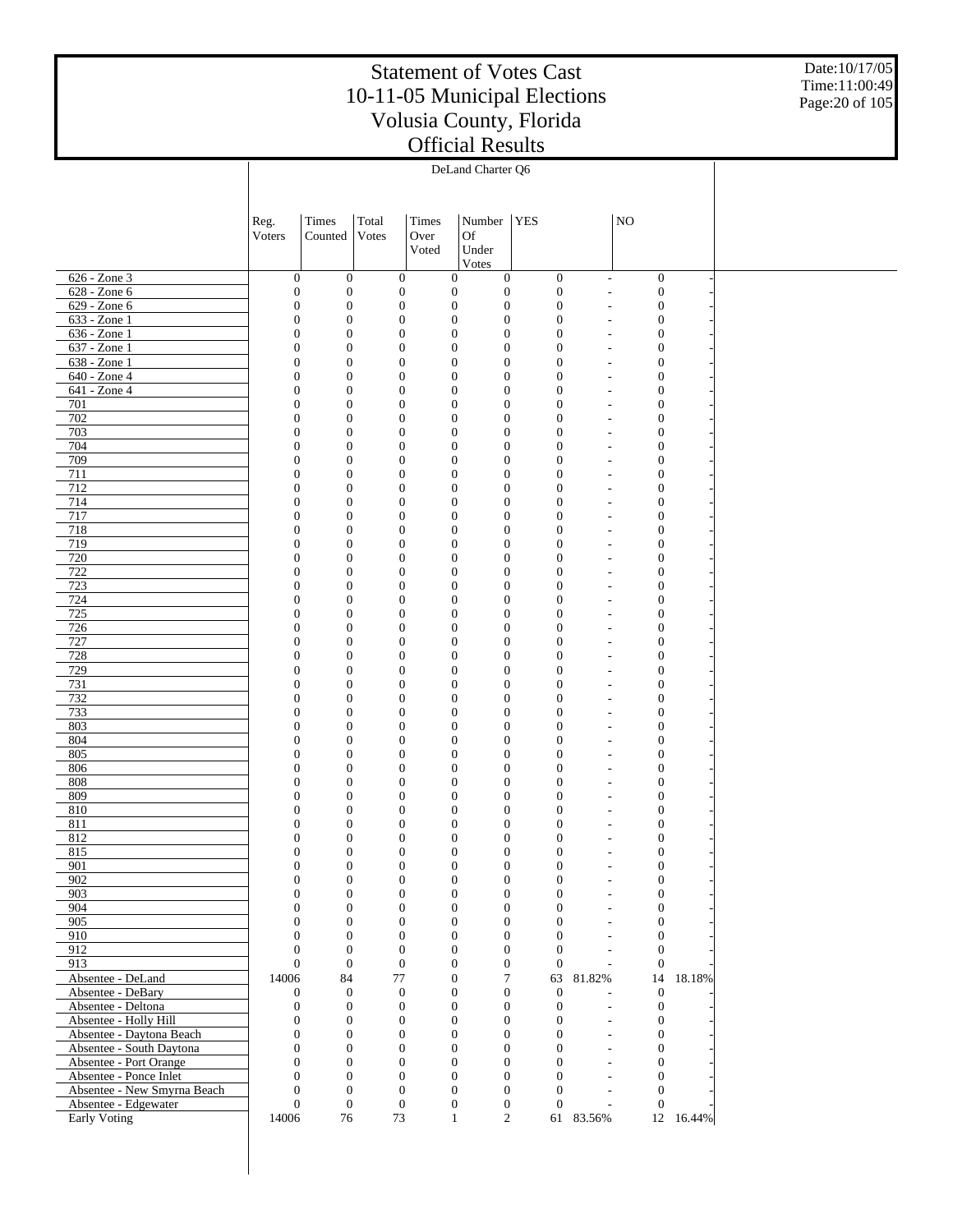Date:10/17/05 Time:11:00:49 Page:20 of 105

|                                                    |                                  |                                      |                                      |                                      | DeLand Charter Q6                                                |                                |                                            |                                      |           |  |
|----------------------------------------------------|----------------------------------|--------------------------------------|--------------------------------------|--------------------------------------|------------------------------------------------------------------|--------------------------------|--------------------------------------------|--------------------------------------|-----------|--|
|                                                    |                                  |                                      |                                      |                                      |                                                                  |                                |                                            |                                      |           |  |
|                                                    | Reg.                             | Times                                | Total                                | Times                                | Number                                                           | <b>YES</b>                     |                                            | $\rm NO$                             |           |  |
|                                                    | Voters                           | Counted                              | Votes                                | Over                                 | <b>Of</b>                                                        |                                |                                            |                                      |           |  |
|                                                    |                                  |                                      |                                      | Voted                                | Under<br>Votes                                                   |                                |                                            |                                      |           |  |
| 626 - Zone 3                                       | $\boldsymbol{0}$                 | $\mathbf{0}$                         | $\mathbf{0}$                         | $\boldsymbol{0}$                     | $\boldsymbol{0}$                                                 | $\boldsymbol{0}$               | ÷,                                         | $\boldsymbol{0}$                     |           |  |
| 628 - Zone 6                                       | $\boldsymbol{0}$                 | $\mathbf{0}$                         | $\mathbf{0}$                         | $\boldsymbol{0}$                     | $\boldsymbol{0}$                                                 | $\boldsymbol{0}$               |                                            | $\boldsymbol{0}$                     |           |  |
| 629 - Zone 6<br>633 - Zone 1                       | $\mathbf{0}$<br>$\overline{0}$   | $\mathbf{0}$<br>$\boldsymbol{0}$     | $\mathbf{0}$<br>$\mathbf{0}$         | $\boldsymbol{0}$<br>$\boldsymbol{0}$ | $\boldsymbol{0}$<br>$\mathbf{0}$                                 | $\mathbf{0}$<br>$\mathbf{0}$   |                                            | $\boldsymbol{0}$<br>$\boldsymbol{0}$ |           |  |
| 636 - Zone 1                                       | $\mathbf{0}$                     | $\boldsymbol{0}$                     | $\mathbf{0}$                         | $\boldsymbol{0}$                     | $\boldsymbol{0}$                                                 | $\mathbf{0}$                   | ٠                                          | $\boldsymbol{0}$                     |           |  |
| 637 - Zone 1                                       | $\mathbf{0}$                     | $\boldsymbol{0}$                     | $\mathbf{0}$                         | $\boldsymbol{0}$                     | $\boldsymbol{0}$                                                 | $\mathbf{0}$                   |                                            | $\boldsymbol{0}$                     |           |  |
| 638 - Zone 1<br>640 - Zone 4                       | $\mathbf{0}$<br>$\overline{0}$   | $\boldsymbol{0}$<br>$\boldsymbol{0}$ | $\mathbf{0}$<br>$\mathbf{0}$         | $\boldsymbol{0}$<br>$\boldsymbol{0}$ | $\boldsymbol{0}$<br>$\mathbf{0}$                                 | $\overline{0}$<br>$\mathbf{0}$ | ٠                                          | $\boldsymbol{0}$<br>$\boldsymbol{0}$ |           |  |
| 641 - Zone 4                                       | $\mathbf{0}$                     | $\boldsymbol{0}$                     | $\mathbf{0}$                         | $\boldsymbol{0}$                     | $\boldsymbol{0}$                                                 | $\mathbf{0}$                   | ٠                                          | $\boldsymbol{0}$                     |           |  |
| 701                                                | $\mathbf{0}$                     | $\boldsymbol{0}$                     | $\mathbf{0}$                         | $\boldsymbol{0}$                     | $\mathbf{0}$                                                     | $\mathbf{0}$                   |                                            | $\boldsymbol{0}$                     |           |  |
| 702                                                | $\mathbf{0}$                     | $\boldsymbol{0}$                     | $\mathbf{0}$                         | $\boldsymbol{0}$                     | $\boldsymbol{0}$                                                 | $\overline{0}$                 | ٠                                          | $\boldsymbol{0}$                     |           |  |
| 703<br>704                                         | $\overline{0}$<br>$\mathbf{0}$   | $\boldsymbol{0}$<br>$\boldsymbol{0}$ | $\mathbf{0}$<br>$\mathbf{0}$         | $\boldsymbol{0}$<br>$\boldsymbol{0}$ | $\mathbf{0}$<br>$\boldsymbol{0}$                                 | $\overline{0}$<br>$\mathbf{0}$ | ٠                                          | $\boldsymbol{0}$<br>$\boldsymbol{0}$ |           |  |
| 709                                                | $\mathbf{0}$                     | $\boldsymbol{0}$                     | $\mathbf{0}$                         | $\boldsymbol{0}$                     | $\mathbf{0}$                                                     | $\overline{0}$                 |                                            | $\boldsymbol{0}$                     |           |  |
| 711                                                | $\mathbf{0}$                     | $\boldsymbol{0}$                     | $\mathbf{0}$                         | $\boldsymbol{0}$                     | $\boldsymbol{0}$                                                 | $\overline{0}$                 | ٠                                          | $\boldsymbol{0}$                     |           |  |
| 712                                                | $\overline{0}$                   | $\boldsymbol{0}$                     | $\mathbf{0}$                         | $\boldsymbol{0}$                     | $\mathbf{0}$                                                     | $\overline{0}$                 |                                            | $\boldsymbol{0}$                     |           |  |
| 714<br>717                                         | $\mathbf{0}$<br>$\mathbf{0}$     | $\boldsymbol{0}$<br>$\boldsymbol{0}$ | $\mathbf{0}$<br>$\mathbf{0}$         | $\boldsymbol{0}$<br>$\boldsymbol{0}$ | $\boldsymbol{0}$<br>$\mathbf{0}$                                 | $\mathbf{0}$<br>$\mathbf{0}$   | ٠                                          | $\boldsymbol{0}$<br>$\boldsymbol{0}$ |           |  |
| 718                                                | $\mathbf{0}$                     | $\boldsymbol{0}$                     | $\mathbf{0}$                         | $\boldsymbol{0}$                     | $\boldsymbol{0}$                                                 | $\overline{0}$                 |                                            | $\boldsymbol{0}$                     |           |  |
| 719                                                | $\overline{0}$                   | $\boldsymbol{0}$                     | $\mathbf{0}$                         | $\boldsymbol{0}$                     | $\mathbf{0}$                                                     | $\mathbf{0}$                   |                                            | $\boldsymbol{0}$                     |           |  |
| 720                                                | $\mathbf{0}$                     | $\boldsymbol{0}$                     | $\mathbf{0}$                         | $\boldsymbol{0}$                     | $\boldsymbol{0}$                                                 | $\mathbf{0}$                   |                                            | $\boldsymbol{0}$                     |           |  |
| 722<br>723                                         | $\overline{0}$<br>$\mathbf{0}$   | $\boldsymbol{0}$<br>$\boldsymbol{0}$ | $\mathbf{0}$<br>$\mathbf{0}$         | $\boldsymbol{0}$<br>$\boldsymbol{0}$ | $\mathbf{0}$<br>$\boldsymbol{0}$                                 | $\mathbf{0}$<br>$\overline{0}$ |                                            | $\boldsymbol{0}$<br>$\boldsymbol{0}$ |           |  |
| 724                                                | $\overline{0}$                   | $\boldsymbol{0}$                     | $\mathbf{0}$                         | $\boldsymbol{0}$                     | $\mathbf{0}$                                                     | $\mathbf{0}$                   |                                            | $\boldsymbol{0}$                     |           |  |
| 725                                                | $\mathbf{0}$                     | $\boldsymbol{0}$                     | $\mathbf{0}$                         | $\boldsymbol{0}$                     | $\boldsymbol{0}$                                                 | $\overline{0}$                 |                                            | $\boldsymbol{0}$                     |           |  |
| 726                                                | $\overline{0}$                   | $\boldsymbol{0}$                     | $\mathbf{0}$                         | $\boldsymbol{0}$                     | $\mathbf{0}$                                                     | $\mathbf{0}$                   |                                            | $\boldsymbol{0}$                     |           |  |
| 727<br>728                                         | $\mathbf{0}$<br>$\overline{0}$   | $\boldsymbol{0}$<br>$\boldsymbol{0}$ | $\mathbf{0}$<br>$\mathbf{0}$         | $\boldsymbol{0}$<br>$\boldsymbol{0}$ | $\boldsymbol{0}$<br>$\mathbf{0}$                                 | $\overline{0}$<br>$\mathbf{0}$ | ÷,                                         | $\boldsymbol{0}$<br>$\boldsymbol{0}$ |           |  |
| 729                                                | $\mathbf{0}$                     | $\boldsymbol{0}$                     | $\mathbf{0}$                         | $\boldsymbol{0}$                     | $\boldsymbol{0}$                                                 | $\overline{0}$                 |                                            | $\boldsymbol{0}$                     |           |  |
| 731                                                | $\overline{0}$                   | $\boldsymbol{0}$                     | $\mathbf{0}$                         | $\boldsymbol{0}$                     | $\mathbf{0}$                                                     | $\mathbf{0}$                   |                                            | $\boldsymbol{0}$                     |           |  |
| 732                                                | $\mathbf{0}$                     | $\boldsymbol{0}$                     | $\mathbf{0}$                         | $\boldsymbol{0}$                     | $\boldsymbol{0}$<br>$\mathbf{0}$                                 | $\overline{0}$<br>$\mathbf{0}$ | ÷,                                         | $\boldsymbol{0}$                     |           |  |
| 733<br>803                                         | $\overline{0}$<br>$\mathbf{0}$   | $\boldsymbol{0}$<br>$\boldsymbol{0}$ | $\mathbf{0}$<br>$\mathbf{0}$         | $\boldsymbol{0}$<br>$\boldsymbol{0}$ | $\boldsymbol{0}$                                                 | $\mathbf{0}$                   | ÷,                                         | $\boldsymbol{0}$<br>$\boldsymbol{0}$ |           |  |
| 804                                                | $\overline{0}$                   | $\boldsymbol{0}$                     | $\mathbf{0}$                         | $\boldsymbol{0}$                     | $\mathbf{0}$                                                     | $\mathbf{0}$                   | ÷,                                         | $\boldsymbol{0}$                     |           |  |
| 805                                                | $\mathbf{0}$                     | $\boldsymbol{0}$                     | $\mathbf{0}$                         | $\boldsymbol{0}$                     | $\boldsymbol{0}$                                                 | $\overline{0}$                 | ÷,                                         | $\boldsymbol{0}$                     |           |  |
| 806<br>808                                         | $\overline{0}$<br>$\mathbf{0}$   | $\boldsymbol{0}$<br>$\boldsymbol{0}$ | $\mathbf{0}$<br>$\mathbf{0}$         | $\boldsymbol{0}$<br>$\boldsymbol{0}$ | $\mathbf{0}$<br>$\boldsymbol{0}$                                 | $\mathbf{0}$<br>$\mathbf{0}$   | ÷,<br>$\overline{\phantom{a}}$             | $\boldsymbol{0}$<br>$\boldsymbol{0}$ |           |  |
| 809                                                | $\overline{0}$                   | $\boldsymbol{0}$                     | $\mathbf{0}$                         | $\boldsymbol{0}$                     | $\mathbf{0}$                                                     | $\mathbf{0}$                   | ÷,                                         | $\boldsymbol{0}$                     |           |  |
| 810                                                | $\overline{0}$                   | $\boldsymbol{0}$                     | $\mathbf{0}$                         | $\boldsymbol{0}$                     | $\mathbf{0}$                                                     | $\overline{0}$                 |                                            | $\mathbf{0}$                         |           |  |
| 811                                                | $\overline{0}$                   | $\boldsymbol{0}$                     | $\mathbf{0}$                         | $\boldsymbol{0}$                     | $\mathbf{0}$                                                     | $\boldsymbol{0}$               |                                            | $\mathbf{0}$                         |           |  |
| 812<br>815                                         | $\overline{0}$<br>$\Omega$       | $\boldsymbol{0}$<br>$\Omega$         | $\mathbf{0}$<br>$\Omega$             | $\boldsymbol{0}$<br>$\boldsymbol{0}$ | $\mathbf{0}$<br>$\Omega$                                         | $\mathbf{0}$<br>$\Omega$       |                                            | $\boldsymbol{0}$<br>$\Omega$         |           |  |
| 901                                                | $\boldsymbol{0}$                 | $\boldsymbol{0}$                     | $\boldsymbol{0}$                     |                                      | $\boldsymbol{0}$<br>$\boldsymbol{0}$                             | $\boldsymbol{0}$               |                                            | $\boldsymbol{0}$                     |           |  |
| 902                                                | $\overline{0}$                   | $\boldsymbol{0}$                     | $\boldsymbol{0}$                     |                                      | $\boldsymbol{0}$<br>$\boldsymbol{0}$                             | $\boldsymbol{0}$               | ÷,                                         | $\mathbf{0}$                         |           |  |
| 903                                                | $\overline{0}$                   | $\boldsymbol{0}$                     | $\boldsymbol{0}$                     |                                      | $\boldsymbol{0}$<br>$\boldsymbol{0}$                             | $\mathbf{0}$                   | $\overline{a}$                             | $\boldsymbol{0}$                     |           |  |
| 904<br>905                                         | $\overline{0}$<br>$\overline{0}$ | $\boldsymbol{0}$<br>$\boldsymbol{0}$ | $\boldsymbol{0}$<br>$\boldsymbol{0}$ | $\mathbf{0}$                         | $\boldsymbol{0}$<br>$\overline{0}$<br>$\boldsymbol{0}$           | $\mathbf{0}$<br>$\mathbf{0}$   | $\overline{a}$<br>$\overline{a}$           | $\boldsymbol{0}$<br>$\boldsymbol{0}$ |           |  |
| 910                                                | $\Omega$                         | $\boldsymbol{0}$                     | $\boldsymbol{0}$                     | $\mathbf{0}$                         | $\boldsymbol{0}$                                                 | $\overline{0}$                 | $\overline{a}$                             | $\boldsymbol{0}$                     |           |  |
| 912                                                | $\overline{0}$                   | $\boldsymbol{0}$                     | $\mathbf{0}$                         |                                      | $\boldsymbol{0}$<br>$\boldsymbol{0}$                             | $\mathbf{0}$                   | $\overline{a}$                             | $\boldsymbol{0}$                     |           |  |
| 913                                                | $\overline{0}$                   | $\boldsymbol{0}$                     | $\boldsymbol{0}$                     |                                      | $\boldsymbol{0}$<br>$\overline{0}$                               | $\mathbf{0}$                   | $\overline{\phantom{a}}$                   | $\mathbf{0}$                         |           |  |
| Absentee - DeLand<br>Absentee - DeBary             | 14006<br>0                       | 84<br>$\mathbf{0}$                   | $77\,$<br>$\mathbf{0}$               |                                      | $\tau$<br>$\boldsymbol{0}$<br>$\boldsymbol{0}$<br>$\overline{0}$ | $\mathbf{0}$                   | 63 81.82%                                  | 14<br>$\boldsymbol{0}$               | 18.18%    |  |
| Absentee - Deltona                                 | $\overline{0}$                   | $\boldsymbol{0}$                     | $\boldsymbol{0}$                     |                                      | $\boldsymbol{0}$<br>$\boldsymbol{0}$                             | $\mathbf{0}$                   | $\overline{a}$                             | $\boldsymbol{0}$                     |           |  |
| Absentee - Holly Hill                              | $\overline{0}$                   | $\boldsymbol{0}$                     | $\boldsymbol{0}$                     |                                      | $\boldsymbol{0}$<br>$\overline{0}$                               | $\boldsymbol{0}$               | $\overline{a}$                             | $\boldsymbol{0}$                     |           |  |
| Absentee - Daytona Beach                           | $\overline{0}$                   | $\boldsymbol{0}$                     | $\boldsymbol{0}$                     |                                      | $\overline{0}$<br>$\overline{0}$                                 | $\boldsymbol{0}$               | $\overline{a}$                             | $\boldsymbol{0}$                     |           |  |
| Absentee - South Daytona<br>Absentee - Port Orange | $\overline{0}$<br>$\overline{0}$ | $\boldsymbol{0}$<br>$\mathbf{0}$     | $\boldsymbol{0}$<br>$\mathbf{0}$     | $\mathbf{0}$                         | $\boldsymbol{0}$<br>$\overline{0}$<br>$\overline{0}$             | $\mathbf{0}$<br>$\mathbf{0}$   | $\overline{\phantom{a}}$<br>$\overline{a}$ | $\boldsymbol{0}$<br>$\boldsymbol{0}$ |           |  |
| Absentee - Ponce Inlet                             | $\Omega$                         | $\boldsymbol{0}$                     | $\boldsymbol{0}$                     | $\mathbf{0}$                         | $\overline{0}$                                                   | $\overline{0}$                 | $\sim$                                     | $\boldsymbol{0}$                     |           |  |
| Absentee - New Smyrna Beach                        | $\overline{0}$                   | $\boldsymbol{0}$                     | $\overline{0}$                       |                                      | $\overline{0}$<br>$\overline{0}$                                 | $\mathbf{0}$                   | $\overline{a}$                             | $\boldsymbol{0}$                     |           |  |
| Absentee - Edgewater                               | $\overline{0}$                   | $\boldsymbol{0}$                     | $\boldsymbol{0}$                     |                                      | $\boldsymbol{0}$<br>$\boldsymbol{0}$                             | $\theta$                       | $\overline{\phantom{a}}$                   | $\mathbf{0}$                         |           |  |
| Early Voting                                       | 14006                            | 76                                   | 73                                   |                                      | $\overline{c}$<br>$\mathbf{1}$                                   |                                | 61 83.56%                                  |                                      | 12 16.44% |  |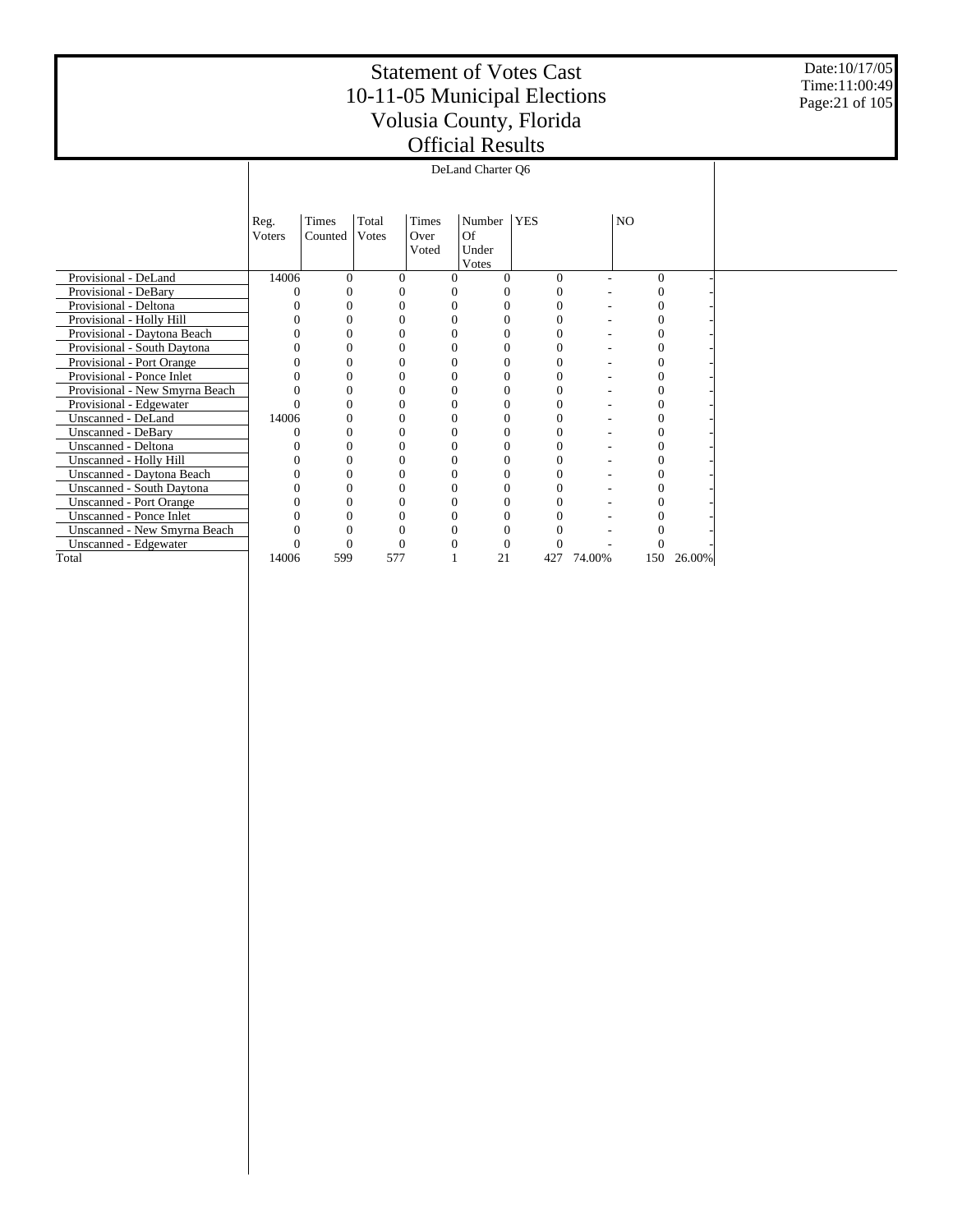Date:10/17/05 Time:11:00:49 Page:21 of 105

|                                |                |                  |                |                        | DeLand Charter Q6              |            |        |          |        |  |  |
|--------------------------------|----------------|------------------|----------------|------------------------|--------------------------------|------------|--------|----------|--------|--|--|
|                                |                |                  |                |                        |                                |            |        |          |        |  |  |
|                                | Reg.<br>Voters | Times<br>Counted | Total<br>Votes | Times<br>Over<br>Voted | Number<br>Of<br>Under<br>Votes | <b>YES</b> |        | NO.      |        |  |  |
| Provisional - DeLand           | 14006          | 0                | $\Omega$       | 0                      |                                | $\Omega$   |        | $\Omega$ |        |  |  |
| Provisional - DeBary           |                | 0                | 0              |                        |                                | 0          |        | 0        |        |  |  |
| Provisional - Deltona          |                | 0                | 0              |                        | 0                              |            |        |          |        |  |  |
| Provisional - Holly Hill       |                | 0                | 0              |                        | $\Omega$                       |            |        |          |        |  |  |
| Provisional - Daytona Beach    |                | 0                | $\Omega$       |                        |                                |            |        |          |        |  |  |
| Provisional - South Daytona    |                | 0                |                |                        | 0                              |            |        |          |        |  |  |
| Provisional - Port Orange      |                | 0                | 0              | 0                      | $\Omega$                       |            |        |          |        |  |  |
| Provisional - Ponce Inlet      |                | 0                | 0              |                        | $\Omega$                       |            |        |          |        |  |  |
| Provisional - New Smyrna Beach |                | 0                | $\Omega$       |                        | $\Omega$                       |            |        |          |        |  |  |
| Provisional - Edgewater        |                | 0                | 0              |                        | 0                              |            |        |          |        |  |  |
| Unscanned - DeLand             | 14006          | 0                | 0              |                        | $\Omega$                       |            |        |          |        |  |  |
| Unscanned - DeBary             |                | 0                | $\theta$       |                        | $\Omega$                       |            |        |          |        |  |  |
| Unscanned - Deltona            |                | 0                |                |                        | 0                              |            |        |          |        |  |  |
| Unscanned - Holly Hill         |                | 0                | $\Omega$       | 0                      | $\Omega$                       | 0          |        |          |        |  |  |
| Unscanned - Daytona Beach      |                | $\theta$         | 0              |                        | 0                              |            |        |          |        |  |  |
| Unscanned - South Daytona      |                | 0                | 0              |                        | $\Omega$                       |            |        |          |        |  |  |
| <b>Unscanned - Port Orange</b> |                | 0                | 0              |                        | 0                              |            |        |          |        |  |  |
| Unscanned - Ponce Inlet        |                | 0                | 0              |                        | 0                              |            |        |          |        |  |  |
| Unscanned - New Smyrna Beach   |                | 0                | 0              |                        |                                |            |        |          |        |  |  |
| Unscanned - Edgewater          |                | 0                |                |                        |                                |            |        |          |        |  |  |
| Total                          | 14006          | 599              | 577            |                        | 21                             | 427        | 74.00% | 150      | 26.00% |  |  |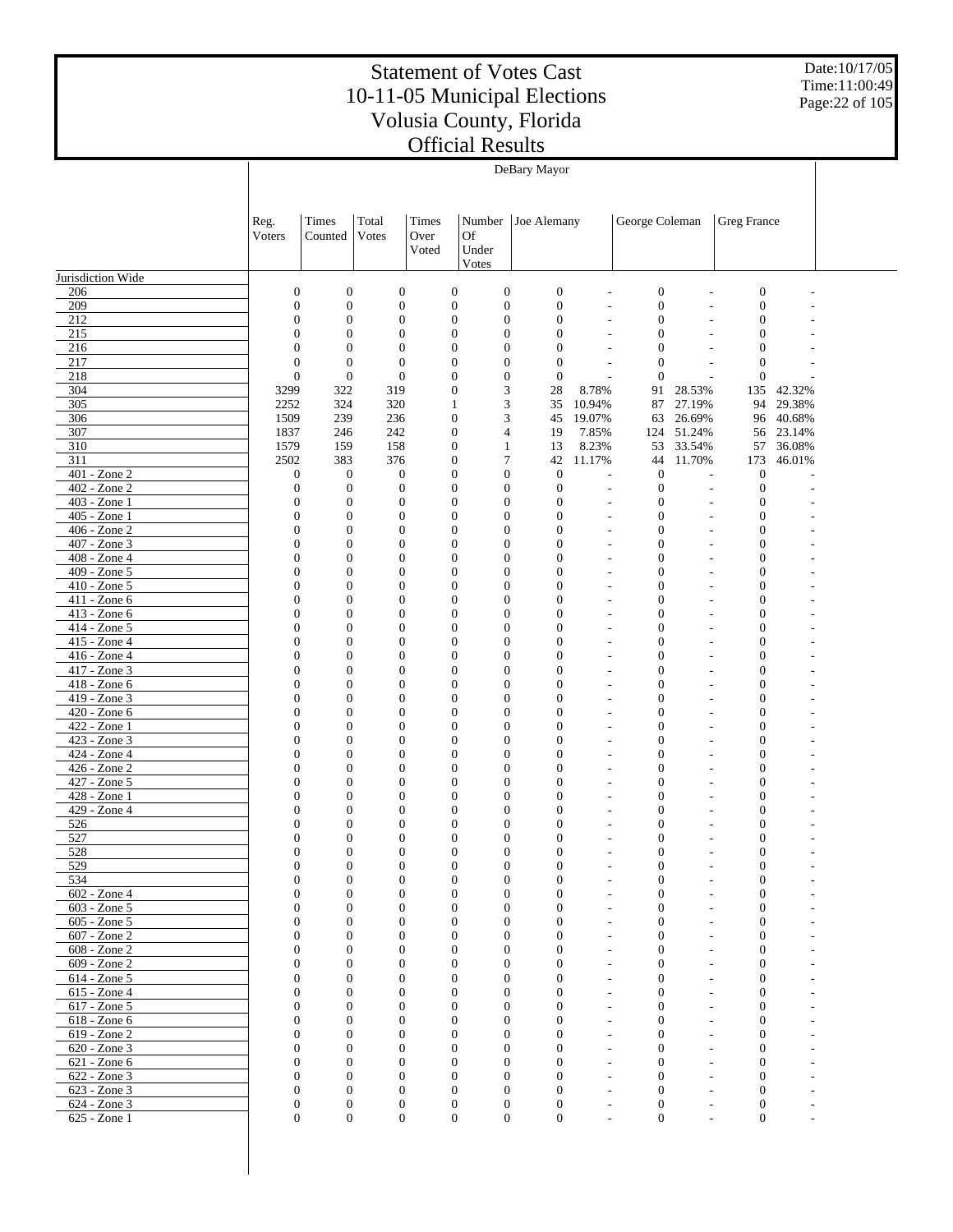Date:10/17/05 Time:11:00:49 Page:22 of 105

|                                 |                                      |                                      |                                      |                                      |                                      | DeBary Mayor                     |                                            |                              |                                                      |                                      |                  |  |
|---------------------------------|--------------------------------------|--------------------------------------|--------------------------------------|--------------------------------------|--------------------------------------|----------------------------------|--------------------------------------------|------------------------------|------------------------------------------------------|--------------------------------------|------------------|--|
|                                 | Reg.<br>Voters                       | Times<br>Counted                     | Total<br>Votes                       | Times<br>Over<br>Voted               | Number<br>Of<br>Under                | Joe Alemany                      |                                            | George Coleman               |                                                      | Greg France                          |                  |  |
| Jurisdiction Wide               |                                      |                                      |                                      |                                      | Votes                                |                                  |                                            |                              |                                                      |                                      |                  |  |
| 206                             | $\boldsymbol{0}$                     | $\boldsymbol{0}$                     | $\boldsymbol{0}$                     | $\boldsymbol{0}$                     | $\boldsymbol{0}$                     | $\boldsymbol{0}$                 | L,                                         | $\boldsymbol{0}$             |                                                      | $\boldsymbol{0}$                     |                  |  |
| 209                             | $\boldsymbol{0}$                     | $\boldsymbol{0}$                     | $\boldsymbol{0}$                     | $\boldsymbol{0}$                     | $\boldsymbol{0}$                     | $\mathbf{0}$                     | ÷,                                         | $\boldsymbol{0}$             | $\overline{a}$                                       | $\boldsymbol{0}$                     |                  |  |
| 212                             | $\boldsymbol{0}$                     | $\boldsymbol{0}$                     | $\boldsymbol{0}$                     | $\boldsymbol{0}$                     | $\boldsymbol{0}$                     | $\mathbf{0}$                     | ÷,                                         | $\mathbf{0}$                 | $\overline{a}$                                       | $\mathbf{0}$                         |                  |  |
| 215                             | $\boldsymbol{0}$                     | $\boldsymbol{0}$                     | $\boldsymbol{0}$                     | $\boldsymbol{0}$                     | $\boldsymbol{0}$                     | $\mathbf{0}$                     | $\overline{a}$                             | $\boldsymbol{0}$             | $\overline{\phantom{a}}$                             | $\mathbf{0}$                         |                  |  |
| 216                             | $\boldsymbol{0}$                     | $\boldsymbol{0}$                     | $\boldsymbol{0}$                     | $\boldsymbol{0}$                     | 0                                    | $\mathbf{0}$                     | L,                                         | $\mathbf{0}$                 | ÷                                                    | $\mathbf{0}$                         |                  |  |
| 217                             | $\boldsymbol{0}$                     | $\mathbf{0}$                         | $\boldsymbol{0}$                     | $\boldsymbol{0}$                     | $\boldsymbol{0}$                     | $\mathbf{0}$                     | $\overline{a}$                             | $\boldsymbol{0}$             | $\overline{\phantom{a}}$                             | $\mathbf{0}$                         |                  |  |
| 218                             | $\boldsymbol{0}$                     | $\mathbf{0}$                         | $\boldsymbol{0}$                     | $\boldsymbol{0}$                     | $\boldsymbol{0}$                     | $\mathbf{0}$                     | ÷,                                         | $\mathbf{0}$                 | L.                                                   | $\boldsymbol{0}$                     |                  |  |
| 304<br>305                      | 3299<br>2252                         | 322<br>324                           | 319<br>320                           | $\boldsymbol{0}$<br>$\mathbf{1}$     | 3<br>3                               | 28<br>35                         | 8.78%<br>10.94%                            | 91<br>87                     | 28.53%<br>27.19%                                     | 135<br>94                            | 42.32%<br>29.38% |  |
| 306                             | 1509                                 | 239                                  | 236                                  | $\boldsymbol{0}$                     | 3                                    | 45                               | 19.07%                                     | 63                           | 26.69%                                               | 96                                   | 40.68%           |  |
| 307                             | 1837                                 | 246                                  | 242                                  | $\boldsymbol{0}$                     | 4                                    | 19                               | 7.85%                                      | 124                          | 51.24%                                               | 56                                   | 23.14%           |  |
| 310                             | 1579                                 | 159                                  | 158                                  | $\boldsymbol{0}$                     | $\mathbf{1}$                         | 13                               | 8.23%                                      | 53                           | 33.54%                                               | 57                                   | 36.08%           |  |
| 311                             | 2502                                 | 383                                  | 376                                  | $\boldsymbol{0}$                     | 7                                    | 42                               | 11.17%                                     | 44                           | 11.70%                                               | 173                                  | 46.01%           |  |
| 401 - Zone 2                    | $\boldsymbol{0}$                     | $\boldsymbol{0}$                     | $\boldsymbol{0}$                     | $\boldsymbol{0}$                     | $\boldsymbol{0}$                     | $\mathbf{0}$                     | $\overline{a}$                             | $\boldsymbol{0}$             | $\overline{a}$                                       | $\boldsymbol{0}$                     |                  |  |
| 402 - Zone 2                    | $\boldsymbol{0}$                     | $\boldsymbol{0}$                     | $\boldsymbol{0}$                     | $\boldsymbol{0}$                     | $\boldsymbol{0}$                     | $\mathbf{0}$                     | ÷,                                         | $\mathbf{0}$                 | $\overline{\phantom{m}}$                             | $\mathbf{0}$                         |                  |  |
| 403 - Zone 1<br>$405 - Z$ one 1 | $\boldsymbol{0}$<br>$\boldsymbol{0}$ | $\boldsymbol{0}$<br>$\boldsymbol{0}$ | $\boldsymbol{0}$<br>$\boldsymbol{0}$ | $\boldsymbol{0}$<br>$\boldsymbol{0}$ | $\boldsymbol{0}$<br>$\boldsymbol{0}$ | $\boldsymbol{0}$<br>$\mathbf{0}$ | $\overline{a}$                             | $\mathbf{0}$<br>$\mathbf{0}$ | $\overline{\phantom{m}}$                             | $\mathbf{0}$<br>$\boldsymbol{0}$     |                  |  |
| 406 - Zone 2                    | $\boldsymbol{0}$                     | $\boldsymbol{0}$                     | $\boldsymbol{0}$                     | $\boldsymbol{0}$                     | $\boldsymbol{0}$                     | $\mathbf{0}$                     | $\overline{a}$<br>$\overline{a}$           | $\boldsymbol{0}$             | $\overline{a}$<br>$\overline{\phantom{m}}$           | $\mathbf{0}$                         |                  |  |
| $407 - Z$ one 3                 | $\boldsymbol{0}$                     | $\boldsymbol{0}$                     | $\boldsymbol{0}$                     | $\boldsymbol{0}$                     | $\boldsymbol{0}$                     | $\mathbf{0}$                     | $\overline{a}$                             | $\mathbf{0}$                 | $\overline{\phantom{a}}$                             | $\boldsymbol{0}$                     |                  |  |
| 408 - Zone 4                    | $\boldsymbol{0}$                     | $\boldsymbol{0}$                     | $\boldsymbol{0}$                     | $\boldsymbol{0}$                     | $\boldsymbol{0}$                     | $\mathbf{0}$                     | $\overline{a}$                             | $\mathbf{0}$                 | $\overline{\phantom{a}}$                             | $\boldsymbol{0}$                     |                  |  |
| 409 - Zone 5                    | $\boldsymbol{0}$                     | $\boldsymbol{0}$                     | $\boldsymbol{0}$                     | $\boldsymbol{0}$                     | 0                                    | $\mathbf{0}$                     | L,                                         | $\mathbf{0}$                 | $\overline{a}$                                       | $\mathbf{0}$                         |                  |  |
| 410 - Zone 5                    | $\boldsymbol{0}$                     | $\boldsymbol{0}$                     | $\boldsymbol{0}$                     | $\boldsymbol{0}$                     | $\boldsymbol{0}$                     | $\mathbf{0}$                     | $\overline{\phantom{a}}$                   | $\boldsymbol{0}$             | $\overline{\phantom{a}}$                             | $\mathbf{0}$                         |                  |  |
| $411 - Zone 6$                  | $\boldsymbol{0}$                     | $\boldsymbol{0}$                     | $\boldsymbol{0}$                     | $\boldsymbol{0}$                     | $\boldsymbol{0}$                     | $\mathbf{0}$                     | L,                                         | $\mathbf{0}$                 | $\overline{a}$                                       | $\boldsymbol{0}$                     |                  |  |
| 413 - Zone 6<br>414 - Zone 5    | $\boldsymbol{0}$<br>$\boldsymbol{0}$ | $\boldsymbol{0}$<br>$\boldsymbol{0}$ | $\boldsymbol{0}$<br>$\boldsymbol{0}$ | $\boldsymbol{0}$<br>$\boldsymbol{0}$ | $\boldsymbol{0}$<br>0                | $\mathbf{0}$<br>$\mathbf{0}$     | $\overline{\phantom{a}}$<br>$\overline{a}$ | $\mathbf{0}$<br>$\mathbf{0}$ | $\overline{\phantom{a}}$<br>$\overline{a}$           | $\mathbf{0}$<br>$\boldsymbol{0}$     |                  |  |
| 415 - Zone 4                    | $\boldsymbol{0}$                     | $\boldsymbol{0}$                     | $\boldsymbol{0}$                     | $\boldsymbol{0}$                     | $\boldsymbol{0}$                     | $\mathbf{0}$                     | $\overline{a}$                             | $\boldsymbol{0}$             | $\overline{\phantom{a}}$                             | $\mathbf{0}$                         |                  |  |
| 416 - Zone 4                    | $\boldsymbol{0}$                     | $\boldsymbol{0}$                     | $\boldsymbol{0}$                     | $\boldsymbol{0}$                     | $\boldsymbol{0}$                     | $\mathbf{0}$                     | $\overline{a}$                             | $\mathbf{0}$                 | $\overline{a}$                                       | $\boldsymbol{0}$                     |                  |  |
| 417 - Zone 3                    | $\boldsymbol{0}$                     | $\boldsymbol{0}$                     | $\boldsymbol{0}$                     | $\boldsymbol{0}$                     | $\boldsymbol{0}$                     | $\mathbf{0}$                     | $\overline{a}$                             | $\mathbf{0}$                 | ٠                                                    | $\boldsymbol{0}$                     |                  |  |
| 418 - Zone 6                    | $\boldsymbol{0}$                     | $\boldsymbol{0}$                     | $\boldsymbol{0}$                     | $\boldsymbol{0}$                     | 0                                    | $\mathbf{0}$                     | $\overline{a}$                             | $\mathbf{0}$                 | $\overline{a}$                                       | $\boldsymbol{0}$                     |                  |  |
| 419 - Zone 3                    | $\boldsymbol{0}$                     | $\boldsymbol{0}$                     | $\boldsymbol{0}$                     | $\boldsymbol{0}$                     | $\boldsymbol{0}$                     | $\mathbf{0}$                     | $\overline{a}$                             | $\mathbf{0}$                 | $\overline{\phantom{a}}$                             | $\mathbf{0}$                         |                  |  |
| 420 - Zone 6                    | $\boldsymbol{0}$                     | $\boldsymbol{0}$                     | $\boldsymbol{0}$                     | $\boldsymbol{0}$                     | $\boldsymbol{0}$                     | $\mathbf{0}$                     | $\overline{a}$                             | $\mathbf{0}$                 | $\overline{a}$                                       | $\boldsymbol{0}$                     |                  |  |
| 422 - Zone 1<br>423 - Zone 3    | $\boldsymbol{0}$<br>$\boldsymbol{0}$ | $\boldsymbol{0}$<br>$\boldsymbol{0}$ | $\boldsymbol{0}$<br>$\boldsymbol{0}$ | $\boldsymbol{0}$<br>$\boldsymbol{0}$ | $\boldsymbol{0}$<br>$\boldsymbol{0}$ | $\mathbf{0}$<br>$\mathbf{0}$     | ÷,<br>$\overline{a}$                       | $\mathbf{0}$<br>$\mathbf{0}$ | $\overline{\phantom{a}}$<br>$\overline{\phantom{a}}$ | $\boldsymbol{0}$<br>$\boldsymbol{0}$ |                  |  |
| 424 - Zone 4                    | $\boldsymbol{0}$                     | $\boldsymbol{0}$                     | $\boldsymbol{0}$                     | $\boldsymbol{0}$                     | $\boldsymbol{0}$                     | $\mathbf{0}$                     | $\overline{a}$                             | $\mathbf{0}$                 | $\overline{\phantom{a}}$                             | $\mathbf{0}$                         |                  |  |
| 426 - Zone 2                    | $\boldsymbol{0}$                     | $\boldsymbol{0}$                     | $\boldsymbol{0}$                     | $\boldsymbol{0}$                     | $\boldsymbol{0}$                     | $\mathbf{0}$                     | L,                                         | $\mathbf{0}$                 | $\overline{\phantom{a}}$                             | $\boldsymbol{0}$                     |                  |  |
| $427 - Zone$ 5                  | $\boldsymbol{0}$                     | $\boldsymbol{0}$                     | $\boldsymbol{0}$                     | $\boldsymbol{0}$                     | $\boldsymbol{0}$                     | $\mathbf{0}$                     | $\overline{a}$                             | $\boldsymbol{0}$             | $\overline{\phantom{a}}$                             | $\boldsymbol{0}$                     |                  |  |
| $428 - Z$ one 1                 | $\boldsymbol{0}$                     | $\boldsymbol{0}$                     | $\boldsymbol{0}$                     | $\boldsymbol{0}$                     | 0                                    | $\mathbf{0}$                     | $\overline{a}$                             | $\mathbf{0}$                 | ÷,                                                   | $\mathbf{0}$                         |                  |  |
| 429 - Zone 4                    | $\boldsymbol{0}$                     | $\boldsymbol{0}$                     | $\boldsymbol{0}$                     | $\boldsymbol{0}$                     | $\boldsymbol{0}$                     | $\boldsymbol{0}$                 | $\overline{a}$                             | $\boldsymbol{0}$             | $\overline{\phantom{a}}$                             | $\mathbf{0}$                         |                  |  |
| 526<br>527                      | $\boldsymbol{0}$<br>$\boldsymbol{0}$ | $\boldsymbol{0}$<br>$\boldsymbol{0}$ | $\boldsymbol{0}$<br>$\boldsymbol{0}$ | $\boldsymbol{0}$<br>$\boldsymbol{0}$ | $\boldsymbol{0}$<br>$\boldsymbol{0}$ | $\mathbf{0}$<br>$\boldsymbol{0}$ | $\overline{a}$<br>$\overline{a}$           | $\mathbf{0}$<br>$\mathbf{0}$ | $\overline{a}$                                       | $\boldsymbol{0}$<br>$\mathbf{0}$     |                  |  |
| 528                             | $\overline{0}$                       | $\boldsymbol{0}$                     | $\overline{0}$                       | $\overline{0}$                       | $\boldsymbol{0}$                     | $\overline{0}$                   | $\overline{a}$                             | $\boldsymbol{0}$             | $\overline{\phantom{a}}$                             | $\mathbf{0}$                         |                  |  |
| 529                             | 0                                    | 0                                    | 0                                    | $\theta$                             | 0                                    | 0                                |                                            | 0                            |                                                      | 0                                    |                  |  |
| 534                             | $\mathbf{0}$                         | $\boldsymbol{0}$                     | $\mathbf{0}$                         | $\boldsymbol{0}$                     | 0                                    | $\boldsymbol{0}$                 |                                            | $\boldsymbol{0}$             |                                                      | $\boldsymbol{0}$                     |                  |  |
| $602 - Z$ one 4                 | $\mathbf{0}$                         | $\boldsymbol{0}$                     | $\boldsymbol{0}$                     | $\mathbf{0}$                         | $\boldsymbol{0}$                     | $\boldsymbol{0}$                 |                                            | $\boldsymbol{0}$             |                                                      | $\boldsymbol{0}$                     |                  |  |
| 603 - Zone 5                    | $\mathbf{0}$<br>$\Omega$             | $\boldsymbol{0}$                     | $\boldsymbol{0}$                     | $\mathbf{0}$<br>$\mathbf{0}$         | $\boldsymbol{0}$                     | $\boldsymbol{0}$                 | ٠                                          | $\mathbf{0}$                 |                                                      | $\boldsymbol{0}$                     |                  |  |
| 605 - Zone 5<br>607 - Zone 2    | $\mathbf{0}$                         | $\mathbf{0}$<br>$\mathbf{0}$         | $\mathbf{0}$<br>$\mathbf{0}$         | $\mathbf{0}$                         | $\overline{0}$<br>0                  | $\mathbf{0}$<br>0                | ٠                                          | $\mathbf{0}$<br>$\theta$     |                                                      | $\mathbf{0}$<br>$\boldsymbol{0}$     |                  |  |
| 608 - Zone 2                    | $\Omega$                             | $\mathbf{0}$                         | $\mathbf{0}$                         | $\mathbf{0}$                         | $\overline{0}$                       | $\mathbf{0}$                     | ٠                                          | $\theta$                     |                                                      | $\mathbf{0}$                         |                  |  |
| 609 - Zone 2                    | $\mathbf{0}$                         | $\boldsymbol{0}$                     | $\mathbf{0}$                         | $\mathbf{0}$                         | 0                                    | $\mathbf{0}$                     | ÷.                                         | $\theta$                     |                                                      | $\boldsymbol{0}$                     |                  |  |
| 614 - Zone 5                    | $\Omega$                             | $\mathbf{0}$                         | $\mathbf{0}$                         | $\mathbf{0}$                         | $\overline{0}$                       | $\mathbf{0}$                     | ÷.                                         | $\theta$                     |                                                      | $\mathbf{0}$                         |                  |  |
| 615 - Zone 4                    | $\mathbf{0}$                         | $\mathbf{0}$                         | $\mathbf{0}$                         | $\mathbf{0}$                         | 0                                    | $\overline{0}$                   | ÷.                                         | $\theta$                     |                                                      | $\boldsymbol{0}$                     |                  |  |
| 617 - Zone 5                    | $\Omega$                             | $\mathbf{0}$                         | $\mathbf{0}$                         | $\mathbf{0}$                         | $\overline{0}$                       | $\mathbf{0}$                     | ÷.                                         | $\theta$                     |                                                      | $\mathbf{0}$                         |                  |  |
| 618 - Zone 6<br>619 - Zone 2    | $\mathbf{0}$<br>$\Omega$             | $\boldsymbol{0}$<br>$\mathbf{0}$     | $\mathbf{0}$<br>$\mathbf{0}$         | $\mathbf{0}$<br>$\mathbf{0}$         | 0<br>0                               | $\overline{0}$<br>0              | ÷.<br>÷.                                   | $\theta$<br>$\theta$         |                                                      | $\boldsymbol{0}$<br>$\mathbf{0}$     |                  |  |
| 620 - Zone 3                    | $\mathbf{0}$                         | $\mathbf{0}$                         | $\mathbf{0}$                         | $\mathbf{0}$                         | 0                                    | $\overline{0}$                   | ÷.                                         | $\theta$                     |                                                      | $\mathbf{0}$                         |                  |  |
| 621 - Zone 6                    | $\Omega$                             | $\mathbf{0}$                         | $\mathbf{0}$                         | $\mathbf{0}$                         | $\overline{0}$                       | $\mathbf{0}$                     | ÷.                                         | $\theta$                     |                                                      | $\mathbf{0}$                         |                  |  |
| 622 - Zone 3                    | $\mathbf{0}$                         | $\boldsymbol{0}$                     | $\mathbf{0}$                         | $\mathbf{0}$                         | $\boldsymbol{0}$                     | $\overline{0}$                   | ÷.                                         | $\overline{0}$               |                                                      | $\mathbf{0}$                         |                  |  |
| 623 - Zone 3                    | $\mathbf{0}$                         | $\mathbf{0}$                         | $\mathbf{0}$                         | $\mathbf{0}$                         | $\overline{0}$                       | $\mathbf{0}$                     |                                            | $\boldsymbol{0}$             |                                                      | $\mathbf{0}$                         |                  |  |
| 624 - Zone 3                    | $\boldsymbol{0}$                     | $\boldsymbol{0}$                     | $\boldsymbol{0}$                     | $\boldsymbol{0}$                     | $\boldsymbol{0}$                     | $\boldsymbol{0}$                 |                                            | $\boldsymbol{0}$             |                                                      | $\boldsymbol{0}$                     |                  |  |
| 625 - Zone 1                    | $\overline{0}$                       | $\boldsymbol{0}$                     | $\overline{0}$                       | $\overline{0}$                       | $\boldsymbol{0}$                     | $\boldsymbol{0}$                 |                                            | $\boldsymbol{0}$             |                                                      | $\mathbf{0}$                         |                  |  |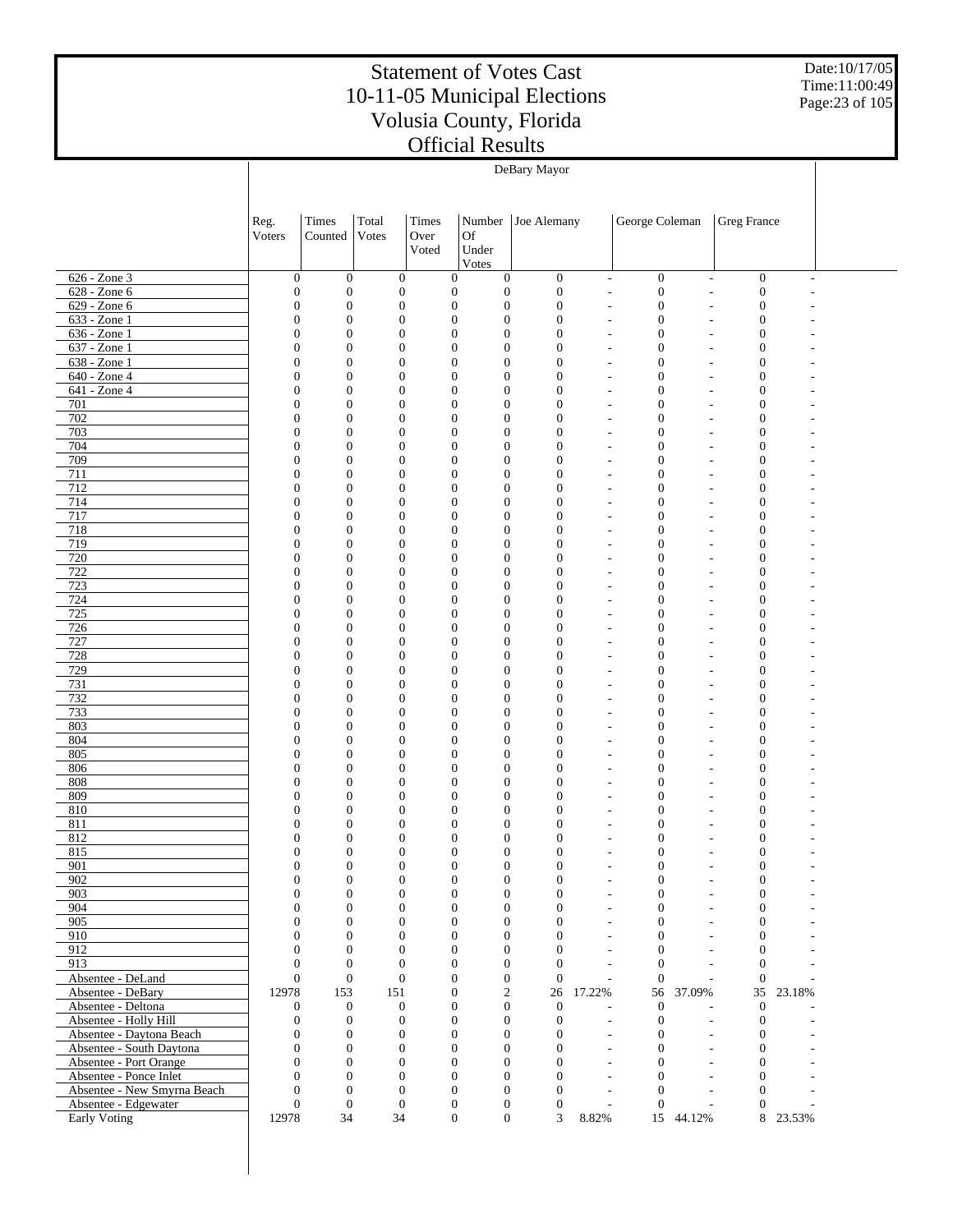Date:10/17/05 Time:11:00:49 Page:23 of 105

|                                                     | DeBary Mayor                         |                                      |                                      |                                      |                                      |                                      |                                  |                                  |                                                      |                                      |        |  |
|-----------------------------------------------------|--------------------------------------|--------------------------------------|--------------------------------------|--------------------------------------|--------------------------------------|--------------------------------------|----------------------------------|----------------------------------|------------------------------------------------------|--------------------------------------|--------|--|
|                                                     |                                      |                                      |                                      |                                      |                                      |                                      |                                  |                                  |                                                      |                                      |        |  |
|                                                     |                                      |                                      |                                      |                                      |                                      |                                      |                                  |                                  |                                                      |                                      |        |  |
|                                                     | Reg.                                 | Times                                | Total                                | Times                                | Number                               | Joe Alemany                          |                                  | George Coleman                   |                                                      | Greg France                          |        |  |
|                                                     | Voters                               | Counted                              | Votes                                | Over                                 | Of                                   |                                      |                                  |                                  |                                                      |                                      |        |  |
|                                                     |                                      |                                      |                                      | Voted                                | Under                                |                                      |                                  |                                  |                                                      |                                      |        |  |
|                                                     |                                      |                                      |                                      |                                      | Votes                                |                                      |                                  |                                  |                                                      |                                      |        |  |
| 626 - Zone 3                                        | $\boldsymbol{0}$                     | $\boldsymbol{0}$                     | $\boldsymbol{0}$                     | $\boldsymbol{0}$                     | $\mathbf{0}$                         | $\boldsymbol{0}$                     | $\overline{\phantom{a}}$         | $\boldsymbol{0}$                 | $\overline{\phantom{a}}$                             | $\boldsymbol{0}$                     |        |  |
| 628 - Zone 6                                        | $\boldsymbol{0}$                     | $\boldsymbol{0}$                     | $\boldsymbol{0}$                     | $\mathbf{0}$                         | $\boldsymbol{0}$                     | $\boldsymbol{0}$                     | ÷,                               | $\mathbf{0}$                     | ÷,                                                   | $\boldsymbol{0}$                     |        |  |
| 629 - Zone 6                                        | $\boldsymbol{0}$                     | $\mathbf{0}$                         | $\boldsymbol{0}$                     | $\boldsymbol{0}$                     | $\boldsymbol{0}$                     | $\boldsymbol{0}$                     | ÷,                               | $\mathbf{0}$                     |                                                      | $\boldsymbol{0}$                     |        |  |
| 633 - Zone 1<br>636 - Zone 1                        | $\boldsymbol{0}$<br>$\boldsymbol{0}$ | $\boldsymbol{0}$<br>$\mathbf{0}$     | $\boldsymbol{0}$<br>$\boldsymbol{0}$ | $\boldsymbol{0}$<br>$\boldsymbol{0}$ | $\boldsymbol{0}$<br>$\boldsymbol{0}$ | $\boldsymbol{0}$<br>$\boldsymbol{0}$ | ÷,<br>÷,                         | $\mathbf{0}$<br>$\mathbf{0}$     | ٠<br>÷                                               | $\boldsymbol{0}$<br>$\boldsymbol{0}$ |        |  |
| 637 - Zone 1                                        | $\boldsymbol{0}$                     | $\boldsymbol{0}$                     | $\boldsymbol{0}$                     | $\boldsymbol{0}$                     | $\boldsymbol{0}$                     | $\boldsymbol{0}$                     | $\overline{\phantom{a}}$         | $\mathbf{0}$                     | ٠                                                    | $\boldsymbol{0}$                     |        |  |
| 638 - Zone 1                                        | $\boldsymbol{0}$                     | $\boldsymbol{0}$                     | $\boldsymbol{0}$                     | $\boldsymbol{0}$                     | $\boldsymbol{0}$                     | $\boldsymbol{0}$                     | ÷,                               | $\mathbf{0}$                     |                                                      | $\mathbf{0}$                         |        |  |
| 640 - Zone 4                                        | $\boldsymbol{0}$                     | $\boldsymbol{0}$                     | $\boldsymbol{0}$                     | $\boldsymbol{0}$                     | $\boldsymbol{0}$                     | $\boldsymbol{0}$                     | $\overline{a}$                   | $\mathbf{0}$                     | ٠                                                    | $\boldsymbol{0}$                     |        |  |
| 641 - Zone 4                                        | $\boldsymbol{0}$                     | $\mathbf{0}$                         | $\boldsymbol{0}$                     | $\boldsymbol{0}$                     | $\boldsymbol{0}$                     | $\boldsymbol{0}$                     | ÷,                               | $\mathbf{0}$                     | ÷,                                                   | $\boldsymbol{0}$                     |        |  |
| 701                                                 | $\boldsymbol{0}$                     | $\boldsymbol{0}$                     | $\boldsymbol{0}$                     | $\boldsymbol{0}$                     | $\boldsymbol{0}$                     | $\boldsymbol{0}$                     | $\overline{a}$                   | $\mathbf{0}$                     | ٠                                                    | $\boldsymbol{0}$                     |        |  |
| 702                                                 | $\boldsymbol{0}$                     | $\boldsymbol{0}$                     | $\boldsymbol{0}$                     | $\boldsymbol{0}$                     | $\boldsymbol{0}$                     | $\boldsymbol{0}$                     | $\overline{a}$                   | $\mathbf{0}$                     |                                                      | $\mathbf{0}$                         |        |  |
| 703<br>704                                          | $\boldsymbol{0}$                     | $\boldsymbol{0}$                     | $\boldsymbol{0}$                     | $\boldsymbol{0}$                     | $\boldsymbol{0}$                     | $\boldsymbol{0}$                     | $\overline{a}$                   | $\mathbf{0}$                     | ٠                                                    | $\boldsymbol{0}$                     |        |  |
| 709                                                 | $\boldsymbol{0}$<br>$\boldsymbol{0}$ | $\mathbf{0}$<br>$\boldsymbol{0}$     | $\boldsymbol{0}$<br>$\boldsymbol{0}$ | $\mathbf{0}$<br>$\mathbf{0}$         | $\boldsymbol{0}$<br>$\boldsymbol{0}$ | $\boldsymbol{0}$<br>$\boldsymbol{0}$ | $\overline{a}$<br>$\overline{a}$ | $\mathbf{0}$<br>$\mathbf{0}$     | ٠<br>٠                                               | $\boldsymbol{0}$<br>$\boldsymbol{0}$ |        |  |
| 711                                                 | $\boldsymbol{0}$                     | $\mathbf{0}$                         | $\boldsymbol{0}$                     | $\mathbf{0}$                         | $\boldsymbol{0}$                     | $\boldsymbol{0}$                     | $\overline{a}$                   | $\mathbf{0}$                     |                                                      | $\mathbf{0}$                         |        |  |
| 712                                                 | $\boldsymbol{0}$                     | $\boldsymbol{0}$                     | $\boldsymbol{0}$                     | $\mathbf{0}$                         | $\boldsymbol{0}$                     | $\boldsymbol{0}$                     | $\overline{a}$                   | $\mathbf{0}$                     | ٠                                                    | $\boldsymbol{0}$                     |        |  |
| 714                                                 | $\boldsymbol{0}$                     | $\mathbf{0}$                         | $\boldsymbol{0}$                     | $\mathbf{0}$                         | $\boldsymbol{0}$                     | $\boldsymbol{0}$                     | ÷,                               | $\mathbf{0}$                     | ÷,                                                   | $\mathbf{0}$                         |        |  |
| 717                                                 | $\boldsymbol{0}$                     | $\boldsymbol{0}$                     | $\boldsymbol{0}$                     | $\mathbf{0}$                         | $\boldsymbol{0}$                     | $\boldsymbol{0}$                     | $\overline{a}$                   | $\mathbf{0}$                     | ٠                                                    | $\boldsymbol{0}$                     |        |  |
| 718                                                 | $\boldsymbol{0}$                     | $\mathbf{0}$                         | $\boldsymbol{0}$                     | $\mathbf{0}$                         | $\boldsymbol{0}$                     | $\mathbf{0}$                         | ÷,                               | $\mathbf{0}$                     | ÷                                                    | $\mathbf{0}$                         |        |  |
| 719                                                 | $\boldsymbol{0}$                     | $\boldsymbol{0}$                     | $\boldsymbol{0}$                     | $\boldsymbol{0}$                     | $\boldsymbol{0}$                     | $\boldsymbol{0}$                     | $\overline{a}$                   | $\mathbf{0}$                     | ٠                                                    | $\boldsymbol{0}$                     |        |  |
| 720                                                 | $\boldsymbol{0}$                     | $\mathbf{0}$                         | $\boldsymbol{0}$                     | $\mathbf{0}$                         | $\boldsymbol{0}$                     | $\boldsymbol{0}$                     | ÷,                               | $\mathbf{0}$                     | ÷                                                    | $\mathbf{0}$                         |        |  |
| 722<br>723                                          | $\boldsymbol{0}$<br>$\boldsymbol{0}$ | $\boldsymbol{0}$<br>$\mathbf{0}$     | $\boldsymbol{0}$<br>$\boldsymbol{0}$ | $\boldsymbol{0}$<br>$\mathbf{0}$     | $\boldsymbol{0}$<br>$\boldsymbol{0}$ | $\boldsymbol{0}$<br>$\boldsymbol{0}$ | ÷,<br>÷,                         | $\mathbf{0}$<br>$\mathbf{0}$     | ٠                                                    | $\boldsymbol{0}$<br>$\mathbf{0}$     |        |  |
| 724                                                 | $\boldsymbol{0}$                     | $\boldsymbol{0}$                     | $\boldsymbol{0}$                     | $\boldsymbol{0}$                     | $\boldsymbol{0}$                     | $\boldsymbol{0}$                     | $\overline{a}$                   | $\mathbf{0}$                     | ٠                                                    | $\boldsymbol{0}$                     |        |  |
| 725                                                 | $\boldsymbol{0}$                     | $\mathbf{0}$                         | $\boldsymbol{0}$                     | $\mathbf{0}$                         | $\boldsymbol{0}$                     | $\boldsymbol{0}$                     | ÷,                               | $\mathbf{0}$                     | ÷,                                                   | $\boldsymbol{0}$                     |        |  |
| 726                                                 | $\boldsymbol{0}$                     | $\boldsymbol{0}$                     | $\boldsymbol{0}$                     | $\boldsymbol{0}$                     | $\boldsymbol{0}$                     | $\boldsymbol{0}$                     | $\overline{a}$                   | $\mathbf{0}$                     | ٠                                                    | $\boldsymbol{0}$                     |        |  |
| 727                                                 | $\boldsymbol{0}$                     | $\mathbf{0}$                         | $\boldsymbol{0}$                     | $\mathbf{0}$                         | $\boldsymbol{0}$                     | $\boldsymbol{0}$                     | $\overline{a}$                   | $\mathbf{0}$                     |                                                      | $\mathbf{0}$                         |        |  |
| 728                                                 | $\boldsymbol{0}$                     | $\boldsymbol{0}$                     | $\boldsymbol{0}$                     | $\boldsymbol{0}$                     | $\boldsymbol{0}$                     | $\boldsymbol{0}$                     | $\overline{a}$                   | $\mathbf{0}$                     | ٠                                                    | $\boldsymbol{0}$                     |        |  |
| 729                                                 | $\boldsymbol{0}$                     | $\mathbf{0}$                         | $\boldsymbol{0}$                     | $\mathbf{0}$                         | $\boldsymbol{0}$                     | $\boldsymbol{0}$                     | $\overline{a}$                   | $\mathbf{0}$                     | ٠                                                    | $\boldsymbol{0}$                     |        |  |
| 731                                                 | $\boldsymbol{0}$                     | $\boldsymbol{0}$                     | $\boldsymbol{0}$                     | $\mathbf{0}$                         | $\boldsymbol{0}$                     | $\boldsymbol{0}$                     | $\overline{a}$                   | $\mathbf{0}$                     | ٠                                                    | $\boldsymbol{0}$                     |        |  |
| 732<br>733                                          | $\boldsymbol{0}$<br>$\boldsymbol{0}$ | $\mathbf{0}$<br>$\boldsymbol{0}$     | $\boldsymbol{0}$<br>$\boldsymbol{0}$ | $\mathbf{0}$<br>$\mathbf{0}$         | $\boldsymbol{0}$<br>$\boldsymbol{0}$ | $\boldsymbol{0}$<br>$\boldsymbol{0}$ | $\overline{a}$<br>$\overline{a}$ | $\mathbf{0}$<br>$\mathbf{0}$     | ٠                                                    | $\mathbf{0}$<br>$\boldsymbol{0}$     |        |  |
| 803                                                 | $\boldsymbol{0}$                     | $\mathbf{0}$                         | $\boldsymbol{0}$                     | $\mathbf{0}$                         | $\boldsymbol{0}$                     | $\boldsymbol{0}$                     | ÷,                               | $\mathbf{0}$                     | ÷,                                                   | $\mathbf{0}$                         |        |  |
| 804                                                 | $\boldsymbol{0}$                     | $\boldsymbol{0}$                     | $\boldsymbol{0}$                     | $\mathbf{0}$                         | $\boldsymbol{0}$                     | $\boldsymbol{0}$                     | $\overline{a}$                   | $\mathbf{0}$                     | ٠                                                    | $\boldsymbol{0}$                     |        |  |
| 805                                                 | $\boldsymbol{0}$                     | $\mathbf{0}$                         | $\boldsymbol{0}$                     | $\mathbf{0}$                         | $\boldsymbol{0}$                     | $\mathbf{0}$                         | ÷,                               | $\mathbf{0}$                     |                                                      | $\mathbf{0}$                         |        |  |
| 806                                                 | $\boldsymbol{0}$                     | $\boldsymbol{0}$                     | $\boldsymbol{0}$                     | $\mathbf{0}$                         | $\boldsymbol{0}$                     | $\boldsymbol{0}$                     | $\overline{a}$                   | $\mathbf{0}$                     | ٠                                                    | $\boldsymbol{0}$                     |        |  |
| 808                                                 | $\boldsymbol{0}$                     | $\mathbf{0}$                         | $\boldsymbol{0}$                     | $\mathbf{0}$                         | $\boldsymbol{0}$                     | $\boldsymbol{0}$                     | ÷,                               | $\mathbf{0}$                     |                                                      | $\mathbf{0}$                         |        |  |
| 809                                                 | $\boldsymbol{0}$                     | $\boldsymbol{0}$                     | $\boldsymbol{0}$                     | $\mathbf{0}$                         | $\boldsymbol{0}$                     | $\boldsymbol{0}$                     | ÷,                               | $\mathbf{0}$                     |                                                      | $\boldsymbol{0}$                     |        |  |
| 810                                                 | $\boldsymbol{0}$                     | $\mathbf{0}$                         | $\boldsymbol{0}$                     | $\mathbf{0}$                         | $\boldsymbol{0}$                     | $\boldsymbol{0}$                     | ÷,                               | $\mathbf{0}$                     |                                                      | $\boldsymbol{0}$                     |        |  |
| 811<br>812                                          | $\boldsymbol{0}$<br>$\boldsymbol{0}$ | $\boldsymbol{0}$<br>$\mathbf{0}$     | 0<br>$\boldsymbol{0}$                | $\boldsymbol{0}$<br>$\mathbf{0}$     | $\boldsymbol{0}$<br>$\boldsymbol{0}$ | $\boldsymbol{0}$<br>$\boldsymbol{0}$ | $\overline{\phantom{a}}$<br>ä,   | $\mathbf{0}$<br>$\mathbf{0}$     |                                                      | $\boldsymbol{0}$<br>$\mathbf{0}$     |        |  |
| 815                                                 | $\theta$                             | $\Omega$                             | $\Omega$                             | $\theta$                             | $\Omega$                             | $\mathbf{0}$                         |                                  | $\theta$                         |                                                      | $\overline{0}$                       |        |  |
| 901                                                 | $\boldsymbol{0}$                     | $\boldsymbol{0}$                     | $\boldsymbol{0}$                     | $\boldsymbol{0}$                     | $\boldsymbol{0}$                     | $\boldsymbol{0}$                     | $\overline{\phantom{a}}$         | $\boldsymbol{0}$                 |                                                      | $\boldsymbol{0}$                     |        |  |
| 902                                                 | $\boldsymbol{0}$                     | $\boldsymbol{0}$                     | $\boldsymbol{0}$                     | $\boldsymbol{0}$                     | $\boldsymbol{0}$                     | $\boldsymbol{0}$                     | $\overline{a}$                   | $\boldsymbol{0}$                 | ٠                                                    | $\boldsymbol{0}$                     |        |  |
| 903                                                 | $\boldsymbol{0}$                     | $\boldsymbol{0}$                     | $\boldsymbol{0}$                     | $\boldsymbol{0}$                     | $\boldsymbol{0}$                     | $\boldsymbol{0}$                     | $\overline{a}$                   | $\mathbf{0}$                     | ٠                                                    | $\boldsymbol{0}$                     |        |  |
| 904                                                 | $\mathbf{0}$                         | $\boldsymbol{0}$                     | $\boldsymbol{0}$                     | $\boldsymbol{0}$                     | $\boldsymbol{0}$                     | $\boldsymbol{0}$                     | $\overline{\phantom{a}}$         | $\boldsymbol{0}$                 | ٠                                                    | $\boldsymbol{0}$                     |        |  |
| 905                                                 | $\mathbf{0}$                         | $\boldsymbol{0}$                     | $\boldsymbol{0}$                     | $\mathbf{0}$                         | $\boldsymbol{0}$                     | $\boldsymbol{0}$                     | $\overline{a}$                   | $\mathbf{0}$                     |                                                      | $\boldsymbol{0}$                     |        |  |
| 910                                                 | $\mathbf{0}$                         | $\boldsymbol{0}$                     | $\boldsymbol{0}$                     | $\boldsymbol{0}$                     | $\boldsymbol{0}$                     | $\overline{0}$                       | $\overline{\phantom{a}}$         | $\boldsymbol{0}$                 | ٠                                                    | $\boldsymbol{0}$                     |        |  |
| 912<br>913                                          | $\mathbf{0}$<br>$\mathbf{0}$         | $\boldsymbol{0}$<br>$\boldsymbol{0}$ | $\boldsymbol{0}$<br>$\mathbf{0}$     | $\overline{0}$<br>$\boldsymbol{0}$   | $\boldsymbol{0}$<br>$\boldsymbol{0}$ | $\boldsymbol{0}$<br>$\overline{0}$   | $\overline{a}$<br>$\overline{a}$ | $\overline{0}$<br>$\overline{0}$ | $\overline{\phantom{a}}$<br>$\overline{\phantom{a}}$ | $\boldsymbol{0}$<br>$\boldsymbol{0}$ |        |  |
| Absentee - DeLand                                   | $\mathbf{0}$                         | $\boldsymbol{0}$                     | $\boldsymbol{0}$                     | $\boldsymbol{0}$                     | $\boldsymbol{0}$                     | $\overline{0}$                       | L.                               | $\overline{0}$                   | ÷.                                                   | $\boldsymbol{0}$                     |        |  |
| Absentee - DeBary                                   | 12978                                | 153                                  | 151                                  | $\boldsymbol{0}$                     | $\overline{c}$                       | 26                                   | 17.22%                           | 56                               | 37.09%                                               | 35                                   | 23.18% |  |
| Absentee - Deltona                                  | $\boldsymbol{0}$                     | $\mathbf{0}$                         | $\boldsymbol{0}$                     | $\boldsymbol{0}$                     | $\boldsymbol{0}$                     | $\boldsymbol{0}$                     | ÷                                | $\overline{0}$                   | $\overline{a}$                                       | $\boldsymbol{0}$                     |        |  |
| Absentee - Holly Hill                               | $\boldsymbol{0}$                     | $\mathbf{0}$                         | $\boldsymbol{0}$                     | $\boldsymbol{0}$                     | $\boldsymbol{0}$                     | $\boldsymbol{0}$                     | $\overline{\phantom{a}}$         | $\boldsymbol{0}$                 | ÷,                                                   | $\boldsymbol{0}$                     |        |  |
| Absentee - Daytona Beach                            | $\boldsymbol{0}$                     | $\boldsymbol{0}$                     | $\boldsymbol{0}$                     | $\boldsymbol{0}$                     | $\boldsymbol{0}$                     | $\boldsymbol{0}$                     | $\overline{\phantom{a}}$         | $\mathbf{0}$                     | ÷,                                                   | $\boldsymbol{0}$                     |        |  |
| Absentee - South Daytona                            | $\mathbf{0}$                         | $\boldsymbol{0}$                     | $\boldsymbol{0}$                     | $\boldsymbol{0}$                     | $\boldsymbol{0}$                     | $\mathbf{0}$                         | $\overline{a}$                   | $\boldsymbol{0}$                 | ÷,                                                   | $\boldsymbol{0}$                     |        |  |
| Absentee - Port Orange                              | $\mathbf{0}$                         | $\boldsymbol{0}$                     | $\boldsymbol{0}$                     | $\boldsymbol{0}$                     | $\boldsymbol{0}$                     | $\boldsymbol{0}$                     | L.                               | $\boldsymbol{0}$                 | ÷,                                                   | $\boldsymbol{0}$                     |        |  |
| Absentee - Ponce Inlet                              | $\mathbf{0}$                         | $\boldsymbol{0}$                     | $\boldsymbol{0}$                     | $\boldsymbol{0}$                     | $\boldsymbol{0}$                     | $\mathbf{0}$                         | $\overline{a}$                   | $\boldsymbol{0}$                 | $\overline{\phantom{a}}$                             | $\boldsymbol{0}$                     |        |  |
| Absentee - New Smyrna Beach<br>Absentee - Edgewater | $\mathbf{0}$<br>$\mathbf{0}$         | $\boldsymbol{0}$<br>$\boldsymbol{0}$ | $\boldsymbol{0}$<br>$\boldsymbol{0}$ | $\boldsymbol{0}$<br>$\boldsymbol{0}$ | $\boldsymbol{0}$<br>$\boldsymbol{0}$ | $\boldsymbol{0}$<br>$\boldsymbol{0}$ | $\overline{a}$<br>$\overline{a}$ | $\overline{0}$<br>$\overline{0}$ | ÷,<br>÷,                                             | $\overline{0}$<br>$\mathbf{0}$       |        |  |
| <b>Early Voting</b>                                 | 12978                                | 34                                   | 34                                   |                                      | $\overline{0}$<br>$\boldsymbol{0}$   | 3                                    | 8.82%                            |                                  | 15 44.12%                                            | 8                                    | 23.53% |  |
|                                                     |                                      |                                      |                                      |                                      |                                      |                                      |                                  |                                  |                                                      |                                      |        |  |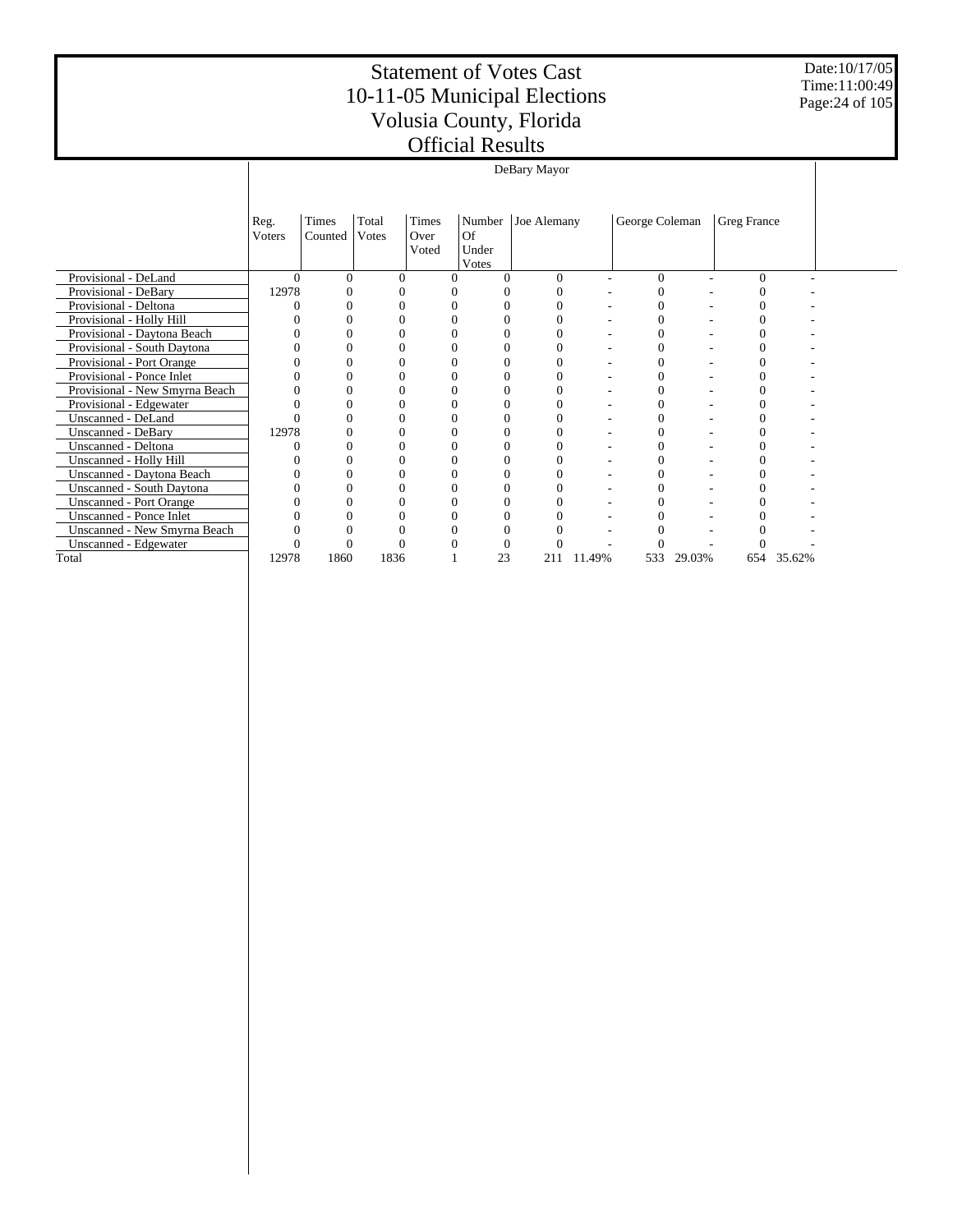Date:10/17/05 Time:11:00:49 Page:24 of 105

|                                  | DeBary Mayor   |                  |                |                        |                                |             |        |                |        |             |        |  |  |
|----------------------------------|----------------|------------------|----------------|------------------------|--------------------------------|-------------|--------|----------------|--------|-------------|--------|--|--|
|                                  | Reg.<br>Voters | Times<br>Counted | Total<br>Votes | Times<br>Over<br>Voted | Number<br>Of<br>Under<br>Votes | Joe Alemany |        | George Coleman |        | Greg France |        |  |  |
| Provisional - DeLand             | $\Omega$       | $\Omega$         | 0              | $\Omega$               |                                | $\Omega$    |        | $\theta$       |        | $\theta$    |        |  |  |
| Provisional - DeBary             | 12978          |                  |                |                        |                                | 0           |        |                |        |             |        |  |  |
| Provisional - Deltona            |                |                  |                |                        |                                |             |        |                |        |             |        |  |  |
| Provisional - Holly Hill         |                |                  |                |                        |                                | 0           |        |                |        |             |        |  |  |
| Provisional - Daytona Beach      |                |                  |                |                        |                                | 0           |        |                |        |             |        |  |  |
| Provisional - South Daytona      |                |                  |                |                        |                                |             |        |                |        |             |        |  |  |
| Provisional - Port Orange        |                |                  |                |                        |                                | 0           |        |                |        |             |        |  |  |
| Provisional - Ponce Inlet        |                |                  |                |                        |                                |             |        |                |        |             |        |  |  |
| Provisional - New Smyrna Beach   |                |                  |                |                        |                                |             |        |                |        |             |        |  |  |
| Provisional - Edgewater          |                |                  |                |                        |                                | 0           |        | 0              |        |             |        |  |  |
| Unscanned - DeLand               |                |                  |                |                        |                                |             |        |                |        |             |        |  |  |
| <b>Unscanned - DeBary</b>        | 12978          |                  |                |                        |                                | 0           |        |                |        |             |        |  |  |
| Unscanned - Deltona              |                |                  |                |                        |                                |             |        |                |        |             |        |  |  |
| Unscanned - Holly Hill           |                |                  |                |                        |                                |             |        |                |        |             |        |  |  |
| Unscanned - Daytona Beach        |                |                  |                |                        |                                | 0           |        |                |        |             |        |  |  |
| <b>Unscanned - South Daytona</b> |                |                  |                |                        |                                |             |        |                |        |             |        |  |  |
| <b>Unscanned - Port Orange</b>   |                |                  | 0              |                        |                                | 0           |        |                |        |             |        |  |  |
| <b>Unscanned - Ponce Inlet</b>   |                |                  |                |                        |                                |             |        |                |        |             |        |  |  |
| Unscanned - New Smyrna Beach     |                |                  |                |                        |                                |             |        |                |        |             |        |  |  |
| Unscanned - Edgewater            |                |                  |                |                        |                                |             |        |                |        |             |        |  |  |
| Total                            | 12978          | 1860             | 1836           |                        | 23                             | 211         | 11.49% | 533            | 29.03% | 654         | 35.62% |  |  |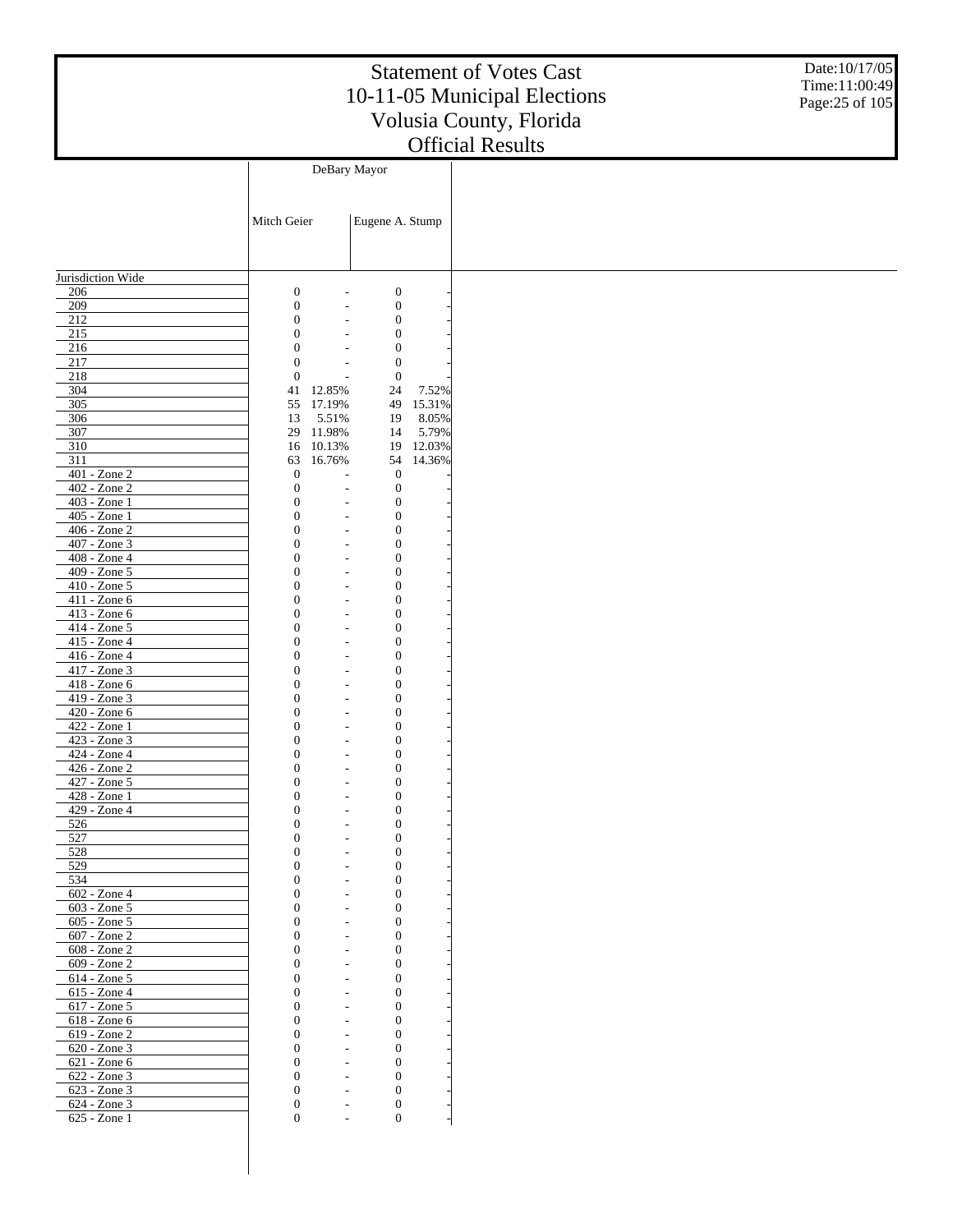Date:10/17/05 Time:11:00:49 Page:25 of 105

|                                |                                      | DeBary Mayor                                         |                                      |        |
|--------------------------------|--------------------------------------|------------------------------------------------------|--------------------------------------|--------|
|                                |                                      |                                                      |                                      |        |
|                                |                                      |                                                      |                                      |        |
|                                | Mitch Geier                          |                                                      | Eugene A. Stump                      |        |
|                                |                                      |                                                      |                                      |        |
|                                |                                      |                                                      |                                      |        |
|                                |                                      |                                                      |                                      |        |
| Jurisdiction Wide              |                                      |                                                      |                                      |        |
| 206<br>209                     | $\boldsymbol{0}$<br>$\boldsymbol{0}$ | $\overline{a}$                                       | $\boldsymbol{0}$<br>$\boldsymbol{0}$ |        |
| 212                            | $\boldsymbol{0}$                     | ÷,                                                   | $\boldsymbol{0}$                     |        |
| 215                            | $\boldsymbol{0}$                     | $\overline{\phantom{a}}$                             | $\boldsymbol{0}$                     |        |
| 216                            | $\mathbf{0}$                         |                                                      |                                      |        |
| 217                            | $\boldsymbol{0}$                     | $\overline{\phantom{a}}$<br>$\overline{\phantom{a}}$ | $\boldsymbol{0}$<br>$\boldsymbol{0}$ |        |
| 218                            | $\mathbf{0}$                         | $\overline{a}$                                       | $\boldsymbol{0}$                     |        |
| 304                            | 41                                   | 12.85%                                               | 24                                   | 7.52%  |
| 305                            | 55                                   | 17.19%                                               | 49                                   | 15.31% |
| 306                            | 13                                   | 5.51%                                                |                                      |        |
| 307                            | 29                                   | 11.98%                                               | 19<br>14                             | 8.05%  |
| 310                            |                                      | 10.13%                                               | 19                                   | 5.79%  |
|                                | 16                                   |                                                      |                                      | 12.03% |
| 311<br>$401 - Z$ one $2$       | 63                                   | 16.76%                                               | 54                                   | 14.36% |
|                                | $\boldsymbol{0}$                     |                                                      | $\boldsymbol{0}$                     |        |
| 402 - Zone 2<br>403 - Zone 1   | $\boldsymbol{0}$<br>$\boldsymbol{0}$ | $\overline{a}$                                       | $\boldsymbol{0}$                     |        |
|                                |                                      | $\overline{\phantom{a}}$                             | $\boldsymbol{0}$                     |        |
| 405 - Zone 1                   | $\mathbf{0}$<br>$\boldsymbol{0}$     | $\overline{\phantom{a}}$                             | $\boldsymbol{0}$                     |        |
| 406 - Zone 2<br>407 - Zone 3   | $\mathbf{0}$                         | $\overline{\phantom{a}}$<br>$\sim$                   | $\boldsymbol{0}$                     |        |
| 408 - Zone 4                   | $\boldsymbol{0}$                     |                                                      | $\boldsymbol{0}$<br>$\boldsymbol{0}$ |        |
| 409 - Zone 5                   | $\mathbf{0}$                         | $\overline{\phantom{a}}$<br>$\overline{\phantom{a}}$ | $\boldsymbol{0}$                     |        |
| 410 - Zone 5                   | $\boldsymbol{0}$                     | $\overline{\phantom{a}}$                             | $\boldsymbol{0}$                     |        |
| 411 - Zone 6                   | $\mathbf{0}$                         | $\overline{\phantom{a}}$                             | $\boldsymbol{0}$                     |        |
| 413 - Zone 6                   | $\boldsymbol{0}$                     | $\overline{\phantom{a}}$                             | $\boldsymbol{0}$                     |        |
| 414 - Zone 5                   | $\mathbf{0}$                         | $\overline{\phantom{a}}$                             | $\boldsymbol{0}$                     |        |
| 415 - Zone 4                   | $\boldsymbol{0}$                     | $\overline{\phantom{a}}$                             | $\boldsymbol{0}$                     |        |
| 416 - Zone 4                   | $\mathbf{0}$                         |                                                      |                                      |        |
|                                |                                      | $\overline{\phantom{a}}$                             | $\boldsymbol{0}$                     |        |
| 417 - Zone 3                   | $\boldsymbol{0}$                     | $\overline{\phantom{a}}$                             | $\boldsymbol{0}$                     |        |
| 418 - Zone 6                   | $\mathbf{0}$<br>$\boldsymbol{0}$     | $\overline{\phantom{a}}$                             | $\boldsymbol{0}$                     |        |
| 419 - Zone 3<br>420 - Zone 6   | $\mathbf{0}$                         | $\overline{\phantom{a}}$                             | $\boldsymbol{0}$                     |        |
| 422 - Zone 1                   | $\boldsymbol{0}$                     | $\overline{\phantom{a}}$                             | $\boldsymbol{0}$<br>$\boldsymbol{0}$ |        |
| 423 - Zone 3                   | $\mathbf{0}$                         | $\overline{\phantom{a}}$<br>$\overline{\phantom{a}}$ | $\boldsymbol{0}$                     |        |
|                                | $\boldsymbol{0}$                     |                                                      |                                      |        |
| 424 - Zone 4<br>$426 - Zone 2$ | $\mathbf{0}$                         | ٠                                                    | $\boldsymbol{0}$                     |        |
| 427 - Zone 5                   | $\boldsymbol{0}$                     | $\overline{\phantom{a}}$<br>$\overline{\phantom{a}}$ | $\boldsymbol{0}$<br>$\boldsymbol{0}$ |        |
| 428 - Zone 1                   | $\mathbf{0}$                         | $\overline{\phantom{a}}$                             | $\boldsymbol{0}$                     |        |
| 429 - Zone 4                   | $\boldsymbol{0}$                     | $\overline{\phantom{a}}$                             | $\boldsymbol{0}$                     |        |
|                                | $\mathbf{0}$                         |                                                      | $\boldsymbol{0}$                     |        |
| 526<br>527                     | $\mathbf{0}$                         | ٠<br>$\overline{\phantom{a}}$                        | $\boldsymbol{0}$                     |        |
| 528                            | $\boldsymbol{0}$                     | $\overline{\phantom{a}}$                             | $\boldsymbol{0}$                     |        |
|                                |                                      |                                                      |                                      |        |
| <u>529</u><br>534              | $\theta$                             |                                                      | 0                                    |        |
|                                | $\theta$                             |                                                      | $\boldsymbol{0}$                     |        |
| 602 - Zone 4                   | $\theta$                             |                                                      | $\boldsymbol{0}$                     |        |
| 603 - Zone 5                   | $\Omega$                             |                                                      | $\boldsymbol{0}$                     |        |
| 605 - Zone 5                   |                                      |                                                      | $\boldsymbol{0}$                     |        |
| 607 - Zone 2                   | $\theta$                             |                                                      | $\boldsymbol{0}$                     |        |
| 608 - Zone 2                   | $\Omega$                             |                                                      | $\boldsymbol{0}$                     |        |
| 609 - Zone 2                   | $\Omega$                             |                                                      | $\boldsymbol{0}$                     |        |
| 614 - Zone 5                   | $\Omega$                             |                                                      | $\boldsymbol{0}$                     |        |
| 615 - Zone 4                   | $\theta$                             |                                                      | $\boldsymbol{0}$                     |        |
| 617 - Zone 5                   | $\Omega$                             |                                                      | $\boldsymbol{0}$                     |        |
| 618 - Zone 6                   | $\Omega$                             |                                                      | $\boldsymbol{0}$                     |        |
| 619 - Zone 2                   | $\Omega$                             |                                                      | $\boldsymbol{0}$                     |        |
| 620 - Zone 3                   | $\theta$                             |                                                      | $\boldsymbol{0}$                     |        |
| 621 - Zone 6                   | $\Omega$                             |                                                      | $\boldsymbol{0}$                     |        |
| 622 - Zone 3                   | $\Omega$                             |                                                      | $\boldsymbol{0}$                     |        |
| 623 - Zone 3                   | $\Omega$                             |                                                      | $\boldsymbol{0}$                     |        |
| 624 - Zone 3                   | $\boldsymbol{0}$                     |                                                      | $\boldsymbol{0}$                     |        |
| 625 - Zone 1                   | $\boldsymbol{0}$                     |                                                      | $\boldsymbol{0}$                     |        |
|                                |                                      |                                                      |                                      |        |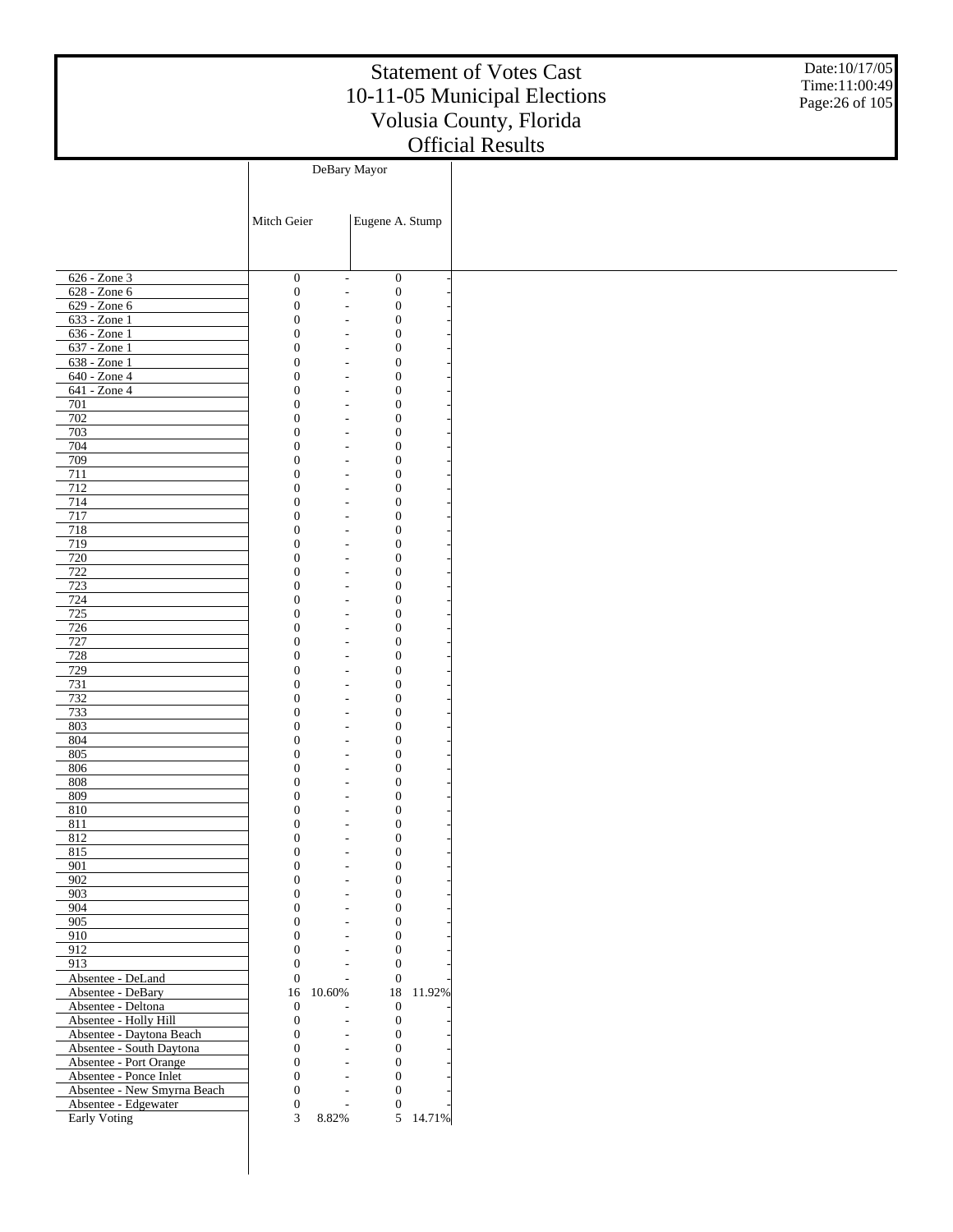Date:10/17/05 Time:11:00:49 Page:26 of 105

|                              |                                  | DeBary Mayor                                                                           |          |
|------------------------------|----------------------------------|----------------------------------------------------------------------------------------|----------|
|                              |                                  |                                                                                        |          |
|                              |                                  |                                                                                        |          |
|                              | Mitch Geier                      | Eugene A. Stump                                                                        |          |
|                              |                                  |                                                                                        |          |
|                              |                                  |                                                                                        |          |
|                              |                                  |                                                                                        |          |
| $626 - Zone$ 3               | $\boldsymbol{0}$                 | $\boldsymbol{0}$<br>$\overline{a}$                                                     |          |
| $628 - Zone 6$               | $\boldsymbol{0}$                 | $\boldsymbol{0}$<br>$\overline{a}$                                                     |          |
| 629 - Zone 6                 | $\boldsymbol{0}$                 | $\boldsymbol{0}$<br>$\overline{a}$                                                     |          |
| 633 - Zone 1                 | $\boldsymbol{0}$                 | $\boldsymbol{0}$<br>$\qquad \qquad \blacksquare$                                       |          |
| 636 - Zone 1                 | $\boldsymbol{0}$                 | $\boldsymbol{0}$<br>$\overline{a}$                                                     |          |
| $637 - Zone1$                | $\mathbf{0}$                     | $\boldsymbol{0}$<br>$\overline{\phantom{m}}$                                           |          |
| 638 - Zone 1<br>640 - Zone 4 | $\boldsymbol{0}$<br>$\mathbf{0}$ | $\boldsymbol{0}$<br>$\overline{a}$                                                     |          |
| 641 - Zone 4                 | $\boldsymbol{0}$                 | $\boldsymbol{0}$<br>$\qquad \qquad \blacksquare$<br>$\boldsymbol{0}$<br>$\overline{a}$ |          |
| 701                          | $\mathbf{0}$                     | $\boldsymbol{0}$<br>$\overline{a}$                                                     |          |
| 702                          | $\boldsymbol{0}$                 | $\boldsymbol{0}$<br>$\overline{a}$                                                     |          |
| 703                          | $\mathbf{0}$                     | $\boldsymbol{0}$<br>$\qquad \qquad \blacksquare$                                       |          |
| 704                          | $\boldsymbol{0}$                 | $\boldsymbol{0}$<br>$\overline{a}$                                                     |          |
| 709                          | $\mathbf{0}$                     | $\boldsymbol{0}$<br>$\overline{\phantom{m}}$                                           |          |
| 711                          | $\boldsymbol{0}$                 | $\boldsymbol{0}$<br>$\overline{a}$                                                     |          |
| 712                          | $\mathbf{0}$                     | $\boldsymbol{0}$<br>$\overline{\phantom{a}}$                                           |          |
| 714                          | $\boldsymbol{0}$                 | $\boldsymbol{0}$<br>$\overline{a}$                                                     |          |
| 717                          | $\mathbf{0}$                     | $\boldsymbol{0}$<br>$\overline{a}$                                                     |          |
| 718                          | $\boldsymbol{0}$                 | $\boldsymbol{0}$<br>$\overline{a}$                                                     |          |
| 719                          | $\mathbf{0}$                     | $\boldsymbol{0}$<br>$\qquad \qquad \blacksquare$                                       |          |
| 720                          | $\boldsymbol{0}$                 | $\boldsymbol{0}$<br>$\overline{a}$                                                     |          |
| 722                          | $\mathbf{0}$                     | $\boldsymbol{0}$<br>$\overline{\phantom{m}}$                                           |          |
| 723                          | $\boldsymbol{0}$                 | $\boldsymbol{0}$<br>$\overline{a}$                                                     |          |
| $\frac{724}{724}$            | $\mathbf{0}$                     | $\boldsymbol{0}$<br>$\overline{\phantom{a}}$                                           |          |
| 725                          | $\boldsymbol{0}$                 | $\boldsymbol{0}$<br>$\overline{a}$                                                     |          |
| 726                          | $\mathbf{0}$                     | $\boldsymbol{0}$<br>$\overline{a}$                                                     |          |
| 727                          | $\boldsymbol{0}$<br>$\mathbf{0}$ | $\boldsymbol{0}$<br>$\overline{a}$                                                     |          |
| 728<br>729                   | $\boldsymbol{0}$                 | $\boldsymbol{0}$<br>$\overline{a}$<br>$\boldsymbol{0}$<br>$\overline{a}$               |          |
| 731                          | $\mathbf{0}$                     | $\boldsymbol{0}$<br>$\overline{\phantom{m}}$                                           |          |
| 732                          | $\boldsymbol{0}$                 | $\boldsymbol{0}$<br>$\overline{a}$                                                     |          |
| 733                          | $\mathbf{0}$                     | $\boldsymbol{0}$<br>$\overline{\phantom{a}}$                                           |          |
| 803                          | $\boldsymbol{0}$                 | $\boldsymbol{0}$<br>$\overline{a}$                                                     |          |
| 804                          | $\mathbf{0}$                     | $\boldsymbol{0}$<br>$\qquad \qquad \blacksquare$                                       |          |
| 805                          | $\boldsymbol{0}$                 | $\boldsymbol{0}$<br>$\overline{a}$                                                     |          |
| 806                          | $\mathbf{0}$                     | $\boldsymbol{0}$<br>$\overline{a}$                                                     |          |
| 808                          | $\mathbf{0}$                     | $\boldsymbol{0}$<br>$\overline{a}$                                                     |          |
| 809                          | 0                                | $\boldsymbol{0}$<br>$\overline{\phantom{m}}$                                           |          |
| 810                          | 0                                | $\boldsymbol{0}$<br>L,                                                                 |          |
| 811                          | 0                                | $\boldsymbol{0}$<br>$\overline{\phantom{a}}$                                           |          |
| 812                          | 0                                | $\mathbf{0}$                                                                           |          |
| 815                          | $\Omega$                         | $\Omega$                                                                               |          |
| 901                          | $\boldsymbol{0}$                 | $\boldsymbol{0}$                                                                       |          |
| 902                          | $\boldsymbol{0}$                 | $\mathbf{0}$<br>$\overline{a}$                                                         |          |
| 903                          | $\boldsymbol{0}$                 | $\boldsymbol{0}$                                                                       |          |
| 904                          | $\mathbf{0}$                     | $\mathbf{0}$<br>$\overline{\phantom{a}}$                                               |          |
| 905                          | $\mathbf{0}$                     | $\mathbf{0}$<br>$\overline{a}$                                                         |          |
| 910                          | $\overline{0}$<br>$\mathbf{0}$   | $\mathbf{0}$<br>$\overline{\phantom{a}}$                                               |          |
| 912<br>913                   | $\boldsymbol{0}$                 | $\mathbf{0}$<br>$\mathbf{0}$                                                           |          |
| Absentee - DeLand            | $\boldsymbol{0}$                 | $\overline{a}$<br>$\mathbf{0}$<br>$\overline{a}$                                       |          |
| Absentee - DeBary            | 16<br>10.60%                     | $18\,$                                                                                 | 11.92%   |
| Absentee - Deltona           | $\boldsymbol{0}$                 | $\mathbf{0}$                                                                           |          |
| Absentee - Holly Hill        | $\boldsymbol{0}$                 | $\boldsymbol{0}$                                                                       |          |
| Absentee - Daytona Beach     | $\boldsymbol{0}$                 | $\mathbf{0}$<br>÷,                                                                     |          |
| Absentee - South Daytona     | $\mathbf{0}$                     | $\mathbf{0}$<br>$\overline{\phantom{m}}$                                               |          |
| Absentee - Port Orange       | $\mathbf{0}$                     | $\mathbf{0}$<br>÷,                                                                     |          |
| Absentee - Ponce Inlet       | $\mathbf{0}$                     | $\mathbf{0}$<br>$\overline{a}$                                                         |          |
| Absentee - New Smyrna Beach  | $\boldsymbol{0}$                 | $\mathbf{0}$                                                                           |          |
| Absentee - Edgewater         | $\boldsymbol{0}$                 | $\mathbf{0}$<br>$\overline{a}$                                                         |          |
| Early Voting                 | 3<br>8.82%                       |                                                                                        | 5 14.71% |
|                              |                                  |                                                                                        |          |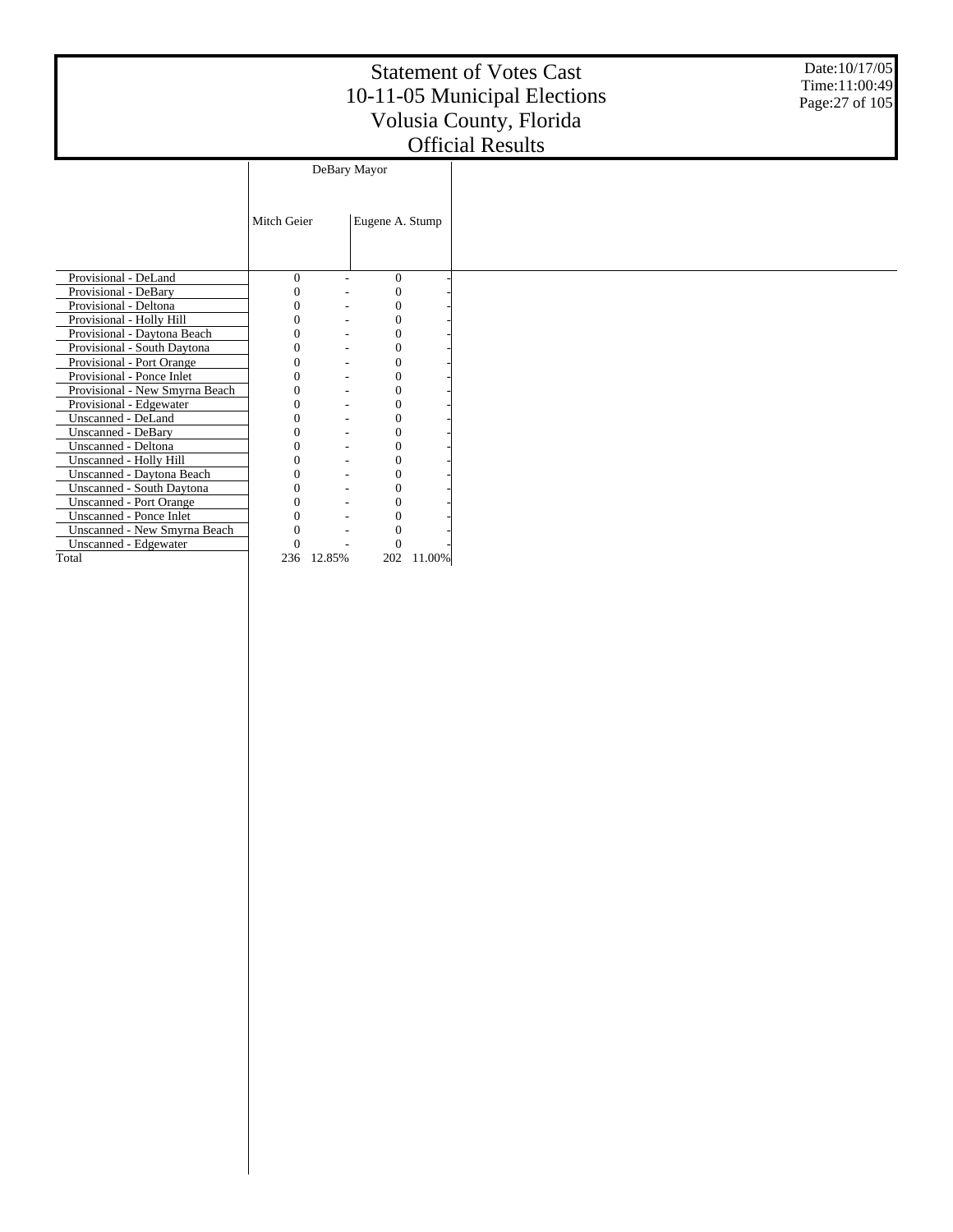Date:10/17/05 Time:11:00:49 Page:27 of 105

|                                |             | DeBary Mayor |                 |        |  |
|--------------------------------|-------------|--------------|-----------------|--------|--|
|                                |             |              |                 |        |  |
|                                | Mitch Geier |              | Eugene A. Stump |        |  |
|                                |             |              |                 |        |  |
| Provisional - DeLand           | $\theta$    |              | $\Omega$        |        |  |
| Provisional - DeBary           |             |              | $\Omega$        |        |  |
| Provisional - Deltona          | 0           |              | 0               |        |  |
| Provisional - Holly Hill       |             |              |                 |        |  |
| Provisional - Daytona Beach    |             |              |                 |        |  |
| Provisional - South Daytona    |             |              | 0               |        |  |
| Provisional - Port Orange      |             |              | 0               |        |  |
| Provisional - Ponce Inlet      |             |              | 0               |        |  |
| Provisional - New Smyrna Beach |             |              | 0               |        |  |
| Provisional - Edgewater        |             |              | 0               |        |  |
| Unscanned - DeLand             |             |              |                 |        |  |
| Unscanned - DeBary             |             |              |                 |        |  |
| Unscanned - Deltona            |             |              | 0               |        |  |
| Unscanned - Holly Hill         |             |              | 0               |        |  |
| Unscanned - Daytona Beach      |             |              | 0               |        |  |
| Unscanned - South Daytona      |             |              | $\overline{0}$  |        |  |
| <b>Unscanned - Port Orange</b> |             |              |                 |        |  |
| <b>Unscanned - Ponce Inlet</b> |             |              |                 |        |  |
| Unscanned - New Smyrna Beach   |             |              | 0               |        |  |
| Unscanned - Edgewater          |             |              |                 |        |  |
| Total                          | 236         | 12.85%       | 202             | 11.00% |  |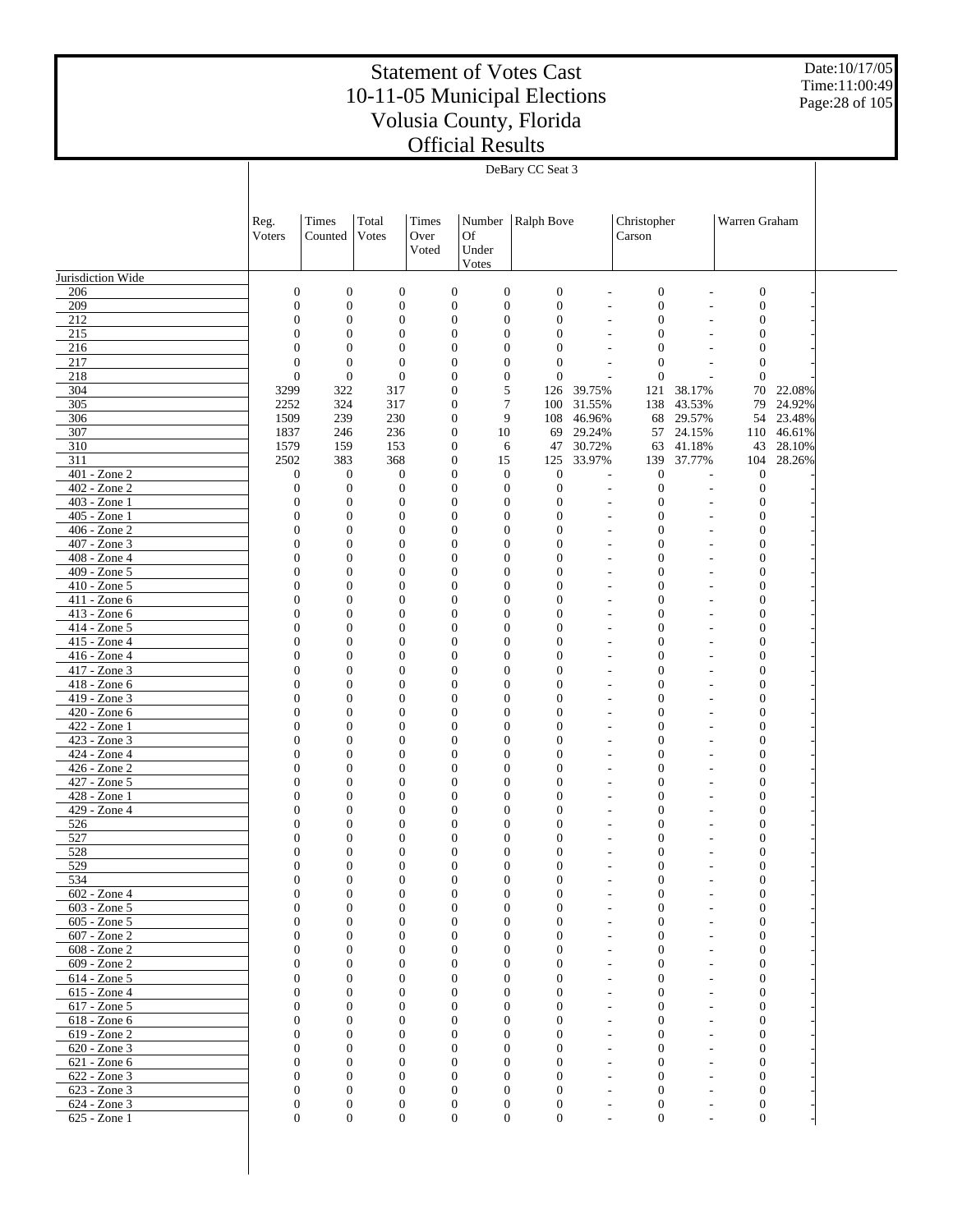Date:10/17/05 Time:11:00:49 Page:28 of 105

|                                | DeBary CC Seat 3                     |                                  |                                      |                                      |                                      |                                      |                          |                                  |                      |                                      |                  |  |
|--------------------------------|--------------------------------------|----------------------------------|--------------------------------------|--------------------------------------|--------------------------------------|--------------------------------------|--------------------------|----------------------------------|----------------------|--------------------------------------|------------------|--|
|                                |                                      |                                  |                                      |                                      |                                      |                                      |                          |                                  |                      |                                      |                  |  |
|                                |                                      |                                  |                                      |                                      |                                      |                                      |                          |                                  |                      |                                      |                  |  |
|                                | Reg.                                 | Times                            | Total                                | Times                                | Number                               | Ralph Bove                           |                          | Christopher                      |                      | Warren Graham                        |                  |  |
|                                | Voters                               | Counted                          | Votes                                | Over<br>Voted                        | Of<br>Under                          |                                      |                          | Carson                           |                      |                                      |                  |  |
|                                |                                      |                                  |                                      |                                      | Votes                                |                                      |                          |                                  |                      |                                      |                  |  |
| Jurisdiction Wide              |                                      |                                  |                                      |                                      |                                      |                                      |                          |                                  |                      |                                      |                  |  |
| 206                            | $\boldsymbol{0}$                     | $\boldsymbol{0}$                 | $\boldsymbol{0}$                     | $\boldsymbol{0}$                     | $\boldsymbol{0}$                     | $\boldsymbol{0}$                     | L,                       | $\boldsymbol{0}$                 | L,                   | $\boldsymbol{0}$                     |                  |  |
| 209                            | $\boldsymbol{0}$                     | $\boldsymbol{0}$                 | $\boldsymbol{0}$                     | $\boldsymbol{0}$                     | $\boldsymbol{0}$                     | $\boldsymbol{0}$<br>$\boldsymbol{0}$ | ÷,                       | $\boldsymbol{0}$                 | L,                   | $\boldsymbol{0}$                     |                  |  |
| 212<br>215                     | $\boldsymbol{0}$<br>$\mathbf{0}$     | $\boldsymbol{0}$<br>$\mathbf{0}$ | $\boldsymbol{0}$<br>$\boldsymbol{0}$ | $\boldsymbol{0}$<br>$\boldsymbol{0}$ | $\boldsymbol{0}$<br>$\boldsymbol{0}$ | $\boldsymbol{0}$                     | L,                       | $\boldsymbol{0}$<br>$\mathbf{0}$ |                      | $\boldsymbol{0}$<br>$\boldsymbol{0}$ |                  |  |
| 216                            | $\overline{0}$                       | $\mathbf{0}$                     | $\boldsymbol{0}$                     | $\boldsymbol{0}$                     | $\boldsymbol{0}$                     | $\boldsymbol{0}$                     |                          | $\mathbf{0}$                     |                      | $\boldsymbol{0}$                     |                  |  |
| 217                            | $\boldsymbol{0}$                     | $\boldsymbol{0}$                 | $\boldsymbol{0}$                     | $\boldsymbol{0}$                     | $\boldsymbol{0}$                     | $\boldsymbol{0}$                     | ÷,                       | $\mathbf{0}$                     |                      | $\boldsymbol{0}$                     |                  |  |
| 218<br>304                     | $\overline{0}$<br>3299               | $\boldsymbol{0}$<br>322          | $\boldsymbol{0}$<br>317              | $\boldsymbol{0}$<br>$\boldsymbol{0}$ | $\boldsymbol{0}$<br>5                | $\boldsymbol{0}$<br>126              | $\overline{a}$<br>39.75% | $\mathbf{0}$<br>121              | 38.17%               | $\mathbf{0}$<br>70                   | 22.08%           |  |
| 305                            | 2252                                 | 324                              | 317                                  | $\boldsymbol{0}$                     | 7                                    | 100                                  | 31.55%                   | 138                              | 43.53%               | 79                                   | 24.92%           |  |
| 306                            | 1509                                 | 239                              | 230                                  | $\boldsymbol{0}$                     | 9                                    | 108                                  | 46.96%                   | 68                               | 29.57%               | 54                                   | 23.48%           |  |
| 307                            | 1837                                 | 246                              | 236                                  | $\boldsymbol{0}$                     | $10\,$                               | 69                                   | 29.24%                   | 57                               | 24.15%               | 110                                  | 46.61%           |  |
| 310<br>311                     | 1579<br>2502                         | 159<br>383                       | 153<br>368                           | $\boldsymbol{0}$<br>$\boldsymbol{0}$ | 6<br>15                              | 47<br>125                            | 30.72%<br>33.97%         | 63<br>139                        | 41.18%<br>37.77%     | 43<br>104                            | 28.10%<br>28.26% |  |
| 401 - Zone 2                   | $\boldsymbol{0}$                     | $\mathbf{0}$                     | $\boldsymbol{0}$                     | $\boldsymbol{0}$                     | $\mathbf{0}$                         | $\boldsymbol{0}$                     | ÷,                       | $\mathbf{0}$                     | L,                   | $\mathbf{0}$                         |                  |  |
| 402 - Zone 2                   | $\boldsymbol{0}$                     | $\mathbf{0}$                     | $\boldsymbol{0}$                     | $\boldsymbol{0}$                     | $\boldsymbol{0}$                     | $\boldsymbol{0}$                     | L,                       | $\boldsymbol{0}$                 | L,                   | $\boldsymbol{0}$                     |                  |  |
| 403 - Zone 1                   | $\boldsymbol{0}$                     | $\boldsymbol{0}$                 | $\boldsymbol{0}$                     | $\boldsymbol{0}$                     | $\boldsymbol{0}$                     | $\boldsymbol{0}$                     | ÷,                       | $\mathbf{0}$                     |                      | $\boldsymbol{0}$                     |                  |  |
| 405 - Zone 1<br>406 - Zone 2   | $\boldsymbol{0}$<br>$\boldsymbol{0}$ | $\boldsymbol{0}$<br>$\mathbf{0}$ | $\boldsymbol{0}$<br>$\boldsymbol{0}$ | $\boldsymbol{0}$<br>$\boldsymbol{0}$ | $\boldsymbol{0}$<br>$\mathbf{0}$     | $\boldsymbol{0}$<br>$\boldsymbol{0}$ | L,<br>$\overline{a}$     | $\mathbf{0}$<br>$\mathbf{0}$     |                      | $\boldsymbol{0}$<br>$\boldsymbol{0}$ |                  |  |
| 407 - Zone 3                   | $\boldsymbol{0}$                     | $\boldsymbol{0}$                 | $\boldsymbol{0}$                     | $\boldsymbol{0}$                     | $\boldsymbol{0}$                     | $\boldsymbol{0}$                     | L,                       | $\mathbf{0}$                     |                      | $\boldsymbol{0}$                     |                  |  |
| 408 - Zone 4                   | $\mathbf{0}$                         | $\mathbf{0}$                     | $\boldsymbol{0}$                     | $\boldsymbol{0}$                     | $\mathbf{0}$                         | $\boldsymbol{0}$                     | ÷,                       | $\mathbf{0}$                     | L,                   | $\boldsymbol{0}$                     |                  |  |
| 409 - Zone 5                   | $\boldsymbol{0}$                     | $\boldsymbol{0}$                 | $\boldsymbol{0}$                     | $\boldsymbol{0}$                     | $\boldsymbol{0}$                     | $\boldsymbol{0}$                     | L,                       | $\mathbf{0}$                     | L,                   | $\boldsymbol{0}$                     |                  |  |
| 410 - Zone 5<br>411 - Zone 6   | $\boldsymbol{0}$<br>$\boldsymbol{0}$ | $\mathbf{0}$<br>$\boldsymbol{0}$ | $\boldsymbol{0}$<br>$\boldsymbol{0}$ | $\boldsymbol{0}$<br>$\boldsymbol{0}$ | $\mathbf{0}$<br>$\boldsymbol{0}$     | $\boldsymbol{0}$<br>$\boldsymbol{0}$ | ÷,<br>L,                 | $\mathbf{0}$<br>$\mathbf{0}$     | L,<br>L,             | $\boldsymbol{0}$<br>$\boldsymbol{0}$ |                  |  |
| 413 - Zone 6                   | $\boldsymbol{0}$                     | $\mathbf{0}$                     | $\boldsymbol{0}$                     | $\boldsymbol{0}$                     | $\mathbf{0}$                         | $\boldsymbol{0}$                     | L,                       | $\mathbf{0}$                     | L,                   | $\boldsymbol{0}$                     |                  |  |
| 414 - Zone 5                   | $\boldsymbol{0}$                     | $\mathbf{0}$                     | $\boldsymbol{0}$                     | $\boldsymbol{0}$                     | $\boldsymbol{0}$                     | $\mathbf{0}$                         | L,                       | $\mathbf{0}$                     | L,                   | $\mathbf{0}$                         |                  |  |
| 415 - Zone 4                   | $\boldsymbol{0}$                     | $\mathbf{0}$                     | $\boldsymbol{0}$                     | $\boldsymbol{0}$                     | $\mathbf{0}$                         | $\boldsymbol{0}$                     | L,                       | $\mathbf{0}$                     | L,                   | $\boldsymbol{0}$                     |                  |  |
| 416 - Zone 4<br>417 - Zone 3   | $\boldsymbol{0}$<br>$\boldsymbol{0}$ | $\boldsymbol{0}$<br>$\mathbf{0}$ | $\boldsymbol{0}$<br>$\boldsymbol{0}$ | $\boldsymbol{0}$<br>$\boldsymbol{0}$ | $\boldsymbol{0}$<br>$\mathbf{0}$     | $\boldsymbol{0}$<br>$\boldsymbol{0}$ | L,<br>L,                 | $\mathbf{0}$<br>$\mathbf{0}$     | $\overline{a}$<br>L, | $\mathbf{0}$<br>$\boldsymbol{0}$     |                  |  |
| 418 - Zone 6                   | $\boldsymbol{0}$                     | $\boldsymbol{0}$                 | $\boldsymbol{0}$                     | $\boldsymbol{0}$                     | $\boldsymbol{0}$                     | $\boldsymbol{0}$                     | $\overline{a}$           | $\mathbf{0}$                     | $\overline{a}$       | $\mathbf{0}$                         |                  |  |
| 419 - Zone 3                   | $\boldsymbol{0}$                     | $\mathbf{0}$                     | $\boldsymbol{0}$                     | $\boldsymbol{0}$                     | $\mathbf{0}$                         | $\boldsymbol{0}$                     | ÷,                       | $\mathbf{0}$                     | ÷,                   | $\boldsymbol{0}$                     |                  |  |
| 420 - Zone 6                   | $\boldsymbol{0}$                     | $\boldsymbol{0}$                 | $\boldsymbol{0}$                     | $\boldsymbol{0}$                     | $\boldsymbol{0}$                     | $\boldsymbol{0}$                     | L,                       | $\mathbf{0}$                     | L,                   | $\mathbf{0}$                         |                  |  |
| 422 - Zone 1<br>423 - Zone 3   | $\boldsymbol{0}$<br>$\boldsymbol{0}$ | $\mathbf{0}$<br>$\boldsymbol{0}$ | $\boldsymbol{0}$<br>$\boldsymbol{0}$ | $\boldsymbol{0}$<br>$\boldsymbol{0}$ | $\mathbf{0}$<br>$\boldsymbol{0}$     | $\boldsymbol{0}$<br>$\boldsymbol{0}$ | ÷,<br>L,                 | $\mathbf{0}$<br>$\mathbf{0}$     | L,<br>L,             | $\boldsymbol{0}$<br>$\mathbf{0}$     |                  |  |
| 424 - Zone 4                   | $\boldsymbol{0}$                     | $\mathbf{0}$                     | $\boldsymbol{0}$                     | $\boldsymbol{0}$                     | $\mathbf{0}$                         | $\boldsymbol{0}$                     | ÷,                       | $\mathbf{0}$                     |                      | $\boldsymbol{0}$                     |                  |  |
| 426 - Zone 2                   | $\boldsymbol{0}$                     | $\boldsymbol{0}$                 | $\boldsymbol{0}$                     | $\boldsymbol{0}$                     | $\boldsymbol{0}$                     | $\boldsymbol{0}$                     | L,                       | $\mathbf{0}$                     |                      | $\boldsymbol{0}$                     |                  |  |
| 427 - Zone 5                   | $\mathbf{0}$                         | $\mathbf{0}$                     | $\boldsymbol{0}$                     | $\boldsymbol{0}$                     | $\mathbf{0}$                         | $\boldsymbol{0}$                     | ÷,                       | $\mathbf{0}$                     |                      | $\boldsymbol{0}$                     |                  |  |
| 428 - Zone 1<br>429 - Zone 4   | $\overline{0}$<br>$\mathbf{0}$       | $\boldsymbol{0}$<br>$\mathbf{0}$ | $\boldsymbol{0}$<br>$\boldsymbol{0}$ | $\boldsymbol{0}$<br>$\boldsymbol{0}$ | $\boldsymbol{0}$<br>$\mathbf{0}$     | $\boldsymbol{0}$<br>$\boldsymbol{0}$ | L,<br>L,                 | $\mathbf{0}$<br>$\mathbf{0}$     |                      | $\boldsymbol{0}$<br>$\boldsymbol{0}$ |                  |  |
| 526                            | $\boldsymbol{0}$                     | $\boldsymbol{0}$                 | $\boldsymbol{0}$                     | $\boldsymbol{0}$                     | $\boldsymbol{0}$                     | $\boldsymbol{0}$                     |                          | $\mathbf{0}$                     |                      | $\mathbf{0}$                         |                  |  |
| 527                            | $\mathbf{0}$                         | $\mathbf{0}$                     | $\boldsymbol{0}$                     | $\boldsymbol{0}$                     | $\boldsymbol{0}$                     | $\boldsymbol{0}$                     |                          | $\mathbf{0}$                     |                      | $\boldsymbol{0}$                     |                  |  |
| 528                            | $\theta$                             | $\mathbf{0}$                     | $\Omega$                             | $\theta$                             | $\mathbf{0}$                         | $\Omega$                             |                          | $\Omega$                         |                      | $\Omega$                             |                  |  |
| 529<br>534                     | $\boldsymbol{0}$<br>$\overline{0}$   | $\mathbf{0}$<br>$\mathbf{0}$     | $\mathbf{0}$<br>$\mathbf{0}$         | $\overline{0}$<br>$\mathbf{0}$       | $\mathbf{0}$<br>$\mathbf{0}$         | $\boldsymbol{0}$<br>$\boldsymbol{0}$ |                          | $\mathbf{0}$<br>$\mathbf{0}$     |                      | $\mathbf{0}$<br>$\boldsymbol{0}$     |                  |  |
| $602 - Z$ one 4                | $\mathbf{0}$                         | $\mathbf{0}$                     | $\boldsymbol{0}$                     | $\mathbf{0}$                         | $\boldsymbol{0}$                     | $\boldsymbol{0}$                     |                          | $\mathbf{0}$                     |                      | $\boldsymbol{0}$                     |                  |  |
| 603 - Zone 5                   | $\overline{0}$                       | $\mathbf{0}$                     | $\mathbf{0}$                         | $\mathbf{0}$                         | $\mathbf{0}$                         | $\mathbf{0}$                         |                          | $\mathbf{0}$                     |                      | $\boldsymbol{0}$                     |                  |  |
| 605 - Zone 5                   | $\Omega$                             | $\mathbf{0}$                     | $\boldsymbol{0}$                     | $\mathbf{0}$                         | $\mathbf{0}$                         | $\boldsymbol{0}$                     |                          | $\mathbf{0}$                     |                      | $\boldsymbol{0}$                     |                  |  |
| 607 - Zone 2<br>608 - Zone 2   | $\Omega$<br>$\Omega$                 | $\mathbf{0}$<br>$\mathbf{0}$     | $\mathbf{0}$<br>$\boldsymbol{0}$     | $\mathbf{0}$<br>$\Omega$             | $\mathbf{0}$<br>$\mathbf{0}$         | $\mathbf{0}$<br>$\mathbf{0}$         |                          | $\overline{0}$<br>$\mathbf{0}$   |                      | $\mathbf{0}$<br>$\mathbf{0}$         |                  |  |
| 609 - Zone 2                   | $\Omega$                             | $\mathbf{0}$                     | $\mathbf{0}$                         | $\mathbf{0}$                         | $\boldsymbol{0}$                     | $\mathbf{0}$                         |                          | $\overline{0}$                   |                      | $\mathbf{0}$                         |                  |  |
| $614 - Zone$ 5                 | $\Omega$                             | $\mathbf{0}$                     | $\boldsymbol{0}$                     | $\mathbf{0}$                         | $\mathbf{0}$                         | $\mathbf{0}$                         |                          | $\mathbf{0}$                     |                      | $\boldsymbol{0}$                     |                  |  |
| 615 - Zone 4                   | $\Omega$                             | $\mathbf{0}$                     | $\mathbf{0}$                         | $\mathbf{0}$                         | $\mathbf{0}$                         | $\mathbf{0}$                         |                          | $\overline{0}$                   |                      | $\mathbf{0}$                         |                  |  |
| $617 - Zone$ 5<br>618 - Zone 6 | $\Omega$<br>$\Omega$                 | $\mathbf{0}$<br>$\mathbf{0}$     | $\boldsymbol{0}$<br>$\mathbf{0}$     | $\Omega$<br>$\mathbf{0}$             | $\mathbf{0}$<br>$\mathbf{0}$         | $\mathbf{0}$<br>$\mathbf{0}$         |                          | $\mathbf{0}$<br>$\overline{0}$   |                      | $\mathbf{0}$<br>$\mathbf{0}$         |                  |  |
| 619 - Zone 2                   | $\Omega$                             | $\mathbf{0}$                     | $\boldsymbol{0}$                     | $\mathbf{0}$                         | $\mathbf{0}$                         | $\mathbf{0}$                         |                          | $\mathbf{0}$                     |                      | $\boldsymbol{0}$                     |                  |  |
| 620 - Zone 3                   | $\Omega$                             | $\mathbf{0}$                     | $\mathbf{0}$                         | $\mathbf{0}$                         | $\mathbf{0}$                         | $\mathbf{0}$                         |                          | $\overline{0}$                   |                      | $\mathbf{0}$                         |                  |  |
| 621 - Zone 6                   | $\Omega$                             | $\mathbf{0}$                     | $\boldsymbol{0}$                     | $\Omega$                             | $\mathbf{0}$                         | $\mathbf{0}$                         |                          | $\mathbf{0}$                     |                      | $\mathbf{0}$                         |                  |  |
| 622 - Zone 3<br>623 - Zone 3   | $\Omega$<br>$\mathbf{0}$             | $\mathbf{0}$<br>$\mathbf{0}$     | $\mathbf{0}$<br>$\boldsymbol{0}$     | $\mathbf{0}$<br>$\mathbf{0}$         | $\boldsymbol{0}$<br>$\boldsymbol{0}$ | $\mathbf{0}$<br>$\boldsymbol{0}$     |                          | $\mathbf{0}$<br>$\boldsymbol{0}$ |                      | $\mathbf{0}$<br>$\mathbf{0}$         |                  |  |
| 624 - Zone 3                   | $\overline{0}$                       | $\boldsymbol{0}$                 | $\boldsymbol{0}$                     | $\boldsymbol{0}$                     | $\boldsymbol{0}$                     | $\mathbf{0}$                         |                          | $\boldsymbol{0}$                 |                      | $\mathbf{0}$                         |                  |  |
| 625 - Zone 1                   | $\mathbf{0}$                         | $\boldsymbol{0}$                 | $\mathbf{0}$                         | $\boldsymbol{0}$                     | $\boldsymbol{0}$                     | $\mathbf{0}$                         |                          | $\boldsymbol{0}$                 |                      | $\mathbf{0}$                         |                  |  |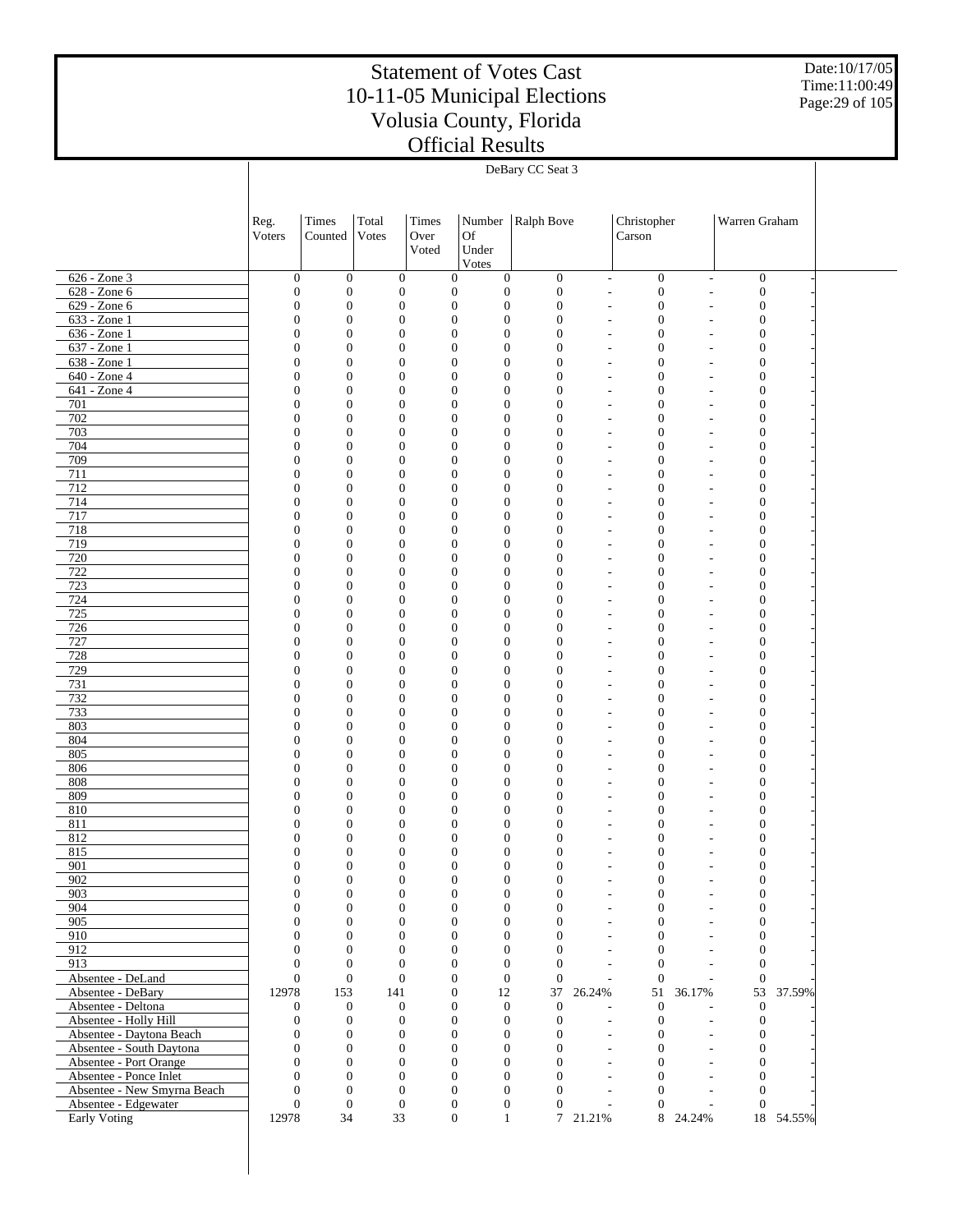Date:10/17/05 Time:11:00:49 Page:29 of 105

|                                                   |                                      |                                      |                                      |                                      |                                      | DeBary CC Seat 3                     |                                            |                                      |                          |                                      |           |  |
|---------------------------------------------------|--------------------------------------|--------------------------------------|--------------------------------------|--------------------------------------|--------------------------------------|--------------------------------------|--------------------------------------------|--------------------------------------|--------------------------|--------------------------------------|-----------|--|
|                                                   |                                      |                                      |                                      |                                      |                                      |                                      |                                            |                                      |                          |                                      |           |  |
|                                                   |                                      |                                      |                                      |                                      |                                      |                                      |                                            |                                      |                          |                                      |           |  |
|                                                   | Reg.                                 | Times                                | Total                                | Times                                | Number                               | Ralph Bove                           |                                            | Christopher                          |                          | Warren Graham                        |           |  |
|                                                   | Voters                               | Counted                              | Votes                                | Over                                 | <b>Of</b>                            |                                      |                                            | Carson                               |                          |                                      |           |  |
|                                                   |                                      |                                      |                                      | Voted                                | Under                                |                                      |                                            |                                      |                          |                                      |           |  |
|                                                   |                                      |                                      |                                      |                                      | Votes                                |                                      |                                            |                                      |                          |                                      |           |  |
| 626 - Zone 3                                      | $\boldsymbol{0}$                     | $\boldsymbol{0}$                     | $\boldsymbol{0}$                     | $\boldsymbol{0}$                     | $\boldsymbol{0}$                     | $\boldsymbol{0}$                     | $\overline{\phantom{a}}$                   | $\boldsymbol{0}$                     | $\overline{\phantom{a}}$ | $\boldsymbol{0}$                     |           |  |
| 628 - Zone 6                                      | $\boldsymbol{0}$                     | $\boldsymbol{0}$                     | $\boldsymbol{0}$                     | $\boldsymbol{0}$                     | $\boldsymbol{0}$                     | $\boldsymbol{0}$                     | $\overline{a}$                             | $\boldsymbol{0}$                     | $\overline{a}$           | $\boldsymbol{0}$                     |           |  |
| 629 - Zone 6                                      | $\boldsymbol{0}$                     | $\mathbf{0}$<br>$\boldsymbol{0}$     | $\boldsymbol{0}$                     | $\boldsymbol{0}$                     | $\boldsymbol{0}$<br>$\boldsymbol{0}$ | $\boldsymbol{0}$                     | ٠                                          | $\boldsymbol{0}$                     | ٠                        | $\boldsymbol{0}$                     |           |  |
| 633 - Zone 1<br>636 - Zone 1                      | $\boldsymbol{0}$<br>$\boldsymbol{0}$ | $\boldsymbol{0}$                     | $\mathbf{0}$<br>$\mathbf{0}$         | $\boldsymbol{0}$<br>$\boldsymbol{0}$ | $\boldsymbol{0}$                     | $\boldsymbol{0}$<br>$\boldsymbol{0}$ | $\overline{a}$<br>$\overline{a}$           | $\mathbf{0}$<br>$\mathbf{0}$         | $\overline{a}$<br>L,     | $\boldsymbol{0}$<br>$\boldsymbol{0}$ |           |  |
| 637 - Zone 1                                      | $\boldsymbol{0}$                     | $\boldsymbol{0}$                     | $\mathbf{0}$                         | $\boldsymbol{0}$                     | $\boldsymbol{0}$                     | $\boldsymbol{0}$                     | $\overline{a}$                             | $\mathbf{0}$                         | $\overline{a}$           | $\boldsymbol{0}$                     |           |  |
| 638 - Zone 1                                      | $\boldsymbol{0}$                     | $\mathbf{0}$                         | $\mathbf{0}$                         | $\boldsymbol{0}$                     | $\boldsymbol{0}$                     | $\boldsymbol{0}$                     | ٠                                          | $\mathbf{0}$                         | L,                       | $\boldsymbol{0}$                     |           |  |
| 640 - Zone 4                                      | $\boldsymbol{0}$                     | $\boldsymbol{0}$                     | $\mathbf{0}$                         | $\boldsymbol{0}$                     | $\boldsymbol{0}$                     | $\boldsymbol{0}$                     | $\overline{a}$                             | $\mathbf{0}$                         | $\overline{a}$           | $\boldsymbol{0}$                     |           |  |
| 641 - Zone 4                                      | $\boldsymbol{0}$                     | $\boldsymbol{0}$                     | $\mathbf{0}$                         | $\boldsymbol{0}$                     | $\boldsymbol{0}$                     | $\boldsymbol{0}$                     | ٠                                          | $\boldsymbol{0}$                     | L,                       | $\boldsymbol{0}$                     |           |  |
| 701                                               | $\boldsymbol{0}$                     | $\boldsymbol{0}$                     | $\mathbf{0}$                         | $\boldsymbol{0}$                     | $\boldsymbol{0}$                     | $\boldsymbol{0}$                     | $\overline{a}$                             | $\mathbf{0}$                         | $\overline{a}$           | $\boldsymbol{0}$                     |           |  |
| 702                                               | $\boldsymbol{0}$                     | $\mathbf{0}$                         | $\mathbf{0}$                         | $\boldsymbol{0}$                     | $\boldsymbol{0}$                     | $\boldsymbol{0}$                     | ٠                                          | $\mathbf{0}$                         | L,                       | $\boldsymbol{0}$                     |           |  |
| 703<br>704                                        | $\boldsymbol{0}$<br>$\boldsymbol{0}$ | $\boldsymbol{0}$<br>$\boldsymbol{0}$ | $\mathbf{0}$<br>$\mathbf{0}$         | $\boldsymbol{0}$<br>$\boldsymbol{0}$ | $\boldsymbol{0}$<br>$\boldsymbol{0}$ | $\boldsymbol{0}$<br>$\boldsymbol{0}$ | $\overline{\phantom{a}}$<br>٠              | $\mathbf{0}$<br>$\mathbf{0}$         | $\overline{a}$<br>L,     | $\boldsymbol{0}$<br>$\boldsymbol{0}$ |           |  |
| 709                                               | $\boldsymbol{0}$                     | $\boldsymbol{0}$                     | $\mathbf{0}$                         | $\boldsymbol{0}$                     | $\boldsymbol{0}$                     | $\boldsymbol{0}$                     | ٠                                          | $\mathbf{0}$                         | ä,                       | $\boldsymbol{0}$                     |           |  |
| 711                                               | $\boldsymbol{0}$                     | $\mathbf{0}$                         | $\mathbf{0}$                         | $\boldsymbol{0}$                     | $\boldsymbol{0}$                     | $\boldsymbol{0}$                     | ٠                                          | $\mathbf{0}$                         | L,                       | $\boldsymbol{0}$                     |           |  |
| 712                                               | $\boldsymbol{0}$                     | $\boldsymbol{0}$                     | $\mathbf{0}$                         | $\boldsymbol{0}$                     | $\boldsymbol{0}$                     | $\boldsymbol{0}$                     | $\overline{\phantom{a}}$                   | $\mathbf{0}$                         | ä,                       | $\boldsymbol{0}$                     |           |  |
| 714                                               | $\boldsymbol{0}$                     | $\boldsymbol{0}$                     | $\mathbf{0}$                         | $\boldsymbol{0}$                     | $\boldsymbol{0}$                     | $\boldsymbol{0}$                     | ٠                                          | $\mathbf{0}$                         | L,                       | $\boldsymbol{0}$                     |           |  |
| 717                                               | $\boldsymbol{0}$                     | $\boldsymbol{0}$                     | $\mathbf{0}$                         | $\boldsymbol{0}$                     | $\boldsymbol{0}$                     | $\boldsymbol{0}$                     | ٠                                          | $\mathbf{0}$                         | ä,                       | $\boldsymbol{0}$                     |           |  |
| 718                                               | $\boldsymbol{0}$                     | $\mathbf{0}$                         | $\mathbf{0}$                         | $\boldsymbol{0}$                     | $\boldsymbol{0}$                     | $\boldsymbol{0}$                     | ٠                                          | $\mathbf{0}$                         | L,                       | $\boldsymbol{0}$                     |           |  |
| 719                                               | $\boldsymbol{0}$                     | $\boldsymbol{0}$                     | $\mathbf{0}$                         | $\boldsymbol{0}$                     | $\boldsymbol{0}$                     | $\boldsymbol{0}$                     | $\overline{\phantom{a}}$                   | $\mathbf{0}$                         | ä,                       | $\boldsymbol{0}$                     |           |  |
| 720<br>722                                        | $\boldsymbol{0}$<br>$\boldsymbol{0}$ | $\boldsymbol{0}$<br>$\boldsymbol{0}$ | $\mathbf{0}$<br>$\mathbf{0}$         | $\boldsymbol{0}$<br>$\boldsymbol{0}$ | $\boldsymbol{0}$<br>$\boldsymbol{0}$ | $\mathbf{0}$<br>$\boldsymbol{0}$     | ٠<br>$\overline{\phantom{a}}$              | $\mathbf{0}$<br>$\mathbf{0}$         | L,<br>ä,                 | $\boldsymbol{0}$<br>$\boldsymbol{0}$ |           |  |
| 723                                               | $\boldsymbol{0}$                     | $\mathbf{0}$                         | $\mathbf{0}$                         | $\boldsymbol{0}$                     | $\boldsymbol{0}$                     | $\boldsymbol{0}$                     | ٠                                          | $\mathbf{0}$                         | L,                       | $\boldsymbol{0}$                     |           |  |
| 724                                               | $\boldsymbol{0}$                     | $\boldsymbol{0}$                     | $\mathbf{0}$                         | $\boldsymbol{0}$                     | $\boldsymbol{0}$                     | $\boldsymbol{0}$                     | $\overline{\phantom{a}}$                   | $\mathbf{0}$                         | ä,                       | $\boldsymbol{0}$                     |           |  |
| 725                                               | $\boldsymbol{0}$                     | $\boldsymbol{0}$                     | $\mathbf{0}$                         | $\boldsymbol{0}$                     | $\boldsymbol{0}$                     | $\mathbf{0}$                         | ٠                                          | $\boldsymbol{0}$                     | L,                       | $\boldsymbol{0}$                     |           |  |
| 726                                               | $\boldsymbol{0}$                     | $\boldsymbol{0}$                     | $\mathbf{0}$                         | $\boldsymbol{0}$                     | $\boldsymbol{0}$                     | $\boldsymbol{0}$                     | ٠                                          | $\mathbf{0}$                         | ä,                       | $\boldsymbol{0}$                     |           |  |
| 727                                               | $\boldsymbol{0}$                     | $\boldsymbol{0}$                     | $\mathbf{0}$                         | $\boldsymbol{0}$                     | $\boldsymbol{0}$                     | $\boldsymbol{0}$                     | ٠                                          | $\mathbf{0}$                         | L,                       | $\boldsymbol{0}$                     |           |  |
| 728                                               | $\boldsymbol{0}$                     | $\boldsymbol{0}$                     | $\boldsymbol{0}$                     | $\boldsymbol{0}$                     | $\boldsymbol{0}$                     | $\boldsymbol{0}$                     | $\overline{\phantom{a}}$                   | $\mathbf{0}$                         | ä,                       | $\boldsymbol{0}$                     |           |  |
| 729                                               | $\boldsymbol{0}$                     | $\boldsymbol{0}$<br>$\boldsymbol{0}$ | $\mathbf{0}$                         | $\boldsymbol{0}$                     | $\boldsymbol{0}$<br>$\boldsymbol{0}$ | $\mathbf{0}$                         | ٠                                          | $\boldsymbol{0}$                     | L,                       | $\boldsymbol{0}$                     |           |  |
| 731<br>732                                        | $\boldsymbol{0}$<br>$\boldsymbol{0}$ | $\boldsymbol{0}$                     | $\mathbf{0}$<br>$\mathbf{0}$         | $\boldsymbol{0}$<br>$\boldsymbol{0}$ | $\boldsymbol{0}$                     | $\boldsymbol{0}$<br>$\boldsymbol{0}$ | ٠<br>٠                                     | $\mathbf{0}$<br>$\mathbf{0}$         | ä,<br>L,                 | $\boldsymbol{0}$<br>$\boldsymbol{0}$ |           |  |
| 733                                               | $\boldsymbol{0}$                     | $\boldsymbol{0}$                     | $\boldsymbol{0}$                     | $\boldsymbol{0}$                     | $\boldsymbol{0}$                     | $\boldsymbol{0}$                     | $\overline{\phantom{a}}$                   | $\mathbf{0}$                         | ä,                       | $\boldsymbol{0}$                     |           |  |
| 803                                               | $\boldsymbol{0}$                     | $\boldsymbol{0}$                     | $\mathbf{0}$                         | $\boldsymbol{0}$                     | $\boldsymbol{0}$                     | $\boldsymbol{0}$                     | ٠                                          | $\boldsymbol{0}$                     | L,                       | $\boldsymbol{0}$                     |           |  |
| 804                                               | $\boldsymbol{0}$                     | $\boldsymbol{0}$                     | $\mathbf{0}$                         | $\boldsymbol{0}$                     | $\boldsymbol{0}$                     | $\boldsymbol{0}$                     | ٠                                          | $\mathbf{0}$                         | ä,                       | $\boldsymbol{0}$                     |           |  |
| 805                                               | $\boldsymbol{0}$                     | $\boldsymbol{0}$                     | $\mathbf{0}$                         | $\boldsymbol{0}$                     | $\boldsymbol{0}$                     | $\boldsymbol{0}$                     | ٠                                          | $\mathbf{0}$                         | L,                       | $\boldsymbol{0}$                     |           |  |
| 806                                               | $\boldsymbol{0}$                     | $\boldsymbol{0}$                     | $\boldsymbol{0}$                     | $\boldsymbol{0}$                     | $\boldsymbol{0}$                     | $\boldsymbol{0}$                     | $\overline{\phantom{a}}$                   | $\mathbf{0}$                         | ä,                       | $\boldsymbol{0}$                     |           |  |
| 808<br>809                                        | $\boldsymbol{0}$                     | $\boldsymbol{0}$<br>$\boldsymbol{0}$ | $\mathbf{0}$                         | $\boldsymbol{0}$                     | $\boldsymbol{0}$                     | $\boldsymbol{0}$                     | ٠                                          | $\boldsymbol{0}$                     | L,                       | $\boldsymbol{0}$                     |           |  |
| 810                                               | $\boldsymbol{0}$<br>$\boldsymbol{0}$ | $\boldsymbol{0}$                     | $\boldsymbol{0}$<br>$\boldsymbol{0}$ | $\boldsymbol{0}$<br>$\boldsymbol{0}$ | $\boldsymbol{0}$<br>$\boldsymbol{0}$ | $\boldsymbol{0}$<br>$\boldsymbol{0}$ | ٠<br>٠                                     | $\mathbf{0}$<br>$\mathbf{0}$         | ä,<br>٠                  | $\boldsymbol{0}$<br>$\boldsymbol{0}$ |           |  |
| 811                                               | $\boldsymbol{0}$                     | $\boldsymbol{0}$                     | $\theta$                             | $\boldsymbol{0}$                     | $\boldsymbol{0}$                     | $\boldsymbol{0}$                     | $\overline{a}$                             | $\mathbf{0}$                         | $\overline{a}$           | $\boldsymbol{0}$                     |           |  |
| 812                                               | $\boldsymbol{0}$                     | $\boldsymbol{0}$                     | $\mathbf{0}$                         | $\boldsymbol{0}$                     | $\boldsymbol{0}$                     | $\boldsymbol{0}$                     |                                            | $\mathbf{0}$                         | $\overline{a}$           | $\boldsymbol{0}$                     |           |  |
| 815                                               | $\theta$                             | $\Omega$                             | $\Omega$                             | $\overline{0}$                       | $\Omega$                             | $\Omega$                             |                                            | $\mathbf{0}$                         |                          | $\overline{0}$                       |           |  |
| 901                                               | $\boldsymbol{0}$                     | $\boldsymbol{0}$                     | $\boldsymbol{0}$                     | $\mathbf{0}$                         | $\boldsymbol{0}$                     | $\boldsymbol{0}$                     | $\overline{a}$                             | $\boldsymbol{0}$                     |                          | $\mathbf{0}$                         |           |  |
| 902                                               | $\boldsymbol{0}$                     | $\boldsymbol{0}$                     | $\boldsymbol{0}$                     | $\boldsymbol{0}$                     | $\boldsymbol{0}$                     | $\boldsymbol{0}$                     | $\overline{\phantom{a}}$                   | $\boldsymbol{0}$                     | ä,                       | $\boldsymbol{0}$                     |           |  |
| 903<br>904                                        | $\boldsymbol{0}$<br>$\mathbf{0}$     | $\boldsymbol{0}$<br>$\boldsymbol{0}$ | $\boldsymbol{0}$<br>$\mathbf{0}$     | $\mathbf{0}$<br>$\overline{0}$       | $\boldsymbol{0}$<br>$\boldsymbol{0}$ | $\boldsymbol{0}$<br>$\boldsymbol{0}$ | $\overline{a}$                             | $\boldsymbol{0}$<br>$\boldsymbol{0}$ | L,                       | $\boldsymbol{0}$<br>$\boldsymbol{0}$ |           |  |
| 905                                               | $\mathbf{0}$                         | $\boldsymbol{0}$                     | $\mathbf{0}$                         | $\overline{0}$                       | $\boldsymbol{0}$                     | $\boldsymbol{0}$                     | $\overline{\phantom{a}}$<br>$\overline{a}$ | $\boldsymbol{0}$                     | ä,<br>L,                 | $\boldsymbol{0}$                     |           |  |
| 910                                               | $\mathbf{0}$                         | $\boldsymbol{0}$                     | $\mathbf{0}$                         | $\mathbf{0}$                         | $\boldsymbol{0}$                     | $\overline{0}$                       | $\overline{\phantom{a}}$                   | $\boldsymbol{0}$                     | ٠                        | $\boldsymbol{0}$                     |           |  |
| 912                                               | $\mathbf{0}$                         | $\mathbf{0}$                         | $\mathbf{0}$                         |                                      | $\overline{0}$<br>$\mathbf{0}$       | $\overline{0}$                       | $\overline{a}$                             | $\boldsymbol{0}$                     | L,                       | $\boldsymbol{0}$                     |           |  |
| 913                                               | $\mathbf{0}$                         | $\boldsymbol{0}$                     | $\overline{0}$                       | $\mathbf{0}$                         | $\mathbf{0}$                         | $\overline{0}$                       | $\overline{a}$                             | $\mathbf{0}$                         | L,                       | $\overline{0}$                       |           |  |
| Absentee - DeLand                                 | $\boldsymbol{0}$                     | $\boldsymbol{0}$                     | $\mathbf{0}$                         | $\overline{0}$                       | $\boldsymbol{0}$                     | $\mathbf{0}$                         |                                            | $\mathbf{0}$                         | $\overline{a}$           | $\theta$                             |           |  |
| Absentee - DeBary                                 | 12978                                | 153                                  | 141                                  | $\mathbf{0}$                         | 12                                   | 37                                   | 26.24%                                     | 51                                   | 36.17%                   |                                      | 53 37.59% |  |
| Absentee - Deltona                                | $\boldsymbol{0}$                     | $\mathbf{0}$                         | $\boldsymbol{0}$                     | $\mathbf{0}$                         | $\boldsymbol{0}$                     | $\boldsymbol{0}$                     |                                            | $\boldsymbol{0}$                     | ä,                       | $\overline{0}$                       |           |  |
| Absentee - Holly Hill<br>Absentee - Daytona Beach | $\boldsymbol{0}$<br>$\boldsymbol{0}$ | $\boldsymbol{0}$<br>$\boldsymbol{0}$ | $\boldsymbol{0}$<br>$\boldsymbol{0}$ | $\mathbf{0}$<br>$\overline{0}$       | $\boldsymbol{0}$<br>$\boldsymbol{0}$ | $\mathbf{0}$<br>$\boldsymbol{0}$     | $\overline{\phantom{a}}$<br>$\overline{a}$ | $\boldsymbol{0}$<br>$\boldsymbol{0}$ | L,<br>L,                 | $\mathbf{0}$<br>$\boldsymbol{0}$     |           |  |
| Absentee - South Daytona                          | $\mathbf{0}$                         | $\boldsymbol{0}$                     | $\mathbf{0}$                         | $\mathbf{0}$                         | $\boldsymbol{0}$                     | $\overline{0}$                       | $\overline{\phantom{a}}$                   | $\boldsymbol{0}$                     | L,                       | $\boldsymbol{0}$                     |           |  |
| Absentee - Port Orange                            | $\mathbf{0}$                         | $\mathbf{0}$                         | $\mathbf{0}$                         |                                      | $\overline{0}$<br>$\mathbf{0}$       | $\overline{0}$                       | $\overline{a}$                             | $\boldsymbol{0}$                     | L,                       | $\boldsymbol{0}$                     |           |  |
| Absentee - Ponce Inlet                            | $\mathbf{0}$                         | $\boldsymbol{0}$                     | $\mathbf{0}$                         | $\overline{0}$                       | $\mathbf{0}$                         | $\overline{0}$                       | $\overline{\phantom{a}}$                   | $\boldsymbol{0}$                     | ÷.                       | $\mathbf{0}$                         |           |  |
| Absentee - New Smyrna Beach                       | $\mathbf{0}$                         | $\boldsymbol{0}$                     | $\mathbf{0}$                         | $\overline{0}$                       | $\mathbf{0}$                         | $\overline{0}$                       | $\overline{a}$                             | $\boldsymbol{0}$                     | ÷.                       | $\overline{0}$                       |           |  |
| Absentee - Edgewater                              | $\mathbf{0}$                         | $\boldsymbol{0}$                     | $\mathbf{0}$                         | $\boldsymbol{0}$                     | $\boldsymbol{0}$                     | $\mathbf{0}$                         | $\overline{a}$                             | $\mathbf{0}$                         | L,                       | $\theta$                             |           |  |
| Early Voting                                      | 12978                                | 34                                   | 33                                   |                                      | $\overline{0}$<br>$\mathbf{1}$       |                                      | 7 21.21%                                   |                                      | 8 24.24%                 |                                      | 18 54.55% |  |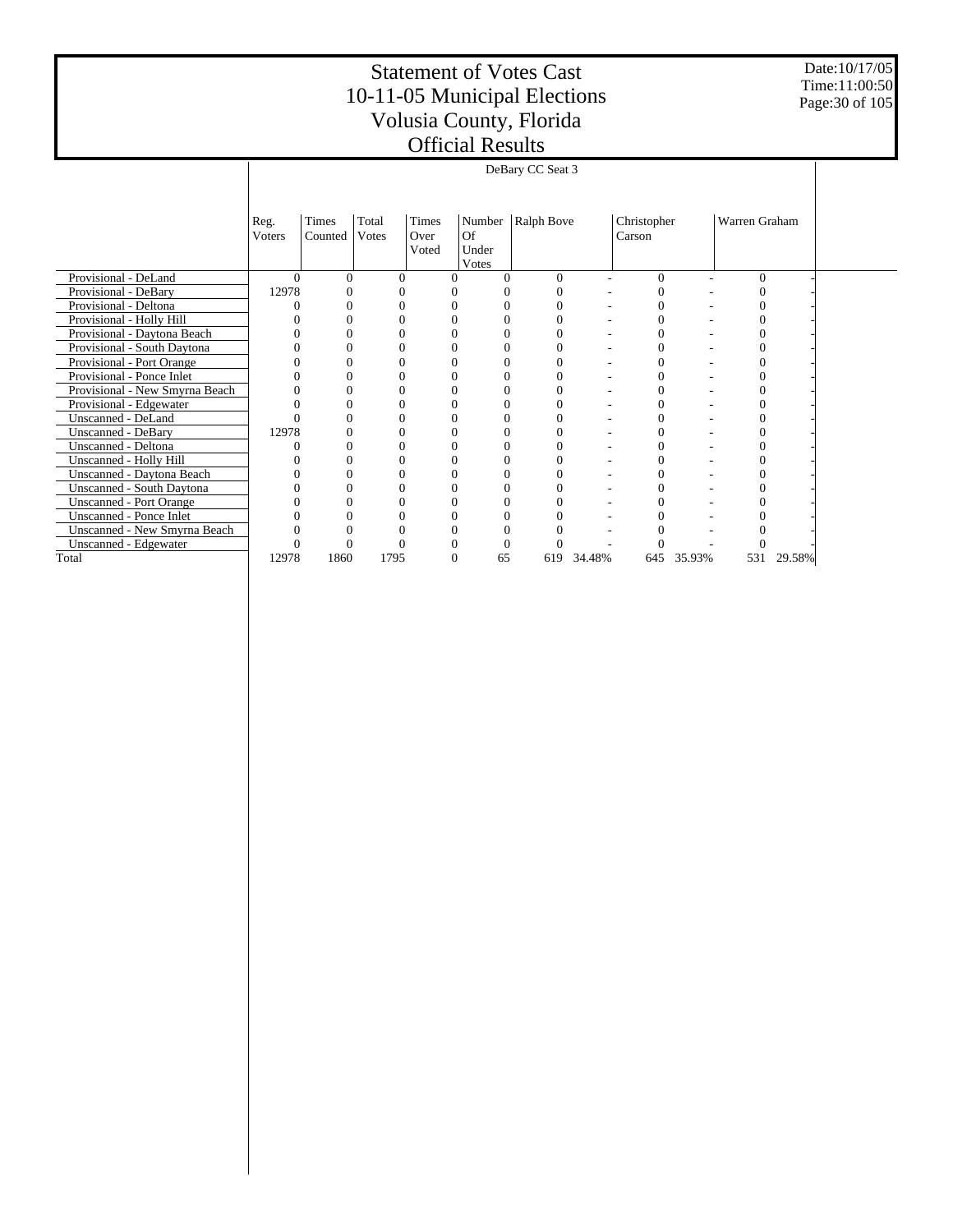Date:10/17/05 Time:11:00:50 Page:30 of 105

|                                  |                | DeBary CC Seat 3 |                |                        |                             |                     |        |                       |        |               |        |  |
|----------------------------------|----------------|------------------|----------------|------------------------|-----------------------------|---------------------|--------|-----------------------|--------|---------------|--------|--|
|                                  |                |                  |                |                        |                             |                     |        |                       |        |               |        |  |
|                                  | Reg.<br>Voters | Times<br>Counted | Total<br>Votes | Times<br>Over<br>Voted | <b>Of</b><br>Under<br>Votes | Number   Ralph Bove |        | Christopher<br>Carson |        | Warren Graham |        |  |
| Provisional - DeLand             | $\Omega$       | $\Omega$         | $\Omega$       |                        | $\Omega$                    | $\Omega$            |        | $\Omega$              | ۰      | $\Omega$      |        |  |
| Provisional - DeBary             | 12978          |                  | 0              |                        |                             | $\theta$            |        | 0                     |        |               |        |  |
| Provisional - Deltona            |                |                  |                |                        |                             | $\Omega$            |        |                       |        |               |        |  |
| Provisional - Holly Hill         |                |                  |                |                        |                             | O                   |        |                       |        |               |        |  |
| Provisional - Daytona Beach      |                |                  |                |                        |                             |                     |        |                       |        |               |        |  |
| Provisional - South Daytona      |                |                  |                |                        |                             |                     |        |                       |        |               |        |  |
| Provisional - Port Orange        |                |                  |                |                        |                             |                     |        |                       |        |               |        |  |
| Provisional - Ponce Inlet        |                |                  |                |                        |                             |                     |        |                       |        |               |        |  |
| Provisional - New Smyrna Beach   |                |                  |                |                        | 0                           | 0                   |        |                       |        |               |        |  |
| Provisional - Edgewater          |                |                  |                |                        | 0                           |                     |        |                       |        |               |        |  |
| Unscanned - DeLand               |                |                  | 0              |                        | 0                           | 0                   |        |                       |        |               |        |  |
| <b>Unscanned - DeBary</b>        | 12978          |                  |                |                        | 0                           |                     |        |                       |        |               |        |  |
| Unscanned - Deltona              |                |                  | 0              |                        | 0                           | 0                   |        | $\Omega$              |        |               |        |  |
| Unscanned - Holly Hill           |                |                  |                |                        |                             |                     |        |                       |        |               |        |  |
| Unscanned - Daytona Beach        |                |                  |                |                        | 0                           |                     |        |                       |        |               |        |  |
| <b>Unscanned - South Daytona</b> |                |                  |                |                        |                             |                     |        |                       |        |               |        |  |
| <b>Unscanned - Port Orange</b>   |                |                  |                |                        | 0                           |                     |        |                       |        |               |        |  |
| Unscanned - Ponce Inlet          |                |                  |                |                        |                             |                     |        |                       |        |               |        |  |
| Unscanned - New Smyrna Beach     |                |                  |                |                        |                             |                     |        |                       |        |               |        |  |
| Unscanned - Edgewater            |                | 0                |                |                        | 0                           | 0                   |        |                       |        |               |        |  |
| Total                            | 12978          | 1860             | 1795           | $\Omega$               | 65                          | 619                 | 34.48% | 645                   | 35.93% | 531           | 29.58% |  |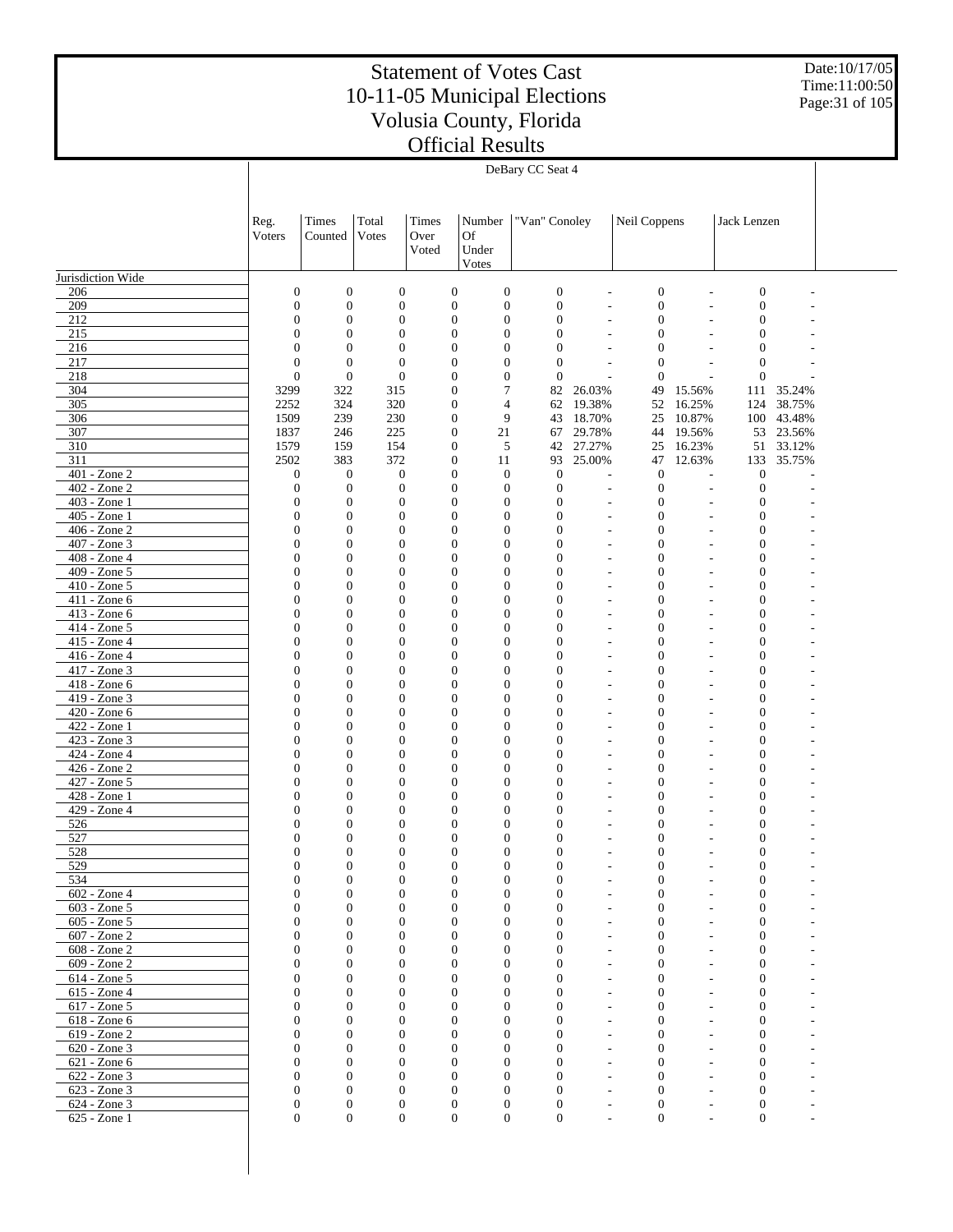Date:10/17/05 Time:11:00:50 Page:31 of 105

|                                          |                                      |                                      |                                      |                                      |                                      | DeBary CC Seat 4                     |           |                                              |                      |                                      |        |  |
|------------------------------------------|--------------------------------------|--------------------------------------|--------------------------------------|--------------------------------------|--------------------------------------|--------------------------------------|-----------|----------------------------------------------|----------------------|--------------------------------------|--------|--|
|                                          |                                      |                                      |                                      |                                      |                                      |                                      |           |                                              |                      |                                      |        |  |
|                                          |                                      |                                      |                                      |                                      |                                      |                                      |           |                                              |                      |                                      |        |  |
|                                          | Reg.                                 | Times                                | Total                                | Times                                | Number                               | "Van" Conoley                        |           | Neil Coppens                                 |                      | Jack Lenzen                          |        |  |
|                                          | Voters                               | Counted                              | Votes                                | Over                                 | Of                                   |                                      |           |                                              |                      |                                      |        |  |
|                                          |                                      |                                      |                                      | Voted                                | Under                                |                                      |           |                                              |                      |                                      |        |  |
|                                          |                                      |                                      |                                      |                                      | Votes                                |                                      |           |                                              |                      |                                      |        |  |
| Jurisdiction Wide<br>206                 | $\boldsymbol{0}$                     | $\boldsymbol{0}$                     | $\boldsymbol{0}$                     | $\boldsymbol{0}$                     | $\boldsymbol{0}$                     | $\boldsymbol{0}$                     |           | $\boldsymbol{0}$<br>L,                       |                      | $\boldsymbol{0}$                     |        |  |
| 209                                      | $\mathbf{0}$                         | $\boldsymbol{0}$                     | $\boldsymbol{0}$                     | $\boldsymbol{0}$                     | $\boldsymbol{0}$                     | $\boldsymbol{0}$                     |           | $\boldsymbol{0}$<br>L,                       | L,                   | $\mathbf{0}$                         |        |  |
| 212                                      | $\mathbf{0}$                         | $\mathbf{0}$                         | $\boldsymbol{0}$                     | $\boldsymbol{0}$                     | $\boldsymbol{0}$                     | $\boldsymbol{0}$                     |           | $\mathbf{0}$                                 |                      | $\boldsymbol{0}$                     |        |  |
| 215                                      | $\mathbf{0}$                         | $\mathbf{0}$                         | $\boldsymbol{0}$                     | $\boldsymbol{0}$                     | $\mathbf{0}$                         | $\boldsymbol{0}$                     |           | $\boldsymbol{0}$                             |                      | $\boldsymbol{0}$                     |        |  |
| 216                                      | $\mathbf{0}$                         | $\mathbf{0}$                         | $\mathbf{0}$                         | $\boldsymbol{0}$                     | $\mathbf{0}$                         | $\mathbf{0}$                         |           | $\mathbf{0}$                                 |                      | $\mathbf{0}$                         |        |  |
| 217                                      | $\mathbf{0}$                         | $\mathbf{0}$                         | $\boldsymbol{0}$                     | $\boldsymbol{0}$                     | $\mathbf{0}$                         | $\boldsymbol{0}$                     |           | $\mathbf{0}$                                 |                      | $\boldsymbol{0}$                     |        |  |
| 218<br>304                               | $\overline{0}$<br>3299               | $\mathbf{0}$<br>322                  | $\boldsymbol{0}$<br>315              | $\boldsymbol{0}$<br>$\boldsymbol{0}$ | $\boldsymbol{0}$<br>7                | $\boldsymbol{0}$<br>82               | 26.03%    | $\mathbf{0}$<br>49                           | 15.56%               | $\mathbf{0}$<br>111                  | 35.24% |  |
| 305                                      | 2252                                 | 324                                  | 320                                  | $\boldsymbol{0}$                     | 4                                    | 62                                   | 19.38%    | 52                                           | 16.25%               | 124                                  | 38.75% |  |
| 306                                      | 1509                                 | 239                                  | 230                                  | $\boldsymbol{0}$                     | 9                                    | 43                                   | 18.70%    | 25                                           | 10.87%               | 100                                  | 43.48% |  |
| 307                                      | 1837                                 | 246                                  | 225                                  | $\boldsymbol{0}$                     | 21                                   | 67                                   | 29.78%    | 44                                           | 19.56%               | 53                                   | 23.56% |  |
| 310                                      | 1579                                 | 159                                  | 154                                  | $\boldsymbol{0}$                     | 5                                    |                                      | 42 27.27% | 25                                           | 16.23%               | 51                                   | 33.12% |  |
| 311<br>$\overline{401 - \text{Zone } 2}$ | 2502                                 | 383                                  | 372                                  | $\boldsymbol{0}$                     | 11                                   | 93                                   | 25.00%    | 47                                           | 12.63%               | 133                                  | 35.75% |  |
| 402 - Zone 2                             | $\boldsymbol{0}$<br>$\boldsymbol{0}$ | $\boldsymbol{0}$<br>$\boldsymbol{0}$ | $\boldsymbol{0}$<br>$\boldsymbol{0}$ | $\boldsymbol{0}$<br>$\boldsymbol{0}$ | $\boldsymbol{0}$<br>$\boldsymbol{0}$ | $\boldsymbol{0}$<br>$\boldsymbol{0}$ |           | $\mathbf{0}$<br>L,<br>$\mathbf{0}$<br>L,     | L,<br>$\overline{a}$ | $\boldsymbol{0}$<br>$\mathbf{0}$     |        |  |
| $\overline{403 - \text{Zone}}$ 1         | $\boldsymbol{0}$                     | $\mathbf{0}$                         | $\boldsymbol{0}$                     | $\boldsymbol{0}$                     | $\mathbf{0}$                         | $\boldsymbol{0}$                     |           | $\boldsymbol{0}$<br>L,                       |                      | $\mathbf{0}$                         |        |  |
| 405 - Zone 1                             | $\overline{0}$                       | $\mathbf{0}$                         | $\mathbf{0}$                         | $\boldsymbol{0}$                     | $\boldsymbol{0}$                     | $\boldsymbol{0}$                     |           | $\mathbf{0}$                                 |                      | $\mathbf{0}$                         |        |  |
| 406 - Zone 2                             | $\mathbf{0}$                         | $\mathbf{0}$                         | $\boldsymbol{0}$                     | $\boldsymbol{0}$                     | $\mathbf{0}$                         | $\mathbf{0}$                         |           | $\mathbf{0}$                                 |                      | $\mathbf{0}$                         |        |  |
| 407 - Zone 3                             | $\overline{0}$                       | $\mathbf{0}$                         | $\boldsymbol{0}$                     | $\boldsymbol{0}$                     | $\mathbf{0}$                         | $\boldsymbol{0}$                     |           | $\boldsymbol{0}$                             |                      | $\boldsymbol{0}$                     |        |  |
| 408 - Zone 4                             | $\mathbf{0}$                         | $\mathbf{0}$                         | $\boldsymbol{0}$                     | $\boldsymbol{0}$                     | $\mathbf{0}$                         | $\mathbf{0}$                         |           | $\boldsymbol{0}$                             |                      | $\boldsymbol{0}$                     |        |  |
| 409 - Zone 5<br>410 - Zone 5             | $\mathbf{0}$<br>$\mathbf{0}$         | $\mathbf{0}$<br>$\mathbf{0}$         | $\mathbf{0}$<br>$\boldsymbol{0}$     | $\boldsymbol{0}$<br>$\boldsymbol{0}$ | $\mathbf{0}$<br>$\mathbf{0}$         | $\mathbf{0}$<br>$\mathbf{0}$         |           | $\boldsymbol{0}$<br>$\boldsymbol{0}$<br>÷,   |                      | $\boldsymbol{0}$<br>$\boldsymbol{0}$ |        |  |
| 411 - Zone 6                             | $\boldsymbol{0}$                     | $\mathbf{0}$                         | $\boldsymbol{0}$                     | $\boldsymbol{0}$                     | $\mathbf{0}$                         | $\mathbf{0}$                         |           | $\boldsymbol{0}$                             |                      | $\boldsymbol{0}$                     |        |  |
| 413 - Zone 6                             | $\mathbf{0}$                         | $\mathbf{0}$                         | $\boldsymbol{0}$                     | $\boldsymbol{0}$                     | $\mathbf{0}$                         | $\mathbf{0}$                         |           | $\boldsymbol{0}$<br>L,                       |                      | $\boldsymbol{0}$                     |        |  |
| 414 - Zone 5                             | $\overline{0}$                       | $\mathbf{0}$                         | $\mathbf{0}$                         | $\boldsymbol{0}$                     | $\mathbf{0}$                         | $\mathbf{0}$                         |           | $\boldsymbol{0}$<br>L,                       |                      | $\mathbf{0}$                         |        |  |
| 415 - Zone 4                             | $\mathbf{0}$                         | $\mathbf{0}$                         | $\boldsymbol{0}$                     | $\boldsymbol{0}$                     | $\mathbf{0}$                         | $\mathbf{0}$                         |           | $\boldsymbol{0}$<br>$\overline{\phantom{a}}$ | L,                   | $\boldsymbol{0}$                     |        |  |
| 416 - Zone 4                             | $\overline{0}$                       | $\mathbf{0}$                         | $\mathbf{0}$                         | $\boldsymbol{0}$                     | $\mathbf{0}$                         | $\mathbf{0}$                         |           | $\boldsymbol{0}$                             |                      | $\boldsymbol{0}$                     |        |  |
| 417 - Zone 3<br>418 - Zone 6             | $\mathbf{0}$<br>$\overline{0}$       | $\mathbf{0}$<br>$\mathbf{0}$         | $\mathbf{0}$<br>$\mathbf{0}$         | $\boldsymbol{0}$<br>$\boldsymbol{0}$ | $\mathbf{0}$<br>$\mathbf{0}$         | $\mathbf{0}$<br>$\mathbf{0}$         |           | $\boldsymbol{0}$<br>$\boldsymbol{0}$         |                      | $\boldsymbol{0}$<br>$\mathbf{0}$     |        |  |
| 419 - Zone 3                             | $\mathbf{0}$                         | $\mathbf{0}$                         | $\boldsymbol{0}$                     | $\boldsymbol{0}$                     | $\mathbf{0}$                         | $\mathbf{0}$                         |           | $\mathbf{0}$                                 |                      | $\boldsymbol{0}$                     |        |  |
| 420 - Zone 6                             | $\boldsymbol{0}$                     | $\mathbf{0}$                         | $\mathbf{0}$                         | $\boldsymbol{0}$                     | $\mathbf{0}$                         | $\boldsymbol{0}$                     |           | $\boldsymbol{0}$                             |                      | $\boldsymbol{0}$                     |        |  |
| 422 - Zone 1                             | $\mathbf{0}$                         | $\mathbf{0}$                         | $\boldsymbol{0}$                     | $\boldsymbol{0}$                     | $\mathbf{0}$                         | $\mathbf{0}$                         |           | $\boldsymbol{0}$                             |                      | $\boldsymbol{0}$                     |        |  |
| 423 - Zone 3                             | $\mathbf{0}$                         | $\mathbf{0}$                         | $\mathbf{0}$                         | $\boldsymbol{0}$                     | $\mathbf{0}$                         | $\mathbf{0}$                         |           | $\boldsymbol{0}$                             |                      | $\boldsymbol{0}$                     |        |  |
| 424 - Zone 4                             | $\mathbf{0}$                         | $\mathbf{0}$                         | $\boldsymbol{0}$                     | $\boldsymbol{0}$                     | $\mathbf{0}$                         | $\boldsymbol{0}$                     |           | $\boldsymbol{0}$<br>÷,                       |                      | $\boldsymbol{0}$                     |        |  |
| 426 - Zone 2<br>427 - Zone 5             | $\mathbf{0}$<br>$\mathbf{0}$         | $\mathbf{0}$<br>$\mathbf{0}$         | $\boldsymbol{0}$<br>$\boldsymbol{0}$ | $\boldsymbol{0}$<br>$\boldsymbol{0}$ | $\mathbf{0}$<br>$\mathbf{0}$         | $\boldsymbol{0}$<br>$\mathbf{0}$     |           | $\boldsymbol{0}$<br>$\boldsymbol{0}$<br>÷,   |                      | $\boldsymbol{0}$<br>$\boldsymbol{0}$ |        |  |
| 428 - Zone 1                             | $\mathbf{0}$                         | $\mathbf{0}$                         | $\mathbf{0}$                         | $\boldsymbol{0}$                     | $\mathbf{0}$                         | $\mathbf{0}$                         |           | $\boldsymbol{0}$<br>L,                       |                      | $\mathbf{0}$                         |        |  |
| 429 - Zone 4                             | $\mathbf{0}$                         | $\mathbf{0}$                         | $\boldsymbol{0}$                     | $\boldsymbol{0}$                     | $\mathbf{0}$                         | $\mathbf{0}$                         |           | $\boldsymbol{0}$<br>$\overline{\phantom{a}}$ |                      | $\boldsymbol{0}$                     |        |  |
| 526                                      | $\boldsymbol{0}$                     | $\mathbf{0}$                         | $\mathbf{0}$                         | $\boldsymbol{0}$                     | $\boldsymbol{0}$                     | $\mathbf{0}$                         |           | $\mathbf{0}$                                 |                      | $\mathbf{0}$                         |        |  |
| 527                                      | $\overline{0}$                       | $\mathbf{0}$                         | $\mathbf{0}$                         | $\boldsymbol{0}$                     | $\mathbf{0}$                         | $\mathbf{0}$                         |           | $\mathbf{0}$                                 |                      | $\mathbf{0}$                         |        |  |
| 528                                      | $\theta$                             | $\mathbf{0}$                         | $\mathbf{0}$                         | $\mathbf{0}$                         | $\mathbf{0}$                         | $\mathbf{0}$                         |           | $\mathbf{0}$                                 |                      | $\mathbf{0}$                         |        |  |
| 529<br>534                               | 0<br>$\boldsymbol{0}$                | $\mathbf{0}$<br>$\mathbf{0}$         | $\boldsymbol{0}$<br>$\boldsymbol{0}$ | $\boldsymbol{0}$<br>$\boldsymbol{0}$ | $\mathbf{0}$<br>$\mathbf{0}$         | $\boldsymbol{0}$<br>$\boldsymbol{0}$ |           | $\boldsymbol{0}$<br>$\mathbf{0}$             |                      | $\mathbf{0}$<br>$\boldsymbol{0}$     |        |  |
| 602 - Zone 4                             | $\mathbf{0}$                         | $\mathbf{0}$                         | $\boldsymbol{0}$                     | $\mathbf{0}$                         | $\mathbf{0}$                         | $\boldsymbol{0}$                     |           | $\mathbf{0}$                                 |                      | $\boldsymbol{0}$                     |        |  |
| 603 - Zone 5                             | $\overline{0}$                       | $\mathbf{0}$                         | $\mathbf{0}$                         | $\boldsymbol{0}$                     | $\mathbf{0}$                         | $\mathbf{0}$                         |           | $\mathbf{0}$                                 |                      | $\boldsymbol{0}$                     |        |  |
| $605 - Z$ one $5$                        | $\mathbf{0}$                         | $\mathbf{0}$                         | $\theta$                             | $\mathbf{0}$                         | $\mathbf{0}$                         | $\mathbf{0}$                         |           | $\boldsymbol{0}$                             |                      | $\boldsymbol{0}$                     |        |  |
| 607 - Zone 2                             | $\overline{0}$                       | $\mathbf{0}$                         | $\mathbf{0}$                         | $\mathbf{0}$                         | $\mathbf{0}$                         | $\mathbf{0}$                         |           | $\boldsymbol{0}$                             |                      | $\mathbf{0}$                         |        |  |
| 608 - Zone 2                             | $\mathbf{0}$                         | $\mathbf{0}$                         | $\theta$                             | $\mathbf{0}$                         | $\mathbf{0}$                         | $\mathbf{0}$                         |           | $\boldsymbol{0}$                             |                      | $\mathbf{0}$                         |        |  |
| 609 - Zone 2<br>614 - Zone 5             | $\overline{0}$<br>$\mathbf{0}$       | $\mathbf{0}$<br>$\mathbf{0}$         | $\mathbf{0}$<br>$\theta$             | $\mathbf{0}$<br>$\mathbf{0}$         | $\mathbf{0}$<br>$\mathbf{0}$         | $\mathbf{0}$<br>$\mathbf{0}$         |           | $\mathbf{0}$<br>$\mathbf{0}$                 |                      | $\mathbf{0}$<br>$\mathbf{0}$         |        |  |
| 615 - Zone 4                             | $\overline{0}$                       | $\mathbf{0}$                         | $\mathbf{0}$                         | $\mathbf{0}$                         | $\mathbf{0}$                         | $\mathbf{0}$                         |           | $\mathbf{0}$                                 |                      | $\mathbf{0}$                         |        |  |
| 617 - Zone 5                             | $\mathbf{0}$                         | $\mathbf{0}$                         | $\theta$                             | $\mathbf{0}$                         | $\mathbf{0}$                         | $\mathbf{0}$                         |           | $\mathbf{0}$                                 |                      | $\mathbf{0}$                         |        |  |
| 618 - Zone 6                             | $\mathbf{0}$                         | $\mathbf{0}$                         | $\mathbf{0}$                         | $\mathbf{0}$                         | $\mathbf{0}$                         | $\mathbf{0}$                         |           | $\mathbf{0}$                                 |                      | $\mathbf{0}$                         |        |  |
| 619 - Zone 2                             | $\mathbf{0}$                         | $\mathbf{0}$                         | $\theta$                             | $\mathbf{0}$                         | $\mathbf{0}$                         | $\mathbf{0}$                         |           | $\mathbf{0}$                                 |                      | $\boldsymbol{0}$                     |        |  |
| 620 - Zone 3                             | $\mathbf{0}$                         | $\mathbf{0}$                         | $\mathbf{0}$                         | $\mathbf{0}$                         | $\mathbf{0}$                         | $\mathbf{0}$                         |           | $\mathbf{0}$                                 |                      | $\mathbf{0}$                         |        |  |
| 621 - Zone 6<br>622 - Zone 3             | $\Omega$<br>$\mathbf{0}$             | $\mathbf{0}$<br>$\mathbf{0}$         | $\theta$<br>$\mathbf{0}$             | $\mathbf{0}$<br>$\mathbf{0}$         | $\mathbf{0}$<br>$\mathbf{0}$         | $\mathbf{0}$<br>$\mathbf{0}$         |           | $\boldsymbol{0}$<br>$\boldsymbol{0}$         |                      | $\boldsymbol{0}$<br>$\boldsymbol{0}$ |        |  |
| 623 - Zone 3                             | $\mathbf{0}$                         | $\mathbf{0}$                         | $\theta$                             | $\mathbf{0}$                         | $\mathbf{0}$                         | $\mathbf{0}$                         |           | $\boldsymbol{0}$                             |                      | $\mathbf{0}$                         |        |  |
| 624 - Zone 3                             | $\boldsymbol{0}$                     | $\boldsymbol{0}$                     | $\boldsymbol{0}$                     | $\boldsymbol{0}$                     | $\boldsymbol{0}$                     | $\boldsymbol{0}$                     |           | $\boldsymbol{0}$                             |                      | $\mathbf{0}$                         |        |  |
| 625 - Zone 1                             | $\overline{0}$                       | $\boldsymbol{0}$                     | $\mathbf{0}$                         | $\boldsymbol{0}$                     | $\mathbf{0}$                         | $\mathbf{0}$                         |           | $\mathbf{0}$                                 |                      | $\mathbf{0}$                         |        |  |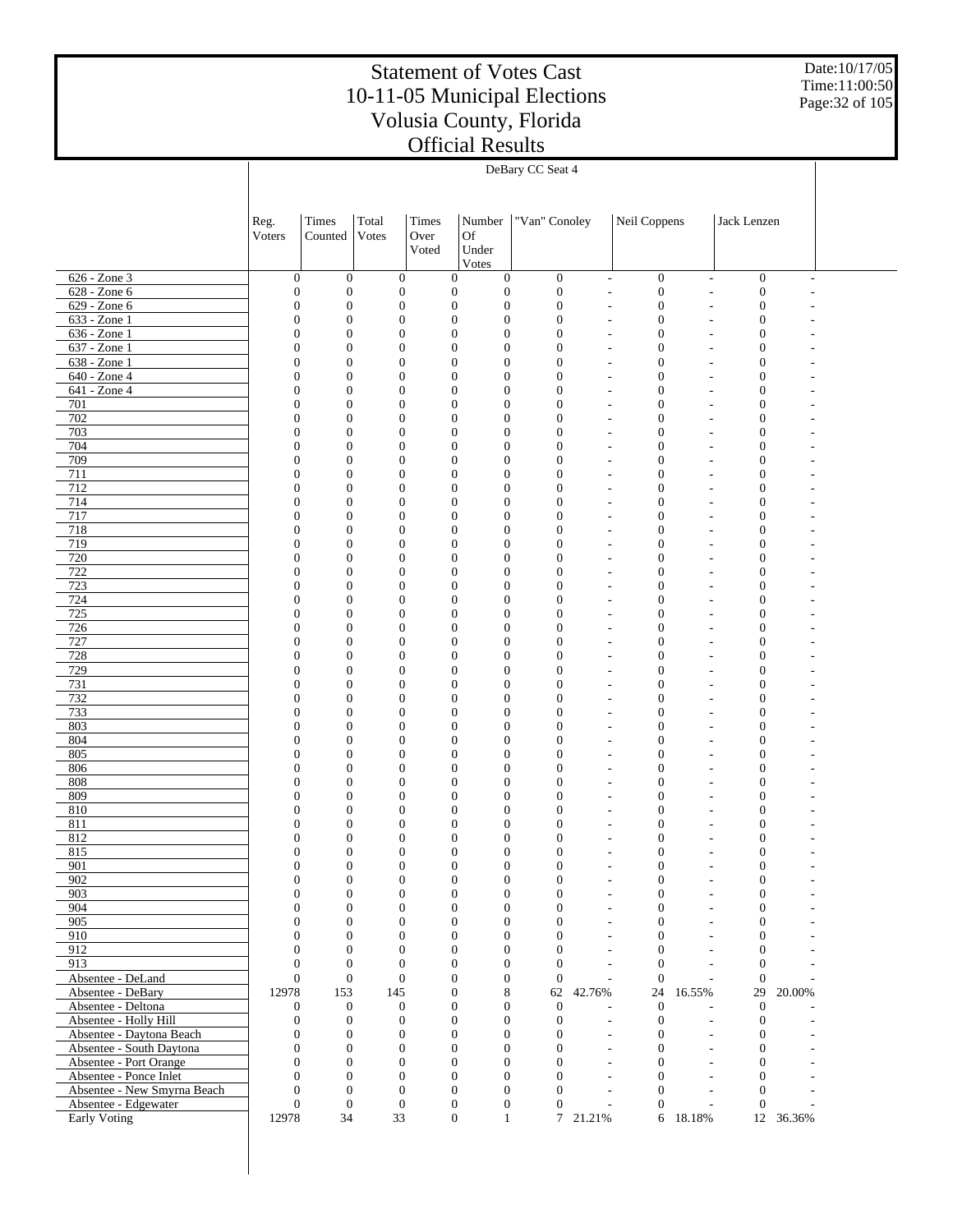Date:10/17/05 Time:11:00:50 Page:32 of 105

|                                                   |                                      |                                  |                                  |                                      |                          | DeBary CC Seat 4                     |                              |                                    |                                                |                                      |                          |  |
|---------------------------------------------------|--------------------------------------|----------------------------------|----------------------------------|--------------------------------------|--------------------------|--------------------------------------|------------------------------|------------------------------------|------------------------------------------------|--------------------------------------|--------------------------|--|
|                                                   |                                      |                                  |                                  |                                      |                          |                                      |                              |                                    |                                                |                                      |                          |  |
|                                                   |                                      |                                  |                                  |                                      |                          |                                      |                              |                                    |                                                |                                      |                          |  |
|                                                   | Reg.                                 | Times                            | Total                            | <b>Times</b>                         | Number                   | "Van" Conoley                        |                              | Neil Coppens                       |                                                | Jack Lenzen                          |                          |  |
|                                                   | Voters                               | Counted                          | Votes                            | Over                                 | Of                       |                                      |                              |                                    |                                                |                                      |                          |  |
|                                                   |                                      |                                  |                                  | Voted                                | Under                    |                                      |                              |                                    |                                                |                                      |                          |  |
|                                                   |                                      |                                  |                                  |                                      | Votes                    |                                      |                              |                                    |                                                |                                      |                          |  |
| 626 - Zone 3                                      | $\boldsymbol{0}$                     | $\mathbf{0}$                     | $\boldsymbol{0}$                 | $\mathbf{0}$                         | $\mathbf{0}$             | $\mathbf{0}$                         | $\qquad \qquad \blacksquare$ | $\boldsymbol{0}$                   | $\overline{a}$                                 | $\boldsymbol{0}$                     | $\overline{\phantom{a}}$ |  |
| 628 - Zone 6                                      | $\boldsymbol{0}$                     | $\mathbf{0}$                     | $\boldsymbol{0}$                 | $\boldsymbol{0}$                     | $\mathbf{0}$             | $\boldsymbol{0}$                     | L,                           | $\boldsymbol{0}$                   | L,                                             | $\boldsymbol{0}$                     |                          |  |
| $629 - Zone 6$                                    | $\boldsymbol{0}$                     | $\mathbf{0}$                     | $\boldsymbol{0}$                 | $\boldsymbol{0}$                     | $\mathbf{0}$             | $\boldsymbol{0}$                     | Ĭ.                           | $\boldsymbol{0}$                   |                                                | $\mathbf{0}$                         |                          |  |
| $633 - Zone1$                                     | $\boldsymbol{0}$                     | $\mathbf{0}$                     | $\mathbf{0}$                     | $\boldsymbol{0}$                     | $\theta$                 | $\boldsymbol{0}$                     | L,                           | 0                                  | $\overline{a}$                                 | $\mathbf{0}$                         |                          |  |
| $636 - Zone1$                                     | $\boldsymbol{0}$                     | $\mathbf{0}$                     | $\boldsymbol{0}$                 | $\boldsymbol{0}$                     | $\theta$                 | $\boldsymbol{0}$                     | Ĭ.                           | $\boldsymbol{0}$                   |                                                | $\mathbf{0}$                         |                          |  |
| $637 - Zone1$                                     | $\mathbf{0}$                         | $\mathbf{0}$                     | $\mathbf{0}$                     | $\boldsymbol{0}$                     | $\theta$                 | $\boldsymbol{0}$                     | $\overline{a}$               | 0                                  | $\overline{a}$                                 | $\boldsymbol{0}$                     |                          |  |
| 638 - Zone 1<br>640 - Zone 4                      | $\boldsymbol{0}$<br>$\boldsymbol{0}$ | $\boldsymbol{0}$<br>$\mathbf{0}$ | $\boldsymbol{0}$<br>$\mathbf{0}$ | $\boldsymbol{0}$<br>$\boldsymbol{0}$ | $\theta$<br>$\theta$     | $\boldsymbol{0}$<br>$\boldsymbol{0}$ | Ĭ.<br>$\overline{a}$         | $\boldsymbol{0}$<br>0              | $\overline{a}$                                 | $\mathbf{0}$<br>$\mathbf{0}$         |                          |  |
| 641 - Zone 4                                      | $\boldsymbol{0}$                     | $\mathbf{0}$                     | $\boldsymbol{0}$                 | $\boldsymbol{0}$                     | $\theta$                 | $\boldsymbol{0}$                     | Ĭ.                           | $\boldsymbol{0}$                   |                                                | $\mathbf{0}$                         |                          |  |
| 701                                               | $\mathbf{0}$                         | $\mathbf{0}$                     | $\mathbf{0}$                     | $\boldsymbol{0}$                     | $\theta$                 | $\boldsymbol{0}$                     | $\overline{a}$               | 0                                  | Ĭ.                                             | $\mathbf{0}$                         |                          |  |
| 702                                               | $\boldsymbol{0}$                     | $\boldsymbol{0}$                 | $\boldsymbol{0}$                 | $\boldsymbol{0}$                     | $\theta$                 | $\boldsymbol{0}$                     |                              | $\boldsymbol{0}$                   |                                                | $\mathbf{0}$                         |                          |  |
| 703                                               | $\boldsymbol{0}$                     | $\mathbf{0}$                     | $\mathbf{0}$                     | $\boldsymbol{0}$                     | $\theta$                 | $\boldsymbol{0}$                     | $\overline{a}$               | 0                                  | $\overline{a}$                                 | $\mathbf{0}$                         |                          |  |
| 704                                               | $\boldsymbol{0}$                     | $\mathbf{0}$                     | $\boldsymbol{0}$                 | $\boldsymbol{0}$                     | $\theta$                 | $\boldsymbol{0}$                     |                              | $\boldsymbol{0}$                   | Ĭ.                                             | $\mathbf{0}$                         |                          |  |
| 709                                               | $\mathbf{0}$                         | $\mathbf{0}$                     | $\mathbf{0}$                     | $\boldsymbol{0}$                     | $\theta$                 | $\boldsymbol{0}$                     | $\overline{a}$               | 0                                  | Ĭ.                                             | $\mathbf{0}$                         |                          |  |
| 711                                               | $\boldsymbol{0}$                     | $\boldsymbol{0}$                 | $\boldsymbol{0}$                 | $\boldsymbol{0}$                     | $\theta$                 | $\boldsymbol{0}$                     |                              | $\boldsymbol{0}$                   |                                                | $\mathbf{0}$                         |                          |  |
| 712                                               | $\boldsymbol{0}$                     | $\mathbf{0}$                     | $\mathbf{0}$                     | $\boldsymbol{0}$                     | $\theta$                 | $\boldsymbol{0}$                     | $\overline{a}$               | 0                                  | $\overline{a}$                                 | $\mathbf{0}$                         |                          |  |
| 714                                               | $\boldsymbol{0}$                     | $\mathbf{0}$                     | $\boldsymbol{0}$                 | $\boldsymbol{0}$                     | $\theta$                 | $\boldsymbol{0}$                     |                              | $\boldsymbol{0}$                   | Ĭ.                                             | $\mathbf{0}$                         |                          |  |
| 717<br>718                                        | $\mathbf{0}$                         | $\mathbf{0}$<br>$\boldsymbol{0}$ | $\mathbf{0}$<br>$\mathbf{0}$     | $\boldsymbol{0}$<br>$\boldsymbol{0}$ | $\theta$<br>$\theta$     | $\boldsymbol{0}$<br>$\boldsymbol{0}$ | $\overline{a}$               | 0<br>$\boldsymbol{0}$              | Ĭ.                                             | $\mathbf{0}$<br>$\mathbf{0}$         |                          |  |
| 719                                               | $\boldsymbol{0}$<br>$\boldsymbol{0}$ | $\mathbf{0}$                     | $\mathbf{0}$                     | $\boldsymbol{0}$                     | $\theta$                 | $\boldsymbol{0}$                     | $\overline{a}$               | 0                                  | $\overline{a}$                                 | $\mathbf{0}$                         |                          |  |
| 720                                               | $\boldsymbol{0}$                     | $\mathbf{0}$                     | $\boldsymbol{0}$                 | $\boldsymbol{0}$                     | $\theta$                 | $\boldsymbol{0}$                     |                              | $\boldsymbol{0}$                   | ۰                                              | $\mathbf{0}$                         |                          |  |
| 722                                               | $\mathbf{0}$                         | $\mathbf{0}$                     | $\mathbf{0}$                     | $\boldsymbol{0}$                     | $\theta$                 | $\boldsymbol{0}$                     | $\overline{a}$               | 0                                  | Ĭ.                                             | $\mathbf{0}$                         |                          |  |
| 723                                               | $\boldsymbol{0}$                     | $\boldsymbol{0}$                 | $\mathbf{0}$                     | $\boldsymbol{0}$                     | $\theta$                 | $\boldsymbol{0}$                     |                              | $\boldsymbol{0}$                   |                                                | $\mathbf{0}$                         |                          |  |
| 724                                               | $\boldsymbol{0}$                     | $\mathbf{0}$                     | $\mathbf{0}$                     | $\boldsymbol{0}$                     | $\theta$                 | $\boldsymbol{0}$                     | $\overline{a}$               | 0                                  | $\overline{a}$                                 | $\mathbf{0}$                         |                          |  |
| 725                                               | $\boldsymbol{0}$                     | $\mathbf{0}$                     | $\mathbf{0}$                     | $\boldsymbol{0}$                     | $\theta$                 | $\boldsymbol{0}$                     |                              | $\boldsymbol{0}$                   | Ĭ.                                             | $\mathbf{0}$                         |                          |  |
| 726                                               | $\mathbf{0}$                         | $\mathbf{0}$                     | $\mathbf{0}$                     | $\boldsymbol{0}$                     | $\theta$                 | $\boldsymbol{0}$                     | $\overline{a}$               | $\boldsymbol{0}$                   | Ĭ.                                             | $\mathbf{0}$                         |                          |  |
| 727                                               | $\boldsymbol{0}$                     | $\boldsymbol{0}$                 | $\mathbf{0}$                     | $\boldsymbol{0}$                     | $\theta$                 | $\boldsymbol{0}$                     |                              | $\boldsymbol{0}$                   |                                                | $\mathbf{0}$                         |                          |  |
| 728                                               | $\boldsymbol{0}$                     | $\mathbf{0}$                     | $\mathbf{0}$                     | $\boldsymbol{0}$                     | $\theta$                 | $\boldsymbol{0}$                     | $\overline{a}$               | 0                                  | $\overline{a}$                                 | $\mathbf{0}$                         |                          |  |
| 729                                               | $\boldsymbol{0}$                     | $\mathbf{0}$                     | $\mathbf{0}$                     | $\boldsymbol{0}$                     | $\theta$                 | $\boldsymbol{0}$                     |                              | $\boldsymbol{0}$                   |                                                | $\mathbf{0}$                         |                          |  |
| 731<br>732                                        | $\mathbf{0}$<br>$\boldsymbol{0}$     | $\mathbf{0}$<br>$\boldsymbol{0}$ | $\mathbf{0}$<br>$\mathbf{0}$     | $\boldsymbol{0}$<br>$\boldsymbol{0}$ | $\theta$<br>$\theta$     | $\boldsymbol{0}$<br>$\boldsymbol{0}$ | $\overline{a}$<br>Ĭ.         | $\boldsymbol{0}$<br>$\overline{0}$ | Ĭ.                                             | $\mathbf{0}$<br>$\mathbf{0}$         |                          |  |
| 733                                               | $\boldsymbol{0}$                     | $\mathbf{0}$                     | $\mathbf{0}$                     | $\boldsymbol{0}$                     | $\theta$                 | $\boldsymbol{0}$                     | $\overline{a}$               | 0                                  | $\overline{a}$                                 | $\mathbf{0}$                         |                          |  |
| 803                                               | $\boldsymbol{0}$                     | $\mathbf{0}$                     | $\mathbf{0}$                     | $\boldsymbol{0}$                     | $\theta$                 | $\boldsymbol{0}$                     | $\overline{a}$               | $\boldsymbol{0}$                   |                                                | $\mathbf{0}$                         |                          |  |
| 804                                               | $\mathbf{0}$                         | $\mathbf{0}$                     | $\mathbf{0}$                     | $\boldsymbol{0}$                     | $\theta$                 | $\boldsymbol{0}$                     | L,                           | $\boldsymbol{0}$                   | $\overline{a}$                                 | $\mathbf{0}$                         |                          |  |
| 805                                               | $\boldsymbol{0}$                     | $\boldsymbol{0}$                 | $\mathbf{0}$                     | $\boldsymbol{0}$                     | $\theta$                 | $\boldsymbol{0}$                     | L,                           | $\boldsymbol{0}$                   |                                                | $\mathbf{0}$                         |                          |  |
| 806                                               | $\boldsymbol{0}$                     | $\mathbf{0}$                     | $\mathbf{0}$                     | $\boldsymbol{0}$                     | $\theta$                 | $\boldsymbol{0}$                     | L,                           | 0                                  | $\overline{a}$                                 | $\mathbf{0}$                         |                          |  |
| 808                                               | $\boldsymbol{0}$                     | $\boldsymbol{0}$                 | $\mathbf{0}$                     | $\boldsymbol{0}$                     | $\theta$                 | $\boldsymbol{0}$                     | L,                           | $\boldsymbol{0}$                   |                                                | $\mathbf{0}$                         |                          |  |
| 809                                               | $\mathbf{0}$                         | $\mathbf{0}$                     | $\mathbf{0}$                     | $\boldsymbol{0}$                     | $\theta$                 | $\mathbf{0}$                         | L,                           | 0                                  | $\overline{a}$                                 | $\boldsymbol{0}$                     |                          |  |
| 810                                               | $\boldsymbol{0}$                     | $\boldsymbol{0}$                 | $\mathbf{0}$                     | $\boldsymbol{0}$                     | $\theta$                 | $\mathbf{0}$                         | ä,                           | $\boldsymbol{0}$                   |                                                | $\mathbf{0}$                         |                          |  |
| 811                                               | $\boldsymbol{0}$                     | $\boldsymbol{0}$                 | $\mathbf{0}$                     | $\boldsymbol{0}$                     | $\theta$                 | $\mathbf{0}$                         | L,                           | 0                                  |                                                | $\mathbf{0}$                         |                          |  |
| 812<br>815                                        | $\mathbf{0}$<br>$\Omega$             | $\overline{0}$<br>$\Omega$       | $\mathbf{0}$<br>$\Omega$         | $\boldsymbol{0}$<br>$\theta$         | $\mathbf{0}$<br>$\Omega$ | $\mathbf{0}$<br>$\Omega$             | ä,                           | $\overline{0}$<br>$\theta$         |                                                | $\overline{0}$<br>$\Omega$           |                          |  |
| 901                                               | $\boldsymbol{0}$                     | $\boldsymbol{0}$                 | $\boldsymbol{0}$                 | $\boldsymbol{0}$                     | $\mathbf{0}$             | $\boldsymbol{0}$                     | L,                           | $\boldsymbol{0}$                   |                                                | $\boldsymbol{0}$                     |                          |  |
| 902                                               | $\mathbf{0}$                         | $\boldsymbol{0}$                 | $\boldsymbol{0}$                 | $\boldsymbol{0}$                     | $\mathbf{0}$             | $\boldsymbol{0}$                     | $\overline{a}$               | $\boldsymbol{0}$                   | L,                                             | $\boldsymbol{0}$                     |                          |  |
| 903                                               | $\mathbf{0}$                         | $\boldsymbol{0}$                 | $\mathbf{0}$                     | $\overline{0}$                       | $\theta$                 | $\mathbf{0}$                         | L,                           | $\mathbf{0}$                       | $\overline{a}$                                 | $\boldsymbol{0}$                     |                          |  |
| 904                                               | $\mathbf{0}$                         | $\mathbf{0}$                     | $\mathbf{0}$                     | $\overline{0}$                       | $\theta$                 | $\mathbf{0}$                         | L,                           | $\mathbf{0}$                       | L,                                             | $\mathbf{0}$                         |                          |  |
| 905                                               | $\mathbf{0}$                         | $\mathbf{0}$                     | $\boldsymbol{0}$                 | $\overline{0}$                       | $\theta$                 | $\mathbf{0}$                         | L,                           | $\mathbf{0}$                       |                                                | $\mathbf{0}$                         |                          |  |
| 910                                               | $\mathbf{0}$                         | $\mathbf{0}$                     | $\overline{0}$                   | $\overline{0}$                       | $\theta$                 | $\mathbf{0}$                         | L,                           | $\mathbf{0}$                       | L,                                             | $\mathbf{0}$                         |                          |  |
| 912                                               | $\mathbf{0}$                         | $\mathbf{0}$                     | $\mathbf{0}$                     | $\overline{0}$                       | $\theta$                 | $\mathbf{0}$                         | L,                           | $\mathbf{0}$                       | L,                                             | $\mathbf{0}$                         |                          |  |
| 913                                               | $\mathbf{0}$                         | $\mathbf{0}$                     | $\overline{0}$                   | $\overline{0}$                       | $\theta$                 | $\mathbf{0}$                         | L,                           | $\mathbf{0}$                       | $\overline{a}$                                 | $\mathbf{0}$                         |                          |  |
| Absentee - DeLand                                 | $\mathbf{0}$                         | $\boldsymbol{0}$                 | $\boldsymbol{0}$                 | $\mathbf{0}$                         | $\theta$                 | $\mathbf{0}$                         | ÷,                           | $\mathbf{0}$                       | $\overline{a}$                                 | $\mathbf{0}$                         |                          |  |
| Absentee - DeBary                                 | 12978                                | 153                              | 145                              | $\mathbf{0}$                         | 8                        | 62                                   | 42.76%                       | 24                                 | 16.55%                                         | 29                                   | 20.00%                   |  |
| Absentee - Deltona                                | $\boldsymbol{0}$                     | $\mathbf{0}$<br>$\mathbf{0}$     | $\boldsymbol{0}$                 | $\mathbf{0}$<br>$\mathbf{0}$         | $\theta$<br>$\theta$     | $\mathbf{0}$                         |                              | $\theta$                           | $\overline{a}$                                 | $\mathbf{0}$                         |                          |  |
| Absentee - Holly Hill<br>Absentee - Daytona Beach | $\boldsymbol{0}$<br>$\mathbf{0}$     | $\mathbf{0}$                     | $\mathbf{0}$<br>$\boldsymbol{0}$ | $\mathbf{0}$                         | $\theta$                 | $\mathbf{0}$<br>$\boldsymbol{0}$     | $\overline{a}$<br>L,         | $\boldsymbol{0}$<br>$\mathbf{0}$   | $\qquad \qquad \blacksquare$<br>$\overline{a}$ | $\boldsymbol{0}$<br>$\boldsymbol{0}$ |                          |  |
| Absentee - South Daytona                          | $\mathbf{0}$                         | $\mathbf{0}$                     | $\mathbf{0}$                     | $\mathbf{0}$                         | $\theta$                 | $\mathbf{0}$                         | L,                           | $\mathbf{0}$                       | $\overline{a}$                                 | $\mathbf{0}$                         |                          |  |
| Absentee - Port Orange                            | $\mathbf{0}$                         | $\mathbf{0}$                     | $\mathbf{0}$                     | $\mathbf{0}$                         | $\theta$                 | $\mathbf{0}$                         | L,                           | $\mathbf{0}$                       |                                                | $\mathbf{0}$                         |                          |  |
| Absentee - Ponce Inlet                            | $\mathbf{0}$                         | $\mathbf{0}$                     | $\overline{0}$                   | $\mathbf{0}$                         | $\theta$                 | $\mathbf{0}$                         | L,                           | $\mathbf{0}$                       | $\overline{a}$                                 | $\mathbf{0}$                         |                          |  |
| Absentee - New Smyrna Beach                       | $\mathbf{0}$                         | $\mathbf{0}$                     | $\mathbf{0}$                     | $\boldsymbol{0}$                     | $\theta$                 | $\mathbf{0}$                         | L,                           | $\mathbf{0}$                       | $\overline{a}$                                 | $\mathbf{0}$                         |                          |  |
| Absentee - Edgewater                              | $\mathbf{0}$                         | $\mathbf{0}$                     | $\mathbf{0}$                     | $\boldsymbol{0}$                     | $\mathbf{0}$             | $\mathbf{0}$                         | L,                           | $\mathbf{0}$                       | $\overline{a}$                                 | $\mathbf{0}$                         |                          |  |
| Early Voting                                      | 12978                                | 34                               | 33                               | $\boldsymbol{0}$                     | $\mathbf{1}$             |                                      | 7 21.21%                     |                                    | 6 18.18%                                       |                                      | 12 36.36%                |  |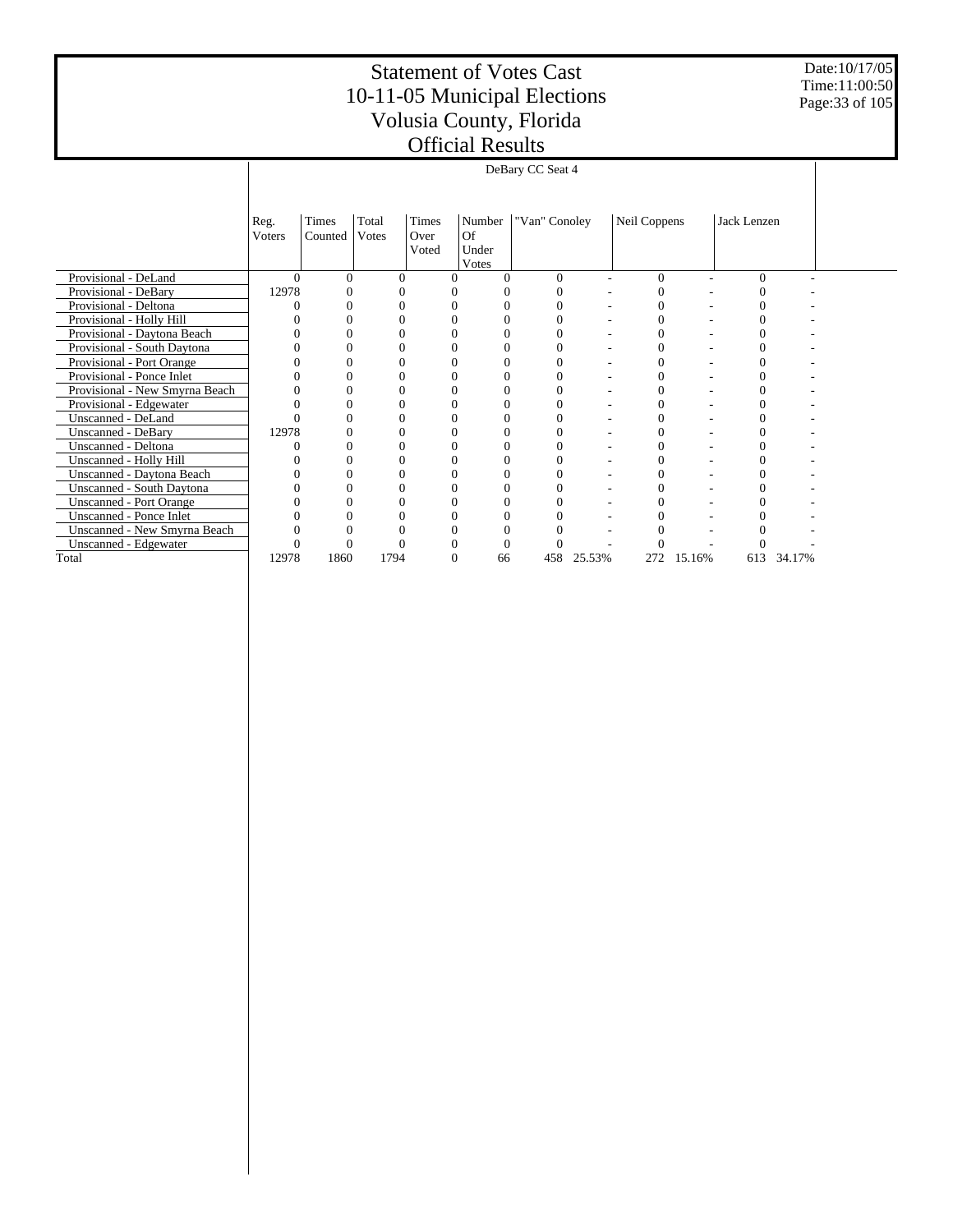Date:10/17/05 Time:11:00:50 Page:33 of 105

|                                  |          | DeBary CC Seat 4 |       |              |            |               |        |                |        |             |        |  |
|----------------------------------|----------|------------------|-------|--------------|------------|---------------|--------|----------------|--------|-------------|--------|--|
|                                  |          |                  |       |              |            |               |        |                |        |             |        |  |
|                                  |          |                  |       |              |            |               |        |                |        |             |        |  |
|                                  | Reg.     | Times            | Total | <b>Times</b> | Number     | "Van" Conoley |        | Neil Coppens   |        | Jack Lenzen |        |  |
|                                  | Voters   | Counted          | Votes | Over         | Of         |               |        |                |        |             |        |  |
|                                  |          |                  |       | Voted        | Under      |               |        |                |        |             |        |  |
| Provisional - DeLand             | $\Omega$ | $\Omega$         | ∩     | 0            | Votes<br>0 | 0             |        | $\Omega$       | ٠      | 0           |        |  |
| Provisional - DeBary             | 12978    |                  |       |              |            |               |        | 0              |        |             |        |  |
| Provisional - Deltona            |          |                  |       |              |            |               |        | 0              |        |             |        |  |
| Provisional - Holly Hill         |          |                  |       |              |            |               |        | 0              |        |             |        |  |
| Provisional - Daytona Beach      |          |                  |       |              |            |               |        | 0              |        |             |        |  |
| Provisional - South Daytona      |          | 0                | 0     |              | 0          | 0             |        | $\theta$       |        | 0           |        |  |
| Provisional - Port Orange        |          |                  |       |              |            |               |        | $\Omega$       |        |             |        |  |
| Provisional - Ponce Inlet        |          |                  |       |              |            |               |        | 0              |        |             |        |  |
| Provisional - New Smyrna Beach   |          |                  |       |              |            |               |        | 0              |        |             |        |  |
| Provisional - Edgewater          |          |                  |       |              |            |               |        | 0              |        |             |        |  |
| Unscanned - DeLand               |          |                  |       |              |            |               |        | 0              |        |             |        |  |
| <b>Unscanned - DeBary</b>        | 12978    |                  |       |              |            |               |        | 0              |        |             |        |  |
| Unscanned - Deltona              |          | 0                | 0     |              | 0          | 0             |        | $\theta$       |        | 0           |        |  |
| Unscanned - Holly Hill           |          |                  |       |              |            |               |        | 0              |        |             |        |  |
| Unscanned - Daytona Beach        |          |                  |       |              |            | 0             |        | $\overline{0}$ |        | 0           |        |  |
| <b>Unscanned - South Daytona</b> |          |                  |       |              |            |               |        | 0              |        |             |        |  |
| <b>Unscanned - Port Orange</b>   |          |                  |       |              |            |               |        | 0              |        |             |        |  |
| Unscanned - Ponce Inlet          |          |                  |       |              |            |               |        |                |        |             |        |  |
| Unscanned - New Smyrna Beach     |          |                  |       |              |            |               |        | 0              |        |             |        |  |
| Unscanned - Edgewater            |          |                  |       |              | 0          |               |        |                |        |             |        |  |
| Total                            | 12978    | 1860             | 1794  | 0            | 66         | 458           | 25.53% | 272            | 15.16% | 613         | 34.17% |  |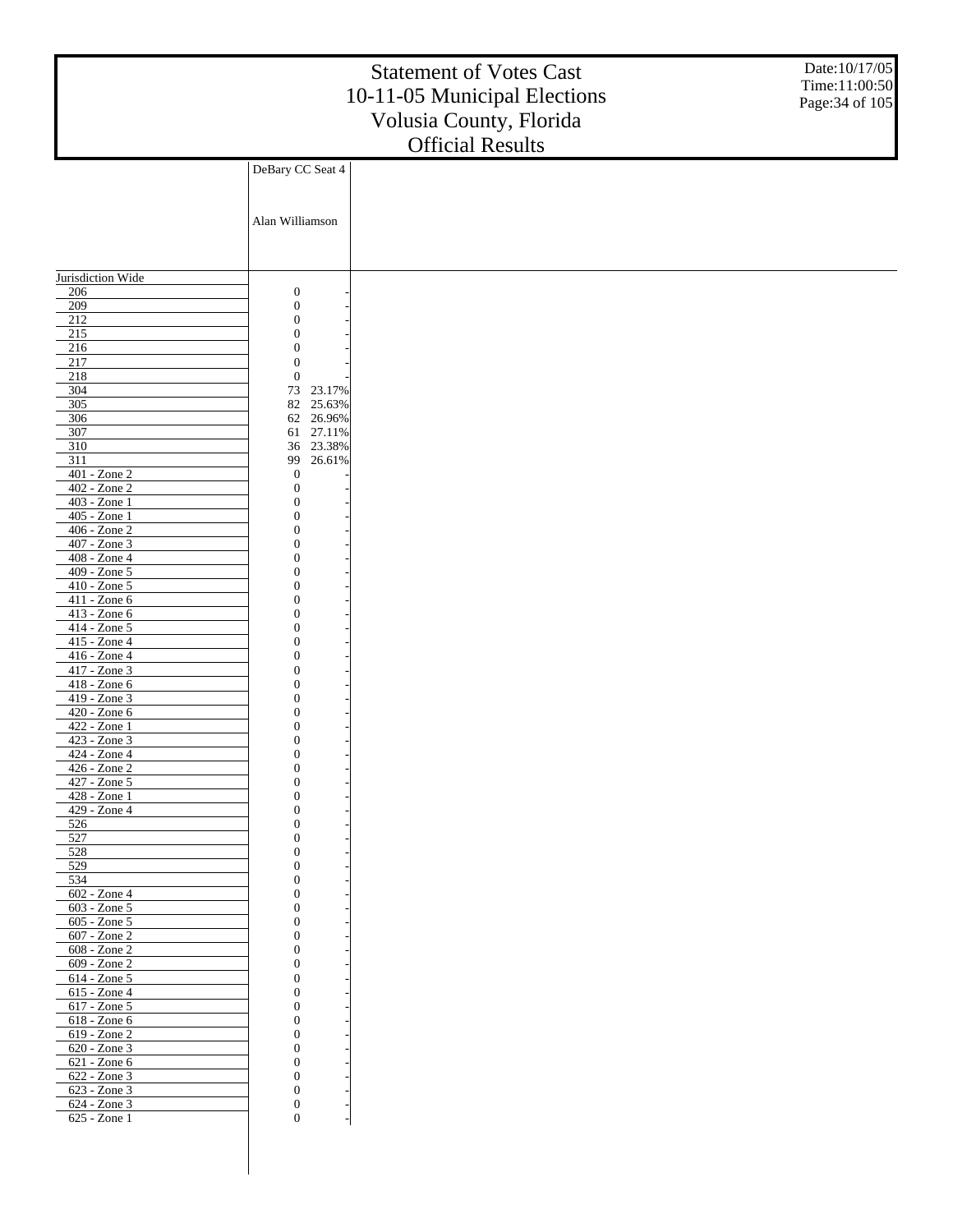| DeBary CC Seat 4<br>Alan Williamson<br>Jurisdiction Wide<br>$\boldsymbol{0}$<br>206<br>$\boldsymbol{0}$<br>209<br>$\overline{212}$<br>$\boldsymbol{0}$<br>$\overline{215}$<br>$\boldsymbol{0}$<br>216<br>$\mathbf{0}$<br>217<br>$\boldsymbol{0}$<br>218<br>$\boldsymbol{0}$<br>304<br>73<br>23.17%<br>305<br>25.63%<br>82<br>62 26.96%<br>306<br>307<br>27.11%<br>61<br>310<br>23.38%<br>36<br>311<br>26.61%<br>99<br>$401 - Z$ one $2$<br>$\boldsymbol{0}$<br>$402 - Z$ one $2$<br>$\boldsymbol{0}$<br>403 - Zone 1<br>$\overline{0}$<br>405 - Zone 1<br>$\boldsymbol{0}$<br>406 - Zone 2<br>$\boldsymbol{0}$<br>407 - Zone 3<br>$\overline{0}$<br>408 - Zone 4<br>$\overline{0}$<br>409 - Zone 5<br>$\boldsymbol{0}$<br>410 - Zone 5<br>$\boldsymbol{0}$<br>411 - Zone 6<br>$\overline{0}$<br>413 - Zone 6<br>$\boldsymbol{0}$<br>414 - Zone 5<br>$\boldsymbol{0}$<br>415 - Zone 4<br>$\boldsymbol{0}$<br>416 - Zone 4<br>$\overline{0}$<br>417 - Zone 3<br>$\boldsymbol{0}$<br>418 - Zone 6<br>$\boldsymbol{0}$<br>419 - Zone 3<br>$\boldsymbol{0}$<br>420 - Zone 6<br>$\theta$<br>422 - Zone 1<br>$\boldsymbol{0}$<br>423 - Zone 3<br>$\mathbf{0}$<br>424 - Zone 4<br>$\boldsymbol{0}$<br>426 - Zone 2<br>$\boldsymbol{0}$<br>427 - Zone 5<br>$\boldsymbol{0}$<br>428 - Zone 1<br>$\mathbf{0}$<br>429 - Zone 4<br>$\boldsymbol{0}$<br>526<br>$\mathbf{0}$<br>527<br>$\boldsymbol{0}$<br>528<br>$\mathbf{0}$<br>529<br>$\boldsymbol{0}$<br>534<br>$\mathbf{0}$<br>602 - Zone 4<br>$\boldsymbol{0}$<br>603 - Zone 5<br>$\mathbf{0}$<br>605 - Zone 5<br>$\boldsymbol{0}$<br>607 - Zone 2<br>$\mathbf{0}$<br>608 - Zone 2<br>$\boldsymbol{0}$<br>609 - Zone 2<br>$\mathbf{0}$<br>614 - Zone 5<br>$\boldsymbol{0}$<br>615 - Zone 4<br>$\mathbf{0}$<br>617 - Zone 5<br>$\boldsymbol{0}$<br>618 - Zone 6<br>$\mathbf{0}$<br>619 - Zone 2<br>$\boldsymbol{0}$<br>620 - Zone 3<br>$\boldsymbol{0}$<br>621 - Zone 6<br>$\boldsymbol{0}$<br>622 - Zone 3<br>$\mathbf{0}$<br>623 - Zone 3<br>$\boldsymbol{0}$<br>624 - Zone 3<br>$\boldsymbol{0}$<br>$625 - Zone1$<br>$\boldsymbol{0}$ |  | <b>Statement of Votes Cast</b><br>10-11-05 Municipal Elections<br>Volusia County, Florida<br><b>Official Results</b> | Date:10/17/05<br>Time:11:00:50<br>Page: 34 of 105 |
|--------------------------------------------------------------------------------------------------------------------------------------------------------------------------------------------------------------------------------------------------------------------------------------------------------------------------------------------------------------------------------------------------------------------------------------------------------------------------------------------------------------------------------------------------------------------------------------------------------------------------------------------------------------------------------------------------------------------------------------------------------------------------------------------------------------------------------------------------------------------------------------------------------------------------------------------------------------------------------------------------------------------------------------------------------------------------------------------------------------------------------------------------------------------------------------------------------------------------------------------------------------------------------------------------------------------------------------------------------------------------------------------------------------------------------------------------------------------------------------------------------------------------------------------------------------------------------------------------------------------------------------------------------------------------------------------------------------------------------------------------------------------------------------------------------------------------------------------------------------------------------------------------------------------------------------------------------------------------------------------------------------------------------------------------------------------------------|--|----------------------------------------------------------------------------------------------------------------------|---------------------------------------------------|
|                                                                                                                                                                                                                                                                                                                                                                                                                                                                                                                                                                                                                                                                                                                                                                                                                                                                                                                                                                                                                                                                                                                                                                                                                                                                                                                                                                                                                                                                                                                                                                                                                                                                                                                                                                                                                                                                                                                                                                                                                                                                                |  |                                                                                                                      |                                                   |
|                                                                                                                                                                                                                                                                                                                                                                                                                                                                                                                                                                                                                                                                                                                                                                                                                                                                                                                                                                                                                                                                                                                                                                                                                                                                                                                                                                                                                                                                                                                                                                                                                                                                                                                                                                                                                                                                                                                                                                                                                                                                                |  |                                                                                                                      |                                                   |
|                                                                                                                                                                                                                                                                                                                                                                                                                                                                                                                                                                                                                                                                                                                                                                                                                                                                                                                                                                                                                                                                                                                                                                                                                                                                                                                                                                                                                                                                                                                                                                                                                                                                                                                                                                                                                                                                                                                                                                                                                                                                                |  |                                                                                                                      |                                                   |
|                                                                                                                                                                                                                                                                                                                                                                                                                                                                                                                                                                                                                                                                                                                                                                                                                                                                                                                                                                                                                                                                                                                                                                                                                                                                                                                                                                                                                                                                                                                                                                                                                                                                                                                                                                                                                                                                                                                                                                                                                                                                                |  |                                                                                                                      |                                                   |
|                                                                                                                                                                                                                                                                                                                                                                                                                                                                                                                                                                                                                                                                                                                                                                                                                                                                                                                                                                                                                                                                                                                                                                                                                                                                                                                                                                                                                                                                                                                                                                                                                                                                                                                                                                                                                                                                                                                                                                                                                                                                                |  |                                                                                                                      |                                                   |
|                                                                                                                                                                                                                                                                                                                                                                                                                                                                                                                                                                                                                                                                                                                                                                                                                                                                                                                                                                                                                                                                                                                                                                                                                                                                                                                                                                                                                                                                                                                                                                                                                                                                                                                                                                                                                                                                                                                                                                                                                                                                                |  |                                                                                                                      |                                                   |
|                                                                                                                                                                                                                                                                                                                                                                                                                                                                                                                                                                                                                                                                                                                                                                                                                                                                                                                                                                                                                                                                                                                                                                                                                                                                                                                                                                                                                                                                                                                                                                                                                                                                                                                                                                                                                                                                                                                                                                                                                                                                                |  |                                                                                                                      |                                                   |
|                                                                                                                                                                                                                                                                                                                                                                                                                                                                                                                                                                                                                                                                                                                                                                                                                                                                                                                                                                                                                                                                                                                                                                                                                                                                                                                                                                                                                                                                                                                                                                                                                                                                                                                                                                                                                                                                                                                                                                                                                                                                                |  |                                                                                                                      |                                                   |
|                                                                                                                                                                                                                                                                                                                                                                                                                                                                                                                                                                                                                                                                                                                                                                                                                                                                                                                                                                                                                                                                                                                                                                                                                                                                                                                                                                                                                                                                                                                                                                                                                                                                                                                                                                                                                                                                                                                                                                                                                                                                                |  |                                                                                                                      |                                                   |
|                                                                                                                                                                                                                                                                                                                                                                                                                                                                                                                                                                                                                                                                                                                                                                                                                                                                                                                                                                                                                                                                                                                                                                                                                                                                                                                                                                                                                                                                                                                                                                                                                                                                                                                                                                                                                                                                                                                                                                                                                                                                                |  |                                                                                                                      |                                                   |
|                                                                                                                                                                                                                                                                                                                                                                                                                                                                                                                                                                                                                                                                                                                                                                                                                                                                                                                                                                                                                                                                                                                                                                                                                                                                                                                                                                                                                                                                                                                                                                                                                                                                                                                                                                                                                                                                                                                                                                                                                                                                                |  |                                                                                                                      |                                                   |
|                                                                                                                                                                                                                                                                                                                                                                                                                                                                                                                                                                                                                                                                                                                                                                                                                                                                                                                                                                                                                                                                                                                                                                                                                                                                                                                                                                                                                                                                                                                                                                                                                                                                                                                                                                                                                                                                                                                                                                                                                                                                                |  |                                                                                                                      |                                                   |
|                                                                                                                                                                                                                                                                                                                                                                                                                                                                                                                                                                                                                                                                                                                                                                                                                                                                                                                                                                                                                                                                                                                                                                                                                                                                                                                                                                                                                                                                                                                                                                                                                                                                                                                                                                                                                                                                                                                                                                                                                                                                                |  |                                                                                                                      |                                                   |
|                                                                                                                                                                                                                                                                                                                                                                                                                                                                                                                                                                                                                                                                                                                                                                                                                                                                                                                                                                                                                                                                                                                                                                                                                                                                                                                                                                                                                                                                                                                                                                                                                                                                                                                                                                                                                                                                                                                                                                                                                                                                                |  |                                                                                                                      |                                                   |
|                                                                                                                                                                                                                                                                                                                                                                                                                                                                                                                                                                                                                                                                                                                                                                                                                                                                                                                                                                                                                                                                                                                                                                                                                                                                                                                                                                                                                                                                                                                                                                                                                                                                                                                                                                                                                                                                                                                                                                                                                                                                                |  |                                                                                                                      |                                                   |
|                                                                                                                                                                                                                                                                                                                                                                                                                                                                                                                                                                                                                                                                                                                                                                                                                                                                                                                                                                                                                                                                                                                                                                                                                                                                                                                                                                                                                                                                                                                                                                                                                                                                                                                                                                                                                                                                                                                                                                                                                                                                                |  |                                                                                                                      |                                                   |
|                                                                                                                                                                                                                                                                                                                                                                                                                                                                                                                                                                                                                                                                                                                                                                                                                                                                                                                                                                                                                                                                                                                                                                                                                                                                                                                                                                                                                                                                                                                                                                                                                                                                                                                                                                                                                                                                                                                                                                                                                                                                                |  |                                                                                                                      |                                                   |
|                                                                                                                                                                                                                                                                                                                                                                                                                                                                                                                                                                                                                                                                                                                                                                                                                                                                                                                                                                                                                                                                                                                                                                                                                                                                                                                                                                                                                                                                                                                                                                                                                                                                                                                                                                                                                                                                                                                                                                                                                                                                                |  |                                                                                                                      |                                                   |
|                                                                                                                                                                                                                                                                                                                                                                                                                                                                                                                                                                                                                                                                                                                                                                                                                                                                                                                                                                                                                                                                                                                                                                                                                                                                                                                                                                                                                                                                                                                                                                                                                                                                                                                                                                                                                                                                                                                                                                                                                                                                                |  |                                                                                                                      |                                                   |
|                                                                                                                                                                                                                                                                                                                                                                                                                                                                                                                                                                                                                                                                                                                                                                                                                                                                                                                                                                                                                                                                                                                                                                                                                                                                                                                                                                                                                                                                                                                                                                                                                                                                                                                                                                                                                                                                                                                                                                                                                                                                                |  |                                                                                                                      |                                                   |
|                                                                                                                                                                                                                                                                                                                                                                                                                                                                                                                                                                                                                                                                                                                                                                                                                                                                                                                                                                                                                                                                                                                                                                                                                                                                                                                                                                                                                                                                                                                                                                                                                                                                                                                                                                                                                                                                                                                                                                                                                                                                                |  |                                                                                                                      |                                                   |
|                                                                                                                                                                                                                                                                                                                                                                                                                                                                                                                                                                                                                                                                                                                                                                                                                                                                                                                                                                                                                                                                                                                                                                                                                                                                                                                                                                                                                                                                                                                                                                                                                                                                                                                                                                                                                                                                                                                                                                                                                                                                                |  |                                                                                                                      |                                                   |
|                                                                                                                                                                                                                                                                                                                                                                                                                                                                                                                                                                                                                                                                                                                                                                                                                                                                                                                                                                                                                                                                                                                                                                                                                                                                                                                                                                                                                                                                                                                                                                                                                                                                                                                                                                                                                                                                                                                                                                                                                                                                                |  |                                                                                                                      |                                                   |
|                                                                                                                                                                                                                                                                                                                                                                                                                                                                                                                                                                                                                                                                                                                                                                                                                                                                                                                                                                                                                                                                                                                                                                                                                                                                                                                                                                                                                                                                                                                                                                                                                                                                                                                                                                                                                                                                                                                                                                                                                                                                                |  |                                                                                                                      |                                                   |
|                                                                                                                                                                                                                                                                                                                                                                                                                                                                                                                                                                                                                                                                                                                                                                                                                                                                                                                                                                                                                                                                                                                                                                                                                                                                                                                                                                                                                                                                                                                                                                                                                                                                                                                                                                                                                                                                                                                                                                                                                                                                                |  |                                                                                                                      |                                                   |
|                                                                                                                                                                                                                                                                                                                                                                                                                                                                                                                                                                                                                                                                                                                                                                                                                                                                                                                                                                                                                                                                                                                                                                                                                                                                                                                                                                                                                                                                                                                                                                                                                                                                                                                                                                                                                                                                                                                                                                                                                                                                                |  |                                                                                                                      |                                                   |
|                                                                                                                                                                                                                                                                                                                                                                                                                                                                                                                                                                                                                                                                                                                                                                                                                                                                                                                                                                                                                                                                                                                                                                                                                                                                                                                                                                                                                                                                                                                                                                                                                                                                                                                                                                                                                                                                                                                                                                                                                                                                                |  |                                                                                                                      |                                                   |
|                                                                                                                                                                                                                                                                                                                                                                                                                                                                                                                                                                                                                                                                                                                                                                                                                                                                                                                                                                                                                                                                                                                                                                                                                                                                                                                                                                                                                                                                                                                                                                                                                                                                                                                                                                                                                                                                                                                                                                                                                                                                                |  |                                                                                                                      |                                                   |
|                                                                                                                                                                                                                                                                                                                                                                                                                                                                                                                                                                                                                                                                                                                                                                                                                                                                                                                                                                                                                                                                                                                                                                                                                                                                                                                                                                                                                                                                                                                                                                                                                                                                                                                                                                                                                                                                                                                                                                                                                                                                                |  |                                                                                                                      |                                                   |
|                                                                                                                                                                                                                                                                                                                                                                                                                                                                                                                                                                                                                                                                                                                                                                                                                                                                                                                                                                                                                                                                                                                                                                                                                                                                                                                                                                                                                                                                                                                                                                                                                                                                                                                                                                                                                                                                                                                                                                                                                                                                                |  |                                                                                                                      |                                                   |
|                                                                                                                                                                                                                                                                                                                                                                                                                                                                                                                                                                                                                                                                                                                                                                                                                                                                                                                                                                                                                                                                                                                                                                                                                                                                                                                                                                                                                                                                                                                                                                                                                                                                                                                                                                                                                                                                                                                                                                                                                                                                                |  |                                                                                                                      |                                                   |
|                                                                                                                                                                                                                                                                                                                                                                                                                                                                                                                                                                                                                                                                                                                                                                                                                                                                                                                                                                                                                                                                                                                                                                                                                                                                                                                                                                                                                                                                                                                                                                                                                                                                                                                                                                                                                                                                                                                                                                                                                                                                                |  |                                                                                                                      |                                                   |
|                                                                                                                                                                                                                                                                                                                                                                                                                                                                                                                                                                                                                                                                                                                                                                                                                                                                                                                                                                                                                                                                                                                                                                                                                                                                                                                                                                                                                                                                                                                                                                                                                                                                                                                                                                                                                                                                                                                                                                                                                                                                                |  |                                                                                                                      |                                                   |
|                                                                                                                                                                                                                                                                                                                                                                                                                                                                                                                                                                                                                                                                                                                                                                                                                                                                                                                                                                                                                                                                                                                                                                                                                                                                                                                                                                                                                                                                                                                                                                                                                                                                                                                                                                                                                                                                                                                                                                                                                                                                                |  |                                                                                                                      |                                                   |
|                                                                                                                                                                                                                                                                                                                                                                                                                                                                                                                                                                                                                                                                                                                                                                                                                                                                                                                                                                                                                                                                                                                                                                                                                                                                                                                                                                                                                                                                                                                                                                                                                                                                                                                                                                                                                                                                                                                                                                                                                                                                                |  |                                                                                                                      |                                                   |
|                                                                                                                                                                                                                                                                                                                                                                                                                                                                                                                                                                                                                                                                                                                                                                                                                                                                                                                                                                                                                                                                                                                                                                                                                                                                                                                                                                                                                                                                                                                                                                                                                                                                                                                                                                                                                                                                                                                                                                                                                                                                                |  |                                                                                                                      |                                                   |
|                                                                                                                                                                                                                                                                                                                                                                                                                                                                                                                                                                                                                                                                                                                                                                                                                                                                                                                                                                                                                                                                                                                                                                                                                                                                                                                                                                                                                                                                                                                                                                                                                                                                                                                                                                                                                                                                                                                                                                                                                                                                                |  |                                                                                                                      |                                                   |
|                                                                                                                                                                                                                                                                                                                                                                                                                                                                                                                                                                                                                                                                                                                                                                                                                                                                                                                                                                                                                                                                                                                                                                                                                                                                                                                                                                                                                                                                                                                                                                                                                                                                                                                                                                                                                                                                                                                                                                                                                                                                                |  |                                                                                                                      |                                                   |
|                                                                                                                                                                                                                                                                                                                                                                                                                                                                                                                                                                                                                                                                                                                                                                                                                                                                                                                                                                                                                                                                                                                                                                                                                                                                                                                                                                                                                                                                                                                                                                                                                                                                                                                                                                                                                                                                                                                                                                                                                                                                                |  |                                                                                                                      |                                                   |
|                                                                                                                                                                                                                                                                                                                                                                                                                                                                                                                                                                                                                                                                                                                                                                                                                                                                                                                                                                                                                                                                                                                                                                                                                                                                                                                                                                                                                                                                                                                                                                                                                                                                                                                                                                                                                                                                                                                                                                                                                                                                                |  |                                                                                                                      |                                                   |
|                                                                                                                                                                                                                                                                                                                                                                                                                                                                                                                                                                                                                                                                                                                                                                                                                                                                                                                                                                                                                                                                                                                                                                                                                                                                                                                                                                                                                                                                                                                                                                                                                                                                                                                                                                                                                                                                                                                                                                                                                                                                                |  |                                                                                                                      |                                                   |
|                                                                                                                                                                                                                                                                                                                                                                                                                                                                                                                                                                                                                                                                                                                                                                                                                                                                                                                                                                                                                                                                                                                                                                                                                                                                                                                                                                                                                                                                                                                                                                                                                                                                                                                                                                                                                                                                                                                                                                                                                                                                                |  |                                                                                                                      |                                                   |
|                                                                                                                                                                                                                                                                                                                                                                                                                                                                                                                                                                                                                                                                                                                                                                                                                                                                                                                                                                                                                                                                                                                                                                                                                                                                                                                                                                                                                                                                                                                                                                                                                                                                                                                                                                                                                                                                                                                                                                                                                                                                                |  |                                                                                                                      |                                                   |
|                                                                                                                                                                                                                                                                                                                                                                                                                                                                                                                                                                                                                                                                                                                                                                                                                                                                                                                                                                                                                                                                                                                                                                                                                                                                                                                                                                                                                                                                                                                                                                                                                                                                                                                                                                                                                                                                                                                                                                                                                                                                                |  |                                                                                                                      |                                                   |
|                                                                                                                                                                                                                                                                                                                                                                                                                                                                                                                                                                                                                                                                                                                                                                                                                                                                                                                                                                                                                                                                                                                                                                                                                                                                                                                                                                                                                                                                                                                                                                                                                                                                                                                                                                                                                                                                                                                                                                                                                                                                                |  |                                                                                                                      |                                                   |
|                                                                                                                                                                                                                                                                                                                                                                                                                                                                                                                                                                                                                                                                                                                                                                                                                                                                                                                                                                                                                                                                                                                                                                                                                                                                                                                                                                                                                                                                                                                                                                                                                                                                                                                                                                                                                                                                                                                                                                                                                                                                                |  |                                                                                                                      |                                                   |
|                                                                                                                                                                                                                                                                                                                                                                                                                                                                                                                                                                                                                                                                                                                                                                                                                                                                                                                                                                                                                                                                                                                                                                                                                                                                                                                                                                                                                                                                                                                                                                                                                                                                                                                                                                                                                                                                                                                                                                                                                                                                                |  |                                                                                                                      |                                                   |
|                                                                                                                                                                                                                                                                                                                                                                                                                                                                                                                                                                                                                                                                                                                                                                                                                                                                                                                                                                                                                                                                                                                                                                                                                                                                                                                                                                                                                                                                                                                                                                                                                                                                                                                                                                                                                                                                                                                                                                                                                                                                                |  |                                                                                                                      |                                                   |
|                                                                                                                                                                                                                                                                                                                                                                                                                                                                                                                                                                                                                                                                                                                                                                                                                                                                                                                                                                                                                                                                                                                                                                                                                                                                                                                                                                                                                                                                                                                                                                                                                                                                                                                                                                                                                                                                                                                                                                                                                                                                                |  |                                                                                                                      |                                                   |
|                                                                                                                                                                                                                                                                                                                                                                                                                                                                                                                                                                                                                                                                                                                                                                                                                                                                                                                                                                                                                                                                                                                                                                                                                                                                                                                                                                                                                                                                                                                                                                                                                                                                                                                                                                                                                                                                                                                                                                                                                                                                                |  |                                                                                                                      |                                                   |
|                                                                                                                                                                                                                                                                                                                                                                                                                                                                                                                                                                                                                                                                                                                                                                                                                                                                                                                                                                                                                                                                                                                                                                                                                                                                                                                                                                                                                                                                                                                                                                                                                                                                                                                                                                                                                                                                                                                                                                                                                                                                                |  |                                                                                                                      |                                                   |
|                                                                                                                                                                                                                                                                                                                                                                                                                                                                                                                                                                                                                                                                                                                                                                                                                                                                                                                                                                                                                                                                                                                                                                                                                                                                                                                                                                                                                                                                                                                                                                                                                                                                                                                                                                                                                                                                                                                                                                                                                                                                                |  |                                                                                                                      |                                                   |
|                                                                                                                                                                                                                                                                                                                                                                                                                                                                                                                                                                                                                                                                                                                                                                                                                                                                                                                                                                                                                                                                                                                                                                                                                                                                                                                                                                                                                                                                                                                                                                                                                                                                                                                                                                                                                                                                                                                                                                                                                                                                                |  |                                                                                                                      |                                                   |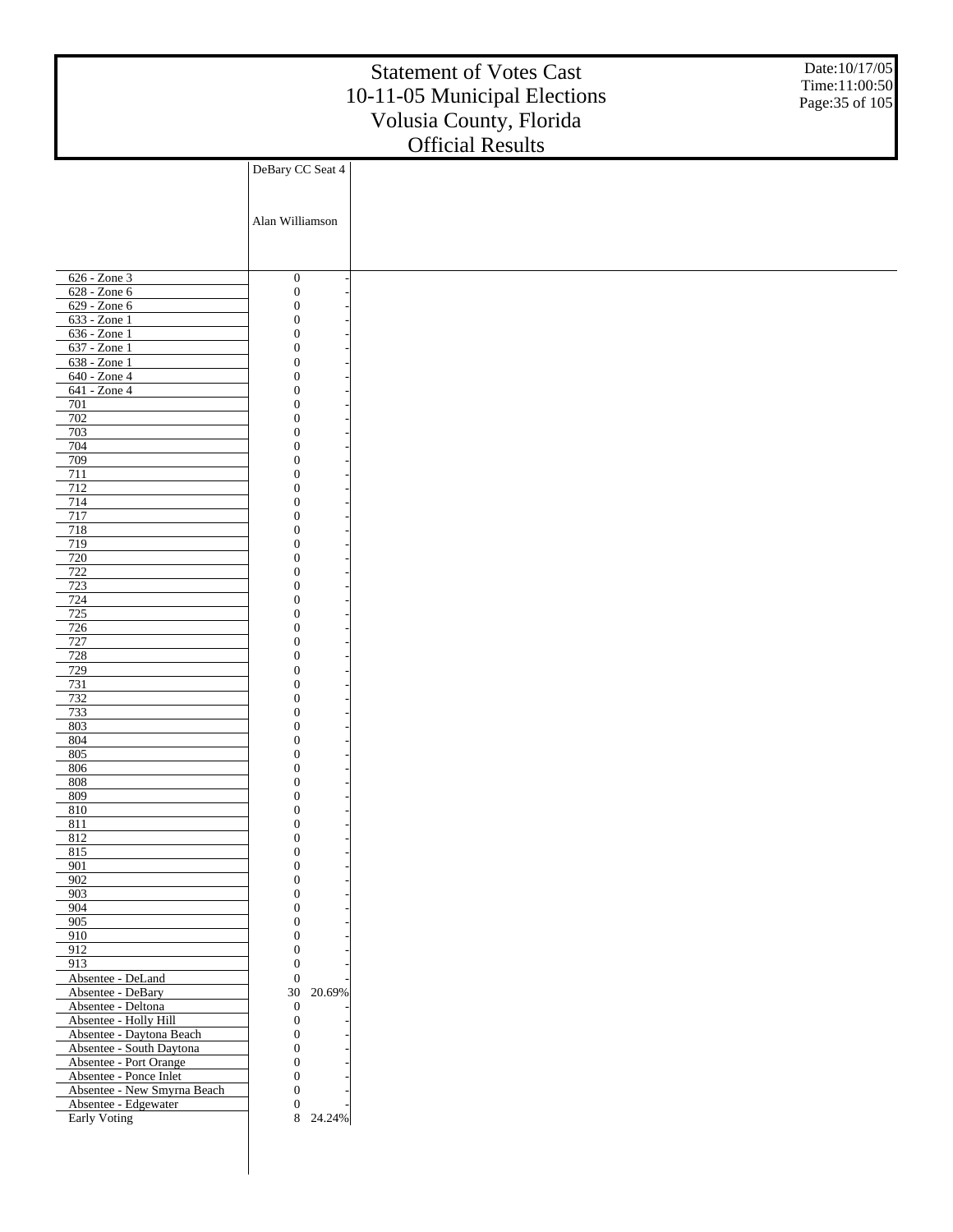|                                                      |                                      | <b>Statement of Votes Cast</b><br>10-11-05 Municipal Elections<br>Volusia County, Florida | Date:10/17/05<br>Time:11:00:50<br>Page: 35 of 105 |
|------------------------------------------------------|--------------------------------------|-------------------------------------------------------------------------------------------|---------------------------------------------------|
|                                                      |                                      | <b>Official Results</b>                                                                   |                                                   |
|                                                      | DeBary CC Seat 4                     |                                                                                           |                                                   |
|                                                      |                                      |                                                                                           |                                                   |
|                                                      |                                      |                                                                                           |                                                   |
|                                                      | Alan Williamson                      |                                                                                           |                                                   |
|                                                      |                                      |                                                                                           |                                                   |
|                                                      |                                      |                                                                                           |                                                   |
| $626 - Z$ one 3                                      | $\boldsymbol{0}$                     |                                                                                           |                                                   |
| 628 - Zone 6                                         | $\boldsymbol{0}$                     |                                                                                           |                                                   |
| 629 - Zone 6                                         | $\boldsymbol{0}$                     |                                                                                           |                                                   |
| $633 - Zone1$                                        | $\boldsymbol{0}$                     |                                                                                           |                                                   |
| 636 - Zone 1                                         | $\boldsymbol{0}$                     |                                                                                           |                                                   |
| 637 - Zone 1<br>638 - Zone 1                         | $\boldsymbol{0}$<br>$\boldsymbol{0}$ |                                                                                           |                                                   |
| 640 - Zone 4                                         | $\boldsymbol{0}$                     |                                                                                           |                                                   |
| 641 - Zone 4                                         | $\boldsymbol{0}$                     |                                                                                           |                                                   |
| 701                                                  | $\boldsymbol{0}$                     |                                                                                           |                                                   |
| 702<br>703                                           | $\boldsymbol{0}$<br>$\boldsymbol{0}$ |                                                                                           |                                                   |
| 704                                                  | $\boldsymbol{0}$                     |                                                                                           |                                                   |
| 709                                                  | $\boldsymbol{0}$                     |                                                                                           |                                                   |
| 711                                                  | $\boldsymbol{0}$                     |                                                                                           |                                                   |
| 712<br>714                                           | $\boldsymbol{0}$                     |                                                                                           |                                                   |
| 717                                                  | $\boldsymbol{0}$<br>$\boldsymbol{0}$ |                                                                                           |                                                   |
| 718                                                  | $\boldsymbol{0}$                     |                                                                                           |                                                   |
| 719                                                  | $\boldsymbol{0}$                     |                                                                                           |                                                   |
| 720<br>722                                           | $\boldsymbol{0}$<br>$\boldsymbol{0}$ |                                                                                           |                                                   |
| 723                                                  | $\boldsymbol{0}$                     |                                                                                           |                                                   |
| 724                                                  | $\boldsymbol{0}$                     |                                                                                           |                                                   |
| 725                                                  | $\boldsymbol{0}$                     |                                                                                           |                                                   |
| 726<br>727                                           | $\boldsymbol{0}$<br>$\boldsymbol{0}$ |                                                                                           |                                                   |
| 728                                                  | $\boldsymbol{0}$                     |                                                                                           |                                                   |
| 729                                                  | $\boldsymbol{0}$                     |                                                                                           |                                                   |
| 731                                                  | $\boldsymbol{0}$                     |                                                                                           |                                                   |
| 732<br>733                                           | $\boldsymbol{0}$<br>$\boldsymbol{0}$ |                                                                                           |                                                   |
| 803                                                  | $\boldsymbol{0}$                     |                                                                                           |                                                   |
| $804$                                                | $\mathbf{0}$                         |                                                                                           |                                                   |
| 805                                                  | $\mathbf{0}$                         |                                                                                           |                                                   |
| 806<br>808                                           | $\boldsymbol{0}$<br>$\boldsymbol{0}$ |                                                                                           |                                                   |
| 809                                                  | $\boldsymbol{0}$                     |                                                                                           |                                                   |
| 810                                                  | $\boldsymbol{0}$                     |                                                                                           |                                                   |
| 811                                                  | $\boldsymbol{0}$                     |                                                                                           |                                                   |
| 812<br>815                                           | $\boldsymbol{0}$<br>$\boldsymbol{0}$ |                                                                                           |                                                   |
| 901                                                  | $\boldsymbol{0}$                     |                                                                                           |                                                   |
| 902                                                  | $\boldsymbol{0}$                     |                                                                                           |                                                   |
| 903<br>904                                           | $\boldsymbol{0}$<br>$\boldsymbol{0}$ |                                                                                           |                                                   |
| 905                                                  | $\boldsymbol{0}$                     |                                                                                           |                                                   |
| 910                                                  | $\boldsymbol{0}$                     |                                                                                           |                                                   |
| 912                                                  | $\mathbf{0}$                         |                                                                                           |                                                   |
| 913<br>Absentee - DeLand                             | $\boldsymbol{0}$<br>$\mathbf{0}$     |                                                                                           |                                                   |
| Absentee - DeBary                                    | 30<br>20.69%                         |                                                                                           |                                                   |
| Absentee - Deltona                                   | $\boldsymbol{0}$                     |                                                                                           |                                                   |
| Absentee - Holly Hill                                | $\mathbf{0}$                         |                                                                                           |                                                   |
| Absentee - Daytona Beach<br>Absentee - South Daytona | $\boldsymbol{0}$<br>$\boldsymbol{0}$ |                                                                                           |                                                   |
| Absentee - Port Orange                               | $\boldsymbol{0}$                     |                                                                                           |                                                   |
| Absentee - Ponce Inlet                               | $\boldsymbol{0}$                     |                                                                                           |                                                   |
| Absentee - New Smyrna Beach                          | $\mathbf{0}$                         |                                                                                           |                                                   |
| Absentee - Edgewater<br>Early Voting                 | $\boldsymbol{0}$<br>8<br>24.24%      |                                                                                           |                                                   |
|                                                      |                                      |                                                                                           |                                                   |
|                                                      |                                      |                                                                                           |                                                   |
|                                                      |                                      |                                                                                           |                                                   |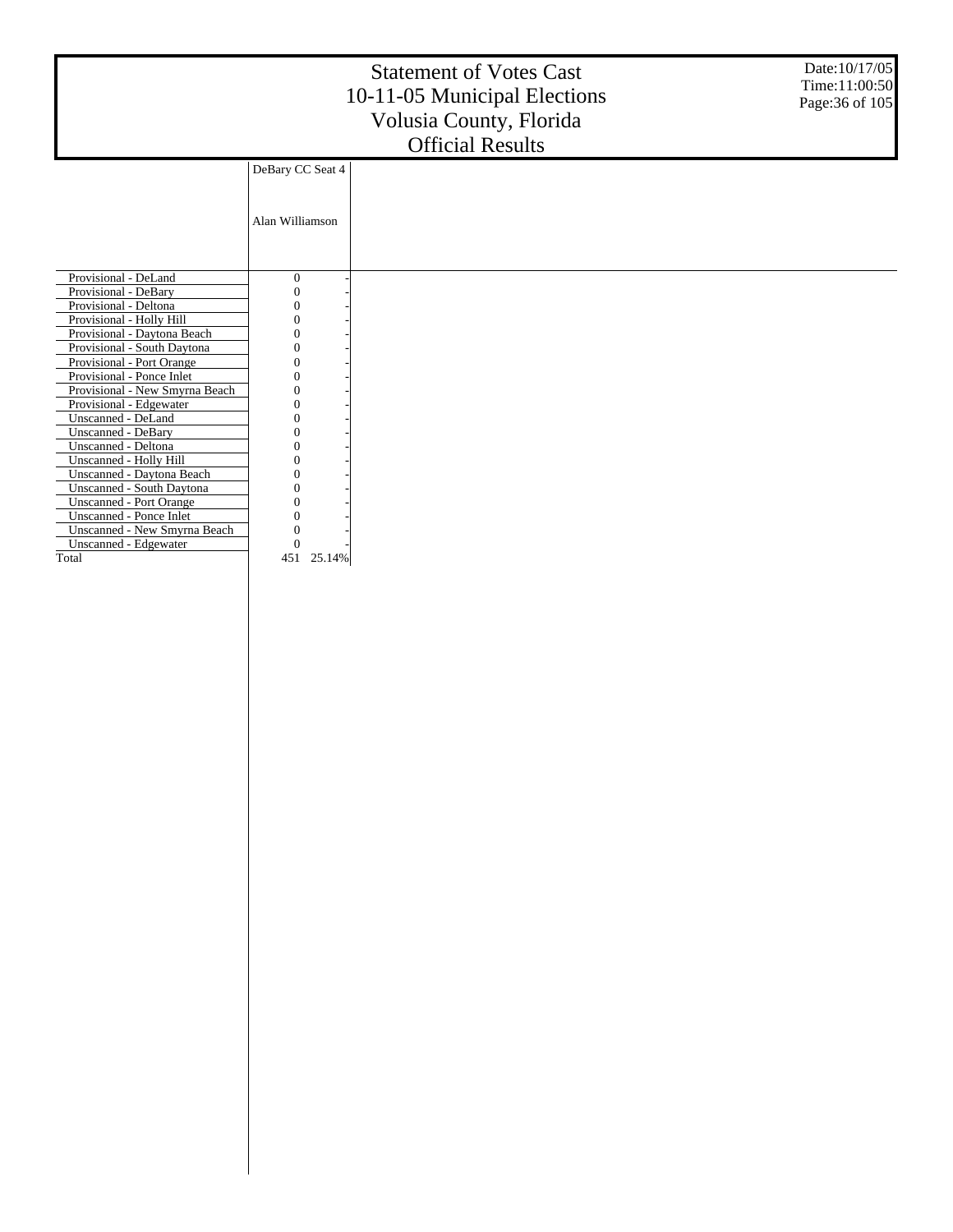|                                |                  | <b>Statement of Votes Cast</b><br>10-11-05 Municipal Elections<br>Volusia County, Florida | Date: 10/17/05<br>Time:11:00:50<br>Page: 36 of 105 |
|--------------------------------|------------------|-------------------------------------------------------------------------------------------|----------------------------------------------------|
|                                |                  | <b>Official Results</b>                                                                   |                                                    |
|                                | DeBary CC Seat 4 |                                                                                           |                                                    |
|                                |                  |                                                                                           |                                                    |
|                                |                  |                                                                                           |                                                    |
|                                | Alan Williamson  |                                                                                           |                                                    |
|                                |                  |                                                                                           |                                                    |
|                                |                  |                                                                                           |                                                    |
| Provisional - DeLand           | $\boldsymbol{0}$ |                                                                                           |                                                    |
| Provisional - DeBary           |                  |                                                                                           |                                                    |
| Provisional - Deltona          |                  |                                                                                           |                                                    |
| Provisional - Holly Hill       |                  |                                                                                           |                                                    |
| Provisional - Daytona Beach    |                  |                                                                                           |                                                    |
| Provisional - South Daytona    |                  |                                                                                           |                                                    |
| Provisional - Port Orange      |                  |                                                                                           |                                                    |
| Provisional - Ponce Inlet      |                  |                                                                                           |                                                    |
| Provisional - New Smyrna Beach |                  |                                                                                           |                                                    |
| Provisional - Edgewater        |                  |                                                                                           |                                                    |
| Unscanned - DeLand             |                  |                                                                                           |                                                    |
| <b>Unscanned - DeBary</b>      |                  |                                                                                           |                                                    |
| Unscanned - Deltona            |                  |                                                                                           |                                                    |
| Unscanned - Holly Hill         |                  |                                                                                           |                                                    |
| Unscanned - Daytona Beach      |                  |                                                                                           |                                                    |
| Unscanned - South Daytona      |                  |                                                                                           |                                                    |
| <b>Unscanned - Port Orange</b> |                  |                                                                                           |                                                    |
| Unscanned - Ponce Inlet        |                  |                                                                                           |                                                    |
| Unscanned - New Smyrna Beach   |                  |                                                                                           |                                                    |
| Unscanned - Edgewater          |                  |                                                                                           |                                                    |
| Total                          | 451<br>25.14%    |                                                                                           |                                                    |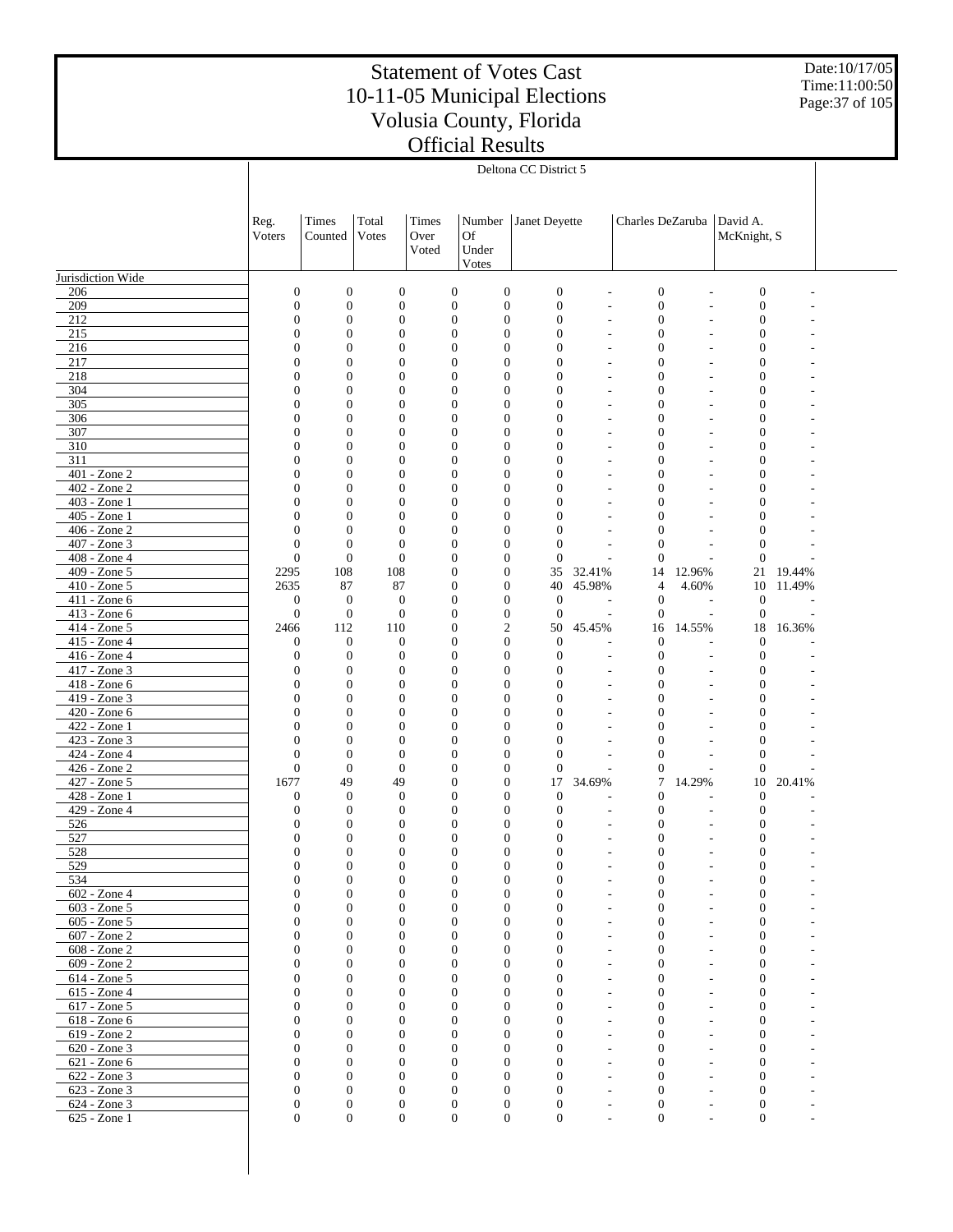Date:10/17/05 Time:11:00:50 Page:37 of 105

|                                 |                                  |                                  |                                |                                  |                                  | Deltona CC District 5    |                          |                                  |                 |                              |                  |  |
|---------------------------------|----------------------------------|----------------------------------|--------------------------------|----------------------------------|----------------------------------|--------------------------|--------------------------|----------------------------------|-----------------|------------------------------|------------------|--|
|                                 |                                  |                                  |                                |                                  |                                  |                          |                          |                                  |                 |                              |                  |  |
|                                 |                                  |                                  |                                |                                  |                                  |                          |                          |                                  |                 |                              |                  |  |
|                                 | Reg.                             | Times                            | Total                          | Times                            | Number                           | Janet Deyette            |                          | Charles DeZaruba                 |                 | David A.                     |                  |  |
|                                 | Voters                           | Counted                          | Votes                          | Over                             | Of                               |                          |                          |                                  |                 | McKnight, S                  |                  |  |
|                                 |                                  |                                  |                                | Voted                            | Under                            |                          |                          |                                  |                 |                              |                  |  |
|                                 |                                  |                                  |                                |                                  | Votes                            |                          |                          |                                  |                 |                              |                  |  |
| Jurisdiction Wide<br>206        | $\boldsymbol{0}$                 | $\boldsymbol{0}$                 | $\boldsymbol{0}$               | $\boldsymbol{0}$                 | $\boldsymbol{0}$                 | $\mathbf{0}$             |                          | $\boldsymbol{0}$                 | L,              | $\boldsymbol{0}$             |                  |  |
| 209                             | $\overline{0}$                   | $\boldsymbol{0}$                 | $\boldsymbol{0}$               | $\boldsymbol{0}$                 | $\boldsymbol{0}$                 | $\overline{0}$           |                          | $\boldsymbol{0}$                 |                 | $\boldsymbol{0}$             |                  |  |
| 212                             | $\overline{0}$                   | $\overline{0}$                   | $\mathbf{0}$                   | $\mathbf{0}$                     | $\mathbf{0}$                     | $\mathbf{0}$             | $\overline{a}$           | $\boldsymbol{0}$                 | L,              | $\mathbf{0}$                 |                  |  |
| 215                             | $\overline{0}$                   | $\overline{0}$                   | $\mathbf{0}$                   | $\overline{0}$                   | $\mathbf{0}$                     | $\Omega$                 | L.                       | $\boldsymbol{0}$                 |                 | $\mathbf{0}$                 |                  |  |
| 216                             | $\overline{0}$                   | $\mathbf{0}$                     | $\mathbf{0}$                   | $\overline{0}$                   | $\mathbf{0}$                     | $\Omega$                 | ÷,                       | $\mathbf{0}$                     | L,              | $\mathbf{0}$                 |                  |  |
| 217                             | $\overline{0}$                   | $\mathbf{0}$                     | $\mathbf{0}$                   | $\overline{0}$                   | $\mathbf{0}$                     | $\theta$                 | L.                       | $\mathbf{0}$                     |                 | $\mathbf{0}$                 |                  |  |
| 218<br>304                      | $\overline{0}$<br>$\overline{0}$ | $\mathbf{0}$<br>$\overline{0}$   | $\mathbf{0}$<br>$\mathbf{0}$   | $\overline{0}$<br>$\overline{0}$ | $\mathbf{0}$<br>$\mathbf{0}$     | $\Omega$<br>$\theta$     | $\overline{a}$           | $\mathbf{0}$<br>$\mathbf{0}$     | L,              | $\mathbf{0}$<br>$\mathbf{0}$ |                  |  |
| 305                             | $\theta$                         | $\overline{0}$                   | $\mathbf{0}$                   | $\overline{0}$                   | $\mathbf{0}$                     | $\Omega$                 | $\overline{a}$           | $\mathbf{0}$                     | L,              | $\mathbf{0}$                 |                  |  |
| 306                             | $\overline{0}$                   | $\overline{0}$                   | $\overline{0}$                 | $\overline{0}$                   | $\mathbf{0}$                     | $\theta$                 |                          | $\mathbf{0}$                     |                 | $\mathbf{0}$                 |                  |  |
| 307                             | $\theta$                         | $\overline{0}$                   | $\mathbf{0}$                   | $\overline{0}$                   | $\mathbf{0}$                     | $\Omega$                 | $\overline{a}$           | $\mathbf{0}$                     | ÷,              | $\mathbf{0}$                 |                  |  |
| 310                             | $\overline{0}$                   | $\overline{0}$                   | $\mathbf{0}$                   | $\overline{0}$                   | $\mathbf{0}$                     | $\theta$                 |                          | $\boldsymbol{0}$                 |                 | $\mathbf{0}$                 |                  |  |
| 311                             | $\theta$                         | $\overline{0}$                   | $\mathbf{0}$                   | $\overline{0}$                   | $\mathbf{0}$                     | $\Omega$                 | $\overline{a}$           | $\mathbf{0}$                     | $\overline{a}$  | $\mathbf{0}$                 |                  |  |
| 401 - Zone 2<br>402 - Zone 2    | $\overline{0}$<br>$\theta$       | $\overline{0}$<br>$\overline{0}$ | $\overline{0}$<br>$\mathbf{0}$ | $\overline{0}$<br>$\overline{0}$ | $\mathbf{0}$<br>$\mathbf{0}$     | $\theta$<br>$\Omega$     | $\overline{a}$           | $\boldsymbol{0}$<br>$\mathbf{0}$ | ÷,              | $\mathbf{0}$<br>$\mathbf{0}$ |                  |  |
| 403 - Zone 1                    | $\overline{0}$                   | $\overline{0}$                   | $\mathbf{0}$                   | $\overline{0}$                   | $\mathbf{0}$                     | $\theta$                 |                          | $\mathbf{0}$                     |                 | $\mathbf{0}$                 |                  |  |
| 405 - Zone 1                    | $\theta$                         | $\overline{0}$                   | $\mathbf{0}$                   | $\overline{0}$                   | $\mathbf{0}$                     | $\Omega$                 | $\overline{a}$           | $\mathbf{0}$                     |                 | $\mathbf{0}$                 |                  |  |
| 406 - Zone 2                    | $\overline{0}$                   | $\mathbf{0}$                     | $\mathbf{0}$                   | $\overline{0}$                   | $\mathbf{0}$                     | $\Omega$                 |                          | $\mathbf{0}$                     |                 | $\mathbf{0}$                 |                  |  |
| 407 - Zone 3                    | $\overline{0}$                   | $\mathbf{0}$                     | $\mathbf{0}$                   | $\overline{0}$                   | $\mathbf{0}$                     | $\mathbf{0}$             | $\overline{a}$           | $\mathbf{0}$                     |                 | $\mathbf{0}$                 |                  |  |
| 408 - Zone 4                    | $\boldsymbol{0}$                 | $\boldsymbol{0}$                 | $\mathbf{0}$                   | $\overline{0}$                   | $\mathbf{0}$                     | $\mathbf{0}$             |                          | $\mathbf{0}$                     |                 | $\overline{0}$               |                  |  |
| 409 - Zone 5<br>410 - Zone 5    | 2295<br>2635                     | 108<br>87                        | 108<br>87                      | $\overline{0}$<br>$\overline{0}$ | $\mathbf{0}$<br>$\mathbf{0}$     | 35<br>40                 | 32.41%<br>45.98%         | 14<br>$\overline{4}$             | 12.96%<br>4.60% | 21<br>10                     | 19.44%<br>11.49% |  |
| 411 - Zone 6                    | $\boldsymbol{0}$                 | $\mathbf{0}$                     | $\mathbf{0}$                   | $\overline{0}$                   | $\boldsymbol{0}$                 | $\mathbf{0}$             | ÷,                       | $\boldsymbol{0}$                 | L,              | $\mathbf{0}$                 |                  |  |
| 413 - Zone 6                    | $\boldsymbol{0}$                 | $\boldsymbol{0}$                 | $\mathbf{0}$                   | $\overline{0}$                   | $\boldsymbol{0}$                 | $\mathbf{0}$             | $\overline{a}$           | $\boldsymbol{0}$                 | L.              | $\boldsymbol{0}$             |                  |  |
| 414 - Zone 5                    | 2466                             | 112                              | 110                            | $\overline{0}$                   | $\mathfrak{2}$                   | 50                       | 45.45%                   | 16                               | 14.55%          | 18                           | 16.36%           |  |
| 415 - Zone 4                    | $\boldsymbol{0}$                 | $\theta$                         | $\mathbf{0}$                   | $\overline{0}$                   | $\overline{0}$                   | $\mathbf{0}$             |                          | $\mathbf{0}$                     |                 | $\mathbf{0}$                 |                  |  |
| 416 - Zone 4                    | $\mathbf{0}$                     | $\mathbf{0}$                     | $\mathbf{0}$                   | $\overline{0}$                   | $\mathbf{0}$                     | $\mathbf{0}$             | $\overline{a}$           | $\boldsymbol{0}$                 | L,              | $\mathbf{0}$                 |                  |  |
| 417 - Zone 3<br>418 - Zone 6    | $\overline{0}$<br>$\overline{0}$ | $\mathbf{0}$<br>$\overline{0}$   | $\mathbf{0}$<br>$\mathbf{0}$   | $\overline{0}$<br>$\overline{0}$ | $\mathbf{0}$<br>$\mathbf{0}$     | $\mathbf{0}$<br>$\Omega$ | $\overline{a}$           | $\boldsymbol{0}$<br>$\mathbf{0}$ | $\overline{a}$  | $\mathbf{0}$<br>$\mathbf{0}$ |                  |  |
| 419 - Zone 3                    | $\overline{0}$                   | $\overline{0}$                   | $\mathbf{0}$                   | $\overline{0}$                   | $\mathbf{0}$                     | $\Omega$                 |                          | $\mathbf{0}$                     |                 | $\mathbf{0}$                 |                  |  |
| 420 - Zone 6                    | $\theta$                         | $\overline{0}$                   | $\mathbf{0}$                   | $\overline{0}$                   | $\mathbf{0}$                     | $\Omega$                 | $\overline{a}$           | $\mathbf{0}$                     |                 | $\mathbf{0}$                 |                  |  |
| 422 - Zone 1                    | $\overline{0}$                   | $\overline{0}$                   | $\mathbf{0}$                   | $\overline{0}$                   | $\mathbf{0}$                     | $\Omega$                 |                          | $\mathbf{0}$                     |                 | $\mathbf{0}$                 |                  |  |
| 423 - Zone 3                    | $\theta$                         | $\mathbf{0}$                     | $\mathbf{0}$                   | $\overline{0}$                   | $\mathbf{0}$                     | $\Omega$                 | $\overline{a}$           | $\mathbf{0}$                     |                 | $\mathbf{0}$                 |                  |  |
| 424 - Zone 4                    | $\overline{0}$                   | $\overline{0}$                   | $\mathbf{0}$                   | $\overline{0}$                   | $\mathbf{0}$                     | $\mathbf{0}$             |                          | $\mathbf{0}$                     |                 | $\overline{0}$               |                  |  |
| $426 - Z$ one 2<br>427 - Zone 5 | $\overline{0}$<br>1677           | $\boldsymbol{0}$<br>49           | $\mathbf{0}$<br>49             | $\overline{0}$<br>$\overline{0}$ | $\mathbf{0}$<br>$\boldsymbol{0}$ | $\mathbf{0}$<br>17       | ÷,<br>34.69%             | $\boldsymbol{0}$<br>7            | 14.29%          | $\mathbf{0}$<br>10           | 20.41%           |  |
| 428 - Zone 1                    | $\mathbf{0}$                     | $\theta$                         | $\overline{0}$                 | $\overline{0}$                   | $\mathbf{0}$                     | $\mathbf{0}$             |                          | $\mathbf{0}$                     |                 | $\mathbf{0}$                 |                  |  |
| 429 - Zone 4                    | $\overline{0}$                   | $\mathbf{0}$                     | $\mathbf{0}$                   | $\overline{0}$                   | $\mathbf{0}$                     | $\mathbf{0}$             | L.                       | $\boldsymbol{0}$                 |                 | $\mathbf{0}$                 |                  |  |
| 526                             | $\overline{0}$                   | $\mathbf{0}$                     | $\overline{0}$                 | $\overline{0}$                   | $\mathbf{0}$                     | $\theta$                 | $\overline{a}$           | $\boldsymbol{0}$                 |                 | $\mathbf{0}$                 |                  |  |
| 527                             | $\overline{0}$                   | $\mathbf{0}$                     | $\mathbf{0}$                   | $\overline{0}$                   | $\mathbf{0}$                     | $\mathbf{0}$             |                          | $\mathbf{0}$                     |                 | $\mathbf{0}$                 |                  |  |
| 528<br>529                      | $\theta$<br>$\boldsymbol{0}$     | $\Omega$<br>$\boldsymbol{0}$     | $\Omega$<br>$\mathbf{0}$       | $\theta$<br>$\boldsymbol{0}$     | $\Omega$<br>$\boldsymbol{0}$     | $\Omega$<br>$\mathbf{0}$ |                          | $\Omega$<br>$\boldsymbol{0}$     |                 | $\Omega$<br>$\boldsymbol{0}$ |                  |  |
| 534                             | $\mathbf{0}$                     | $\boldsymbol{0}$                 | $\mathbf{0}$                   | $\mathbf{0}$                     | $\overline{0}$                   | $\mathbf{0}$             |                          | $\boldsymbol{0}$                 |                 | $\boldsymbol{0}$             |                  |  |
| 602 - Zone 4                    | $\mathbf{0}$                     | $\overline{0}$                   | $\mathbf{0}$                   | $\mathbf{0}$                     | $\mathbf{0}$                     | $\mathbf{0}$             |                          | $\boldsymbol{0}$                 |                 | $\mathbf{0}$                 |                  |  |
| 603 - Zone 5                    | $\Omega$                         | $\overline{0}$                   | $\mathbf{0}$                   | $\mathbf{0}$                     | $\mathbf{0}$                     | $\Omega$                 |                          | $\mathbf{0}$                     |                 | $\mathbf{0}$                 |                  |  |
| 605 - Zone 5                    | $\mathbf{0}$                     | $\mathbf{0}$                     | $\mathbf{0}$                   | $\mathbf{0}$                     | $\mathbf{0}$                     | $\Omega$                 |                          | $\mathbf{0}$                     |                 | $\mathbf{0}$                 |                  |  |
| 607 - Zone 2                    | $\Omega$                         | $\mathbf{0}$                     | $\mathbf{0}$                   | $\Omega$                         | $\mathbf{0}$                     | $\Omega$                 |                          | $\mathbf{0}$                     |                 | $\mathbf{0}$                 |                  |  |
| 608 - Zone 2<br>609 - Zone 2    | $\mathbf{0}$<br>$\Omega$         | $\mathbf{0}$<br>$\mathbf{0}$     | $\mathbf{0}$<br>$\mathbf{0}$   | $\mathbf{0}$<br>$\Omega$         | $\mathbf{0}$<br>$\mathbf{0}$     | $\Omega$<br>$\Omega$     |                          | $\mathbf{0}$<br>$\mathbf{0}$     |                 | $\mathbf{0}$<br>$\mathbf{0}$ |                  |  |
| 614 - Zone 5                    | $\mathbf{0}$                     | $\mathbf{0}$                     | $\mathbf{0}$                   | $\mathbf{0}$                     | $\mathbf{0}$                     | $\Omega$                 |                          | $\mathbf{0}$                     |                 | $\mathbf{0}$                 |                  |  |
| 615 - Zone 4                    | $\Omega$                         | $\mathbf{0}$                     | $\mathbf{0}$                   | $\Omega$                         | $\mathbf{0}$                     | $\Omega$                 |                          | $\mathbf{0}$                     |                 | $\mathbf{0}$                 |                  |  |
| 617 - Zone 5                    | $\Omega$                         | $\mathbf{0}$                     | $\mathbf{0}$                   | $\mathbf{0}$                     | $\mathbf{0}$                     | $\Omega$                 |                          | $\mathbf{0}$                     |                 | $\mathbf{0}$                 |                  |  |
| 618 - Zone 6                    | $\Omega$                         | $\mathbf{0}$                     | $\mathbf{0}$                   | $\Omega$                         | $\mathbf{0}$                     | $\Omega$                 |                          | $\mathbf{0}$                     |                 | $\mathbf{0}$                 |                  |  |
| 619 - Zone 2                    | $\Omega$                         | $\mathbf{0}$                     | $\mathbf{0}$                   | $\mathbf{0}$                     | $\mathbf{0}$                     | $\Omega$                 |                          | $\mathbf{0}$                     |                 | $\mathbf{0}$                 |                  |  |
| 620 - Zone 3<br>621 - Zone 6    | $\Omega$<br>$\Omega$             | $\mathbf{0}$<br>$\mathbf{0}$     | $\mathbf{0}$<br>$\mathbf{0}$   | $\Omega$<br>$\mathbf{0}$         | $\Omega$<br>$\mathbf{0}$         | $\Omega$<br>$\Omega$     |                          | $\Omega$<br>$\mathbf{0}$         |                 | $\mathbf{0}$<br>$\mathbf{0}$ |                  |  |
| 622 - Zone 3                    | $\Omega$                         | $\mathbf{0}$                     | $\mathbf{0}$                   | $\Omega$                         | $\mathbf{0}$                     | $\Omega$                 | $\overline{\phantom{a}}$ | $\mathbf{0}$                     |                 | $\mathbf{0}$                 |                  |  |
| 623 - Zone 3                    | $\mathbf{0}$                     | $\theta$                         | $\mathbf{0}$                   | $\mathbf{0}$                     | $\mathbf{0}$                     | $\Omega$                 |                          | $\boldsymbol{0}$                 |                 | $\boldsymbol{0}$             |                  |  |
| 624 - Zone 3                    | $\mathbf{0}$                     | $\boldsymbol{0}$                 | $\boldsymbol{0}$               | $\boldsymbol{0}$                 | $\boldsymbol{0}$                 | $\boldsymbol{0}$         |                          | $\boldsymbol{0}$                 |                 | $\boldsymbol{0}$             |                  |  |
| 625 - Zone 1                    | $\overline{0}$                   | $\boldsymbol{0}$                 | $\overline{0}$                 | $\boldsymbol{0}$                 | $\boldsymbol{0}$                 | $\Omega$                 |                          | $\mathbf{0}$                     |                 | $\Omega$                     |                  |  |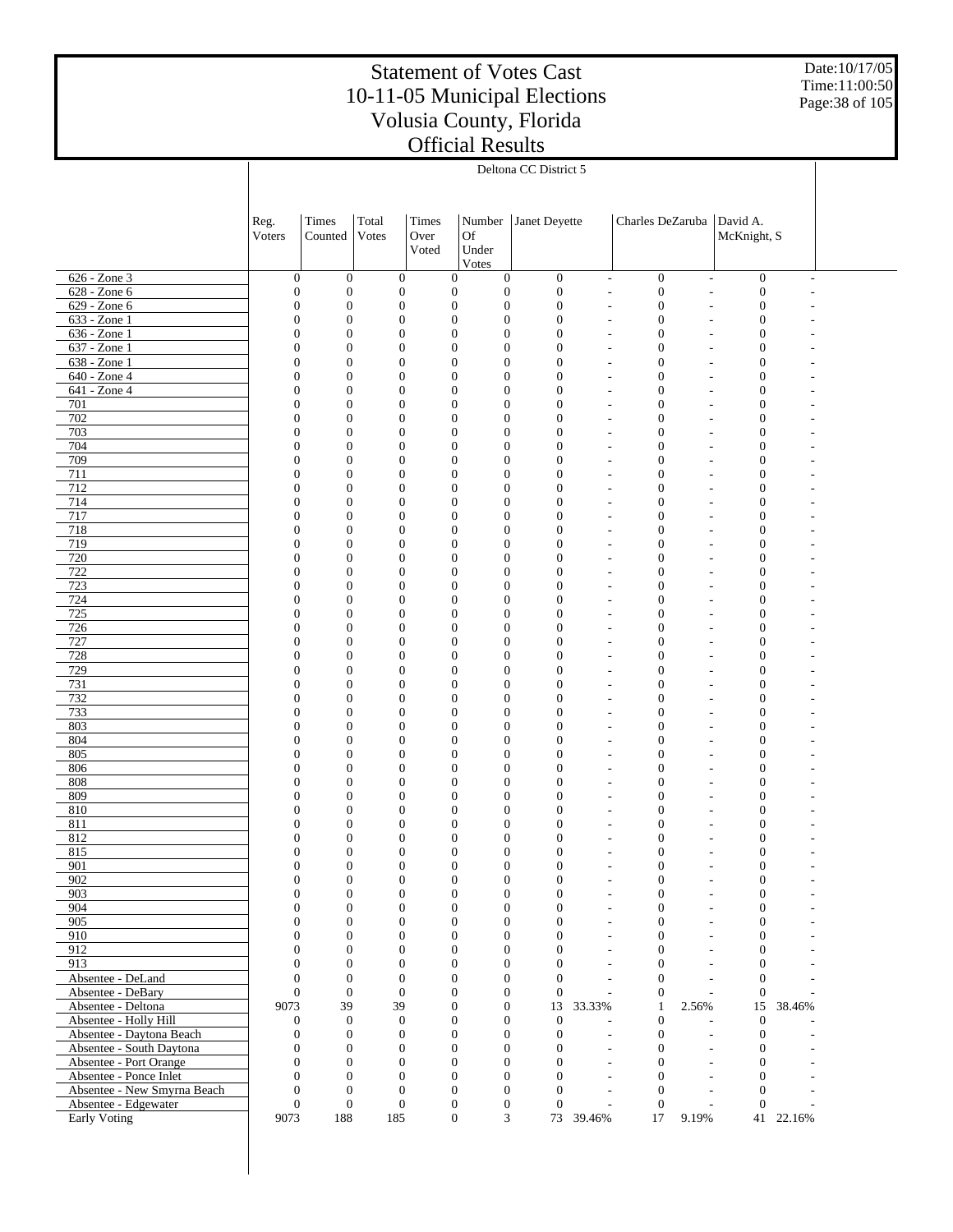Date:10/17/05 Time:11:00:50 Page:38 of 105

|                                                     |                                    | Deltona CC District 5                |                                      |                                      |                                      |                                      |                          |                                      |                                                                  |           |  |
|-----------------------------------------------------|------------------------------------|--------------------------------------|--------------------------------------|--------------------------------------|--------------------------------------|--------------------------------------|--------------------------|--------------------------------------|------------------------------------------------------------------|-----------|--|
|                                                     |                                    |                                      |                                      |                                      |                                      |                                      |                          |                                      |                                                                  |           |  |
|                                                     |                                    |                                      |                                      |                                      |                                      |                                      |                          |                                      |                                                                  |           |  |
|                                                     |                                    | Times                                | Total                                | Times                                | Number                               | Janet Deyette                        |                          | Charles DeZaruba                     | David A.                                                         |           |  |
|                                                     | Reg.<br>Voters                     | Counted                              | Votes                                | Over                                 | <b>Of</b>                            |                                      |                          |                                      | McKnight, S                                                      |           |  |
|                                                     |                                    |                                      |                                      | Voted                                | Under                                |                                      |                          |                                      |                                                                  |           |  |
|                                                     |                                    |                                      |                                      |                                      | Votes                                |                                      |                          |                                      |                                                                  |           |  |
| 626 - Zone 3                                        | $\boldsymbol{0}$                   | $\boldsymbol{0}$                     | $\boldsymbol{0}$                     | $\mathbf{0}$                         | $\boldsymbol{0}$                     | $\boldsymbol{0}$                     | $\overline{\phantom{a}}$ | $\boldsymbol{0}$                     | $\boldsymbol{0}$<br>$\overline{\phantom{a}}$                     |           |  |
| 628 - Zone 6                                        | $\mathbf{0}$                       | $\boldsymbol{0}$                     | $\mathbf{0}$                         | $\mathbf{0}$                         | $\boldsymbol{0}$                     | $\boldsymbol{0}$                     | L,                       | $\boldsymbol{0}$                     | $\boldsymbol{0}$<br>$\overline{a}$                               |           |  |
| 629 - Zone 6                                        | $\mathbf{0}$                       | $\boldsymbol{0}$                     | $\boldsymbol{0}$                     | $\mathbf{0}$                         | $\boldsymbol{0}$                     | $\boldsymbol{0}$                     | Ē,                       | $\boldsymbol{0}$                     | $\boldsymbol{0}$                                                 |           |  |
| 633 - Zone 1                                        | $\mathbf{0}$                       | $\mathbf{0}$                         | $\boldsymbol{0}$                     | $\mathbf{0}$                         | $\boldsymbol{0}$                     | $\boldsymbol{0}$                     | ٠                        | $\boldsymbol{0}$                     | $\boldsymbol{0}$                                                 |           |  |
| 636 - Zone 1                                        | $\mathbf{0}$                       | $\boldsymbol{0}$                     | $\boldsymbol{0}$                     | $\mathbf{0}$                         | $\boldsymbol{0}$                     | $\boldsymbol{0}$                     | Ē,                       | $\mathbf{0}$                         | $\boldsymbol{0}$                                                 |           |  |
| 637 - Zone 1                                        | $\mathbf{0}$                       | $\mathbf{0}$                         | $\boldsymbol{0}$                     | $\mathbf{0}$                         | $\boldsymbol{0}$                     | $\boldsymbol{0}$                     | ٠                        | $\mathbf{0}$                         | $\mathbf{0}$<br>$\overline{\phantom{a}}$                         |           |  |
| 638 - Zone 1                                        | $\mathbf{0}$                       | $\mathbf{0}$                         | $\boldsymbol{0}$                     | $\mathbf{0}$                         | $\boldsymbol{0}$                     | $\boldsymbol{0}$                     | ÷,                       | $\overline{0}$                       | $\mathbf{0}$                                                     |           |  |
| 640 - Zone 4                                        | $\mathbf{0}$                       | $\boldsymbol{0}$                     | $\boldsymbol{0}$                     | $\mathbf{0}$                         | $\boldsymbol{0}$                     | $\boldsymbol{0}$                     | ÷,                       | $\mathbf{0}$                         | $\mathbf{0}$<br>$\overline{\phantom{a}}$                         |           |  |
| 641 - Zone 4                                        | $\mathbf{0}$                       | $\boldsymbol{0}$                     | $\boldsymbol{0}$                     | $\mathbf{0}$                         | $\boldsymbol{0}$                     | $\boldsymbol{0}$                     | ÷,                       | $\overline{0}$                       | $\boldsymbol{0}$                                                 |           |  |
| 701                                                 | $\mathbf{0}$                       | $\boldsymbol{0}$                     | $\boldsymbol{0}$                     | $\mathbf{0}$                         | $\boldsymbol{0}$                     | $\boldsymbol{0}$                     | ٠                        | $\boldsymbol{0}$                     | $\mathbf{0}$                                                     |           |  |
| 702                                                 | $\mathbf{0}$                       | $\mathbf{0}$                         | $\boldsymbol{0}$                     | $\mathbf{0}$                         | $\boldsymbol{0}$                     | $\boldsymbol{0}$                     | ٠                        | $\overline{0}$                       | $\mathbf{0}$                                                     |           |  |
| 703                                                 | $\mathbf{0}$                       | $\boldsymbol{0}$                     | $\boldsymbol{0}$                     | $\mathbf{0}$                         | $\boldsymbol{0}$                     | $\boldsymbol{0}$                     | ÷,                       | $\mathbf{0}$                         | $\mathbf{0}$<br>$\overline{\phantom{a}}$                         |           |  |
| 704                                                 | $\mathbf{0}$                       | $\boldsymbol{0}$                     | $\boldsymbol{0}$                     | $\mathbf{0}$                         | $\boldsymbol{0}$                     | $\boldsymbol{0}$                     | ÷,                       | $\overline{0}$                       | $\boldsymbol{0}$                                                 |           |  |
| 709                                                 | $\mathbf{0}$                       | $\boldsymbol{0}$<br>$\mathbf{0}$     | $\boldsymbol{0}$                     | $\mathbf{0}$<br>$\mathbf{0}$         | $\boldsymbol{0}$                     | $\boldsymbol{0}$<br>$\boldsymbol{0}$ | ÷,                       | $\mathbf{0}$<br>$\overline{0}$       | $\mathbf{0}$<br>$\overline{\phantom{a}}$                         |           |  |
| 711<br>712                                          | $\mathbf{0}$<br>$\mathbf{0}$       | $\boldsymbol{0}$                     | $\boldsymbol{0}$<br>$\boldsymbol{0}$ | $\mathbf{0}$                         | $\boldsymbol{0}$<br>$\boldsymbol{0}$ | $\boldsymbol{0}$                     | Ē,<br>٠                  | $\boldsymbol{0}$                     | $\boldsymbol{0}$<br>$\mathbf{0}$<br>$\overline{\phantom{a}}$     |           |  |
| 714                                                 | $\mathbf{0}$                       | $\boldsymbol{0}$                     | $\boldsymbol{0}$                     | $\mathbf{0}$                         | $\boldsymbol{0}$                     | $\boldsymbol{0}$                     | ÷,                       | $\overline{0}$                       | $\boldsymbol{0}$                                                 |           |  |
| 717                                                 | $\mathbf{0}$                       | $\mathbf{0}$                         | $\boldsymbol{0}$                     | $\mathbf{0}$                         | $\boldsymbol{0}$                     | $\boldsymbol{0}$                     | ÷,                       | $\mathbf{0}$                         | $\mathbf{0}$<br>$\overline{\phantom{a}}$                         |           |  |
| 718                                                 | $\mathbf{0}$                       | $\mathbf{0}$                         | $\boldsymbol{0}$                     | $\mathbf{0}$                         | $\boldsymbol{0}$                     | $\boldsymbol{0}$                     | ÷,                       | $\overline{0}$                       | $\mathbf{0}$                                                     |           |  |
| 719                                                 | $\mathbf{0}$                       | $\boldsymbol{0}$                     | $\boldsymbol{0}$                     | $\mathbf{0}$                         | $\boldsymbol{0}$                     | $\boldsymbol{0}$                     | ٠                        | $\boldsymbol{0}$                     | $\boldsymbol{0}$<br>$\overline{\phantom{a}}$                     |           |  |
| 720                                                 | $\mathbf{0}$                       | $\boldsymbol{0}$                     | $\boldsymbol{0}$                     | $\mathbf{0}$                         | $\boldsymbol{0}$                     | $\boldsymbol{0}$                     | ٠                        | $\overline{0}$                       | $\boldsymbol{0}$                                                 |           |  |
| 722                                                 | $\mathbf{0}$                       | $\mathbf{0}$                         | $\boldsymbol{0}$                     | $\mathbf{0}$                         | $\boldsymbol{0}$                     | $\boldsymbol{0}$                     | ٠                        | $\mathbf{0}$                         | $\mathbf{0}$<br>$\overline{\phantom{a}}$                         |           |  |
| 723                                                 | $\mathbf{0}$                       | $\mathbf{0}$                         | $\boldsymbol{0}$                     | $\mathbf{0}$                         | $\boldsymbol{0}$                     | $\boldsymbol{0}$                     | ÷,                       | $\overline{0}$                       | $\mathbf{0}$                                                     |           |  |
| 724                                                 | $\mathbf{0}$                       | $\mathbf{0}$                         | $\boldsymbol{0}$                     | $\mathbf{0}$                         | $\boldsymbol{0}$                     | $\boldsymbol{0}$                     | ÷,                       | $\mathbf{0}$                         | $\mathbf{0}$<br>$\overline{\phantom{a}}$                         |           |  |
| 725                                                 | $\mathbf{0}$                       | $\boldsymbol{0}$                     | $\boldsymbol{0}$                     | $\mathbf{0}$                         | $\boldsymbol{0}$                     | $\mathbf{0}$                         | ÷,                       | $\overline{0}$                       | $\boldsymbol{0}$                                                 |           |  |
| 726                                                 | $\mathbf{0}$                       | $\boldsymbol{0}$                     | $\boldsymbol{0}$                     | $\mathbf{0}$                         | $\boldsymbol{0}$                     | $\boldsymbol{0}$                     | ٠                        | $\mathbf{0}$                         | $\mathbf{0}$                                                     |           |  |
| 727                                                 | $\mathbf{0}$                       | $\mathbf{0}$                         | $\boldsymbol{0}$                     | $\mathbf{0}$                         | $\boldsymbol{0}$                     | $\mathbf{0}$                         | Ē,                       | $\overline{0}$                       | $\mathbf{0}$                                                     |           |  |
| 728                                                 | $\mathbf{0}$                       | $\boldsymbol{0}$                     | $\boldsymbol{0}$                     | $\mathbf{0}$                         | $\boldsymbol{0}$                     | $\boldsymbol{0}$                     | ٠                        | $\boldsymbol{0}$                     | $\mathbf{0}$<br>$\overline{\phantom{a}}$                         |           |  |
| 729                                                 | $\mathbf{0}$                       | $\boldsymbol{0}$                     | $\boldsymbol{0}$                     | $\mathbf{0}$                         | $\boldsymbol{0}$                     | $\mathbf{0}$                         | ÷,                       | $\overline{0}$                       | $\mathbf{0}$                                                     |           |  |
| 731                                                 | $\mathbf{0}$                       | $\mathbf{0}$                         | $\boldsymbol{0}$                     | $\mathbf{0}$                         | $\boldsymbol{0}$                     | $\boldsymbol{0}$                     | ÷,                       | $\mathbf{0}$                         | $\mathbf{0}$<br>$\overline{\phantom{a}}$                         |           |  |
| 732<br>733                                          | $\mathbf{0}$<br>$\mathbf{0}$       | $\mathbf{0}$<br>$\boldsymbol{0}$     | $\boldsymbol{0}$<br>$\boldsymbol{0}$ | $\mathbf{0}$<br>$\mathbf{0}$         | $\boldsymbol{0}$<br>$\boldsymbol{0}$ | $\mathbf{0}$<br>$\boldsymbol{0}$     | ÷,<br>٠                  | $\overline{0}$<br>$\boldsymbol{0}$   | $\mathbf{0}$<br>$\boldsymbol{0}$<br>$\overline{\phantom{a}}$     |           |  |
| 803                                                 | $\mathbf{0}$                       | $\mathbf{0}$                         | $\boldsymbol{0}$                     | $\mathbf{0}$                         | $\boldsymbol{0}$                     | $\boldsymbol{0}$                     | ٠                        | $\overline{0}$                       | $\boldsymbol{0}$                                                 |           |  |
| 804                                                 | $\mathbf{0}$                       | $\mathbf{0}$                         | $\boldsymbol{0}$                     | $\mathbf{0}$                         | $\boldsymbol{0}$                     | $\boldsymbol{0}$                     | L,                       | $\mathbf{0}$                         | $\mathbf{0}$<br>$\overline{\phantom{a}}$                         |           |  |
| 805                                                 | $\mathbf{0}$                       | $\mathbf{0}$                         | $\boldsymbol{0}$                     | $\mathbf{0}$                         | $\boldsymbol{0}$                     | $\boldsymbol{0}$                     | ÷,                       | $\overline{0}$                       | $\mathbf{0}$                                                     |           |  |
| 806                                                 | $\mathbf{0}$                       | $\mathbf{0}$                         | $\boldsymbol{0}$                     | $\mathbf{0}$                         | $\mathbf{0}$                         | $\boldsymbol{0}$                     | ٠                        | $\mathbf{0}$                         | $\mathbf{0}$<br>$\overline{\phantom{a}}$                         |           |  |
| 808                                                 | $\mathbf{0}$                       | $\boldsymbol{0}$                     | $\boldsymbol{0}$                     | $\mathbf{0}$                         | $\mathbf{0}$                         | $\boldsymbol{0}$                     | ٠                        | $\overline{0}$                       | $\boldsymbol{0}$                                                 |           |  |
| 809                                                 | $\mathbf{0}$                       | $\mathbf{0}$                         | $\boldsymbol{0}$                     | $\mathbf{0}$                         | $\mathbf{0}$                         | $\boldsymbol{0}$                     | ٠                        | $\mathbf{0}$                         | $\mathbf{0}$                                                     |           |  |
| 810                                                 | $\mathbf{0}$                       | $\mathbf{0}$                         | $\boldsymbol{0}$                     | $\mathbf{0}$                         | $\boldsymbol{0}$                     | $\boldsymbol{0}$                     | Ē,                       | $\mathbf{0}$                         | $\boldsymbol{0}$                                                 |           |  |
| 811                                                 | $\mathbf{0}$                       | $\mathbf{0}$                         | $\boldsymbol{0}$                     | $\mathbf{0}$                         | $\boldsymbol{0}$                     | $\boldsymbol{0}$                     | ٠                        | $\mathbf{0}$                         | $\boldsymbol{0}$                                                 |           |  |
| 812                                                 | $\mathbf{0}$                       | $\mathbf{0}$                         | $\boldsymbol{0}$                     | $\mathbf{0}$                         | $\boldsymbol{0}$                     | $\boldsymbol{0}$                     |                          | $\mathbf{0}$                         | $\boldsymbol{0}$                                                 |           |  |
| 815                                                 | $\theta$                           | $\Omega$                             | $\Omega$                             | $\theta$                             | $\mathbf{0}$                         | $\theta$                             |                          | $\Omega$                             | $\overline{0}$                                                   |           |  |
| 901                                                 | $\boldsymbol{0}$                   | $\boldsymbol{0}$                     | $\mathbf{0}$                         | $\mathbf{0}$                         | $\boldsymbol{0}$                     | $\mathbf{0}$                         | ÷,                       | $\boldsymbol{0}$                     | $\boldsymbol{0}$                                                 |           |  |
| 902<br>903                                          | $\boldsymbol{0}$<br>$\mathbf{0}$   | $\boldsymbol{0}$<br>$\boldsymbol{0}$ | $\boldsymbol{0}$<br>$\boldsymbol{0}$ | $\boldsymbol{0}$<br>$\mathbf{0}$     | $\boldsymbol{0}$<br>$\boldsymbol{0}$ | $\boldsymbol{0}$<br>$\boldsymbol{0}$ | ÷,<br>L,                 | $\boldsymbol{0}$<br>$\boldsymbol{0}$ | $\boldsymbol{0}$<br>$\overline{\phantom{a}}$<br>$\boldsymbol{0}$ |           |  |
| 904                                                 | $\overline{0}$                     | $\mathbf{0}$                         | $\overline{0}$                       | $\mathbf{0}$                         | $\boldsymbol{0}$                     | $\overline{0}$                       | L,                       | $\overline{0}$                       | $\sim$<br>$\mathbf{0}$<br>$\sim$                                 |           |  |
| 905                                                 | $\overline{0}$                     | $\overline{0}$                       | $\boldsymbol{0}$                     | $\mathbf{0}$                         | $\boldsymbol{0}$                     | $\overline{0}$                       | L,                       | $\mathbf{0}$                         | $\mathbf{0}$<br>÷.                                               |           |  |
| 910                                                 | $\overline{0}$                     | $\mathbf{0}$                         | $\overline{0}$                       | $\mathbf{0}$                         | $\boldsymbol{0}$                     | $\overline{0}$                       | ÷,                       | $\mathbf{0}$                         | $\mathbf{0}$<br>$\overline{a}$                                   |           |  |
| 912                                                 | $\overline{0}$                     | $\overline{0}$                       | $\overline{0}$                       | $\mathbf{0}$                         | $\boldsymbol{0}$                     | $\overline{0}$                       | L,                       | $\mathbf{0}$                         | $\boldsymbol{0}$                                                 |           |  |
| 913                                                 | $\overline{0}$                     | $\mathbf{0}$                         | $\overline{0}$                       | $\mathbf{0}$                         | $\boldsymbol{0}$                     | $\overline{0}$                       | ÷,                       | $\mathbf{0}$                         | $\mathbf{0}$<br>$\sim$                                           |           |  |
| Absentee - DeLand                                   | $\overline{0}$                     | $\mathbf{0}$                         | $\boldsymbol{0}$                     | $\mathbf{0}$                         | $\boldsymbol{0}$                     | $\overline{0}$                       | $\overline{a}$           | $\overline{0}$                       | $\overline{0}$                                                   |           |  |
| Absentee - DeBary                                   | $\mathbf{0}$                       | $\mathbf{0}$                         | $\overline{0}$                       | $\mathbf{0}$                         | $\boldsymbol{0}$                     | $\mathbf{0}$                         |                          | $\mathbf{0}$                         | $\mathbf{0}$                                                     |           |  |
| Absentee - Deltona                                  | 9073                               | 39                                   | 39                                   | $\mathbf{0}$                         | $\boldsymbol{0}$                     | 13                                   | 33.33%                   | 2.56%<br>1                           | 15                                                               | 38.46%    |  |
| Absentee - Holly Hill                               | $\boldsymbol{0}$                   | $\boldsymbol{0}$                     | $\mathbf{0}$                         | $\mathbf{0}$                         | $\mathbf{0}$                         | $\mathbf{0}$                         |                          | $\boldsymbol{0}$                     | $\boldsymbol{0}$                                                 |           |  |
| Absentee - Daytona Beach                            | $\boldsymbol{0}$                   | $\mathbf{0}$                         | $\mathbf{0}$                         | $\mathbf{0}$                         | $\boldsymbol{0}$                     | $\boldsymbol{0}$                     | $\overline{\phantom{a}}$ | $\boldsymbol{0}$                     | $\mathbf{0}$<br>$\sim$                                           |           |  |
| Absentee - South Daytona                            | $\mathbf{0}$                       | $\mathbf{0}$                         | $\mathbf{0}$                         | $\mathbf{0}$                         | $\boldsymbol{0}$                     | $\boldsymbol{0}$                     | $\overline{\phantom{a}}$ | $\overline{0}$                       | $\mathbf{0}$<br>$\overline{a}$                                   |           |  |
| Absentee - Port Orange                              | $\mathbf{0}$                       | $\overline{0}$                       | $\overline{0}$                       | $\mathbf{0}$                         | $\boldsymbol{0}$                     | $\overline{0}$                       | $\sim$                   | $\overline{0}$                       | $\mathbf{0}$<br>÷.                                               |           |  |
| Absentee - Ponce Inlet                              | $\overline{0}$                     | $\mathbf{0}$                         | $\overline{0}$                       | $\mathbf{0}$                         | $\boldsymbol{0}$                     | $\overline{0}$                       | $\overline{a}$           | $\mathbf{0}$                         | $\mathbf{0}$<br>÷.                                               |           |  |
| Absentee - New Smyrna Beach<br>Absentee - Edgewater | $\boldsymbol{0}$<br>$\overline{0}$ | $\boldsymbol{0}$<br>$\boldsymbol{0}$ | $\boldsymbol{0}$<br>$\boldsymbol{0}$ | $\boldsymbol{0}$<br>$\boldsymbol{0}$ | $\boldsymbol{0}$<br>$\boldsymbol{0}$ | $\mathbf{0}$<br>$\mathbf{0}$         | $\overline{a}$           | $\mathbf{0}$<br>$\mathbf{0}$         | $\mathbf{0}$<br>$\mathbf{0}$                                     |           |  |
| Early Voting                                        | 9073                               | 188                                  | 185                                  | $\boldsymbol{0}$                     | 3                                    |                                      | 73 39.46%                | 17<br>9.19%                          |                                                                  | 41 22.16% |  |
|                                                     |                                    |                                      |                                      |                                      |                                      |                                      |                          |                                      |                                                                  |           |  |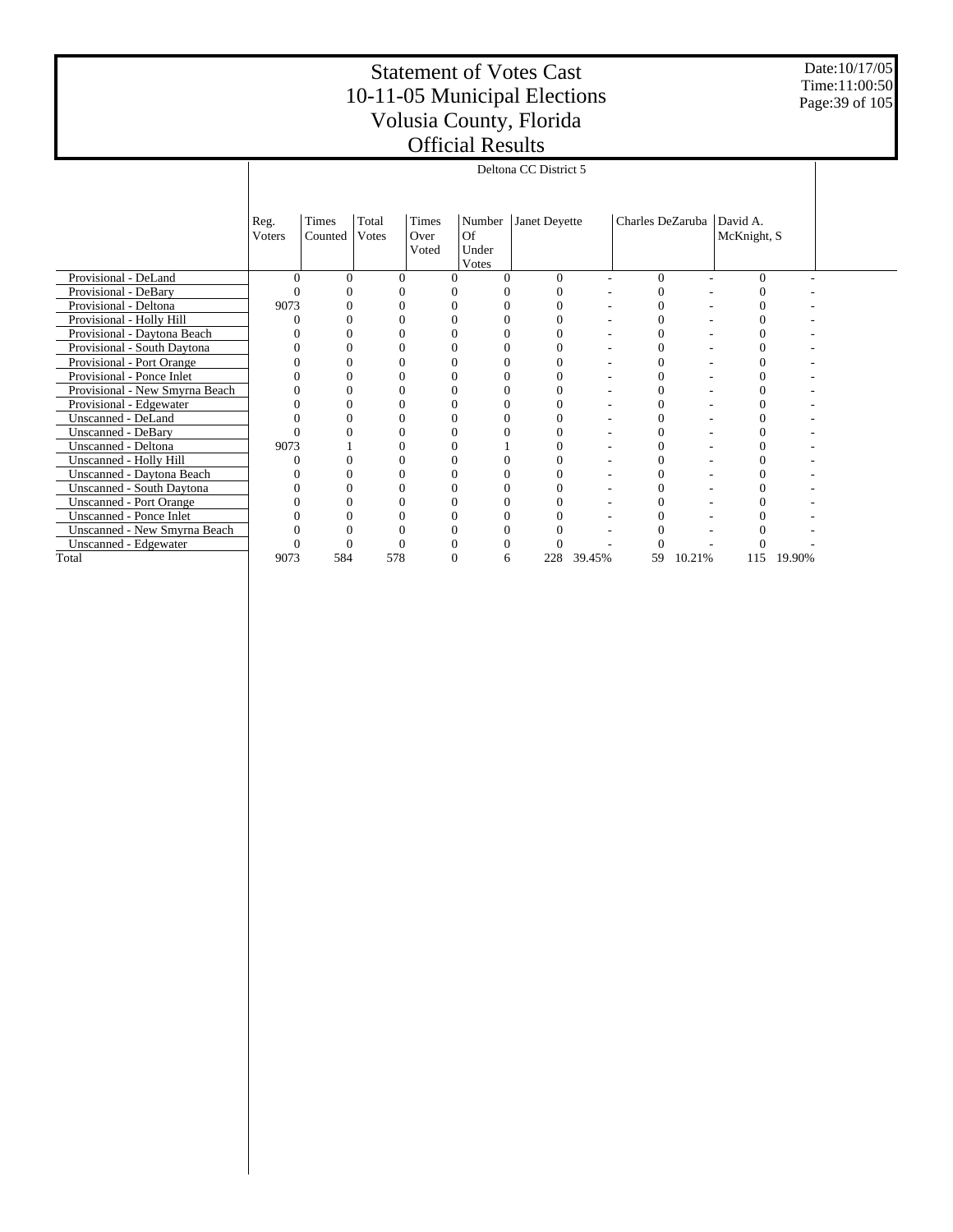Date:10/17/05 Time:11:00:50 Page:39 of 105

|                                |          |                       |       |          | 1110161 1100616      |               |        |                  |        |               |        |  |
|--------------------------------|----------|-----------------------|-------|----------|----------------------|---------------|--------|------------------|--------|---------------|--------|--|
|                                |          | Deltona CC District 5 |       |          |                      |               |        |                  |        |               |        |  |
|                                |          |                       |       |          |                      |               |        |                  |        |               |        |  |
|                                |          |                       |       |          |                      |               |        |                  |        |               |        |  |
|                                | Reg.     | Times                 | Total | Times    | Number               | Janet Deyette |        | Charles DeZaruba |        | David A.      |        |  |
|                                | Voters   | Counted               | Votes | Over     | Of                   |               |        |                  |        | McKnight, S   |        |  |
|                                |          |                       |       | Voted    | Under                |               |        |                  |        |               |        |  |
|                                |          |                       |       |          | Votes                |               |        |                  |        |               |        |  |
| Provisional - DeLand           | $\Omega$ | $\Omega$              |       | $\Omega$ | $\Omega$<br>$\Omega$ | $\Omega$      |        | $\Omega$         |        | $\Omega$      |        |  |
| Provisional - DeBary           |          |                       |       |          |                      |               |        |                  |        |               |        |  |
| Provisional - Deltona          | 9073     |                       |       |          | 0                    |               |        |                  |        | 0             |        |  |
| Provisional - Holly Hill       |          |                       |       |          |                      |               |        |                  |        |               |        |  |
| Provisional - Daytona Beach    |          |                       |       |          | 0                    |               |        | 0                |        | 0             |        |  |
| Provisional - South Daytona    |          |                       |       |          |                      |               |        |                  |        |               |        |  |
| Provisional - Port Orange      |          |                       |       |          | 0                    |               |        |                  |        | $\mathcal{L}$ |        |  |
| Provisional - Ponce Inlet      |          |                       |       |          |                      |               |        |                  |        |               |        |  |
| Provisional - New Smyrna Beach |          |                       |       |          | 0                    |               |        |                  |        |               |        |  |
| Provisional - Edgewater        |          |                       |       |          |                      |               |        |                  |        |               |        |  |
| Unscanned - DeLand             |          |                       |       |          |                      |               |        |                  |        |               |        |  |
| <b>Unscanned - DeBary</b>      |          |                       |       |          |                      |               |        |                  |        |               |        |  |
| Unscanned - Deltona            | 9073     |                       |       |          |                      |               |        |                  |        |               |        |  |
| Unscanned - Holly Hill         |          |                       |       |          |                      |               |        |                  |        |               |        |  |
| Unscanned - Daytona Beach      |          |                       |       |          |                      |               |        |                  |        |               |        |  |
| Unscanned - South Daytona      |          |                       |       |          |                      |               |        |                  |        |               |        |  |
| <b>Unscanned - Port Orange</b> |          |                       |       |          |                      |               |        |                  |        |               |        |  |
| Unscanned - Ponce Inlet        |          |                       |       |          |                      |               |        |                  |        |               |        |  |
| Unscanned - New Smyrna Beach   |          |                       |       |          |                      |               |        |                  |        |               |        |  |
| Unscanned - Edgewater          |          |                       |       |          |                      |               |        |                  |        |               |        |  |
| Total                          | 9073     | 584                   | 578   |          | $\Omega$<br>6        | 228           | 39.45% | 59               | 10.21% | 115           | 19.90% |  |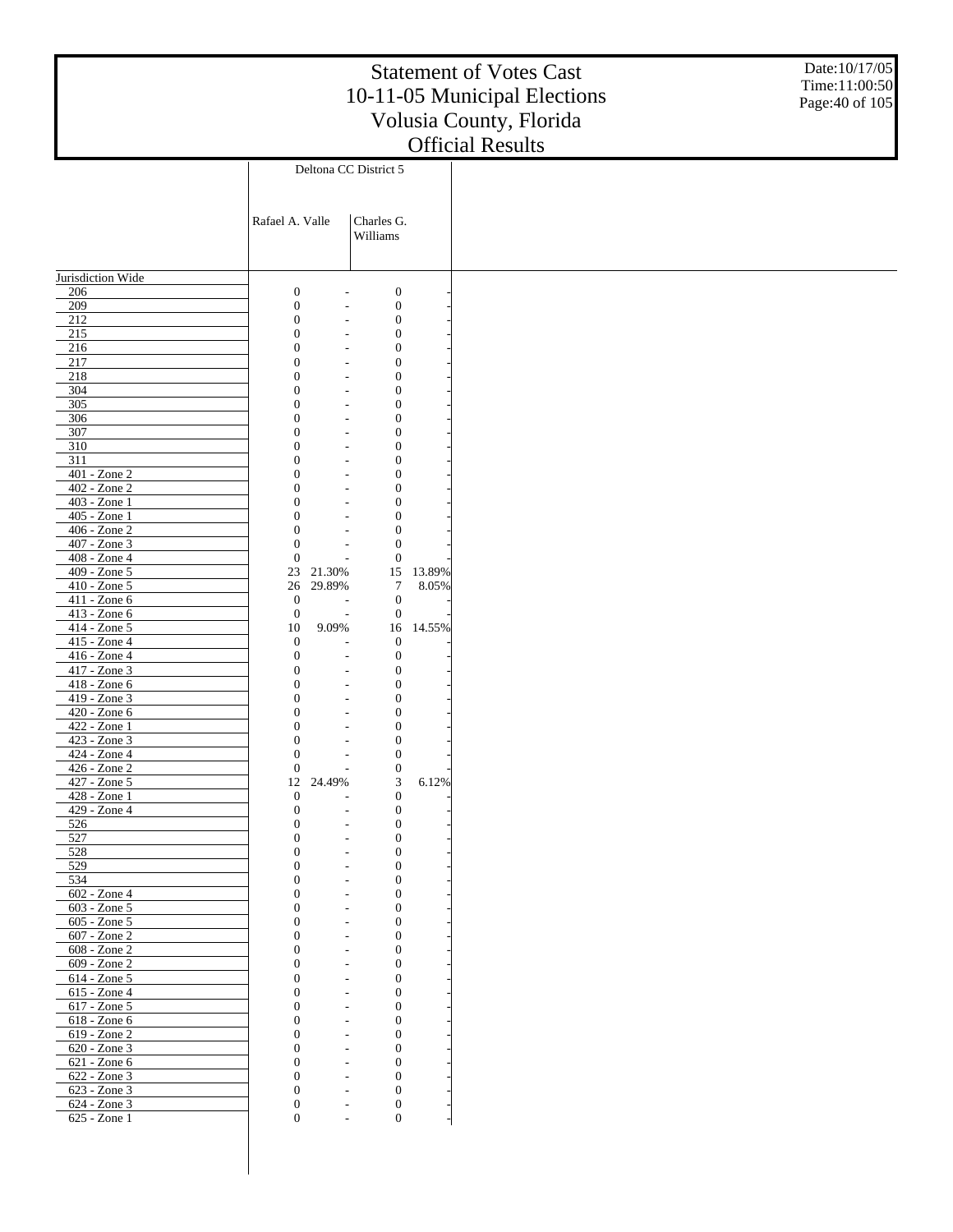Date:10/17/05 Time:11:00:50 Page:40 of 105

|                   |                  |                          | Deltona CC District 5                |        |
|-------------------|------------------|--------------------------|--------------------------------------|--------|
|                   |                  |                          |                                      |        |
|                   |                  |                          |                                      |        |
|                   | Rafael A. Valle  |                          | Charles G.                           |        |
|                   |                  |                          | Williams                             |        |
|                   |                  |                          |                                      |        |
|                   |                  |                          |                                      |        |
| Jurisdiction Wide |                  |                          |                                      |        |
| 206               | $\boldsymbol{0}$ |                          | $\boldsymbol{0}$                     |        |
| 209               | $\mathbf{0}$     | $\overline{a}$           | $\boldsymbol{0}$                     |        |
| 212               | $\mathbf{0}$     | $\overline{a}$           | $\boldsymbol{0}$                     |        |
| 215               | $\overline{0}$   |                          | $\boldsymbol{0}$                     |        |
| 216               | $\overline{0}$   | $\overline{a}$           | $\boldsymbol{0}$                     |        |
| 217               | $\overline{0}$   | $\overline{a}$           | $\boldsymbol{0}$                     |        |
| 218               | $\overline{0}$   | $\overline{a}$           | $\boldsymbol{0}$                     |        |
| 304               | $\overline{0}$   | $\overline{a}$           | $\boldsymbol{0}$                     |        |
| 305               | $\overline{0}$   | $\overline{a}$           | $\boldsymbol{0}$                     |        |
| 306               | $\overline{0}$   | $\overline{a}$           | $\boldsymbol{0}$                     |        |
| 307               | $\overline{0}$   | $\overline{a}$           | $\boldsymbol{0}$                     |        |
| 310               | $\overline{0}$   | $\overline{a}$           | $\boldsymbol{0}$                     |        |
| 311               | $\overline{0}$   | $\overline{a}$           | $\boldsymbol{0}$                     |        |
| 401 - Zone 2      | $\overline{0}$   | $\overline{a}$           | $\boldsymbol{0}$                     |        |
| 402 - Zone 2      | $\overline{0}$   |                          | $\boldsymbol{0}$                     |        |
| 403 - Zone 1      | $\overline{0}$   | $\overline{a}$           | $\boldsymbol{0}$                     |        |
| 405 - Zone 1      | $\overline{0}$   |                          | $\boldsymbol{0}$                     |        |
| 406 - Zone 2      | $\overline{0}$   |                          | $\boldsymbol{0}$                     |        |
| 407 - Zone 3      | $\mathbf{0}$     |                          | $\boldsymbol{0}$                     |        |
| 408 - Zone 4      | $\mathbf{0}$     | $\overline{a}$           | $\mathbf{0}$                         |        |
| 409 - Zone 5      | 23               | 21.30%                   | 15                                   | 13.89% |
| 410 - Zone 5      | 26               | 29.89%                   | $\tau$                               | 8.05%  |
| 411 - Zone 6      | $\boldsymbol{0}$ | ÷,                       | $\mathbf{0}$                         |        |
| $413 - Z$ one 6   | $\boldsymbol{0}$ | $\overline{\phantom{a}}$ | $\mathbf{0}$                         |        |
| 414 - Zone 5      | 10               | 9.09%                    | 16                                   | 14.55% |
| 415 - Zone 4      | $\boldsymbol{0}$ |                          | $\mathbf{0}$                         |        |
| 416 - Zone 4      | $\mathbf{0}$     | $\overline{a}$           | $\boldsymbol{0}$                     |        |
| 417 - Zone 3      | $\mathbf{0}$     | $\overline{a}$           | $\boldsymbol{0}$                     |        |
| 418 - Zone 6      | $\overline{0}$   | L,                       | $\boldsymbol{0}$                     |        |
| 419 - Zone 3      | $\overline{0}$   | $\overline{a}$           | $\boldsymbol{0}$                     |        |
| 420 - Zone 6      | $\overline{0}$   | $\overline{a}$           | $\boldsymbol{0}$                     |        |
|                   | $\overline{0}$   |                          |                                      |        |
| 422 - Zone 1      | $\overline{0}$   |                          | $\boldsymbol{0}$<br>$\boldsymbol{0}$ |        |
| 423 - Zone 3      | $\mathbf{0}$     |                          |                                      |        |
| 424 - Zone 4      |                  |                          | $\boldsymbol{0}$                     |        |
| 426 - Zone 2      | $\boldsymbol{0}$ |                          | $\boldsymbol{0}$                     |        |
| 427 - Zone 5      | 12               | 24.49%                   | 3                                    | 6.12%  |
| 428 - Zone 1      | $\mathbf{0}$     |                          | $\boldsymbol{0}$                     |        |
| 429 - Zone 4      | $\mathbf{0}$     | $\overline{a}$           | $\boldsymbol{0}$                     |        |
| 526               | $\boldsymbol{0}$ |                          | $\boldsymbol{0}$                     |        |
| 527               | 0                | $\overline{a}$           | $\boldsymbol{0}$                     |        |
| 528               | $\overline{0}$   | $\overline{a}$           | $\theta$                             |        |
| 529               | $\boldsymbol{0}$ |                          | $\mathbf{0}$                         |        |
| $\sqrt{534}$      | $\mathbf{0}$     |                          | $\boldsymbol{0}$                     |        |
| 602 - Zone 4      | $\mathbf{0}$     |                          | $\boldsymbol{0}$                     |        |
| 603 - Zone 5      | $\mathbf{0}$     |                          | $\boldsymbol{0}$                     |        |
| 605 - Zone 5      | $\overline{0}$   |                          | $\boldsymbol{0}$                     |        |
| 607 - Zone 2      | $\overline{0}$   |                          | $\boldsymbol{0}$                     |        |
| 608 - Zone 2      | $\overline{0}$   |                          | $\boldsymbol{0}$                     |        |
| 609 - Zone 2      | $\overline{0}$   | $\overline{a}$           | $\boldsymbol{0}$                     |        |
| 614 - Zone 5      | $\overline{0}$   |                          | $\boldsymbol{0}$                     |        |
| 615 - Zone 4      | $\mathbf{0}$     | $\overline{a}$           | $\boldsymbol{0}$                     |        |
| 617 - Zone 5      | $\overline{0}$   |                          | $\boldsymbol{0}$                     |        |
| 618 - Zone 6      | $\overline{0}$   | ÷,                       | $\boldsymbol{0}$                     |        |
| 619 - Zone 2      | $\overline{0}$   |                          | $\boldsymbol{0}$                     |        |
| 620 - Zone 3      | $\overline{0}$   |                          | $\boldsymbol{0}$                     |        |
| 621 - Zone 6      | $\overline{0}$   |                          | $\boldsymbol{0}$                     |        |
| 622 - Zone 3      | $\overline{0}$   |                          | $\boldsymbol{0}$                     |        |
| 623 - Zone 3      | $\overline{0}$   |                          | $\boldsymbol{0}$                     |        |
| 624 - Zone 3      | $\boldsymbol{0}$ |                          | $\boldsymbol{0}$                     |        |
| 625 - Zone 1      | $\boldsymbol{0}$ | L,                       | $\boldsymbol{0}$                     |        |
|                   |                  |                          |                                      |        |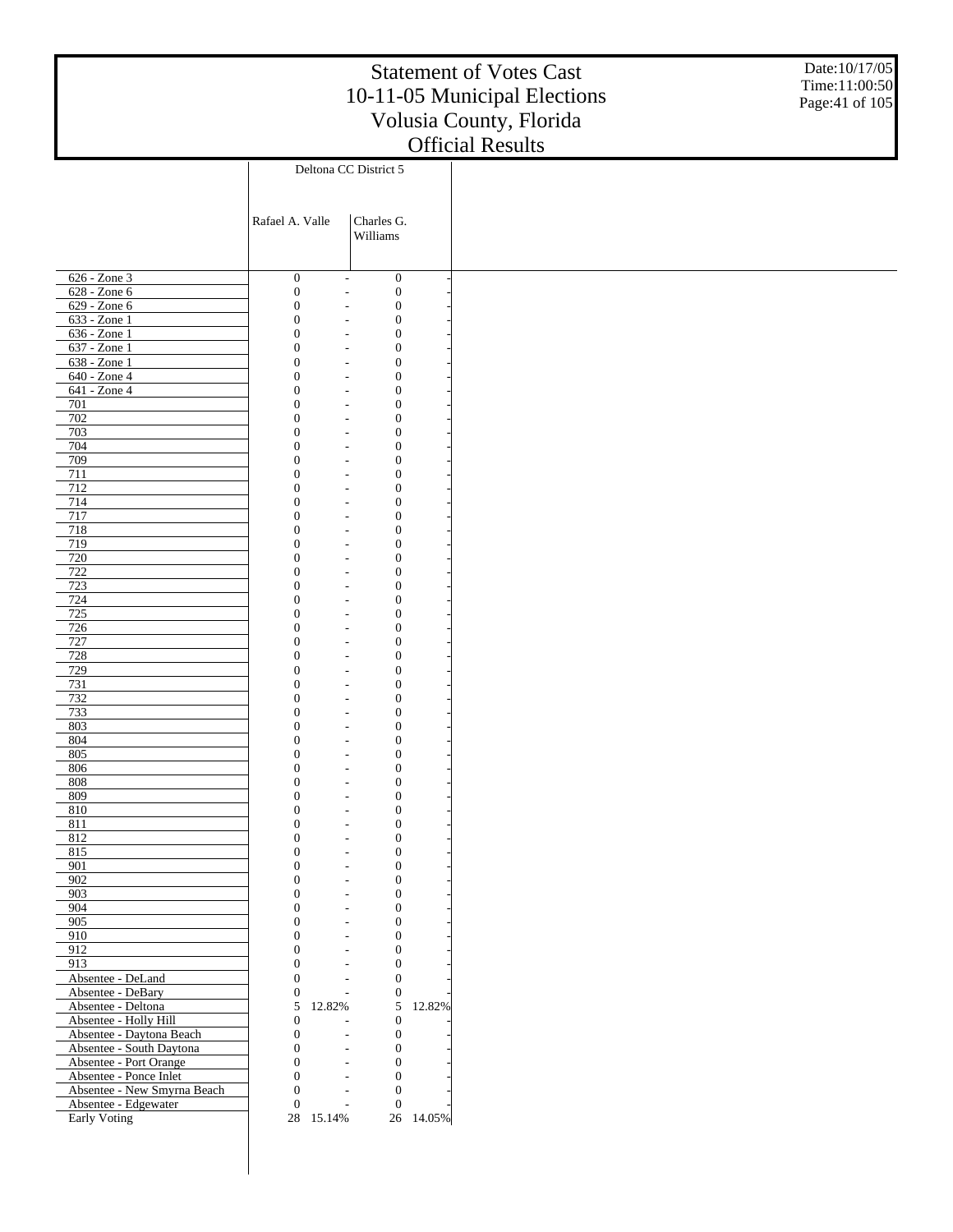Date:10/17/05 Time:11:00:50 Page:41 of 105

|                                      |                                      | Deltona CC District 5                                                                        |           |
|--------------------------------------|--------------------------------------|----------------------------------------------------------------------------------------------|-----------|
|                                      |                                      |                                                                                              |           |
|                                      |                                      |                                                                                              |           |
|                                      | Rafael A. Valle                      | Charles G.<br>Williams                                                                       |           |
|                                      |                                      |                                                                                              |           |
|                                      |                                      |                                                                                              |           |
| 626 - Zone 3                         | $\boldsymbol{0}$                     | $\boldsymbol{0}$<br>$\overline{\phantom{a}}$                                                 |           |
| 628 - Zone 6                         | $\boldsymbol{0}$                     | $\boldsymbol{0}$<br>$\overline{\phantom{a}}$                                                 |           |
| 629 - Zone 6                         | $\boldsymbol{0}$                     | $\boldsymbol{0}$<br>$\overline{\phantom{a}}$                                                 |           |
| 633 - Zone 1                         | $\mathbf{0}$                         | $\boldsymbol{0}$<br>$\overline{\phantom{a}}$                                                 |           |
| 636 - Zone 1<br>637 - Zone 1         | $\boldsymbol{0}$<br>$\boldsymbol{0}$ | $\boldsymbol{0}$<br>$\overline{\phantom{a}}$<br>$\boldsymbol{0}$<br>$\overline{\phantom{a}}$ |           |
| 638 - Zone 1                         | $\theta$                             | $\boldsymbol{0}$<br>$\overline{\phantom{a}}$                                                 |           |
| 640 - Zone 4                         | $\boldsymbol{0}$                     | $\boldsymbol{0}$<br>$\overline{\phantom{a}}$                                                 |           |
| 641 - Zone 4                         | $\boldsymbol{0}$                     | $\boldsymbol{0}$<br>$\overline{\phantom{a}}$                                                 |           |
| 701                                  | $\boldsymbol{0}$                     | $\boldsymbol{0}$<br>$\overline{\phantom{a}}$                                                 |           |
| 702                                  | $\theta$                             | $\boldsymbol{0}$<br>$\overline{\phantom{a}}$                                                 |           |
| 703                                  | $\boldsymbol{0}$                     | $\boldsymbol{0}$<br>$\overline{\phantom{a}}$                                                 |           |
| 704                                  | $\theta$                             | $\boldsymbol{0}$<br>$\overline{\phantom{a}}$                                                 |           |
| 709                                  | $\boldsymbol{0}$                     | $\boldsymbol{0}$<br>$\overline{\phantom{a}}$                                                 |           |
| 711                                  | $\theta$                             | $\boldsymbol{0}$<br>$\overline{\phantom{a}}$                                                 |           |
| 712<br>714                           | $\boldsymbol{0}$<br>$\theta$         | $\boldsymbol{0}$<br>$\overline{\phantom{a}}$<br>$\boldsymbol{0}$<br>$\overline{\phantom{a}}$ |           |
| 717                                  | $\boldsymbol{0}$                     | $\boldsymbol{0}$<br>$\overline{\phantom{a}}$                                                 |           |
| 718                                  | $\theta$                             | $\boldsymbol{0}$<br>$\overline{\phantom{a}}$                                                 |           |
| 719                                  | $\boldsymbol{0}$                     | $\boldsymbol{0}$<br>$\overline{\phantom{a}}$                                                 |           |
| 720                                  | $\theta$                             | $\boldsymbol{0}$<br>$\overline{\phantom{a}}$                                                 |           |
| 722                                  | 0                                    | $\boldsymbol{0}$<br>$\overline{\phantom{a}}$                                                 |           |
| 723                                  | $\theta$                             | $\boldsymbol{0}$<br>$\overline{\phantom{a}}$                                                 |           |
| 724                                  | 0                                    | $\boldsymbol{0}$<br>$\overline{\phantom{a}}$                                                 |           |
| $\overline{725}$                     | $\theta$                             | $\boldsymbol{0}$<br>$\overline{\phantom{a}}$                                                 |           |
| 726                                  | 0                                    | $\boldsymbol{0}$<br>$\overline{\phantom{a}}$                                                 |           |
| 727<br>728                           | $\theta$<br>0                        | $\boldsymbol{0}$<br>$\overline{\phantom{a}}$<br>$\boldsymbol{0}$<br>$\overline{\phantom{a}}$ |           |
| 729                                  | $\theta$                             | $\boldsymbol{0}$<br>$\overline{\phantom{a}}$                                                 |           |
| 731                                  | 0                                    | $\boldsymbol{0}$<br>$\overline{\phantom{a}}$                                                 |           |
| 732                                  | $\theta$                             | $\boldsymbol{0}$<br>$\overline{\phantom{a}}$                                                 |           |
| 733                                  | 0                                    | $\boldsymbol{0}$<br>$\overline{\phantom{a}}$                                                 |           |
| 803                                  | $\theta$                             | $\boldsymbol{0}$<br>$\overline{\phantom{a}}$                                                 |           |
| 804                                  | 0                                    | $\boldsymbol{0}$<br>$\overline{\phantom{a}}$                                                 |           |
| 805                                  | $\theta$                             | $\boldsymbol{0}$<br>$\overline{\phantom{a}}$                                                 |           |
| 806                                  | 0                                    | $\boldsymbol{0}$<br>$\overline{\phantom{a}}$                                                 |           |
| 808                                  | 0                                    | $\boldsymbol{0}$<br>$\overline{\phantom{a}}$                                                 |           |
| 809<br>810                           | 0<br>$\theta$                        | $\boldsymbol{0}$<br>$\overline{\phantom{a}}$<br>$\boldsymbol{0}$<br>$\overline{\phantom{a}}$ |           |
| 811                                  | 0                                    | $\boldsymbol{0}$<br>$\overline{\phantom{a}}$                                                 |           |
| 812                                  | $\theta$                             | $\boldsymbol{0}$<br>$\overline{\phantom{a}}$                                                 |           |
| 815                                  | $\overline{0}$                       | $\boldsymbol{0}$<br>$\overline{\phantom{a}}$                                                 |           |
| 901                                  | $\boldsymbol{0}$                     | $\boldsymbol{0}$                                                                             |           |
| 902                                  | $\boldsymbol{0}$                     | $\boldsymbol{0}$                                                                             |           |
| 903                                  | $\overline{0}$                       | $\boldsymbol{0}$                                                                             |           |
| 904                                  | $\theta$                             | $\boldsymbol{0}$                                                                             |           |
| 905                                  | $\theta$                             | $\boldsymbol{0}$<br>$\overline{a}$                                                           |           |
| 910<br>912                           | $\theta$<br>$\theta$                 | $\boldsymbol{0}$<br>$\boldsymbol{0}$<br>$\sim$                                               |           |
| 913                                  | $\theta$                             | $\boldsymbol{0}$                                                                             |           |
| Absentee - DeLand                    | $\Omega$                             | $\boldsymbol{0}$                                                                             |           |
| Absentee - DeBary                    | $\boldsymbol{0}$                     | $\boldsymbol{0}$                                                                             |           |
| Absentee - Deltona                   | 5<br>12.82%                          | $\mathfrak s$                                                                                | 12.82%    |
| Absentee - Holly Hill                | $\mathbf{0}$                         | $\boldsymbol{0}$                                                                             |           |
| Absentee - Daytona Beach             | $\boldsymbol{0}$                     | $\boldsymbol{0}$                                                                             |           |
| Absentee - South Daytona             | $\overline{0}$                       | $\boldsymbol{0}$                                                                             |           |
| Absentee - Port Orange               | $\theta$                             | $\boldsymbol{0}$<br>$\sim$                                                                   |           |
| Absentee - Ponce Inlet               | $\theta$                             | $\boldsymbol{0}$                                                                             |           |
| Absentee - New Smyrna Beach          | $\Omega$                             | $\boldsymbol{0}$                                                                             |           |
| Absentee - Edgewater<br>Early Voting | $\boldsymbol{0}$<br>28 15.14%        | $\mathbf{0}$<br>$\overline{a}$                                                               | 26 14.05% |
|                                      |                                      |                                                                                              |           |
|                                      |                                      |                                                                                              |           |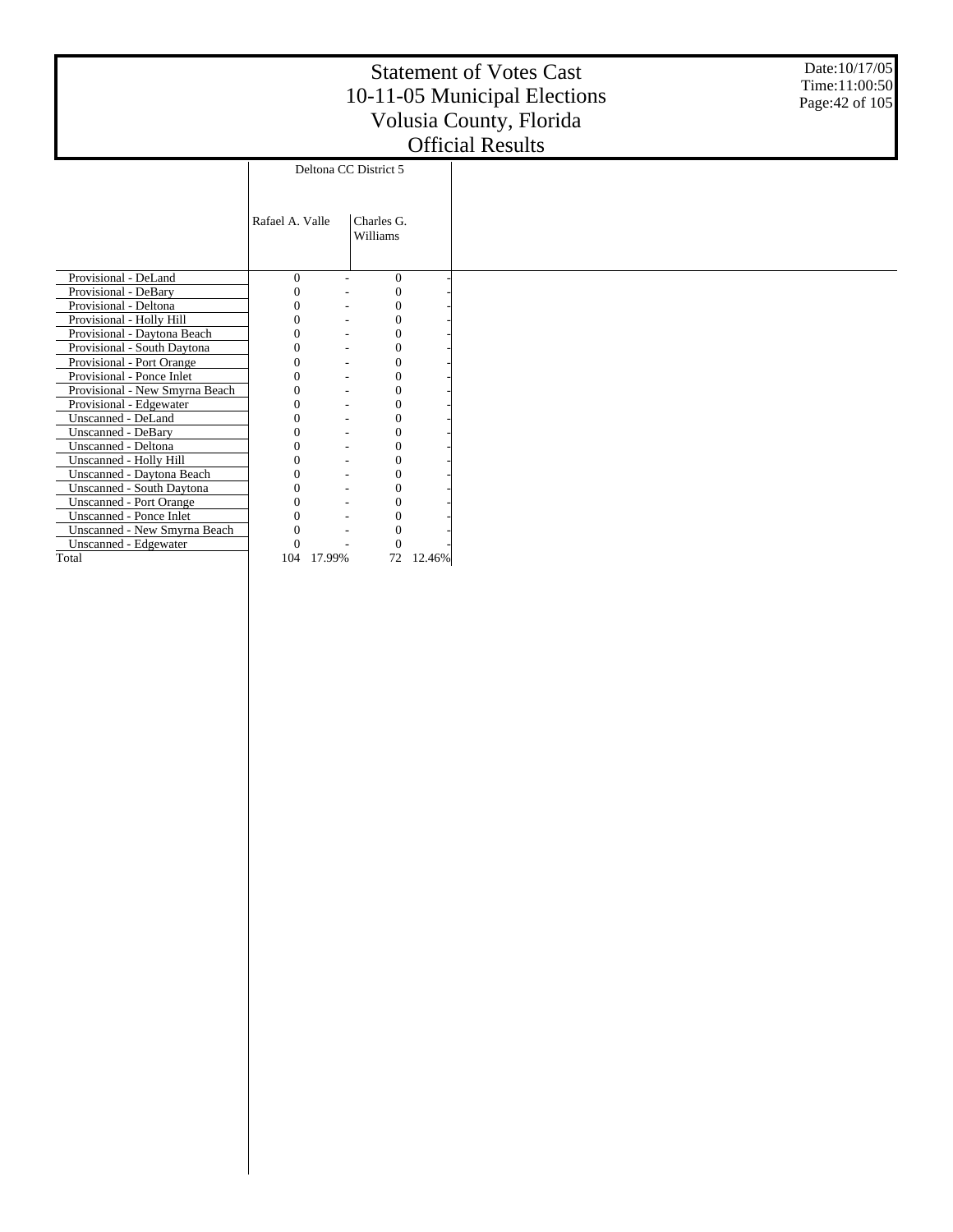Date:10/17/05 Time:11:00:50 Page:42 of 105

|                                     |                 |                       |                  |        | UHIUM RUSURS |
|-------------------------------------|-----------------|-----------------------|------------------|--------|--------------|
|                                     |                 | Deltona CC District 5 |                  |        |              |
|                                     |                 |                       |                  |        |              |
|                                     |                 |                       |                  |        |              |
|                                     | Rafael A. Valle | Charles G.            |                  |        |              |
|                                     |                 | Williams              |                  |        |              |
|                                     |                 |                       |                  |        |              |
|                                     |                 |                       |                  |        |              |
| Provisional - DeLand                | $\Omega$        |                       | $\mathbf{0}$     |        |              |
| Provisional - DeBary                |                 |                       | $\mathbf{0}$     |        |              |
| Provisional - Deltona               | 0               |                       | $\mathbf{0}$     |        |              |
| Provisional - Holly Hill            |                 |                       | $\mathbf{0}$     |        |              |
| Provisional - Daytona Beach         | 0               |                       | $\mathbf{0}$     |        |              |
| Provisional - South Daytona         | 0               |                       | $\mathbf{0}$     |        |              |
| Provisional - Port Orange           | $\Omega$        |                       | $\mathbf{0}$     |        |              |
| Provisional - Ponce Inlet           |                 |                       | $\mathbf{0}$     |        |              |
| Provisional - New Smyrna Beach      | 0               |                       | $\mathbf{0}$     |        |              |
| Provisional - Edgewater             |                 |                       | $\mathbf{0}$     |        |              |
| Unscanned - DeLand                  |                 |                       | $\overline{0}$   |        |              |
| Unscanned - DeBary                  |                 |                       | 0                |        |              |
| Unscanned - Deltona                 |                 |                       | $\overline{0}$   |        |              |
| Unscanned - Holly Hill              |                 |                       | $\mathbf{0}$     |        |              |
| Unscanned - Daytona Beach           | 0               |                       | $\boldsymbol{0}$ |        |              |
| Unscanned - South Daytona           |                 |                       | $\mathbf{0}$     |        |              |
| <b>Unscanned - Port Orange</b>      |                 |                       | $\overline{0}$   |        |              |
| Unscanned - Ponce Inlet             |                 |                       | $\boldsymbol{0}$ |        |              |
| <b>Unscanned - New Smyrna Beach</b> |                 |                       | $\overline{0}$   |        |              |
| Unscanned - Edgewater               | $\Omega$        |                       | $\theta$         |        |              |
| Total                               | 104             | 17.99%                | 72               | 12.46% |              |
|                                     |                 |                       |                  |        |              |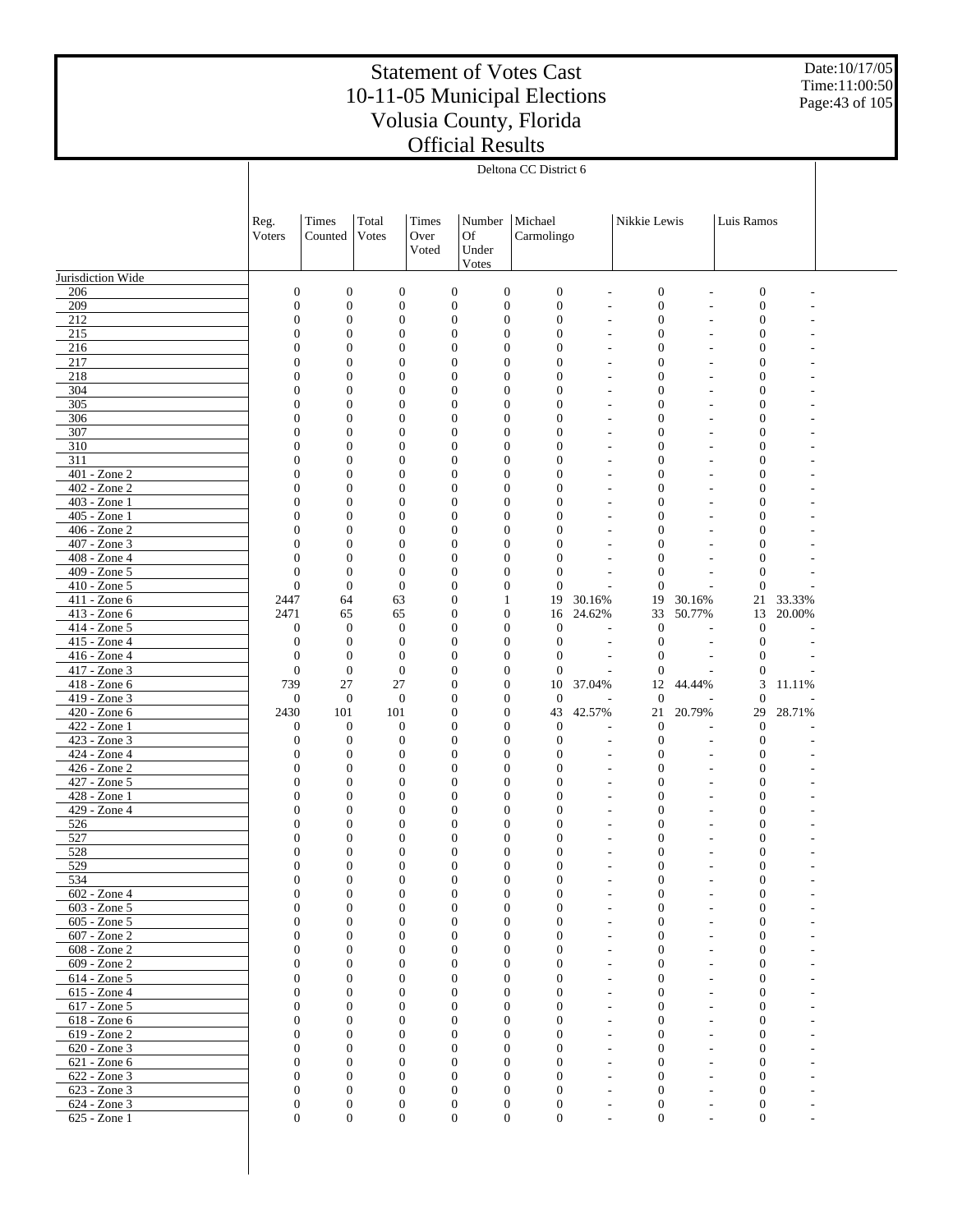Date:10/17/05 Time:11:00:50 Page:43 of 105

|                                 |                                  |                                      |                                      |                                      |                                      | Deltona CC District 6          |                                            |                                      |                                                      |                                      |                  |  |
|---------------------------------|----------------------------------|--------------------------------------|--------------------------------------|--------------------------------------|--------------------------------------|--------------------------------|--------------------------------------------|--------------------------------------|------------------------------------------------------|--------------------------------------|------------------|--|
|                                 |                                  |                                      |                                      |                                      |                                      |                                |                                            |                                      |                                                      |                                      |                  |  |
|                                 |                                  |                                      |                                      |                                      |                                      |                                |                                            |                                      |                                                      |                                      |                  |  |
|                                 | Reg.<br>Voters                   | Times<br>Counted                     | Total<br>Votes                       | Times<br>Over                        | Number<br><b>Of</b>                  | Michael<br>Carmolingo          |                                            | Nikkie Lewis                         |                                                      | Luis Ramos                           |                  |  |
|                                 |                                  |                                      |                                      | Voted                                | Under                                |                                |                                            |                                      |                                                      |                                      |                  |  |
|                                 |                                  |                                      |                                      |                                      | Votes                                |                                |                                            |                                      |                                                      |                                      |                  |  |
| Jurisdiction Wide               |                                  |                                      |                                      |                                      |                                      |                                |                                            |                                      |                                                      |                                      |                  |  |
| 206                             | $\mathbf{0}$                     | $\boldsymbol{0}$                     | $\boldsymbol{0}$                     | $\boldsymbol{0}$                     | $\boldsymbol{0}$                     | $\boldsymbol{0}$               | $\overline{a}$                             | $\boldsymbol{0}$                     | $\overline{a}$                                       | $\boldsymbol{0}$                     |                  |  |
| 209<br>212                      | $\boldsymbol{0}$<br>$\mathbf{0}$ | $\boldsymbol{0}$<br>$\mathbf{0}$     | $\boldsymbol{0}$<br>$\boldsymbol{0}$ | $\boldsymbol{0}$<br>$\boldsymbol{0}$ | $\boldsymbol{0}$<br>$\boldsymbol{0}$ | $\mathbf{0}$<br>$\mathbf{0}$   | $\overline{a}$<br>$\overline{a}$           | $\boldsymbol{0}$<br>$\boldsymbol{0}$ | $\overline{\phantom{a}}$<br>$\overline{\phantom{a}}$ | $\boldsymbol{0}$<br>$\boldsymbol{0}$ |                  |  |
| 215                             | $\boldsymbol{0}$                 | $\boldsymbol{0}$                     | $\boldsymbol{0}$                     | $\boldsymbol{0}$                     | $\boldsymbol{0}$                     | $\mathbf{0}$                   |                                            | $\boldsymbol{0}$                     |                                                      | $\boldsymbol{0}$                     |                  |  |
| 216                             | $\mathbf{0}$                     | $\boldsymbol{0}$                     | $\mathbf{0}$                         | $\boldsymbol{0}$                     | $\boldsymbol{0}$                     | $\mathbf{0}$                   | $\overline{a}$                             | $\boldsymbol{0}$                     | $\overline{\phantom{a}}$                             | $\boldsymbol{0}$                     |                  |  |
| 217                             | 0                                | $\mathbf{0}$                         | $\mathbf{0}$                         | $\boldsymbol{0}$                     | $\boldsymbol{0}$                     | $\mathbf{0}$                   | $\overline{\phantom{a}}$                   | $\boldsymbol{0}$                     |                                                      | $\boldsymbol{0}$                     |                  |  |
| 218<br>304                      | $\mathbf{0}$<br>0                | $\mathbf{0}$<br>$\boldsymbol{0}$     | $\mathbf{0}$<br>$\boldsymbol{0}$     | $\boldsymbol{0}$<br>$\boldsymbol{0}$ | $\boldsymbol{0}$<br>$\boldsymbol{0}$ | $\mathbf{0}$<br>$\mathbf{0}$   | $\overline{\phantom{a}}$<br>$\overline{a}$ | $\boldsymbol{0}$<br>$\boldsymbol{0}$ | $\overline{\phantom{a}}$<br>$\overline{a}$           | $\boldsymbol{0}$<br>$\boldsymbol{0}$ |                  |  |
| 305                             | $\mathbf{0}$                     | $\boldsymbol{0}$                     | $\mathbf{0}$                         | $\boldsymbol{0}$                     | $\boldsymbol{0}$                     | $\mathbf{0}$                   | $\overline{\phantom{a}}$                   | $\boldsymbol{0}$                     | $\overline{\phantom{a}}$                             | $\boldsymbol{0}$                     |                  |  |
| 306                             | $\boldsymbol{0}$                 | $\boldsymbol{0}$                     | $\mathbf{0}$                         | $\boldsymbol{0}$                     | $\boldsymbol{0}$                     | $\mathbf{0}$                   | $\overline{a}$                             | $\boldsymbol{0}$                     | $\overline{a}$                                       | $\boldsymbol{0}$                     |                  |  |
| 307                             | $\mathbf{0}$                     | $\boldsymbol{0}$                     | $\mathbf{0}$                         | $\boldsymbol{0}$                     | $\boldsymbol{0}$                     | $\mathbf{0}$                   | $\overline{\phantom{a}}$                   | $\boldsymbol{0}$                     | $\overline{\phantom{a}}$                             | $\boldsymbol{0}$                     |                  |  |
| 310<br>311                      | 0<br>$\mathbf{0}$                | $\boldsymbol{0}$<br>$\boldsymbol{0}$ | $\boldsymbol{0}$<br>$\mathbf{0}$     | $\boldsymbol{0}$<br>$\boldsymbol{0}$ | $\boldsymbol{0}$<br>$\boldsymbol{0}$ | $\mathbf{0}$<br>$\mathbf{0}$   | $\overline{a}$                             | $\boldsymbol{0}$<br>$\boldsymbol{0}$ | $\overline{a}$<br>$\overline{\phantom{a}}$           | $\boldsymbol{0}$<br>$\boldsymbol{0}$ |                  |  |
| 401 - Zone 2                    | $\boldsymbol{0}$                 | $\overline{0}$                       | $\mathbf{0}$                         | $\boldsymbol{0}$                     | $\boldsymbol{0}$                     | $\mathbf{0}$                   | $\overline{a}$<br>$\overline{\phantom{a}}$ | $\boldsymbol{0}$                     | $\overline{a}$                                       | $\boldsymbol{0}$                     |                  |  |
| $402 - Z$ one 2                 | $\mathbf{0}$                     | $\boldsymbol{0}$                     | $\mathbf{0}$                         | $\boldsymbol{0}$                     | $\boldsymbol{0}$                     | $\mathbf{0}$                   | $\overline{a}$                             | $\boldsymbol{0}$                     | $\overline{\phantom{a}}$                             | $\boldsymbol{0}$                     |                  |  |
| 403 - Zone 1                    | $\overline{0}$                   | $\boldsymbol{0}$                     | $\mathbf{0}$                         | $\boldsymbol{0}$                     | $\boldsymbol{0}$                     | $\overline{0}$                 |                                            | $\boldsymbol{0}$                     |                                                      | $\boldsymbol{0}$                     |                  |  |
| 405 - Zone 1                    | $\mathbf{0}$                     | $\boldsymbol{0}$                     | $\mathbf{0}$                         | $\boldsymbol{0}$                     | $\boldsymbol{0}$                     | $\mathbf{0}$                   | $\overline{a}$                             | $\boldsymbol{0}$                     | $\overline{\phantom{a}}$                             | $\boldsymbol{0}$                     |                  |  |
| 406 - Zone 2<br>407 - Zone 3    | $\boldsymbol{0}$<br>$\mathbf{0}$ | $\overline{0}$<br>$\boldsymbol{0}$   | $\mathbf{0}$<br>$\mathbf{0}$         | $\boldsymbol{0}$<br>$\boldsymbol{0}$ | $\boldsymbol{0}$<br>$\boldsymbol{0}$ | $\overline{0}$<br>$\mathbf{0}$ | $\overline{a}$                             | $\boldsymbol{0}$<br>$\boldsymbol{0}$ | $\overline{\phantom{a}}$                             | $\boldsymbol{0}$<br>$\boldsymbol{0}$ |                  |  |
| 408 - Zone 4                    | $\mathbf{0}$                     | $\boldsymbol{0}$                     | $\boldsymbol{0}$                     | $\boldsymbol{0}$                     | $\boldsymbol{0}$                     | $\overline{0}$                 |                                            | $\boldsymbol{0}$                     |                                                      | $\mathbf{0}$                         |                  |  |
| 409 - Zone 5                    | $\mathbf{0}$                     | $\boldsymbol{0}$                     | $\theta$                             | $\boldsymbol{0}$                     | $\boldsymbol{0}$                     | $\overline{0}$                 | $\overline{a}$                             | $\mathbf{0}$                         | $\overline{\phantom{a}}$                             | $\boldsymbol{0}$                     |                  |  |
| 410 - Zone 5                    | $\boldsymbol{0}$                 | $\boldsymbol{0}$                     | $\boldsymbol{0}$                     | $\boldsymbol{0}$                     | $\boldsymbol{0}$                     | $\overline{0}$                 | L,                                         | $\mathbf{0}$                         | ÷                                                    | $\boldsymbol{0}$                     |                  |  |
| 411 - Zone 6<br>413 - Zone 6    | 2447<br>2471                     | 64<br>65                             | 63<br>65                             | $\boldsymbol{0}$<br>$\boldsymbol{0}$ | $\mathbf{1}$<br>$\boldsymbol{0}$     | 19<br>16                       | 30.16%<br>24.62%                           | 19<br>33                             | 30.16%<br>50.77%                                     | 21<br>13                             | 33.33%<br>20.00% |  |
| 414 - Zone 5                    | $\mathbf{0}$                     | $\boldsymbol{0}$                     | $\mathbf{0}$                         | $\boldsymbol{0}$                     | $\boldsymbol{0}$                     | $\mathbf{0}$                   | $\overline{\phantom{a}}$                   | $\boldsymbol{0}$                     | $\overline{\phantom{a}}$                             | $\boldsymbol{0}$                     |                  |  |
| 415 - Zone 4                    | $\mathbf{0}$                     | $\boldsymbol{0}$                     | $\mathbf{0}$                         | $\boldsymbol{0}$                     | $\boldsymbol{0}$                     | $\mathbf{0}$                   | L,                                         | $\mathbf{0}$                         | $\overline{a}$                                       | $\boldsymbol{0}$                     |                  |  |
| 416 - Zone 4                    | $\mathbf{0}$                     | $\boldsymbol{0}$                     | $\mathbf{0}$                         | $\boldsymbol{0}$                     | $\boldsymbol{0}$                     | $\mathbf{0}$                   | ÷,                                         | $\boldsymbol{0}$                     | $\sim$                                               | $\boldsymbol{0}$                     |                  |  |
| 417 - Zone 3<br>$418 - Z$ one 6 | $\mathbf{0}$                     | $\boldsymbol{0}$                     | $\mathbf{0}$                         | $\boldsymbol{0}$                     | $\boldsymbol{0}$                     | $\mathbf{0}$                   | $\overline{a}$                             | $\mathbf{0}$                         | ÷.                                                   | $\boldsymbol{0}$<br>3                |                  |  |
| 419 - Zone 3                    | 739<br>$\mathbf{0}$              | 27<br>$\boldsymbol{0}$               | 27<br>$\mathbf{0}$                   | $\boldsymbol{0}$<br>$\boldsymbol{0}$ | $\boldsymbol{0}$<br>$\boldsymbol{0}$ | 10<br>$\mathbf{0}$             | 37.04%                                     | 12<br>$\mathbf{0}$                   | 44.44%                                               | $\mathbf{0}$                         | 11.11%           |  |
| 420 - Zone 6                    | 2430                             | 101                                  | 101                                  | $\boldsymbol{0}$                     | $\boldsymbol{0}$                     | 43                             | 42.57%                                     | 21                                   | 20.79%                                               | 29                                   | 28.71%           |  |
| 422 - Zone 1                    | $\mathbf{0}$                     | $\boldsymbol{0}$                     | $\boldsymbol{0}$                     | $\boldsymbol{0}$                     | $\boldsymbol{0}$                     | $\boldsymbol{0}$               |                                            | $\mathbf{0}$                         |                                                      | $\mathbf{0}$                         |                  |  |
| 423 - Zone 3<br>424 - Zone 4    | $\boldsymbol{0}$                 | $\boldsymbol{0}$                     | $\mathbf{0}$                         | $\boldsymbol{0}$                     | $\boldsymbol{0}$                     | $\mathbf{0}$                   | $\overline{a}$                             | $\mathbf{0}$                         | $\overline{a}$                                       | $\boldsymbol{0}$                     |                  |  |
| $426 - Zone$ 2                  | $\boldsymbol{0}$<br>$\mathbf{0}$ | $\boldsymbol{0}$<br>$\boldsymbol{0}$ | $\boldsymbol{0}$<br>$\boldsymbol{0}$ | $\boldsymbol{0}$<br>$\boldsymbol{0}$ | $\boldsymbol{0}$<br>$\boldsymbol{0}$ | $\mathbf{0}$<br>$\mathbf{0}$   | $\overline{a}$<br>$\overline{a}$           | $\boldsymbol{0}$<br>$\boldsymbol{0}$ | $\overline{\phantom{a}}$                             | $\boldsymbol{0}$<br>$\boldsymbol{0}$ |                  |  |
| 427 - Zone 5                    | $\boldsymbol{0}$                 | $\boldsymbol{0}$                     | $\boldsymbol{0}$                     | $\boldsymbol{0}$                     | $\boldsymbol{0}$                     | $\mathbf{0}$                   | $\overline{a}$                             | $\boldsymbol{0}$                     |                                                      | $\boldsymbol{0}$                     |                  |  |
| 428 - Zone 1                    | $\mathbf{0}$                     | $\boldsymbol{0}$                     | $\mathbf{0}$                         | $\boldsymbol{0}$                     | $\boldsymbol{0}$                     | $\mathbf{0}$                   | $\overline{a}$                             | $\boldsymbol{0}$                     |                                                      | $\boldsymbol{0}$                     |                  |  |
| 429 - Zone 4                    | $\boldsymbol{0}$                 | $\boldsymbol{0}$                     | $\mathbf{0}$                         | $\boldsymbol{0}$                     | $\boldsymbol{0}$                     | $\mathbf{0}$                   |                                            | $\boldsymbol{0}$                     |                                                      | $\boldsymbol{0}$                     |                  |  |
| 526<br>527                      | $\mathbf{0}$<br>$\overline{0}$   | $\boldsymbol{0}$<br>$\mathbf{0}$     | $\mathbf{0}$<br>$\mathbf{0}$         | $\boldsymbol{0}$<br>$\boldsymbol{0}$ | $\boldsymbol{0}$<br>$\boldsymbol{0}$ | $\mathbf{0}$<br>$\mathbf{0}$   | $\overline{a}$                             | $\boldsymbol{0}$<br>$\boldsymbol{0}$ |                                                      | $\boldsymbol{0}$<br>$\boldsymbol{0}$ |                  |  |
| 528                             | $\Omega$                         | $\Omega$                             | $\Omega$                             | $\mathbf{0}$                         | $\Omega$                             | $\Omega$                       |                                            | $\Omega$                             |                                                      | $\Omega$                             |                  |  |
| 529                             | $\mathbf{0}$                     | $\mathbf{0}$                         | $\boldsymbol{0}$                     | $\mathbf{0}$                         | $\mathbf{0}$                         | $\mathbf{0}$                   |                                            | $\mathbf{0}$                         |                                                      | $\boldsymbol{0}$                     |                  |  |
| 534                             | $\mathbf{0}$                     | $\boldsymbol{0}$                     | $\boldsymbol{0}$                     | $\boldsymbol{0}$                     | $\boldsymbol{0}$                     | $\boldsymbol{0}$               |                                            | $\boldsymbol{0}$                     |                                                      | $\boldsymbol{0}$                     |                  |  |
| 602 - Zone 4<br>$603 - Z$ one 5 | $\mathbf{0}$<br>$\mathbf{0}$     | $\boldsymbol{0}$<br>$\mathbf{0}$     | $\boldsymbol{0}$<br>$\mathbf{0}$     | $\mathbf{0}$<br>$\mathbf{0}$         | $\boldsymbol{0}$<br>$\boldsymbol{0}$ | $\mathbf{0}$<br>$\mathbf{0}$   |                                            | $\boldsymbol{0}$<br>$\mathbf{0}$     |                                                      | $\boldsymbol{0}$<br>$\boldsymbol{0}$ |                  |  |
| $605 - Zone$ 5                  | $\mathbf{0}$                     | $\mathbf{0}$                         | $\boldsymbol{0}$                     | $\mathbf{0}$                         | $\boldsymbol{0}$                     | $\mathbf{0}$                   |                                            | $\mathbf{0}$                         |                                                      | $\boldsymbol{0}$                     |                  |  |
| 607 - Zone 2                    | $\mathbf{0}$                     | $\mathbf{0}$                         | $\mathbf{0}$                         | $\mathbf{0}$                         | $\overline{0}$                       | $\mathbf{0}$                   |                                            | $\mathbf{0}$                         |                                                      | $\boldsymbol{0}$                     |                  |  |
| 608 - Zone 2                    | $\mathbf{0}$                     | $\overline{0}$                       | $\mathbf{0}$                         | $\mathbf{0}$                         | $\overline{0}$                       | $\mathbf{0}$                   |                                            | $\mathbf{0}$                         |                                                      | $\boldsymbol{0}$                     |                  |  |
| 609 - Zone 2<br>614 - Zone 5    | $\mathbf{0}$<br>$\mathbf{0}$     | $\mathbf{0}$<br>$\overline{0}$       | $\mathbf{0}$                         | $\mathbf{0}$<br>$\mathbf{0}$         | $\overline{0}$<br>$\boldsymbol{0}$   | $\mathbf{0}$<br>$\overline{0}$ |                                            | $\mathbf{0}$<br>$\mathbf{0}$         |                                                      | $\boldsymbol{0}$                     |                  |  |
| 615 - Zone 4                    | $\Omega$                         | $\mathbf{0}$                         | $\boldsymbol{0}$<br>$\mathbf{0}$     | $\mathbf{0}$                         | $\overline{0}$                       | $\mathbf{0}$                   |                                            | $\mathbf{0}$                         |                                                      | $\boldsymbol{0}$<br>$\boldsymbol{0}$ |                  |  |
| 617 - Zone 5                    | $\mathbf{0}$                     | $\overline{0}$                       | $\mathbf{0}$                         | $\mathbf{0}$                         | $\overline{0}$                       | $\mathbf{0}$                   |                                            | $\mathbf{0}$                         |                                                      | $\boldsymbol{0}$                     |                  |  |
| 618 - Zone 6                    | $\mathbf{0}$                     | $\mathbf{0}$                         | $\mathbf{0}$                         | $\mathbf{0}$                         | $\overline{0}$                       | $\mathbf{0}$                   |                                            | $\mathbf{0}$                         |                                                      | $\boldsymbol{0}$                     |                  |  |
| 619 - Zone 2                    | $\mathbf{0}$                     | $\overline{0}$                       | $\boldsymbol{0}$                     | $\mathbf{0}$                         | $\boldsymbol{0}$                     | $\overline{0}$                 |                                            | $\mathbf{0}$                         |                                                      | $\boldsymbol{0}$                     |                  |  |
| 620 - Zone 3<br>621 - Zone 6    | $\Omega$<br>$\mathbf{0}$         | $\mathbf{0}$<br>$\overline{0}$       | $\mathbf{0}$<br>$\mathbf{0}$         | $\mathbf{0}$<br>$\mathbf{0}$         | $\overline{0}$<br>$\overline{0}$     | $\mathbf{0}$<br>$\overline{0}$ |                                            | $\mathbf{0}$<br>$\mathbf{0}$         |                                                      | $\boldsymbol{0}$<br>$\boldsymbol{0}$ |                  |  |
| 622 - Zone 3                    | $\mathbf{0}$                     | $\mathbf{0}$                         | $\mathbf{0}$                         | $\mathbf{0}$                         | $\overline{0}$                       | $\mathbf{0}$                   |                                            | $\boldsymbol{0}$                     |                                                      | $\boldsymbol{0}$                     |                  |  |
| 623 - Zone 3                    | $\mathbf{0}$                     | $\boldsymbol{0}$                     | $\boldsymbol{0}$                     | $\boldsymbol{0}$                     | $\boldsymbol{0}$                     | $\mathbf{0}$                   |                                            | $\boldsymbol{0}$                     |                                                      | $\boldsymbol{0}$                     |                  |  |
| 624 - Zone 3                    | $\mathbf{0}$                     | $\boldsymbol{0}$                     | $\boldsymbol{0}$                     | $\boldsymbol{0}$                     | $\boldsymbol{0}$                     | 0                              |                                            | $\boldsymbol{0}$                     | $\overline{a}$                                       | $\boldsymbol{0}$                     |                  |  |
| 625 - Zone 1                    | $\overline{0}$                   | $\boldsymbol{0}$                     | $\overline{0}$                       | $\overline{0}$                       | $\boldsymbol{0}$                     | $\Omega$                       |                                            | $\mathbf{0}$                         |                                                      | $\Omega$                             |                  |  |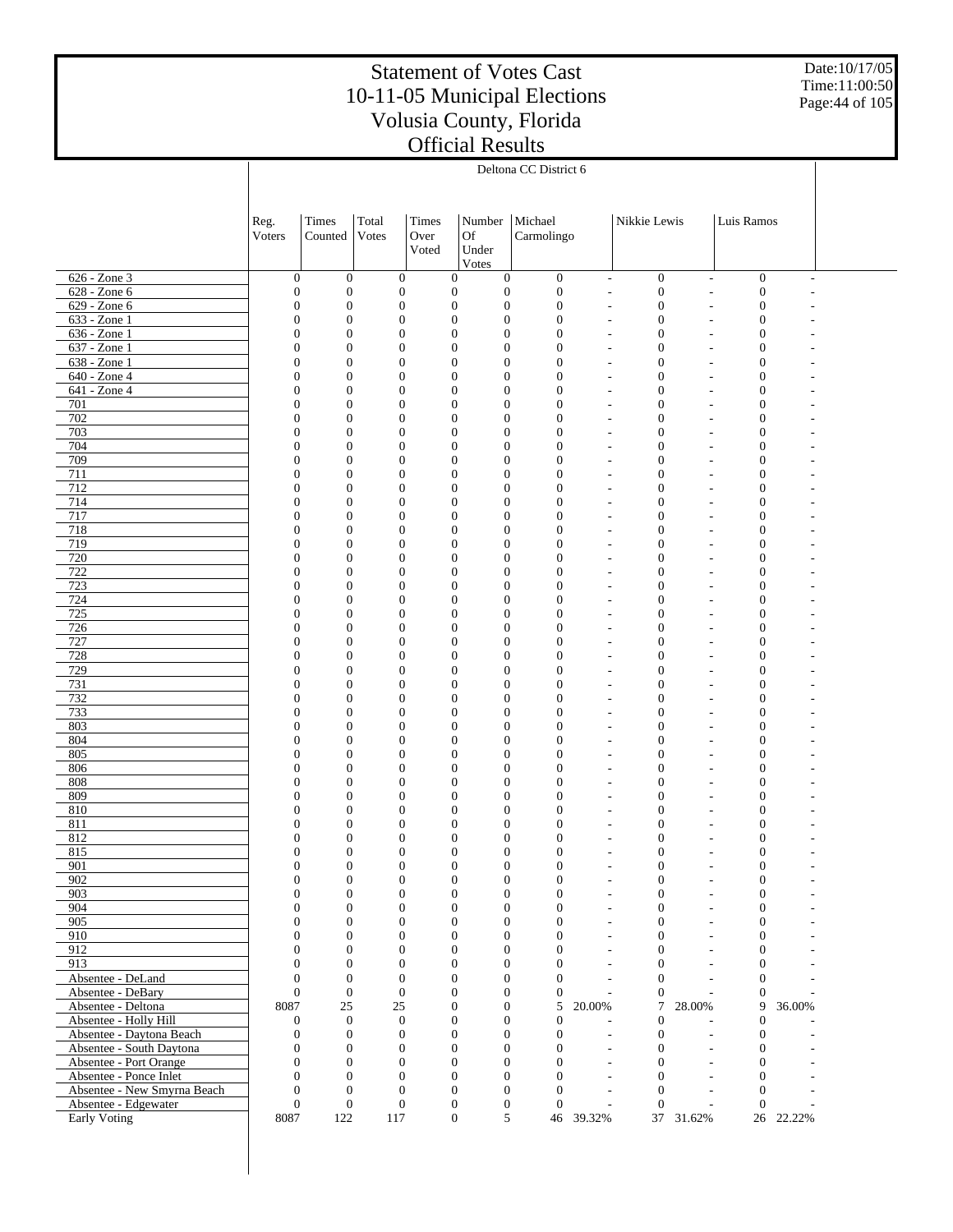Date:10/17/05 Time:11:00:50 Page:44 of 105

|                                                     | Deltona CC District 6            |                              |                                      |                                      |                                      |                                                    |                          |                                  |                          |                                      |           |  |
|-----------------------------------------------------|----------------------------------|------------------------------|--------------------------------------|--------------------------------------|--------------------------------------|----------------------------------------------------|--------------------------|----------------------------------|--------------------------|--------------------------------------|-----------|--|
|                                                     |                                  |                              |                                      |                                      |                                      |                                                    |                          |                                  |                          |                                      |           |  |
|                                                     |                                  |                              |                                      |                                      |                                      |                                                    |                          |                                  |                          |                                      |           |  |
|                                                     | Reg.                             | Times                        | Total                                | Times                                | Number                               | Michael                                            |                          | Nikkie Lewis                     |                          | Luis Ramos                           |           |  |
|                                                     | Voters                           | Counted                      | Votes                                | Over                                 | <b>Of</b>                            | Carmolingo                                         |                          |                                  |                          |                                      |           |  |
|                                                     |                                  |                              |                                      | Voted                                | Under                                |                                                    |                          |                                  |                          |                                      |           |  |
|                                                     |                                  |                              |                                      |                                      | Votes                                |                                                    |                          |                                  |                          |                                      |           |  |
| 626 - Zone 3                                        | $\mathbf{0}$                     | $\boldsymbol{0}$             | $\boldsymbol{0}$                     | $\boldsymbol{0}$                     | $\boldsymbol{0}$                     | $\boldsymbol{0}$                                   | $\overline{\phantom{a}}$ | $\boldsymbol{0}$                 | $\overline{\phantom{a}}$ | $\boldsymbol{0}$                     | L.        |  |
| 628 - Zone 6                                        | $\boldsymbol{0}$                 | $\boldsymbol{0}$             | $\mathbf{0}$                         | $\boldsymbol{0}$                     | $\boldsymbol{0}$                     | $\boldsymbol{0}$                                   | L,                       | $\boldsymbol{0}$                 | L,                       | $\boldsymbol{0}$                     |           |  |
| 629 - Zone 6                                        | $\mathbf{0}$                     | $\mathbf{0}$                 | $\mathbf{0}$                         | $\boldsymbol{0}$                     | $\boldsymbol{0}$                     | $\boldsymbol{0}$                                   | ÷,                       | $\mathbf{0}$                     |                          | $\boldsymbol{0}$                     |           |  |
| 633 - Zone 1                                        | $\mathbf{0}$                     | $\mathbf{0}$                 | $\mathbf{0}$                         | $\boldsymbol{0}$                     | $\boldsymbol{0}$                     | $\boldsymbol{0}$                                   | ÷,                       | $\mathbf{0}$                     |                          | $\boldsymbol{0}$                     |           |  |
| 636 - Zone 1                                        | $\mathbf{0}$                     | $\mathbf{0}$                 | $\mathbf{0}$                         | $\boldsymbol{0}$                     | $\boldsymbol{0}$                     | $\boldsymbol{0}$                                   | ٠                        | $\mathbf{0}$                     |                          | $\boldsymbol{0}$                     |           |  |
| 637 - Zone 1                                        | $\mathbf{0}$                     | $\mathbf{0}$                 | $\mathbf{0}$                         | $\boldsymbol{0}$                     | $\boldsymbol{0}$                     | $\mathbf{0}$                                       | $\overline{a}$           | $\overline{0}$                   |                          | $\boldsymbol{0}$                     |           |  |
| 638 - Zone 1                                        | $\mathbf{0}$                     | $\overline{0}$               | $\mathbf{0}$                         | $\boldsymbol{0}$                     | $\boldsymbol{0}$                     | $\mathbf{0}$                                       | ÷,                       | $\overline{0}$                   | ÷,                       | $\boldsymbol{0}$                     |           |  |
| 640 - Zone 4                                        | $\mathbf{0}$<br>$\mathbf{0}$     | $\mathbf{0}$                 | $\mathbf{0}$                         | $\boldsymbol{0}$                     | $\boldsymbol{0}$                     | $\boldsymbol{0}$                                   | L,                       | $\mathbf{0}$<br>$\overline{0}$   |                          | $\boldsymbol{0}$                     |           |  |
| 641 - Zone 4<br>701                                 | $\mathbf{0}$                     | $\mathbf{0}$<br>$\mathbf{0}$ | $\mathbf{0}$<br>$\mathbf{0}$         | $\boldsymbol{0}$<br>$\boldsymbol{0}$ | $\boldsymbol{0}$<br>$\boldsymbol{0}$ | $\boldsymbol{0}$<br>$\boldsymbol{0}$               | ÷,<br>÷,                 | $\overline{0}$                   | ÷,                       | $\boldsymbol{0}$<br>$\boldsymbol{0}$ |           |  |
| 702                                                 | $\mathbf{0}$                     | $\mathbf{0}$                 | $\mathbf{0}$                         | $\boldsymbol{0}$                     | $\boldsymbol{0}$                     | $\boldsymbol{0}$                                   | $\overline{a}$           | $\overline{0}$                   |                          | $\boldsymbol{0}$                     |           |  |
| 703                                                 | $\mathbf{0}$                     | $\mathbf{0}$                 | $\mathbf{0}$                         | $\boldsymbol{0}$                     | $\boldsymbol{0}$                     | $\boldsymbol{0}$                                   | $\overline{a}$           | $\mathbf{0}$                     |                          | $\boldsymbol{0}$                     |           |  |
| 704                                                 | $\mathbf{0}$                     | $\mathbf{0}$                 | $\mathbf{0}$                         | $\boldsymbol{0}$                     | $\boldsymbol{0}$                     | $\boldsymbol{0}$                                   | ÷,                       | $\overline{0}$                   | ÷,                       | $\boldsymbol{0}$                     |           |  |
| 709                                                 | $\mathbf{0}$                     | $\mathbf{0}$                 | $\mathbf{0}$                         | $\boldsymbol{0}$                     | $\boldsymbol{0}$                     | $\boldsymbol{0}$                                   | ÷,                       | $\overline{0}$                   |                          | $\boldsymbol{0}$                     |           |  |
| 711                                                 | $\mathbf{0}$                     | $\mathbf{0}$                 | $\mathbf{0}$                         | $\boldsymbol{0}$                     | $\boldsymbol{0}$                     | $\boldsymbol{0}$                                   | ÷,                       | $\overline{0}$                   | Ĭ.                       | $\boldsymbol{0}$                     |           |  |
| 712                                                 | $\mathbf{0}$                     | $\mathbf{0}$                 | $\mathbf{0}$                         | $\boldsymbol{0}$                     | $\boldsymbol{0}$                     | $\boldsymbol{0}$                                   | ÷,                       | $\mathbf{0}$                     |                          | $\boldsymbol{0}$                     |           |  |
| 714                                                 | $\mathbf{0}$                     | $\mathbf{0}$                 | $\mathbf{0}$                         | $\boldsymbol{0}$                     | $\boldsymbol{0}$                     | $\boldsymbol{0}$                                   | ٠                        | $\overline{0}$                   | ÷,                       | $\boldsymbol{0}$                     |           |  |
| 717                                                 | $\mathbf{0}$                     | $\mathbf{0}$                 | $\mathbf{0}$                         | $\boldsymbol{0}$                     | $\boldsymbol{0}$                     | $\boldsymbol{0}$                                   | $\overline{a}$           | $\overline{0}$                   |                          | $\boldsymbol{0}$                     |           |  |
| 718                                                 | $\mathbf{0}$                     | $\mathbf{0}$                 | $\mathbf{0}$                         | $\boldsymbol{0}$                     | $\boldsymbol{0}$                     | $\boldsymbol{0}$                                   | ÷,                       | $\overline{0}$                   | ÷,                       | $\boldsymbol{0}$                     |           |  |
| 719                                                 | $\mathbf{0}$                     | $\mathbf{0}$                 | $\mathbf{0}$                         | $\boldsymbol{0}$                     | $\boldsymbol{0}$                     | $\boldsymbol{0}$                                   | L,                       | $\mathbf{0}$                     |                          | $\boldsymbol{0}$                     |           |  |
| 720                                                 | $\mathbf{0}$                     | $\mathbf{0}$                 | $\mathbf{0}$                         | $\boldsymbol{0}$                     | $\boldsymbol{0}$                     | $\boldsymbol{0}$                                   | ÷,                       | $\overline{0}$                   | L,                       | $\boldsymbol{0}$                     |           |  |
| 722<br>723                                          | $\mathbf{0}$<br>$\mathbf{0}$     | $\mathbf{0}$<br>$\mathbf{0}$ | $\mathbf{0}$<br>$\mathbf{0}$         | $\boldsymbol{0}$<br>$\boldsymbol{0}$ | $\boldsymbol{0}$<br>$\boldsymbol{0}$ | $\boldsymbol{0}$<br>$\boldsymbol{0}$               | L,<br>÷,                 | $\overline{0}$<br>$\overline{0}$ |                          | $\boldsymbol{0}$<br>$\boldsymbol{0}$ |           |  |
| 724                                                 | $\mathbf{0}$                     | $\mathbf{0}$                 | $\mathbf{0}$                         | $\boldsymbol{0}$                     | $\boldsymbol{0}$                     | $\boldsymbol{0}$                                   | $\overline{a}$           | $\mathbf{0}$                     |                          | $\boldsymbol{0}$                     |           |  |
| 725                                                 | $\mathbf{0}$                     | $\mathbf{0}$                 | $\mathbf{0}$                         | $\boldsymbol{0}$                     | $\boldsymbol{0}$                     | $\boldsymbol{0}$                                   | $\overline{a}$           | $\overline{0}$                   | ÷,                       | $\boldsymbol{0}$                     |           |  |
| 726                                                 | $\mathbf{0}$                     | $\mathbf{0}$                 | $\mathbf{0}$                         | $\boldsymbol{0}$                     | $\boldsymbol{0}$                     | $\boldsymbol{0}$                                   | L,                       | $\overline{0}$                   |                          | $\boldsymbol{0}$                     |           |  |
| 727                                                 | $\mathbf{0}$                     | $\mathbf{0}$                 | $\mathbf{0}$                         | $\boldsymbol{0}$                     | $\boldsymbol{0}$                     | $\boldsymbol{0}$                                   | ÷,                       | $\overline{0}$                   | ÷,                       | $\boldsymbol{0}$                     |           |  |
| 728                                                 | $\mathbf{0}$                     | $\mathbf{0}$                 | $\mathbf{0}$                         | $\boldsymbol{0}$                     | $\boldsymbol{0}$                     | $\boldsymbol{0}$                                   | L,                       | $\mathbf{0}$                     |                          | $\boldsymbol{0}$                     |           |  |
| 729                                                 | $\mathbf{0}$                     | $\mathbf{0}$                 | $\mathbf{0}$                         | $\boldsymbol{0}$                     | $\boldsymbol{0}$                     | $\boldsymbol{0}$                                   | ÷,                       | $\overline{0}$                   | ÷,                       | $\boldsymbol{0}$                     |           |  |
| 731                                                 | $\mathbf{0}$                     | $\mathbf{0}$                 | $\mathbf{0}$                         | $\boldsymbol{0}$                     | $\boldsymbol{0}$                     | $\boldsymbol{0}$                                   | $\overline{a}$           | $\mathbf{0}$                     |                          | $\boldsymbol{0}$                     |           |  |
| 732                                                 | $\mathbf{0}$                     | $\mathbf{0}$                 | $\mathbf{0}$                         | $\boldsymbol{0}$                     | $\boldsymbol{0}$                     | $\boldsymbol{0}$                                   | ÷,                       | $\overline{0}$                   | ÷,                       | $\boldsymbol{0}$                     |           |  |
| 733                                                 | $\mathbf{0}$                     | $\mathbf{0}$                 | $\mathbf{0}$                         | $\boldsymbol{0}$                     | $\boldsymbol{0}$                     | $\boldsymbol{0}$                                   | L,                       | $\mathbf{0}$                     |                          | $\boldsymbol{0}$                     |           |  |
| 803                                                 | $\mathbf{0}$<br>$\mathbf{0}$     | $\mathbf{0}$                 | $\mathbf{0}$                         | $\boldsymbol{0}$                     | $\boldsymbol{0}$                     | $\boldsymbol{0}$                                   | ÷,                       | $\overline{0}$<br>$\overline{0}$ | L,                       | $\boldsymbol{0}$                     |           |  |
| 804<br>805                                          | $\mathbf{0}$                     | $\mathbf{0}$<br>$\mathbf{0}$ | $\mathbf{0}$<br>$\boldsymbol{0}$     | $\boldsymbol{0}$<br>$\boldsymbol{0}$ | $\boldsymbol{0}$<br>$\boldsymbol{0}$ | $\boldsymbol{0}$<br>$\boldsymbol{0}$               | L,<br>÷,                 | $\overline{0}$                   |                          | $\boldsymbol{0}$<br>$\boldsymbol{0}$ |           |  |
| 806                                                 | $\mathbf{0}$                     | $\mathbf{0}$                 | $\boldsymbol{0}$                     | $\boldsymbol{0}$                     | $\boldsymbol{0}$                     | $\boldsymbol{0}$                                   | ÷,                       | $\mathbf{0}$                     |                          | $\boldsymbol{0}$                     |           |  |
| 808                                                 | $\mathbf{0}$                     | $\mathbf{0}$                 | $\boldsymbol{0}$                     | $\boldsymbol{0}$                     | $\boldsymbol{0}$                     | $\boldsymbol{0}$                                   | ÷,                       | $\overline{0}$                   | ÷,                       | $\boldsymbol{0}$                     |           |  |
| 809                                                 | $\mathbf{0}$                     | $\mathbf{0}$                 | $\boldsymbol{0}$                     | $\boldsymbol{0}$                     | $\boldsymbol{0}$                     | $\mathbf{0}$                                       | L,                       | $\overline{0}$                   |                          | $\boldsymbol{0}$                     |           |  |
| 810                                                 | $\mathbf{0}$                     | $\overline{0}$               | $\boldsymbol{0}$                     | $\boldsymbol{0}$                     | $\boldsymbol{0}$                     | $\mathbf{0}$                                       |                          | $\overline{0}$                   |                          | $\boldsymbol{0}$                     |           |  |
| 811                                                 | $\boldsymbol{0}$                 | $\mathbf{0}$                 | $\mathbf{0}$                         | $\boldsymbol{0}$                     | $\boldsymbol{0}$                     | $\mathbf{0}$                                       |                          | $\mathbf{0}$                     |                          | $\boldsymbol{0}$                     |           |  |
| 812                                                 | $\overline{0}$                   | $\mathbf{0}$                 | $\boldsymbol{0}$                     | $\boldsymbol{0}$                     | $\boldsymbol{0}$                     | $\mathbf{0}$                                       |                          | $\overline{0}$                   |                          | $\boldsymbol{0}$                     |           |  |
| 815                                                 | $\theta$                         | $\mathbf{0}$                 | $\Omega$                             | $\Omega$                             | $\overline{0}$                       | $\mathbf{0}$                                       |                          | $\theta$                         |                          | $\mathbf{0}$                         |           |  |
| 901                                                 | $\mathbf{0}$                     | $\mathbf{0}$                 | $\mathbf{0}$                         | $\mathbf{0}$                         | $\mathbf{0}$                         | $\mathbf{0}$                                       | $\overline{a}$           | $\mathbf{0}$                     |                          | $\boldsymbol{0}$                     |           |  |
| 902                                                 | $\overline{0}$                   | $\boldsymbol{0}$             | $\boldsymbol{0}$                     | $\boldsymbol{0}$                     | $\boldsymbol{0}$                     | $\boldsymbol{0}$                                   | $\overline{a}$           | $\boldsymbol{0}$                 |                          | $\boldsymbol{0}$                     |           |  |
| 903<br>904                                          | $\overline{0}$<br>$\overline{0}$ | $\mathbf{0}$<br>$\mathbf{0}$ | $\boldsymbol{0}$<br>$\mathbf{0}$     | $\boldsymbol{0}$<br>$\boldsymbol{0}$ | $\mathbf{0}$                         | $\boldsymbol{0}$<br>$\mathbf{0}$<br>$\overline{0}$ | L,<br>L,                 | $\overline{0}$<br>$\mathbf{0}$   | L,                       | $\mathbf{0}$<br>$\boldsymbol{0}$     |           |  |
| 905                                                 | $\mathbf{0}$                     | $\mathbf{0}$                 | $\mathbf{0}$                         | $\overline{0}$                       |                                      | $\boldsymbol{0}$<br>$\mathbf{0}$                   | L,                       | $\overline{0}$                   |                          | $\mathbf{0}$                         |           |  |
| 910                                                 | $\overline{0}$                   | $\mathbf{0}$                 | $\mathbf{0}$                         | $\mathbf{0}$                         |                                      | $\boldsymbol{0}$<br>$\mathbf{0}$                   | $\overline{a}$           | $\mathbf{0}$                     |                          | $\mathbf{0}$                         |           |  |
| 912                                                 | $\mathbf{0}$                     | $\mathbf{0}$                 | $\mathbf{0}$                         | $\overline{0}$                       |                                      | $\boldsymbol{0}$<br>$\overline{0}$                 | $\overline{a}$           | $\theta$                         |                          | $\mathbf{0}$                         |           |  |
| 913                                                 | $\overline{0}$                   | $\mathbf{0}$                 | $\mathbf{0}$                         | $\boldsymbol{0}$                     |                                      | $\boldsymbol{0}$<br>$\Omega$                       | ÷,                       | $\mathbf{0}$                     |                          | $\mathbf{0}$                         |           |  |
| Absentee - DeLand                                   | $\mathbf{0}$                     | $\mathbf{0}$                 | $\mathbf{0}$                         | $\overline{0}$                       |                                      | $\boldsymbol{0}$<br>$\Omega$                       | L,                       | $\theta$                         |                          | $\mathbf{0}$                         |           |  |
| Absentee - DeBary                                   | $\overline{0}$                   | $\mathbf{0}$                 | $\mathbf{0}$                         | $\mathbf{0}$                         |                                      | $\boldsymbol{0}$<br>$\mathbf{0}$                   | ÷                        | $\mathbf{0}$                     |                          | $\mathbf{0}$                         |           |  |
| Absentee - Deltona                                  | 8087                             | $25\,$                       | 25                                   | $\overline{0}$                       |                                      | 5<br>$\boldsymbol{0}$                              | 20.00%                   | $\overline{7}$                   | 28.00%                   | 9                                    | 36.00%    |  |
| Absentee - Holly Hill                               | $\mathbf{0}$                     | $\boldsymbol{0}$             | $\mathbf{0}$                         | $\boldsymbol{0}$                     |                                      | $\boldsymbol{0}$<br>$\mathbf{0}$                   |                          | $\mathbf{0}$                     |                          | $\boldsymbol{0}$                     |           |  |
| Absentee - Daytona Beach                            | $\mathbf{0}$                     | $\theta$                     | $\mathbf{0}$                         | $\overline{0}$                       |                                      | $\boldsymbol{0}$<br>$\boldsymbol{0}$               | ÷,                       | $\mathbf{0}$                     | $\overline{\phantom{a}}$ | $\boldsymbol{0}$                     |           |  |
| Absentee - South Daytona                            | $\overline{0}$                   | $\mathbf{0}$                 | $\mathbf{0}$                         | $\mathbf{0}$                         |                                      | $\boldsymbol{0}$<br>$\mathbf{0}$                   | $\overline{a}$           | $\mathbf{0}$                     |                          | $\boldsymbol{0}$                     |           |  |
| Absentee - Port Orange                              | $\overline{0}$                   | $\mathbf{0}$                 | $\mathbf{0}$                         | $\overline{0}$                       |                                      | $\boldsymbol{0}$<br>$\mathbf{0}$                   | L,                       | $\overline{0}$                   | $\overline{a}$           | $\mathbf{0}$                         |           |  |
| Absentee - Ponce Inlet                              | $\overline{0}$                   | $\mathbf{0}$<br>$\mathbf{0}$ | $\mathbf{0}$                         | $\mathbf{0}$<br>$\overline{0}$       |                                      | $\boldsymbol{0}$<br>$\Omega$<br>$\Omega$           | L,                       | $\mathbf{0}$                     |                          | $\boldsymbol{0}$                     |           |  |
| Absentee - New Smyrna Beach<br>Absentee - Edgewater | $\mathbf{0}$<br>$\overline{0}$   | $\mathbf{0}$                 | $\boldsymbol{0}$<br>$\boldsymbol{0}$ | $\boldsymbol{0}$                     | $\boldsymbol{0}$                     | $\boldsymbol{0}$<br>$\mathbf{0}$                   | L,                       | $\mathbf{0}$<br>$\mathbf{0}$     | $\overline{a}$           | $\theta$<br>$\mathbf{0}$             |           |  |
| <b>Early Voting</b>                                 | 8087                             | 122                          | 117                                  | $\boldsymbol{0}$                     |                                      | 5                                                  | 46 39.32%                |                                  | 37 31.62%                |                                      | 26 22.22% |  |
|                                                     |                                  |                              |                                      |                                      |                                      |                                                    |                          |                                  |                          |                                      |           |  |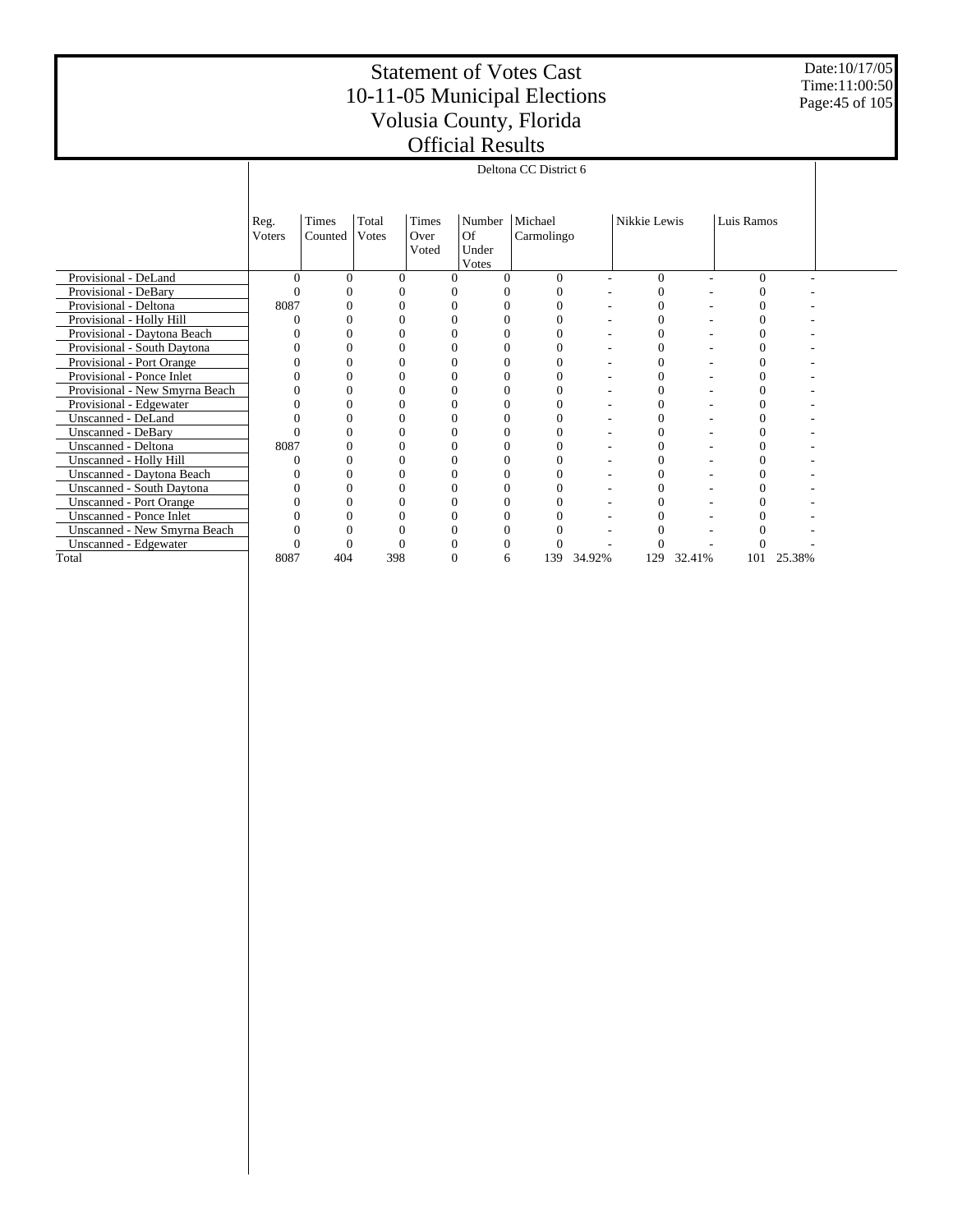Date:10/17/05 Time:11:00:50 Page:45 of 105

|                                |          |          |       |          |          |          | Deltona CC District 6 |        |                  |        |            |        |  |
|--------------------------------|----------|----------|-------|----------|----------|----------|-----------------------|--------|------------------|--------|------------|--------|--|
|                                |          |          |       |          |          |          |                       |        |                  |        |            |        |  |
|                                |          |          |       |          |          |          |                       |        |                  |        |            |        |  |
|                                | Reg.     | Times    | Total | Times    | Number   |          | Michael               |        | Nikkie Lewis     |        | Luis Ramos |        |  |
|                                | Voters   | Counted  | Votes | Over     | Of       |          | Carmolingo            |        |                  |        |            |        |  |
|                                |          |          |       | Voted    | Under    |          |                       |        |                  |        |            |        |  |
|                                |          |          |       |          | Votes    |          |                       |        |                  |        |            |        |  |
| Provisional - DeLand           | $\Omega$ | $\Omega$ |       | $\theta$ | $\theta$ | $\Omega$ | $\Omega$              | ٠      | $\theta$         | ٠      | $\theta$   |        |  |
| Provisional - DeBary           |          |          |       |          | 0        |          |                       |        | 0                |        |            |        |  |
| Provisional - Deltona          | 8087     |          |       |          | 0        |          |                       |        | 0                |        |            |        |  |
| Provisional - Holly Hill       |          |          |       |          | 0        |          |                       |        | 0                |        |            |        |  |
| Provisional - Daytona Beach    |          |          |       |          | 0        |          |                       |        | $\overline{0}$   |        |            |        |  |
| Provisional - South Daytona    |          |          |       |          | 0        |          |                       |        | $\theta$         |        |            |        |  |
| Provisional - Port Orange      |          |          |       |          | 0        |          |                       |        | 0                |        |            |        |  |
| Provisional - Ponce Inlet      |          |          |       |          | 0        |          |                       |        | 0                |        |            |        |  |
| Provisional - New Smyrna Beach |          |          |       |          | 0        | $\Omega$ | 0                     |        | $\boldsymbol{0}$ |        | 0          |        |  |
| Provisional - Edgewater        |          |          |       |          | 0        |          |                       |        | 0                |        |            |        |  |
| Unscanned - DeLand             |          |          |       |          | 0        | C        |                       |        | $\boldsymbol{0}$ |        | 0          |        |  |
| <b>Unscanned - DeBary</b>      |          |          |       |          | 0        |          |                       |        | $\overline{0}$   |        |            |        |  |
| Unscanned - Deltona            | 8087     |          |       |          | 0        | 0        |                       |        | $\overline{0}$   |        |            |        |  |
| Unscanned - Holly Hill         |          |          |       |          |          |          |                       |        | 0                |        |            |        |  |
| Unscanned - Daytona Beach      |          |          |       |          | 0        |          |                       |        | $\theta$         |        |            |        |  |
| Unscanned - South Daytona      |          |          |       |          | 0        |          |                       |        | $\overline{0}$   |        |            |        |  |
| <b>Unscanned - Port Orange</b> |          |          |       |          | 0        |          |                       |        | 0                |        |            |        |  |
| Unscanned - Ponce Inlet        |          |          |       |          | 0        |          |                       |        | 0                |        |            |        |  |
| Unscanned - New Smyrna Beach   |          |          |       |          | 0        |          |                       |        | 0                |        |            |        |  |
| Unscanned - Edgewater          |          |          |       |          | 0        | $\Omega$ |                       |        | 0                |        |            |        |  |
| Total                          | 8087     | 404      | 398   |          | 0        | 6        | 139                   | 34.92% | 129              | 32.41% | 101        | 25.38% |  |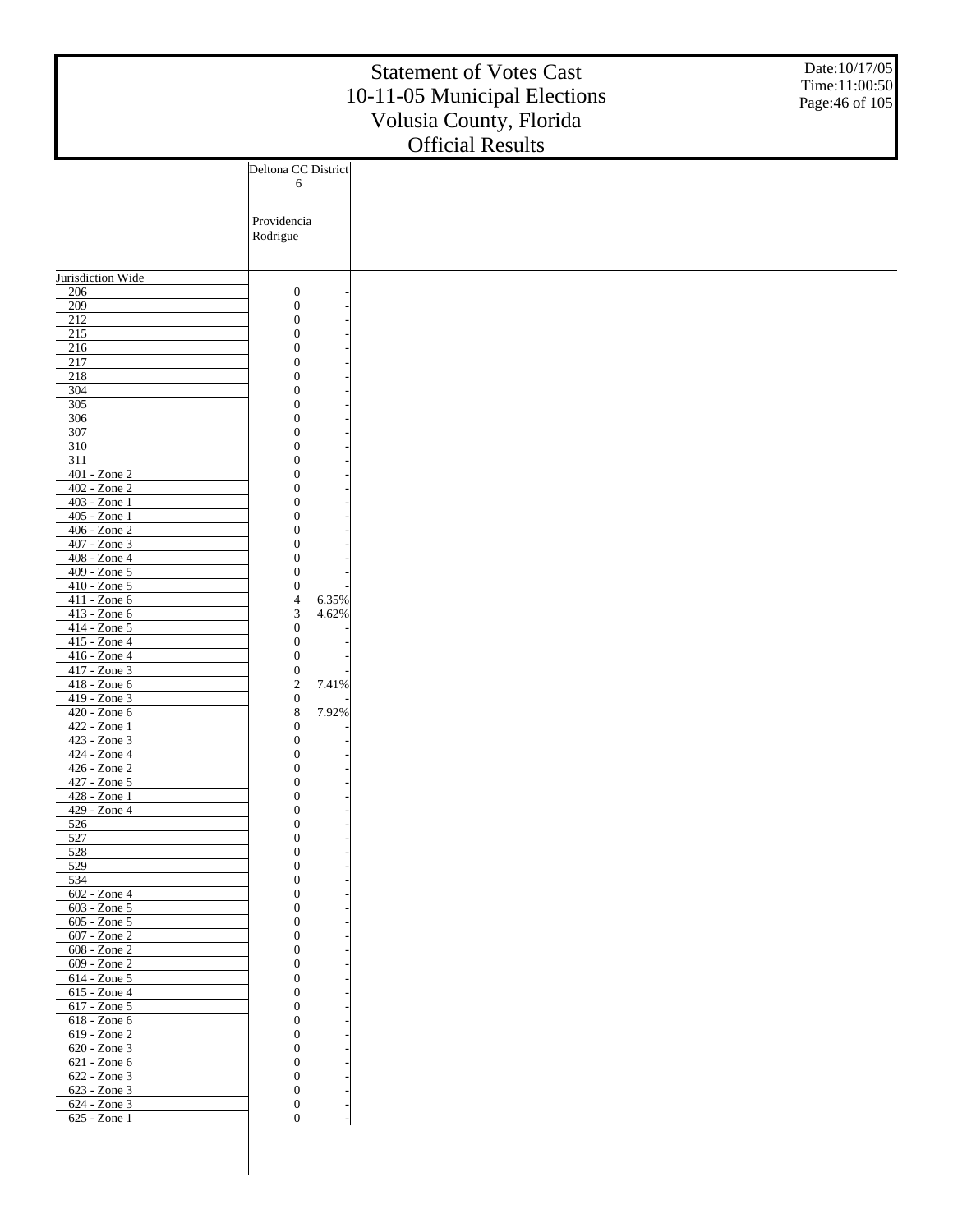|                                 |                                             | <b>Statement of Votes Cast</b><br>10-11-05 Municipal Elections<br>Volusia County, Florida<br><b>Official Results</b> | Date:10/17/05<br>Time:11:00:50<br>Page: 46 of 105 |
|---------------------------------|---------------------------------------------|----------------------------------------------------------------------------------------------------------------------|---------------------------------------------------|
|                                 | Deltona CC District                         |                                                                                                                      |                                                   |
|                                 | 6                                           |                                                                                                                      |                                                   |
|                                 | Providencia<br>Rodrigue                     |                                                                                                                      |                                                   |
| Jurisdiction Wide               |                                             |                                                                                                                      |                                                   |
| 206                             | $\boldsymbol{0}$                            |                                                                                                                      |                                                   |
| 209                             | $\boldsymbol{0}$                            |                                                                                                                      |                                                   |
| $212$<br>$\overline{215}$       | $\boldsymbol{0}$<br>$\boldsymbol{0}$        |                                                                                                                      |                                                   |
| 216                             | $\overline{0}$                              |                                                                                                                      |                                                   |
| 217                             | $\boldsymbol{0}$                            |                                                                                                                      |                                                   |
| 218                             | $\overline{0}$                              |                                                                                                                      |                                                   |
| 304<br>305                      | $\overline{0}$<br>$\overline{0}$            |                                                                                                                      |                                                   |
| 306                             | $\boldsymbol{0}$                            |                                                                                                                      |                                                   |
| 307                             | $\overline{0}$                              |                                                                                                                      |                                                   |
| 310                             | $\overline{0}$<br>$\overline{0}$            |                                                                                                                      |                                                   |
| 311<br>$401 - Z$ one 2          | $\boldsymbol{0}$                            |                                                                                                                      |                                                   |
| 402 - Zone 2                    | $\overline{0}$                              |                                                                                                                      |                                                   |
| 403 - Zone 1                    | $\overline{0}$                              |                                                                                                                      |                                                   |
| 405 - Zone 1<br>406 - Zone 2    | $\overline{0}$<br>$\boldsymbol{0}$          |                                                                                                                      |                                                   |
| 407 - Zone 3                    | $\overline{0}$                              |                                                                                                                      |                                                   |
| 408 - Zone 4                    | $\boldsymbol{0}$                            |                                                                                                                      |                                                   |
| 409 - Zone 5                    | $\boldsymbol{0}$                            |                                                                                                                      |                                                   |
| 410 - Zone 5<br>411 - Zone 6    | $\boldsymbol{0}$<br>6.35%<br>$\overline{4}$ |                                                                                                                      |                                                   |
| $413 - Z$ one 6                 | 3<br>4.62%                                  |                                                                                                                      |                                                   |
| 414 - Zone 5                    | $\boldsymbol{0}$                            |                                                                                                                      |                                                   |
| 415 - Zone 4                    | $\boldsymbol{0}$                            |                                                                                                                      |                                                   |
| 416 - Zone 4<br>417 - Zone 3    | $\boldsymbol{0}$<br>$\boldsymbol{0}$        |                                                                                                                      |                                                   |
| 418 - Zone 6                    | $\sqrt{2}$<br>7.41%                         |                                                                                                                      |                                                   |
| 419 - Zone 3                    | $\boldsymbol{0}$                            |                                                                                                                      |                                                   |
| 420 - Zone 6                    | $\,$ 8 $\,$<br>7.92%<br>$\boldsymbol{0}$    |                                                                                                                      |                                                   |
| 422 - Zone 1<br>423 - Zone 3    | $\mathbf{0}$                                |                                                                                                                      |                                                   |
| 424 - Zone 4                    | $\bf{0}$                                    |                                                                                                                      |                                                   |
| 426 - Zone 2                    | $\boldsymbol{0}$                            |                                                                                                                      |                                                   |
| 427 - Zone 5<br>428 - Zone 1    | $\boldsymbol{0}$<br>$\mathbf{0}$            |                                                                                                                      |                                                   |
| $429 - Z$ one 4                 | $\boldsymbol{0}$                            |                                                                                                                      |                                                   |
| 526                             | $\mathbf{0}$                                |                                                                                                                      |                                                   |
| 527                             | $\boldsymbol{0}$                            |                                                                                                                      |                                                   |
| 528<br>529                      | $\mathbf{0}$<br>$\boldsymbol{0}$            |                                                                                                                      |                                                   |
| 534                             | $\mathbf{0}$                                |                                                                                                                      |                                                   |
| 602 - Zone 4                    | $\boldsymbol{0}$                            |                                                                                                                      |                                                   |
| 603 - Zone 5<br>$605 - Z$ one 5 | $\mathbf{0}$                                |                                                                                                                      |                                                   |
| $607 - Z$ one 2                 | $\boldsymbol{0}$<br>$\mathbf{0}$            |                                                                                                                      |                                                   |
| 608 - Zone 2                    | $\boldsymbol{0}$                            |                                                                                                                      |                                                   |
| $609 - Z$ one 2                 | $\mathbf{0}$                                |                                                                                                                      |                                                   |
| $614 - Z$ one 5<br>615 - Zone 4 | $\boldsymbol{0}$<br>$\mathbf{0}$            |                                                                                                                      |                                                   |
| 617 - Zone 5                    | $\boldsymbol{0}$                            |                                                                                                                      |                                                   |
| 618 - Zone 6                    | $\mathbf{0}$                                |                                                                                                                      |                                                   |
| 619 - Zone 2                    | $\boldsymbol{0}$                            |                                                                                                                      |                                                   |
| 620 - Zone 3<br>621 - Zone 6    | $\mathbf{0}$<br>$\boldsymbol{0}$            |                                                                                                                      |                                                   |
| 622 - Zone 3                    | $\mathbf{0}$                                |                                                                                                                      |                                                   |
| 623 - Zone 3                    | $\boldsymbol{0}$                            |                                                                                                                      |                                                   |
| 624 - Zone 3                    | $\boldsymbol{0}$                            |                                                                                                                      |                                                   |
| 625 - Zone 1                    | $\mathbf{0}$                                |                                                                                                                      |                                                   |
|                                 |                                             |                                                                                                                      |                                                   |
|                                 |                                             |                                                                                                                      |                                                   |
|                                 |                                             |                                                                                                                      |                                                   |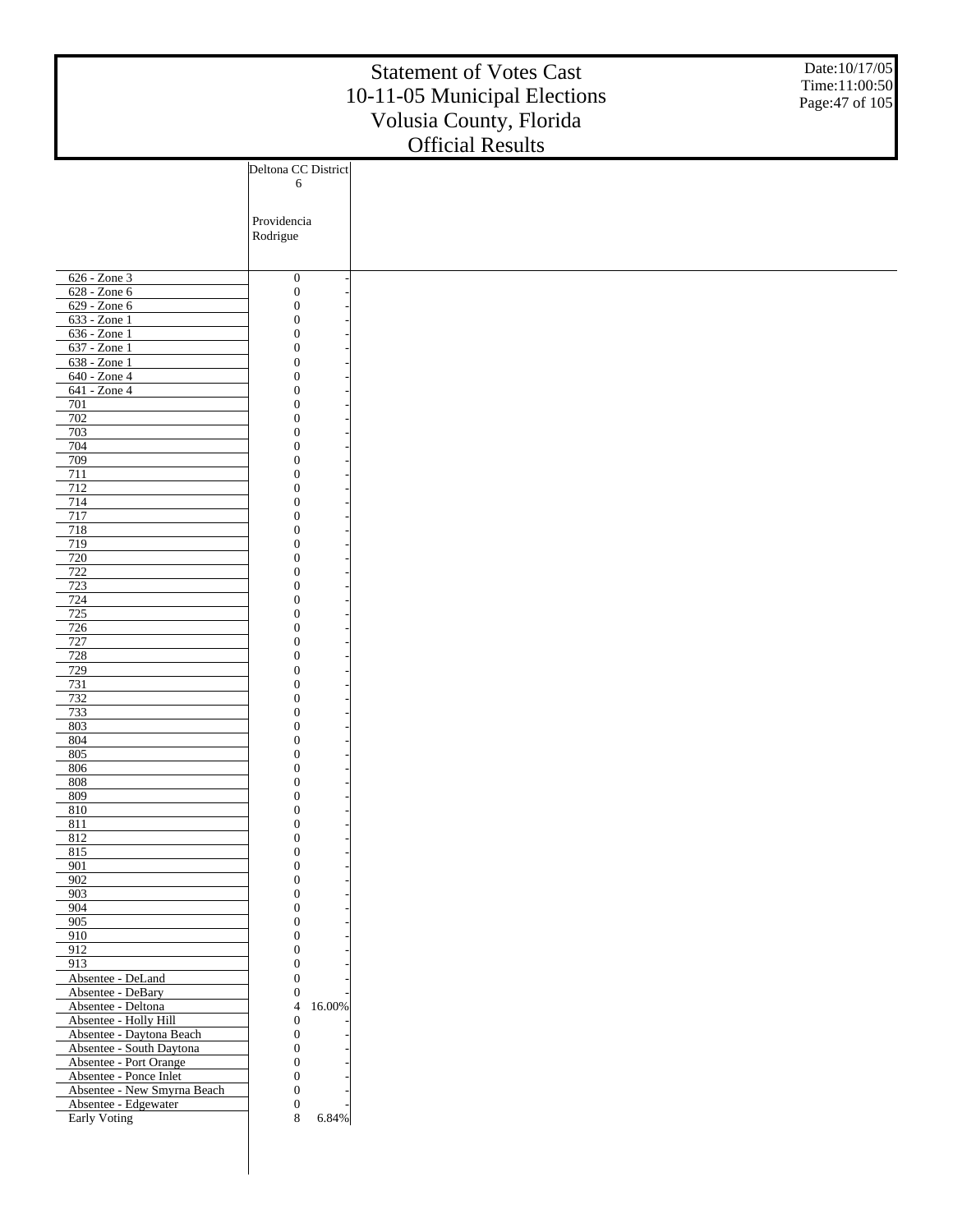|                                                  | Date:10/17/05<br>Time:11:00:50<br>Page: 47 of 105 |                         |  |
|--------------------------------------------------|---------------------------------------------------|-------------------------|--|
|                                                  | Deltona CC District                               | <b>Official Results</b> |  |
|                                                  | 6                                                 |                         |  |
|                                                  |                                                   |                         |  |
|                                                  | Providencia                                       |                         |  |
|                                                  | Rodrigue                                          |                         |  |
|                                                  |                                                   |                         |  |
| $626 - Zone$ 3                                   |                                                   |                         |  |
| 628 - Zone 6                                     | $\boldsymbol{0}$<br>$\boldsymbol{0}$              |                         |  |
| 629 - Zone 6                                     | $\boldsymbol{0}$                                  |                         |  |
| $633 - Zone1$                                    | $\boldsymbol{0}$                                  |                         |  |
| 636 - Zone 1                                     | $\boldsymbol{0}$                                  |                         |  |
| 637 - Zone 1<br>$638 - Z$ one 1                  | $\boldsymbol{0}$<br>$\boldsymbol{0}$              |                         |  |
| $640 - Z$ one 4                                  | $\boldsymbol{0}$                                  |                         |  |
| 641 - Zone 4                                     | $\boldsymbol{0}$                                  |                         |  |
| 701                                              | $\boldsymbol{0}$                                  |                         |  |
| 702                                              | $\boldsymbol{0}$                                  |                         |  |
| 703<br>704                                       | $\boldsymbol{0}$<br>$\boldsymbol{0}$              |                         |  |
| 709                                              | $\boldsymbol{0}$                                  |                         |  |
| 711                                              | $\boldsymbol{0}$                                  |                         |  |
| 712                                              | $\boldsymbol{0}$                                  |                         |  |
| 714<br>717                                       | $\boldsymbol{0}$<br>$\boldsymbol{0}$              |                         |  |
| 718                                              | $\boldsymbol{0}$                                  |                         |  |
| 719                                              | $\boldsymbol{0}$                                  |                         |  |
| 720                                              | $\boldsymbol{0}$                                  |                         |  |
| 722<br>723                                       | $\boldsymbol{0}$                                  |                         |  |
| 724                                              | $\boldsymbol{0}$<br>$\boldsymbol{0}$              |                         |  |
| 725                                              | $\boldsymbol{0}$                                  |                         |  |
| 726                                              | $\boldsymbol{0}$                                  |                         |  |
| 727                                              | $\boldsymbol{0}$                                  |                         |  |
| 728<br>729                                       | $\boldsymbol{0}$<br>$\boldsymbol{0}$              |                         |  |
| 731                                              | $\boldsymbol{0}$                                  |                         |  |
| 732                                              | $\boldsymbol{0}$                                  |                         |  |
| 733                                              | $\boldsymbol{0}$                                  |                         |  |
| 803<br>804                                       | $\boldsymbol{0}$<br>$\overline{0}$                |                         |  |
| 805                                              | $\theta$                                          |                         |  |
| 806                                              | $\boldsymbol{0}$                                  |                         |  |
| 808                                              | $\boldsymbol{0}$                                  |                         |  |
| 809<br>810                                       | $\boldsymbol{0}$<br>$\boldsymbol{0}$              |                         |  |
| 811                                              | $\boldsymbol{0}$                                  |                         |  |
| 812                                              | $\boldsymbol{0}$                                  |                         |  |
| 815<br>901                                       | $\boldsymbol{0}$<br>$\boldsymbol{0}$              |                         |  |
| 902                                              | $\boldsymbol{0}$                                  |                         |  |
| 903                                              | $\boldsymbol{0}$                                  |                         |  |
| 904                                              | $\boldsymbol{0}$                                  |                         |  |
| 905                                              | $\boldsymbol{0}$<br>$\boldsymbol{0}$              |                         |  |
| 910<br>912                                       | $\boldsymbol{0}$                                  |                         |  |
| 913                                              | $\boldsymbol{0}$                                  |                         |  |
| Absentee - DeLand                                | $\boldsymbol{0}$                                  |                         |  |
| Absentee - DeBary<br>Absentee - Deltona          | $\boldsymbol{0}$<br>16.00%<br>$\overline{4}$      |                         |  |
| Absentee - Holly Hill                            | $\boldsymbol{0}$                                  |                         |  |
| Absentee - Daytona Beach                         | $\boldsymbol{0}$                                  |                         |  |
| Absentee - South Daytona                         | $\boldsymbol{0}$                                  |                         |  |
| Absentee - Port Orange<br>Absentee - Ponce Inlet | $\boldsymbol{0}$<br>$\boldsymbol{0}$              |                         |  |
| Absentee - New Smyrna Beach                      | $\boldsymbol{0}$                                  |                         |  |
| Absentee - Edgewater                             | $\boldsymbol{0}$                                  |                         |  |
| Early Voting                                     | 8<br>6.84%                                        |                         |  |
|                                                  |                                                   |                         |  |
|                                                  |                                                   |                         |  |
|                                                  |                                                   |                         |  |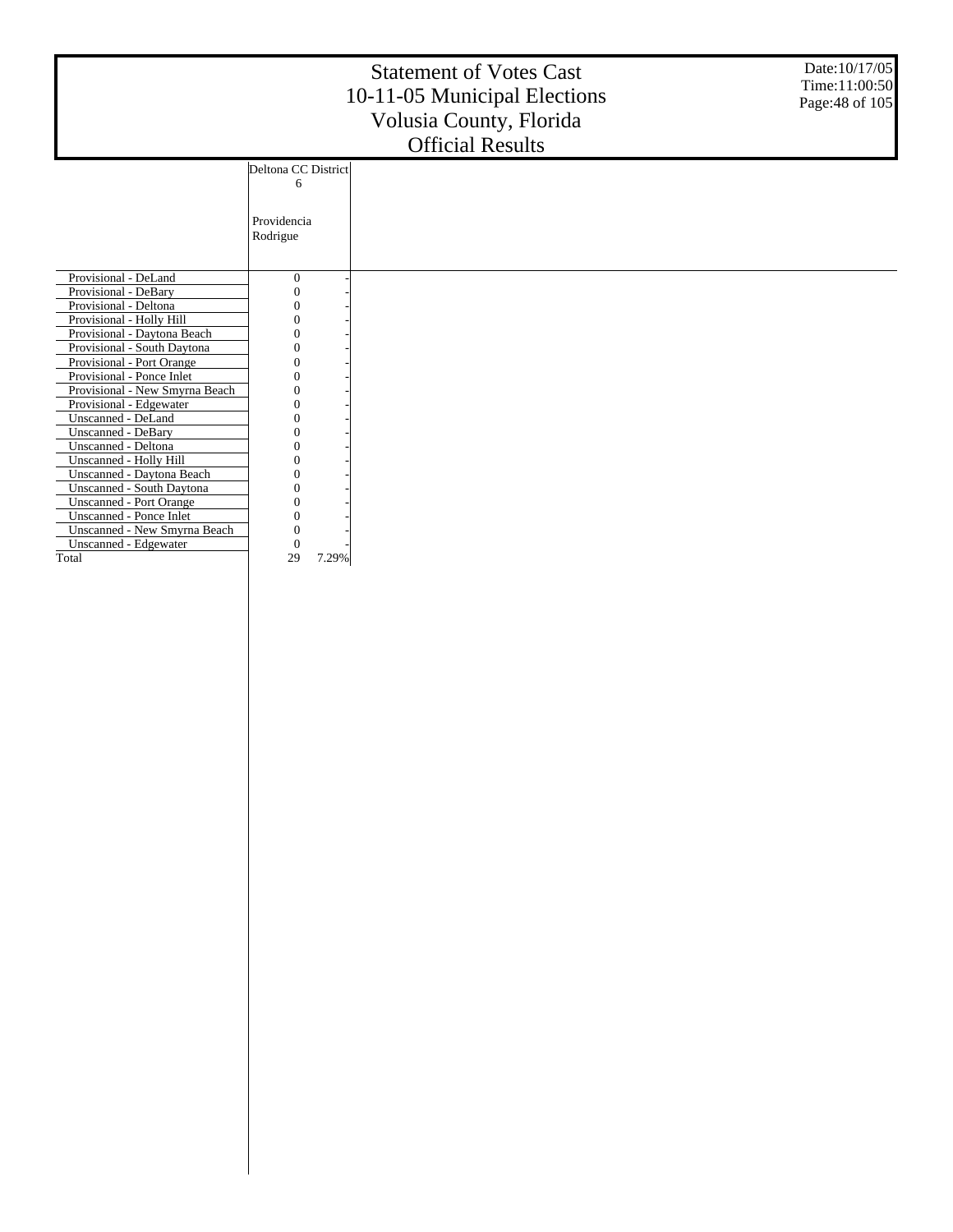|                                |                     | <b>Statement of Votes Cast</b><br>10-11-05 Municipal Elections<br>Volusia County, Florida<br><b>Official Results</b> | Date: 10/17/05<br>Time:11:00:50<br>Page: 48 of 105 |
|--------------------------------|---------------------|----------------------------------------------------------------------------------------------------------------------|----------------------------------------------------|
|                                | Deltona CC District |                                                                                                                      |                                                    |
|                                | 6                   |                                                                                                                      |                                                    |
|                                |                     |                                                                                                                      |                                                    |
|                                | Providencia         |                                                                                                                      |                                                    |
|                                | Rodrigue            |                                                                                                                      |                                                    |
|                                |                     |                                                                                                                      |                                                    |
| Provisional - DeLand           | $\mathbf{0}$        |                                                                                                                      |                                                    |
| Provisional - DeBary           |                     |                                                                                                                      |                                                    |
| Provisional - Deltona          |                     |                                                                                                                      |                                                    |
| Provisional - Holly Hill       |                     |                                                                                                                      |                                                    |
| Provisional - Daytona Beach    |                     |                                                                                                                      |                                                    |
| Provisional - South Daytona    |                     |                                                                                                                      |                                                    |
| Provisional - Port Orange      |                     |                                                                                                                      |                                                    |
| Provisional - Ponce Inlet      |                     |                                                                                                                      |                                                    |
| Provisional - New Smyrna Beach |                     |                                                                                                                      |                                                    |
| Provisional - Edgewater        |                     |                                                                                                                      |                                                    |
| Unscanned - DeLand             |                     |                                                                                                                      |                                                    |
| <b>Unscanned - DeBary</b>      |                     |                                                                                                                      |                                                    |
| Unscanned - Deltona            |                     |                                                                                                                      |                                                    |
| Unscanned - Holly Hill         |                     |                                                                                                                      |                                                    |
| Unscanned - Daytona Beach      |                     |                                                                                                                      |                                                    |
| Unscanned - South Daytona      |                     |                                                                                                                      |                                                    |
| <b>Unscanned - Port Orange</b> |                     |                                                                                                                      |                                                    |
| Unscanned - Ponce Inlet        |                     |                                                                                                                      |                                                    |
| Unscanned - New Smyrna Beach   |                     |                                                                                                                      |                                                    |
| Unscanned - Edgewater          | 0                   |                                                                                                                      |                                                    |
| Total                          | 29<br>7.29%         |                                                                                                                      |                                                    |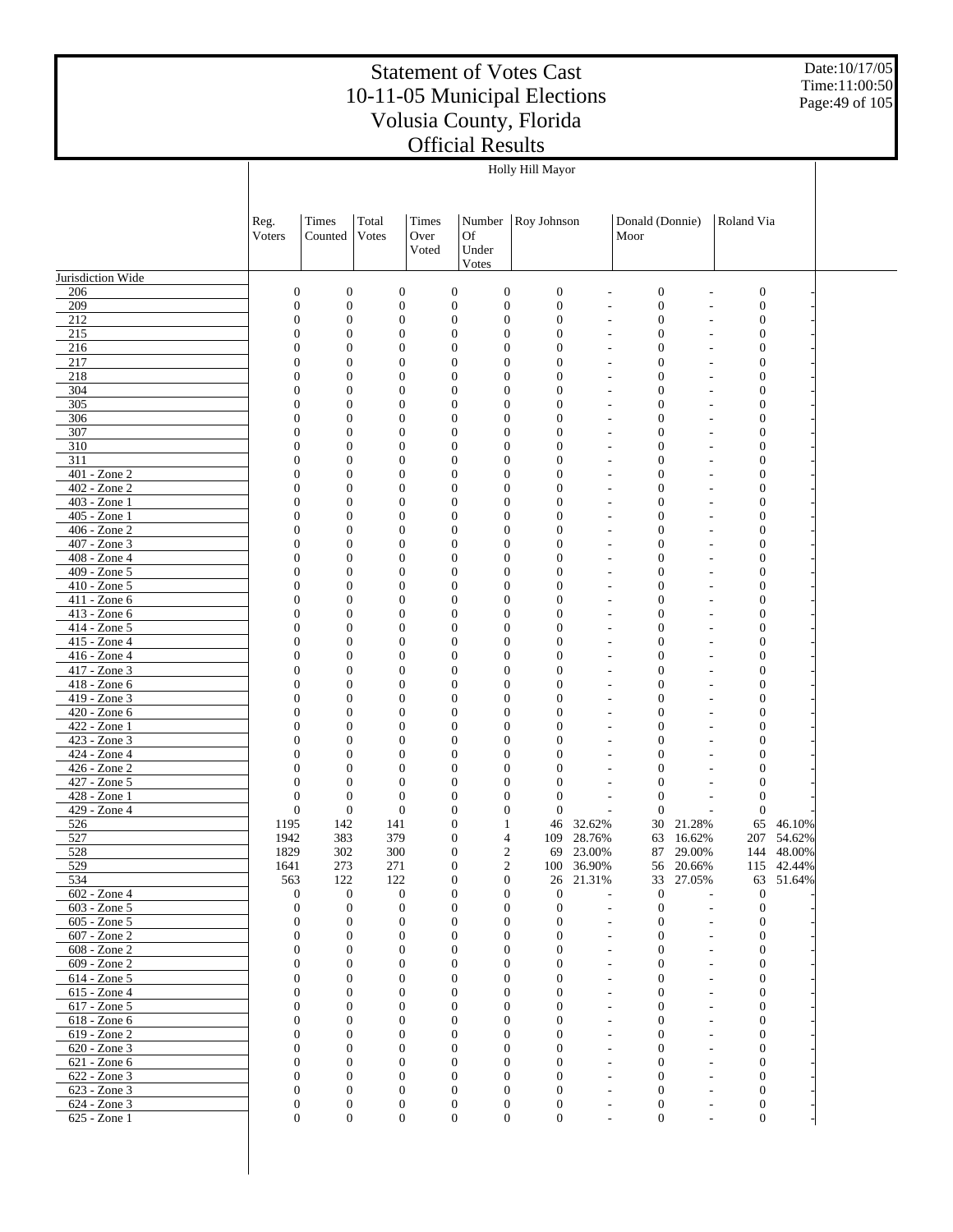Date:10/17/05 Time:11:00:50 Page:49 of 105

|                                   |                                  |                                      |                                  |                        |                                                                          | Holly Hill Mayor                                 |                                            |                                      |                     |                                      |                          |  |
|-----------------------------------|----------------------------------|--------------------------------------|----------------------------------|------------------------|--------------------------------------------------------------------------|--------------------------------------------------|--------------------------------------------|--------------------------------------|---------------------|--------------------------------------|--------------------------|--|
|                                   | Reg.<br>Voters                   | Times<br>Counted                     | Total<br>Votes                   | Times<br>Over<br>Voted | Number<br>Of<br>Under<br>Votes                                           | Roy Johnson                                      |                                            | Donald (Donnie)<br>Moor              |                     | Roland Via                           |                          |  |
| Jurisdiction Wide                 |                                  |                                      |                                  |                        |                                                                          |                                                  |                                            |                                      |                     |                                      |                          |  |
| 206                               | $\mathbf{0}$                     | $\boldsymbol{0}$                     | $\boldsymbol{0}$                 |                        | $\boldsymbol{0}$<br>$\mathbf{0}$                                         | $\boldsymbol{0}$                                 |                                            | $\boldsymbol{0}$                     |                     | $\mathbf{0}$                         |                          |  |
| 209                               | $\boldsymbol{0}$                 | $\boldsymbol{0}$                     | $\boldsymbol{0}$                 |                        | $\boldsymbol{0}$<br>$\mathbf{0}$                                         | $\boldsymbol{0}$                                 | $\overline{a}$                             | $\boldsymbol{0}$                     |                     | $\mathbf{0}$                         |                          |  |
| 212                               | $\boldsymbol{0}$                 | $\boldsymbol{0}$                     | $\boldsymbol{0}$                 |                        | $\boldsymbol{0}$<br>$\mathbf{0}$                                         | $\boldsymbol{0}$                                 |                                            | $\boldsymbol{0}$                     |                     | $\mathbf{0}$                         |                          |  |
| 215<br>216                        | $\mathbf{0}$<br>$\boldsymbol{0}$ | $\overline{0}$<br>$\boldsymbol{0}$   | $\mathbf{0}$<br>$\mathbf{0}$     |                        | $\mathbf{0}$<br>$\overline{0}$<br>$\boldsymbol{0}$<br>0                  | $\mathbf{0}$<br>$\overline{0}$                   | $\overline{\phantom{a}}$<br>$\overline{a}$ | $\boldsymbol{0}$<br>$\boldsymbol{0}$ |                     | $\mathbf{0}$<br>$\boldsymbol{0}$     |                          |  |
| 217                               | $\mathbf{0}$                     | $\overline{0}$                       | $\mathbf{0}$                     |                        | $\overline{0}$<br>$\overline{0}$                                         | $\overline{0}$                                   | $\overline{a}$                             | $\overline{0}$                       |                     | $\mathbf{0}$                         |                          |  |
| 218                               | $\boldsymbol{0}$                 | $\boldsymbol{0}$                     | $\mathbf{0}$                     |                        | $\boldsymbol{0}$<br>$\boldsymbol{0}$                                     | $\overline{0}$                                   | $\overline{a}$                             | $\boldsymbol{0}$                     |                     | $\boldsymbol{0}$                     |                          |  |
| 304                               | $\mathbf{0}$                     | $\boldsymbol{0}$                     | $\mathbf{0}$                     |                        | $\boldsymbol{0}$<br>$\overline{0}$                                       | $\overline{0}$                                   | $\overline{\phantom{a}}$                   | $\boldsymbol{0}$                     |                     | $\boldsymbol{0}$                     |                          |  |
| 305                               | $\boldsymbol{0}$                 | $\boldsymbol{0}$                     | $\boldsymbol{0}$                 |                        | $\boldsymbol{0}$<br>$\boldsymbol{0}$                                     | $\overline{0}$                                   |                                            | $\boldsymbol{0}$                     |                     | $\boldsymbol{0}$                     |                          |  |
| 306                               | $\mathbf{0}$                     | $\boldsymbol{0}$                     | $\mathbf{0}$<br>$\mathbf{0}$     |                        | $\overline{0}$<br>$\overline{0}$                                         | $\overline{0}$<br>$\overline{0}$                 | ٠                                          | $\mathbf{0}$                         |                     | $\boldsymbol{0}$                     |                          |  |
| 307<br>$\overline{310}$           | $\boldsymbol{0}$<br>0            | $\boldsymbol{0}$<br>$\overline{0}$   | $\mathbf{0}$                     |                        | $\boldsymbol{0}$<br>0<br>$\overline{0}$<br>$\overline{0}$                | $\overline{0}$                                   | $\overline{\phantom{a}}$                   | $\mathbf{0}$<br>$\mathbf{0}$         |                     | $\boldsymbol{0}$<br>$\mathbf{0}$     |                          |  |
| 311                               | $\boldsymbol{0}$                 | $\boldsymbol{0}$                     | $\mathbf{0}$                     |                        | $\boldsymbol{0}$<br>0                                                    | $\overline{0}$                                   | $\overline{a}$                             | $\mathbf{0}$                         |                     | $\boldsymbol{0}$                     |                          |  |
| $401 - Z$ one 2                   | $\mathbf{0}$                     | $\boldsymbol{0}$                     | $\mathbf{0}$                     |                        | $\overline{0}$<br>$\overline{0}$                                         | $\overline{0}$                                   | $\overline{a}$                             | $\overline{0}$                       |                     | $\mathbf{0}$                         |                          |  |
| $402 - Z$ one $2$                 | $\boldsymbol{0}$                 | $\boldsymbol{0}$                     | $\mathbf{0}$                     |                        | $\boldsymbol{0}$<br>$\boldsymbol{0}$                                     | $\overline{0}$                                   | $\overline{a}$                             | $\mathbf{0}$                         |                     | $\boldsymbol{0}$                     |                          |  |
| $403 - Z$ one 1                   | $\mathbf{0}$                     | $\boldsymbol{0}$                     | $\mathbf{0}$                     |                        | $\boldsymbol{0}$<br>$\overline{0}$                                       | $\overline{0}$                                   | $\overline{\phantom{a}}$                   | $\mathbf{0}$                         |                     | $\boldsymbol{0}$                     |                          |  |
| 405 - Zone 1                      | $\boldsymbol{0}$                 | $\boldsymbol{0}$                     | $\boldsymbol{0}$                 |                        | $\boldsymbol{0}$<br>$\mathbf{0}$                                         | $\overline{0}$                                   |                                            | $\boldsymbol{0}$                     |                     | $\boldsymbol{0}$                     |                          |  |
| $406 - Z$ one $2$<br>407 - Zone 3 | $\mathbf{0}$<br>$\boldsymbol{0}$ | $\boldsymbol{0}$<br>$\boldsymbol{0}$ | $\mathbf{0}$<br>$\mathbf{0}$     |                        | $\overline{0}$<br>$\overline{0}$<br>$\boldsymbol{0}$<br>0                | $\overline{0}$<br>$\overline{0}$                 | ٠                                          | $\mathbf{0}$<br>$\boldsymbol{0}$     |                     | $\boldsymbol{0}$<br>$\boldsymbol{0}$ |                          |  |
| $408 - Z$ one 4                   | $\mathbf{0}$                     | $\boldsymbol{0}$                     | $\mathbf{0}$                     |                        | $\overline{0}$<br>$\overline{0}$                                         | $\overline{0}$                                   | $\overline{\phantom{a}}$                   | $\mathbf{0}$                         |                     | $\mathbf{0}$                         |                          |  |
| 409 - Zone 5                      | $\boldsymbol{0}$                 | $\boldsymbol{0}$                     | $\mathbf{0}$                     |                        | $\boldsymbol{0}$<br>0                                                    | $\overline{0}$                                   | ٠                                          | $\mathbf{0}$                         |                     | $\boldsymbol{0}$                     |                          |  |
| $410 - Z$ one 5                   | $\mathbf{0}$                     | $\boldsymbol{0}$                     | $\mathbf{0}$                     |                        | $\overline{0}$<br>$\overline{0}$                                         | $\overline{0}$                                   | $\overline{\phantom{a}}$                   | $\overline{0}$                       |                     | $\mathbf{0}$                         |                          |  |
| 411 - Zone 6                      | $\boldsymbol{0}$                 | $\boldsymbol{0}$                     | $\mathbf{0}$                     |                        | $\boldsymbol{0}$<br>0                                                    | $\overline{0}$                                   | $\overline{a}$                             | $\mathbf{0}$                         |                     | $\boldsymbol{0}$                     |                          |  |
| 413 - Zone 6                      | $\mathbf{0}$                     | $\boldsymbol{0}$                     | $\mathbf{0}$                     |                        | $\boldsymbol{0}$<br>$\overline{0}$                                       | $\overline{0}$                                   | $\overline{\phantom{a}}$                   | $\mathbf{0}$                         |                     | $\boldsymbol{0}$                     |                          |  |
| 414 - Zone 5                      | $\boldsymbol{0}$                 | $\boldsymbol{0}$                     | $\boldsymbol{0}$                 |                        | $\boldsymbol{0}$<br>$\boldsymbol{0}$                                     | $\overline{0}$                                   |                                            | $\boldsymbol{0}$                     |                     | $\boldsymbol{0}$                     |                          |  |
| 415 - Zone 4<br>416 - Zone 4      | $\mathbf{0}$<br>$\boldsymbol{0}$ | $\boldsymbol{0}$<br>$\boldsymbol{0}$ | $\mathbf{0}$<br>$\mathbf{0}$     |                        | $\overline{0}$<br>$\overline{0}$<br>$\boldsymbol{0}$<br>$\boldsymbol{0}$ | $\overline{0}$<br>$\overline{0}$                 | ÷,                                         | $\mathbf{0}$<br>$\boldsymbol{0}$     |                     | $\boldsymbol{0}$<br>$\boldsymbol{0}$ |                          |  |
| $417 - Zone$ 3                    | $\mathbf{0}$                     | $\overline{0}$                       | $\mathbf{0}$                     |                        | $\boldsymbol{0}$<br>$\overline{0}$                                       | $\overline{0}$                                   | $\overline{\phantom{a}}$                   | $\mathbf{0}$                         |                     | $\mathbf{0}$                         |                          |  |
| 418 - Zone 6                      | $\boldsymbol{0}$                 | $\boldsymbol{0}$                     | $\mathbf{0}$                     |                        | $\boldsymbol{0}$<br>0                                                    | $\overline{0}$                                   |                                            | $\mathbf{0}$                         |                     | $\boldsymbol{0}$                     |                          |  |
| $419 - Zone$ 3                    | $\mathbf{0}$                     | $\overline{0}$                       | $\mathbf{0}$                     |                        | $\overline{0}$<br>$\overline{0}$                                         | $\overline{0}$                                   | $\overline{\phantom{a}}$                   | $\overline{0}$                       |                     | $\mathbf{0}$                         |                          |  |
| 420 - Zone 6                      | $\boldsymbol{0}$                 | $\boldsymbol{0}$                     | $\mathbf{0}$                     |                        | $\boldsymbol{0}$<br>$\boldsymbol{0}$                                     | $\overline{0}$                                   | $\overline{a}$                             | $\mathbf{0}$                         |                     | $\boldsymbol{0}$                     |                          |  |
| $422 - Zone1$                     | $\mathbf{0}$                     | $\overline{0}$                       | $\mathbf{0}$                     |                        | $\boldsymbol{0}$<br>$\overline{0}$                                       | $\overline{0}$                                   | $\overline{a}$                             | $\mathbf{0}$                         |                     | $\boldsymbol{0}$                     |                          |  |
| 423 - Zone 3<br>424 - Zone 4      | $\boldsymbol{0}$<br>$\mathbf{0}$ | $\boldsymbol{0}$<br>$\overline{0}$   | $\boldsymbol{0}$<br>$\mathbf{0}$ |                        | $\boldsymbol{0}$<br>0<br>$\overline{0}$<br>$\overline{0}$                | $\overline{0}$<br>$\overline{0}$                 |                                            | $\boldsymbol{0}$<br>$\overline{0}$   |                     | $\boldsymbol{0}$<br>$\boldsymbol{0}$ |                          |  |
| 426 - Zone 2                      | $\mathbf{0}$                     | $\boldsymbol{0}$                     | $\mathbf{0}$                     |                        | $\boldsymbol{0}$<br>0                                                    | $\mathbf{0}$                                     |                                            | $\boldsymbol{0}$                     |                     | $\boldsymbol{0}$                     |                          |  |
| $427 - Z$ one 5                   | $\mathbf{0}$                     | $\overline{0}$                       | $\mathbf{0}$                     |                        | $\boldsymbol{0}$<br>$\overline{0}$                                       | $\mathbf{0}$                                     |                                            | $\overline{0}$                       |                     | $\boldsymbol{0}$                     |                          |  |
| 428 - Zone 1                      | $\boldsymbol{0}$                 | $\mathbf{0}$                         | $\mathbf{0}$                     |                        | $\boldsymbol{0}$<br>0                                                    | $\mathbf{0}$                                     |                                            | $\mathbf{0}$                         |                     | $\theta$                             |                          |  |
| 429 - Zone 4                      | $\boldsymbol{0}$                 | $\mathbf{0}$                         | $\overline{0}$                   |                        | $\boldsymbol{0}$<br>$\overline{0}$                                       | $\mathbf{0}$                                     | ÷,                                         | $\mathbf{0}$                         |                     | $\theta$                             |                          |  |
| 526                               | 1195                             | 142                                  | 141                              |                        | $\boldsymbol{0}$<br>1                                                    | 46                                               | 32.62%                                     | 30                                   | 21.28%              | 65                                   | 46.10%                   |  |
| 527<br>528                        | 1942<br>1829                     | 383<br>302                           | 379<br>300                       |                        | $\boldsymbol{0}$<br>$\boldsymbol{0}$                                     | 4<br>109<br>2                                    | 28.76%<br>69 23.00%                        | 63                                   | 16.62%<br>87 29.00% |                                      | 207 54.62%<br>144 48.00% |  |
| 529                               | 1641                             | 273                                  | 271                              |                        | $\boldsymbol{0}$                                                         | 2                                                | 100 36.90%                                 |                                      | 56 20.66%           |                                      | 115 42.44%               |  |
| 534                               | 563                              | 122                                  | 122                              |                        | 0<br>$\boldsymbol{0}$                                                    |                                                  | 26 21.31%                                  | 33                                   | 27.05%              | 63                                   | 51.64%                   |  |
| 602 - Zone 4                      | $\boldsymbol{0}$                 | $\boldsymbol{0}$                     | $\boldsymbol{0}$                 |                        | $\boldsymbol{0}$<br>$\theta$                                             | $\boldsymbol{0}$                                 |                                            | $\boldsymbol{0}$                     |                     | $\mathbf{0}$                         |                          |  |
| $603 - Zone$ 5                    | $\boldsymbol{0}$                 | $\boldsymbol{0}$                     | $\mathbf{0}$                     |                        | $\boldsymbol{0}$<br>$\boldsymbol{0}$                                     | $\boldsymbol{0}$                                 |                                            | $\mathbf{0}$                         |                     | $\mathbf{0}$                         |                          |  |
| 605 - Zone 5                      | $\mathbf{0}$                     | $\mathbf{0}$                         | $\mathbf{0}$                     |                        | $\mathbf{0}$                                                             | 0<br>$\mathbf{0}$                                | $\overline{\phantom{a}}$                   | $\mathbf{0}$                         |                     | $\mathbf{0}$                         |                          |  |
| 607 - Zone 2<br>608 - Zone 2      | $\boldsymbol{0}$<br>$\mathbf{0}$ | $\boldsymbol{0}$<br>$\boldsymbol{0}$ | $\mathbf{0}$<br>$\boldsymbol{0}$ |                        | $\boldsymbol{0}$<br>$\boldsymbol{0}$<br>$\mathbf{0}$                     | $\mathbf{0}$<br>0<br>0                           | $\overline{a}$                             | $\mathbf{0}$<br>$\mathbf{0}$         |                     | $\boldsymbol{0}$<br>$\mathbf{0}$     |                          |  |
| 609 - Zone 2                      | $\mathbf{0}$                     | $\boldsymbol{0}$                     | $\boldsymbol{0}$                 |                        | $\boldsymbol{0}$<br>$\boldsymbol{0}$                                     | $\mathbf{0}$                                     |                                            | $\mathbf{0}$                         |                     | $\mathbf{0}$                         |                          |  |
| 614 - Zone 5                      | $\mathbf{0}$                     | $\boldsymbol{0}$                     | $\boldsymbol{0}$                 |                        | $\mathbf{0}$                                                             | 0<br>$\mathbf{0}$                                |                                            | $\mathbf{0}$                         |                     | $\boldsymbol{0}$                     |                          |  |
| 615 - Zone 4                      | $\mathbf{0}$                     | $\boldsymbol{0}$                     | $\boldsymbol{0}$                 |                        | $\boldsymbol{0}$<br>$\boldsymbol{0}$                                     | $\mathbf{0}$                                     |                                            | $\mathbf{0}$                         |                     | $\boldsymbol{0}$                     |                          |  |
| 617 - Zone 5                      | $\mathbf{0}$                     | $\boldsymbol{0}$                     | $\boldsymbol{0}$                 |                        | $\mathbf{0}$                                                             | $\boldsymbol{0}$<br>$\mathbf{0}$                 |                                            | $\mathbf{0}$                         |                     | $\boldsymbol{0}$                     |                          |  |
| 618 - Zone 6                      | $\mathbf{0}$                     | $\boldsymbol{0}$                     | $\boldsymbol{0}$                 |                        | $\boldsymbol{0}$<br>$\boldsymbol{0}$                                     | $\mathbf{0}$                                     |                                            | $\mathbf{0}$                         |                     | $\boldsymbol{0}$                     |                          |  |
| 619 - Zone 2                      | $\Omega$                         | $\mathbf{0}$                         | $\mathbf{0}$                     |                        | $\mathbf{0}$                                                             | $\boldsymbol{0}$<br>$\mathbf{0}$                 |                                            | $\mathbf{0}$                         |                     | $\boldsymbol{0}$                     |                          |  |
| 620 - Zone 3<br>621 - Zone 6      | $\mathbf{0}$<br>$\mathbf{0}$     | $\boldsymbol{0}$<br>$\boldsymbol{0}$ | $\boldsymbol{0}$<br>$\mathbf{0}$ |                        | $\boldsymbol{0}$<br>$\boldsymbol{0}$<br>$\mathbf{0}$                     | $\mathbf{0}$<br>$\boldsymbol{0}$<br>$\mathbf{0}$ |                                            | $\mathbf{0}$<br>$\mathbf{0}$         |                     | $\boldsymbol{0}$<br>$\boldsymbol{0}$ |                          |  |
| 622 - Zone 3                      | $\mathbf{0}$                     | $\boldsymbol{0}$                     | $\boldsymbol{0}$                 |                        | $\boldsymbol{0}$<br>$\boldsymbol{0}$                                     | $\mathbf{0}$                                     |                                            | $\mathbf{0}$                         |                     | $\mathbf{0}$                         |                          |  |
| 623 - Zone 3                      | $\mathbf{0}$                     | $\boldsymbol{0}$                     | $\boldsymbol{0}$                 |                        | $\boldsymbol{0}$                                                         | 0<br>$\mathbf{0}$                                |                                            | $\boldsymbol{0}$                     |                     | $\mathbf{0}$                         |                          |  |
| 624 - Zone 3                      | $\boldsymbol{0}$                 | $\boldsymbol{0}$                     | $\boldsymbol{0}$                 |                        | $\boldsymbol{0}$                                                         | $\boldsymbol{0}$<br>0                            |                                            | $\boldsymbol{0}$                     |                     | $\boldsymbol{0}$                     |                          |  |
| 625 - Zone 1                      | $\mathbf{0}$                     | $\boldsymbol{0}$                     | $\mathbf{0}$                     |                        | $\boldsymbol{0}$<br>$\boldsymbol{0}$                                     | $\mathbf{0}$                                     |                                            | $\boldsymbol{0}$                     |                     | $\mathbf{0}$                         |                          |  |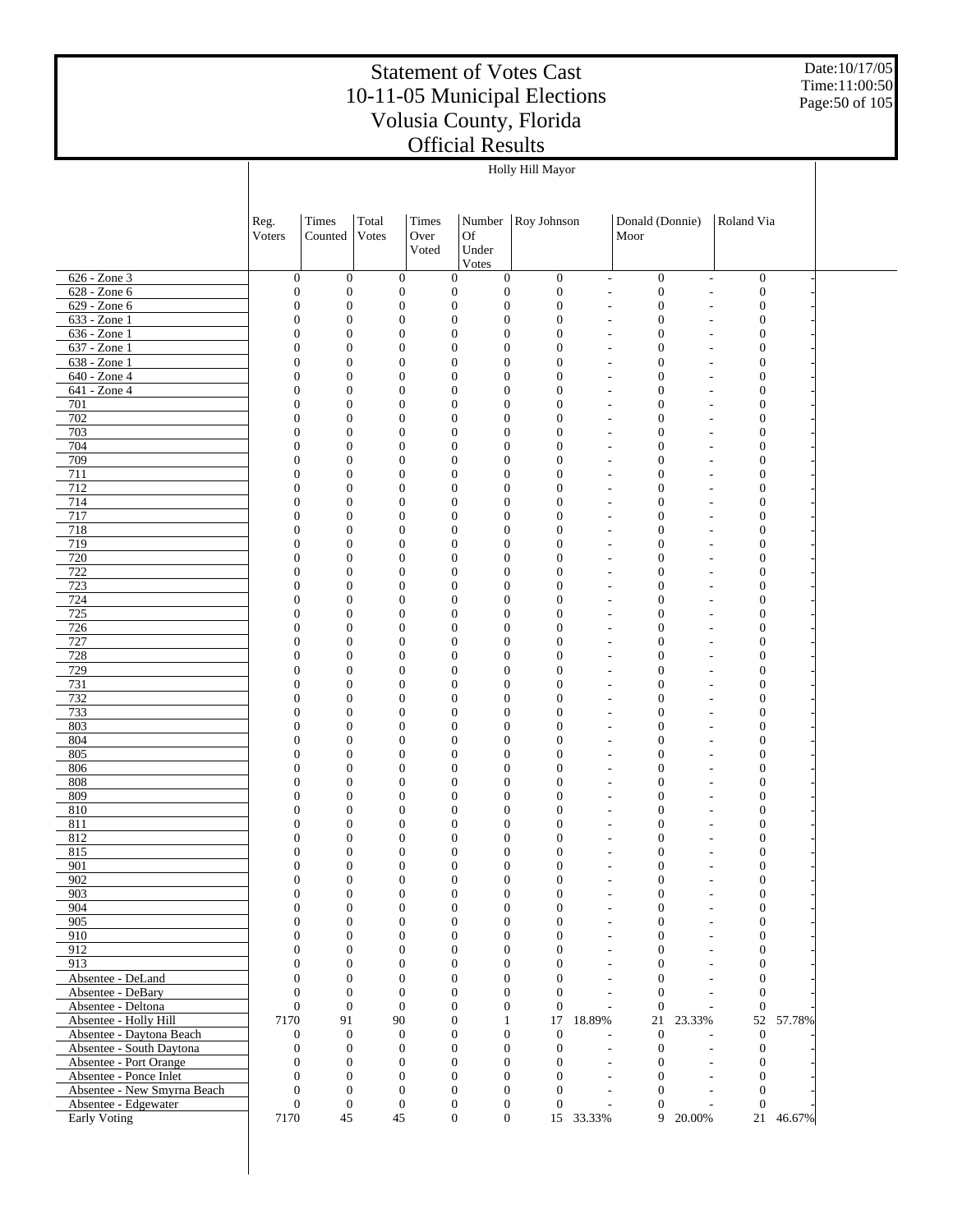Date:10/17/05 Time:11:00:50 Page:50 of 105

|                                                    |                                      |                                      |                                      |                  |                                                                              | Holly Hill Mayor                     |                                            |                                            |                          |                                      |                              |  |
|----------------------------------------------------|--------------------------------------|--------------------------------------|--------------------------------------|------------------|------------------------------------------------------------------------------|--------------------------------------|--------------------------------------------|--------------------------------------------|--------------------------|--------------------------------------|------------------------------|--|
|                                                    |                                      |                                      |                                      |                  |                                                                              |                                      |                                            |                                            |                          |                                      |                              |  |
|                                                    |                                      |                                      |                                      |                  |                                                                              |                                      |                                            |                                            |                          |                                      |                              |  |
|                                                    | Reg.                                 | Times                                | Total                                | Times            | Number                                                                       | Roy Johnson                          |                                            | Donald (Donnie)                            |                          | Roland Via                           |                              |  |
|                                                    | Voters                               | Counted                              | Votes                                | Over             | Of                                                                           |                                      |                                            | Moor                                       |                          |                                      |                              |  |
|                                                    |                                      |                                      |                                      | Voted            | Under                                                                        |                                      |                                            |                                            |                          |                                      |                              |  |
|                                                    |                                      |                                      |                                      |                  | Votes                                                                        |                                      |                                            |                                            |                          |                                      |                              |  |
| 626 - Zone 3                                       | $\boldsymbol{0}$                     | $\mathbf{0}$                         | $\boldsymbol{0}$                     | $\boldsymbol{0}$ | $\mathbf{0}$                                                                 | $\mathbf{0}$                         | $\overline{\phantom{a}}$                   | $\boldsymbol{0}$                           | $\overline{\phantom{m}}$ |                                      | $\boldsymbol{0}$             |  |
| 628 - Zone 6                                       | $\boldsymbol{0}$                     | $\boldsymbol{0}$                     | $\boldsymbol{0}$                     |                  | $\boldsymbol{0}$<br>$\mathbf{0}$                                             | $\boldsymbol{0}$                     | $\overline{a}$                             | $\boldsymbol{0}$                           | $\overline{a}$           |                                      | $\boldsymbol{0}$             |  |
| 629 - Zone 6                                       | $\boldsymbol{0}$                     | $\mathbf{0}$                         | $\boldsymbol{0}$                     |                  | $\boldsymbol{0}$<br>$\boldsymbol{0}$                                         | $\boldsymbol{0}$                     | L,                                         | $\mathbf{0}$                               | ÷                        | $\boldsymbol{0}$                     |                              |  |
| 633 - Zone 1                                       | $\boldsymbol{0}$                     | $\boldsymbol{0}$                     | $\boldsymbol{0}$                     |                  | $\boldsymbol{0}$<br>$\boldsymbol{0}$                                         | $\boldsymbol{0}$                     | L,                                         | $\mathbf{0}$                               | ÷,                       | $\boldsymbol{0}$                     |                              |  |
| $636 - Zone1$                                      | $\boldsymbol{0}$                     | $\boldsymbol{0}$                     | $\boldsymbol{0}$                     |                  | $\boldsymbol{0}$<br>$\boldsymbol{0}$                                         | $\boldsymbol{0}$                     | L,                                         | $\mathbf{0}$                               | ÷                        | $\boldsymbol{0}$                     |                              |  |
| 637 - Zone 1<br>638 - Zone 1                       | $\boldsymbol{0}$<br>$\boldsymbol{0}$ | $\boldsymbol{0}$<br>$\mathbf{0}$     | $\boldsymbol{0}$<br>$\boldsymbol{0}$ |                  | $\boldsymbol{0}$<br>$\boldsymbol{0}$<br>$\boldsymbol{0}$<br>$\boldsymbol{0}$ | $\boldsymbol{0}$<br>$\boldsymbol{0}$ | $\overline{a}$<br>$\overline{a}$           | $\mathbf{0}$<br>$\mathbf{0}$               | ÷,                       | $\boldsymbol{0}$<br>$\boldsymbol{0}$ |                              |  |
| 640 - Zone 4                                       | $\boldsymbol{0}$                     | $\boldsymbol{0}$                     | $\boldsymbol{0}$                     |                  | $\boldsymbol{0}$<br>$\mathbf{0}$                                             | $\boldsymbol{0}$                     | $\overline{a}$                             | $\mathbf{0}$                               | $\overline{a}$           | $\boldsymbol{0}$                     |                              |  |
| 641 - Zone 4                                       | $\boldsymbol{0}$                     | $\mathbf{0}$                         | $\boldsymbol{0}$                     |                  | $\boldsymbol{0}$<br>$\boldsymbol{0}$                                         | $\boldsymbol{0}$                     | $\overline{a}$                             | $\mathbf{0}$                               |                          | $\boldsymbol{0}$                     |                              |  |
| 701                                                | $\boldsymbol{0}$                     | $\boldsymbol{0}$                     | $\boldsymbol{0}$                     |                  | $\boldsymbol{0}$<br>$\boldsymbol{0}$                                         | $\boldsymbol{0}$                     | $\overline{a}$                             | $\mathbf{0}$                               | $\overline{a}$           | $\boldsymbol{0}$                     |                              |  |
| 702                                                | $\boldsymbol{0}$                     | $\mathbf{0}$                         | $\boldsymbol{0}$                     |                  | $\boldsymbol{0}$<br>$\boldsymbol{0}$                                         | $\boldsymbol{0}$                     | $\overline{a}$                             | $\mathbf{0}$                               | ÷,                       | $\boldsymbol{0}$                     |                              |  |
| 703                                                | $\boldsymbol{0}$                     | $\boldsymbol{0}$                     | $\boldsymbol{0}$                     |                  | $\boldsymbol{0}$<br>$\mathbf{0}$                                             | $\boldsymbol{0}$                     | $\overline{a}$                             | $\mathbf{0}$                               | $\overline{\phantom{a}}$ | $\boldsymbol{0}$                     |                              |  |
| 704                                                | $\boldsymbol{0}$                     | $\mathbf{0}$                         | $\boldsymbol{0}$                     |                  | $\boldsymbol{0}$<br>$\boldsymbol{0}$                                         | $\boldsymbol{0}$                     | L,                                         | $\mathbf{0}$                               | $\overline{\phantom{a}}$ | $\boldsymbol{0}$                     |                              |  |
| 709                                                | $\boldsymbol{0}$                     | $\boldsymbol{0}$                     | $\boldsymbol{0}$                     |                  | $\boldsymbol{0}$<br>$\mathbf{0}$                                             | $\boldsymbol{0}$                     | $\overline{a}$                             | $\mathbf{0}$                               | $\overline{\phantom{a}}$ | $\boldsymbol{0}$                     |                              |  |
| 711                                                | $\boldsymbol{0}$                     | $\mathbf{0}$                         | $\boldsymbol{0}$                     |                  | $\boldsymbol{0}$<br>$\boldsymbol{0}$                                         | $\boldsymbol{0}$                     | L,                                         | $\mathbf{0}$                               | ÷                        | $\boldsymbol{0}$                     |                              |  |
| 712                                                | $\boldsymbol{0}$                     | $\boldsymbol{0}$                     | $\boldsymbol{0}$                     |                  | $\boldsymbol{0}$<br>$\mathbf{0}$                                             | $\boldsymbol{0}$                     | $\overline{a}$                             | $\mathbf{0}$                               | $\overline{\phantom{a}}$ | $\boldsymbol{0}$                     |                              |  |
| 714                                                | $\boldsymbol{0}$                     | $\mathbf{0}$                         | $\boldsymbol{0}$                     |                  | $\boldsymbol{0}$<br>$\boldsymbol{0}$                                         | $\boldsymbol{0}$                     | L,                                         | $\mathbf{0}$                               | ÷,                       | $\boldsymbol{0}$                     |                              |  |
| 717<br>718                                         | $\boldsymbol{0}$                     | $\boldsymbol{0}$<br>$\mathbf{0}$     | $\boldsymbol{0}$                     |                  | $\boldsymbol{0}$<br>$\mathbf{0}$<br>$\boldsymbol{0}$<br>$\boldsymbol{0}$     | $\boldsymbol{0}$<br>$\boldsymbol{0}$ | $\overline{a}$                             | $\mathbf{0}$<br>$\mathbf{0}$               | ÷,                       | $\boldsymbol{0}$                     |                              |  |
| 719                                                | $\boldsymbol{0}$<br>$\boldsymbol{0}$ | $\boldsymbol{0}$                     | $\boldsymbol{0}$<br>$\boldsymbol{0}$ |                  | $\boldsymbol{0}$<br>$\mathbf{0}$                                             | $\boldsymbol{0}$                     | $\overline{a}$<br>$\overline{a}$           | $\mathbf{0}$                               | ÷,<br>$\overline{a}$     | $\boldsymbol{0}$<br>$\boldsymbol{0}$ |                              |  |
| 720                                                | $\boldsymbol{0}$                     | $\mathbf{0}$                         | $\boldsymbol{0}$                     |                  | $\boldsymbol{0}$<br>$\boldsymbol{0}$                                         | $\boldsymbol{0}$                     | $\overline{a}$                             | $\mathbf{0}$                               |                          | $\boldsymbol{0}$                     |                              |  |
| 722                                                | $\boldsymbol{0}$                     | $\boldsymbol{0}$                     | $\boldsymbol{0}$                     |                  | $\boldsymbol{0}$<br>$\boldsymbol{0}$                                         | $\boldsymbol{0}$                     | $\overline{a}$                             | $\mathbf{0}$                               | $\overline{a}$           | $\boldsymbol{0}$                     |                              |  |
| 723                                                | $\boldsymbol{0}$                     | $\mathbf{0}$                         | $\boldsymbol{0}$                     |                  | $\boldsymbol{0}$<br>$\boldsymbol{0}$                                         | $\boldsymbol{0}$                     | $\overline{a}$                             | $\mathbf{0}$                               |                          | $\boldsymbol{0}$                     |                              |  |
| 724                                                | $\boldsymbol{0}$                     | $\boldsymbol{0}$                     | $\boldsymbol{0}$                     |                  | $\boldsymbol{0}$<br>$\mathbf{0}$                                             | $\boldsymbol{0}$                     | $\overline{a}$                             | $\mathbf{0}$                               | $\overline{\phantom{a}}$ | $\boldsymbol{0}$                     |                              |  |
| 725                                                | $\boldsymbol{0}$                     | $\mathbf{0}$                         | $\boldsymbol{0}$                     |                  | $\boldsymbol{0}$<br>$\boldsymbol{0}$                                         | $\boldsymbol{0}$                     | L,                                         | $\mathbf{0}$                               | ÷,                       | $\boldsymbol{0}$                     |                              |  |
| 726                                                | $\boldsymbol{0}$                     | $\boldsymbol{0}$                     | $\boldsymbol{0}$                     |                  | $\boldsymbol{0}$<br>$\boldsymbol{0}$                                         | $\boldsymbol{0}$                     | $\overline{a}$                             | $\mathbf{0}$                               | $\overline{\phantom{a}}$ | $\boldsymbol{0}$                     |                              |  |
| 727                                                | $\boldsymbol{0}$                     | $\mathbf{0}$                         | $\boldsymbol{0}$                     |                  | $\boldsymbol{0}$<br>$\boldsymbol{0}$                                         | $\boldsymbol{0}$                     | L,                                         | $\mathbf{0}$                               | ÷                        | $\boldsymbol{0}$                     |                              |  |
| 728                                                | $\boldsymbol{0}$                     | $\boldsymbol{0}$                     | $\boldsymbol{0}$                     |                  | $\boldsymbol{0}$<br>$\mathbf{0}$                                             | $\boldsymbol{0}$                     | $\overline{a}$                             | $\mathbf{0}$                               | $\overline{\phantom{a}}$ | $\boldsymbol{0}$                     |                              |  |
| 729                                                | $\boldsymbol{0}$                     | $\mathbf{0}$                         | $\boldsymbol{0}$                     |                  | $\boldsymbol{0}$<br>$\boldsymbol{0}$                                         | $\boldsymbol{0}$                     | L,                                         | $\mathbf{0}$                               | ÷                        | $\boldsymbol{0}$                     |                              |  |
| 731<br>732                                         | $\boldsymbol{0}$                     | $\boldsymbol{0}$<br>$\mathbf{0}$     | $\boldsymbol{0}$<br>$\boldsymbol{0}$ |                  | $\boldsymbol{0}$<br>$\mathbf{0}$<br>$\boldsymbol{0}$<br>$\boldsymbol{0}$     | $\boldsymbol{0}$<br>$\boldsymbol{0}$ | $\overline{a}$<br>L,                       | $\mathbf{0}$<br>$\mathbf{0}$               | ÷,<br>÷,                 | $\boldsymbol{0}$<br>$\boldsymbol{0}$ |                              |  |
| 733                                                | $\boldsymbol{0}$<br>$\boldsymbol{0}$ | $\boldsymbol{0}$                     | $\boldsymbol{0}$                     |                  | $\boldsymbol{0}$<br>$\mathbf{0}$                                             | $\boldsymbol{0}$                     | $\overline{a}$                             | $\mathbf{0}$                               | $\overline{a}$           | $\boldsymbol{0}$                     |                              |  |
| 803                                                | $\boldsymbol{0}$                     | $\mathbf{0}$                         | $\boldsymbol{0}$                     |                  | $\boldsymbol{0}$<br>$\boldsymbol{0}$                                         | $\boldsymbol{0}$                     | $\overline{a}$                             | $\mathbf{0}$                               |                          | $\boldsymbol{0}$                     |                              |  |
| 804                                                | $\boldsymbol{0}$                     | $\boldsymbol{0}$                     | $\boldsymbol{0}$                     |                  | $\boldsymbol{0}$<br>$\boldsymbol{0}$                                         | $\boldsymbol{0}$                     | $\overline{a}$                             | $\mathbf{0}$                               | $\overline{a}$           | $\boldsymbol{0}$                     |                              |  |
| 805                                                | $\boldsymbol{0}$                     | $\mathbf{0}$                         | $\boldsymbol{0}$                     |                  | $\boldsymbol{0}$<br>$\boldsymbol{0}$                                         | $\boldsymbol{0}$                     | $\overline{a}$                             | $\mathbf{0}$                               |                          | $\boldsymbol{0}$                     |                              |  |
| 806                                                | $\boldsymbol{0}$                     | $\boldsymbol{0}$                     | $\boldsymbol{0}$                     |                  | $\boldsymbol{0}$<br>$\mathbf{0}$                                             | $\boldsymbol{0}$                     | $\overline{a}$                             | $\mathbf{0}$                               | $\overline{\phantom{a}}$ | $\boldsymbol{0}$                     |                              |  |
| 808                                                | $\boldsymbol{0}$                     | $\mathbf{0}$                         | $\boldsymbol{0}$                     |                  | $\boldsymbol{0}$<br>$\boldsymbol{0}$                                         | $\boldsymbol{0}$                     | $\overline{a}$                             | $\mathbf{0}$                               | ÷,                       | $\boldsymbol{0}$                     |                              |  |
| 809                                                | $\boldsymbol{0}$                     | $\boldsymbol{0}$                     | $\boldsymbol{0}$                     |                  | $\boldsymbol{0}$<br>$\boldsymbol{0}$                                         | $\boldsymbol{0}$                     | $\overline{a}$                             | $\mathbf{0}$                               | ÷,                       | $\boldsymbol{0}$                     |                              |  |
| 810                                                | 0                                    | $\mathbf{0}$                         | $\boldsymbol{0}$                     |                  | $\boldsymbol{0}$<br>$\mathbf{0}$                                             | $\boldsymbol{0}$                     | L,                                         | $\mathbf{0}$                               |                          | $\boldsymbol{0}$                     |                              |  |
| 811                                                | $\boldsymbol{0}$                     | $\mathbf{0}$                         | $\mathbf{0}$                         |                  | $\boldsymbol{0}$<br>$\mathbf{0}$                                             | $\boldsymbol{0}$                     | L,                                         | $\mathbf{0}$                               |                          | $\boldsymbol{0}$                     |                              |  |
| 812                                                | $\boldsymbol{0}$                     | $\mathbf{0}$<br>$\Omega$             | $\boldsymbol{0}$                     |                  | $\boldsymbol{0}$<br>$\mathbf{0}$                                             | $\boldsymbol{0}$                     | L,                                         | $\mathbf{0}$                               |                          | $\mathbf{0}$                         | $\Omega$                     |  |
| 815<br>901                                         | $\Omega$<br>$\mathbf{0}$             | $\boldsymbol{0}$                     | $\Omega$<br>$\boldsymbol{0}$         | $\mathbf{0}$     | $\mathbf{0}$<br>$\Omega$<br>$\boldsymbol{0}$                                 | $\mathbf{0}$<br>$\mathbf{0}$         | L,                                         | $\overline{0}$<br>$\boldsymbol{0}$         |                          |                                      | $\mathbf{0}$                 |  |
| 902                                                | $\boldsymbol{0}$                     | $\boldsymbol{0}$                     | $\boldsymbol{0}$                     |                  | $\boldsymbol{0}$<br>$\boldsymbol{0}$                                         | $\boldsymbol{0}$                     | $\overline{\phantom{a}}$<br>$\overline{a}$ | $\mathbf{0}$                               | $\overline{\phantom{a}}$ |                                      | $\boldsymbol{0}$             |  |
| 903                                                | $\boldsymbol{0}$                     | $\boldsymbol{0}$                     | $\boldsymbol{0}$                     |                  | $\boldsymbol{0}$<br>$\mathbf{0}$                                             | $\boldsymbol{0}$                     | L,                                         | $\overline{0}$                             |                          |                                      | $\boldsymbol{0}$             |  |
| 904                                                | $\overline{0}$                       | $\boldsymbol{0}$                     | $\boldsymbol{0}$                     |                  | $\boldsymbol{0}$<br>$\boldsymbol{0}$                                         | $\mathbf{0}$                         | $\overline{a}$                             | $\boldsymbol{0}$                           | $\overline{\phantom{a}}$ |                                      | $\boldsymbol{0}$             |  |
| 905                                                | $\boldsymbol{0}$                     | $\boldsymbol{0}$                     | $\boldsymbol{0}$                     |                  | $\overline{0}$<br>$\boldsymbol{0}$                                           | $\boldsymbol{0}$                     | L,                                         | $\overline{0}$                             |                          |                                      | $\boldsymbol{0}$             |  |
| 910                                                | $\overline{0}$                       | $\overline{0}$                       | $\overline{0}$                       |                  | $\overline{0}$<br>$\mathbf{0}$                                               | $\mathbf{0}$                         | $\overline{\phantom{0}}$                   | $\overline{0}$                             | $\overline{\phantom{a}}$ |                                      | $\boldsymbol{0}$             |  |
| 912                                                | $\boldsymbol{0}$                     | $\boldsymbol{0}$                     | $\boldsymbol{0}$                     |                  | $\overline{0}$<br>$\overline{0}$                                             | $\overline{0}$                       | L,                                         | $\overline{0}$                             |                          |                                      | $\boldsymbol{0}$             |  |
| 913                                                | $\overline{0}$                       | $\overline{0}$                       | $\overline{0}$                       |                  | $\overline{0}$<br>$\mathbf{0}$                                               | $\mathbf{0}$                         | L,                                         | $\overline{0}$                             | $\overline{\phantom{a}}$ |                                      | $\overline{0}$               |  |
| Absentee - DeLand                                  | $\boldsymbol{0}$                     | $\boldsymbol{0}$                     | $\boldsymbol{0}$                     |                  | $\overline{0}$<br>$\boldsymbol{0}$                                           | $\mathbf{0}$                         | ÷,                                         | $\overline{0}$                             |                          |                                      | $\mathbf{0}$                 |  |
| Absentee - DeBary                                  | $\overline{0}$                       | $\mathbf{0}$                         | $\overline{0}$                       |                  | $\overline{0}$<br>$\mathbf{0}$                                               | $\mathbf{0}$                         |                                            | $\overline{0}$<br>$\overline{\phantom{a}}$ | $\overline{\phantom{a}}$ |                                      | $\overline{0}$               |  |
| Absentee - Deltona                                 | $\boldsymbol{0}$                     | $\boldsymbol{0}$                     | $\overline{0}$                       |                  | $\overline{0}$<br>$\boldsymbol{0}$                                           | $\boldsymbol{0}$                     | $\mathbf{r}$                               | $\boldsymbol{0}$                           | ÷                        |                                      | $\mathbf{0}$                 |  |
| Absentee - Holly Hill                              | 7170                                 | 91                                   | 90                                   |                  | $\mathbf{0}$<br>1                                                            |                                      | 17 18.89%                                  | 21                                         | 23.33%                   |                                      | 52<br>57.78%                 |  |
| Absentee - Daytona Beach                           | $\mathbf{0}$                         | $\boldsymbol{0}$                     | $\mathbf{0}$                         |                  | $\boldsymbol{0}$<br>$\mathbf{0}$                                             | $\mathbf{0}$                         |                                            | $\boldsymbol{0}$                           |                          |                                      | $\mathbf{0}$                 |  |
| Absentee - South Daytona<br>Absentee - Port Orange | $\boldsymbol{0}$<br>$\boldsymbol{0}$ | $\boldsymbol{0}$<br>$\boldsymbol{0}$ | $\boldsymbol{0}$<br>$\boldsymbol{0}$ |                  | $\boldsymbol{0}$<br>$\mathbf{0}$<br>$\overline{0}$<br>$\boldsymbol{0}$       | $\boldsymbol{0}$<br>$\boldsymbol{0}$ | $\overline{\phantom{a}}$<br>L,             | $\boldsymbol{0}$<br>$\mathbf{0}$           | $\overline{a}$           |                                      | $\mathbf{0}$<br>$\mathbf{0}$ |  |
| Absentee - Ponce Inlet                             | $\boldsymbol{0}$                     | $\boldsymbol{0}$                     | $\overline{0}$                       |                  | $\overline{0}$<br>$\boldsymbol{0}$                                           | $\mathbf{0}$                         | $\overline{\phantom{a}}$                   | $\boldsymbol{0}$                           | $\overline{\phantom{a}}$ |                                      | $\overline{0}$               |  |
| Absentee - New Smyrna Beach                        | $\boldsymbol{0}$                     | $\boldsymbol{0}$                     | $\boldsymbol{0}$                     |                  | $\overline{0}$<br>$\boldsymbol{0}$                                           | $\mathbf{0}$                         | $\overline{\phantom{a}}$                   | $\overline{0}$                             | $\overline{\phantom{a}}$ |                                      | $\overline{0}$               |  |
| Absentee - Edgewater                               | $\boldsymbol{0}$                     | $\boldsymbol{0}$                     | $\mathbf{0}$                         |                  | $\mathbf{0}$<br>$\boldsymbol{0}$                                             | $\mathbf{0}$                         | $\overline{\phantom{a}}$                   | $\mathbf{0}$                               | $\overline{\phantom{a}}$ |                                      | $\overline{0}$               |  |
| Early Voting                                       | 7170                                 | 45                                   | 45                                   |                  | $\boldsymbol{0}$                                                             | $\overline{0}$                       | 15 33.33%                                  | 9                                          | 20.00%                   |                                      | 21 46.67%                    |  |
|                                                    |                                      |                                      |                                      |                  |                                                                              |                                      |                                            |                                            |                          |                                      |                              |  |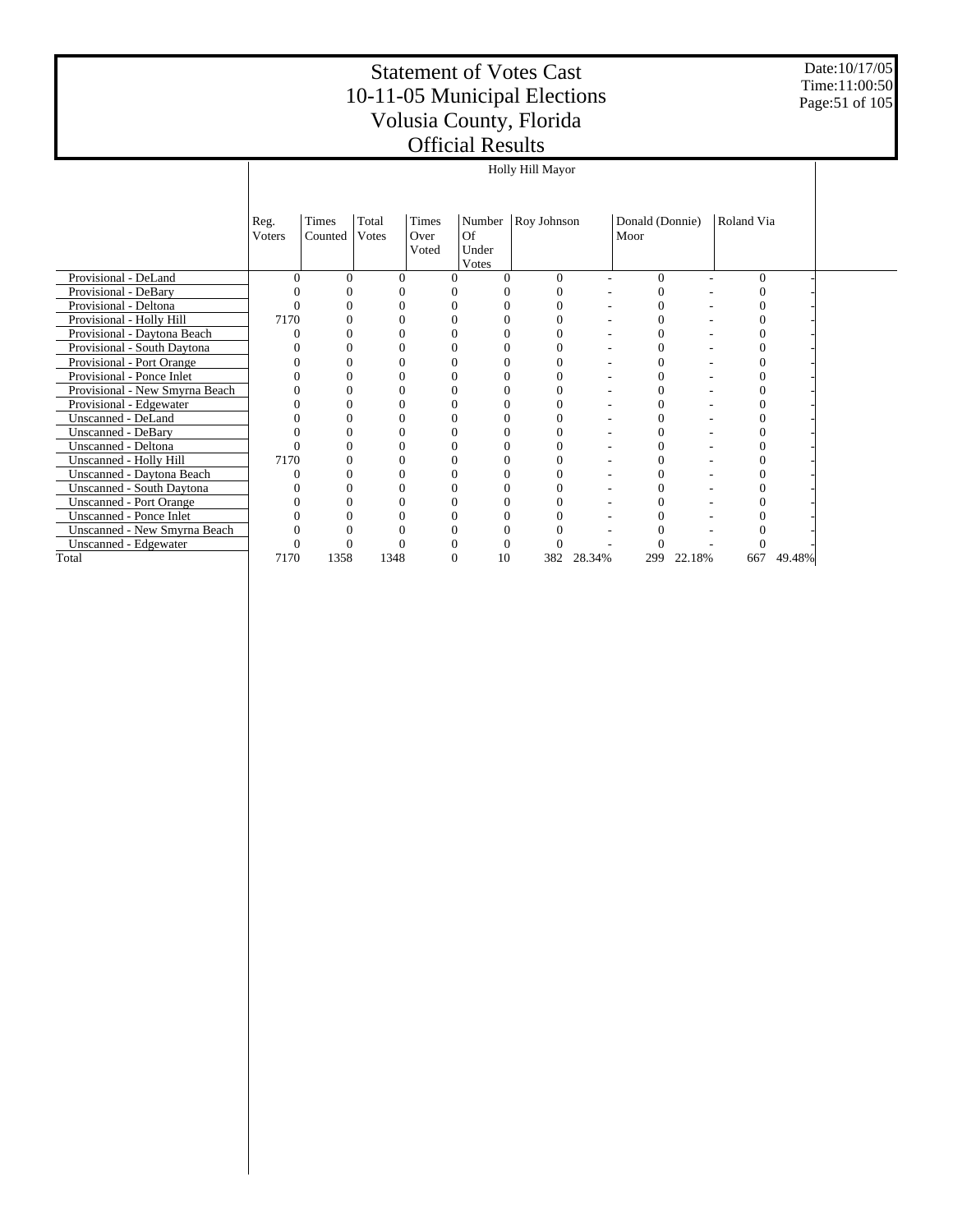Date:10/17/05 Time:11:00:50 Page:51 of 105

|                                |                |                  |                |                        |                                | Holly Hill Mayor |        |                         |                          |            |        |  |
|--------------------------------|----------------|------------------|----------------|------------------------|--------------------------------|------------------|--------|-------------------------|--------------------------|------------|--------|--|
|                                |                |                  |                |                        |                                |                  |        |                         |                          |            |        |  |
|                                | Reg.<br>Voters | Times<br>Counted | Total<br>Votes | Times<br>Over<br>Voted | Number<br>Of<br>Under<br>Votes | Roy Johnson      |        | Donald (Donnie)<br>Moor |                          | Roland Via |        |  |
| Provisional - DeLand           | $\Omega$       | $\Omega$         | $\Omega$       | $\theta$               | $\Omega$                       | $\Omega$         | ٠      | 0                       | $\overline{\phantom{a}}$ | $\Omega$   |        |  |
| Provisional - DeBary           |                | $\Omega$         |                |                        |                                | 0                |        | 0                       |                          |            |        |  |
| Provisional - Deltona          |                |                  |                |                        |                                |                  |        |                         |                          |            |        |  |
| Provisional - Holly Hill       | 7170           |                  |                |                        | 0                              |                  |        |                         |                          |            |        |  |
| Provisional - Daytona Beach    |                |                  |                |                        |                                |                  |        |                         |                          |            |        |  |
| Provisional - South Daytona    |                | $\Omega$         |                |                        | 0                              | 0                |        |                         |                          |            |        |  |
| Provisional - Port Orange      |                |                  |                | 0                      |                                |                  |        |                         |                          |            |        |  |
| Provisional - Ponce Inlet      |                |                  |                |                        |                                |                  |        |                         |                          |            |        |  |
| Provisional - New Smyrna Beach |                |                  |                | 0                      | $\Omega$                       | 0                |        |                         |                          |            |        |  |
| Provisional - Edgewater        |                |                  |                | 0                      | $\Omega$                       |                  |        |                         |                          |            |        |  |
| Unscanned - DeLand             |                |                  |                | 0                      | $\Omega$                       | 0                | ۰      |                         |                          | $\left($   |        |  |
| Unscanned - DeBary             |                |                  |                | 0                      | $\Omega$                       |                  |        | 0                       |                          |            |        |  |
| Unscanned - Deltona            | 0              | $\Omega$         |                | 0                      | $\Omega$                       | 0                | ٠      | 0                       |                          | 0          |        |  |
| Unscanned - Holly Hill         | 7170           |                  |                |                        |                                |                  |        |                         |                          |            |        |  |
| Unscanned - Daytona Beach      |                |                  |                |                        |                                |                  |        |                         |                          |            |        |  |
| Unscanned - South Daytona      |                |                  |                | 0                      |                                |                  |        |                         |                          |            |        |  |
| <b>Unscanned - Port Orange</b> |                |                  |                |                        |                                |                  |        |                         |                          |            |        |  |
| Unscanned - Ponce Inlet        |                |                  |                |                        |                                |                  |        |                         |                          |            |        |  |
| Unscanned - New Smyrna Beach   |                |                  |                |                        |                                |                  |        |                         |                          |            |        |  |
| Unscanned - Edgewater          |                |                  |                | 0                      | $\Omega$                       |                  |        |                         |                          |            |        |  |
| Total                          | 7170           | 1358             | 1348           | $\theta$               | 10                             | 382              | 28.34% | 299                     | 22.18%                   | 667        | 49.48% |  |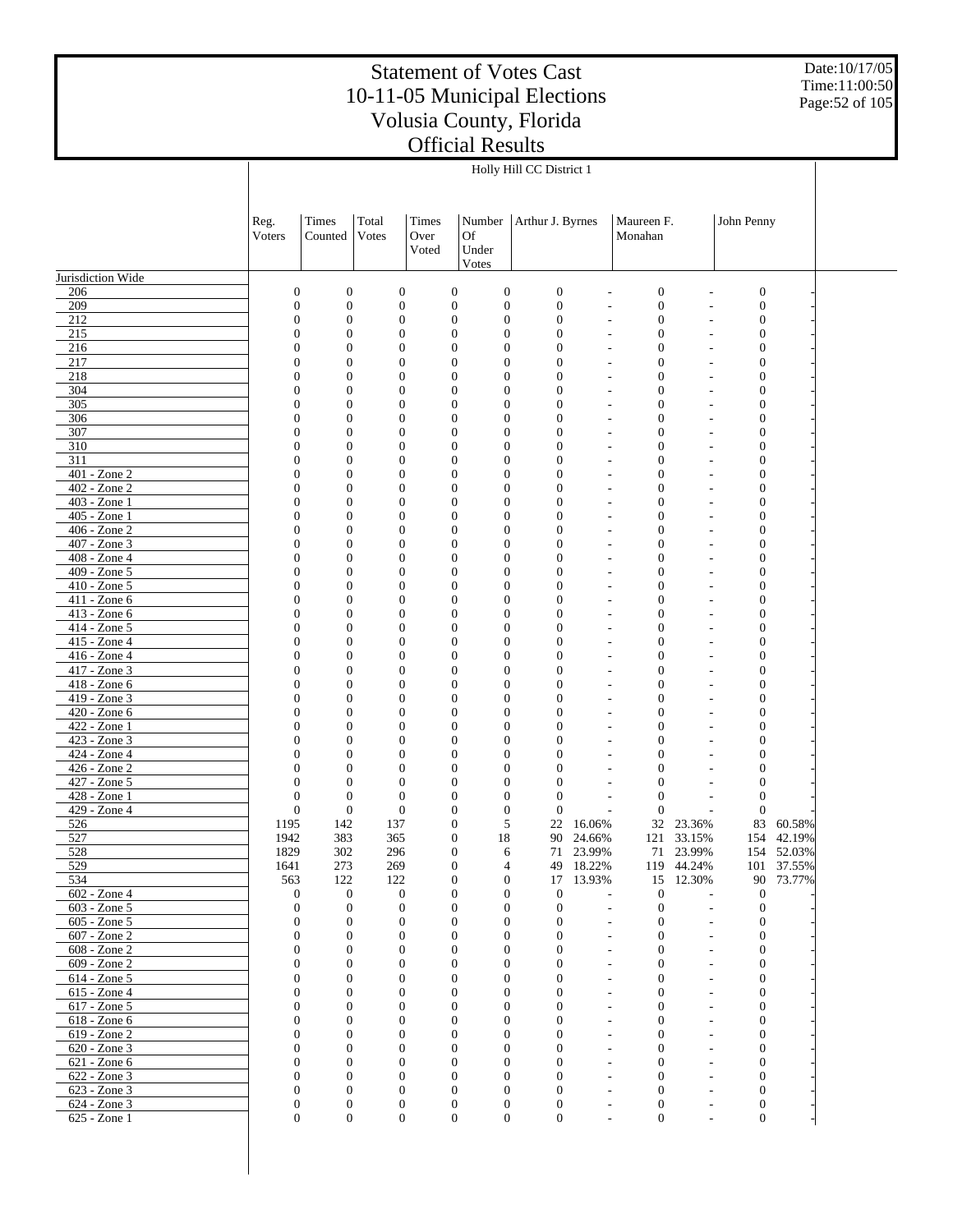Date:10/17/05 Time:11:00:50 Page:52 of 105

|                              |                                    |                                      |                                      |                                      |                                      | Holly Hill CC District 1         |                          |                                      |                          |                                      |                      |  |
|------------------------------|------------------------------------|--------------------------------------|--------------------------------------|--------------------------------------|--------------------------------------|----------------------------------|--------------------------|--------------------------------------|--------------------------|--------------------------------------|----------------------|--|
|                              |                                    |                                      |                                      |                                      |                                      |                                  |                          |                                      |                          |                                      |                      |  |
|                              |                                    |                                      |                                      |                                      |                                      |                                  |                          |                                      |                          |                                      |                      |  |
|                              | Reg.<br>Voters                     | Times<br>Counted                     | Total<br>Votes                       | <b>Times</b><br>Over                 | Number<br><b>Of</b>                  | Arthur J. Byrnes                 |                          | Maureen F.<br>Monahan                |                          | John Penny                           |                      |  |
|                              |                                    |                                      |                                      | Voted                                | Under                                |                                  |                          |                                      |                          |                                      |                      |  |
|                              |                                    |                                      |                                      |                                      | Votes                                |                                  |                          |                                      |                          |                                      |                      |  |
| Jurisdiction Wide            |                                    |                                      |                                      |                                      |                                      |                                  |                          |                                      |                          |                                      |                      |  |
| 206<br>209                   | $\mathbf{0}$<br>$\boldsymbol{0}$   | $\boldsymbol{0}$<br>$\boldsymbol{0}$ | $\boldsymbol{0}$<br>$\boldsymbol{0}$ | $\boldsymbol{0}$<br>$\boldsymbol{0}$ | $\boldsymbol{0}$<br>$\boldsymbol{0}$ | $\boldsymbol{0}$<br>$\mathbf{0}$ | $\overline{a}$           | $\boldsymbol{0}$<br>$\boldsymbol{0}$ |                          | $\boldsymbol{0}$<br>$\boldsymbol{0}$ |                      |  |
| 212                          | $\overline{0}$                     | $\boldsymbol{0}$                     | $\mathbf{0}$                         | $\boldsymbol{0}$                     | $\boldsymbol{0}$                     | $\mathbf{0}$                     | $\overline{\phantom{a}}$ | $\mathbf{0}$                         |                          | $\boldsymbol{0}$                     |                      |  |
| 215                          | 0                                  | $\boldsymbol{0}$                     | $\boldsymbol{0}$                     | $\boldsymbol{0}$                     | $\boldsymbol{0}$                     | $\mathbf{0}$                     |                          | $\boldsymbol{0}$                     |                          | $\boldsymbol{0}$                     |                      |  |
| 216                          | $\overline{0}$                     | $\boldsymbol{0}$                     | $\mathbf{0}$                         | $\overline{0}$                       | $\mathbf{0}$                         | $\mathbf{0}$                     | $\overline{a}$           | $\mathbf{0}$                         |                          | $\boldsymbol{0}$                     |                      |  |
| 217                          | 0                                  | $\boldsymbol{0}$                     | $\mathbf{0}$                         | $\overline{0}$                       | $\theta$                             | $\mathbf{0}$                     |                          | $\mathbf{0}$                         |                          | $\boldsymbol{0}$                     |                      |  |
| 218<br>304                   | $\overline{0}$<br>$\boldsymbol{0}$ | $\boldsymbol{0}$<br>$\boldsymbol{0}$ | $\mathbf{0}$<br>$\mathbf{0}$         | $\boldsymbol{0}$<br>$\boldsymbol{0}$ | $\boldsymbol{0}$<br>$\boldsymbol{0}$ | $\mathbf{0}$<br>$\mathbf{0}$     | $\overline{a}$           | $\mathbf{0}$<br>$\mathbf{0}$         |                          | $\boldsymbol{0}$<br>$\boldsymbol{0}$ |                      |  |
| 305                          | $\overline{0}$                     | $\boldsymbol{0}$                     | $\mathbf{0}$                         | $\boldsymbol{0}$                     | $\boldsymbol{0}$                     | $\mathbf{0}$                     | $\overline{a}$           | $\mathbf{0}$                         |                          | $\boldsymbol{0}$                     |                      |  |
| 306                          | 0                                  | $\boldsymbol{0}$                     | $\mathbf{0}$                         | $\boldsymbol{0}$                     | $\theta$                             | $\mathbf{0}$                     |                          | $\mathbf{0}$                         |                          | $\boldsymbol{0}$                     |                      |  |
| 307                          | 0                                  | $\boldsymbol{0}$                     | $\mathbf{0}$                         | $\boldsymbol{0}$                     | $\boldsymbol{0}$                     | $\mathbf{0}$                     | $\overline{a}$           | $\mathbf{0}$                         |                          | $\boldsymbol{0}$                     |                      |  |
| 310<br>311                   | 0<br>$\overline{0}$                | $\boldsymbol{0}$<br>$\boldsymbol{0}$ | $\mathbf{0}$<br>$\mathbf{0}$         | $\boldsymbol{0}$<br>$\boldsymbol{0}$ | $\boldsymbol{0}$<br>$\boldsymbol{0}$ | $\mathbf{0}$<br>$\mathbf{0}$     | $\overline{a}$           | $\mathbf{0}$<br>$\mathbf{0}$         |                          | $\boldsymbol{0}$<br>$\boldsymbol{0}$ |                      |  |
| 401 - Zone 2                 | 0                                  | $\boldsymbol{0}$                     | $\mathbf{0}$                         | $\boldsymbol{0}$                     | $\mathbf{0}$                         | $\mathbf{0}$                     | L,                       | $\mathbf{0}$                         |                          | $\boldsymbol{0}$                     |                      |  |
| 402 - Zone 2                 | $\overline{0}$                     | $\boldsymbol{0}$                     | $\mathbf{0}$                         | $\boldsymbol{0}$                     | $\boldsymbol{0}$                     | $\mathbf{0}$                     | L,                       | $\mathbf{0}$                         |                          | $\boldsymbol{0}$                     |                      |  |
| 403 - Zone 1                 | $\overline{0}$                     | $\boldsymbol{0}$                     | $\mathbf{0}$                         | $\boldsymbol{0}$                     | $\boldsymbol{0}$                     | $\mathbf{0}$                     | L,                       | $\mathbf{0}$                         |                          | $\boldsymbol{0}$                     |                      |  |
| 405 - Zone 1<br>406 - Zone 2 | $\overline{0}$<br>0                | $\boldsymbol{0}$<br>$\boldsymbol{0}$ | $\mathbf{0}$<br>$\mathbf{0}$         | $\overline{0}$<br>$\boldsymbol{0}$   | $\boldsymbol{0}$<br>$\mathbf{0}$     | $\mathbf{0}$<br>$\mathbf{0}$     | $\overline{a}$<br>L,     | $\mathbf{0}$<br>$\mathbf{0}$         |                          | $\boldsymbol{0}$<br>$\boldsymbol{0}$ |                      |  |
| 407 - Zone 3                 | $\overline{0}$                     | $\boldsymbol{0}$                     | $\mathbf{0}$                         | $\boldsymbol{0}$                     | $\boldsymbol{0}$                     | $\mathbf{0}$                     | $\overline{a}$           | $\mathbf{0}$                         |                          | $\boldsymbol{0}$                     |                      |  |
| 408 - Zone 4                 | $\overline{0}$                     | $\boldsymbol{0}$                     | $\mathbf{0}$                         | $\boldsymbol{0}$                     | $\boldsymbol{0}$                     | $\mathbf{0}$                     |                          | $\mathbf{0}$                         |                          | $\boldsymbol{0}$                     |                      |  |
| 409 - Zone 5                 | $\overline{0}$                     | $\boldsymbol{0}$                     | $\mathbf{0}$                         | $\overline{0}$                       | $\boldsymbol{0}$                     | $\mathbf{0}$                     | $\overline{a}$           | $\mathbf{0}$                         |                          | $\boldsymbol{0}$                     |                      |  |
| 410 - Zone 5                 | 0                                  | $\boldsymbol{0}$                     | $\mathbf{0}$                         | $\overline{0}$                       | $\mathbf{0}$                         | $\mathbf{0}$                     |                          | $\mathbf{0}$                         |                          | $\boldsymbol{0}$                     |                      |  |
| 411 - Zone 6<br>413 - Zone 6 | $\overline{0}$<br>$\overline{0}$   | $\boldsymbol{0}$<br>$\boldsymbol{0}$ | $\mathbf{0}$<br>$\mathbf{0}$         | $\boldsymbol{0}$<br>$\boldsymbol{0}$ | $\boldsymbol{0}$<br>$\boldsymbol{0}$ | $\mathbf{0}$<br>$\mathbf{0}$     | $\overline{a}$           | $\mathbf{0}$<br>$\mathbf{0}$         |                          | $\boldsymbol{0}$<br>$\boldsymbol{0}$ |                      |  |
| 414 - Zone 5                 | $\overline{0}$                     | $\boldsymbol{0}$                     | $\mathbf{0}$                         | $\overline{0}$                       | $\boldsymbol{0}$                     | $\mathbf{0}$                     | $\overline{a}$           | $\mathbf{0}$                         |                          | $\boldsymbol{0}$                     |                      |  |
| 415 - Zone 4                 | $\boldsymbol{0}$                   | $\boldsymbol{0}$                     | $\mathbf{0}$                         | $\overline{0}$                       | $\mathbf{0}$                         | $\mathbf{0}$                     |                          | $\mathbf{0}$                         |                          | $\boldsymbol{0}$                     |                      |  |
| 416 - Zone 4                 | $\overline{0}$                     | $\boldsymbol{0}$                     | $\mathbf{0}$                         | $\boldsymbol{0}$                     | $\boldsymbol{0}$                     | $\mathbf{0}$                     | $\overline{a}$           | $\mathbf{0}$                         |                          | $\boldsymbol{0}$                     |                      |  |
| 417 - Zone 3<br>418 - Zone 6 | $\overline{0}$<br>$\overline{0}$   | $\boldsymbol{0}$<br>$\boldsymbol{0}$ | $\mathbf{0}$<br>$\mathbf{0}$         | $\boldsymbol{0}$<br>$\overline{0}$   | $\boldsymbol{0}$<br>$\boldsymbol{0}$ | $\mathbf{0}$<br>$\mathbf{0}$     |                          | $\mathbf{0}$<br>$\mathbf{0}$         |                          | $\boldsymbol{0}$<br>$\boldsymbol{0}$ |                      |  |
| 419 - Zone 3                 | $\boldsymbol{0}$                   | $\boldsymbol{0}$                     | $\mathbf{0}$                         | $\boldsymbol{0}$                     | $\mathbf{0}$                         | $\mathbf{0}$                     | $\overline{a}$           | $\mathbf{0}$                         |                          | $\boldsymbol{0}$                     |                      |  |
| 420 - Zone 6                 | $\overline{0}$                     | $\boldsymbol{0}$                     | $\mathbf{0}$                         | $\boldsymbol{0}$                     | $\boldsymbol{0}$                     | $\mathbf{0}$                     | $\overline{a}$           | $\mathbf{0}$                         |                          | $\boldsymbol{0}$                     |                      |  |
| 422 - Zone 1                 | $\overline{0}$                     | $\boldsymbol{0}$                     | $\mathbf{0}$                         | $\boldsymbol{0}$                     | $\boldsymbol{0}$                     | $\mathbf{0}$                     |                          | $\mathbf{0}$                         |                          | $\boldsymbol{0}$                     |                      |  |
| 423 - Zone 3                 | $\overline{0}$                     | $\boldsymbol{0}$                     | $\mathbf{0}$                         | $\overline{0}$                       | $\boldsymbol{0}$                     | $\mathbf{0}$                     |                          | $\mathbf{0}$                         |                          | $\boldsymbol{0}$                     |                      |  |
| 424 - Zone 4<br>426 - Zone 2 | $\boldsymbol{0}$<br>$\overline{0}$ | $\boldsymbol{0}$<br>$\boldsymbol{0}$ | $\mathbf{0}$<br>$\mathbf{0}$         | $\boldsymbol{0}$<br>$\boldsymbol{0}$ | $\mathbf{0}$<br>$\boldsymbol{0}$     | $\mathbf{0}$<br>$\mathbf{0}$     | $\overline{a}$           | $\boldsymbol{0}$<br>$\mathbf{0}$     |                          | $\boldsymbol{0}$<br>$\boldsymbol{0}$ |                      |  |
| 427 - Zone 5                 | $\overline{0}$                     | $\boldsymbol{0}$                     | $\mathbf{0}$                         | $\boldsymbol{0}$                     | $\boldsymbol{0}$                     | $\mathbf{0}$                     |                          | $\mathbf{0}$                         |                          | $\boldsymbol{0}$                     |                      |  |
| 428 - Zone 1                 | $\mathbf{0}$                       | $\boldsymbol{0}$                     | $\mathbf{0}$                         | $\boldsymbol{0}$                     | $\mathbf{0}$                         | $\mathbf{0}$                     | L,                       | $\theta$                             |                          | $\mathbf{0}$                         |                      |  |
| 429 - Zone 4                 | $\boldsymbol{0}$                   | $\boldsymbol{0}$                     | $\boldsymbol{0}$                     | $\boldsymbol{0}$                     | $\mathbf{0}$                         | $\mathbf{0}$                     | ÷,                       | $\theta$                             |                          | $\mathbf{0}$                         |                      |  |
| 526<br>527                   | 1195<br>1942                       | 142<br>383                           | 137<br>365                           | $\boldsymbol{0}$<br>$\boldsymbol{0}$ | 5<br>18                              | 22<br>90                         | 16.06%<br>24.66%         | 32<br>121                            | 23.36%<br>33.15%         | 83                                   | 60.58%<br>154 42.19% |  |
| 528                          | 1829                               | 302                                  | 296                                  | $\overline{0}$                       | 6                                    | 71                               | 23.99%                   | 71                                   | 23.99%                   |                                      | 154 52.03%           |  |
| 529                          | 1641                               | 273                                  | 269                                  | $\boldsymbol{0}$                     | $\overline{4}$                       | 49                               | 18.22%                   |                                      | 119 44.24%               |                                      | 101 37.55%           |  |
| 534                          | 563                                | 122                                  | 122                                  | $\boldsymbol{0}$                     | $\mathbf{0}$                         | 17                               | 13.93%                   | 15                                   | 12.30%                   |                                      | 90 73.77%            |  |
| 602 - Zone 4<br>603 - Zone 5 | $\mathbf{0}$<br>$\mathbf{0}$       | $\mathbf{0}$<br>$\mathbf{0}$         | 0<br>$\mathbf{0}$                    | $\boldsymbol{0}$<br>$\mathbf{0}$     | $\boldsymbol{0}$<br>$\mathbf{0}$     | $\mathbf{0}$<br>$\mathbf{0}$     | $\overline{a}$           | $\mathbf{0}$<br>$\mathbf{0}$         | $\overline{a}$           | $\mathbf{0}$<br>$\boldsymbol{0}$     |                      |  |
| 605 - Zone 5                 | $\theta$                           | $\mathbf{0}$                         | $\boldsymbol{0}$                     | $\boldsymbol{0}$                     | $\boldsymbol{0}$                     | $\mathbf{0}$                     | L,                       | $\mathbf{0}$                         |                          | $\boldsymbol{0}$                     |                      |  |
| 607 - Zone 2                 | $\mathbf{0}$                       | $\mathbf{0}$                         | $\mathbf{0}$                         | $\mathbf{0}$                         | $\mathbf{0}$                         | $\mathbf{0}$                     | L,                       | $\theta$                             |                          | $\mathbf{0}$                         |                      |  |
| 608 - Zone 2                 | $\overline{0}$                     | $\mathbf{0}$                         | $\mathbf{0}$                         | $\overline{0}$                       | $\mathbf{0}$                         | $\mathbf{0}$                     |                          | $\mathbf{0}$                         |                          | $\boldsymbol{0}$                     |                      |  |
| 609 - Zone 2                 | $\mathbf{0}$                       | $\mathbf{0}$                         | $\mathbf{0}$                         | $\mathbf{0}$                         | $\mathbf{0}$                         | $\mathbf{0}$                     | $\overline{a}$           | $\mathbf{0}$                         |                          | $\mathbf{0}$                         |                      |  |
| 614 - Zone 5<br>615 - Zone 4 | $\boldsymbol{0}$<br>$\overline{0}$ | $\boldsymbol{0}$<br>$\mathbf{0}$     | $\boldsymbol{0}$<br>$\mathbf{0}$     | 0<br>$\mathbf{0}$                    | $\boldsymbol{0}$<br>$\mathbf{0}$     | $\mathbf{0}$<br>$\mathbf{0}$     | $\overline{a}$           | $\mathbf{0}$<br>$\mathbf{0}$         |                          | $\boldsymbol{0}$<br>$\boldsymbol{0}$ |                      |  |
| 617 - Zone 5                 | $\boldsymbol{0}$                   | $\mathbf{0}$                         | $\boldsymbol{0}$                     | 0                                    | $\mathbf{0}$                         | $\mathbf{0}$                     |                          | $\mathbf{0}$                         |                          | $\boldsymbol{0}$                     |                      |  |
| 618 - Zone 6                 | $\overline{0}$                     | $\mathbf{0}$                         | $\mathbf{0}$                         | $\mathbf{0}$                         | $\mathbf{0}$                         | $\mathbf{0}$                     | $\overline{a}$           | $\mathbf{0}$                         |                          | $\boldsymbol{0}$                     |                      |  |
| 619 - Zone 2                 | $\boldsymbol{0}$                   | $\boldsymbol{0}$                     | $\boldsymbol{0}$                     | 0                                    | $\boldsymbol{0}$                     | $\mathbf{0}$                     |                          | $\mathbf{0}$                         |                          | $\boldsymbol{0}$                     |                      |  |
| 620 - Zone 3                 | $\overline{0}$                     | $\mathbf{0}$<br>$\mathbf{0}$         | $\mathbf{0}$                         | $\mathbf{0}$                         | $\mathbf{0}$<br>$\mathbf{0}$         | $\mathbf{0}$                     | $\overline{a}$           | $\mathbf{0}$                         |                          | $\boldsymbol{0}$                     |                      |  |
| 621 - Zone 6<br>622 - Zone 3 | 0<br>$\overline{0}$                | $\mathbf{0}$                         | $\mathbf{0}$<br>$\mathbf{0}$         | 0<br>$\mathbf{0}$                    | $\mathbf{0}$                         | $\mathbf{0}$<br>$\mathbf{0}$     | $\overline{\phantom{a}}$ | $\mathbf{0}$<br>$\mathbf{0}$         |                          | $\boldsymbol{0}$<br>$\boldsymbol{0}$ |                      |  |
| 623 - Zone 3                 | 0                                  | $\mathbf{0}$                         | $\boldsymbol{0}$                     | $\mathbf{0}$                         | $\boldsymbol{0}$                     | $\mathbf{0}$                     | $\overline{a}$           | $\boldsymbol{0}$                     |                          | $\boldsymbol{0}$                     |                      |  |
| 624 - Zone 3                 | $\boldsymbol{0}$                   | $\mathbf{0}$                         | $\boldsymbol{0}$                     | $\boldsymbol{0}$                     | $\boldsymbol{0}$                     | $\boldsymbol{0}$                 | $\overline{\phantom{a}}$ | $\boldsymbol{0}$                     | $\overline{\phantom{a}}$ | $\boldsymbol{0}$                     |                      |  |
| 625 - Zone 1                 | $\overline{0}$                     | $\mathbf{0}$                         | $\boldsymbol{0}$                     | $\boldsymbol{0}$                     | $\boldsymbol{0}$                     | $\boldsymbol{0}$                 | $\overline{a}$           | $\boldsymbol{0}$                     | $\overline{a}$           | $\mathbf{0}$                         |                      |  |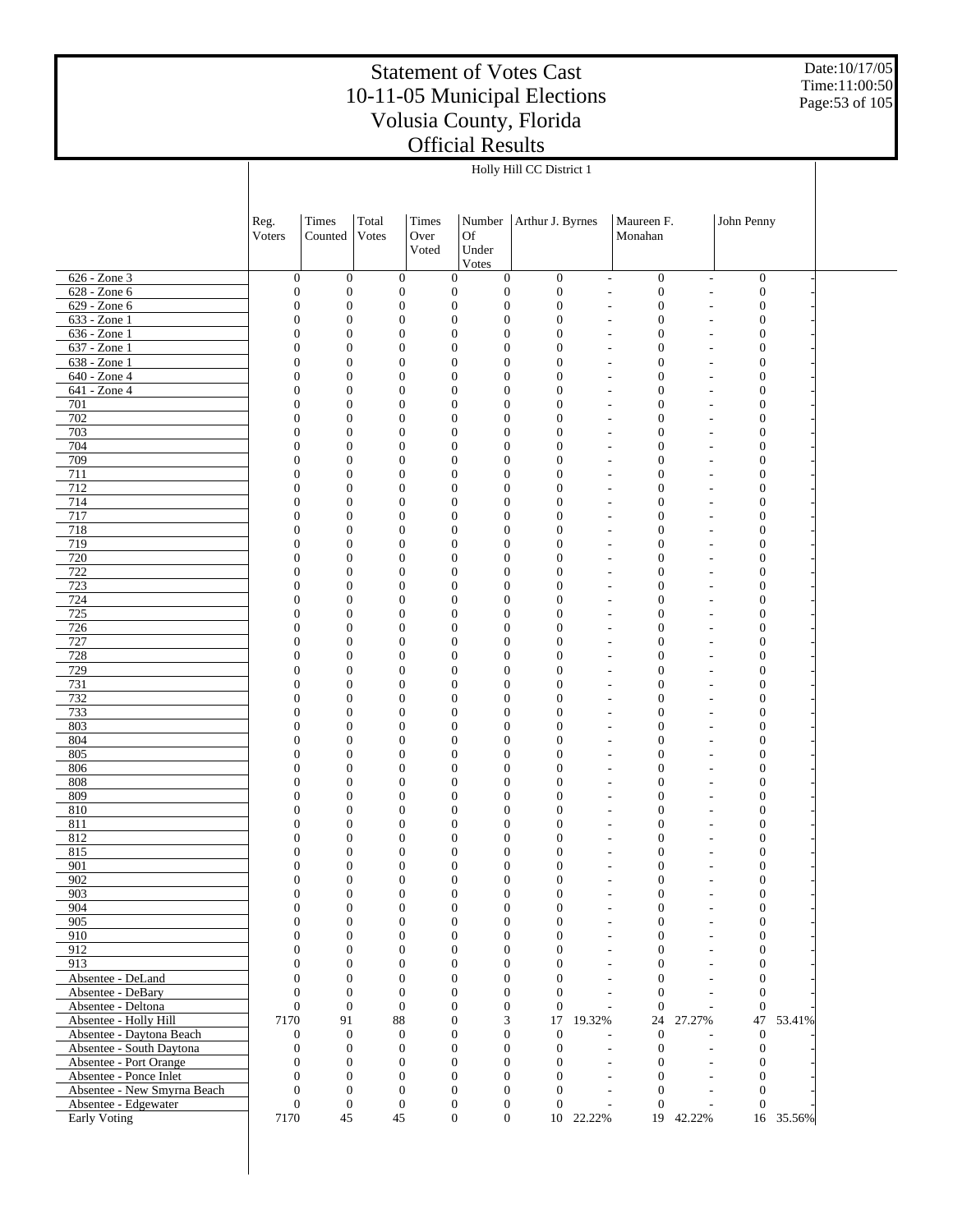Date:10/17/05 Time:11:00:50 Page:53 of 105

|                                                       |                                  |                                      |                                      |                        |                                                                              | Holly Hill CC District 1           |                                                      |                                      |                                            |                                      |           |  |
|-------------------------------------------------------|----------------------------------|--------------------------------------|--------------------------------------|------------------------|------------------------------------------------------------------------------|------------------------------------|------------------------------------------------------|--------------------------------------|--------------------------------------------|--------------------------------------|-----------|--|
|                                                       |                                  |                                      |                                      |                        |                                                                              |                                    |                                                      |                                      |                                            |                                      |           |  |
|                                                       | Reg.<br>Voters                   | Times<br>Counted                     | Total<br>Votes                       | Times<br>Over<br>Voted | Number<br><b>Of</b><br>Under                                                 | Arthur J. Byrnes                   |                                                      | Maureen F.<br>Monahan                |                                            | John Penny                           |           |  |
| 626 - Zone 3                                          | $\boldsymbol{0}$                 | $\boldsymbol{0}$                     | $\boldsymbol{0}$                     |                        | Votes<br>$\boldsymbol{0}$<br>$\boldsymbol{0}$                                | $\mathbf{0}$                       | $\overline{\phantom{a}}$                             | $\boldsymbol{0}$                     |                                            | $\boldsymbol{0}$                     |           |  |
| 628 - Zone 6                                          | $\boldsymbol{0}$                 | $\mathbf{0}$                         | $\boldsymbol{0}$                     |                        | $\boldsymbol{0}$<br>$\mathbf{0}$                                             | $\boldsymbol{0}$                   | $\overline{\phantom{a}}$                             | $\boldsymbol{0}$                     | $\overline{\phantom{a}}$<br>٠              | $\mathbf{0}$                         |           |  |
| 629 - Zone 6                                          | $\boldsymbol{0}$                 | $\mathbf{0}$                         | $\boldsymbol{0}$                     |                        | $\boldsymbol{0}$<br>$\boldsymbol{0}$                                         | $\boldsymbol{0}$                   | $\overline{\phantom{a}}$                             | $\boldsymbol{0}$                     | ٠                                          | $\boldsymbol{0}$                     |           |  |
| 633 - Zone 1                                          | $\boldsymbol{0}$                 | $\mathbf{0}$                         | $\boldsymbol{0}$                     |                        | $\boldsymbol{0}$<br>$\boldsymbol{0}$                                         | $\boldsymbol{0}$                   | $\overline{\phantom{a}}$                             | $\boldsymbol{0}$                     |                                            | $\mathbf{0}$                         |           |  |
| $636 - Zone1$                                         | $\mathbf{0}$                     | $\overline{0}$                       | $\mathbf{0}$                         |                        | $\boldsymbol{0}$<br>$\mathbf{0}$                                             | $\mathbf{0}$                       | $\overline{\phantom{a}}$                             | $\boldsymbol{0}$                     | ٠                                          | $\boldsymbol{0}$                     |           |  |
| 637 - Zone 1<br>638 - Zone 1                          | $\boldsymbol{0}$<br>$\mathbf{0}$ | $\mathbf{0}$<br>$\overline{0}$       | $\boldsymbol{0}$<br>$\boldsymbol{0}$ |                        | $\boldsymbol{0}$<br>$\boldsymbol{0}$<br>$\boldsymbol{0}$<br>$\mathbf{0}$     | $\overline{0}$<br>$\mathbf{0}$     | $\overline{\phantom{a}}$<br>$\overline{\phantom{a}}$ | $\boldsymbol{0}$<br>$\boldsymbol{0}$ | ٠                                          | $\mathbf{0}$<br>$\boldsymbol{0}$     |           |  |
| 640 - Zone 4                                          | $\boldsymbol{0}$                 | $\mathbf{0}$                         | $\boldsymbol{0}$                     |                        | $\boldsymbol{0}$<br>$\boldsymbol{0}$                                         | $\overline{0}$                     | ٠                                                    | $\boldsymbol{0}$                     |                                            | $\mathbf{0}$                         |           |  |
| 641 - Zone 4                                          | $\mathbf{0}$                     | $\overline{0}$                       | $\boldsymbol{0}$                     |                        | $\boldsymbol{0}$<br>$\boldsymbol{0}$                                         | $\mathbf{0}$                       | $\overline{\phantom{a}}$                             | $\boldsymbol{0}$                     | ٠                                          | $\boldsymbol{0}$                     |           |  |
| 701                                                   | $\boldsymbol{0}$                 | $\mathbf{0}$                         | $\boldsymbol{0}$                     |                        | $\boldsymbol{0}$<br>$\boldsymbol{0}$                                         | $\overline{0}$                     | ٠                                                    | $\boldsymbol{0}$                     |                                            | $\mathbf{0}$                         |           |  |
| 702<br>703                                            | $\mathbf{0}$<br>$\boldsymbol{0}$ | $\mathbf{0}$<br>$\mathbf{0}$         | $\boldsymbol{0}$<br>$\boldsymbol{0}$ |                        | $\boldsymbol{0}$<br>$\boldsymbol{0}$<br>$\boldsymbol{0}$<br>$\boldsymbol{0}$ | $\mathbf{0}$<br>$\overline{0}$     | $\overline{\phantom{a}}$                             | $\boldsymbol{0}$<br>$\boldsymbol{0}$ | ٠                                          | $\boldsymbol{0}$<br>$\mathbf{0}$     |           |  |
| 704                                                   | $\mathbf{0}$                     | $\mathbf{0}$                         | $\boldsymbol{0}$                     |                        | $\boldsymbol{0}$<br>$\boldsymbol{0}$                                         | $\mathbf{0}$                       | ٠<br>$\overline{\phantom{a}}$                        | $\boldsymbol{0}$                     | ٠                                          | $\boldsymbol{0}$                     |           |  |
| 709                                                   | $\boldsymbol{0}$                 | $\mathbf{0}$                         | $\boldsymbol{0}$                     |                        | $\boldsymbol{0}$<br>$\boldsymbol{0}$                                         | $\overline{0}$                     | $\overline{\phantom{a}}$                             | $\boldsymbol{0}$                     |                                            | $\mathbf{0}$                         |           |  |
| 711                                                   | $\mathbf{0}$                     | $\mathbf{0}$                         | $\mathbf{0}$                         |                        | $\boldsymbol{0}$<br>$\boldsymbol{0}$                                         | $\mathbf{0}$                       | $\overline{\phantom{a}}$                             | $\boldsymbol{0}$                     | ٠                                          | $\boldsymbol{0}$                     |           |  |
| 712                                                   | $\boldsymbol{0}$                 | $\mathbf{0}$                         | $\boldsymbol{0}$                     |                        | $\boldsymbol{0}$<br>$\boldsymbol{0}$                                         | $\overline{0}$                     | $\overline{\phantom{a}}$                             | $\boldsymbol{0}$                     |                                            | $\mathbf{0}$                         |           |  |
| 714                                                   | $\mathbf{0}$                     | $\mathbf{0}$                         | $\boldsymbol{0}$                     |                        | $\boldsymbol{0}$<br>$\boldsymbol{0}$                                         | $\mathbf{0}$                       | $\overline{\phantom{a}}$                             | $\boldsymbol{0}$                     | ٠                                          | $\boldsymbol{0}$                     |           |  |
| 717<br>718                                            | $\boldsymbol{0}$<br>$\mathbf{0}$ | $\boldsymbol{0}$<br>$\boldsymbol{0}$ | $\boldsymbol{0}$<br>$\boldsymbol{0}$ |                        | $\boldsymbol{0}$<br>$\boldsymbol{0}$<br>$\boldsymbol{0}$<br>$\boldsymbol{0}$ | $\overline{0}$<br>$\mathbf{0}$     | $\overline{\phantom{a}}$                             | $\boldsymbol{0}$<br>$\boldsymbol{0}$ | ٠                                          | $\boldsymbol{0}$<br>$\boldsymbol{0}$ |           |  |
| 719                                                   | $\boldsymbol{0}$                 | $\boldsymbol{0}$                     | $\boldsymbol{0}$                     |                        | $\boldsymbol{0}$<br>$\boldsymbol{0}$                                         | $\overline{0}$                     | $\overline{\phantom{a}}$                             | $\boldsymbol{0}$                     |                                            | $\boldsymbol{0}$                     |           |  |
| 720                                                   | $\mathbf{0}$                     | $\overline{0}$                       | $\boldsymbol{0}$                     |                        | $\boldsymbol{0}$<br>$\boldsymbol{0}$                                         | $\mathbf{0}$                       | $\overline{a}$                                       | $\boldsymbol{0}$                     | ٠                                          | $\boldsymbol{0}$                     |           |  |
| 722                                                   | $\boldsymbol{0}$                 | $\boldsymbol{0}$                     | $\boldsymbol{0}$                     |                        | $\boldsymbol{0}$<br>$\boldsymbol{0}$                                         | $\overline{0}$                     | $\overline{a}$                                       | $\boldsymbol{0}$                     |                                            | $\boldsymbol{0}$                     |           |  |
| 723                                                   | $\mathbf{0}$                     | $\boldsymbol{0}$                     | $\boldsymbol{0}$                     |                        | $\boldsymbol{0}$<br>$\boldsymbol{0}$                                         | $\mathbf{0}$                       | $\overline{\phantom{a}}$                             | $\boldsymbol{0}$                     | ٠                                          | $\boldsymbol{0}$                     |           |  |
| 724                                                   | $\boldsymbol{0}$                 | $\boldsymbol{0}$                     | $\boldsymbol{0}$                     |                        | $\boldsymbol{0}$<br>$\boldsymbol{0}$                                         | $\overline{0}$                     | ٠                                                    | $\boldsymbol{0}$                     |                                            | $\boldsymbol{0}$                     |           |  |
| 725<br>726                                            | $\mathbf{0}$<br>$\boldsymbol{0}$ | $\overline{0}$<br>$\boldsymbol{0}$   | $\boldsymbol{0}$<br>$\boldsymbol{0}$ |                        | $\boldsymbol{0}$<br>$\boldsymbol{0}$<br>$\boldsymbol{0}$<br>$\boldsymbol{0}$ | $\mathbf{0}$<br>$\overline{0}$     | $\overline{\phantom{a}}$<br>٠                        | $\boldsymbol{0}$<br>$\boldsymbol{0}$ | ٠                                          | $\boldsymbol{0}$<br>$\boldsymbol{0}$ |           |  |
| 727                                                   | $\mathbf{0}$                     | $\boldsymbol{0}$                     | $\boldsymbol{0}$                     |                        | $\boldsymbol{0}$<br>$\boldsymbol{0}$                                         | $\mathbf{0}$                       | $\overline{\phantom{a}}$                             | $\boldsymbol{0}$                     | $\overline{\phantom{a}}$                   | $\boldsymbol{0}$                     |           |  |
| 728                                                   | $\boldsymbol{0}$                 | $\boldsymbol{0}$                     | $\boldsymbol{0}$                     |                        | $\boldsymbol{0}$<br>$\boldsymbol{0}$                                         | $\overline{0}$                     | ٠                                                    | $\boldsymbol{0}$                     |                                            | $\boldsymbol{0}$                     |           |  |
| 729                                                   | $\mathbf{0}$                     | $\boldsymbol{0}$                     | $\boldsymbol{0}$                     |                        | $\boldsymbol{0}$<br>$\boldsymbol{0}$                                         | $\mathbf{0}$                       | $\overline{\phantom{a}}$                             | $\boldsymbol{0}$                     | ٠                                          | $\boldsymbol{0}$                     |           |  |
| 731                                                   | $\boldsymbol{0}$                 | $\mathbf{0}$                         | $\boldsymbol{0}$                     |                        | $\boldsymbol{0}$<br>$\boldsymbol{0}$                                         | $\overline{0}$                     | ٠                                                    | $\boldsymbol{0}$                     |                                            | $\mathbf{0}$                         |           |  |
| 732                                                   | $\mathbf{0}$                     | $\mathbf{0}$                         | $\mathbf{0}$                         |                        | $\boldsymbol{0}$<br>$\boldsymbol{0}$                                         | $\mathbf{0}$<br>$\overline{0}$     | ٠                                                    | $\boldsymbol{0}$                     | ٠                                          | $\boldsymbol{0}$                     |           |  |
| 733<br>803                                            | $\boldsymbol{0}$<br>$\mathbf{0}$ | $\mathbf{0}$<br>$\overline{0}$       | $\boldsymbol{0}$<br>$\boldsymbol{0}$ |                        | $\boldsymbol{0}$<br>$\boldsymbol{0}$<br>$\boldsymbol{0}$<br>$\boldsymbol{0}$ | $\mathbf{0}$                       | $\overline{a}$<br>$\overline{a}$                     | $\boldsymbol{0}$<br>$\boldsymbol{0}$ | ٠                                          | $\mathbf{0}$<br>$\boldsymbol{0}$     |           |  |
| 804                                                   | $\boldsymbol{0}$                 | $\mathbf{0}$                         | $\boldsymbol{0}$                     |                        | $\boldsymbol{0}$<br>$\boldsymbol{0}$                                         | $\overline{0}$                     | $\overline{a}$                                       | $\boldsymbol{0}$                     |                                            | $\mathbf{0}$                         |           |  |
| 805                                                   | $\mathbf{0}$                     | $\mathbf{0}$                         | $\boldsymbol{0}$                     |                        | $\boldsymbol{0}$<br>$\boldsymbol{0}$                                         | $\mathbf{0}$                       | $\overline{a}$                                       | $\boldsymbol{0}$                     | ٠                                          | $\boldsymbol{0}$                     |           |  |
| 806                                                   | $\boldsymbol{0}$                 | $\mathbf{0}$                         | $\boldsymbol{0}$                     |                        | $\boldsymbol{0}$<br>$\boldsymbol{0}$                                         | $\overline{0}$                     |                                                      | $\boldsymbol{0}$                     |                                            | $\mathbf{0}$                         |           |  |
| 808                                                   | $\mathbf{0}$                     | $\overline{0}$                       | $\boldsymbol{0}$                     |                        | $\boldsymbol{0}$<br>$\boldsymbol{0}$                                         | $\mathbf{0}$                       | $\overline{a}$                                       | $\boldsymbol{0}$                     | ٠                                          | $\boldsymbol{0}$                     |           |  |
| 809<br>810                                            | $\boldsymbol{0}$<br>$\mathbf{0}$ | $\mathbf{0}$<br>$\mathbf{0}$         | $\boldsymbol{0}$<br>$\boldsymbol{0}$ |                        | $\boldsymbol{0}$<br>$\boldsymbol{0}$<br>$\boldsymbol{0}$<br>$\boldsymbol{0}$ | $\overline{0}$<br>$\mathbf{0}$     | $\overline{a}$<br>$\overline{\phantom{a}}$           | $\boldsymbol{0}$<br>$\boldsymbol{0}$ | ٠                                          | $\mathbf{0}$<br>$\boldsymbol{0}$     |           |  |
| 811                                                   | $\boldsymbol{0}$                 | $\boldsymbol{0}$                     | $\boldsymbol{0}$                     |                        | $\boldsymbol{0}$<br>$\boldsymbol{0}$                                         | $\mathbf{0}$                       |                                                      | $\boldsymbol{0}$                     |                                            | $\mathbf{0}$                         |           |  |
| 812                                                   | $\mathbf{0}$                     | $\mathbf{0}$                         | $\mathbf{0}$                         |                        | $\boldsymbol{0}$<br>$\boldsymbol{0}$                                         | $\mathbf{0}$                       | $\overline{\phantom{a}}$                             | $\boldsymbol{0}$                     | ٠                                          | $\boldsymbol{0}$                     |           |  |
| 815                                                   | $\mathbf{0}$                     | $\mathbf{0}$                         | $\boldsymbol{0}$                     |                        | $\overline{0}$<br>$\boldsymbol{0}$                                           | $\overline{0}$                     | ÷.                                                   | $\overline{0}$                       | ä,                                         | $\mathbf{0}$                         |           |  |
| 901                                                   | 0                                | $\boldsymbol{0}$                     | $\boldsymbol{0}$                     |                        | $\boldsymbol{0}$<br>$\boldsymbol{0}$                                         | $\mathbf{0}$                       | $\overline{\phantom{a}}$                             | $\mathbf{0}$                         |                                            | $\mathbf{0}$                         |           |  |
| 902<br>903                                            | $\boldsymbol{0}$<br>$\Omega$     | $\boldsymbol{0}$<br>$\overline{0}$   | $\boldsymbol{0}$<br>$\boldsymbol{0}$ |                        | $\boldsymbol{0}$<br>$\boldsymbol{0}$<br>$\overline{0}$<br>$\boldsymbol{0}$   | $\boldsymbol{0}$<br>$\overline{0}$ | ٠<br>$\overline{a}$                                  | $\boldsymbol{0}$<br>$\overline{0}$   | $\overline{\phantom{a}}$                   | $\boldsymbol{0}$<br>$\mathbf{0}$     |           |  |
| 904                                                   | $\mathbf{0}$                     | $\overline{0}$                       | $\boldsymbol{0}$                     |                        | $\mathbf{0}$<br>$\boldsymbol{0}$                                             | $\overline{0}$                     | $\overline{a}$                                       | $\overline{0}$                       |                                            | $\boldsymbol{0}$                     |           |  |
| 905                                                   | $\Omega$                         | $\Omega$                             | $\overline{0}$                       |                        | $\mathbf{0}$<br>$\Omega$                                                     | $\Omega$                           | $\overline{a}$                                       | $\overline{0}$                       | $\overline{\phantom{a}}$                   | $\overline{0}$                       |           |  |
| 910                                                   | $\mathbf{0}$                     | $\overline{0}$                       | $\overline{0}$                       |                        | $\mathbf{0}$<br>$\mathbf{0}$                                                 | $\Omega$                           | $\overline{\phantom{a}}$                             | $\overline{0}$                       |                                            | $\overline{0}$                       |           |  |
| 912                                                   | $\Omega$                         | $\Omega$                             | $\overline{0}$                       |                        | $\mathbf{0}$<br>$\Omega$                                                     | $\Omega$                           | $\overline{\phantom{a}}$                             | $\overline{0}$                       | ٠                                          | $\mathbf{0}$                         |           |  |
| 913                                                   | $\mathbf{0}$                     | $\overline{0}$                       | $\overline{0}$                       |                        | $\boldsymbol{0}$<br>$\mathbf{0}$                                             | $\overline{0}$<br>$\Omega$         | $\overline{\phantom{a}}$                             | $\overline{0}$                       |                                            | $\overline{0}$                       |           |  |
| Absentee - DeLand<br>Absentee - DeBary                | $\Omega$<br>$\Omega$             | $\overline{0}$<br>$\mathbf{0}$       | $\overline{0}$<br>$\overline{0}$     |                        | $\mathbf{0}$<br>$\Omega$<br>$\boldsymbol{0}$<br>$\mathbf{0}$                 | $\Omega$                           | $\overline{\phantom{a}}$<br>$\overline{\phantom{a}}$ | $\overline{0}$<br>$\overline{0}$     | ۰                                          | $\overline{0}$<br>$\overline{0}$     |           |  |
| Absentee - Deltona                                    | $\overline{0}$                   | $\mathbf{0}$                         | $\overline{0}$                       |                        | $\mathbf{0}$<br>$\Omega$                                                     | $\mathbf{0}$                       | $\overline{\phantom{a}}$                             | $\overline{0}$                       |                                            | $\mathbf{0}$                         |           |  |
| Absentee - Holly Hill                                 | 7170                             | 91                                   | 88                                   |                        | 3<br>$\mathbf{0}$                                                            | 17                                 | 19.32%                                               | 24                                   | 27.27%                                     | 47                                   | 53.41%    |  |
| Absentee - Daytona Beach                              | $\mathbf{0}$                     | $\mathbf{0}$                         | $\mathbf{0}$                         |                        | $\mathbf{0}$<br>$\Omega$                                                     | $\boldsymbol{0}$                   |                                                      | $\boldsymbol{0}$                     | ٠                                          | $\mathbf{0}$                         |           |  |
| Absentee - South Daytona                              | $\mathbf{0}$                     | $\overline{0}$                       | $\boldsymbol{0}$                     |                        | $\mathbf{0}$<br>$\mathbf{0}$                                                 | $\mathbf{0}$                       | $\overline{a}$                                       | $\overline{0}$                       | $\overline{\phantom{a}}$                   | $\overline{0}$                       |           |  |
| Absentee - Port Orange                                | $\Omega$                         | $\overline{0}$                       | $\theta$                             |                        | $\mathbf{0}$<br>$\Omega$                                                     | $\overline{0}$<br>$\Omega$         | $\overline{a}$                                       | $\overline{0}$                       | $\overline{a}$                             | $\mathbf{0}$                         |           |  |
| Absentee - Ponce Inlet<br>Absentee - New Smyrna Beach | $\mathbf{0}$<br>$\Omega$         | $\overline{0}$<br>$\overline{0}$     | $\overline{0}$<br>$\overline{0}$     |                        | $\mathbf{0}$<br>$\mathbf{0}$<br>$\Omega$<br>$\mathbf{0}$                     | $\Omega$                           | $\overline{\phantom{a}}$<br>$\sim$                   | $\overline{0}$<br>$\overline{0}$     | $\overline{\phantom{a}}$<br>$\overline{a}$ | $\overline{0}$<br>$\overline{0}$     |           |  |
| Absentee - Edgewater                                  | $\boldsymbol{0}$                 | $\boldsymbol{0}$                     | $\mathbf{0}$                         |                        | $\boldsymbol{0}$<br>$\boldsymbol{0}$                                         | $\mathbf{0}$                       |                                                      | $\overline{0}$                       |                                            | $\overline{0}$                       |           |  |
| <b>Early Voting</b>                                   | 7170                             | 45                                   | 45                                   |                        | $\mathbf{0}$<br>$\boldsymbol{0}$                                             |                                    | 10 22.22%                                            |                                      | 19 42.22%                                  |                                      | 16 35.56% |  |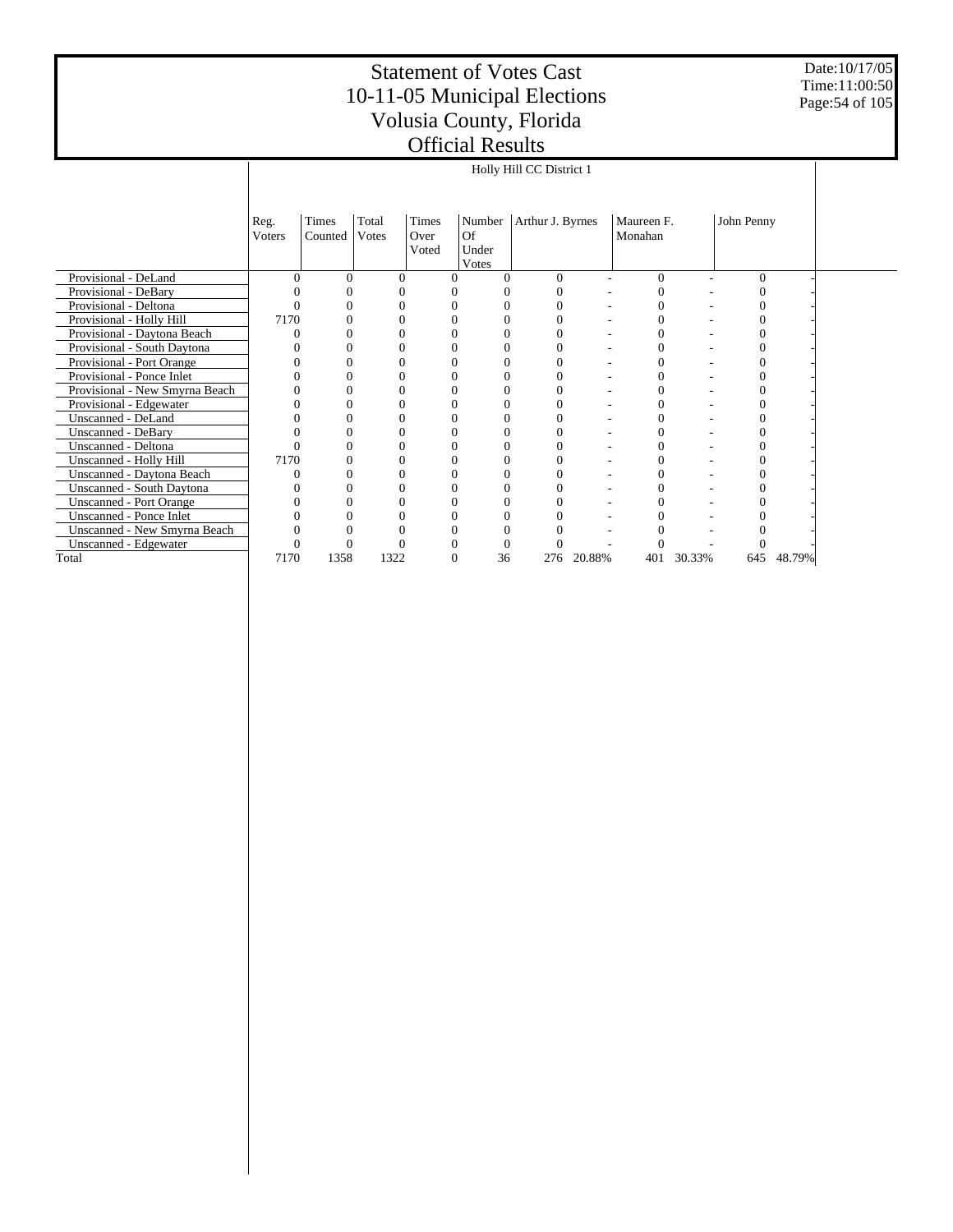Date:10/17/05 Time:11:00:50 Page:54 of 105

|                                |                |                  |                |                        |                                | Holly Hill CC District 1 |        |                       |        |            |        |  |
|--------------------------------|----------------|------------------|----------------|------------------------|--------------------------------|--------------------------|--------|-----------------------|--------|------------|--------|--|
|                                |                |                  |                |                        |                                |                          |        |                       |        |            |        |  |
|                                | Reg.<br>Voters | Times<br>Counted | Total<br>Votes | Times<br>Over<br>Voted | Number<br>Of<br>Under<br>Votes | Arthur J. Byrnes         |        | Maureen F.<br>Monahan |        | John Penny |        |  |
| Provisional - DeLand           | $\Omega$       | $\Omega$         | 0              | 0                      | 0                              | $\Omega$                 | ۰      | $\mathbf{0}$          | ۰      | $\Omega$   |        |  |
| Provisional - DeBary           |                | 0                |                |                        |                                | $\theta$                 |        | $\Omega$              |        | 0          |        |  |
| Provisional - Deltona          |                | $\Omega$         |                |                        |                                | 0                        |        | 0                     |        |            |        |  |
| Provisional - Holly Hill       | 7170           | 0                | 0              |                        |                                | 0                        |        | $\Omega$              |        | 0          |        |  |
| Provisional - Daytona Beach    | 0              |                  |                |                        |                                |                          |        | 0                     |        |            |        |  |
| Provisional - South Daytona    |                | 0                |                |                        |                                | 0                        |        | 0                     |        |            |        |  |
| Provisional - Port Orange      |                |                  |                |                        |                                | 0                        |        |                       |        |            |        |  |
| Provisional - Ponce Inlet      |                |                  |                |                        |                                |                          |        |                       |        |            |        |  |
| Provisional - New Smyrna Beach |                |                  |                |                        |                                | 0                        |        | 0                     |        |            |        |  |
| Provisional - Edgewater        |                |                  |                |                        |                                | 0                        |        |                       |        |            |        |  |
| Unscanned - DeLand             |                |                  | 0              |                        |                                | $\theta$                 |        | 0                     |        |            |        |  |
| <b>Unscanned - DeBary</b>      |                |                  |                |                        |                                | 0                        |        | $\overline{0}$        |        |            |        |  |
| Unscanned - Deltona            | 0              | 0                | 0              | 0                      | 0                              | $\theta$                 |        | $\overline{0}$        |        | 0          |        |  |
| Unscanned - Holly Hill         | 7170           |                  |                |                        |                                | 0                        |        |                       |        |            |        |  |
| Unscanned - Daytona Beach      |                |                  |                |                        |                                |                          |        | 0                     |        |            |        |  |
| Unscanned - South Daytona      |                |                  |                |                        |                                |                          |        |                       |        |            |        |  |
| <b>Unscanned - Port Orange</b> |                |                  |                |                        |                                |                          |        |                       |        |            |        |  |
| Unscanned - Ponce Inlet        |                |                  |                |                        |                                |                          |        |                       |        |            |        |  |
| Unscanned - New Smyrna Beach   |                |                  |                |                        |                                |                          |        |                       |        |            |        |  |
| Unscanned - Edgewater          |                | 0                |                |                        |                                | 0                        |        |                       |        |            |        |  |
| Total                          | 7170           | 1358             | 1322           | 0                      | 36                             | 276                      | 20.88% | 401                   | 30.33% | 645        | 48.79% |  |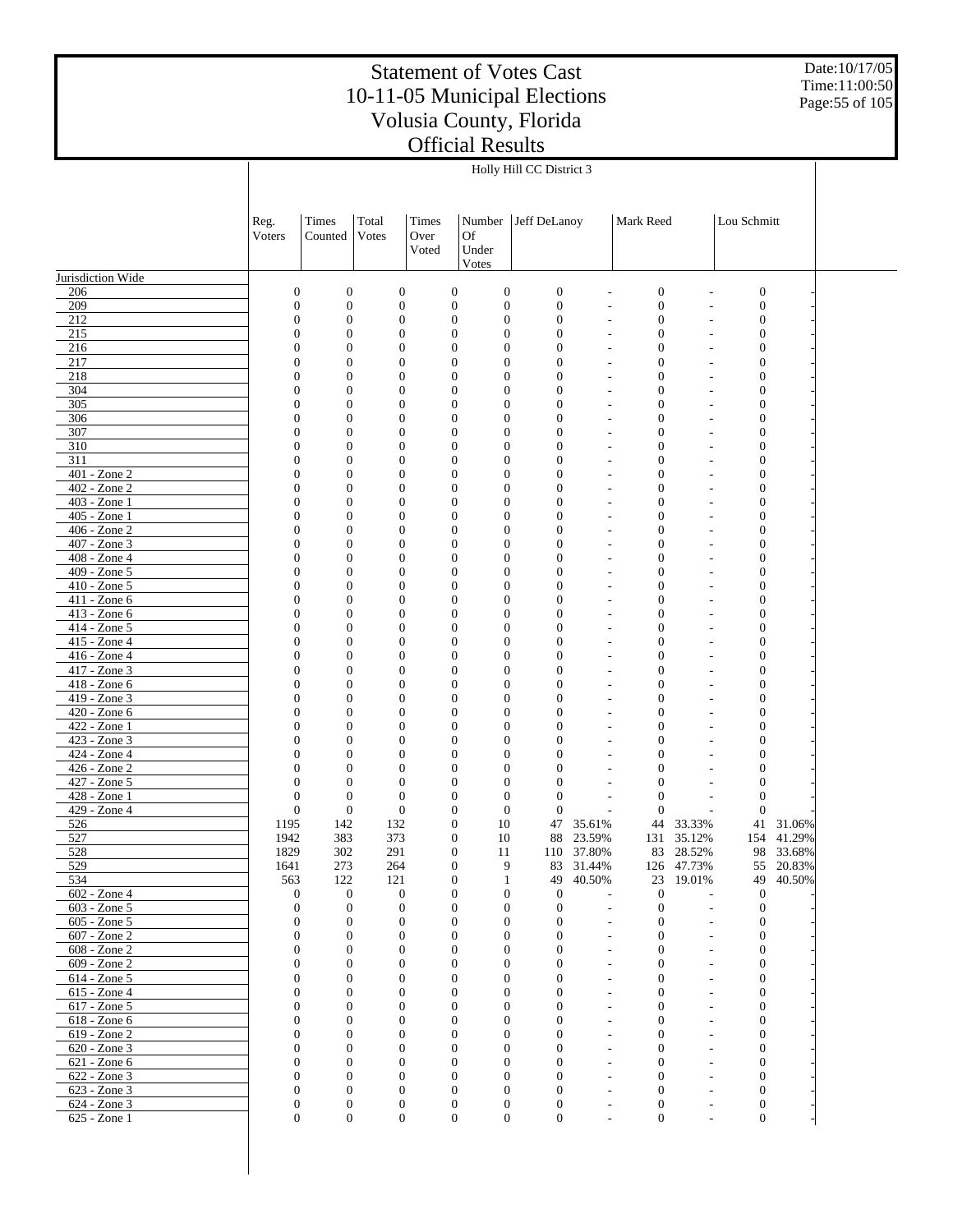Date:10/17/05 Time:11:00:50 Page:55 of 105

|                              |                                    |                                      |                                  |                                      |                                      | Holly Hill CC District 3         |                  |                                              |                          |                                      |                         |  |
|------------------------------|------------------------------------|--------------------------------------|----------------------------------|--------------------------------------|--------------------------------------|----------------------------------|------------------|----------------------------------------------|--------------------------|--------------------------------------|-------------------------|--|
|                              |                                    |                                      |                                  |                                      |                                      |                                  |                  |                                              |                          |                                      |                         |  |
|                              |                                    |                                      |                                  |                                      |                                      |                                  |                  |                                              |                          |                                      |                         |  |
|                              | Reg.                               | Times                                | Total                            | Times                                | Number                               | Jeff DeLanoy                     |                  | Mark Reed                                    |                          | Lou Schmitt                          |                         |  |
|                              | Voters                             | Counted                              | Votes                            | Over<br>Voted                        | <b>Of</b><br>Under                   |                                  |                  |                                              |                          |                                      |                         |  |
|                              |                                    |                                      |                                  |                                      | Votes                                |                                  |                  |                                              |                          |                                      |                         |  |
| Jurisdiction Wide            |                                    |                                      |                                  |                                      |                                      |                                  |                  |                                              |                          |                                      |                         |  |
| 206                          | $\boldsymbol{0}$                   | $\boldsymbol{0}$                     | $\boldsymbol{0}$                 | $\boldsymbol{0}$                     | $\boldsymbol{0}$                     | $\boldsymbol{0}$                 |                  | $\boldsymbol{0}$                             |                          | $\boldsymbol{0}$                     |                         |  |
| 209<br>212                   | $\boldsymbol{0}$<br>$\mathbf{0}$   | $\boldsymbol{0}$<br>$\boldsymbol{0}$ | $\boldsymbol{0}$                 | $\boldsymbol{0}$<br>$\boldsymbol{0}$ | $\boldsymbol{0}$<br>$\boldsymbol{0}$ | $\boldsymbol{0}$<br>$\mathbf{0}$ |                  | $\boldsymbol{0}$                             |                          | $\boldsymbol{0}$                     |                         |  |
| 215                          | 0                                  | $\boldsymbol{0}$                     | $\boldsymbol{0}$<br>$\mathbf{0}$ | $\boldsymbol{0}$                     | $\mathbf{0}$                         | $\mathbf{0}$                     | $\overline{a}$   | $\boldsymbol{0}$<br>$\boldsymbol{0}$         |                          | $\boldsymbol{0}$<br>$\boldsymbol{0}$ |                         |  |
| 216                          | $\mathbf{0}$                       | $\mathbf{0}$                         | $\mathbf{0}$                     | $\mathbf{0}$                         | $\mathbf{0}$                         | $\mathbf{0}$                     |                  | $\boldsymbol{0}$                             |                          | $\boldsymbol{0}$                     |                         |  |
| 217                          | $\boldsymbol{0}$                   | $\mathbf{0}$                         | $\mathbf{0}$                     | $\boldsymbol{0}$                     | $\mathbf{0}$                         | $\mathbf{0}$                     |                  | $\boldsymbol{0}$                             |                          | $\boldsymbol{0}$                     |                         |  |
| 218                          | $\mathbf{0}$                       | $\boldsymbol{0}$                     | $\mathbf{0}$                     | $\mathbf{0}$                         | $\boldsymbol{0}$                     | $\mathbf{0}$                     | $\overline{a}$   | $\boldsymbol{0}$                             |                          | $\boldsymbol{0}$                     |                         |  |
| 304<br>305                   | $\boldsymbol{0}$<br>$\mathbf{0}$   | $\boldsymbol{0}$<br>$\boldsymbol{0}$ | $\mathbf{0}$<br>$\mathbf{0}$     | $\boldsymbol{0}$<br>$\mathbf{0}$     | $\mathbf{0}$<br>$\boldsymbol{0}$     | $\mathbf{0}$<br>$\mathbf{0}$     | $\overline{a}$   | $\boldsymbol{0}$<br>$\boldsymbol{0}$         |                          | $\boldsymbol{0}$<br>$\boldsymbol{0}$ |                         |  |
| 306                          | $\boldsymbol{0}$                   | $\boldsymbol{0}$                     | $\mathbf{0}$                     | $\boldsymbol{0}$                     | $\mathbf{0}$                         | $\mathbf{0}$                     |                  | $\boldsymbol{0}$                             |                          | $\boldsymbol{0}$                     |                         |  |
| 307                          | $\mathbf{0}$                       | $\boldsymbol{0}$                     | $\mathbf{0}$                     | $\mathbf{0}$                         | $\boldsymbol{0}$                     | $\mathbf{0}$                     | $\overline{a}$   | $\boldsymbol{0}$                             |                          | $\boldsymbol{0}$                     |                         |  |
| 310                          | $\boldsymbol{0}$                   | $\boldsymbol{0}$                     | $\mathbf{0}$                     | $\boldsymbol{0}$                     | $\mathbf{0}$                         | $\mathbf{0}$                     |                  | $\boldsymbol{0}$                             |                          | $\boldsymbol{0}$                     |                         |  |
| 311<br>401 - Zone 2          | $\mathbf{0}$<br>$\boldsymbol{0}$   | $\boldsymbol{0}$<br>$\boldsymbol{0}$ | $\mathbf{0}$<br>$\mathbf{0}$     | $\mathbf{0}$<br>$\boldsymbol{0}$     | $\boldsymbol{0}$<br>$\mathbf{0}$     | $\mathbf{0}$<br>$\mathbf{0}$     | $\overline{a}$   | $\boldsymbol{0}$<br>$\boldsymbol{0}$         |                          | $\boldsymbol{0}$<br>$\boldsymbol{0}$ |                         |  |
| 402 - Zone 2                 | $\mathbf{0}$                       | $\boldsymbol{0}$                     | $\mathbf{0}$                     | $\boldsymbol{0}$                     | $\boldsymbol{0}$                     | $\mathbf{0}$                     | $\overline{a}$   | $\boldsymbol{0}$                             |                          | $\boldsymbol{0}$                     |                         |  |
| 403 - Zone 1                 | $\boldsymbol{0}$                   | $\boldsymbol{0}$                     | $\mathbf{0}$                     | $\boldsymbol{0}$                     | $\mathbf{0}$                         | $\mathbf{0}$                     |                  | $\boldsymbol{0}$                             |                          | $\boldsymbol{0}$                     |                         |  |
| 405 - Zone 1                 | $\mathbf{0}$                       | $\boldsymbol{0}$                     | $\mathbf{0}$                     | $\mathbf{0}$                         | $\boldsymbol{0}$                     | $\overline{0}$                   | $\overline{a}$   | $\boldsymbol{0}$                             |                          | $\boldsymbol{0}$                     |                         |  |
| 406 - Zone 2<br>407 - Zone 3 | 0<br>$\mathbf{0}$                  | $\boldsymbol{0}$<br>$\boldsymbol{0}$ | $\mathbf{0}$<br>$\mathbf{0}$     | $\boldsymbol{0}$<br>$\boldsymbol{0}$ | $\mathbf{0}$<br>$\boldsymbol{0}$     | $\overline{0}$<br>$\mathbf{0}$   |                  | $\boldsymbol{0}$<br>$\boldsymbol{0}$         |                          | $\boldsymbol{0}$<br>$\boldsymbol{0}$ |                         |  |
| 408 - Zone 4                 | $\boldsymbol{0}$                   | $\boldsymbol{0}$                     | $\mathbf{0}$                     | $\boldsymbol{0}$                     | $\mathbf{0}$                         | $\mathbf{0}$                     |                  | $\boldsymbol{0}$                             |                          | $\boldsymbol{0}$                     |                         |  |
| 409 - Zone 5                 | $\mathbf{0}$                       | $\boldsymbol{0}$                     | $\mathbf{0}$                     | $\mathbf{0}$                         | $\boldsymbol{0}$                     | $\mathbf{0}$                     |                  | $\boldsymbol{0}$                             |                          | $\boldsymbol{0}$                     |                         |  |
| 410 - Zone 5                 | $\boldsymbol{0}$                   | $\boldsymbol{0}$                     | $\mathbf{0}$                     | $\boldsymbol{0}$                     | $\mathbf{0}$                         | $\mathbf{0}$                     |                  | $\boldsymbol{0}$                             |                          | $\boldsymbol{0}$                     |                         |  |
| 411 - Zone 6                 | $\mathbf{0}$                       | $\boldsymbol{0}$                     | $\mathbf{0}$                     | $\boldsymbol{0}$                     | $\boldsymbol{0}$                     | $\mathbf{0}$                     |                  | $\boldsymbol{0}$                             |                          | $\boldsymbol{0}$                     |                         |  |
| 413 - Zone 6<br>414 - Zone 5 | $\overline{0}$<br>$\mathbf{0}$     | $\boldsymbol{0}$<br>$\boldsymbol{0}$ | $\mathbf{0}$<br>$\mathbf{0}$     | $\boldsymbol{0}$<br>$\mathbf{0}$     | $\mathbf{0}$<br>$\boldsymbol{0}$     | $\mathbf{0}$<br>$\mathbf{0}$     | $\overline{a}$   | $\boldsymbol{0}$<br>$\boldsymbol{0}$         |                          | $\boldsymbol{0}$<br>$\boldsymbol{0}$ |                         |  |
| 415 - Zone 4                 | $\boldsymbol{0}$                   | $\boldsymbol{0}$                     | $\mathbf{0}$                     | $\boldsymbol{0}$                     | $\mathbf{0}$                         | $\mathbf{0}$                     |                  | $\boldsymbol{0}$                             |                          | $\boldsymbol{0}$                     |                         |  |
| 416 - Zone 4                 | $\mathbf{0}$                       | $\boldsymbol{0}$                     | $\mathbf{0}$                     | $\boldsymbol{0}$                     | $\boldsymbol{0}$                     | $\mathbf{0}$                     |                  | $\boldsymbol{0}$                             |                          | $\boldsymbol{0}$                     |                         |  |
| 417 - Zone 3                 | $\overline{0}$                     | $\boldsymbol{0}$                     | $\mathbf{0}$                     | $\boldsymbol{0}$                     | $\mathbf{0}$                         | $\mathbf{0}$                     |                  | $\boldsymbol{0}$                             |                          | $\boldsymbol{0}$                     |                         |  |
| 418 - Zone 6<br>419 - Zone 3 | $\overline{0}$<br>$\boldsymbol{0}$ | $\mathbf{0}$<br>$\mathbf{0}$         | $\mathbf{0}$<br>$\mathbf{0}$     | $\mathbf{0}$<br>$\boldsymbol{0}$     | $\boldsymbol{0}$<br>$\mathbf{0}$     | $\mathbf{0}$<br>$\mathbf{0}$     |                  | $\boldsymbol{0}$<br>$\boldsymbol{0}$         |                          | $\boldsymbol{0}$<br>$\boldsymbol{0}$ |                         |  |
| 420 - Zone 6                 | $\mathbf{0}$                       | $\boldsymbol{0}$                     | $\mathbf{0}$                     | $\boldsymbol{0}$                     | $\boldsymbol{0}$                     | $\mathbf{0}$                     |                  | $\boldsymbol{0}$                             |                          | $\boldsymbol{0}$                     |                         |  |
| 422 - Zone 1                 | $\overline{0}$                     | $\boldsymbol{0}$                     | $\mathbf{0}$                     | $\boldsymbol{0}$                     | $\mathbf{0}$                         | $\mathbf{0}$                     |                  | $\boldsymbol{0}$                             |                          | $\boldsymbol{0}$                     |                         |  |
| 423 - Zone 3                 | $\mathbf{0}$                       | $\mathbf{0}$                         | $\mathbf{0}$                     | $\mathbf{0}$                         | $\boldsymbol{0}$                     | $\overline{0}$                   |                  | $\boldsymbol{0}$                             |                          | $\boldsymbol{0}$                     |                         |  |
| 424 - Zone 4<br>426 - Zone 2 | $\boldsymbol{0}$<br>$\mathbf{0}$   | $\boldsymbol{0}$<br>$\boldsymbol{0}$ | $\mathbf{0}$<br>$\mathbf{0}$     | $\boldsymbol{0}$<br>$\boldsymbol{0}$ | $\mathbf{0}$<br>$\boldsymbol{0}$     | $\mathbf{0}$<br>$\mathbf{0}$     |                  | $\boldsymbol{0}$<br>$\boldsymbol{0}$         |                          | $\boldsymbol{0}$<br>$\boldsymbol{0}$ |                         |  |
| 427 - Zone 5                 | $\mathbf{0}$                       | $\boldsymbol{0}$                     | $\mathbf{0}$                     | $\boldsymbol{0}$                     | $\mathbf{0}$                         | $\mathbf{0}$                     |                  | $\boldsymbol{0}$                             |                          | $\boldsymbol{0}$                     |                         |  |
| 428 - Zone 1                 | $\boldsymbol{0}$                   | $\boldsymbol{0}$                     | $\mathbf{0}$                     | $\boldsymbol{0}$                     | $\boldsymbol{0}$                     | $\mathbf{0}$                     |                  | $\mathbf{0}$                                 |                          | $\boldsymbol{0}$                     |                         |  |
| 429 - Zone 4                 | $\mathbf{0}$                       | $\boldsymbol{0}$                     | $\boldsymbol{0}$                 | $\boldsymbol{0}$                     | $\boldsymbol{0}$                     | $\mathbf{0}$                     |                  | $\mathbf{0}$                                 |                          | $\mathbf{0}$                         |                         |  |
| 526<br>527                   | 1195<br>1942                       | 142<br>383                           | 132<br>373                       | $\boldsymbol{0}$<br>$\boldsymbol{0}$ | 10<br>10                             | 47<br>88                         | 35.61%<br>23.59% | 44<br>131                                    | 33.33%<br>35.12%         |                                      | 41 31.06%<br>154 41.29% |  |
| 528                          | 1829                               | 302                                  | 291                              | $\mathbf{0}$                         | 11                                   |                                  | 110 37.80%       |                                              | 83 28.52%                |                                      | 98 33.68%               |  |
| 529                          | 1641                               | 273                                  | 264                              | $\mathbf{0}$                         | 9                                    | 83                               | 31.44%           |                                              | 126 47.73%               | 55                                   | 20.83%                  |  |
| 534                          | 563                                | 122                                  | 121                              | $\boldsymbol{0}$                     | $\mathbf{1}$                         | 49                               | 40.50%           |                                              | 23 19.01%                | 49                                   | 40.50%                  |  |
| 602 - Zone 4<br>603 - Zone 5 | $\mathbf{0}$<br>$\theta$           | $\mathbf{0}$<br>$\mathbf{0}$         | $\boldsymbol{0}$<br>$\theta$     | $\boldsymbol{0}$<br>$\mathbf{0}$     | $\boldsymbol{0}$<br>$\boldsymbol{0}$ | $\mathbf{0}$                     |                  | $\boldsymbol{0}$                             |                          | $\mathbf{0}$                         |                         |  |
| 605 - Zone 5                 | $\boldsymbol{0}$                   | $\mathbf{0}$                         | $\boldsymbol{0}$                 | $\boldsymbol{0}$                     | $\boldsymbol{0}$                     | $\mathbf{0}$<br>$\mathbf{0}$     | $\overline{a}$   | $\mathbf{0}$<br>$\boldsymbol{0}$             | $\overline{\phantom{a}}$ | $\mathbf{0}$<br>$\boldsymbol{0}$     |                         |  |
| 607 - Zone 2                 | $\mathbf{0}$                       | $\mathbf{0}$                         | $\mathbf{0}$                     | $\mathbf{0}$                         | $\mathbf{0}$                         | $\mathbf{0}$                     | $\overline{a}$   | $\mathbf{0}$                                 |                          | $\boldsymbol{0}$                     |                         |  |
| 608 - Zone 2                 | $\mathbf{0}$                       | $\mathbf{0}$                         | $\mathbf{0}$                     | $\mathbf{0}$                         | $\mathbf{0}$                         | $\mathbf{0}$                     |                  | $\mathbf{0}$                                 |                          | $\boldsymbol{0}$                     |                         |  |
| 609 - Zone 2                 | $\mathbf{0}$                       | $\mathbf{0}$                         | $\mathbf{0}$                     | $\mathbf{0}$                         | $\mathbf{0}$                         | $\mathbf{0}$                     | $\overline{a}$   | $\mathbf{0}$                                 |                          | $\boldsymbol{0}$                     |                         |  |
| 614 - Zone 5<br>615 - Zone 4 | $\mathbf{0}$<br>$\mathbf{0}$       | $\boldsymbol{0}$<br>$\mathbf{0}$     | $\boldsymbol{0}$<br>$\mathbf{0}$ | $\mathbf{0}$<br>$\mathbf{0}$         | $\boldsymbol{0}$<br>$\mathbf{0}$     | $\mathbf{0}$<br>$\mathbf{0}$     | $\overline{a}$   | $\boldsymbol{0}$<br>$\mathbf{0}$             |                          | $\boldsymbol{0}$<br>$\boldsymbol{0}$ |                         |  |
| 617 - Zone 5                 | $\mathbf{0}$                       | $\mathbf{0}$                         | $\boldsymbol{0}$                 | $\mathbf{0}$                         | $\mathbf{0}$                         | $\mathbf{0}$                     |                  | $\boldsymbol{0}$                             |                          | $\boldsymbol{0}$                     |                         |  |
| 618 - Zone 6                 | $\mathbf{0}$                       | $\mathbf{0}$                         | $\mathbf{0}$                     | $\mathbf{0}$                         | $\mathbf{0}$                         | $\mathbf{0}$                     | $\overline{a}$   | $\mathbf{0}$                                 |                          | $\boldsymbol{0}$                     |                         |  |
| 619 - Zone 2                 | $\mathbf{0}$                       | $\boldsymbol{0}$                     | $\boldsymbol{0}$                 | $\mathbf{0}$                         | $\boldsymbol{0}$                     | $\mathbf{0}$                     |                  | $\boldsymbol{0}$                             |                          | $\boldsymbol{0}$                     |                         |  |
| 620 - Zone 3<br>621 - Zone 6 | $\mathbf{0}$<br>$\mathbf{0}$       | $\mathbf{0}$<br>$\mathbf{0}$         | $\mathbf{0}$<br>$\mathbf{0}$     | $\mathbf{0}$<br>$\mathbf{0}$         | $\mathbf{0}$<br>$\mathbf{0}$         | $\mathbf{0}$<br>$\mathbf{0}$     | $\overline{a}$   | $\mathbf{0}$<br>$\boldsymbol{0}$             |                          | $\boldsymbol{0}$<br>$\boldsymbol{0}$ |                         |  |
| 622 - Zone 3                 | $\mathbf{0}$                       | $\mathbf{0}$                         | $\mathbf{0}$                     | $\mathbf{0}$                         | $\mathbf{0}$                         | $\mathbf{0}$                     | $\overline{a}$   | $\boldsymbol{0}$                             |                          | $\boldsymbol{0}$                     |                         |  |
| 623 - Zone 3                 | $\mathbf{0}$                       | $\mathbf{0}$                         | $\boldsymbol{0}$                 | $\mathbf{0}$                         | $\boldsymbol{0}$                     | $\mathbf{0}$                     | L,               | $\boldsymbol{0}$                             |                          | $\boldsymbol{0}$                     |                         |  |
| 624 - Zone 3                 | $\boldsymbol{0}$                   | $\mathbf{0}$                         | $\boldsymbol{0}$                 | $\boldsymbol{0}$                     | $\boldsymbol{0}$                     | $\boldsymbol{0}$                 | $\overline{a}$   | $\boldsymbol{0}$                             | $\overline{\phantom{a}}$ | $\boldsymbol{0}$                     |                         |  |
| 625 - Zone 1                 | $\mathbf{0}$                       | $\boldsymbol{0}$                     | $\boldsymbol{0}$                 | $\boldsymbol{0}$                     | $\boldsymbol{0}$                     | $\boldsymbol{0}$                 |                  | $\boldsymbol{0}$<br>$\overline{\phantom{a}}$ | $\overline{\phantom{a}}$ | $\mathbf{0}$                         |                         |  |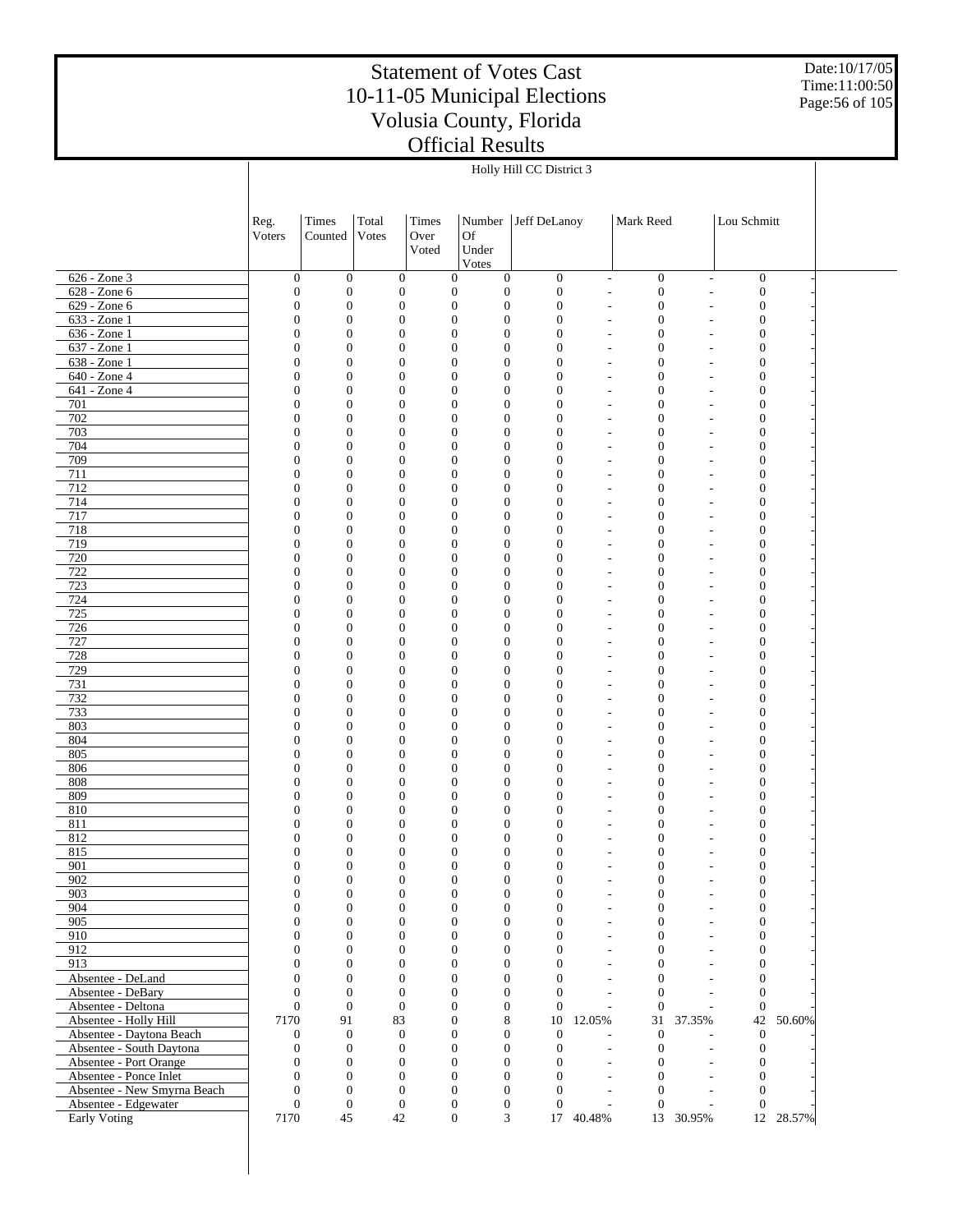Date:10/17/05 Time:11:00:50 Page:56 of 105

|                                         |                                      |                                  |                                      |       |                                                                              | Holly Hill CC District 3           |                               |                                      |                                                      |                                      |           |  |
|-----------------------------------------|--------------------------------------|----------------------------------|--------------------------------------|-------|------------------------------------------------------------------------------|------------------------------------|-------------------------------|--------------------------------------|------------------------------------------------------|--------------------------------------|-----------|--|
|                                         |                                      |                                  |                                      |       |                                                                              |                                    |                               |                                      |                                                      |                                      |           |  |
|                                         |                                      |                                  |                                      |       |                                                                              |                                    |                               |                                      |                                                      |                                      |           |  |
|                                         | Reg.                                 | Times                            | Total                                | Times | Number                                                                       | Jeff DeLanoy                       |                               | Mark Reed                            |                                                      | Lou Schmitt                          |           |  |
|                                         | Voters                               | Counted                          | Votes                                | Over  | <b>Of</b>                                                                    |                                    |                               |                                      |                                                      |                                      |           |  |
|                                         |                                      |                                  |                                      | Voted | Under                                                                        |                                    |                               |                                      |                                                      |                                      |           |  |
|                                         |                                      |                                  |                                      |       | Votes                                                                        |                                    |                               |                                      |                                                      |                                      |           |  |
| 626 - Zone 3                            | $\boldsymbol{0}$                     | $\boldsymbol{0}$                 | $\boldsymbol{0}$                     |       | $\boldsymbol{0}$<br>$\boldsymbol{0}$                                         | $\boldsymbol{0}$                   | $\overline{\phantom{a}}$      | $\boldsymbol{0}$                     | $\overline{\phantom{a}}$                             | $\boldsymbol{0}$                     |           |  |
| 628 - Zone 6                            | $\boldsymbol{0}$                     | $\boldsymbol{0}$                 | $\boldsymbol{0}$                     |       | $\boldsymbol{0}$<br>$\boldsymbol{0}$                                         | $\boldsymbol{0}$                   | $\overline{a}$                | $\boldsymbol{0}$                     | $\overline{\phantom{a}}$                             | $\boldsymbol{0}$                     |           |  |
| 629 - Zone 6                            | $\boldsymbol{0}$                     | $\mathbf{0}$                     | $\boldsymbol{0}$                     |       | $\boldsymbol{0}$<br>$\boldsymbol{0}$                                         | $\boldsymbol{0}$                   | L,                            | $\boldsymbol{0}$                     | L,                                                   | $\boldsymbol{0}$                     |           |  |
| 633 - Zone 1                            | $\boldsymbol{0}$                     | $\boldsymbol{0}$                 | $\boldsymbol{0}$                     |       | $\boldsymbol{0}$<br>$\mathbf{0}$                                             | $\boldsymbol{0}$                   | $\overline{\phantom{a}}$      | $\boldsymbol{0}$                     | ä,                                                   | $\boldsymbol{0}$                     |           |  |
| 636 - Zone 1<br>637 - Zone 1            | $\boldsymbol{0}$<br>$\boldsymbol{0}$ | $\mathbf{0}$<br>$\boldsymbol{0}$ | $\boldsymbol{0}$<br>$\boldsymbol{0}$ |       | $\boldsymbol{0}$<br>$\boldsymbol{0}$<br>$\boldsymbol{0}$<br>$\boldsymbol{0}$ | $\mathbf{0}$<br>$\mathbf{0}$       | ٠                             | $\boldsymbol{0}$<br>$\boldsymbol{0}$ | ä,                                                   | $\boldsymbol{0}$<br>$\boldsymbol{0}$ |           |  |
| $638 - Z$ one 1                         | $\boldsymbol{0}$                     | $\mathbf{0}$                     | $\mathbf{0}$                         |       | $\boldsymbol{0}$<br>$\boldsymbol{0}$                                         | $\mathbf{0}$                       | ٠<br>٠                        | $\boldsymbol{0}$                     | ä,<br>L,                                             | $\boldsymbol{0}$                     |           |  |
| 640 - Zone 4                            | $\boldsymbol{0}$                     | $\mathbf{0}$                     | $\boldsymbol{0}$                     |       | $\boldsymbol{0}$<br>$\boldsymbol{0}$                                         | $\boldsymbol{0}$                   | ٠                             | $\boldsymbol{0}$                     | ۰                                                    | $\boldsymbol{0}$                     |           |  |
| 641 - Zone 4                            | $\boldsymbol{0}$                     | $\mathbf{0}$                     | $\boldsymbol{0}$                     |       | $\boldsymbol{0}$<br>$\boldsymbol{0}$                                         | $\mathbf{0}$                       | ٠                             | $\boldsymbol{0}$                     | L,                                                   | $\boldsymbol{0}$                     |           |  |
| 701                                     | $\boldsymbol{0}$                     | $\mathbf{0}$                     | $\boldsymbol{0}$                     |       | $\boldsymbol{0}$<br>$\boldsymbol{0}$                                         | $\mathbf{0}$                       | $\overline{a}$                | $\boldsymbol{0}$                     | ۰                                                    | $\boldsymbol{0}$                     |           |  |
| 702                                     | $\boldsymbol{0}$                     | $\mathbf{0}$                     | $\mathbf{0}$                         |       | $\boldsymbol{0}$<br>$\boldsymbol{0}$                                         | $\mathbf{0}$                       | ٠                             | $\boldsymbol{0}$                     | ٠                                                    | $\boldsymbol{0}$                     |           |  |
| 703                                     | $\boldsymbol{0}$                     | $\mathbf{0}$                     | $\boldsymbol{0}$                     |       | $\boldsymbol{0}$<br>$\boldsymbol{0}$                                         | $\boldsymbol{0}$                   | $\overline{\phantom{a}}$      | $\boldsymbol{0}$                     | $\overline{a}$                                       | $\boldsymbol{0}$                     |           |  |
| 704                                     | $\boldsymbol{0}$                     | $\mathbf{0}$                     | $\boldsymbol{0}$                     |       | $\boldsymbol{0}$<br>$\boldsymbol{0}$                                         | $\mathbf{0}$                       | ٠                             | $\boldsymbol{0}$                     | ٠                                                    | $\boldsymbol{0}$                     |           |  |
| 709                                     | $\boldsymbol{0}$                     | $\mathbf{0}$<br>$\mathbf{0}$     | $\boldsymbol{0}$                     |       | $\boldsymbol{0}$<br>$\boldsymbol{0}$<br>$\boldsymbol{0}$                     | $\mathbf{0}$                       | $\overline{\phantom{a}}$      | $\boldsymbol{0}$                     | $\overline{a}$                                       | $\boldsymbol{0}$                     |           |  |
| 711<br>712                              | $\boldsymbol{0}$<br>$\boldsymbol{0}$ | $\mathbf{0}$                     | $\boldsymbol{0}$<br>$\boldsymbol{0}$ |       | $\boldsymbol{0}$<br>$\boldsymbol{0}$<br>$\boldsymbol{0}$                     | $\mathbf{0}$<br>$\mathbf{0}$       | ٠<br>$\overline{\phantom{a}}$ | $\boldsymbol{0}$<br>$\boldsymbol{0}$ | L,<br>٠                                              | $\boldsymbol{0}$<br>$\mathbf{0}$     |           |  |
| 714                                     | $\boldsymbol{0}$                     | $\mathbf{0}$                     | $\boldsymbol{0}$                     |       | $\boldsymbol{0}$<br>$\boldsymbol{0}$                                         | $\mathbf{0}$                       | ٠                             | $\boldsymbol{0}$                     | $\overline{\phantom{a}}$                             | $\mathbf{0}$                         |           |  |
| 717                                     | $\boldsymbol{0}$                     | $\mathbf{0}$                     | $\boldsymbol{0}$                     |       | $\boldsymbol{0}$<br>$\boldsymbol{0}$                                         | $\mathbf{0}$                       | $\overline{\phantom{a}}$      | $\boldsymbol{0}$                     | $\overline{\phantom{a}}$                             | $\mathbf{0}$                         |           |  |
| 718                                     | $\boldsymbol{0}$                     | $\mathbf{0}$                     | $\boldsymbol{0}$                     |       | $\boldsymbol{0}$<br>$\boldsymbol{0}$                                         | $\mathbf{0}$                       | ٠                             | $\boldsymbol{0}$                     | $\overline{\phantom{a}}$                             | $\boldsymbol{0}$                     |           |  |
| 719                                     | $\boldsymbol{0}$                     | $\mathbf{0}$                     | $\boldsymbol{0}$                     |       | $\boldsymbol{0}$<br>$\boldsymbol{0}$                                         | $\mathbf{0}$                       | $\overline{\phantom{a}}$      | $\boldsymbol{0}$                     | $\overline{\phantom{a}}$                             | $\mathbf{0}$                         |           |  |
| 720                                     | $\boldsymbol{0}$                     | $\mathbf{0}$                     | $\boldsymbol{0}$                     |       | $\boldsymbol{0}$<br>$\boldsymbol{0}$                                         | $\mathbf{0}$                       | ٠                             | $\boldsymbol{0}$                     | $\overline{\phantom{a}}$                             | $\boldsymbol{0}$                     |           |  |
| 722                                     | $\boldsymbol{0}$                     | $\mathbf{0}$                     | $\boldsymbol{0}$                     |       | $\boldsymbol{0}$<br>$\boldsymbol{0}$                                         | $\mathbf{0}$                       | ٠                             | $\boldsymbol{0}$                     | $\overline{\phantom{a}}$                             | $\boldsymbol{0}$                     |           |  |
| 723                                     | $\boldsymbol{0}$                     | $\mathbf{0}$                     | $\boldsymbol{0}$                     |       | $\boldsymbol{0}$<br>$\boldsymbol{0}$                                         | $\mathbf{0}$                       | ٠                             | $\boldsymbol{0}$                     | L,                                                   | $\boldsymbol{0}$                     |           |  |
| 724<br>725                              | $\boldsymbol{0}$                     | $\mathbf{0}$<br>$\mathbf{0}$     | $\boldsymbol{0}$<br>$\boldsymbol{0}$ |       | $\boldsymbol{0}$<br>$\boldsymbol{0}$<br>$\boldsymbol{0}$<br>$\boldsymbol{0}$ | $\mathbf{0}$<br>$\mathbf{0}$       | ٠                             | $\boldsymbol{0}$<br>$\boldsymbol{0}$ | ۰                                                    | $\boldsymbol{0}$                     |           |  |
| 726                                     | $\boldsymbol{0}$<br>$\boldsymbol{0}$ | $\mathbf{0}$                     | $\boldsymbol{0}$                     |       | $\boldsymbol{0}$<br>$\boldsymbol{0}$                                         | $\mathbf{0}$                       | ٠<br>$\overline{\phantom{a}}$ | $\boldsymbol{0}$                     | L,<br>۰                                              | $\boldsymbol{0}$<br>$\boldsymbol{0}$ |           |  |
| 727                                     | $\boldsymbol{0}$                     | $\mathbf{0}$                     | $\mathbf{0}$                         |       | $\boldsymbol{0}$<br>$\boldsymbol{0}$                                         | $\mathbf{0}$                       | ٠                             | $\boldsymbol{0}$                     | ٠                                                    | $\boldsymbol{0}$                     |           |  |
| 728                                     | $\boldsymbol{0}$                     | $\mathbf{0}$                     | $\boldsymbol{0}$                     |       | $\boldsymbol{0}$<br>$\boldsymbol{0}$                                         | $\boldsymbol{0}$                   | $\overline{\phantom{a}}$      | $\boldsymbol{0}$                     | $\overline{a}$                                       | $\boldsymbol{0}$                     |           |  |
| 729                                     | $\boldsymbol{0}$                     | $\mathbf{0}$                     | $\boldsymbol{0}$                     |       | $\boldsymbol{0}$<br>$\boldsymbol{0}$                                         | $\mathbf{0}$                       | ٠                             | $\boldsymbol{0}$                     | ٠                                                    | $\boldsymbol{0}$                     |           |  |
| 731                                     | $\boldsymbol{0}$                     | $\mathbf{0}$                     | $\boldsymbol{0}$                     |       | $\boldsymbol{0}$<br>$\boldsymbol{0}$                                         | $\mathbf{0}$                       | $\overline{\phantom{a}}$      | $\boldsymbol{0}$                     | $\overline{a}$                                       | $\boldsymbol{0}$                     |           |  |
| 732                                     | $\boldsymbol{0}$                     | $\mathbf{0}$                     | $\mathbf{0}$                         |       | $\boldsymbol{0}$<br>$\boldsymbol{0}$                                         | $\mathbf{0}$                       | ٠                             | $\boldsymbol{0}$                     | ٠                                                    | $\boldsymbol{0}$                     |           |  |
| 733                                     | $\boldsymbol{0}$                     | $\mathbf{0}$                     | $\boldsymbol{0}$                     |       | $\boldsymbol{0}$<br>$\boldsymbol{0}$                                         | $\mathbf{0}$                       | $\overline{\phantom{a}}$      | $\boldsymbol{0}$                     | $\overline{\phantom{m}}$                             | $\mathbf{0}$                         |           |  |
| 803                                     | $\boldsymbol{0}$                     | $\mathbf{0}$<br>$\mathbf{0}$     | $\boldsymbol{0}$                     |       | $\boldsymbol{0}$<br>$\boldsymbol{0}$<br>$\boldsymbol{0}$                     | $\mathbf{0}$                       | ٠                             | $\boldsymbol{0}$                     | $\overline{\phantom{a}}$                             | $\mathbf{0}$<br>$\mathbf{0}$         |           |  |
| 804<br>805                              | $\boldsymbol{0}$<br>$\boldsymbol{0}$ | $\mathbf{0}$                     | $\boldsymbol{0}$<br>$\mathbf{0}$     |       | $\boldsymbol{0}$<br>$\boldsymbol{0}$<br>$\boldsymbol{0}$                     | $\mathbf{0}$<br>$\mathbf{0}$       | $\overline{\phantom{a}}$<br>٠ | $\boldsymbol{0}$<br>$\boldsymbol{0}$ | $\overline{\phantom{a}}$<br>$\overline{\phantom{a}}$ | $\boldsymbol{0}$                     |           |  |
| 806                                     | $\boldsymbol{0}$                     | $\mathbf{0}$                     | $\boldsymbol{0}$                     |       | $\boldsymbol{0}$<br>$\boldsymbol{0}$                                         | $\mathbf{0}$                       | $\overline{\phantom{a}}$      | $\boldsymbol{0}$                     | $\overline{\phantom{a}}$                             | $\boldsymbol{0}$                     |           |  |
| 808                                     | $\boldsymbol{0}$                     | $\mathbf{0}$                     | $\boldsymbol{0}$                     |       | $\boldsymbol{0}$<br>$\boldsymbol{0}$                                         | $\mathbf{0}$                       | ٠                             | $\boldsymbol{0}$                     | ä,                                                   | $\boldsymbol{0}$                     |           |  |
| 809                                     | $\boldsymbol{0}$                     | $\mathbf{0}$                     | $\boldsymbol{0}$                     |       | $\boldsymbol{0}$<br>$\boldsymbol{0}$                                         | $\overline{0}$                     | $\overline{\phantom{a}}$      | $\boldsymbol{0}$                     | ۰                                                    | $\boldsymbol{0}$                     |           |  |
| 810                                     | $\boldsymbol{0}$                     | $\mathbf{0}$                     | $\mathbf{0}$                         |       | $\boldsymbol{0}$<br>$\boldsymbol{0}$                                         | $\mathbf{0}$                       | ٠                             | $\boldsymbol{0}$                     |                                                      | $\boldsymbol{0}$                     |           |  |
| 811                                     | $\boldsymbol{0}$                     | $\mathbf{0}$                     | $\mathbf{0}$                         |       | $\boldsymbol{0}$<br>$\boldsymbol{0}$                                         | $\overline{0}$                     | ٠                             | $\boldsymbol{0}$                     |                                                      | $\boldsymbol{0}$                     |           |  |
| 812                                     | $\boldsymbol{0}$                     | $\mathbf{0}$                     | $\mathbf{0}$                         |       | $\boldsymbol{0}$<br>$\boldsymbol{0}$                                         | $\boldsymbol{0}$                   |                               | $\boldsymbol{0}$                     |                                                      | $\boldsymbol{0}$                     |           |  |
| 815<br>901                              | $\Omega$                             | $\theta$<br>$\boldsymbol{0}$     | $\Omega$<br>$\mathbf{0}$             |       | $\overline{0}$<br>$\mathbf{0}$<br>$\boldsymbol{0}$                           | $\Omega$<br>$\mathbf{0}$           |                               | $\mathbf{0}$<br>$\boldsymbol{0}$     |                                                      | $\theta$                             |           |  |
| 902                                     | $\boldsymbol{0}$<br>$\boldsymbol{0}$ | $\boldsymbol{0}$                 | $\boldsymbol{0}$                     |       | $\boldsymbol{0}$<br>$\boldsymbol{0}$<br>$\boldsymbol{0}$                     | $\boldsymbol{0}$                   | $\overline{\phantom{a}}$      | $\boldsymbol{0}$                     |                                                      | $\boldsymbol{0}$<br>$\boldsymbol{0}$ |           |  |
| 903                                     | $\boldsymbol{0}$                     | $\boldsymbol{0}$                 | $\boldsymbol{0}$                     |       | $\boldsymbol{0}$<br>$\boldsymbol{0}$                                         | $\boldsymbol{0}$                   | $\overline{a}$                | $\boldsymbol{0}$                     | ٠                                                    | $\mathbf{0}$                         |           |  |
| 904                                     | $\mathbf{0}$                         | $\boldsymbol{0}$                 | $\boldsymbol{0}$                     |       | $\boldsymbol{0}$<br>$\mathbf{0}$                                             | $\boldsymbol{0}$                   | $\overline{\phantom{a}}$      | $\boldsymbol{0}$                     | ٠                                                    | $\mathbf{0}$                         |           |  |
| 905                                     | $\boldsymbol{0}$                     | $\boldsymbol{0}$                 | $\boldsymbol{0}$                     |       | $\boldsymbol{0}$<br>$\mathbf{0}$                                             | $\boldsymbol{0}$                   | $\overline{\phantom{a}}$      | $\boldsymbol{0}$                     | ä,                                                   | $\mathbf{0}$                         |           |  |
| 910                                     | $\mathbf{0}$                         | $\boldsymbol{0}$                 | $\boldsymbol{0}$                     |       | $\boldsymbol{0}$<br>$\mathbf{0}$                                             | $\overline{0}$                     | $\overline{\phantom{a}}$      | $\boldsymbol{0}$                     | $\overline{\phantom{a}}$                             | $\mathbf{0}$                         |           |  |
| 912                                     | $\mathbf{0}$                         | $\boldsymbol{0}$                 | $\boldsymbol{0}$                     |       | $\boldsymbol{0}$<br>$\mathbf{0}$                                             | $\overline{0}$                     | $\overline{a}$                | $\boldsymbol{0}$                     | $\overline{\phantom{a}}$                             | $\mathbf{0}$                         |           |  |
| 913                                     | $\mathbf{0}$                         | $\boldsymbol{0}$                 | $\boldsymbol{0}$                     |       | $\boldsymbol{0}$<br>$\mathbf{0}$                                             | $\overline{0}$                     | $\overline{\phantom{a}}$      | $\boldsymbol{0}$                     | $\overline{\phantom{a}}$                             | $\boldsymbol{0}$                     |           |  |
| Absentee - DeLand                       | $\mathbf{0}$                         | $\boldsymbol{0}$                 | $\boldsymbol{0}$                     |       | $\boldsymbol{0}$<br>$\mathbf{0}$                                             | $\boldsymbol{0}$<br>$\overline{0}$ | $\overline{a}$                | $\boldsymbol{0}$                     | $\overline{\phantom{a}}$                             | $\mathbf{0}$                         |           |  |
| Absentee - DeBary<br>Absentee - Deltona | $\mathbf{0}$<br>$\boldsymbol{0}$     | $\mathbf{0}$<br>$\mathbf{0}$     | $\boldsymbol{0}$<br>$\boldsymbol{0}$ |       | $\boldsymbol{0}$<br>$\mathbf{0}$<br>$\boldsymbol{0}$<br>$\mathbf{0}$         | $\boldsymbol{0}$                   | $\overline{a}$<br>÷           | $\boldsymbol{0}$<br>$\boldsymbol{0}$ | $\overline{\phantom{a}}$<br>L.                       | $\boldsymbol{0}$<br>$\mathbf{0}$     |           |  |
| Absentee - Holly Hill                   | 7170                                 | 91                               | 83                                   |       | $\,$ 8 $\,$<br>$\boldsymbol{0}$                                              | 10                                 | 12.05%                        | 31                                   | 37.35%                                               |                                      | 42 50.60% |  |
| Absentee - Daytona Beach                | $\boldsymbol{0}$                     | $\mathbf{0}$                     | $\mathbf{0}$                         |       | $\boldsymbol{0}$<br>$\boldsymbol{0}$                                         | $\boldsymbol{0}$                   |                               | $\mathbf{0}$                         | $\overline{\phantom{a}}$                             | $\mathbf{0}$                         |           |  |
| Absentee - South Daytona                | $\boldsymbol{0}$                     | $\boldsymbol{0}$                 | $\boldsymbol{0}$                     |       | $\boldsymbol{0}$<br>$\boldsymbol{0}$                                         | $\boldsymbol{0}$                   | L,                            | $\mathbf{0}$                         | L.                                                   | $\boldsymbol{0}$                     |           |  |
| Absentee - Port Orange                  | $\boldsymbol{0}$                     | $\boldsymbol{0}$                 | $\boldsymbol{0}$                     |       | $\boldsymbol{0}$<br>$\mathbf{0}$                                             | $\boldsymbol{0}$                   | $\overline{a}$                | $\boldsymbol{0}$                     | $\overline{\phantom{a}}$                             | $\mathbf{0}$                         |           |  |
| Absentee - Ponce Inlet                  | $\mathbf{0}$                         | $\boldsymbol{0}$                 | $\boldsymbol{0}$                     |       | $\boldsymbol{0}$<br>$\mathbf{0}$                                             | $\boldsymbol{0}$                   | $\overline{a}$                | $\boldsymbol{0}$                     | $\overline{\phantom{a}}$                             | $\boldsymbol{0}$                     |           |  |
| Absentee - New Smyrna Beach             | $\boldsymbol{0}$                     | $\mathbf{0}$                     | $\boldsymbol{0}$                     |       | $\boldsymbol{0}$<br>$\boldsymbol{0}$                                         | $\mathbf{0}$                       | $\overline{a}$                | $\boldsymbol{0}$                     | $\overline{\phantom{a}}$                             | $\boldsymbol{0}$                     |           |  |
| Absentee - Edgewater                    | $\boldsymbol{0}$                     | $\boldsymbol{0}$                 | $\boldsymbol{0}$                     |       | $\boldsymbol{0}$<br>$\mathbf{0}$                                             | $\mathbf{0}$                       | $\overline{a}$                | $\overline{0}$                       | $\overline{\phantom{a}}$                             | $\mathbf{0}$                         |           |  |
| <b>Early Voting</b>                     | 7170                                 | 45                               | 42                                   |       | $\boldsymbol{0}$<br>3                                                        |                                    | 17 40.48%                     |                                      | 13 30.95%                                            |                                      | 12 28.57% |  |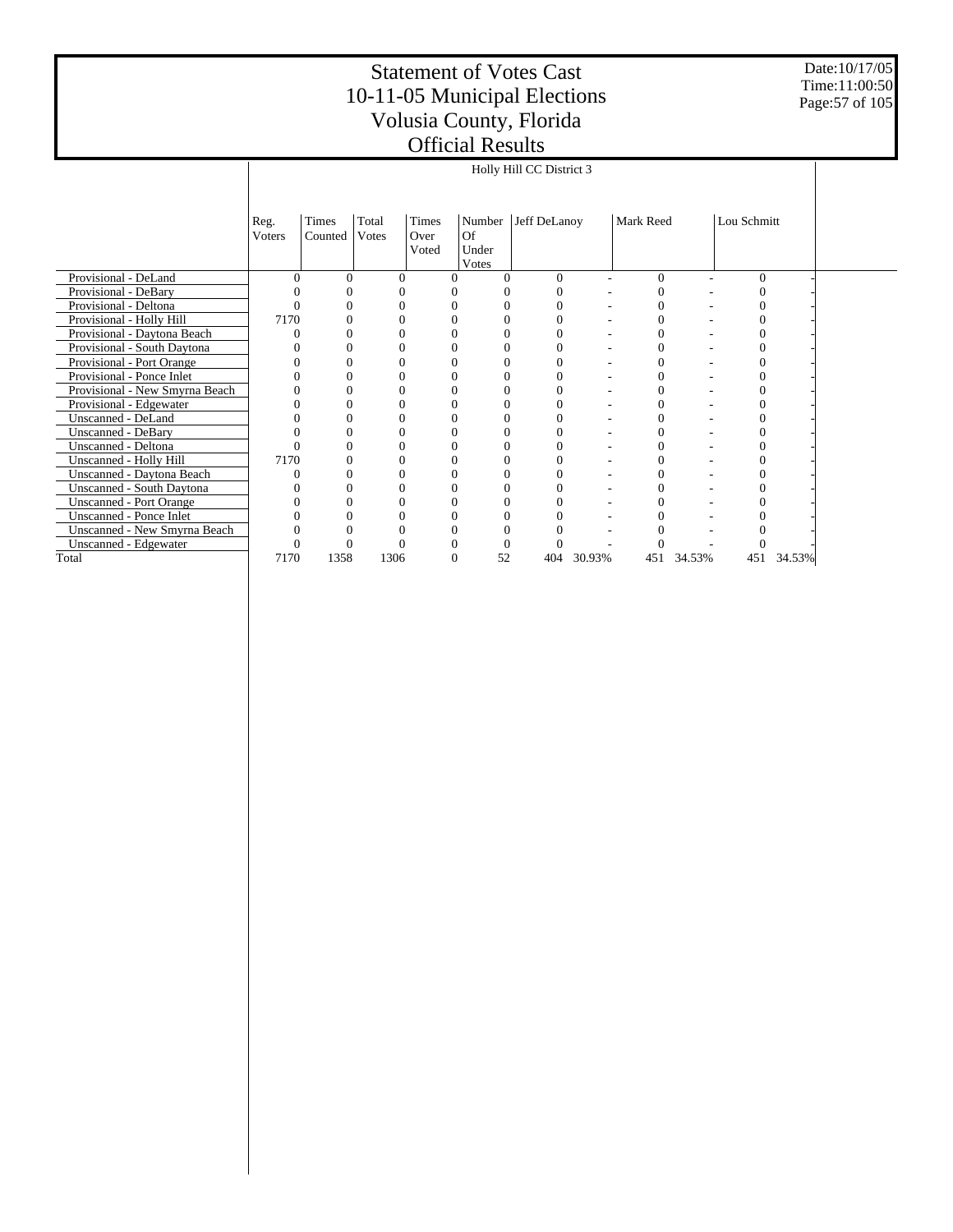Date:10/17/05 Time:11:00:50 Page:57 of 105

|                                |          |          |       |          |          |          | Holly Hill CC District 3 |        |                  |        |             |        |
|--------------------------------|----------|----------|-------|----------|----------|----------|--------------------------|--------|------------------|--------|-------------|--------|
|                                |          |          |       |          |          |          |                          |        |                  |        |             |        |
|                                |          |          |       |          |          |          |                          |        |                  |        |             |        |
|                                | Reg.     | Times    | Total | Times    |          | Number   | Jeff DeLanoy             |        | Mark Reed        |        | Lou Schmitt |        |
|                                | Voters   | Counted  | Votes | Over     |          | Of       |                          |        |                  |        |             |        |
|                                |          |          |       | Voted    |          | Under    |                          |        |                  |        |             |        |
|                                |          |          |       |          |          | Votes    |                          |        |                  |        |             |        |
| Provisional - DeLand           | $\Omega$ | $\Omega$ |       | $\theta$ | $\Omega$ | $\Omega$ | $\Omega$                 | ٠      | $\mathbf{0}$     | ٠      | $\Omega$    |        |
| Provisional - DeBary           |          |          |       |          | 0        |          |                          |        | 0                |        |             |        |
| Provisional - Deltona          |          |          |       |          | 0        |          |                          |        | 0                |        |             |        |
| Provisional - Holly Hill       | 7170     |          |       |          | 0        |          |                          |        | $\overline{0}$   |        |             |        |
| Provisional - Daytona Beach    |          |          |       |          | 0        |          |                          |        | $\boldsymbol{0}$ |        |             |        |
| Provisional - South Daytona    |          |          |       |          | 0        | $\Omega$ |                          |        | $\overline{0}$   |        |             |        |
| Provisional - Port Orange      |          |          |       |          | 0        | $\Omega$ |                          |        | $\overline{0}$   |        |             |        |
| Provisional - Ponce Inlet      |          |          |       |          | 0        | $\Omega$ |                          |        | $\overline{0}$   |        |             |        |
| Provisional - New Smyrna Beach |          |          |       | 0        | 0        | $\Omega$ | 0                        |        | $\boldsymbol{0}$ |        | 0           |        |
| Provisional - Edgewater        |          |          |       |          | 0        | $\Omega$ |                          |        | 0                |        |             |        |
| Unscanned - DeLand             |          |          |       |          | 0        | $\Omega$ |                          |        | $\boldsymbol{0}$ |        | 0           |        |
| <b>Unscanned - DeBary</b>      |          |          |       |          | 0        | 0        |                          |        | $\overline{0}$   |        |             |        |
| Unscanned - Deltona            |          |          |       |          | 0        | $\Omega$ |                          |        | $\boldsymbol{0}$ |        |             |        |
| Unscanned - Holly Hill         | 7170     |          |       |          | 0        |          |                          |        | 0                |        |             |        |
| Unscanned - Daytona Beach      |          |          |       |          | 0        |          |                          |        | $\overline{0}$   |        |             |        |
| Unscanned - South Daytona      |          |          |       |          | 0        |          |                          |        | $\overline{0}$   |        |             |        |
| <b>Unscanned - Port Orange</b> |          |          |       |          | 0        | $\Omega$ |                          |        | 0                |        |             |        |
| Unscanned - Ponce Inlet        |          |          |       |          | 0        |          |                          |        | 0                |        |             |        |
| Unscanned - New Smyrna Beach   |          |          |       |          | 0        |          |                          |        | 0                |        |             |        |
| Unscanned - Edgewater          |          |          |       |          | 0        | $\Omega$ |                          |        |                  |        |             |        |
| Total                          | 7170     | 1358     | 1306  |          | $\theta$ | 52       | 404                      | 30.93% | 451              | 34.53% | 451         | 34.53% |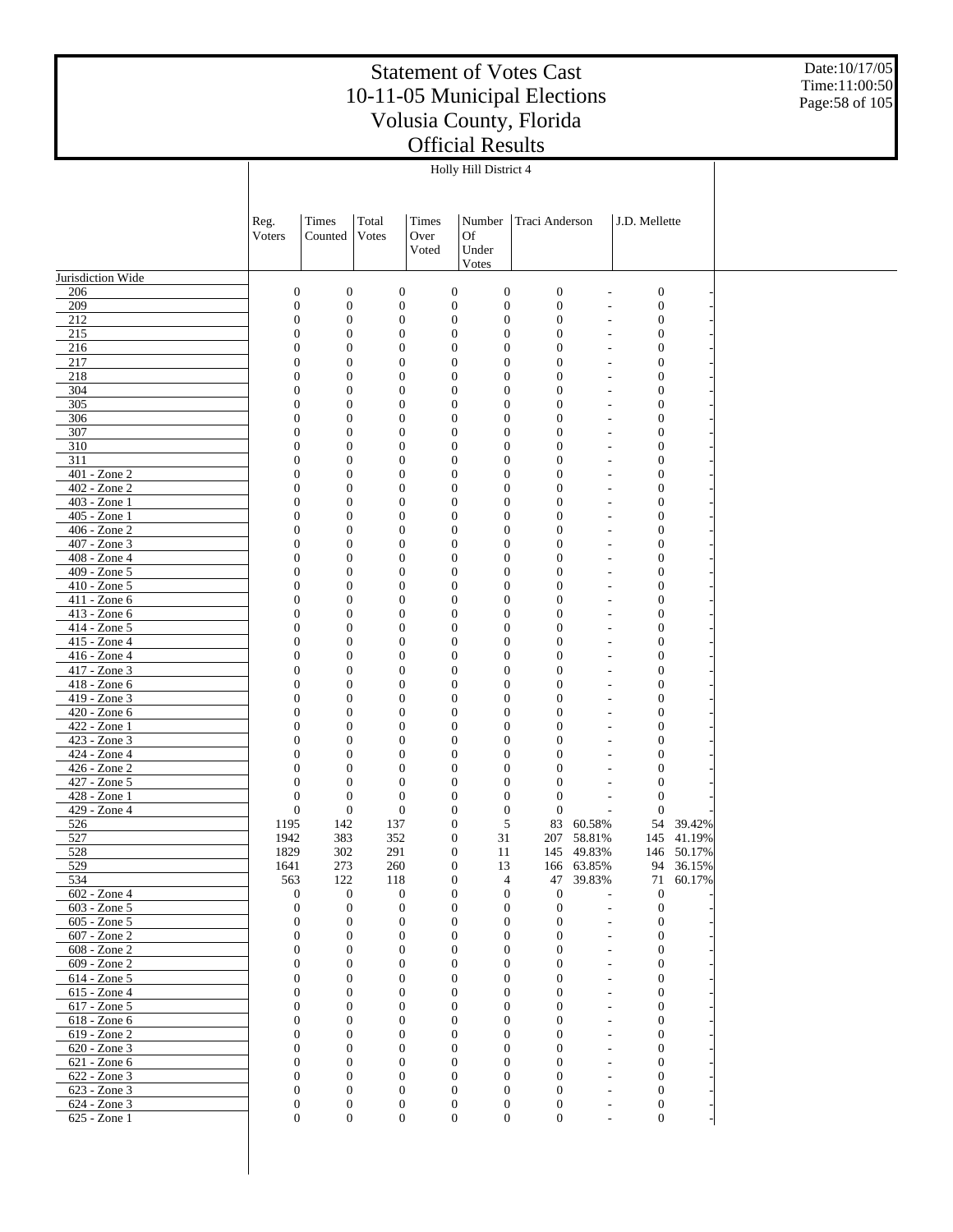Date:10/17/05 Time:11:00:50 Page:58 of 105

|                              |                                |                                  |                                      |                                      | Holly Hill District 4                |                                      |                                                                  |  |
|------------------------------|--------------------------------|----------------------------------|--------------------------------------|--------------------------------------|--------------------------------------|--------------------------------------|------------------------------------------------------------------|--|
|                              |                                |                                  |                                      |                                      |                                      |                                      |                                                                  |  |
|                              |                                |                                  |                                      |                                      |                                      |                                      |                                                                  |  |
|                              | Reg.                           | Times                            | Total                                | Times                                | Number                               | Traci Anderson                       | J.D. Mellette                                                    |  |
|                              | Voters                         | Counted                          | Votes                                | Over                                 | <b>Of</b>                            |                                      |                                                                  |  |
|                              |                                |                                  |                                      | Voted                                | Under                                |                                      |                                                                  |  |
|                              |                                |                                  |                                      |                                      | Votes                                |                                      |                                                                  |  |
| Jurisdiction Wide            |                                |                                  |                                      |                                      |                                      |                                      |                                                                  |  |
| 206                          | $\boldsymbol{0}$               | $\mathbf{0}$                     | $\boldsymbol{0}$                     | $\boldsymbol{0}$                     | $\boldsymbol{0}$                     | $\boldsymbol{0}$                     | $\boldsymbol{0}$<br>$\overline{a}$                               |  |
| 209                          | $\mathbf{0}$                   | $\boldsymbol{0}$                 | $\boldsymbol{0}$                     | $\boldsymbol{0}$                     | $\boldsymbol{0}$                     | $\boldsymbol{0}$                     | $\boldsymbol{0}$<br>$\overline{\phantom{a}}$                     |  |
| 212                          | $\mathbf{0}$                   | $\mathbf{0}$                     | $\boldsymbol{0}$                     | $\boldsymbol{0}$                     | $\boldsymbol{0}$                     | $\boldsymbol{0}$                     | $\boldsymbol{0}$<br>٠                                            |  |
| 215                          | $\mathbf{0}$                   | $\boldsymbol{0}$                 | $\boldsymbol{0}$                     | $\boldsymbol{0}$                     | $\boldsymbol{0}$                     | $\mathbf{0}$                         | $\boldsymbol{0}$<br>٠                                            |  |
| 216<br>217                   | $\mathbf{0}$<br>$\mathbf{0}$   | $\mathbf{0}$<br>$\boldsymbol{0}$ | $\boldsymbol{0}$<br>$\boldsymbol{0}$ | $\boldsymbol{0}$<br>$\boldsymbol{0}$ | $\boldsymbol{0}$<br>$\boldsymbol{0}$ | $\boldsymbol{0}$<br>$\mathbf{0}$     | $\boldsymbol{0}$<br>٠<br>$\boldsymbol{0}$<br>٠                   |  |
| 218                          | $\mathbf{0}$                   | $\mathbf{0}$                     | $\boldsymbol{0}$                     | $\boldsymbol{0}$                     | $\boldsymbol{0}$                     | $\boldsymbol{0}$                     | $\boldsymbol{0}$<br>$\overline{a}$                               |  |
| 304                          | $\mathbf{0}$                   | $\boldsymbol{0}$                 | $\boldsymbol{0}$                     | $\boldsymbol{0}$                     | $\boldsymbol{0}$                     | $\mathbf{0}$                         | $\boldsymbol{0}$<br>$\overline{\phantom{a}}$                     |  |
| 305                          | $\mathbf{0}$                   | $\mathbf{0}$                     | $\boldsymbol{0}$                     | $\boldsymbol{0}$                     | $\boldsymbol{0}$                     | $\boldsymbol{0}$                     | $\boldsymbol{0}$<br>٠                                            |  |
| 306                          | $\mathbf{0}$                   | $\boldsymbol{0}$                 | $\boldsymbol{0}$                     | $\boldsymbol{0}$                     | $\boldsymbol{0}$                     | $\mathbf{0}$                         | $\boldsymbol{0}$<br>٠                                            |  |
| 307                          | $\mathbf{0}$                   | $\mathbf{0}$                     | $\boldsymbol{0}$                     | $\boldsymbol{0}$                     | $\boldsymbol{0}$                     | $\boldsymbol{0}$                     | $\boldsymbol{0}$<br>٠                                            |  |
| 310                          | $\mathbf{0}$                   | $\boldsymbol{0}$                 | $\boldsymbol{0}$                     | $\boldsymbol{0}$                     | $\boldsymbol{0}$                     | $\mathbf{0}$                         | $\boldsymbol{0}$<br>٠                                            |  |
| 311                          | $\mathbf{0}$                   | $\mathbf{0}$                     | $\boldsymbol{0}$                     | $\boldsymbol{0}$                     | $\boldsymbol{0}$                     | $\boldsymbol{0}$                     | $\boldsymbol{0}$<br>٠                                            |  |
| 401 - Zone 2<br>402 - Zone 2 | $\mathbf{0}$<br>$\mathbf{0}$   | $\boldsymbol{0}$<br>$\mathbf{0}$ | $\boldsymbol{0}$<br>$\boldsymbol{0}$ | $\boldsymbol{0}$<br>$\boldsymbol{0}$ | $\boldsymbol{0}$                     | $\mathbf{0}$<br>$\boldsymbol{0}$     | $\boldsymbol{0}$<br>$\overline{\phantom{a}}$<br>$\boldsymbol{0}$ |  |
| 403 - Zone 1                 | $\mathbf{0}$                   | $\boldsymbol{0}$                 | $\boldsymbol{0}$                     | $\boldsymbol{0}$                     | $\boldsymbol{0}$<br>$\boldsymbol{0}$ | $\mathbf{0}$                         | $\overline{a}$<br>$\boldsymbol{0}$<br>٠                          |  |
| 405 - Zone 1                 | $\mathbf{0}$                   | $\mathbf{0}$                     | $\boldsymbol{0}$                     | $\boldsymbol{0}$                     | $\boldsymbol{0}$                     | $\boldsymbol{0}$                     | $\boldsymbol{0}$<br>٠                                            |  |
| 406 - Zone 2                 | $\mathbf{0}$                   | $\boldsymbol{0}$                 | $\boldsymbol{0}$                     | $\boldsymbol{0}$                     | $\boldsymbol{0}$                     | $\mathbf{0}$                         | $\boldsymbol{0}$<br>٠                                            |  |
| 407 - Zone 3                 | $\mathbf{0}$                   | $\mathbf{0}$                     | $\boldsymbol{0}$                     | $\boldsymbol{0}$                     | $\boldsymbol{0}$                     | $\boldsymbol{0}$                     | $\boldsymbol{0}$<br>٠                                            |  |
| 408 - Zone 4                 | $\mathbf{0}$                   | $\boldsymbol{0}$                 | $\boldsymbol{0}$                     | $\boldsymbol{0}$                     | $\boldsymbol{0}$                     | $\mathbf{0}$                         | $\boldsymbol{0}$<br>٠                                            |  |
| 409 - Zone 5                 | $\mathbf{0}$                   | $\mathbf{0}$                     | $\boldsymbol{0}$                     | $\boldsymbol{0}$                     | $\boldsymbol{0}$                     | $\boldsymbol{0}$                     | $\boldsymbol{0}$<br>$\overline{a}$                               |  |
| $410 - Z$ one 5              | $\mathbf{0}$                   | $\boldsymbol{0}$                 | $\boldsymbol{0}$                     | $\boldsymbol{0}$                     | $\boldsymbol{0}$                     | $\mathbf{0}$                         | $\boldsymbol{0}$<br>$\overline{a}$                               |  |
| 411 - Zone 6                 | $\mathbf{0}$                   | $\mathbf{0}$                     | $\boldsymbol{0}$                     | $\boldsymbol{0}$                     | $\boldsymbol{0}$                     | $\boldsymbol{0}$                     | $\boldsymbol{0}$<br>$\overline{\phantom{a}}$                     |  |
| 413 - Zone 6                 | $\mathbf{0}$                   | $\boldsymbol{0}$                 | $\boldsymbol{0}$                     | $\boldsymbol{0}$                     | $\boldsymbol{0}$                     | $\mathbf{0}$                         | $\boldsymbol{0}$<br>٠                                            |  |
| 414 - Zone 5<br>415 - Zone 4 | $\mathbf{0}$<br>$\mathbf{0}$   | $\mathbf{0}$<br>$\boldsymbol{0}$ | $\boldsymbol{0}$<br>$\boldsymbol{0}$ | $\boldsymbol{0}$<br>$\boldsymbol{0}$ | $\boldsymbol{0}$<br>$\boldsymbol{0}$ | $\boldsymbol{0}$<br>$\mathbf{0}$     | $\boldsymbol{0}$<br>٠<br>$\boldsymbol{0}$<br>٠                   |  |
| 416 - Zone 4                 | $\mathbf{0}$                   | $\mathbf{0}$                     | $\boldsymbol{0}$                     | $\boldsymbol{0}$                     | $\boldsymbol{0}$                     | $\boldsymbol{0}$                     | $\boldsymbol{0}$<br>$\overline{\phantom{a}}$                     |  |
| 417 - Zone 3                 | $\mathbf{0}$                   | $\boldsymbol{0}$                 | $\boldsymbol{0}$                     | $\boldsymbol{0}$                     | $\boldsymbol{0}$                     | $\mathbf{0}$                         | $\boldsymbol{0}$<br>$\overline{\phantom{a}}$                     |  |
| 418 - Zone 6                 | $\mathbf{0}$                   | $\mathbf{0}$                     | $\boldsymbol{0}$                     | $\boldsymbol{0}$                     | $\boldsymbol{0}$                     | $\boldsymbol{0}$                     | $\boldsymbol{0}$<br>$\overline{a}$                               |  |
| 419 - Zone 3                 | $\mathbf{0}$                   | $\boldsymbol{0}$                 | $\boldsymbol{0}$                     | $\boldsymbol{0}$                     | $\boldsymbol{0}$                     | $\mathbf{0}$                         | $\boldsymbol{0}$<br>٠                                            |  |
| 420 - Zone 6                 | $\mathbf{0}$                   | $\mathbf{0}$                     | $\boldsymbol{0}$                     | $\boldsymbol{0}$                     | $\boldsymbol{0}$                     | $\boldsymbol{0}$                     | $\boldsymbol{0}$<br>٠                                            |  |
| 422 - Zone 1                 | $\mathbf{0}$                   | $\boldsymbol{0}$                 | $\boldsymbol{0}$                     | $\boldsymbol{0}$                     | $\boldsymbol{0}$                     | $\mathbf{0}$                         | $\boldsymbol{0}$<br>٠                                            |  |
| 423 - Zone 3                 | $\mathbf{0}$                   | $\boldsymbol{0}$                 | $\boldsymbol{0}$                     | $\boldsymbol{0}$                     | $\boldsymbol{0}$                     | $\boldsymbol{0}$                     | $\boldsymbol{0}$<br>٠                                            |  |
| 424 - Zone 4<br>426 - Zone 2 | $\mathbf{0}$<br>$\mathbf{0}$   | $\boldsymbol{0}$<br>$\mathbf{0}$ | $\boldsymbol{0}$<br>$\boldsymbol{0}$ | $\boldsymbol{0}$<br>$\boldsymbol{0}$ | $\boldsymbol{0}$<br>$\boldsymbol{0}$ | $\mathbf{0}$<br>$\boldsymbol{0}$     | $\boldsymbol{0}$<br>$\boldsymbol{0}$                             |  |
| 427 - Zone 5                 | $\mathbf{0}$                   | $\mathbf{0}$                     | $\boldsymbol{0}$                     | $\boldsymbol{0}$                     | $\boldsymbol{0}$                     | $\mathbf{0}$                         | $\boldsymbol{0}$                                                 |  |
| 428 - Zone 1                 | $\mathbf{0}$                   | $\mathbf{0}$                     | $\boldsymbol{0}$                     | $\boldsymbol{0}$                     | $\boldsymbol{0}$                     | $\boldsymbol{0}$                     | $\boldsymbol{0}$<br>٠                                            |  |
| 429 - Zone 4                 | $\boldsymbol{0}$               | $\boldsymbol{0}$                 | $\boldsymbol{0}$                     | $\boldsymbol{0}$                     | $\boldsymbol{0}$                     | $\boldsymbol{0}$                     | $\boldsymbol{0}$                                                 |  |
| 526                          | 1195                           | 142                              | 137                                  | $\boldsymbol{0}$                     | 5                                    | 83<br>60.58%                         | 54<br>39.42%                                                     |  |
| 527                          | 1942                           | 383                              | 352                                  | $\boldsymbol{0}$                     | 31                                   | 207 58.81%                           | 145 41.19%                                                       |  |
| 528                          | 1829                           | 302                              | 291                                  | $\Omega$                             | 11                                   | 145 49.83%                           | 146 50.17%                                                       |  |
| 529                          | 1641                           | 273                              | 260                                  | $\boldsymbol{0}$                     | 13                                   | 166 63.85%                           | 36.15%<br>94                                                     |  |
| 534                          | 563                            | 122                              | 118                                  | $\boldsymbol{0}$                     | $\overline{4}$                       | 47<br>39.83%                         | 71<br>60.17%                                                     |  |
| 602 - Zone 4<br>603 - Zone 5 | $\mathbf{0}$<br>$\mathbf{0}$   | $\mathbf{0}$<br>$\mathbf{0}$     | $\boldsymbol{0}$<br>$\boldsymbol{0}$ | $\boldsymbol{0}$<br>$\boldsymbol{0}$ | $\mathbf{0}$<br>$\boldsymbol{0}$     | $\boldsymbol{0}$<br>$\boldsymbol{0}$ | $\mathbf{0}$<br>$\mathbf{0}$<br>$\overline{\phantom{a}}$         |  |
| 605 - Zone 5                 | $\boldsymbol{0}$               | $\theta$                         | $\boldsymbol{0}$                     | $\boldsymbol{0}$                     | $\boldsymbol{0}$                     | $\mathbf{0}$                         | $\boldsymbol{0}$<br>$\sim$                                       |  |
| 607 - Zone 2                 | $\boldsymbol{0}$               | $\mathbf{0}$                     | $\boldsymbol{0}$                     | $\boldsymbol{0}$                     | $\boldsymbol{0}$                     | $\mathbf{0}$                         | $\mathbf{0}$<br>$\sim$                                           |  |
| 608 - Zone 2                 | $\boldsymbol{0}$               | $\theta$                         | $\boldsymbol{0}$                     | $\boldsymbol{0}$                     | $\boldsymbol{0}$                     | $\mathbf{0}$                         | $\boldsymbol{0}$<br>L.                                           |  |
| 609 - Zone 2                 | $\mathbf{0}$                   | $\mathbf{0}$                     | $\boldsymbol{0}$                     | $\boldsymbol{0}$                     | $\boldsymbol{0}$                     | $\mathbf{0}$                         | $\mathbf{0}$<br>÷,                                               |  |
| 614 - Zone 5                 | $\mathbf{0}$                   | $\theta$                         | $\boldsymbol{0}$                     | $\boldsymbol{0}$                     | $\boldsymbol{0}$                     | $\mathbf{0}$                         | $\mathbf{0}$<br>$\overline{\phantom{a}}$                         |  |
| 615 - Zone 4                 | $\overline{0}$                 | $\mathbf{0}$                     | $\boldsymbol{0}$                     | $\boldsymbol{0}$                     | $\boldsymbol{0}$                     | $\mathbf{0}$                         | $\mathbf{0}$<br>$\overline{a}$                                   |  |
| 617 - Zone 5                 | $\mathbf{0}$                   | $\theta$                         | $\boldsymbol{0}$                     | $\boldsymbol{0}$                     | $\boldsymbol{0}$                     | $\mathbf{0}$                         | $\mathbf{0}$<br>$\overline{\phantom{a}}$                         |  |
| 618 - Zone 6                 | $\overline{0}$                 | $\mathbf{0}$                     | $\boldsymbol{0}$                     | $\boldsymbol{0}$                     | $\boldsymbol{0}$                     | $\mathbf{0}$                         | $\mathbf{0}$<br>$\overline{a}$                                   |  |
| 619 - Zone 2<br>620 - Zone 3 | $\mathbf{0}$<br>$\overline{0}$ | $\theta$<br>$\mathbf{0}$         | $\boldsymbol{0}$<br>$\boldsymbol{0}$ | $\boldsymbol{0}$<br>$\boldsymbol{0}$ | $\boldsymbol{0}$<br>$\boldsymbol{0}$ | $\mathbf{0}$<br>$\mathbf{0}$         | $\mathbf{0}$<br>$\overline{a}$<br>$\mathbf{0}$<br>$\overline{a}$ |  |
| 621 - Zone 6                 | $\mathbf{0}$                   | $\theta$                         | $\boldsymbol{0}$                     | $\boldsymbol{0}$                     | $\boldsymbol{0}$                     | $\mathbf{0}$                         | $\mathbf{0}$<br>$\overline{\phantom{a}}$                         |  |
| 622 - Zone 3                 | $\overline{0}$                 | $\mathbf{0}$                     | $\boldsymbol{0}$                     | $\boldsymbol{0}$                     | $\boldsymbol{0}$                     | $\mathbf{0}$                         | $\mathbf{0}$<br>٠                                                |  |
| 623 - Zone 3                 | $\mathbf{0}$                   | $\theta$                         | $\boldsymbol{0}$                     | $\boldsymbol{0}$                     | $\boldsymbol{0}$                     | $\mathbf{0}$                         | $\mathbf{0}$<br>$\overline{a}$                                   |  |
| 624 - Zone 3                 | $\boldsymbol{0}$               | $\mathbf{0}$                     | $\boldsymbol{0}$                     | $\mathbf{0}$                         | $\boldsymbol{0}$                     | $\mathbf{0}$                         | $\mathbf{0}$<br>$\overline{\phantom{a}}$                         |  |
| 625 - Zone 1                 | $\mathbf{0}$                   | $\boldsymbol{0}$                 | $\overline{0}$                       | $\boldsymbol{0}$                     | $\boldsymbol{0}$                     | $\boldsymbol{0}$                     | $\boldsymbol{0}$<br>L,                                           |  |
|                              |                                |                                  |                                      |                                      |                                      |                                      |                                                                  |  |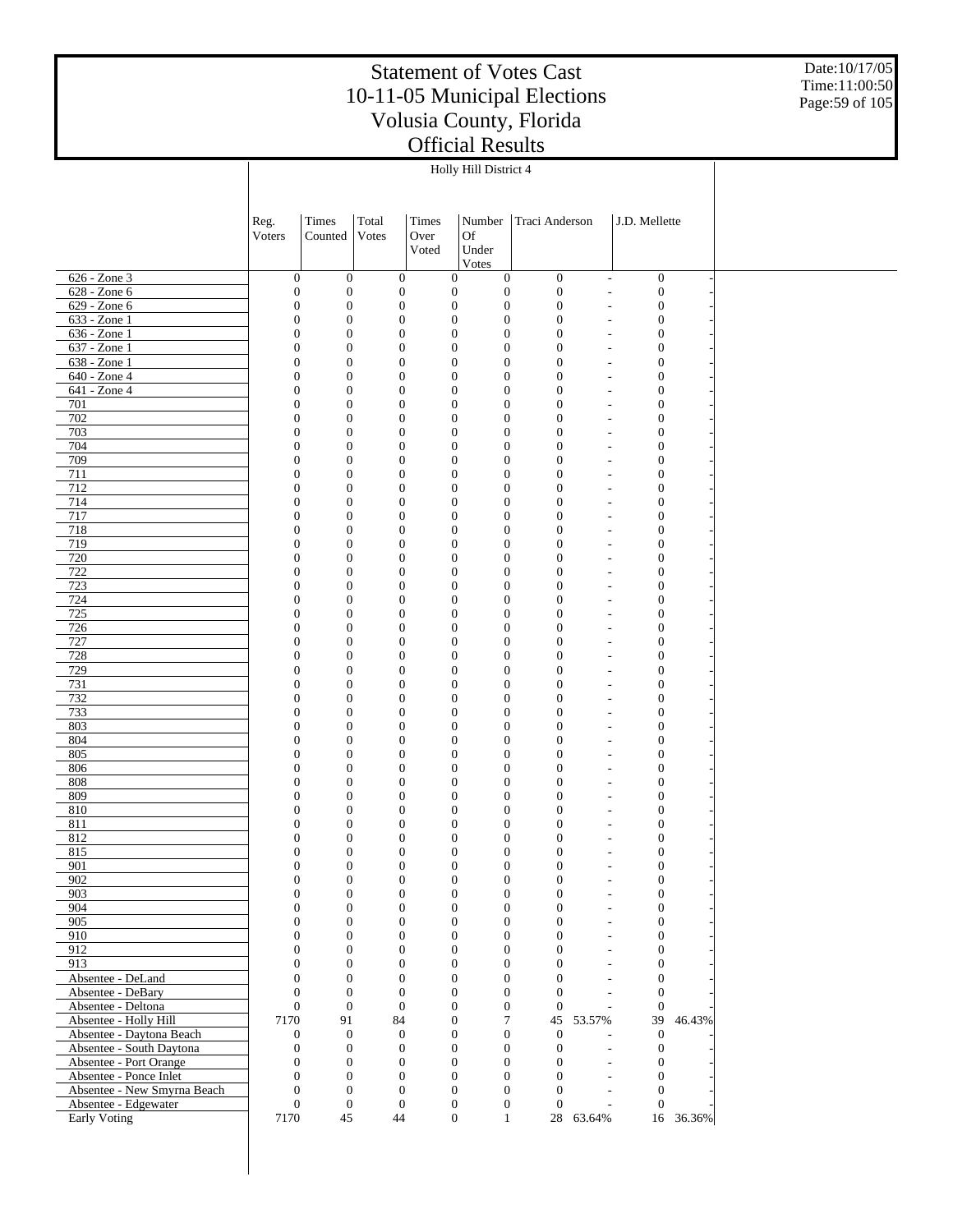Date:10/17/05 Time:11:00:50 Page:59 of 105

|                                                     | Reg.                                 | Times                                | Total                                | Times                                | Number                               | Traci Anderson                       |                                                      | J.D. Mellette                        |           |  |
|-----------------------------------------------------|--------------------------------------|--------------------------------------|--------------------------------------|--------------------------------------|--------------------------------------|--------------------------------------|------------------------------------------------------|--------------------------------------|-----------|--|
|                                                     | Voters                               | Counted                              | Votes                                | Over                                 | Of                                   |                                      |                                                      |                                      |           |  |
|                                                     |                                      |                                      |                                      | Voted                                | Under                                |                                      |                                                      |                                      |           |  |
|                                                     |                                      |                                      |                                      |                                      | Votes                                |                                      |                                                      |                                      |           |  |
| $626 - Zone$ 3<br>$628 - Zone 6$                    | $\boldsymbol{0}$<br>$\boldsymbol{0}$ | $\boldsymbol{0}$<br>$\boldsymbol{0}$ | $\boldsymbol{0}$<br>$\boldsymbol{0}$ | $\boldsymbol{0}$<br>$\boldsymbol{0}$ | $\boldsymbol{0}$<br>$\boldsymbol{0}$ | $\boldsymbol{0}$<br>$\boldsymbol{0}$ | $\overline{\phantom{a}}$<br>$\overline{\phantom{a}}$ | $\boldsymbol{0}$<br>$\boldsymbol{0}$ |           |  |
| $629 - Zone 6$                                      | $\boldsymbol{0}$                     | $\boldsymbol{0}$                     | $\boldsymbol{0}$                     | $\boldsymbol{0}$                     | $\boldsymbol{0}$                     | $\boldsymbol{0}$                     | $\overline{\phantom{a}}$                             | $\boldsymbol{0}$                     |           |  |
| 633 - Zone 1                                        | $\boldsymbol{0}$                     | $\boldsymbol{0}$                     | $\boldsymbol{0}$                     | $\boldsymbol{0}$                     | $\boldsymbol{0}$                     | $\boldsymbol{0}$                     | $\overline{\phantom{a}}$                             | $\boldsymbol{0}$                     |           |  |
| $636 - Zone1$                                       | $\boldsymbol{0}$                     | $\boldsymbol{0}$                     | $\boldsymbol{0}$                     | $\boldsymbol{0}$                     | $\mathbf{0}$                         | $\boldsymbol{0}$                     | $\overline{\phantom{a}}$                             | $\boldsymbol{0}$                     |           |  |
| 637 - Zone 1                                        | $\boldsymbol{0}$                     | $\boldsymbol{0}$                     | $\boldsymbol{0}$                     | $\boldsymbol{0}$                     | $\boldsymbol{0}$                     | $\boldsymbol{0}$                     | $\overline{\phantom{m}}$                             | $\boldsymbol{0}$                     |           |  |
| $638 - Zone1$                                       | $\boldsymbol{0}$                     | $\boldsymbol{0}$                     | $\boldsymbol{0}$                     | $\boldsymbol{0}$                     | $\mathbf{0}$                         | $\mathbf{0}$                         | $\overline{a}$                                       | $\boldsymbol{0}$                     |           |  |
| 640 - Zone 4                                        | $\boldsymbol{0}$                     | $\boldsymbol{0}$                     | $\boldsymbol{0}$                     | $\boldsymbol{0}$                     | $\boldsymbol{0}$                     | $\boldsymbol{0}$                     | $\overline{a}$                                       | $\boldsymbol{0}$                     |           |  |
| $641 - Zone4$                                       | $\boldsymbol{0}$                     | $\boldsymbol{0}$                     | $\boldsymbol{0}$                     | $\boldsymbol{0}$                     | $\mathbf{0}$                         | $\mathbf{0}$                         | $\overline{a}$                                       | $\boldsymbol{0}$                     |           |  |
| 701                                                 | $\boldsymbol{0}$                     | $\boldsymbol{0}$                     | $\boldsymbol{0}$                     | $\boldsymbol{0}$                     | $\boldsymbol{0}$                     | $\boldsymbol{0}$                     | $\overline{\phantom{a}}$                             | $\boldsymbol{0}$                     |           |  |
| 702<br>703                                          | $\boldsymbol{0}$<br>$\boldsymbol{0}$ | $\boldsymbol{0}$<br>$\boldsymbol{0}$ | $\boldsymbol{0}$<br>$\boldsymbol{0}$ | $\boldsymbol{0}$<br>$\boldsymbol{0}$ | $\mathbf{0}$<br>$\boldsymbol{0}$     | $\mathbf{0}$<br>$\boldsymbol{0}$     | $\overline{\phantom{a}}$<br>$\overline{\phantom{a}}$ | $\boldsymbol{0}$<br>$\boldsymbol{0}$ |           |  |
| 704                                                 | $\boldsymbol{0}$                     | $\boldsymbol{0}$                     | $\boldsymbol{0}$                     | $\boldsymbol{0}$                     | $\boldsymbol{0}$                     | $\boldsymbol{0}$                     | $\overline{a}$                                       | $\boldsymbol{0}$                     |           |  |
| 709                                                 | $\boldsymbol{0}$                     | $\boldsymbol{0}$                     | $\boldsymbol{0}$                     | $\boldsymbol{0}$                     | $\boldsymbol{0}$                     | $\boldsymbol{0}$                     | $\overline{\phantom{a}}$                             | $\boldsymbol{0}$                     |           |  |
| 711                                                 | $\boldsymbol{0}$                     | $\boldsymbol{0}$                     | $\boldsymbol{0}$                     | $\boldsymbol{0}$                     | $\mathbf{0}$                         | $\boldsymbol{0}$                     | $\overline{a}$                                       | $\boldsymbol{0}$                     |           |  |
| 712                                                 | $\boldsymbol{0}$                     | $\boldsymbol{0}$                     | $\boldsymbol{0}$                     | $\boldsymbol{0}$                     | $\boldsymbol{0}$                     | $\boldsymbol{0}$                     | $\overline{a}$                                       | $\boldsymbol{0}$                     |           |  |
| 714                                                 | $\boldsymbol{0}$                     | $\boldsymbol{0}$                     | $\boldsymbol{0}$                     | $\boldsymbol{0}$                     | $\mathbf{0}$                         | $\mathbf{0}$                         | $\overline{a}$                                       | $\boldsymbol{0}$                     |           |  |
| 717                                                 | $\boldsymbol{0}$                     | $\boldsymbol{0}$                     | $\boldsymbol{0}$                     | $\boldsymbol{0}$                     | $\boldsymbol{0}$                     | $\boldsymbol{0}$                     | $\overline{\phantom{a}}$                             | $\boldsymbol{0}$                     |           |  |
| 718                                                 | $\boldsymbol{0}$                     | $\boldsymbol{0}$                     | $\boldsymbol{0}$                     | $\boldsymbol{0}$                     | $\mathbf{0}$                         | $\mathbf{0}$                         | $\overline{\phantom{a}}$                             | $\boldsymbol{0}$                     |           |  |
| 719                                                 | $\boldsymbol{0}$                     | $\boldsymbol{0}$                     | $\boldsymbol{0}$                     | $\boldsymbol{0}$                     | $\boldsymbol{0}$                     | $\boldsymbol{0}$                     | $\overline{\phantom{a}}$                             | $\boldsymbol{0}$                     |           |  |
| 720<br>722                                          | $\boldsymbol{0}$<br>$\boldsymbol{0}$ | $\boldsymbol{0}$<br>$\boldsymbol{0}$ | $\boldsymbol{0}$<br>$\boldsymbol{0}$ | $\boldsymbol{0}$<br>$\boldsymbol{0}$ | 0<br>$\boldsymbol{0}$                | $\boldsymbol{0}$<br>$\boldsymbol{0}$ | $\overline{\phantom{a}}$<br>$\overline{\phantom{a}}$ | $\boldsymbol{0}$<br>$\boldsymbol{0}$ |           |  |
| 723                                                 | $\boldsymbol{0}$                     | $\boldsymbol{0}$                     | $\boldsymbol{0}$                     | $\boldsymbol{0}$                     | $\mathbf{0}$                         | $\boldsymbol{0}$                     | $\overline{a}$                                       | $\boldsymbol{0}$                     |           |  |
| 724                                                 | $\boldsymbol{0}$                     | $\boldsymbol{0}$                     | $\boldsymbol{0}$                     | $\boldsymbol{0}$                     | $\boldsymbol{0}$                     | $\boldsymbol{0}$                     | $\overline{\phantom{m}}$                             | $\boldsymbol{0}$                     |           |  |
| 725                                                 | $\boldsymbol{0}$                     | $\boldsymbol{0}$                     | $\boldsymbol{0}$                     | $\boldsymbol{0}$                     | $\mathbf{0}$                         | $\mathbf{0}$                         | $\overline{a}$                                       | $\boldsymbol{0}$                     |           |  |
| 726                                                 | $\boldsymbol{0}$                     | $\boldsymbol{0}$                     | $\boldsymbol{0}$                     | $\boldsymbol{0}$                     | $\boldsymbol{0}$                     | $\boldsymbol{0}$                     | $\overline{\phantom{a}}$                             | $\boldsymbol{0}$                     |           |  |
| 727                                                 | $\boldsymbol{0}$                     | $\boldsymbol{0}$                     | $\boldsymbol{0}$                     | $\boldsymbol{0}$                     | $\mathbf{0}$                         | $\mathbf{0}$                         | $\overline{\phantom{a}}$                             | $\boldsymbol{0}$                     |           |  |
| 728                                                 | $\boldsymbol{0}$                     | $\boldsymbol{0}$                     | $\boldsymbol{0}$                     | $\boldsymbol{0}$                     | $\boldsymbol{0}$                     | $\boldsymbol{0}$                     | $\overline{\phantom{a}}$                             | $\boldsymbol{0}$                     |           |  |
| 729                                                 | $\boldsymbol{0}$                     | $\boldsymbol{0}$                     | $\boldsymbol{0}$                     | $\boldsymbol{0}$                     | 0                                    | $\boldsymbol{0}$                     | $\overline{\phantom{a}}$                             | $\boldsymbol{0}$                     |           |  |
| 731<br>732                                          | $\boldsymbol{0}$<br>$\boldsymbol{0}$ | $\boldsymbol{0}$<br>$\boldsymbol{0}$ | $\boldsymbol{0}$<br>$\boldsymbol{0}$ | $\boldsymbol{0}$<br>$\boldsymbol{0}$ | $\boldsymbol{0}$<br>$\mathbf{0}$     | $\boldsymbol{0}$<br>$\boldsymbol{0}$ | $\overline{\phantom{a}}$<br>$\overline{a}$           | $\boldsymbol{0}$<br>$\boldsymbol{0}$ |           |  |
| 733                                                 | $\boldsymbol{0}$                     | $\boldsymbol{0}$                     | $\boldsymbol{0}$                     | $\boldsymbol{0}$                     | $\boldsymbol{0}$                     | $\boldsymbol{0}$                     | $\overline{\phantom{m}}$                             | $\boldsymbol{0}$                     |           |  |
| 803                                                 | $\boldsymbol{0}$                     | $\boldsymbol{0}$                     | $\boldsymbol{0}$                     | $\boldsymbol{0}$                     | $\mathbf{0}$                         | $\mathbf{0}$                         | $\overline{a}$                                       | $\boldsymbol{0}$                     |           |  |
| 804                                                 | $\boldsymbol{0}$                     | $\boldsymbol{0}$                     | $\boldsymbol{0}$                     | $\boldsymbol{0}$                     | $\boldsymbol{0}$                     | $\boldsymbol{0}$                     | $\overline{\phantom{a}}$                             | $\boldsymbol{0}$                     |           |  |
| 805                                                 | $\boldsymbol{0}$                     | $\boldsymbol{0}$                     | $\boldsymbol{0}$                     | $\boldsymbol{0}$                     | $\mathbf{0}$                         | $\mathbf{0}$                         | $\overline{\phantom{a}}$                             | $\boldsymbol{0}$                     |           |  |
| 806                                                 | $\boldsymbol{0}$                     | $\boldsymbol{0}$                     | $\boldsymbol{0}$                     | $\boldsymbol{0}$                     | $\boldsymbol{0}$                     | $\boldsymbol{0}$                     | $\overline{a}$                                       | $\boldsymbol{0}$                     |           |  |
| 808                                                 | $\boldsymbol{0}$                     | $\boldsymbol{0}$                     | $\boldsymbol{0}$                     | $\boldsymbol{0}$                     | 0                                    | $\boldsymbol{0}$                     | $\overline{\phantom{a}}$                             | $\boldsymbol{0}$                     |           |  |
| 809                                                 | $\boldsymbol{0}$                     | $\boldsymbol{0}$                     | $\boldsymbol{0}$                     | $\boldsymbol{0}$                     | $\mathbf{0}$                         | $\boldsymbol{0}$                     | $\overline{\phantom{a}}$                             | $\boldsymbol{0}$                     |           |  |
| 810                                                 | $\boldsymbol{0}$                     | $\boldsymbol{0}$                     | $\boldsymbol{0}$                     | $\boldsymbol{0}$                     | 0                                    | $\boldsymbol{0}$                     | $\overline{a}$                                       | $\boldsymbol{0}$                     |           |  |
| 811<br>812                                          | $\boldsymbol{0}$<br>$\mathbf{0}$     | $\boldsymbol{0}$<br>$\boldsymbol{0}$ | $\boldsymbol{0}$<br>$\boldsymbol{0}$ | $\boldsymbol{0}$<br>$\boldsymbol{0}$ | $\mathbf{0}$<br>0                    | $\boldsymbol{0}$<br>$\mathbf{0}$     |                                                      | $\boldsymbol{0}$<br>$\boldsymbol{0}$ |           |  |
| 815                                                 | $\mathbf{0}$                         | $\boldsymbol{0}$                     | $\mathbf{0}$                         | $\mathbf{0}$                         | $\boldsymbol{0}$                     | $\mathbf{0}$                         | $\overline{\phantom{a}}$                             | $\mathbf{0}$                         |           |  |
| 901                                                 | $\mathbf{0}$                         | $\boldsymbol{0}$                     | $\mathbf{0}$                         | $\overline{0}$                       | $\overline{0}$                       | 0                                    |                                                      | $\mathbf{0}$                         |           |  |
| 902                                                 | $\boldsymbol{0}$                     | $\boldsymbol{0}$                     | $\boldsymbol{0}$                     | $\boldsymbol{0}$                     | $\mathbf{0}$                         | $\boldsymbol{0}$                     | ÷                                                    | $\boldsymbol{0}$                     |           |  |
| 903                                                 | $\overline{0}$                       | $\boldsymbol{0}$                     | $\boldsymbol{0}$                     | $\overline{0}$                       | $\boldsymbol{0}$                     | $\overline{0}$                       | $\overline{\phantom{a}}$                             | $\boldsymbol{0}$                     |           |  |
| 904                                                 | $\boldsymbol{0}$                     | $\boldsymbol{0}$                     | $\boldsymbol{0}$                     | $\boldsymbol{0}$                     | $\mathbf{0}$                         | $\overline{0}$                       | $\overline{\phantom{a}}$                             | $\boldsymbol{0}$                     |           |  |
| 905                                                 | $\overline{0}$                       | $\overline{0}$                       | $\boldsymbol{0}$                     | $\overline{0}$                       | $\mathbf{0}$                         | $\overline{0}$                       | $\overline{\phantom{a}}$                             | $\mathbf{0}$                         |           |  |
| 910                                                 | $\boldsymbol{0}$                     | $\boldsymbol{0}$                     | $\boldsymbol{0}$                     | $\overline{0}$                       | $\mathbf{0}$                         | $\overline{0}$                       | $\overline{\phantom{a}}$                             | $\boldsymbol{0}$                     |           |  |
| 912<br>913                                          | $\overline{0}$<br>$\boldsymbol{0}$   | $\overline{0}$<br>$\boldsymbol{0}$   | $\mathbf{0}$<br>$\boldsymbol{0}$     | $\Omega$<br>$\boldsymbol{0}$         | $\mathbf{0}$<br>$\mathbf{0}$         | $\overline{0}$<br>$\overline{0}$     | $\overline{\phantom{a}}$<br>$\overline{\phantom{a}}$ | $\mathbf{0}$<br>$\boldsymbol{0}$     |           |  |
| Absentee - DeLand                                   | $\overline{0}$                       | $\overline{0}$                       | $\mathbf{0}$                         | $\overline{0}$                       | $\mathbf{0}$                         | $\overline{0}$                       | $\sim$                                               | $\mathbf{0}$                         |           |  |
| Absentee - DeBary                                   | $\mathbf{0}$                         | $\boldsymbol{0}$                     | $\mathbf{0}$                         | $\overline{0}$                       | $\mathbf{0}$                         | $\overline{0}$                       | ÷                                                    | $\boldsymbol{0}$                     |           |  |
| Absentee - Deltona                                  | $\theta$                             | $\boldsymbol{0}$                     | $\mathbf{0}$                         | $\Omega$                             | $\mathbf{0}$                         | $\mathbf{0}$                         | $\sim$                                               | $\mathbf{0}$                         |           |  |
| Absentee - Holly Hill                               | 7170                                 | 91                                   | 84                                   | $\boldsymbol{0}$                     | 7                                    |                                      | 45 53.57%                                            | 39                                   | 46.43%    |  |
| Absentee - Daytona Beach                            | $\mathbf{0}$                         | $\mathbf{0}$                         | $\boldsymbol{0}$                     | $\overline{0}$                       | $\boldsymbol{0}$                     | $\boldsymbol{0}$                     |                                                      | $\boldsymbol{0}$                     |           |  |
| Absentee - South Daytona                            | $\mathbf{0}$                         | $\boldsymbol{0}$                     | $\boldsymbol{0}$                     | $\overline{0}$                       | $\mathbf{0}$                         | $\boldsymbol{0}$                     | $\overline{\phantom{a}}$                             | $\boldsymbol{0}$                     |           |  |
| Absentee - Port Orange                              | $\theta$                             | $\overline{0}$                       | $\mathbf{0}$                         | $\overline{0}$                       | $\mathbf{0}$                         | $\overline{0}$                       | $\overline{\phantom{a}}$                             | $\boldsymbol{0}$                     |           |  |
| Absentee - Ponce Inlet                              | $\boldsymbol{0}$                     | $\boldsymbol{0}$                     | $\boldsymbol{0}$                     | $\overline{0}$                       | $\mathbf{0}$                         | $\overline{0}$                       | $\overline{\phantom{a}}$                             | $\boldsymbol{0}$                     |           |  |
| Absentee - New Smyrna Beach<br>Absentee - Edgewater | $\mathbf{0}$<br>$\mathbf{0}$         | $\boldsymbol{0}$<br>$\boldsymbol{0}$ | $\mathbf{0}$<br>$\boldsymbol{0}$     | $\overline{0}$<br>$\boldsymbol{0}$   | $\mathbf{0}$<br>$\boldsymbol{0}$     | $\overline{0}$<br>$\mathbf{0}$       | $\sim$<br>÷                                          | $\boldsymbol{0}$<br>$\boldsymbol{0}$ |           |  |
| Early Voting                                        | 7170                                 | 45                                   | 44                                   | $\overline{0}$                       |                                      | $\mathbf{1}$                         | 28 63.64%                                            |                                      | 16 36.36% |  |
|                                                     |                                      |                                      |                                      |                                      |                                      |                                      |                                                      |                                      |           |  |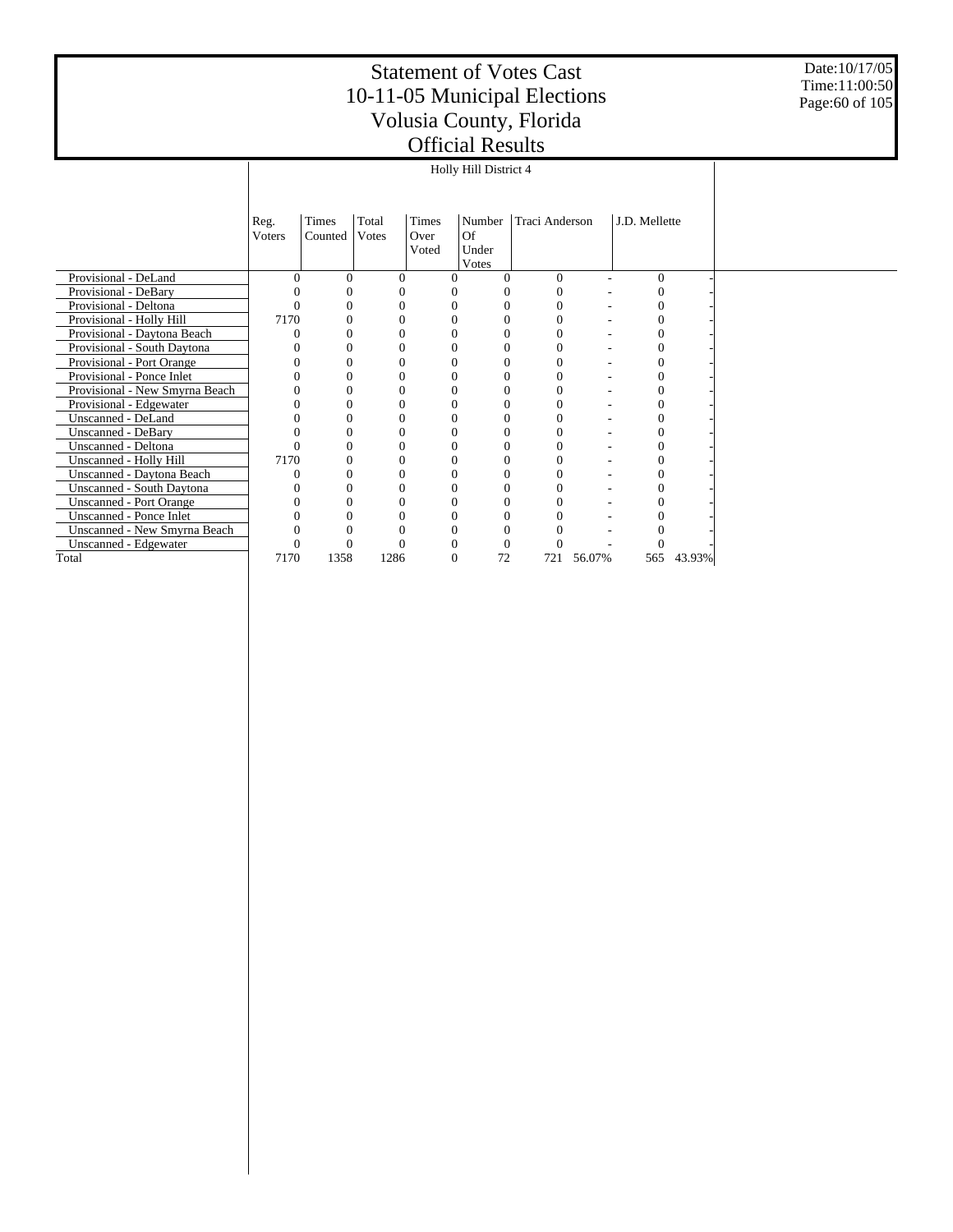Date:10/17/05 Time:11:00:50 Page:60 of 105

|                                |          | Holly Hill District 4 |              |          |                |                |        |               |        |  |  |  |  |
|--------------------------------|----------|-----------------------|--------------|----------|----------------|----------------|--------|---------------|--------|--|--|--|--|
|                                |          |                       |              |          |                |                |        |               |        |  |  |  |  |
|                                | Reg.     | Times                 | Total        | Times    | Number         | Traci Anderson |        | J.D. Mellette |        |  |  |  |  |
|                                | Voters   | Counted               | Votes        | Over     | Of             |                |        |               |        |  |  |  |  |
|                                |          |                       |              | Voted    | Under<br>Votes |                |        |               |        |  |  |  |  |
| Provisional - DeLand           | $\Omega$ | $\theta$              | $\Omega$     | $\Omega$ |                | $\Omega$       |        | $\theta$      |        |  |  |  |  |
| Provisional - DeBary           |          |                       | 0            |          |                | $\Omega$       |        |               |        |  |  |  |  |
| Provisional - Deltona          |          | 0                     | $\Omega$     | 0        | 0              | $\Omega$       |        |               |        |  |  |  |  |
| Provisional - Holly Hill       | 7170     | 0                     | $\theta$     |          |                | $\Omega$       |        |               |        |  |  |  |  |
| Provisional - Daytona Beach    |          |                       | $\Omega$     |          |                | $\Omega$       |        |               |        |  |  |  |  |
| Provisional - South Daytona    |          | 0                     | $\Omega$     |          |                | $\Omega$       |        |               |        |  |  |  |  |
| Provisional - Port Orange      |          | $\theta$              | $\Omega$     | 0        |                | $\Omega$       |        |               |        |  |  |  |  |
| Provisional - Ponce Inlet      |          | 0                     | $\Omega$     | 0        |                | $\Omega$       |        |               |        |  |  |  |  |
| Provisional - New Smyrna Beach |          | 0                     | $\Omega$     | 0        |                | $\theta$       |        |               |        |  |  |  |  |
| Provisional - Edgewater        |          | 0                     | $\Omega$     | 0        |                | $\Omega$       |        |               |        |  |  |  |  |
| Unscanned - DeLand             |          |                       | $\Omega$     |          |                |                |        |               |        |  |  |  |  |
| Unscanned - DeBary             |          |                       | $\Omega$     |          |                |                |        |               |        |  |  |  |  |
| Unscanned - Deltona            |          | 0                     | $\Omega$     |          |                | $\Omega$       |        |               |        |  |  |  |  |
| Unscanned - Holly Hill         | 7170     | 0                     | $\mathbf{0}$ |          |                | $\Omega$       |        |               |        |  |  |  |  |
| Unscanned - Daytona Beach      |          | 0                     | $\Omega$     | 0        |                | $\Omega$       |        |               |        |  |  |  |  |
| Unscanned - South Daytona      |          |                       | $\Omega$     |          |                | $\theta$       |        |               |        |  |  |  |  |
| <b>Unscanned - Port Orange</b> |          | 0                     | $\Omega$     |          |                | $\Omega$       |        |               |        |  |  |  |  |
| Unscanned - Ponce Inlet        |          |                       | $\Omega$     |          |                |                |        |               |        |  |  |  |  |
| Unscanned - New Smyrna Beach   |          |                       | 0            |          |                |                |        |               |        |  |  |  |  |
| Unscanned - Edgewater          |          |                       | $\Omega$     |          |                |                |        |               |        |  |  |  |  |
| Total                          | 7170     | 1358                  | 1286         | $\Omega$ | 72             | 721            | 56.07% | 565           | 43.93% |  |  |  |  |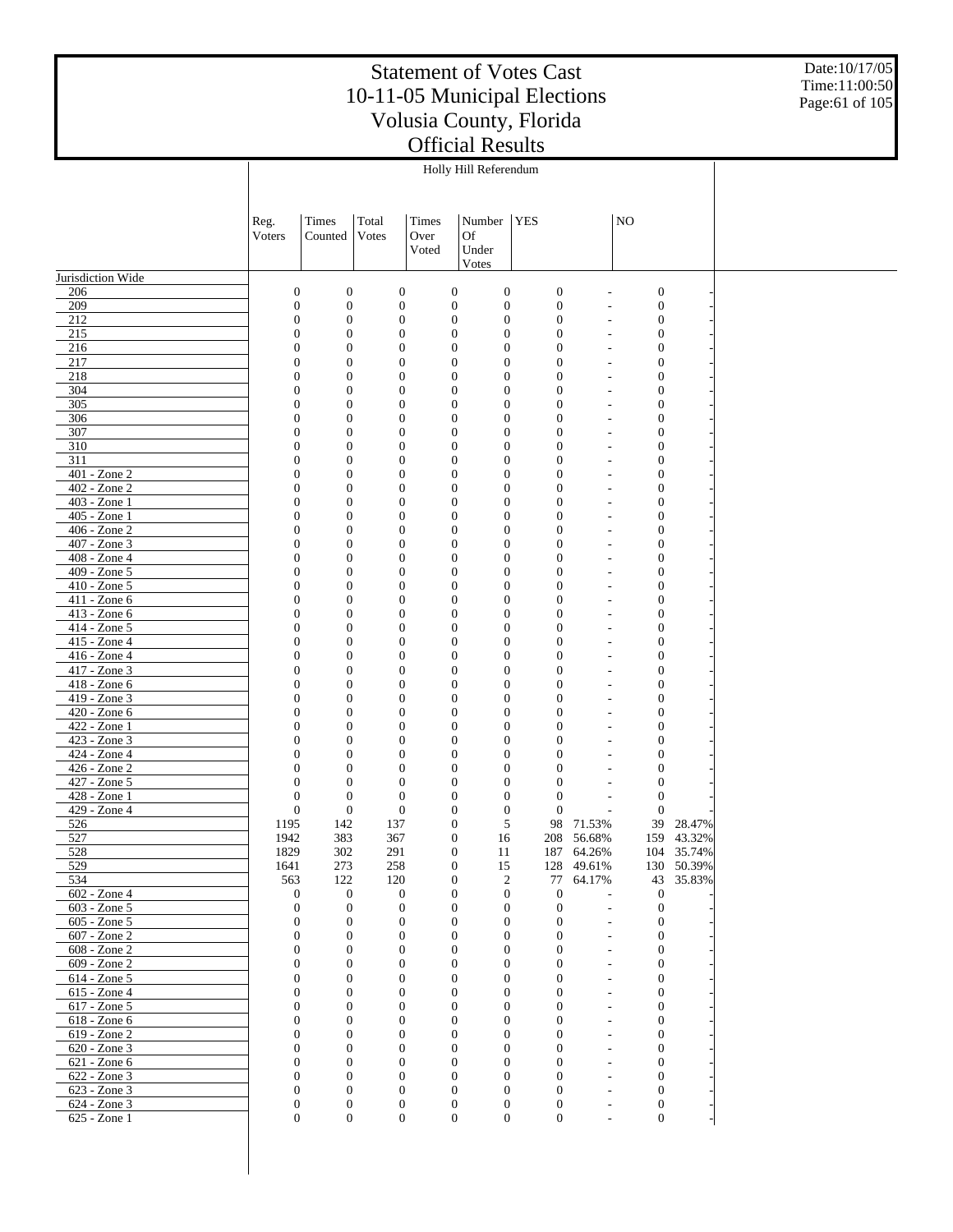Date:10/17/05 Time:11:00:50 Page:61 of 105

|                                 |                                    |                                      |                                      |                                      | Holly Hill Referendum              |                                  |                                |                                      |            |  |
|---------------------------------|------------------------------------|--------------------------------------|--------------------------------------|--------------------------------------|------------------------------------|----------------------------------|--------------------------------|--------------------------------------|------------|--|
|                                 |                                    |                                      |                                      |                                      |                                    |                                  |                                |                                      |            |  |
|                                 |                                    |                                      |                                      |                                      |                                    |                                  |                                |                                      |            |  |
|                                 | Reg.                               | Times                                | Total                                | Times                                | Number                             | <b>YES</b>                       |                                | NO <sub>1</sub>                      |            |  |
|                                 | Voters                             | Counted                              | Votes                                | Over                                 | <b>Of</b>                          |                                  |                                |                                      |            |  |
|                                 |                                    |                                      |                                      | Voted                                | Under                              |                                  |                                |                                      |            |  |
| Jurisdiction Wide               |                                    |                                      |                                      |                                      | Votes                              |                                  |                                |                                      |            |  |
| 206                             | $\boldsymbol{0}$                   | $\boldsymbol{0}$                     | $\boldsymbol{0}$                     | $\boldsymbol{0}$                     | $\boldsymbol{0}$                   | $\boldsymbol{0}$                 |                                | $\boldsymbol{0}$                     |            |  |
| 209                             | $\boldsymbol{0}$                   | $\boldsymbol{0}$                     | $\boldsymbol{0}$                     | $\boldsymbol{0}$                     | $\boldsymbol{0}$                   | $\boldsymbol{0}$                 | $\overline{\phantom{m}}$       | $\boldsymbol{0}$                     |            |  |
| 212                             | $\boldsymbol{0}$                   | $\boldsymbol{0}$                     | $\boldsymbol{0}$                     | $\boldsymbol{0}$                     | $\boldsymbol{0}$                   | $\boldsymbol{0}$                 |                                | $\boldsymbol{0}$                     |            |  |
| 215                             | $\overline{0}$                     | $\boldsymbol{0}$                     | $\boldsymbol{0}$                     | $\boldsymbol{0}$                     | $\mathbf{0}$                       | $\overline{0}$                   | ٠                              | $\boldsymbol{0}$                     |            |  |
| 216                             | $\boldsymbol{0}$                   | $\boldsymbol{0}$                     | $\boldsymbol{0}$                     | $\boldsymbol{0}$                     | $\mathbf{0}$                       | $\overline{0}$                   |                                | $\boldsymbol{0}$                     |            |  |
| 217                             | $\overline{0}$                     | $\boldsymbol{0}$                     | $\boldsymbol{0}$                     | $\boldsymbol{0}$                     | $\mathbf{0}$                       | $\overline{0}$                   | ٠                              | $\boldsymbol{0}$                     |            |  |
| 218                             | $\boldsymbol{0}$                   | $\boldsymbol{0}$                     | $\boldsymbol{0}$                     | $\boldsymbol{0}$                     | $\boldsymbol{0}$                   | $\overline{0}$                   | ٠                              | $\boldsymbol{0}$                     |            |  |
| 304                             | $\overline{0}$                     | $\boldsymbol{0}$                     | $\boldsymbol{0}$                     | $\boldsymbol{0}$                     | $\mathbf{0}$                       | $\overline{0}$                   | ٠                              | $\boldsymbol{0}$                     |            |  |
| 305                             | $\boldsymbol{0}$                   | $\boldsymbol{0}$                     | $\boldsymbol{0}$                     | $\boldsymbol{0}$                     | $\mathbf{0}$                       | $\overline{0}$                   |                                | $\boldsymbol{0}$                     |            |  |
| 306                             | $\overline{0}$                     | $\boldsymbol{0}$                     | $\boldsymbol{0}$                     | $\boldsymbol{0}$                     | $\mathbf{0}$                       | $\overline{0}$                   | ٠                              | $\boldsymbol{0}$                     |            |  |
| 307                             | $\boldsymbol{0}$                   | $\boldsymbol{0}$                     | $\mathbf{0}$                         | $\boldsymbol{0}$                     | $\mathbf{0}$                       | $\overline{0}$                   |                                | $\boldsymbol{0}$                     |            |  |
| 310                             | $\overline{0}$                     | $\boldsymbol{0}$                     | $\boldsymbol{0}$                     | $\boldsymbol{0}$                     | $\mathbf{0}$                       | $\overline{0}$                   | ٠                              | $\boldsymbol{0}$                     |            |  |
| 311                             | $\boldsymbol{0}$                   | $\boldsymbol{0}$                     | $\mathbf{0}$                         | $\boldsymbol{0}$                     | $\mathbf{0}$                       | $\overline{0}$                   |                                | $\boldsymbol{0}$                     |            |  |
| 401 - Zone 2                    | $\overline{0}$                     | $\boldsymbol{0}$                     | $\boldsymbol{0}$                     | $\boldsymbol{0}$                     | $\mathbf{0}$                       | $\overline{0}$                   | ٠                              | $\boldsymbol{0}$                     |            |  |
| 402 - Zone 2                    | $\boldsymbol{0}$                   | $\boldsymbol{0}$                     | $\mathbf{0}$                         | $\boldsymbol{0}$                     | $\mathbf{0}$                       | $\overline{0}$                   |                                | $\boldsymbol{0}$                     |            |  |
| 403 - Zone 1                    | $\overline{0}$                     | $\boldsymbol{0}$                     | $\boldsymbol{0}$                     | $\boldsymbol{0}$                     | $\mathbf{0}$                       | $\overline{0}$                   |                                | $\boldsymbol{0}$                     |            |  |
| 405 - Zone 1                    | $\boldsymbol{0}$                   | $\boldsymbol{0}$                     | $\boldsymbol{0}$                     | $\boldsymbol{0}$                     | $\mathbf{0}$                       | $\overline{0}$                   |                                | $\boldsymbol{0}$                     |            |  |
| 406 - Zone 2                    | $\overline{0}$                     | $\boldsymbol{0}$                     | $\boldsymbol{0}$                     | $\boldsymbol{0}$                     | $\mathbf{0}$                       | $\overline{0}$                   | ٠                              | $\boldsymbol{0}$                     |            |  |
| 407 - Zone 3                    | $\boldsymbol{0}$                   | $\boldsymbol{0}$                     | $\boldsymbol{0}$                     | $\boldsymbol{0}$                     | $\mathbf{0}$                       | $\overline{0}$                   |                                | $\boldsymbol{0}$                     |            |  |
| 408 - Zone 4                    | $\overline{0}$                     | $\boldsymbol{0}$                     | $\boldsymbol{0}$                     | $\boldsymbol{0}$                     | $\mathbf{0}$                       | $\overline{0}$                   | ٠                              | $\boldsymbol{0}$                     |            |  |
| 409 - Zone 5<br>$410 - Z$ one 5 | $\boldsymbol{0}$<br>$\overline{0}$ | $\boldsymbol{0}$<br>$\boldsymbol{0}$ | $\boldsymbol{0}$                     | $\boldsymbol{0}$<br>$\boldsymbol{0}$ | $\mathbf{0}$<br>$\mathbf{0}$       | $\overline{0}$<br>$\overline{0}$ |                                | $\boldsymbol{0}$                     |            |  |
| 411 - Zone 6                    | $\boldsymbol{0}$                   | $\boldsymbol{0}$                     | $\boldsymbol{0}$<br>$\boldsymbol{0}$ | $\boldsymbol{0}$                     | $\boldsymbol{0}$                   | $\overline{0}$                   | ٠<br>٠                         | $\boldsymbol{0}$<br>$\boldsymbol{0}$ |            |  |
| 413 - Zone 6                    | $\overline{0}$                     | $\boldsymbol{0}$                     | $\boldsymbol{0}$                     | $\boldsymbol{0}$                     | $\mathbf{0}$                       | $\overline{0}$                   | ٠                              | $\boldsymbol{0}$                     |            |  |
| 414 - Zone 5                    | $\boldsymbol{0}$                   | $\boldsymbol{0}$                     | $\boldsymbol{0}$                     | $\boldsymbol{0}$                     | $\mathbf{0}$                       | $\overline{0}$                   | ٠                              | $\boldsymbol{0}$                     |            |  |
| 415 - Zone 4                    | $\overline{0}$                     | $\boldsymbol{0}$                     | $\boldsymbol{0}$                     | $\boldsymbol{0}$                     | $\mathbf{0}$                       | $\overline{0}$                   | ٠                              | $\boldsymbol{0}$                     |            |  |
| 416 - Zone 4                    | $\boldsymbol{0}$                   | $\boldsymbol{0}$                     | $\mathbf{0}$                         | $\boldsymbol{0}$                     | $\mathbf{0}$                       | $\overline{0}$                   |                                | $\boldsymbol{0}$                     |            |  |
| 417 - Zone 3                    | $\overline{0}$                     | $\boldsymbol{0}$                     | $\boldsymbol{0}$                     | $\boldsymbol{0}$                     | $\mathbf{0}$                       | $\overline{0}$                   | ٠                              | $\boldsymbol{0}$                     |            |  |
| 418 - Zone 6                    | $\boldsymbol{0}$                   | $\boldsymbol{0}$                     | $\mathbf{0}$                         | $\boldsymbol{0}$                     | $\mathbf{0}$                       | $\overline{0}$                   |                                | $\boldsymbol{0}$                     |            |  |
| 419 - Zone 3                    | $\overline{0}$                     | $\boldsymbol{0}$                     | $\boldsymbol{0}$                     | $\boldsymbol{0}$                     | $\mathbf{0}$                       | $\overline{0}$                   | ٠                              | $\boldsymbol{0}$                     |            |  |
| 420 - Zone 6                    | $\boldsymbol{0}$                   | $\boldsymbol{0}$                     | $\boldsymbol{0}$                     | $\boldsymbol{0}$                     | $\mathbf{0}$                       | $\overline{0}$                   |                                | $\boldsymbol{0}$                     |            |  |
| 422 - Zone 1                    | $\overline{0}$                     | $\boldsymbol{0}$                     | $\boldsymbol{0}$                     | $\boldsymbol{0}$                     | $\mathbf{0}$                       | $\overline{0}$                   |                                | $\boldsymbol{0}$                     |            |  |
| 423 - Zone 3                    | $\boldsymbol{0}$                   | $\boldsymbol{0}$                     | $\boldsymbol{0}$                     | $\boldsymbol{0}$                     | $\mathbf{0}$                       | $\overline{0}$                   |                                | $\boldsymbol{0}$                     |            |  |
| 424 - Zone 4                    | $\overline{0}$                     | $\boldsymbol{0}$                     | $\boldsymbol{0}$                     | $\boldsymbol{0}$                     | $\mathbf{0}$                       | $\overline{0}$                   | ٠                              | $\boldsymbol{0}$                     |            |  |
| 426 - Zone 2                    | $\boldsymbol{0}$                   | $\boldsymbol{0}$                     | $\mathbf{0}$                         | $\boldsymbol{0}$                     | $\mathbf{0}$                       | $\overline{0}$                   |                                | $\boldsymbol{0}$                     |            |  |
| 427 - Zone 5                    | $\overline{0}$                     | $\boldsymbol{0}$                     | $\boldsymbol{0}$                     | $\boldsymbol{0}$                     | $\mathbf{0}$                       | $\overline{0}$                   |                                | $\boldsymbol{0}$                     |            |  |
| 428 - Zone 1                    | $\boldsymbol{0}$                   | $\boldsymbol{0}$                     | $\boldsymbol{0}$                     | $\boldsymbol{0}$                     | $\boldsymbol{0}$                   | $\overline{0}$                   | ٠                              | $\boldsymbol{0}$                     |            |  |
| 429 - Zone 4                    | $\boldsymbol{0}$                   | $\boldsymbol{0}$                     | $\mathbf{0}$                         | $\boldsymbol{0}$                     | $\boldsymbol{0}$                   | $\mathbf{0}$                     | $\overline{a}$                 | $\overline{0}$                       |            |  |
| 526                             | 1195                               | 142                                  | 137                                  | $\boldsymbol{0}$                     | 5                                  | 98                               | 71.53%                         | 39                                   | 28.47%     |  |
| 527                             | 1942                               | 383                                  | 367                                  | $\boldsymbol{0}$                     | 16                                 | 208                              | 56.68%                         | 159                                  | 43.32%     |  |
| 528                             | 1829                               | 302                                  | 291                                  | $\overline{0}$                       | 11                                 |                                  | 187 64.26%                     |                                      | 104 35.74% |  |
| 529                             | 1641                               | 273                                  | 258                                  | $\boldsymbol{0}$                     | 15                                 | 128                              | 49.61%                         |                                      | 130 50.39% |  |
| 534<br>602 - Zone 4             | 563                                | 122<br>$\mathbf{0}$                  | 120<br>$\mathbf{0}$                  | $\boldsymbol{0}$<br>$\mathbf{0}$     | $\overline{2}$<br>$\boldsymbol{0}$ | $77\,$<br>$\boldsymbol{0}$       | 64.17%                         | 43<br>$\boldsymbol{0}$               | 35.83%     |  |
| $603 - Z$ one 5                 | $\boldsymbol{0}$<br>$\mathbf{0}$   | $\mathbf{0}$                         | $\boldsymbol{0}$                     | $\boldsymbol{0}$                     | $\boldsymbol{0}$                   | $\mathbf{0}$                     | $\overline{\phantom{a}}$<br>÷, | $\boldsymbol{0}$                     |            |  |
| 605 - Zone 5                    | $\mathbf{0}$                       | $\mathbf{0}$                         | $\mathbf{0}$                         | $\mathbf{0}$                         | $\mathbf{0}$                       | $\overline{0}$                   | $\overline{a}$                 | $\boldsymbol{0}$                     |            |  |
| 607 - Zone 2                    | $\mathbf{0}$                       | $\boldsymbol{0}$                     | $\mathbf{0}$                         | $\mathbf{0}$                         | $\boldsymbol{0}$                   | $\overline{0}$                   |                                | $\boldsymbol{0}$                     |            |  |
| 608 - Zone 2                    | $\Omega$                           | $\mathbf{0}$                         | $\mathbf{0}$                         | $\Omega$                             | $\mathbf{0}$                       | $\Omega$                         | $\overline{\phantom{m}}$       | $\boldsymbol{0}$                     |            |  |
| $609 - Zone2$                   | $\mathbf{0}$                       | $\mathbf{0}$                         | $\mathbf{0}$                         | $\boldsymbol{0}$                     | $\boldsymbol{0}$                   | $\mathbf{0}$                     | ٠                              | $\boldsymbol{0}$                     |            |  |
| 614 - Zone 5                    | $\Omega$                           | $\boldsymbol{0}$                     | $\theta$                             | $\mathbf{0}$                         | $\overline{0}$                     | $\Omega$                         | ٠                              | $\boldsymbol{0}$                     |            |  |
| 615 - Zone 4                    | $\mathbf{0}$                       | $\boldsymbol{0}$                     | $\mathbf{0}$                         | $\boldsymbol{0}$                     | $\boldsymbol{0}$                   | $\overline{0}$                   |                                | $\boldsymbol{0}$                     |            |  |
| 617 - Zone 5                    | $\Omega$                           | $\boldsymbol{0}$                     | $\mathbf{0}$                         | $\mathbf{0}$                         | $\overline{0}$                     | $\Omega$                         | ٠                              | $\boldsymbol{0}$                     |            |  |
| 618 - Zone 6                    | $\mathbf{0}$                       | $\boldsymbol{0}$                     | $\boldsymbol{0}$                     | $\boldsymbol{0}$                     | $\boldsymbol{0}$                   | $\overline{0}$                   | ٠                              | $\boldsymbol{0}$                     |            |  |
| 619 - Zone 2                    | $\Omega$                           | $\boldsymbol{0}$                     | $\mathbf{0}$                         | $\mathbf{0}$                         | $\overline{0}$                     | $\Omega$                         | ٠                              | $\boldsymbol{0}$                     |            |  |
| $620 - Z$ one 3                 | $\mathbf{0}$                       | $\boldsymbol{0}$                     | $\mathbf{0}$                         | $\boldsymbol{0}$                     | $\boldsymbol{0}$                   | $\overline{0}$                   | $\overline{\phantom{a}}$       | $\boldsymbol{0}$                     |            |  |
| 621 - Zone 6                    | $\Omega$                           | $\mathbf{0}$                         | $\mathbf{0}$                         | $\mathbf{0}$                         | $\overline{0}$                     | $\Omega$                         | ٠                              | $\boldsymbol{0}$                     |            |  |
| 622 - Zone 3                    | $\mathbf{0}$                       | $\boldsymbol{0}$                     | $\mathbf{0}$                         | $\boldsymbol{0}$                     | $\boldsymbol{0}$                   | $\overline{0}$                   | $\overline{\phantom{a}}$       | $\boldsymbol{0}$                     |            |  |
| 623 - Zone 3                    | $\Omega$                           | $\mathbf{0}$                         | $\mathbf{0}$                         | $\mathbf{0}$                         | $\overline{0}$                     | $\theta$                         | ٠                              | $\boldsymbol{0}$                     |            |  |
| 624 - Zone 3                    | $\boldsymbol{0}$                   | $\boldsymbol{0}$                     | $\boldsymbol{0}$                     | $\boldsymbol{0}$                     | $\boldsymbol{0}$                   | $\boldsymbol{0}$                 | ٠                              | $\boldsymbol{0}$                     |            |  |
| 625 - Zone 1                    | $\mathbf{0}$                       | $\boldsymbol{0}$                     | $\mathbf{0}$                         | $\mathbf{0}$                         | $\boldsymbol{0}$                   | $\overline{0}$                   | $\overline{\phantom{a}}$       | $\boldsymbol{0}$                     |            |  |
|                                 |                                    |                                      |                                      |                                      |                                    |                                  |                                |                                      |            |  |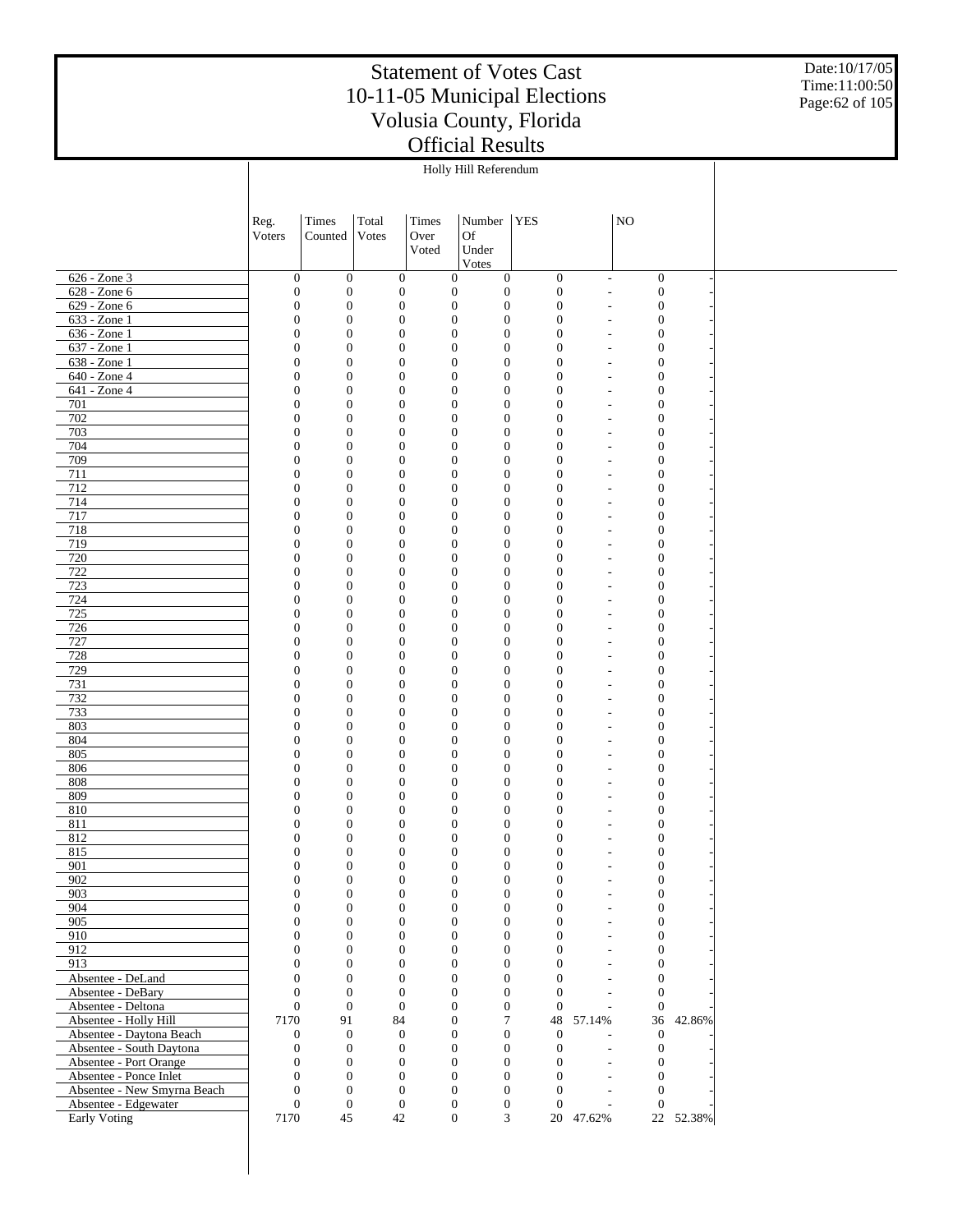Date:10/17/05 Time:11:00:50 Page:62 of 105

|                                         |                                  |                                      |                              |       | Holly Hill Referendum                                                        |                                  |                                                          |                                  |           |  |
|-----------------------------------------|----------------------------------|--------------------------------------|------------------------------|-------|------------------------------------------------------------------------------|----------------------------------|----------------------------------------------------------|----------------------------------|-----------|--|
|                                         |                                  |                                      |                              |       |                                                                              |                                  |                                                          |                                  |           |  |
|                                         | Reg.                             | Times                                | Total                        | Times | Number   YES                                                                 |                                  |                                                          | NO                               |           |  |
|                                         | Voters                           | Counted                              | Votes                        | Over  | <b>Of</b>                                                                    |                                  |                                                          |                                  |           |  |
|                                         |                                  |                                      |                              | Voted | Under                                                                        |                                  |                                                          |                                  |           |  |
|                                         |                                  |                                      |                              |       | Votes                                                                        |                                  |                                                          |                                  |           |  |
| 626 - Zone 3                            | $\boldsymbol{0}$                 | $\mathbf{0}$                         | $\mathbf{0}$                 |       | $\boldsymbol{0}$<br>$\boldsymbol{0}$                                         | $\mathbf{0}$                     | $\overline{\phantom{a}}$                                 | $\boldsymbol{0}$                 |           |  |
| 628 - Zone 6                            | $\boldsymbol{0}$                 | $\boldsymbol{0}$                     | $\boldsymbol{0}$             |       | $\boldsymbol{0}$<br>$\boldsymbol{0}$                                         | $\boldsymbol{0}$                 | ÷,                                                       | $\boldsymbol{0}$                 |           |  |
| 629 - Zone 6                            | $\boldsymbol{0}$                 | $\boldsymbol{0}$                     | $\mathbf{0}$                 |       | $\boldsymbol{0}$<br>$\boldsymbol{0}$                                         | $\mathbf{0}$                     | $\overline{a}$                                           | $\mathbf{0}$                     |           |  |
| 633 - Zone 1                            | $\boldsymbol{0}$                 | $\boldsymbol{0}$                     | $\mathbf{0}$                 |       | $\boldsymbol{0}$<br>$\boldsymbol{0}$                                         | $\boldsymbol{0}$                 | $\qquad \qquad \blacksquare$                             | $\mathbf{0}$                     |           |  |
| $636 - Zone1$<br>637 - Zone 1           | $\boldsymbol{0}$<br>$\mathbf{0}$ | $\boldsymbol{0}$<br>$\boldsymbol{0}$ | $\mathbf{0}$<br>$\mathbf{0}$ |       | $\boldsymbol{0}$<br>$\boldsymbol{0}$<br>$\boldsymbol{0}$<br>$\boldsymbol{0}$ | $\overline{0}$<br>$\overline{0}$ | $\overline{a}$                                           | $\mathbf{0}$                     |           |  |
| 638 - Zone 1                            | $\boldsymbol{0}$                 | $\boldsymbol{0}$                     | $\mathbf{0}$                 |       | $\boldsymbol{0}$<br>$\boldsymbol{0}$                                         | $\overline{0}$                   | $\overline{\phantom{a}}$<br>$\overline{a}$               | $\mathbf{0}$<br>$\mathbf{0}$     |           |  |
| 640 - Zone 4                            | $\mathbf{0}$                     | $\boldsymbol{0}$                     | $\mathbf{0}$                 |       | $\boldsymbol{0}$<br>$\boldsymbol{0}$                                         | $\overline{0}$                   | $\qquad \qquad \blacksquare$                             | $\mathbf{0}$                     |           |  |
| 641 - Zone 4                            | $\boldsymbol{0}$                 | $\boldsymbol{0}$                     | $\mathbf{0}$                 |       | $\boldsymbol{0}$<br>$\boldsymbol{0}$                                         | $\overline{0}$                   | $\overline{a}$                                           | $\mathbf{0}$                     |           |  |
| 701                                     | $\mathbf{0}$                     | $\boldsymbol{0}$                     | $\mathbf{0}$                 |       | $\boldsymbol{0}$<br>$\boldsymbol{0}$                                         | $\mathbf{0}$                     | $\qquad \qquad \blacksquare$                             | $\mathbf{0}$                     |           |  |
| 702                                     | $\boldsymbol{0}$                 | $\boldsymbol{0}$                     | $\mathbf{0}$                 |       | $\boldsymbol{0}$<br>$\mathbf{0}$                                             | $\mathbf{0}$                     | $\overline{a}$                                           | $\mathbf{0}$                     |           |  |
| 703                                     | $\mathbf{0}$                     | $\boldsymbol{0}$                     | $\mathbf{0}$                 |       | $\boldsymbol{0}$<br>$\boldsymbol{0}$                                         | $\mathbf{0}$                     | $\qquad \qquad \blacksquare$                             | $\mathbf{0}$                     |           |  |
| 704                                     | $\boldsymbol{0}$                 | $\boldsymbol{0}$                     | $\mathbf{0}$                 |       | $\boldsymbol{0}$<br>$\boldsymbol{0}$                                         | $\mathbf{0}$                     | $\overline{a}$                                           | $\mathbf{0}$                     |           |  |
| 709<br>711                              | $\mathbf{0}$<br>$\boldsymbol{0}$ | $\boldsymbol{0}$<br>$\boldsymbol{0}$ | $\mathbf{0}$<br>$\mathbf{0}$ |       | $\boldsymbol{0}$<br>$\boldsymbol{0}$<br>$\boldsymbol{0}$<br>$\mathbf{0}$     | $\mathbf{0}$<br>$\mathbf{0}$     | $\overline{\phantom{a}}$                                 | $\mathbf{0}$<br>$\mathbf{0}$     |           |  |
| 712                                     | $\boldsymbol{0}$                 | $\boldsymbol{0}$                     | $\mathbf{0}$                 |       | $\boldsymbol{0}$<br>$\boldsymbol{0}$                                         | $\mathbf{0}$                     | $\overline{\phantom{m}}$<br>$\qquad \qquad \blacksquare$ | $\mathbf{0}$                     |           |  |
| 714                                     | $\boldsymbol{0}$                 | $\boldsymbol{0}$                     | $\mathbf{0}$                 |       | $\boldsymbol{0}$<br>$\boldsymbol{0}$                                         | $\mathbf{0}$                     | $\overline{\phantom{m}}$                                 | $\mathbf{0}$                     |           |  |
| 717                                     | $\mathbf{0}$                     | $\boldsymbol{0}$                     | $\mathbf{0}$                 |       | $\boldsymbol{0}$<br>$\boldsymbol{0}$                                         | $\mathbf{0}$                     | $\overline{\phantom{a}}$                                 | $\mathbf{0}$                     |           |  |
| 718                                     | $\boldsymbol{0}$                 | $\boldsymbol{0}$                     | $\mathbf{0}$                 |       | $\boldsymbol{0}$<br>$\boldsymbol{0}$                                         | $\mathbf{0}$                     | $\overline{\phantom{m}}$                                 | $\mathbf{0}$                     |           |  |
| 719                                     | $\boldsymbol{0}$                 | $\boldsymbol{0}$                     | $\mathbf{0}$                 |       | $\boldsymbol{0}$<br>$\boldsymbol{0}$                                         | $\mathbf{0}$                     | $\overline{\phantom{a}}$                                 | $\mathbf{0}$                     |           |  |
| 720                                     | $\boldsymbol{0}$                 | $\boldsymbol{0}$                     | $\mathbf{0}$                 |       | $\boldsymbol{0}$<br>$\boldsymbol{0}$                                         | $\mathbf{0}$                     | $\overline{\phantom{m}}$                                 | $\mathbf{0}$                     |           |  |
| 722                                     | $\mathbf{0}$                     | $\boldsymbol{0}$                     | $\mathbf{0}$                 |       | $\boldsymbol{0}$<br>$\boldsymbol{0}$                                         | $\mathbf{0}$                     | $\overline{\phantom{a}}$                                 | $\mathbf{0}$                     |           |  |
| 723                                     | $\boldsymbol{0}$                 | $\boldsymbol{0}$                     | $\mathbf{0}$                 |       | $\boldsymbol{0}$<br>$\mathbf{0}$                                             | $\mathbf{0}$                     | $\overline{\phantom{m}}$                                 | $\mathbf{0}$                     |           |  |
| 724<br>725                              | $\mathbf{0}$<br>$\boldsymbol{0}$ | $\boldsymbol{0}$<br>$\boldsymbol{0}$ | $\mathbf{0}$<br>$\mathbf{0}$ |       | $\boldsymbol{0}$<br>$\boldsymbol{0}$<br>$\boldsymbol{0}$<br>$\boldsymbol{0}$ | $\mathbf{0}$<br>$\mathbf{0}$     | $\overline{\phantom{a}}$<br>$\overline{\phantom{m}}$     | $\mathbf{0}$<br>$\mathbf{0}$     |           |  |
| 726                                     | $\mathbf{0}$                     | $\boldsymbol{0}$                     | $\mathbf{0}$                 |       | $\boldsymbol{0}$<br>$\boldsymbol{0}$                                         | $\overline{0}$                   | $\overline{\phantom{a}}$                                 | $\mathbf{0}$                     |           |  |
| 727                                     | $\boldsymbol{0}$                 | $\boldsymbol{0}$                     | $\mathbf{0}$                 |       | $\boldsymbol{0}$<br>$\mathbf{0}$                                             | $\overline{0}$                   | $\overline{a}$                                           | $\mathbf{0}$                     |           |  |
| 728                                     | $\mathbf{0}$                     | $\boldsymbol{0}$                     | $\mathbf{0}$                 |       | $\boldsymbol{0}$<br>$\boldsymbol{0}$                                         | $\overline{0}$                   | $\qquad \qquad \blacksquare$                             | $\mathbf{0}$                     |           |  |
| 729                                     | $\boldsymbol{0}$                 | $\boldsymbol{0}$                     | $\mathbf{0}$                 |       | $\boldsymbol{0}$<br>$\boldsymbol{0}$                                         | $\overline{0}$                   | $\overline{a}$                                           | $\mathbf{0}$                     |           |  |
| 731                                     | $\mathbf{0}$                     | $\boldsymbol{0}$                     | $\mathbf{0}$                 |       | $\boldsymbol{0}$<br>$\boldsymbol{0}$                                         | $\overline{0}$                   | $\qquad \qquad \blacksquare$                             | $\mathbf{0}$                     |           |  |
| 732                                     | $\boldsymbol{0}$                 | $\boldsymbol{0}$                     | $\mathbf{0}$                 |       | $\boldsymbol{0}$<br>$\mathbf{0}$                                             | $\overline{0}$                   | $\overline{a}$                                           | $\mathbf{0}$                     |           |  |
| 733                                     | $\mathbf{0}$                     | $\boldsymbol{0}$                     | $\mathbf{0}$                 |       | $\boldsymbol{0}$<br>$\boldsymbol{0}$                                         | $\overline{0}$                   | $\qquad \qquad \blacksquare$                             | $\mathbf{0}$                     |           |  |
| 803<br>804                              | $\boldsymbol{0}$<br>$\mathbf{0}$ | $\boldsymbol{0}$<br>$\boldsymbol{0}$ | $\mathbf{0}$<br>$\mathbf{0}$ |       | $\boldsymbol{0}$<br>$\boldsymbol{0}$<br>$\boldsymbol{0}$<br>$\boldsymbol{0}$ | $\overline{0}$<br>$\overline{0}$ | $\overline{a}$<br>$\overline{\phantom{a}}$               | $\mathbf{0}$<br>$\mathbf{0}$     |           |  |
| 805                                     | $\boldsymbol{0}$                 | $\boldsymbol{0}$                     | $\mathbf{0}$                 |       | $\boldsymbol{0}$<br>$\mathbf{0}$                                             | $\overline{0}$                   | $\overline{a}$                                           | $\mathbf{0}$                     |           |  |
| 806                                     | $\mathbf{0}$                     | $\boldsymbol{0}$                     | $\mathbf{0}$                 |       | $\boldsymbol{0}$<br>$\boldsymbol{0}$                                         | $\overline{0}$                   | $\overline{\phantom{a}}$                                 | $\mathbf{0}$                     |           |  |
| 808                                     | $\boldsymbol{0}$                 | $\boldsymbol{0}$                     | $\mathbf{0}$                 |       | $\boldsymbol{0}$<br>$\boldsymbol{0}$                                         | $\overline{0}$                   | $\overline{a}$                                           | $\mathbf{0}$                     |           |  |
| 809                                     | $\mathbf{0}$                     | $\boldsymbol{0}$                     | $\mathbf{0}$                 |       | $\boldsymbol{0}$<br>$\boldsymbol{0}$                                         | $\overline{0}$                   | $\overline{\phantom{a}}$                                 | $\theta$                         |           |  |
| 810                                     | $\mathbf{0}$                     | $\boldsymbol{0}$                     | $\mathbf{0}$                 |       | $\boldsymbol{0}$<br>$\mathbf{0}$                                             | $\mathbf{0}$                     | $\overline{a}$                                           | $\overline{0}$                   |           |  |
| 811                                     | $\mathbf{0}$                     | $\boldsymbol{0}$                     | $\mathbf{0}$                 |       | $\boldsymbol{0}$<br>$\mathbf{0}$                                             | $\mathbf{0}$                     | $\overline{a}$                                           | $\mathbf{0}$                     |           |  |
| 812                                     | $\mathbf{0}$                     | $\boldsymbol{0}$                     | $\theta$                     |       | $\boldsymbol{0}$<br>$\overline{0}$                                           | $\mathbf{0}$                     |                                                          | $\theta$<br>$\Omega$             |           |  |
| 815<br>901                              | $\Omega$<br>$\boldsymbol{0}$     | $\mathbf{0}$<br>$\mathbf{0}$         | $\Omega$<br>$\mathbf{0}$     |       | $\mathbf{0}$<br>$\Omega$<br>$\boldsymbol{0}$<br>$\boldsymbol{0}$             | $\Omega$<br>$\mathbf{0}$         | $\overline{a}$                                           | $\boldsymbol{0}$                 |           |  |
| 902                                     | $\boldsymbol{0}$                 | $\boldsymbol{0}$                     | $\boldsymbol{0}$             |       | $\boldsymbol{0}$<br>$\boldsymbol{0}$                                         | $\mathbf{0}$                     | $\qquad \qquad \blacksquare$                             | $\boldsymbol{0}$                 |           |  |
| 903                                     | $\boldsymbol{0}$                 | $\boldsymbol{0}$                     | $\boldsymbol{0}$             |       | $\boldsymbol{0}$<br>$\boldsymbol{0}$                                         | $\boldsymbol{0}$                 | $\overline{a}$                                           | $\boldsymbol{0}$                 |           |  |
| 904                                     | $\overline{0}$                   | $\mathbf{0}$                         | $\mathbf{0}$                 |       | $\overline{0}$<br>$\mathbf{0}$                                               | $\theta$                         | $\overline{\phantom{a}}$                                 | $\boldsymbol{0}$                 |           |  |
| 905                                     | 0                                | $\boldsymbol{0}$                     | $\mathbf{0}$                 |       | $\boldsymbol{0}$<br>$\boldsymbol{0}$                                         | $\mathbf{0}$                     | $\overline{a}$                                           | $\boldsymbol{0}$                 |           |  |
| 910                                     | $\overline{0}$                   | $\mathbf{0}$                         | $\mathbf{0}$                 |       | $\overline{0}$<br>$\mathbf{0}$                                               | $\mathbf{0}$                     | $\overline{a}$                                           | $\boldsymbol{0}$                 |           |  |
| 912                                     | $\overline{0}$                   | $\mathbf{0}$                         | $\mathbf{0}$                 |       | $\boldsymbol{0}$<br>$\mathbf{0}$                                             | $\mathbf{0}$                     | $\overline{a}$                                           | $\boldsymbol{0}$                 |           |  |
| 913                                     | $\overline{0}$                   | $\mathbf{0}$                         | $\mathbf{0}$                 |       | $\overline{0}$<br>$\mathbf{0}$                                               | $\theta$                         | $\overline{a}$                                           | $\boldsymbol{0}$                 |           |  |
| Absentee - DeLand                       | $\overline{0}$<br>$\overline{0}$ | $\boldsymbol{0}$                     | $\mathbf{0}$                 |       | $\boldsymbol{0}$<br>$\boldsymbol{0}$<br>$\boldsymbol{0}$<br>$\mathbf{0}$     | $\mathbf{0}$<br>$\theta$         | $\overline{a}$                                           | $\boldsymbol{0}$<br>$\mathbf{0}$ |           |  |
| Absentee - DeBary<br>Absentee - Deltona | $\boldsymbol{0}$                 | $\mathbf{0}$<br>$\mathbf{0}$         | $\mathbf{0}$<br>$\mathbf{0}$ |       | $\boldsymbol{0}$<br>$\mathbf{0}$                                             | $\mathbf{0}$                     | $\overline{\phantom{a}}$<br>÷,                           | $\mathbf{0}$                     |           |  |
| Absentee - Holly Hill                   | 7170                             | 91                                   | 84                           |       | $\tau$<br>$\mathbf{0}$                                                       | 48                               | 57.14%                                                   | 36                               | 42.86%    |  |
| Absentee - Daytona Beach                | 0                                | $\mathbf{0}$                         | $\mathbf{0}$                 |       | $\boldsymbol{0}$<br>$\boldsymbol{0}$                                         | $\mathbf{0}$                     | ÷,                                                       | $\boldsymbol{0}$                 |           |  |
| Absentee - South Daytona                | $\boldsymbol{0}$                 | $\boldsymbol{0}$                     | $\mathbf{0}$                 |       | $\boldsymbol{0}$<br>$\mathbf{0}$                                             | $\mathbf{0}$                     | $\overline{a}$                                           | $\boldsymbol{0}$                 |           |  |
| Absentee - Port Orange                  | 0                                | $\boldsymbol{0}$                     | $\mathbf{0}$                 |       | $\boldsymbol{0}$<br>$\mathbf{0}$                                             | $\mathbf{0}$                     | $\overline{a}$                                           | $\boldsymbol{0}$                 |           |  |
| Absentee - Ponce Inlet                  | $\overline{0}$                   | $\mathbf{0}$                         | $\mathbf{0}$                 |       | $\overline{0}$<br>$\mathbf{0}$                                               | $\theta$                         | $\overline{\phantom{a}}$                                 | $\boldsymbol{0}$                 |           |  |
| Absentee - New Smyrna Beach             | $\overline{0}$                   | $\mathbf{0}$                         | $\mathbf{0}$                 |       | $\boldsymbol{0}$<br>$\boldsymbol{0}$                                         | $\theta$                         | $\overline{a}$                                           | $\boldsymbol{0}$                 |           |  |
| Absentee - Edgewater                    | $\overline{0}$                   | $\mathbf{0}$                         | $\mathbf{0}$                 |       | $\boldsymbol{0}$<br>$\boldsymbol{0}$                                         | $\theta$                         | $\overline{\phantom{a}}$                                 | $\mathbf{0}$                     |           |  |
| Early Voting                            | 7170                             | 45                                   | 42                           |       | 3<br>$\boldsymbol{0}$                                                        |                                  | 20 47.62%                                                |                                  | 22 52.38% |  |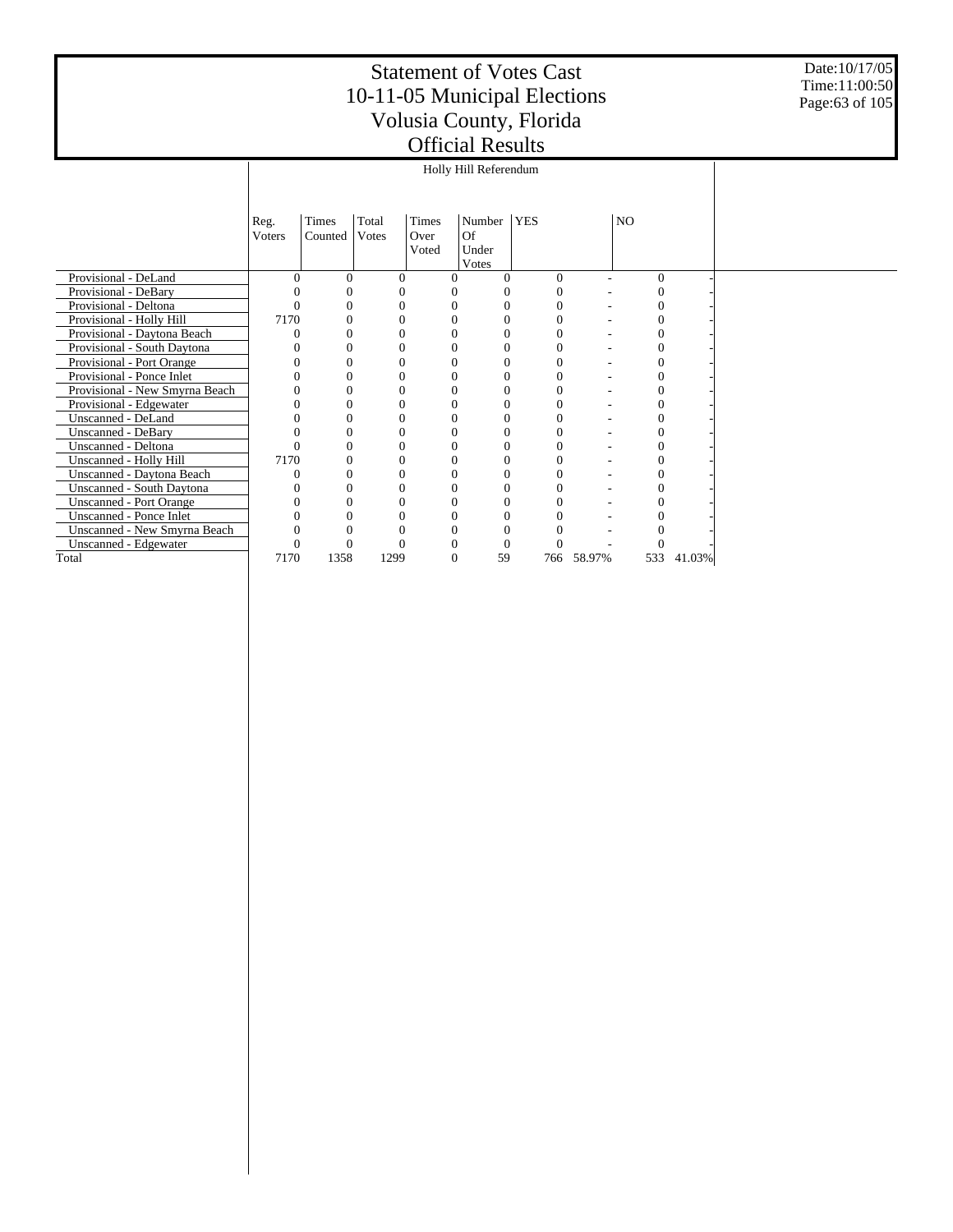Date:10/17/05 Time:11:00:50 Page:63 of 105

|                                | Reg.   | Times   | Total    | Times         | Number           | <b>YES</b> |            | NO       |        |  |
|--------------------------------|--------|---------|----------|---------------|------------------|------------|------------|----------|--------|--|
|                                | Voters | Counted | Votes    | Over<br>Voted | Of<br>Under      |            |            |          |        |  |
|                                |        |         |          |               | Votes            |            |            |          |        |  |
| Provisional - DeLand           |        | 0       | $\Omega$ | 0             |                  | $\Omega$   |            | $\Omega$ |        |  |
| Provisional - DeBary           |        |         | $\Omega$ | 0             |                  |            |            |          |        |  |
| Provisional - Deltona          |        |         |          | 0             | 0                |            |            |          |        |  |
| Provisional - Holly Hill       | 7170   | 0       | $\Omega$ | 0             | 0                |            |            |          |        |  |
| Provisional - Daytona Beach    |        |         | $\theta$ |               |                  |            |            |          |        |  |
| Provisional - South Daytona    |        |         |          | 0             | 0                |            |            |          |        |  |
| Provisional - Port Orange      |        | 0       | 0        | 0             | 0                |            |            |          |        |  |
| Provisional - Ponce Inlet      |        | 0       | 0        | 0             | 0                |            |            |          |        |  |
| Provisional - New Smyrna Beach |        | 0       | 0        | 0             | 0                |            |            |          |        |  |
| Provisional - Edgewater        |        | 0       |          |               | $\boldsymbol{0}$ |            |            |          |        |  |
| Unscanned - DeLand             |        | 0       | 0        | 0             | 0                |            |            |          |        |  |
| Unscanned - DeBary             |        |         | $\Omega$ | 0             | 0                |            |            |          |        |  |
| Unscanned - Deltona            |        |         | 0        | 0             | $\theta$         |            |            |          |        |  |
| Unscanned - Holly Hill         | 7170   | 0       | $\Omega$ | 0             | 0                |            |            |          |        |  |
| Unscanned - Daytona Beach      |        |         | 0        | 0             | 0                |            |            |          |        |  |
| Unscanned - South Daytona      |        | 0       | 0        | 0             | 0                |            |            |          |        |  |
| <b>Unscanned - Port Orange</b> |        |         | 0        |               |                  |            |            |          |        |  |
| Unscanned - Ponce Inlet        |        | U       | 0        | 0             | 0                |            |            |          |        |  |
| Unscanned - New Smyrna Beach   |        |         | 0        | 0             |                  |            |            |          |        |  |
| Unscanned - Edgewater          |        |         | 0        |               |                  |            |            |          |        |  |
| Total                          | 7170   | 1358    | 1299     | $\Omega$      | 59               |            | 766 58.97% | 533      | 41.03% |  |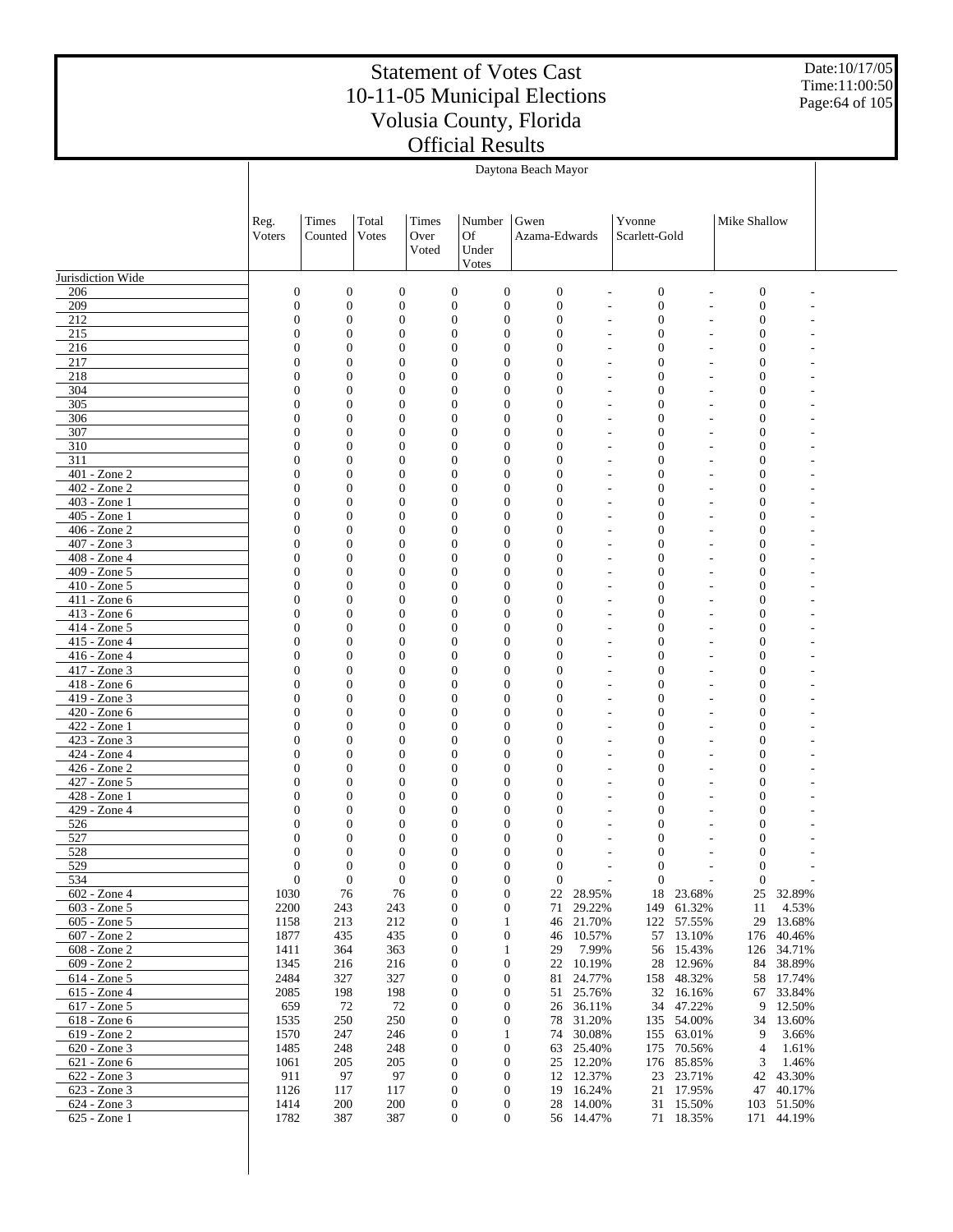Date:10/17/05 Time:11:00:50 Page:64 of 105

|                                 | Daytona Beach Mayor              |                              |                                  |                        |                                                                      |                                  |                                                      |                                      |                              |                                  |                     |  |
|---------------------------------|----------------------------------|------------------------------|----------------------------------|------------------------|----------------------------------------------------------------------|----------------------------------|------------------------------------------------------|--------------------------------------|------------------------------|----------------------------------|---------------------|--|
|                                 |                                  |                              |                                  |                        |                                                                      |                                  |                                                      |                                      |                              |                                  |                     |  |
|                                 | Reg.<br>Voters                   | Times<br>Counted             | Total<br>Votes                   | Times<br>Over<br>Voted | Number<br>Of<br>Under<br>Votes                                       | Gwen<br>Azama-Edwards            |                                                      | Yvonne<br>Scarlett-Gold              |                              | Mike Shallow                     |                     |  |
| Jurisdiction Wide               |                                  |                              |                                  |                        |                                                                      |                                  |                                                      |                                      |                              |                                  |                     |  |
| 206                             | $\mathbf{0}$                     | $\boldsymbol{0}$             | $\boldsymbol{0}$                 |                        | $\boldsymbol{0}$<br>$\mathbf{0}$                                     | $\mathbf{0}$                     | $\overline{a}$                                       | $\boldsymbol{0}$                     |                              | $\mathbf{0}$                     |                     |  |
| 209                             | $\mathbf{0}$                     | $\boldsymbol{0}$             | $\boldsymbol{0}$                 |                        | $\mathbf{0}$<br>$\boldsymbol{0}$                                     | $\boldsymbol{0}$                 | ÷,                                                   | $\boldsymbol{0}$                     | $\overline{a}$               | $\mathbf{0}$                     |                     |  |
| 212                             | $\overline{0}$                   | $\boldsymbol{0}$             | $\boldsymbol{0}$                 |                        | $\mathbf{0}$<br>$\boldsymbol{0}$                                     | $\mathbf{0}$                     | $\overline{\phantom{a}}$                             | $\boldsymbol{0}$                     |                              | $\boldsymbol{0}$                 |                     |  |
| 215<br>216                      | $\Omega$<br>$\boldsymbol{0}$     | $\mathbf{0}$<br>$\mathbf{0}$ | $\theta$<br>$\mathbf{0}$         |                        | $\overline{0}$<br>$\overline{0}$<br>$\overline{0}$<br>0              | $\mathbf{0}$<br>$\mathbf{0}$     | $\overline{\phantom{a}}$<br>٠                        | $\mathbf{0}$<br>$\boldsymbol{0}$     | L,                           | $\overline{0}$<br>$\overline{0}$ |                     |  |
| 217                             | $\Omega$                         | $\mathbf{0}$                 | $\theta$                         |                        | $\overline{0}$<br>0                                                  | $\mathbf{0}$                     | $\overline{\phantom{a}}$                             | $\boldsymbol{0}$                     | L,                           | $\overline{0}$                   |                     |  |
| 218                             | $\overline{0}$                   | $\mathbf{0}$                 | $\mathbf{0}$                     |                        | $\mathbf{0}$<br>0                                                    | $\mathbf{0}$                     | $\overline{\phantom{a}}$                             | $\boldsymbol{0}$                     |                              | $\overline{0}$                   |                     |  |
| 304                             | $\Omega$                         | $\mathbf{0}$                 | $\theta$                         |                        | $\overline{0}$<br>0                                                  | $\mathbf{0}$                     | $\overline{\phantom{a}}$                             | $\boldsymbol{0}$                     | ÷,                           | $\overline{0}$                   |                     |  |
| 305                             | $\overline{0}$                   | $\mathbf{0}$                 | $\mathbf{0}$                     |                        | $\overline{0}$<br>$\overline{0}$                                     | $\mathbf{0}$                     | $\overline{\phantom{a}}$                             | $\overline{0}$                       | ÷.                           | $\overline{0}$                   |                     |  |
| 306<br>307                      | $\Omega$<br>$\overline{0}$       | $\mathbf{0}$<br>$\mathbf{0}$ | $\theta$<br>$\mathbf{0}$         |                        | $\overline{0}$<br>0<br>$\overline{0}$<br>$\overline{0}$              | $\mathbf{0}$<br>$\mathbf{0}$     | $\overline{\phantom{a}}$<br>$\overline{\phantom{a}}$ | $\boldsymbol{0}$<br>$\boldsymbol{0}$ | ÷,<br>÷.                     | $\overline{0}$<br>$\overline{0}$ |                     |  |
| 310                             | $\Omega$                         | $\mathbf{0}$                 | $\theta$                         |                        | $\overline{0}$<br>$\overline{0}$                                     | $\mathbf{0}$                     | $\overline{\phantom{a}}$                             | $\boldsymbol{0}$                     | ÷,                           | $\overline{0}$                   |                     |  |
| 311                             | $\boldsymbol{0}$                 | $\mathbf{0}$                 | $\mathbf{0}$                     |                        | $\overline{0}$<br>$\overline{0}$                                     | $\mathbf{0}$                     | ٠                                                    | $\overline{0}$                       | ÷.                           | $\overline{0}$                   |                     |  |
| 401 - Zone 2                    | $\Omega$                         | $\mathbf{0}$                 | $\theta$                         |                        | $\overline{0}$<br>$\overline{0}$                                     | $\mathbf{0}$                     | $\overline{\phantom{a}}$                             | $\boldsymbol{0}$                     | ÷,                           | $\overline{0}$                   |                     |  |
| 402 - Zone 2                    | $\overline{0}$                   | $\mathbf{0}$                 | $\mathbf{0}$                     |                        | $\overline{0}$<br>$\overline{0}$                                     | $\mathbf{0}$                     | ٠                                                    | $\overline{0}$                       | ÷.                           | $\overline{0}$                   |                     |  |
| $403 - Z$ one 1<br>405 - Zone 1 | $\Omega$<br>$\boldsymbol{0}$     | $\mathbf{0}$<br>$\mathbf{0}$ | $\theta$<br>$\boldsymbol{0}$     |                        | $\overline{0}$<br>$\overline{0}$<br>$\overline{0}$<br>$\overline{0}$ | $\mathbf{0}$<br>$\overline{0}$   | $\overline{\phantom{a}}$                             | $\boldsymbol{0}$<br>$\overline{0}$   | ÷,                           | $\overline{0}$<br>$\overline{0}$ |                     |  |
| 406 - Zone 2                    | $\Omega$                         | $\mathbf{0}$                 | $\theta$                         |                        | $\theta$<br>$\overline{0}$                                           | $\overline{0}$                   | ٠<br>$\overline{a}$                                  | $\boldsymbol{0}$                     | L,                           | $\overline{0}$                   |                     |  |
| 407 - Zone 3                    | $\overline{0}$                   | $\mathbf{0}$                 | $\mathbf{0}$                     |                        | $\overline{0}$<br>$\overline{0}$                                     | $\overline{0}$                   | $\overline{a}$                                       | $\overline{0}$                       |                              | $\overline{0}$                   |                     |  |
| 408 - Zone 4                    | $\Omega$                         | $\mathbf{0}$                 | $\theta$                         |                        | $\overline{0}$<br>$\overline{0}$                                     | $\overline{0}$                   | $\overline{a}$                                       | $\boldsymbol{0}$                     | $\overline{a}$               | $\overline{0}$                   |                     |  |
| 409 - Zone 5                    | $\boldsymbol{0}$                 | $\mathbf{0}$                 | $\boldsymbol{0}$                 |                        | $\overline{0}$<br>$\overline{0}$                                     | $\overline{0}$                   | $\overline{a}$                                       | $\overline{0}$                       |                              | $\overline{0}$                   |                     |  |
| 410 - Zone 5                    | $\Omega$                         | $\mathbf{0}$                 | $\theta$                         |                        | $\overline{0}$<br>$\overline{0}$                                     | $\overline{0}$                   | $\overline{a}$                                       | $\boldsymbol{0}$                     | Ē,                           | $\overline{0}$                   |                     |  |
| 411 - Zone 6<br>$413 - Zone 6$  | $\overline{0}$<br>$\Omega$       | $\mathbf{0}$<br>$\mathbf{0}$ | $\mathbf{0}$<br>$\theta$         |                        | $\overline{0}$<br>$\overline{0}$<br>$\overline{0}$<br>$\overline{0}$ | $\overline{0}$<br>$\overline{0}$ | $\overline{a}$<br>$\overline{a}$                     | $\overline{0}$<br>$\boldsymbol{0}$   | $\overline{a}$               | $\overline{0}$<br>$\overline{0}$ |                     |  |
| 414 - Zone 5                    | $\boldsymbol{0}$                 | $\mathbf{0}$                 | $\boldsymbol{0}$                 |                        | $\overline{0}$<br>$\overline{0}$                                     | $\overline{0}$                   | $\overline{a}$                                       | $\overline{0}$                       |                              | $\overline{0}$                   |                     |  |
| 415 - Zone 4                    | $\Omega$                         | $\mathbf{0}$                 | $\theta$                         |                        | $\overline{0}$<br>$\overline{0}$                                     | $\overline{0}$                   | $\overline{a}$                                       | $\boldsymbol{0}$                     |                              | $\overline{0}$                   |                     |  |
| 416 - Zone 4                    | $\overline{0}$                   | $\mathbf{0}$                 | $\mathbf{0}$                     |                        | $\overline{0}$<br>$\overline{0}$                                     | $\mathbf{0}$                     | $\overline{a}$                                       | $\bf{0}$                             |                              | $\theta$                         |                     |  |
| $417 - Zone$ 3                  | $\Omega$                         | $\mathbf{0}$                 | $\theta$                         |                        | $\overline{0}$<br>$\overline{0}$                                     | $\mathbf{0}$                     | $\overline{\phantom{a}}$                             | $\boldsymbol{0}$                     | $\overline{a}$               | $\theta$                         |                     |  |
| 418 - Zone 6                    | $\boldsymbol{0}$<br>$\Omega$     | $\mathbf{0}$                 | $\mathbf{0}$                     |                        | $\overline{0}$<br>$\overline{0}$<br>$\overline{0}$                   | $\mathbf{0}$                     | $\overline{a}$                                       | $\overline{0}$                       |                              | $\theta$                         |                     |  |
| 419 - Zone 3<br>420 - Zone 6    | $\overline{0}$                   | $\mathbf{0}$<br>$\mathbf{0}$ | $\theta$<br>$\mathbf{0}$         |                        | 0<br>$\mathbf{0}$<br>$\overline{0}$                                  | $\mathbf{0}$<br>$\mathbf{0}$     | $\overline{\phantom{a}}$<br>$\overline{a}$           | $\boldsymbol{0}$<br>0                | L,                           | $\theta$<br>$\theta$             |                     |  |
| $422 - Zone1$                   | $\Omega$                         | $\mathbf{0}$                 | $\theta$                         |                        | $\overline{0}$<br>$\overline{0}$                                     | $\overline{0}$                   | $\overline{\phantom{a}}$                             | $\boldsymbol{0}$                     | ÷,                           | $\theta$                         |                     |  |
| 423 - Zone 3                    | $\overline{0}$                   | $\mathbf{0}$                 | $\mathbf{0}$                     |                        | $\overline{0}$<br>$\overline{0}$                                     | $\overline{0}$                   | ٠                                                    | $\overline{0}$                       |                              | $\theta$                         |                     |  |
| 424 - Zone 4                    | $\Omega$                         | $\mathbf{0}$                 | $\theta$                         |                        | $\overline{0}$<br>0                                                  | $\mathbf{0}$                     | $\overline{\phantom{a}}$                             | $\boldsymbol{0}$                     | ÷,                           | $\theta$                         |                     |  |
| 426 - Zone 2                    | $\overline{0}$                   | $\mathbf{0}$                 | $\mathbf{0}$                     |                        | $\overline{0}$<br>$\overline{0}$                                     | $\overline{0}$                   | $\overline{\phantom{a}}$                             | $\boldsymbol{0}$                     | ÷.                           | $\theta$                         |                     |  |
| $427 - Z$ one 5<br>428 - Zone 1 | $\Omega$<br>$\boldsymbol{0}$     | $\mathbf{0}$<br>$\mathbf{0}$ | $\theta$<br>$\mathbf{0}$         |                        | $\overline{0}$<br>0<br>$\overline{0}$<br>0                           | $\overline{0}$<br>$\overline{0}$ | $\overline{\phantom{a}}$<br>$\overline{\phantom{a}}$ | $\boldsymbol{0}$<br>$\boldsymbol{0}$ | ÷,                           | $\theta$<br>$\theta$             |                     |  |
| 429 - Zone 4                    | $\Omega$                         | 0                            | $\theta$                         |                        | $\overline{0}$<br>0                                                  | $\mathbf{0}$                     | $\overline{\phantom{a}}$                             | $\mathbf{0}$                         | ÷                            | $\theta$                         |                     |  |
| 526                             | $\boldsymbol{0}$                 | $\overline{0}$               | $\mathbf{0}$                     |                        | $\mathbf{0}$<br>0                                                    | $\mathbf{0}$                     | ٠                                                    | $\boldsymbol{0}$                     |                              | $\theta$                         |                     |  |
| 527                             | $\Omega$                         | 0                            | $\theta$                         |                        | 0<br>$\overline{0}$                                                  | $\mathbf{0}$                     | ٠                                                    | $\mathbf{0}$                         | ÷,                           | $\overline{0}$                   |                     |  |
| 528                             | $\Omega$                         | $\overline{0}$               | $\mathbf{0}$                     |                        | $\overline{0}$<br>$\overline{0}$                                     | $\overline{0}$                   | ÷.                                                   | $\overline{0}$                       | ÷,                           | $\overline{0}$                   |                     |  |
| 529<br>534                      | $\mathbf{0}$<br>$\boldsymbol{0}$ | $\boldsymbol{0}$             | $\boldsymbol{0}$<br>$\mathbf{0}$ |                        | 0<br>$\mathbf{0}$<br>$\mathbf{0}$                                    | $\boldsymbol{0}$<br>$\mathbf{0}$ |                                                      | $\boldsymbol{0}$                     | $\qquad \qquad \blacksquare$ | $\boldsymbol{0}$                 |                     |  |
| 602 - Zone 4                    | 1030                             | $\boldsymbol{0}$<br>76       | 76                               |                        | $\mathbf{0}$<br>0<br>0                                               | 22                               | 28.95%                                               | $\mathbf{0}$                         | 18 23.68%                    | $\mathbf{0}$<br>25               | 32.89%              |  |
| 603 - Zone 5                    | 2200                             | 243                          | 243                              |                        | 0<br>0                                                               | 71                               | 29.22%                                               | 149                                  | 61.32%                       | 11                               | 4.53%               |  |
| 605 - Zone 5                    | 1158                             | 213                          | 212                              |                        | 0<br>1                                                               | 46                               | 21.70%                                               |                                      | 122 57.55%                   |                                  | 29 13.68%           |  |
| 607 - Zone 2                    | 1877                             | 435                          | 435                              |                        | 0<br>0                                                               | 46                               | 10.57%                                               | 57                                   | 13.10%                       | 176                              | 40.46%              |  |
| 608 - Zone 2                    | 1411                             | 364                          | 363                              |                        | 0<br>1                                                               | 29                               | 7.99%                                                | 56                                   | 15.43%                       | 126                              | 34.71%              |  |
| 609 - Zone 2<br>614 - Zone 5    | 1345<br>2484                     | 216<br>327                   | 216<br>327                       |                        | 0<br>0<br>0<br>0                                                     | 81                               | 22 10.19%<br>24.77%                                  | 28                                   | 12.96%<br>158 48.32%         | 84                               | 38.89%<br>58 17.74% |  |
| 615 - Zone 4                    | 2085                             | 198                          | 198                              |                        | 0<br>0                                                               | 51                               | 25.76%                                               | 32                                   | 16.16%                       | 67                               | 33.84%              |  |
| 617 - Zone 5                    | 659                              | 72                           | 72                               |                        | 0<br>0                                                               | 26                               | 36.11%                                               | 34                                   | 47.22%                       | 9                                | 12.50%              |  |
| 618 - Zone 6                    | 1535                             | 250                          | 250                              |                        | 0<br>0                                                               | 78                               | 31.20%                                               |                                      | 135 54.00%                   | 34                               | 13.60%              |  |
| 619 - Zone 2                    | 1570                             | 247                          | 246                              |                        | 0<br>1                                                               |                                  | 74 30.08%                                            | 155                                  | 63.01%                       | 9                                | 3.66%               |  |
| 620 - Zone 3<br>621 - Zone 6    | 1485<br>1061                     | 248<br>205                   | 248<br>205                       |                        | 0<br>0<br>0<br>0                                                     | 63                               | 25.40%<br>25 12.20%                                  | 175<br>176                           | 70.56%<br>85.85%             | $\overline{4}$<br>3              | 1.61%<br>1.46%      |  |
| 622 - Zone 3                    | 911                              | 97                           | 97                               |                        | 0<br>0                                                               |                                  | 12 12.37%                                            | 23                                   | 23.71%                       | 42                               | 43.30%              |  |
| 623 - Zone 3                    | 1126                             | 117                          | 117                              |                        | 0<br>$\mathbf{0}$                                                    |                                  | 19 16.24%                                            |                                      | 21 17.95%                    | 47                               | 40.17%              |  |
| 624 - Zone 3                    | 1414                             | 200                          | 200                              |                        | $\boldsymbol{0}$<br>0                                                |                                  | 28 14.00%                                            |                                      | 31 15.50%                    |                                  | 103 51.50%          |  |
| 625 - Zone 1                    | 1782                             | 387                          | 387                              |                        | $\boldsymbol{0}$<br>0                                                |                                  | 56 14.47%                                            |                                      | 71 18.35%                    |                                  | 171 44.19%          |  |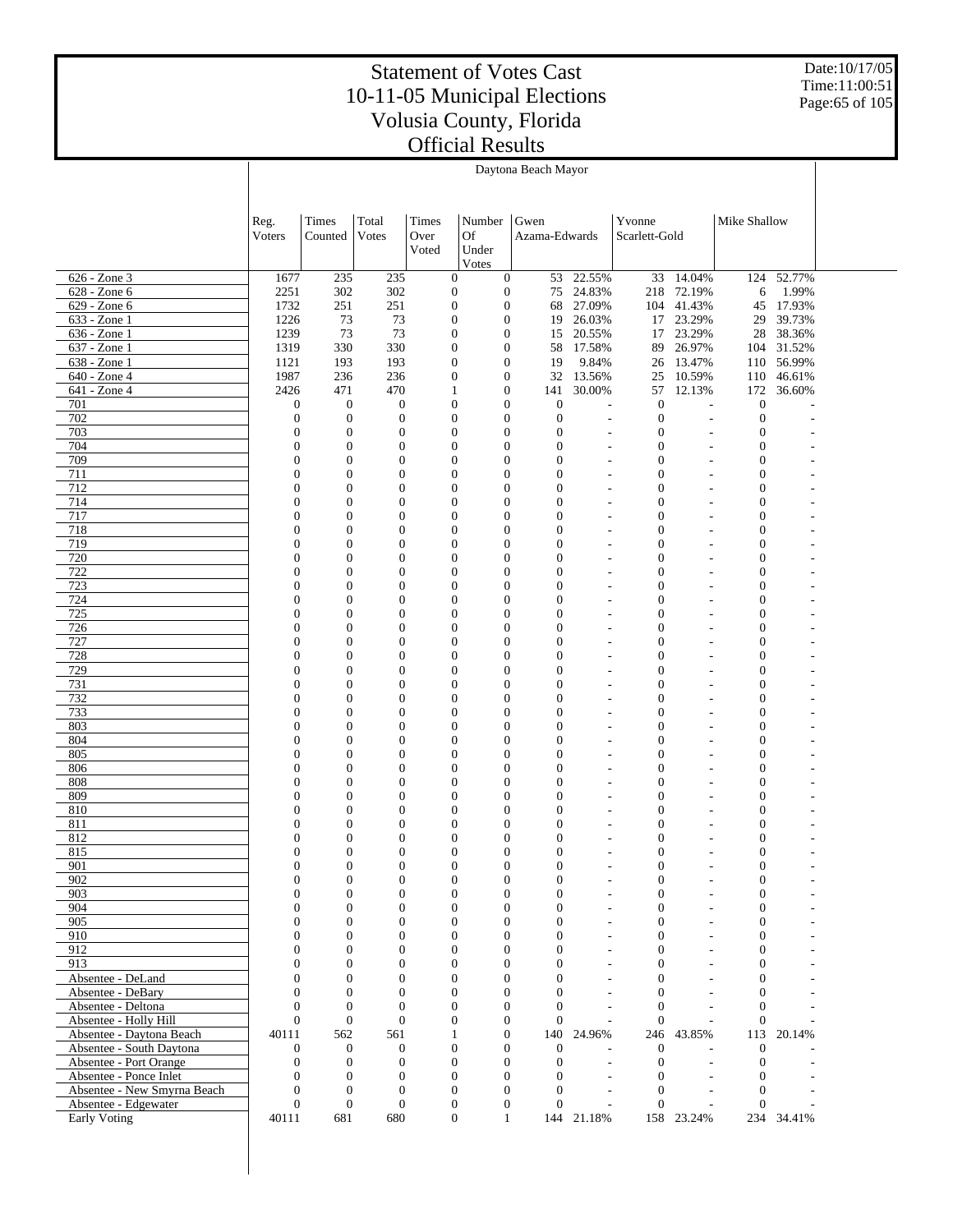Date:10/17/05 Time:11:00:51 Page:65 of 105

|                                                   | Daytona Beach Mayor                  |                                      |                                      |                                      |                                      |                                  |                                                      |                                      |                               |                                    |                  |  |
|---------------------------------------------------|--------------------------------------|--------------------------------------|--------------------------------------|--------------------------------------|--------------------------------------|----------------------------------|------------------------------------------------------|--------------------------------------|-------------------------------|------------------------------------|------------------|--|
|                                                   |                                      |                                      |                                      |                                      |                                      |                                  |                                                      |                                      |                               |                                    |                  |  |
|                                                   |                                      |                                      |                                      |                                      |                                      |                                  |                                                      |                                      |                               |                                    |                  |  |
|                                                   | Reg.<br>Voters                       | Times<br>Counted                     | Total<br>Votes                       | Times<br>Over                        | Number<br>Of                         | Gwen<br>Azama-Edwards            |                                                      | Yvonne<br>Scarlett-Gold              |                               | Mike Shallow                       |                  |  |
|                                                   |                                      |                                      |                                      | Voted                                | Under                                |                                  |                                                      |                                      |                               |                                    |                  |  |
|                                                   |                                      |                                      |                                      |                                      | Votes                                |                                  |                                                      |                                      |                               |                                    |                  |  |
| 626 - Zone 3                                      | 1677                                 | 235                                  | 235                                  | $\mathbf{0}$                         | $\boldsymbol{0}$                     | 53                               | 22.55%                                               |                                      | 33 14.04%                     |                                    | 124 52.77%       |  |
| 628 - Zone 6                                      | 2251                                 | 302                                  | 302                                  | $\boldsymbol{0}$                     | $\boldsymbol{0}$                     | 75                               | 24.83%                                               | 218                                  | 72.19%                        | 6                                  | 1.99%            |  |
| 629 - Zone 6<br>633 - Zone 1                      | 1732<br>1226                         | 251<br>73                            | 251<br>73                            | $\boldsymbol{0}$<br>$\boldsymbol{0}$ | $\boldsymbol{0}$<br>$\boldsymbol{0}$ | 19                               | 68 27.09%<br>26.03%                                  | 17                                   | 104 41.43%<br>23.29%          | 45<br>29                           | 17.93%<br>39.73% |  |
| 636 - Zone 1                                      | 1239                                 | 73                                   | 73                                   | $\boldsymbol{0}$                     | $\mathbf{0}$                         | 15                               | 20.55%                                               | 17                                   | 23.29%                        | 28                                 | 38.36%           |  |
| 637 - Zone 1                                      | 1319                                 | 330                                  | 330                                  | $\boldsymbol{0}$                     | $\boldsymbol{0}$                     | 58                               | 17.58%                                               | 89                                   | 26.97%                        |                                    | 104 31.52%       |  |
| 638 - Zone 1                                      | 1121                                 | 193                                  | 193                                  | $\boldsymbol{0}$                     | $\boldsymbol{0}$                     | 19                               | 9.84%                                                | 26                                   | 13.47%                        |                                    | 110 56.99%       |  |
| 640 - Zone 4                                      | 1987                                 | 236                                  | 236                                  | $\boldsymbol{0}$                     | $\boldsymbol{0}$                     | 32                               | 13.56%                                               | 25                                   | 10.59%                        | 110                                | 46.61%           |  |
| 641 - Zone 4                                      | 2426                                 | 471                                  | 470                                  | 1                                    | $\mathbf{0}$                         | 141                              | 30.00%                                               | 57                                   | 12.13%                        | 172                                | 36.60%           |  |
| 701<br>$\overline{702}$                           | $\boldsymbol{0}$<br>$\boldsymbol{0}$ | $\boldsymbol{0}$<br>$\boldsymbol{0}$ | $\boldsymbol{0}$<br>$\boldsymbol{0}$ | $\boldsymbol{0}$<br>$\boldsymbol{0}$ | $\boldsymbol{0}$<br>$\overline{0}$   | $\mathbf{0}$<br>$\mathbf{0}$     | $\overline{\phantom{a}}$                             | $\mathbf{0}$<br>$\boldsymbol{0}$     | $\overline{\phantom{a}}$      | $\boldsymbol{0}$<br>$\mathbf{0}$   |                  |  |
| 703                                               | $\boldsymbol{0}$                     | $\boldsymbol{0}$                     | $\boldsymbol{0}$                     | $\mathbf{0}$                         | $\boldsymbol{0}$                     | $\mathbf{0}$                     | $\overline{\phantom{a}}$                             | $\boldsymbol{0}$                     | ٠                             | $\overline{0}$                     |                  |  |
| 704                                               | $\overline{0}$                       | $\overline{0}$                       | $\boldsymbol{0}$                     | $\mathbf{0}$                         | $\overline{0}$                       | $\overline{0}$                   | $\overline{a}$                                       | $\mathbf{0}$                         | $\overline{\phantom{a}}$      | $\overline{0}$                     |                  |  |
| 709                                               | $\mathbf{0}$                         | $\boldsymbol{0}$                     | $\boldsymbol{0}$                     | $\boldsymbol{0}$                     | $\overline{0}$                       | $\overline{0}$                   | $\overline{\phantom{a}}$                             | $\boldsymbol{0}$                     | ÷,                            | $\overline{0}$                     |                  |  |
| 711                                               | $\overline{0}$                       | $\overline{0}$                       | $\boldsymbol{0}$                     | $\boldsymbol{0}$                     | $\overline{0}$                       | $\overline{0}$                   | $\overline{\phantom{a}}$                             | $\boldsymbol{0}$                     | $\overline{\phantom{a}}$      | $\overline{0}$                     |                  |  |
| 712                                               | $\boldsymbol{0}$                     | $\boldsymbol{0}$                     | $\boldsymbol{0}$                     | $\mathbf{0}$                         | $\boldsymbol{0}$                     | $\overline{0}$                   | $\overline{\phantom{a}}$                             | $\boldsymbol{0}$                     | ٠                             | $\boldsymbol{0}$                   |                  |  |
| 714<br>717                                        | $\overline{0}$<br>$\overline{0}$     | $\boldsymbol{0}$<br>$\boldsymbol{0}$ | $\boldsymbol{0}$<br>$\boldsymbol{0}$ | $\mathbf{0}$<br>$\boldsymbol{0}$     | $\overline{0}$<br>$\overline{0}$     | $\overline{0}$<br>$\overline{0}$ | $\overline{\phantom{a}}$                             | $\boldsymbol{0}$<br>$\boldsymbol{0}$ | $\overline{a}$<br>٠           | $\overline{0}$<br>$\boldsymbol{0}$ |                  |  |
| 718                                               | $\overline{0}$                       | $\overline{0}$                       | $\boldsymbol{0}$                     | $\boldsymbol{0}$                     | $\overline{0}$                       | $\overline{0}$                   | $\overline{\phantom{a}}$                             | $\boldsymbol{0}$                     | $\overline{a}$                | $\overline{0}$                     |                  |  |
| 719                                               | $\boldsymbol{0}$                     | $\boldsymbol{0}$                     | $\boldsymbol{0}$                     | $\mathbf{0}$                         | $\overline{0}$                       | $\overline{0}$                   | $\overline{\phantom{a}}$                             | $\boldsymbol{0}$                     | ٠                             | $\mathbf{0}$                       |                  |  |
| 720                                               | $\overline{0}$                       | $\boldsymbol{0}$                     | $\boldsymbol{0}$                     | $\mathbf{0}$                         | $\overline{0}$                       | $\overline{0}$                   | $\overline{\phantom{a}}$                             | $\boldsymbol{0}$                     | $\overline{\phantom{a}}$      | $\overline{0}$                     |                  |  |
| 722                                               | $\boldsymbol{0}$                     | $\boldsymbol{0}$                     | $\boldsymbol{0}$                     | $\boldsymbol{0}$                     | $\overline{0}$                       | $\overline{0}$                   | $\overline{\phantom{a}}$                             | $\boldsymbol{0}$                     | ٠                             | $\boldsymbol{0}$                   |                  |  |
| 723                                               | $\overline{0}$                       | $\boldsymbol{0}$                     | $\boldsymbol{0}$                     | $\boldsymbol{0}$                     | $\overline{0}$                       | $\overline{0}$                   | $\overline{\phantom{a}}$                             | $\boldsymbol{0}$                     | $\overline{a}$                | $\overline{0}$                     |                  |  |
| 724                                               | $\boldsymbol{0}$                     | $\boldsymbol{0}$                     | $\boldsymbol{0}$                     | $\mathbf{0}$                         | $\boldsymbol{0}$                     | $\overline{0}$                   |                                                      | $\boldsymbol{0}$                     | ٠                             | $\boldsymbol{0}$                   |                  |  |
| 725<br>726                                        | $\overline{0}$<br>$\overline{0}$     | $\boldsymbol{0}$<br>$\boldsymbol{0}$ | $\boldsymbol{0}$<br>$\boldsymbol{0}$ | $\mathbf{0}$<br>$\boldsymbol{0}$     | $\overline{0}$<br>$\overline{0}$     | $\overline{0}$<br>$\overline{0}$ | $\overline{\phantom{a}}$                             | $\boldsymbol{0}$<br>$\boldsymbol{0}$ | $\overline{a}$<br>٠           | $\overline{0}$<br>$\boldsymbol{0}$ |                  |  |
| 727                                               | $\overline{0}$                       | $\boldsymbol{0}$                     | $\boldsymbol{0}$                     | $\boldsymbol{0}$                     | $\overline{0}$                       | $\overline{0}$                   | $\overline{\phantom{a}}$                             | $\boldsymbol{0}$                     | $\overline{\phantom{a}}$      | $\overline{0}$                     |                  |  |
| 728                                               | $\boldsymbol{0}$                     | $\boldsymbol{0}$                     | $\boldsymbol{0}$                     | $\mathbf{0}$                         | $\overline{0}$                       | $\overline{0}$                   | $\overline{\phantom{a}}$                             | $\boldsymbol{0}$                     | ٠                             | $\mathbf{0}$                       |                  |  |
| 729                                               | $\overline{0}$                       | $\boldsymbol{0}$                     | $\boldsymbol{0}$                     | $\mathbf{0}$                         | $\overline{0}$                       | $\overline{0}$                   | $\overline{\phantom{a}}$                             | $\boldsymbol{0}$                     | ٠                             | $\overline{0}$                     |                  |  |
| 731                                               | $\boldsymbol{0}$                     | $\boldsymbol{0}$                     | $\boldsymbol{0}$                     | $\boldsymbol{0}$                     | $\boldsymbol{0}$                     | $\overline{0}$                   | $\overline{\phantom{a}}$                             | $\boldsymbol{0}$                     | ٠                             | $\boldsymbol{0}$                   |                  |  |
| 732                                               | $\overline{0}$                       | $\boldsymbol{0}$                     | $\boldsymbol{0}$                     | $\boldsymbol{0}$                     | $\overline{0}$                       | $\overline{0}$                   | $\overline{\phantom{a}}$                             | $\boldsymbol{0}$                     | $\overline{a}$                | $\overline{0}$                     |                  |  |
| 733<br>803                                        | $\boldsymbol{0}$<br>$\overline{0}$   | $\boldsymbol{0}$<br>$\overline{0}$   | $\boldsymbol{0}$<br>$\boldsymbol{0}$ | $\mathbf{0}$<br>$\mathbf{0}$         | $\boldsymbol{0}$<br>$\overline{0}$   | $\overline{0}$<br>$\overline{0}$ | $\overline{\phantom{a}}$                             | $\boldsymbol{0}$<br>$\boldsymbol{0}$ | ٠<br>$\overline{a}$           | $\boldsymbol{0}$<br>$\overline{0}$ |                  |  |
| 804                                               | $\overline{0}$                       | $\boldsymbol{0}$                     | $\boldsymbol{0}$                     | $\boldsymbol{0}$                     | $\overline{0}$                       | $\overline{0}$                   | $\overline{\phantom{a}}$                             | $\boldsymbol{0}$                     | ٠                             | $\boldsymbol{0}$                   |                  |  |
| 805                                               | $\overline{0}$                       | $\overline{0}$                       | $\boldsymbol{0}$                     | $\boldsymbol{0}$                     | $\overline{0}$                       | $\overline{0}$                   | $\overline{\phantom{a}}$                             | $\boldsymbol{0}$                     | $\overline{\phantom{a}}$      | $\overline{0}$                     |                  |  |
| 806                                               | $\boldsymbol{0}$                     | $\boldsymbol{0}$                     | $\boldsymbol{0}$                     | $\boldsymbol{0}$                     | $\boldsymbol{0}$                     | $\overline{0}$                   | $\overline{\phantom{a}}$                             | $\boldsymbol{0}$                     | ٠                             | $\boldsymbol{0}$                   |                  |  |
| 808                                               | $\overline{0}$                       | $\boldsymbol{0}$                     | $\boldsymbol{0}$                     | $\boldsymbol{0}$                     | $\overline{0}$                       | $\overline{0}$                   | $\overline{\phantom{a}}$                             | $\boldsymbol{0}$                     | ٠                             | $\overline{0}$                     |                  |  |
| 809                                               | $\boldsymbol{0}$                     | $\boldsymbol{0}$                     | $\boldsymbol{0}$                     | $\boldsymbol{0}$                     | $\boldsymbol{0}$                     | $\overline{0}$                   |                                                      | $\boldsymbol{0}$                     | ٠                             | $\boldsymbol{0}$                   |                  |  |
| 810<br>811                                        | $\overline{0}$<br>$\boldsymbol{0}$   | $\mathbf{0}$<br>$\boldsymbol{0}$     | $\boldsymbol{0}$<br>$\boldsymbol{0}$ | $\mathbf{0}$<br>$\mathbf{0}$         | $\overline{0}$<br>$\boldsymbol{0}$   | $\overline{0}$<br>$\overline{0}$ | $\overline{\phantom{a}}$                             | $\boldsymbol{0}$<br>$\boldsymbol{0}$ | $\overline{a}$                | $\mathbf{0}$<br>$\boldsymbol{0}$   |                  |  |
| 812                                               | $\overline{0}$                       | $\boldsymbol{0}$                     | $\boldsymbol{0}$                     | $\mathbf{0}$                         | $\overline{0}$                       | $\overline{0}$                   | $\overline{\phantom{a}}$                             | $\boldsymbol{0}$                     | ٠                             | $\overline{0}$                     |                  |  |
| 815                                               | $\overline{0}$                       | $\boldsymbol{0}$                     | $\overline{0}$                       | $\overline{0}$                       | $\overline{0}$                       | $\overline{0}$                   |                                                      | $\mathbf{0}$                         | $\overline{\phantom{a}}$      | $\mathbf{0}$                       |                  |  |
| 901                                               | 0                                    | $\mathbf{0}$                         | $\boldsymbol{0}$                     | 0                                    | 0                                    | 0                                |                                                      | $\boldsymbol{0}$                     |                               | 0                                  |                  |  |
| 902                                               | $\overline{0}$                       | $\boldsymbol{0}$                     | $\boldsymbol{0}$                     | $\mathbf{0}$                         | $\boldsymbol{0}$                     | $\overline{0}$                   | $\overline{\phantom{a}}$                             | $\mathbf{0}$                         |                               | $\overline{0}$                     |                  |  |
| 903                                               | $\Omega$                             | $\mathbf{0}$                         | $\overline{0}$                       | $\Omega$                             | $\overline{0}$                       | $\theta$                         | $\overline{a}$                                       | $\Omega$                             | $\overline{\phantom{a}}$      | $\Omega$                           |                  |  |
| 904<br>905                                        | $\Omega$<br>$\Omega$                 | $\mathbf{0}$<br>$\Omega$             | $\overline{0}$<br>$\mathbf{0}$       | $\Omega$<br>$\Omega$                 | $\overline{0}$<br>$\Omega$           | $\theta$<br>$\theta$             | $\overline{\phantom{a}}$<br>$\overline{\phantom{a}}$ | $\mathbf{0}$<br>$\Omega$             | ٠<br>$\overline{\phantom{a}}$ | $\overline{0}$<br>$\Omega$         |                  |  |
| 910                                               | $\Omega$                             | $\overline{0}$                       | $\overline{0}$                       | $\Omega$                             | $\overline{0}$                       | $\theta$                         | $\overline{\phantom{a}}$                             | $\Omega$                             | $\overline{\phantom{a}}$      | $\Omega$                           |                  |  |
| 912                                               | $\Omega$                             | $\Omega$                             | $\mathbf{0}$                         | $\Omega$                             | $\Omega$                             | $\Omega$                         | $\overline{a}$                                       | $\Omega$                             | $\overline{\phantom{a}}$      | $\Omega$                           |                  |  |
| 913                                               | $\Omega$                             | $\overline{0}$                       | $\mathbf{0}$                         | $\Omega$                             | $\mathbf{0}$                         | $\theta$                         |                                                      | $\Omega$                             | $\overline{\phantom{a}}$      | $\Omega$                           |                  |  |
| Absentee - DeLand                                 | $\Omega$                             | $\Omega$                             | $\mathbf{0}$                         | $\Omega$                             | $\Omega$                             | $\Omega$                         | $\overline{\phantom{a}}$                             | $\Omega$                             | $\overline{\phantom{a}}$      | $\Omega$                           |                  |  |
| Absentee - DeBary                                 | $\Omega$                             | $\Omega$                             | $\mathbf{0}$                         | $\Omega$                             | $\mathbf{0}$                         | $\Omega$                         |                                                      | $\Omega$                             |                               | $\Omega$                           |                  |  |
| Absentee - Deltona                                | $\Omega$<br>$\theta$                 | $\Omega$<br>$\Omega$                 | $\mathbf{0}$<br>$\overline{0}$       | $\Omega$<br>$\overline{0}$           | $\Omega$<br>$\overline{0}$           | $\Omega$<br>$\theta$             |                                                      | $\Omega$<br>$\Omega$                 |                               | $\Omega$                           |                  |  |
| Absentee - Holly Hill<br>Absentee - Daytona Beach | 40111                                | 562                                  | 561                                  | 1                                    | $\Omega$                             |                                  | 140 24.96%                                           | 246                                  | 43.85%                        | $\overline{0}$<br>113              | 20.14%           |  |
| Absentee - South Daytona                          | $\overline{0}$                       | $\mathbf{0}$                         | $\boldsymbol{0}$                     | $\Omega$                             | $\mathbf{0}$                         | $\mathbf{0}$                     |                                                      | $\mathbf{0}$                         | $\overline{a}$                | $\mathbf{0}$                       |                  |  |
| Absentee - Port Orange                            | $\Omega$                             | $\Omega$                             | $\mathbf{0}$                         | $\Omega$                             | $\Omega$                             | $\Omega$                         | $\sim$                                               | $\mathbf{0}$                         | $\sim$                        | $\mathbf{0}$                       |                  |  |
| Absentee - Ponce Inlet                            | $\overline{0}$                       | $\mathbf{0}$                         | $\overline{0}$                       | $\Omega$                             | $\overline{0}$                       | $\theta$                         | $\overline{\phantom{a}}$                             | $\Omega$                             |                               | $\Omega$                           |                  |  |
| Absentee - New Smyrna Beach                       | $\Omega$                             | $\mathbf{0}$                         | $\mathbf{0}$                         | $\Omega$                             | $\overline{0}$                       | $\theta$                         | $\sim$                                               | $\Omega$                             | $\overline{\phantom{a}}$      | $\Omega$                           |                  |  |
| Absentee - Edgewater                              | $\overline{0}$                       | $\mathbf{0}$                         | $\mathbf{0}$                         | $\boldsymbol{0}$                     | $\boldsymbol{0}$                     | $\theta$                         |                                                      | $\Omega$                             |                               | $\Omega$                           |                  |  |
| Early Voting                                      | 40111                                | 681                                  | 680                                  | $\mathbf{0}$                         | $\mathbf{1}$                         |                                  | 144 21.18%                                           |                                      | 158 23.24%                    |                                    | 234 34.41%       |  |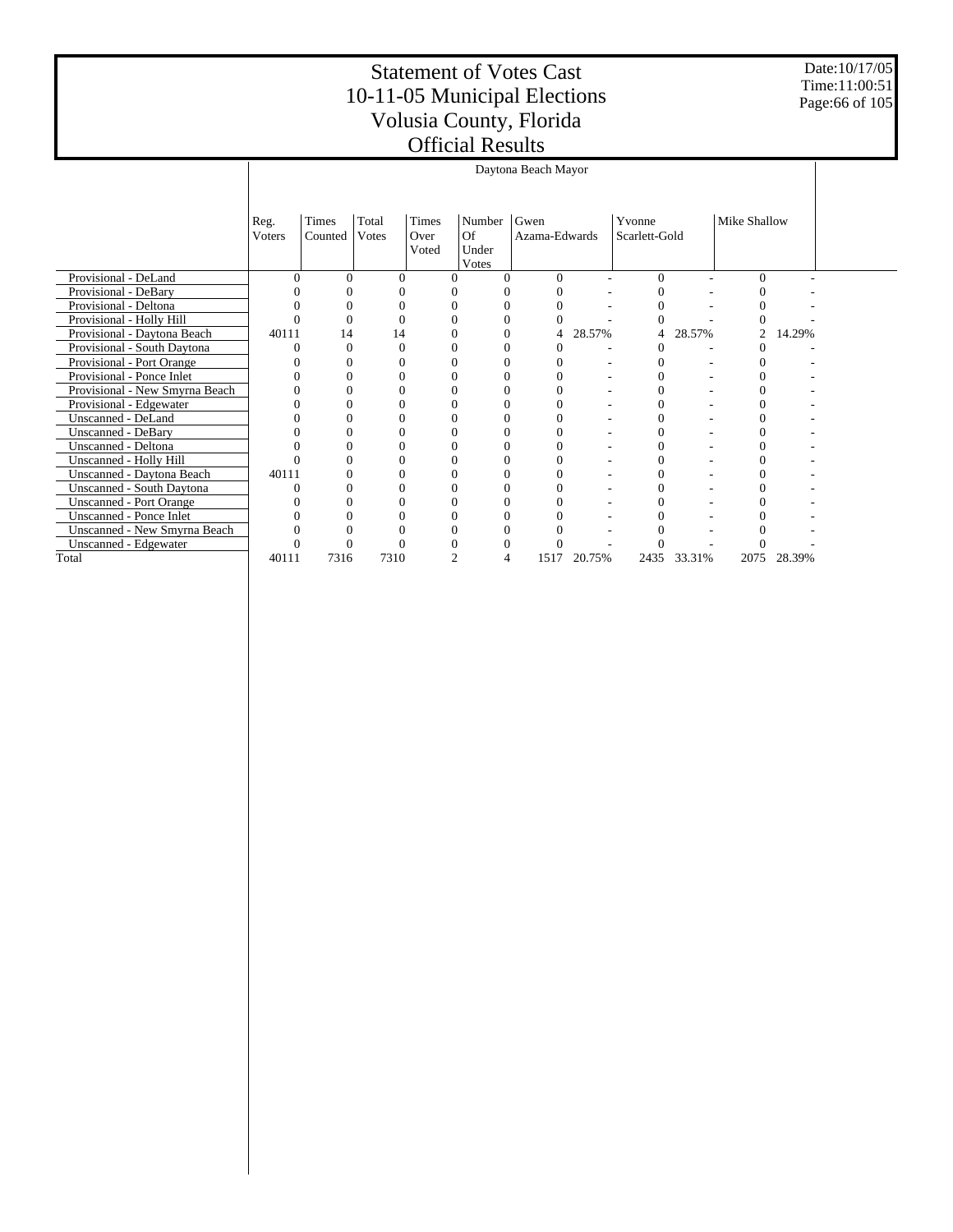Date:10/17/05 Time:11:00:51 Page:66 of 105

|                                  | Daytona Beach Mayor |                                                                |          |               |                      |               |        |               |        |              |        |  |  |  |  |
|----------------------------------|---------------------|----------------------------------------------------------------|----------|---------------|----------------------|---------------|--------|---------------|--------|--------------|--------|--|--|--|--|
|                                  |                     |                                                                |          |               |                      |               |        |               |        |              |        |  |  |  |  |
|                                  | Reg.                | Times                                                          | Total    | <b>Times</b>  | Number               | Gwen          |        | Yvonne        |        | Mike Shallow |        |  |  |  |  |
|                                  | Voters              | Counted                                                        | Votes    | Over<br>Voted | Of<br>Under<br>Votes | Azama-Edwards |        | Scarlett-Gold |        |              |        |  |  |  |  |
| Provisional - DeLand             | $\Omega$            | $\Omega$                                                       | $\Omega$ | $\Omega$      | 0                    | $\Omega$      |        | 0             |        | 0            |        |  |  |  |  |
| Provisional - DeBary             |                     |                                                                |          |               |                      |               |        |               |        |              |        |  |  |  |  |
| Provisional - Deltona            |                     | 0                                                              | 0        |               | 0                    |               |        | 0             |        |              |        |  |  |  |  |
| Provisional - Holly Hill         |                     |                                                                | 0        |               |                      |               |        |               |        |              |        |  |  |  |  |
| Provisional - Daytona Beach      |                     | 40111<br>28.57%<br>28.57%<br>2<br>14.29%<br>14<br>14<br>4<br>4 |          |               |                      |               |        |               |        |              |        |  |  |  |  |
| Provisional - South Daytona      |                     | $\Omega$<br>0                                                  |          |               |                      |               |        |               |        |              |        |  |  |  |  |
| Provisional - Port Orange        |                     | 0                                                              |          |               |                      |               |        |               |        |              |        |  |  |  |  |
| Provisional - Ponce Inlet        |                     |                                                                | 0        |               |                      |               |        |               |        |              |        |  |  |  |  |
| Provisional - New Smyrna Beach   |                     |                                                                |          |               |                      |               |        | 0             |        |              |        |  |  |  |  |
| Provisional - Edgewater          |                     | $\Omega$                                                       | 0        |               | 0                    |               |        | 0             |        |              |        |  |  |  |  |
| Unscanned - DeLand               |                     |                                                                |          |               |                      |               |        |               |        |              |        |  |  |  |  |
| <b>Unscanned - DeBary</b>        |                     |                                                                |          |               |                      |               |        |               |        |              |        |  |  |  |  |
| Unscanned - Deltona              |                     |                                                                |          |               |                      |               |        | 0             |        |              |        |  |  |  |  |
| Unscanned - Holly Hill           |                     |                                                                |          |               |                      |               |        |               |        |              |        |  |  |  |  |
| Unscanned - Daytona Beach        | 40111               |                                                                | ∩        |               |                      |               |        |               |        |              |        |  |  |  |  |
| <b>Unscanned - South Daytona</b> |                     |                                                                |          |               |                      |               |        | 0             |        |              |        |  |  |  |  |
| <b>Unscanned - Port Orange</b>   |                     |                                                                |          |               |                      |               |        |               |        |              |        |  |  |  |  |
| <b>Unscanned - Ponce Inlet</b>   |                     |                                                                |          |               |                      |               |        |               |        |              |        |  |  |  |  |
| Unscanned - New Smyrna Beach     |                     |                                                                |          |               |                      |               |        |               |        |              |        |  |  |  |  |
| Unscanned - Edgewater            |                     |                                                                |          |               |                      |               |        |               |        |              |        |  |  |  |  |
| Total                            | 40111               | 7316                                                           | 7310     | 2             | 4                    | 1517          | 20.75% | 2435          | 33.31% | 2075         | 28.39% |  |  |  |  |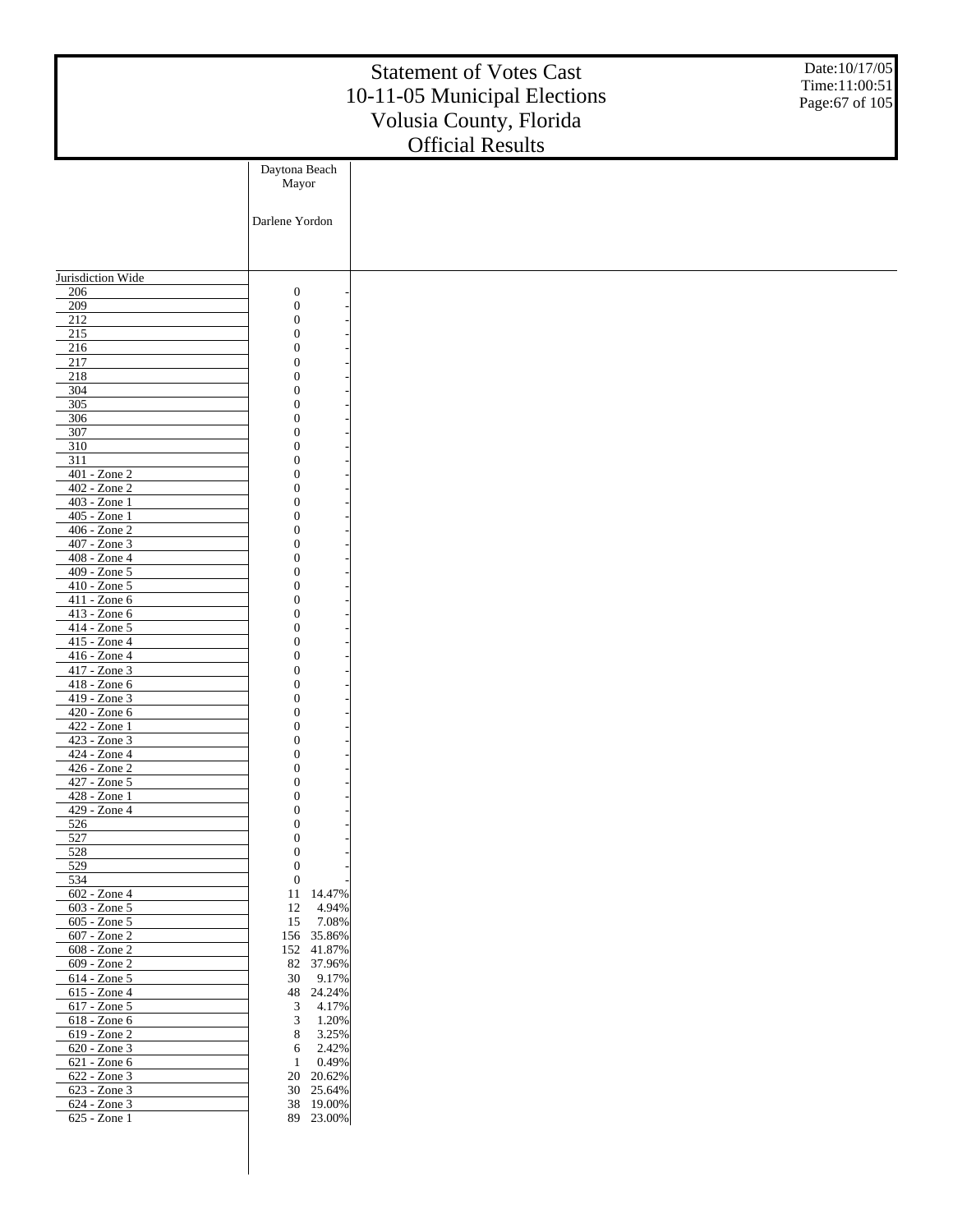|                                        |                                      | <b>Statement of Votes Cast</b><br>10-11-05 Municipal Elections<br>Volusia County, Florida<br><b>Official Results</b> | Date:10/17/05<br>Time:11:00:51<br>Page:67 of 105 |
|----------------------------------------|--------------------------------------|----------------------------------------------------------------------------------------------------------------------|--------------------------------------------------|
|                                        | Daytona Beach                        |                                                                                                                      |                                                  |
|                                        | Mayor                                |                                                                                                                      |                                                  |
|                                        | Darlene Yordon                       |                                                                                                                      |                                                  |
|                                        |                                      |                                                                                                                      |                                                  |
|                                        |                                      |                                                                                                                      |                                                  |
| Jurisdiction Wide                      |                                      |                                                                                                                      |                                                  |
| 206<br>209                             | $\boldsymbol{0}$<br>$\boldsymbol{0}$ |                                                                                                                      |                                                  |
| $\overline{212}$                       | $\boldsymbol{0}$                     |                                                                                                                      |                                                  |
| 215                                    | $\mathbf{0}$                         |                                                                                                                      |                                                  |
| 216<br>217                             | $\overline{0}$<br>$\mathbf{0}$       |                                                                                                                      |                                                  |
| 218                                    | $\overline{0}$                       |                                                                                                                      |                                                  |
| 304                                    | $\overline{0}$                       |                                                                                                                      |                                                  |
| 305                                    | $\overline{0}$                       |                                                                                                                      |                                                  |
| 306<br>307                             | $\mathbf{0}$<br>$\overline{0}$       |                                                                                                                      |                                                  |
| 310                                    | $\overline{0}$                       |                                                                                                                      |                                                  |
| 311                                    | $\overline{0}$                       |                                                                                                                      |                                                  |
| $401 - Z$ one $2$                      | $\mathbf{0}$<br>$\overline{0}$       |                                                                                                                      |                                                  |
| 402 - Zone 2<br>403 - Zone 1           | $\overline{0}$                       |                                                                                                                      |                                                  |
| 405 - Zone 1                           | $\overline{0}$                       |                                                                                                                      |                                                  |
| 406 - Zone 2                           | $\mathbf{0}$                         |                                                                                                                      |                                                  |
| 407 - Zone 3<br>408 - Zone 4           | $\overline{0}$<br>$\overline{0}$     |                                                                                                                      |                                                  |
| 409 - Zone 5                           | $\overline{0}$                       |                                                                                                                      |                                                  |
| 410 - Zone 5                           | $\mathbf{0}$                         |                                                                                                                      |                                                  |
| 411 - Zone 6                           | $\overline{0}$                       |                                                                                                                      |                                                  |
| 413 - Zone 6<br>414 - Zone 5           | $\overline{0}$<br>$\overline{0}$     |                                                                                                                      |                                                  |
| 415 - Zone 4                           | $\mathbf{0}$                         |                                                                                                                      |                                                  |
| 416 - Zone 4                           | $\overline{0}$                       |                                                                                                                      |                                                  |
| 417 - Zone 3<br>$418 - Zone 6$         | $\overline{0}$<br>$\overline{0}$     |                                                                                                                      |                                                  |
| 419 - Zone 3                           | $\overline{0}$                       |                                                                                                                      |                                                  |
| 420 - Zone 6                           | $\overline{0}$                       |                                                                                                                      |                                                  |
| 422 - Zone 1                           | $\mathbf{0}$<br>$\mathbf{0}$         |                                                                                                                      |                                                  |
| 423 - Zone 3<br>$424 -$ <i>L</i> one 4 | $\mathbf{0}$                         |                                                                                                                      |                                                  |
| 426 - Zone 2                           | $\boldsymbol{0}$                     |                                                                                                                      |                                                  |
| 427 - Zone 5                           | $\boldsymbol{0}$                     |                                                                                                                      |                                                  |
| 428 - Zone 1<br>429 - Zone 4           | $\boldsymbol{0}$<br>$\boldsymbol{0}$ |                                                                                                                      |                                                  |
| 526                                    | $\boldsymbol{0}$                     |                                                                                                                      |                                                  |
| 527                                    | $\boldsymbol{0}$                     |                                                                                                                      |                                                  |
| 528                                    | $\boldsymbol{0}$                     |                                                                                                                      |                                                  |
| 529<br>534                             | $\boldsymbol{0}$<br>$\boldsymbol{0}$ |                                                                                                                      |                                                  |
| $602 - Z$ one 4                        | 11<br>14.47%                         |                                                                                                                      |                                                  |
| 603 - Zone 5                           | 4.94%<br>12                          |                                                                                                                      |                                                  |
| 605 - Zone 5<br>607 - Zone 2           | 15<br>7.08%<br>156 35.86%            |                                                                                                                      |                                                  |
| 608 - Zone 2                           | 152 41.87%                           |                                                                                                                      |                                                  |
| 609 - Zone 2                           | 82 37.96%                            |                                                                                                                      |                                                  |
| 614 - Zone 5                           | 9.17%<br>30                          |                                                                                                                      |                                                  |
| 615 - Zone 4<br>617 - Zone 5           | 48 24.24%<br>3<br>4.17%              |                                                                                                                      |                                                  |
| 618 - Zone 6                           | 3<br>1.20%                           |                                                                                                                      |                                                  |
| 619 - Zone 2                           | 8<br>3.25%                           |                                                                                                                      |                                                  |
| 620 - Zone 3                           | 2.42%<br>6                           |                                                                                                                      |                                                  |
| 621 - Zone 6<br>622 - Zone 3           | 0.49%<br>1<br>20<br>20.62%           |                                                                                                                      |                                                  |
| 623 - Zone 3                           | 30 25.64%                            |                                                                                                                      |                                                  |
| 624 - Zone 3                           | 38 19.00%                            |                                                                                                                      |                                                  |
| 625 - Zone 1                           | 89 23.00%                            |                                                                                                                      |                                                  |
|                                        |                                      |                                                                                                                      |                                                  |
|                                        |                                      |                                                                                                                      |                                                  |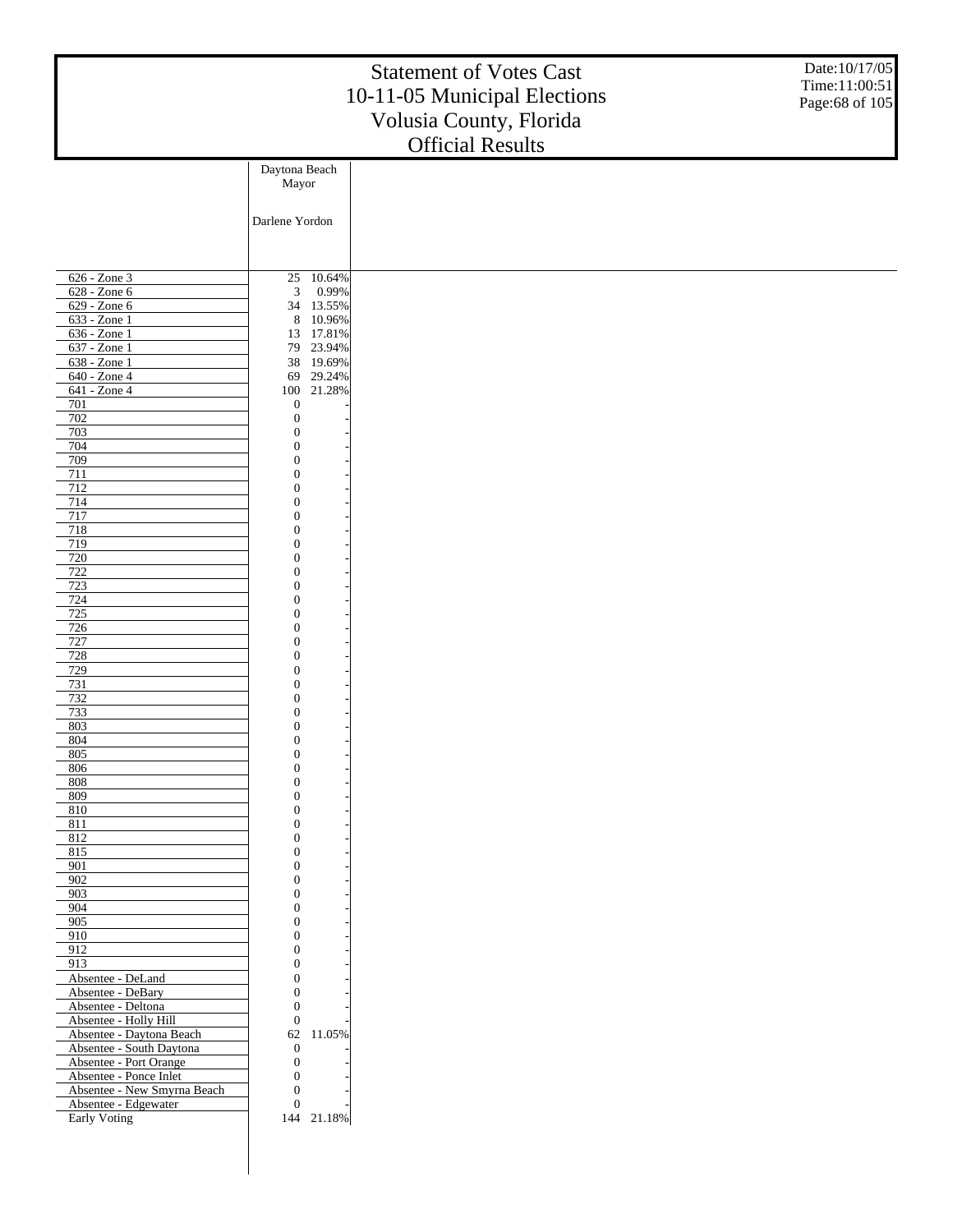| Date:10/17/05<br><b>Statement of Votes Cast</b><br>Time:11:00:51<br>10-11-05 Municipal Elections<br>Page:68 of 105<br>Volusia County, Florida<br><b>Official Results</b> |                                    |  |  |  |  |  |  |  |  |  |
|--------------------------------------------------------------------------------------------------------------------------------------------------------------------------|------------------------------------|--|--|--|--|--|--|--|--|--|
|                                                                                                                                                                          | Daytona Beach                      |  |  |  |  |  |  |  |  |  |
|                                                                                                                                                                          | Mayor                              |  |  |  |  |  |  |  |  |  |
|                                                                                                                                                                          | Darlene Yordon                     |  |  |  |  |  |  |  |  |  |
|                                                                                                                                                                          |                                    |  |  |  |  |  |  |  |  |  |
| 626 - Zone 3                                                                                                                                                             | 10.64%<br>25                       |  |  |  |  |  |  |  |  |  |
| 628 - Zone 6                                                                                                                                                             | 0.99%<br>$\mathfrak{Z}$            |  |  |  |  |  |  |  |  |  |
| 629 - Zone 6<br>633 - Zone 1                                                                                                                                             | 34 13.55%<br>$8\,$<br>10.96%       |  |  |  |  |  |  |  |  |  |
| 636 - Zone 1                                                                                                                                                             | 13 17.81%                          |  |  |  |  |  |  |  |  |  |
| 637 - Zone 1                                                                                                                                                             | 23.94%<br>79                       |  |  |  |  |  |  |  |  |  |
| 638 - Zone 1<br>640 - Zone 4                                                                                                                                             | 38 19.69%<br>29.24%<br>69          |  |  |  |  |  |  |  |  |  |
| 641 - Zone 4                                                                                                                                                             | 100 21.28%                         |  |  |  |  |  |  |  |  |  |
| 701                                                                                                                                                                      | $\boldsymbol{0}$                   |  |  |  |  |  |  |  |  |  |
| 702<br>703                                                                                                                                                               | $\boldsymbol{0}$<br>$\mathbf{0}$   |  |  |  |  |  |  |  |  |  |
| 704                                                                                                                                                                      | $\overline{0}$                     |  |  |  |  |  |  |  |  |  |
| 709                                                                                                                                                                      | $\mathbf{0}$                       |  |  |  |  |  |  |  |  |  |
| 711<br>712                                                                                                                                                               | $\overline{0}$<br>$\mathbf{0}$     |  |  |  |  |  |  |  |  |  |
| 714                                                                                                                                                                      | $\overline{0}$                     |  |  |  |  |  |  |  |  |  |
| 717                                                                                                                                                                      | $\mathbf{0}$                       |  |  |  |  |  |  |  |  |  |
| 718<br>719                                                                                                                                                               | $\overline{0}$<br>$\mathbf{0}$     |  |  |  |  |  |  |  |  |  |
| 720                                                                                                                                                                      | $\overline{0}$                     |  |  |  |  |  |  |  |  |  |
| 722                                                                                                                                                                      | $\mathbf{0}$                       |  |  |  |  |  |  |  |  |  |
| 723<br>724                                                                                                                                                               | $\overline{0}$<br>$\mathbf{0}$     |  |  |  |  |  |  |  |  |  |
| 725                                                                                                                                                                      | $\overline{0}$                     |  |  |  |  |  |  |  |  |  |
| 726                                                                                                                                                                      | $\mathbf{0}$                       |  |  |  |  |  |  |  |  |  |
| 727<br>728                                                                                                                                                               | $\overline{0}$<br>$\mathbf{0}$     |  |  |  |  |  |  |  |  |  |
| 729                                                                                                                                                                      | $\overline{0}$                     |  |  |  |  |  |  |  |  |  |
| 731<br>732                                                                                                                                                               | $\mathbf{0}$<br>$\boldsymbol{0}$   |  |  |  |  |  |  |  |  |  |
| 733                                                                                                                                                                      | $\mathbf{0}$                       |  |  |  |  |  |  |  |  |  |
| 803                                                                                                                                                                      | $\mathbf{0}$                       |  |  |  |  |  |  |  |  |  |
| 804<br>805                                                                                                                                                               | $\mathbf{0}$<br>$\boldsymbol{0}$   |  |  |  |  |  |  |  |  |  |
| 806                                                                                                                                                                      | $\boldsymbol{0}$                   |  |  |  |  |  |  |  |  |  |
| 808                                                                                                                                                                      | $\mathbf{0}$                       |  |  |  |  |  |  |  |  |  |
| 809<br>810                                                                                                                                                               | $\boldsymbol{0}$<br>$\overline{0}$ |  |  |  |  |  |  |  |  |  |
| 811                                                                                                                                                                      | $\boldsymbol{0}$                   |  |  |  |  |  |  |  |  |  |
| 812                                                                                                                                                                      | $\overline{0}$<br>$\boldsymbol{0}$ |  |  |  |  |  |  |  |  |  |
| 815<br>901                                                                                                                                                               | $\overline{0}$                     |  |  |  |  |  |  |  |  |  |
| 902                                                                                                                                                                      | $\boldsymbol{0}$                   |  |  |  |  |  |  |  |  |  |
| 903<br>904                                                                                                                                                               | $\overline{0}$<br>$\boldsymbol{0}$ |  |  |  |  |  |  |  |  |  |
| 905                                                                                                                                                                      | $\overline{0}$                     |  |  |  |  |  |  |  |  |  |
| 910                                                                                                                                                                      | $\boldsymbol{0}$                   |  |  |  |  |  |  |  |  |  |
| 912<br>913                                                                                                                                                               | $\mathbf{0}$<br>$\boldsymbol{0}$   |  |  |  |  |  |  |  |  |  |
| Absentee - DeLand                                                                                                                                                        | $\overline{0}$                     |  |  |  |  |  |  |  |  |  |
| Absentee - DeBary                                                                                                                                                        | $\boldsymbol{0}$                   |  |  |  |  |  |  |  |  |  |
| Absentee - Deltona<br>Absentee - Holly Hill                                                                                                                              | $\boldsymbol{0}$<br>$\mathbf{0}$   |  |  |  |  |  |  |  |  |  |
| Absentee - Daytona Beach                                                                                                                                                 | 62<br>11.05%                       |  |  |  |  |  |  |  |  |  |
| Absentee - South Daytona                                                                                                                                                 | $\mathbf{0}$<br>$\boldsymbol{0}$   |  |  |  |  |  |  |  |  |  |
| Absentee - Port Orange<br>Absentee - Ponce Inlet                                                                                                                         | $\boldsymbol{0}$                   |  |  |  |  |  |  |  |  |  |
| Absentee - New Smyrna Beach                                                                                                                                              | $\mathbf{0}$                       |  |  |  |  |  |  |  |  |  |
| Absentee - Edgewater<br>Early Voting                                                                                                                                     | $\mathbf{0}$<br>144 21.18%         |  |  |  |  |  |  |  |  |  |
|                                                                                                                                                                          |                                    |  |  |  |  |  |  |  |  |  |
|                                                                                                                                                                          |                                    |  |  |  |  |  |  |  |  |  |
|                                                                                                                                                                          |                                    |  |  |  |  |  |  |  |  |  |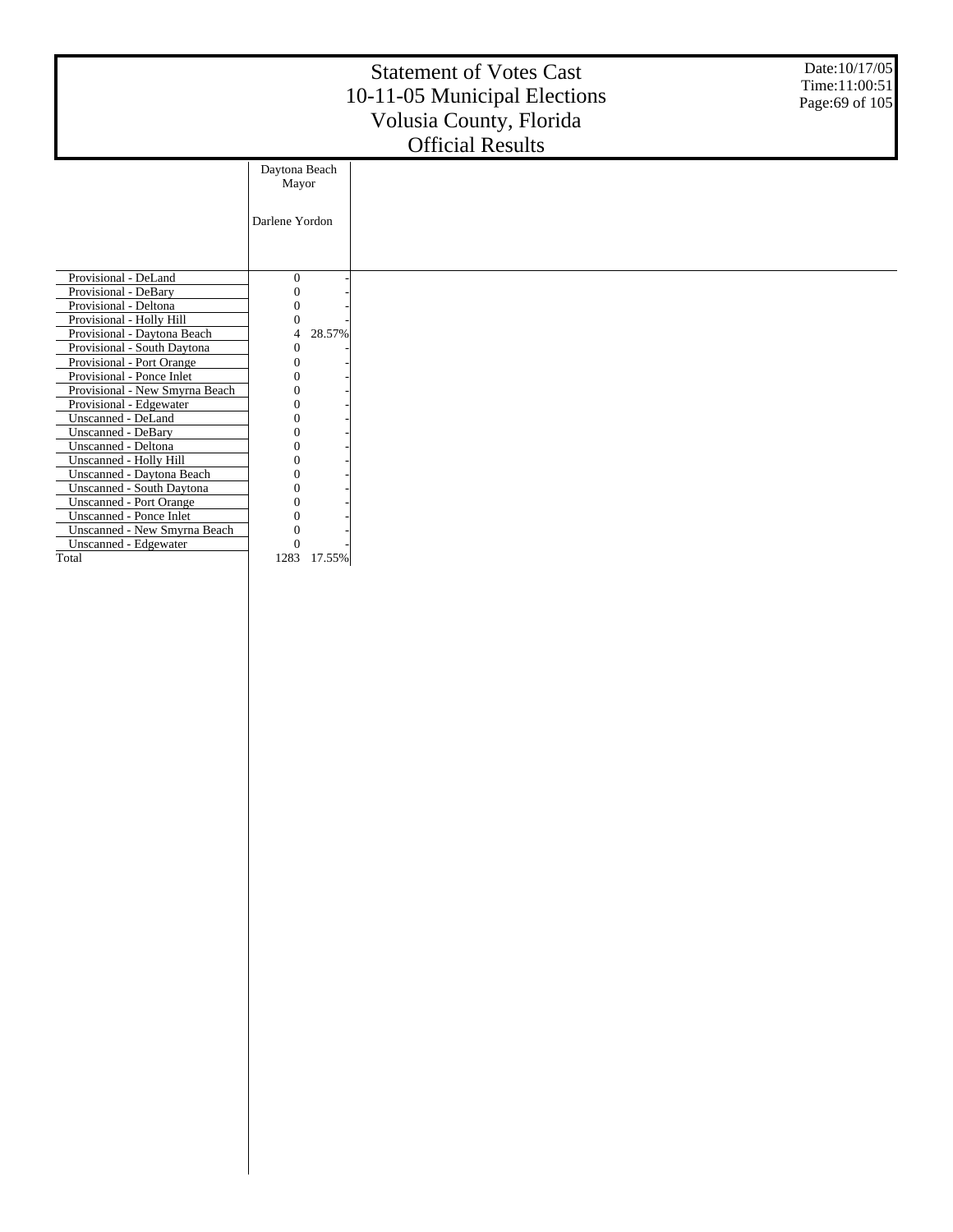| Date:10/17/05<br><b>Statement of Votes Cast</b><br>Time:11:00:51<br>10-11-05 Municipal Elections<br>Page:69 of 105<br>Volusia County, Florida<br><b>Official Results</b>                                                                                                                                                                                                                                                                      |                                       |  |  |  |  |  |  |  |  |  |
|-----------------------------------------------------------------------------------------------------------------------------------------------------------------------------------------------------------------------------------------------------------------------------------------------------------------------------------------------------------------------------------------------------------------------------------------------|---------------------------------------|--|--|--|--|--|--|--|--|--|
|                                                                                                                                                                                                                                                                                                                                                                                                                                               | Daytona Beach<br>Mayor                |  |  |  |  |  |  |  |  |  |
|                                                                                                                                                                                                                                                                                                                                                                                                                                               | Darlene Yordon                        |  |  |  |  |  |  |  |  |  |
| Provisional - DeLand<br>Provisional - DeBary<br>Provisional - Deltona<br>Provisional - Holly Hill<br>Provisional - Daytona Beach<br>Provisional - South Daytona<br>Provisional - Port Orange<br>Provisional - Ponce Inlet<br>Provisional - New Smyrna Beach<br>Provisional - Edgewater<br>Unscanned - DeLand<br>Unscanned - DeBary<br>Unscanned - Deltona<br>Unscanned - Holly Hill<br>Unscanned - Daytona Beach<br>Unscanned - South Daytona | $\mathbf{0}$<br>0<br>28.57%<br>4<br>0 |  |  |  |  |  |  |  |  |  |
| Unscanned - Port Orange<br>Unscanned - Ponce Inlet<br>Unscanned - New Smyrna Beach<br>Unscanned - Edgewater<br>Total                                                                                                                                                                                                                                                                                                                          | 0<br>$\Omega$<br>1283<br>17.55%       |  |  |  |  |  |  |  |  |  |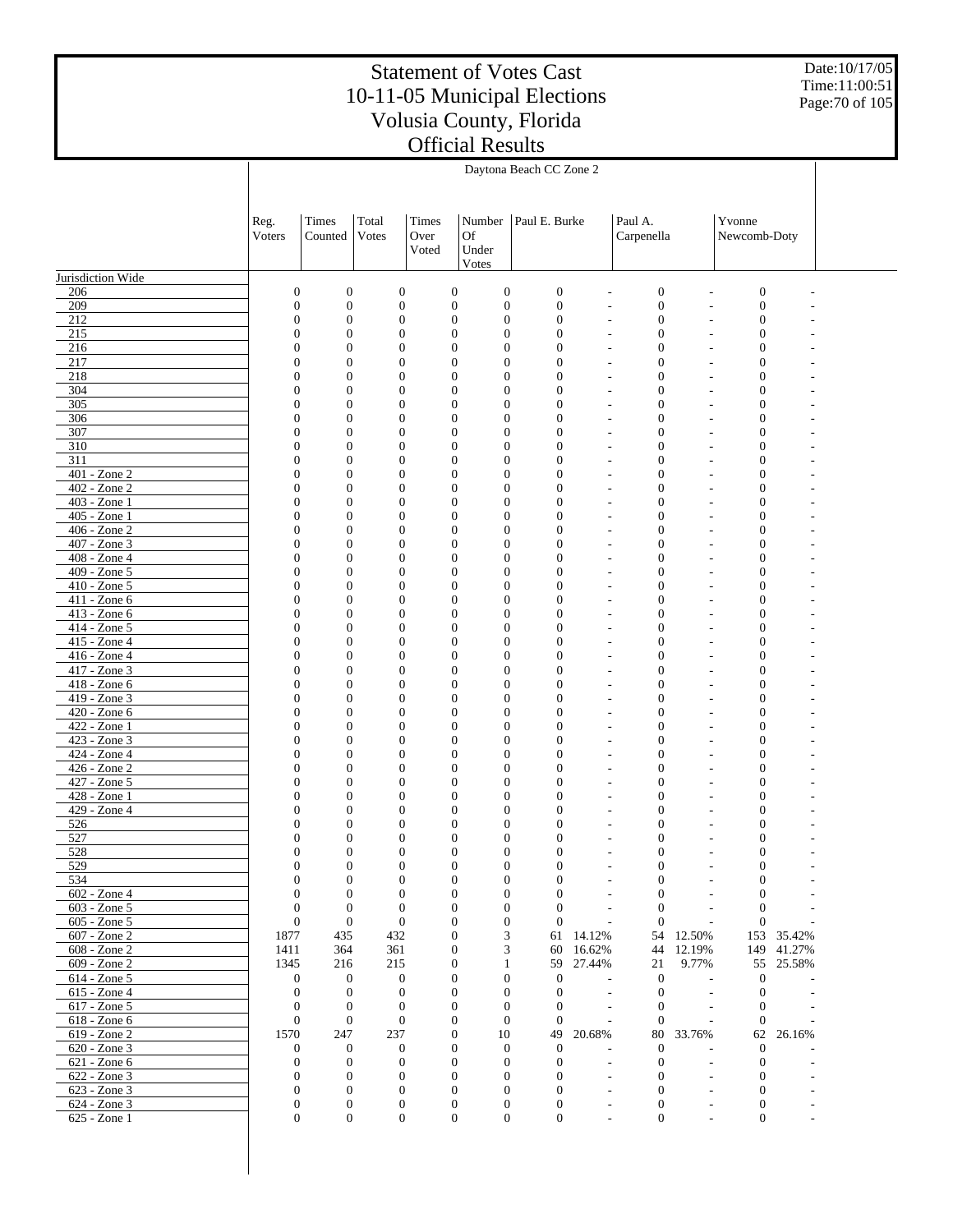Date:10/17/05 Time:11:00:51 Page:70 of 105

|                              | Daytona Beach CC Zone 2          |                                      |                                      |               |                                                                              |                                      |                                |                                      |                  |                                      |                  |  |
|------------------------------|----------------------------------|--------------------------------------|--------------------------------------|---------------|------------------------------------------------------------------------------|--------------------------------------|--------------------------------|--------------------------------------|------------------|--------------------------------------|------------------|--|
|                              |                                  |                                      |                                      |               |                                                                              |                                      |                                |                                      |                  |                                      |                  |  |
|                              |                                  |                                      |                                      |               |                                                                              |                                      |                                |                                      |                  |                                      |                  |  |
|                              | Reg.<br>Voters                   | Times<br>Counted                     | Total<br>Votes                       | Times<br>Over | Number<br><b>Of</b>                                                          | Paul E. Burke                        |                                | Paul A.<br>Carpenella                |                  | Yvonne<br>Newcomb-Doty               |                  |  |
|                              |                                  |                                      |                                      | Voted         | Under                                                                        |                                      |                                |                                      |                  |                                      |                  |  |
|                              |                                  |                                      |                                      |               | Votes                                                                        |                                      |                                |                                      |                  |                                      |                  |  |
| Jurisdiction Wide            |                                  |                                      |                                      |               |                                                                              |                                      |                                |                                      |                  |                                      |                  |  |
| 206<br>209                   | $\mathbf{0}$<br>$\boldsymbol{0}$ | $\boldsymbol{0}$<br>$\boldsymbol{0}$ | $\boldsymbol{0}$<br>$\boldsymbol{0}$ |               | $\boldsymbol{0}$<br>$\boldsymbol{0}$<br>$\boldsymbol{0}$<br>$\mathbf{0}$     | $\boldsymbol{0}$<br>$\boldsymbol{0}$ | L,<br>L,                       | $\boldsymbol{0}$<br>$\boldsymbol{0}$ | ÷,               | $\boldsymbol{0}$<br>$\boldsymbol{0}$ |                  |  |
| 212                          | $\boldsymbol{0}$                 | $\boldsymbol{0}$                     | $\mathbf{0}$                         |               | $\mathbf{0}$<br>$\boldsymbol{0}$                                             | $\mathbf{0}$                         | L,                             | $\mathbf{0}$                         |                  | $\overline{0}$                       |                  |  |
| 215                          | $\overline{0}$                   | $\boldsymbol{0}$                     | $\mathbf{0}$                         |               | $\boldsymbol{0}$<br>$\boldsymbol{0}$                                         | $\mathbf{0}$                         | L,                             | $\mathbf{0}$                         |                  | $\overline{0}$                       |                  |  |
| 216                          | $\mathbf{0}$                     | $\boldsymbol{0}$                     | $\mathbf{0}$                         |               | $\boldsymbol{0}$<br>$\boldsymbol{0}$                                         | $\mathbf{0}$                         | L,                             | $\overline{0}$                       |                  | $\theta$                             |                  |  |
| 217<br>218                   | $\overline{0}$<br>$\mathbf{0}$   | $\boldsymbol{0}$<br>$\boldsymbol{0}$ | $\overline{0}$<br>$\mathbf{0}$       |               | $\overline{0}$<br>$\boldsymbol{0}$<br>$\boldsymbol{0}$<br>$\boldsymbol{0}$   | $\mathbf{0}$<br>$\mathbf{0}$         | L,<br>L,                       | $\overline{0}$<br>$\overline{0}$     |                  | $\overline{0}$<br>$\overline{0}$     |                  |  |
| 304                          | $\overline{0}$                   | $\boldsymbol{0}$                     | $\overline{0}$                       |               | $\boldsymbol{0}$<br>$\boldsymbol{0}$                                         | $\mathbf{0}$                         | ÷,                             | $\overline{0}$                       |                  | $\overline{0}$                       |                  |  |
| 305                          | $\mathbf{0}$                     | $\boldsymbol{0}$                     | $\mathbf{0}$                         |               | $\boldsymbol{0}$<br>$\boldsymbol{0}$                                         | $\mathbf{0}$                         | $\overline{\phantom{a}}$       | $\overline{0}$                       |                  | $\theta$                             |                  |  |
| 306                          | $\overline{0}$                   | $\boldsymbol{0}$                     | $\mathbf{0}$                         |               | $\boldsymbol{0}$<br>$\boldsymbol{0}$                                         | $\mathbf{0}$                         | ÷,                             | $\overline{0}$                       |                  | $\overline{0}$                       |                  |  |
| 307<br>$\overline{310}$      | $\mathbf{0}$<br>$\overline{0}$   | $\boldsymbol{0}$<br>$\boldsymbol{0}$ | $\mathbf{0}$<br>$\mathbf{0}$         |               | $\boldsymbol{0}$<br>$\mathbf{0}$<br>$\boldsymbol{0}$<br>$\boldsymbol{0}$     | $\mathbf{0}$<br>$\mathbf{0}$         | $\overline{\phantom{a}}$<br>÷, | $\mathbf{0}$<br>$\overline{0}$       |                  | $\overline{0}$<br>$\overline{0}$     |                  |  |
| 311                          | $\mathbf{0}$                     | $\boldsymbol{0}$                     | $\mathbf{0}$                         |               | $\boldsymbol{0}$<br>$\boldsymbol{0}$                                         | $\mathbf{0}$                         | ÷,                             | $\overline{0}$                       |                  | $\theta$                             |                  |  |
| 401 - Zone 2                 | $\overline{0}$                   | $\boldsymbol{0}$                     | $\mathbf{0}$                         |               | $\boldsymbol{0}$<br>$\boldsymbol{0}$                                         | $\mathbf{0}$                         | L,                             | $\overline{0}$                       |                  | $\overline{0}$                       |                  |  |
| 402 - Zone 2                 | $\mathbf{0}$                     | $\boldsymbol{0}$                     | $\mathbf{0}$                         |               | $\boldsymbol{0}$<br>$\boldsymbol{0}$                                         | $\mathbf{0}$                         | L,                             | $\overline{0}$                       |                  | $\theta$                             |                  |  |
| 403 - Zone 1<br>405 - Zone 1 | $\overline{0}$<br>$\mathbf{0}$   | $\boldsymbol{0}$<br>$\boldsymbol{0}$ | $\mathbf{0}$<br>$\mathbf{0}$         |               | $\boldsymbol{0}$<br>$\boldsymbol{0}$<br>$\boldsymbol{0}$<br>$\boldsymbol{0}$ | $\mathbf{0}$<br>$\mathbf{0}$         | L,<br>L,                       | $\overline{0}$<br>$\overline{0}$     |                  | $\overline{0}$<br>$\theta$           |                  |  |
| 406 - Zone 2                 | $\overline{0}$                   | $\boldsymbol{0}$                     | $\mathbf{0}$                         |               | $\boldsymbol{0}$<br>$\boldsymbol{0}$                                         | $\mathbf{0}$                         | L,                             | $\overline{0}$                       |                  | $\overline{0}$                       |                  |  |
| 407 - Zone 3                 | $\mathbf{0}$                     | $\boldsymbol{0}$                     | $\mathbf{0}$                         |               | $\boldsymbol{0}$<br>$\mathbf{0}$                                             | $\mathbf{0}$                         | $\overline{\phantom{a}}$       | $\overline{0}$                       |                  | $\overline{0}$                       |                  |  |
| 408 - Zone 4                 | $\overline{0}$                   | $\boldsymbol{0}$                     | $\mathbf{0}$                         |               | $\boldsymbol{0}$<br>$\boldsymbol{0}$                                         | $\mathbf{0}$                         | ÷,                             | $\overline{0}$                       |                  | $\overline{0}$                       |                  |  |
| 409 - Zone 5                 | $\mathbf{0}$<br>$\overline{0}$   | $\boldsymbol{0}$                     | $\mathbf{0}$                         |               | $\boldsymbol{0}$<br>$\boldsymbol{0}$<br>$\boldsymbol{0}$                     | $\mathbf{0}$                         | ÷,                             | $\overline{0}$<br>$\overline{0}$     |                  | $\theta$<br>$\overline{0}$           |                  |  |
| 410 - Zone 5<br>411 - Zone 6 | $\mathbf{0}$                     | $\boldsymbol{0}$<br>$\boldsymbol{0}$ | $\mathbf{0}$<br>$\mathbf{0}$         |               | $\boldsymbol{0}$<br>$\boldsymbol{0}$<br>$\boldsymbol{0}$                     | $\mathbf{0}$<br>$\mathbf{0}$         | ÷,<br>÷,                       | $\mathbf{0}$                         |                  | $\theta$                             |                  |  |
| 413 - Zone 6                 | $\overline{0}$                   | $\boldsymbol{0}$                     | $\mathbf{0}$                         |               | $\boldsymbol{0}$<br>$\boldsymbol{0}$                                         | $\mathbf{0}$                         | ÷,                             | $\overline{0}$                       |                  | $\overline{0}$                       |                  |  |
| 414 - Zone 5                 | $\mathbf{0}$                     | $\boldsymbol{0}$                     | $\mathbf{0}$                         |               | $\boldsymbol{0}$<br>$\boldsymbol{0}$                                         | $\mathbf{0}$                         | L,                             | $\overline{0}$                       |                  | $\theta$                             |                  |  |
| 415 - Zone 4                 | $\overline{0}$                   | $\boldsymbol{0}$                     | $\mathbf{0}$                         |               | $\boldsymbol{0}$<br>$\boldsymbol{0}$                                         | $\mathbf{0}$                         | L,                             | $\overline{0}$                       |                  | $\overline{0}$                       |                  |  |
| 416 - Zone 4<br>417 - Zone 3 | $\mathbf{0}$<br>$\overline{0}$   | $\boldsymbol{0}$<br>$\boldsymbol{0}$ | $\mathbf{0}$<br>$\overline{0}$       |               | $\boldsymbol{0}$<br>$\boldsymbol{0}$<br>$\boldsymbol{0}$<br>$\boldsymbol{0}$ | $\mathbf{0}$<br>$\mathbf{0}$         | L,<br>÷,                       | $\overline{0}$<br>$\overline{0}$     |                  | $\overline{0}$<br>$\overline{0}$     |                  |  |
| 418 - Zone 6                 | $\mathbf{0}$                     | $\boldsymbol{0}$                     | $\mathbf{0}$                         |               | $\boldsymbol{0}$<br>$\boldsymbol{0}$                                         | $\mathbf{0}$                         | $\overline{\phantom{a}}$       | $\overline{0}$                       |                  | $\theta$                             |                  |  |
| 419 - Zone 3                 | $\overline{0}$                   | $\boldsymbol{0}$                     | $\mathbf{0}$                         |               | $\mathbf{0}$<br>$\boldsymbol{0}$                                             | $\mathbf{0}$                         | ÷,                             | $\overline{0}$                       |                  | $\overline{0}$                       |                  |  |
| 420 - Zone 6                 | $\mathbf{0}$                     | $\boldsymbol{0}$                     | $\mathbf{0}$                         |               | $\boldsymbol{0}$<br>$\mathbf{0}$                                             | $\mathbf{0}$                         | $\overline{\phantom{a}}$       | $\mathbf{0}$                         |                  | $\overline{0}$                       |                  |  |
| 422 - Zone 1<br>423 - Zone 3 | $\overline{0}$<br>$\mathbf{0}$   | $\boldsymbol{0}$<br>$\boldsymbol{0}$ | $\mathbf{0}$<br>$\mathbf{0}$         |               | $\boldsymbol{0}$<br>$\boldsymbol{0}$<br>$\boldsymbol{0}$<br>$\boldsymbol{0}$ | $\mathbf{0}$<br>$\mathbf{0}$         | ÷,<br>÷,                       | $\overline{0}$<br>$\overline{0}$     |                  | $\overline{0}$<br>$\overline{0}$     |                  |  |
| 424 - Zone 4                 | $\overline{0}$                   | $\boldsymbol{0}$                     | $\mathbf{0}$                         |               | $\boldsymbol{0}$<br>$\boldsymbol{0}$                                         | $\mathbf{0}$                         | ÷,                             | $\overline{0}$                       |                  | $\overline{0}$                       |                  |  |
| 426 - Zone 2                 | $\mathbf{0}$                     | $\boldsymbol{0}$                     | $\mathbf{0}$                         |               | $\boldsymbol{0}$<br>$\boldsymbol{0}$                                         | $\mathbf{0}$                         | L,                             | $\mathbf{0}$                         |                  | $\overline{0}$                       |                  |  |
| 427 - Zone 5                 | $\overline{0}$                   | $\boldsymbol{0}$                     | $\overline{0}$                       |               | $\boldsymbol{0}$<br>$\boldsymbol{0}$                                         | $\mathbf{0}$                         | L,                             | $\overline{0}$                       |                  | $\overline{0}$                       |                  |  |
| 428 - Zone 1<br>429 - Zone 4 | $\mathbf{0}$<br>$\overline{0}$   | $\boldsymbol{0}$<br>$\mathbf{0}$     | $\mathbf{0}$<br>$\overline{0}$       |               | $\boldsymbol{0}$<br>$\boldsymbol{0}$<br>$\mathbf{0}$<br>$\mathbf{0}$         | $\mathbf{0}$<br>$\mathbf{0}$         | L,<br>÷,                       | $\overline{0}$<br>$\overline{0}$     |                  | $\overline{0}$<br>$\overline{0}$     |                  |  |
| 526                          | $\boldsymbol{0}$                 | $\boldsymbol{0}$                     | $\overline{0}$                       |               | $\boldsymbol{0}$<br>$\boldsymbol{0}$                                         | $\mathbf{0}$                         | ÷,                             | $\mathbf{0}$                         |                  | $\overline{0}$                       |                  |  |
| 527                          | $\overline{0}$                   | $\mathbf{0}$                         | $\overline{0}$                       |               | $\mathbf{0}$<br>$\mathbf{0}$                                                 | $\mathbf{0}$                         | ÷,                             | $\overline{0}$                       |                  | $\overline{0}$                       |                  |  |
| 528                          | $\Omega$                         | $\mathbf{0}$                         | $\Omega$                             |               | $\mathbf{0}$<br>$\Omega$                                                     | $\Omega$                             |                                | $\Omega$                             |                  | $\Omega$                             |                  |  |
| 529<br>534                   | $\boldsymbol{0}$<br>$\mathbf{0}$ | $\boldsymbol{0}$<br>$\boldsymbol{0}$ | $\mathbf{0}$<br>$\mathbf{0}$         |               | $\boldsymbol{0}$<br>$\boldsymbol{0}$<br>$\boldsymbol{0}$<br>$\boldsymbol{0}$ | $\mathbf{0}$<br>$\mathbf{0}$         |                                | $\mathbf{0}$<br>$\mathbf{0}$         |                  | $\mathbf{0}$<br>$\mathbf{0}$         |                  |  |
| 602 - Zone 4                 | $\boldsymbol{0}$                 | $\boldsymbol{0}$                     | $\mathbf{0}$                         |               | $\boldsymbol{0}$<br>$\boldsymbol{0}$                                         | $\mathbf{0}$                         |                                | $\mathbf{0}$                         |                  | $\mathbf{0}$                         |                  |  |
| 603 - Zone 5                 | $\mathbf{0}$                     | $\mathbf{0}$                         | $\mathbf{0}$                         |               | $\mathbf{0}$<br>$\boldsymbol{0}$                                             | $\mathbf{0}$                         |                                | $\theta$                             |                  | $\mathbf{0}$                         |                  |  |
| 605 - Zone 5                 | $\mathbf{0}$                     | $\boldsymbol{0}$                     | $\mathbf{0}$                         |               | $\boldsymbol{0}$<br>$\boldsymbol{0}$                                         | $\mathbf{0}$                         | $\overline{a}$                 | $\theta$                             |                  | $\mathbf{0}$                         |                  |  |
| 607 - Zone 2<br>608 - Zone 2 | 1877<br>1411                     | 435<br>364                           | 432<br>361                           |               | $\mathbf{0}$<br>3<br>$\boldsymbol{0}$<br>3                                   | 61<br>60                             | 14.12%<br>16.62%               | 54<br>44                             | 12.50%<br>12.19% | 153<br>149                           | 35.42%<br>41.27% |  |
| 609 - Zone 2                 | 1345                             | 216                                  | 215                                  |               | $\mathbf{0}$<br>$\mathbf{1}$                                                 | 59                                   | 27.44%                         | 21                                   | 9.77%            | 55                                   | 25.58%           |  |
| 614 - Zone 5                 | $\mathbf{0}$                     | $\boldsymbol{0}$                     | $\boldsymbol{0}$                     |               | $\boldsymbol{0}$<br>$\boldsymbol{0}$                                         | $\boldsymbol{0}$                     | ÷,                             | $\mathbf{0}$                         |                  | $\mathbf{0}$                         |                  |  |
| 615 - Zone 4                 | $\mathbf{0}$                     | $\boldsymbol{0}$                     | $\mathbf{0}$                         |               | $\mathbf{0}$<br>$\boldsymbol{0}$                                             | $\mathbf{0}$                         |                                | $\overline{0}$                       |                  | $\overline{0}$                       |                  |  |
| 617 - Zone 5<br>618 - Zone 6 | $\mathbf{0}$<br>$\mathbf{0}$     | $\boldsymbol{0}$<br>$\boldsymbol{0}$ | $\mathbf{0}$<br>$\mathbf{0}$         |               | $\mathbf{0}$<br>$\boldsymbol{0}$<br>$\mathbf{0}$<br>$\boldsymbol{0}$         | $\mathbf{0}$<br>$\mathbf{0}$         |                                | $\mathbf{0}$<br>$\theta$             |                  | $\mathbf{0}$<br>$\theta$             |                  |  |
| 619 - Zone 2                 | 1570                             | 247                                  | 237                                  |               | $\mathbf{0}$<br>10                                                           | 49                                   | 20.68%                         | 80                                   | 33.76%           | 62                                   | 26.16%           |  |
| 620 - Zone 3                 | $\boldsymbol{0}$                 | $\boldsymbol{0}$                     | $\mathbf{0}$                         |               | $\boldsymbol{0}$<br>$\mathbf{0}$                                             | $\boldsymbol{0}$                     |                                | $\mathbf{0}$                         |                  | $\mathbf{0}$                         |                  |  |
| 621 - Zone 6                 | $\theta$                         | $\mathbf{0}$                         | $\mathbf{0}$                         |               | $\mathbf{0}$<br>$\boldsymbol{0}$                                             | $\mathbf{0}$                         | $\overline{a}$                 | $\mathbf{0}$                         |                  | $\mathbf{0}$                         |                  |  |
| 622 - Zone 3<br>623 - Zone 3 | $\theta$<br>$\mathbf{0}$         | $\boldsymbol{0}$<br>$\boldsymbol{0}$ | $\mathbf{0}$<br>$\boldsymbol{0}$     |               | $\theta$<br>$\mathbf{0}$<br>$\mathbf{0}$<br>$\boldsymbol{0}$                 | $\overline{0}$<br>$\mathbf{0}$       | $\overline{\phantom{a}}$       | $\mathbf{0}$<br>$\boldsymbol{0}$     |                  | $\overline{0}$<br>$\mathbf{0}$       |                  |  |
| 624 - Zone 3                 | $\mathbf{0}$                     | $\mathbf{0}$                         | $\mathbf{0}$                         |               | $\mathbf{0}$<br>$\boldsymbol{0}$                                             | $\mathbf{0}$                         |                                | $\boldsymbol{0}$                     |                  | $\mathbf{0}$                         |                  |  |
| 625 - Zone 1                 | $\boldsymbol{0}$                 | $\boldsymbol{0}$                     | $\mathbf{0}$                         |               | $\boldsymbol{0}$<br>$\boldsymbol{0}$                                         | $\boldsymbol{0}$                     |                                | $\boldsymbol{0}$                     |                  | $\boldsymbol{0}$                     |                  |  |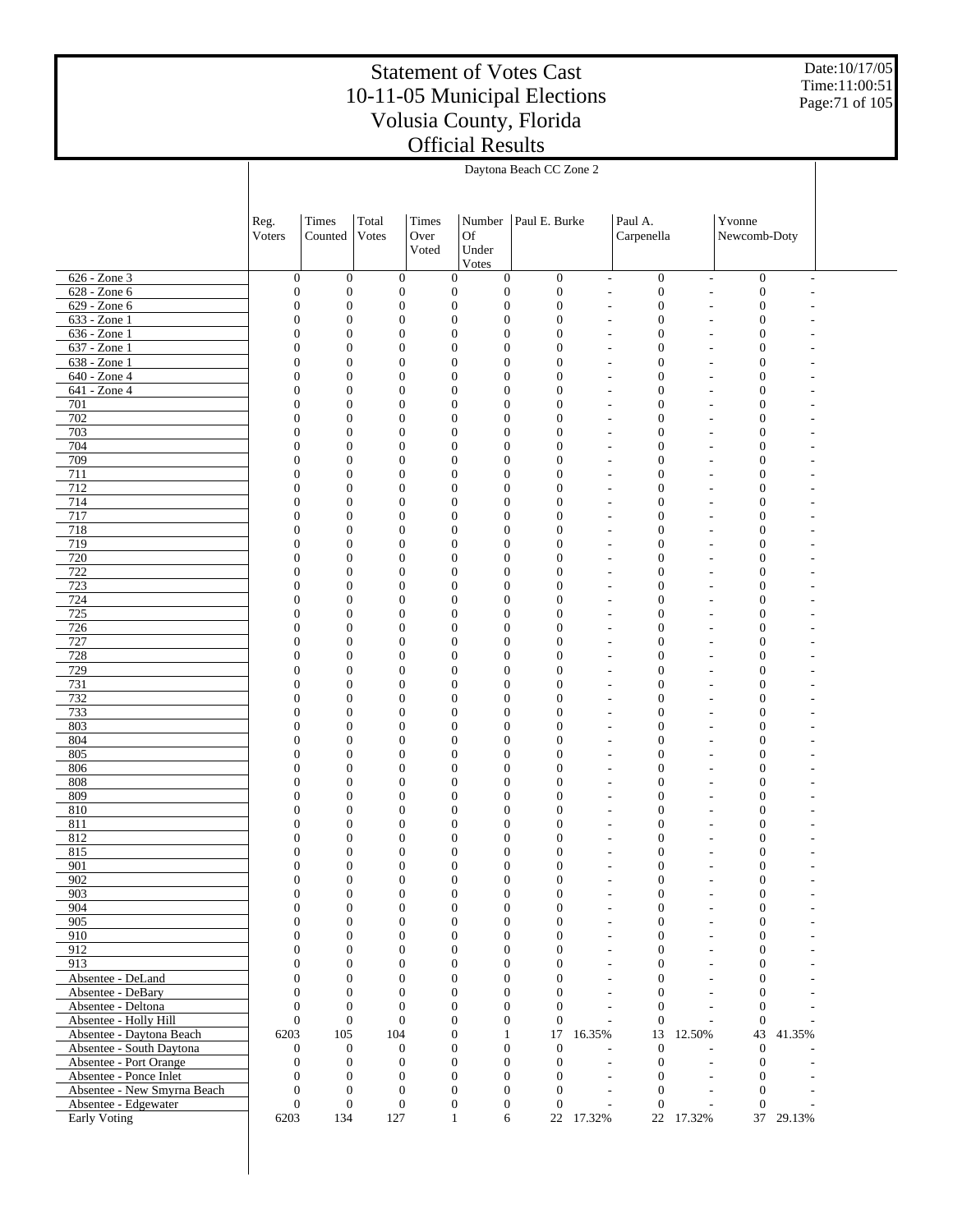Date:10/17/05 Time:11:00:51 Page:71 of 105

|                                                      | Daytona Beach CC Zone 2            |                                      |                                    |               |                                                                              |                                      |                |                                                                                              |                                                      |                                      |                |  |
|------------------------------------------------------|------------------------------------|--------------------------------------|------------------------------------|---------------|------------------------------------------------------------------------------|--------------------------------------|----------------|----------------------------------------------------------------------------------------------|------------------------------------------------------|--------------------------------------|----------------|--|
|                                                      |                                    |                                      |                                    |               |                                                                              |                                      |                |                                                                                              |                                                      |                                      |                |  |
|                                                      | Reg.<br>Voters                     | Times<br>Counted                     | Total<br>Votes                     | Times<br>Over | Number<br>Of                                                                 | Paul E. Burke                        |                | Paul A.<br>Carpenella                                                                        |                                                      | Yvonne<br>Newcomb-Doty               |                |  |
|                                                      |                                    |                                      |                                    | Voted         | Under<br>Votes                                                               |                                      |                |                                                                                              |                                                      |                                      |                |  |
| 626 - Zone 3                                         | $\boldsymbol{0}$                   | $\boldsymbol{0}$                     | $\mathbf{0}$                       |               | $\boldsymbol{0}$<br>$\boldsymbol{0}$                                         | $\mathbf{0}$                         |                | $\boldsymbol{0}$<br>$\qquad \qquad \blacksquare$                                             | $\overline{\phantom{a}}$                             | $\boldsymbol{0}$                     | $\overline{a}$ |  |
| 628 - Zone 6                                         | $\boldsymbol{0}$                   | $\boldsymbol{0}$                     | $\boldsymbol{0}$                   |               | $\boldsymbol{0}$<br>$\boldsymbol{0}$                                         | $\boldsymbol{0}$                     |                | $\boldsymbol{0}$<br>$\overline{a}$                                                           | $\overline{\phantom{a}}$                             | $\boldsymbol{0}$                     |                |  |
| 629 - Zone 6                                         | $\boldsymbol{0}$                   | $\boldsymbol{0}$                     | $\boldsymbol{0}$                   |               | $\boldsymbol{0}$<br>$\boldsymbol{0}$                                         | $\boldsymbol{0}$                     | $\overline{a}$ | 0                                                                                            | ٠                                                    | $\boldsymbol{0}$                     |                |  |
| $633 - Z$ one 1<br>$636 - Zone1$                     | $\boldsymbol{0}$<br>$\overline{0}$ | $\boldsymbol{0}$<br>$\boldsymbol{0}$ | $\mathbf{0}$<br>$\boldsymbol{0}$   |               | $\boldsymbol{0}$<br>$\boldsymbol{0}$<br>$\boldsymbol{0}$<br>$\boldsymbol{0}$ | $\boldsymbol{0}$<br>$\boldsymbol{0}$ |                | $\boldsymbol{0}$<br>$\overline{\phantom{a}}$<br>$\boldsymbol{0}$                             | $\overline{\phantom{a}}$<br>$\overline{\phantom{a}}$ | $\boldsymbol{0}$<br>$\boldsymbol{0}$ |                |  |
| $637 - Zone1$                                        | $\overline{0}$                     | $\boldsymbol{0}$                     | $\mathbf{0}$                       |               | $\boldsymbol{0}$<br>$\boldsymbol{0}$                                         | $\boldsymbol{0}$                     |                | $\overline{\phantom{a}}$<br>$\mathbf{0}$<br>$\overline{\phantom{a}}$                         | $\overline{a}$                                       | $\boldsymbol{0}$                     |                |  |
| 638 - Zone 1                                         | $\mathbf{0}$                       | $\boldsymbol{0}$                     | $\boldsymbol{0}$                   |               | $\boldsymbol{0}$<br>$\boldsymbol{0}$                                         | $\boldsymbol{0}$                     |                | 0<br>$\overline{\phantom{a}}$                                                                | $\overline{\phantom{a}}$                             | $\boldsymbol{0}$                     |                |  |
| $640 - Z$ one 4                                      | $\overline{0}$                     | $\boldsymbol{0}$                     | $\mathbf{0}$                       |               | $\boldsymbol{0}$<br>$\boldsymbol{0}$                                         | $\boldsymbol{0}$                     |                | $\mathbf{0}$<br>$\overline{\phantom{a}}$                                                     | $\overline{a}$                                       | $\boldsymbol{0}$                     |                |  |
| $641 - Zone4$<br>701                                 | $\overline{0}$                     | $\boldsymbol{0}$                     | $\boldsymbol{0}$                   |               | $\boldsymbol{0}$<br>$\boldsymbol{0}$                                         | $\boldsymbol{0}$                     |                | $\boldsymbol{0}$<br>$\overline{\phantom{a}}$                                                 | $\overline{\phantom{a}}$                             | $\boldsymbol{0}$                     |                |  |
| 702                                                  | $\overline{0}$<br>$\mathbf{0}$     | $\boldsymbol{0}$<br>$\boldsymbol{0}$ | $\mathbf{0}$<br>$\boldsymbol{0}$   |               | $\boldsymbol{0}$<br>$\boldsymbol{0}$<br>$\boldsymbol{0}$<br>$\boldsymbol{0}$ | $\boldsymbol{0}$<br>$\boldsymbol{0}$ |                | $\mathbf{0}$<br>$\overline{\phantom{a}}$<br>0<br>$\overline{\phantom{a}}$                    | $\overline{a}$<br>$\overline{\phantom{a}}$           | $\boldsymbol{0}$<br>$\boldsymbol{0}$ |                |  |
| 703                                                  | 0                                  | $\boldsymbol{0}$                     | $\mathbf{0}$                       |               | $\boldsymbol{0}$<br>$\boldsymbol{0}$                                         | $\boldsymbol{0}$                     |                | $\mathbf{0}$<br>$\overline{a}$                                                               | $\overline{a}$                                       | $\boldsymbol{0}$                     |                |  |
| 704                                                  | $\overline{0}$                     | $\boldsymbol{0}$                     | $\boldsymbol{0}$                   |               | $\boldsymbol{0}$<br>$\boldsymbol{0}$                                         | $\boldsymbol{0}$                     |                | 0<br>$\overline{\phantom{a}}$                                                                | $\overline{\phantom{a}}$                             | $\boldsymbol{0}$                     |                |  |
| 709                                                  | $\overline{0}$                     | $\boldsymbol{0}$                     | $\mathbf{0}$                       |               | $\boldsymbol{0}$<br>$\boldsymbol{0}$                                         | $\boldsymbol{0}$                     |                | $\mathbf{0}$<br>$\overline{a}$                                                               | $\overline{a}$                                       | $\boldsymbol{0}$                     |                |  |
| 711<br>712                                           | $\mathbf{0}$<br>0                  | $\boldsymbol{0}$<br>$\boldsymbol{0}$ | $\boldsymbol{0}$<br>$\mathbf{0}$   |               | $\boldsymbol{0}$<br>$\boldsymbol{0}$<br>$\boldsymbol{0}$<br>$\boldsymbol{0}$ | $\boldsymbol{0}$<br>$\boldsymbol{0}$ |                | 0<br>$\overline{\phantom{a}}$<br>$\mathbf{0}$<br>$\overline{a}$                              | $\overline{\phantom{a}}$<br>$\overline{a}$           | $\boldsymbol{0}$<br>$\boldsymbol{0}$ |                |  |
| 714                                                  | $\overline{0}$                     | $\boldsymbol{0}$                     | $\boldsymbol{0}$                   |               | $\boldsymbol{0}$<br>$\boldsymbol{0}$                                         | $\boldsymbol{0}$                     |                | 0<br>$\overline{\phantom{a}}$                                                                | $\overline{\phantom{a}}$                             | $\boldsymbol{0}$                     |                |  |
| 717                                                  | 0                                  | $\boldsymbol{0}$                     | $\mathbf{0}$                       |               | $\boldsymbol{0}$<br>$\boldsymbol{0}$                                         | $\boldsymbol{0}$                     |                | $\mathbf{0}$<br>$\overline{\phantom{a}}$                                                     | $\overline{a}$                                       | $\boldsymbol{0}$                     |                |  |
| 718                                                  | $\mathbf{0}$                       | $\boldsymbol{0}$                     | $\boldsymbol{0}$                   |               | $\boldsymbol{0}$<br>$\boldsymbol{0}$                                         | $\boldsymbol{0}$                     |                | 0<br>$\overline{\phantom{a}}$                                                                | $\overline{\phantom{a}}$                             | $\boldsymbol{0}$                     |                |  |
| 719                                                  | 0                                  | $\boldsymbol{0}$                     | $\mathbf{0}$                       |               | $\boldsymbol{0}$<br>$\boldsymbol{0}$                                         | $\boldsymbol{0}$                     |                | $\mathbf{0}$<br>$\overline{\phantom{a}}$                                                     | $\overline{a}$                                       | $\boldsymbol{0}$                     |                |  |
| 720<br>722                                           | $\overline{0}$<br>0                | $\boldsymbol{0}$<br>$\boldsymbol{0}$ | $\boldsymbol{0}$<br>$\mathbf{0}$   |               | $\boldsymbol{0}$<br>$\boldsymbol{0}$<br>$\boldsymbol{0}$<br>$\boldsymbol{0}$ | $\boldsymbol{0}$<br>$\boldsymbol{0}$ |                | 0<br>$\overline{\phantom{a}}$<br>$\mathbf{0}$<br>$\overline{\phantom{a}}$                    | $\overline{\phantom{a}}$<br>$\overline{a}$           | $\boldsymbol{0}$<br>$\boldsymbol{0}$ |                |  |
| 723                                                  | $\mathbf{0}$                       | $\boldsymbol{0}$                     | $\boldsymbol{0}$                   |               | $\boldsymbol{0}$<br>$\boldsymbol{0}$                                         | $\boldsymbol{0}$                     |                | 0<br>$\overline{\phantom{a}}$                                                                | $\overline{\phantom{a}}$                             | $\boldsymbol{0}$                     |                |  |
| 724                                                  | 0                                  | $\boldsymbol{0}$                     | $\mathbf{0}$                       |               | $\boldsymbol{0}$<br>$\boldsymbol{0}$                                         | $\boldsymbol{0}$                     |                | $\mathbf{0}$<br>$\overline{\phantom{a}}$                                                     | $\overline{a}$                                       | $\boldsymbol{0}$                     |                |  |
| 725                                                  | $\overline{0}$                     | $\boldsymbol{0}$                     | $\boldsymbol{0}$                   |               | $\boldsymbol{0}$<br>$\boldsymbol{0}$                                         | $\boldsymbol{0}$                     |                | 0<br>$\overline{\phantom{a}}$                                                                | $\overline{\phantom{a}}$                             | $\boldsymbol{0}$                     |                |  |
| 726<br>727                                           | 0<br>$\mathbf{0}$                  | $\boldsymbol{0}$<br>$\boldsymbol{0}$ | $\mathbf{0}$<br>$\boldsymbol{0}$   |               | $\boldsymbol{0}$<br>$\boldsymbol{0}$<br>$\boldsymbol{0}$<br>$\boldsymbol{0}$ | $\boldsymbol{0}$<br>$\boldsymbol{0}$ |                | $\mathbf{0}$<br>$\overline{\phantom{a}}$<br>0                                                | $\overline{a}$<br>$\overline{\phantom{a}}$           | $\boldsymbol{0}$<br>$\boldsymbol{0}$ |                |  |
| 728                                                  | 0                                  | $\boldsymbol{0}$                     | $\mathbf{0}$                       |               | $\boldsymbol{0}$<br>$\boldsymbol{0}$                                         | $\boldsymbol{0}$                     |                | $\overline{\phantom{a}}$<br>$\mathbf{0}$<br>$\overline{\phantom{a}}$                         | $\overline{a}$                                       | $\boldsymbol{0}$                     |                |  |
| 729                                                  | $\overline{0}$                     | $\boldsymbol{0}$                     | $\boldsymbol{0}$                   |               | $\boldsymbol{0}$<br>$\boldsymbol{0}$                                         | $\boldsymbol{0}$                     |                | $\mathbf{0}$<br>$\overline{\phantom{a}}$                                                     | $\overline{\phantom{a}}$                             | $\boldsymbol{0}$                     |                |  |
| 731                                                  | 0                                  | $\boldsymbol{0}$                     | $\mathbf{0}$                       |               | $\boldsymbol{0}$<br>$\boldsymbol{0}$                                         | $\boldsymbol{0}$                     |                | $\mathbf{0}$<br>$\overline{\phantom{a}}$                                                     | $\overline{a}$                                       | $\boldsymbol{0}$                     |                |  |
| 732                                                  | $\mathbf{0}$                       | $\boldsymbol{0}$                     | $\boldsymbol{0}$                   |               | $\boldsymbol{0}$<br>$\boldsymbol{0}$                                         | $\boldsymbol{0}$                     |                | $\mathbf{0}$<br>$\overline{\phantom{a}}$                                                     | $\overline{\phantom{a}}$                             | $\boldsymbol{0}$                     |                |  |
| 733<br>803                                           | 0<br>$\overline{0}$                | $\boldsymbol{0}$<br>$\boldsymbol{0}$ | $\mathbf{0}$<br>$\boldsymbol{0}$   |               | $\boldsymbol{0}$<br>$\boldsymbol{0}$<br>$\boldsymbol{0}$<br>$\boldsymbol{0}$ | $\boldsymbol{0}$<br>$\boldsymbol{0}$ |                | $\boldsymbol{0}$<br>$\overline{a}$<br>$\mathbf{0}$<br>$\qquad \qquad \blacksquare$           | $\overline{a}$<br>$\overline{\phantom{a}}$           | $\boldsymbol{0}$<br>$\boldsymbol{0}$ |                |  |
| 804                                                  | 0                                  | $\boldsymbol{0}$                     | $\mathbf{0}$                       |               | $\boldsymbol{0}$<br>$\boldsymbol{0}$                                         | $\boldsymbol{0}$                     | $\overline{a}$ | $\mathbf{0}$                                                                                 | $\overline{a}$                                       | $\boldsymbol{0}$                     |                |  |
| 805                                                  | $\mathbf{0}$                       | $\boldsymbol{0}$                     | $\boldsymbol{0}$                   |               | $\boldsymbol{0}$<br>$\boldsymbol{0}$                                         | $\boldsymbol{0}$                     |                | $\mathbf{0}$<br>$\qquad \qquad \blacksquare$                                                 | $\overline{a}$                                       | $\boldsymbol{0}$                     |                |  |
| 806                                                  | 0                                  | $\mathbf{0}$                         | $\mathbf{0}$                       |               | $\boldsymbol{0}$<br>$\boldsymbol{0}$                                         | $\boldsymbol{0}$                     |                | $\boldsymbol{0}$<br>$\overline{\phantom{a}}$                                                 | $\overline{\phantom{a}}$                             | $\boldsymbol{0}$                     |                |  |
| 808<br>809                                           | $\overline{0}$                     | $\boldsymbol{0}$                     | $\boldsymbol{0}$                   |               | $\boldsymbol{0}$<br>$\boldsymbol{0}$                                         | $\boldsymbol{0}$                     |                | $\mathbf{0}$<br>$\qquad \qquad \blacksquare$                                                 | $\overline{a}$                                       | $\boldsymbol{0}$                     |                |  |
| 810                                                  | $\overline{0}$<br>$\mathbf{0}$     | $\boldsymbol{0}$<br>$\boldsymbol{0}$ | $\mathbf{0}$<br>$\boldsymbol{0}$   |               | $\boldsymbol{0}$<br>$\boldsymbol{0}$<br>$\boldsymbol{0}$<br>$\boldsymbol{0}$ | $\boldsymbol{0}$<br>$\boldsymbol{0}$ | $\overline{a}$ | $\boldsymbol{0}$<br>$\boldsymbol{0}$<br>$\qquad \qquad \blacksquare$                         | ٠                                                    | $\boldsymbol{0}$<br>$\boldsymbol{0}$ |                |  |
| 811                                                  | 0                                  | $\boldsymbol{0}$                     | $\boldsymbol{0}$                   |               | $\boldsymbol{0}$<br>$\boldsymbol{0}$                                         | $\boldsymbol{0}$                     | $\overline{a}$ | $\boldsymbol{0}$                                                                             |                                                      | $\boldsymbol{0}$                     |                |  |
| 812                                                  | $\overline{0}$                     | $\boldsymbol{0}$                     | $\mathbf{0}$                       |               | $\boldsymbol{0}$<br>$\boldsymbol{0}$                                         | $\boldsymbol{0}$                     |                | $\mathbf{0}$<br>$\qquad \qquad \blacksquare$                                                 | $\overline{\phantom{m}}$                             | $\boldsymbol{0}$                     |                |  |
| 815                                                  | $\overline{0}$                     | $\boldsymbol{0}$                     | $\boldsymbol{0}$                   |               | $\boldsymbol{0}$<br>$\boldsymbol{0}$                                         | $\overline{0}$                       | $\overline{a}$ | $\boldsymbol{0}$                                                                             | $\overline{a}$                                       | $\boldsymbol{0}$                     | ۰              |  |
| 901<br>902                                           | 0<br>$\boldsymbol{0}$              | 0<br>$\mathbf{0}$                    | $\mathbf{0}$<br>$\boldsymbol{0}$   |               | 0<br>0<br>$\boldsymbol{0}$<br>$\boldsymbol{0}$                               | 0<br>$\boldsymbol{0}$                |                | $\boldsymbol{0}$<br>$\overline{\phantom{a}}$<br>$\boldsymbol{0}$<br>$\overline{\phantom{a}}$ | $\overline{\phantom{a}}$<br>$\overline{\phantom{a}}$ | $\boldsymbol{0}$<br>$\mathbf{0}$     |                |  |
| 903                                                  | $\overline{0}$                     | $\boldsymbol{0}$                     | $\boldsymbol{0}$                   |               | $\boldsymbol{0}$<br>$\boldsymbol{0}$                                         | $\boldsymbol{0}$                     |                | $\boldsymbol{0}$<br>$\overline{\phantom{a}}$                                                 | $\overline{\phantom{a}}$                             | $\boldsymbol{0}$                     |                |  |
| 904                                                  | $\overline{0}$                     | $\boldsymbol{0}$                     | $\boldsymbol{0}$                   |               | $\boldsymbol{0}$<br>$\overline{0}$                                           | $\overline{0}$                       |                | $\boldsymbol{0}$<br>$\overline{\phantom{a}}$                                                 |                                                      | $\boldsymbol{0}$                     |                |  |
| 905                                                  | $\overline{0}$                     | $\overline{0}$                       | $\boldsymbol{0}$                   |               | $\overline{0}$<br>$\overline{0}$                                             | $\overline{0}$                       |                | $\mathbf{0}$<br>$\overline{\phantom{a}}$                                                     | $\overline{\phantom{a}}$                             | $\mathbf{0}$                         |                |  |
| 910                                                  | $\overline{0}$                     | $\mathbf{0}$                         | $\boldsymbol{0}$                   |               | $\boldsymbol{0}$<br>$\mathbf{0}$<br>$\overline{0}$                           | $\overline{0}$                       |                | $\mathbf{0}$<br>$\overline{\phantom{a}}$                                                     |                                                      | $\boldsymbol{0}$                     |                |  |
| 912<br>913                                           | $\overline{0}$<br>$\overline{0}$   | $\overline{0}$<br>$\mathbf{0}$       | $\overline{0}$<br>$\boldsymbol{0}$ |               | $\overline{0}$<br>$\boldsymbol{0}$<br>$\mathbf{0}$                           | $\overline{0}$<br>$\overline{0}$     |                | $\mathbf{0}$<br>$\overline{\phantom{a}}$<br>$\mathbf{0}$<br>$\overline{\phantom{a}}$         | $\overline{\phantom{a}}$                             | $\mathbf{0}$<br>$\boldsymbol{0}$     |                |  |
| Absentee - DeLand                                    | $\overline{0}$                     | $\overline{0}$                       | $\overline{0}$                     |               | $\overline{0}$<br>$\mathbf{0}$                                               | $\overline{0}$                       |                | $\mathbf{0}$<br>$\overline{\phantom{a}}$                                                     | $\overline{\phantom{a}}$                             | $\boldsymbol{0}$                     |                |  |
| Absentee - DeBary                                    | $\overline{0}$                     | $\overline{0}$                       | $\overline{0}$                     |               | $\boldsymbol{0}$<br>$\mathbf{0}$                                             | $\overline{0}$                       |                | $\mathbf{0}$<br>$\overline{\phantom{a}}$                                                     |                                                      | $\boldsymbol{0}$                     |                |  |
| Absentee - Deltona                                   | $\overline{0}$                     | $\overline{0}$                       | $\overline{0}$                     |               | $\overline{0}$<br>$\overline{0}$                                             | $\mathbf{0}$                         |                | $\mathbf{0}$<br>$\sim$                                                                       | $\overline{\phantom{a}}$                             | $\mathbf{0}$                         |                |  |
| Absentee - Holly Hill                                | $\overline{0}$<br>6203             | $\boldsymbol{0}$<br>105              | $\overline{0}$                     |               | $\boldsymbol{0}$<br>$\overline{0}$<br>$\overline{0}$<br>$\mathbf{1}$         | $\mathbf{0}$<br>17                   |                | $\mathbf{0}$<br>÷<br>13                                                                      |                                                      | $\mathbf{0}$                         | 43 41.35%      |  |
| Absentee - Daytona Beach<br>Absentee - South Daytona | 0                                  | $\mathbf{0}$                         | 104<br>$\mathbf{0}$                |               | $\boldsymbol{0}$<br>$\overline{0}$                                           | $\overline{0}$                       | 16.35%         | $\boldsymbol{0}$                                                                             | 12.50%                                               | $\mathbf{0}$                         |                |  |
| Absentee - Port Orange                               | $\overline{0}$                     | $\mathbf{0}$                         | $\mathbf{0}$                       |               | $\boldsymbol{0}$<br>$\overline{0}$                                           | $\boldsymbol{0}$                     |                | $\boldsymbol{0}$<br>$\overline{\phantom{a}}$                                                 | $\overline{\phantom{a}}$                             | $\mathbf{0}$                         |                |  |
| Absentee - Ponce Inlet                               | $\overline{0}$                     | $\mathbf{0}$                         | $\theta$                           |               | $\boldsymbol{0}$<br>$\mathbf{0}$                                             | $\mathbf{0}$                         |                | $\boldsymbol{0}$<br>$\overline{a}$                                                           | $\sim$                                               | $\boldsymbol{0}$                     |                |  |
| Absentee - New Smyrna Beach                          | $\overline{0}$                     | $\mathbf{0}$                         | $\theta$                           |               | $\boldsymbol{0}$<br>$\mathbf{0}$                                             | $\mathbf{0}$                         |                | $\mathbf{0}$<br>$\sim$                                                                       | $\sim$                                               | $\boldsymbol{0}$                     |                |  |
| Absentee - Edgewater<br><b>Early Voting</b>          | $\boldsymbol{0}$<br>6203           | $\mathbf{0}$<br>134                  | $\mathbf{0}$<br>127                |               | $\boldsymbol{0}$<br>$\boldsymbol{0}$<br>6<br>$\mathbf{1}$                    | $\boldsymbol{0}$                     | 22 17.32%      | $\mathbf{0}$<br>$\overline{\phantom{a}}$                                                     | ÷<br>22 17.32%                                       | $\boldsymbol{0}$                     | 37 29.13%      |  |
|                                                      |                                    |                                      |                                    |               |                                                                              |                                      |                |                                                                                              |                                                      |                                      |                |  |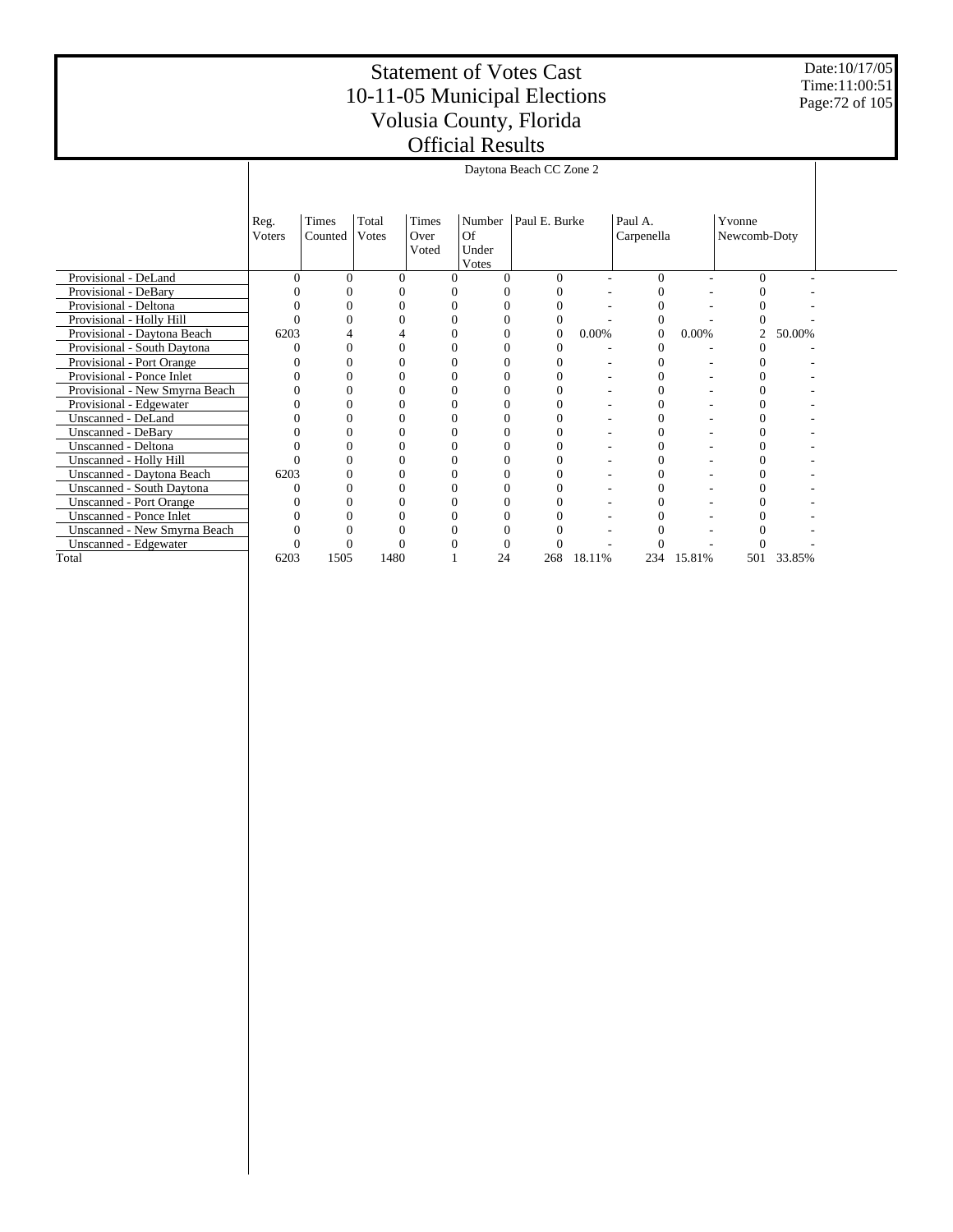Date:10/17/05 Time:11:00:51 Page:72 of 105

|                                  | Daytona Beach CC Zone 2 |                                                                                                                                                                                |      |  |          |          |        |          |        |     |        |  |  |  |
|----------------------------------|-------------------------|--------------------------------------------------------------------------------------------------------------------------------------------------------------------------------|------|--|----------|----------|--------|----------|--------|-----|--------|--|--|--|
|                                  | Reg.<br>Voters          | Total<br>Times<br>Paul E. Burke<br>Times<br>Number<br>Paul A.<br>Yvonne<br>Of<br>Counted<br>Votes<br>Carpenella<br>Over<br>Newcomb-Doty<br>Under<br>Voted<br>Votes<br>$\Omega$ |      |  |          |          |        |          |        |     |        |  |  |  |
| Provisional - DeLand             |                         | $\Omega$                                                                                                                                                                       | O    |  |          | $\Omega$ |        | $\Omega$ |        |     |        |  |  |  |
| Provisional - DeBary             |                         |                                                                                                                                                                                |      |  |          |          |        |          |        |     |        |  |  |  |
| Provisional - Deltona            |                         |                                                                                                                                                                                |      |  |          |          |        |          |        |     |        |  |  |  |
| Provisional - Holly Hill         |                         |                                                                                                                                                                                |      |  |          | $\Omega$ |        |          |        |     |        |  |  |  |
| Provisional - Daytona Beach      |                         | 6203<br>0.00%<br>0.00%<br>50.00%<br>2<br>$\Omega$<br>0<br>0                                                                                                                    |      |  |          |          |        |          |        |     |        |  |  |  |
| Provisional - South Daytona      |                         |                                                                                                                                                                                |      |  |          |          |        |          |        |     |        |  |  |  |
| Provisional - Port Orange        |                         |                                                                                                                                                                                |      |  | 0        |          |        |          |        |     |        |  |  |  |
| Provisional - Ponce Inlet        |                         |                                                                                                                                                                                |      |  |          |          |        |          |        |     |        |  |  |  |
| Provisional - New Smyrna Beach   |                         |                                                                                                                                                                                |      |  |          |          |        |          |        |     |        |  |  |  |
| Provisional - Edgewater          |                         | 0                                                                                                                                                                              |      |  | $\Omega$ |          |        | 0        |        |     |        |  |  |  |
| Unscanned - DeLand               |                         |                                                                                                                                                                                |      |  |          |          |        |          |        |     |        |  |  |  |
| Unscanned - DeBary               |                         |                                                                                                                                                                                |      |  |          |          |        |          |        |     |        |  |  |  |
| Unscanned - Deltona              |                         |                                                                                                                                                                                |      |  |          |          |        |          |        |     |        |  |  |  |
| Unscanned - Holly Hill           |                         |                                                                                                                                                                                |      |  | $\Omega$ |          |        |          |        |     |        |  |  |  |
| Unscanned - Daytona Beach        | 6203                    |                                                                                                                                                                                |      |  | 0        |          |        |          |        |     |        |  |  |  |
| <b>Unscanned - South Daytona</b> |                         | 0                                                                                                                                                                              |      |  | 0        |          |        |          |        |     |        |  |  |  |
| <b>Unscanned - Port Orange</b>   |                         | 0                                                                                                                                                                              |      |  | 0        |          |        |          |        |     |        |  |  |  |
| <b>Unscanned - Ponce Inlet</b>   |                         |                                                                                                                                                                                |      |  |          |          |        |          |        |     |        |  |  |  |
| Unscanned - New Smyrna Beach     |                         |                                                                                                                                                                                |      |  |          |          |        |          |        |     |        |  |  |  |
| Unscanned - Edgewater            | $\theta$                |                                                                                                                                                                                |      |  |          |          |        |          |        |     |        |  |  |  |
| Total                            | 6203                    | 1505                                                                                                                                                                           | 1480 |  | 24       | 268      | 18.11% | 234      | 15.81% | 501 | 33.85% |  |  |  |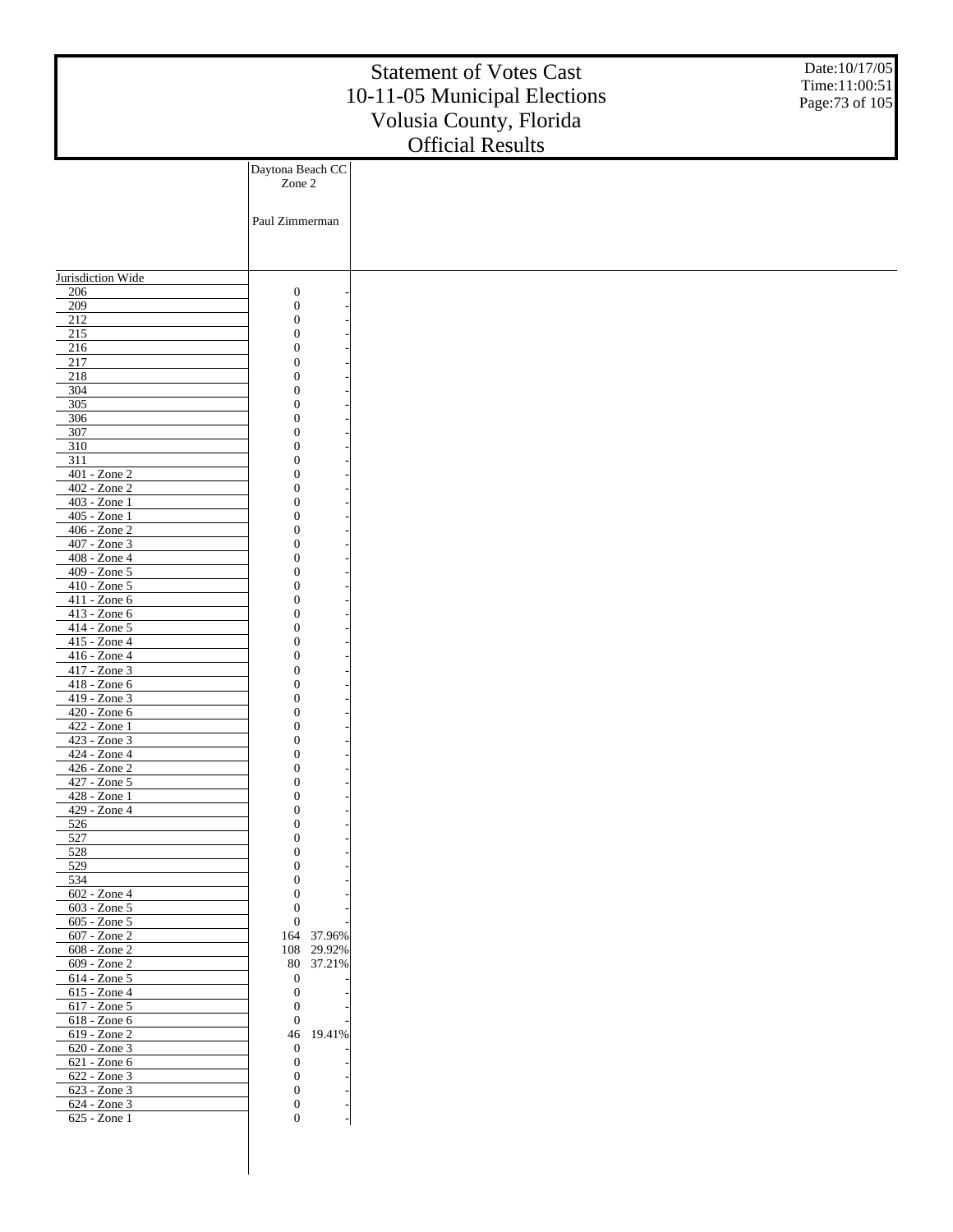|                                 |                                      | <b>Statement of Votes Cast</b><br>10-11-05 Municipal Elections<br>Volusia County, Florida<br><b>Official Results</b> | Date:10/17/05<br>Time:11:00:51<br>Page: 73 of 105 |
|---------------------------------|--------------------------------------|----------------------------------------------------------------------------------------------------------------------|---------------------------------------------------|
|                                 | Daytona Beach CC                     |                                                                                                                      |                                                   |
|                                 | Zone 2                               |                                                                                                                      |                                                   |
|                                 | Paul Zimmerman                       |                                                                                                                      |                                                   |
|                                 |                                      |                                                                                                                      |                                                   |
| Jurisdiction Wide               |                                      |                                                                                                                      |                                                   |
| 206                             | $\boldsymbol{0}$                     |                                                                                                                      |                                                   |
| 209                             | $\boldsymbol{0}$                     |                                                                                                                      |                                                   |
| 212<br>215                      | $\boldsymbol{0}$<br>$\overline{0}$   |                                                                                                                      |                                                   |
| 216                             | $\mathbf{0}$                         |                                                                                                                      |                                                   |
| 217                             | $\mathbf{0}$                         |                                                                                                                      |                                                   |
| 218                             | $\overline{0}$                       |                                                                                                                      |                                                   |
| 304<br>305                      | $\overline{0}$<br>$\overline{0}$     |                                                                                                                      |                                                   |
| 306                             | $\overline{0}$                       |                                                                                                                      |                                                   |
| 307                             | $\overline{0}$                       |                                                                                                                      |                                                   |
| 310<br>311                      | $\overline{0}$<br>$\overline{0}$     |                                                                                                                      |                                                   |
| 401 - Zone 2                    | $\overline{0}$                       |                                                                                                                      |                                                   |
| 402 - Zone 2                    | $\overline{0}$                       |                                                                                                                      |                                                   |
| 403 - Zone 1                    | $\overline{0}$                       |                                                                                                                      |                                                   |
| 405 - Zone 1<br>406 - Zone 2    | $\overline{0}$<br>$\mathbf{0}$       |                                                                                                                      |                                                   |
| 407 - Zone 3                    | $\overline{0}$                       |                                                                                                                      |                                                   |
| 408 - Zone 4                    | $\overline{0}$                       |                                                                                                                      |                                                   |
| 409 - Zone 5                    | $\overline{0}$                       |                                                                                                                      |                                                   |
| 410 - Zone 5<br>411 - Zone 6    | $\mathbf{0}$<br>$\overline{0}$       |                                                                                                                      |                                                   |
| 413 - Zone 6                    | $\overline{0}$                       |                                                                                                                      |                                                   |
| 414 - Zone 5                    | $\overline{0}$                       |                                                                                                                      |                                                   |
| 415 - Zone 4<br>416 - Zone 4    | $\mathbf{0}$<br>$\overline{0}$       |                                                                                                                      |                                                   |
| 417 - Zone 3                    | $\overline{0}$                       |                                                                                                                      |                                                   |
| 418 - Zone 6                    | $\overline{0}$                       |                                                                                                                      |                                                   |
| 419 - Zone 3                    | $\overline{0}$<br>$\overline{0}$     |                                                                                                                      |                                                   |
| 420 - Zone 6<br>422 - Zone 1    | $\overline{0}$                       |                                                                                                                      |                                                   |
| $423 - Zone$ 3                  | $\mathbf{0}$                         |                                                                                                                      |                                                   |
| $424 - Z$ one 4                 | 0                                    |                                                                                                                      |                                                   |
| 426 - Zone 2<br>427 - Zone 5    | $\boldsymbol{0}$<br>$\mathbf{0}$     |                                                                                                                      |                                                   |
| 428 - Zone 1                    | $\boldsymbol{0}$                     |                                                                                                                      |                                                   |
| 429 - Zone 4                    | $\boldsymbol{0}$                     |                                                                                                                      |                                                   |
| 526                             | $\boldsymbol{0}$<br>$\boldsymbol{0}$ |                                                                                                                      |                                                   |
| 527<br>528                      | $\boldsymbol{0}$                     |                                                                                                                      |                                                   |
| 529                             | $\mathbf{0}$                         |                                                                                                                      |                                                   |
| 534                             | $\boldsymbol{0}$                     |                                                                                                                      |                                                   |
| $602 - Z$ one 4<br>603 - Zone 5 | $\boldsymbol{0}$<br>$\boldsymbol{0}$ |                                                                                                                      |                                                   |
| $605 - Z$ one $5$               | $\boldsymbol{0}$                     |                                                                                                                      |                                                   |
| 607 - Zone 2                    | 164 37.96%                           |                                                                                                                      |                                                   |
| 608 - Zone 2<br>609 - Zone 2    | 108 29.92%<br>80 37.21%              |                                                                                                                      |                                                   |
| 614 - Zone 5                    | $\mathbf{0}$                         |                                                                                                                      |                                                   |
| 615 - Zone 4                    | $\boldsymbol{0}$                     |                                                                                                                      |                                                   |
| 617 - Zone 5                    | $\boldsymbol{0}$                     |                                                                                                                      |                                                   |
| 618 - Zone 6<br>619 - Zone 2    | $\boldsymbol{0}$<br>46<br>19.41%     |                                                                                                                      |                                                   |
| 620 - Zone 3                    | $\boldsymbol{0}$                     |                                                                                                                      |                                                   |
| 621 - Zone 6                    | $\boldsymbol{0}$                     |                                                                                                                      |                                                   |
| 622 - Zone 3<br>623 - Zone 3    | $\boldsymbol{0}$<br>$\boldsymbol{0}$ |                                                                                                                      |                                                   |
| 624 - Zone 3                    | $\boldsymbol{0}$                     |                                                                                                                      |                                                   |
| 625 - Zone 1                    | $\overline{0}$                       |                                                                                                                      |                                                   |
|                                 |                                      |                                                                                                                      |                                                   |
|                                 |                                      |                                                                                                                      |                                                   |
|                                 |                                      |                                                                                                                      |                                                   |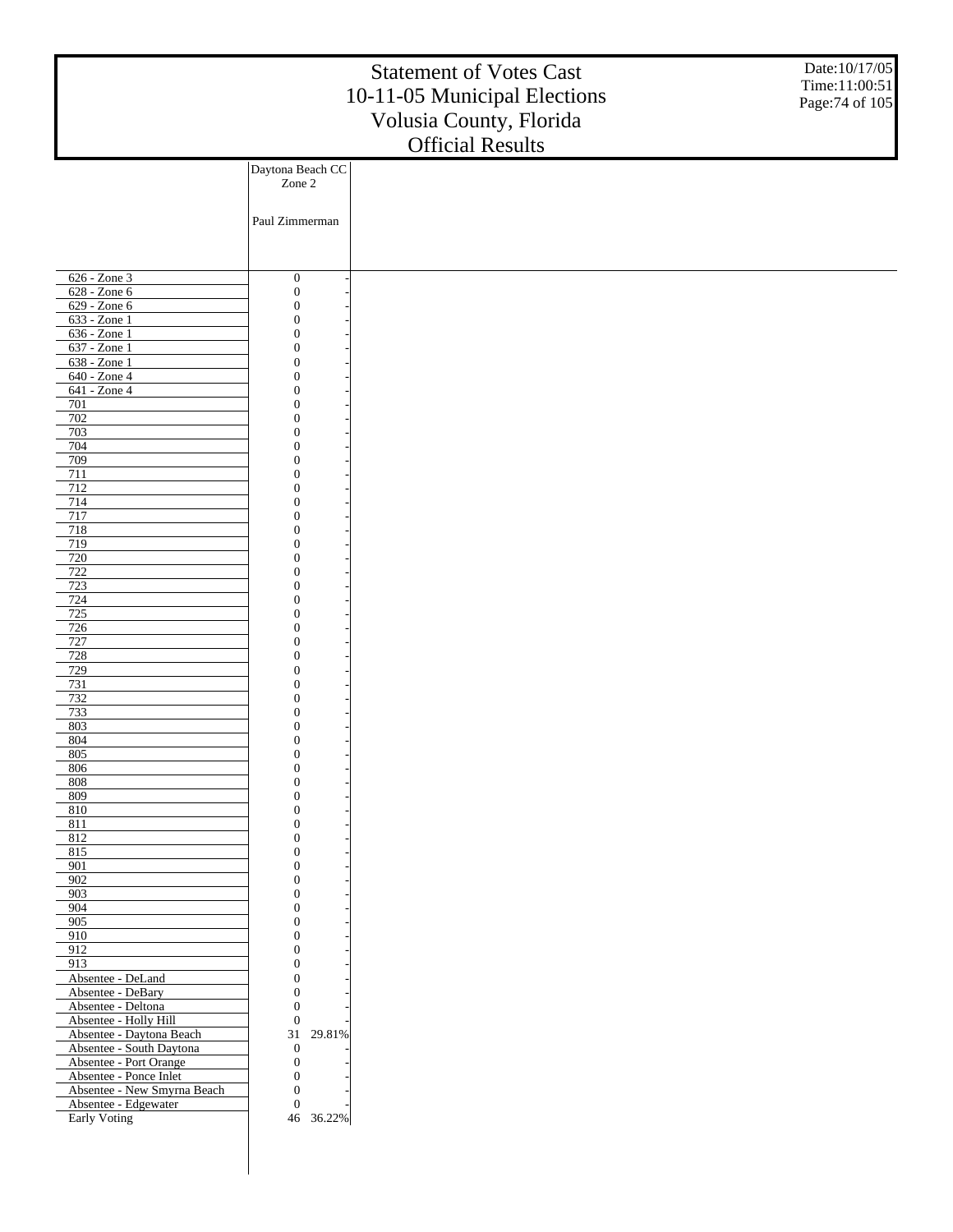|                                                    |                                      | <b>Statement of Votes Cast</b><br>10-11-05 Municipal Elections<br>Volusia County, Florida<br><b>Official Results</b> | Date:10/17/05<br>Time:11:00:51<br>Page: 74 of 105 |
|----------------------------------------------------|--------------------------------------|----------------------------------------------------------------------------------------------------------------------|---------------------------------------------------|
|                                                    | Daytona Beach CC                     |                                                                                                                      |                                                   |
|                                                    | Zone 2                               |                                                                                                                      |                                                   |
|                                                    |                                      |                                                                                                                      |                                                   |
|                                                    | Paul Zimmerman                       |                                                                                                                      |                                                   |
|                                                    |                                      |                                                                                                                      |                                                   |
|                                                    |                                      |                                                                                                                      |                                                   |
|                                                    |                                      |                                                                                                                      |                                                   |
| 626 - Zone 3<br>628 - Zone 6                       | $\boldsymbol{0}$<br>$\boldsymbol{0}$ |                                                                                                                      |                                                   |
| 629 - Zone 6                                       | $\overline{0}$                       |                                                                                                                      |                                                   |
| 633 - Zone 1                                       | $\mathbf{0}$                         |                                                                                                                      |                                                   |
| 636 - Zone 1                                       | $\theta$                             |                                                                                                                      |                                                   |
| 637 - Zone 1<br>638 - Zone 1                       | $\mathbf{0}$<br>$\overline{0}$       |                                                                                                                      |                                                   |
| 640 - Zone 4                                       | $\mathbf{0}$                         |                                                                                                                      |                                                   |
| 641 - Zone 4                                       | $\theta$                             |                                                                                                                      |                                                   |
| 701                                                | $\mathbf{0}$                         |                                                                                                                      |                                                   |
| 702                                                | $\overline{0}$                       |                                                                                                                      |                                                   |
| 703<br>704                                         | $\mathbf{0}$<br>$\theta$             |                                                                                                                      |                                                   |
| 709                                                | $\mathbf{0}$                         |                                                                                                                      |                                                   |
| 711                                                | $\overline{0}$                       |                                                                                                                      |                                                   |
| 712                                                | $\mathbf{0}$                         |                                                                                                                      |                                                   |
| 714<br>717                                         | $\theta$<br>$\mathbf{0}$             |                                                                                                                      |                                                   |
| 718                                                | $\overline{0}$                       |                                                                                                                      |                                                   |
| 719                                                | $\mathbf{0}$                         |                                                                                                                      |                                                   |
| 720                                                | $\theta$                             |                                                                                                                      |                                                   |
| 722<br>723                                         | $\mathbf{0}$<br>$\overline{0}$       |                                                                                                                      |                                                   |
| 724                                                | $\mathbf{0}$                         |                                                                                                                      |                                                   |
| 725                                                | $\theta$                             |                                                                                                                      |                                                   |
| 726                                                | $\mathbf{0}$                         |                                                                                                                      |                                                   |
| 727<br>728                                         | $\overline{0}$<br>$\mathbf{0}$       |                                                                                                                      |                                                   |
| 729                                                | $\theta$                             |                                                                                                                      |                                                   |
| 731                                                | $\mathbf{0}$                         |                                                                                                                      |                                                   |
| 732                                                | $\overline{0}$                       |                                                                                                                      |                                                   |
| 733<br>803                                         | $\mathbf{0}$<br>$\overline{0}$       |                                                                                                                      |                                                   |
| 804                                                | $\theta$                             |                                                                                                                      |                                                   |
| 805                                                | $\boldsymbol{0}$                     |                                                                                                                      |                                                   |
| 806                                                | $\boldsymbol{0}$                     |                                                                                                                      |                                                   |
| 808<br>809                                         | $\overline{0}$<br>$\boldsymbol{0}$   |                                                                                                                      |                                                   |
| 810                                                | $\overline{0}$                       |                                                                                                                      |                                                   |
| 811                                                | $\mathbf{0}$                         |                                                                                                                      |                                                   |
| 812                                                | $\overline{0}$                       |                                                                                                                      |                                                   |
| 815<br>901                                         | $\boldsymbol{0}$<br>$\overline{0}$   |                                                                                                                      |                                                   |
| 902                                                | $\mathbf{0}$                         |                                                                                                                      |                                                   |
| 903                                                | $\overline{0}$                       |                                                                                                                      |                                                   |
| 904                                                | $\boldsymbol{0}$<br>$\overline{0}$   |                                                                                                                      |                                                   |
| 905<br>910                                         | $\mathbf{0}$                         |                                                                                                                      |                                                   |
| 912                                                | $\overline{0}$                       |                                                                                                                      |                                                   |
| 913                                                | $\boldsymbol{0}$                     |                                                                                                                      |                                                   |
| Absentee - DeLand                                  | $\overline{0}$                       |                                                                                                                      |                                                   |
| Absentee - DeBary<br>Absentee - Deltona            | $\boldsymbol{0}$<br>$\overline{0}$   |                                                                                                                      |                                                   |
| Absentee - Holly Hill                              | $\boldsymbol{0}$                     |                                                                                                                      |                                                   |
| Absentee - Daytona Beach                           | 29.81%<br>31                         |                                                                                                                      |                                                   |
| Absentee - South Daytona<br>Absentee - Port Orange | $\mathbf{0}$<br>$\boldsymbol{0}$     |                                                                                                                      |                                                   |
| Absentee - Ponce Inlet                             | $\boldsymbol{0}$                     |                                                                                                                      |                                                   |
| Absentee - New Smyrna Beach                        | $\overline{0}$                       |                                                                                                                      |                                                   |
| Absentee - Edgewater                               | $\boldsymbol{0}$                     |                                                                                                                      |                                                   |
| Early Voting                                       | 46 36.22%                            |                                                                                                                      |                                                   |
|                                                    |                                      |                                                                                                                      |                                                   |
|                                                    |                                      |                                                                                                                      |                                                   |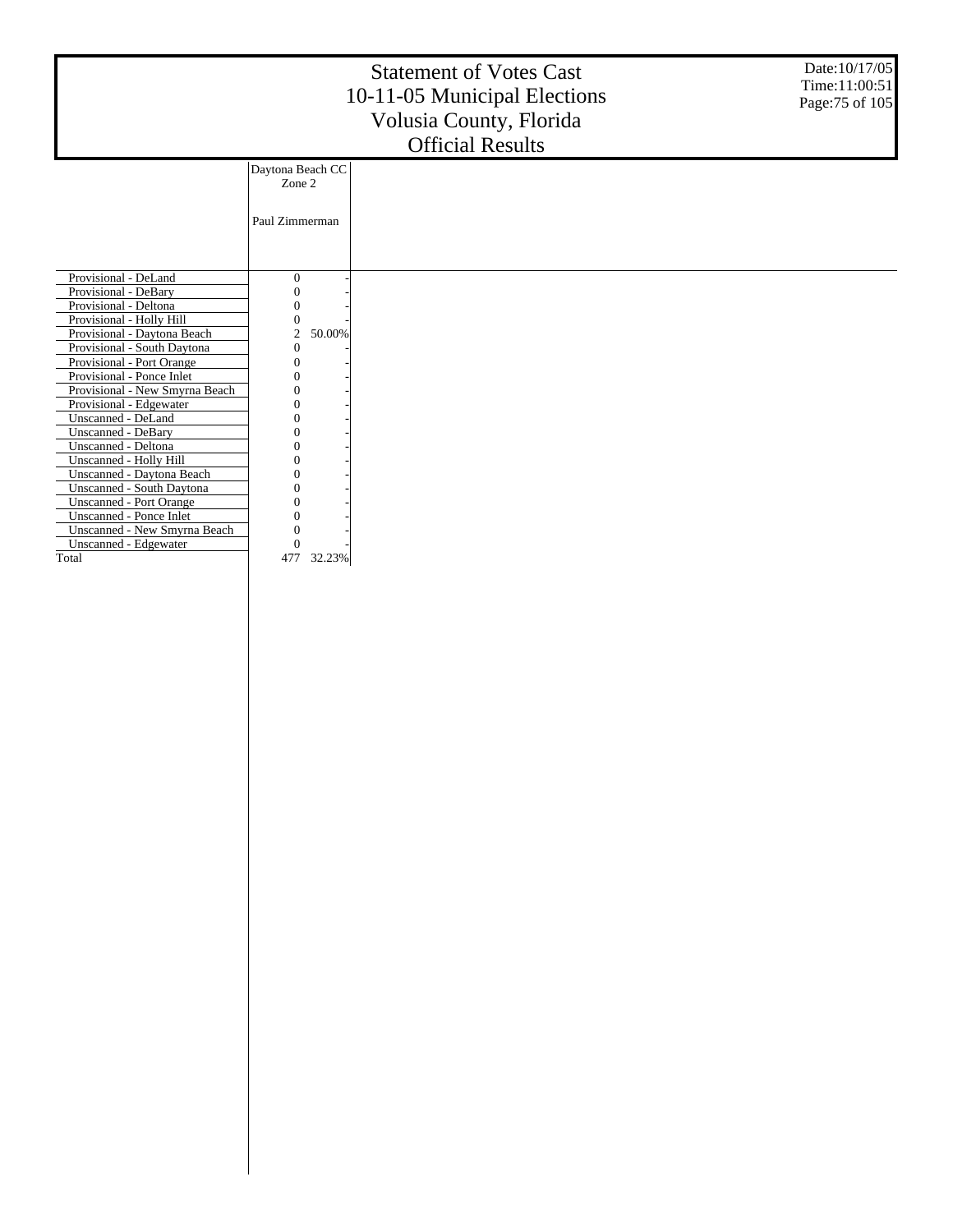|                                |                            | <b>Statement of Votes Cast</b><br>10-11-05 Municipal Elections<br>Volusia County, Florida<br><b>Official Results</b> | Date:10/17/05<br>Time:11:00:51<br>Page: 75 of 105 |
|--------------------------------|----------------------------|----------------------------------------------------------------------------------------------------------------------|---------------------------------------------------|
|                                | Daytona Beach CC<br>Zone 2 |                                                                                                                      |                                                   |
|                                | Paul Zimmerman             |                                                                                                                      |                                                   |
| Provisional - DeLand           | 0                          |                                                                                                                      |                                                   |
| Provisional - DeBary           | 0                          |                                                                                                                      |                                                   |
| Provisional - Deltona          |                            |                                                                                                                      |                                                   |
| Provisional - Holly Hill       | 0                          |                                                                                                                      |                                                   |
| Provisional - Daytona Beach    | $\mathfrak{2}$<br>50.00%   |                                                                                                                      |                                                   |
| Provisional - South Daytona    | $\Omega$                   |                                                                                                                      |                                                   |
| Provisional - Port Orange      |                            |                                                                                                                      |                                                   |
| Provisional - Ponce Inlet      |                            |                                                                                                                      |                                                   |
| Provisional - New Smyrna Beach |                            |                                                                                                                      |                                                   |
| Provisional - Edgewater        |                            |                                                                                                                      |                                                   |
| Unscanned - DeLand             |                            |                                                                                                                      |                                                   |
| Unscanned - DeBary             |                            |                                                                                                                      |                                                   |
| Unscanned - Deltona            |                            |                                                                                                                      |                                                   |
| Unscanned - Holly Hill         |                            |                                                                                                                      |                                                   |
| Unscanned - Daytona Beach      |                            |                                                                                                                      |                                                   |
| Unscanned - South Daytona      |                            |                                                                                                                      |                                                   |
| <b>Unscanned - Port Orange</b> |                            |                                                                                                                      |                                                   |
| Unscanned - Ponce Inlet        | Ω                          |                                                                                                                      |                                                   |
| Unscanned - New Smyrna Beach   | 0                          |                                                                                                                      |                                                   |
| Unscanned - Edgewater          | 0                          |                                                                                                                      |                                                   |
| Total                          | 477<br>32.23%              |                                                                                                                      |                                                   |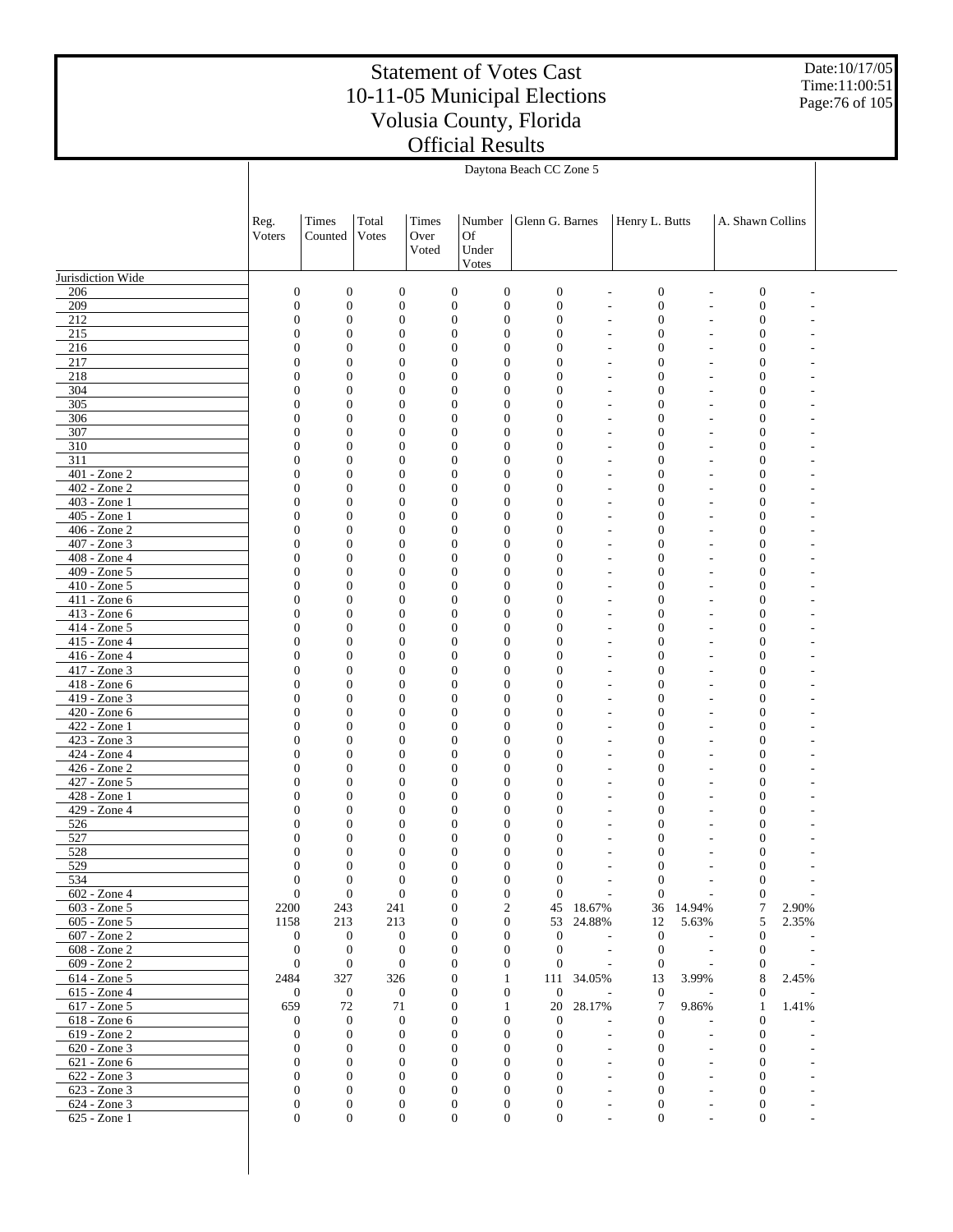Date:10/17/05 Time:11:00:51 Page:76 of 105

|                              |                                  | Daytona Beach CC Zone 5      |                                      |                                      |                                                                          |                                      |                                  |                                      |                          |                                      |       |  |
|------------------------------|----------------------------------|------------------------------|--------------------------------------|--------------------------------------|--------------------------------------------------------------------------|--------------------------------------|----------------------------------|--------------------------------------|--------------------------|--------------------------------------|-------|--|
|                              |                                  |                              |                                      |                                      |                                                                          |                                      |                                  |                                      |                          |                                      |       |  |
|                              | Reg.<br>Voters                   | Times<br>Counted             | Total<br>Votes                       | Times<br>Over<br>Voted               | Number<br>Of<br>Under                                                    | Glenn G. Barnes                      |                                  | Henry L. Butts                       |                          | A. Shawn Collins                     |       |  |
|                              |                                  |                              |                                      |                                      | Votes                                                                    |                                      |                                  |                                      |                          |                                      |       |  |
| Jurisdiction Wide            |                                  |                              |                                      |                                      |                                                                          |                                      |                                  |                                      |                          |                                      |       |  |
| 206<br>209                   | $\mathbf{0}$<br>$\mathbf{0}$     | $\mathbf{0}$<br>$\mathbf{0}$ | $\boldsymbol{0}$<br>$\boldsymbol{0}$ | $\boldsymbol{0}$<br>$\boldsymbol{0}$ | $\boldsymbol{0}$<br>$\mathbf{0}$                                         | $\boldsymbol{0}$<br>$\boldsymbol{0}$ | $\overline{a}$<br>$\overline{a}$ | $\boldsymbol{0}$<br>$\boldsymbol{0}$ | $\overline{\phantom{a}}$ | $\boldsymbol{0}$<br>$\boldsymbol{0}$ |       |  |
| 212                          | $\mathbf{0}$                     | $\mathbf{0}$                 | $\boldsymbol{0}$                     |                                      | $\boldsymbol{0}$<br>$\mathbf{0}$                                         | $\mathbf{0}$                         | ÷,                               | $\boldsymbol{0}$                     |                          | $\boldsymbol{0}$                     |       |  |
| 215                          | $\overline{0}$                   | $\mathbf{0}$                 | $\mathbf{0}$                         |                                      | $\boldsymbol{0}$<br>$\overline{0}$                                       | $\overline{0}$                       | $\overline{a}$                   | $\boldsymbol{0}$                     |                          | $\mathbf{0}$                         |       |  |
| 216                          | $\mathbf{0}$                     | $\mathbf{0}$                 | $\boldsymbol{0}$                     |                                      | $\boldsymbol{0}$<br>$\overline{0}$                                       | $\overline{0}$                       |                                  | $\boldsymbol{0}$                     |                          | $\boldsymbol{0}$                     |       |  |
| 217                          | $\overline{0}$                   | $\mathbf{0}$                 | $\mathbf{0}$                         |                                      | $\boldsymbol{0}$<br>$\overline{0}$                                       | $\overline{0}$                       | $\overline{a}$                   | $\boldsymbol{0}$                     |                          | $\mathbf{0}$                         |       |  |
| 218                          | $\mathbf{0}$                     | $\mathbf{0}$                 | $\boldsymbol{0}$                     |                                      | $\boldsymbol{0}$<br>$\overline{0}$                                       | $\overline{0}$                       | ÷,                               | $\boldsymbol{0}$                     |                          | $\mathbf{0}$                         |       |  |
| 304<br>305                   | $\overline{0}$<br>$\overline{0}$ | $\mathbf{0}$<br>$\mathbf{0}$ | $\mathbf{0}$<br>$\boldsymbol{0}$     |                                      | $\boldsymbol{0}$<br>$\overline{0}$<br>$\boldsymbol{0}$<br>$\overline{0}$ | $\overline{0}$<br>$\overline{0}$     | $\overline{a}$                   | $\boldsymbol{0}$<br>$\mathbf{0}$     |                          | $\boldsymbol{0}$<br>$\boldsymbol{0}$ |       |  |
| 306                          | $\overline{0}$                   | $\mathbf{0}$                 | $\mathbf{0}$                         |                                      | $\boldsymbol{0}$<br>$\overline{0}$                                       | $\overline{0}$                       | $\overline{\phantom{a}}$         | $\boldsymbol{0}$                     |                          | $\mathbf{0}$                         |       |  |
| 307                          | $\mathbf{0}$                     | $\mathbf{0}$                 | $\boldsymbol{0}$                     |                                      | $\boldsymbol{0}$<br>$\overline{0}$                                       | $\overline{0}$                       |                                  | $\mathbf{0}$                         |                          | $\boldsymbol{0}$                     |       |  |
| 310                          | $\overline{0}$                   | $\mathbf{0}$                 | $\mathbf{0}$                         |                                      | $\boldsymbol{0}$<br>$\overline{0}$                                       | $\overline{0}$                       | $\overline{\phantom{a}}$         | $\boldsymbol{0}$                     |                          | $\boldsymbol{0}$                     |       |  |
| 311                          | $\mathbf{0}$                     | $\mathbf{0}$                 | $\boldsymbol{0}$                     |                                      | $\boldsymbol{0}$<br>$\overline{0}$                                       | $\overline{0}$                       |                                  | $\mathbf{0}$                         |                          | $\boldsymbol{0}$                     |       |  |
| 401 - Zone 2                 | $\overline{0}$                   | $\mathbf{0}$                 | $\mathbf{0}$                         |                                      | $\boldsymbol{0}$<br>$\overline{0}$                                       | $\overline{0}$                       | $\overline{\phantom{a}}$         | $\boldsymbol{0}$                     |                          | $\mathbf{0}$                         |       |  |
| 402 - Zone 2<br>403 - Zone 1 | $\mathbf{0}$<br>$\overline{0}$   | $\mathbf{0}$<br>$\mathbf{0}$ | $\boldsymbol{0}$<br>$\mathbf{0}$     |                                      | $\boldsymbol{0}$<br>$\overline{0}$<br>$\boldsymbol{0}$<br>$\overline{0}$ | $\overline{0}$<br>$\overline{0}$     | $\overline{a}$                   | $\mathbf{0}$<br>$\boldsymbol{0}$     |                          | $\boldsymbol{0}$<br>$\boldsymbol{0}$ |       |  |
| 405 - Zone 1                 | $\mathbf{0}$                     | $\mathbf{0}$                 | $\boldsymbol{0}$                     |                                      | $\boldsymbol{0}$<br>$\overline{0}$                                       | $\overline{0}$                       |                                  | $\mathbf{0}$                         |                          | $\boldsymbol{0}$                     |       |  |
| 406 - Zone 2                 | $\overline{0}$                   | $\mathbf{0}$                 | $\mathbf{0}$                         |                                      | $\boldsymbol{0}$<br>$\overline{0}$                                       | $\overline{0}$                       | $\overline{a}$                   | $\boldsymbol{0}$                     | ÷,                       | $\mathbf{0}$                         |       |  |
| 407 - Zone 3                 | $\mathbf{0}$                     | $\mathbf{0}$                 | $\boldsymbol{0}$                     |                                      | $\boldsymbol{0}$<br>$\overline{0}$                                       | $\overline{0}$                       | ÷,                               | $\mathbf{0}$                         |                          | $\boldsymbol{0}$                     |       |  |
| 408 - Zone 4                 | $\overline{0}$                   | $\mathbf{0}$                 | $\mathbf{0}$                         |                                      | $\boldsymbol{0}$<br>$\overline{0}$                                       | $\overline{0}$                       | $\overline{a}$                   | $\boldsymbol{0}$                     |                          | $\boldsymbol{0}$                     |       |  |
| 409 - Zone 5                 | $\overline{0}$                   | $\mathbf{0}$                 | $\boldsymbol{0}$                     |                                      | $\boldsymbol{0}$<br>$\overline{0}$                                       | $\mathbf{0}$                         |                                  | $\mathbf{0}$                         |                          | $\boldsymbol{0}$                     |       |  |
| 410 - Zone 5                 | $\overline{0}$<br>$\overline{0}$ | $\mathbf{0}$<br>$\mathbf{0}$ | $\mathbf{0}$                         |                                      | $\boldsymbol{0}$<br>$\overline{0}$<br>$\overline{0}$                     | $\mathbf{0}$<br>$\mathbf{0}$         | $\overline{\phantom{a}}$         | $\boldsymbol{0}$                     |                          | $\mathbf{0}$                         |       |  |
| 411 - Zone 6<br>413 - Zone 6 | $\overline{0}$                   | $\mathbf{0}$                 | $\boldsymbol{0}$<br>$\mathbf{0}$     |                                      | $\boldsymbol{0}$<br>$\boldsymbol{0}$<br>$\overline{0}$                   | $\mathbf{0}$                         | $\overline{\phantom{a}}$         | $\mathbf{0}$<br>$\boldsymbol{0}$     |                          | $\boldsymbol{0}$<br>$\boldsymbol{0}$ |       |  |
| 414 - Zone 5                 | $\mathbf{0}$                     | $\mathbf{0}$                 | $\boldsymbol{0}$                     |                                      | $\boldsymbol{0}$<br>$\overline{0}$                                       | $\mathbf{0}$                         |                                  | $\mathbf{0}$                         |                          | $\boldsymbol{0}$                     |       |  |
| 415 - Zone 4                 | $\overline{0}$                   | $\mathbf{0}$                 | $\mathbf{0}$                         |                                      | $\boldsymbol{0}$<br>$\overline{0}$                                       | $\mathbf{0}$                         | $\overline{\phantom{a}}$         | $\boldsymbol{0}$                     |                          | $\mathbf{0}$                         |       |  |
| 416 - Zone 4                 | $\mathbf{0}$                     | $\mathbf{0}$                 | $\boldsymbol{0}$                     |                                      | $\boldsymbol{0}$<br>$\overline{0}$                                       | $\mathbf{0}$                         |                                  | $\mathbf{0}$                         |                          | $\boldsymbol{0}$                     |       |  |
| 417 - Zone 3                 | $\overline{0}$                   | $\mathbf{0}$                 | $\mathbf{0}$                         |                                      | $\boldsymbol{0}$<br>$\overline{0}$                                       | $\mathbf{0}$                         | $\overline{a}$                   | $\boldsymbol{0}$                     |                          | $\boldsymbol{0}$                     |       |  |
| 418 - Zone 6                 | $\mathbf{0}$                     | $\mathbf{0}$                 | $\boldsymbol{0}$                     |                                      | $\boldsymbol{0}$<br>$\overline{0}$                                       | $\overline{0}$                       |                                  | $\mathbf{0}$                         |                          | $\boldsymbol{0}$                     |       |  |
| 419 - Zone 3<br>420 - Zone 6 | $\overline{0}$<br>$\mathbf{0}$   | $\mathbf{0}$<br>$\mathbf{0}$ | $\mathbf{0}$<br>$\boldsymbol{0}$     |                                      | $\boldsymbol{0}$<br>$\overline{0}$<br>$\boldsymbol{0}$<br>$\overline{0}$ | $\overline{0}$<br>$\overline{0}$     | $\overline{a}$<br>÷,             | $\boldsymbol{0}$<br>$\mathbf{0}$     | ÷,                       | $\mathbf{0}$<br>$\boldsymbol{0}$     |       |  |
| 422 - Zone 1                 | $\overline{0}$                   | $\mathbf{0}$                 | $\mathbf{0}$                         |                                      | $\boldsymbol{0}$<br>$\overline{0}$                                       | $\overline{0}$                       | $\overline{a}$                   | $\boldsymbol{0}$                     |                          | $\boldsymbol{0}$                     |       |  |
| 423 - Zone 3                 | $\overline{0}$                   | $\mathbf{0}$                 | $\boldsymbol{0}$                     |                                      | $\boldsymbol{0}$<br>$\overline{0}$                                       | $\overline{0}$                       |                                  | $\mathbf{0}$                         |                          | $\boldsymbol{0}$                     |       |  |
| 424 - Zone 4                 | $\overline{0}$                   | $\mathbf{0}$                 | $\mathbf{0}$                         |                                      | $\boldsymbol{0}$<br>$\overline{0}$                                       | $\overline{0}$                       | $\overline{a}$                   | $\boldsymbol{0}$                     |                          | $\mathbf{0}$                         |       |  |
| 426 - Zone 2                 | $\overline{0}$                   | $\mathbf{0}$                 | $\boldsymbol{0}$                     |                                      | $\boldsymbol{0}$<br>$\overline{0}$                                       | $\overline{0}$                       |                                  | $\mathbf{0}$                         |                          | $\boldsymbol{0}$                     |       |  |
| 427 - Zone 5                 | $\overline{0}$                   | $\mathbf{0}$                 | $\mathbf{0}$                         |                                      | $\boldsymbol{0}$<br>$\overline{0}$                                       | $\overline{0}$                       | $\overline{\phantom{a}}$         | $\boldsymbol{0}$                     |                          | $\mathbf{0}$                         |       |  |
| 428 - Zone 1<br>429 - Zone 4 | $\mathbf{0}$<br>$\overline{0}$   | $\mathbf{0}$<br>$\mathbf{0}$ | $\mathbf{0}$<br>$\mathbf{0}$         |                                      | $\boldsymbol{0}$<br>$\overline{0}$<br>$\boldsymbol{0}$<br>$\overline{0}$ | $\overline{0}$<br>$\overline{0}$     | $\overline{\phantom{a}}$         | $\mathbf{0}$<br>$\boldsymbol{0}$     |                          | $\boldsymbol{0}$<br>$\mathbf{0}$     |       |  |
| 526                          | $\mathbf{0}$                     | $\mathbf{0}$                 | $\boldsymbol{0}$                     |                                      | $\boldsymbol{0}$<br>$\overline{0}$                                       | $\overline{0}$                       |                                  | $\mathbf{0}$                         |                          | $\mathbf{0}$                         |       |  |
| 527                          | $\overline{0}$                   | $\mathbf{0}$                 | $\mathbf{0}$                         |                                      | $\boldsymbol{0}$<br>$\overline{0}$                                       | $\mathbf{0}$                         | $\overline{\phantom{a}}$         | $\boldsymbol{0}$                     |                          | $\mathbf{0}$                         |       |  |
| 528                          | $\overline{0}$                   | $\mathbf{0}$                 | $\mathbf{0}$                         |                                      | $\overline{0}$<br>$\theta$                                               | $\mathbf{0}$                         |                                  | $\mathbf{0}$                         | L,                       | $\mathbf{0}$                         |       |  |
| 529                          | $\boldsymbol{0}$                 | $\mathbf{0}$                 | $\boldsymbol{0}$                     |                                      | $\mathbf{0}$<br>0                                                        | $\boldsymbol{0}$                     |                                  | 0                                    |                          | $\boldsymbol{0}$                     |       |  |
| 534                          | $\mathbf{0}$                     | $\mathbf{0}$                 | $\boldsymbol{0}$                     |                                      | $\boldsymbol{0}$<br>$\theta$                                             | $\mathbf{0}$                         |                                  | $\mathbf{0}$                         |                          | $\boldsymbol{0}$                     |       |  |
| 602 - Zone 4<br>603 - Zone 5 | $\boldsymbol{0}$<br>2200         | $\mathbf{0}$<br>243          | $\mathbf{0}$<br>241                  | $\mathbf{0}$<br>$\mathbf{0}$         | $\theta$<br>2                                                            | $\mathbf{0}$                         | 45 18.67%                        | $\theta$<br>36                       | 14.94%                   | $\boldsymbol{0}$<br>7                | 2.90% |  |
| 605 - Zone 5                 | 1158                             | 213                          | 213                                  | $\mathbf{0}$                         | $\theta$                                                                 |                                      | 53 24.88%                        | 12                                   | 5.63%                    | 5                                    | 2.35% |  |
| 607 - Zone 2                 | $\mathbf{0}$                     | $\theta$                     | $\mathbf{0}$                         |                                      | $\boldsymbol{0}$<br>$\overline{0}$                                       | $\mathbf{0}$                         |                                  | $\mathbf{0}$                         |                          | $\boldsymbol{0}$                     |       |  |
| 608 - Zone 2                 | $\theta$                         | $\mathbf{0}$                 | $\theta$                             |                                      | $\overline{0}$<br>$\overline{0}$                                         | $\mathbf{0}$                         | $\overline{\phantom{a}}$         | $\mathbf{0}$                         | $\overline{\phantom{a}}$ | $\boldsymbol{0}$                     |       |  |
| 609 - Zone 2                 | $\boldsymbol{0}$                 | $\mathbf{0}$                 | $\mathbf{0}$                         |                                      | $\boldsymbol{0}$<br>$\mathbf{0}$                                         | $\mathbf{0}$                         |                                  | $\mathbf{0}$                         |                          | $\mathbf{0}$                         |       |  |
| 614 - Zone 5                 | 2484                             | 327                          | 326                                  |                                      | $\overline{0}$<br>$\mathbf{1}$                                           |                                      | 111 34.05%                       | 13                                   | 3.99%                    | 8                                    | 2.45% |  |
| 615 - Zone 4<br>617 - Zone 5 | $\mathbf{0}$<br>659              | $\mathbf{0}$<br>72           | $\mathbf{0}$<br>71                   |                                      | $\boldsymbol{0}$<br>$\overline{0}$<br>$\overline{0}$<br>1                | $\mathbf{0}$<br>20                   | 28.17%                           | $\mathbf{0}$<br>7                    | 9.86%                    | $\mathbf{0}$<br>1                    | 1.41% |  |
| 618 - Zone 6                 | $\mathbf{0}$                     | $\mathbf{0}$                 | $\boldsymbol{0}$                     |                                      | $\boldsymbol{0}$<br>$\overline{0}$                                       | $\mathbf{0}$                         |                                  | $\boldsymbol{0}$                     |                          | $\mathbf{0}$                         |       |  |
| 619 - Zone 2                 | $\overline{0}$                   | $\mathbf{0}$                 | $\mathbf{0}$                         |                                      | $\overline{0}$<br>$\theta$                                               | $\mathbf{0}$                         |                                  | $\mathbf{0}$                         |                          | $\mathbf{0}$                         |       |  |
| 620 - Zone 3                 | $\theta$                         | $\mathbf{0}$                 | $\mathbf{0}$                         |                                      | $\overline{0}$<br>$\theta$                                               | $\Omega$                             |                                  | $\overline{0}$                       |                          | $\mathbf{0}$                         |       |  |
| 621 - Zone 6                 | $\Omega$                         | $\Omega$                     | $\mathbf{0}$                         |                                      | $\overline{0}$<br>$\theta$                                               | $\Omega$                             | $\overline{a}$                   | $\mathbf{0}$                         |                          | $\mathbf{0}$                         |       |  |
| 622 - Zone 3                 | $\overline{0}$                   | $\mathbf{0}$                 | $\mathbf{0}$                         |                                      | $\overline{0}$<br>$\overline{0}$                                         | $\Omega$                             |                                  | $\overline{0}$                       |                          | $\mathbf{0}$                         |       |  |
| 623 - Zone 3<br>624 - Zone 3 | $\theta$<br>$\mathbf{0}$         | $\mathbf{0}$<br>$\mathbf{0}$ | $\mathbf{0}$<br>$\boldsymbol{0}$     |                                      | $\overline{0}$<br>$\theta$<br>$\boldsymbol{0}$<br>$\mathbf{0}$           | $\Omega$<br>$\boldsymbol{0}$         |                                  | $\boldsymbol{0}$<br>$\boldsymbol{0}$ |                          | $\mathbf{0}$<br>$\boldsymbol{0}$     |       |  |
| 625 - Zone 1                 | $\overline{0}$                   | $\mathbf{0}$                 | $\mathbf{0}$                         |                                      | $\overline{0}$<br>$\mathbf{0}$                                           | $\mathbf{0}$                         |                                  | $\boldsymbol{0}$                     |                          | $\mathbf{0}$                         |       |  |
|                              |                                  |                              |                                      |                                      |                                                                          |                                      |                                  |                                      |                          |                                      |       |  |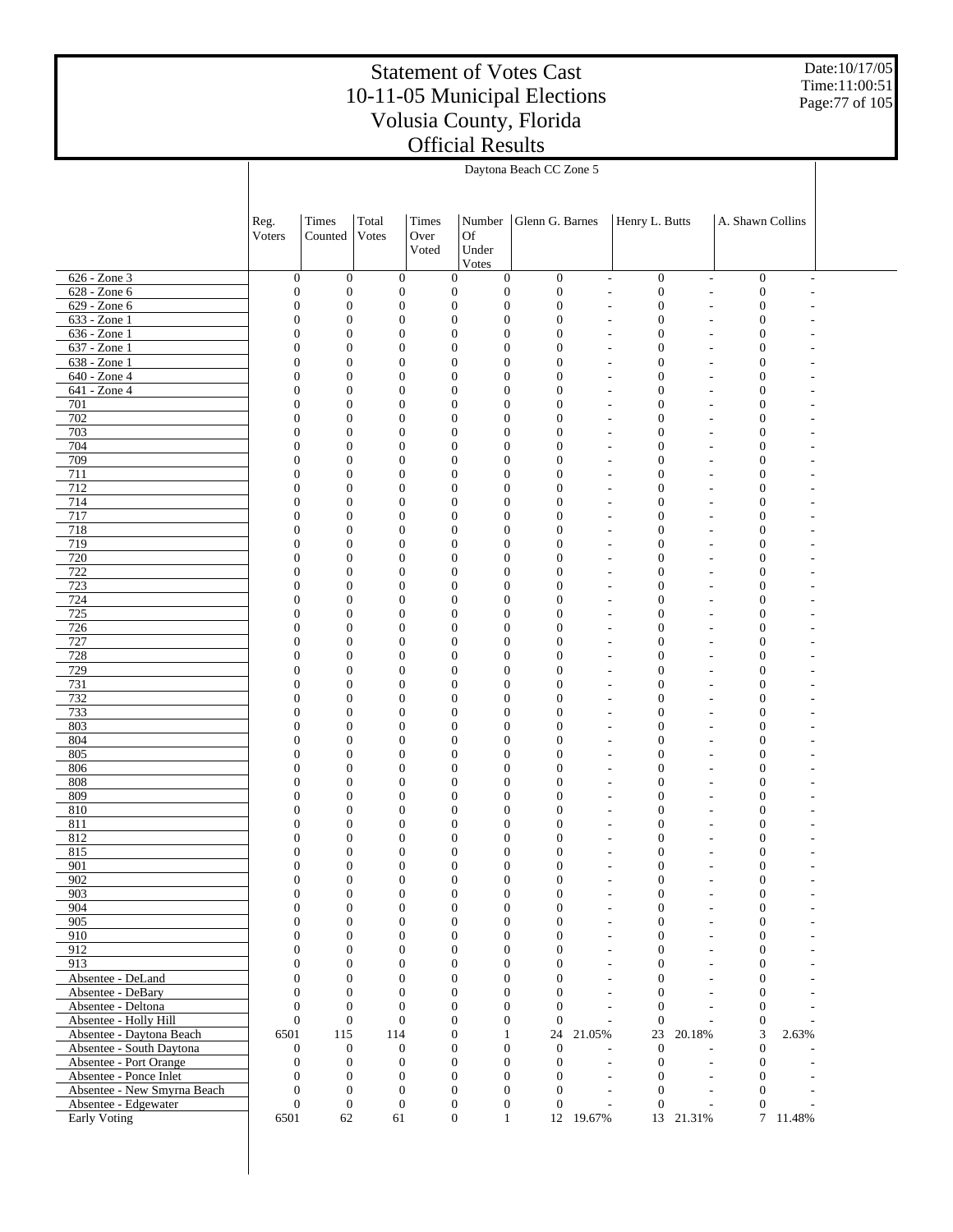Date:10/17/05 Time:11:00:51 Page:77 of 105

|                                                   |                                      | Daytona Beach CC Zone 5              |                                      |               |                                                                          |                                      |                                  |                                                                                              |                                |                                      |                          |  |  |
|---------------------------------------------------|--------------------------------------|--------------------------------------|--------------------------------------|---------------|--------------------------------------------------------------------------|--------------------------------------|----------------------------------|----------------------------------------------------------------------------------------------|--------------------------------|--------------------------------------|--------------------------|--|--|
|                                                   |                                      |                                      |                                      |               |                                                                          |                                      |                                  |                                                                                              |                                |                                      |                          |  |  |
|                                                   | Reg.<br>Voters                       | <b>Times</b><br>Counted              | Total<br>Votes                       | Times<br>Over | Number<br>Of                                                             | Glenn G. Barnes                      |                                  | Henry L. Butts                                                                               |                                | A. Shawn Collins                     |                          |  |  |
|                                                   |                                      |                                      |                                      | Voted         | Under                                                                    |                                      |                                  |                                                                                              |                                |                                      |                          |  |  |
|                                                   |                                      |                                      | $\boldsymbol{0}$                     |               | Votes                                                                    |                                      |                                  |                                                                                              |                                |                                      |                          |  |  |
| 626 - Zone 3<br>628 - Zone 6                      | $\boldsymbol{0}$<br>$\boldsymbol{0}$ | $\boldsymbol{0}$<br>$\boldsymbol{0}$ | $\mathbf{0}$                         |               | $\boldsymbol{0}$<br>$\mathbf{0}$<br>$\boldsymbol{0}$<br>$\boldsymbol{0}$ | $\boldsymbol{0}$<br>$\boldsymbol{0}$ |                                  | $\boldsymbol{0}$<br>$\overline{\phantom{a}}$<br>$\boldsymbol{0}$<br>$\overline{\phantom{a}}$ | $\overline{\phantom{a}}$<br>L. | $\boldsymbol{0}$<br>$\boldsymbol{0}$ | $\overline{\phantom{a}}$ |  |  |
| 629 - Zone 6                                      | $\boldsymbol{0}$                     | $\mathbf{0}$                         | $\mathbf{0}$                         |               | $\boldsymbol{0}$<br>$\boldsymbol{0}$                                     | $\boldsymbol{0}$                     | $\overline{a}$                   | $\boldsymbol{0}$                                                                             | L,                             | $\boldsymbol{0}$                     |                          |  |  |
| 633 - Zone 1                                      | $\boldsymbol{0}$                     | $\mathbf{0}$                         | $\boldsymbol{0}$                     |               | $\boldsymbol{0}$<br>$\mathbf{0}$                                         | $\boldsymbol{0}$                     | $\overline{a}$                   | $\boldsymbol{0}$                                                                             | L,                             | $\boldsymbol{0}$                     |                          |  |  |
| $636 - Zone1$                                     | $\boldsymbol{0}$                     | $\mathbf{0}$                         | $\boldsymbol{0}$                     |               | $\boldsymbol{0}$<br>$\mathbf{0}$                                         | $\mathbf{0}$                         | $\overline{a}$                   | $\boldsymbol{0}$                                                                             | L,                             | $\boldsymbol{0}$                     |                          |  |  |
| 637 - Zone 1                                      | $\boldsymbol{0}$                     | $\mathbf{0}$                         | $\boldsymbol{0}$                     |               | $\mathbf{0}$<br>$\mathbf{0}$                                             | $\overline{0}$                       | $\overline{a}$                   | $\boldsymbol{0}$                                                                             | L,                             | $\boldsymbol{0}$                     |                          |  |  |
| 638 - Zone 1                                      | $\boldsymbol{0}$                     | $\mathbf{0}$                         | $\boldsymbol{0}$                     |               | $\boldsymbol{0}$<br>$\mathbf{0}$                                         | $\mathbf{0}$                         | $\overline{a}$                   | $\boldsymbol{0}$                                                                             | L,                             | $\boldsymbol{0}$                     |                          |  |  |
| 640 - Zone 4<br>641 - Zone 4                      | $\boldsymbol{0}$<br>$\boldsymbol{0}$ | $\mathbf{0}$<br>$\mathbf{0}$         | $\boldsymbol{0}$<br>$\boldsymbol{0}$ |               | $\boldsymbol{0}$<br>$\mathbf{0}$<br>$\boldsymbol{0}$<br>$\mathbf{0}$     | $\overline{0}$<br>$\mathbf{0}$       | $\overline{a}$<br>$\overline{a}$ | $\boldsymbol{0}$<br>$\boldsymbol{0}$                                                         | L,<br>٠                        | $\boldsymbol{0}$<br>$\boldsymbol{0}$ |                          |  |  |
| 701                                               | $\boldsymbol{0}$                     | $\mathbf{0}$                         | $\boldsymbol{0}$                     |               | $\mathbf{0}$<br>$\mathbf{0}$                                             | $\mathbf{0}$                         | $\overline{a}$                   | $\boldsymbol{0}$                                                                             | L,                             | $\boldsymbol{0}$                     |                          |  |  |
| 702                                               | $\boldsymbol{0}$                     | $\mathbf{0}$                         | $\boldsymbol{0}$                     |               | $\boldsymbol{0}$<br>$\mathbf{0}$                                         | $\mathbf{0}$                         | $\overline{a}$                   | $\boldsymbol{0}$                                                                             | ٠                              | $\boldsymbol{0}$                     |                          |  |  |
| 703                                               | $\boldsymbol{0}$                     | $\mathbf{0}$                         | $\boldsymbol{0}$                     |               | $\boldsymbol{0}$<br>$\mathbf{0}$                                         | $\mathbf{0}$                         | $\overline{a}$                   | $\boldsymbol{0}$                                                                             | ٠                              | $\boldsymbol{0}$                     |                          |  |  |
| 704                                               | $\boldsymbol{0}$                     | $\mathbf{0}$                         | $\boldsymbol{0}$                     |               | $\boldsymbol{0}$<br>$\mathbf{0}$                                         | $\mathbf{0}$                         | $\overline{\phantom{a}}$         | $\boldsymbol{0}$                                                                             | ٠                              | $\boldsymbol{0}$                     |                          |  |  |
| 709                                               | $\boldsymbol{0}$                     | $\mathbf{0}$                         | $\boldsymbol{0}$                     |               | $\mathbf{0}$<br>$\mathbf{0}$                                             | $\mathbf{0}$                         |                                  | $\boldsymbol{0}$<br>٠                                                                        | ٠                              | $\boldsymbol{0}$                     |                          |  |  |
| 711                                               | $\boldsymbol{0}$                     | $\mathbf{0}$                         | $\boldsymbol{0}$                     |               | $\boldsymbol{0}$<br>$\mathbf{0}$                                         | $\mathbf{0}$                         | $\overline{\phantom{a}}$         | $\boldsymbol{0}$                                                                             | $\overline{a}$                 | $\boldsymbol{0}$                     |                          |  |  |
| 712                                               | $\boldsymbol{0}$                     | $\mathbf{0}$                         | $\boldsymbol{0}$                     |               | $\boldsymbol{0}$<br>$\mathbf{0}$                                         | $\mathbf{0}$                         |                                  | $\boldsymbol{0}$<br>٠                                                                        | ٠                              | $\boldsymbol{0}$                     |                          |  |  |
| 714<br>717                                        | $\boldsymbol{0}$<br>$\boldsymbol{0}$ | $\mathbf{0}$<br>$\mathbf{0}$         | $\boldsymbol{0}$<br>$\boldsymbol{0}$ |               | $\boldsymbol{0}$<br>$\mathbf{0}$<br>$\mathbf{0}$<br>$\mathbf{0}$         | $\mathbf{0}$<br>$\overline{0}$       | $\overline{\phantom{a}}$         | $\boldsymbol{0}$                                                                             | ٠                              | $\boldsymbol{0}$<br>$\boldsymbol{0}$ |                          |  |  |
| 718                                               | $\boldsymbol{0}$                     | $\mathbf{0}$                         | $\boldsymbol{0}$                     |               | $\boldsymbol{0}$<br>$\mathbf{0}$                                         | $\mathbf{0}$                         | $\overline{\phantom{a}}$         | $\boldsymbol{0}$<br>$\overline{\phantom{a}}$<br>$\boldsymbol{0}$                             | ٠<br>٠                         | $\boldsymbol{0}$                     |                          |  |  |
| 719                                               | $\boldsymbol{0}$                     | $\mathbf{0}$                         | $\boldsymbol{0}$                     |               | $\boldsymbol{0}$<br>$\mathbf{0}$                                         | $\overline{0}$                       | $\overline{a}$                   | $\boldsymbol{0}$                                                                             | L,                             | $\boldsymbol{0}$                     |                          |  |  |
| 720                                               | $\boldsymbol{0}$                     | $\mathbf{0}$                         | $\boldsymbol{0}$                     |               | $\boldsymbol{0}$<br>$\mathbf{0}$                                         | $\mathbf{0}$                         | $\overline{a}$                   | $\boldsymbol{0}$                                                                             | ٠                              | $\boldsymbol{0}$                     |                          |  |  |
| 722                                               | $\boldsymbol{0}$                     | $\mathbf{0}$                         | $\boldsymbol{0}$                     |               | $\mathbf{0}$<br>$\mathbf{0}$                                             | $\overline{0}$                       | $\overline{a}$                   | $\boldsymbol{0}$                                                                             | L,                             | $\boldsymbol{0}$                     |                          |  |  |
| 723                                               | $\boldsymbol{0}$                     | $\mathbf{0}$                         | $\boldsymbol{0}$                     |               | $\boldsymbol{0}$<br>$\mathbf{0}$                                         | $\mathbf{0}$                         |                                  | $\boldsymbol{0}$<br>$\overline{\phantom{a}}$                                                 | L,                             | $\boldsymbol{0}$                     |                          |  |  |
| 724                                               | $\boldsymbol{0}$                     | $\mathbf{0}$                         | $\boldsymbol{0}$                     |               | $\boldsymbol{0}$<br>$\mathbf{0}$                                         | $\overline{0}$                       | $\overline{a}$                   | $\boldsymbol{0}$                                                                             | L,                             | $\boldsymbol{0}$                     |                          |  |  |
| 725                                               | $\boldsymbol{0}$                     | $\mathbf{0}$                         | $\boldsymbol{0}$                     |               | $\boldsymbol{0}$<br>$\mathbf{0}$                                         | $\mathbf{0}$                         | $\overline{a}$                   | $\boldsymbol{0}$                                                                             | L,                             | $\boldsymbol{0}$                     |                          |  |  |
| 726                                               | $\boldsymbol{0}$                     | $\mathbf{0}$                         | $\boldsymbol{0}$                     |               | $\mathbf{0}$<br>$\mathbf{0}$                                             | $\overline{0}$                       | $\overline{a}$                   | $\boldsymbol{0}$                                                                             | L,                             | $\boldsymbol{0}$                     |                          |  |  |
| 727<br>728                                        | $\boldsymbol{0}$<br>$\boldsymbol{0}$ | $\mathbf{0}$<br>$\mathbf{0}$         | $\boldsymbol{0}$<br>$\boldsymbol{0}$ |               | $\boldsymbol{0}$<br>$\mathbf{0}$<br>$\boldsymbol{0}$<br>$\mathbf{0}$     | $\mathbf{0}$<br>$\overline{0}$       | $\overline{a}$                   | $\boldsymbol{0}$<br>$\overline{\phantom{a}}$<br>$\boldsymbol{0}$                             | L,<br>L,                       | $\boldsymbol{0}$<br>$\boldsymbol{0}$ |                          |  |  |
| 729                                               | $\boldsymbol{0}$                     | $\mathbf{0}$                         | $\boldsymbol{0}$                     |               | $\boldsymbol{0}$<br>$\mathbf{0}$                                         | $\mathbf{0}$                         | $\overline{a}$                   | $\boldsymbol{0}$                                                                             | L,                             | $\boldsymbol{0}$                     |                          |  |  |
| 731                                               | $\boldsymbol{0}$                     | $\mathbf{0}$                         | $\boldsymbol{0}$                     |               | $\mathbf{0}$<br>$\mathbf{0}$                                             | $\overline{0}$                       | $\overline{a}$                   | $\boldsymbol{0}$                                                                             | L,                             | $\boldsymbol{0}$                     |                          |  |  |
| 732                                               | $\boldsymbol{0}$                     | $\mathbf{0}$                         | $\boldsymbol{0}$                     |               | $\boldsymbol{0}$<br>$\mathbf{0}$                                         | $\mathbf{0}$                         | $\overline{a}$                   | $\boldsymbol{0}$                                                                             | L,                             | $\boldsymbol{0}$                     |                          |  |  |
| 733                                               | $\boldsymbol{0}$                     | $\mathbf{0}$                         | $\boldsymbol{0}$                     |               | $\boldsymbol{0}$<br>$\mathbf{0}$                                         | $\overline{0}$                       | $\overline{a}$                   | $\boldsymbol{0}$                                                                             | L,                             | $\boldsymbol{0}$                     |                          |  |  |
| 803                                               | $\boldsymbol{0}$                     | $\mathbf{0}$                         | $\boldsymbol{0}$                     |               | $\boldsymbol{0}$<br>$\mathbf{0}$                                         | $\mathbf{0}$                         | $\overline{a}$                   | $\boldsymbol{0}$                                                                             | L,                             | $\boldsymbol{0}$                     |                          |  |  |
| 804                                               | $\boldsymbol{0}$                     | $\mathbf{0}$                         | $\boldsymbol{0}$                     |               | $\mathbf{0}$<br>$\mathbf{0}$                                             | $\overline{0}$                       | $\overline{a}$                   | $\boldsymbol{0}$                                                                             | L,                             | $\boldsymbol{0}$                     |                          |  |  |
| 805                                               | $\boldsymbol{0}$                     | $\mathbf{0}$                         | $\boldsymbol{0}$                     |               | $\boldsymbol{0}$<br>$\mathbf{0}$                                         | $\mathbf{0}$                         | $\overline{a}$                   | $\boldsymbol{0}$                                                                             | ٠                              | $\boldsymbol{0}$                     |                          |  |  |
| 806<br>808                                        | $\boldsymbol{0}$<br>$\boldsymbol{0}$ | $\mathbf{0}$<br>$\mathbf{0}$         | $\boldsymbol{0}$<br>$\boldsymbol{0}$ |               | $\boldsymbol{0}$<br>$\mathbf{0}$<br>$\boldsymbol{0}$<br>$\mathbf{0}$     | $\overline{0}$<br>$\mathbf{0}$       | $\overline{a}$<br>$\overline{a}$ | $\boldsymbol{0}$<br>$\boldsymbol{0}$                                                         | L,<br>٠                        | $\boldsymbol{0}$<br>$\boldsymbol{0}$ |                          |  |  |
| 809                                               | $\boldsymbol{0}$                     | $\boldsymbol{0}$                     | $\boldsymbol{0}$                     |               | $\mathbf{0}$<br>$\mathbf{0}$                                             | $\overline{0}$                       | $\overline{\phantom{a}}$         | $\boldsymbol{0}$                                                                             |                                | $\boldsymbol{0}$                     |                          |  |  |
| 810                                               | $\boldsymbol{0}$                     | $\boldsymbol{0}$                     | $\mathbf{0}$                         |               | $\boldsymbol{0}$<br>$\mathbf{0}$                                         | $\mathbf{0}$                         | $\overline{\phantom{a}}$         | $\boldsymbol{0}$                                                                             | ٠                              | $\boldsymbol{0}$                     |                          |  |  |
| 811                                               | $\boldsymbol{0}$                     | $\mathbf{0}$                         | $\boldsymbol{0}$                     |               | $\mathbf{0}$<br>$\mathbf{0}$                                             | $\mathbf{0}$                         | $\overline{\phantom{a}}$         | $\boldsymbol{0}$                                                                             |                                | $\boldsymbol{0}$                     |                          |  |  |
| 812                                               | $\mathbf{0}$                         | $\boldsymbol{0}$                     | $\mathbf{0}$                         |               | $\boldsymbol{0}$<br>$\mathbf{0}$                                         | $\mathbf{0}$                         | $\overline{\phantom{a}}$         | $\boldsymbol{0}$                                                                             | ٠                              | $\boldsymbol{0}$                     |                          |  |  |
| 815                                               | $\mathbf{0}$                         | $\boldsymbol{0}$                     | $\boldsymbol{0}$                     |               | $\boldsymbol{0}$<br>$\boldsymbol{0}$                                     | $\overline{0}$                       |                                  | $\boldsymbol{0}$                                                                             | L,                             | $\boldsymbol{0}$                     |                          |  |  |
| 901                                               | 0                                    | $\boldsymbol{0}$                     | $\boldsymbol{0}$                     |               | $\bf{0}$<br>$\bf{0}$                                                     | 0                                    |                                  | $\bf{0}$                                                                                     |                                | 0                                    |                          |  |  |
| 902<br>903                                        | $\boldsymbol{0}$<br>$\mathbf{0}$     | $\mathbf{0}$<br>$\boldsymbol{0}$     | $\boldsymbol{0}$<br>$\boldsymbol{0}$ |               | $\boldsymbol{0}$<br>$\mathbf{0}$<br>$\boldsymbol{0}$<br>$\mathbf{0}$     | $\boldsymbol{0}$<br>$\boldsymbol{0}$ |                                  | $\boldsymbol{0}$<br>$\overline{\phantom{a}}$<br>$\boldsymbol{0}$<br>$\overline{\phantom{a}}$ | L,<br>L,                       | $\boldsymbol{0}$<br>$\boldsymbol{0}$ |                          |  |  |
| 904                                               | $\mathbf{0}$                         | $\mathbf{0}$                         | $\boldsymbol{0}$                     |               | $\boldsymbol{0}$<br>$\mathbf{0}$                                         | $\mathbf{0}$                         |                                  | $\boldsymbol{0}$<br>$\overline{\phantom{a}}$                                                 | L,                             | $\boldsymbol{0}$                     |                          |  |  |
| 905                                               | $\mathbf{0}$                         | $\boldsymbol{0}$                     | $\boldsymbol{0}$                     |               | $\boldsymbol{0}$<br>$\mathbf{0}$                                         | $\mathbf{0}$                         |                                  | $\boldsymbol{0}$<br>$\overline{\phantom{a}}$                                                 | ٠                              | $\boldsymbol{0}$                     |                          |  |  |
| 910                                               | $\mathbf{0}$                         | $\mathbf{0}$                         | $\boldsymbol{0}$                     |               | $\boldsymbol{0}$<br>$\boldsymbol{0}$                                     | $\mathbf{0}$                         |                                  | $\boldsymbol{0}$<br>$\sim$                                                                   | L,                             | $\boldsymbol{0}$                     |                          |  |  |
| 912                                               | $\mathbf{0}$                         | $\boldsymbol{0}$                     | $\boldsymbol{0}$                     |               | $\boldsymbol{0}$<br>$\mathbf{0}$                                         | $\mathbf{0}$                         |                                  | $\boldsymbol{0}$<br>$\overline{\phantom{a}}$                                                 | ٠                              | $\boldsymbol{0}$                     |                          |  |  |
| 913                                               | $\mathbf{0}$                         | $\mathbf{0}$                         | $\boldsymbol{0}$                     |               | $\boldsymbol{0}$<br>$\boldsymbol{0}$                                     | $\mathbf{0}$                         |                                  | $\boldsymbol{0}$<br>$\sim$                                                                   | L,                             | $\boldsymbol{0}$                     |                          |  |  |
| Absentee - DeLand                                 | $\mathbf{0}$                         | $\mathbf{0}$                         | $\boldsymbol{0}$                     |               | $\boldsymbol{0}$<br>$\mathbf{0}$                                         | $\mathbf{0}$                         |                                  | $\boldsymbol{0}$<br>$\sim$                                                                   | ÷.                             | $\boldsymbol{0}$                     |                          |  |  |
| Absentee - DeBary                                 | $\mathbf{0}$                         | $\mathbf{0}$                         | $\boldsymbol{0}$                     |               | $\boldsymbol{0}$<br>$\boldsymbol{0}$                                     | $\mathbf{0}$                         |                                  | $\boldsymbol{0}$<br>$\sim$                                                                   | L,                             | $\boldsymbol{0}$                     |                          |  |  |
| Absentee - Deltona                                | $\mathbf{0}$                         | $\mathbf{0}$<br>$\boldsymbol{0}$     | $\mathbf{0}$                         |               | $\boldsymbol{0}$<br>$\mathbf{0}$<br>$\boldsymbol{0}$                     | $\mathbf{0}$<br>$\theta$             |                                  | $\boldsymbol{0}$<br>$\overline{\phantom{a}}$<br>$\boldsymbol{0}$<br>÷                        | $\overline{a}$<br>L,           | $\boldsymbol{0}$                     |                          |  |  |
| Absentee - Holly Hill<br>Absentee - Daytona Beach | $\boldsymbol{0}$<br>6501             | 115                                  | $\boldsymbol{0}$<br>114              |               | $\boldsymbol{0}$<br>$\mathbf{0}$<br>$\mathbf{1}$                         | 24                                   | 21.05%                           | $23\,$                                                                                       | 20.18%                         | $\boldsymbol{0}$<br>3                | 2.63%                    |  |  |
| Absentee - South Daytona                          | $\boldsymbol{0}$                     | $\mathbf{0}$                         | $\mathbf{0}$                         |               | $\boldsymbol{0}$<br>$\boldsymbol{0}$                                     | $\boldsymbol{0}$                     |                                  | $\boldsymbol{0}$                                                                             | ÷.                             | $\boldsymbol{0}$                     |                          |  |  |
| Absentee - Port Orange                            | $\boldsymbol{0}$                     | $\mathbf{0}$                         | $\mathbf{0}$                         |               | $\boldsymbol{0}$<br>$\mathbf{0}$                                         | $\mathbf{0}$                         |                                  | $\boldsymbol{0}$<br>$\sim$                                                                   | $\overline{a}$                 | $\mathbf{0}$                         |                          |  |  |
| Absentee - Ponce Inlet                            | $\boldsymbol{0}$                     | $\mathbf{0}$                         | $\boldsymbol{0}$                     |               | $\boldsymbol{0}$<br>$\boldsymbol{0}$                                     | $\boldsymbol{0}$                     |                                  | $\boldsymbol{0}$<br>$\overline{\phantom{a}}$                                                 | $\overline{a}$                 | $\boldsymbol{0}$                     |                          |  |  |
| Absentee - New Smyrna Beach                       | $\mathbf{0}$                         | $\boldsymbol{0}$                     | $\mathbf{0}$                         |               | $\boldsymbol{0}$<br>$\mathbf{0}$                                         | $\mathbf{0}$                         |                                  | $\boldsymbol{0}$<br>$\sim$                                                                   | $\overline{a}$                 | $\mathbf{0}$                         |                          |  |  |
| Absentee - Edgewater                              | $\boldsymbol{0}$                     | $\boldsymbol{0}$                     | $\boldsymbol{0}$                     |               | $\boldsymbol{0}$<br>$\mathbf{0}$                                         | $\boldsymbol{0}$                     |                                  | $\boldsymbol{0}$<br>$\overline{\phantom{a}}$                                                 | L,                             | $\boldsymbol{0}$                     |                          |  |  |
| <b>Early Voting</b>                               | 6501                                 | 62                                   | 61                                   |               | $\mathbf{0}$<br>$\mathbf{1}$                                             |                                      | 12 19.67%                        |                                                                                              | 13 21.31%                      |                                      | 7 11.48%                 |  |  |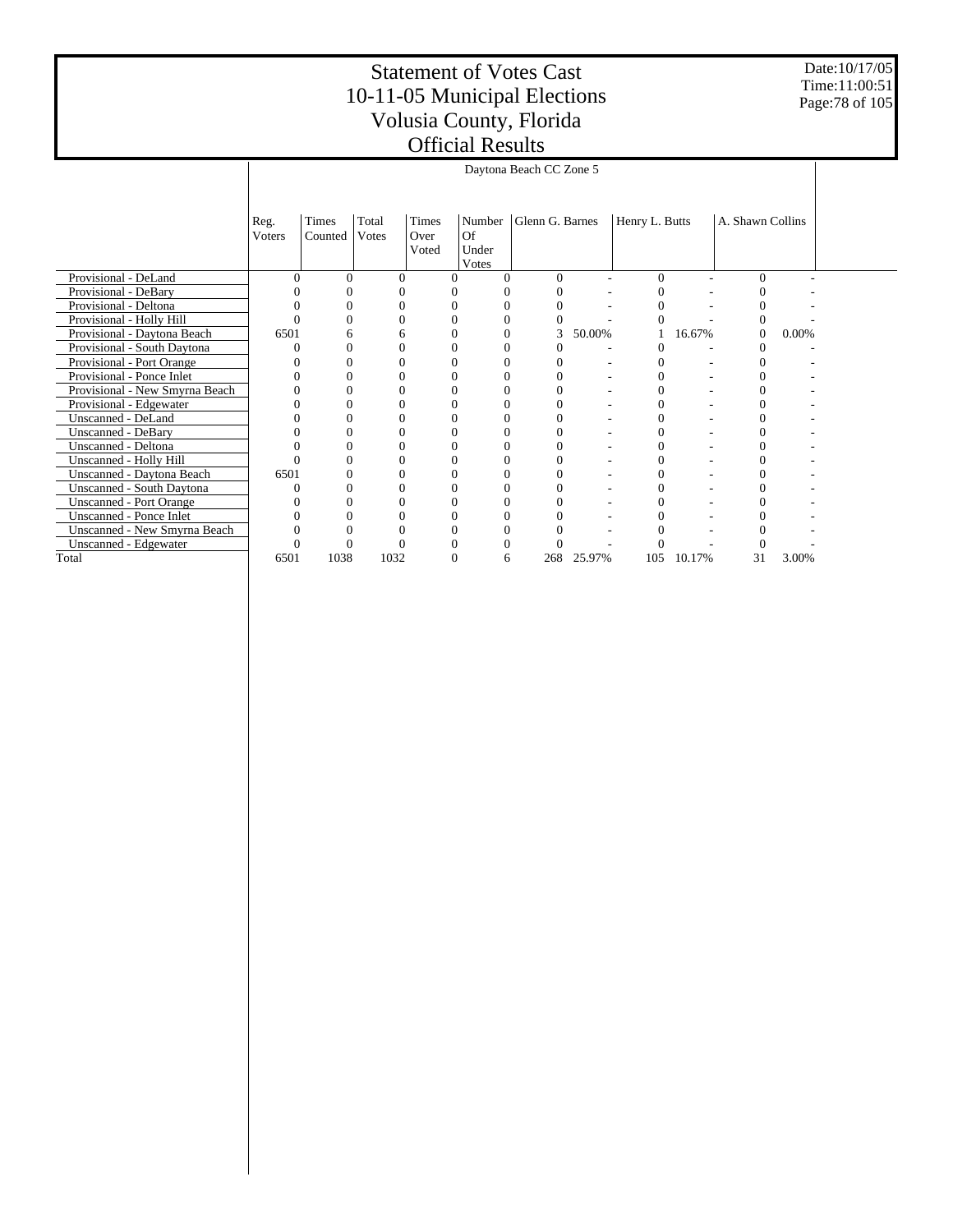Date:10/17/05 Time:11:00:51 Page:78 of 105

|                                  |                | Daytona Beach CC Zone 5 |                |                        |                                |                 |        |                |        |                  |       |  |  |
|----------------------------------|----------------|-------------------------|----------------|------------------------|--------------------------------|-----------------|--------|----------------|--------|------------------|-------|--|--|
|                                  | Reg.<br>Voters | Times<br>Counted        | Total<br>Votes | Times<br>Over<br>Voted | Number<br>Of<br>Under<br>Votes | Glenn G. Barnes |        | Henry L. Butts |        | A. Shawn Collins |       |  |  |
| Provisional - DeLand             | ∩              |                         | 0              |                        |                                | 0               |        | 0              |        |                  |       |  |  |
| Provisional - DeBary             |                |                         |                |                        |                                |                 |        |                |        |                  |       |  |  |
| Provisional - Deltona            |                |                         |                |                        |                                |                 |        |                |        |                  |       |  |  |
| Provisional - Holly Hill         |                |                         | 0              |                        |                                | 0               |        |                |        |                  |       |  |  |
| Provisional - Daytona Beach      | 6501           |                         | 6              |                        |                                | 3               | 50.00% |                | 16.67% | 0                | 0.00% |  |  |
| Provisional - South Daytona      |                |                         |                |                        |                                |                 |        |                |        |                  |       |  |  |
| Provisional - Port Orange        |                |                         | 0              |                        |                                | $^{(1)}$        |        |                |        |                  |       |  |  |
| Provisional - Ponce Inlet        |                |                         |                |                        |                                |                 |        |                |        |                  |       |  |  |
| Provisional - New Smyrna Beach   |                |                         |                |                        |                                |                 |        |                |        |                  |       |  |  |
| Provisional - Edgewater          |                |                         |                |                        |                                |                 |        |                |        |                  |       |  |  |
| Unscanned - DeLand               |                |                         |                |                        |                                |                 |        |                |        |                  |       |  |  |
| <b>Unscanned - DeBary</b>        |                |                         |                |                        |                                | 0               |        |                |        |                  |       |  |  |
| Unscanned - Deltona              |                |                         |                |                        |                                |                 |        |                |        |                  |       |  |  |
| Unscanned - Holly Hill           |                |                         |                |                        |                                | 0               |        |                |        |                  |       |  |  |
| Unscanned - Daytona Beach        | 6501           |                         |                |                        |                                | 0               |        |                |        |                  |       |  |  |
| <b>Unscanned - South Daytona</b> |                |                         |                |                        |                                |                 |        |                |        |                  |       |  |  |
| <b>Unscanned - Port Orange</b>   |                |                         | 0              |                        |                                | 0               |        |                |        |                  |       |  |  |
| <b>Unscanned - Ponce Inlet</b>   |                |                         |                |                        |                                |                 |        |                |        |                  |       |  |  |
| Unscanned - New Smyrna Beach     |                |                         |                |                        |                                |                 |        |                |        |                  |       |  |  |
| Unscanned - Edgewater            |                |                         |                |                        |                                |                 |        |                |        |                  |       |  |  |
| Total                            | 6501           | 1038                    | 1032           |                        | 6                              | 268             | 25.97% | 105            | 10.17% | 31               | 3.00% |  |  |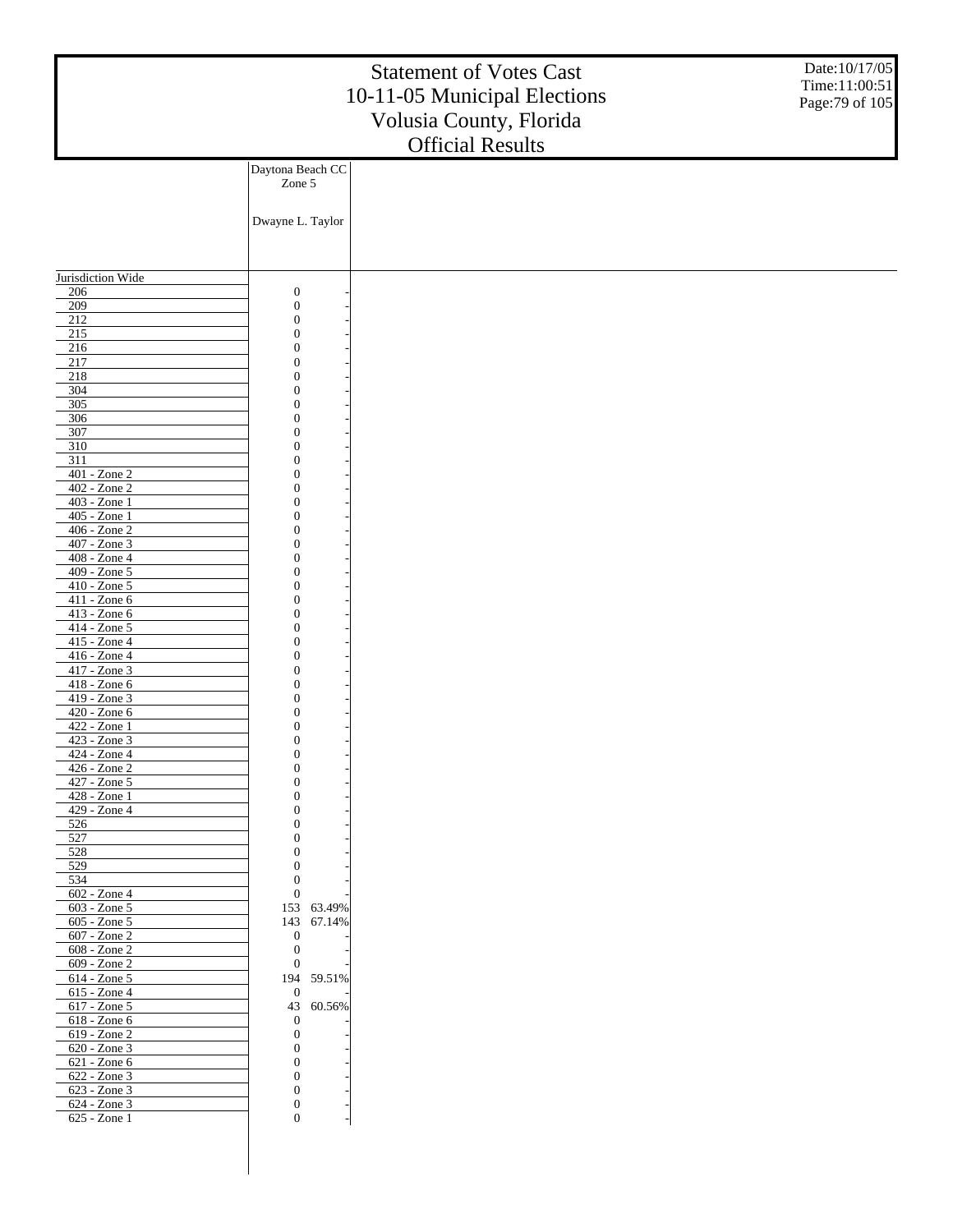|                                 |                                      | <b>Statement of Votes Cast</b><br>10-11-05 Municipal Elections<br>Volusia County, Florida<br><b>Official Results</b> | Date:10/17/05<br>Time:11:00:51<br>Page: 79 of 105 |
|---------------------------------|--------------------------------------|----------------------------------------------------------------------------------------------------------------------|---------------------------------------------------|
|                                 | Daytona Beach CC                     |                                                                                                                      |                                                   |
|                                 | Zone 5                               |                                                                                                                      |                                                   |
|                                 | Dwayne L. Taylor                     |                                                                                                                      |                                                   |
|                                 |                                      |                                                                                                                      |                                                   |
| Jurisdiction Wide               |                                      |                                                                                                                      |                                                   |
| 206                             | $\boldsymbol{0}$                     |                                                                                                                      |                                                   |
| 209                             | $\boldsymbol{0}$                     |                                                                                                                      |                                                   |
| 212                             | $\boldsymbol{0}$<br>$\boldsymbol{0}$ |                                                                                                                      |                                                   |
| $\overline{215}$<br>216         | $\boldsymbol{0}$                     |                                                                                                                      |                                                   |
| 217                             | $\boldsymbol{0}$                     |                                                                                                                      |                                                   |
| 218                             | $\boldsymbol{0}$                     |                                                                                                                      |                                                   |
| 304                             | $\overline{0}$                       |                                                                                                                      |                                                   |
| 305<br>306                      | $\boldsymbol{0}$<br>$\boldsymbol{0}$ |                                                                                                                      |                                                   |
| 307                             | $\boldsymbol{0}$                     |                                                                                                                      |                                                   |
| 310                             | $\overline{0}$                       |                                                                                                                      |                                                   |
| 311                             | $\boldsymbol{0}$                     |                                                                                                                      |                                                   |
| 401 - Zone 2                    | $\boldsymbol{0}$                     |                                                                                                                      |                                                   |
| 402 - Zone 2<br>403 - Zone 1    | $\boldsymbol{0}$<br>$\overline{0}$   |                                                                                                                      |                                                   |
| 405 - Zone 1                    | $\boldsymbol{0}$                     |                                                                                                                      |                                                   |
| 406 - Zone 2                    | $\boldsymbol{0}$                     |                                                                                                                      |                                                   |
| 407 - Zone 3                    | $\boldsymbol{0}$                     |                                                                                                                      |                                                   |
| 408 - Zone 4<br>$409 - Z$ one 5 | $\overline{0}$<br>$\boldsymbol{0}$   |                                                                                                                      |                                                   |
| 410 - Zone 5                    | $\boldsymbol{0}$                     |                                                                                                                      |                                                   |
| 411 - Zone 6                    | $\boldsymbol{0}$                     |                                                                                                                      |                                                   |
| 413 - Zone 6                    | $\overline{0}$                       |                                                                                                                      |                                                   |
| 414 - Zone 5<br>415 - Zone 4    | $\boldsymbol{0}$<br>$\boldsymbol{0}$ |                                                                                                                      |                                                   |
| 416 - Zone 4                    | $\boldsymbol{0}$                     |                                                                                                                      |                                                   |
| 417 - Zone 3                    | $\overline{0}$                       |                                                                                                                      |                                                   |
| 418 - Zone 6                    | $\boldsymbol{0}$                     |                                                                                                                      |                                                   |
| 419 - Zone 3<br>420 - Zone 6    | $\boldsymbol{0}$<br>$\boldsymbol{0}$ |                                                                                                                      |                                                   |
| 422 - Zone 1                    | $\boldsymbol{0}$                     |                                                                                                                      |                                                   |
| 423 - Zone 3                    | $\mathbf{0}$                         |                                                                                                                      |                                                   |
| $424 - Z$ one 4                 | $\boldsymbol{0}$                     |                                                                                                                      |                                                   |
| 426 - Zone 2<br>427 - Zone 5    | $\boldsymbol{0}$<br>$\boldsymbol{0}$ |                                                                                                                      |                                                   |
| 428 - Zone 1                    | $\boldsymbol{0}$                     |                                                                                                                      |                                                   |
| 429 - Zone 4                    | $\boldsymbol{0}$                     |                                                                                                                      |                                                   |
| 526                             | $\boldsymbol{0}$<br>$\boldsymbol{0}$ |                                                                                                                      |                                                   |
| 527<br>528                      | $\boldsymbol{0}$                     |                                                                                                                      |                                                   |
| 529                             | $\mathbf{0}$                         |                                                                                                                      |                                                   |
| 534                             | $\boldsymbol{0}$                     |                                                                                                                      |                                                   |
| 602 - Zone 4<br>603 - Zone 5    | $\boldsymbol{0}$<br>153 63.49%       |                                                                                                                      |                                                   |
| $605 - Z$ one 5                 | 143<br>67.14%                        |                                                                                                                      |                                                   |
| 607 - Zone 2                    | $\mathbf{0}$                         |                                                                                                                      |                                                   |
| 608 - Zone 2                    | $\boldsymbol{0}$                     |                                                                                                                      |                                                   |
| 609 - Zone 2<br>614 - Zone 5    | $\mathbf{0}$<br>194 59.51%           |                                                                                                                      |                                                   |
| 615 - Zone 4                    | $\mathbf{0}$                         |                                                                                                                      |                                                   |
| 617 - Zone 5                    | 43<br>60.56%                         |                                                                                                                      |                                                   |
| 618 - Zone 6                    | $\boldsymbol{0}$                     |                                                                                                                      |                                                   |
| 619 - Zone 2<br>620 - Zone 3    | $\boldsymbol{0}$<br>$\boldsymbol{0}$ |                                                                                                                      |                                                   |
| 621 - Zone 6                    | $\boldsymbol{0}$                     |                                                                                                                      |                                                   |
| 622 - Zone 3                    | $\boldsymbol{0}$                     |                                                                                                                      |                                                   |
| 623 - Zone 3                    | $\boldsymbol{0}$                     |                                                                                                                      |                                                   |
| 624 - Zone 3<br>625 - Zone 1    | $\boldsymbol{0}$<br>$\boldsymbol{0}$ |                                                                                                                      |                                                   |
|                                 |                                      |                                                                                                                      |                                                   |
|                                 |                                      |                                                                                                                      |                                                   |
|                                 |                                      |                                                                                                                      |                                                   |
|                                 |                                      |                                                                                                                      |                                                   |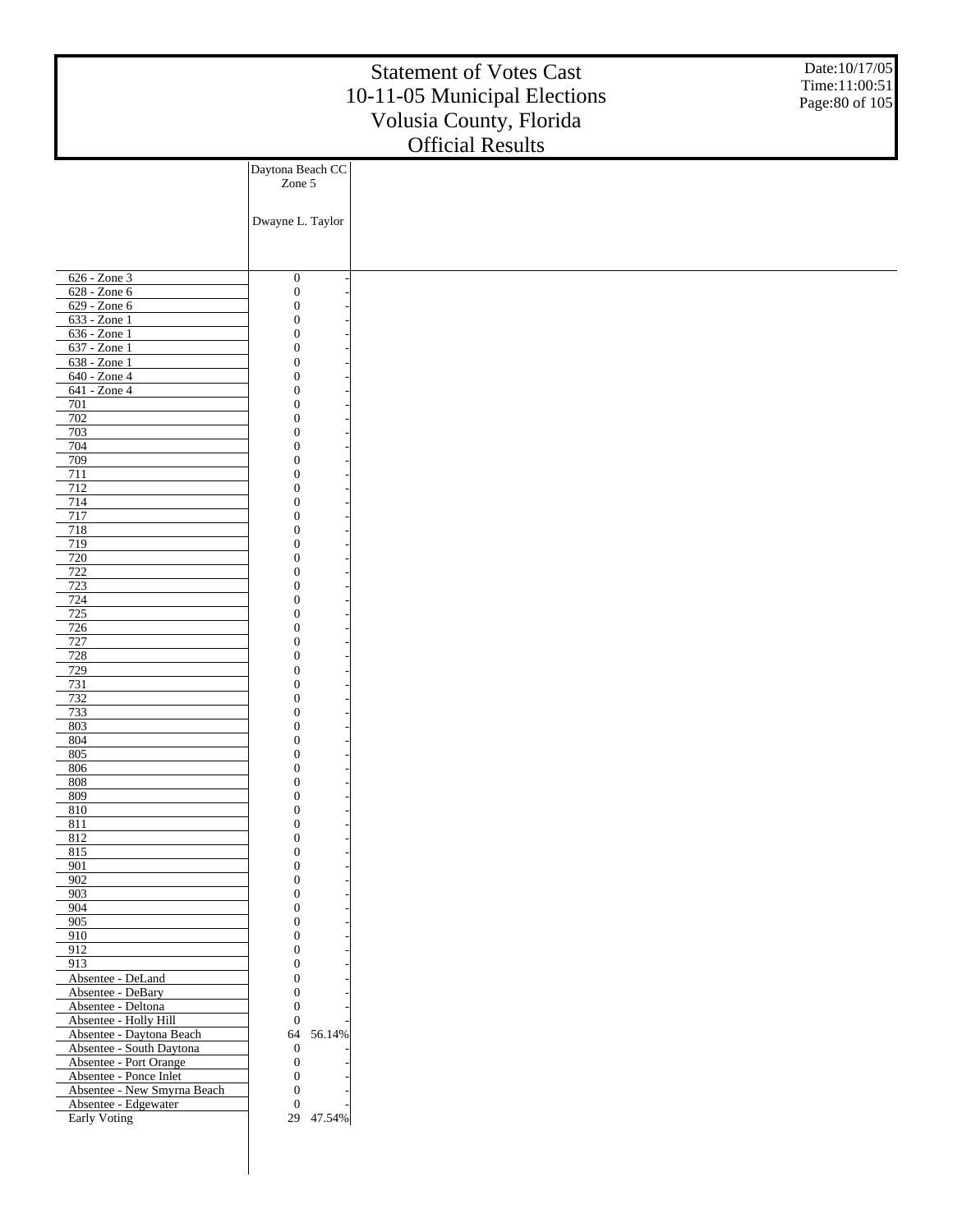|                                                    |                                    | <b>Statement of Votes Cast</b><br>10-11-05 Municipal Elections<br>Volusia County, Florida<br><b>Official Results</b> | Date:10/17/05<br>Time:11:00:51<br>Page: 80 of 105 |
|----------------------------------------------------|------------------------------------|----------------------------------------------------------------------------------------------------------------------|---------------------------------------------------|
|                                                    | Daytona Beach CC                   |                                                                                                                      |                                                   |
|                                                    | Zone 5                             |                                                                                                                      |                                                   |
|                                                    | Dwayne L. Taylor                   |                                                                                                                      |                                                   |
|                                                    |                                    |                                                                                                                      |                                                   |
| 626 - Zone 3                                       | $\boldsymbol{0}$                   |                                                                                                                      |                                                   |
| 628 - Zone 6                                       | $\boldsymbol{0}$                   |                                                                                                                      |                                                   |
| 629 - Zone 6<br>633 - Zone 1                       | $\overline{0}$<br>$\mathbf{0}$     |                                                                                                                      |                                                   |
| 636 - Zone 1                                       | $\theta$                           |                                                                                                                      |                                                   |
| 637 - Zone 1                                       | $\overline{0}$                     |                                                                                                                      |                                                   |
| 638 - Zone 1<br>640 - Zone 4                       | $\overline{0}$<br>$\mathbf{0}$     |                                                                                                                      |                                                   |
| 641 - Zone 4                                       | $\theta$                           |                                                                                                                      |                                                   |
| 701                                                | $\overline{0}$                     |                                                                                                                      |                                                   |
| 702                                                | $\overline{0}$                     |                                                                                                                      |                                                   |
| 703<br>704                                         | $\mathbf{0}$<br>$\theta$           |                                                                                                                      |                                                   |
| 709                                                | $\mathbf{0}$                       |                                                                                                                      |                                                   |
| 711                                                | $\overline{0}$                     |                                                                                                                      |                                                   |
| 712                                                | $\mathbf{0}$                       |                                                                                                                      |                                                   |
| 714<br>717                                         | $\theta$<br>$\mathbf{0}$           |                                                                                                                      |                                                   |
| 718                                                | $\overline{0}$                     |                                                                                                                      |                                                   |
| 719                                                | $\mathbf{0}$                       |                                                                                                                      |                                                   |
| 720<br>722                                         | $\theta$<br>$\mathbf{0}$           |                                                                                                                      |                                                   |
| 723                                                | $\overline{0}$                     |                                                                                                                      |                                                   |
| 724                                                | $\mathbf{0}$                       |                                                                                                                      |                                                   |
| 725                                                | $\theta$                           |                                                                                                                      |                                                   |
| 726<br>727                                         | $\mathbf{0}$<br>$\overline{0}$     |                                                                                                                      |                                                   |
| 728                                                | $\mathbf{0}$                       |                                                                                                                      |                                                   |
| 729                                                | $\theta$                           |                                                                                                                      |                                                   |
| 731<br>732                                         | $\mathbf{0}$<br>$\overline{0}$     |                                                                                                                      |                                                   |
| 733                                                | $\mathbf{0}$                       |                                                                                                                      |                                                   |
| 803                                                | $\overline{0}$                     |                                                                                                                      |                                                   |
| 804<br>805                                         | $\theta$<br>$\boldsymbol{0}$       |                                                                                                                      |                                                   |
| 806                                                | $\boldsymbol{0}$                   |                                                                                                                      |                                                   |
| 808                                                | $\overline{0}$                     |                                                                                                                      |                                                   |
| 809                                                | $\boldsymbol{0}$<br>$\overline{0}$ |                                                                                                                      |                                                   |
| 810<br>811                                         | $\mathbf{0}$                       |                                                                                                                      |                                                   |
| 812                                                | $\overline{0}$                     |                                                                                                                      |                                                   |
| 815                                                | $\mathbf{0}$                       |                                                                                                                      |                                                   |
| 901<br>902                                         | $\overline{0}$<br>$\mathbf{0}$     |                                                                                                                      |                                                   |
| 903                                                | $\overline{0}$                     |                                                                                                                      |                                                   |
| 904                                                | $\mathbf{0}$                       |                                                                                                                      |                                                   |
| 905<br>910                                         | $\overline{0}$<br>$\mathbf{0}$     |                                                                                                                      |                                                   |
| 912                                                | $\overline{0}$                     |                                                                                                                      |                                                   |
| 913                                                | $\mathbf{0}$                       |                                                                                                                      |                                                   |
| Absentee - DeLand<br>Absentee - DeBary             | $\overline{0}$<br>$\mathbf{0}$     |                                                                                                                      |                                                   |
| Absentee - Deltona                                 | $\overline{0}$                     |                                                                                                                      |                                                   |
| Absentee - Holly Hill                              | $\boldsymbol{0}$                   |                                                                                                                      |                                                   |
| Absentee - Daytona Beach                           | 56.14%<br>64<br>$\mathbf{0}$       |                                                                                                                      |                                                   |
| Absentee - South Daytona<br>Absentee - Port Orange | $\boldsymbol{0}$                   |                                                                                                                      |                                                   |
| Absentee - Ponce Inlet                             | $\boldsymbol{0}$                   |                                                                                                                      |                                                   |
| Absentee - New Smyrna Beach                        | $\overline{0}$                     |                                                                                                                      |                                                   |
| Absentee - Edgewater<br>Early Voting               | $\boldsymbol{0}$<br>29 47.54%      |                                                                                                                      |                                                   |
|                                                    |                                    |                                                                                                                      |                                                   |
|                                                    |                                    |                                                                                                                      |                                                   |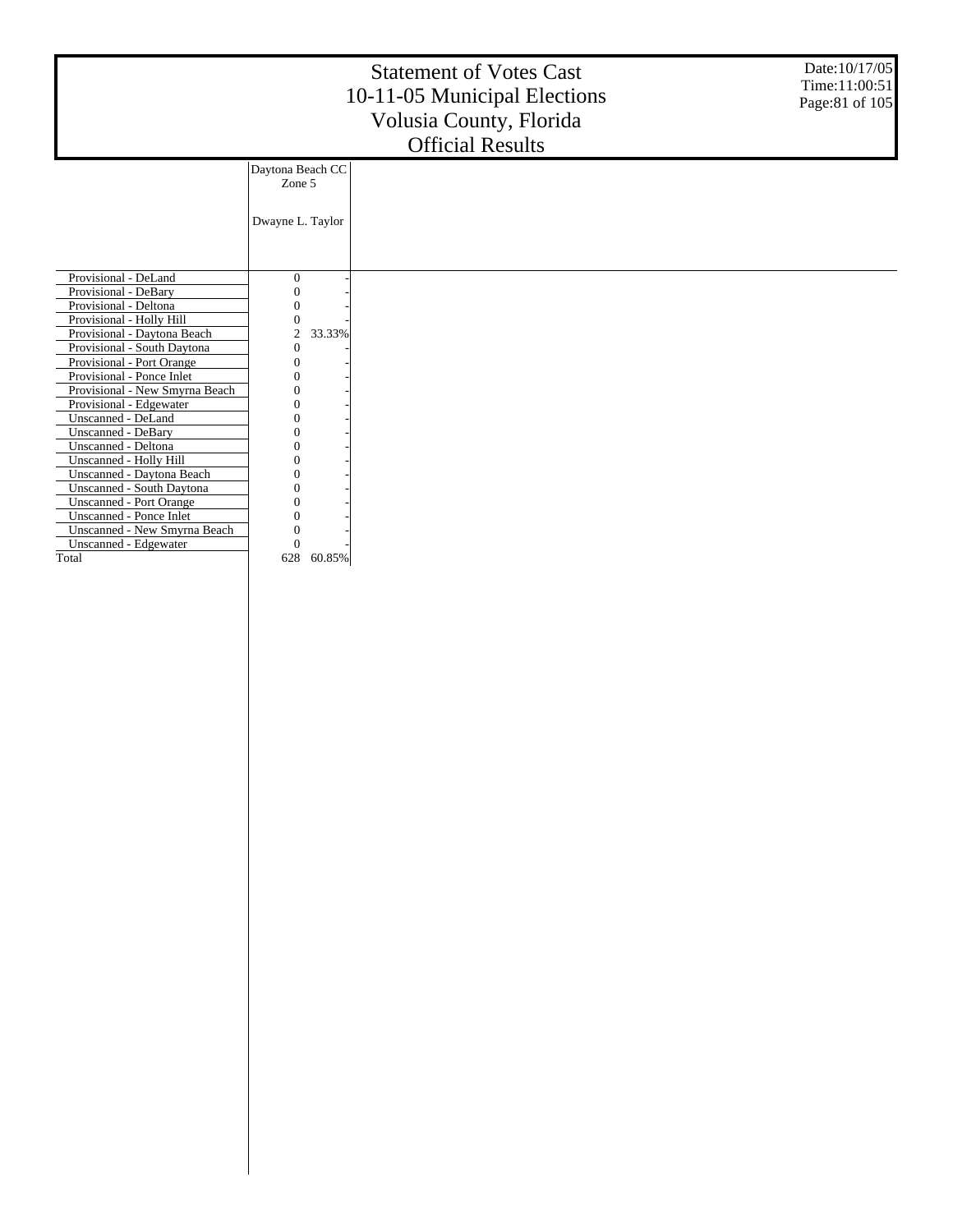|                                |                            | <b>Statement of Votes Cast</b><br>10-11-05 Municipal Elections<br>Volusia County, Florida<br><b>Official Results</b> | Date: 10/17/05<br>Time:11:00:51<br>Page:81 of 105 |
|--------------------------------|----------------------------|----------------------------------------------------------------------------------------------------------------------|---------------------------------------------------|
|                                | Daytona Beach CC<br>Zone 5 |                                                                                                                      |                                                   |
|                                | Dwayne L. Taylor           |                                                                                                                      |                                                   |
| Provisional - DeLand           | $\theta$                   |                                                                                                                      |                                                   |
| Provisional - DeBary           | 0                          |                                                                                                                      |                                                   |
| Provisional - Deltona          |                            |                                                                                                                      |                                                   |
| Provisional - Holly Hill       |                            |                                                                                                                      |                                                   |
| Provisional - Daytona Beach    | 2<br>33.33%                |                                                                                                                      |                                                   |
| Provisional - South Daytona    | 0                          |                                                                                                                      |                                                   |
| Provisional - Port Orange      |                            |                                                                                                                      |                                                   |
| Provisional - Ponce Inlet      |                            |                                                                                                                      |                                                   |
| Provisional - New Smyrna Beach |                            |                                                                                                                      |                                                   |
| Provisional - Edgewater        |                            |                                                                                                                      |                                                   |
| Unscanned - DeLand             |                            |                                                                                                                      |                                                   |
| <b>Unscanned - DeBary</b>      |                            |                                                                                                                      |                                                   |
| Unscanned - Deltona            |                            |                                                                                                                      |                                                   |
| Unscanned - Holly Hill         |                            |                                                                                                                      |                                                   |
| Unscanned - Daytona Beach      |                            |                                                                                                                      |                                                   |
| Unscanned - South Daytona      |                            |                                                                                                                      |                                                   |
| <b>Unscanned - Port Orange</b> | ∩                          |                                                                                                                      |                                                   |
| <b>Unscanned - Ponce Inlet</b> | ∩                          |                                                                                                                      |                                                   |
| Unscanned - New Smyrna Beach   | 0                          |                                                                                                                      |                                                   |
| Unscanned - Edgewater          | $\Omega$                   |                                                                                                                      |                                                   |
| Total                          | 628<br>60.85%              |                                                                                                                      |                                                   |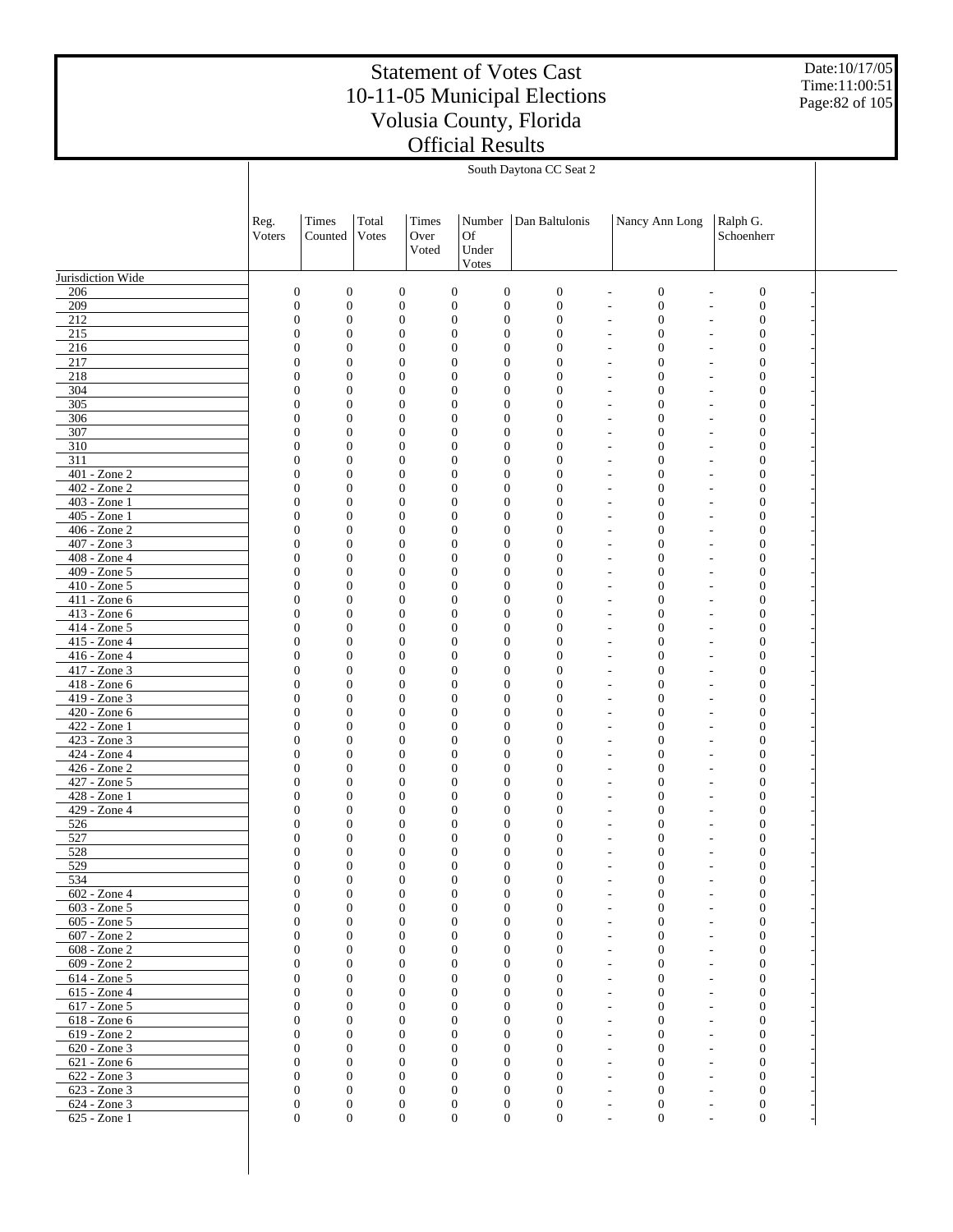Date:10/17/05 Time:11:00:51 Page:82 of 105

|                                   | South Daytona CC Seat 2            |                                  |                                  |                        |                                                                        |                                  |                                                                                   |                                            |  |  |  |
|-----------------------------------|------------------------------------|----------------------------------|----------------------------------|------------------------|------------------------------------------------------------------------|----------------------------------|-----------------------------------------------------------------------------------|--------------------------------------------|--|--|--|
|                                   |                                    |                                  |                                  |                        |                                                                        |                                  |                                                                                   |                                            |  |  |  |
|                                   | Reg.<br>Voters                     | Times<br>Counted                 | Total<br>Votes                   | Times<br>Over<br>Voted | Number<br><b>Of</b><br>Under                                           | Dan Baltulonis                   | Nancy Ann Long                                                                    | Ralph G.<br>Schoenherr                     |  |  |  |
| Jurisdiction Wide                 |                                    |                                  |                                  |                        | Votes                                                                  |                                  |                                                                                   |                                            |  |  |  |
| 206                               | $\boldsymbol{0}$                   | $\boldsymbol{0}$                 | $\boldsymbol{0}$                 |                        | $\boldsymbol{0}$<br>$\boldsymbol{0}$                                   | $\boldsymbol{0}$                 | $\boldsymbol{0}$                                                                  | $\boldsymbol{0}$                           |  |  |  |
| 209                               | $\boldsymbol{0}$                   | $\boldsymbol{0}$                 | $\boldsymbol{0}$                 |                        | $\boldsymbol{0}$<br>$\boldsymbol{0}$                                   | $\boldsymbol{0}$                 | $\boldsymbol{0}$<br>$\overline{\phantom{a}}$                                      | $\boldsymbol{0}$                           |  |  |  |
| 212                               | $\boldsymbol{0}$                   | $\boldsymbol{0}$                 | $\boldsymbol{0}$                 |                        | $\boldsymbol{0}$<br>$\boldsymbol{0}$                                   | $\boldsymbol{0}$                 | $\boldsymbol{0}$<br>$\overline{a}$                                                | $\boldsymbol{0}$                           |  |  |  |
| 215                               | $\overline{0}$                     | $\boldsymbol{0}$                 | $\mathbf{0}$                     |                        | $\boldsymbol{0}$<br>$\boldsymbol{0}$                                   | $\boldsymbol{0}$                 | $\boldsymbol{0}$<br>$\overline{a}$                                                | $\boldsymbol{0}$                           |  |  |  |
| 216                               | $\boldsymbol{0}$                   | $\boldsymbol{0}$                 | $\mathbf{0}$                     |                        | $\boldsymbol{0}$<br>$\boldsymbol{0}$                                   | $\overline{0}$                   | $\mathbf{0}$<br>$\overline{a}$                                                    | $\boldsymbol{0}$                           |  |  |  |
| 217<br>218                        | $\overline{0}$<br>$\boldsymbol{0}$ | $\mathbf{0}$<br>$\boldsymbol{0}$ | $\mathbf{0}$<br>$\mathbf{0}$     |                        | $\mathbf{0}$<br>$\mathbf{0}$<br>$\boldsymbol{0}$<br>$\boldsymbol{0}$   | $\overline{0}$<br>$\overline{0}$ | $\mathbf{0}$<br>$\tilde{\phantom{a}}$<br>$\mathbf{0}$<br>$\sim$                   | $\mathbf{0}$<br>$\boldsymbol{0}$           |  |  |  |
| 304                               | $\overline{0}$                     | $\mathbf{0}$                     | $\mathbf{0}$                     |                        | $\mathbf{0}$<br>$\mathbf{0}$                                           | $\overline{0}$                   | $\mathbf{0}$<br>$\overline{\phantom{a}}$                                          | $\mathbf{0}$                               |  |  |  |
| 305                               | $\boldsymbol{0}$                   | $\boldsymbol{0}$                 | $\overline{0}$                   |                        | $\boldsymbol{0}$<br>$\boldsymbol{0}$                                   | $\overline{0}$                   | $\mathbf{0}$<br>$\overline{\phantom{a}}$                                          | $\boldsymbol{0}$                           |  |  |  |
| 306                               | $\overline{0}$                     | $\mathbf{0}$                     | $\mathbf{0}$                     |                        | $\mathbf{0}$<br>$\mathbf{0}$                                           | $\overline{0}$                   | $\mathbf{0}$<br>$\overline{a}$                                                    | $\mathbf{0}$                               |  |  |  |
| 307                               | $\boldsymbol{0}$                   | $\boldsymbol{0}$                 | $\mathbf{0}$                     |                        | $\boldsymbol{0}$<br>$\boldsymbol{0}$                                   | $\overline{0}$                   | $\boldsymbol{0}$<br>٠                                                             | $\boldsymbol{0}$                           |  |  |  |
| 310                               | $\overline{0}$                     | $\mathbf{0}$                     | $\mathbf{0}$                     |                        | $\mathbf{0}$<br>$\mathbf{0}$                                           | $\overline{0}$                   | $\mathbf{0}$<br>$\overline{a}$                                                    | $\mathbf{0}$                               |  |  |  |
| 311<br>$401 - Z$ one $2$          | $\boldsymbol{0}$<br>$\overline{0}$ | $\boldsymbol{0}$<br>$\mathbf{0}$ | $\mathbf{0}$<br>$\mathbf{0}$     |                        | $\boldsymbol{0}$<br>$\boldsymbol{0}$<br>$\mathbf{0}$<br>$\mathbf{0}$   | $\overline{0}$<br>$\mathbf{0}$   | $\mathbf{0}$<br>$\overline{\phantom{a}}$<br>$\mathbf{0}$<br>$\tilde{\phantom{a}}$ | $\boldsymbol{0}$<br>$\mathbf{0}$           |  |  |  |
| $\overline{402 - \text{Zone } 2}$ | $\boldsymbol{0}$                   | $\boldsymbol{0}$                 | $\mathbf{0}$                     |                        | $\boldsymbol{0}$<br>$\boldsymbol{0}$                                   | $\mathbf{0}$                     | $\boldsymbol{0}$<br>$\sim$                                                        | $\boldsymbol{0}$                           |  |  |  |
| $403 - Z$ one 1                   | $\overline{0}$                     | $\mathbf{0}$                     | $\mathbf{0}$                     |                        | $\mathbf{0}$<br>$\mathbf{0}$                                           | $\mathbf{0}$                     | $\mathbf{0}$<br>$\overline{\phantom{a}}$                                          | $\mathbf{0}$                               |  |  |  |
| 405 - Zone 1                      | $\boldsymbol{0}$                   | $\boldsymbol{0}$                 | $\overline{0}$                   |                        | $\boldsymbol{0}$<br>$\boldsymbol{0}$                                   | $\mathbf{0}$                     | $\mathbf{0}$<br>$\overline{\phantom{a}}$                                          | $\boldsymbol{0}$                           |  |  |  |
| $406 - Z$ one $2$                 | $\overline{0}$                     | $\mathbf{0}$                     | $\mathbf{0}$                     |                        | $\mathbf{0}$<br>$\mathbf{0}$                                           | $\overline{0}$                   | $\mathbf{0}$<br>$\overline{\phantom{a}}$                                          | $\mathbf{0}$                               |  |  |  |
| 407 - Zone 3<br>$408 - Z$ one 4   | $\boldsymbol{0}$                   | $\boldsymbol{0}$                 | $\mathbf{0}$                     |                        | $\boldsymbol{0}$<br>$\boldsymbol{0}$                                   | $\overline{0}$                   | $\boldsymbol{0}$<br>٠                                                             | $\boldsymbol{0}$                           |  |  |  |
| 409 - Zone 5                      | $\overline{0}$<br>$\boldsymbol{0}$ | $\mathbf{0}$<br>$\boldsymbol{0}$ | $\mathbf{0}$<br>$\mathbf{0}$     |                        | $\mathbf{0}$<br>$\mathbf{0}$<br>$\boldsymbol{0}$<br>$\boldsymbol{0}$   | $\overline{0}$<br>$\overline{0}$ | $\mathbf{0}$<br>$\overline{a}$<br>$\mathbf{0}$<br>$\overline{\phantom{a}}$        | $\mathbf{0}$<br>$\boldsymbol{0}$           |  |  |  |
| $410 - Z$ one 5                   | $\overline{0}$                     | $\mathbf{0}$                     | $\mathbf{0}$                     |                        | $\mathbf{0}$<br>$\mathbf{0}$                                           | $\overline{0}$                   | $\mathbf{0}$<br>$\tilde{\phantom{a}}$                                             | $\mathbf{0}$                               |  |  |  |
| 411 - Zone 6                      | $\boldsymbol{0}$                   | $\boldsymbol{0}$                 | $\mathbf{0}$                     |                        | $\boldsymbol{0}$<br>$\boldsymbol{0}$                                   | $\overline{0}$                   | $\boldsymbol{0}$<br>$\sim$                                                        | $\boldsymbol{0}$                           |  |  |  |
| $413 - Zone 6$                    | $\overline{0}$                     | $\mathbf{0}$                     | $\mathbf{0}$                     |                        | $\mathbf{0}$<br>$\mathbf{0}$                                           | $\overline{0}$                   | $\mathbf{0}$<br>$\tilde{\phantom{a}}$                                             | $\mathbf{0}$                               |  |  |  |
| 414 - Zone 5                      | $\boldsymbol{0}$                   | $\boldsymbol{0}$                 | $\overline{0}$                   |                        | $\boldsymbol{0}$<br>$\boldsymbol{0}$                                   | $\overline{0}$                   | $\mathbf{0}$<br>$\overline{\phantom{a}}$                                          | $\boldsymbol{0}$                           |  |  |  |
| $415 - Zone4$                     | $\overline{0}$                     | $\mathbf{0}$<br>$\boldsymbol{0}$ | $\mathbf{0}$                     |                        | $\mathbf{0}$<br>$\mathbf{0}$<br>$\boldsymbol{0}$                       | $\overline{0}$<br>$\overline{0}$ | $\mathbf{0}$<br>$\overline{\phantom{a}}$                                          | $\mathbf{0}$                               |  |  |  |
| 416 - Zone 4<br>$417 - Zone$ 3    | $\boldsymbol{0}$<br>$\overline{0}$ | $\mathbf{0}$                     | $\mathbf{0}$<br>$\mathbf{0}$     |                        | $\boldsymbol{0}$<br>$\mathbf{0}$<br>$\mathbf{0}$                       | $\mathbf{0}$                     | $\boldsymbol{0}$<br>٠<br>$\mathbf{0}$<br>$\overline{a}$                           | $\boldsymbol{0}$<br>$\mathbf{0}$           |  |  |  |
| 418 - Zone 6                      | $\boldsymbol{0}$                   | $\boldsymbol{0}$                 | $\mathbf{0}$                     |                        | $\boldsymbol{0}$<br>$\boldsymbol{0}$                                   | $\mathbf{0}$                     | $\mathbf{0}$<br>$\overline{\phantom{a}}$                                          | $\boldsymbol{0}$                           |  |  |  |
| $419 - Zone$ 3                    | $\overline{0}$                     | $\mathbf{0}$                     | $\mathbf{0}$                     |                        | $\mathbf{0}$<br>$\boldsymbol{0}$                                       | $\mathbf{0}$                     | $\mathbf{0}$<br>$\tilde{\phantom{a}}$                                             | $\mathbf{0}$                               |  |  |  |
| 420 - Zone 6                      | $\boldsymbol{0}$                   | $\boldsymbol{0}$                 | $\mathbf{0}$                     |                        | $\boldsymbol{0}$<br>$\boldsymbol{0}$                                   | $\mathbf{0}$                     | $\boldsymbol{0}$<br>$\overline{a}$                                                | $\boldsymbol{0}$                           |  |  |  |
| $422 - Zone1$                     | $\overline{0}$                     | $\mathbf{0}$                     | $\mathbf{0}$                     |                        | $\mathbf{0}$<br>$\mathbf{0}$                                           | $\overline{0}$                   | $\mathbf{0}$<br>$\tilde{\phantom{a}}$                                             | $\mathbf{0}$<br>٠                          |  |  |  |
| 423 - Zone 3<br>$424 - Z$ one 4   | $\boldsymbol{0}$                   | $\boldsymbol{0}$                 | $\overline{0}$                   |                        | $\boldsymbol{0}$<br>$\boldsymbol{0}$                                   | $\overline{0}$                   | $\mathbf{0}$<br>$\overline{\phantom{a}}$                                          | $\boldsymbol{0}$                           |  |  |  |
| 426 - Zone 2                      | $\overline{0}$<br>$\boldsymbol{0}$ | $\mathbf{0}$<br>$\boldsymbol{0}$ | $\mathbf{0}$<br>$\overline{0}$   |                        | $\mathbf{0}$<br>$\mathbf{0}$<br>$\boldsymbol{0}$<br>$\boldsymbol{0}$   | $\overline{0}$<br>$\overline{0}$ | $\mathbf{0}$<br>$\overline{\phantom{a}}$<br>$\boldsymbol{0}$<br>٠                 | $\mathbf{0}$<br>$\boldsymbol{0}$           |  |  |  |
| $427 - Z$ one 5                   | $\overline{0}$                     | $\mathbf{0}$                     | $\mathbf{0}$                     |                        | $\mathbf{0}$<br>$\mathbf{0}$                                           | $\overline{0}$                   | $\boldsymbol{0}$<br>$\overline{a}$                                                | $\mathbf{0}$                               |  |  |  |
| 428 - Zone 1                      | $\boldsymbol{0}$                   | $\boldsymbol{0}$                 | $\overline{0}$                   |                        | $\boldsymbol{0}$<br>$\boldsymbol{0}$                                   | $\overline{0}$                   | $\boldsymbol{0}$<br>$\overline{\phantom{a}}$                                      | $\boldsymbol{0}$                           |  |  |  |
| 429 - Zone 4                      | $\overline{0}$                     | $\mathbf{0}$                     | $\mathbf{0}$                     |                        | $\mathbf{0}$<br>$\mathbf{0}$                                           | $\mathbf{0}$                     | $\boldsymbol{0}$<br>$\tilde{\phantom{a}}$                                         | $\boldsymbol{0}$                           |  |  |  |
| 526                               | $\boldsymbol{0}$                   | $\boldsymbol{0}$                 | $\boldsymbol{0}$                 |                        | $\boldsymbol{0}$<br>$\mathbf{0}$                                       | $\mathbf{0}$                     | $\boldsymbol{0}$<br>$\overline{a}$                                                | $\boldsymbol{0}$                           |  |  |  |
| 527<br>528                        | $\overline{0}$<br>$\overline{0}$   | $\mathbf{0}$<br>$\overline{0}$   | $\mathbf{0}$<br>$\mathbf{0}$     |                        | $\boldsymbol{0}$<br>$\mathbf{0}$<br>$\overline{0}$<br>$\boldsymbol{0}$ | $\mathbf{0}$<br>$\mathbf{0}$     | $\boldsymbol{0}$<br>$\overline{\phantom{a}}$<br>$\mathbf{0}$<br>$\sim$            | $\boldsymbol{0}$<br>$\mathbf{0}$<br>$\sim$ |  |  |  |
| 529                               | $\boldsymbol{0}$                   | $\mathbf{0}$                     | 0                                |                        | $\boldsymbol{0}$<br>0                                                  | $\boldsymbol{0}$                 | $\Omega$                                                                          | $\Omega$                                   |  |  |  |
| 534                               | $\boldsymbol{0}$                   | $\boldsymbol{0}$                 | $\boldsymbol{0}$                 |                        | $\boldsymbol{0}$<br>$\boldsymbol{0}$                                   | $\boldsymbol{0}$                 | $\mathbf{0}$                                                                      | $\boldsymbol{0}$                           |  |  |  |
| 602 - Zone 4                      | $\mathbf{0}$                       | $\overline{0}$                   | $\boldsymbol{0}$                 |                        | $\overline{0}$<br>$\mathbf{0}$                                         | $\mathbf{0}$                     | $\mathbf{0}$                                                                      | $\mathbf{0}$                               |  |  |  |
| $603 - Z$ one 5                   | $\mathbf{0}$                       | $\overline{0}$                   | $\boldsymbol{0}$                 |                        | $\overline{0}$<br>$\boldsymbol{0}$                                     | $\mathbf{0}$                     | $\mathbf{0}$                                                                      | $\boldsymbol{0}$                           |  |  |  |
| $605 - Zone$ 5                    | $\theta$                           | $\overline{0}$                   | $\mathbf{0}$                     |                        | $\overline{0}$<br>$\Omega$                                             | $\mathbf{0}$                     | $\mathbf{0}$                                                                      | $\mathbf{0}$                               |  |  |  |
| 607 - Zone 2<br>$608 - Z$ one $2$ | $\mathbf{0}$<br>$\theta$           | $\overline{0}$<br>$\mathbf{0}$   | $\mathbf{0}$<br>$\mathbf{0}$     |                        | $\overline{0}$<br>$\mathbf{0}$<br>$\Omega$<br>$\mathbf{0}$             | $\mathbf{0}$<br>$\mathbf{0}$     | $\mathbf{0}$<br>$\Omega$<br>$\overline{a}$                                        | $\mathbf{0}$<br>$\mathbf{0}$               |  |  |  |
| 609 - Zone 2                      | $\mathbf{0}$                       | $\overline{0}$                   | $\boldsymbol{0}$                 |                        | $\overline{0}$<br>$\mathbf{0}$                                         | $\mathbf{0}$                     | $\boldsymbol{0}$                                                                  | $\boldsymbol{0}$                           |  |  |  |
| $614 - Zone$ 5                    | $\theta$                           | $\overline{0}$                   | $\mathbf{0}$                     |                        | $\overline{0}$<br>$\Omega$                                             | $\mathbf{0}$                     | $\Omega$                                                                          | $\mathbf{0}$                               |  |  |  |
| 615 - Zone 4                      | $\mathbf{0}$                       | $\overline{0}$                   | $\mathbf{0}$                     |                        | $\overline{0}$<br>$\mathbf{0}$                                         | $\mathbf{0}$                     | $\boldsymbol{0}$                                                                  | $\mathbf{0}$                               |  |  |  |
| $617 - Zone$ 5                    | $\theta$                           | $\overline{0}$                   | $\mathbf{0}$                     |                        | $\overline{0}$<br>$\Omega$                                             | $\mathbf{0}$                     | $\Omega$                                                                          | $\mathbf{0}$                               |  |  |  |
| 618 - Zone 6                      | $\mathbf{0}$                       | $\overline{0}$                   | $\boldsymbol{0}$                 |                        | $\boldsymbol{0}$<br>$\mathbf{0}$                                       | $\mathbf{0}$                     | $\boldsymbol{0}$                                                                  | $\boldsymbol{0}$                           |  |  |  |
| $619 - Zone2$<br>620 - Zone 3     | $\theta$<br>$\mathbf{0}$           | $\overline{0}$<br>$\overline{0}$ | $\mathbf{0}$<br>$\boldsymbol{0}$ |                        | $\overline{0}$<br>$\Omega$<br>$\boldsymbol{0}$<br>$\mathbf{0}$         | $\mathbf{0}$<br>$\mathbf{0}$     | $\Omega$<br>$\mathbf{0}$                                                          | $\mathbf{0}$<br>$\mathbf{0}$               |  |  |  |
| $621 - Zone 6$                    | $\Omega$                           | $\mathbf{0}$                     | $\mathbf{0}$                     |                        | $\Omega$<br>$\mathbf{0}$                                               | $\mathbf{0}$                     | $\mathbf{0}$<br>$\sim$                                                            | $\mathbf{0}$                               |  |  |  |
| 622 - Zone 3                      | $\mathbf{0}$                       | $\overline{0}$                   | $\mathbf{0}$                     |                        | $\overline{0}$<br>$\mathbf{0}$                                         | $\mathbf{0}$                     | $\mathbf{0}$                                                                      | $\boldsymbol{0}$                           |  |  |  |
| $623 - Zone$ 3                    | $\theta$                           | $\overline{0}$                   | $\mathbf{0}$                     |                        | $\overline{0}$<br>$\mathbf{0}$                                         | $\Omega$                         | $\mathbf{0}$                                                                      | $\mathbf{0}$                               |  |  |  |
| 624 - Zone 3                      | $\boldsymbol{0}$                   | $\boldsymbol{0}$                 | $\boldsymbol{0}$                 |                        | $\boldsymbol{0}$<br>$\boldsymbol{0}$                                   | $\boldsymbol{0}$                 | $\boldsymbol{0}$                                                                  | $\boldsymbol{0}$                           |  |  |  |
| $625 - Zone1$                     | $\overline{0}$                     | $\overline{0}$                   | $\overline{0}$                   |                        | $\boldsymbol{0}$<br>$\overline{0}$                                     | $\boldsymbol{0}$                 | $\boldsymbol{0}$                                                                  | $\overline{0}$                             |  |  |  |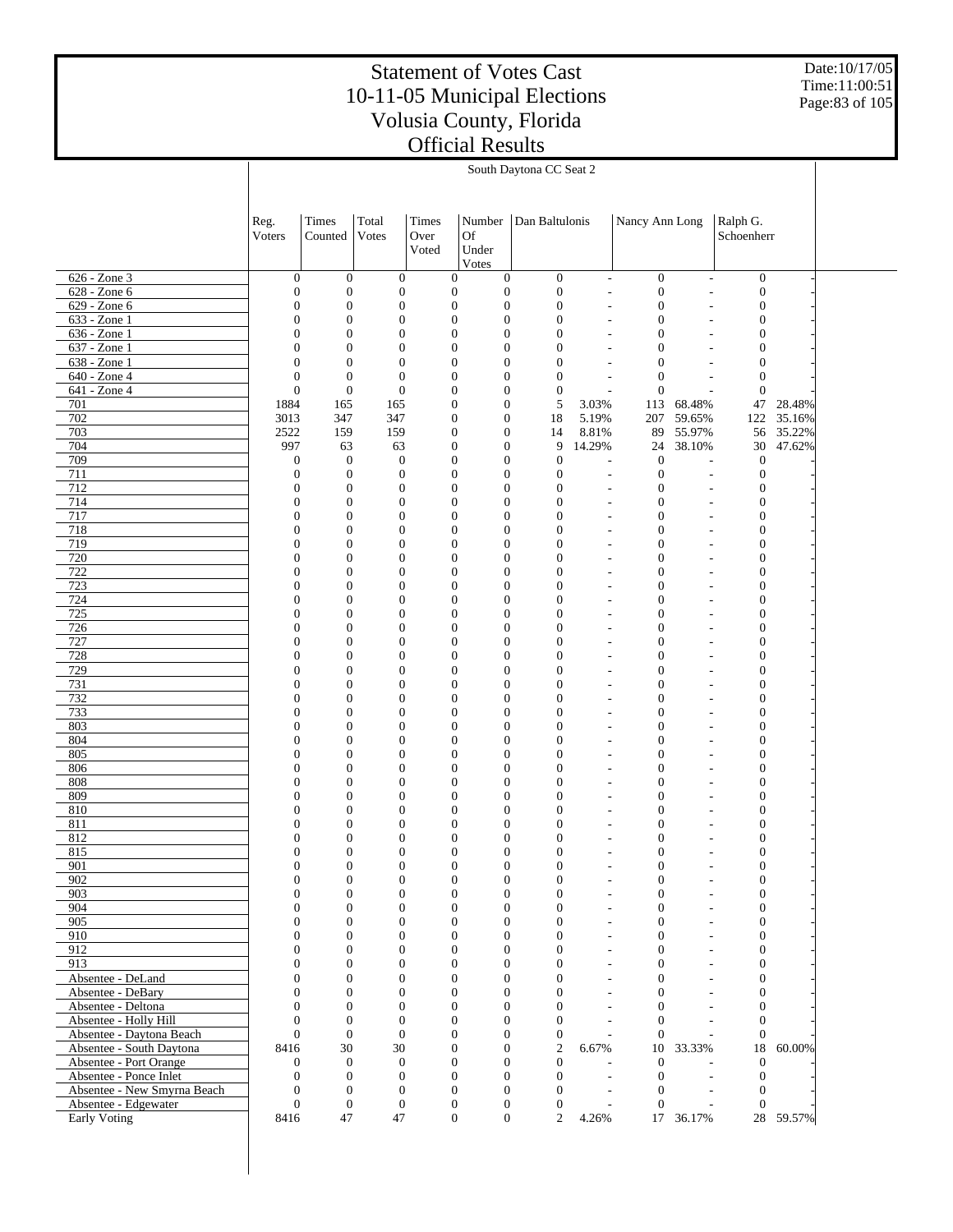Date:10/17/05 Time:11:00:51 Page:83 of 105

|                                                      |                                      | South Daytona CC Seat 2          |                                      |               |                                                                          |                                      |                                            |                                      |                                                      |                                      |                  |  |
|------------------------------------------------------|--------------------------------------|----------------------------------|--------------------------------------|---------------|--------------------------------------------------------------------------|--------------------------------------|--------------------------------------------|--------------------------------------|------------------------------------------------------|--------------------------------------|------------------|--|
|                                                      |                                      |                                  |                                      |               |                                                                          |                                      |                                            |                                      |                                                      |                                      |                  |  |
|                                                      | Reg.                                 | Times                            | Total                                | Times         | Number                                                                   | Dan Baltulonis                       |                                            | Nancy Ann Long                       |                                                      | Ralph G.                             |                  |  |
|                                                      | Voters                               | Counted                          | Votes                                | Over<br>Voted | <b>Of</b><br>Under                                                       |                                      |                                            |                                      |                                                      | Schoenherr                           |                  |  |
|                                                      |                                      |                                  |                                      |               | Votes                                                                    |                                      |                                            |                                      |                                                      |                                      |                  |  |
| $626 - Zone$ 3<br>628 - Zone 6                       | $\boldsymbol{0}$<br>$\boldsymbol{0}$ | $\mathbf{0}$<br>$\mathbf{0}$     | $\mathbf{0}$<br>$\boldsymbol{0}$     |               | $\boldsymbol{0}$<br>$\mathbf{0}$<br>$\boldsymbol{0}$<br>$\mathbf{0}$     | $\boldsymbol{0}$<br>$\boldsymbol{0}$ | $\overline{\phantom{a}}$<br>$\sim$         | $\mathbf{0}$<br>$\boldsymbol{0}$     | $\overline{a}$<br>L.                                 | $\boldsymbol{0}$<br>$\boldsymbol{0}$ |                  |  |
| 629 - Zone 6                                         | $\boldsymbol{0}$                     | $\mathbf{0}$                     | $\boldsymbol{0}$                     |               | $\boldsymbol{0}$<br>$\mathbf{0}$                                         | $\boldsymbol{0}$                     | ٠                                          | $\boldsymbol{0}$                     | ٠                                                    | $\boldsymbol{0}$                     |                  |  |
| 633 - Zone 1                                         | $\boldsymbol{0}$                     | $\mathbf{0}$                     | $\boldsymbol{0}$                     |               | $\boldsymbol{0}$<br>$\boldsymbol{0}$                                     | $\boldsymbol{0}$                     | ÷,                                         | $\boldsymbol{0}$                     | L,                                                   | $\boldsymbol{0}$                     |                  |  |
| 636 - Zone 1                                         | $\boldsymbol{0}$                     | $\mathbf{0}$                     | $\boldsymbol{0}$                     |               | $\boldsymbol{0}$<br>$\mathbf{0}$                                         | $\boldsymbol{0}$                     | ٠                                          | $\boldsymbol{0}$                     | ٠                                                    | $\mathbf{0}$                         |                  |  |
| 637 - Zone 1                                         | $\boldsymbol{0}$<br>$\mathbf{0}$     | $\mathbf{0}$<br>$\mathbf{0}$     | $\boldsymbol{0}$                     |               | $\boldsymbol{0}$<br>$\boldsymbol{0}$<br>$\boldsymbol{0}$                 | $\boldsymbol{0}$                     | ٠                                          | $\boldsymbol{0}$                     |                                                      | $\boldsymbol{0}$<br>$\mathbf{0}$     |                  |  |
| 638 - Zone 1<br>640 - Zone 4                         | $\boldsymbol{0}$                     | $\mathbf{0}$                     | $\mathbf{0}$<br>$\mathbf{0}$         |               | $\mathbf{0}$<br>$\boldsymbol{0}$<br>$\boldsymbol{0}$                     | $\boldsymbol{0}$<br>$\boldsymbol{0}$ | $\overline{\phantom{a}}$<br>$\overline{a}$ | $\mathbf{0}$<br>$\mathbf{0}$         | ٠<br>$\overline{\phantom{a}}$                        | $\mathbf{0}$                         |                  |  |
| 641 - Zone 4                                         | $\boldsymbol{0}$                     | $\boldsymbol{0}$                 | $\boldsymbol{0}$                     |               | $\boldsymbol{0}$<br>$\mathbf{0}$                                         | $\boldsymbol{0}$                     | $\overline{a}$                             | $\boldsymbol{0}$                     | L,                                                   | $\mathbf{0}$                         |                  |  |
| 701                                                  | 1884                                 | 165                              | 165                                  |               | $\boldsymbol{0}$<br>$\boldsymbol{0}$                                     | 5                                    | 3.03%                                      | 113                                  | 68.48%                                               | 47                                   | 28.48%           |  |
| 702                                                  | 3013                                 | 347                              | 347                                  |               | $\boldsymbol{0}$<br>$\mathbf{0}$                                         | 18                                   | 5.19%                                      | 207                                  | 59.65%                                               | 122                                  | 35.16%           |  |
| 703<br>704                                           | 2522<br>997                          | 159<br>63                        | 159<br>63                            |               | $\boldsymbol{0}$<br>$\mathbf{0}$<br>$\boldsymbol{0}$<br>$\mathbf{0}$     | 14<br>9                              | 8.81%<br>14.29%                            | 89<br>24                             | 55.97%<br>38.10%                                     | 56<br>$30\,$                         | 35.22%<br>47.62% |  |
| 709                                                  | $\boldsymbol{0}$                     | $\mathbf{0}$                     | $\mathbf{0}$                         |               | $\boldsymbol{0}$<br>$\boldsymbol{0}$                                     | $\boldsymbol{0}$                     | $\overline{a}$                             | $\mathbf{0}$                         | L,                                                   | $\mathbf{0}$                         |                  |  |
| 711                                                  | $\boldsymbol{0}$                     | $\mathbf{0}$                     | $\mathbf{0}$                         |               | $\boldsymbol{0}$<br>$\mathbf{0}$                                         | $\boldsymbol{0}$                     | L,                                         | $\boldsymbol{0}$                     | $\overline{a}$                                       | $\boldsymbol{0}$                     |                  |  |
| 712                                                  | $\boldsymbol{0}$                     | $\mathbf{0}$                     | $\boldsymbol{0}$                     |               | $\boldsymbol{0}$<br>$\boldsymbol{0}$                                     | $\boldsymbol{0}$                     | L.                                         | $\mathbf{0}$                         | ÷,                                                   | $\boldsymbol{0}$                     |                  |  |
| 714<br>717                                           | $\boldsymbol{0}$<br>$\boldsymbol{0}$ | $\mathbf{0}$<br>$\mathbf{0}$     | $\boldsymbol{0}$<br>$\boldsymbol{0}$ |               | $\boldsymbol{0}$<br>$\mathbf{0}$<br>$\boldsymbol{0}$<br>$\boldsymbol{0}$ | $\boldsymbol{0}$<br>$\boldsymbol{0}$ | $\overline{a}$<br>$\overline{a}$           | $\boldsymbol{0}$<br>$\boldsymbol{0}$ | $\overline{\phantom{a}}$<br>$\overline{\phantom{a}}$ | $\mathbf{0}$<br>$\boldsymbol{0}$     |                  |  |
| 718                                                  | $\boldsymbol{0}$                     | $\mathbf{0}$                     | $\boldsymbol{0}$                     |               | $\boldsymbol{0}$<br>$\mathbf{0}$                                         | $\boldsymbol{0}$                     | $\overline{a}$                             | $\boldsymbol{0}$                     | $\overline{\phantom{a}}$                             | $\boldsymbol{0}$                     |                  |  |
| 719                                                  | $\boldsymbol{0}$                     | $\mathbf{0}$                     | $\boldsymbol{0}$                     |               | $\boldsymbol{0}$<br>$\boldsymbol{0}$                                     | $\boldsymbol{0}$                     | ÷,                                         | $\boldsymbol{0}$                     | $\overline{\phantom{a}}$                             | $\boldsymbol{0}$                     |                  |  |
| 720                                                  | $\boldsymbol{0}$                     | $\mathbf{0}$                     | $\boldsymbol{0}$                     |               | $\boldsymbol{0}$<br>$\mathbf{0}$                                         | $\boldsymbol{0}$                     | $\overline{a}$                             | $\boldsymbol{0}$                     | $\overline{\phantom{a}}$                             | $\mathbf{0}$                         |                  |  |
| 722                                                  | $\boldsymbol{0}$                     | $\mathbf{0}$                     | $\boldsymbol{0}$                     |               | $\boldsymbol{0}$<br>$\boldsymbol{0}$                                     | $\mathbf{0}$                         | ٠                                          | $\boldsymbol{0}$                     | ÷,                                                   | $\boldsymbol{0}$                     |                  |  |
| 723<br>724                                           | $\boldsymbol{0}$<br>$\boldsymbol{0}$ | $\mathbf{0}$<br>$\mathbf{0}$     | $\boldsymbol{0}$<br>$\boldsymbol{0}$ |               | $\boldsymbol{0}$<br>$\mathbf{0}$<br>$\boldsymbol{0}$<br>$\boldsymbol{0}$ | $\boldsymbol{0}$<br>$\mathbf{0}$     | $\overline{\phantom{a}}$<br>٠              | $\boldsymbol{0}$<br>$\boldsymbol{0}$ | $\overline{\phantom{m}}$<br>÷,                       | $\mathbf{0}$<br>$\boldsymbol{0}$     |                  |  |
| 725                                                  | $\boldsymbol{0}$                     | $\mathbf{0}$                     | $\boldsymbol{0}$                     |               | $\boldsymbol{0}$<br>$\mathbf{0}$                                         | $\boldsymbol{0}$                     | $\overline{\phantom{a}}$                   | $\boldsymbol{0}$                     | $\overline{\phantom{m}}$                             | $\mathbf{0}$                         |                  |  |
| 726                                                  | $\boldsymbol{0}$                     | $\mathbf{0}$                     | $\boldsymbol{0}$                     |               | $\boldsymbol{0}$<br>$\boldsymbol{0}$                                     | $\mathbf{0}$                         | ٠                                          | $\boldsymbol{0}$                     | ÷,                                                   | $\mathbf{0}$                         |                  |  |
| 727                                                  | $\boldsymbol{0}$                     | $\mathbf{0}$                     | $\boldsymbol{0}$                     |               | $\boldsymbol{0}$<br>$\mathbf{0}$                                         | $\boldsymbol{0}$                     | $\overline{a}$                             | $\boldsymbol{0}$                     | $\overline{\phantom{m}}$                             | $\mathbf{0}$                         |                  |  |
| 728<br>729                                           | $\boldsymbol{0}$<br>$\boldsymbol{0}$ | $\mathbf{0}$<br>$\mathbf{0}$     | $\boldsymbol{0}$<br>$\boldsymbol{0}$ |               | $\boldsymbol{0}$<br>$\boldsymbol{0}$<br>$\boldsymbol{0}$<br>$\mathbf{0}$ | $\mathbf{0}$<br>$\mathbf{0}$         | ٠<br>$\overline{a}$                        | $\boldsymbol{0}$<br>$\boldsymbol{0}$ | $\overline{\phantom{a}}$<br>$\overline{\phantom{a}}$ | $\mathbf{0}$<br>$\mathbf{0}$         |                  |  |
| 731                                                  | $\boldsymbol{0}$                     | $\mathbf{0}$                     | $\boldsymbol{0}$                     |               | $\boldsymbol{0}$<br>$\boldsymbol{0}$                                     | $\mathbf{0}$                         | $\overline{a}$                             | $\boldsymbol{0}$                     | $\overline{\phantom{a}}$                             | $\mathbf{0}$                         |                  |  |
| 732                                                  | $\boldsymbol{0}$                     | $\mathbf{0}$                     | $\boldsymbol{0}$                     |               | $\boldsymbol{0}$<br>$\mathbf{0}$                                         | $\boldsymbol{0}$                     | $\overline{a}$                             | $\boldsymbol{0}$                     | $\overline{\phantom{a}}$                             | $\mathbf{0}$                         |                  |  |
| 733                                                  | $\boldsymbol{0}$                     | $\mathbf{0}$                     | $\boldsymbol{0}$                     |               | $\boldsymbol{0}$<br>$\boldsymbol{0}$                                     | $\mathbf{0}$                         | $\overline{a}$                             | $\boldsymbol{0}$                     | ÷,                                                   | $\boldsymbol{0}$                     |                  |  |
| 803<br>804                                           | $\boldsymbol{0}$<br>$\boldsymbol{0}$ | $\mathbf{0}$<br>$\mathbf{0}$     | $\boldsymbol{0}$<br>$\boldsymbol{0}$ |               | $\boldsymbol{0}$<br>$\mathbf{0}$<br>$\boldsymbol{0}$<br>$\boldsymbol{0}$ | $\mathbf{0}$<br>$\mathbf{0}$         | $\overline{a}$<br>÷,                       | $\boldsymbol{0}$<br>$\boldsymbol{0}$ | $\overline{\phantom{a}}$<br>$\overline{\phantom{a}}$ | $\mathbf{0}$<br>$\boldsymbol{0}$     |                  |  |
| 805                                                  | $\boldsymbol{0}$                     | $\mathbf{0}$                     | $\boldsymbol{0}$                     |               | $\boldsymbol{0}$<br>$\mathbf{0}$                                         | $\boldsymbol{0}$                     | $\overline{a}$                             | $\boldsymbol{0}$                     | $\overline{\phantom{a}}$                             | $\boldsymbol{0}$                     |                  |  |
| 806                                                  | $\boldsymbol{0}$                     | $\mathbf{0}$                     | $\boldsymbol{0}$                     |               | $\boldsymbol{0}$<br>$\boldsymbol{0}$                                     | $\mathbf{0}$                         | ٠                                          | $\boldsymbol{0}$                     | $\overline{\phantom{a}}$                             | $\boldsymbol{0}$                     |                  |  |
| 808                                                  | $\boldsymbol{0}$                     | $\mathbf{0}$                     | $\boldsymbol{0}$                     |               | $\boldsymbol{0}$<br>$\mathbf{0}$                                         | $\boldsymbol{0}$                     | $\overline{a}$                             | $\boldsymbol{0}$                     | $\overline{\phantom{a}}$                             | $\boldsymbol{0}$                     |                  |  |
| 809                                                  | $\boldsymbol{0}$                     | $\mathbf{0}$<br>$\mathbf{0}$     | $\boldsymbol{0}$                     |               | $\boldsymbol{0}$<br>$\boldsymbol{0}$<br>$\boldsymbol{0}$                 | $\mathbf{0}$                         | ٠                                          | $\boldsymbol{0}$                     | ٠                                                    | $\boldsymbol{0}$                     |                  |  |
| 810<br>811                                           | $\boldsymbol{0}$<br>$\boldsymbol{0}$ | $\mathbf{0}$                     | $\boldsymbol{0}$<br>$\boldsymbol{0}$ |               | $\mathbf{0}$<br>$\boldsymbol{0}$<br>$\boldsymbol{0}$                     | $\boldsymbol{0}$<br>$\mathbf{0}$     | $\overline{\phantom{a}}$<br>٠              | $\boldsymbol{0}$<br>$\boldsymbol{0}$ | ٠                                                    | $\boldsymbol{0}$<br>$\boldsymbol{0}$ |                  |  |
| 812                                                  | $\boldsymbol{0}$                     | $\mathbf{0}$                     | $\boldsymbol{0}$                     |               | $\boldsymbol{0}$<br>$\mathbf{0}$                                         | $\boldsymbol{0}$                     | $\overline{a}$                             | $\mathbf{0}$                         | $\overline{a}$                                       | $\boldsymbol{0}$                     |                  |  |
| 815                                                  | $\mathbf{0}$                         | $\mathbf{0}$                     | $\mathbf{0}$                         |               | $\boldsymbol{0}$<br>$\boldsymbol{0}$                                     | $\boldsymbol{0}$                     | ٠                                          | $\boldsymbol{0}$                     | $\overline{\phantom{a}}$                             | $\mathbf{0}$                         |                  |  |
| 901                                                  | 0                                    | 0                                | $\bf{0}$                             |               | $\theta$<br>$\bf{0}$                                                     | 0                                    |                                            | 0                                    |                                                      | 0                                    |                  |  |
| 902<br>903                                           | $\boldsymbol{0}$<br>$\mathbf{0}$     | $\mathbf{0}$<br>$\boldsymbol{0}$ | $\mathbf{0}$<br>$\boldsymbol{0}$     |               | $\boldsymbol{0}$<br>$\mathbf{0}$<br>$\boldsymbol{0}$<br>$\mathbf{0}$     | $\boldsymbol{0}$<br>$\boldsymbol{0}$ | $\overline{a}$                             | $\boldsymbol{0}$<br>$\boldsymbol{0}$ | ä,<br>٠                                              | $\mathbf{0}$<br>$\boldsymbol{0}$     |                  |  |
| 904                                                  | $\mathbf{0}$                         | $\overline{0}$                   | $\boldsymbol{0}$                     |               | $\boldsymbol{0}$<br>$\mathbf{0}$                                         | $\boldsymbol{0}$                     | $\overline{a}$                             | $\boldsymbol{0}$                     | ٠                                                    | $\boldsymbol{0}$                     |                  |  |
| 905                                                  | $\Omega$                             | $\overline{0}$                   | $\boldsymbol{0}$                     |               | $\mathbf{0}$<br>$\mathbf{0}$                                             | $\mathbf{0}$                         | $\overline{a}$                             | $\overline{0}$                       | ä,                                                   | $\boldsymbol{0}$                     |                  |  |
| 910                                                  | $\mathbf{0}$                         | $\overline{0}$                   | $\boldsymbol{0}$                     |               | $\overline{0}$<br>$\mathbf{0}$                                           | $\mathbf{0}$                         | $\overline{a}$                             | $\boldsymbol{0}$                     | ٠                                                    | $\mathbf{0}$                         |                  |  |
| 912<br>913                                           | $\mathbf{0}$<br>$\mathbf{0}$         | $\overline{0}$<br>$\overline{0}$ | $\mathbf{0}$<br>$\boldsymbol{0}$     |               | $\mathbf{0}$<br>$\mathbf{0}$<br>$\boldsymbol{0}$<br>$\mathbf{0}$         | $\mathbf{0}$<br>$\mathbf{0}$         | $\overline{a}$<br>$\overline{a}$           | $\mathbf{0}$<br>$\boldsymbol{0}$     | ä,<br>٠                                              | $\boldsymbol{0}$<br>$\mathbf{0}$     |                  |  |
| Absentee - DeLand                                    | $\Omega$                             | $\overline{0}$                   | $\boldsymbol{0}$                     |               | $\mathbf{0}$<br>$\mathbf{0}$                                             | $\mathbf{0}$                         | $\overline{a}$                             | $\mathbf{0}$                         | ä,                                                   | $\boldsymbol{0}$                     |                  |  |
| Absentee - DeBary                                    | $\mathbf{0}$                         | $\overline{0}$                   | $\mathbf{0}$                         |               | $\boldsymbol{0}$<br>$\mathbf{0}$                                         | $\overline{0}$                       | $\overline{a}$                             | $\boldsymbol{0}$                     | ٠                                                    | $\mathbf{0}$                         |                  |  |
| Absentee - Deltona                                   | $\Omega$                             | $\overline{0}$                   | $\mathbf{0}$                         |               | $\mathbf{0}$<br>$\mathbf{0}$                                             | $\mathbf{0}$                         | $\overline{a}$                             | $\boldsymbol{0}$                     | ä,                                                   | $\mathbf{0}$                         |                  |  |
| Absentee - Holly Hill                                | $\mathbf{0}$<br>$\Omega$             | $\mathbf{0}$<br>$\mathbf{0}$     | $\mathbf{0}$<br>$\overline{0}$       |               | $\boldsymbol{0}$<br>$\mathbf{0}$                                         | $\boldsymbol{0}$                     | ÷.                                         | $\boldsymbol{0}$                     |                                                      | $\mathbf{0}$                         |                  |  |
| Absentee - Daytona Beach<br>Absentee - South Daytona | 8416                                 | 30                               | 30                                   |               | $\boldsymbol{0}$<br>$\mathbf{0}$<br>$\boldsymbol{0}$<br>$\mathbf{0}$     | $\boldsymbol{0}$<br>$\overline{c}$   | 6.67%                                      | $\theta$<br>10                       | 33.33%                                               | $\theta$<br>18                       | 60.00%           |  |
| Absentee - Port Orange                               | 0                                    | $\mathbf{0}$                     | $\mathbf{0}$                         |               | $\boldsymbol{0}$<br>$\mathbf{0}$                                         | $\boldsymbol{0}$                     |                                            | $\mathbf{0}$                         | $\overline{\phantom{a}}$                             | $\theta$                             |                  |  |
| Absentee - Ponce Inlet                               | $\mathbf{0}$                         | $\mathbf{0}$                     | $\mathbf{0}$                         |               | $\boldsymbol{0}$<br>$\mathbf{0}$                                         | $\boldsymbol{0}$                     | $\overline{a}$                             | $\boldsymbol{0}$                     | $\overline{a}$                                       | $\mathbf{0}$                         |                  |  |
| Absentee - New Smyrna Beach                          | $\mathbf{0}$                         | $\boldsymbol{0}$                 | $\mathbf{0}$                         |               | $\boldsymbol{0}$<br>$\mathbf{0}$                                         | $\mathbf{0}$                         | $\overline{\phantom{a}}$                   | $\mathbf{0}$                         | $\overline{a}$                                       | $\mathbf{0}$                         |                  |  |
| Absentee - Edgewater<br>Early Voting                 | $\boldsymbol{0}$<br>8416             | $\boldsymbol{0}$<br>47           | $\mathbf{0}$<br>47                   |               | $\boldsymbol{0}$<br>$\mathbf{0}$<br>$\overline{0}$<br>$\boldsymbol{0}$   | $\boldsymbol{0}$<br>$\overline{2}$   | 4.26%                                      | $\overline{0}$                       | L.<br>17 36.17%                                      | $\overline{0}$                       | 28 59.57%        |  |
|                                                      |                                      |                                  |                                      |               |                                                                          |                                      |                                            |                                      |                                                      |                                      |                  |  |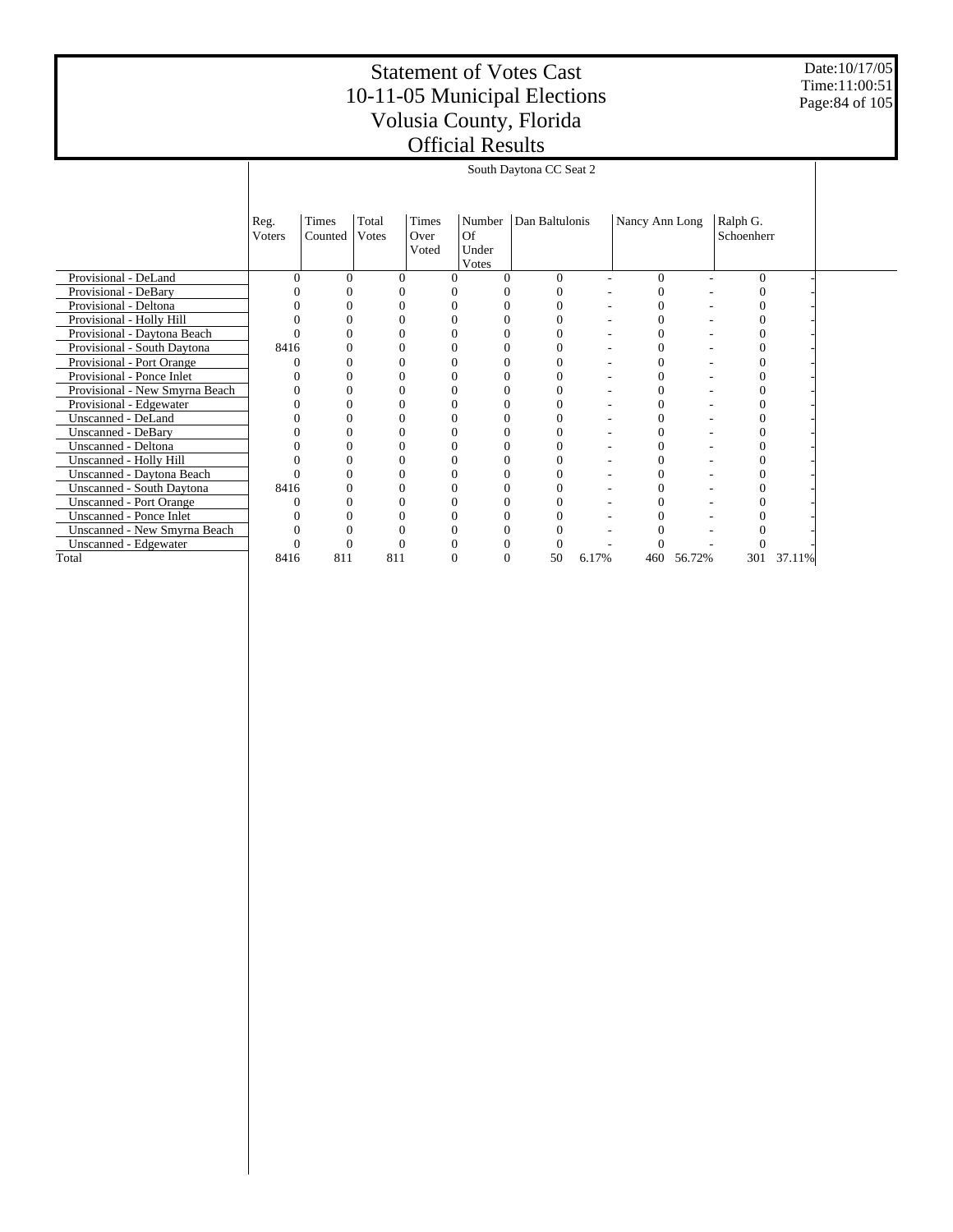Date:10/17/05 Time:11:00:51 Page:84 of 105

|                                  |                |                  |                |                        |                                | South Daytona CC Seat 2 |       |                |        |                        |        |  |
|----------------------------------|----------------|------------------|----------------|------------------------|--------------------------------|-------------------------|-------|----------------|--------|------------------------|--------|--|
|                                  | Reg.<br>Voters | Times<br>Counted | Total<br>Votes | Times<br>Over<br>Voted | Number<br>Of<br>Under<br>Votes | Dan Baltulonis          |       | Nancy Ann Long |        | Ralph G.<br>Schoenherr |        |  |
| Provisional - DeLand             |                | $\Omega$         | 0              |                        |                                | $\Omega$                |       | $\Omega$       |        | $\Omega$               |        |  |
| Provisional - DeBary             |                |                  |                |                        |                                |                         |       | 0              |        |                        |        |  |
| Provisional - Deltona            |                |                  |                |                        |                                | 0                       |       | $\overline{0}$ |        | 0                      |        |  |
| Provisional - Holly Hill         |                |                  |                |                        |                                |                         |       | 0              |        |                        |        |  |
| Provisional - Daytona Beach      |                |                  |                |                        |                                | 0                       |       | $\Omega$       |        | 0                      |        |  |
| Provisional - South Daytona      | 8416           |                  |                |                        |                                |                         |       | $\overline{0}$ |        |                        |        |  |
| Provisional - Port Orange        |                |                  |                |                        |                                | 0                       |       | $\theta$       |        | 0                      |        |  |
| Provisional - Ponce Inlet        |                |                  |                |                        |                                | 0                       |       | 0              |        | 0                      |        |  |
| Provisional - New Smyrna Beach   |                |                  |                |                        |                                |                         |       | 0              |        |                        |        |  |
| Provisional - Edgewater          |                | $\theta$         |                |                        | $\theta$                       | 0                       |       | $\overline{0}$ |        | 0                      |        |  |
| Unscanned - DeLand               |                |                  |                |                        |                                |                         |       | 0              |        |                        |        |  |
| Unscanned - DeBary               |                |                  |                |                        |                                |                         |       | 0              |        | 0                      |        |  |
| Unscanned - Deltona              |                |                  |                |                        |                                |                         |       | $\overline{0}$ |        | 0                      |        |  |
| Unscanned - Holly Hill           |                |                  |                |                        |                                |                         |       | 0              |        |                        |        |  |
| Unscanned - Daytona Beach        |                |                  |                |                        |                                | 0                       |       | 0              |        | 0                      |        |  |
| <b>Unscanned - South Daytona</b> | 8416           |                  |                |                        |                                |                         |       | $\overline{0}$ |        |                        |        |  |
| <b>Unscanned - Port Orange</b>   |                | 0                |                |                        |                                | റ                       |       | $\theta$       |        | 0                      |        |  |
| <b>Unscanned - Ponce Inlet</b>   |                |                  |                |                        |                                |                         |       |                |        |                        |        |  |
| Unscanned - New Smyrna Beach     |                |                  |                |                        |                                |                         |       |                |        |                        |        |  |
| Unscanned - Edgewater            |                |                  |                |                        |                                |                         |       |                |        |                        |        |  |
| Total                            | 8416           | 811              | 811            |                        |                                | 50                      | 6.17% | 460            | 56.72% | 301                    | 37.11% |  |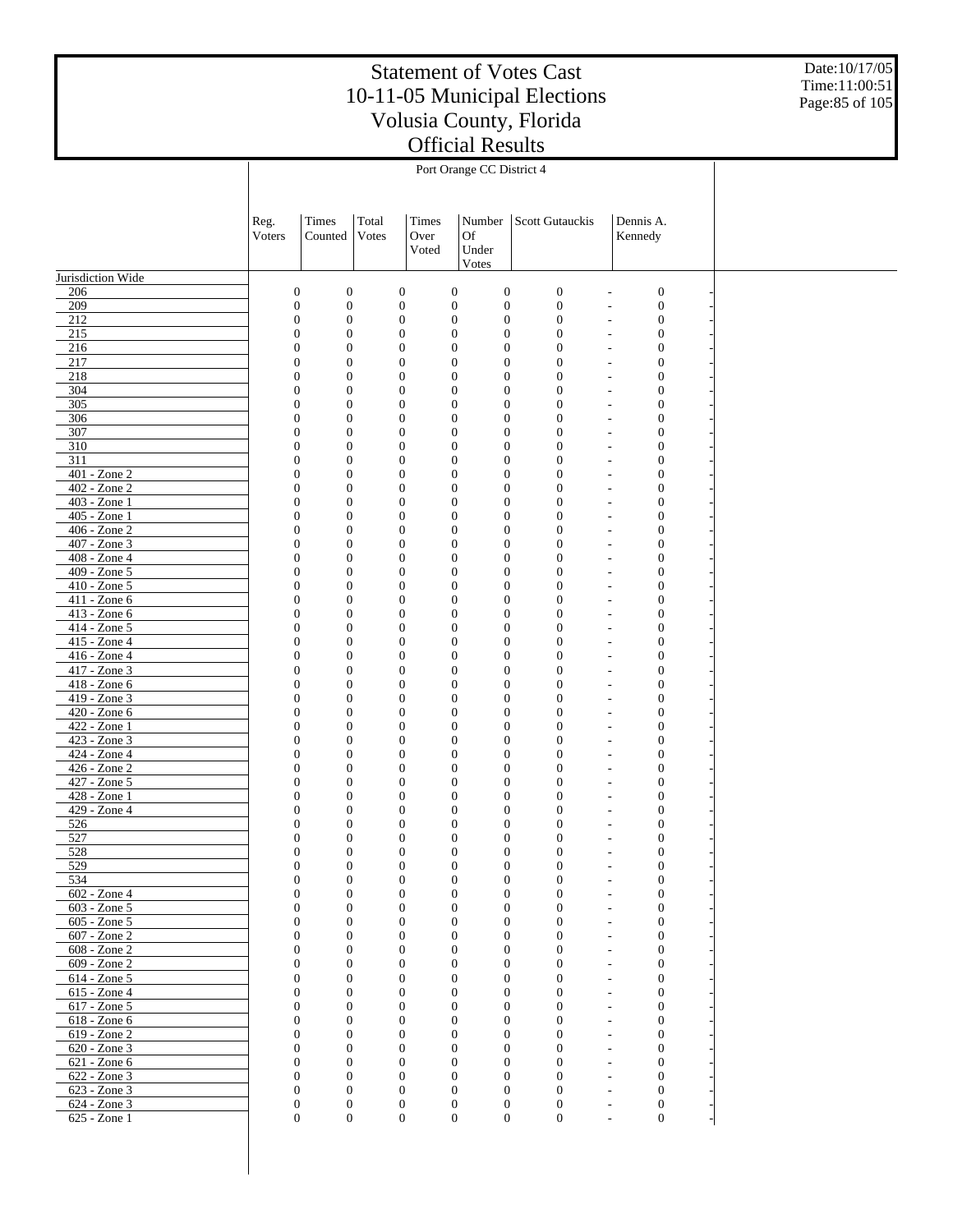Date:10/17/05 Time:11:00:51 Page:85 of 105

|                              | Reg.<br>Voters | Times<br>Counted                                                             | Total<br>Votes | Times<br>Over<br>Voted               | Number<br>Of<br>Under<br>Votes                                       | Scott Gutauckis                      | Dennis A.<br>Kennedy                                   |  |
|------------------------------|----------------|------------------------------------------------------------------------------|----------------|--------------------------------------|----------------------------------------------------------------------|--------------------------------------|--------------------------------------------------------|--|
| Jurisdiction Wide            |                |                                                                              |                |                                      |                                                                      |                                      |                                                        |  |
| 206<br>209                   |                | $\boldsymbol{0}$<br>$\boldsymbol{0}$<br>$\boldsymbol{0}$<br>$\boldsymbol{0}$ |                | $\boldsymbol{0}$<br>$\boldsymbol{0}$ | $\mathbf{0}$<br>$\boldsymbol{0}$<br>$\mathbf{0}$<br>$\boldsymbol{0}$ | $\boldsymbol{0}$<br>$\boldsymbol{0}$ | $\boldsymbol{0}$<br>$\boldsymbol{0}$                   |  |
| 212                          |                | $\boldsymbol{0}$<br>$\mathbf{0}$                                             |                | $\boldsymbol{0}$                     | $\mathbf{0}$<br>$\mathbf{0}$                                         | $\boldsymbol{0}$                     | $\boldsymbol{0}$                                       |  |
| 215                          |                | $\boldsymbol{0}$<br>$\mathbf{0}$                                             |                | $\boldsymbol{0}$                     | $\mathbf{0}$<br>$\mathbf{0}$                                         | $\boldsymbol{0}$                     | $\boldsymbol{0}$                                       |  |
| 216                          |                | $\boldsymbol{0}$<br>$\boldsymbol{0}$                                         |                | $\boldsymbol{0}$                     | $\mathbf{0}$<br>$\mathbf{0}$                                         | $\boldsymbol{0}$                     | $\mathbf{0}$                                           |  |
| 217<br>218                   |                | $\boldsymbol{0}$<br>$\mathbf{0}$<br>$\boldsymbol{0}$<br>$\boldsymbol{0}$     |                | $\boldsymbol{0}$<br>$\boldsymbol{0}$ | $\mathbf{0}$<br>$\mathbf{0}$<br>$\mathbf{0}$<br>$\mathbf{0}$         | $\mathbf{0}$<br>$\mathbf{0}$         | $\boldsymbol{0}$<br>$\mathbf{0}$                       |  |
| 304                          |                | $\boldsymbol{0}$<br>$\mathbf{0}$                                             |                | $\boldsymbol{0}$                     | $\mathbf{0}$<br>$\mathbf{0}$                                         | $\mathbf{0}$                         | $\boldsymbol{0}$                                       |  |
| 305                          |                | $\boldsymbol{0}$<br>$\boldsymbol{0}$                                         |                | $\boldsymbol{0}$                     | $\mathbf{0}$<br>$\mathbf{0}$                                         | $\boldsymbol{0}$                     | $\mathbf{0}$                                           |  |
| 306<br>307                   |                | $\boldsymbol{0}$<br>$\mathbf{0}$<br>$\boldsymbol{0}$<br>$\boldsymbol{0}$     |                | $\boldsymbol{0}$<br>$\boldsymbol{0}$ | $\mathbf{0}$<br>$\mathbf{0}$<br>$\mathbf{0}$<br>$\mathbf{0}$         | $\mathbf{0}$<br>$\mathbf{0}$         | $\boldsymbol{0}$<br>$\mathbf{0}$                       |  |
| 310                          |                | $\boldsymbol{0}$<br>$\mathbf{0}$                                             |                | $\boldsymbol{0}$                     | $\mathbf{0}$<br>$\mathbf{0}$                                         | $\boldsymbol{0}$                     | $\boldsymbol{0}$                                       |  |
| 311                          |                | $\boldsymbol{0}$<br>$\boldsymbol{0}$                                         |                | $\boldsymbol{0}$                     | $\mathbf{0}$<br>$\mathbf{0}$                                         | $\boldsymbol{0}$                     | $\mathbf{0}$                                           |  |
| $401 - Z$ one 2              |                | $\boldsymbol{0}$<br>$\mathbf{0}$                                             |                | $\boldsymbol{0}$                     | $\mathbf{0}$<br>$\mathbf{0}$                                         | $\mathbf{0}$                         | $\boldsymbol{0}$                                       |  |
| 402 - Zone 2<br>403 - Zone 1 |                | $\boldsymbol{0}$<br>$\boldsymbol{0}$<br>$\boldsymbol{0}$<br>$\mathbf{0}$     |                | $\boldsymbol{0}$<br>$\boldsymbol{0}$ | $\mathbf{0}$<br>$\mathbf{0}$<br>$\mathbf{0}$<br>$\mathbf{0}$         | $\mathbf{0}$<br>$\boldsymbol{0}$     | $\mathbf{0}$<br>$\boldsymbol{0}$                       |  |
| 405 - Zone 1                 |                | $\boldsymbol{0}$<br>$\boldsymbol{0}$                                         |                | $\boldsymbol{0}$                     | $\mathbf{0}$<br>$\mathbf{0}$                                         | $\boldsymbol{0}$                     | $\boldsymbol{0}$                                       |  |
| 406 - Zone 2                 |                | $\boldsymbol{0}$<br>$\mathbf{0}$                                             |                | $\boldsymbol{0}$                     | $\mathbf{0}$<br>$\mathbf{0}$                                         | $\mathbf{0}$                         | $\boldsymbol{0}$                                       |  |
| 407 - Zone 3<br>408 - Zone 4 |                | $\boldsymbol{0}$<br>$\boldsymbol{0}$<br>$\boldsymbol{0}$<br>$\mathbf{0}$     |                | $\boldsymbol{0}$<br>$\boldsymbol{0}$ | $\mathbf{0}$<br>$\mathbf{0}$<br>$\mathbf{0}$<br>$\mathbf{0}$         | $\mathbf{0}$<br>$\mathbf{0}$         | $\mathbf{0}$<br>$\boldsymbol{0}$                       |  |
| 409 - Zone 5                 |                | $\boldsymbol{0}$<br>$\boldsymbol{0}$                                         |                | $\boldsymbol{0}$                     | $\mathbf{0}$<br>$\mathbf{0}$                                         | $\boldsymbol{0}$                     | $\mathbf{0}$                                           |  |
| 410 - Zone 5                 |                | $\boldsymbol{0}$<br>$\mathbf{0}$                                             |                | $\boldsymbol{0}$                     | $\mathbf{0}$<br>$\mathbf{0}$                                         | $\mathbf{0}$                         | $\boldsymbol{0}$                                       |  |
| 411 - Zone 6                 |                | $\boldsymbol{0}$<br>$\boldsymbol{0}$                                         |                | $\boldsymbol{0}$                     | $\mathbf{0}$<br>$\mathbf{0}$                                         | $\mathbf{0}$                         | $\mathbf{0}$                                           |  |
| 413 - Zone 6<br>414 - Zone 5 |                | $\boldsymbol{0}$<br>$\mathbf{0}$<br>$\boldsymbol{0}$<br>$\boldsymbol{0}$     |                | $\boldsymbol{0}$<br>$\boldsymbol{0}$ | $\mathbf{0}$<br>$\mathbf{0}$<br>$\mathbf{0}$<br>$\mathbf{0}$         | $\boldsymbol{0}$<br>$\mathbf{0}$     | $\boldsymbol{0}$<br>$\mathbf{0}$                       |  |
| 415 - Zone 4                 |                | $\boldsymbol{0}$<br>$\mathbf{0}$                                             |                | $\boldsymbol{0}$                     | $\mathbf{0}$<br>$\mathbf{0}$                                         | $\mathbf{0}$                         | $\boldsymbol{0}$                                       |  |
| 416 - Zone 4                 |                | $\boldsymbol{0}$<br>$\boldsymbol{0}$                                         |                | $\boldsymbol{0}$                     | $\mathbf{0}$<br>$\mathbf{0}$                                         | $\mathbf{0}$                         | $\mathbf{0}$                                           |  |
| 417 - Zone 3                 |                | $\boldsymbol{0}$<br>$\mathbf{0}$                                             |                | $\boldsymbol{0}$                     | $\mathbf{0}$<br>$\mathbf{0}$                                         | $\boldsymbol{0}$                     | $\boldsymbol{0}$                                       |  |
| 418 - Zone 6<br>419 - Zone 3 |                | $\boldsymbol{0}$<br>$\boldsymbol{0}$<br>$\boldsymbol{0}$<br>$\mathbf{0}$     |                | $\boldsymbol{0}$<br>$\boldsymbol{0}$ | $\mathbf{0}$<br>$\mathbf{0}$<br>$\mathbf{0}$<br>$\mathbf{0}$         | $\boldsymbol{0}$<br>$\mathbf{0}$     | $\boldsymbol{0}$<br>$\boldsymbol{0}$                   |  |
| 420 - Zone 6                 |                | $\boldsymbol{0}$<br>$\boldsymbol{0}$                                         |                | $\boldsymbol{0}$                     | $\mathbf{0}$<br>$\mathbf{0}$                                         | $\mathbf{0}$                         | $\mathbf{0}$                                           |  |
| 422 - Zone 1                 |                | $\boldsymbol{0}$<br>$\mathbf{0}$                                             |                | $\boldsymbol{0}$                     | $\mathbf{0}$<br>$\mathbf{0}$                                         | $\mathbf{0}$                         | $\boldsymbol{0}$                                       |  |
| 423 - Zone 3<br>424 - Zone 4 |                | $\boldsymbol{0}$<br>$\boldsymbol{0}$<br>$\boldsymbol{0}$<br>$\mathbf{0}$     |                | $\boldsymbol{0}$<br>$\boldsymbol{0}$ | $\mathbf{0}$<br>$\mathbf{0}$<br>$\mathbf{0}$<br>$\mathbf{0}$         | $\boldsymbol{0}$<br>$\mathbf{0}$     | $\mathbf{0}$<br>$\boldsymbol{0}$                       |  |
| $426 - Zone$ 2               |                | $\boldsymbol{0}$<br>$\boldsymbol{0}$                                         |                | $\boldsymbol{0}$                     | $\mathbf{0}$<br>$\mathbf{0}$                                         | $\mathbf{0}$                         | $\mathbf{0}$                                           |  |
| 427 - Zone 5                 |                | $\boldsymbol{0}$<br>$\mathbf{0}$                                             |                | $\boldsymbol{0}$                     | $\mathbf{0}$<br>$\mathbf{0}$                                         | $\boldsymbol{0}$                     | $\boldsymbol{0}$                                       |  |
| 428 - Zone 1                 |                | $\boldsymbol{0}$<br>$\boldsymbol{0}$                                         |                | $\boldsymbol{0}$                     | $\mathbf{0}$<br>$\mathbf{0}$                                         | $\overline{0}$                       | $\mathbf{0}$                                           |  |
| 429 - Zone 4<br>526          |                | $\boldsymbol{0}$<br>$\boldsymbol{0}$<br>$\boldsymbol{0}$<br>$\boldsymbol{0}$ |                | $\boldsymbol{0}$<br>$\boldsymbol{0}$ | $\theta$<br>$\mathbf{0}$<br>$\mathbf{0}$<br>$\mathbf{0}$             | $\mathbf{0}$<br>$\boldsymbol{0}$     | $\boldsymbol{0}$<br>$\mathbf{0}$                       |  |
| 527                          |                | $\mathbf{0}$<br>$\mathbf{0}$                                                 |                | $\boldsymbol{0}$                     | $\mathbf{0}$<br>$\overline{0}$                                       | $\mathbf{0}$                         | $\boldsymbol{0}$                                       |  |
| 528                          |                | $\Omega$<br>$\Omega$                                                         |                | $\boldsymbol{0}$                     | $\Omega$<br>$\theta$                                                 | $\Omega$                             | $\Omega$                                               |  |
| 529                          |                | $\boldsymbol{0}$<br>$\mathbf{0}$                                             |                | $\boldsymbol{0}$                     | $\mathbf{0}$<br>$\mathbf{0}$                                         | $\overline{0}$                       | $\boldsymbol{0}$                                       |  |
| 534<br>602 - Zone 4          |                | $\boldsymbol{0}$<br>$\mathbf{0}$<br>$\mathbf{0}$<br>$\mathbf{0}$             |                | $\boldsymbol{0}$<br>$\boldsymbol{0}$ | $\mathbf{0}$<br>$\mathbf{0}$<br>$\theta$<br>$\mathbf{0}$             | $\boldsymbol{0}$<br>$\mathbf{0}$     | $\boldsymbol{0}$<br>$\boldsymbol{0}$                   |  |
| 603 - Zone 5                 |                | $\boldsymbol{0}$<br>$\mathbf{0}$                                             |                | $\boldsymbol{0}$                     | $\theta$<br>$\mathbf{0}$                                             | $\mathbf{0}$                         | $\boldsymbol{0}$                                       |  |
| 605 - Zone 5                 |                | $\mathbf{0}$<br>$\mathbf{0}$                                                 |                | $\mathbf{0}$                         | $\theta$<br>$\overline{0}$                                           | $\mathbf{0}$                         | $\boldsymbol{0}$                                       |  |
| 607 - Zone 2<br>608 - Zone 2 |                | $\boldsymbol{0}$<br>$\boldsymbol{0}$<br>$\mathbf{0}$<br>$\theta$             |                | $\boldsymbol{0}$<br>$\mathbf{0}$     | $\theta$<br>$\mathbf{0}$<br>$\theta$<br>$\overline{0}$               | $\mathbf{0}$<br>$\mathbf{0}$         | $\boldsymbol{0}$<br>$\boldsymbol{0}$                   |  |
| 609 - Zone 2                 |                | $\boldsymbol{0}$<br>$\mathbf{0}$                                             |                | $\boldsymbol{0}$                     | $\theta$<br>$\overline{0}$                                           | $\mathbf{0}$                         | $\boldsymbol{0}$                                       |  |
| 614 - Zone 5                 |                | $\mathbf{0}$<br>$\theta$                                                     |                | $\mathbf{0}$                         | $\theta$<br>$\overline{0}$                                           | $\mathbf{0}$                         | $\boldsymbol{0}$                                       |  |
| 615 - Zone 4                 |                | $\boldsymbol{0}$<br>$\boldsymbol{0}$                                         |                | $\boldsymbol{0}$                     | $\theta$<br>$\mathbf{0}$                                             | $\mathbf{0}$                         | $\boldsymbol{0}$                                       |  |
| 617 - Zone 5<br>618 - Zone 6 |                | $\mathbf{0}$<br>$\theta$<br>$\boldsymbol{0}$<br>$\mathbf{0}$                 |                | $\mathbf{0}$<br>$\boldsymbol{0}$     | $\theta$<br>$\overline{0}$<br>$\theta$<br>$\overline{0}$             | $\mathbf{0}$<br>$\mathbf{0}$         | $\boldsymbol{0}$<br>$\boldsymbol{0}$                   |  |
| 619 - Zone 2                 |                | $\mathbf{0}$<br>$\mathbf{0}$                                                 |                | $\mathbf{0}$                         | $\theta$<br>$\overline{0}$                                           | $\mathbf{0}$                         | $\boldsymbol{0}$                                       |  |
| 620 - Zone 3                 |                | $\boldsymbol{0}$<br>$\boldsymbol{0}$                                         |                | $\boldsymbol{0}$                     | $\theta$<br>$\mathbf{0}$                                             | $\mathbf{0}$                         | $\boldsymbol{0}$                                       |  |
| 621 - Zone 6                 |                | $\mathbf{0}$<br>$\theta$                                                     |                | $\mathbf{0}$                         | $\theta$<br>$\overline{0}$                                           | $\mathbf{0}$                         | $\boldsymbol{0}$                                       |  |
| 622 - Zone 3<br>623 - Zone 3 |                | $\boldsymbol{0}$<br>$\mathbf{0}$<br>$\mathbf{0}$<br>$\theta$                 |                | $\boldsymbol{0}$<br>$\boldsymbol{0}$ | $\theta$<br>$\overline{0}$<br>$\theta$<br>$\overline{0}$             | $\mathbf{0}$<br>$\mathbf{0}$         | $\boldsymbol{0}$<br>$\boldsymbol{0}$<br>$\overline{a}$ |  |
| $624 - Zone$ 3               |                | $\boldsymbol{0}$<br>$\boldsymbol{0}$                                         |                | $\boldsymbol{0}$                     | $\mathbf{0}$<br>$\mathbf{0}$                                         | $\boldsymbol{0}$                     | $\boldsymbol{0}$<br>$\overline{\phantom{a}}$           |  |
| 625 - Zone 1                 |                | $\boldsymbol{0}$<br>$\mathbf{0}$                                             |                | $\boldsymbol{0}$                     | $\mathbf{0}$<br>$\boldsymbol{0}$                                     | $\mathbf{0}$                         | $\boldsymbol{0}$<br>$\overline{a}$                     |  |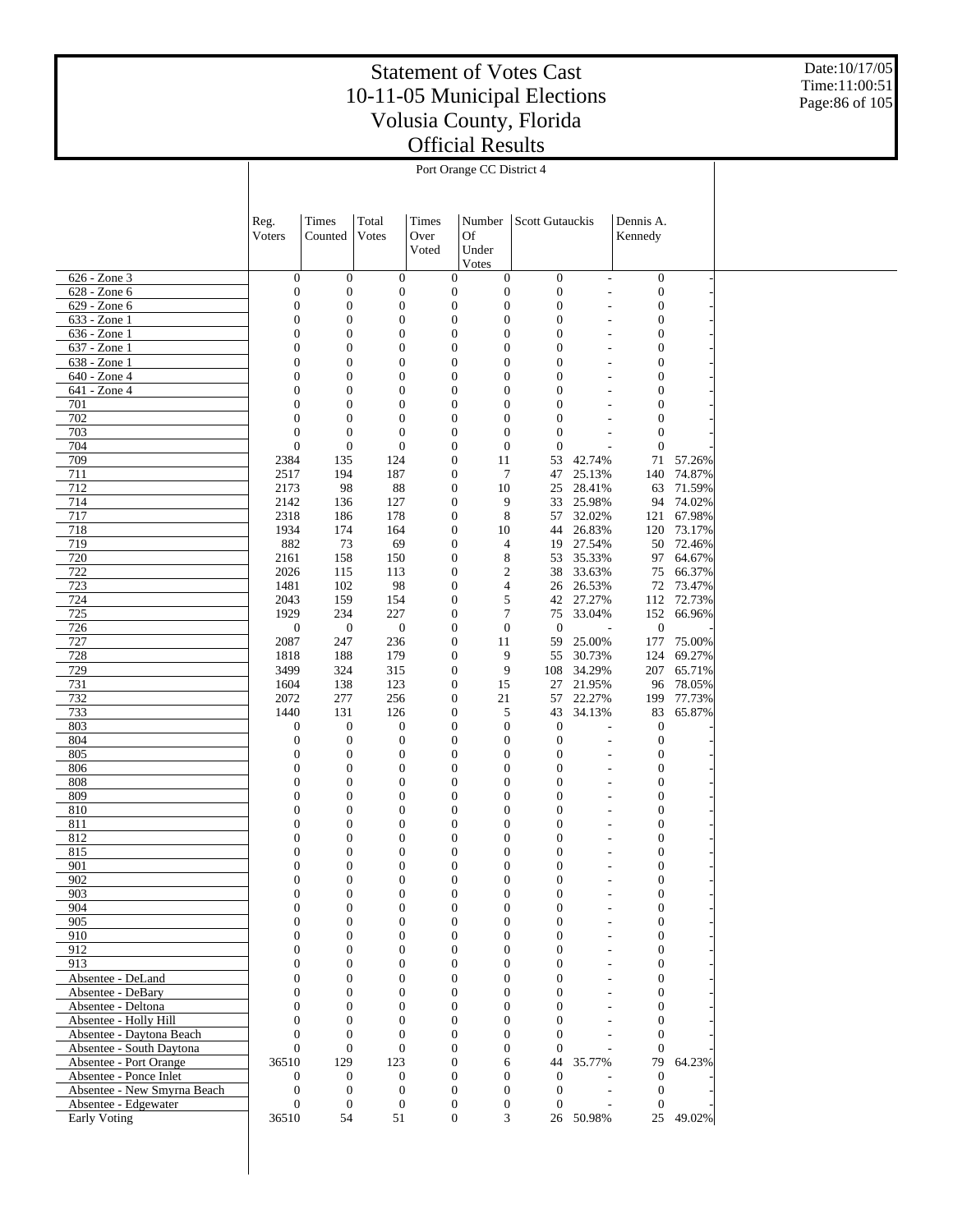Date:10/17/05 Time:11:00:51 Page:86 of 105

|                                                      |                                  |                                      |                                      |                                      | Port Orange CC District 4                                          |                                      |                                    |                                      |                      |  |  |  |  |
|------------------------------------------------------|----------------------------------|--------------------------------------|--------------------------------------|--------------------------------------|--------------------------------------------------------------------|--------------------------------------|------------------------------------|--------------------------------------|----------------------|--|--|--|--|
|                                                      |                                  |                                      |                                      |                                      |                                                                    |                                      |                                    |                                      |                      |  |  |  |  |
|                                                      |                                  |                                      |                                      |                                      |                                                                    |                                      |                                    |                                      |                      |  |  |  |  |
|                                                      | Reg.                             | Times                                | Total                                | Times                                | Number                                                             | Scott Gutauckis                      |                                    | Dennis A.                            |                      |  |  |  |  |
|                                                      | Voters                           | Counted                              | Votes                                | Over                                 | Of                                                                 |                                      |                                    | Kennedy                              |                      |  |  |  |  |
|                                                      |                                  |                                      |                                      | Voted                                | Under                                                              |                                      |                                    |                                      |                      |  |  |  |  |
|                                                      |                                  |                                      |                                      |                                      | Votes                                                              |                                      |                                    |                                      |                      |  |  |  |  |
| 626 - Zone 3                                         | $\mathbf{0}$                     | $\mathbf{0}$                         | $\mathbf{0}$                         |                                      | $\boldsymbol{0}$<br>$\overline{0}$                                 | $\boldsymbol{0}$                     | $\overline{\phantom{a}}$           | $\boldsymbol{0}$                     |                      |  |  |  |  |
| 628 - Zone 6                                         | $\boldsymbol{0}$                 | $\mathbf{0}$                         | $\boldsymbol{0}$                     | $\boldsymbol{0}$                     | $\boldsymbol{0}$                                                   | $\boldsymbol{0}$                     |                                    | $\boldsymbol{0}$                     |                      |  |  |  |  |
| 629 - Zone 6<br>633 - Zone 1                         | $\boldsymbol{0}$<br>$\mathbf{0}$ | $\mathbf{0}$<br>$\boldsymbol{0}$     | $\boldsymbol{0}$<br>$\mathbf{0}$     | $\boldsymbol{0}$                     | $\boldsymbol{0}$<br>$\boldsymbol{0}$<br>0                          | $\boldsymbol{0}$<br>$\boldsymbol{0}$ |                                    | $\boldsymbol{0}$<br>$\boldsymbol{0}$ |                      |  |  |  |  |
| 636 - Zone 1                                         | $\boldsymbol{0}$                 | $\boldsymbol{0}$                     | $\boldsymbol{0}$                     | $\boldsymbol{0}$                     | $\boldsymbol{0}$                                                   | $\boldsymbol{0}$                     |                                    | $\boldsymbol{0}$                     |                      |  |  |  |  |
| 637 - Zone 1                                         | $\mathbf{0}$                     | $\boldsymbol{0}$                     | $\mathbf{0}$                         | $\boldsymbol{0}$                     | $\boldsymbol{0}$                                                   | $\mathbf{0}$                         |                                    | $\boldsymbol{0}$                     |                      |  |  |  |  |
| 638 - Zone 1                                         | $\boldsymbol{0}$                 | $\boldsymbol{0}$                     | $\boldsymbol{0}$                     |                                      | $\boldsymbol{0}$<br>$\boldsymbol{0}$                               | $\boldsymbol{0}$                     |                                    | $\boldsymbol{0}$                     |                      |  |  |  |  |
| 640 - Zone 4                                         | $\mathbf{0}$                     | $\boldsymbol{0}$                     | $\mathbf{0}$                         | $\boldsymbol{0}$                     | $\boldsymbol{0}$                                                   | $\overline{0}$                       |                                    | $\boldsymbol{0}$                     |                      |  |  |  |  |
| 641 - Zone 4                                         | $\boldsymbol{0}$                 | $\boldsymbol{0}$                     | $\boldsymbol{0}$                     | $\boldsymbol{0}$                     | $\boldsymbol{0}$                                                   | $\boldsymbol{0}$                     |                                    | $\boldsymbol{0}$                     |                      |  |  |  |  |
| 701<br>702                                           | $\mathbf{0}$<br>$\mathbf{0}$     | $\boldsymbol{0}$<br>$\boldsymbol{0}$ | $\boldsymbol{0}$<br>$\boldsymbol{0}$ | $\boldsymbol{0}$<br>$\boldsymbol{0}$ | $\boldsymbol{0}$<br>$\boldsymbol{0}$                               | $\overline{0}$<br>$\boldsymbol{0}$   |                                    | $\boldsymbol{0}$<br>$\boldsymbol{0}$ |                      |  |  |  |  |
| 703                                                  | $\boldsymbol{0}$                 | $\boldsymbol{0}$                     | $\mathbf{0}$                         | $\boldsymbol{0}$                     | $\boldsymbol{0}$                                                   | $\boldsymbol{0}$                     |                                    | $\boldsymbol{0}$                     |                      |  |  |  |  |
| 704                                                  | $\mathbf{0}$                     | $\mathbf{0}$                         | $\mathbf{0}$                         | $\boldsymbol{0}$                     | $\boldsymbol{0}$                                                   | $\boldsymbol{0}$                     |                                    | $\boldsymbol{0}$                     |                      |  |  |  |  |
| 709                                                  | 2384                             | 135                                  | 124                                  | $\boldsymbol{0}$                     | 11                                                                 | 53                                   | 42.74%                             | 71                                   | 57.26%               |  |  |  |  |
| 711                                                  | 2517                             | 194                                  | 187                                  | $\boldsymbol{0}$                     | $\tau$                                                             | 47                                   | 25.13%                             | 140                                  | 74.87%               |  |  |  |  |
| 712                                                  | 2173                             | 98                                   | 88                                   | $\boldsymbol{0}$                     | 10                                                                 | 25                                   | 28.41%                             |                                      | 63 71.59%            |  |  |  |  |
| 714                                                  | 2142                             | 136                                  | 127                                  | $\boldsymbol{0}$                     | 9                                                                  | 33                                   | 25.98%                             |                                      | 94 74.02%            |  |  |  |  |
| 717<br>718                                           | 2318<br>1934                     | 186<br>174                           | 178<br>164                           | $\boldsymbol{0}$                     | 8<br>$\boldsymbol{0}$<br>10                                        | 57<br>44                             | 32.02%<br>26.83%                   | 121                                  | 67.98%<br>120 73.17% |  |  |  |  |
| 719                                                  | 882                              | 73                                   | 69                                   | $\boldsymbol{0}$                     | 4                                                                  | 19                                   | 27.54%                             |                                      | 50 72.46%            |  |  |  |  |
| 720                                                  | 2161                             | 158                                  | 150                                  | $\boldsymbol{0}$                     | 8                                                                  | 53                                   | 35.33%                             | 97                                   | 64.67%               |  |  |  |  |
| 722                                                  | 2026                             | 115                                  | 113                                  | $\boldsymbol{0}$                     | 2                                                                  | 38                                   | 33.63%                             |                                      | 75 66.37%            |  |  |  |  |
| 723                                                  | 1481                             | 102                                  | 98                                   |                                      | $\boldsymbol{0}$<br>4                                              | 26                                   | 26.53%                             |                                      | 72 73.47%            |  |  |  |  |
| 724                                                  | 2043                             | 159                                  | 154                                  | $\boldsymbol{0}$                     | 5                                                                  | 42                                   | 27.27%                             |                                      | 112 72.73%           |  |  |  |  |
| 725<br>726                                           | 1929<br>$\mathbf{0}$             | 234<br>$\mathbf{0}$                  | 227<br>$\boldsymbol{0}$              | $\boldsymbol{0}$                     | $\boldsymbol{0}$<br>7<br>$\boldsymbol{0}$                          | 75<br>$\boldsymbol{0}$               | 33.04%<br>$\overline{\phantom{a}}$ | $\boldsymbol{0}$                     | 152 66.96%           |  |  |  |  |
| 727                                                  | 2087                             | 247                                  | 236                                  | $\boldsymbol{0}$                     | 11                                                                 | 59                                   | 25.00%                             | 177                                  | 75.00%               |  |  |  |  |
| 728                                                  | 1818                             | 188                                  | 179                                  | $\boldsymbol{0}$                     | 9                                                                  | 55                                   | 30.73%                             | 124                                  | 69.27%               |  |  |  |  |
| 729                                                  | 3499                             | 324                                  | 315                                  | $\boldsymbol{0}$                     | 9                                                                  | 108                                  | 34.29%                             | 207                                  | 65.71%               |  |  |  |  |
| 731                                                  | 1604                             | 138                                  | 123                                  | $\boldsymbol{0}$                     | 15                                                                 | 27                                   | 21.95%                             |                                      | 96 78.05%            |  |  |  |  |
| 732                                                  | 2072                             | 277                                  | 256                                  | $\boldsymbol{0}$                     | 21                                                                 | 57                                   | 22.27%                             | 199                                  | 77.73%               |  |  |  |  |
| 733<br>803                                           | 1440<br>$\mathbf{0}$             | 131<br>$\boldsymbol{0}$              | 126<br>$\boldsymbol{0}$              | $\boldsymbol{0}$                     | 5<br>$\boldsymbol{0}$<br>$\boldsymbol{0}$                          | 43<br>$\boldsymbol{0}$               | 34.13%                             | 83<br>$\boldsymbol{0}$               | 65.87%               |  |  |  |  |
| 804                                                  | $\mathbf{0}$                     | $\mathbf{0}$                         | $\boldsymbol{0}$                     | $\boldsymbol{0}$                     | $\boldsymbol{0}$                                                   | $\boldsymbol{0}$                     | $\overline{a}$                     | $\boldsymbol{0}$                     |                      |  |  |  |  |
| 805                                                  | $\boldsymbol{0}$                 | $\boldsymbol{0}$                     | $\boldsymbol{0}$                     |                                      | $\boldsymbol{0}$<br>$\boldsymbol{0}$                               | $\boldsymbol{0}$                     |                                    | $\boldsymbol{0}$                     |                      |  |  |  |  |
| 806                                                  | $\boldsymbol{0}$                 | $\boldsymbol{0}$                     | $\boldsymbol{0}$                     | $\boldsymbol{0}$                     | $\boldsymbol{0}$                                                   | $\mathbf{0}$                         |                                    | $\boldsymbol{0}$                     |                      |  |  |  |  |
| 808                                                  | $\boldsymbol{0}$                 | $\boldsymbol{0}$                     | $\boldsymbol{0}$                     |                                      | $\boldsymbol{0}$<br>$\boldsymbol{0}$                               | $\boldsymbol{0}$                     |                                    | $\boldsymbol{0}$                     |                      |  |  |  |  |
| 809                                                  | $\mathbf{0}$                     | $\overline{0}$                       | $\mathbf{0}$                         | $\boldsymbol{0}$                     | 0                                                                  | $\mathbf{0}$                         |                                    | $\boldsymbol{0}$                     |                      |  |  |  |  |
| 810                                                  | $\boldsymbol{0}$                 | $\boldsymbol{0}$                     | $\boldsymbol{0}$                     | $\boldsymbol{0}$                     | $\boldsymbol{0}$                                                   | $\boldsymbol{0}$                     |                                    | $\boldsymbol{0}$                     |                      |  |  |  |  |
| 811<br>812                                           | $\boldsymbol{0}$<br>$\mathbf{0}$ | $\boldsymbol{0}$<br>$\boldsymbol{0}$ | $\boldsymbol{0}$<br>$\boldsymbol{0}$ | $\mathbf{0}$                         | $\boldsymbol{0}$<br>$\boldsymbol{0}$<br>$\mathbf{0}$               | $\boldsymbol{0}$<br>$\boldsymbol{0}$ |                                    | $\boldsymbol{0}$<br>$\boldsymbol{0}$ |                      |  |  |  |  |
| 815                                                  | $\Omega$                         | $\Omega$                             | $\Omega$                             |                                      | $\Omega$<br>$\Omega$                                               | $\Omega$                             |                                    | $\Omega$                             |                      |  |  |  |  |
| 901                                                  | $\boldsymbol{0}$                 | $\mathbf{0}$                         | 0                                    |                                      | $\boldsymbol{0}$<br>$\boldsymbol{0}$                               | $\boldsymbol{0}$                     |                                    | $\boldsymbol{0}$                     |                      |  |  |  |  |
| 902                                                  | $\mathbf{0}$                     | $\boldsymbol{0}$                     | $\mathbf{0}$                         |                                      | $\boldsymbol{0}$<br>$\boldsymbol{0}$                               | $\mathbf{0}$                         |                                    | $\boldsymbol{0}$                     |                      |  |  |  |  |
| 903                                                  | $\mathbf{0}$                     | $\mathbf{0}$                         | $\mathbf{0}$                         |                                      | $\boldsymbol{0}$<br>$\boldsymbol{0}$                               | $\mathbf{0}$                         |                                    | $\boldsymbol{0}$                     |                      |  |  |  |  |
| 904                                                  | $\mathbf{0}$                     | $\mathbf{0}$                         | $\mathbf{0}$                         |                                      | $\mathbf{0}$<br>$\mathbf{0}$                                       | $\mathbf{0}$                         |                                    | $\boldsymbol{0}$                     |                      |  |  |  |  |
| 905<br>910                                           | $\mathbf{0}$<br>$\mathbf{0}$     | $\mathbf{0}$<br>$\mathbf{0}$         | $\mathbf{0}$<br>$\mathbf{0}$         |                                      | $\mathbf{0}$<br>$\boldsymbol{0}$<br>$\mathbf{0}$<br>$\mathbf{0}$   | $\mathbf{0}$<br>$\mathbf{0}$         |                                    | $\boldsymbol{0}$<br>$\boldsymbol{0}$ |                      |  |  |  |  |
| 912                                                  | $\mathbf{0}$                     | $\mathbf{0}$                         | $\mathbf{0}$                         |                                      | $\mathbf{0}$<br>$\boldsymbol{0}$                                   | $\mathbf{0}$                         |                                    | $\boldsymbol{0}$                     |                      |  |  |  |  |
| 913                                                  | $\mathbf{0}$                     | $\mathbf{0}$                         | $\mathbf{0}$                         |                                      | $\mathbf{0}$<br>$\mathbf{0}$                                       | $\mathbf{0}$                         |                                    | $\boldsymbol{0}$                     |                      |  |  |  |  |
| Absentee - DeLand                                    | $\mathbf{0}$                     | $\mathbf{0}$                         | $\mathbf{0}$                         |                                      | $\mathbf{0}$<br>$\boldsymbol{0}$                                   | $\mathbf{0}$                         |                                    | $\boldsymbol{0}$                     |                      |  |  |  |  |
| Absentee - DeBary                                    | $\mathbf{0}$                     | $\mathbf{0}$                         | $\mathbf{0}$                         |                                      | $\mathbf{0}$<br>$\boldsymbol{0}$                                   | $\mathbf{0}$                         |                                    | $\boldsymbol{0}$                     |                      |  |  |  |  |
| Absentee - Deltona                                   | $\mathbf{0}$                     | $\mathbf{0}$                         | $\mathbf{0}$                         |                                      | $\mathbf{0}$<br>$\boldsymbol{0}$                                   | $\mathbf{0}$                         |                                    | $\boldsymbol{0}$                     |                      |  |  |  |  |
| Absentee - Holly Hill                                | $\mathbf{0}$                     | $\mathbf{0}$                         | $\mathbf{0}$                         |                                      | $\mathbf{0}$<br>$\overline{0}$                                     | $\mathbf{0}$                         | $\overline{\phantom{a}}$           | $\boldsymbol{0}$                     |                      |  |  |  |  |
| Absentee - Daytona Beach<br>Absentee - South Daytona | $\mathbf{0}$<br>$\mathbf{0}$     | $\mathbf{0}$<br>$\boldsymbol{0}$     | $\theta$<br>$\mathbf{0}$             |                                      | $\mathbf{0}$<br>$\overline{0}$<br>$\mathbf{0}$<br>$\boldsymbol{0}$ | $\mathbf{0}$<br>$\mathbf{0}$         | $\overline{\phantom{a}}$           | $\mathbf{0}$<br>$\mathbf{0}$         |                      |  |  |  |  |
| Absentee - Port Orange                               | 36510                            | 129                                  | 123                                  |                                      | $\boldsymbol{0}$<br>6                                              | 44                                   | 35.77%                             | 79                                   | 64.23%               |  |  |  |  |
| Absentee - Ponce Inlet                               | $\overline{0}$                   | $\mathbf{0}$                         | $\mathbf{0}$                         |                                      | $\mathbf{0}$<br>$\overline{0}$                                     | $\mathbf{0}$                         |                                    | $\mathbf{0}$                         |                      |  |  |  |  |
| Absentee - New Smyrna Beach                          | $\mathbf{0}$                     | $\mathbf{0}$                         | $\boldsymbol{0}$                     |                                      | $\boldsymbol{0}$<br>$\boldsymbol{0}$                               | $\overline{0}$                       | ÷,                                 | $\mathbf{0}$                         |                      |  |  |  |  |
| Absentee - Edgewater                                 | $\mathbf{0}$                     | $\mathbf{0}$                         | $\mathbf{0}$                         |                                      | $\boldsymbol{0}$<br>$\boldsymbol{0}$                               | $\mathbf{0}$                         |                                    | $\mathbf{0}$                         |                      |  |  |  |  |
| Early Voting                                         | 36510                            | 54                                   | 51                                   |                                      | $\boldsymbol{0}$<br>3                                              |                                      | 26 50.98%                          |                                      | 25 49.02%            |  |  |  |  |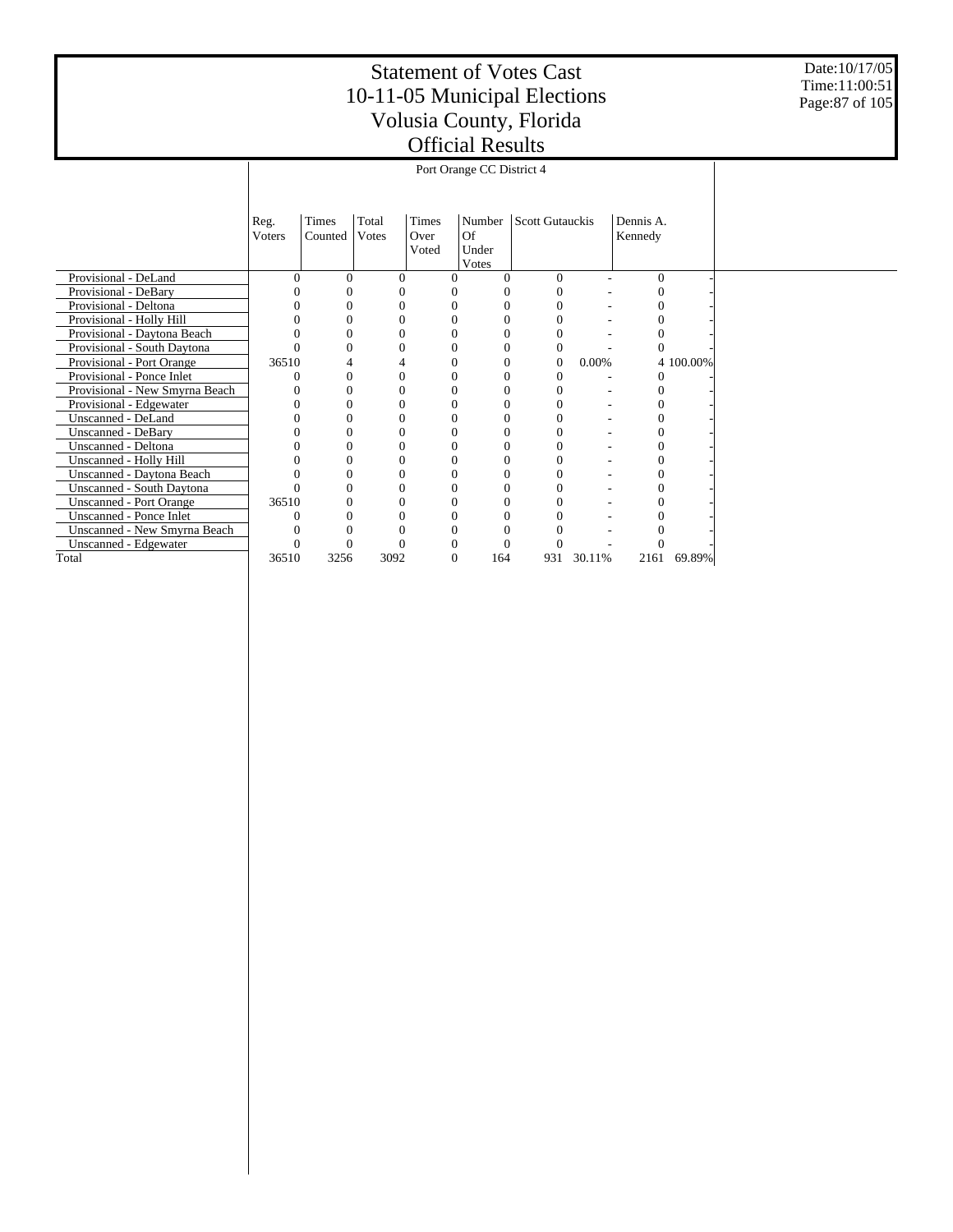Date:10/17/05 Time:11:00:51 Page:87 of 105

|                                  |        |         |          |       | Port Orange CC District 4 |                        |                  |        |           |           |
|----------------------------------|--------|---------|----------|-------|---------------------------|------------------------|------------------|--------|-----------|-----------|
|                                  |        |         |          |       |                           |                        |                  |        |           |           |
|                                  |        |         |          |       |                           |                        |                  |        |           |           |
|                                  | Reg.   | Times   | Total    | Times | Number                    | <b>Scott Gutauckis</b> |                  |        | Dennis A. |           |
|                                  | Voters | Counted | Votes    | Over  | Of                        |                        |                  |        | Kennedy   |           |
|                                  |        |         |          | Voted | Under                     |                        |                  |        |           |           |
|                                  |        |         |          |       | Votes                     |                        |                  |        |           |           |
| Provisional - DeLand             | O      | 0       | $\Omega$ |       | $\Omega$                  |                        | $\mathbf{0}$     |        | $\Omega$  |           |
| Provisional - DeBary             |        |         |          |       |                           |                        | 0                |        | 0         |           |
| Provisional - Deltona            |        | 0       |          |       | $\Omega$                  |                        | 0                |        | 0         |           |
| Provisional - Holly Hill         |        |         |          |       | $\Omega$                  |                        | 0                |        | 0         |           |
| Provisional - Daytona Beach      |        |         |          |       | $\Omega$                  |                        | 0                |        | 0         |           |
| Provisional - South Daytona      |        | 0       |          |       | $\Omega$                  | $\Omega$               | $\boldsymbol{0}$ |        | $\Omega$  |           |
| Provisional - Port Orange        | 36510  |         |          |       | $\Omega$                  | $\Omega$               | $\mathbf{0}$     | 0.00%  |           | 4 100.00% |
| Provisional - Ponce Inlet        |        | 0       | $\Omega$ |       | $\Omega$                  |                        | $\mathbf{0}$     |        | $\Omega$  |           |
| Provisional - New Smyrna Beach   |        | 0       |          |       | $\Omega$                  |                        | 0                |        | 0         |           |
| Provisional - Edgewater          |        | 0       |          |       | $\Omega$                  |                        | 0                |        | 0         |           |
| Unscanned - DeLand               |        |         |          |       | $\Omega$                  |                        | 0                |        |           |           |
| <b>Unscanned - DeBary</b>        |        | 0       |          |       | 0                         |                        | 0                |        | 0         |           |
| Unscanned - Deltona              |        | 0       |          |       | $\Omega$                  | $\Omega$               | 0                |        | $\Omega$  |           |
| Unscanned - Holly Hill           |        |         |          |       | $\Omega$                  |                        | 0                |        | 0         |           |
| Unscanned - Daytona Beach        |        |         |          |       | $\Omega$                  | $\Omega$               | 0                |        | 0         |           |
| <b>Unscanned - South Daytona</b> |        | 0       |          |       | $\theta$                  |                        | 0                |        | 0         |           |
| <b>Unscanned - Port Orange</b>   | 36510  | 0       | 0        |       | $\Omega$                  |                        | 0                |        | 0         |           |
| <b>Unscanned - Ponce Inlet</b>   |        |         |          |       | $\theta$                  |                        | 0                |        |           |           |
| Unscanned - New Smyrna Beach     |        |         |          |       | $\Omega$                  |                        | 0                |        |           |           |
| Unscanned - Edgewater            |        |         |          |       |                           |                        |                  |        | 0         |           |
| Total                            | 36510  | 3256    | 3092     |       | $\Omega$<br>164           | 931                    |                  | 30.11% | 2161      | 69.89%    |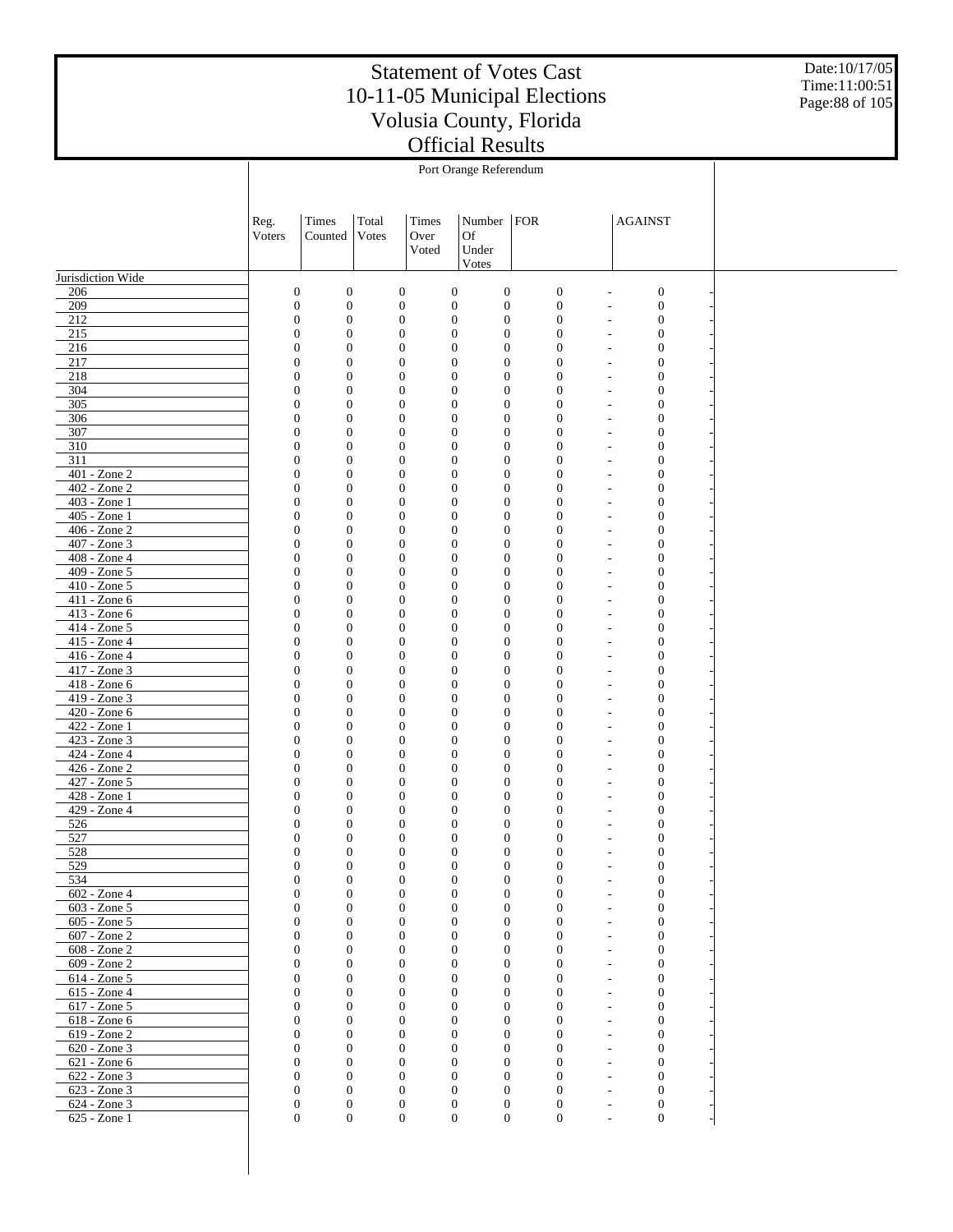Date:10/17/05 Time:11:00:51 Page:88 of 105

|                                   | Reg.                                 | Times                                | Total | Times                                | Number   FOR                     |                                      |                                      | <b>AGAINST</b>                                       |                                      |  |
|-----------------------------------|--------------------------------------|--------------------------------------|-------|--------------------------------------|----------------------------------|--------------------------------------|--------------------------------------|------------------------------------------------------|--------------------------------------|--|
|                                   | Voters                               | Counted                              | Votes | Over<br>Voted                        | Of<br>Under                      |                                      |                                      |                                                      |                                      |  |
|                                   |                                      |                                      |       |                                      | Votes                            |                                      |                                      |                                                      |                                      |  |
| Jurisdiction Wide                 |                                      |                                      |       |                                      |                                  |                                      |                                      |                                                      |                                      |  |
| 206                               | $\boldsymbol{0}$                     | $\boldsymbol{0}$                     |       | $\boldsymbol{0}$                     | $\boldsymbol{0}$                 | $\boldsymbol{0}$                     | $\boldsymbol{0}$                     |                                                      | $\boldsymbol{0}$                     |  |
| 209                               | $\boldsymbol{0}$                     | $\boldsymbol{0}$                     |       | $\boldsymbol{0}$                     | $\boldsymbol{0}$                 | $\boldsymbol{0}$                     | $\boldsymbol{0}$                     | $\overline{a}$                                       | $\boldsymbol{0}$                     |  |
| 212                               | $\boldsymbol{0}$                     | $\boldsymbol{0}$                     |       | $\mathbf{0}$                         | $\mathbf{0}$                     | $\boldsymbol{0}$                     | $\boldsymbol{0}$                     | $\overline{\phantom{a}}$                             | $\boldsymbol{0}$                     |  |
| 215<br>216                        | $\boldsymbol{0}$<br>$\boldsymbol{0}$ | $\boldsymbol{0}$<br>$\mathbf{0}$     |       | $\mathbf{0}$<br>$\mathbf{0}$         | $\mathbf{0}$<br>$\boldsymbol{0}$ | $\boldsymbol{0}$<br>$\boldsymbol{0}$ | $\boldsymbol{0}$<br>$\mathbf{0}$     | $\overline{a}$<br>$\overline{\phantom{a}}$           | $\boldsymbol{0}$<br>$\boldsymbol{0}$ |  |
| 217                               | $\boldsymbol{0}$                     | $\mathbf{0}$                         |       | $\mathbf{0}$                         | $\mathbf{0}$                     | $\boldsymbol{0}$                     | $\boldsymbol{0}$                     | $\overline{a}$                                       | $\boldsymbol{0}$                     |  |
| 218                               | $\boldsymbol{0}$                     | $\mathbf{0}$                         |       | $\mathbf{0}$                         | $\boldsymbol{0}$                 | $\boldsymbol{0}$                     | $\mathbf{0}$                         | $\overline{\phantom{a}}$                             | $\boldsymbol{0}$                     |  |
| 304                               | $\boldsymbol{0}$                     | $\mathbf{0}$                         |       | $\mathbf{0}$                         | $\mathbf{0}$                     | $\boldsymbol{0}$                     | $\boldsymbol{0}$                     | $\overline{a}$                                       | $\boldsymbol{0}$                     |  |
| 305                               | $\boldsymbol{0}$                     | $\mathbf{0}$                         |       | $\mathbf{0}$                         | $\boldsymbol{0}$                 | $\boldsymbol{0}$                     | $\mathbf{0}$                         | $\overline{\phantom{a}}$                             | $\boldsymbol{0}$                     |  |
| 306                               | $\boldsymbol{0}$                     | $\mathbf{0}$<br>$\mathbf{0}$         |       | $\mathbf{0}$                         | $\mathbf{0}$                     | $\boldsymbol{0}$<br>$\boldsymbol{0}$ | $\boldsymbol{0}$                     | $\overline{a}$                                       | $\boldsymbol{0}$                     |  |
| 307<br>310                        | $\boldsymbol{0}$<br>$\boldsymbol{0}$ | $\mathbf{0}$                         |       | $\mathbf{0}$<br>$\mathbf{0}$         | $\boldsymbol{0}$<br>$\mathbf{0}$ | $\boldsymbol{0}$                     | $\mathbf{0}$<br>$\boldsymbol{0}$     | $\overline{\phantom{a}}$<br>$\overline{a}$           | $\boldsymbol{0}$<br>$\boldsymbol{0}$ |  |
| 311                               | $\boldsymbol{0}$                     | $\mathbf{0}$                         |       | $\mathbf{0}$                         | $\boldsymbol{0}$                 | $\boldsymbol{0}$                     | $\mathbf{0}$                         | $\overline{\phantom{a}}$                             | $\boldsymbol{0}$                     |  |
| 401 - Zone 2                      | $\boldsymbol{0}$                     | $\mathbf{0}$                         |       | $\mathbf{0}$                         | $\mathbf{0}$                     | $\boldsymbol{0}$                     | $\boldsymbol{0}$                     | $\overline{\phantom{a}}$                             | $\boldsymbol{0}$                     |  |
| 402 - Zone 2                      | $\boldsymbol{0}$                     | $\mathbf{0}$                         |       | $\mathbf{0}$                         | $\boldsymbol{0}$                 | $\boldsymbol{0}$                     | $\mathbf{0}$                         | $\overline{\phantom{a}}$                             | $\boldsymbol{0}$                     |  |
| 403 - Zone 1                      | $\boldsymbol{0}$                     | $\mathbf{0}$                         |       | $\mathbf{0}$                         | $\mathbf{0}$                     | $\boldsymbol{0}$                     | $\boldsymbol{0}$                     | $\overline{\phantom{a}}$                             | $\boldsymbol{0}$                     |  |
| 405 - Zone 1<br>$406 - Z$ one $2$ | $\boldsymbol{0}$                     | $\mathbf{0}$                         |       | $\mathbf{0}$                         | $\boldsymbol{0}$                 | $\boldsymbol{0}$                     | $\mathbf{0}$                         | $\overline{\phantom{a}}$                             | $\boldsymbol{0}$                     |  |
| 407 - Zone 3                      | $\boldsymbol{0}$<br>$\boldsymbol{0}$ | $\mathbf{0}$<br>$\mathbf{0}$         |       | $\mathbf{0}$<br>$\mathbf{0}$         | $\mathbf{0}$<br>$\boldsymbol{0}$ | $\boldsymbol{0}$<br>$\boldsymbol{0}$ | $\boldsymbol{0}$<br>$\mathbf{0}$     | $\overline{\phantom{a}}$<br>$\overline{\phantom{a}}$ | $\boldsymbol{0}$<br>$\boldsymbol{0}$ |  |
| 408 - Zone 4                      | $\boldsymbol{0}$                     | $\mathbf{0}$                         |       | $\mathbf{0}$                         | $\mathbf{0}$                     | $\boldsymbol{0}$                     | $\boldsymbol{0}$                     | $\overline{a}$                                       | $\boldsymbol{0}$                     |  |
| 409 - Zone 5                      | $\boldsymbol{0}$                     | $\mathbf{0}$                         |       | $\mathbf{0}$                         | $\boldsymbol{0}$                 | $\boldsymbol{0}$                     | $\mathbf{0}$                         | $\overline{\phantom{a}}$                             | $\boldsymbol{0}$                     |  |
| 410 - Zone 5                      | $\boldsymbol{0}$                     | $\mathbf{0}$                         |       | $\mathbf{0}$                         | $\mathbf{0}$                     | $\boldsymbol{0}$                     | $\boldsymbol{0}$                     | $\overline{a}$                                       | $\boldsymbol{0}$                     |  |
| 411 - Zone 6                      | $\boldsymbol{0}$                     | $\mathbf{0}$                         |       | $\mathbf{0}$                         | $\boldsymbol{0}$                 | $\boldsymbol{0}$                     | $\mathbf{0}$                         | $\overline{\phantom{a}}$                             | $\boldsymbol{0}$                     |  |
| 413 - Zone 6                      | $\boldsymbol{0}$                     | $\mathbf{0}$<br>$\mathbf{0}$         |       | $\mathbf{0}$                         | $\mathbf{0}$                     | $\boldsymbol{0}$<br>$\boldsymbol{0}$ | $\boldsymbol{0}$                     | $\overline{a}$                                       | $\boldsymbol{0}$                     |  |
| 414 - Zone 5<br>415 - Zone 4      | $\boldsymbol{0}$<br>$\boldsymbol{0}$ | $\mathbf{0}$                         |       | $\mathbf{0}$<br>$\mathbf{0}$         | $\boldsymbol{0}$<br>$\mathbf{0}$ | $\boldsymbol{0}$                     | $\mathbf{0}$<br>$\boldsymbol{0}$     | $\overline{\phantom{a}}$<br>$\overline{a}$           | $\boldsymbol{0}$<br>$\boldsymbol{0}$ |  |
| 416 - Zone 4                      | $\boldsymbol{0}$                     | $\mathbf{0}$                         |       | $\mathbf{0}$                         | $\boldsymbol{0}$                 | $\boldsymbol{0}$                     | $\mathbf{0}$                         | $\overline{\phantom{a}}$                             | $\boldsymbol{0}$                     |  |
| 417 - Zone 3                      | $\boldsymbol{0}$                     | $\mathbf{0}$                         |       | $\mathbf{0}$                         | $\mathbf{0}$                     | $\boldsymbol{0}$                     | $\boldsymbol{0}$                     | $\overline{a}$                                       | $\boldsymbol{0}$                     |  |
| 418 - Zone 6                      | $\boldsymbol{0}$                     | $\mathbf{0}$                         |       | $\mathbf{0}$                         | $\boldsymbol{0}$                 | $\boldsymbol{0}$                     | $\mathbf{0}$                         |                                                      | $\boldsymbol{0}$                     |  |
| 419 - Zone 3                      | $\boldsymbol{0}$                     | $\mathbf{0}$                         |       | $\mathbf{0}$                         | $\mathbf{0}$                     | $\boldsymbol{0}$                     | $\boldsymbol{0}$                     | $\overline{a}$                                       | $\boldsymbol{0}$                     |  |
| 420 - Zone 6<br>422 - Zone 1      | $\boldsymbol{0}$<br>$\boldsymbol{0}$ | $\mathbf{0}$<br>$\mathbf{0}$         |       | $\mathbf{0}$<br>$\mathbf{0}$         | $\boldsymbol{0}$<br>$\mathbf{0}$ | $\boldsymbol{0}$<br>$\boldsymbol{0}$ | $\mathbf{0}$<br>$\boldsymbol{0}$     |                                                      | $\boldsymbol{0}$<br>$\boldsymbol{0}$ |  |
| 423 - Zone 3                      | $\boldsymbol{0}$                     | $\mathbf{0}$                         |       | $\mathbf{0}$                         | $\boldsymbol{0}$                 | $\boldsymbol{0}$                     | $\mathbf{0}$                         | $\overline{a}$                                       | $\boldsymbol{0}$                     |  |
| 424 - Zone 4                      | $\boldsymbol{0}$                     | $\mathbf{0}$                         |       | $\mathbf{0}$                         | $\mathbf{0}$                     | $\boldsymbol{0}$                     | $\boldsymbol{0}$                     | $\overline{a}$                                       | $\boldsymbol{0}$                     |  |
| 426 - Zone 2                      | $\boldsymbol{0}$                     | $\mathbf{0}$                         |       | $\mathbf{0}$                         | $\boldsymbol{0}$                 | $\boldsymbol{0}$                     | $\mathbf{0}$                         |                                                      | $\boldsymbol{0}$                     |  |
| 427 - Zone 5                      | $\boldsymbol{0}$                     | $\mathbf{0}$                         |       | $\mathbf{0}$                         | $\mathbf{0}$                     | $\boldsymbol{0}$                     | $\boldsymbol{0}$                     | $\overline{a}$                                       | $\boldsymbol{0}$                     |  |
| 428 - Zone 1                      | $\boldsymbol{0}$                     | $\mathbf{0}$                         |       | $\mathbf{0}$                         | $\mathbf{0}$                     | $\boldsymbol{0}$                     | $\boldsymbol{0}$                     |                                                      | $\boldsymbol{0}$                     |  |
| 429 - Zone 4<br>526               | $\boldsymbol{0}$<br>$\boldsymbol{0}$ | $\mathbf{0}$<br>$\boldsymbol{0}$     |       | $\boldsymbol{0}$<br>$\mathbf{0}$     | $\mathbf{0}$<br>$\mathbf{0}$     | $\boldsymbol{0}$<br>$\boldsymbol{0}$ | $\boldsymbol{0}$<br>$\boldsymbol{0}$ | $\overline{a}$                                       | $\boldsymbol{0}$<br>$\boldsymbol{0}$ |  |
| 527                               | $\boldsymbol{0}$                     | $\boldsymbol{0}$                     |       | $\boldsymbol{0}$                     | $\mathbf{0}$                     | $\boldsymbol{0}$                     | $\boldsymbol{0}$                     | $\overline{a}$                                       | $\boldsymbol{0}$                     |  |
| 528                               | $\boldsymbol{0}$                     | $\boldsymbol{0}$                     |       | $\mathbf{0}$                         | $\mathbf{0}$                     | $\boldsymbol{0}$                     | $\boldsymbol{0}$                     | $\overline{a}$                                       | $\boldsymbol{0}$                     |  |
| 529                               | 0                                    | 0                                    |       | $\mathbf{0}$                         | 0                                | 0                                    | 0                                    |                                                      |                                      |  |
| 534                               | $\boldsymbol{0}$                     | $\boldsymbol{0}$                     |       | $\boldsymbol{0}$                     | $\mathbf{0}$                     | $\boldsymbol{0}$                     | $\mathbf{0}$                         |                                                      | $\boldsymbol{0}$                     |  |
| 602 - Zone 4<br>603 - Zone 5      | $\boldsymbol{0}$<br>$\boldsymbol{0}$ | $\boldsymbol{0}$<br>$\boldsymbol{0}$ |       | $\boldsymbol{0}$<br>$\boldsymbol{0}$ | $\mathbf{0}$                     | $\boldsymbol{0}$<br>$\boldsymbol{0}$ | $\mathbf{0}$<br>$\mathbf{0}$         |                                                      | $\boldsymbol{0}$<br>$\boldsymbol{0}$ |  |
| 605 - Zone 5                      | $\overline{0}$                       | $\boldsymbol{0}$                     |       | $\boldsymbol{0}$                     | $\boldsymbol{0}$<br>$\mathbf{0}$ | $\boldsymbol{0}$                     | $\mathbf{0}$                         |                                                      | $\boldsymbol{0}$                     |  |
| 607 - Zone 2                      | $\boldsymbol{0}$                     | $\boldsymbol{0}$                     |       | $\boldsymbol{0}$                     | $\boldsymbol{0}$                 | $\boldsymbol{0}$                     | $\mathbf{0}$                         |                                                      | $\boldsymbol{0}$                     |  |
| 608 - Zone 2                      | $\overline{0}$                       | $\boldsymbol{0}$                     |       | $\boldsymbol{0}$                     | $\mathbf{0}$                     | $\boldsymbol{0}$                     | $\mathbf{0}$                         |                                                      | $\boldsymbol{0}$                     |  |
| $609 - Zone$ 2                    | $\boldsymbol{0}$                     | $\boldsymbol{0}$                     |       | $\boldsymbol{0}$                     | $\boldsymbol{0}$                 | $\boldsymbol{0}$                     | $\boldsymbol{0}$                     |                                                      | $\boldsymbol{0}$                     |  |
| 614 - Zone 5                      | $\overline{0}$                       | $\boldsymbol{0}$                     |       | $\boldsymbol{0}$                     | $\mathbf{0}$                     | $\boldsymbol{0}$                     | $\mathbf{0}$                         |                                                      | $\boldsymbol{0}$                     |  |
| 615 - Zone 4<br>617 - Zone 5      | 0<br>$\overline{0}$                  | $\boldsymbol{0}$<br>$\boldsymbol{0}$ |       | $\boldsymbol{0}$<br>$\boldsymbol{0}$ | $\boldsymbol{0}$<br>$\mathbf{0}$ | $\boldsymbol{0}$<br>$\boldsymbol{0}$ | $\mathbf{0}$<br>$\mathbf{0}$         |                                                      | $\boldsymbol{0}$<br>$\boldsymbol{0}$ |  |
| 618 - Zone 6                      | 0                                    | $\boldsymbol{0}$                     |       | $\boldsymbol{0}$                     | $\boldsymbol{0}$                 | $\boldsymbol{0}$                     | $\boldsymbol{0}$                     |                                                      | $\boldsymbol{0}$                     |  |
| 619 - Zone 2                      | $\overline{0}$                       | $\boldsymbol{0}$                     |       | $\boldsymbol{0}$                     | $\mathbf{0}$                     | $\boldsymbol{0}$                     | $\mathbf{0}$                         |                                                      | $\boldsymbol{0}$                     |  |
| 620 - Zone 3                      | 0                                    | $\boldsymbol{0}$                     |       | $\boldsymbol{0}$                     | $\mathbf{0}$                     | $\boldsymbol{0}$                     | $\mathbf{0}$                         |                                                      | $\boldsymbol{0}$                     |  |
| 621 - Zone 6                      | $\overline{0}$                       | $\boldsymbol{0}$                     |       | $\boldsymbol{0}$                     | $\mathbf{0}$                     | $\boldsymbol{0}$                     | $\mathbf{0}$                         | $\overline{\phantom{a}}$                             | $\boldsymbol{0}$                     |  |
| 622 - Zone 3                      | $\boldsymbol{0}$                     | $\boldsymbol{0}$                     |       | $\boldsymbol{0}$                     | $\boldsymbol{0}$                 | $\boldsymbol{0}$                     | $\mathbf{0}$                         |                                                      | $\boldsymbol{0}$                     |  |
| 623 - Zone 3<br>624 - Zone 3      | $\overline{0}$<br>$\boldsymbol{0}$   | $\boldsymbol{0}$<br>$\boldsymbol{0}$ |       | $\boldsymbol{0}$<br>$\boldsymbol{0}$ | $\mathbf{0}$<br>$\boldsymbol{0}$ | $\mathbf{0}$<br>$\boldsymbol{0}$     | $\mathbf{0}$<br>$\boldsymbol{0}$     | $\overline{\phantom{a}}$                             | $\boldsymbol{0}$<br>$\boldsymbol{0}$ |  |
| 625 - Zone 1                      | $\overline{0}$                       | $\boldsymbol{0}$                     |       | $\overline{0}$                       | $\mathbf{0}$                     | $\boldsymbol{0}$                     | $\overline{0}$                       |                                                      | $\boldsymbol{0}$                     |  |
|                                   |                                      |                                      |       |                                      |                                  |                                      |                                      |                                                      |                                      |  |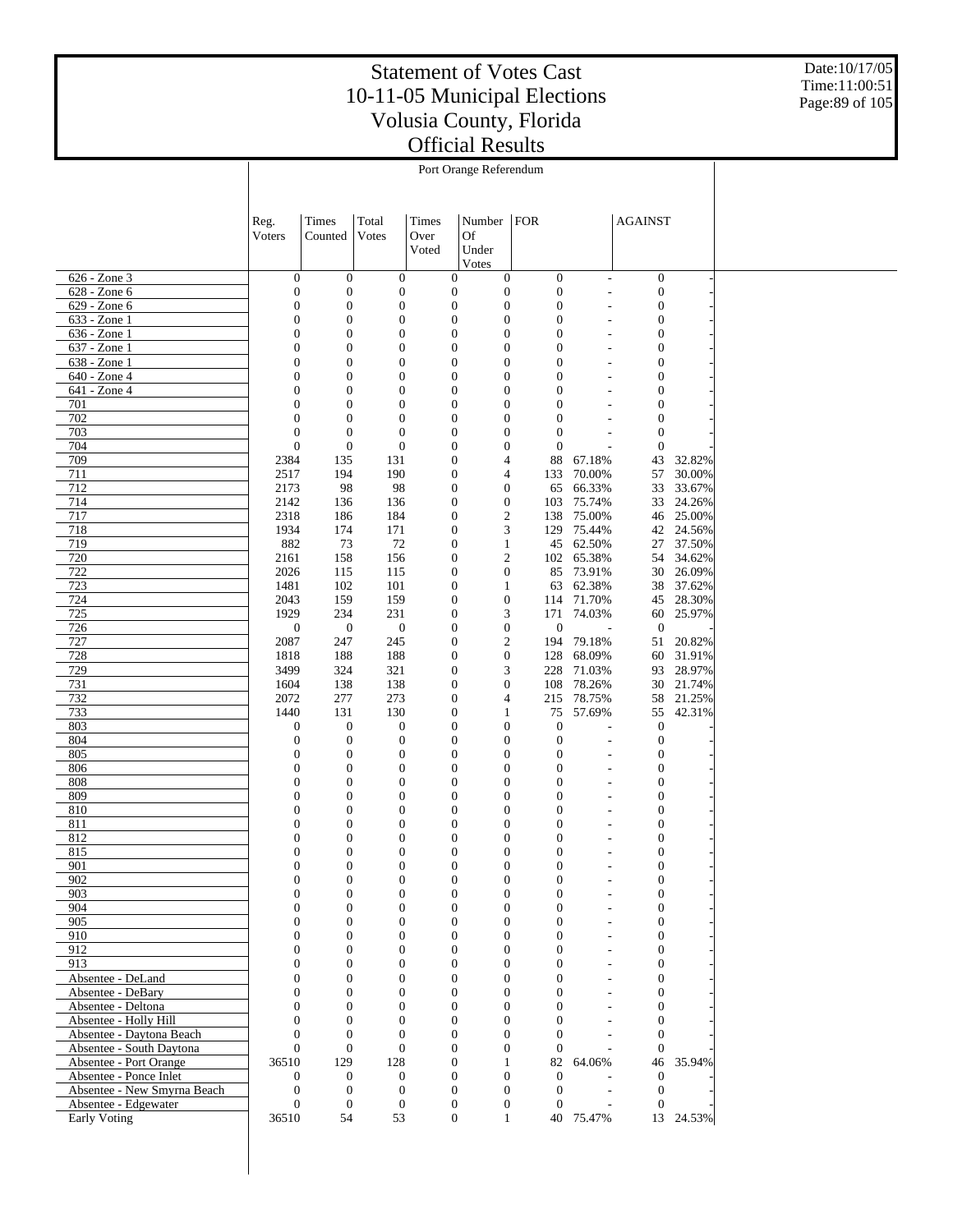Date:10/17/05 Time:11:00:51 Page:89 of 105

|                                                  |                                      |                                      |                                  |               | Port Orange Referendum                                                   |                                      |                                                      |                                      |                     |
|--------------------------------------------------|--------------------------------------|--------------------------------------|----------------------------------|---------------|--------------------------------------------------------------------------|--------------------------------------|------------------------------------------------------|--------------------------------------|---------------------|
|                                                  |                                      |                                      |                                  |               |                                                                          |                                      |                                                      |                                      |                     |
|                                                  |                                      |                                      |                                  |               |                                                                          |                                      |                                                      |                                      |                     |
|                                                  | Reg.<br>Voters                       | Times<br>Counted                     | Total<br>Votes                   | Times<br>Over | Number   FOR<br><b>Of</b>                                                |                                      |                                                      | <b>AGAINST</b>                       |                     |
|                                                  |                                      |                                      |                                  | Voted         | Under                                                                    |                                      |                                                      |                                      |                     |
|                                                  |                                      |                                      |                                  |               | Votes                                                                    |                                      |                                                      |                                      |                     |
| 626 - Zone 3<br>628 - Zone 6                     | $\boldsymbol{0}$<br>$\boldsymbol{0}$ | $\mathbf{0}$<br>$\mathbf{0}$         | $\mathbf{0}$<br>$\boldsymbol{0}$ |               | $\mathbf{0}$<br>$\mathbf{0}$<br>$\boldsymbol{0}$<br>$\boldsymbol{0}$     | $\boldsymbol{0}$<br>$\boldsymbol{0}$ | $\sim$<br>$\sim$                                     | $\boldsymbol{0}$<br>$\boldsymbol{0}$ |                     |
| 629 - Zone 6                                     | $\boldsymbol{0}$                     | $\boldsymbol{0}$                     | $\mathbf{0}$                     |               | $\boldsymbol{0}$<br>$\mathbf{0}$                                         | $\boldsymbol{0}$                     | $\overline{\phantom{a}}$                             | $\mathbf{0}$                         |                     |
| 633 - Zone 1                                     | $\boldsymbol{0}$                     | $\boldsymbol{0}$                     | $\boldsymbol{0}$                 |               | $\mathbf{0}$<br>$\mathbf{0}$                                             | $\overline{0}$                       | $\overline{\phantom{a}}$                             | $\boldsymbol{0}$                     |                     |
| 636 - Zone 1                                     | $\boldsymbol{0}$                     | $\boldsymbol{0}$                     | $\mathbf{0}$                     |               | $\mathbf{0}$<br>$\boldsymbol{0}$                                         | $\mathbf{0}$                         | ٠                                                    | $\mathbf{0}$                         |                     |
| 637 - Zone 1                                     | $\boldsymbol{0}$                     | $\boldsymbol{0}$                     | $\mathbf{0}$                     |               | $\boldsymbol{0}$<br>$\mathbf{0}$                                         | $\overline{0}$                       |                                                      | $\mathbf{0}$                         |                     |
| 638 - Zone 1<br>640 - Zone 4                     | $\boldsymbol{0}$<br>$\boldsymbol{0}$ | $\boldsymbol{0}$<br>$\boldsymbol{0}$ | $\mathbf{0}$<br>$\boldsymbol{0}$ |               | $\boldsymbol{0}$<br>$\boldsymbol{0}$<br>$\boldsymbol{0}$<br>$\mathbf{0}$ | $\mathbf{0}$<br>$\mathbf{0}$         | ٠                                                    | $\mathbf{0}$<br>$\mathbf{0}$         |                     |
| 641 - Zone 4                                     | $\boldsymbol{0}$                     | $\boldsymbol{0}$                     | $\mathbf{0}$                     |               | $\boldsymbol{0}$<br>$\boldsymbol{0}$                                     | $\mathbf{0}$                         | ٠                                                    | $\mathbf{0}$                         |                     |
| 701                                              | $\boldsymbol{0}$                     | $\boldsymbol{0}$                     | $\boldsymbol{0}$                 |               | $\boldsymbol{0}$<br>$\mathbf{0}$                                         | $\mathbf{0}$                         |                                                      | $\boldsymbol{0}$                     |                     |
| 702                                              | $\boldsymbol{0}$                     | $\mathbf{0}$                         | $\mathbf{0}$                     |               | $\boldsymbol{0}$<br>$\boldsymbol{0}$                                     | $\boldsymbol{0}$                     |                                                      | $\boldsymbol{0}$                     |                     |
| 703                                              | $\boldsymbol{0}$                     | $\mathbf{0}$                         | $\mathbf{0}$                     |               | $\mathbf{0}$<br>$\mathbf{0}$                                             | $\boldsymbol{0}$                     |                                                      | $\boldsymbol{0}$                     |                     |
| 704                                              | $\mathbf{0}$                         | $\mathbf{0}$                         | $\boldsymbol{0}$                 |               | $\boldsymbol{0}$<br>$\boldsymbol{0}$                                     | $\boldsymbol{0}$                     | $\overline{a}$                                       | $\boldsymbol{0}$                     |                     |
| 709<br>711                                       | 2384<br>2517                         | 135<br>194                           | 131<br>190                       |               | $\mathbf{0}$<br>$\overline{4}$<br>$\mathbf{0}$<br>4                      | 88<br>133                            | 67.18%<br>70.00%                                     | 43<br>57                             | 32.82%<br>30.00%    |
| 712                                              | 2173                                 | 98                                   | 98                               |               | $\mathbf{0}$<br>$\boldsymbol{0}$                                         | 65                                   | 66.33%                                               | 33                                   | 33.67%              |
| 714                                              | 2142                                 | 136                                  | 136                              |               | $\boldsymbol{0}$<br>$\mathbf{0}$                                         | 103                                  | 75.74%                                               | 33                                   | 24.26%              |
| 717                                              | 2318                                 | 186                                  | 184                              |               | $\overline{c}$<br>$\mathbf{0}$                                           | 138                                  | 75.00%                                               | 46                                   | 25.00%              |
| 718                                              | 1934                                 | 174                                  | 171                              |               | 3<br>$\mathbf{0}$                                                        |                                      | 129 75.44%                                           |                                      | 42 24.56%           |
| 719                                              | 882                                  | 73                                   | 72                               |               | $\mathbf{0}$<br>$\mathbf{1}$                                             | 45                                   | 62.50%                                               | 27                                   | 37.50%              |
| 720<br>722                                       | 2161<br>2026                         | 158<br>115                           | 156<br>115                       |               | $\overline{c}$<br>$\boldsymbol{0}$<br>$\boldsymbol{0}$<br>$\mathbf{0}$   | 85                                   | 102 65.38%<br>73.91%                                 | 30                                   | 54 34.62%<br>26.09% |
| 723                                              | 1481                                 | 102                                  | 101                              |               | $\mathbf{0}$<br>$\mathbf{1}$                                             |                                      | 63 62.38%                                            |                                      | 38 37.62%           |
| 724                                              | 2043                                 | 159                                  | 159                              |               | $\mathbf{0}$<br>$\boldsymbol{0}$                                         | 114                                  | 71.70%                                               | 45                                   | 28.30%              |
| 725                                              | 1929                                 | 234                                  | 231                              |               | 3<br>$\boldsymbol{0}$                                                    |                                      | 171 74.03%                                           |                                      | 60 25.97%           |
| 726                                              | $\mathbf{0}$                         | $\boldsymbol{0}$                     | $\boldsymbol{0}$                 |               | $\boldsymbol{0}$<br>$\mathbf{0}$                                         | $\mathbf{0}$                         |                                                      | $\mathbf{0}$                         |                     |
| 727                                              | 2087                                 | 247                                  | 245                              |               | $\sqrt{2}$<br>$\mathbf{0}$                                               | 194                                  | 79.18%                                               | 51                                   | 20.82%              |
| 728<br>729                                       | 1818<br>3499                         | 188<br>324                           | 188<br>321                       |               | $\boldsymbol{0}$<br>$\mathbf{0}$<br>3<br>$\mathbf{0}$                    | 128<br>228                           | 68.09%<br>71.03%                                     | 60                                   | 31.91%<br>93 28.97% |
| 731                                              | 1604                                 | 138                                  | 138                              |               | $\boldsymbol{0}$<br>$\mathbf{0}$                                         | 108                                  | 78.26%                                               | 30                                   | 21.74%              |
| 732                                              | 2072                                 | 277                                  | 273                              |               | $\mathbf{0}$<br>4                                                        | 215                                  | 78.75%                                               | 58                                   | 21.25%              |
| 733                                              | 1440                                 | 131                                  | 130                              |               | $\mathbf{0}$<br>$\mathbf{1}$                                             | 75                                   | 57.69%                                               | 55                                   | 42.31%              |
| 803                                              | $\boldsymbol{0}$                     | $\boldsymbol{0}$                     | $\boldsymbol{0}$                 |               | $\boldsymbol{0}$<br>$\boldsymbol{0}$                                     | $\boldsymbol{0}$                     |                                                      | $\boldsymbol{0}$                     |                     |
| 804                                              | $\boldsymbol{0}$                     | $\mathbf{0}$                         | $\mathbf{0}$                     |               | $\boldsymbol{0}$<br>$\mathbf{0}$                                         | $\mathbf{0}$                         | $\overline{a}$                                       | $\boldsymbol{0}$                     |                     |
| 805<br>806                                       | $\boldsymbol{0}$<br>$\boldsymbol{0}$ | $\mathbf{0}$<br>$\mathbf{0}$         | $\mathbf{0}$<br>$\boldsymbol{0}$ |               | $\boldsymbol{0}$<br>$\boldsymbol{0}$<br>$\boldsymbol{0}$<br>$\mathbf{0}$ | $\boldsymbol{0}$<br>$\boldsymbol{0}$ | $\overline{\phantom{a}}$<br>$\overline{\phantom{a}}$ | $\boldsymbol{0}$<br>$\boldsymbol{0}$ |                     |
| 808                                              | $\boldsymbol{0}$                     | $\boldsymbol{0}$                     | $\mathbf{0}$                     |               | $\boldsymbol{0}$<br>$\boldsymbol{0}$                                     | $\mathbf{0}$                         | ٠                                                    | $\mathbf{0}$                         |                     |
| 809                                              | $\boldsymbol{0}$                     | $\boldsymbol{0}$                     | $\boldsymbol{0}$                 |               | $\boldsymbol{0}$<br>$\mathbf{0}$                                         | $\mathbf{0}$                         | ٠                                                    | $\mathbf{0}$                         |                     |
| 810                                              | $\boldsymbol{0}$                     | $\boldsymbol{0}$                     | $\mathbf{0}$                     |               | $\boldsymbol{0}$<br>$\boldsymbol{0}$                                     | $\mathbf{0}$                         | ٠                                                    | $\mathbf{0}$                         |                     |
| 811                                              | $\boldsymbol{0}$                     | $\boldsymbol{0}$                     | $\mathbf{0}$                     |               | $\boldsymbol{0}$<br>$\mathbf{0}$                                         | $\mathbf{0}$                         |                                                      | $\boldsymbol{0}$                     |                     |
| 812                                              | $\mathbf{0}$                         | $\boldsymbol{0}$                     | $\mathbf{0}$                     |               | $\mathbf{0}$<br>$\boldsymbol{0}$                                         | $\mathbf{0}$                         | ٠                                                    | $\mathbf{0}$                         |                     |
| 815                                              | $\mathbf{0}$                         | $\boldsymbol{0}$                     | $\boldsymbol{0}$                 |               | $\boldsymbol{0}$<br>$\boldsymbol{0}$                                     | $\mathbf{0}$                         | $\overline{\phantom{a}}$                             | $\boldsymbol{0}$                     |                     |
| 901<br>902                                       | 0<br>$\boldsymbol{0}$                | 0<br>$\mathbf{0}$                    | $\bf{0}$<br>$\boldsymbol{0}$     |               | $\bf{0}$<br>0<br>$\boldsymbol{0}$<br>$\mathbf{0}$                        | 0<br>$\boldsymbol{0}$                |                                                      | $\boldsymbol{0}$<br>$\boldsymbol{0}$ |                     |
| 903                                              | $\mathbf{0}$                         | $\mathbf{0}$                         | $\boldsymbol{0}$                 |               | $\boldsymbol{0}$<br>$\mathbf{0}$                                         | $\boldsymbol{0}$                     | $\overline{\phantom{a}}$                             | $\boldsymbol{0}$                     |                     |
| 904                                              | $\mathbf{0}$                         | $\mathbf{0}$                         | $\boldsymbol{0}$                 |               | $\boldsymbol{0}$<br>$\mathbf{0}$                                         | $\mathbf{0}$                         | $\overline{\phantom{a}}$                             | $\boldsymbol{0}$                     |                     |
| 905                                              | $\Omega$                             | $\boldsymbol{0}$                     | $\boldsymbol{0}$                 |               | $\boldsymbol{0}$<br>$\mathbf{0}$                                         | $\mathbf{0}$                         | $\overline{\phantom{a}}$                             | $\boldsymbol{0}$                     |                     |
| 910                                              | $\mathbf{0}$                         | $\mathbf{0}$                         | $\boldsymbol{0}$                 |               | $\boldsymbol{0}$<br>$\mathbf{0}$                                         | $\mathbf{0}$                         | $\overline{\phantom{a}}$                             | $\boldsymbol{0}$                     |                     |
| 912<br>913                                       | $\mathbf{0}$<br>$\mathbf{0}$         | $\boldsymbol{0}$<br>$\mathbf{0}$     | $\mathbf{0}$<br>$\boldsymbol{0}$ |               | $\boldsymbol{0}$<br>$\mathbf{0}$<br>$\boldsymbol{0}$<br>$\mathbf{0}$     | $\mathbf{0}$<br>$\mathbf{0}$         | $\tilde{\phantom{a}}$<br>÷.                          | $\boldsymbol{0}$<br>$\boldsymbol{0}$ |                     |
| Absentee - DeLand                                | $\mathbf{0}$                         | $\boldsymbol{0}$                     | $\mathbf{0}$                     |               | $\boldsymbol{0}$<br>$\mathbf{0}$                                         | $\mathbf{0}$                         | $\overline{\phantom{a}}$                             | $\boldsymbol{0}$                     |                     |
| Absentee - DeBary                                | $\mathbf{0}$                         | $\mathbf{0}$                         | $\boldsymbol{0}$                 |               | $\boldsymbol{0}$<br>$\mathbf{0}$                                         | $\overline{0}$                       | ÷.                                                   | $\boldsymbol{0}$                     |                     |
| Absentee - Deltona                               | $\mathbf{0}$                         | $\boldsymbol{0}$                     | $\boldsymbol{0}$                 |               | $\boldsymbol{0}$<br>$\mathbf{0}$                                         | $\mathbf{0}$                         | $\sim$                                               | $\boldsymbol{0}$                     |                     |
| Absentee - Holly Hill                            | $\mathbf{0}$                         | $\mathbf{0}$                         | $\boldsymbol{0}$                 |               | $\boldsymbol{0}$<br>$\mathbf{0}$                                         | $\mathbf{0}$                         | ÷                                                    | $\boldsymbol{0}$                     |                     |
| Absentee - Daytona Beach                         | $\mathbf{0}$                         | $\mathbf{0}$                         | $\mathbf{0}$                     |               | $\boldsymbol{0}$<br>$\mathbf{0}$                                         | $\mathbf{0}$                         | ÷.                                                   | $\boldsymbol{0}$                     |                     |
| Absentee - South Daytona                         | $\mathbf{0}$                         | $\boldsymbol{0}$                     | $\mathbf{0}$                     |               | $\boldsymbol{0}$<br>$\mathbf{0}$                                         | $\theta$                             |                                                      | $\mathbf{0}$                         |                     |
| Absentee - Port Orange<br>Absentee - Ponce Inlet | 36510<br>$\boldsymbol{0}$            | 129<br>$\mathbf{0}$                  | 128<br>$\boldsymbol{0}$          |               | $\mathbf{0}$<br>$\mathbf{1}$<br>$\boldsymbol{0}$<br>$\boldsymbol{0}$     | 82<br>$\mathbf{0}$                   | 64.06%                                               | $\theta$                             | 46 35.94%           |
| Absentee - New Smyrna Beach                      | $\mathbf{0}$                         | $\mathbf{0}$                         | $\mathbf{0}$                     |               | $\boldsymbol{0}$<br>$\mathbf{0}$                                         | $\mathbf{0}$                         | $\overline{\phantom{a}}$                             | $\boldsymbol{0}$                     |                     |
| Absentee - Edgewater                             | $\boldsymbol{0}$                     | $\mathbf{0}$                         | $\mathbf{0}$                     |               | $\boldsymbol{0}$<br>$\mathbf{0}$                                         | $\theta$                             |                                                      | $\mathbf{0}$                         |                     |
| <b>Early Voting</b>                              | 36510                                | 54                                   | 53                               |               | $\mathbf{0}$<br>$\mathbf{1}$                                             |                                      | 40 75.47%                                            |                                      | 13 24.53%           |
|                                                  |                                      |                                      |                                  |               |                                                                          |                                      |                                                      |                                      |                     |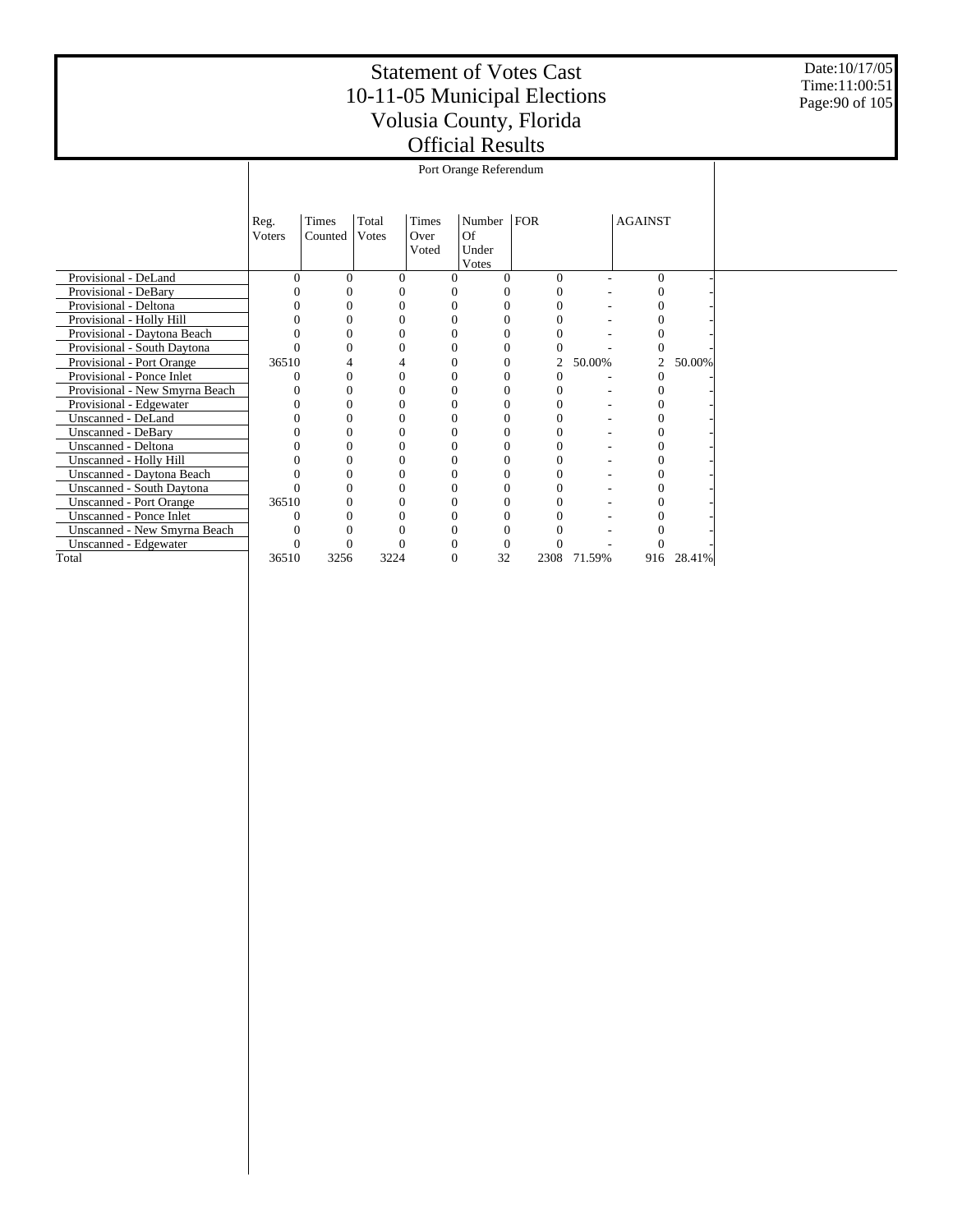Date:10/17/05 Time:11:00:51 Page:90 of 105

|                                  |                |                  |                |                        | Port Orange Referendum         |      |                |        |                |        |
|----------------------------------|----------------|------------------|----------------|------------------------|--------------------------------|------|----------------|--------|----------------|--------|
|                                  |                |                  |                |                        |                                |      |                |        |                |        |
|                                  | Reg.<br>Voters | Times<br>Counted | Total<br>Votes | Times<br>Over<br>Voted | Number<br>Of<br>Under<br>Votes | FOR  |                |        | <b>AGAINST</b> |        |
| Provisional - DeLand             | 0              | $\Omega$         | $\Omega$       | $\theta$               | 0                              |      | $\theta$       |        | $\Omega$       |        |
| Provisional - DeBary             |                |                  |                |                        |                                |      | $\Omega$       |        | 0              |        |
| Provisional - Deltona            |                | $\theta$         | $\Omega$       | $\Omega$               | $\overline{0}$                 |      | $\Omega$       |        | $\theta$       |        |
| Provisional - Holly Hill         |                |                  | 0              |                        | $\overline{0}$                 |      |                |        |                |        |
| Provisional - Daytona Beach      |                |                  | 0              |                        | 0                              |      |                |        |                |        |
| Provisional - South Daytona      |                |                  | 0              |                        | $\Omega$                       |      |                |        |                |        |
| Provisional - Port Orange        | 36510          |                  |                |                        | 0                              |      | $\overline{2}$ | 50.00% | $\overline{2}$ | 50.00% |
| Provisional - Ponce Inlet        |                | 0                | $\Omega$       |                        | 0                              |      | $\Omega$       |        |                |        |
| Provisional - New Smyrna Beach   |                | 0                | 0              |                        | $\overline{0}$                 |      | $\Omega$       |        |                |        |
| Provisional - Edgewater          |                | $\theta$         | $\Omega$       |                        | $\overline{0}$                 |      | $\Omega$       |        |                |        |
| Unscanned - DeLand               |                |                  | 0              |                        | 0                              |      |                |        |                |        |
| <b>Unscanned - DeBary</b>        |                |                  |                |                        | 0                              |      |                |        |                |        |
| Unscanned - Deltona              |                | 0                | 0              |                        | $\Omega$                       |      |                |        |                |        |
| Unscanned - Holly Hill           |                | 0                | 0              |                        | 0                              |      | 0              |        |                |        |
| Unscanned - Daytona Beach        |                | 0                | $\Omega$       |                        | $\theta$                       |      | 0              |        |                |        |
| <b>Unscanned - South Daytona</b> |                |                  | 0              |                        | $\overline{0}$                 |      |                |        |                |        |
| <b>Unscanned - Port Orange</b>   | 36510          | 0                | 0              |                        | 0                              |      |                |        |                |        |
| <b>Unscanned - Ponce Inlet</b>   |                |                  | $\mathcal{C}$  |                        | 0                              |      |                |        |                |        |
| Unscanned - New Smyrna Beach     |                |                  |                |                        | 0                              |      |                |        |                |        |
| Unscanned - Edgewater            |                |                  | C              |                        | 0                              |      |                |        |                |        |
| Total                            | 36510          | 3256             | 3224           |                        | 32                             | 2308 |                | 71.59% | 916            | 28.41% |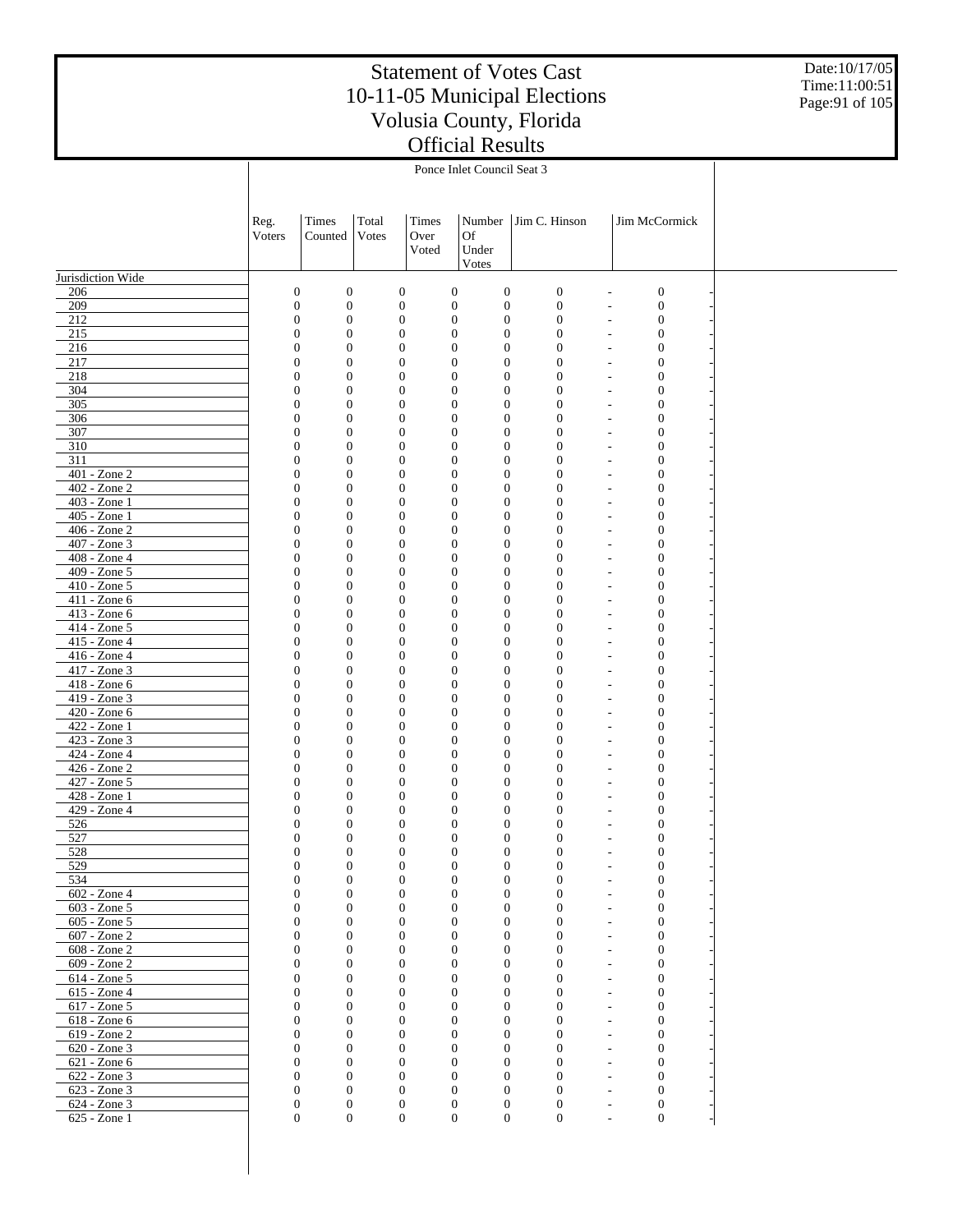Date:10/17/05 Time:11:00:51 Page:91 of 105

|                              |                                      |                                    |                                      |                | Ponce Inlet Council Seat 3                                           |                                      |                                          |  |
|------------------------------|--------------------------------------|------------------------------------|--------------------------------------|----------------|----------------------------------------------------------------------|--------------------------------------|------------------------------------------|--|
|                              |                                      |                                    |                                      |                |                                                                      |                                      |                                          |  |
|                              |                                      |                                    |                                      |                |                                                                      |                                      |                                          |  |
|                              | Reg.<br>Voters                       | Times<br>Counted                   | Total<br>Votes                       | Times<br>Over  | Number<br>Of                                                         | Jim C. Hinson                        | Jim McCormick                            |  |
|                              |                                      |                                    |                                      | Voted          | Under                                                                |                                      |                                          |  |
|                              |                                      |                                    |                                      |                | Votes                                                                |                                      |                                          |  |
| Jurisdiction Wide            |                                      |                                    |                                      |                |                                                                      |                                      |                                          |  |
| 206                          | $\boldsymbol{0}$                     | $\boldsymbol{0}$                   | $\boldsymbol{0}$                     |                | $\boldsymbol{0}$<br>$\boldsymbol{0}$                                 | $\mathbf{0}$                         | $\mathbf{0}$                             |  |
| 209<br>212                   | $\boldsymbol{0}$<br>$\boldsymbol{0}$ | $\mathbf{0}$<br>$\mathbf{0}$       | $\boldsymbol{0}$<br>$\boldsymbol{0}$ |                | $\mathbf{0}$<br>$\boldsymbol{0}$<br>$\mathbf{0}$<br>$\boldsymbol{0}$ | $\boldsymbol{0}$<br>$\boldsymbol{0}$ | $\mathbf{0}$<br>$\boldsymbol{0}$         |  |
| 215                          | $\mathbf{0}$                         | $\mathbf{0}$                       | $\boldsymbol{0}$                     |                | $\mathbf{0}$<br>$\boldsymbol{0}$                                     | $\mathbf{0}$                         | $\mathbf{0}$                             |  |
| 216                          | $\boldsymbol{0}$                     | $\boldsymbol{0}$                   | $\boldsymbol{0}$                     |                | $\mathbf{0}$<br>$\boldsymbol{0}$                                     | 0                                    | $\mathbf{0}$                             |  |
| 217                          | $\mathbf{0}$                         | $\overline{0}$                     | $\boldsymbol{0}$                     |                | $\mathbf{0}$<br>$\mathbf{0}$                                         | $\overline{0}$                       | $\mathbf{0}$                             |  |
| 218<br>304                   | $\mathbf{0}$<br>$\mathbf{0}$         | $\boldsymbol{0}$<br>$\mathbf{0}$   | $\boldsymbol{0}$<br>$\boldsymbol{0}$ |                | $\mathbf{0}$<br>$\boldsymbol{0}$<br>$\mathbf{0}$<br>$\mathbf{0}$     | $\overline{0}$<br>$\mathbf{0}$       | $\mathbf{0}$<br>$\mathbf{0}$             |  |
| 305                          | $\boldsymbol{0}$                     | $\boldsymbol{0}$                   | $\boldsymbol{0}$                     |                | $\mathbf{0}$<br>$\boldsymbol{0}$                                     | $\overline{0}$                       | $\mathbf{0}$                             |  |
| 306                          | $\mathbf{0}$                         | $\overline{0}$                     | $\boldsymbol{0}$                     |                | $\mathbf{0}$<br>$\mathbf{0}$                                         | $\overline{0}$                       | $\mathbf{0}$                             |  |
| 307                          | $\mathbf{0}$                         | $\boldsymbol{0}$                   | $\boldsymbol{0}$                     |                | $\mathbf{0}$<br>$\boldsymbol{0}$                                     | $\overline{0}$                       | $\mathbf{0}$                             |  |
| 310                          | $\mathbf{0}$                         | $\mathbf{0}$                       | $\boldsymbol{0}$                     |                | $\mathbf{0}$<br>$\mathbf{0}$                                         | $\overline{0}$                       | $\mathbf{0}$                             |  |
| 311<br>401 - Zone 2          | $\mathbf{0}$                         | $\boldsymbol{0}$                   | $\boldsymbol{0}$                     |                | $\mathbf{0}$<br>$\boldsymbol{0}$                                     | $\overline{0}$                       | $\mathbf{0}$                             |  |
| 402 - Zone 2                 | $\mathbf{0}$<br>$\mathbf{0}$         | $\mathbf{0}$<br>$\boldsymbol{0}$   | $\boldsymbol{0}$<br>$\boldsymbol{0}$ |                | $\mathbf{0}$<br>$\mathbf{0}$<br>$\mathbf{0}$<br>$\boldsymbol{0}$     | $\overline{0}$<br>$\overline{0}$     | $\mathbf{0}$<br>$\mathbf{0}$             |  |
| 403 - Zone 1                 | $\mathbf{0}$                         | $\mathbf{0}$                       | $\boldsymbol{0}$                     |                | $\mathbf{0}$<br>$\mathbf{0}$                                         | $\overline{0}$                       | $\mathbf{0}$                             |  |
| 405 - Zone 1                 | $\mathbf{0}$                         | $\boldsymbol{0}$                   | $\boldsymbol{0}$                     |                | $\mathbf{0}$<br>$\boldsymbol{0}$                                     | $\overline{0}$                       | $\mathbf{0}$                             |  |
| 406 - Zone 2                 | $\mathbf{0}$                         | $\overline{0}$                     | $\boldsymbol{0}$                     |                | $\mathbf{0}$<br>$\mathbf{0}$                                         | $\overline{0}$                       | $\mathbf{0}$                             |  |
| 407 - Zone 3                 | $\mathbf{0}$                         | $\boldsymbol{0}$                   | $\boldsymbol{0}$                     |                | $\mathbf{0}$<br>$\boldsymbol{0}$                                     | $\overline{0}$                       | $\mathbf{0}$                             |  |
| 408 - Zone 4<br>409 - Zone 5 | $\mathbf{0}$<br>$\mathbf{0}$         | $\mathbf{0}$<br>$\boldsymbol{0}$   | $\boldsymbol{0}$<br>$\boldsymbol{0}$ |                | $\mathbf{0}$<br>$\mathbf{0}$<br>$\mathbf{0}$<br>$\boldsymbol{0}$     | $\overline{0}$<br>$\overline{0}$     | $\mathbf{0}$<br>$\mathbf{0}$             |  |
| 410 - Zone 5                 | $\mathbf{0}$                         | $\overline{0}$                     | $\boldsymbol{0}$                     |                | $\mathbf{0}$<br>$\mathbf{0}$                                         | $\overline{0}$                       | $\mathbf{0}$                             |  |
| 411 - Zone 6                 | $\mathbf{0}$                         | $\boldsymbol{0}$                   | $\boldsymbol{0}$                     |                | $\mathbf{0}$<br>$\boldsymbol{0}$                                     | $\overline{0}$                       | $\mathbf{0}$                             |  |
| 413 - Zone 6                 | $\mathbf{0}$                         | $\overline{0}$                     | $\boldsymbol{0}$                     |                | $\mathbf{0}$<br>$\mathbf{0}$                                         | $\overline{0}$                       | $\mathbf{0}$                             |  |
| 414 - Zone 5                 | $\mathbf{0}$                         | $\boldsymbol{0}$                   | $\boldsymbol{0}$                     |                | $\mathbf{0}$<br>$\boldsymbol{0}$                                     | $\overline{0}$                       | $\mathbf{0}$                             |  |
| 415 - Zone 4                 | $\mathbf{0}$                         | $\overline{0}$                     | $\boldsymbol{0}$                     |                | $\mathbf{0}$<br>$\mathbf{0}$                                         | $\overline{0}$                       | $\mathbf{0}$                             |  |
| 416 - Zone 4<br>417 - Zone 3 | $\mathbf{0}$<br>$\mathbf{0}$         | $\boldsymbol{0}$<br>$\mathbf{0}$   | $\boldsymbol{0}$<br>$\boldsymbol{0}$ |                | $\mathbf{0}$<br>$\boldsymbol{0}$<br>$\mathbf{0}$<br>$\mathbf{0}$     | $\overline{0}$<br>$\overline{0}$     | $\mathbf{0}$<br>$\mathbf{0}$             |  |
| 418 - Zone 6                 | $\mathbf{0}$                         | $\boldsymbol{0}$                   | $\boldsymbol{0}$                     |                | $\mathbf{0}$<br>$\boldsymbol{0}$                                     | $\overline{0}$                       | $\mathbf{0}$                             |  |
| 419 - Zone 3                 | $\mathbf{0}$                         | $\overline{0}$                     | $\boldsymbol{0}$                     |                | $\mathbf{0}$<br>$\mathbf{0}$                                         | $\overline{0}$                       | $\mathbf{0}$                             |  |
| 420 - Zone 6                 | $\mathbf{0}$                         | $\boldsymbol{0}$                   | $\boldsymbol{0}$                     |                | $\mathbf{0}$<br>$\boldsymbol{0}$                                     | $\overline{0}$                       | $\mathbf{0}$                             |  |
| 422 - Zone 1                 | $\mathbf{0}$                         | $\mathbf{0}$                       | $\boldsymbol{0}$                     |                | $\mathbf{0}$<br>$\mathbf{0}$                                         | $\overline{0}$                       | $\mathbf{0}$                             |  |
| 423 - Zone 3                 | $\mathbf{0}$                         | $\boldsymbol{0}$                   | $\boldsymbol{0}$                     |                | $\mathbf{0}$<br>$\boldsymbol{0}$                                     | $\overline{0}$                       | $\mathbf{0}$                             |  |
| 424 - Zone 4<br>426 - Zone 2 | $\mathbf{0}$<br>$\mathbf{0}$         | $\overline{0}$<br>$\boldsymbol{0}$ | $\boldsymbol{0}$<br>$\boldsymbol{0}$ |                | $\mathbf{0}$<br>$\mathbf{0}$<br>$\mathbf{0}$<br>$\boldsymbol{0}$     | $\overline{0}$<br>$\overline{0}$     | $\mathbf{0}$<br>$\mathbf{0}$             |  |
| 427 - Zone 5                 | $\mathbf{0}$                         | $\mathbf{0}$                       | $\boldsymbol{0}$                     |                | $\mathbf{0}$<br>$\boldsymbol{0}$                                     | $\mathbf{0}$                         | $\mathbf{0}$                             |  |
| 428 - Zone 1                 | $\mathbf{0}$                         | $\boldsymbol{0}$                   | $\boldsymbol{0}$                     |                | $\mathbf{0}$<br>$\boldsymbol{0}$                                     | 0                                    | $\mathbf{0}$                             |  |
| 429 - Zone 4                 | $\mathbf{0}$                         | $\mathbf{0}$                       | $\mathbf{0}$                         |                | $\mathbf{0}$<br>$\mathbf{0}$                                         | $\mathbf{0}$                         | $\mathbf{0}$                             |  |
| 526                          | $\mathbf{0}$                         | $\boldsymbol{0}$                   | $\boldsymbol{0}$                     |                | $\boldsymbol{0}$<br>$\boldsymbol{0}$                                 | $\boldsymbol{0}$                     | $\boldsymbol{0}$                         |  |
| 527<br>528                   | $\mathbf{0}$<br>$\Omega$             | $\boldsymbol{0}$<br>$\Omega$       | $\mathbf{0}$<br>$\boldsymbol{0}$     |                | $\theta$<br>$\theta$<br>$\Omega$<br>$\overline{0}$                   | $\boldsymbol{0}$<br>$\boldsymbol{0}$ | $\mathbf{0}$<br>$\Omega$                 |  |
| 529                          | $\theta$                             | $\mathbf{0}$                       | $\boldsymbol{0}$                     |                | $\mathbf{0}$<br>$\mathbf{0}$                                         | $\mathbf{0}$                         | $\mathbf{0}$                             |  |
| 534                          | $\boldsymbol{0}$                     | $\mathbf{0}$                       | $\boldsymbol{0}$                     |                | $\mathbf{0}$<br>$\mathbf{0}$                                         | $\mathbf{0}$                         | $\boldsymbol{0}$                         |  |
| 602 - Zone 4                 | $\mathbf{0}$                         | $\mathbf{0}$                       | $\mathbf{0}$                         |                | $\theta$<br>$\mathbf{0}$                                             | $\mathbf{0}$                         | $\mathbf{0}$                             |  |
| 603 - Zone 5                 | $\mathbf{0}$                         | $\mathbf{0}$                       | $\mathbf{0}$                         |                | $\mathbf{0}$<br>$\mathbf{0}$                                         | $\mathbf{0}$                         | $\boldsymbol{0}$                         |  |
| 605 - Zone 5                 | $\mathbf{0}$                         | $\mathbf{0}$                       | $\mathbf{0}$                         |                | $\theta$<br>$\overline{0}$                                           | $\mathbf{0}$                         | $\boldsymbol{0}$                         |  |
| 607 - Zone 2                 | $\mathbf{0}$<br>$\mathbf{0}$         | $\mathbf{0}$<br>$\mathbf{0}$       | $\boldsymbol{0}$<br>$\mathbf{0}$     |                | $\mathbf{0}$<br>$\mathbf{0}$<br>$\theta$<br>$\theta$                 | $\mathbf{0}$<br>$\mathbf{0}$         | $\boldsymbol{0}$<br>$\mathbf{0}$         |  |
| 608 - Zone 2<br>609 - Zone 2 | $\mathbf{0}$                         | $\mathbf{0}$                       | $\mathbf{0}$                         |                | $\mathbf{0}$<br>$\mathbf{0}$                                         | $\mathbf{0}$                         | $\boldsymbol{0}$                         |  |
| 614 - Zone 5                 | $\mathbf{0}$                         | $\mathbf{0}$                       | $\mathbf{0}$                         |                | $\theta$<br>$\theta$                                                 | $\mathbf{0}$                         | $\overline{0}$                           |  |
| 615 - Zone 4                 | $\mathbf{0}$                         | $\mathbf{0}$                       | $\boldsymbol{0}$                     |                | $\mathbf{0}$<br>$\mathbf{0}$                                         | $\mathbf{0}$                         | $\boldsymbol{0}$                         |  |
| $617 - Zone$ 5               | $\mathbf{0}$                         | $\mathbf{0}$                       | $\mathbf{0}$                         |                | $\mathbf{0}$<br>$\overline{0}$                                       | $\mathbf{0}$                         | $\mathbf{0}$                             |  |
| 618 - Zone 6                 | $\mathbf{0}$                         | $\mathbf{0}$                       | $\mathbf{0}$                         |                | $\mathbf{0}$<br>$\mathbf{0}$                                         | $\mathbf{0}$                         | $\boldsymbol{0}$                         |  |
| 619 - Zone 2                 | $\mathbf{0}$<br>$\mathbf{0}$         | $\mathbf{0}$<br>$\mathbf{0}$       | $\mathbf{0}$                         |                | $\theta$<br>$\theta$<br>$\mathbf{0}$<br>$\mathbf{0}$                 | $\mathbf{0}$<br>$\mathbf{0}$         | $\overline{0}$                           |  |
| 620 - Zone 3<br>621 - Zone 6 | $\mathbf{0}$                         | $\mathbf{0}$                       | $\boldsymbol{0}$<br>$\mathbf{0}$     |                | $\theta$<br>$\theta$                                                 | $\mathbf{0}$                         | $\boldsymbol{0}$<br>$\overline{0}$       |  |
| 622 - Zone 3                 | $\mathbf{0}$                         | $\mathbf{0}$                       | $\mathbf{0}$                         |                | $\mathbf{0}$<br>$\mathbf{0}$                                         | $\mathbf{0}$                         | $\mathbf{0}$                             |  |
| 623 - Zone 3                 | $\mathbf{0}$                         | $\mathbf{0}$                       | $\boldsymbol{0}$                     |                | $\mathbf{0}$<br>$\mathbf{0}$                                         | $\mathbf{0}$                         | $\mathbf{0}$<br>$\overline{\phantom{a}}$ |  |
| $624 - Zone$ 3               | $\boldsymbol{0}$                     | $\boldsymbol{0}$                   | $\boldsymbol{0}$                     |                | $\mathbf{0}$<br>$\mathbf{0}$                                         | $\boldsymbol{0}$                     | $\mathbf{0}$<br>$\overline{a}$           |  |
| 625 - Zone 1                 | $\mathbf{0}$                         | $\mathbf{0}$                       |                                      | $\overline{0}$ | $\mathbf{0}$<br>$\mathbf{0}$                                         | $\mathbf{0}$                         | $\mathbf{0}$<br>$\overline{\phantom{a}}$ |  |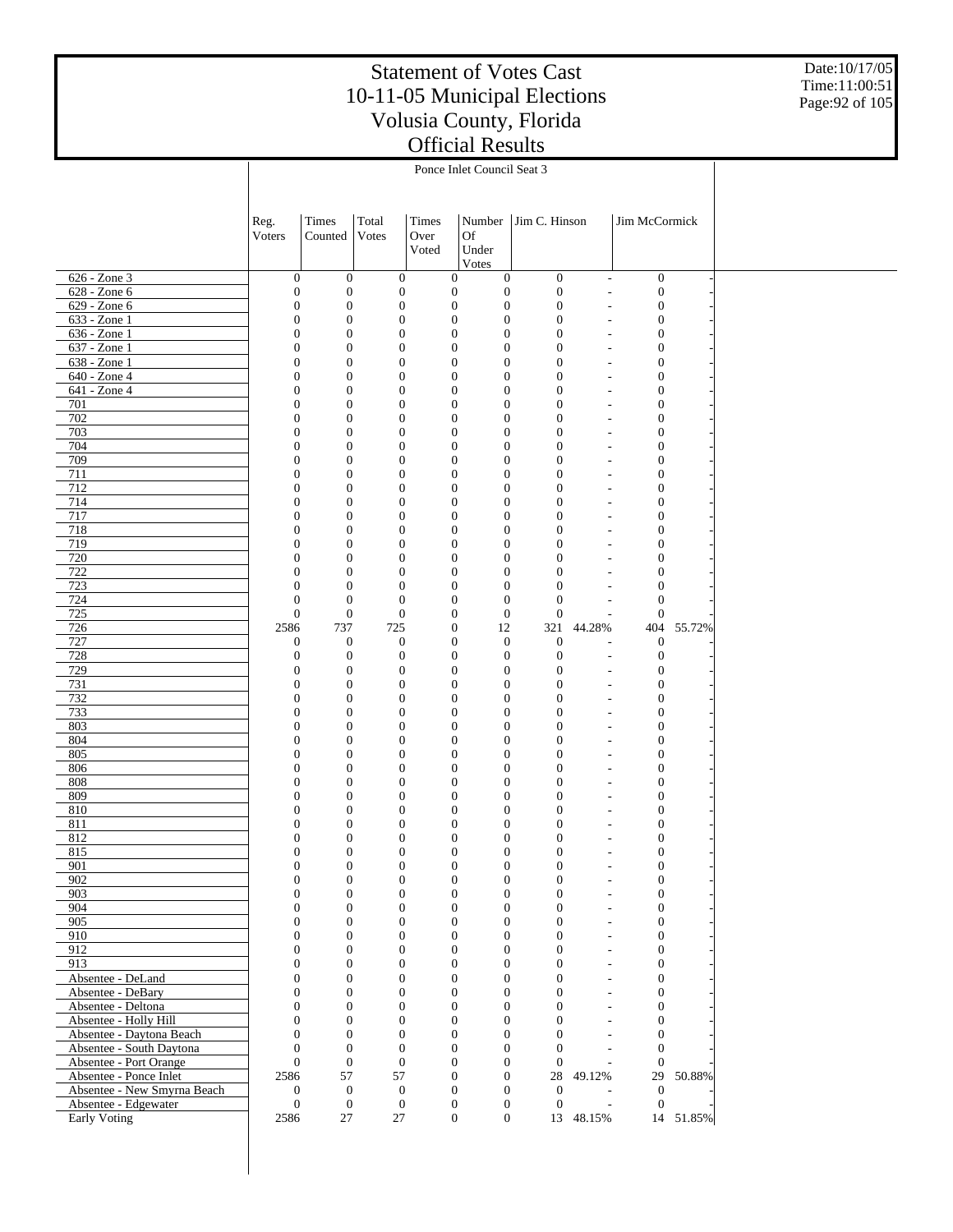Date:10/17/05 Time:11:00:51 Page:92 of 105

|                                      |                                  |                                      |                                      |                                      | Ponce Inlet Council Seat 3           |                                      |                                       |                                      |           |  |
|--------------------------------------|----------------------------------|--------------------------------------|--------------------------------------|--------------------------------------|--------------------------------------|--------------------------------------|---------------------------------------|--------------------------------------|-----------|--|
|                                      |                                  |                                      |                                      |                                      |                                      |                                      |                                       |                                      |           |  |
|                                      |                                  |                                      |                                      |                                      |                                      |                                      |                                       |                                      |           |  |
|                                      |                                  |                                      |                                      |                                      |                                      |                                      |                                       |                                      |           |  |
|                                      | Reg.                             | Times                                | Total<br>Votes                       | Times                                | Number<br>Of                         | Jim C. Hinson                        |                                       | Jim McCormick                        |           |  |
|                                      | Voters                           | Counted                              |                                      | Over<br>Voted                        | Under                                |                                      |                                       |                                      |           |  |
|                                      |                                  |                                      |                                      |                                      | Votes                                |                                      |                                       |                                      |           |  |
| 626 - Zone 3                         | $\boldsymbol{0}$                 | $\boldsymbol{0}$                     | $\mathbf{0}$                         | $\mathbf{0}$                         | $\mathbf{0}$                         | $\boldsymbol{0}$                     | $\overline{\phantom{a}}$              | $\boldsymbol{0}$                     |           |  |
| 628 - Zone 6                         | $\boldsymbol{0}$                 | $\boldsymbol{0}$                     | $\mathbf{0}$                         | $\boldsymbol{0}$                     | $\boldsymbol{0}$                     | $\boldsymbol{0}$                     | $\overline{a}$                        | $\boldsymbol{0}$                     |           |  |
| 629 - Zone 6                         | $\theta$                         | $\boldsymbol{0}$                     | $\mathbf{0}$                         | $\mathbf{0}$                         | $\mathbf{0}$                         | $\boldsymbol{0}$                     | $\overline{a}$                        | $\boldsymbol{0}$                     |           |  |
| 633 - Zone 1                         | $\theta$                         | $\boldsymbol{0}$                     | $\mathbf{0}$                         | $\mathbf{0}$                         | $\boldsymbol{0}$                     | $\boldsymbol{0}$                     | $\overline{\phantom{a}}$              | $\boldsymbol{0}$                     |           |  |
| 636 - Zone 1                         | $\theta$                         | $\boldsymbol{0}$                     | $\mathbf{0}$                         | $\mathbf{0}$                         | $\mathbf{0}$                         | $\boldsymbol{0}$                     | $\overline{\phantom{a}}$              | $\mathbf{0}$                         |           |  |
| $637 - Z$ one 1                      | $\theta$                         | $\boldsymbol{0}$                     | $\mathbf{0}$                         | $\mathbf{0}$                         | $\boldsymbol{0}$                     | $\boldsymbol{0}$                     | $\overline{\phantom{m}}$              | $\boldsymbol{0}$                     |           |  |
| 638 - Zone 1                         | $\theta$                         | $\boldsymbol{0}$                     | $\mathbf{0}$                         | $\mathbf{0}$                         | $\boldsymbol{0}$                     | $\boldsymbol{0}$                     |                                       | $\boldsymbol{0}$                     |           |  |
| 640 - Zone 4                         | $\theta$                         | $\boldsymbol{0}$                     | $\mathbf{0}$                         | $\mathbf{0}$                         | $\boldsymbol{0}$                     | $\boldsymbol{0}$                     | $\overline{\phantom{m}}$              | $\boldsymbol{0}$                     |           |  |
| 641 - Zone 4                         | $\theta$                         | $\boldsymbol{0}$                     | $\mathbf{0}$                         | $\mathbf{0}$                         | $\boldsymbol{0}$                     | $\boldsymbol{0}$                     | $\overline{\phantom{a}}$              | $\mathbf{0}$                         |           |  |
| 701                                  | $\theta$                         | $\boldsymbol{0}$                     | $\mathbf{0}$                         | $\mathbf{0}$                         | $\boldsymbol{0}$                     | $\boldsymbol{0}$                     | $\overline{\phantom{a}}$              | $\boldsymbol{0}$                     |           |  |
| 702<br>703                           | $\theta$<br>$\theta$             | $\boldsymbol{0}$<br>$\boldsymbol{0}$ | $\mathbf{0}$                         | $\mathbf{0}$                         | $\boldsymbol{0}$                     | $\boldsymbol{0}$<br>$\boldsymbol{0}$ | $\overline{\phantom{a}}$              | $\mathbf{0}$<br>$\boldsymbol{0}$     |           |  |
| 704                                  | $\theta$                         | $\boldsymbol{0}$                     | $\mathbf{0}$<br>$\mathbf{0}$         | $\mathbf{0}$<br>$\mathbf{0}$         | $\boldsymbol{0}$<br>$\boldsymbol{0}$ | $\boldsymbol{0}$                     | $\overline{\phantom{m}}$              | $\mathbf{0}$                         |           |  |
| 709                                  | $\theta$                         | $\boldsymbol{0}$                     | $\mathbf{0}$                         | $\boldsymbol{0}$                     | $\mathbf{0}$                         | $\boldsymbol{0}$                     | $\overline{\phantom{m}}$              | $\boldsymbol{0}$                     |           |  |
| 711                                  | $\theta$                         | $\boldsymbol{0}$                     | $\mathbf{0}$                         | $\boldsymbol{0}$                     | $\mathbf{0}$                         | $\boldsymbol{0}$                     |                                       | $\boldsymbol{0}$                     |           |  |
| 712                                  | $\theta$                         | $\boldsymbol{0}$                     | $\boldsymbol{0}$                     | $\boldsymbol{0}$                     | $\mathbf{0}$                         | $\boldsymbol{0}$                     | $\overline{\phantom{a}}$              | $\boldsymbol{0}$                     |           |  |
| 714                                  | $\theta$                         | $\boldsymbol{0}$                     | $\mathbf{0}$                         | $\boldsymbol{0}$                     | $\mathbf{0}$                         | $\boldsymbol{0}$                     | $\overline{a}$                        | $\mathbf{0}$                         |           |  |
| 717                                  | $\theta$                         | $\boldsymbol{0}$                     | $\mathbf{0}$                         | $\boldsymbol{0}$                     | $\mathbf{0}$                         | $\boldsymbol{0}$                     | $\overline{a}$                        | $\boldsymbol{0}$                     |           |  |
| 718                                  | $\theta$                         | $\boldsymbol{0}$                     | $\mathbf{0}$                         | $\boldsymbol{0}$                     | $\mathbf{0}$                         | $\boldsymbol{0}$                     |                                       | $\boldsymbol{0}$                     |           |  |
| 719                                  | $\theta$                         | $\boldsymbol{0}$                     | $\mathbf{0}$                         | $\boldsymbol{0}$                     | $\mathbf{0}$                         | $\boldsymbol{0}$                     |                                       | $\boldsymbol{0}$                     |           |  |
| 720                                  | $\theta$                         | $\boldsymbol{0}$                     | $\mathbf{0}$                         | $\boldsymbol{0}$                     | $\mathbf{0}$                         | $\boldsymbol{0}$                     |                                       | $\boldsymbol{0}$                     |           |  |
| 722                                  | $\theta$                         | $\boldsymbol{0}$                     | $\mathbf{0}$                         | $\boldsymbol{0}$                     | $\boldsymbol{0}$                     | $\boldsymbol{0}$                     | $\overline{\phantom{a}}$              | $\mathbf{0}$                         |           |  |
| 723                                  | $\overline{0}$<br>$\mathbf{0}$   | $\boldsymbol{0}$                     | $\mathbf{0}$                         | $\boldsymbol{0}$                     | $\mathbf{0}$                         | $\boldsymbol{0}$                     | $\overline{a}$                        | $\mathbf{0}$<br>$\mathbf{0}$         |           |  |
| 724<br>725                           | $\boldsymbol{0}$                 | $\boldsymbol{0}$<br>$\boldsymbol{0}$ | $\mathbf{0}$<br>$\mathbf{0}$         | $\boldsymbol{0}$<br>$\boldsymbol{0}$ | $\boldsymbol{0}$<br>$\boldsymbol{0}$ | $\boldsymbol{0}$<br>$\boldsymbol{0}$ | $\overline{a}$                        | $\mathbf{0}$                         |           |  |
| 726                                  | 2586                             | 737                                  | 725                                  | $\boldsymbol{0}$                     | 12                                   | 321                                  | 44.28%                                | 404                                  | 55.72%    |  |
| 727                                  | $\mathbf{0}$                     | $\boldsymbol{0}$                     | $\mathbf{0}$                         | $\boldsymbol{0}$                     | $\mathbf{0}$                         | $\boldsymbol{0}$                     |                                       | $\mathbf{0}$                         |           |  |
| 728                                  | $\mathbf{0}$                     | $\boldsymbol{0}$                     | $\mathbf{0}$                         | $\mathbf{0}$                         | $\mathbf{0}$                         | $\boldsymbol{0}$                     | $\overline{\phantom{a}}$              | $\boldsymbol{0}$                     |           |  |
| 729                                  | $\theta$                         | $\boldsymbol{0}$                     | $\mathbf{0}$                         | $\mathbf{0}$                         | $\boldsymbol{0}$                     | $\boldsymbol{0}$                     | $\overline{a}$                        | $\mathbf{0}$                         |           |  |
| 731                                  | $\theta$                         | $\boldsymbol{0}$                     | $\mathbf{0}$                         | $\mathbf{0}$                         | $\boldsymbol{0}$                     | $\boldsymbol{0}$                     | $\overline{a}$                        | $\mathbf{0}$                         |           |  |
| 732                                  | $\theta$                         | $\boldsymbol{0}$                     | $\mathbf{0}$                         | $\mathbf{0}$                         | $\boldsymbol{0}$                     | $\boldsymbol{0}$                     |                                       | $\boldsymbol{0}$                     |           |  |
| 733                                  | $\theta$                         | $\boldsymbol{0}$                     | $\mathbf{0}$                         | $\mathbf{0}$                         | $\boldsymbol{0}$                     | $\boldsymbol{0}$                     | $\overline{a}$                        | $\boldsymbol{0}$                     |           |  |
| 803                                  | $\theta$                         | $\boldsymbol{0}$                     | $\mathbf{0}$                         | $\mathbf{0}$                         | $\boldsymbol{0}$                     | $\boldsymbol{0}$                     |                                       | $\mathbf{0}$                         |           |  |
| 804                                  | $\theta$                         | $\boldsymbol{0}$                     | $\mathbf{0}$                         | $\mathbf{0}$                         | $\boldsymbol{0}$                     | $\boldsymbol{0}$                     | $\overline{\phantom{a}}$              | $\boldsymbol{0}$                     |           |  |
| 805<br>806                           | $\overline{0}$<br>$\theta$       | $\boldsymbol{0}$<br>$\boldsymbol{0}$ | $\boldsymbol{0}$                     | $\mathbf{0}$                         | $\boldsymbol{0}$                     | $\boldsymbol{0}$                     | $\overline{a}$                        | $\boldsymbol{0}$<br>$\boldsymbol{0}$ |           |  |
| 808                                  | $\theta$                         | $\boldsymbol{0}$                     | $\mathbf{0}$<br>$\mathbf{0}$         | $\mathbf{0}$<br>$\mathbf{0}$         | $\mathbf{0}$<br>$\mathbf{0}$         | $\boldsymbol{0}$<br>$\boldsymbol{0}$ | $\overline{\phantom{a}}$              | $\mathbf{0}$                         |           |  |
| 809                                  | $\theta$                         | $\boldsymbol{0}$                     | $\mathbf{0}$                         | $\mathbf{0}$                         | $\mathbf{0}$                         | $\boldsymbol{0}$                     | $\overline{a}$                        | $\boldsymbol{0}$                     |           |  |
| 810                                  | $\mathbf{0}$                     | $\boldsymbol{0}$                     | $\boldsymbol{0}$                     | $\boldsymbol{0}$                     | $\boldsymbol{0}$                     | $\boldsymbol{0}$                     |                                       | $\boldsymbol{0}$                     |           |  |
| 811                                  | $\mathbf{0}$                     | $\boldsymbol{0}$                     | $\boldsymbol{0}$                     | $\boldsymbol{0}$                     | $\overline{0}$                       | $\mathbf{0}$                         | ٠                                     | $\mathbf{0}$                         |           |  |
| 812                                  | $\Omega$                         | $\boldsymbol{0}$                     | $\boldsymbol{0}$                     | 0                                    | $\mathbf{0}$                         | $\boldsymbol{0}$                     |                                       | $\overline{0}$                       |           |  |
| 815                                  | $\Omega$                         | $\Omega$                             | $\Omega$                             | $\Omega$                             | $\Omega$                             | $\Omega$                             |                                       | $\Omega$                             |           |  |
| 901                                  | $\boldsymbol{0}$                 | $\boldsymbol{0}$                     | $\boldsymbol{0}$                     | $\boldsymbol{0}$                     | $\mathbf{0}$                         | $\mathbf{0}$                         | $\overline{\phantom{a}}$              | $\boldsymbol{0}$                     |           |  |
| 902                                  | $\boldsymbol{0}$                 | $\boldsymbol{0}$                     | $\boldsymbol{0}$                     | $\boldsymbol{0}$                     | $\boldsymbol{0}$                     | $\boldsymbol{0}$                     | $\overline{\phantom{a}}$              | $\boldsymbol{0}$                     |           |  |
| 903                                  | $\boldsymbol{0}$                 | $\boldsymbol{0}$                     | $\boldsymbol{0}$                     | $\boldsymbol{0}$                     | $\mathbf{0}$                         | $\boldsymbol{0}$                     | $\overline{a}$                        | $\boldsymbol{0}$                     |           |  |
| 904                                  | $\mathbf{0}$                     | $\overline{0}$                       | $\boldsymbol{0}$                     | $\mathbf{0}$                         | $\boldsymbol{0}$                     | $\boldsymbol{0}$                     | $\overline{\phantom{a}}$              | $\boldsymbol{0}$                     |           |  |
| 905<br>910                           | $\boldsymbol{0}$<br>$\mathbf{0}$ | $\boldsymbol{0}$<br>$\overline{0}$   | $\boldsymbol{0}$<br>$\boldsymbol{0}$ | $\boldsymbol{0}$                     | $\boldsymbol{0}$<br>$\mathbf{0}$     | $\boldsymbol{0}$<br>$\boldsymbol{0}$ | $\overline{a}$                        | $\boldsymbol{0}$<br>$\boldsymbol{0}$ |           |  |
| 912                                  | $\boldsymbol{0}$                 | $\overline{0}$                       | $\boldsymbol{0}$                     | $\mathbf{0}$<br>$\mathbf{0}$         | $\boldsymbol{0}$                     | $\boldsymbol{0}$                     | $\overline{a}$<br>$\frac{1}{2}$       | $\boldsymbol{0}$                     |           |  |
| 913                                  | $\boldsymbol{0}$                 | $\overline{0}$                       | $\boldsymbol{0}$                     | $\mathbf{0}$                         | $\mathbf{0}$                         | $\boldsymbol{0}$                     | $\overline{\phantom{a}}$              | $\boldsymbol{0}$                     |           |  |
| Absentee - DeLand                    | $\boldsymbol{0}$                 | $\boldsymbol{0}$                     | $\boldsymbol{0}$                     | $\mathbf{0}$                         | $\boldsymbol{0}$                     | $\boldsymbol{0}$                     | $\frac{1}{2}$                         | $\boldsymbol{0}$                     |           |  |
| Absentee - DeBary                    | $\mathbf{0}$                     | $\overline{0}$                       | $\boldsymbol{0}$                     | $\mathbf{0}$                         | $\mathbf{0}$                         | $\boldsymbol{0}$                     | $\overline{\phantom{a}}$              | $\boldsymbol{0}$                     |           |  |
| Absentee - Deltona                   | $\boldsymbol{0}$                 | $\overline{0}$                       | $\boldsymbol{0}$                     | $\mathbf{0}$                         | $\boldsymbol{0}$                     | $\boldsymbol{0}$                     | $\overline{a}$                        | $\boldsymbol{0}$                     |           |  |
| Absentee - Holly Hill                | $\mathbf{0}$                     | $\overline{0}$                       | $\boldsymbol{0}$                     | $\mathbf{0}$                         | $\mathbf{0}$                         | $\boldsymbol{0}$                     | $\overline{a}$                        | $\boldsymbol{0}$                     |           |  |
| Absentee - Daytona Beach             | $\boldsymbol{0}$                 | $\overline{0}$                       | $\boldsymbol{0}$                     | $\mathbf{0}$                         | $\boldsymbol{0}$                     | $\boldsymbol{0}$                     | $\overline{a}$                        | $\boldsymbol{0}$                     |           |  |
| Absentee - South Daytona             | $\overline{0}$                   | $\overline{0}$                       | $\boldsymbol{0}$                     | $\mathbf{0}$                         | $\mathbf{0}$                         | $\boldsymbol{0}$                     | $\overline{\phantom{a}}$              | $\mathbf{0}$                         |           |  |
| Absentee - Port Orange               | $\boldsymbol{0}$                 | $\boldsymbol{0}$                     | $\mathbf{0}$                         | $\mathbf{0}$                         | $\boldsymbol{0}$                     | $\boldsymbol{0}$                     | $\overline{a}$                        | $\mathbf{0}$                         |           |  |
| Absentee - Ponce Inlet               | 2586                             | 57                                   | 57                                   | $\mathbf{0}$                         | $\mathbf{0}$                         | 28                                   | 49.12%                                |                                      | 29 50.88% |  |
| Absentee - New Smyrna Beach          | $\mathbf{0}$                     | $\boldsymbol{0}$                     | $\mathbf{0}$                         | $\mathbf{0}$                         | $\mathbf{0}$                         | $\boldsymbol{0}$                     |                                       | $\mathbf{0}$                         |           |  |
| Absentee - Edgewater<br>Early Voting | $\boldsymbol{0}$<br>2586         | $\boldsymbol{0}$<br>27               | $\mathbf{0}$<br>27                   | $\mathbf{0}$<br>$\boldsymbol{0}$     | $\mathbf{0}$<br>$\boldsymbol{0}$     | $\boldsymbol{0}$                     | $\overline{\phantom{a}}$<br>13 48.15% | $\boldsymbol{0}$                     | 14 51.85% |  |
|                                      |                                  |                                      |                                      |                                      |                                      |                                      |                                       |                                      |           |  |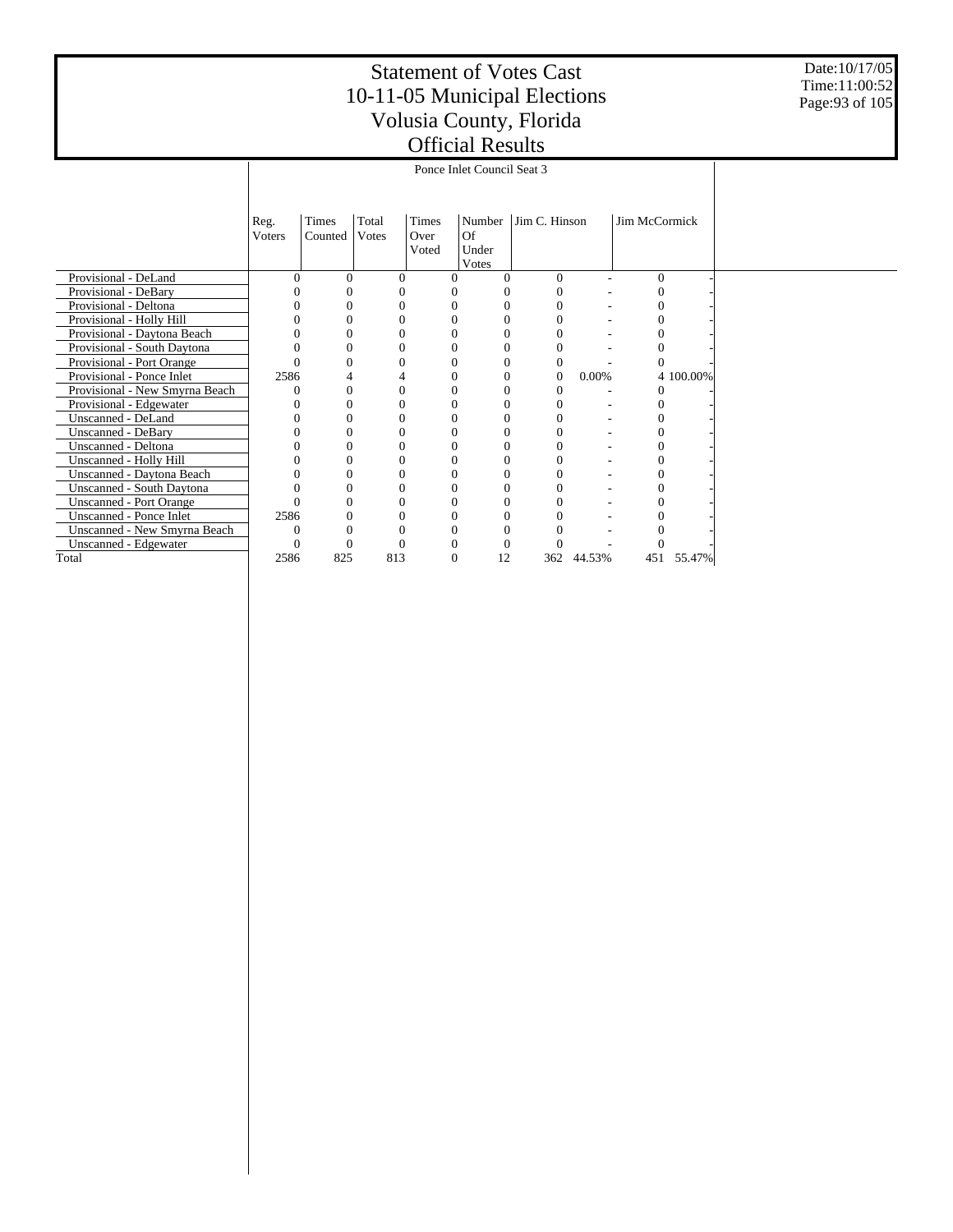Date:10/17/05 Time:11:00:52 Page:93 of 105

|                                |              |          |                |               | Ponce Inlet Council Seat 3 |               |        |               |           |
|--------------------------------|--------------|----------|----------------|---------------|----------------------------|---------------|--------|---------------|-----------|
|                                |              |          |                |               |                            |               |        |               |           |
|                                |              |          |                |               |                            |               |        |               |           |
|                                | Reg.         | Times    | Total<br>Votes | Times<br>Over | Number<br>Of               | Jim C. Hinson |        | Jim McCormick |           |
|                                | Voters       | Counted  |                | Voted         | Under                      |               |        |               |           |
|                                |              |          |                |               | Votes                      |               |        |               |           |
| Provisional - DeLand           |              | 0        | $\Omega$       | 0             | 0                          | $\Omega$      |        | $\Omega$      |           |
| Provisional - DeBary           |              |          | C              |               |                            |               |        |               |           |
| Provisional - Deltona          |              | 0        | $\Omega$       |               | 0                          |               |        | 0             |           |
| Provisional - Holly Hill       |              | $\Omega$ | $\Omega$       |               | $\theta$                   |               |        | $\Omega$      |           |
| Provisional - Daytona Beach    |              | 0        | 0              |               | $\Omega$                   |               |        | 0             |           |
| Provisional - South Daytona    |              | $\theta$ | $\Omega$       |               | $\Omega$                   | $\Omega$      |        | $\Omega$      |           |
| Provisional - Port Orange      |              | $\theta$ | 0              |               | 0                          | $\theta$      |        |               |           |
| Provisional - Ponce Inlet      | 2586         | 4        |                |               | 0                          | $\mathbf{0}$  | 0.00%  |               | 4 100.00% |
| Provisional - New Smyrna Beach |              | $\theta$ | 0              |               | $\Omega$                   | $\Omega$      |        | $\Omega$      |           |
| Provisional - Edgewater        |              | 0        | $\Omega$       |               | 0                          | $\Omega$      |        | $\Omega$      |           |
| Unscanned - DeLand             |              | 0        | 0              |               | $\Omega$                   |               |        | 0             |           |
| Unscanned - DeBary             |              | 0        | 0              |               | $\Omega$                   |               |        | 0             |           |
| Unscanned - Deltona            |              | 0        | 0              |               | $\Omega$                   |               |        | 0             |           |
| Unscanned - Holly Hill         |              | 0        | $\Omega$       |               | $\Omega$                   |               |        |               |           |
| Unscanned - Daytona Beach      |              | 0        | $\Omega$       |               | $\Omega$                   | $\Omega$      |        |               |           |
| Unscanned - South Daytona      |              | 0        | 0              |               | $\Omega$                   |               |        | 0             |           |
| <b>Unscanned - Port Orange</b> |              | 0        | $\Omega$       |               | $\Omega$                   | $\Omega$      |        | $\Omega$      |           |
| Unscanned - Ponce Inlet        | 2586         | $\theta$ | $\theta$       |               | $\theta$                   | $\Omega$      |        | $\Omega$      |           |
| Unscanned - New Smyrna Beach   | $\mathbf{0}$ | 0        | $\theta$       |               | $\Omega$                   | $\Omega$      |        |               |           |
| Unscanned - Edgewater          | 0            | 0        | 0              |               | 0                          | $\Omega$      |        | $\Omega$      |           |
| Total                          | 2586         | 825      | 813            | $\theta$      | 12                         | 362           | 44.53% | 451           | 55.47%    |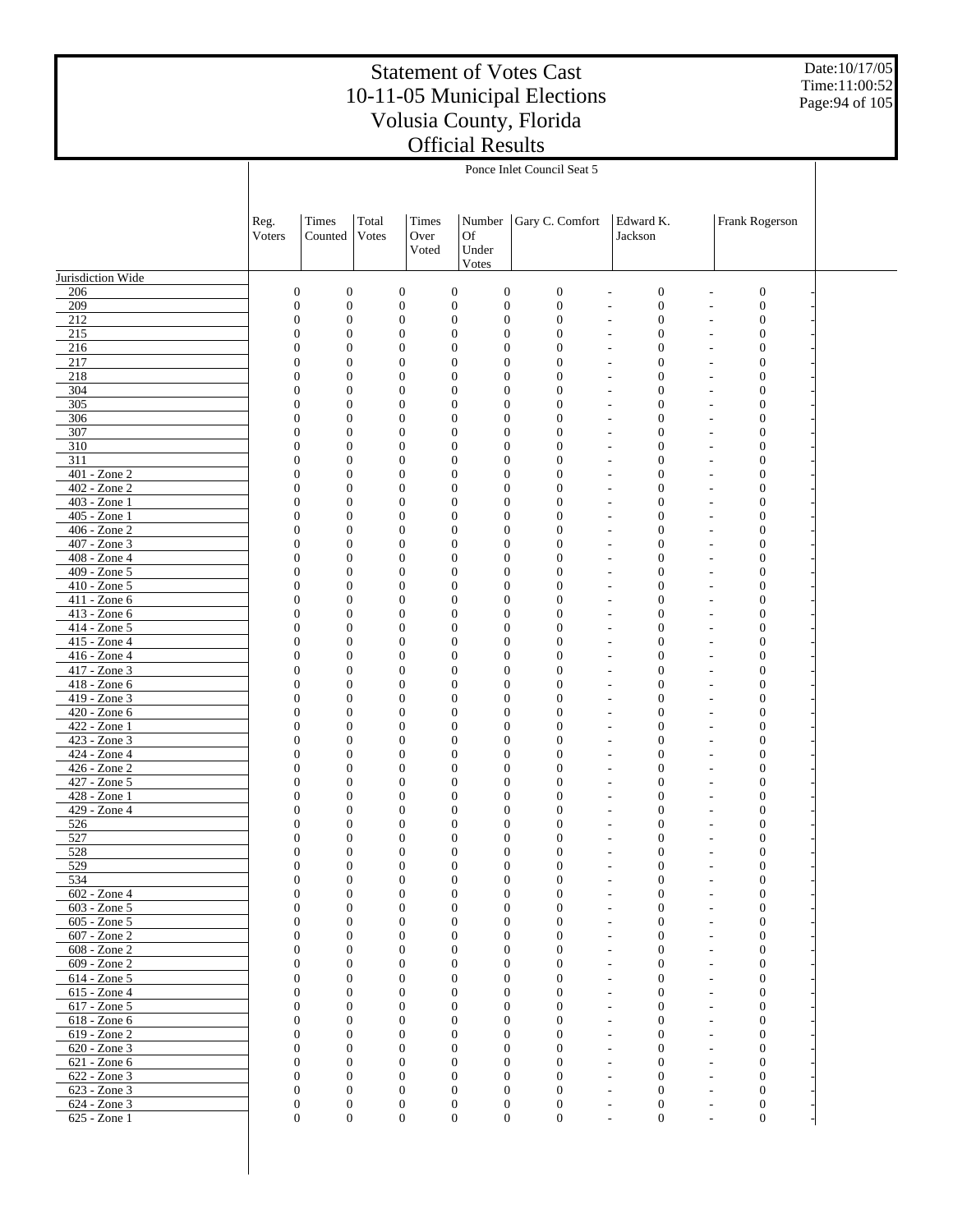Date:10/17/05 Time:11:00:52 Page:94 of 105

|                                 | Ponce Inlet Council Seat 5   |                                      |                                      |                                      |                                      |                                      |                                                                                              |                          |                                      |  |  |
|---------------------------------|------------------------------|--------------------------------------|--------------------------------------|--------------------------------------|--------------------------------------|--------------------------------------|----------------------------------------------------------------------------------------------|--------------------------|--------------------------------------|--|--|
|                                 |                              |                                      |                                      |                                      |                                      |                                      |                                                                                              |                          |                                      |  |  |
|                                 | Reg.                         | Times                                | Total                                | Times                                | Number                               | Gary C. Comfort                      | Edward K.                                                                                    |                          | Frank Rogerson                       |  |  |
|                                 | Voters                       | Counted                              | Votes                                | Over<br>Voted                        | Of<br>Under                          |                                      | Jackson                                                                                      |                          |                                      |  |  |
| Jurisdiction Wide               |                              |                                      |                                      |                                      | Votes                                |                                      |                                                                                              |                          |                                      |  |  |
| 206                             | $\mathbf{0}$                 | $\boldsymbol{0}$                     | $\boldsymbol{0}$                     | $\boldsymbol{0}$                     | $\boldsymbol{0}$                     | $\boldsymbol{0}$                     | $\boldsymbol{0}$<br>$\overline{a}$                                                           |                          | $\boldsymbol{0}$                     |  |  |
| 209                             | $\mathbf{0}$                 | $\boldsymbol{0}$                     | $\boldsymbol{0}$                     | $\mathbf{0}$                         | $\boldsymbol{0}$                     | $\boldsymbol{0}$                     | $\boldsymbol{0}$<br>$\overline{\phantom{a}}$                                                 | $\overline{\phantom{a}}$ | $\boldsymbol{0}$                     |  |  |
| 212                             | $\mathbf{0}$                 | $\boldsymbol{0}$                     | $\mathbf{0}$                         | $\boldsymbol{0}$                     | $\boldsymbol{0}$                     | $\boldsymbol{0}$                     | $\mathbf{0}$<br>$\overline{\phantom{a}}$                                                     | $\sim$                   | $\mathbf{0}$                         |  |  |
| 215                             | $\mathbf{0}$                 | $\boldsymbol{0}$                     | $\boldsymbol{0}$                     | $\boldsymbol{0}$                     | $\boldsymbol{0}$                     | $\mathbf{0}$                         | $\boldsymbol{0}$<br>$\overline{\phantom{a}}$                                                 | $\sim$                   | $\boldsymbol{0}$                     |  |  |
| 216                             | $\mathbf{0}$<br>$\mathbf{0}$ | $\boldsymbol{0}$                     | $\boldsymbol{0}$                     |                                      | $\boldsymbol{0}$<br>$\boldsymbol{0}$ | $\mathbf{0}$                         | $\boldsymbol{0}$<br>$\sim$                                                                   |                          | $\mathbf{0}$                         |  |  |
| 217<br>218                      | $\mathbf{0}$                 | $\boldsymbol{0}$<br>$\boldsymbol{0}$ | $\boldsymbol{0}$<br>$\boldsymbol{0}$ | $\boldsymbol{0}$<br>$\boldsymbol{0}$ | $\boldsymbol{0}$<br>$\boldsymbol{0}$ | $\mathbf{0}$<br>$\overline{0}$       | $\boldsymbol{0}$<br>$\overline{\phantom{a}}$<br>$\boldsymbol{0}$<br>$\overline{\phantom{a}}$ |                          | $\boldsymbol{0}$<br>$\boldsymbol{0}$ |  |  |
| 304                             | $\mathbf{0}$                 | $\boldsymbol{0}$                     | $\boldsymbol{0}$                     | $\boldsymbol{0}$                     | $\boldsymbol{0}$                     | $\mathbf{0}$                         | $\boldsymbol{0}$<br>$\overline{\phantom{a}}$                                                 |                          | $\boldsymbol{0}$                     |  |  |
| 305                             | $\mathbf{0}$                 | $\boldsymbol{0}$                     | $\boldsymbol{0}$                     | $\boldsymbol{0}$                     | $\boldsymbol{0}$                     | $\mathbf{0}$                         | $\boldsymbol{0}$                                                                             |                          | $\mathbf{0}$                         |  |  |
| 306                             | $\mathbf{0}$                 | $\boldsymbol{0}$                     | $\boldsymbol{0}$                     | $\boldsymbol{0}$                     | $\boldsymbol{0}$                     | $\mathbf{0}$                         | $\boldsymbol{0}$<br>$\overline{\phantom{a}}$                                                 |                          | $\boldsymbol{0}$                     |  |  |
| 307                             | $\mathbf{0}$                 | $\boldsymbol{0}$                     | $\boldsymbol{0}$                     | $\boldsymbol{0}$                     | $\boldsymbol{0}$                     | $\overline{0}$                       | $\boldsymbol{0}$<br>$\sim$                                                                   |                          | $\boldsymbol{0}$                     |  |  |
| 310<br>311                      | $\mathbf{0}$<br>$\mathbf{0}$ | $\boldsymbol{0}$<br>$\boldsymbol{0}$ | $\boldsymbol{0}$<br>$\boldsymbol{0}$ | $\boldsymbol{0}$<br>$\boldsymbol{0}$ | $\boldsymbol{0}$<br>$\boldsymbol{0}$ | $\mathbf{0}$<br>$\overline{0}$       | $\boldsymbol{0}$<br>$\overline{\phantom{a}}$<br>$\boldsymbol{0}$<br>$\sim$                   | $\sim$                   | $\boldsymbol{0}$<br>$\theta$         |  |  |
| 401 - Zone 2                    | $\mathbf{0}$                 | $\boldsymbol{0}$                     | $\boldsymbol{0}$                     | $\boldsymbol{0}$                     | $\boldsymbol{0}$                     | $\mathbf{0}$                         | $\boldsymbol{0}$<br>$\overline{\phantom{a}}$                                                 | ٠                        | $\boldsymbol{0}$                     |  |  |
| 402 - Zone 2                    | $\mathbf{0}$                 | $\boldsymbol{0}$                     | $\boldsymbol{0}$                     | $\boldsymbol{0}$                     | $\boldsymbol{0}$                     | $\overline{0}$                       | $\boldsymbol{0}$<br>$\overline{\phantom{a}}$                                                 |                          | $\boldsymbol{0}$                     |  |  |
| 403 - Zone 1                    | $\mathbf{0}$                 | $\boldsymbol{0}$                     | $\boldsymbol{0}$                     | $\boldsymbol{0}$                     | $\boldsymbol{0}$                     | $\mathbf{0}$                         | $\boldsymbol{0}$<br>$\overline{\phantom{a}}$                                                 |                          | $\mathbf{0}$                         |  |  |
| 405 - Zone 1                    | $\mathbf{0}$                 | $\boldsymbol{0}$                     | $\boldsymbol{0}$                     | $\boldsymbol{0}$                     | $\boldsymbol{0}$                     | $\mathbf{0}$                         | $\boldsymbol{0}$                                                                             |                          | $\theta$                             |  |  |
| 406 - Zone 2<br>407 - Zone 3    | $\mathbf{0}$<br>$\mathbf{0}$ | $\boldsymbol{0}$<br>$\boldsymbol{0}$ | $\boldsymbol{0}$<br>$\boldsymbol{0}$ | $\boldsymbol{0}$<br>$\boldsymbol{0}$ | $\boldsymbol{0}$<br>$\boldsymbol{0}$ | $\mathbf{0}$<br>$\overline{0}$       | $\boldsymbol{0}$<br>$\overline{\phantom{a}}$<br>$\boldsymbol{0}$<br>$\overline{\phantom{a}}$ |                          | $\boldsymbol{0}$<br>$\boldsymbol{0}$ |  |  |
| 408 - Zone 4                    | $\mathbf{0}$                 | $\boldsymbol{0}$                     | $\boldsymbol{0}$                     | $\boldsymbol{0}$                     | $\boldsymbol{0}$                     | $\mathbf{0}$                         | $\boldsymbol{0}$<br>$\overline{\phantom{a}}$                                                 | $\overline{\phantom{a}}$ | $\boldsymbol{0}$                     |  |  |
| 409 - Zone 5                    | $\mathbf{0}$                 | $\boldsymbol{0}$                     | $\boldsymbol{0}$                     | $\boldsymbol{0}$                     | $\boldsymbol{0}$                     | $\overline{0}$                       | $\boldsymbol{0}$<br>$\sim$                                                                   |                          | $\theta$                             |  |  |
| 410 - Zone 5                    | $\mathbf{0}$                 | $\boldsymbol{0}$                     | $\boldsymbol{0}$                     | $\boldsymbol{0}$                     | $\boldsymbol{0}$                     | $\mathbf{0}$                         | $\boldsymbol{0}$<br>$\overline{\phantom{a}}$                                                 | ٠                        | $\boldsymbol{0}$                     |  |  |
| 411 - Zone 6                    | $\mathbf{0}$                 | $\boldsymbol{0}$                     | $\boldsymbol{0}$                     | $\boldsymbol{0}$                     | $\boldsymbol{0}$                     | $\overline{0}$                       | $\boldsymbol{0}$<br>$\overline{\phantom{a}}$                                                 |                          | $\boldsymbol{0}$                     |  |  |
| $413 - Zone 6$                  | $\mathbf{0}$                 | $\boldsymbol{0}$                     | $\boldsymbol{0}$                     | $\boldsymbol{0}$                     | $\boldsymbol{0}$                     | $\mathbf{0}$                         | $\boldsymbol{0}$<br>$\overline{\phantom{a}}$                                                 |                          | $\mathbf{0}$                         |  |  |
| 414 - Zone 5<br>415 - Zone 4    | $\mathbf{0}$<br>$\mathbf{0}$ | $\boldsymbol{0}$<br>$\boldsymbol{0}$ | $\boldsymbol{0}$<br>$\boldsymbol{0}$ | $\boldsymbol{0}$<br>$\boldsymbol{0}$ | $\boldsymbol{0}$<br>$\boldsymbol{0}$ | $\mathbf{0}$<br>$\mathbf{0}$         | $\boldsymbol{0}$<br>$\boldsymbol{0}$<br>$\overline{\phantom{a}}$                             |                          | $\theta$<br>$\boldsymbol{0}$         |  |  |
| 416 - Zone 4                    | $\mathbf{0}$                 | $\boldsymbol{0}$                     | $\boldsymbol{0}$                     | $\boldsymbol{0}$                     | $\boldsymbol{0}$                     | $\overline{0}$                       | $\boldsymbol{0}$<br>$\overline{\phantom{a}}$                                                 |                          | $\boldsymbol{0}$                     |  |  |
| 417 - Zone 3                    | $\mathbf{0}$                 | $\boldsymbol{0}$                     | $\boldsymbol{0}$                     | $\boldsymbol{0}$                     | $\boldsymbol{0}$                     | $\mathbf{0}$                         | $\boldsymbol{0}$<br>$\overline{\phantom{a}}$                                                 | ٠                        | $\boldsymbol{0}$                     |  |  |
| 418 - Zone 6                    | $\mathbf{0}$                 | $\boldsymbol{0}$                     | $\boldsymbol{0}$                     | $\boldsymbol{0}$                     | $\boldsymbol{0}$                     | $\mathbf{0}$                         | $\boldsymbol{0}$<br>$\sim$                                                                   |                          | $\theta$                             |  |  |
| 419 - Zone 3                    | $\mathbf{0}$                 | $\boldsymbol{0}$                     | $\boldsymbol{0}$                     | $\boldsymbol{0}$                     | $\boldsymbol{0}$                     | $\mathbf{0}$                         | $\boldsymbol{0}$<br>$\overline{\phantom{a}}$                                                 | $\overline{\phantom{a}}$ | $\boldsymbol{0}$                     |  |  |
| 420 - Zone 6<br>$422 - Z$ one 1 | $\mathbf{0}$<br>$\mathbf{0}$ | $\boldsymbol{0}$<br>$\boldsymbol{0}$ | $\boldsymbol{0}$<br>$\boldsymbol{0}$ | $\boldsymbol{0}$<br>$\boldsymbol{0}$ | $\boldsymbol{0}$<br>$\boldsymbol{0}$ | $\overline{0}$<br>$\mathbf{0}$       | $\boldsymbol{0}$<br>$\overline{\phantom{a}}$<br>$\boldsymbol{0}$<br>$\overline{\phantom{a}}$ |                          | $\boldsymbol{0}$<br>$\mathbf{0}$     |  |  |
| 423 - Zone 3                    | $\mathbf{0}$                 | $\boldsymbol{0}$                     | $\boldsymbol{0}$                     | $\boldsymbol{0}$                     | $\boldsymbol{0}$                     | $\overline{0}$                       | $\boldsymbol{0}$                                                                             |                          | $\theta$                             |  |  |
| 424 - Zone 4                    | $\mathbf{0}$                 | $\boldsymbol{0}$                     | $\boldsymbol{0}$                     | $\boldsymbol{0}$                     | $\boldsymbol{0}$                     | $\mathbf{0}$                         | $\boldsymbol{0}$<br>$\overline{\phantom{a}}$                                                 |                          | $\boldsymbol{0}$                     |  |  |
| 426 - Zone 2                    | $\mathbf{0}$                 | $\boldsymbol{0}$                     | $\boldsymbol{0}$                     | $\boldsymbol{0}$                     | $\boldsymbol{0}$                     | $\overline{0}$                       | $\boldsymbol{0}$<br>$\overline{\phantom{a}}$                                                 |                          | $\boldsymbol{0}$                     |  |  |
| 427 - Zone 5                    | $\mathbf{0}$                 | $\boldsymbol{0}$                     | $\boldsymbol{0}$                     | $\boldsymbol{0}$                     | $\boldsymbol{0}$                     | $\mathbf{0}$                         | $\boldsymbol{0}$<br>$\overline{\phantom{a}}$                                                 |                          | $\boldsymbol{0}$                     |  |  |
| 428 - Zone 1<br>429 - Zone 4    | $\mathbf{0}$<br>$\mathbf{0}$ | $\boldsymbol{0}$<br>$\boldsymbol{0}$ | $\boldsymbol{0}$<br>$\boldsymbol{0}$ | $\boldsymbol{0}$<br>$\boldsymbol{0}$ | $\boldsymbol{0}$<br>$\boldsymbol{0}$ | $\mathbf{0}$<br>$\mathbf{0}$         | $\boldsymbol{0}$<br>$\sim$<br>$\boldsymbol{0}$<br>$\overline{\phantom{a}}$                   |                          | $\boldsymbol{0}$<br>$\boldsymbol{0}$ |  |  |
| 526                             | $\mathbf{0}$                 | $\boldsymbol{0}$                     | $\boldsymbol{0}$                     | $\boldsymbol{0}$                     | $\boldsymbol{0}$                     | $\mathbf{0}$                         | $\boldsymbol{0}$<br>$\overline{\phantom{a}}$                                                 |                          | $\boldsymbol{0}$                     |  |  |
| 527                             | $\mathbf{0}$                 | $\boldsymbol{0}$                     | $\boldsymbol{0}$                     | $\boldsymbol{0}$                     | $\boldsymbol{0}$                     | $\mathbf{0}$                         | $\boldsymbol{0}$<br>$\overline{\phantom{a}}$                                                 |                          | $\boldsymbol{0}$                     |  |  |
| 528                             | $\overline{0}$               | $\boldsymbol{0}$                     | $\boldsymbol{0}$                     | $\boldsymbol{0}$                     | $\boldsymbol{0}$                     | $\boldsymbol{0}$                     | $\boldsymbol{0}$<br>$\overline{\phantom{a}}$                                                 | $\overline{\phantom{a}}$ | $\boldsymbol{0}$                     |  |  |
| 529                             | $\mathbf{0}$                 | $\mathbf{0}$                         | 0                                    | $\mathbf{0}$                         | $\theta$                             | 0                                    | $\theta$                                                                                     |                          |                                      |  |  |
| 534<br>$602 - Z$ one 4          | $\mathbf{0}$<br>$\mathbf{0}$ | $\mathbf{0}$<br>$\overline{0}$       | $\boldsymbol{0}$<br>$\boldsymbol{0}$ | $\boldsymbol{0}$<br>$\boldsymbol{0}$ | $\mathbf{0}$<br>$\overline{0}$       | $\boldsymbol{0}$<br>$\boldsymbol{0}$ | $\overline{0}$<br>0                                                                          |                          | 0<br>$\boldsymbol{0}$                |  |  |
| 603 - Zone 5                    | $\mathbf{0}$                 | $\mathbf{0}$                         | $\boldsymbol{0}$                     | $\boldsymbol{0}$                     | $\mathbf{0}$                         | $\overline{0}$                       | $\mathbf{0}$                                                                                 |                          | $\boldsymbol{0}$                     |  |  |
| $605 - Z$ one 5                 | $\Omega$                     | $\mathbf{0}$                         | $\mathbf{0}$                         | $\overline{0}$                       | $\mathbf{0}$                         | $\mathbf{0}$                         | 0                                                                                            |                          | $\mathbf{0}$                         |  |  |
| 607 - Zone 2                    | $\overline{0}$               | $\mathbf{0}$                         | $\boldsymbol{0}$                     | $\overline{0}$                       | $\mathbf{0}$                         | $\mathbf{0}$                         | 0                                                                                            |                          | $\boldsymbol{0}$                     |  |  |
| 608 - Zone 2                    | $\Omega$                     | $\mathbf{0}$                         | $\mathbf{0}$                         | $\overline{0}$                       | $\mathbf{0}$                         | $\mathbf{0}$                         | 0                                                                                            |                          | $\mathbf{0}$                         |  |  |
| 609 - Zone 2<br>614 - Zone 5    | $\mathbf{0}$<br>$\Omega$     | $\mathbf{0}$                         | $\boldsymbol{0}$                     | $\overline{0}$                       | $\mathbf{0}$                         | $\overline{0}$                       | 0                                                                                            |                          | $\boldsymbol{0}$                     |  |  |
| 615 - Zone 4                    | $\overline{0}$               | $\mathbf{0}$<br>$\mathbf{0}$         | $\mathbf{0}$<br>$\boldsymbol{0}$     | $\overline{0}$<br>$\overline{0}$     | $\mathbf{0}$<br>$\mathbf{0}$         | $\mathbf{0}$<br>$\mathbf{0}$         | 0<br>0                                                                                       |                          | $\mathbf{0}$<br>$\boldsymbol{0}$     |  |  |
| 617 - Zone 5                    | $\Omega$                     | $\mathbf{0}$                         | $\mathbf{0}$                         | $\overline{0}$                       | $\mathbf{0}$                         | $\mathbf{0}$                         | 0                                                                                            |                          | $\mathbf{0}$                         |  |  |
| 618 - Zone 6                    | $\overline{0}$               | $\mathbf{0}$                         | $\boldsymbol{0}$                     | $\mathbf{0}$                         | $\mathbf{0}$                         | $\overline{0}$                       | 0                                                                                            |                          | 0                                    |  |  |
| 619 - Zone 2                    | $\Omega$                     | $\mathbf{0}$                         | $\mathbf{0}$                         | $\mathbf{0}$                         | $\mathbf{0}$                         | $\mathbf{0}$                         | 0                                                                                            |                          | $\mathbf{0}$                         |  |  |
| 620 - Zone 3                    | $\theta$                     | $\mathbf{0}$                         | $\boldsymbol{0}$                     | $\overline{0}$                       | $\mathbf{0}$                         | $\mathbf{0}$                         | 0                                                                                            |                          | $\boldsymbol{0}$                     |  |  |
| 621 - Zone 6<br>622 - Zone 3    | $\Omega$<br>$\overline{0}$   | $\mathbf{0}$<br>$\mathbf{0}$         | $\mathbf{0}$<br>$\boldsymbol{0}$     | $\overline{0}$<br>$\overline{0}$     | $\mathbf{0}$<br>$\mathbf{0}$         | $\mathbf{0}$<br>$\overline{0}$       | 0<br>$\overline{0}$                                                                          |                          | $\mathbf{0}$<br>$\boldsymbol{0}$     |  |  |
| 623 - Zone 3                    | $\Omega$                     | $\mathbf{0}$                         | $\mathbf{0}$                         | $\overline{0}$                       | $\mathbf{0}$                         | $\mathbf{0}$                         | $\boldsymbol{0}$                                                                             |                          | $\boldsymbol{0}$                     |  |  |
| 624 - Zone 3                    | $\boldsymbol{0}$             | $\boldsymbol{0}$                     | $\boldsymbol{0}$                     | $\boldsymbol{0}$                     | $\boldsymbol{0}$                     | $\boldsymbol{0}$                     | $\boldsymbol{0}$                                                                             |                          | $\boldsymbol{0}$                     |  |  |
| 625 - Zone 1                    | $\theta$                     | $\boldsymbol{0}$                     | $\mathbf{0}$                         | $\overline{0}$                       | $\boldsymbol{0}$                     | $\overline{0}$                       | $\boldsymbol{0}$                                                                             |                          | $\overline{0}$                       |  |  |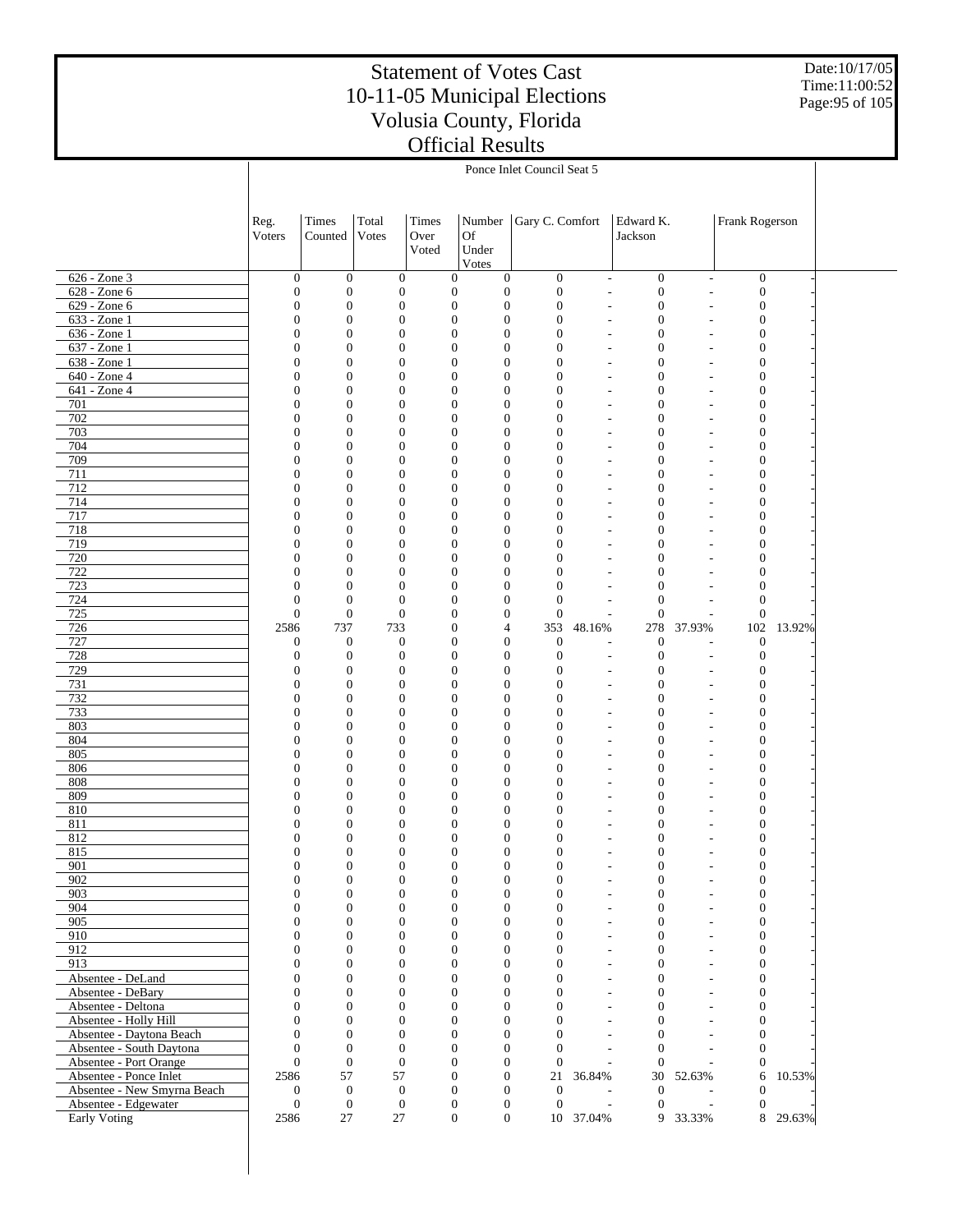Date:10/17/05 Time:11:00:52 Page:95 of 105

|                                                  | Ponce Inlet Council Seat 5           |                                      |                                      |               |                                                                              |                                      |                                                      |                                      |                                                      |                                      |        |  |
|--------------------------------------------------|--------------------------------------|--------------------------------------|--------------------------------------|---------------|------------------------------------------------------------------------------|--------------------------------------|------------------------------------------------------|--------------------------------------|------------------------------------------------------|--------------------------------------|--------|--|
|                                                  |                                      |                                      |                                      |               |                                                                              |                                      |                                                      |                                      |                                                      |                                      |        |  |
|                                                  |                                      |                                      |                                      |               |                                                                              |                                      |                                                      |                                      |                                                      |                                      |        |  |
|                                                  | Reg.<br>Voters                       | Times<br>Counted                     | Total<br>Votes                       | Times<br>Over | Number<br>Of                                                                 | Gary C. Comfort                      |                                                      | Edward K.<br>Jackson                 |                                                      | Frank Rogerson                       |        |  |
|                                                  |                                      |                                      |                                      | Voted         | Under                                                                        |                                      |                                                      |                                      |                                                      |                                      |        |  |
|                                                  |                                      |                                      |                                      |               | Votes                                                                        |                                      |                                                      |                                      |                                                      |                                      |        |  |
| 626 - Zone 3<br>628 - Zone 6                     | $\boldsymbol{0}$<br>$\boldsymbol{0}$ | $\boldsymbol{0}$<br>$\boldsymbol{0}$ | $\boldsymbol{0}$<br>$\boldsymbol{0}$ |               | $\boldsymbol{0}$<br>$\boldsymbol{0}$<br>$\boldsymbol{0}$<br>$\boldsymbol{0}$ | $\mathbf{0}$<br>$\boldsymbol{0}$     | $\overline{\phantom{m}}$<br>$\overline{a}$           | $\boldsymbol{0}$<br>$\boldsymbol{0}$ | $\overline{\phantom{a}}$<br>$\overline{\phantom{a}}$ | $\boldsymbol{0}$<br>$\boldsymbol{0}$ |        |  |
| 629 - Zone 6                                     | $\boldsymbol{0}$                     | $\boldsymbol{0}$                     | $\boldsymbol{0}$                     |               | $\mathbf{0}$<br>$\mathbf{0}$                                                 | $\mathbf{0}$                         | $\overline{a}$                                       | $\mathbf{0}$                         |                                                      | $\boldsymbol{0}$                     |        |  |
| 633 - Zone 1                                     | $\boldsymbol{0}$                     | $\boldsymbol{0}$                     | $\mathbf{0}$                         |               | $\mathbf{0}$<br>$\mathbf{0}$                                                 | $\boldsymbol{0}$                     | $\overline{a}$                                       | $\mathbf{0}$                         |                                                      | $\boldsymbol{0}$                     |        |  |
| 636 - Zone 1                                     | $\boldsymbol{0}$                     | $\boldsymbol{0}$                     | $\mathbf{0}$                         |               | $\mathbf{0}$<br>$\mathbf{0}$                                                 | $\boldsymbol{0}$                     | $\overline{\phantom{a}}$                             | $\mathbf{0}$                         |                                                      | $\boldsymbol{0}$                     |        |  |
| 637 - Zone 1<br>638 - Zone 1                     | $\boldsymbol{0}$<br>$\boldsymbol{0}$ | $\boldsymbol{0}$<br>$\boldsymbol{0}$ | $\mathbf{0}$<br>$\boldsymbol{0}$     |               | $\boldsymbol{0}$<br>$\mathbf{0}$<br>$\mathbf{0}$<br>$\mathbf{0}$             | $\boldsymbol{0}$<br>$\boldsymbol{0}$ | $\overline{a}$<br>$\overline{\phantom{a}}$           | $\mathbf{0}$<br>$\mathbf{0}$         |                                                      | $\boldsymbol{0}$<br>$\boldsymbol{0}$ |        |  |
| 640 - Zone 4                                     | $\boldsymbol{0}$                     | $\boldsymbol{0}$                     | $\boldsymbol{0}$                     |               | $\boldsymbol{0}$<br>$\mathbf{0}$                                             | $\boldsymbol{0}$                     | L,                                                   | $\mathbf{0}$                         |                                                      | $\boldsymbol{0}$                     |        |  |
| 641 - Zone 4                                     | $\boldsymbol{0}$                     | $\boldsymbol{0}$                     | $\boldsymbol{0}$                     |               | $\mathbf{0}$<br>$\mathbf{0}$                                                 | $\boldsymbol{0}$                     | $\overline{\phantom{a}}$                             | $\mathbf{0}$                         |                                                      | $\boldsymbol{0}$                     |        |  |
| 701                                              | $\boldsymbol{0}$                     | $\boldsymbol{0}$                     | $\mathbf{0}$                         |               | $\boldsymbol{0}$<br>$\mathbf{0}$                                             | $\boldsymbol{0}$                     | ÷,                                                   | $\mathbf{0}$                         |                                                      | $\boldsymbol{0}$                     |        |  |
| 702<br>703                                       | $\boldsymbol{0}$<br>$\boldsymbol{0}$ | $\boldsymbol{0}$<br>$\boldsymbol{0}$ | $\boldsymbol{0}$<br>$\mathbf{0}$     |               | $\mathbf{0}$<br>$\mathbf{0}$<br>$\boldsymbol{0}$<br>$\mathbf{0}$             | $\boldsymbol{0}$<br>$\boldsymbol{0}$ | $\overline{a}$<br>$\overline{a}$                     | $\mathbf{0}$<br>$\mathbf{0}$         |                                                      | $\boldsymbol{0}$<br>$\boldsymbol{0}$ |        |  |
| 704                                              | $\boldsymbol{0}$                     | $\boldsymbol{0}$                     | $\boldsymbol{0}$                     |               | $\mathbf{0}$<br>$\mathbf{0}$                                                 | $\boldsymbol{0}$                     | $\overline{\phantom{a}}$                             | $\mathbf{0}$                         |                                                      | $\boldsymbol{0}$                     |        |  |
| 709                                              | $\boldsymbol{0}$                     | $\boldsymbol{0}$                     | $\mathbf{0}$                         |               | $\boldsymbol{0}$<br>$\mathbf{0}$                                             | $\boldsymbol{0}$                     | L,                                                   | $\mathbf{0}$                         |                                                      | $\boldsymbol{0}$                     |        |  |
| 711                                              | $\boldsymbol{0}$                     | $\boldsymbol{0}$                     | $\boldsymbol{0}$                     |               | $\mathbf{0}$<br>$\mathbf{0}$                                                 | $\boldsymbol{0}$                     | $\overline{\phantom{a}}$                             | $\mathbf{0}$                         |                                                      | $\boldsymbol{0}$                     |        |  |
| 712<br>714                                       | $\boldsymbol{0}$<br>$\boldsymbol{0}$ | $\boldsymbol{0}$<br>$\boldsymbol{0}$ | $\mathbf{0}$<br>$\boldsymbol{0}$     |               | $\boldsymbol{0}$<br>$\mathbf{0}$<br>$\mathbf{0}$<br>$\mathbf{0}$             | $\boldsymbol{0}$<br>$\boldsymbol{0}$ | $\overline{a}$<br>$\overline{\phantom{a}}$           | $\mathbf{0}$<br>$\mathbf{0}$         |                                                      | $\boldsymbol{0}$<br>$\boldsymbol{0}$ |        |  |
| 717                                              | $\boldsymbol{0}$                     | $\boldsymbol{0}$                     | $\mathbf{0}$                         |               | $\boldsymbol{0}$<br>$\mathbf{0}$                                             | $\boldsymbol{0}$                     | L,                                                   | $\mathbf{0}$                         |                                                      | $\boldsymbol{0}$                     |        |  |
| 718                                              | $\boldsymbol{0}$                     | $\boldsymbol{0}$                     | $\boldsymbol{0}$                     |               | $\mathbf{0}$<br>$\mathbf{0}$                                                 | $\boldsymbol{0}$                     | ÷,                                                   | $\mathbf{0}$                         |                                                      | $\boldsymbol{0}$                     |        |  |
| 719                                              | $\boldsymbol{0}$                     | $\boldsymbol{0}$                     | $\mathbf{0}$                         |               | $\boldsymbol{0}$<br>$\mathbf{0}$                                             | $\boldsymbol{0}$                     | ÷,                                                   | $\mathbf{0}$                         |                                                      | $\boldsymbol{0}$                     |        |  |
| 720<br>722                                       | $\boldsymbol{0}$<br>$\boldsymbol{0}$ | $\boldsymbol{0}$<br>$\boldsymbol{0}$ | $\boldsymbol{0}$<br>$\mathbf{0}$     |               | $\mathbf{0}$<br>$\mathbf{0}$<br>$\boldsymbol{0}$<br>$\mathbf{0}$             | $\boldsymbol{0}$<br>$\boldsymbol{0}$ | $\overline{a}$<br>÷,                                 | $\mathbf{0}$<br>$\mathbf{0}$         |                                                      | $\boldsymbol{0}$<br>$\boldsymbol{0}$ |        |  |
| 723                                              | $\boldsymbol{0}$                     | $\boldsymbol{0}$                     | $\boldsymbol{0}$                     |               | $\mathbf{0}$<br>$\mathbf{0}$                                                 | $\boldsymbol{0}$                     | $\overline{\phantom{a}}$                             | $\mathbf{0}$                         |                                                      | $\boldsymbol{0}$                     |        |  |
| 724                                              | $\boldsymbol{0}$                     | $\boldsymbol{0}$                     | $\boldsymbol{0}$                     |               | $\mathbf{0}$<br>$\mathbf{0}$                                                 | $\boldsymbol{0}$                     | $\overline{a}$                                       | $\mathbf{0}$                         |                                                      | $\boldsymbol{0}$                     |        |  |
| 725                                              | $\boldsymbol{0}$                     | $\boldsymbol{0}$                     | $\boldsymbol{0}$                     |               | $\mathbf{0}$<br>$\mathbf{0}$                                                 | $\mathbf{0}$                         | L.                                                   | $\overline{0}$                       |                                                      | $\boldsymbol{0}$                     |        |  |
| 726<br>727                                       | 2586                                 | 737<br>$\boldsymbol{0}$              | 733<br>$\boldsymbol{0}$              |               | $\boldsymbol{0}$<br>4<br>$\boldsymbol{0}$<br>$\boldsymbol{0}$                | 353<br>$\boldsymbol{0}$              | 48.16%<br>÷,                                         | 278<br>$\boldsymbol{0}$              | 37.93%                                               | 102<br>$\boldsymbol{0}$              | 13.92% |  |
| 728                                              | $\boldsymbol{0}$<br>$\boldsymbol{0}$ | $\boldsymbol{0}$                     | $\boldsymbol{0}$                     |               | $\mathbf{0}$<br>$\mathbf{0}$                                                 | $\mathbf{0}$                         | L.                                                   | $\mathbf{0}$                         | $\overline{a}$                                       | $\boldsymbol{0}$                     |        |  |
| 729                                              | $\boldsymbol{0}$                     | $\boldsymbol{0}$                     | $\boldsymbol{0}$                     |               | $\mathbf{0}$<br>$\mathbf{0}$                                                 | $\mathbf{0}$                         | $\overline{a}$                                       | $\mathbf{0}$                         |                                                      | $\boldsymbol{0}$                     |        |  |
| 731                                              | $\boldsymbol{0}$                     | $\boldsymbol{0}$                     | $\mathbf{0}$                         |               | $\boldsymbol{0}$<br>$\mathbf{0}$                                             | $\boldsymbol{0}$                     | $\overline{a}$                                       | $\mathbf{0}$                         |                                                      | $\boldsymbol{0}$                     |        |  |
| 732<br>733                                       | $\boldsymbol{0}$<br>$\boldsymbol{0}$ | $\boldsymbol{0}$<br>$\boldsymbol{0}$ | $\boldsymbol{0}$<br>$\mathbf{0}$     |               | $\mathbf{0}$<br>$\mathbf{0}$<br>$\boldsymbol{0}$<br>$\mathbf{0}$             | $\boldsymbol{0}$<br>$\boldsymbol{0}$ | $\overline{\phantom{a}}$                             | $\mathbf{0}$<br>$\mathbf{0}$         |                                                      | $\boldsymbol{0}$<br>$\boldsymbol{0}$ |        |  |
| 803                                              | $\boldsymbol{0}$                     | $\boldsymbol{0}$                     | $\boldsymbol{0}$                     |               | $\mathbf{0}$<br>$\mathbf{0}$                                                 | $\boldsymbol{0}$                     | $\overline{a}$<br>$\overline{\phantom{a}}$           | $\mathbf{0}$                         |                                                      | $\boldsymbol{0}$                     |        |  |
| 804                                              | $\boldsymbol{0}$                     | $\boldsymbol{0}$                     | $\mathbf{0}$                         |               | $\boldsymbol{0}$<br>$\mathbf{0}$                                             | $\boldsymbol{0}$                     | $\overline{a}$                                       | $\mathbf{0}$                         |                                                      | $\boldsymbol{0}$                     |        |  |
| 805                                              | $\boldsymbol{0}$                     | $\boldsymbol{0}$                     | $\boldsymbol{0}$                     |               | $\mathbf{0}$<br>$\mathbf{0}$                                                 | $\boldsymbol{0}$                     | $\overline{\phantom{a}}$                             | $\mathbf{0}$                         |                                                      | $\boldsymbol{0}$                     |        |  |
| 806                                              | $\boldsymbol{0}$                     | $\boldsymbol{0}$<br>$\boldsymbol{0}$ | $\mathbf{0}$                         |               | $\boldsymbol{0}$<br>$\mathbf{0}$<br>$\mathbf{0}$                             | $\boldsymbol{0}$                     | $\overline{a}$                                       | $\mathbf{0}$<br>$\mathbf{0}$         |                                                      | $\boldsymbol{0}$                     |        |  |
| 808<br>809                                       | $\boldsymbol{0}$<br>$\boldsymbol{0}$ | $\boldsymbol{0}$                     | $\boldsymbol{0}$<br>$\boldsymbol{0}$ |               | $\mathbf{0}$<br>$\boldsymbol{0}$<br>$\mathbf{0}$                             | $\boldsymbol{0}$<br>$\boldsymbol{0}$ | $\overline{\phantom{a}}$<br>L,                       | $\mathbf{0}$                         |                                                      | $\boldsymbol{0}$<br>$\boldsymbol{0}$ |        |  |
| 810                                              | $\boldsymbol{0}$                     | $\boldsymbol{0}$                     | $\boldsymbol{0}$                     |               | $\mathbf{0}$<br>$\mathbf{0}$                                                 | $\boldsymbol{0}$                     | $\overline{\phantom{a}}$                             | $\mathbf{0}$                         |                                                      | $\boldsymbol{0}$                     |        |  |
| 811                                              | $\boldsymbol{0}$                     | $\boldsymbol{0}$                     | $\mathbf{0}$                         |               | $\mathbf{0}$<br>$\mathbf{0}$                                                 | $\boldsymbol{0}$                     | ÷,                                                   | $\mathbf{0}$                         |                                                      | $\boldsymbol{0}$                     |        |  |
| 812                                              | $\boldsymbol{0}$                     | $\boldsymbol{0}$                     | $\mathbf{0}$                         |               | $\mathbf{0}$<br>$\mathbf{0}$                                                 | $\boldsymbol{0}$                     | $\overline{a}$                                       | $\mathbf{0}$                         |                                                      | $\boldsymbol{0}$                     |        |  |
| 815<br>901                                       | $\boldsymbol{0}$<br>$\boldsymbol{0}$ | $\boldsymbol{0}$<br>$\bf{0}$         | $\overline{0}$<br>0                  |               | $\boldsymbol{0}$<br>$\mathbf{0}$<br>$\bf{0}$<br>$\bf{0}$                     | $\boldsymbol{0}$<br>$\boldsymbol{0}$ | $\overline{a}$                                       | $\mathbf{0}$<br>$\bf{0}$             | $\overline{\phantom{a}}$                             | $\boldsymbol{0}$<br>$\bf{0}$         |        |  |
| 902                                              | $\boldsymbol{0}$                     | $\boldsymbol{0}$                     | $\boldsymbol{0}$                     |               | $\boldsymbol{0}$<br>$\mathbf{0}$                                             | $\boldsymbol{0}$                     | $\overline{a}$                                       | $\mathbf{0}$                         |                                                      | $\boldsymbol{0}$                     |        |  |
| 903                                              | $\boldsymbol{0}$                     | $\boldsymbol{0}$                     | $\boldsymbol{0}$                     |               | $\boldsymbol{0}$<br>$\boldsymbol{0}$                                         | $\boldsymbol{0}$                     | $\overline{a}$                                       | $\boldsymbol{0}$                     |                                                      | $\boldsymbol{0}$                     |        |  |
| 904                                              | $\boldsymbol{0}$                     | $\boldsymbol{0}$                     | $\boldsymbol{0}$                     |               | $\boldsymbol{0}$<br>$\mathbf{0}$                                             | $\boldsymbol{0}$<br>$\overline{0}$   | L.                                                   | $\mathbf{0}$                         |                                                      | $\boldsymbol{0}$                     |        |  |
| 905<br>910                                       | $\boldsymbol{0}$<br>$\boldsymbol{0}$ | $\boldsymbol{0}$<br>$\boldsymbol{0}$ | $\boldsymbol{0}$<br>$\boldsymbol{0}$ |               | $\boldsymbol{0}$<br>$\boldsymbol{0}$<br>$\boldsymbol{0}$<br>$\mathbf{0}$     | $\boldsymbol{0}$                     | $\overline{a}$<br>$\overline{a}$                     | $\boldsymbol{0}$<br>$\mathbf{0}$     |                                                      | $\boldsymbol{0}$<br>$\boldsymbol{0}$ |        |  |
| 912                                              | $\boldsymbol{0}$                     | $\boldsymbol{0}$                     | $\boldsymbol{0}$                     |               | $\mathbf{0}$<br>$\boldsymbol{0}$                                             | $\mathbf{0}$                         | $\overline{\phantom{a}}$                             | $\mathbf{0}$                         |                                                      | $\boldsymbol{0}$                     |        |  |
| 913                                              | $\boldsymbol{0}$                     | $\boldsymbol{0}$                     | $\boldsymbol{0}$                     |               | $\boldsymbol{0}$<br>$\mathbf{0}$                                             | $\boldsymbol{0}$                     | $\overline{\phantom{a}}$                             | $\mathbf{0}$                         |                                                      | $\boldsymbol{0}$                     |        |  |
| Absentee - DeLand                                | $\mathbf{0}$                         | $\boldsymbol{0}$                     | $\boldsymbol{0}$                     |               | $\mathbf{0}$<br>$\boldsymbol{0}$                                             | $\overline{0}$                       | $\overline{\phantom{a}}$                             | $\boldsymbol{0}$                     |                                                      | $\boldsymbol{0}$                     |        |  |
| Absentee - DeBary<br>Absentee - Deltona          | $\boldsymbol{0}$<br>$\boldsymbol{0}$ | $\boldsymbol{0}$<br>$\boldsymbol{0}$ | $\boldsymbol{0}$<br>$\boldsymbol{0}$ |               | $\boldsymbol{0}$<br>$\mathbf{0}$<br>$\boldsymbol{0}$<br>$\boldsymbol{0}$     | $\boldsymbol{0}$<br>$\mathbf{0}$     | $\overline{\phantom{a}}$<br>$\overline{\phantom{a}}$ | $\mathbf{0}$<br>$\boldsymbol{0}$     |                                                      | $\boldsymbol{0}$<br>$\boldsymbol{0}$ |        |  |
| Absentee - Holly Hill                            | $\boldsymbol{0}$                     | $\boldsymbol{0}$                     | $\boldsymbol{0}$                     |               | $\boldsymbol{0}$<br>$\mathbf{0}$                                             | $\boldsymbol{0}$                     | $\overline{\phantom{a}}$                             | $\mathbf{0}$                         |                                                      | $\boldsymbol{0}$                     |        |  |
| Absentee - Daytona Beach                         | $\mathbf{0}$                         | $\boldsymbol{0}$                     | $\boldsymbol{0}$                     |               | $\boldsymbol{0}$<br>$\boldsymbol{0}$                                         | $\overline{0}$                       | ÷,                                                   | $\overline{0}$                       |                                                      | $\boldsymbol{0}$                     |        |  |
| Absentee - South Daytona                         | $\boldsymbol{0}$                     | $\boldsymbol{0}$                     | $\boldsymbol{0}$                     |               | $\boldsymbol{0}$<br>$\boldsymbol{0}$                                         | $\boldsymbol{0}$                     | L.                                                   | $\overline{0}$                       |                                                      | $\mathbf{0}$                         |        |  |
| Absentee - Port Orange<br>Absentee - Ponce Inlet | $\mathbf{0}$<br>2586                 | $\boldsymbol{0}$<br>57               | $\boldsymbol{0}$<br>57               |               | $\boldsymbol{0}$<br>$\boldsymbol{0}$<br>$\boldsymbol{0}$<br>$\boldsymbol{0}$ | $\mathbf{0}$<br>21                   | $\overline{\phantom{a}}$<br>36.84%                   | $\overline{0}$<br>30                 | 52.63%                                               | $\mathbf{0}$<br>6                    | 10.53% |  |
| Absentee - New Smyrna Beach                      | $\boldsymbol{0}$                     | $\boldsymbol{0}$                     | $\mathbf{0}$                         |               | $\boldsymbol{0}$<br>$\boldsymbol{0}$                                         | $\mathbf{0}$                         | $\overline{\phantom{a}}$                             | $\boldsymbol{0}$                     |                                                      | $\mathbf{0}$                         |        |  |
| Absentee - Edgewater                             | $\boldsymbol{0}$                     | $\boldsymbol{0}$                     | $\boldsymbol{0}$                     |               | $\boldsymbol{0}$<br>$\boldsymbol{0}$                                         | $\boldsymbol{0}$                     | $\overline{\phantom{a}}$                             | $\mathbf{0}$                         | L,                                                   | $\boldsymbol{0}$                     |        |  |
| Early Voting                                     | 2586                                 | 27                                   | 27                                   |               | $\overline{0}$<br>$\boldsymbol{0}$                                           |                                      | 10 37.04%                                            |                                      | 9 33.33%                                             | 8                                    | 29.63% |  |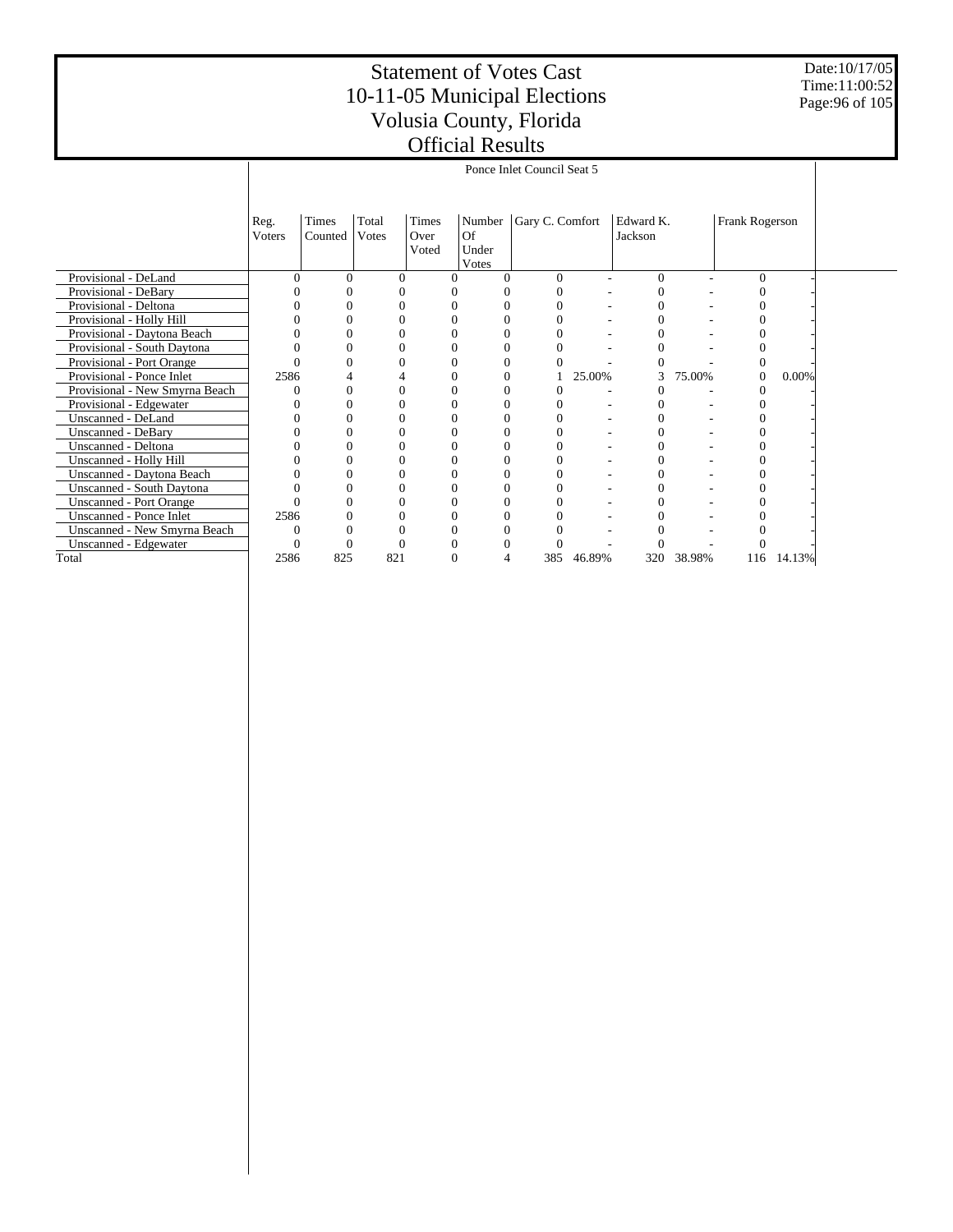Date:10/17/05 Time:11:00:52 Page:96 of 105

|                                  |                | Ponce Inlet Council Seat 5 |                |                        |                                |                      |        |                      |        |                |        |  |  |  |
|----------------------------------|----------------|----------------------------|----------------|------------------------|--------------------------------|----------------------|--------|----------------------|--------|----------------|--------|--|--|--|
|                                  | Reg.<br>Voters | Times<br>Counted           | Total<br>Votes | Times<br>Over<br>Voted | Number<br>Of<br>Under<br>Votes | Gary C. Comfort      |        | Edward K.<br>Jackson |        | Frank Rogerson |        |  |  |  |
| Provisional - DeLand             |                | $\Omega$                   | $\Omega$       | 0                      |                                | $\Omega$<br>$\theta$ |        | $\Omega$             |        | $\Omega$       |        |  |  |  |
| Provisional - DeBary             |                | O                          |                |                        |                                |                      |        | 0                    |        |                |        |  |  |  |
| Provisional - Deltona            |                |                            |                |                        |                                |                      |        | 0                    |        |                |        |  |  |  |
| Provisional - Holly Hill         |                |                            |                |                        |                                |                      |        |                      |        |                |        |  |  |  |
| Provisional - Daytona Beach      |                |                            |                |                        |                                |                      |        |                      |        |                |        |  |  |  |
| Provisional - South Daytona      |                |                            |                |                        |                                |                      |        |                      |        |                |        |  |  |  |
| Provisional - Port Orange        |                | $\Omega$                   | 0              |                        | $\Omega$                       |                      |        |                      |        |                |        |  |  |  |
| Provisional - Ponce Inlet        | 2586           |                            |                |                        | $\Omega$                       |                      | 25.00% | 3                    | 75.00% | 0              | 0.00%  |  |  |  |
| Provisional - New Smyrna Beach   |                |                            |                |                        |                                |                      |        |                      |        |                |        |  |  |  |
| Provisional - Edgewater          |                | 0                          | 0              |                        | $\Omega$                       |                      |        |                      |        |                |        |  |  |  |
| Unscanned - DeLand               |                | O                          |                |                        |                                | 0                    |        |                      |        |                |        |  |  |  |
| <b>Unscanned - DeBary</b>        |                | $\Omega$                   | 0              |                        |                                | 0                    |        | 0                    |        |                |        |  |  |  |
| Unscanned - Deltona              |                |                            |                |                        |                                |                      |        | 0                    |        |                |        |  |  |  |
| Unscanned - Holly Hill           |                |                            |                |                        |                                |                      |        | 0                    |        |                |        |  |  |  |
| Unscanned - Daytona Beach        |                |                            |                |                        |                                |                      |        |                      |        |                |        |  |  |  |
| <b>Unscanned - South Daytona</b> |                |                            |                |                        |                                |                      |        | 0                    |        |                |        |  |  |  |
| <b>Unscanned - Port Orange</b>   |                | $\Omega$                   | 0              |                        | $\Omega$                       |                      |        | 0                    |        |                |        |  |  |  |
| <b>Unscanned - Ponce Inlet</b>   | 2586           |                            |                |                        |                                |                      |        |                      |        |                |        |  |  |  |
| Unscanned - New Smyrna Beach     |                |                            |                |                        |                                |                      |        |                      |        |                |        |  |  |  |
| Unscanned - Edgewater            |                |                            |                |                        |                                |                      |        |                      |        |                |        |  |  |  |
| Total                            | 2586           | 825                        | 821            |                        | 4                              | 385                  | 46.89% | 320                  | 38.98% | 116            | 14.13% |  |  |  |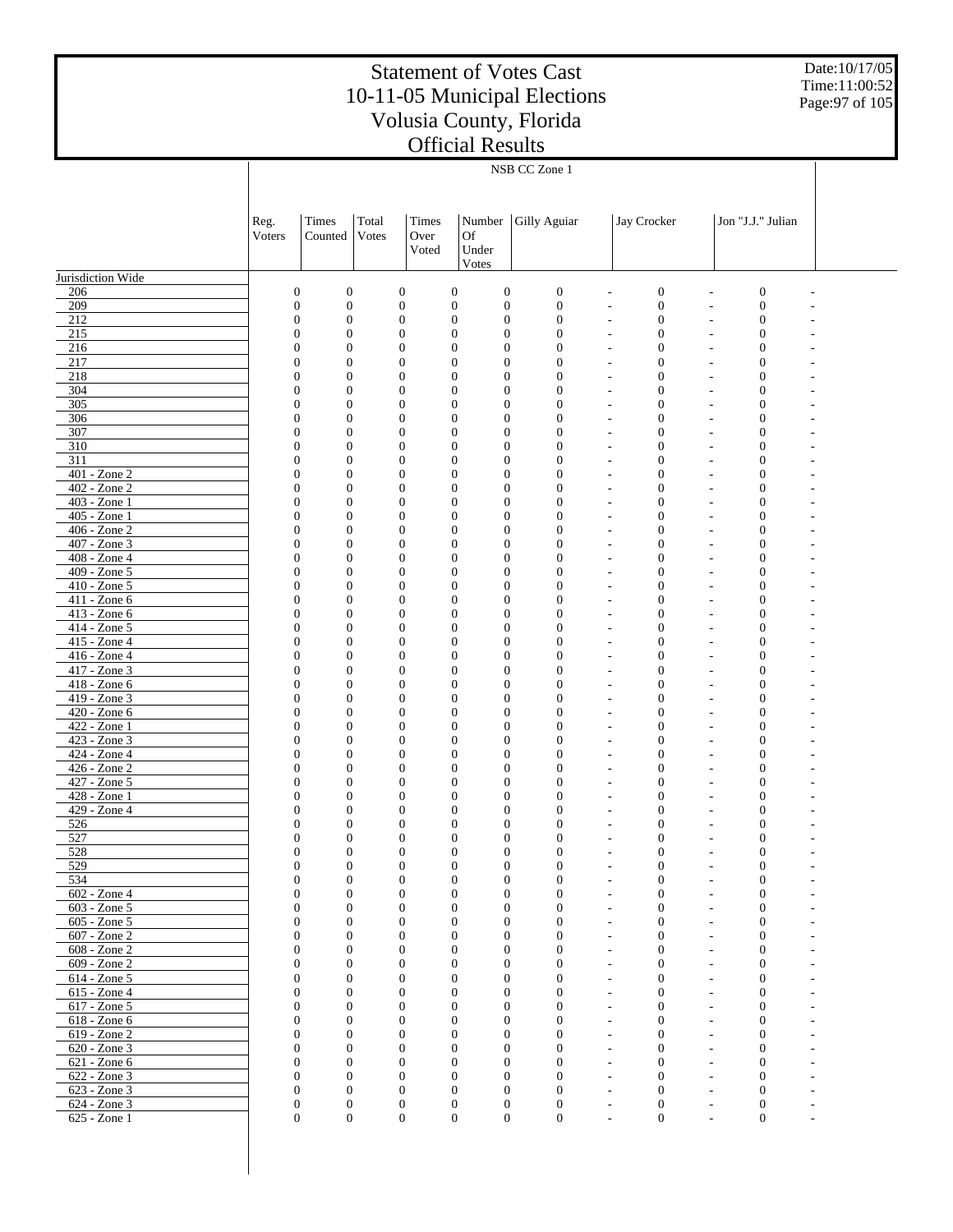Date:10/17/05 Time:11:00:52 Page:97 of 105

|                              | NSB CC Zone 1                    |                                      |                                  |                  |                                                              |                                      |                                                                          |                                        |  |  |  |
|------------------------------|----------------------------------|--------------------------------------|----------------------------------|------------------|--------------------------------------------------------------|--------------------------------------|--------------------------------------------------------------------------|----------------------------------------|--|--|--|
|                              |                                  |                                      |                                  |                  |                                                              |                                      |                                                                          |                                        |  |  |  |
|                              |                                  |                                      |                                  |                  |                                                              |                                      |                                                                          |                                        |  |  |  |
|                              | Reg.                             | Times                                | Total                            | Times            | Number                                                       | <b>Gilly Aguiar</b>                  | Jay Crocker                                                              | Jon "J.J." Julian                      |  |  |  |
|                              | Voters                           | Counted                              | Votes                            | Over             | Of                                                           |                                      |                                                                          |                                        |  |  |  |
|                              |                                  |                                      |                                  | Voted            | Under<br>Votes                                               |                                      |                                                                          |                                        |  |  |  |
| Jurisdiction Wide            |                                  |                                      |                                  |                  |                                                              |                                      |                                                                          |                                        |  |  |  |
| 206                          | $\boldsymbol{0}$                 | $\boldsymbol{0}$                     | $\boldsymbol{0}$                 | $\boldsymbol{0}$ | $\mathbf{0}$                                                 | $\boldsymbol{0}$                     | $\boldsymbol{0}$<br>$\overline{a}$                                       | $\boldsymbol{0}$<br>L,                 |  |  |  |
| 209                          | $\boldsymbol{0}$                 | $\boldsymbol{0}$                     | $\boldsymbol{0}$                 | $\boldsymbol{0}$ | $\mathbf{0}$                                                 | $\boldsymbol{0}$                     | $\boldsymbol{0}$<br>L,                                                   | $\boldsymbol{0}$                       |  |  |  |
| 212                          | $\overline{0}$                   | $\mathbf{0}$                         | $\boldsymbol{0}$                 |                  | $\mathbf{0}$<br>$\theta$                                     | $\boldsymbol{0}$                     | $\boldsymbol{0}$<br>$\overline{a}$                                       | $\boldsymbol{0}$<br>L,                 |  |  |  |
| 215<br>216                   | $\mathbf{0}$<br>$\overline{0}$   | $\boldsymbol{0}$<br>$\boldsymbol{0}$ | $\mathbf{0}$<br>$\mathbf{0}$     |                  | $\mathbf{0}$<br>$\theta$<br>$\mathbf{0}$<br>$\theta$         | $\boldsymbol{0}$<br>$\mathbf{0}$     | $\boldsymbol{0}$<br>$\overline{a}$<br>$\boldsymbol{0}$<br>$\overline{a}$ | $\boldsymbol{0}$<br>$\boldsymbol{0}$   |  |  |  |
| 217                          | $\mathbf{0}$                     | $\boldsymbol{0}$                     | $\mathbf{0}$                     |                  | $\mathbf{0}$<br>$\theta$                                     | $\mathbf{0}$                         | $\boldsymbol{0}$<br>÷,                                                   | $\mathbf{0}$                           |  |  |  |
| 218                          | $\overline{0}$                   | $\boldsymbol{0}$                     | $\mathbf{0}$                     |                  | $\mathbf{0}$<br>$\theta$                                     | $\mathbf{0}$                         | $\boldsymbol{0}$<br>$\overline{a}$                                       | $\mathbf{0}$<br>L,                     |  |  |  |
| 304                          | $\mathbf{0}$                     | $\boldsymbol{0}$                     | $\mathbf{0}$                     |                  | $\mathbf{0}$<br>$\theta$                                     | $\mathbf{0}$                         | $\boldsymbol{0}$<br>$\overline{\phantom{a}}$                             | $\boldsymbol{0}$<br>L,                 |  |  |  |
| 305                          | $\overline{0}$                   | $\boldsymbol{0}$                     | $\mathbf{0}$                     |                  | $\mathbf{0}$<br>$\theta$                                     | $\mathbf{0}$                         | $\boldsymbol{0}$<br>$\overline{a}$                                       | $\boldsymbol{0}$<br>L,                 |  |  |  |
| 306<br>307                   | $\mathbf{0}$<br>$\overline{0}$   | $\boldsymbol{0}$<br>$\boldsymbol{0}$ | $\mathbf{0}$<br>$\mathbf{0}$     |                  | $\mathbf{0}$<br>$\theta$<br>$\mathbf{0}$<br>$\theta$         | $\mathbf{0}$<br>$\mathbf{0}$         | $\boldsymbol{0}$<br>٠<br>$\boldsymbol{0}$<br>$\overline{a}$              | $\mathbf{0}$<br>$\boldsymbol{0}$<br>L, |  |  |  |
| 310                          | $\mathbf{0}$                     | $\boldsymbol{0}$                     | $\mathbf{0}$                     |                  | $\mathbf{0}$<br>$\theta$                                     | $\mathbf{0}$                         | $\boldsymbol{0}$<br>L,                                                   | $\boldsymbol{0}$                       |  |  |  |
| 311                          | $\overline{0}$                   | $\boldsymbol{0}$                     | $\mathbf{0}$                     |                  | $\mathbf{0}$<br>$\theta$                                     | $\mathbf{0}$                         | $\boldsymbol{0}$<br>÷,                                                   | $\boldsymbol{0}$<br>L,                 |  |  |  |
| $401 - Z$ one $2$            | $\mathbf{0}$                     | $\boldsymbol{0}$                     | $\mathbf{0}$                     |                  | $\mathbf{0}$<br>$\theta$                                     | $\mathbf{0}$                         | $\boldsymbol{0}$<br>L,                                                   | $\boldsymbol{0}$                       |  |  |  |
| 402 - Zone 2                 | $\overline{0}$                   | $\boldsymbol{0}$                     | $\mathbf{0}$                     |                  | $\mathbf{0}$<br>$\theta$                                     | $\mathbf{0}$                         | $\boldsymbol{0}$<br>$\overline{a}$                                       | $\boldsymbol{0}$                       |  |  |  |
| 403 - Zone 1                 | $\mathbf{0}$<br>$\overline{0}$   | $\boldsymbol{0}$                     | $\mathbf{0}$<br>$\mathbf{0}$     |                  | $\mathbf{0}$<br>$\theta$<br>$\theta$                         | $\mathbf{0}$<br>$\mathbf{0}$         | $\boldsymbol{0}$<br>$\overline{a}$                                       | $\boldsymbol{0}$                       |  |  |  |
| 405 - Zone 1<br>406 - Zone 2 | $\mathbf{0}$                     | $\boldsymbol{0}$<br>$\boldsymbol{0}$ | $\mathbf{0}$                     |                  | $\mathbf{0}$<br>$\mathbf{0}$<br>$\theta$                     | $\mathbf{0}$                         | $\boldsymbol{0}$<br>$\overline{a}$<br>$\boldsymbol{0}$                   | $\boldsymbol{0}$<br>$\boldsymbol{0}$   |  |  |  |
| 407 - Zone 3                 | $\overline{0}$                   | $\boldsymbol{0}$                     | $\mathbf{0}$                     |                  | $\mathbf{0}$<br>$\theta$                                     | $\mathbf{0}$                         | $\boldsymbol{0}$<br>$\overline{a}$                                       | $\boldsymbol{0}$                       |  |  |  |
| 408 - Zone 4                 | $\mathbf{0}$                     | $\boldsymbol{0}$                     | $\mathbf{0}$                     |                  | $\mathbf{0}$<br>$\theta$                                     | $\mathbf{0}$                         | $\boldsymbol{0}$                                                         | $\boldsymbol{0}$                       |  |  |  |
| 409 - Zone 5                 | $\overline{0}$                   | $\boldsymbol{0}$                     | $\mathbf{0}$                     |                  | $\mathbf{0}$<br>$\theta$                                     | $\mathbf{0}$                         | $\boldsymbol{0}$<br>$\overline{a}$                                       | $\boldsymbol{0}$                       |  |  |  |
| 410 - Zone 5                 | $\mathbf{0}$                     | $\boldsymbol{0}$                     | $\mathbf{0}$                     |                  | $\mathbf{0}$<br>$\theta$                                     | $\mathbf{0}$                         | $\boldsymbol{0}$                                                         | $\boldsymbol{0}$                       |  |  |  |
| 411 - Zone 6<br>413 - Zone 6 | $\overline{0}$<br>$\mathbf{0}$   | $\boldsymbol{0}$<br>$\boldsymbol{0}$ | $\mathbf{0}$<br>$\mathbf{0}$     |                  | $\mathbf{0}$<br>$\theta$<br>$\mathbf{0}$<br>$\theta$         | $\mathbf{0}$<br>$\mathbf{0}$         | $\boldsymbol{0}$<br>$\overline{a}$<br>$\boldsymbol{0}$                   | $\boldsymbol{0}$<br>$\boldsymbol{0}$   |  |  |  |
| 414 - Zone 5                 | $\overline{0}$                   | $\boldsymbol{0}$                     | $\mathbf{0}$                     |                  | $\mathbf{0}$<br>$\theta$                                     | $\mathbf{0}$                         | $\boldsymbol{0}$                                                         | $\boldsymbol{0}$                       |  |  |  |
| 415 - Zone 4                 | $\mathbf{0}$                     | $\boldsymbol{0}$                     | $\mathbf{0}$                     |                  | $\mathbf{0}$<br>$\theta$                                     | $\mathbf{0}$                         | $\boldsymbol{0}$                                                         | $\boldsymbol{0}$                       |  |  |  |
| 416 - Zone 4                 | $\overline{0}$                   | $\mathbf{0}$                         | $\mathbf{0}$                     |                  | $\mathbf{0}$<br>$\theta$                                     | $\mathbf{0}$                         | $\boldsymbol{0}$                                                         | $\boldsymbol{0}$                       |  |  |  |
| 417 - Zone 3                 | $\mathbf{0}$                     | $\boldsymbol{0}$                     | $\mathbf{0}$                     |                  | $\mathbf{0}$<br>$\theta$                                     | $\mathbf{0}$                         | $\boldsymbol{0}$                                                         | $\boldsymbol{0}$                       |  |  |  |
| 418 - Zone 6                 | $\overline{0}$                   | $\boldsymbol{0}$                     | $\mathbf{0}$                     |                  | $\mathbf{0}$<br>$\theta$                                     | $\mathbf{0}$                         | $\boldsymbol{0}$                                                         | $\boldsymbol{0}$                       |  |  |  |
| 419 - Zone 3<br>420 - Zone 6 | $\mathbf{0}$<br>$\overline{0}$   | $\boldsymbol{0}$<br>$\mathbf{0}$     | $\mathbf{0}$<br>$\mathbf{0}$     |                  | $\mathbf{0}$<br>$\theta$<br>$\mathbf{0}$<br>$\theta$         | $\mathbf{0}$<br>$\mathbf{0}$         | $\boldsymbol{0}$<br>$\boldsymbol{0}$                                     | $\boldsymbol{0}$<br>$\boldsymbol{0}$   |  |  |  |
| 422 - Zone 1                 | $\mathbf{0}$                     | $\boldsymbol{0}$                     | $\mathbf{0}$                     |                  | $\mathbf{0}$<br>$\mathbf{0}$                                 | $\mathbf{0}$                         | $\boldsymbol{0}$                                                         | $\boldsymbol{0}$                       |  |  |  |
| 423 - Zone 3                 | $\overline{0}$                   | $\boldsymbol{0}$                     | $\mathbf{0}$                     |                  | $\mathbf{0}$<br>$\theta$                                     | $\mathbf{0}$                         | $\mathbf{0}$                                                             | $\boldsymbol{0}$                       |  |  |  |
| 424 - Zone 4                 | $\mathbf{0}$                     | $\boldsymbol{0}$                     | $\mathbf{0}$                     |                  | $\mathbf{0}$<br>$\theta$                                     | $\mathbf{0}$                         | $\boldsymbol{0}$                                                         | $\boldsymbol{0}$                       |  |  |  |
| 426 - Zone 2                 | $\overline{0}$                   | $\mathbf{0}$                         | $\mathbf{0}$                     |                  | $\mathbf{0}$<br>$\theta$                                     | $\mathbf{0}$                         | $\boldsymbol{0}$                                                         | $\boldsymbol{0}$                       |  |  |  |
| 427 - Zone 5<br>428 - Zone 1 | $\mathbf{0}$<br>$\overline{0}$   | $\boldsymbol{0}$<br>$\mathbf{0}$     | $\mathbf{0}$<br>$\theta$         |                  | $\mathbf{0}$<br>$\mathbf{0}$<br>$\boldsymbol{0}$<br>$\theta$ | $\mathbf{0}$<br>$\mathbf{0}$         | $\boldsymbol{0}$<br>$\boldsymbol{0}$                                     | $\boldsymbol{0}$<br>$\boldsymbol{0}$   |  |  |  |
| 429 - Zone 4                 | $\mathbf{0}$                     | $\mathbf{0}$                         | $\mathbf{0}$                     |                  | $\mathbf{0}$<br>$\theta$                                     | $\mathbf{0}$                         | $\boldsymbol{0}$                                                         | $\boldsymbol{0}$                       |  |  |  |
| 526                          | $\overline{0}$                   | $\mathbf{0}$                         | $\overline{0}$                   |                  | $\boldsymbol{0}$<br>$\mathbf{0}$                             | $\mathbf{0}$                         | $\boldsymbol{0}$                                                         | $\boldsymbol{0}$                       |  |  |  |
| 527                          | $\mathbf{0}$                     | $\mathbf{0}$                         | $\mathbf{0}$                     |                  | $\mathbf{0}$<br>$\theta$                                     | $\mathbf{0}$                         | $\boldsymbol{0}$                                                         | $\mathbf{0}$                           |  |  |  |
| 528                          | $\theta$                         | $\Omega$                             | $\Omega$                         |                  | $\Omega$<br>$\Omega$                                         | $\Omega$                             | $\Omega$                                                                 | $\Omega$                               |  |  |  |
| 529<br>534                   | $\mathbf{0}$<br>$\boldsymbol{0}$ | $\boldsymbol{0}$<br>$\boldsymbol{0}$ | $\mathbf{0}$<br>$\boldsymbol{0}$ | $\boldsymbol{0}$ | $\mathbf{0}$<br>$\mathbf{0}$<br>$\mathbf{0}$                 | $\boldsymbol{0}$<br>$\boldsymbol{0}$ | $\boldsymbol{0}$<br>$\boldsymbol{0}$                                     | $\boldsymbol{0}$<br>$\boldsymbol{0}$   |  |  |  |
| 602 - Zone 4                 | $\mathbf{0}$                     | $\boldsymbol{0}$                     | $\mathbf{0}$                     | $\mathbf{0}$     | $\mathbf{0}$                                                 | $\boldsymbol{0}$                     | $\mathbf{0}$                                                             | $\boldsymbol{0}$                       |  |  |  |
| 603 - Zone 5                 | $\mathbf{0}$                     | $\mathbf{0}$                         | $\mathbf{0}$                     |                  | $\mathbf{0}$<br>$\theta$                                     | $\mathbf{0}$                         | $\boldsymbol{0}$                                                         | $\boldsymbol{0}$                       |  |  |  |
| 605 - Zone 5                 | $\mathbf{0}$                     | $\boldsymbol{0}$                     | $\boldsymbol{0}$                 |                  | $\mathbf{0}$<br>$\mathbf{0}$                                 | $\mathbf{0}$                         | $\boldsymbol{0}$                                                         | $\boldsymbol{0}$                       |  |  |  |
| 607 - Zone 2                 | $\mathbf{0}$                     | $\boldsymbol{0}$                     | $\mathbf{0}$                     |                  | $\mathbf{0}$<br>$\mathbf{0}$                                 | $\mathbf{0}$                         | $\boldsymbol{0}$                                                         | $\boldsymbol{0}$                       |  |  |  |
| 608 - Zone 2                 | $\mathbf{0}$                     | $\boldsymbol{0}$                     | $\boldsymbol{0}$                 |                  | $\mathbf{0}$<br>$\mathbf{0}$                                 | $\mathbf{0}$                         | $\boldsymbol{0}$                                                         | $\boldsymbol{0}$                       |  |  |  |
| 609 - Zone 2<br>614 - Zone 5 | $\mathbf{0}$<br>$\mathbf{0}$     | $\mathbf{0}$<br>$\boldsymbol{0}$     | $\mathbf{0}$<br>$\boldsymbol{0}$ |                  | $\mathbf{0}$<br>$\theta$<br>$\mathbf{0}$<br>$\mathbf{0}$     | $\mathbf{0}$<br>$\mathbf{0}$         | $\boldsymbol{0}$<br>L,<br>$\boldsymbol{0}$                               | $\boldsymbol{0}$<br>$\boldsymbol{0}$   |  |  |  |
| 615 - Zone 4                 | $\mathbf{0}$                     | $\boldsymbol{0}$                     | $\mathbf{0}$                     |                  | $\mathbf{0}$<br>$\mathbf{0}$                                 | $\mathbf{0}$                         | $\boldsymbol{0}$                                                         | $\boldsymbol{0}$                       |  |  |  |
| 617 - Zone 5                 | $\mathbf{0}$                     | $\boldsymbol{0}$                     | $\boldsymbol{0}$                 |                  | $\mathbf{0}$<br>$\mathbf{0}$                                 | $\mathbf{0}$                         | $\boldsymbol{0}$                                                         | $\boldsymbol{0}$                       |  |  |  |
| 618 - Zone 6                 | $\mathbf{0}$                     | $\mathbf{0}$                         | $\mathbf{0}$                     |                  | $\mathbf{0}$<br>$\theta$                                     | $\mathbf{0}$                         | $\boldsymbol{0}$<br>L,                                                   | $\boldsymbol{0}$                       |  |  |  |
| 619 - Zone 2                 | $\mathbf{0}$                     | $\boldsymbol{0}$                     | $\mathbf{0}$                     |                  | $\mathbf{0}$<br>$\mathbf{0}$                                 | $\mathbf{0}$                         | $\boldsymbol{0}$                                                         | $\boldsymbol{0}$                       |  |  |  |
| 620 - Zone 3                 | $\mathbf{0}$                     | $\mathbf{0}$                         | $\mathbf{0}$                     |                  | $\mathbf{0}$<br>$\theta$                                     | $\mathbf{0}$                         | $\boldsymbol{0}$                                                         | $\boldsymbol{0}$                       |  |  |  |
| 621 - Zone 6<br>622 - Zone 3 | $\mathbf{0}$<br>$\mathbf{0}$     | $\boldsymbol{0}$<br>$\mathbf{0}$     | $\mathbf{0}$<br>$\mathbf{0}$     |                  | $\mathbf{0}$<br>$\mathbf{0}$<br>$\mathbf{0}$<br>$\theta$     | $\mathbf{0}$<br>$\mathbf{0}$         | $\boldsymbol{0}$<br>$\boldsymbol{0}$<br>$\overline{\phantom{a}}$         | $\boldsymbol{0}$<br>$\boldsymbol{0}$   |  |  |  |
| 623 - Zone 3                 | $\mathbf{0}$                     | $\mathbf{0}$                         | $\boldsymbol{0}$                 | $\mathbf{0}$     | $\mathbf{0}$                                                 | $\boldsymbol{0}$                     | $\boldsymbol{0}$<br>L,                                                   | $\boldsymbol{0}$                       |  |  |  |
| 624 - Zone 3                 | $\boldsymbol{0}$                 | $\boldsymbol{0}$                     | $\boldsymbol{0}$                 |                  | $\mathbf{0}$<br>$\boldsymbol{0}$                             | $\boldsymbol{0}$                     | $\boldsymbol{0}$                                                         | $\boldsymbol{0}$                       |  |  |  |
| 625 - Zone 1                 | $\overline{0}$                   | $\boldsymbol{0}$                     | $\mathbf{0}$                     |                  | $\boldsymbol{0}$<br>$\mathbf{0}$                             | $\mathbf{0}$                         | $\boldsymbol{0}$                                                         | $\boldsymbol{0}$                       |  |  |  |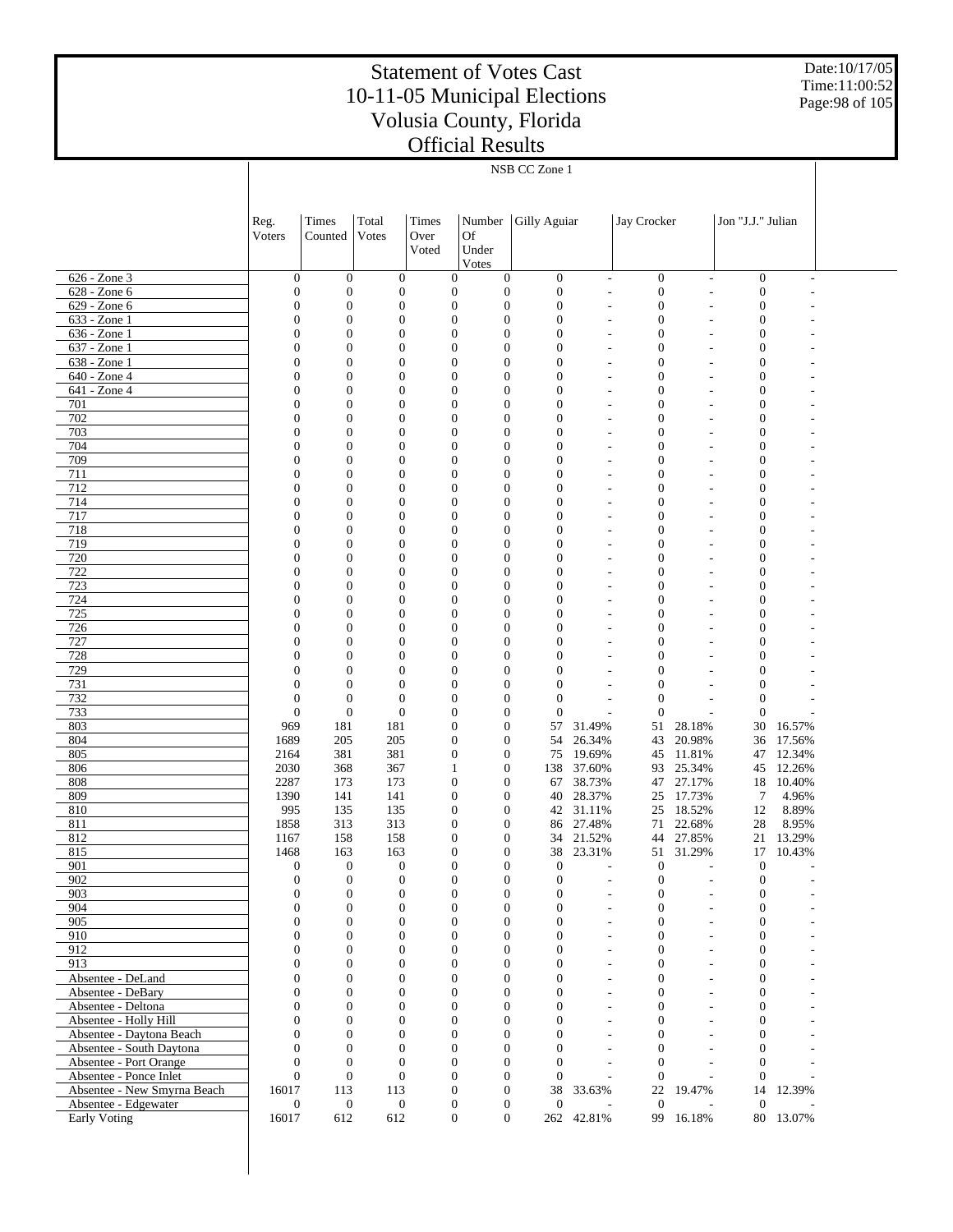Date:10/17/05 Time:11:00:52 Page:98 of 105

|                                                  | NSB CC Zone 1                        |                                      |                              |                                      |                                      |                                      |                                            |                                      |                          |                                      |                |  |
|--------------------------------------------------|--------------------------------------|--------------------------------------|------------------------------|--------------------------------------|--------------------------------------|--------------------------------------|--------------------------------------------|--------------------------------------|--------------------------|--------------------------------------|----------------|--|
|                                                  |                                      |                                      |                              |                                      |                                      |                                      |                                            |                                      |                          |                                      |                |  |
|                                                  |                                      |                                      |                              |                                      |                                      |                                      |                                            |                                      |                          |                                      |                |  |
|                                                  | Reg.                                 | Times                                | Total                        | Times                                | Number                               | Gilly Aguiar                         |                                            | Jay Crocker                          |                          | Jon "J.J." Julian                    |                |  |
|                                                  | Voters                               | Counted                              | Votes                        | Over                                 | <b>Of</b>                            |                                      |                                            |                                      |                          |                                      |                |  |
|                                                  |                                      |                                      |                              | Voted                                | Under                                |                                      |                                            |                                      |                          |                                      |                |  |
|                                                  |                                      |                                      |                              |                                      | Votes                                |                                      |                                            |                                      |                          |                                      |                |  |
| 626 - Zone 3                                     | $\boldsymbol{0}$                     | $\mathbf{0}$                         | $\boldsymbol{0}$             | $\mathbf{0}$                         | $\boldsymbol{0}$                     | $\boldsymbol{0}$                     | $\sim$                                     | $\mathbf{0}$                         | $\sim$                   | $\boldsymbol{0}$                     | ٠              |  |
| 628 - Zone 6                                     | $\mathbf{0}$                         | $\boldsymbol{0}$                     | $\boldsymbol{0}$             | $\boldsymbol{0}$                     | $\mathbf{0}$                         | $\boldsymbol{0}$                     | ÷,                                         | $\boldsymbol{0}$                     | L,                       | $\boldsymbol{0}$                     |                |  |
| 629 - Zone 6                                     | $\boldsymbol{0}$                     | $\mathbf{0}$                         | $\boldsymbol{0}$             | $\boldsymbol{0}$                     | $\boldsymbol{0}$                     | $\boldsymbol{0}$                     | ٠                                          | $\boldsymbol{0}$                     | ٠                        | $\boldsymbol{0}$                     |                |  |
| 633 - Zone 1                                     | $\boldsymbol{0}$                     | $\boldsymbol{0}$                     | $\boldsymbol{0}$             | $\boldsymbol{0}$                     | $\boldsymbol{0}$                     | $\boldsymbol{0}$                     | ٠                                          | $\boldsymbol{0}$                     | ٠                        | $\boldsymbol{0}$                     |                |  |
| 636 - Zone 1<br>637 - Zone 1                     | $\boldsymbol{0}$<br>$\boldsymbol{0}$ | $\boldsymbol{0}$<br>$\boldsymbol{0}$ | $\theta$<br>$\theta$         | $\boldsymbol{0}$<br>$\boldsymbol{0}$ | $\boldsymbol{0}$<br>$\boldsymbol{0}$ | $\mathbf{0}$<br>$\mathbf{0}$         | ٠<br>٠                                     | $\boldsymbol{0}$<br>$\boldsymbol{0}$ | ۰                        | $\boldsymbol{0}$<br>$\boldsymbol{0}$ |                |  |
| 638 - Zone 1                                     | $\boldsymbol{0}$                     | $\mathbf{0}$                         | $\theta$                     | $\boldsymbol{0}$                     | $\boldsymbol{0}$                     | $\mathbf{0}$                         | ٠                                          | $\boldsymbol{0}$                     |                          | $\boldsymbol{0}$                     |                |  |
| 640 - Zone 4                                     | $\boldsymbol{0}$                     | $\boldsymbol{0}$                     | $\theta$                     | $\boldsymbol{0}$                     | $\boldsymbol{0}$                     | $\mathbf{0}$                         | ٠                                          | $\boldsymbol{0}$                     | ٠                        | $\boldsymbol{0}$                     |                |  |
| 641 - Zone 4                                     | $\boldsymbol{0}$                     | $\boldsymbol{0}$                     | $\theta$                     | $\boldsymbol{0}$                     | $\boldsymbol{0}$                     | $\mathbf{0}$                         | ٠                                          | $\boldsymbol{0}$                     |                          | $\boldsymbol{0}$                     |                |  |
| 701                                              | $\mathbf{0}$                         | $\boldsymbol{0}$                     | $\theta$                     | $\boldsymbol{0}$                     | $\boldsymbol{0}$                     | $\mathbf{0}$                         | ٠                                          | $\boldsymbol{0}$                     | ٠                        | $\boldsymbol{0}$                     |                |  |
| 702                                              | $\boldsymbol{0}$                     | $\mathbf{0}$                         | $\theta$                     | $\boldsymbol{0}$                     | $\boldsymbol{0}$                     | $\mathbf{0}$                         | ٠                                          | $\boldsymbol{0}$                     |                          | $\boldsymbol{0}$                     |                |  |
| 703                                              | $\boldsymbol{0}$                     | $\boldsymbol{0}$                     | $\theta$                     | $\boldsymbol{0}$                     | $\boldsymbol{0}$                     | $\mathbf{0}$                         | ٠                                          | $\boldsymbol{0}$                     | ٠                        | $\boldsymbol{0}$                     |                |  |
| 704<br>709                                       | $\boldsymbol{0}$<br>$\boldsymbol{0}$ | $\boldsymbol{0}$<br>$\boldsymbol{0}$ | $\theta$<br>$\theta$         | $\boldsymbol{0}$<br>$\boldsymbol{0}$ | $\boldsymbol{0}$<br>$\boldsymbol{0}$ | $\mathbf{0}$<br>$\mathbf{0}$         | ٠<br>٠                                     | $\boldsymbol{0}$<br>$\boldsymbol{0}$ | ٠                        | $\boldsymbol{0}$<br>$\boldsymbol{0}$ |                |  |
| 711                                              | $\boldsymbol{0}$                     | $\mathbf{0}$                         | $\theta$                     | $\boldsymbol{0}$                     | $\boldsymbol{0}$                     | $\mathbf{0}$                         | ٠                                          | $\boldsymbol{0}$                     |                          | $\boldsymbol{0}$                     |                |  |
| 712                                              | $\boldsymbol{0}$                     | $\boldsymbol{0}$                     | $\theta$                     | $\boldsymbol{0}$                     | $\boldsymbol{0}$                     | $\mathbf{0}$                         | ٠                                          | $\boldsymbol{0}$                     | ٠                        | $\boldsymbol{0}$                     |                |  |
| 714                                              | $\boldsymbol{0}$                     | $\boldsymbol{0}$                     | $\theta$                     | $\boldsymbol{0}$                     | $\boldsymbol{0}$                     | $\mathbf{0}$                         | ٠                                          | $\boldsymbol{0}$                     |                          | $\boldsymbol{0}$                     |                |  |
| 717                                              | $\boldsymbol{0}$                     | $\boldsymbol{0}$                     | $\theta$                     | $\boldsymbol{0}$                     | $\boldsymbol{0}$                     | $\mathbf{0}$                         | ٠                                          | $\boldsymbol{0}$                     | ٠                        | $\boldsymbol{0}$                     |                |  |
| 718                                              | $\boldsymbol{0}$                     | $\mathbf{0}$                         | $\theta$                     | $\boldsymbol{0}$                     | $\boldsymbol{0}$                     | $\mathbf{0}$                         | ٠                                          | $\boldsymbol{0}$                     |                          | $\boldsymbol{0}$                     |                |  |
| 719                                              | $\boldsymbol{0}$                     | $\boldsymbol{0}$                     | $\theta$                     | $\boldsymbol{0}$                     | $\boldsymbol{0}$                     | $\mathbf{0}$                         | ٠                                          | $\boldsymbol{0}$                     | ٠                        | $\boldsymbol{0}$                     |                |  |
| 720                                              | $\boldsymbol{0}$                     | $\mathbf{0}$                         | $\theta$                     | $\boldsymbol{0}$                     | $\boldsymbol{0}$                     | $\mathbf{0}$                         |                                            | $\boldsymbol{0}$                     |                          | $\boldsymbol{0}$                     |                |  |
| 722<br>723                                       | $\boldsymbol{0}$<br>$\boldsymbol{0}$ | $\boldsymbol{0}$<br>$\mathbf{0}$     | $\theta$<br>$\theta$         | $\boldsymbol{0}$<br>$\boldsymbol{0}$ | $\boldsymbol{0}$<br>$\boldsymbol{0}$ | $\mathbf{0}$<br>$\mathbf{0}$         | ٠                                          | $\boldsymbol{0}$<br>$\boldsymbol{0}$ |                          | $\boldsymbol{0}$<br>$\boldsymbol{0}$ |                |  |
| 724                                              | $\boldsymbol{0}$                     | $\boldsymbol{0}$                     | $\theta$                     | $\boldsymbol{0}$                     | $\boldsymbol{0}$                     | $\boldsymbol{0}$                     | ٠                                          | $\boldsymbol{0}$                     | ٠                        | $\boldsymbol{0}$                     |                |  |
| 725                                              | $\boldsymbol{0}$                     | $\mathbf{0}$                         | $\theta$                     | $\boldsymbol{0}$                     | $\boldsymbol{0}$                     | $\mathbf{0}$                         |                                            | $\boldsymbol{0}$                     |                          | $\boldsymbol{0}$                     |                |  |
| 726                                              | $\boldsymbol{0}$                     | $\boldsymbol{0}$                     | $\theta$                     | $\boldsymbol{0}$                     | $\boldsymbol{0}$                     | $\mathbf{0}$                         | ٠                                          | $\boldsymbol{0}$                     |                          | $\boldsymbol{0}$                     |                |  |
| 727                                              | $\boldsymbol{0}$                     | $\mathbf{0}$                         | $\theta$                     | $\boldsymbol{0}$                     | $\boldsymbol{0}$                     | $\mathbf{0}$                         |                                            | $\boldsymbol{0}$                     |                          | $\boldsymbol{0}$                     |                |  |
| 728                                              | $\boldsymbol{0}$                     | $\boldsymbol{0}$                     | $\theta$                     | $\boldsymbol{0}$                     | $\boldsymbol{0}$                     | $\boldsymbol{0}$                     | ٠                                          | $\boldsymbol{0}$                     |                          | $\boldsymbol{0}$                     |                |  |
| 729                                              | $\boldsymbol{0}$                     | $\mathbf{0}$                         | $\theta$                     | $\boldsymbol{0}$                     | $\boldsymbol{0}$                     | $\mathbf{0}$                         |                                            | $\boldsymbol{0}$                     |                          | $\boldsymbol{0}$                     |                |  |
| 731                                              | $\mathbf{0}$                         | $\boldsymbol{0}$                     | $\mathbf{0}$                 | $\boldsymbol{0}$                     | $\boldsymbol{0}$                     | $\boldsymbol{0}$                     |                                            | $\mathbf{0}$                         |                          | $\boldsymbol{0}$                     |                |  |
| 732<br>733                                       | $\mathbf{0}$<br>$\mathbf{0}$         | $\mathbf{0}$<br>$\boldsymbol{0}$     | $\boldsymbol{0}$<br>$\theta$ | $\boldsymbol{0}$<br>$\boldsymbol{0}$ | $\boldsymbol{0}$<br>$\boldsymbol{0}$ | $\boldsymbol{0}$<br>$\boldsymbol{0}$ | ٠                                          | $\boldsymbol{0}$<br>$\boldsymbol{0}$ |                          | $\boldsymbol{0}$<br>$\mathbf{0}$     |                |  |
| 803                                              | 969                                  | 181                                  | 181                          | $\boldsymbol{0}$                     | $\boldsymbol{0}$                     | 57                                   | 31.49%                                     | 51                                   | 28.18%                   | 30                                   | 16.57%         |  |
| 804                                              | 1689                                 | 205                                  | 205                          | $\boldsymbol{0}$                     | $\boldsymbol{0}$                     | 54                                   | 26.34%                                     | 43                                   | 20.98%                   |                                      | 36 17.56%      |  |
| 805                                              | 2164                                 | 381                                  | 381                          | $\boldsymbol{0}$                     | $\boldsymbol{0}$                     | 75                                   | 19.69%                                     | 45                                   | 11.81%                   | 47                                   | 12.34%         |  |
| 806                                              | 2030                                 | 368                                  | 367                          | 1                                    | $\mathbf{0}$                         |                                      | 138 37.60%                                 | 93                                   | 25.34%                   |                                      | 45 12.26%      |  |
| 808                                              | 2287                                 | 173                                  | 173                          | $\boldsymbol{0}$                     | $\boldsymbol{0}$                     | 67                                   | 38.73%                                     | 47                                   | 27.17%                   | 18                                   | 10.40%         |  |
| 809                                              | 1390                                 | 141                                  | 141                          | $\boldsymbol{0}$                     | $\boldsymbol{0}$                     | 40                                   | 28.37%                                     | 25                                   | 17.73%                   | 7                                    | 4.96%          |  |
| 810<br>811                                       | 995<br>1858                          | 135<br>313                           | 135<br>313                   | $\boldsymbol{0}$<br>$\boldsymbol{0}$ | $\boldsymbol{0}$<br>$\mathbf{0}$     | 42<br>86                             | 31.11%<br>27.48%                           | 25<br>71                             | 18.52%<br>22.68%         | 12<br>28                             | 8.89%<br>8.95% |  |
| 812                                              | 1167                                 | 158                                  | 158                          | $\boldsymbol{0}$                     | $\boldsymbol{0}$                     | 34                                   | 21.52%                                     | 44                                   | 27.85%                   | 21                                   | 13.29%         |  |
| 815                                              | 1468                                 | 163                                  | 163                          | $\overline{0}$                       | $\mathbf{0}$                         |                                      | 38 23.31%                                  | 51                                   | 31.29%                   |                                      | 17 10.43%      |  |
| 901                                              | $\mathbf{0}$                         | $\boldsymbol{0}$                     | $\boldsymbol{0}$             | $\mathbf{0}$                         | $\boldsymbol{0}$                     | $\boldsymbol{0}$                     | ÷,                                         | $\boldsymbol{0}$                     |                          | $\boldsymbol{0}$                     |                |  |
| 902                                              | $\boldsymbol{0}$                     | $\boldsymbol{0}$                     | $\boldsymbol{0}$             | $\boldsymbol{0}$                     | $\boldsymbol{0}$                     | $\boldsymbol{0}$                     | $\overline{\phantom{a}}$                   | $\boldsymbol{0}$                     | ٠                        | $\boldsymbol{0}$                     |                |  |
| 903                                              | $\boldsymbol{0}$                     | $\boldsymbol{0}$                     | $\mathbf{0}$                 | $\overline{0}$                       | $\boldsymbol{0}$                     | $\boldsymbol{0}$                     | $\overline{\phantom{a}}$                   | $\boldsymbol{0}$                     | L,                       | $\boldsymbol{0}$                     |                |  |
| 904                                              | $\mathbf{0}$                         | $\boldsymbol{0}$                     | $\mathbf{0}$                 | $\boldsymbol{0}$                     | $\boldsymbol{0}$                     | $\boldsymbol{0}$                     | $\overline{\phantom{a}}$                   | $\boldsymbol{0}$                     | L,                       | $\boldsymbol{0}$                     |                |  |
| 905<br>910                                       | $\mathbf{0}$<br>$\mathbf{0}$         | $\boldsymbol{0}$<br>$\boldsymbol{0}$ | $\mathbf{0}$<br>$\mathbf{0}$ | $\overline{0}$<br>$\mathbf{0}$       | $\boldsymbol{0}$<br>$\boldsymbol{0}$ | $\boldsymbol{0}$<br>$\mathbf{0}$     | $\overline{\phantom{a}}$                   | $\boldsymbol{0}$<br>$\boldsymbol{0}$ | L,                       | $\boldsymbol{0}$<br>$\boldsymbol{0}$ |                |  |
| 912                                              | $\mathbf{0}$                         | $\boldsymbol{0}$                     | $\mathbf{0}$                 | $\overline{0}$                       | $\overline{0}$                       | $\mathbf{0}$                         | $\overline{\phantom{a}}$<br>$\overline{a}$ | $\boldsymbol{0}$                     | L,<br>L,                 | $\boldsymbol{0}$                     |                |  |
| 913                                              | $\mathbf{0}$                         | $\boldsymbol{0}$                     | $\mathbf{0}$                 | $\mathbf{0}$                         | $\boldsymbol{0}$                     | $\mathbf{0}$                         | $\overline{\phantom{a}}$                   | $\boldsymbol{0}$                     | ÷,                       | $\boldsymbol{0}$                     |                |  |
| Absentee - DeLand                                | $\mathbf{0}$                         | $\boldsymbol{0}$                     | $\mathbf{0}$                 | $\overline{0}$                       | $\boldsymbol{0}$                     | $\boldsymbol{0}$                     | $\overline{a}$                             | $\boldsymbol{0}$                     | L,                       | $\boldsymbol{0}$                     |                |  |
| Absentee - DeBary                                | $\mathbf{0}$                         | $\boldsymbol{0}$                     | $\mathbf{0}$                 | $\mathbf{0}$                         | $\boldsymbol{0}$                     | $\mathbf{0}$                         | $\overline{\phantom{a}}$                   | $\boldsymbol{0}$                     | ÷,                       | $\boldsymbol{0}$                     |                |  |
| Absentee - Deltona                               | $\mathbf{0}$                         | $\boldsymbol{0}$                     | $\mathbf{0}$                 | $\overline{0}$                       | $\overline{0}$                       | $\boldsymbol{0}$                     | $\overline{a}$                             | $\boldsymbol{0}$                     | L,                       | $\boldsymbol{0}$                     |                |  |
| Absentee - Holly Hill                            | $\mathbf{0}$                         | $\boldsymbol{0}$                     | $\mathbf{0}$                 | $\mathbf{0}$                         | $\boldsymbol{0}$                     | $\mathbf{0}$                         | $\overline{\phantom{a}}$                   | $\boldsymbol{0}$                     | $\overline{\phantom{a}}$ | $\boldsymbol{0}$                     |                |  |
| Absentee - Daytona Beach                         | $\mathbf{0}$                         | $\boldsymbol{0}$                     | $\mathbf{0}$                 | $\overline{0}$                       | $\boldsymbol{0}$                     | $\boldsymbol{0}$                     | $\overline{a}$                             | $\boldsymbol{0}$                     | L,                       | $\boldsymbol{0}$                     |                |  |
| Absentee - South Daytona                         | $\mathbf{0}$                         | $\boldsymbol{0}$                     | $\mathbf{0}$                 | $\mathbf{0}$                         | $\mathbf{0}$                         | $\mathbf{0}$                         | $\overline{a}$                             | $\boldsymbol{0}$                     | L,                       | $\boldsymbol{0}$                     |                |  |
| Absentee - Port Orange<br>Absentee - Ponce Inlet | $\mathbf{0}$<br>$\Omega$             | $\mathbf{0}$<br>$\mathbf{0}$         | $\mathbf{0}$<br>$\mathbf{0}$ | $\overline{0}$<br>$\mathbf{0}$       | $\boldsymbol{0}$<br>$\boldsymbol{0}$ | $\overline{0}$<br>$\mathbf{0}$       | $\sim$<br>÷.                               | $\boldsymbol{0}$<br>$\boldsymbol{0}$ | L.<br>L,                 | $\boldsymbol{0}$<br>$\mathbf{0}$     |                |  |
| Absentee - New Smyrna Beach                      | 16017                                | 113                                  | 113                          | $\mathbf{0}$                         | $\boldsymbol{0}$                     | 38                                   | 33.63%                                     | 22                                   | 19.47%                   | 14                                   | 12.39%         |  |
| Absentee - Edgewater                             | $\boldsymbol{0}$                     | $\mathbf{0}$                         | $\mathbf{0}$                 | $\mathbf{0}$                         | $\boldsymbol{0}$                     | $\boldsymbol{0}$                     |                                            | $\boldsymbol{0}$                     |                          | $\mathbf{0}$                         |                |  |
| Early Voting                                     | 16017                                | 612                                  | 612                          | $\boldsymbol{0}$                     | $\boldsymbol{0}$                     |                                      | 262 42.81%                                 |                                      | 99 16.18%                |                                      | 80 13.07%      |  |
|                                                  |                                      |                                      |                              |                                      |                                      |                                      |                                            |                                      |                          |                                      |                |  |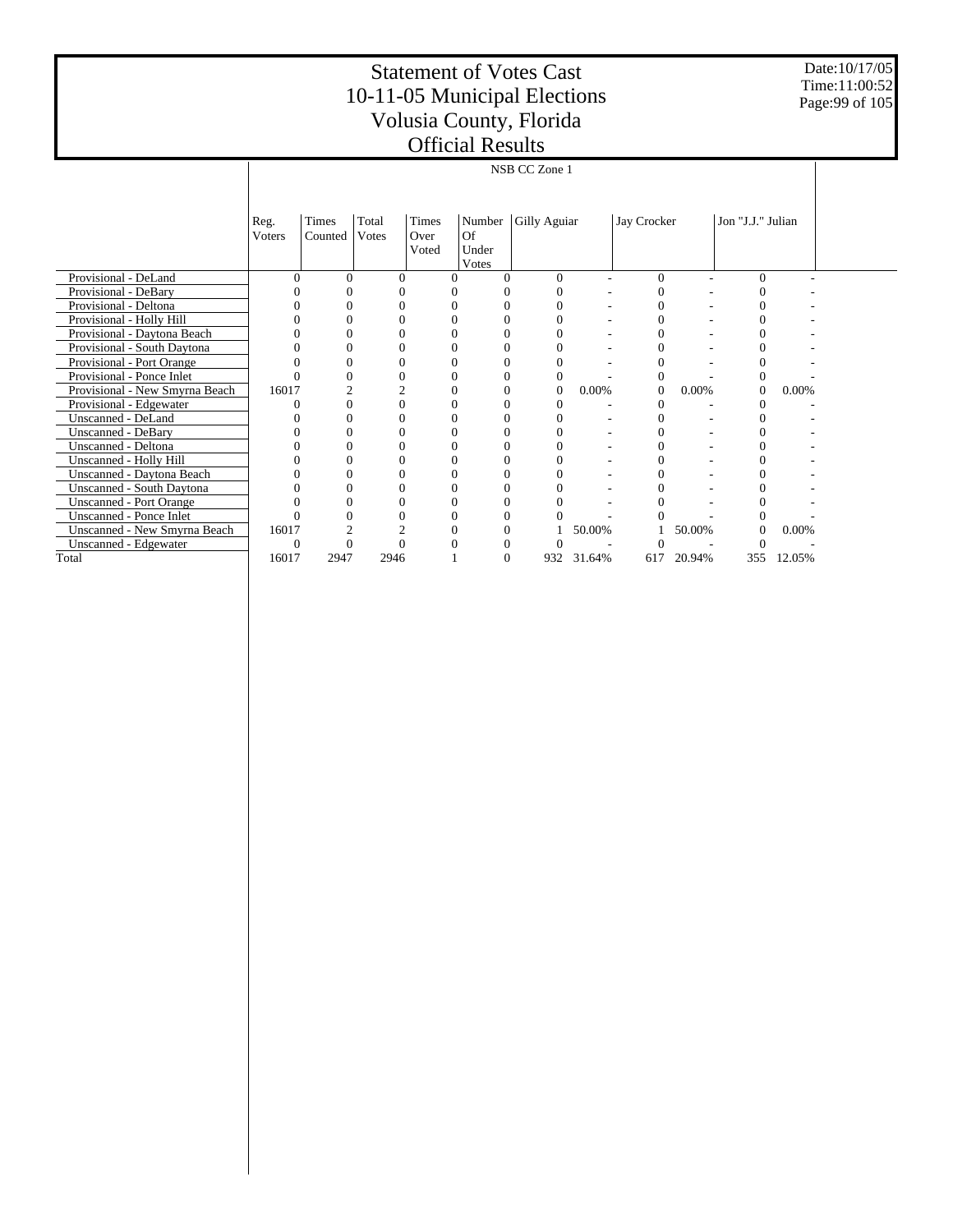Date:10/17/05 Time:11:00:52 Page:99 of 105

|                                  |                | NSB CC Zone 1    |                |                        |                       |              |        |             |        |                   |        |  |  |
|----------------------------------|----------------|------------------|----------------|------------------------|-----------------------|--------------|--------|-------------|--------|-------------------|--------|--|--|
|                                  |                |                  |                |                        |                       |              |        |             |        |                   |        |  |  |
|                                  | Reg.<br>Voters | Times<br>Counted | Total<br>Votes | Times<br>Over<br>Voted | Number<br>Of<br>Under | Gilly Aguiar |        | Jay Crocker |        | Jon "J.J." Julian |        |  |  |
|                                  |                |                  |                |                        | Votes                 |              |        |             |        |                   |        |  |  |
| Provisional - DeLand             | $\Omega$       | $\Omega$         | $\Omega$       | $\Omega$               |                       | $\Omega$     |        | $\Omega$    |        | 0                 |        |  |  |
| Provisional - DeBary             |                |                  |                |                        |                       |              |        |             |        |                   |        |  |  |
| Provisional - Deltona            |                | $\sqrt{ }$       |                | 0                      | $\Omega$              |              |        | 0           |        | 0                 |        |  |  |
| Provisional - Holly Hill         |                |                  |                |                        |                       |              |        |             |        |                   |        |  |  |
| Provisional - Daytona Beach      |                |                  |                |                        |                       |              |        |             |        |                   |        |  |  |
| Provisional - South Daytona      |                |                  |                |                        |                       |              |        |             |        |                   |        |  |  |
| Provisional - Port Orange        |                |                  |                |                        |                       |              |        |             |        |                   |        |  |  |
| Provisional - Ponce Inlet        |                |                  |                | 0                      |                       | $\Omega$     |        |             |        | 0                 |        |  |  |
| Provisional - New Smyrna Beach   | 16017          |                  |                | 0                      | $\Omega$              | $\mathbf{0}$ | 0.00%  | $\Omega$    | 0.00%  | $\mathbf{0}$      | 0.00%  |  |  |
| Provisional - Edgewater          |                | $\Omega$         |                | 0                      | $\Omega$              |              |        |             |        | 0                 |        |  |  |
| <b>Unscanned - DeLand</b>        |                |                  |                |                        |                       |              |        |             |        |                   |        |  |  |
| <b>Unscanned - DeBary</b>        |                |                  |                |                        |                       |              |        |             |        |                   |        |  |  |
| Unscanned - Deltona              |                |                  |                |                        |                       |              |        | $\theta$    |        |                   |        |  |  |
| Unscanned - Holly Hill           |                |                  |                |                        |                       |              |        |             |        |                   |        |  |  |
| Unscanned - Daytona Beach        |                |                  |                |                        |                       |              |        |             |        | 0                 |        |  |  |
| <b>Unscanned - South Daytona</b> |                |                  |                |                        |                       |              |        |             |        |                   |        |  |  |
| <b>Unscanned - Port Orange</b>   |                |                  |                |                        |                       |              |        |             |        |                   |        |  |  |
| <b>Unscanned - Ponce Inlet</b>   |                |                  |                |                        |                       |              |        |             |        |                   |        |  |  |
| Unscanned - New Smyrna Beach     | 16017          |                  |                | 0                      |                       |              | 50.00% |             | 50.00% | $\Omega$          | 0.00%  |  |  |
| Unscanned - Edgewater            | $\theta$       |                  |                | 0                      |                       |              |        |             |        |                   |        |  |  |
| Total                            | 16017          | 2947             | 2946           |                        | $\Omega$              | 932          | 31.64% | 617         | 20.94% | 355               | 12.05% |  |  |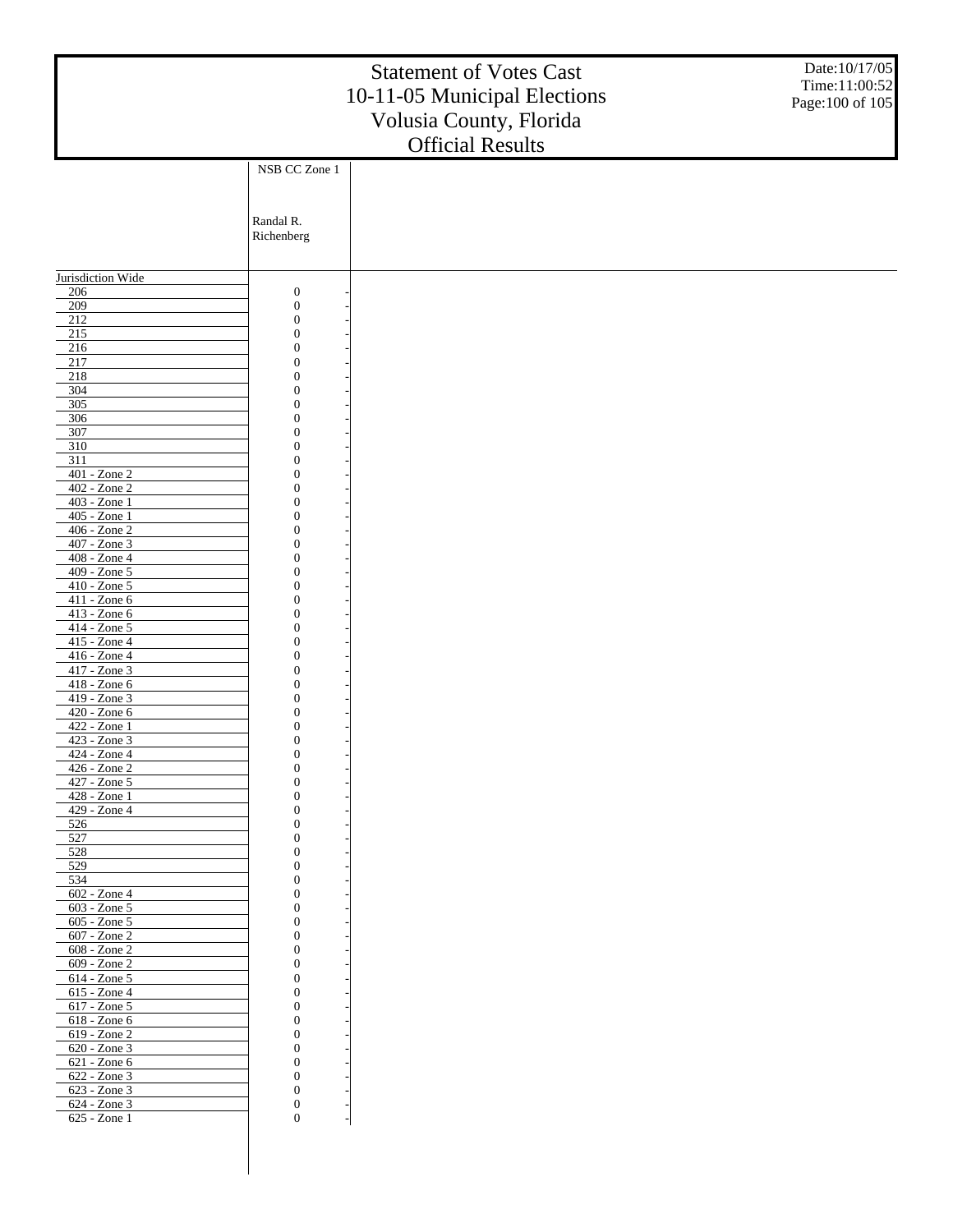|                                 |                                      | <b>Statement of Votes Cast</b><br>10-11-05 Municipal Elections<br>Volusia County, Florida | Date:10/17/05<br>Time:11:00:52<br>Page: 100 of 105 |
|---------------------------------|--------------------------------------|-------------------------------------------------------------------------------------------|----------------------------------------------------|
|                                 |                                      | <b>Official Results</b>                                                                   |                                                    |
|                                 | NSB CC Zone 1                        |                                                                                           |                                                    |
|                                 |                                      |                                                                                           |                                                    |
|                                 |                                      |                                                                                           |                                                    |
|                                 | Randal R.                            |                                                                                           |                                                    |
|                                 | Richenberg                           |                                                                                           |                                                    |
|                                 |                                      |                                                                                           |                                                    |
| Jurisdiction Wide               |                                      |                                                                                           |                                                    |
| 206                             | $\boldsymbol{0}$                     |                                                                                           |                                                    |
| 209                             | $\boldsymbol{0}$                     |                                                                                           |                                                    |
| 212<br>$215$                    | $\boldsymbol{0}$<br>$\boldsymbol{0}$ |                                                                                           |                                                    |
| 216                             | $\overline{0}$                       |                                                                                           |                                                    |
| 217                             | $\boldsymbol{0}$                     |                                                                                           |                                                    |
| 218                             | $\overline{0}$                       |                                                                                           |                                                    |
| 304<br>305                      | $\boldsymbol{0}$<br>$\overline{0}$   |                                                                                           |                                                    |
| 306                             | $\boldsymbol{0}$                     |                                                                                           |                                                    |
| 307                             | $\overline{0}$                       |                                                                                           |                                                    |
| 310                             | $\boldsymbol{0}$                     |                                                                                           |                                                    |
| 311<br>$401 - Z$ one $2$        | $\overline{0}$<br>$\boldsymbol{0}$   |                                                                                           |                                                    |
| 402 - Zone 2                    | $\overline{0}$                       |                                                                                           |                                                    |
| 403 - Zone 1                    | $\boldsymbol{0}$                     |                                                                                           |                                                    |
| 405 - Zone 1                    | $\overline{0}$                       |                                                                                           |                                                    |
| 406 - Zone 2<br>407 - Zone 3    | $\boldsymbol{0}$<br>$\overline{0}$   |                                                                                           |                                                    |
| 408 - Zone 4                    | $\boldsymbol{0}$                     |                                                                                           |                                                    |
| 409 - Zone 5                    | $\overline{0}$                       |                                                                                           |                                                    |
| 410 - Zone 5                    | $\boldsymbol{0}$                     |                                                                                           |                                                    |
| 411 - Zone 6                    | $\overline{0}$                       |                                                                                           |                                                    |
| 413 - Zone 6<br>414 - Zone 5    | $\boldsymbol{0}$<br>$\overline{0}$   |                                                                                           |                                                    |
| 415 - Zone 4                    | $\boldsymbol{0}$                     |                                                                                           |                                                    |
| 416 - Zone 4                    | $\overline{0}$                       |                                                                                           |                                                    |
| 417 - Zone 3                    | $\boldsymbol{0}$                     |                                                                                           |                                                    |
| 418 - Zone 6<br>419 - Zone 3    | $\overline{0}$<br>$\boldsymbol{0}$   |                                                                                           |                                                    |
| 420 - Zone 6                    | $\overline{0}$                       |                                                                                           |                                                    |
| $422 - Zone1$                   | $\boldsymbol{0}$                     |                                                                                           |                                                    |
| 423 - Zone 3                    | $\overline{0}$                       |                                                                                           |                                                    |
| 424 - Zone 4<br>426 - Zone 2    | $\boldsymbol{0}$<br>$\boldsymbol{0}$ |                                                                                           |                                                    |
| 427 - Zone 5                    | $\boldsymbol{0}$                     |                                                                                           |                                                    |
| $428 - Z$ one 1                 | $\mathbf{0}$                         |                                                                                           |                                                    |
| 429 - Zone 4                    | $\boldsymbol{0}$                     |                                                                                           |                                                    |
| 526<br>527                      | $\mathbf{0}$<br>$\boldsymbol{0}$     |                                                                                           |                                                    |
| 528                             | $\mathbf{0}$                         |                                                                                           |                                                    |
| 529                             | $\boldsymbol{0}$                     |                                                                                           |                                                    |
| 534                             | $\mathbf{0}$                         |                                                                                           |                                                    |
| 602 - Zone 4<br>$603 - Z$ one 5 | $\boldsymbol{0}$<br>$\mathbf{0}$     |                                                                                           |                                                    |
| 605 - Zone 5                    | $\boldsymbol{0}$                     |                                                                                           |                                                    |
| 607 - Zone 2                    | $\mathbf{0}$                         |                                                                                           |                                                    |
| 608 - Zone 2                    | $\boldsymbol{0}$                     |                                                                                           |                                                    |
| 609 - Zone 2<br>614 - Zone 5    | $\mathbf{0}$<br>$\boldsymbol{0}$     |                                                                                           |                                                    |
| 615 - Zone 4                    | $\mathbf{0}$                         |                                                                                           |                                                    |
| 617 - Zone 5                    | $\boldsymbol{0}$                     |                                                                                           |                                                    |
| 618 - Zone 6                    | $\mathbf{0}$                         |                                                                                           |                                                    |
| 619 - Zone 2<br>620 - Zone 3    | $\boldsymbol{0}$<br>$\mathbf{0}$     |                                                                                           |                                                    |
| 621 - Zone 6                    | $\boldsymbol{0}$                     |                                                                                           |                                                    |
| 622 - Zone 3                    | $\mathbf{0}$                         |                                                                                           |                                                    |
| 623 - Zone 3                    | $\boldsymbol{0}$                     |                                                                                           |                                                    |
| 624 - Zone 3                    | $\boldsymbol{0}$                     |                                                                                           |                                                    |
| 625 - Zone 1                    | $\boldsymbol{0}$                     |                                                                                           |                                                    |
|                                 |                                      |                                                                                           |                                                    |
|                                 |                                      |                                                                                           |                                                    |
|                                 |                                      |                                                                                           |                                                    |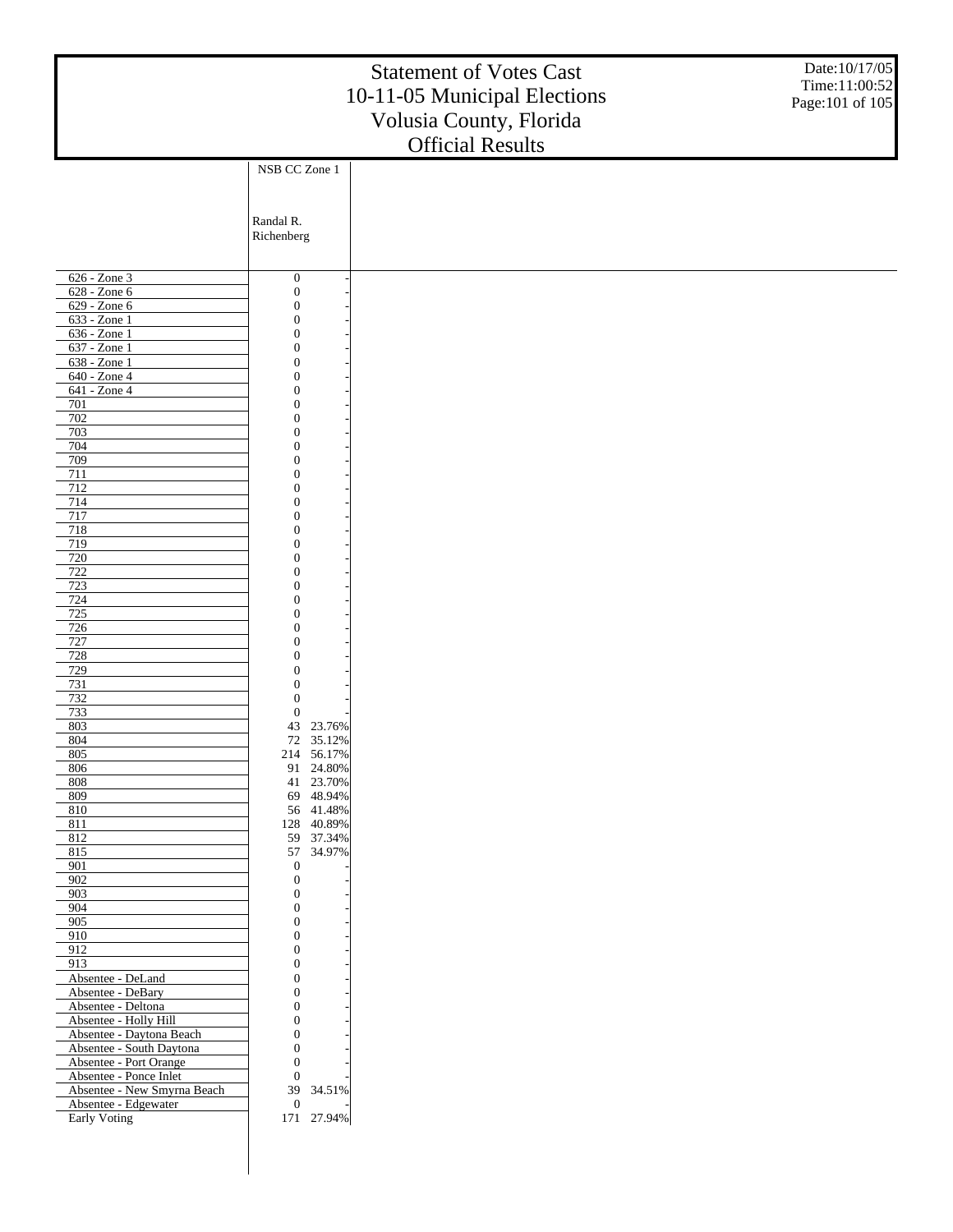|                                                       |                                      | <b>Statement of Votes Cast</b><br>10-11-05 Municipal Elections<br>Volusia County, Florida | Date:10/17/05<br>Time:11:00:52<br>Page: 101 of 105 |
|-------------------------------------------------------|--------------------------------------|-------------------------------------------------------------------------------------------|----------------------------------------------------|
|                                                       |                                      | <b>Official Results</b>                                                                   |                                                    |
|                                                       | NSB CC Zone 1                        |                                                                                           |                                                    |
|                                                       |                                      |                                                                                           |                                                    |
|                                                       |                                      |                                                                                           |                                                    |
|                                                       | Randal R.<br>Richenberg              |                                                                                           |                                                    |
|                                                       |                                      |                                                                                           |                                                    |
| 626 - Zone 3                                          | $\boldsymbol{0}$                     |                                                                                           |                                                    |
| 628 - Zone 6<br>629 - Zone 6                          | $\boldsymbol{0}$                     |                                                                                           |                                                    |
| 633 - Zone 1                                          | $\boldsymbol{0}$<br>$\boldsymbol{0}$ |                                                                                           |                                                    |
| 636 - Zone 1                                          | $\boldsymbol{0}$                     |                                                                                           |                                                    |
| 637 - Zone 1<br>638 - Zone 1                          | $\boldsymbol{0}$<br>$\boldsymbol{0}$ |                                                                                           |                                                    |
| 640 - Zone 4                                          | $\boldsymbol{0}$                     |                                                                                           |                                                    |
| 641 - Zone 4                                          | $\boldsymbol{0}$                     |                                                                                           |                                                    |
| 701<br>702                                            | $\boldsymbol{0}$<br>$\boldsymbol{0}$ |                                                                                           |                                                    |
| 703                                                   | $\boldsymbol{0}$                     |                                                                                           |                                                    |
| 704                                                   | $\boldsymbol{0}$                     |                                                                                           |                                                    |
| 709<br>711                                            | $\boldsymbol{0}$<br>$\boldsymbol{0}$ |                                                                                           |                                                    |
| 712                                                   | $\boldsymbol{0}$                     |                                                                                           |                                                    |
| 714<br>717                                            | $\boldsymbol{0}$<br>$\boldsymbol{0}$ |                                                                                           |                                                    |
| 718                                                   | $\boldsymbol{0}$                     |                                                                                           |                                                    |
| 719                                                   | $\boldsymbol{0}$                     |                                                                                           |                                                    |
| 720<br>722                                            | $\boldsymbol{0}$<br>$\boldsymbol{0}$ |                                                                                           |                                                    |
| $\frac{723}{ }$                                       | $\boldsymbol{0}$                     |                                                                                           |                                                    |
| 724<br>725                                            | $\boldsymbol{0}$<br>$\boldsymbol{0}$ |                                                                                           |                                                    |
| 726                                                   | $\boldsymbol{0}$                     |                                                                                           |                                                    |
| 727<br>728                                            | $\boldsymbol{0}$<br>$\boldsymbol{0}$ |                                                                                           |                                                    |
| 729                                                   | $\boldsymbol{0}$                     |                                                                                           |                                                    |
| 731                                                   | $\boldsymbol{0}$                     |                                                                                           |                                                    |
| 732<br>733                                            | $\boldsymbol{0}$<br>$\boldsymbol{0}$ |                                                                                           |                                                    |
| 803                                                   | 43<br>23.76%                         |                                                                                           |                                                    |
| $804$<br>805                                          | 72 35.12%<br>214 56.17%              |                                                                                           |                                                    |
| 806                                                   | 91 24.80%                            |                                                                                           |                                                    |
| 808<br>809                                            | 41 23.70%<br>69 48.94%               |                                                                                           |                                                    |
| 810                                                   | 56 41.48%                            |                                                                                           |                                                    |
| 811                                                   | 128 40.89%                           |                                                                                           |                                                    |
| 812<br>815                                            | 59 37.34%<br>57 34.97%               |                                                                                           |                                                    |
| 901                                                   | $\boldsymbol{0}$                     |                                                                                           |                                                    |
| 902<br>903                                            | $\boldsymbol{0}$<br>$\boldsymbol{0}$ |                                                                                           |                                                    |
| 904                                                   | $\boldsymbol{0}$                     |                                                                                           |                                                    |
| 905                                                   | $\boldsymbol{0}$                     |                                                                                           |                                                    |
| 910<br>912                                            | $\boldsymbol{0}$<br>$\boldsymbol{0}$ |                                                                                           |                                                    |
| 913                                                   | $\boldsymbol{0}$                     |                                                                                           |                                                    |
| Absentee - DeLand<br>Absentee - DeBary                | $\boldsymbol{0}$<br>$\boldsymbol{0}$ |                                                                                           |                                                    |
| Absentee - Deltona                                    | $\boldsymbol{0}$                     |                                                                                           |                                                    |
| Absentee - Holly Hill                                 | $\boldsymbol{0}$                     |                                                                                           |                                                    |
| Absentee - Daytona Beach<br>Absentee - South Daytona  | $\boldsymbol{0}$<br>$\boldsymbol{0}$ |                                                                                           |                                                    |
| Absentee - Port Orange                                | $\mathbf{0}$                         |                                                                                           |                                                    |
| Absentee - Ponce Inlet<br>Absentee - New Smyrna Beach | $\boldsymbol{0}$<br>39<br>34.51%     |                                                                                           |                                                    |
| Absentee - Edgewater                                  | $\boldsymbol{0}$                     |                                                                                           |                                                    |
| <b>Early Voting</b>                                   | 171 27.94%                           |                                                                                           |                                                    |
|                                                       |                                      |                                                                                           |                                                    |
|                                                       |                                      |                                                                                           |                                                    |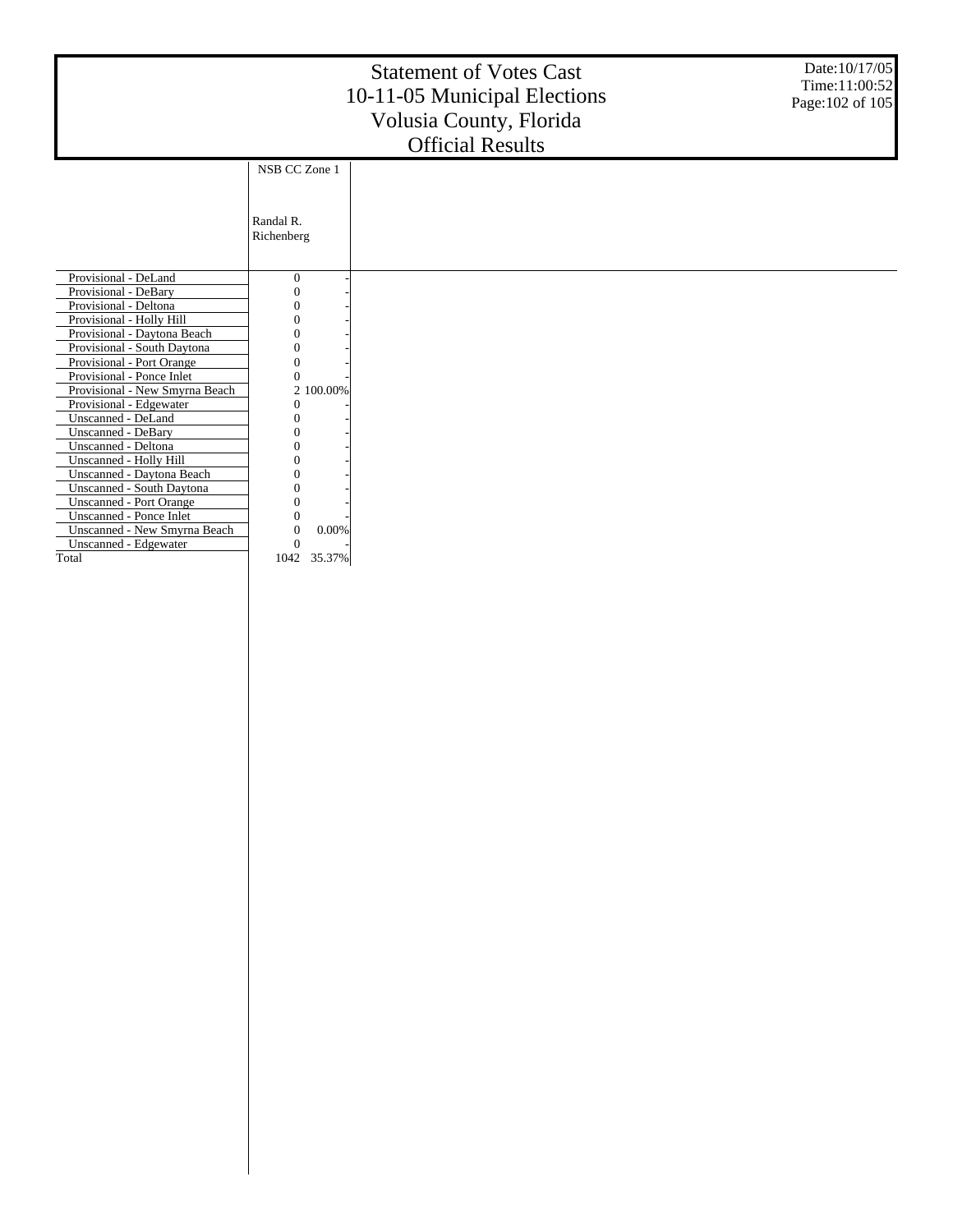|                                                           |                            | <b>Statement of Votes Cast</b><br>10-11-05 Municipal Elections<br>Volusia County, Florida<br><b>Official Results</b> | Date: 10/17/05<br>Time:11:00:52<br>Page: 102 of 105 |
|-----------------------------------------------------------|----------------------------|----------------------------------------------------------------------------------------------------------------------|-----------------------------------------------------|
|                                                           | NSB CC Zone 1              |                                                                                                                      |                                                     |
|                                                           | Randal R.<br>Richenberg    |                                                                                                                      |                                                     |
| Provisional - DeLand                                      | $\boldsymbol{0}$           |                                                                                                                      |                                                     |
| Provisional - DeBary                                      | 0                          |                                                                                                                      |                                                     |
| Provisional - Deltona                                     |                            |                                                                                                                      |                                                     |
| Provisional - Holly Hill                                  | Ω                          |                                                                                                                      |                                                     |
| Provisional - Daytona Beach                               | 0                          |                                                                                                                      |                                                     |
| Provisional - South Daytona                               | 0                          |                                                                                                                      |                                                     |
| Provisional - Port Orange                                 | 0                          |                                                                                                                      |                                                     |
| Provisional - Ponce Inlet                                 | 0                          |                                                                                                                      |                                                     |
| Provisional - New Smyrna Beach                            | 2 100.00%                  |                                                                                                                      |                                                     |
| Provisional - Edgewater                                   | 0                          |                                                                                                                      |                                                     |
| Unscanned - DeLand                                        | 0                          |                                                                                                                      |                                                     |
| Unscanned - DeBary                                        |                            |                                                                                                                      |                                                     |
| Unscanned - Deltona                                       |                            |                                                                                                                      |                                                     |
| Unscanned - Holly Hill                                    |                            |                                                                                                                      |                                                     |
| Unscanned - Daytona Beach                                 | Ω                          |                                                                                                                      |                                                     |
| Unscanned - South Daytona                                 | 0                          |                                                                                                                      |                                                     |
| <b>Unscanned - Port Orange</b><br>Unscanned - Ponce Inlet | 0                          |                                                                                                                      |                                                     |
| Unscanned - New Smyrna Beach                              | 0<br>0.00%<br>$\mathbf{0}$ |                                                                                                                      |                                                     |
| Unscanned - Edgewater                                     | $\Omega$                   |                                                                                                                      |                                                     |
| Total                                                     | 1042<br>35.37%             |                                                                                                                      |                                                     |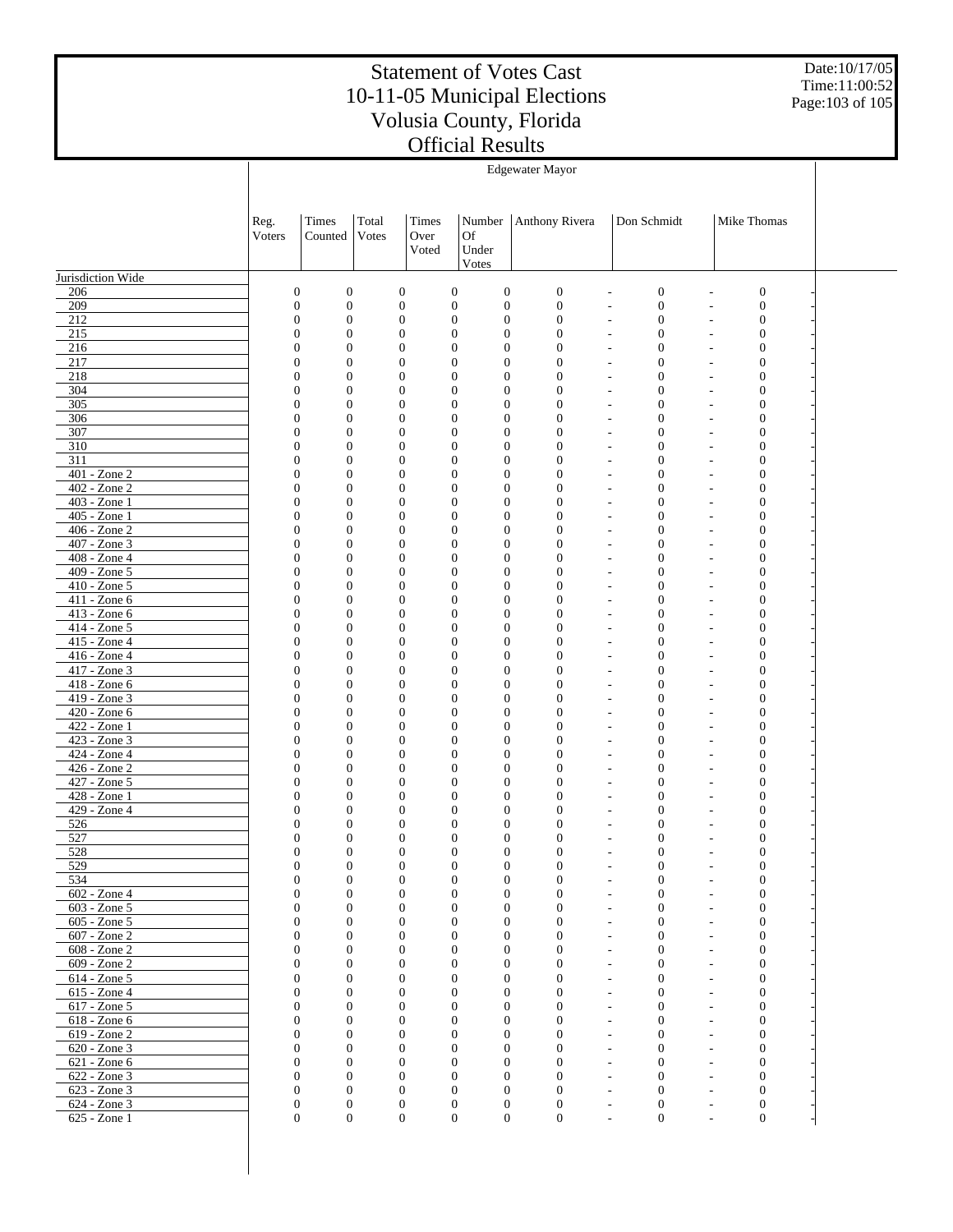Date:10/17/05 Time:11:00:52 Page:103 of 105

|                                   | <b>Edgewater Mayor</b>               |                                      |                                      |               |                                                                              |                                  |                                                                                              |                                                                  |  |  |
|-----------------------------------|--------------------------------------|--------------------------------------|--------------------------------------|---------------|------------------------------------------------------------------------------|----------------------------------|----------------------------------------------------------------------------------------------|------------------------------------------------------------------|--|--|
|                                   |                                      |                                      |                                      |               |                                                                              |                                  |                                                                                              |                                                                  |  |  |
|                                   |                                      |                                      |                                      |               |                                                                              |                                  |                                                                                              |                                                                  |  |  |
|                                   | Reg.<br>Voters                       | Times<br>Counted                     | Total<br>Votes                       | Times<br>Over | Number<br>Of                                                                 | Anthony Rivera                   | Don Schmidt                                                                                  | Mike Thomas                                                      |  |  |
|                                   |                                      |                                      |                                      | Voted         | Under                                                                        |                                  |                                                                                              |                                                                  |  |  |
|                                   |                                      |                                      |                                      |               | Votes                                                                        |                                  |                                                                                              |                                                                  |  |  |
| Jurisdiction Wide                 |                                      |                                      |                                      |               |                                                                              |                                  |                                                                                              |                                                                  |  |  |
| 206<br>209                        | $\boldsymbol{0}$<br>$\boldsymbol{0}$ | $\boldsymbol{0}$<br>$\boldsymbol{0}$ | $\boldsymbol{0}$<br>$\boldsymbol{0}$ |               | $\boldsymbol{0}$<br>$\boldsymbol{0}$<br>$\boldsymbol{0}$<br>$\boldsymbol{0}$ | $\mathbf{0}$<br>$\mathbf{0}$     | $\boldsymbol{0}$<br>$\overline{\phantom{a}}$<br>$\boldsymbol{0}$<br>$\overline{\phantom{a}}$ | $\mathbf{0}$<br>$\boldsymbol{0}$                                 |  |  |
| 212                               | $\mathbf{0}$                         | $\boldsymbol{0}$                     | $\boldsymbol{0}$                     |               | $\boldsymbol{0}$<br>$\mathbf{0}$                                             | $\mathbf{0}$                     | $\boldsymbol{0}$<br>$\overline{\phantom{a}}$                                                 | $\boldsymbol{0}$                                                 |  |  |
| 215                               | $\boldsymbol{0}$                     | $\boldsymbol{0}$                     | $\boldsymbol{0}$                     |               | $\boldsymbol{0}$<br>$\mathbf{0}$                                             | $\mathbf{0}$                     | $\boldsymbol{0}$<br>$\overline{\phantom{a}}$                                                 | $\boldsymbol{0}$                                                 |  |  |
| 216                               | $\mathbf{0}$                         | $\overline{0}$                       | $\boldsymbol{0}$                     |               | $\boldsymbol{0}$<br>$\boldsymbol{0}$                                         | $\mathbf{0}$                     | $\mathbf{0}$<br>$\overline{\phantom{a}}$                                                     | $\boldsymbol{0}$                                                 |  |  |
| 217<br>218                        | $\boldsymbol{0}$<br>$\mathbf{0}$     | $\boldsymbol{0}$<br>$\mathbf{0}$     | $\boldsymbol{0}$<br>$\boldsymbol{0}$ |               | $\boldsymbol{0}$<br>$\mathbf{0}$<br>$\boldsymbol{0}$<br>$\mathbf{0}$         | $\overline{0}$<br>$\mathbf{0}$   | $\boldsymbol{0}$<br>$\overline{\phantom{a}}$<br>$\mathbf{0}$<br>$\overline{\phantom{a}}$     | $\boldsymbol{0}$<br>$\mathbf{0}$                                 |  |  |
| 304                               | $\boldsymbol{0}$                     | $\boldsymbol{0}$                     | $\boldsymbol{0}$                     |               | $\boldsymbol{0}$<br>$\mathbf{0}$                                             | $\mathbf{0}$                     | $\boldsymbol{0}$<br>$\sim$                                                                   | $\boldsymbol{0}$                                                 |  |  |
| 305                               | $\mathbf{0}$                         | $\boldsymbol{0}$                     | $\boldsymbol{0}$                     |               | $\boldsymbol{0}$<br>$\boldsymbol{0}$                                         | $\mathbf{0}$                     | $\mathbf{0}$<br>$\sim$                                                                       | $\boldsymbol{0}$<br>$\overline{\phantom{a}}$                     |  |  |
| 306                               | $\boldsymbol{0}$                     | $\boldsymbol{0}$                     | $\boldsymbol{0}$                     |               | $\boldsymbol{0}$<br>$\mathbf{0}$                                             | $\overline{0}$                   | $\mathbf{0}$<br>$\sim$                                                                       | $\boldsymbol{0}$                                                 |  |  |
| 307<br>310                        | $\mathbf{0}$<br>$\boldsymbol{0}$     | $\boldsymbol{0}$<br>$\boldsymbol{0}$ | $\boldsymbol{0}$<br>$\boldsymbol{0}$ |               | $\boldsymbol{0}$<br>$\mathbf{0}$<br>$\boldsymbol{0}$<br>$\mathbf{0}$         | $\mathbf{0}$<br>$\mathbf{0}$     | $\mathbf{0}$<br>$\sim$<br>$\boldsymbol{0}$<br>$\sim$                                         | $\mathbf{0}$<br>$\overline{\phantom{a}}$<br>$\boldsymbol{0}$     |  |  |
| 311                               | $\mathbf{0}$                         | $\boldsymbol{0}$                     | $\boldsymbol{0}$                     |               | $\boldsymbol{0}$<br>$\boldsymbol{0}$                                         | $\overline{0}$                   | $\mathbf{0}$<br>$\sim$                                                                       | $\boldsymbol{0}$<br>$\overline{\phantom{a}}$                     |  |  |
| $401 - Z$ one $2$                 | $\boldsymbol{0}$                     | $\boldsymbol{0}$                     | $\boldsymbol{0}$                     |               | $\boldsymbol{0}$<br>$\mathbf{0}$                                             | $\overline{0}$                   | $\mathbf{0}$<br>$\sim$                                                                       | $\boldsymbol{0}$                                                 |  |  |
| $402 - Z$ one $2$                 | $\mathbf{0}$                         | $\boldsymbol{0}$                     | $\boldsymbol{0}$                     |               | $\boldsymbol{0}$<br>$\boldsymbol{0}$                                         | $\mathbf{0}$                     | $\mathbf{0}$<br>$\sim$                                                                       | $\mathbf{0}$<br>$\overline{\phantom{a}}$                         |  |  |
| $403 - Z$ one 1                   | $\boldsymbol{0}$                     | $\boldsymbol{0}$                     | $\boldsymbol{0}$                     |               | $\boldsymbol{0}$<br>$\mathbf{0}$                                             | $\mathbf{0}$                     | $\mathbf{0}$<br>$\sim$                                                                       | $\boldsymbol{0}$                                                 |  |  |
| $405 - Zone1$<br>406 - Zone 2     | $\mathbf{0}$<br>$\boldsymbol{0}$     | $\boldsymbol{0}$<br>$\boldsymbol{0}$ | $\boldsymbol{0}$<br>$\boldsymbol{0}$ |               | $\boldsymbol{0}$<br>$\boldsymbol{0}$<br>$\boldsymbol{0}$<br>$\mathbf{0}$     | $\overline{0}$<br>$\overline{0}$ | $\mathbf{0}$<br>$\sim$<br>$\mathbf{0}$<br>$\sim$                                             | $\boldsymbol{0}$<br>$\overline{\phantom{a}}$<br>$\boldsymbol{0}$ |  |  |
| $407 - Z$ one 3                   | $\mathbf{0}$                         | $\boldsymbol{0}$                     | $\boldsymbol{0}$                     |               | $\boldsymbol{0}$<br>$\boldsymbol{0}$                                         | $\mathbf{0}$                     | $\mathbf{0}$<br>$\sim$                                                                       | $\overline{0}$<br>$\overline{\phantom{a}}$                       |  |  |
| 408 - Zone 4                      | $\boldsymbol{0}$                     | $\boldsymbol{0}$                     | $\boldsymbol{0}$                     |               | $\boldsymbol{0}$<br>$\mathbf{0}$                                             | $\mathbf{0}$                     | $\mathbf{0}$<br>$\sim$                                                                       | $\boldsymbol{0}$                                                 |  |  |
| $409 - Z$ one 5                   | $\mathbf{0}$                         | $\boldsymbol{0}$                     | $\boldsymbol{0}$                     |               | $\boldsymbol{0}$<br>$\boldsymbol{0}$                                         | $\overline{0}$                   | $\mathbf{0}$<br>$\overline{\phantom{a}}$                                                     | $\boldsymbol{0}$                                                 |  |  |
| 410 - Zone 5<br>$411 - Zone 6$    | $\boldsymbol{0}$<br>$\mathbf{0}$     | $\boldsymbol{0}$<br>$\overline{0}$   | $\boldsymbol{0}$<br>$\mathbf{0}$     |               | $\boldsymbol{0}$<br>$\mathbf{0}$<br>$\boldsymbol{0}$<br>$\boldsymbol{0}$     | $\overline{0}$<br>$\mathbf{0}$   | $\mathbf{0}$<br>$\overline{\phantom{a}}$<br>$\mathbf{0}$<br>$\overline{\phantom{a}}$         | $\boldsymbol{0}$<br>$\overline{0}$                               |  |  |
| 413 - Zone 6                      | $\boldsymbol{0}$                     | $\boldsymbol{0}$                     | $\boldsymbol{0}$                     |               | $\boldsymbol{0}$<br>$\mathbf{0}$                                             | $\boldsymbol{0}$                 | $\mathbf{0}$<br>$\overline{\phantom{a}}$                                                     | $\boldsymbol{0}$                                                 |  |  |
| $414 - Zone 5$                    | $\mathbf{0}$                         | $\overline{0}$                       | $\mathbf{0}$                         |               | $\boldsymbol{0}$<br>$\boldsymbol{0}$                                         | $\overline{0}$                   | $\mathbf{0}$<br>$\overline{\phantom{a}}$                                                     | $\overline{0}$                                                   |  |  |
| 415 - Zone 4                      | $\boldsymbol{0}$                     | $\boldsymbol{0}$                     | $\boldsymbol{0}$                     |               | $\boldsymbol{0}$<br>$\mathbf{0}$                                             | $\overline{0}$                   | $\mathbf{0}$<br>$\overline{\phantom{a}}$                                                     | $\boldsymbol{0}$                                                 |  |  |
| $416 - Zone4$                     | $\mathbf{0}$                         | $\overline{0}$                       | $\mathbf{0}$                         |               | $\boldsymbol{0}$<br>$\boldsymbol{0}$                                         | $\mathbf{0}$                     | $\mathbf{0}$<br>$\overline{\phantom{a}}$                                                     | $\overline{0}$                                                   |  |  |
| $417 - Z$ one 3<br>$418 - Zone 6$ | $\boldsymbol{0}$<br>$\mathbf{0}$     | $\boldsymbol{0}$<br>$\overline{0}$   | $\boldsymbol{0}$<br>$\mathbf{0}$     |               | $\boldsymbol{0}$<br>$\mathbf{0}$<br>$\boldsymbol{0}$<br>$\boldsymbol{0}$     | $\boldsymbol{0}$<br>$\mathbf{0}$ | $\boldsymbol{0}$<br>$\overline{\phantom{a}}$<br>$\mathbf{0}$<br>$\overline{\phantom{a}}$     | $\boldsymbol{0}$<br>$\overline{0}$                               |  |  |
| 419 - Zone 3                      | $\boldsymbol{0}$                     | $\boldsymbol{0}$                     | $\boldsymbol{0}$                     |               | $\boldsymbol{0}$<br>$\mathbf{0}$                                             | $\overline{0}$                   | $\mathbf{0}$<br>$\overline{\phantom{a}}$                                                     | $\boldsymbol{0}$                                                 |  |  |
| $420 - Z$ one 6                   | $\mathbf{0}$                         | $\overline{0}$                       | $\mathbf{0}$                         |               | $\boldsymbol{0}$<br>$\boldsymbol{0}$                                         | $\mathbf{0}$                     | $\mathbf{0}$<br>$\overline{\phantom{a}}$                                                     | $\overline{0}$                                                   |  |  |
| $422 - Zone1$                     | $\boldsymbol{0}$                     | $\boldsymbol{0}$                     | $\boldsymbol{0}$                     |               | $\boldsymbol{0}$<br>$\mathbf{0}$                                             | $\mathbf{0}$                     | $\boldsymbol{0}$<br>$\overline{\phantom{a}}$                                                 | $\boldsymbol{0}$                                                 |  |  |
| $423 - Zone$ 3<br>424 - Zone 4    | $\mathbf{0}$<br>$\boldsymbol{0}$     | $\overline{0}$<br>$\boldsymbol{0}$   | $\mathbf{0}$<br>$\boldsymbol{0}$     |               | $\boldsymbol{0}$<br>$\mathbf{0}$<br>$\boldsymbol{0}$<br>$\mathbf{0}$         | $\mathbf{0}$<br>$\overline{0}$   | $\mathbf{0}$<br>$\overline{\phantom{a}}$<br>$\boldsymbol{0}$<br>$\overline{\phantom{a}}$     | $\boldsymbol{0}$<br>$\boldsymbol{0}$                             |  |  |
| $426 - Zone$ 2                    | $\mathbf{0}$                         | $\overline{0}$                       | $\mathbf{0}$                         |               | $\boldsymbol{0}$<br>$\boldsymbol{0}$                                         | $\mathbf{0}$                     | $\mathbf{0}$<br>$\overline{\phantom{a}}$                                                     | $\mathbf{0}$                                                     |  |  |
| 427 - Zone 5                      | $\boldsymbol{0}$                     | $\boldsymbol{0}$                     | $\boldsymbol{0}$                     |               | $\boldsymbol{0}$<br>$\mathbf{0}$                                             | $\boldsymbol{0}$                 | $\boldsymbol{0}$<br>$\overline{\phantom{a}}$                                                 | $\boldsymbol{0}$                                                 |  |  |
| $428 - Z$ one 1                   | $\mathbf{0}$                         | $\mathbf{0}$                         | $\mathbf{0}$                         |               | $\mathbf{0}$<br>$\mathbf{0}$                                                 | $\overline{0}$                   | $\mathbf{0}$<br>$\overline{\phantom{a}}$                                                     | $\boldsymbol{0}$                                                 |  |  |
| 429 - Zone 4<br>526               | $\boldsymbol{0}$<br>$\mathbf{0}$     | $\boldsymbol{0}$<br>$\mathbf{0}$     | $\boldsymbol{0}$<br>$\mathbf{0}$     |               | $\boldsymbol{0}$<br>$\mathbf{0}$<br>$\boldsymbol{0}$<br>$\boldsymbol{0}$     | $\overline{0}$<br>$\overline{0}$ | $\boldsymbol{0}$<br>$\overline{\phantom{a}}$<br>$\boldsymbol{0}$<br>$\overline{\phantom{a}}$ | $\boldsymbol{0}$<br>$\overline{0}$                               |  |  |
| 527                               | $\boldsymbol{0}$                     | $\mathbf{0}$                         | $\mathbf{0}$                         |               | $\overline{0}$<br>$\mathbf{0}$                                               | $\overline{0}$                   | $\overline{0}$                                                                               | $\mathbf{0}$                                                     |  |  |
| 528                               | $\Omega$                             | $\Omega$                             | $\Omega$                             |               | $\Omega$<br>$\Omega$                                                         | $\Omega$                         | $\Omega$                                                                                     | $\Omega$                                                         |  |  |
| 529                               | $\boldsymbol{0}$                     | $\boldsymbol{0}$                     | $\boldsymbol{0}$                     |               | $\mathbf{0}$<br>$\mathbf{0}$                                                 | $\boldsymbol{0}$                 | $\boldsymbol{0}$                                                                             | $\boldsymbol{0}$                                                 |  |  |
| 534                               | $\boldsymbol{0}$<br>$\boldsymbol{0}$ | $\boldsymbol{0}$<br>$\boldsymbol{0}$ | $\boldsymbol{0}$<br>$\boldsymbol{0}$ |               | $\mathbf{0}$<br>$\boldsymbol{0}$<br>$\boldsymbol{0}$<br>$\boldsymbol{0}$     | $\mathbf{0}$<br>$\boldsymbol{0}$ | $\mathbf{0}$                                                                                 | $\mathbf{0}$                                                     |  |  |
| 602 - Zone 4<br>603 - Zone 5      | $\mathbf{0}$                         | $\mathbf{0}$                         | $\mathbf{0}$                         |               | $\mathbf{0}$<br>$\mathbf{0}$                                                 | $\mathbf{0}$                     | $\boldsymbol{0}$<br>$\mathbf{0}$<br>٠                                                        | $\boldsymbol{0}$<br>$\mathbf{0}$                                 |  |  |
| 605 - Zone 5                      | $\boldsymbol{0}$                     | $\boldsymbol{0}$                     | $\boldsymbol{0}$                     |               | $\boldsymbol{0}$<br>$\mathbf{0}$                                             | $\mathbf{0}$                     | 0                                                                                            | $\boldsymbol{0}$                                                 |  |  |
| $607 - Z$ one $2$                 | $\mathbf{0}$                         | $\mathbf{0}$                         | $\mathbf{0}$                         |               | $\mathbf{0}$<br>$\mathbf{0}$                                                 | $\mathbf{0}$                     | $\mathbf{0}$<br>٠                                                                            | $\boldsymbol{0}$                                                 |  |  |
| 608 - Zone 2                      | $\boldsymbol{0}$                     | $\boldsymbol{0}$                     | $\mathbf{0}$                         |               | $\boldsymbol{0}$<br>$\mathbf{0}$                                             | $\mathbf{0}$                     | $\mathbf{0}$                                                                                 | $\boldsymbol{0}$                                                 |  |  |
| $609 - Z$ one $2$<br>614 - Zone 5 | $\mathbf{0}$<br>$\boldsymbol{0}$     | $\mathbf{0}$<br>$\boldsymbol{0}$     | $\mathbf{0}$<br>$\mathbf{0}$         |               | $\boldsymbol{0}$<br>$\mathbf{0}$<br>$\boldsymbol{0}$<br>$\mathbf{0}$         | $\mathbf{0}$<br>$\mathbf{0}$     | $\mathbf{0}$<br>$\overline{\phantom{a}}$<br>0                                                | $\mathbf{0}$<br>$\boldsymbol{0}$                                 |  |  |
| $615 - Zone4$                     | $\mathbf{0}$                         | $\mathbf{0}$                         | $\mathbf{0}$                         |               | $\boldsymbol{0}$<br>$\mathbf{0}$                                             | $\mathbf{0}$                     | $\mathbf{0}$<br>$\overline{\phantom{a}}$                                                     | $\boldsymbol{0}$                                                 |  |  |
| 617 - Zone 5                      | $\boldsymbol{0}$                     | $\boldsymbol{0}$                     | $\boldsymbol{0}$                     |               | $\boldsymbol{0}$<br>$\mathbf{0}$                                             | $\mathbf{0}$                     | $\mathbf{0}$<br>$\overline{a}$                                                               | $\boldsymbol{0}$                                                 |  |  |
| 618 - Zone 6                      | $\mathbf{0}$                         | $\mathbf{0}$                         | $\mathbf{0}$                         |               | $\boldsymbol{0}$<br>$\mathbf{0}$                                             | $\mathbf{0}$                     | $\mathbf{0}$<br>$\overline{\phantom{a}}$                                                     | $\mathbf{0}$                                                     |  |  |
| 619 - Zone 2<br>$620 - Z$ one 3   | $\boldsymbol{0}$<br>$\mathbf{0}$     | $\boldsymbol{0}$<br>$\mathbf{0}$     | $\boldsymbol{0}$                     |               | $\boldsymbol{0}$<br>$\mathbf{0}$<br>$\mathbf{0}$<br>$\mathbf{0}$             | $\mathbf{0}$<br>$\mathbf{0}$     | 0<br>$\overline{a}$                                                                          | $\boldsymbol{0}$                                                 |  |  |
| 621 - Zone 6                      | $\boldsymbol{0}$                     | $\boldsymbol{0}$                     | $\mathbf{0}$<br>$\boldsymbol{0}$     |               | $\boldsymbol{0}$<br>$\mathbf{0}$                                             | $\mathbf{0}$                     | 0<br>$\overline{\phantom{a}}$<br>$\mathbf{0}$<br>$\sim$                                      | $\boldsymbol{0}$<br>$\boldsymbol{0}$                             |  |  |
| 622 - Zone 3                      | $\mathbf{0}$                         | $\mathbf{0}$                         | $\mathbf{0}$                         |               | $\mathbf{0}$<br>$\mathbf{0}$                                                 | $\mathbf{0}$                     | $\mathbf{0}$<br>$\overline{\phantom{a}}$                                                     | $\mathbf{0}$                                                     |  |  |
| 623 - Zone 3                      | $\boldsymbol{0}$                     | $\mathbf{0}$                         | $\boldsymbol{0}$                     |               | $\boldsymbol{0}$<br>$\mathbf{0}$                                             | $\overline{0}$                   | $\boldsymbol{0}$<br>$\sim$                                                                   | $\boldsymbol{0}$                                                 |  |  |
| $624 - Zone$ 3                    | $\boldsymbol{0}$                     | $\boldsymbol{0}$                     | $\boldsymbol{0}$                     |               | $\mathbf{0}$<br>$\boldsymbol{0}$                                             | $\boldsymbol{0}$                 | 0<br>$\overline{\phantom{a}}$                                                                | $\mathbf{0}$<br>$\overline{\phantom{a}}$                         |  |  |
| $625 - Zone1$                     | $\overline{0}$                       | $\boldsymbol{0}$                     | $\mathbf{0}$                         |               | $\boldsymbol{0}$<br>$\boldsymbol{0}$                                         | $\boldsymbol{0}$                 | $\boldsymbol{0}$                                                                             | $\boldsymbol{0}$                                                 |  |  |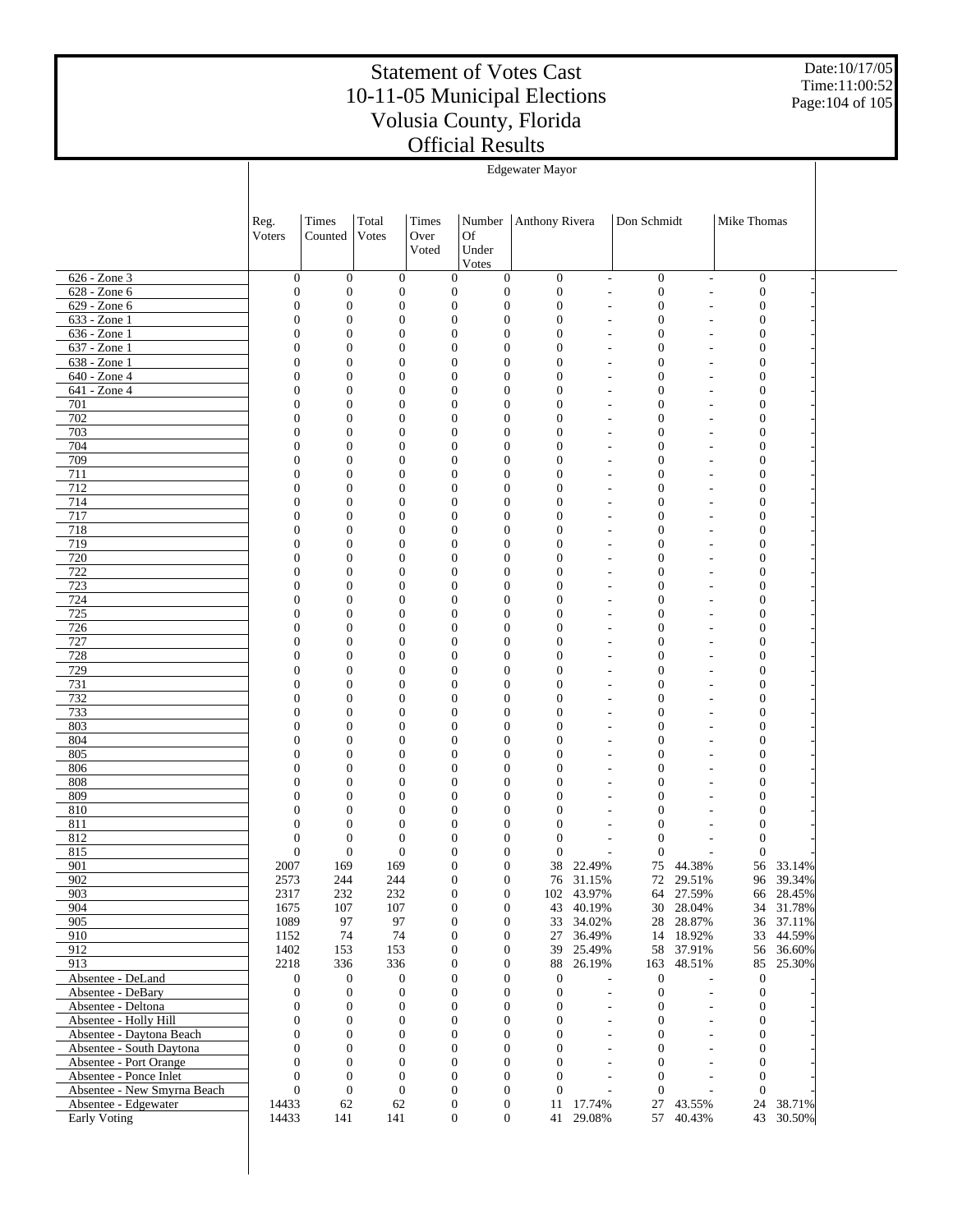Date:10/17/05 Time:11:00:52 Page:104 of 105

|                                                       | <b>Edgewater Mayor</b>               |                                      |                                      |       |                                                                              |                                    |                          |                                      |                          |                                    |                  |  |
|-------------------------------------------------------|--------------------------------------|--------------------------------------|--------------------------------------|-------|------------------------------------------------------------------------------|------------------------------------|--------------------------|--------------------------------------|--------------------------|------------------------------------|------------------|--|
|                                                       |                                      |                                      |                                      |       |                                                                              |                                    |                          |                                      |                          |                                    |                  |  |
|                                                       |                                      |                                      |                                      |       |                                                                              |                                    |                          |                                      |                          |                                    |                  |  |
|                                                       | Reg.                                 | Times                                | Total                                | Times | Number                                                                       | Anthony Rivera                     |                          | Don Schmidt                          |                          | Mike Thomas                        |                  |  |
|                                                       | Voters                               | Counted                              | Votes                                | Over  | Of                                                                           |                                    |                          |                                      |                          |                                    |                  |  |
|                                                       |                                      |                                      |                                      | Voted | Under<br>Votes                                                               |                                    |                          |                                      |                          |                                    |                  |  |
| $626 - Zone$ 3                                        | $\boldsymbol{0}$                     | $\mathbf{0}$                         | $\mathbf{0}$                         |       | $\mathbf{0}$<br>$\boldsymbol{0}$                                             | $\boldsymbol{0}$                   | $\overline{\phantom{a}}$ | $\boldsymbol{0}$                     | $\overline{\phantom{a}}$ | $\boldsymbol{0}$                   |                  |  |
| $628 - Zone 6$                                        | $\boldsymbol{0}$                     | $\boldsymbol{0}$                     | $\boldsymbol{0}$                     |       | $\boldsymbol{0}$<br>$\boldsymbol{0}$                                         | $\boldsymbol{0}$                   | $\overline{\phantom{a}}$ | $\boldsymbol{0}$                     | ÷                        | $\boldsymbol{0}$                   |                  |  |
| $629 - Zone 6$                                        | $\boldsymbol{0}$                     | $\boldsymbol{0}$                     | $\boldsymbol{0}$                     |       | $\boldsymbol{0}$<br>$\boldsymbol{0}$                                         | $\boldsymbol{0}$                   |                          | $\boldsymbol{0}$                     |                          | $\boldsymbol{0}$                   |                  |  |
| $633 - Z$ one 1                                       | 0                                    | $\mathbf{0}$                         | $\boldsymbol{0}$                     |       | $\boldsymbol{0}$<br>$\overline{0}$                                           | $\overline{0}$                     | $\overline{\phantom{a}}$ | $\theta$                             | ÷                        | $\mathbf{0}$                       |                  |  |
| $636 - Z$ one 1                                       | $\boldsymbol{0}$                     | $\boldsymbol{0}$                     | $\boldsymbol{0}$                     |       | $\boldsymbol{0}$<br>$\boldsymbol{0}$                                         | $\boldsymbol{0}$                   |                          | $\boldsymbol{0}$                     |                          | $\boldsymbol{0}$                   |                  |  |
| $637 - Z$ one 1                                       | 0                                    | $\mathbf{0}$                         | $\boldsymbol{0}$                     |       | $\mathbf{0}$<br>$\overline{0}$                                               | $\overline{0}$                     |                          | $\mathbf{0}$                         |                          | $\overline{0}$                     |                  |  |
| 638 - Zone 1<br>$640 - Z$ one 4                       | 0<br>0                               | $\boldsymbol{0}$<br>$\mathbf{0}$     | $\boldsymbol{0}$<br>$\boldsymbol{0}$ |       | $\boldsymbol{0}$<br>$\boldsymbol{0}$<br>$\mathbf{0}$<br>$\overline{0}$       | $\overline{0}$<br>$\overline{0}$   |                          | $\mathbf{0}$<br>$\mathbf{0}$         | ÷,                       | $\boldsymbol{0}$<br>$\overline{0}$ |                  |  |
| 641 - Zone 4                                          | $\boldsymbol{0}$                     | $\boldsymbol{0}$                     | $\boldsymbol{0}$                     |       | $\boldsymbol{0}$<br>$\boldsymbol{0}$                                         | $\overline{0}$                     | $\overline{\phantom{a}}$ | $\mathbf{0}$                         | ٠                        | $\boldsymbol{0}$                   |                  |  |
| 701                                                   | 0                                    | $\mathbf{0}$                         | $\boldsymbol{0}$                     |       | $\boldsymbol{0}$<br>$\overline{0}$                                           | $\overline{0}$                     | $\overline{\phantom{a}}$ | $\mathbf{0}$                         | ÷                        | $\overline{0}$                     |                  |  |
| 702                                                   | 0                                    | $\boldsymbol{0}$                     | $\boldsymbol{0}$                     |       | $\boldsymbol{0}$<br>$\boldsymbol{0}$                                         | $\overline{0}$                     |                          | $\mathbf{0}$                         |                          | $\boldsymbol{0}$                   |                  |  |
| 703                                                   | 0                                    | $\mathbf{0}$                         | $\boldsymbol{0}$                     |       | $\boldsymbol{0}$<br>$\overline{0}$                                           | $\overline{0}$                     | $\overline{\phantom{a}}$ | $\mathbf{0}$                         | ÷,                       | $\mathbf{0}$                       |                  |  |
| 704                                                   | $\boldsymbol{0}$                     | $\boldsymbol{0}$                     | $\boldsymbol{0}$                     |       | $\boldsymbol{0}$<br>$\boldsymbol{0}$                                         | $\overline{0}$                     |                          | $\boldsymbol{0}$                     |                          | $\boldsymbol{0}$                   |                  |  |
| 709                                                   | 0                                    | $\mathbf{0}$                         | $\boldsymbol{0}$                     |       | $\boldsymbol{0}$<br>$\overline{0}$                                           | $\overline{0}$                     |                          | $\mathbf{0}$                         | $\overline{a}$           | $\overline{0}$                     |                  |  |
| 711                                                   | 0                                    | $\boldsymbol{0}$                     | $\boldsymbol{0}$                     |       | $\boldsymbol{0}$<br>$\boldsymbol{0}$                                         | $\overline{0}$                     |                          | $\mathbf{0}$                         |                          | $\boldsymbol{0}$                   |                  |  |
| 712<br>714                                            | 0<br>$\boldsymbol{0}$                | $\mathbf{0}$<br>$\boldsymbol{0}$     | $\boldsymbol{0}$<br>$\boldsymbol{0}$ |       | $\boldsymbol{0}$<br>$\overline{0}$<br>$\boldsymbol{0}$<br>$\boldsymbol{0}$   | $\overline{0}$<br>$\overline{0}$   | $\overline{\phantom{a}}$ | $\mathbf{0}$<br>$\mathbf{0}$         | ÷,<br>÷                  | $\overline{0}$<br>$\boldsymbol{0}$ |                  |  |
| 717                                                   | 0                                    | $\mathbf{0}$                         | $\boldsymbol{0}$                     |       | $\boldsymbol{0}$<br>$\overline{0}$                                           | $\overline{0}$                     | $\overline{\phantom{a}}$ | $\mathbf{0}$                         | ÷                        | $\overline{0}$                     |                  |  |
| 718                                                   | 0                                    | $\boldsymbol{0}$                     | $\boldsymbol{0}$                     |       | $\boldsymbol{0}$<br>$\boldsymbol{0}$                                         | $\overline{0}$                     |                          | $\mathbf{0}$                         |                          | $\boldsymbol{0}$                   |                  |  |
| 719                                                   | 0                                    | $\mathbf{0}$                         | $\boldsymbol{0}$                     |       | $\boldsymbol{0}$<br>$\overline{0}$                                           | $\overline{0}$                     |                          | $\mathbf{0}$                         | ٠                        | $\mathbf{0}$                       |                  |  |
| 720                                                   | $\boldsymbol{0}$                     | $\boldsymbol{0}$                     | $\boldsymbol{0}$                     |       | $\boldsymbol{0}$<br>$\boldsymbol{0}$                                         | $\overline{0}$                     |                          | $\boldsymbol{0}$                     |                          | $\boldsymbol{0}$                   |                  |  |
| 722                                                   | 0                                    | $\mathbf{0}$                         | $\boldsymbol{0}$                     |       | $\boldsymbol{0}$<br>$\overline{0}$                                           | $\overline{0}$                     |                          | $\mathbf{0}$                         | ٠                        | $\overline{0}$                     |                  |  |
| 723                                                   | 0                                    | $\boldsymbol{0}$                     | $\boldsymbol{0}$                     |       | $\boldsymbol{0}$<br>$\boldsymbol{0}$                                         | $\overline{0}$                     |                          | $\mathbf{0}$                         |                          | $\boldsymbol{0}$                   |                  |  |
| 724                                                   | 0                                    | $\mathbf{0}$                         | $\boldsymbol{0}$                     |       | $\boldsymbol{0}$<br>$\overline{0}$                                           | $\overline{0}$                     | $\overline{\phantom{a}}$ | $\mathbf{0}$                         | ٠                        | $\mathbf{0}$                       |                  |  |
| 725<br>726                                            | $\boldsymbol{0}$<br>0                | $\boldsymbol{0}$<br>$\mathbf{0}$     | $\boldsymbol{0}$<br>$\boldsymbol{0}$ |       | $\boldsymbol{0}$<br>$\boldsymbol{0}$<br>$\boldsymbol{0}$<br>$\overline{0}$   | $\overline{0}$<br>$\overline{0}$   |                          | $\mathbf{0}$<br>$\mathbf{0}$         | ÷<br>÷,                  | $\boldsymbol{0}$<br>$\overline{0}$ |                  |  |
| 727                                                   | 0                                    | $\boldsymbol{0}$                     | $\boldsymbol{0}$                     |       | $\boldsymbol{0}$<br>$\boldsymbol{0}$                                         | $\overline{0}$                     |                          | $\mathbf{0}$                         |                          | $\boldsymbol{0}$                   |                  |  |
| 728                                                   | 0                                    | $\mathbf{0}$                         | $\boldsymbol{0}$                     |       | $\boldsymbol{0}$<br>$\overline{0}$                                           | $\overline{0}$                     |                          | $\mathbf{0}$                         | $\overline{a}$           | $\mathbf{0}$                       |                  |  |
| 729                                                   | $\boldsymbol{0}$                     | $\boldsymbol{0}$                     | $\boldsymbol{0}$                     |       | $\boldsymbol{0}$<br>$\boldsymbol{0}$                                         | $\overline{0}$                     |                          | $\boldsymbol{0}$                     |                          | $\boldsymbol{0}$                   |                  |  |
| 731                                                   | 0                                    | $\mathbf{0}$                         | $\boldsymbol{0}$                     |       | $\boldsymbol{0}$<br>$\overline{0}$                                           | $\overline{0}$                     | $\overline{\phantom{a}}$ | $\mathbf{0}$                         | ÷,                       | $\overline{0}$                     |                  |  |
| 732                                                   | 0                                    | $\boldsymbol{0}$                     | $\boldsymbol{0}$                     |       | $\boldsymbol{0}$<br>$\boldsymbol{0}$                                         | $\overline{0}$                     |                          | $\mathbf{0}$                         | ÷                        | $\boldsymbol{0}$                   |                  |  |
| 733                                                   | 0                                    | $\mathbf{0}$                         | $\boldsymbol{0}$                     |       | $\boldsymbol{0}$<br>$\overline{0}$                                           | $\overline{0}$                     | $\overline{\phantom{a}}$ | $\mathbf{0}$                         | ÷.                       | $\mathbf{0}$                       |                  |  |
| 803<br>804                                            | $\boldsymbol{0}$<br>0                | $\boldsymbol{0}$<br>$\mathbf{0}$     | $\boldsymbol{0}$<br>$\boldsymbol{0}$ |       | $\boldsymbol{0}$<br>$\boldsymbol{0}$<br>$\boldsymbol{0}$<br>$\overline{0}$   | $\overline{0}$<br>$\overline{0}$   |                          | $\mathbf{0}$<br>$\mathbf{0}$         | ٠                        | $\boldsymbol{0}$<br>$\mathbf{0}$   |                  |  |
| 805                                                   | 0                                    | $\boldsymbol{0}$                     | $\boldsymbol{0}$                     |       | $\boldsymbol{0}$<br>$\boldsymbol{0}$                                         | $\overline{0}$                     |                          | $\mathbf{0}$                         |                          | $\boldsymbol{0}$                   |                  |  |
| 806                                                   | 0                                    | $\mathbf{0}$                         | $\boldsymbol{0}$                     |       | $\boldsymbol{0}$<br>$\overline{0}$                                           | $\overline{0}$                     |                          | $\mathbf{0}$                         | $\overline{a}$           | $\mathbf{0}$                       |                  |  |
| 808                                                   | 0                                    | $\boldsymbol{0}$                     | $\boldsymbol{0}$                     |       | $\boldsymbol{0}$<br>$\boldsymbol{0}$                                         | $\overline{0}$                     |                          | $\mathbf{0}$                         |                          | $\boldsymbol{0}$                   |                  |  |
| 809                                                   | 0                                    | $\mathbf{0}$                         | $\boldsymbol{0}$                     |       | $\mathbf{0}$<br>$\overline{0}$                                               | $\overline{0}$                     | $\overline{\phantom{a}}$ | $\mathbf{0}$                         | ÷                        | $\theta$                           |                  |  |
| 810                                                   | 0                                    | $\mathbf{0}$                         | $\boldsymbol{0}$                     |       | $\boldsymbol{0}$<br>$\boldsymbol{0}$                                         | $\overline{0}$                     |                          | $\mathbf{0}$                         |                          | $\boldsymbol{0}$                   |                  |  |
| 811                                                   | 0                                    | $\mathbf{0}$                         | $\boldsymbol{0}$                     |       | $\mathbf{0}$<br>$\overline{0}$                                               | $\overline{0}$                     |                          | $\mathbf{0}$                         |                          | $\boldsymbol{0}$                   |                  |  |
| 812<br>815                                            | $\boldsymbol{0}$<br>$\Omega$         | $\mathbf{0}$<br>$\Omega$             | $\boldsymbol{0}$<br>$\Omega$         |       | $\boldsymbol{0}$<br>$\overline{0}$<br>$\Omega$<br>$\Omega$                   | $\mathbf{0}$<br>$\Omega$           |                          | $\Omega$<br>$\Omega$                 |                          | $\boldsymbol{0}$<br>$\Omega$       |                  |  |
| 901                                                   | 2007                                 | 169                                  | 169                                  |       | $\boldsymbol{0}$<br>$\boldsymbol{0}$                                         | 38                                 | 22.49%                   | 75                                   | 44.38%                   | 56                                 | 33.14%           |  |
| 902                                                   | 2573                                 | 244                                  | 244                                  |       | $\boldsymbol{0}$<br>$\boldsymbol{0}$                                         | 76                                 | 31.15%                   | 72                                   | 29.51%                   |                                    | 96 39.34%        |  |
| 903                                                   | 2317                                 | 232                                  | 232                                  |       | $\boldsymbol{0}$<br>$\boldsymbol{0}$                                         | 102                                | 43.97%                   | 64                                   | 27.59%                   | 66                                 | 28.45%           |  |
| 904                                                   | 1675                                 | 107                                  | 107                                  |       | $\mathbf{0}$<br>$\boldsymbol{0}$                                             | 43                                 | 40.19%                   | 30                                   | 28.04%                   | 34                                 | 31.78%           |  |
| 905                                                   | 1089                                 | 97                                   | 97                                   |       | $\boldsymbol{0}$<br>$\boldsymbol{0}$                                         | 33                                 | 34.02%                   | 28                                   | 28.87%                   | 36                                 | 37.11%           |  |
| 910                                                   | 1152                                 | 74                                   | 74                                   |       | $\boldsymbol{0}$<br>$\boldsymbol{0}$                                         | 27                                 | 36.49%                   |                                      | 14 18.92%                | 33                                 | 44.59%           |  |
| 912<br>913                                            | 1402<br>2218                         | 153<br>336                           | 153<br>336                           |       | $\boldsymbol{0}$<br>$\boldsymbol{0}$<br>$\boldsymbol{0}$<br>$\boldsymbol{0}$ | 39<br>88                           | 25.49%<br>26.19%         | 163                                  | 58 37.91%<br>48.51%      | 56<br>85                           | 36.60%<br>25.30% |  |
| Absentee - DeLand                                     | $\boldsymbol{0}$                     | $\mathbf{0}$                         | $\boldsymbol{0}$                     |       | $\boldsymbol{0}$<br>$\boldsymbol{0}$                                         | $\boldsymbol{0}$                   |                          | $\mathbf{0}$                         |                          | $\mathbf{0}$                       |                  |  |
| Absentee - DeBary                                     | $\boldsymbol{0}$                     | $\boldsymbol{0}$                     | $\boldsymbol{0}$                     |       | $\boldsymbol{0}$<br>$\mathbf{0}$                                             | $\mathbf{0}$                       | $\overline{\phantom{a}}$ | $\boldsymbol{0}$                     | $\overline{a}$           | $\boldsymbol{0}$                   |                  |  |
| Absentee - Deltona                                    | $\boldsymbol{0}$                     | $\boldsymbol{0}$                     | $\boldsymbol{0}$                     |       | $\boldsymbol{0}$<br>$\boldsymbol{0}$                                         | $\boldsymbol{0}$                   | $\overline{a}$           | $\boldsymbol{0}$                     | ÷,                       | 0                                  |                  |  |
| Absentee - Holly Hill                                 | $\boldsymbol{0}$                     | $\boldsymbol{0}$                     | $\boldsymbol{0}$                     |       | $\boldsymbol{0}$<br>$\mathbf{0}$                                             | $\mathbf{0}$                       | $\overline{\phantom{a}}$ | $\mathbf{0}$                         | ÷,                       | $\boldsymbol{0}$                   |                  |  |
| Absentee - Daytona Beach                              | $\boldsymbol{0}$                     | $\boldsymbol{0}$                     | $\boldsymbol{0}$                     |       | $\boldsymbol{0}$<br>$\boldsymbol{0}$                                         | $\boldsymbol{0}$                   | $\overline{a}$           | $\boldsymbol{0}$                     | L,                       | 0                                  |                  |  |
| Absentee - South Daytona                              | $\overline{0}$                       | $\boldsymbol{0}$                     | $\boldsymbol{0}$                     |       | $\boldsymbol{0}$<br>$\mathbf{0}$                                             | $\mathbf{0}$                       | $\overline{\phantom{a}}$ | $\mathbf{0}$                         | $\overline{a}$           | $\overline{0}$                     |                  |  |
| Absentee - Port Orange                                | $\boldsymbol{0}$                     | $\boldsymbol{0}$                     | $\boldsymbol{0}$                     |       | $\boldsymbol{0}$<br>$\boldsymbol{0}$                                         | $\mathbf{0}$                       |                          | $\boldsymbol{0}$                     |                          | 0                                  |                  |  |
| Absentee - Ponce Inlet<br>Absentee - New Smyrna Beach | $\boldsymbol{0}$<br>$\boldsymbol{0}$ | $\boldsymbol{0}$<br>$\boldsymbol{0}$ | $\boldsymbol{0}$<br>$\boldsymbol{0}$ |       | $\boldsymbol{0}$<br>$\mathbf{0}$<br>$\boldsymbol{0}$<br>$\boldsymbol{0}$     | $\overline{0}$<br>$\boldsymbol{0}$ | $\overline{\phantom{a}}$ | $\boldsymbol{0}$<br>$\boldsymbol{0}$ | $\overline{\phantom{a}}$ | $\boldsymbol{0}$<br>$\mathbf{0}$   |                  |  |
| Absentee - Edgewater                                  | 14433                                | 62                                   | 62                                   |       | $\boldsymbol{0}$<br>$\boldsymbol{0}$                                         | 11                                 | 17.74%                   | 27                                   | 43.55%                   | 24                                 | 38.71%           |  |
| Early Voting                                          | 14433                                | 141                                  | 141                                  |       | $\boldsymbol{0}$                                                             | $\boldsymbol{0}$<br>41             | 29.08%                   | 57                                   | 40.43%                   | 43                                 | 30.50%           |  |
|                                                       |                                      |                                      |                                      |       |                                                                              |                                    |                          |                                      |                          |                                    |                  |  |

 $\overline{1}$